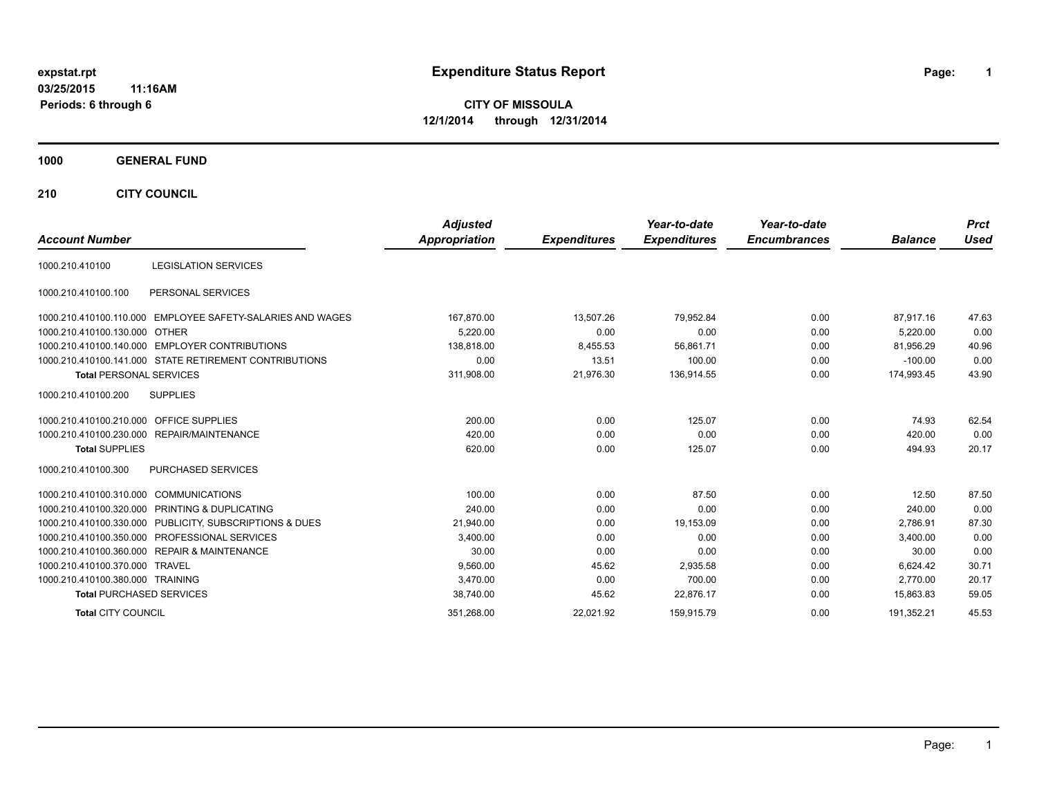## **03/25/2015 11:16AM Periods: 6 through 6**

# **expstat.rpt Expenditure Status Report Page:**

**1**

**CITY OF MISSOULA 12/1/2014 through 12/31/2014**

## **1000 GENERAL FUND**

**210 CITY COUNCIL**

|                                         |                                                         | <b>Adjusted</b>      |                     | Year-to-date        | Year-to-date        |                | <b>Prct</b> |
|-----------------------------------------|---------------------------------------------------------|----------------------|---------------------|---------------------|---------------------|----------------|-------------|
| <b>Account Number</b>                   |                                                         | <b>Appropriation</b> | <b>Expenditures</b> | <b>Expenditures</b> | <b>Encumbrances</b> | <b>Balance</b> | <b>Used</b> |
| 1000.210.410100                         | <b>LEGISLATION SERVICES</b>                             |                      |                     |                     |                     |                |             |
| 1000.210.410100.100                     | PERSONAL SERVICES                                       |                      |                     |                     |                     |                |             |
| 1000.210.410100.110.000                 | EMPLOYEE SAFETY-SALARIES AND WAGES                      | 167,870.00           | 13.507.26           | 79,952.84           | 0.00                | 87.917.16      | 47.63       |
| 1000.210.410100.130.000 OTHER           |                                                         | 5.220.00             | 0.00                | 0.00                | 0.00                | 5,220.00       | 0.00        |
|                                         | 1000.210.410100.140.000 EMPLOYER CONTRIBUTIONS          | 138.818.00           | 8,455.53            | 56,861.71           | 0.00                | 81.956.29      | 40.96       |
|                                         | 1000.210.410100.141.000 STATE RETIREMENT CONTRIBUTIONS  | 0.00                 | 13.51               | 100.00              | 0.00                | $-100.00$      | 0.00        |
| <b>Total PERSONAL SERVICES</b>          |                                                         | 311,908.00           | 21,976.30           | 136,914.55          | 0.00                | 174,993.45     | 43.90       |
| 1000.210.410100.200                     | <b>SUPPLIES</b>                                         |                      |                     |                     |                     |                |             |
| 1000.210.410100.210.000 OFFICE SUPPLIES |                                                         | 200.00               | 0.00                | 125.07              | 0.00                | 74.93          | 62.54       |
|                                         | 1000.210.410100.230.000 REPAIR/MAINTENANCE              | 420.00               | 0.00                | 0.00                | 0.00                | 420.00         | 0.00        |
| <b>Total SUPPLIES</b>                   |                                                         | 620.00               | 0.00                | 125.07              | 0.00                | 494.93         | 20.17       |
| 1000.210.410100.300                     | <b>PURCHASED SERVICES</b>                               |                      |                     |                     |                     |                |             |
| 1000.210.410100.310.000                 | <b>COMMUNICATIONS</b>                                   | 100.00               | 0.00                | 87.50               | 0.00                | 12.50          | 87.50       |
|                                         | 1000.210.410100.320.000 PRINTING & DUPLICATING          | 240.00               | 0.00                | 0.00                | 0.00                | 240.00         | 0.00        |
|                                         | 1000.210.410100.330.000 PUBLICITY, SUBSCRIPTIONS & DUES | 21,940.00            | 0.00                | 19,153.09           | 0.00                | 2.786.91       | 87.30       |
| 1000.210.410100.350.000                 | PROFESSIONAL SERVICES                                   | 3,400.00             | 0.00                | 0.00                | 0.00                | 3,400.00       | 0.00        |
|                                         | 1000.210.410100.360.000 REPAIR & MAINTENANCE            | 30.00                | 0.00                | 0.00                | 0.00                | 30.00          | 0.00        |
| 1000.210.410100.370.000 TRAVEL          |                                                         | 9,560.00             | 45.62               | 2,935.58            | 0.00                | 6.624.42       | 30.71       |
| 1000.210.410100.380.000 TRAINING        |                                                         | 3.470.00             | 0.00                | 700.00              | 0.00                | 2.770.00       | 20.17       |
| <b>Total PURCHASED SERVICES</b>         |                                                         | 38,740.00            | 45.62               | 22,876.17           | 0.00                | 15,863.83      | 59.05       |
| <b>Total CITY COUNCIL</b>               |                                                         | 351,268.00           | 22,021.92           | 159,915.79          | 0.00                | 191,352.21     | 45.53       |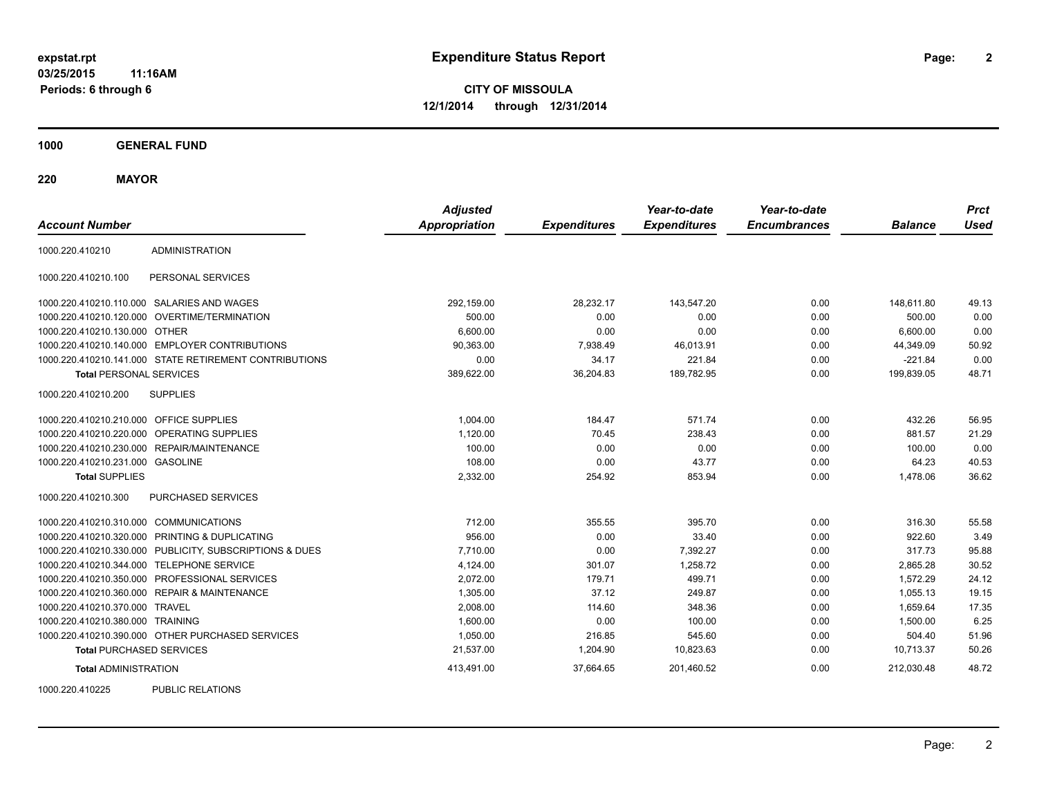**03/25/2015 11:16AM Periods: 6 through 6**

**CITY OF MISSOULA 12/1/2014 through 12/31/2014**

**1000 GENERAL FUND**

**220 MAYOR**

| <b>Account Number</b>                   |                                                         | <b>Adjusted</b><br><b>Appropriation</b> | <b>Expenditures</b> | Year-to-date<br><b>Expenditures</b> | Year-to-date<br><b>Encumbrances</b> | <b>Balance</b> | <b>Prct</b><br><b>Used</b> |
|-----------------------------------------|---------------------------------------------------------|-----------------------------------------|---------------------|-------------------------------------|-------------------------------------|----------------|----------------------------|
| 1000.220.410210                         | <b>ADMINISTRATION</b>                                   |                                         |                     |                                     |                                     |                |                            |
| 1000.220.410210.100                     | PERSONAL SERVICES                                       |                                         |                     |                                     |                                     |                |                            |
|                                         | 1000.220.410210.110.000 SALARIES AND WAGES              | 292,159.00                              | 28,232.17           | 143,547.20                          | 0.00                                | 148,611.80     | 49.13                      |
| 1000.220.410210.120.000                 | OVERTIME/TERMINATION                                    | 500.00                                  | 0.00                | 0.00                                | 0.00                                | 500.00         | 0.00                       |
| 1000.220.410210.130.000 OTHER           |                                                         | 6,600.00                                | 0.00                | 0.00                                | 0.00                                | 6,600.00       | 0.00                       |
|                                         | 1000.220.410210.140.000 EMPLOYER CONTRIBUTIONS          | 90,363.00                               | 7,938.49            | 46,013.91                           | 0.00                                | 44,349.09      | 50.92                      |
|                                         | 1000.220.410210.141.000 STATE RETIREMENT CONTRIBUTIONS  | 0.00                                    | 34.17               | 221.84                              | 0.00                                | $-221.84$      | 0.00                       |
| <b>Total PERSONAL SERVICES</b>          |                                                         | 389,622.00                              | 36,204.83           | 189,782.95                          | 0.00                                | 199,839.05     | 48.71                      |
| 1000.220.410210.200                     | <b>SUPPLIES</b>                                         |                                         |                     |                                     |                                     |                |                            |
| 1000.220.410210.210.000 OFFICE SUPPLIES |                                                         | 1,004.00                                | 184.47              | 571.74                              | 0.00                                | 432.26         | 56.95                      |
|                                         | 1000.220.410210.220.000 OPERATING SUPPLIES              | 1,120.00                                | 70.45               | 238.43                              | 0.00                                | 881.57         | 21.29                      |
| 1000.220.410210.230.000                 | REPAIR/MAINTENANCE                                      | 100.00                                  | 0.00                | 0.00                                | 0.00                                | 100.00         | 0.00                       |
| 1000.220.410210.231.000 GASOLINE        |                                                         | 108.00                                  | 0.00                | 43.77                               | 0.00                                | 64.23          | 40.53                      |
| <b>Total SUPPLIES</b>                   |                                                         | 2,332.00                                | 254.92              | 853.94                              | 0.00                                | 1,478.06       | 36.62                      |
| 1000.220.410210.300                     | PURCHASED SERVICES                                      |                                         |                     |                                     |                                     |                |                            |
| 1000.220.410210.310.000 COMMUNICATIONS  |                                                         | 712.00                                  | 355.55              | 395.70                              | 0.00                                | 316.30         | 55.58                      |
| 1000.220.410210.320.000                 | PRINTING & DUPLICATING                                  | 956.00                                  | 0.00                | 33.40                               | 0.00                                | 922.60         | 3.49                       |
|                                         | 1000.220.410210.330.000 PUBLICITY, SUBSCRIPTIONS & DUES | 7,710.00                                | 0.00                | 7,392.27                            | 0.00                                | 317.73         | 95.88                      |
|                                         | 1000.220.410210.344.000 TELEPHONE SERVICE               | 4,124.00                                | 301.07              | 1,258.72                            | 0.00                                | 2,865.28       | 30.52                      |
| 1000.220.410210.350.000                 | PROFESSIONAL SERVICES                                   | 2,072.00                                | 179.71              | 499.71                              | 0.00                                | 1,572.29       | 24.12                      |
|                                         | 1000.220.410210.360.000 REPAIR & MAINTENANCE            | 1,305.00                                | 37.12               | 249.87                              | 0.00                                | 1,055.13       | 19.15                      |
| 1000.220.410210.370.000 TRAVEL          |                                                         | 2,008.00                                | 114.60              | 348.36                              | 0.00                                | 1,659.64       | 17.35                      |
| 1000.220.410210.380.000 TRAINING        |                                                         | 1,600.00                                | 0.00                | 100.00                              | 0.00                                | 1,500.00       | 6.25                       |
|                                         | 1000.220.410210.390.000 OTHER PURCHASED SERVICES        | 1,050.00                                | 216.85              | 545.60                              | 0.00                                | 504.40         | 51.96                      |
| <b>Total PURCHASED SERVICES</b>         |                                                         | 21,537.00                               | 1,204.90            | 10,823.63                           | 0.00                                | 10,713.37      | 50.26                      |
| <b>Total ADMINISTRATION</b>             |                                                         | 413,491.00                              | 37,664.65           | 201,460.52                          | 0.00                                | 212,030.48     | 48.72                      |
| 1000000110005                           | <b>DUDLIO DEL ATIONO</b>                                |                                         |                     |                                     |                                     |                |                            |

1000.220.410225 PUBLIC RELATIONS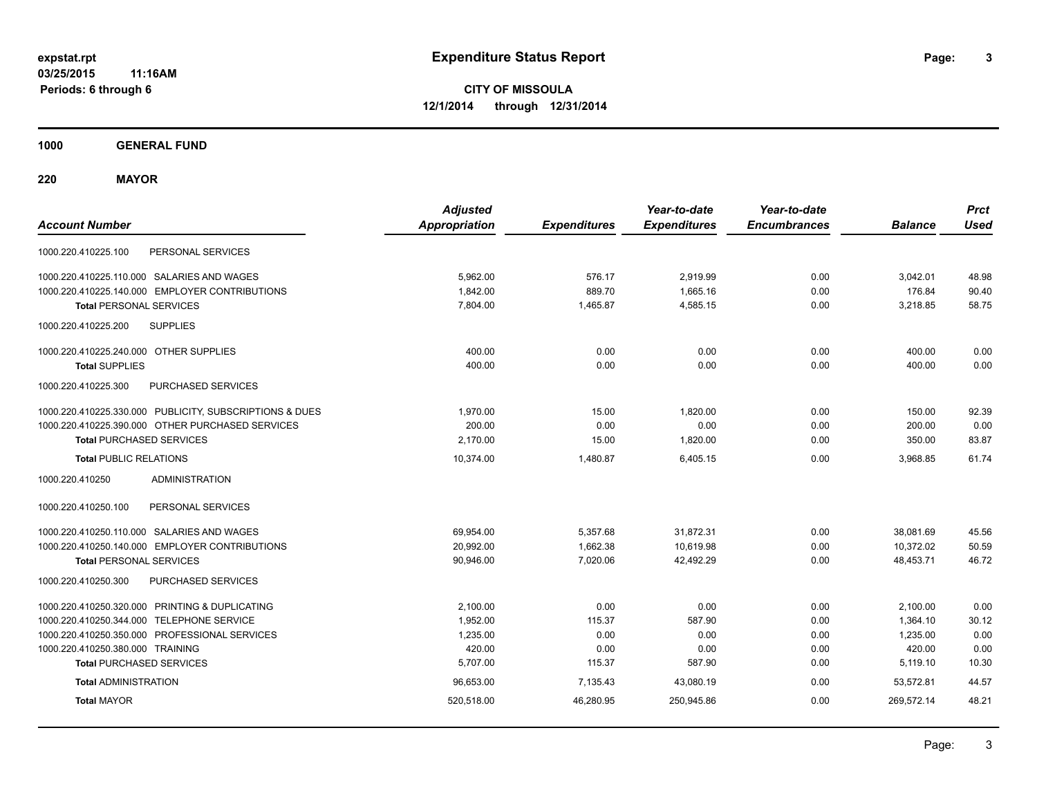**1000 GENERAL FUND**

**220 MAYOR**

| <b>Account Number</b>                                   | <b>Adjusted</b><br><b>Appropriation</b> | <b>Expenditures</b> | Year-to-date<br><b>Expenditures</b> | Year-to-date<br><b>Encumbrances</b> | <b>Balance</b> | <b>Prct</b><br><b>Used</b> |
|---------------------------------------------------------|-----------------------------------------|---------------------|-------------------------------------|-------------------------------------|----------------|----------------------------|
| PERSONAL SERVICES<br>1000.220.410225.100                |                                         |                     |                                     |                                     |                |                            |
| 1000.220.410225.110.000 SALARIES AND WAGES              | 5,962.00                                | 576.17              | 2,919.99                            | 0.00                                | 3,042.01       | 48.98                      |
| 1000.220.410225.140.000 EMPLOYER CONTRIBUTIONS          | 1,842.00                                | 889.70              | 1,665.16                            | 0.00                                | 176.84         | 90.40                      |
| <b>Total PERSONAL SERVICES</b>                          | 7.804.00                                | 1,465.87            | 4,585.15                            | 0.00                                | 3,218.85       | 58.75                      |
| <b>SUPPLIES</b><br>1000.220.410225.200                  |                                         |                     |                                     |                                     |                |                            |
| 1000.220.410225.240.000 OTHER SUPPLIES                  | 400.00                                  | 0.00                | 0.00                                | 0.00                                | 400.00         | 0.00                       |
| <b>Total SUPPLIES</b>                                   | 400.00                                  | 0.00                | 0.00                                | 0.00                                | 400.00         | 0.00                       |
| 1000.220.410225.300<br>PURCHASED SERVICES               |                                         |                     |                                     |                                     |                |                            |
| 1000.220.410225.330.000 PUBLICITY, SUBSCRIPTIONS & DUES | 1,970.00                                | 15.00               | 1,820.00                            | 0.00                                | 150.00         | 92.39                      |
| 1000.220.410225.390.000 OTHER PURCHASED SERVICES        | 200.00                                  | 0.00                | 0.00                                | 0.00                                | 200.00         | 0.00                       |
| <b>Total PURCHASED SERVICES</b>                         | 2,170.00                                | 15.00               | 1,820.00                            | 0.00                                | 350.00         | 83.87                      |
| <b>Total PUBLIC RELATIONS</b>                           | 10.374.00                               | 1,480.87            | 6,405.15                            | 0.00                                | 3.968.85       | 61.74                      |
| 1000.220.410250<br><b>ADMINISTRATION</b>                |                                         |                     |                                     |                                     |                |                            |
| 1000.220.410250.100<br>PERSONAL SERVICES                |                                         |                     |                                     |                                     |                |                            |
| 1000.220.410250.110.000 SALARIES AND WAGES              | 69,954.00                               | 5,357.68            | 31,872.31                           | 0.00                                | 38,081.69      | 45.56                      |
| 1000.220.410250.140.000 EMPLOYER CONTRIBUTIONS          | 20,992.00                               | 1,662.38            | 10,619.98                           | 0.00                                | 10,372.02      | 50.59                      |
| <b>Total PERSONAL SERVICES</b>                          | 90,946.00                               | 7,020.06            | 42,492.29                           | 0.00                                | 48,453.71      | 46.72                      |
| 1000.220.410250.300<br>PURCHASED SERVICES               |                                         |                     |                                     |                                     |                |                            |
| 1000.220.410250.320.000 PRINTING & DUPLICATING          | 2,100.00                                | 0.00                | 0.00                                | 0.00                                | 2,100.00       | 0.00                       |
| 1000.220.410250.344.000 TELEPHONE SERVICE               | 1,952.00                                | 115.37              | 587.90                              | 0.00                                | 1,364.10       | 30.12                      |
| 1000.220.410250.350.000 PROFESSIONAL SERVICES           | 1,235.00                                | 0.00                | 0.00                                | 0.00                                | 1,235.00       | 0.00                       |
| 1000.220.410250.380.000 TRAINING                        | 420.00                                  | 0.00                | 0.00                                | 0.00                                | 420.00         | 0.00                       |
| <b>Total PURCHASED SERVICES</b>                         | 5,707.00                                | 115.37              | 587.90                              | 0.00                                | 5,119.10       | 10.30                      |
| <b>Total ADMINISTRATION</b>                             | 96,653.00                               | 7,135.43            | 43,080.19                           | 0.00                                | 53.572.81      | 44.57                      |
| <b>Total MAYOR</b>                                      | 520,518.00                              | 46,280.95           | 250,945.86                          | 0.00                                | 269,572.14     | 48.21                      |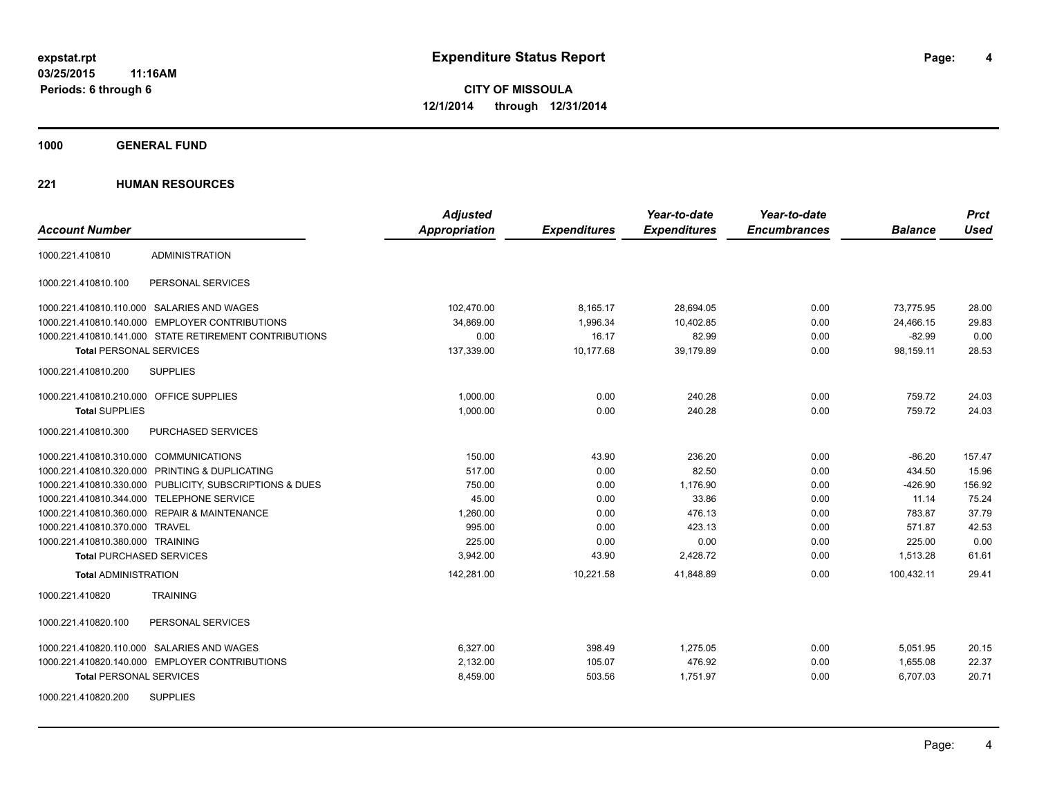**4**

**CITY OF MISSOULA 12/1/2014 through 12/31/2014**

**1000 GENERAL FUND**

|                                                         | <b>Adjusted</b>      |                     | Year-to-date        | Year-to-date        |                | <b>Prct</b> |
|---------------------------------------------------------|----------------------|---------------------|---------------------|---------------------|----------------|-------------|
| <b>Account Number</b>                                   | <b>Appropriation</b> | <b>Expenditures</b> | <b>Expenditures</b> | <b>Encumbrances</b> | <b>Balance</b> | <b>Used</b> |
| <b>ADMINISTRATION</b><br>1000.221.410810                |                      |                     |                     |                     |                |             |
| 1000.221.410810.100<br>PERSONAL SERVICES                |                      |                     |                     |                     |                |             |
| 1000.221.410810.110.000 SALARIES AND WAGES              | 102,470.00           | 8,165.17            | 28,694.05           | 0.00                | 73,775.95      | 28.00       |
| 1000.221.410810.140.000 EMPLOYER CONTRIBUTIONS          | 34.869.00            | 1.996.34            | 10,402.85           | 0.00                | 24,466.15      | 29.83       |
| 1000.221.410810.141.000 STATE RETIREMENT CONTRIBUTIONS  | 0.00                 | 16.17               | 82.99               | 0.00                | $-82.99$       | 0.00        |
| <b>Total PERSONAL SERVICES</b>                          | 137,339.00           | 10,177.68           | 39.179.89           | 0.00                | 98,159.11      | 28.53       |
| 1000.221.410810.200<br><b>SUPPLIES</b>                  |                      |                     |                     |                     |                |             |
| 1000.221.410810.210.000 OFFICE SUPPLIES                 | 1.000.00             | 0.00                | 240.28              | 0.00                | 759.72         | 24.03       |
| <b>Total SUPPLIES</b>                                   | 1,000.00             | 0.00                | 240.28              | 0.00                | 759.72         | 24.03       |
| PURCHASED SERVICES<br>1000.221.410810.300               |                      |                     |                     |                     |                |             |
| 1000.221.410810.310.000 COMMUNICATIONS                  | 150.00               | 43.90               | 236.20              | 0.00                | $-86.20$       | 157.47      |
| 1000.221.410810.320.000 PRINTING & DUPLICATING          | 517.00               | 0.00                | 82.50               | 0.00                | 434.50         | 15.96       |
| 1000.221.410810.330.000 PUBLICITY, SUBSCRIPTIONS & DUES | 750.00               | 0.00                | 1,176.90            | 0.00                | $-426.90$      | 156.92      |
| 1000.221.410810.344.000 TELEPHONE SERVICE               | 45.00                | 0.00                | 33.86               | 0.00                | 11.14          | 75.24       |
| 1000.221.410810.360.000 REPAIR & MAINTENANCE            | 1,260.00             | 0.00                | 476.13              | 0.00                | 783.87         | 37.79       |
| 1000.221.410810.370.000 TRAVEL                          | 995.00               | 0.00                | 423.13              | 0.00                | 571.87         | 42.53       |
| 1000.221.410810.380.000 TRAINING                        | 225.00               | 0.00                | 0.00                | 0.00                | 225.00         | 0.00        |
| <b>Total PURCHASED SERVICES</b>                         | 3,942.00             | 43.90               | 2,428.72            | 0.00                | 1,513.28       | 61.61       |
| <b>Total ADMINISTRATION</b>                             | 142,281.00           | 10,221.58           | 41,848.89           | 0.00                | 100,432.11     | 29.41       |
| 1000.221.410820<br><b>TRAINING</b>                      |                      |                     |                     |                     |                |             |
| 1000.221.410820.100<br>PERSONAL SERVICES                |                      |                     |                     |                     |                |             |
| 1000.221.410820.110.000 SALARIES AND WAGES              | 6.327.00             | 398.49              | 1,275.05            | 0.00                | 5,051.95       | 20.15       |
| 1000.221.410820.140.000 EMPLOYER CONTRIBUTIONS          | 2,132.00             | 105.07              | 476.92              | 0.00                | 1,655.08       | 22.37       |
| <b>Total PERSONAL SERVICES</b>                          | 8,459.00             | 503.56              | 1,751.97            | 0.00                | 6,707.03       | 20.71       |
| <b>SUPPLIES</b><br>1000.221.410820.200                  |                      |                     |                     |                     |                |             |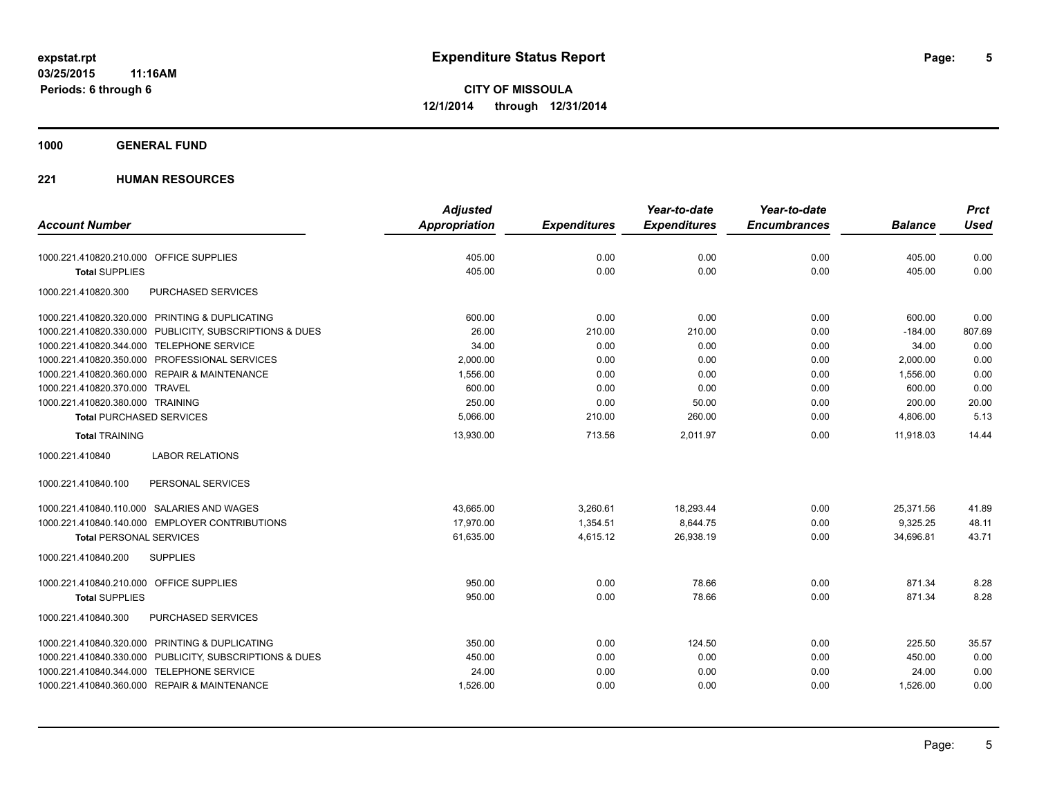#### **1000 GENERAL FUND**

|                                                         | <b>Adjusted</b> |                     | Year-to-date        | Year-to-date        |                | <b>Prct</b> |
|---------------------------------------------------------|-----------------|---------------------|---------------------|---------------------|----------------|-------------|
| <b>Account Number</b>                                   | Appropriation   | <b>Expenditures</b> | <b>Expenditures</b> | <b>Encumbrances</b> | <b>Balance</b> | <b>Used</b> |
| 1000.221.410820.210.000 OFFICE SUPPLIES                 | 405.00          | 0.00                | 0.00                | 0.00                | 405.00         | 0.00        |
| <b>Total SUPPLIES</b>                                   | 405.00          | 0.00                | 0.00                | 0.00                | 405.00         | 0.00        |
| PURCHASED SERVICES<br>1000.221.410820.300               |                 |                     |                     |                     |                |             |
| 1000.221.410820.320.000 PRINTING & DUPLICATING          | 600.00          | 0.00                | 0.00                | 0.00                | 600.00         | 0.00        |
| 1000.221.410820.330.000 PUBLICITY, SUBSCRIPTIONS & DUES | 26.00           | 210.00              | 210.00              | 0.00                | $-184.00$      | 807.69      |
| 1000.221.410820.344.000 TELEPHONE SERVICE               | 34.00           | 0.00                | 0.00                | 0.00                | 34.00          | 0.00        |
| 1000.221.410820.350.000 PROFESSIONAL SERVICES           | 2,000.00        | 0.00                | 0.00                | 0.00                | 2,000.00       | 0.00        |
| 1000.221.410820.360.000 REPAIR & MAINTENANCE            | 1,556.00        | 0.00                | 0.00                | 0.00                | 1.556.00       | 0.00        |
| 1000.221.410820.370.000 TRAVEL                          | 600.00          | 0.00                | 0.00                | 0.00                | 600.00         | 0.00        |
| 1000.221.410820.380.000 TRAINING                        | 250.00          | 0.00                | 50.00               | 0.00                | 200.00         | 20.00       |
| <b>Total PURCHASED SERVICES</b>                         | 5,066.00        | 210.00              | 260.00              | 0.00                | 4,806.00       | 5.13        |
| <b>Total TRAINING</b>                                   | 13,930.00       | 713.56              | 2,011.97            | 0.00                | 11,918.03      | 14.44       |
| <b>LABOR RELATIONS</b><br>1000.221.410840               |                 |                     |                     |                     |                |             |
| PERSONAL SERVICES<br>1000.221.410840.100                |                 |                     |                     |                     |                |             |
| 1000.221.410840.110.000 SALARIES AND WAGES              | 43,665.00       | 3,260.61            | 18,293.44           | 0.00                | 25,371.56      | 41.89       |
| 1000.221.410840.140.000 EMPLOYER CONTRIBUTIONS          | 17,970.00       | 1,354.51            | 8,644.75            | 0.00                | 9,325.25       | 48.11       |
| <b>Total PERSONAL SERVICES</b>                          | 61,635.00       | 4,615.12            | 26,938.19           | 0.00                | 34,696.81      | 43.71       |
| 1000.221.410840.200<br><b>SUPPLIES</b>                  |                 |                     |                     |                     |                |             |
| 1000.221.410840.210.000 OFFICE SUPPLIES                 | 950.00          | 0.00                | 78.66               | 0.00                | 871.34         | 8.28        |
| <b>Total SUPPLIES</b>                                   | 950.00          | 0.00                | 78.66               | 0.00                | 871.34         | 8.28        |
| PURCHASED SERVICES<br>1000.221.410840.300               |                 |                     |                     |                     |                |             |
| 1000.221.410840.320.000 PRINTING & DUPLICATING          | 350.00          | 0.00                | 124.50              | 0.00                | 225.50         | 35.57       |
| 1000.221.410840.330.000 PUBLICITY, SUBSCRIPTIONS & DUES | 450.00          | 0.00                | 0.00                | 0.00                | 450.00         | 0.00        |
| 1000.221.410840.344.000 TELEPHONE SERVICE               | 24.00           | 0.00                | 0.00                | 0.00                | 24.00          | 0.00        |
| 1000.221.410840.360.000 REPAIR & MAINTENANCE            | 1,526.00        | 0.00                | 0.00                | 0.00                | 1,526.00       | 0.00        |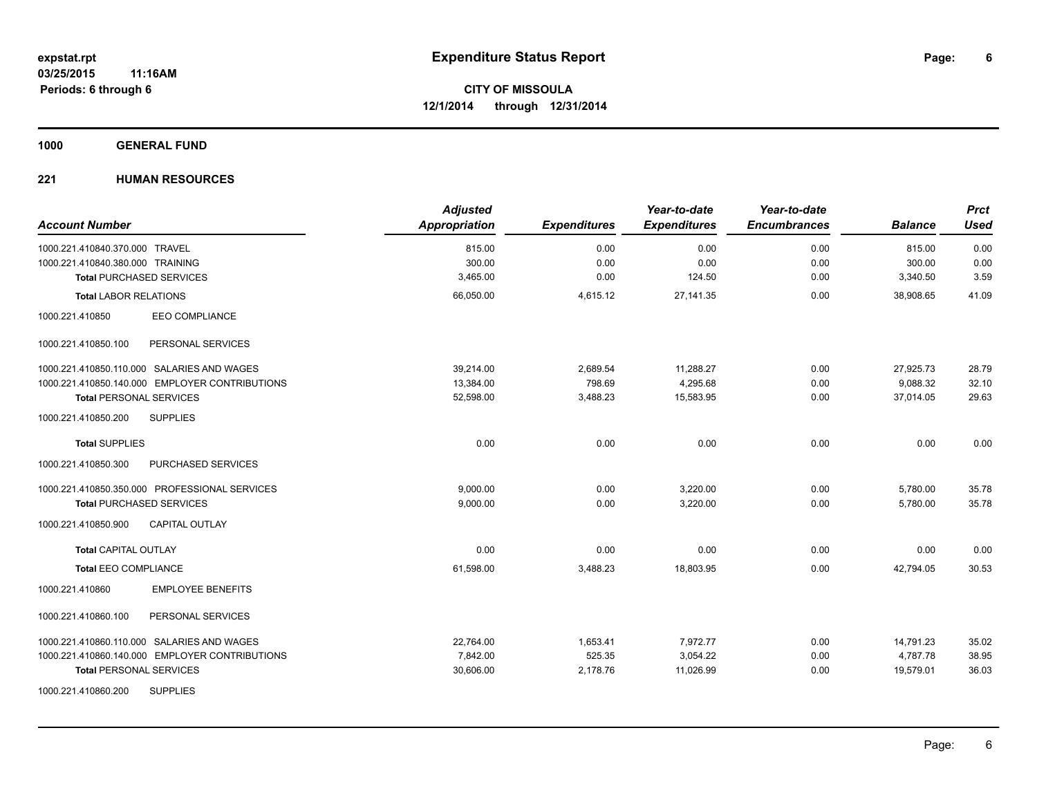**1000 GENERAL FUND**

| <b>Account Number</b>                          | <b>Adjusted</b><br>Appropriation | <b>Expenditures</b> | Year-to-date<br><b>Expenditures</b> | Year-to-date<br><b>Encumbrances</b> | <b>Balance</b> | <b>Prct</b><br><b>Used</b> |
|------------------------------------------------|----------------------------------|---------------------|-------------------------------------|-------------------------------------|----------------|----------------------------|
| 1000.221.410840.370.000 TRAVEL                 | 815.00                           | 0.00                | 0.00                                | 0.00                                | 815.00         | 0.00                       |
| 1000.221.410840.380.000 TRAINING               | 300.00                           | 0.00                | 0.00                                | 0.00                                | 300.00         | 0.00                       |
| <b>Total PURCHASED SERVICES</b>                | 3,465.00                         | 0.00                | 124.50                              | 0.00                                | 3,340.50       | 3.59                       |
| <b>Total LABOR RELATIONS</b>                   | 66,050.00                        | 4,615.12            | 27, 141.35                          | 0.00                                | 38,908.65      | 41.09                      |
| <b>EEO COMPLIANCE</b><br>1000.221.410850       |                                  |                     |                                     |                                     |                |                            |
| PERSONAL SERVICES<br>1000.221.410850.100       |                                  |                     |                                     |                                     |                |                            |
| 1000.221.410850.110.000 SALARIES AND WAGES     | 39.214.00                        | 2,689.54            | 11,288.27                           | 0.00                                | 27,925.73      | 28.79                      |
| 1000.221.410850.140.000 EMPLOYER CONTRIBUTIONS | 13,384.00                        | 798.69              | 4,295.68                            | 0.00                                | 9,088.32       | 32.10                      |
| <b>Total PERSONAL SERVICES</b>                 | 52,598.00                        | 3,488.23            | 15.583.95                           | 0.00                                | 37.014.05      | 29.63                      |
| 1000.221.410850.200<br><b>SUPPLIES</b>         |                                  |                     |                                     |                                     |                |                            |
| <b>Total SUPPLIES</b>                          | 0.00                             | 0.00                | 0.00                                | 0.00                                | 0.00           | 0.00                       |
| 1000.221.410850.300<br>PURCHASED SERVICES      |                                  |                     |                                     |                                     |                |                            |
| 1000.221.410850.350.000 PROFESSIONAL SERVICES  | 9,000.00                         | 0.00                | 3,220.00                            | 0.00                                | 5,780.00       | 35.78                      |
| <b>Total PURCHASED SERVICES</b>                | 9,000.00                         | 0.00                | 3,220.00                            | 0.00                                | 5,780.00       | 35.78                      |
| 1000.221.410850.900<br><b>CAPITAL OUTLAY</b>   |                                  |                     |                                     |                                     |                |                            |
| <b>Total CAPITAL OUTLAY</b>                    | 0.00                             | 0.00                | 0.00                                | 0.00                                | 0.00           | 0.00                       |
| <b>Total EEO COMPLIANCE</b>                    | 61,598.00                        | 3,488.23            | 18,803.95                           | 0.00                                | 42,794.05      | 30.53                      |
| <b>EMPLOYEE BENEFITS</b><br>1000.221.410860    |                                  |                     |                                     |                                     |                |                            |
| 1000.221.410860.100<br>PERSONAL SERVICES       |                                  |                     |                                     |                                     |                |                            |
| 1000.221.410860.110.000 SALARIES AND WAGES     | 22,764.00                        | 1,653.41            | 7,972.77                            | 0.00                                | 14,791.23      | 35.02                      |
| 1000.221.410860.140.000 EMPLOYER CONTRIBUTIONS | 7,842.00                         | 525.35              | 3,054.22                            | 0.00                                | 4,787.78       | 38.95                      |
| <b>Total PERSONAL SERVICES</b>                 | 30,606.00                        | 2,178.76            | 11,026.99                           | 0.00                                | 19,579.01      | 36.03                      |
| <b>SUPPLIES</b><br>1000.221.410860.200         |                                  |                     |                                     |                                     |                |                            |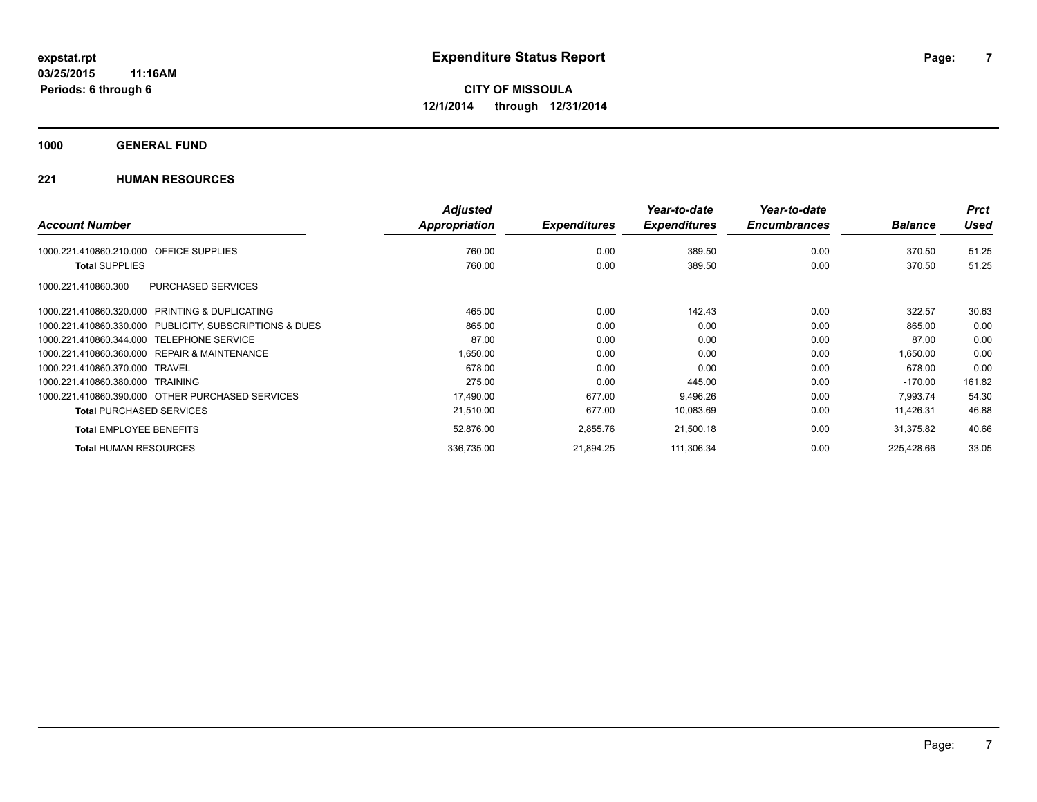**1000 GENERAL FUND**

|                                                              | <b>Adjusted</b>      |                     | Year-to-date        | Year-to-date        |                | <b>Prct</b> |
|--------------------------------------------------------------|----------------------|---------------------|---------------------|---------------------|----------------|-------------|
| <b>Account Number</b>                                        | <b>Appropriation</b> | <b>Expenditures</b> | <b>Expenditures</b> | <b>Encumbrances</b> | <b>Balance</b> | <b>Used</b> |
| OFFICE SUPPLIES<br>1000.221.410860.210.000                   | 760.00               | 0.00                | 389.50              | 0.00                | 370.50         | 51.25       |
| <b>Total SUPPLIES</b>                                        | 760.00               | 0.00                | 389.50              | 0.00                | 370.50         | 51.25       |
| <b>PURCHASED SERVICES</b><br>1000.221.410860.300             |                      |                     |                     |                     |                |             |
| <b>PRINTING &amp; DUPLICATING</b><br>1000.221.410860.320.000 | 465.00               | 0.00                | 142.43              | 0.00                | 322.57         | 30.63       |
| PUBLICITY, SUBSCRIPTIONS & DUES<br>1000.221.410860.330.000   | 865.00               | 0.00                | 0.00                | 0.00                | 865.00         | 0.00        |
| 1000.221.410860.344.000<br><b>TELEPHONE SERVICE</b>          | 87.00                | 0.00                | 0.00                | 0.00                | 87.00          | 0.00        |
| REPAIR & MAINTENANCE<br>1000.221.410860.360.000              | 1,650.00             | 0.00                | 0.00                | 0.00                | 1.650.00       | 0.00        |
| 1000.221.410860.370.000<br>TRAVEL                            | 678.00               | 0.00                | 0.00                | 0.00                | 678.00         | 0.00        |
| 1000.221.410860.380.000<br>TRAINING                          | 275.00               | 0.00                | 445.00              | 0.00                | $-170.00$      | 161.82      |
| 1000.221.410860.390.000 OTHER PURCHASED SERVICES             | 17,490.00            | 677.00              | 9,496.26            | 0.00                | 7.993.74       | 54.30       |
| <b>Total PURCHASED SERVICES</b>                              | 21,510.00            | 677.00              | 10,083.69           | 0.00                | 11,426.31      | 46.88       |
| <b>Total EMPLOYEE BENEFITS</b>                               | 52,876.00            | 2,855.76            | 21,500.18           | 0.00                | 31,375.82      | 40.66       |
| <b>Total HUMAN RESOURCES</b>                                 | 336.735.00           | 21.894.25           | 111.306.34          | 0.00                | 225.428.66     | 33.05       |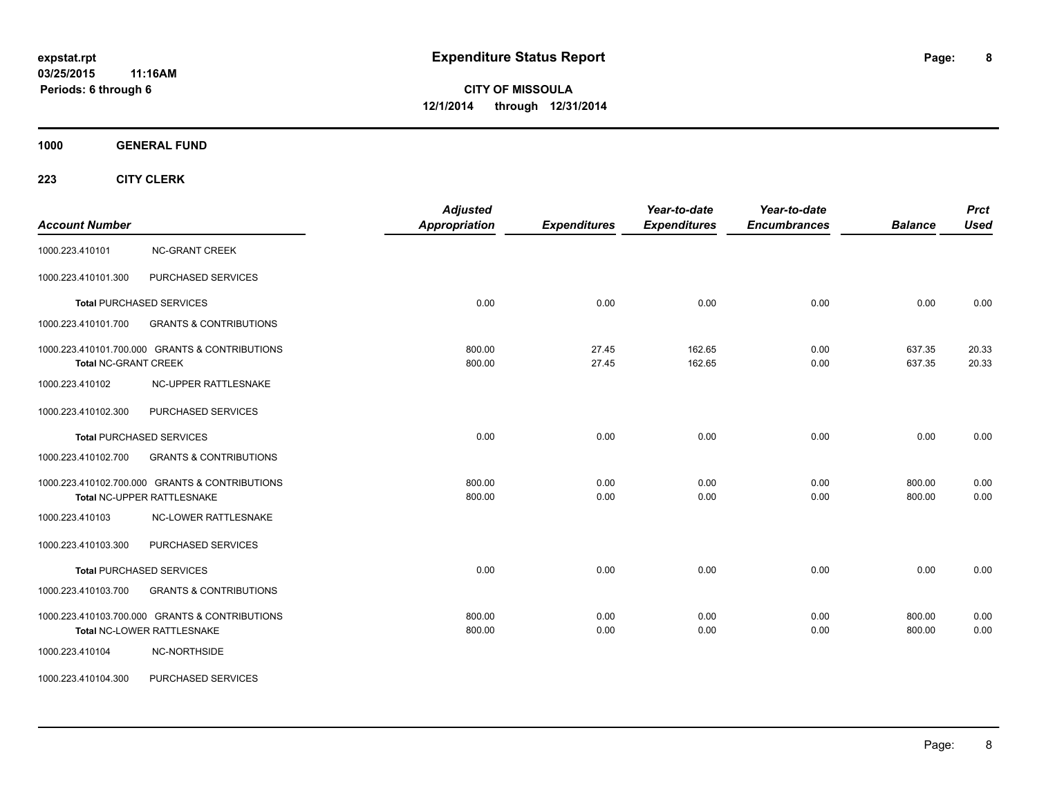**1000 GENERAL FUND**

| <b>Account Number</b>       |                                                                              | <b>Adjusted</b><br><b>Appropriation</b> | <b>Expenditures</b> | Year-to-date<br><b>Expenditures</b> | Year-to-date<br><b>Encumbrances</b> | <b>Balance</b>   | <b>Prct</b><br><b>Used</b> |
|-----------------------------|------------------------------------------------------------------------------|-----------------------------------------|---------------------|-------------------------------------|-------------------------------------|------------------|----------------------------|
| 1000.223.410101             | <b>NC-GRANT CREEK</b>                                                        |                                         |                     |                                     |                                     |                  |                            |
| 1000.223.410101.300         | PURCHASED SERVICES                                                           |                                         |                     |                                     |                                     |                  |                            |
|                             | <b>Total PURCHASED SERVICES</b>                                              | 0.00                                    | 0.00                | 0.00                                | 0.00                                | 0.00             | 0.00                       |
| 1000.223.410101.700         | <b>GRANTS &amp; CONTRIBUTIONS</b>                                            |                                         |                     |                                     |                                     |                  |                            |
| <b>Total NC-GRANT CREEK</b> | 1000.223.410101.700.000 GRANTS & CONTRIBUTIONS                               | 800.00<br>800.00                        | 27.45<br>27.45      | 162.65<br>162.65                    | 0.00<br>0.00                        | 637.35<br>637.35 | 20.33<br>20.33             |
| 1000.223.410102             | NC-UPPER RATTLESNAKE                                                         |                                         |                     |                                     |                                     |                  |                            |
| 1000.223.410102.300         | PURCHASED SERVICES                                                           |                                         |                     |                                     |                                     |                  |                            |
|                             | <b>Total PURCHASED SERVICES</b>                                              | 0.00                                    | 0.00                | 0.00                                | 0.00                                | 0.00             | 0.00                       |
| 1000.223.410102.700         | <b>GRANTS &amp; CONTRIBUTIONS</b>                                            |                                         |                     |                                     |                                     |                  |                            |
|                             | 1000.223.410102.700.000 GRANTS & CONTRIBUTIONS<br>Total NC-UPPER RATTLESNAKE | 800.00<br>800.00                        | 0.00<br>0.00        | 0.00<br>0.00                        | 0.00<br>0.00                        | 800.00<br>800.00 | 0.00<br>0.00               |
| 1000.223.410103             | <b>NC-LOWER RATTLESNAKE</b>                                                  |                                         |                     |                                     |                                     |                  |                            |
| 1000.223.410103.300         | PURCHASED SERVICES                                                           |                                         |                     |                                     |                                     |                  |                            |
|                             | <b>Total PURCHASED SERVICES</b>                                              | 0.00                                    | 0.00                | 0.00                                | 0.00                                | 0.00             | 0.00                       |
| 1000.223.410103.700         | <b>GRANTS &amp; CONTRIBUTIONS</b>                                            |                                         |                     |                                     |                                     |                  |                            |
|                             | 1000.223.410103.700.000 GRANTS & CONTRIBUTIONS<br>Total NC-LOWER RATTLESNAKE | 800.00<br>800.00                        | 0.00<br>0.00        | 0.00<br>0.00                        | 0.00<br>0.00                        | 800.00<br>800.00 | 0.00<br>0.00               |
| 1000.223.410104             | NC-NORTHSIDE                                                                 |                                         |                     |                                     |                                     |                  |                            |
| 1000.223.410104.300         | PURCHASED SERVICES                                                           |                                         |                     |                                     |                                     |                  |                            |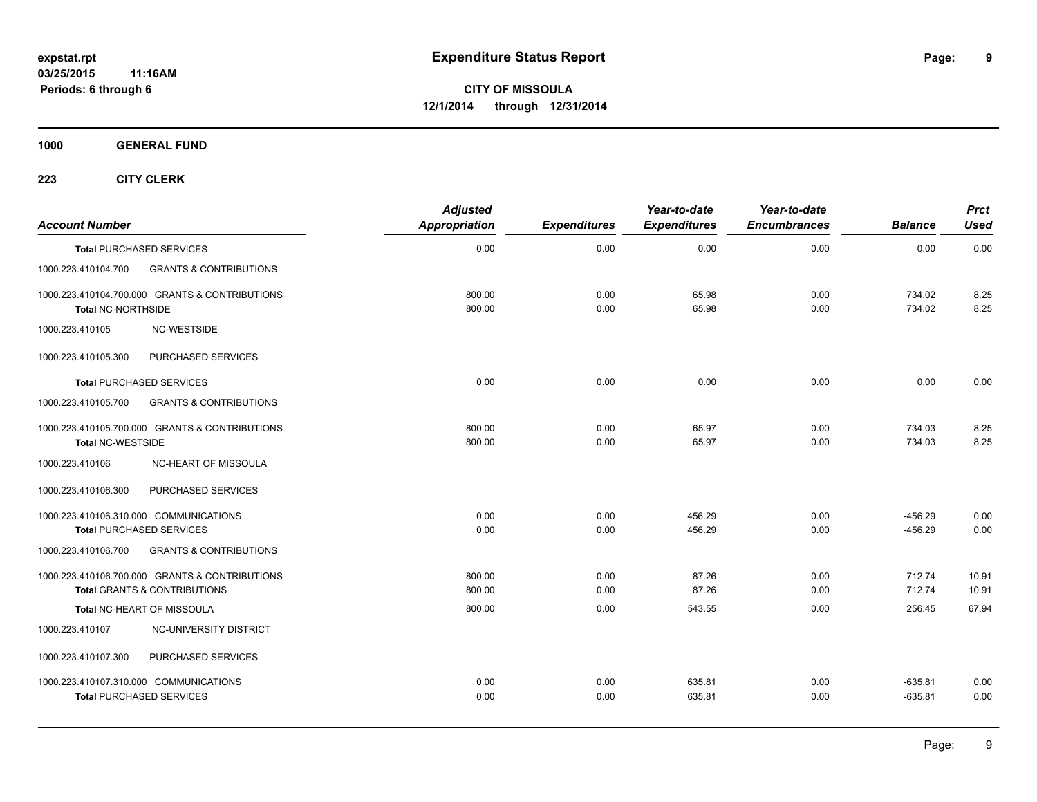**1000 GENERAL FUND**

| <b>Account Number</b>     |                                                                                           | <b>Adjusted</b><br>Appropriation | <b>Expenditures</b> | Year-to-date<br><b>Expenditures</b> | Year-to-date<br><b>Encumbrances</b> | <b>Balance</b>         | <b>Prct</b><br><b>Used</b> |
|---------------------------|-------------------------------------------------------------------------------------------|----------------------------------|---------------------|-------------------------------------|-------------------------------------|------------------------|----------------------------|
|                           | <b>Total PURCHASED SERVICES</b>                                                           | 0.00                             | 0.00                | 0.00                                | 0.00                                | 0.00                   | 0.00                       |
| 1000.223.410104.700       | <b>GRANTS &amp; CONTRIBUTIONS</b>                                                         |                                  |                     |                                     |                                     |                        |                            |
| <b>Total NC-NORTHSIDE</b> | 1000.223.410104.700.000 GRANTS & CONTRIBUTIONS                                            | 800.00<br>800.00                 | 0.00<br>0.00        | 65.98<br>65.98                      | 0.00<br>0.00                        | 734.02<br>734.02       | 8.25<br>8.25               |
| 1000.223.410105           | NC-WESTSIDE                                                                               |                                  |                     |                                     |                                     |                        |                            |
| 1000.223.410105.300       | PURCHASED SERVICES                                                                        |                                  |                     |                                     |                                     |                        |                            |
|                           | <b>Total PURCHASED SERVICES</b>                                                           | 0.00                             | 0.00                | 0.00                                | 0.00                                | 0.00                   | 0.00                       |
| 1000.223.410105.700       | <b>GRANTS &amp; CONTRIBUTIONS</b>                                                         |                                  |                     |                                     |                                     |                        |                            |
| <b>Total NC-WESTSIDE</b>  | 1000.223.410105.700.000 GRANTS & CONTRIBUTIONS                                            | 800.00<br>800.00                 | 0.00<br>0.00        | 65.97<br>65.97                      | 0.00<br>0.00                        | 734.03<br>734.03       | 8.25<br>8.25               |
| 1000.223.410106           | <b>NC-HEART OF MISSOULA</b>                                                               |                                  |                     |                                     |                                     |                        |                            |
| 1000.223.410106.300       | PURCHASED SERVICES                                                                        |                                  |                     |                                     |                                     |                        |                            |
|                           | 1000.223.410106.310.000 COMMUNICATIONS<br><b>Total PURCHASED SERVICES</b>                 | 0.00<br>0.00                     | 0.00<br>0.00        | 456.29<br>456.29                    | 0.00<br>0.00                        | $-456.29$<br>$-456.29$ | 0.00<br>0.00               |
| 1000.223.410106.700       | <b>GRANTS &amp; CONTRIBUTIONS</b>                                                         |                                  |                     |                                     |                                     |                        |                            |
|                           | 1000.223.410106.700.000 GRANTS & CONTRIBUTIONS<br><b>Total GRANTS &amp; CONTRIBUTIONS</b> | 800.00<br>800.00                 | 0.00<br>0.00        | 87.26<br>87.26                      | 0.00<br>0.00                        | 712.74<br>712.74       | 10.91<br>10.91             |
|                           | Total NC-HEART OF MISSOULA                                                                | 800.00                           | 0.00                | 543.55                              | 0.00                                | 256.45                 | 67.94                      |
| 1000.223.410107           | NC-UNIVERSITY DISTRICT                                                                    |                                  |                     |                                     |                                     |                        |                            |
| 1000.223.410107.300       | PURCHASED SERVICES                                                                        |                                  |                     |                                     |                                     |                        |                            |
|                           | 1000.223.410107.310.000 COMMUNICATIONS<br><b>Total PURCHASED SERVICES</b>                 | 0.00<br>0.00                     | 0.00<br>0.00        | 635.81<br>635.81                    | 0.00<br>0.00                        | $-635.81$<br>$-635.81$ | 0.00<br>0.00               |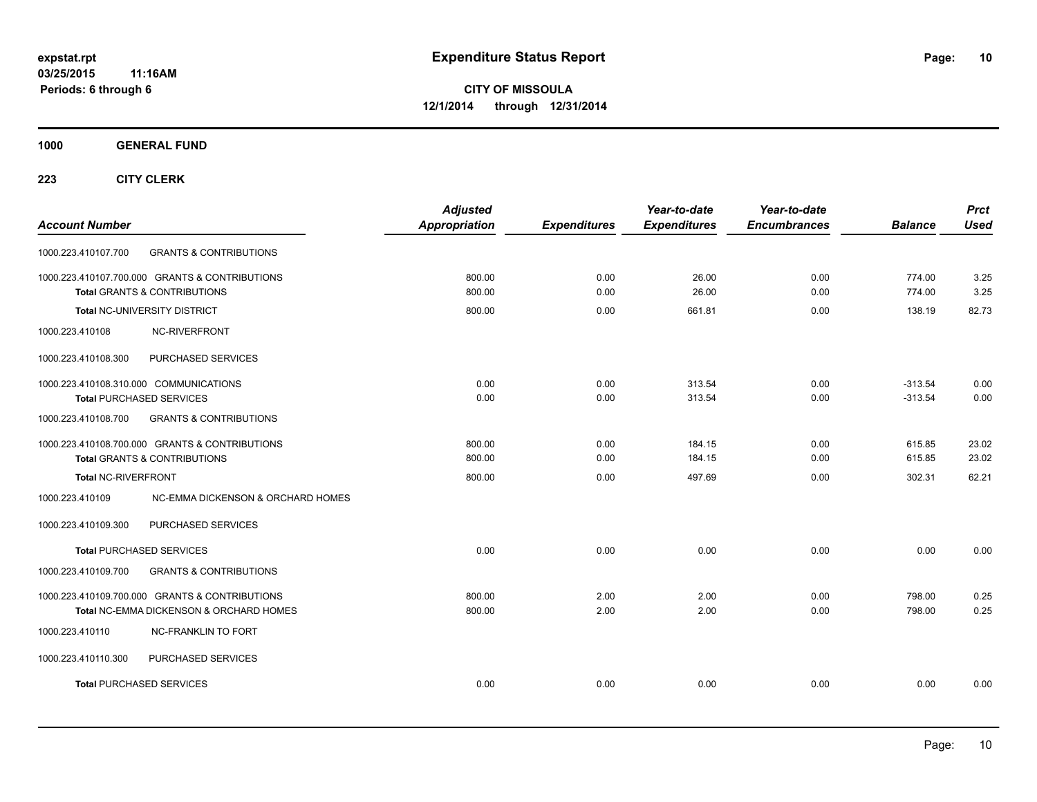**1000 GENERAL FUND**

| <b>Account Number</b>                                                                     | <b>Adjusted</b><br>Appropriation | <b>Expenditures</b> | Year-to-date<br><b>Expenditures</b> | Year-to-date<br><b>Encumbrances</b> | <b>Balance</b>   | <b>Prct</b><br><b>Used</b> |
|-------------------------------------------------------------------------------------------|----------------------------------|---------------------|-------------------------------------|-------------------------------------|------------------|----------------------------|
| <b>GRANTS &amp; CONTRIBUTIONS</b><br>1000.223.410107.700                                  |                                  |                     |                                     |                                     |                  |                            |
| 1000.223.410107.700.000 GRANTS & CONTRIBUTIONS<br><b>Total GRANTS &amp; CONTRIBUTIONS</b> | 800.00<br>800.00                 | 0.00<br>0.00        | 26.00<br>26.00                      | 0.00<br>0.00                        | 774.00<br>774.00 | 3.25<br>3.25               |
| Total NC-UNIVERSITY DISTRICT                                                              | 800.00                           | 0.00                | 661.81                              | 0.00                                | 138.19           | 82.73                      |
| NC-RIVERFRONT<br>1000.223.410108                                                          |                                  |                     |                                     |                                     |                  |                            |
| PURCHASED SERVICES<br>1000.223.410108.300                                                 |                                  |                     |                                     |                                     |                  |                            |
| 1000.223.410108.310.000 COMMUNICATIONS                                                    | 0.00                             | 0.00                | 313.54                              | 0.00                                | $-313.54$        | 0.00                       |
| <b>Total PURCHASED SERVICES</b>                                                           | 0.00                             | 0.00                | 313.54                              | 0.00                                | $-313.54$        | 0.00                       |
| 1000.223.410108.700<br><b>GRANTS &amp; CONTRIBUTIONS</b>                                  |                                  |                     |                                     |                                     |                  |                            |
| 1000.223.410108.700.000 GRANTS & CONTRIBUTIONS                                            | 800.00                           | 0.00                | 184.15                              | 0.00                                | 615.85           | 23.02                      |
| <b>Total GRANTS &amp; CONTRIBUTIONS</b>                                                   | 800.00                           | 0.00                | 184.15                              | 0.00                                | 615.85           | 23.02                      |
| <b>Total NC-RIVERFRONT</b>                                                                | 800.00                           | 0.00                | 497.69                              | 0.00                                | 302.31           | 62.21                      |
| 1000.223.410109<br>NC-EMMA DICKENSON & ORCHARD HOMES                                      |                                  |                     |                                     |                                     |                  |                            |
| PURCHASED SERVICES<br>1000.223.410109.300                                                 |                                  |                     |                                     |                                     |                  |                            |
| <b>Total PURCHASED SERVICES</b>                                                           | 0.00                             | 0.00                | 0.00                                | 0.00                                | 0.00             | 0.00                       |
| 1000.223.410109.700<br><b>GRANTS &amp; CONTRIBUTIONS</b>                                  |                                  |                     |                                     |                                     |                  |                            |
| 1000.223.410109.700.000 GRANTS & CONTRIBUTIONS                                            | 800.00                           | 2.00                | 2.00                                | 0.00                                | 798.00           | 0.25                       |
| Total NC-EMMA DICKENSON & ORCHARD HOMES                                                   | 800.00                           | 2.00                | 2.00                                | 0.00                                | 798.00           | 0.25                       |
| 1000.223.410110<br><b>NC-FRANKLIN TO FORT</b>                                             |                                  |                     |                                     |                                     |                  |                            |
| 1000.223.410110.300<br>PURCHASED SERVICES                                                 |                                  |                     |                                     |                                     |                  |                            |
| <b>Total PURCHASED SERVICES</b>                                                           | 0.00                             | 0.00                | 0.00                                | 0.00                                | 0.00             | 0.00                       |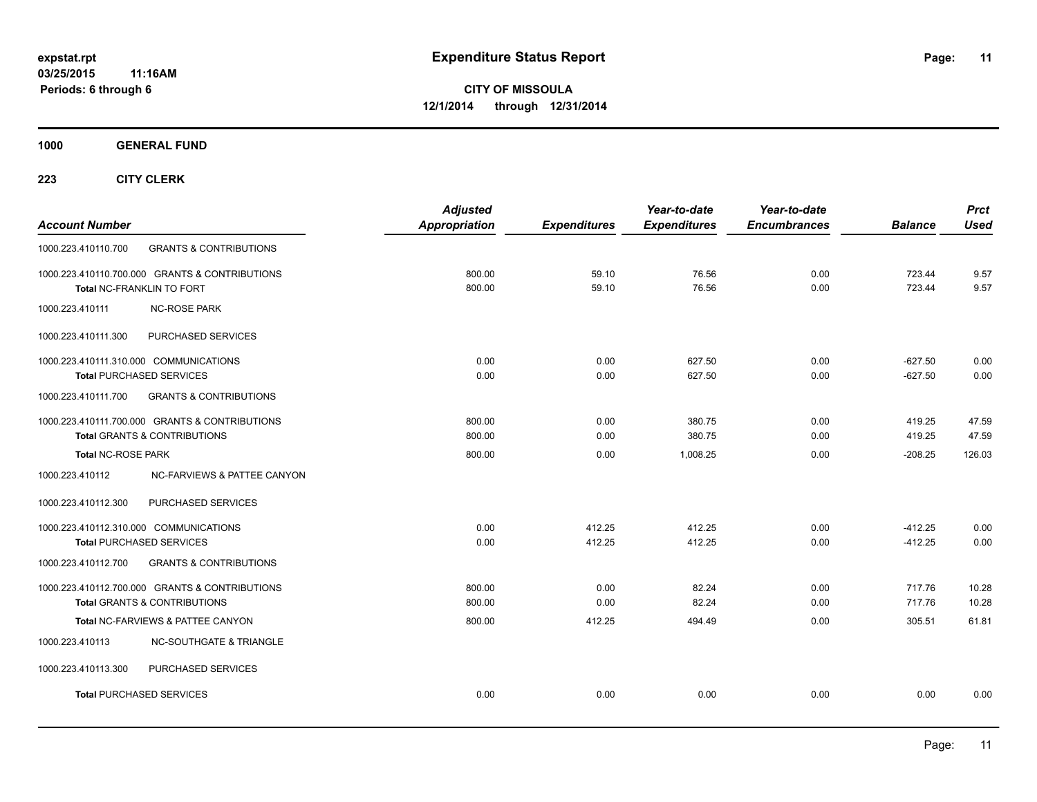**1000 GENERAL FUND**

| <b>Account Number</b>                                                                     | <b>Adjusted</b><br><b>Appropriation</b> | <b>Expenditures</b> | Year-to-date<br><b>Expenditures</b> | Year-to-date<br><b>Encumbrances</b> | <b>Balance</b>         | <b>Prct</b><br><b>Used</b> |
|-------------------------------------------------------------------------------------------|-----------------------------------------|---------------------|-------------------------------------|-------------------------------------|------------------------|----------------------------|
| <b>GRANTS &amp; CONTRIBUTIONS</b><br>1000.223.410110.700                                  |                                         |                     |                                     |                                     |                        |                            |
| 1000.223.410110.700.000 GRANTS & CONTRIBUTIONS<br>Total NC-FRANKLIN TO FORT               | 800.00<br>800.00                        | 59.10<br>59.10      | 76.56<br>76.56                      | 0.00<br>0.00                        | 723.44<br>723.44       | 9.57<br>9.57               |
| <b>NC-ROSE PARK</b><br>1000.223.410111                                                    |                                         |                     |                                     |                                     |                        |                            |
| 1000.223.410111.300<br>PURCHASED SERVICES                                                 |                                         |                     |                                     |                                     |                        |                            |
| 1000.223.410111.310.000 COMMUNICATIONS<br><b>Total PURCHASED SERVICES</b>                 | 0.00<br>0.00                            | 0.00<br>0.00        | 627.50<br>627.50                    | 0.00<br>0.00                        | $-627.50$<br>$-627.50$ | 0.00<br>0.00               |
| 1000.223.410111.700<br><b>GRANTS &amp; CONTRIBUTIONS</b>                                  |                                         |                     |                                     |                                     |                        |                            |
| 1000.223.410111.700.000 GRANTS & CONTRIBUTIONS<br>Total GRANTS & CONTRIBUTIONS            | 800.00<br>800.00                        | 0.00<br>0.00        | 380.75<br>380.75                    | 0.00<br>0.00                        | 419.25<br>419.25       | 47.59<br>47.59             |
| <b>Total NC-ROSE PARK</b>                                                                 | 800.00                                  | 0.00                | 1.008.25                            | 0.00                                | $-208.25$              | 126.03                     |
| 1000.223.410112<br>NC-FARVIEWS & PATTEE CANYON                                            |                                         |                     |                                     |                                     |                        |                            |
| PURCHASED SERVICES<br>1000.223.410112.300                                                 |                                         |                     |                                     |                                     |                        |                            |
| 1000.223.410112.310.000 COMMUNICATIONS<br><b>Total PURCHASED SERVICES</b>                 | 0.00<br>0.00                            | 412.25<br>412.25    | 412.25<br>412.25                    | 0.00<br>0.00                        | $-412.25$<br>$-412.25$ | 0.00<br>0.00               |
| 1000.223.410112.700<br><b>GRANTS &amp; CONTRIBUTIONS</b>                                  |                                         |                     |                                     |                                     |                        |                            |
| 1000.223.410112.700.000 GRANTS & CONTRIBUTIONS<br><b>Total GRANTS &amp; CONTRIBUTIONS</b> | 800.00<br>800.00                        | 0.00<br>0.00        | 82.24<br>82.24                      | 0.00<br>0.00                        | 717.76<br>717.76       | 10.28<br>10.28             |
| Total NC-FARVIEWS & PATTEE CANYON                                                         | 800.00                                  | 412.25              | 494.49                              | 0.00                                | 305.51                 | 61.81                      |
| <b>NC-SOUTHGATE &amp; TRIANGLE</b><br>1000.223.410113                                     |                                         |                     |                                     |                                     |                        |                            |
| 1000.223.410113.300<br>PURCHASED SERVICES                                                 |                                         |                     |                                     |                                     |                        |                            |
| <b>Total PURCHASED SERVICES</b>                                                           | 0.00                                    | 0.00                | 0.00                                | 0.00                                | 0.00                   | 0.00                       |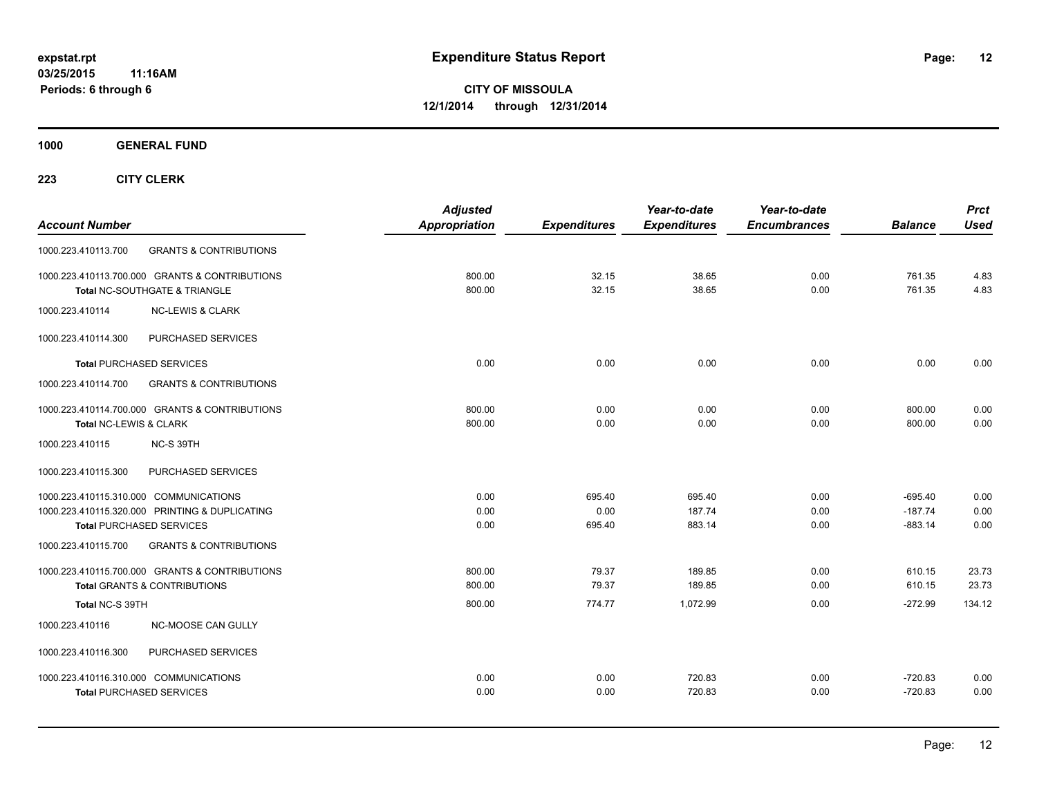**1000 GENERAL FUND**

| <b>Account Number</b>                                    | <b>Adjusted</b><br><b>Appropriation</b> | <b>Expenditures</b> | Year-to-date<br><b>Expenditures</b> | Year-to-date<br><b>Encumbrances</b> | <b>Balance</b> | <b>Prct</b><br><b>Used</b> |
|----------------------------------------------------------|-----------------------------------------|---------------------|-------------------------------------|-------------------------------------|----------------|----------------------------|
| <b>GRANTS &amp; CONTRIBUTIONS</b><br>1000.223.410113.700 |                                         |                     |                                     |                                     |                |                            |
| 1000.223.410113.700.000 GRANTS & CONTRIBUTIONS           | 800.00                                  | 32.15               | 38.65                               | 0.00                                | 761.35         | 4.83                       |
| Total NC-SOUTHGATE & TRIANGLE                            | 800.00                                  | 32.15               | 38.65                               | 0.00                                | 761.35         | 4.83                       |
| <b>NC-LEWIS &amp; CLARK</b><br>1000.223.410114           |                                         |                     |                                     |                                     |                |                            |
| 1000.223.410114.300<br>PURCHASED SERVICES                |                                         |                     |                                     |                                     |                |                            |
| <b>Total PURCHASED SERVICES</b>                          | 0.00                                    | 0.00                | 0.00                                | 0.00                                | 0.00           | 0.00                       |
| <b>GRANTS &amp; CONTRIBUTIONS</b><br>1000.223.410114.700 |                                         |                     |                                     |                                     |                |                            |
| 1000.223.410114.700.000 GRANTS & CONTRIBUTIONS           | 800.00                                  | 0.00                | 0.00                                | 0.00                                | 800.00         | 0.00                       |
| Total NC-LEWIS & CLARK                                   | 800.00                                  | 0.00                | 0.00                                | 0.00                                | 800.00         | 0.00                       |
| 1000.223.410115<br>NC-S 39TH                             |                                         |                     |                                     |                                     |                |                            |
| PURCHASED SERVICES<br>1000.223.410115.300                |                                         |                     |                                     |                                     |                |                            |
| 1000.223.410115.310.000 COMMUNICATIONS                   | 0.00                                    | 695.40              | 695.40                              | 0.00                                | $-695.40$      | 0.00                       |
| 1000.223.410115.320.000 PRINTING & DUPLICATING           | 0.00                                    | 0.00                | 187.74                              | 0.00                                | $-187.74$      | 0.00                       |
| <b>Total PURCHASED SERVICES</b>                          | 0.00                                    | 695.40              | 883.14                              | 0.00                                | $-883.14$      | 0.00                       |
| 1000.223.410115.700<br><b>GRANTS &amp; CONTRIBUTIONS</b> |                                         |                     |                                     |                                     |                |                            |
| 1000.223.410115.700.000 GRANTS & CONTRIBUTIONS           | 800.00                                  | 79.37               | 189.85                              | 0.00                                | 610.15         | 23.73                      |
| <b>Total GRANTS &amp; CONTRIBUTIONS</b>                  | 800.00                                  | 79.37               | 189.85                              | 0.00                                | 610.15         | 23.73                      |
| Total NC-S 39TH                                          | 800.00                                  | 774.77              | 1,072.99                            | 0.00                                | $-272.99$      | 134.12                     |
| NC-MOOSE CAN GULLY<br>1000.223.410116                    |                                         |                     |                                     |                                     |                |                            |
| 1000.223.410116.300<br>PURCHASED SERVICES                |                                         |                     |                                     |                                     |                |                            |
| 1000.223.410116.310.000 COMMUNICATIONS                   | 0.00                                    | 0.00                | 720.83                              | 0.00                                | $-720.83$      | 0.00                       |
| <b>Total PURCHASED SERVICES</b>                          | 0.00                                    | 0.00                | 720.83                              | 0.00                                | $-720.83$      | 0.00                       |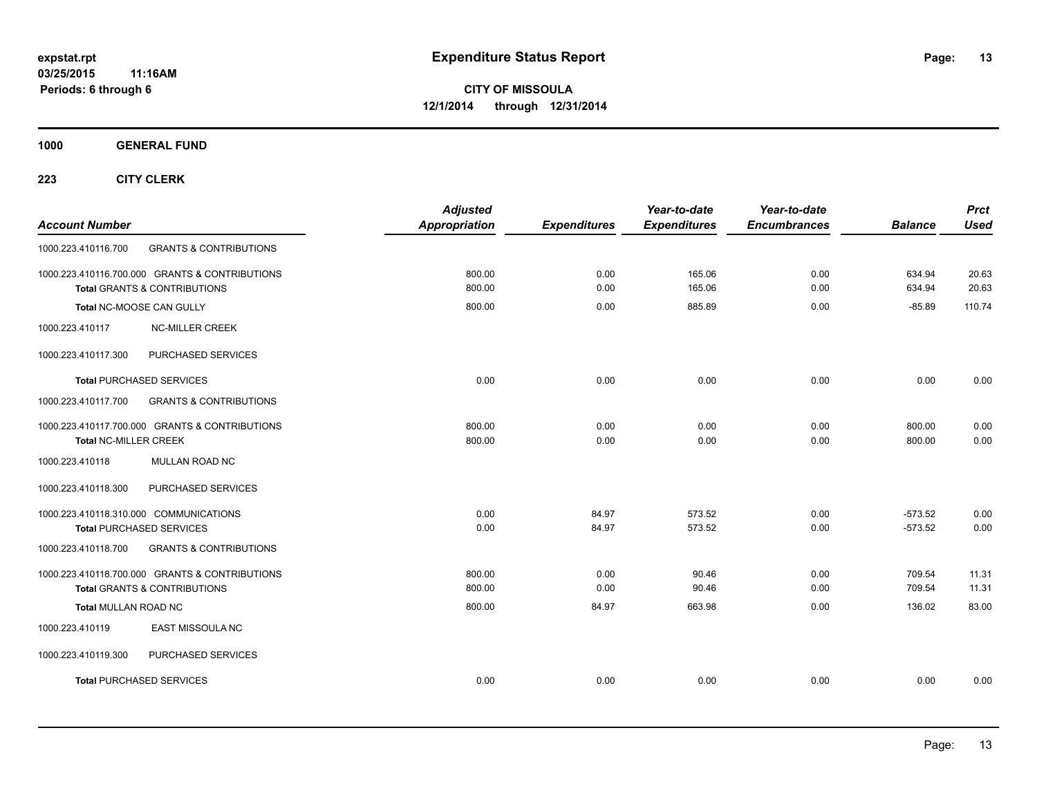**1000 GENERAL FUND**

| <b>Account Number</b>                                                                     | <b>Adjusted</b><br><b>Appropriation</b> | <b>Expenditures</b> | Year-to-date<br><b>Expenditures</b> | Year-to-date<br><b>Encumbrances</b> | <b>Balance</b>         | <b>Prct</b><br><b>Used</b> |
|-------------------------------------------------------------------------------------------|-----------------------------------------|---------------------|-------------------------------------|-------------------------------------|------------------------|----------------------------|
| <b>GRANTS &amp; CONTRIBUTIONS</b><br>1000.223.410116.700                                  |                                         |                     |                                     |                                     |                        |                            |
| 1000.223.410116.700.000 GRANTS & CONTRIBUTIONS<br><b>Total GRANTS &amp; CONTRIBUTIONS</b> | 800.00<br>800.00                        | 0.00<br>0.00        | 165.06<br>165.06                    | 0.00<br>0.00                        | 634.94<br>634.94       | 20.63<br>20.63             |
| Total NC-MOOSE CAN GULLY                                                                  | 800.00                                  | 0.00                | 885.89                              | 0.00                                | $-85.89$               | 110.74                     |
| <b>NC-MILLER CREEK</b><br>1000.223.410117                                                 |                                         |                     |                                     |                                     |                        |                            |
| 1000.223.410117.300<br>PURCHASED SERVICES                                                 |                                         |                     |                                     |                                     |                        |                            |
| <b>Total PURCHASED SERVICES</b>                                                           | 0.00                                    | 0.00                | 0.00                                | 0.00                                | 0.00                   | 0.00                       |
| <b>GRANTS &amp; CONTRIBUTIONS</b><br>1000.223.410117.700                                  |                                         |                     |                                     |                                     |                        |                            |
| 1000.223.410117.700.000 GRANTS & CONTRIBUTIONS<br><b>Total NC-MILLER CREEK</b>            | 800.00<br>800.00                        | 0.00<br>0.00        | 0.00<br>0.00                        | 0.00<br>0.00                        | 800.00<br>800.00       | 0.00<br>0.00               |
| <b>MULLAN ROAD NC</b><br>1000.223.410118                                                  |                                         |                     |                                     |                                     |                        |                            |
| 1000.223.410118.300<br>PURCHASED SERVICES                                                 |                                         |                     |                                     |                                     |                        |                            |
| 1000.223.410118.310.000 COMMUNICATIONS<br><b>Total PURCHASED SERVICES</b>                 | 0.00<br>0.00                            | 84.97<br>84.97      | 573.52<br>573.52                    | 0.00<br>0.00                        | $-573.52$<br>$-573.52$ | 0.00<br>0.00               |
| 1000.223.410118.700<br><b>GRANTS &amp; CONTRIBUTIONS</b>                                  |                                         |                     |                                     |                                     |                        |                            |
| 1000.223.410118.700.000 GRANTS & CONTRIBUTIONS<br><b>Total GRANTS &amp; CONTRIBUTIONS</b> | 800.00<br>800.00                        | 0.00<br>0.00        | 90.46<br>90.46                      | 0.00<br>0.00                        | 709.54<br>709.54       | 11.31<br>11.31             |
| <b>Total MULLAN ROAD NC</b>                                                               | 800.00                                  | 84.97               | 663.98                              | 0.00                                | 136.02                 | 83.00                      |
| 1000.223.410119<br><b>EAST MISSOULA NC</b>                                                |                                         |                     |                                     |                                     |                        |                            |
| PURCHASED SERVICES<br>1000.223.410119.300                                                 |                                         |                     |                                     |                                     |                        |                            |
| <b>Total PURCHASED SERVICES</b>                                                           | 0.00                                    | 0.00                | 0.00                                | 0.00                                | 0.00                   | 0.00                       |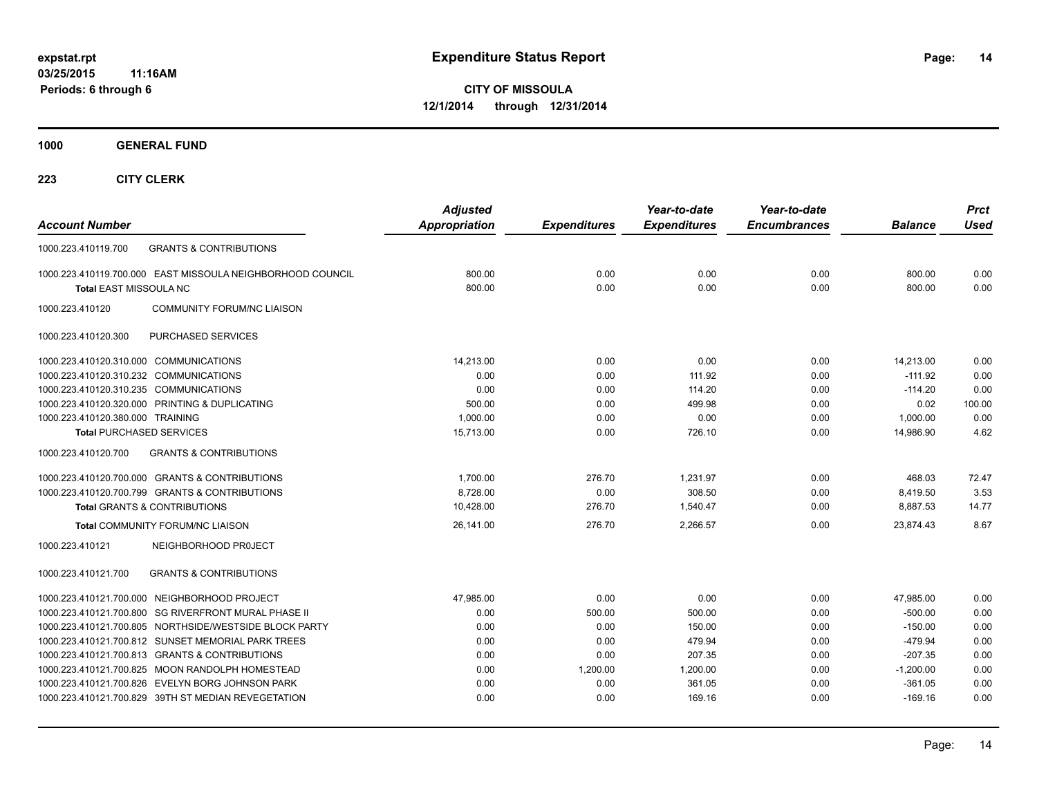**1000 GENERAL FUND**

| <b>Account Number</b>                                      | <b>Adjusted</b><br><b>Appropriation</b> | <b>Expenditures</b> | Year-to-date<br><b>Expenditures</b> | Year-to-date<br><b>Encumbrances</b> | <b>Balance</b> | <b>Prct</b><br><b>Used</b> |
|------------------------------------------------------------|-----------------------------------------|---------------------|-------------------------------------|-------------------------------------|----------------|----------------------------|
| <b>GRANTS &amp; CONTRIBUTIONS</b><br>1000.223.410119.700   |                                         |                     |                                     |                                     |                |                            |
| 1000.223.410119.700.000 EAST MISSOULA NEIGHBORHOOD COUNCIL | 800.00                                  | 0.00                | 0.00                                | 0.00                                | 800.00         | 0.00                       |
| Total EAST MISSOULA NC                                     | 800.00                                  | 0.00                | 0.00                                | 0.00                                | 800.00         | 0.00                       |
| 1000.223.410120<br><b>COMMUNITY FORUM/NC LIAISON</b>       |                                         |                     |                                     |                                     |                |                            |
| PURCHASED SERVICES<br>1000.223.410120.300                  |                                         |                     |                                     |                                     |                |                            |
| 1000.223.410120.310.000 COMMUNICATIONS                     | 14.213.00                               | 0.00                | 0.00                                | 0.00                                | 14,213.00      | 0.00                       |
| 1000.223.410120.310.232 COMMUNICATIONS                     | 0.00                                    | 0.00                | 111.92                              | 0.00                                | $-111.92$      | 0.00                       |
| 1000.223.410120.310.235 COMMUNICATIONS                     | 0.00                                    | 0.00                | 114.20                              | 0.00                                | $-114.20$      | 0.00                       |
| 1000.223.410120.320.000 PRINTING & DUPLICATING             | 500.00                                  | 0.00                | 499.98                              | 0.00                                | 0.02           | 100.00                     |
| 1000.223.410120.380.000 TRAINING                           | 1.000.00                                | 0.00                | 0.00                                | 0.00                                | 1,000.00       | 0.00                       |
| <b>Total PURCHASED SERVICES</b>                            | 15,713.00                               | 0.00                | 726.10                              | 0.00                                | 14,986.90      | 4.62                       |
| 1000.223.410120.700<br><b>GRANTS &amp; CONTRIBUTIONS</b>   |                                         |                     |                                     |                                     |                |                            |
| 1000.223.410120.700.000 GRANTS & CONTRIBUTIONS             | 1,700.00                                | 276.70              | 1.231.97                            | 0.00                                | 468.03         | 72.47                      |
| 1000.223.410120.700.799 GRANTS & CONTRIBUTIONS             | 8,728.00                                | 0.00                | 308.50                              | 0.00                                | 8,419.50       | 3.53                       |
| <b>Total GRANTS &amp; CONTRIBUTIONS</b>                    | 10,428.00                               | 276.70              | 1.540.47                            | 0.00                                | 8,887.53       | 14.77                      |
| Total COMMUNITY FORUM/NC LIAISON                           | 26,141.00                               | 276.70              | 2,266.57                            | 0.00                                | 23,874.43      | 8.67                       |
| 1000.223.410121<br>NEIGHBORHOOD PROJECT                    |                                         |                     |                                     |                                     |                |                            |
| <b>GRANTS &amp; CONTRIBUTIONS</b><br>1000.223.410121.700   |                                         |                     |                                     |                                     |                |                            |
| 1000.223.410121.700.000 NEIGHBORHOOD PROJECT               | 47,985.00                               | 0.00                | 0.00                                | 0.00                                | 47,985.00      | 0.00                       |
| 1000.223.410121.700.800 SG RIVERFRONT MURAL PHASE II       | 0.00                                    | 500.00              | 500.00                              | 0.00                                | $-500.00$      | 0.00                       |
| 1000.223.410121.700.805 NORTHSIDE/WESTSIDE BLOCK PARTY     | 0.00                                    | 0.00                | 150.00                              | 0.00                                | $-150.00$      | 0.00                       |
| 1000.223.410121.700.812 SUNSET MEMORIAL PARK TREES         | 0.00                                    | 0.00                | 479.94                              | 0.00                                | $-479.94$      | 0.00                       |
| 1000.223.410121.700.813 GRANTS & CONTRIBUTIONS             | 0.00                                    | 0.00                | 207.35                              | 0.00                                | $-207.35$      | 0.00                       |
| 1000.223.410121.700.825 MOON RANDOLPH HOMESTEAD            | 0.00                                    | 1,200.00            | 1,200.00                            | 0.00                                | $-1,200.00$    | 0.00                       |
| 1000.223.410121.700.826 EVELYN BORG JOHNSON PARK           | 0.00                                    | 0.00                | 361.05                              | 0.00                                | $-361.05$      | 0.00                       |
| 1000.223.410121.700.829 39TH ST MEDIAN REVEGETATION        | 0.00                                    | 0.00                | 169.16                              | 0.00                                | $-169.16$      | 0.00                       |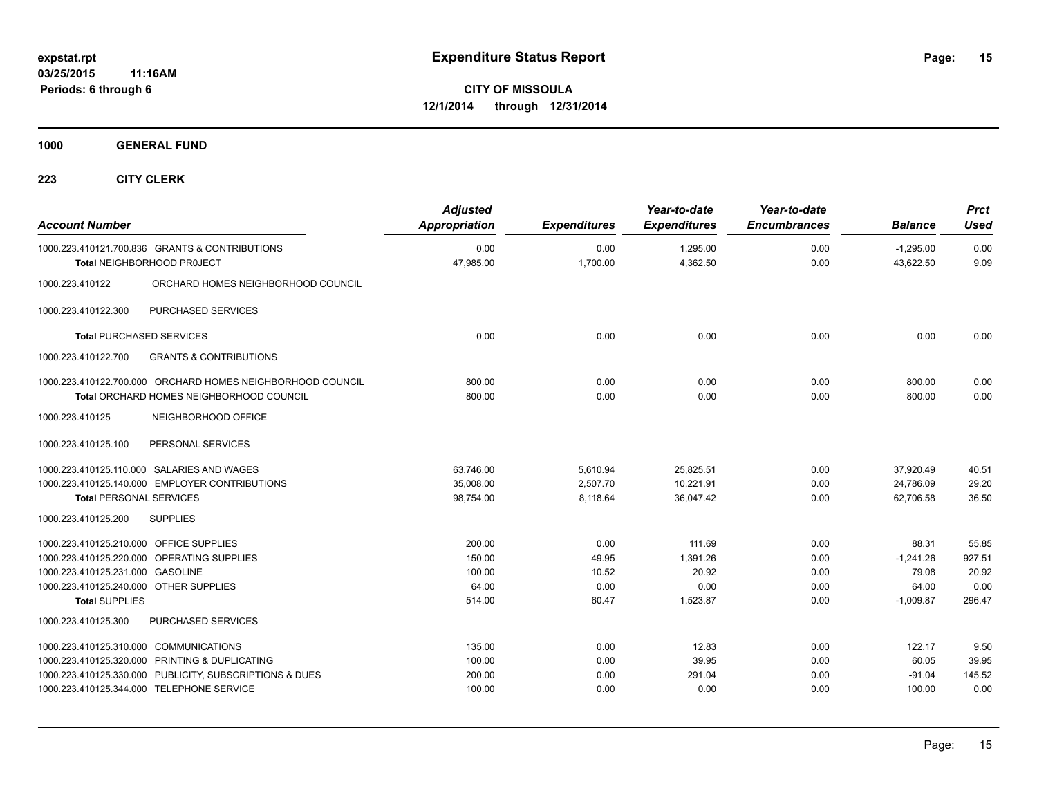**1000 GENERAL FUND**

| <b>Account Number</b>                                                                                                                          |                                                                                                                                                        | <b>Adjusted</b><br><b>Appropriation</b>       | <b>Expenditures</b>                     | Year-to-date<br><b>Expenditures</b>             | Year-to-date<br><b>Encumbrances</b>  | <b>Balance</b>                                        | <b>Prct</b><br><b>Used</b>                 |
|------------------------------------------------------------------------------------------------------------------------------------------------|--------------------------------------------------------------------------------------------------------------------------------------------------------|-----------------------------------------------|-----------------------------------------|-------------------------------------------------|--------------------------------------|-------------------------------------------------------|--------------------------------------------|
|                                                                                                                                                | 1000.223.410121.700.836 GRANTS & CONTRIBUTIONS<br>Total NEIGHBORHOOD PROJECT                                                                           | 0.00<br>47,985.00                             | 0.00<br>1,700.00                        | 1,295.00<br>4,362.50                            | 0.00<br>0.00                         | $-1,295.00$<br>43,622.50                              | 0.00<br>9.09                               |
| 1000.223.410122                                                                                                                                | ORCHARD HOMES NEIGHBORHOOD COUNCIL                                                                                                                     |                                               |                                         |                                                 |                                      |                                                       |                                            |
| 1000.223.410122.300                                                                                                                            | PURCHASED SERVICES                                                                                                                                     |                                               |                                         |                                                 |                                      |                                                       |                                            |
| <b>Total PURCHASED SERVICES</b>                                                                                                                |                                                                                                                                                        | 0.00                                          | 0.00                                    | 0.00                                            | 0.00                                 | 0.00                                                  | 0.00                                       |
| 1000.223.410122.700                                                                                                                            | <b>GRANTS &amp; CONTRIBUTIONS</b>                                                                                                                      |                                               |                                         |                                                 |                                      |                                                       |                                            |
|                                                                                                                                                | 1000.223.410122.700.000 ORCHARD HOMES NEIGHBORHOOD COUNCIL<br><b>Total ORCHARD HOMES NEIGHBORHOOD COUNCIL</b>                                          | 800.00<br>800.00                              | 0.00<br>0.00                            | 0.00<br>0.00                                    | 0.00<br>0.00                         | 800.00<br>800.00                                      | 0.00<br>0.00                               |
| 1000.223.410125                                                                                                                                | NEIGHBORHOOD OFFICE                                                                                                                                    |                                               |                                         |                                                 |                                      |                                                       |                                            |
| 1000.223.410125.100                                                                                                                            | PERSONAL SERVICES                                                                                                                                      |                                               |                                         |                                                 |                                      |                                                       |                                            |
| <b>Total PERSONAL SERVICES</b><br>1000.223.410125.200                                                                                          | 1000.223.410125.110.000 SALARIES AND WAGES<br>1000.223.410125.140.000 EMPLOYER CONTRIBUTIONS<br><b>SUPPLIES</b>                                        | 63,746.00<br>35,008.00<br>98,754.00           | 5,610.94<br>2,507.70<br>8,118.64        | 25,825.51<br>10,221.91<br>36,047.42             | 0.00<br>0.00<br>0.00                 | 37,920.49<br>24,786.09<br>62.706.58                   | 40.51<br>29.20<br>36.50                    |
| 1000.223.410125.210.000 OFFICE SUPPLIES<br>1000.223.410125.231.000 GASOLINE<br>1000.223.410125.240.000 OTHER SUPPLIES<br><b>Total SUPPLIES</b> | 1000.223.410125.220.000 OPERATING SUPPLIES                                                                                                             | 200.00<br>150.00<br>100.00<br>64.00<br>514.00 | 0.00<br>49.95<br>10.52<br>0.00<br>60.47 | 111.69<br>1,391.26<br>20.92<br>0.00<br>1,523.87 | 0.00<br>0.00<br>0.00<br>0.00<br>0.00 | 88.31<br>$-1,241.26$<br>79.08<br>64.00<br>$-1,009.87$ | 55.85<br>927.51<br>20.92<br>0.00<br>296.47 |
| 1000.223.410125.300                                                                                                                            | PURCHASED SERVICES                                                                                                                                     |                                               |                                         |                                                 |                                      |                                                       |                                            |
| 1000.223.410125.310.000 COMMUNICATIONS                                                                                                         | 1000.223.410125.320.000 PRINTING & DUPLICATING<br>1000.223.410125.330.000 PUBLICITY, SUBSCRIPTIONS & DUES<br>1000.223.410125.344.000 TELEPHONE SERVICE | 135.00<br>100.00<br>200.00<br>100.00          | 0.00<br>0.00<br>0.00<br>0.00            | 12.83<br>39.95<br>291.04<br>0.00                | 0.00<br>0.00<br>0.00<br>0.00         | 122.17<br>60.05<br>$-91.04$<br>100.00                 | 9.50<br>39.95<br>145.52<br>0.00            |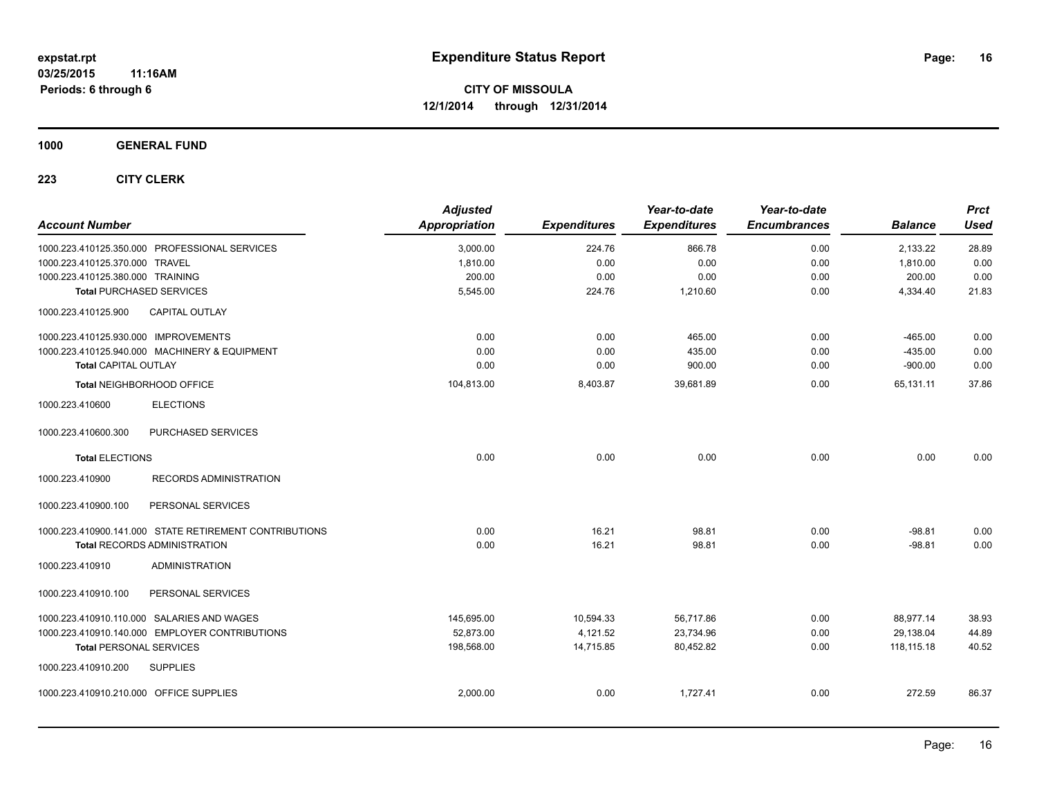**1000 GENERAL FUND**

| <b>Account Number</b>                      |                                                        | <b>Adjusted</b><br><b>Appropriation</b> | <b>Expenditures</b> | Year-to-date<br><b>Expenditures</b> | Year-to-date<br><b>Encumbrances</b> | <b>Balance</b> | <b>Prct</b><br><b>Used</b> |
|--------------------------------------------|--------------------------------------------------------|-----------------------------------------|---------------------|-------------------------------------|-------------------------------------|----------------|----------------------------|
|                                            | 1000.223.410125.350.000 PROFESSIONAL SERVICES          | 3,000.00                                | 224.76              | 866.78                              | 0.00                                | 2,133.22       | 28.89                      |
| 1000.223.410125.370.000 TRAVEL             |                                                        | 1,810.00                                | 0.00                | 0.00                                | 0.00                                | 1,810.00       | 0.00                       |
| 1000.223.410125.380.000 TRAINING           |                                                        | 200.00                                  | 0.00                | 0.00                                | 0.00                                | 200.00         | 0.00                       |
| <b>Total PURCHASED SERVICES</b>            |                                                        | 5,545.00                                | 224.76              | 1,210.60                            | 0.00                                | 4,334.40       | 21.83                      |
| 1000.223.410125.900                        | <b>CAPITAL OUTLAY</b>                                  |                                         |                     |                                     |                                     |                |                            |
| 1000.223.410125.930.000 IMPROVEMENTS       |                                                        | 0.00                                    | 0.00                | 465.00                              | 0.00                                | $-465.00$      | 0.00                       |
|                                            | 1000.223.410125.940.000 MACHINERY & EQUIPMENT          | 0.00                                    | 0.00                | 435.00                              | 0.00                                | $-435.00$      | 0.00                       |
| <b>Total CAPITAL OUTLAY</b>                |                                                        | 0.00                                    | 0.00                | 900.00                              | 0.00                                | $-900.00$      | 0.00                       |
| Total NEIGHBORHOOD OFFICE                  |                                                        | 104,813.00                              | 8,403.87            | 39,681.89                           | 0.00                                | 65,131.11      | 37.86                      |
| 1000.223.410600                            | <b>ELECTIONS</b>                                       |                                         |                     |                                     |                                     |                |                            |
| 1000.223.410600.300                        | PURCHASED SERVICES                                     |                                         |                     |                                     |                                     |                |                            |
| <b>Total ELECTIONS</b>                     |                                                        | 0.00                                    | 0.00                | 0.00                                | 0.00                                | 0.00           | 0.00                       |
| 1000.223.410900                            | RECORDS ADMINISTRATION                                 |                                         |                     |                                     |                                     |                |                            |
| 1000.223.410900.100                        | PERSONAL SERVICES                                      |                                         |                     |                                     |                                     |                |                            |
|                                            | 1000.223.410900.141.000 STATE RETIREMENT CONTRIBUTIONS | 0.00                                    | 16.21               | 98.81                               | 0.00                                | $-98.81$       | 0.00                       |
|                                            | <b>Total RECORDS ADMINISTRATION</b>                    | 0.00                                    | 16.21               | 98.81                               | 0.00                                | $-98.81$       | 0.00                       |
| 1000.223.410910                            | <b>ADMINISTRATION</b>                                  |                                         |                     |                                     |                                     |                |                            |
| 1000.223.410910.100                        | PERSONAL SERVICES                                      |                                         |                     |                                     |                                     |                |                            |
| 1000.223.410910.110.000 SALARIES AND WAGES |                                                        | 145,695.00                              | 10,594.33           | 56,717.86                           | 0.00                                | 88,977.14      | 38.93                      |
|                                            | 1000.223.410910.140.000 EMPLOYER CONTRIBUTIONS         | 52,873.00                               | 4,121.52            | 23,734.96                           | 0.00                                | 29,138.04      | 44.89                      |
| <b>Total PERSONAL SERVICES</b>             |                                                        | 198,568.00                              | 14,715.85           | 80,452.82                           | 0.00                                | 118,115.18     | 40.52                      |
| 1000.223.410910.200                        | <b>SUPPLIES</b>                                        |                                         |                     |                                     |                                     |                |                            |
| 1000.223.410910.210.000 OFFICE SUPPLIES    |                                                        | 2,000.00                                | 0.00                | 1,727.41                            | 0.00                                | 272.59         | 86.37                      |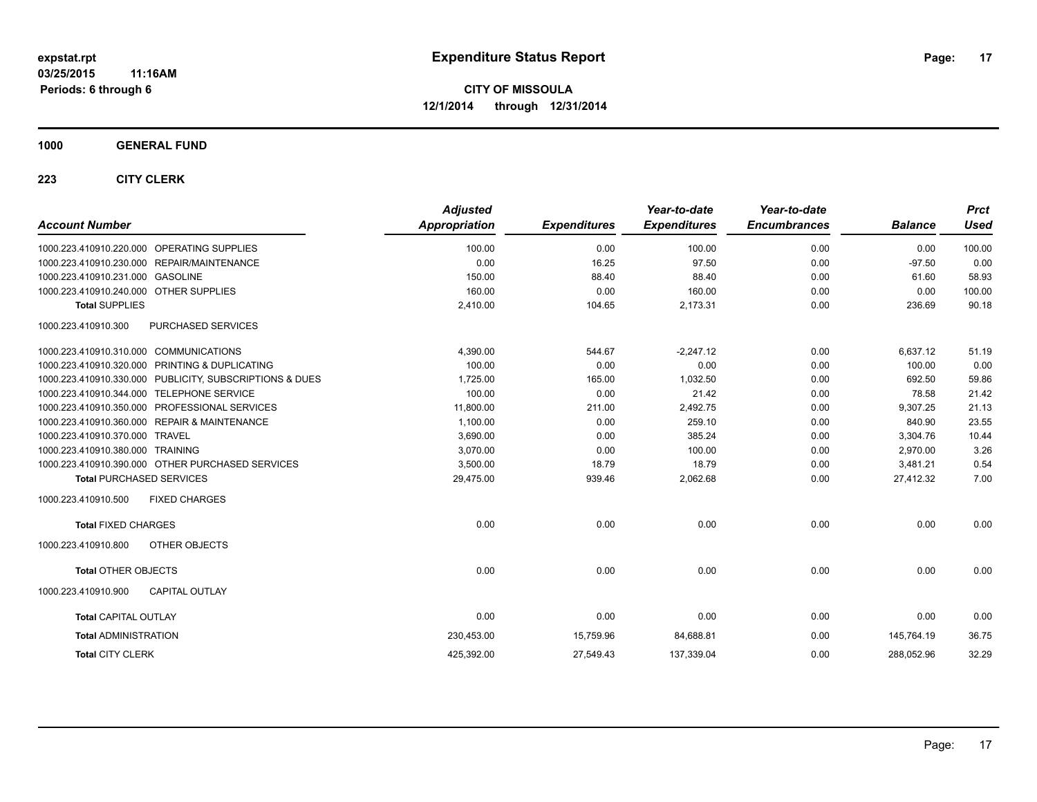**1000 GENERAL FUND**

| <b>Account Number</b>                  |                                                         | <b>Adjusted</b><br><b>Appropriation</b> | <b>Expenditures</b> | Year-to-date<br><b>Expenditures</b> | Year-to-date<br><b>Encumbrances</b> | <b>Balance</b> | <b>Prct</b><br><b>Used</b> |
|----------------------------------------|---------------------------------------------------------|-----------------------------------------|---------------------|-------------------------------------|-------------------------------------|----------------|----------------------------|
|                                        | 1000.223.410910.220.000 OPERATING SUPPLIES              | 100.00                                  | 0.00                | 100.00                              | 0.00                                | 0.00           | 100.00                     |
|                                        | 1000.223.410910.230.000 REPAIR/MAINTENANCE              | 0.00                                    | 16.25               | 97.50                               | 0.00                                | $-97.50$       | 0.00                       |
| 1000.223.410910.231.000 GASOLINE       |                                                         | 150.00                                  | 88.40               | 88.40                               | 0.00                                | 61.60          | 58.93                      |
| 1000.223.410910.240.000 OTHER SUPPLIES |                                                         | 160.00                                  | 0.00                | 160.00                              | 0.00                                | 0.00           | 100.00                     |
| <b>Total SUPPLIES</b>                  |                                                         | 2,410.00                                | 104.65              | 2,173.31                            | 0.00                                | 236.69         | 90.18                      |
| 1000.223.410910.300                    | <b>PURCHASED SERVICES</b>                               |                                         |                     |                                     |                                     |                |                            |
| 1000.223.410910.310.000 COMMUNICATIONS |                                                         | 4,390.00                                | 544.67              | $-2,247.12$                         | 0.00                                | 6,637.12       | 51.19                      |
|                                        | 1000.223.410910.320.000 PRINTING & DUPLICATING          | 100.00                                  | 0.00                | 0.00                                | 0.00                                | 100.00         | 0.00                       |
|                                        | 1000.223.410910.330.000 PUBLICITY, SUBSCRIPTIONS & DUES | 1,725.00                                | 165.00              | 1,032.50                            | 0.00                                | 692.50         | 59.86                      |
|                                        | 1000.223.410910.344.000 TELEPHONE SERVICE               | 100.00                                  | 0.00                | 21.42                               | 0.00                                | 78.58          | 21.42                      |
|                                        | 1000.223.410910.350.000 PROFESSIONAL SERVICES           | 11.800.00                               | 211.00              | 2.492.75                            | 0.00                                | 9.307.25       | 21.13                      |
|                                        | 1000.223.410910.360.000 REPAIR & MAINTENANCE            | 1,100.00                                | 0.00                | 259.10                              | 0.00                                | 840.90         | 23.55                      |
| 1000.223.410910.370.000 TRAVEL         |                                                         | 3,690.00                                | 0.00                | 385.24                              | 0.00                                | 3,304.76       | 10.44                      |
| 1000.223.410910.380.000 TRAINING       |                                                         | 3,070.00                                | 0.00                | 100.00                              | 0.00                                | 2,970.00       | 3.26                       |
|                                        | 1000.223.410910.390.000 OTHER PURCHASED SERVICES        | 3,500.00                                | 18.79               | 18.79                               | 0.00                                | 3,481.21       | 0.54                       |
| <b>Total PURCHASED SERVICES</b>        |                                                         | 29,475.00                               | 939.46              | 2,062.68                            | 0.00                                | 27,412.32      | 7.00                       |
| 1000.223.410910.500                    | <b>FIXED CHARGES</b>                                    |                                         |                     |                                     |                                     |                |                            |
| <b>Total FIXED CHARGES</b>             |                                                         | 0.00                                    | 0.00                | 0.00                                | 0.00                                | 0.00           | 0.00                       |
| 1000.223.410910.800                    | OTHER OBJECTS                                           |                                         |                     |                                     |                                     |                |                            |
| <b>Total OTHER OBJECTS</b>             |                                                         | 0.00                                    | 0.00                | 0.00                                | 0.00                                | 0.00           | 0.00                       |
| 1000.223.410910.900                    | <b>CAPITAL OUTLAY</b>                                   |                                         |                     |                                     |                                     |                |                            |
| <b>Total CAPITAL OUTLAY</b>            |                                                         | 0.00                                    | 0.00                | 0.00                                | 0.00                                | 0.00           | 0.00                       |
| <b>Total ADMINISTRATION</b>            |                                                         | 230,453.00                              | 15,759.96           | 84,688.81                           | 0.00                                | 145.764.19     | 36.75                      |
| <b>Total CITY CLERK</b>                |                                                         | 425,392.00                              | 27,549.43           | 137,339.04                          | 0.00                                | 288,052.96     | 32.29                      |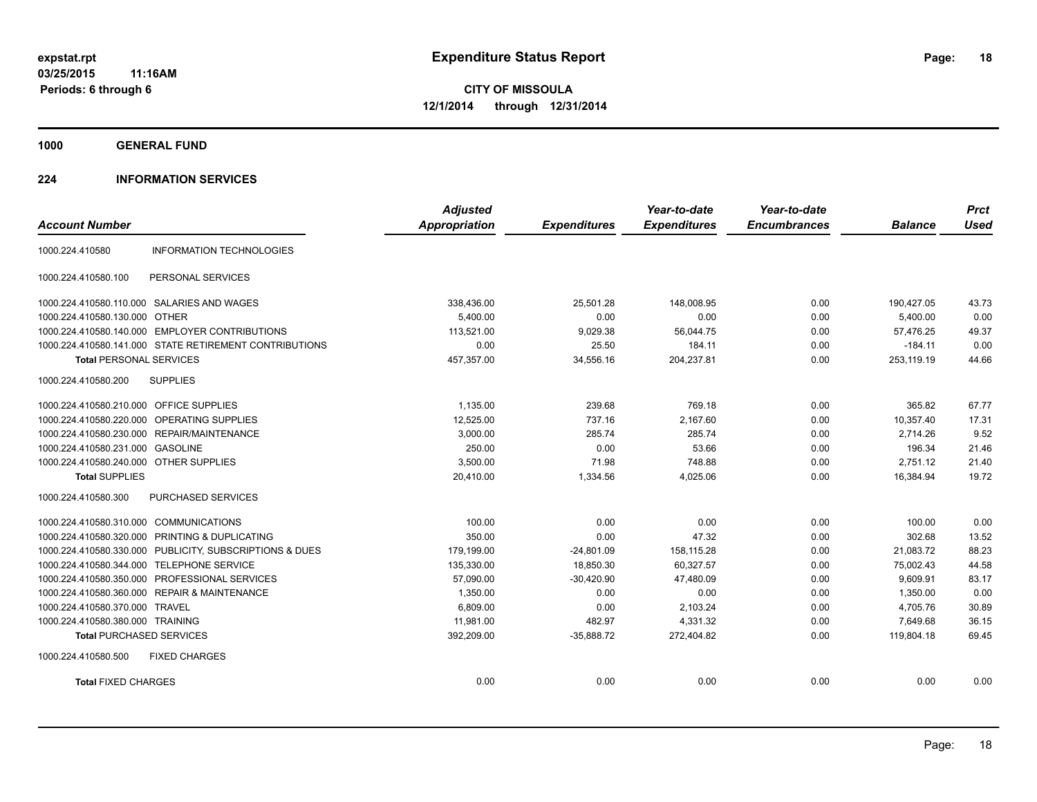**1000 GENERAL FUND**

#### **224 INFORMATION SERVICES**

| <b>Account Number</b>                   |                                                         | <b>Adjusted</b><br><b>Appropriation</b> |                     | Year-to-date<br><b>Expenditures</b> | Year-to-date<br><b>Encumbrances</b> | <b>Balance</b> | <b>Prct</b><br><b>Used</b> |
|-----------------------------------------|---------------------------------------------------------|-----------------------------------------|---------------------|-------------------------------------|-------------------------------------|----------------|----------------------------|
|                                         |                                                         |                                         | <b>Expenditures</b> |                                     |                                     |                |                            |
| 1000.224.410580                         | <b>INFORMATION TECHNOLOGIES</b>                         |                                         |                     |                                     |                                     |                |                            |
| 1000.224.410580.100                     | PERSONAL SERVICES                                       |                                         |                     |                                     |                                     |                |                            |
|                                         | 1000.224.410580.110.000 SALARIES AND WAGES              | 338.436.00                              | 25,501.28           | 148.008.95                          | 0.00                                | 190,427.05     | 43.73                      |
| 1000.224.410580.130.000 OTHER           |                                                         | 5,400.00                                | 0.00                | 0.00                                | 0.00                                | 5,400.00       | 0.00                       |
|                                         | 1000.224.410580.140.000 EMPLOYER CONTRIBUTIONS          | 113.521.00                              | 9,029.38            | 56.044.75                           | 0.00                                | 57,476.25      | 49.37                      |
|                                         | 1000.224.410580.141.000 STATE RETIREMENT CONTRIBUTIONS  | 0.00                                    | 25.50               | 184.11                              | 0.00                                | $-184.11$      | 0.00                       |
| <b>Total PERSONAL SERVICES</b>          |                                                         | 457,357.00                              | 34,556.16           | 204,237.81                          | 0.00                                | 253,119.19     | 44.66                      |
| 1000.224.410580.200                     | <b>SUPPLIES</b>                                         |                                         |                     |                                     |                                     |                |                            |
| 1000.224.410580.210.000 OFFICE SUPPLIES |                                                         | 1.135.00                                | 239.68              | 769.18                              | 0.00                                | 365.82         | 67.77                      |
|                                         | 1000.224.410580.220.000 OPERATING SUPPLIES              | 12,525.00                               | 737.16              | 2,167.60                            | 0.00                                | 10,357.40      | 17.31                      |
|                                         | 1000.224.410580.230.000 REPAIR/MAINTENANCE              | 3,000.00                                | 285.74              | 285.74                              | 0.00                                | 2,714.26       | 9.52                       |
| 1000.224.410580.231.000 GASOLINE        |                                                         | 250.00                                  | 0.00                | 53.66                               | 0.00                                | 196.34         | 21.46                      |
| 1000.224.410580.240.000 OTHER SUPPLIES  |                                                         | 3,500.00                                | 71.98               | 748.88                              | 0.00                                | 2,751.12       | 21.40                      |
| <b>Total SUPPLIES</b>                   |                                                         | 20.410.00                               | 1,334.56            | 4.025.06                            | 0.00                                | 16.384.94      | 19.72                      |
| 1000.224.410580.300                     | <b>PURCHASED SERVICES</b>                               |                                         |                     |                                     |                                     |                |                            |
| 1000.224.410580.310.000 COMMUNICATIONS  |                                                         | 100.00                                  | 0.00                | 0.00                                | 0.00                                | 100.00         | 0.00                       |
|                                         | 1000.224.410580.320.000 PRINTING & DUPLICATING          | 350.00                                  | 0.00                | 47.32                               | 0.00                                | 302.68         | 13.52                      |
|                                         | 1000.224.410580.330.000 PUBLICITY, SUBSCRIPTIONS & DUES | 179,199.00                              | $-24,801.09$        | 158,115.28                          | 0.00                                | 21,083.72      | 88.23                      |
|                                         | 1000.224.410580.344.000 TELEPHONE SERVICE               | 135,330.00                              | 18,850.30           | 60,327.57                           | 0.00                                | 75,002.43      | 44.58                      |
|                                         | 1000.224.410580.350.000 PROFESSIONAL SERVICES           | 57,090.00                               | $-30,420.90$        | 47,480.09                           | 0.00                                | 9,609.91       | 83.17                      |
|                                         | 1000.224.410580.360.000 REPAIR & MAINTENANCE            | 1,350.00                                | 0.00                | 0.00                                | 0.00                                | 1,350.00       | 0.00                       |
| 1000.224.410580.370.000 TRAVEL          |                                                         | 6,809.00                                | 0.00                | 2,103.24                            | 0.00                                | 4,705.76       | 30.89                      |
| 1000.224.410580.380.000 TRAINING        |                                                         | 11,981.00                               | 482.97              | 4,331.32                            | 0.00                                | 7.649.68       | 36.15                      |
| <b>Total PURCHASED SERVICES</b>         |                                                         | 392,209.00                              | $-35,888.72$        | 272,404.82                          | 0.00                                | 119,804.18     | 69.45                      |
| 1000.224.410580.500                     | <b>FIXED CHARGES</b>                                    |                                         |                     |                                     |                                     |                |                            |
| <b>Total FIXED CHARGES</b>              |                                                         | 0.00                                    | 0.00                | 0.00                                | 0.00                                | 0.00           | 0.00                       |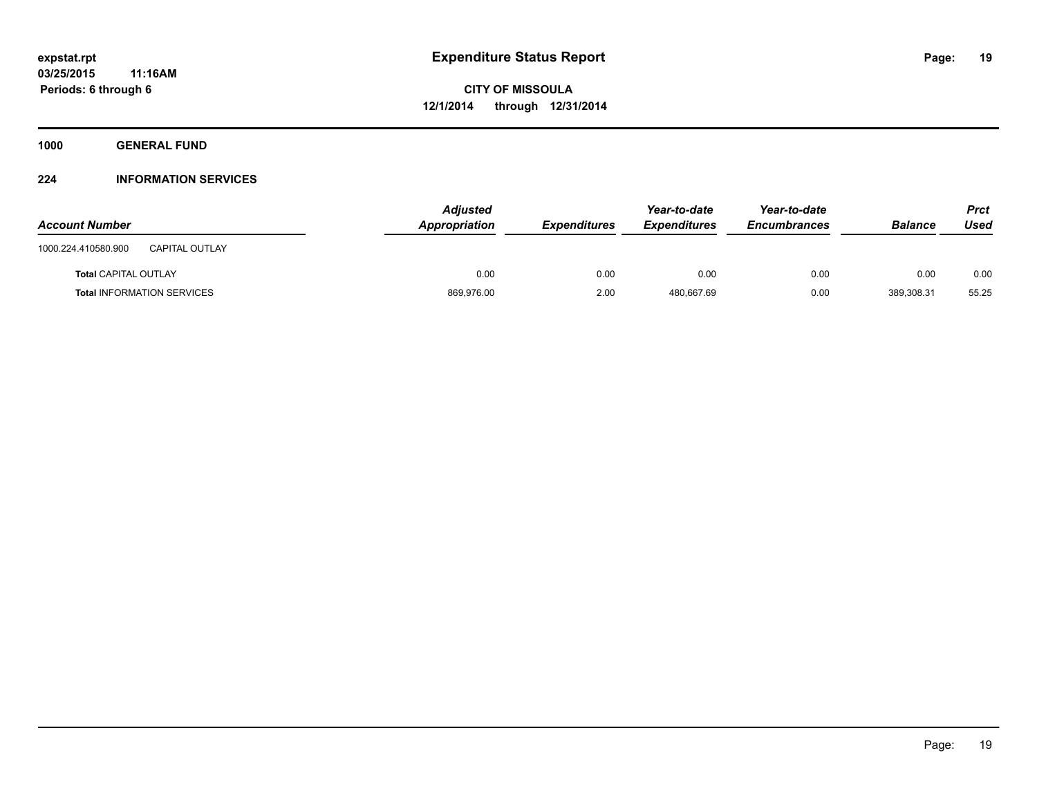**1000 GENERAL FUND**

#### **224 INFORMATION SERVICES**

| <b>Account Number</b>                        | <b>Adjusted</b><br>Appropriation | <b>Expenditures</b> | Year-to-date<br><b>Expenditures</b> | Year-to-date<br><b>Encumbrances</b> | <b>Balance</b> | Prct<br>Used |
|----------------------------------------------|----------------------------------|---------------------|-------------------------------------|-------------------------------------|----------------|--------------|
| <b>CAPITAL OUTLAY</b><br>1000.224.410580.900 |                                  |                     |                                     |                                     |                |              |
| <b>Total CAPITAL OUTLAY</b>                  | 0.00                             | 0.00                | 0.00                                | 0.00                                | 0.00           | 0.00         |
| <b>Total INFORMATION SERVICES</b>            | 869,976.00                       | 2.00                | 480.667.69                          | 0.00                                | 389.308.31     | 55.25        |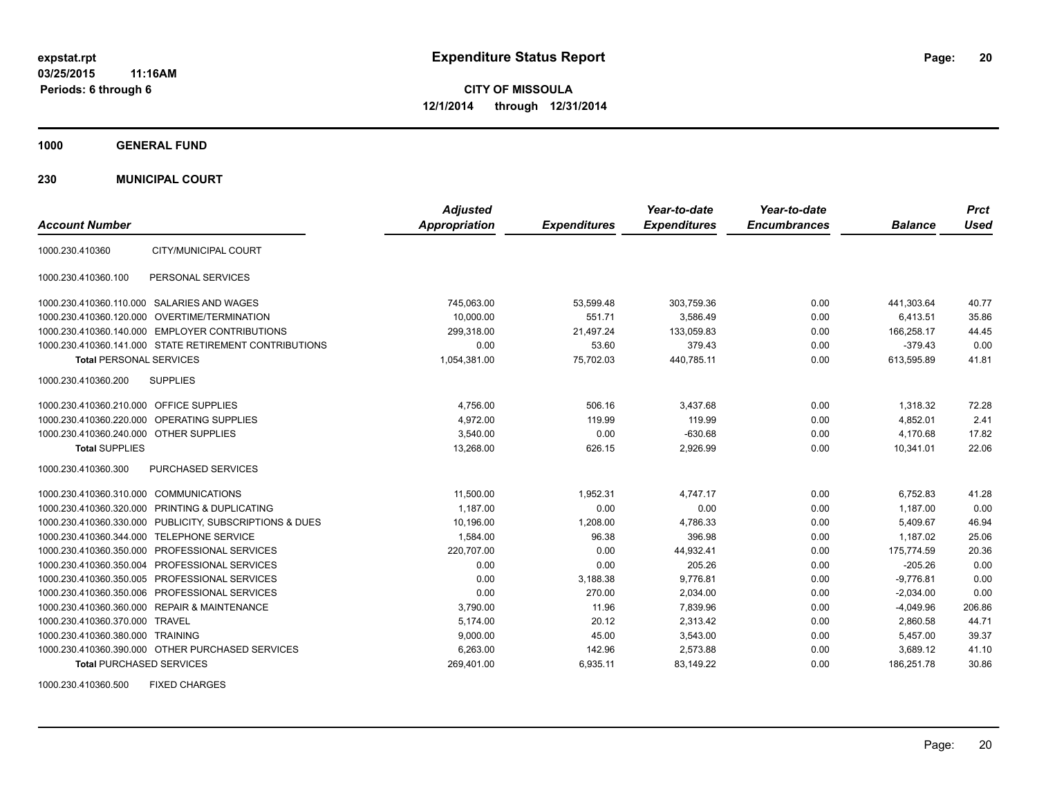**1000 GENERAL FUND**

**230 MUNICIPAL COURT**

| <b>Account Number</b>                   |                                                         | <b>Adjusted</b><br><b>Appropriation</b> | <b>Expenditures</b> | Year-to-date<br><b>Expenditures</b> | Year-to-date<br><b>Encumbrances</b> | <b>Balance</b> | <b>Prct</b><br><b>Used</b> |
|-----------------------------------------|---------------------------------------------------------|-----------------------------------------|---------------------|-------------------------------------|-------------------------------------|----------------|----------------------------|
| 1000.230.410360                         | CITY/MUNICIPAL COURT                                    |                                         |                     |                                     |                                     |                |                            |
| 1000.230.410360.100                     | PERSONAL SERVICES                                       |                                         |                     |                                     |                                     |                |                            |
|                                         | 1000.230.410360.110.000 SALARIES AND WAGES              | 745,063.00                              | 53,599.48           | 303,759.36                          | 0.00                                | 441,303.64     | 40.77                      |
|                                         | 1000.230.410360.120.000 OVERTIME/TERMINATION            | 10.000.00                               | 551.71              | 3.586.49                            | 0.00                                | 6.413.51       | 35.86                      |
|                                         | 1000.230.410360.140.000 EMPLOYER CONTRIBUTIONS          | 299,318.00                              | 21,497.24           | 133,059.83                          | 0.00                                | 166,258.17     | 44.45                      |
|                                         | 1000.230.410360.141.000 STATE RETIREMENT CONTRIBUTIONS  | 0.00                                    | 53.60               | 379.43                              | 0.00                                | $-379.43$      | 0.00                       |
| <b>Total PERSONAL SERVICES</b>          |                                                         | 1,054,381.00                            | 75,702.03           | 440,785.11                          | 0.00                                | 613,595.89     | 41.81                      |
| 1000.230.410360.200                     | <b>SUPPLIES</b>                                         |                                         |                     |                                     |                                     |                |                            |
| 1000.230.410360.210.000 OFFICE SUPPLIES |                                                         | 4,756.00                                | 506.16              | 3,437.68                            | 0.00                                | 1,318.32       | 72.28                      |
|                                         | 1000.230.410360.220.000 OPERATING SUPPLIES              | 4.972.00                                | 119.99              | 119.99                              | 0.00                                | 4,852.01       | 2.41                       |
| 1000.230.410360.240.000 OTHER SUPPLIES  |                                                         | 3.540.00                                | 0.00                | $-630.68$                           | 0.00                                | 4.170.68       | 17.82                      |
| <b>Total SUPPLIES</b>                   |                                                         | 13,268.00                               | 626.15              | 2,926.99                            | 0.00                                | 10,341.01      | 22.06                      |
| 1000.230.410360.300                     | PURCHASED SERVICES                                      |                                         |                     |                                     |                                     |                |                            |
| 1000.230.410360.310.000 COMMUNICATIONS  |                                                         | 11,500.00                               | 1,952.31            | 4,747.17                            | 0.00                                | 6,752.83       | 41.28                      |
|                                         | 1000.230.410360.320.000 PRINTING & DUPLICATING          | 1,187.00                                | 0.00                | 0.00                                | 0.00                                | 1,187.00       | 0.00                       |
|                                         | 1000.230.410360.330.000 PUBLICITY, SUBSCRIPTIONS & DUES | 10,196.00                               | 1,208.00            | 4,786.33                            | 0.00                                | 5,409.67       | 46.94                      |
|                                         | 1000.230.410360.344.000 TELEPHONE SERVICE               | 1,584.00                                | 96.38               | 396.98                              | 0.00                                | 1.187.02       | 25.06                      |
|                                         | 1000.230.410360.350.000 PROFESSIONAL SERVICES           | 220,707.00                              | 0.00                | 44,932.41                           | 0.00                                | 175,774.59     | 20.36                      |
|                                         | 1000.230.410360.350.004 PROFESSIONAL SERVICES           | 0.00                                    | 0.00                | 205.26                              | 0.00                                | $-205.26$      | 0.00                       |
|                                         | 1000.230.410360.350.005 PROFESSIONAL SERVICES           | 0.00                                    | 3,188.38            | 9,776.81                            | 0.00                                | $-9,776.81$    | 0.00                       |
|                                         | 1000.230.410360.350.006 PROFESSIONAL SERVICES           | 0.00                                    | 270.00              | 2,034.00                            | 0.00                                | $-2,034.00$    | 0.00                       |
|                                         | 1000.230.410360.360.000 REPAIR & MAINTENANCE            | 3,790.00                                | 11.96               | 7,839.96                            | 0.00                                | $-4,049.96$    | 206.86                     |
| 1000.230.410360.370.000 TRAVEL          |                                                         | 5,174.00                                | 20.12               | 2,313.42                            | 0.00                                | 2,860.58       | 44.71                      |
| 1000.230.410360.380.000 TRAINING        |                                                         | 9,000.00                                | 45.00               | 3,543.00                            | 0.00                                | 5,457.00       | 39.37                      |
|                                         | 1000.230.410360.390.000 OTHER PURCHASED SERVICES        | 6,263.00                                | 142.96              | 2,573.88                            | 0.00                                | 3,689.12       | 41.10                      |
| <b>Total PURCHASED SERVICES</b>         |                                                         | 269,401.00                              | 6,935.11            | 83,149.22                           | 0.00                                | 186,251.78     | 30.86                      |

1000.230.410360.500 FIXED CHARGES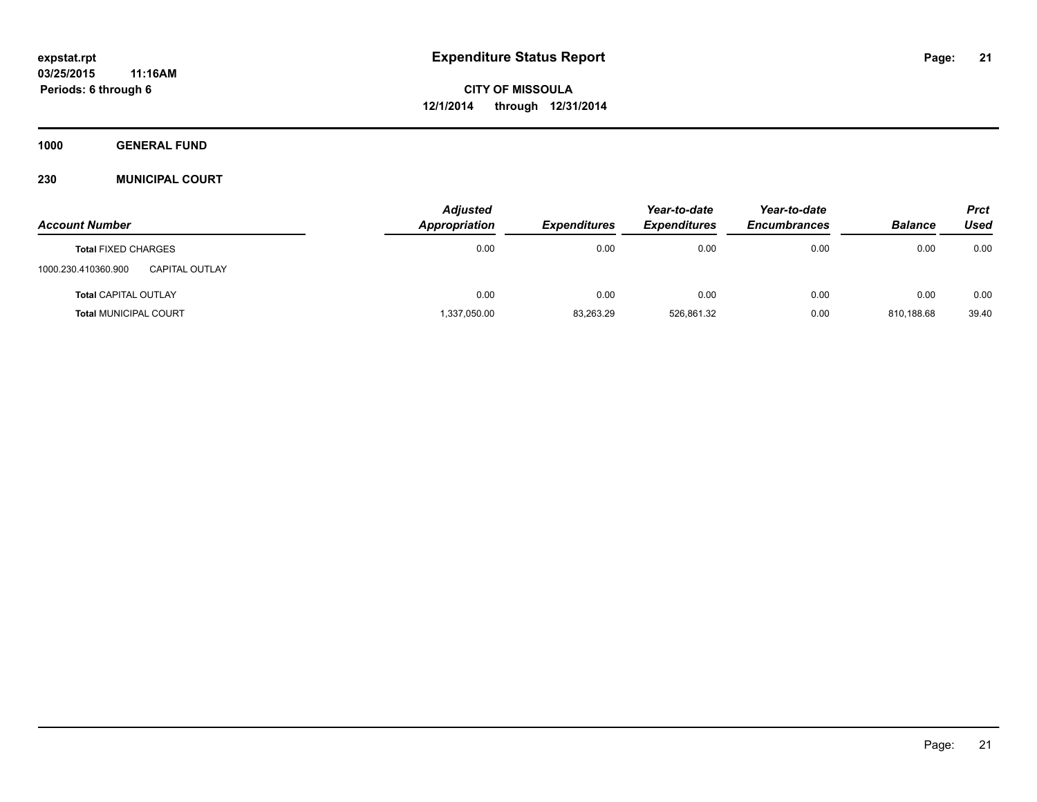**1000 GENERAL FUND**

#### **230 MUNICIPAL COURT**

|                                       | <b>Adjusted</b> |                     | Year-to-date        | Year-to-date        |                | <b>Prct</b> |
|---------------------------------------|-----------------|---------------------|---------------------|---------------------|----------------|-------------|
| <b>Account Number</b>                 | Appropriation   | <b>Expenditures</b> | <b>Expenditures</b> | <b>Encumbrances</b> | <b>Balance</b> | Used        |
| <b>Total FIXED CHARGES</b>            | 0.00            | 0.00                | 0.00                | 0.00                | 0.00           | 0.00        |
| 1000.230.410360.900<br>CAPITAL OUTLAY |                 |                     |                     |                     |                |             |
| <b>Total CAPITAL OUTLAY</b>           | 0.00            | 0.00                | 0.00                | 0.00                | 0.00           | 0.00        |
| <b>Total MUNICIPAL COURT</b>          | 1,337,050.00    | 83,263.29           | 526,861.32          | 0.00                | 810.188.68     | 39.40       |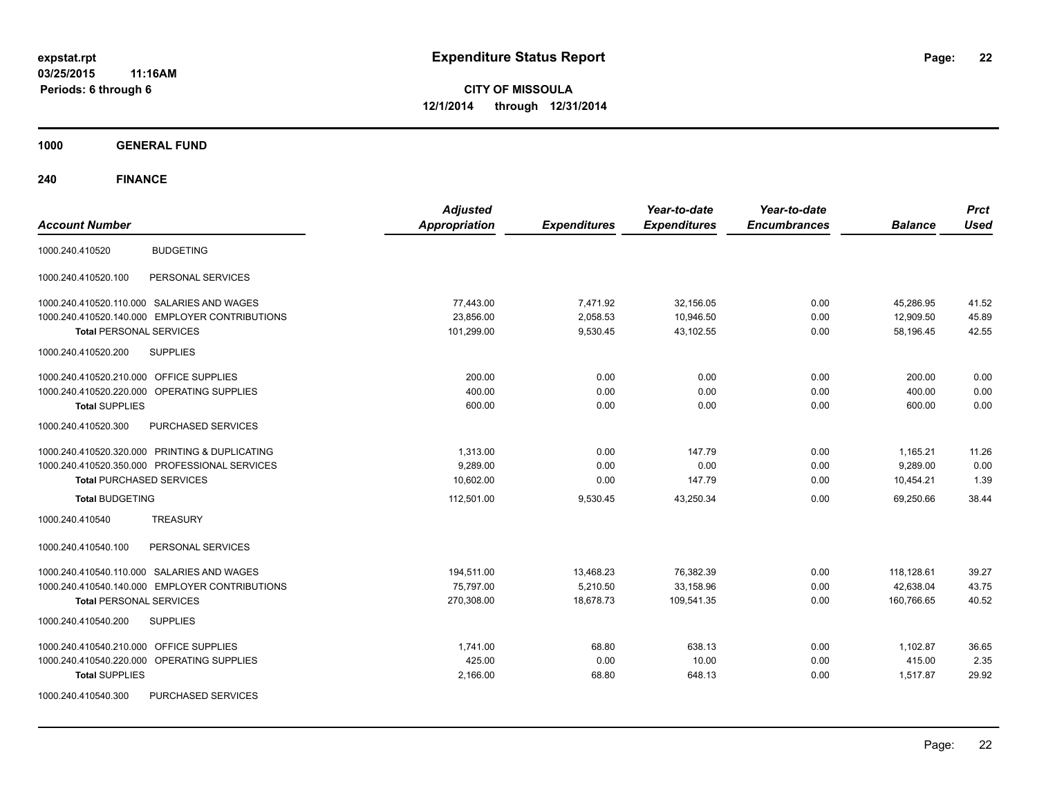**1000 GENERAL FUND**

| <b>Account Number</b>                                | <b>Adjusted</b><br><b>Appropriation</b> | <b>Expenditures</b> | Year-to-date<br><b>Expenditures</b> | Year-to-date<br><b>Encumbrances</b> | <b>Balance</b> | <b>Prct</b><br><b>Used</b> |
|------------------------------------------------------|-----------------------------------------|---------------------|-------------------------------------|-------------------------------------|----------------|----------------------------|
| <b>BUDGETING</b><br>1000.240.410520                  |                                         |                     |                                     |                                     |                |                            |
| PERSONAL SERVICES<br>1000.240.410520.100             |                                         |                     |                                     |                                     |                |                            |
| 1000.240.410520.110.000 SALARIES AND WAGES           | 77,443.00                               | 7,471.92            | 32,156.05                           | 0.00                                | 45,286.95      | 41.52                      |
| 1000.240.410520.140.000 EMPLOYER CONTRIBUTIONS       | 23,856.00                               | 2,058.53            | 10,946.50                           | 0.00                                | 12,909.50      | 45.89                      |
| <b>Total PERSONAL SERVICES</b>                       | 101,299.00                              | 9,530.45            | 43,102.55                           | 0.00                                | 58,196.45      | 42.55                      |
| <b>SUPPLIES</b><br>1000.240.410520.200               |                                         |                     |                                     |                                     |                |                            |
| 1000.240.410520.210.000 OFFICE SUPPLIES              | 200.00                                  | 0.00                | 0.00                                | 0.00                                | 200.00         | 0.00                       |
| 1000.240.410520.220.000 OPERATING SUPPLIES           | 400.00                                  | 0.00                | 0.00                                | 0.00                                | 400.00         | 0.00                       |
| <b>Total SUPPLIES</b>                                | 600.00                                  | 0.00                | 0.00                                | 0.00                                | 600.00         | 0.00                       |
| 1000.240.410520.300<br>PURCHASED SERVICES            |                                         |                     |                                     |                                     |                |                            |
| 1000.240.410520.320.000 PRINTING & DUPLICATING       | 1,313.00                                | 0.00                | 147.79                              | 0.00                                | 1,165.21       | 11.26                      |
| 1000.240.410520.350.000 PROFESSIONAL SERVICES        | 9,289.00                                | 0.00                | 0.00                                | 0.00                                | 9,289.00       | 0.00                       |
| <b>Total PURCHASED SERVICES</b>                      | 10,602.00                               | 0.00                | 147.79                              | 0.00                                | 10,454.21      | 1.39                       |
| <b>Total BUDGETING</b>                               | 112,501.00                              | 9,530.45            | 43,250.34                           | 0.00                                | 69,250.66      | 38.44                      |
| <b>TREASURY</b><br>1000.240.410540                   |                                         |                     |                                     |                                     |                |                            |
| 1000.240.410540.100<br>PERSONAL SERVICES             |                                         |                     |                                     |                                     |                |                            |
| 1000.240.410540.110.000 SALARIES AND WAGES           | 194,511.00                              | 13,468.23           | 76,382.39                           | 0.00                                | 118,128.61     | 39.27                      |
| 1000.240.410540.140.000 EMPLOYER CONTRIBUTIONS       | 75,797.00                               | 5,210.50            | 33,158.96                           | 0.00                                | 42,638.04      | 43.75                      |
| <b>Total PERSONAL SERVICES</b>                       | 270,308.00                              | 18,678.73           | 109,541.35                          | 0.00                                | 160,766.65     | 40.52                      |
| 1000.240.410540.200<br><b>SUPPLIES</b>               |                                         |                     |                                     |                                     |                |                            |
| 1000.240.410540.210.000 OFFICE SUPPLIES              | 1,741.00                                | 68.80               | 638.13                              | 0.00                                | 1,102.87       | 36.65                      |
| <b>OPERATING SUPPLIES</b><br>1000.240.410540.220.000 | 425.00                                  | 0.00                | 10.00                               | 0.00                                | 415.00         | 2.35                       |
| <b>Total SUPPLIES</b>                                | 2,166.00                                | 68.80               | 648.13                              | 0.00                                | 1,517.87       | 29.92                      |
| 1000.240.410540.300<br>PURCHASED SERVICES            |                                         |                     |                                     |                                     |                |                            |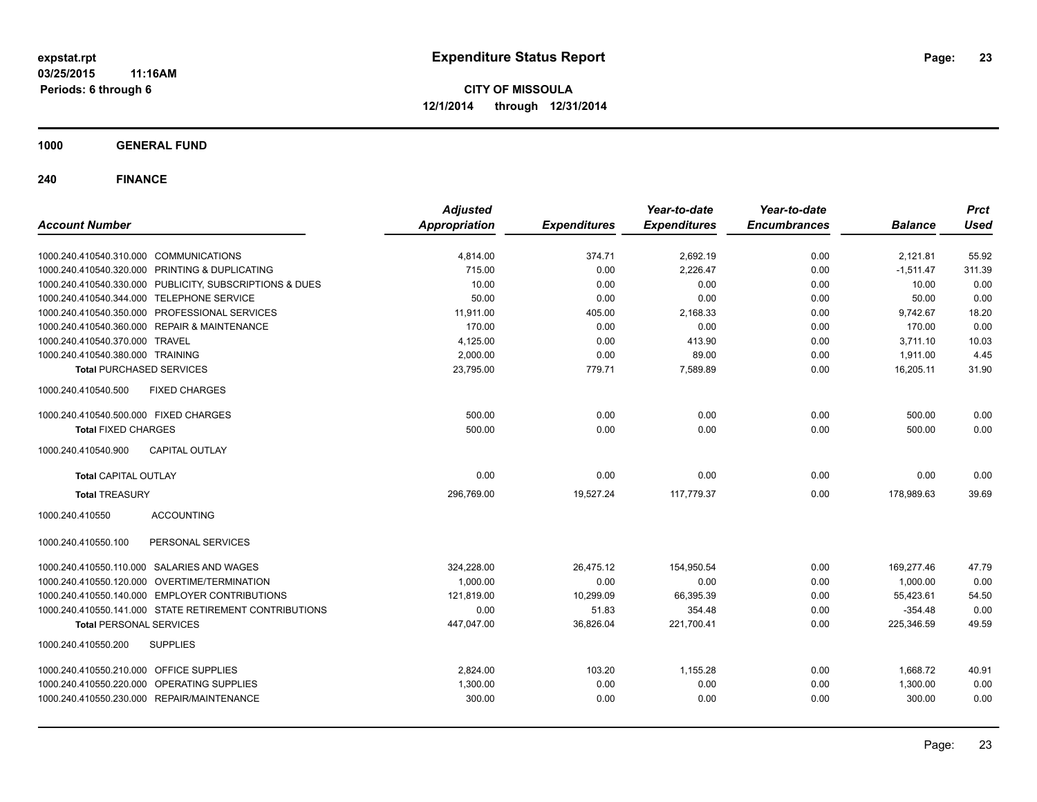**1000 GENERAL FUND**

| <b>Account Number</b>                                   | <b>Adjusted</b><br><b>Appropriation</b> | <b>Expenditures</b> | Year-to-date<br><b>Expenditures</b> | Year-to-date<br><b>Encumbrances</b> | <b>Balance</b> | <b>Prct</b><br><b>Used</b> |
|---------------------------------------------------------|-----------------------------------------|---------------------|-------------------------------------|-------------------------------------|----------------|----------------------------|
|                                                         |                                         |                     |                                     |                                     |                |                            |
| 1000.240.410540.310.000 COMMUNICATIONS                  | 4,814.00                                | 374.71              | 2,692.19                            | 0.00                                | 2,121.81       | 55.92                      |
| 1000.240.410540.320.000 PRINTING & DUPLICATING          | 715.00                                  | 0.00                | 2,226.47                            | 0.00                                | $-1,511.47$    | 311.39                     |
| 1000.240.410540.330.000 PUBLICITY, SUBSCRIPTIONS & DUES | 10.00                                   | 0.00                | 0.00                                | 0.00                                | 10.00          | 0.00                       |
| 1000.240.410540.344.000 TELEPHONE SERVICE               | 50.00                                   | 0.00                | 0.00                                | 0.00                                | 50.00          | 0.00                       |
| 1000.240.410540.350.000 PROFESSIONAL SERVICES           | 11,911.00                               | 405.00              | 2,168.33                            | 0.00                                | 9,742.67       | 18.20                      |
| 1000.240.410540.360.000 REPAIR & MAINTENANCE            | 170.00                                  | 0.00                | 0.00                                | 0.00                                | 170.00         | 0.00                       |
| 1000.240.410540.370.000 TRAVEL                          | 4,125.00                                | 0.00                | 413.90                              | 0.00                                | 3,711.10       | 10.03                      |
| 1000.240.410540.380.000 TRAINING                        | 2,000.00                                | 0.00                | 89.00                               | 0.00                                | 1,911.00       | 4.45                       |
| <b>Total PURCHASED SERVICES</b>                         | 23,795.00                               | 779.71              | 7,589.89                            | 0.00                                | 16,205.11      | 31.90                      |
| 1000.240.410540.500<br><b>FIXED CHARGES</b>             |                                         |                     |                                     |                                     |                |                            |
| 1000.240.410540.500.000 FIXED CHARGES                   | 500.00                                  | 0.00                | 0.00                                | 0.00                                | 500.00         | 0.00                       |
| <b>Total FIXED CHARGES</b>                              | 500.00                                  | 0.00                | 0.00                                | 0.00                                | 500.00         | 0.00                       |
| 1000.240.410540.900<br><b>CAPITAL OUTLAY</b>            |                                         |                     |                                     |                                     |                |                            |
| <b>Total CAPITAL OUTLAY</b>                             | 0.00                                    | 0.00                | 0.00                                | 0.00                                | 0.00           | 0.00                       |
| <b>Total TREASURY</b>                                   | 296,769.00                              | 19,527.24           | 117,779.37                          | 0.00                                | 178,989.63     | 39.69                      |
| 1000.240.410550<br><b>ACCOUNTING</b>                    |                                         |                     |                                     |                                     |                |                            |
| PERSONAL SERVICES<br>1000.240.410550.100                |                                         |                     |                                     |                                     |                |                            |
| 1000.240.410550.110.000 SALARIES AND WAGES              | 324,228.00                              | 26,475.12           | 154,950.54                          | 0.00                                | 169,277.46     | 47.79                      |
| 1000.240.410550.120.000 OVERTIME/TERMINATION            | 1,000.00                                | 0.00                | 0.00                                | 0.00                                | 1,000.00       | 0.00                       |
| 1000.240.410550.140.000 EMPLOYER CONTRIBUTIONS          | 121,819.00                              | 10,299.09           | 66,395.39                           | 0.00                                | 55,423.61      | 54.50                      |
| 1000.240.410550.141.000 STATE RETIREMENT CONTRIBUTIONS  | 0.00                                    | 51.83               | 354.48                              | 0.00                                | $-354.48$      | 0.00                       |
| <b>Total PERSONAL SERVICES</b>                          | 447,047.00                              | 36,826.04           | 221,700.41                          | 0.00                                | 225,346.59     | 49.59                      |
| 1000.240.410550.200<br><b>SUPPLIES</b>                  |                                         |                     |                                     |                                     |                |                            |
| 1000.240.410550.210.000 OFFICE SUPPLIES                 | 2,824.00                                | 103.20              | 1,155.28                            | 0.00                                | 1,668.72       | 40.91                      |
| 1000.240.410550.220.000 OPERATING SUPPLIES              | 1,300.00                                | 0.00                | 0.00                                | 0.00                                | 1,300.00       | 0.00                       |
| 1000.240.410550.230.000 REPAIR/MAINTENANCE              | 300.00                                  | 0.00                | 0.00                                | 0.00                                | 300.00         | 0.00                       |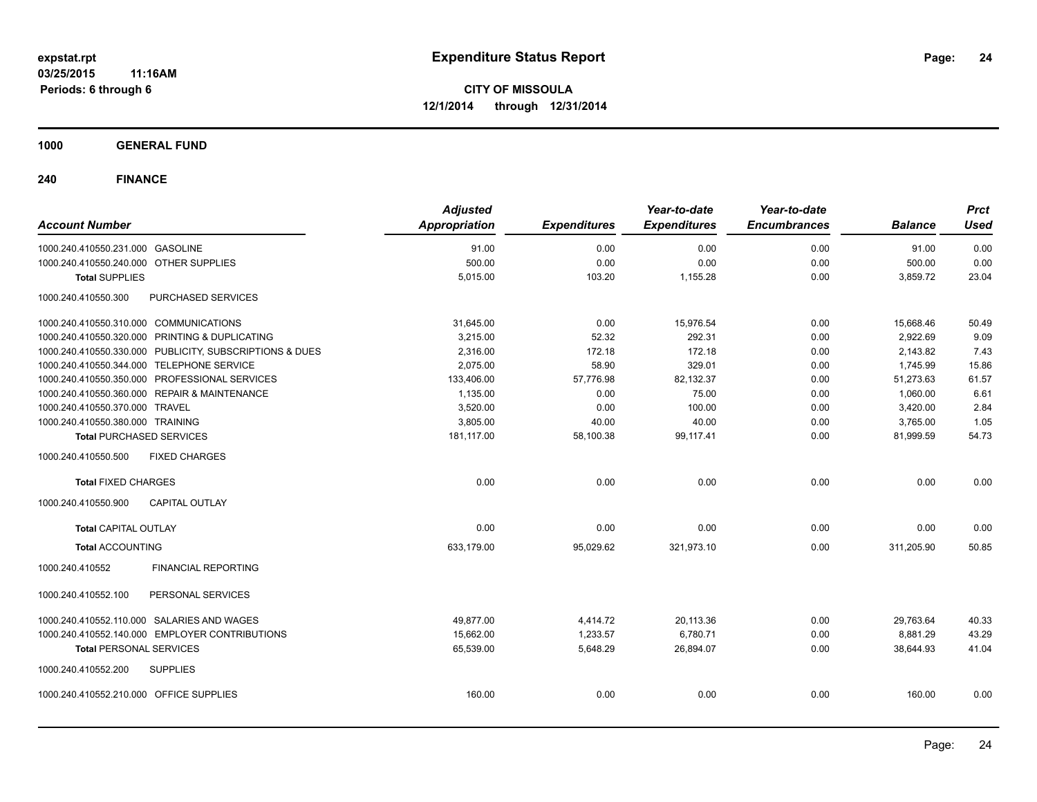**1000 GENERAL FUND**

| <b>Account Number</b>                                   | <b>Adjusted</b><br><b>Appropriation</b> | <b>Expenditures</b> | Year-to-date<br><b>Expenditures</b> | Year-to-date<br><b>Encumbrances</b> | <b>Balance</b> | <b>Prct</b><br><b>Used</b> |
|---------------------------------------------------------|-----------------------------------------|---------------------|-------------------------------------|-------------------------------------|----------------|----------------------------|
| 1000.240.410550.231.000 GASOLINE                        | 91.00                                   | 0.00                | 0.00                                | 0.00                                | 91.00          | 0.00                       |
| 1000.240.410550.240.000 OTHER SUPPLIES                  | 500.00                                  | 0.00                | 0.00                                | 0.00                                | 500.00         | 0.00                       |
| <b>Total SUPPLIES</b>                                   | 5,015.00                                | 103.20              | 1,155.28                            | 0.00                                | 3,859.72       | 23.04                      |
| 1000.240.410550.300<br>PURCHASED SERVICES               |                                         |                     |                                     |                                     |                |                            |
| 1000.240.410550.310.000 COMMUNICATIONS                  | 31,645.00                               | 0.00                | 15,976.54                           | 0.00                                | 15,668.46      | 50.49                      |
| 1000.240.410550.320.000 PRINTING & DUPLICATING          | 3,215.00                                | 52.32               | 292.31                              | 0.00                                | 2.922.69       | 9.09                       |
| 1000.240.410550.330.000 PUBLICITY, SUBSCRIPTIONS & DUES | 2,316.00                                | 172.18              | 172.18                              | 0.00                                | 2,143.82       | 7.43                       |
| 1000.240.410550.344.000 TELEPHONE SERVICE               | 2,075.00                                | 58.90               | 329.01                              | 0.00                                | 1,745.99       | 15.86                      |
| 1000.240.410550.350.000 PROFESSIONAL SERVICES           | 133,406.00                              | 57,776.98           | 82,132.37                           | 0.00                                | 51,273.63      | 61.57                      |
| 1000.240.410550.360.000 REPAIR & MAINTENANCE            | 1,135.00                                | 0.00                | 75.00                               | 0.00                                | 1,060.00       | 6.61                       |
| 1000.240.410550.370.000 TRAVEL                          | 3,520.00                                | 0.00                | 100.00                              | 0.00                                | 3,420.00       | 2.84                       |
| 1000.240.410550.380.000 TRAINING                        | 3,805.00                                | 40.00               | 40.00                               | 0.00                                | 3,765.00       | 1.05                       |
| <b>Total PURCHASED SERVICES</b>                         | 181,117.00                              | 58,100.38           | 99,117.41                           | 0.00                                | 81,999.59      | 54.73                      |
| 1000.240.410550.500<br><b>FIXED CHARGES</b>             |                                         |                     |                                     |                                     |                |                            |
| <b>Total FIXED CHARGES</b>                              | 0.00                                    | 0.00                | 0.00                                | 0.00                                | 0.00           | 0.00                       |
| 1000.240.410550.900<br><b>CAPITAL OUTLAY</b>            |                                         |                     |                                     |                                     |                |                            |
| <b>Total CAPITAL OUTLAY</b>                             | 0.00                                    | 0.00                | 0.00                                | 0.00                                | 0.00           | 0.00                       |
| <b>Total ACCOUNTING</b>                                 | 633.179.00                              | 95,029.62           | 321,973.10                          | 0.00                                | 311,205.90     | 50.85                      |
| 1000.240.410552<br><b>FINANCIAL REPORTING</b>           |                                         |                     |                                     |                                     |                |                            |
| 1000.240.410552.100<br>PERSONAL SERVICES                |                                         |                     |                                     |                                     |                |                            |
| 1000.240.410552.110.000 SALARIES AND WAGES              | 49.877.00                               | 4,414.72            | 20,113.36                           | 0.00                                | 29,763.64      | 40.33                      |
| 1000.240.410552.140.000 EMPLOYER CONTRIBUTIONS          | 15,662.00                               | 1,233.57            | 6,780.71                            | 0.00                                | 8,881.29       | 43.29                      |
| <b>Total PERSONAL SERVICES</b>                          | 65,539.00                               | 5,648.29            | 26,894.07                           | 0.00                                | 38,644.93      | 41.04                      |
| 1000.240.410552.200<br><b>SUPPLIES</b>                  |                                         |                     |                                     |                                     |                |                            |
| 1000.240.410552.210.000 OFFICE SUPPLIES                 | 160.00                                  | 0.00                | 0.00                                | 0.00                                | 160.00         | 0.00                       |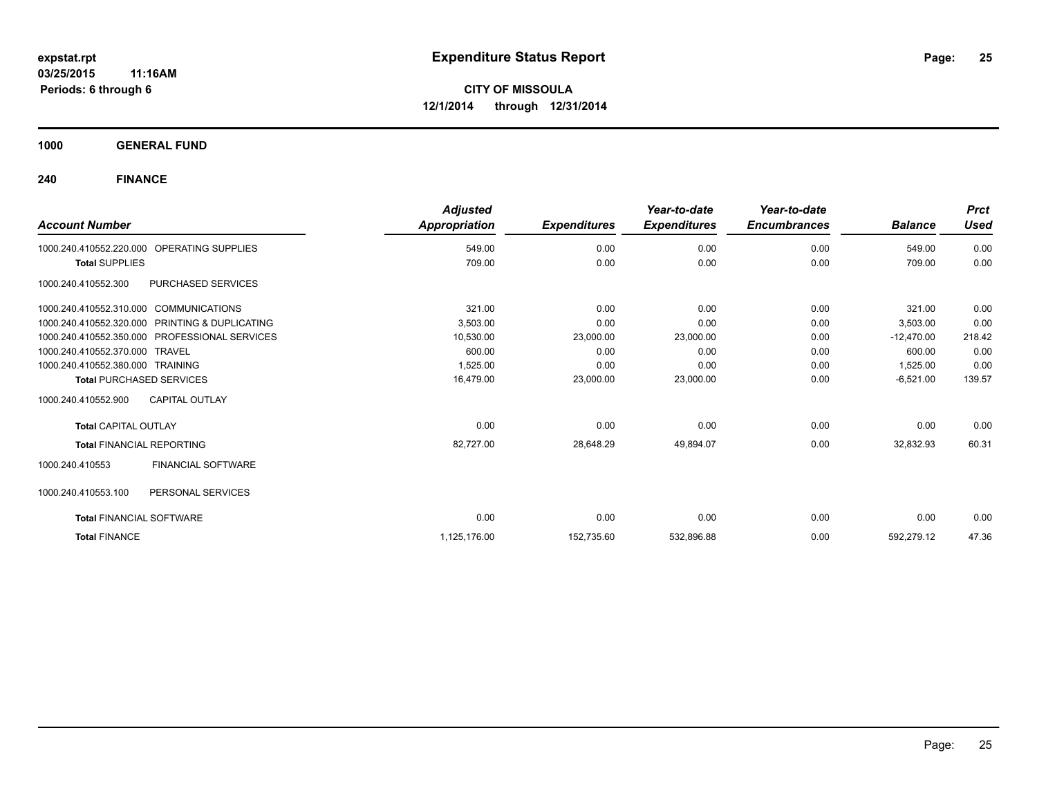**1000 GENERAL FUND**

| <b>Account Number</b>                                | <b>Adjusted</b><br>Appropriation | <b>Expenditures</b> | Year-to-date<br><b>Expenditures</b> | Year-to-date<br><b>Encumbrances</b> | <b>Balance</b> | <b>Prct</b><br><b>Used</b> |
|------------------------------------------------------|----------------------------------|---------------------|-------------------------------------|-------------------------------------|----------------|----------------------------|
|                                                      |                                  |                     |                                     |                                     |                |                            |
| <b>OPERATING SUPPLIES</b><br>1000.240.410552.220.000 | 549.00                           | 0.00                | 0.00                                | 0.00                                | 549.00         | 0.00                       |
| <b>Total SUPPLIES</b>                                | 709.00                           | 0.00                | 0.00                                | 0.00                                | 709.00         | 0.00                       |
| PURCHASED SERVICES<br>1000.240.410552.300            |                                  |                     |                                     |                                     |                |                            |
| 1000.240.410552.310.000 COMMUNICATIONS               | 321.00                           | 0.00                | 0.00                                | 0.00                                | 321.00         | 0.00                       |
| 1000.240.410552.320.000 PRINTING & DUPLICATING       | 3,503.00                         | 0.00                | 0.00                                | 0.00                                | 3,503.00       | 0.00                       |
| 1000.240.410552.350.000 PROFESSIONAL SERVICES        | 10,530.00                        | 23,000.00           | 23,000.00                           | 0.00                                | $-12,470.00$   | 218.42                     |
| 1000.240.410552.370.000 TRAVEL                       | 600.00                           | 0.00                | 0.00                                | 0.00                                | 600.00         | 0.00                       |
| 1000.240.410552.380.000 TRAINING                     | 1,525.00                         | 0.00                | 0.00                                | 0.00                                | 1,525.00       | 0.00                       |
| <b>Total PURCHASED SERVICES</b>                      | 16,479.00                        | 23,000.00           | 23,000.00                           | 0.00                                | $-6,521.00$    | 139.57                     |
| 1000.240.410552.900<br><b>CAPITAL OUTLAY</b>         |                                  |                     |                                     |                                     |                |                            |
| <b>Total CAPITAL OUTLAY</b>                          | 0.00                             | 0.00                | 0.00                                | 0.00                                | 0.00           | 0.00                       |
| <b>Total FINANCIAL REPORTING</b>                     | 82,727.00                        | 28,648.29           | 49,894.07                           | 0.00                                | 32,832.93      | 60.31                      |
| <b>FINANCIAL SOFTWARE</b><br>1000.240.410553         |                                  |                     |                                     |                                     |                |                            |
| 1000.240.410553.100<br>PERSONAL SERVICES             |                                  |                     |                                     |                                     |                |                            |
| <b>Total FINANCIAL SOFTWARE</b>                      | 0.00                             | 0.00                | 0.00                                | 0.00                                | 0.00           | 0.00                       |
| <b>Total FINANCE</b>                                 | 1,125,176.00                     | 152,735.60          | 532,896.88                          | 0.00                                | 592,279.12     | 47.36                      |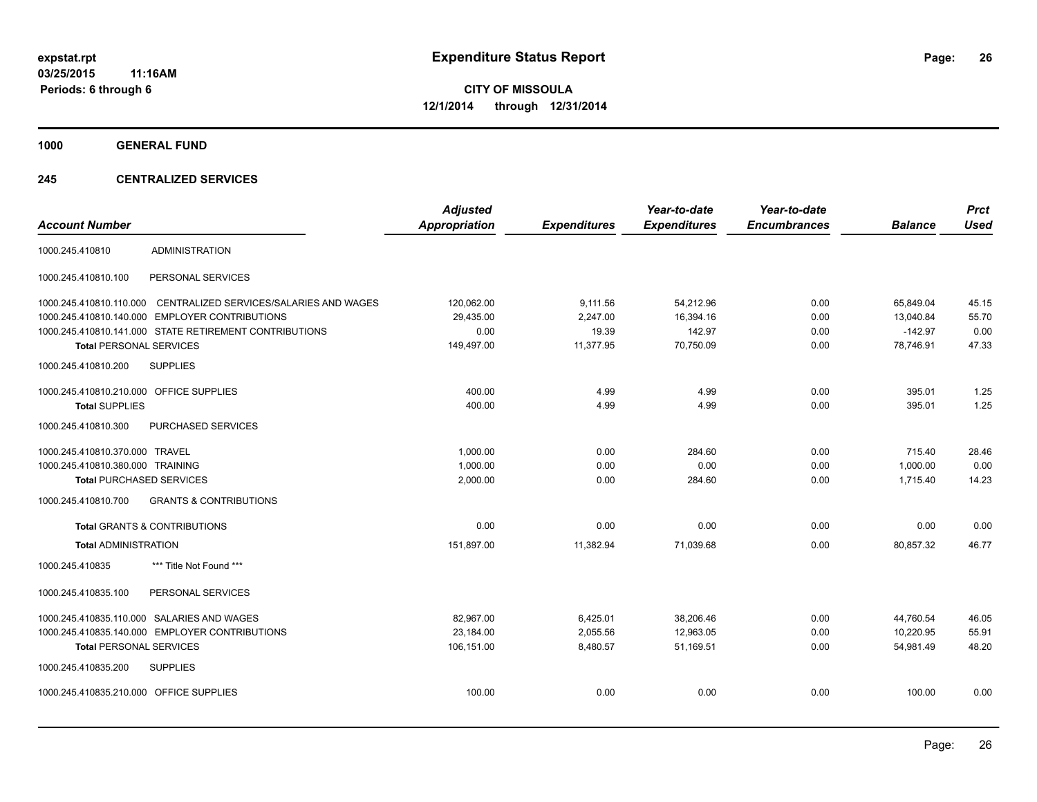**1000 GENERAL FUND**

#### **245 CENTRALIZED SERVICES**

| <b>Account Number</b>                   |                                                        | <b>Adjusted</b><br><b>Appropriation</b> | <b>Expenditures</b> | Year-to-date<br><b>Expenditures</b> | Year-to-date<br><b>Encumbrances</b> | <b>Balance</b> | <b>Prct</b><br><b>Used</b> |
|-----------------------------------------|--------------------------------------------------------|-----------------------------------------|---------------------|-------------------------------------|-------------------------------------|----------------|----------------------------|
| 1000.245.410810                         | <b>ADMINISTRATION</b>                                  |                                         |                     |                                     |                                     |                |                            |
| 1000.245.410810.100                     | PERSONAL SERVICES                                      |                                         |                     |                                     |                                     |                |                            |
| 1000.245.410810.110.000                 | CENTRALIZED SERVICES/SALARIES AND WAGES                | 120,062.00                              | 9,111.56            | 54,212.96                           | 0.00                                | 65,849.04      | 45.15                      |
| 1000.245.410810.140.000                 | <b>EMPLOYER CONTRIBUTIONS</b>                          | 29,435.00                               | 2,247.00            | 16,394.16                           | 0.00                                | 13,040.84      | 55.70                      |
|                                         | 1000.245.410810.141.000 STATE RETIREMENT CONTRIBUTIONS | 0.00                                    | 19.39               | 142.97                              | 0.00                                | $-142.97$      | 0.00                       |
| <b>Total PERSONAL SERVICES</b>          |                                                        | 149,497.00                              | 11,377.95           | 70,750.09                           | 0.00                                | 78,746.91      | 47.33                      |
| 1000.245.410810.200                     | <b>SUPPLIES</b>                                        |                                         |                     |                                     |                                     |                |                            |
| 1000.245.410810.210.000 OFFICE SUPPLIES |                                                        | 400.00                                  | 4.99                | 4.99                                | 0.00                                | 395.01         | 1.25                       |
| <b>Total SUPPLIES</b>                   |                                                        | 400.00                                  | 4.99                | 4.99                                | 0.00                                | 395.01         | 1.25                       |
| 1000.245.410810.300                     | PURCHASED SERVICES                                     |                                         |                     |                                     |                                     |                |                            |
| 1000.245.410810.370.000 TRAVEL          |                                                        | 1,000.00                                | 0.00                | 284.60                              | 0.00                                | 715.40         | 28.46                      |
| 1000.245.410810.380.000 TRAINING        |                                                        | 1,000.00                                | 0.00                | 0.00                                | 0.00                                | 1,000.00       | 0.00                       |
| <b>Total PURCHASED SERVICES</b>         |                                                        | 2,000.00                                | 0.00                | 284.60                              | 0.00                                | 1,715.40       | 14.23                      |
| 1000.245.410810.700                     | <b>GRANTS &amp; CONTRIBUTIONS</b>                      |                                         |                     |                                     |                                     |                |                            |
|                                         | <b>Total GRANTS &amp; CONTRIBUTIONS</b>                | 0.00                                    | 0.00                | 0.00                                | 0.00                                | 0.00           | 0.00                       |
| <b>Total ADMINISTRATION</b>             |                                                        | 151,897.00                              | 11,382.94           | 71,039.68                           | 0.00                                | 80,857.32      | 46.77                      |
| 1000.245.410835                         | *** Title Not Found ***                                |                                         |                     |                                     |                                     |                |                            |
| 1000.245.410835.100                     | PERSONAL SERVICES                                      |                                         |                     |                                     |                                     |                |                            |
| 1000.245.410835.110.000                 | SALARIES AND WAGES                                     | 82,967.00                               | 6,425.01            | 38,206.46                           | 0.00                                | 44,760.54      | 46.05                      |
|                                         | 1000.245.410835.140.000 EMPLOYER CONTRIBUTIONS         | 23,184.00                               | 2,055.56            | 12,963.05                           | 0.00                                | 10,220.95      | 55.91                      |
| <b>Total PERSONAL SERVICES</b>          |                                                        | 106,151.00                              | 8,480.57            | 51.169.51                           | 0.00                                | 54.981.49      | 48.20                      |
| 1000.245.410835.200                     | <b>SUPPLIES</b>                                        |                                         |                     |                                     |                                     |                |                            |
| 1000.245.410835.210.000 OFFICE SUPPLIES |                                                        | 100.00                                  | 0.00                | 0.00                                | 0.00                                | 100.00         | 0.00                       |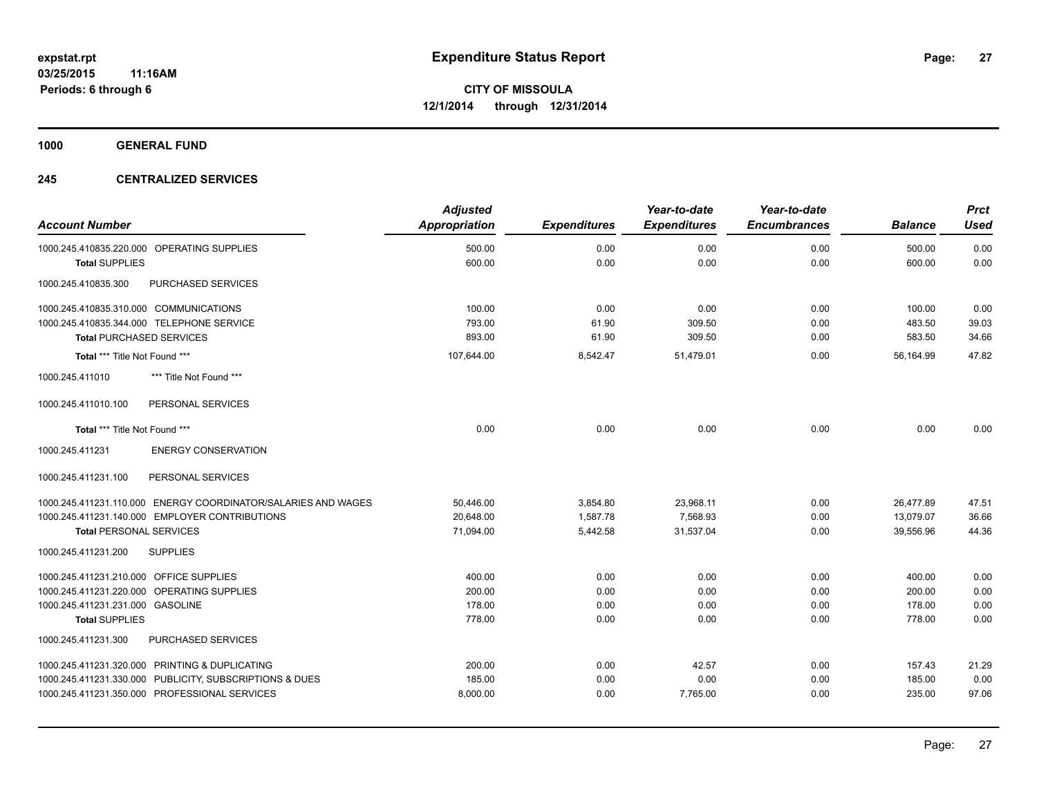**1000 GENERAL FUND**

#### **245 CENTRALIZED SERVICES**

|                                                               | <b>Adjusted</b>      |                     | Year-to-date        | Year-to-date        |                | <b>Prct</b> |
|---------------------------------------------------------------|----------------------|---------------------|---------------------|---------------------|----------------|-------------|
| <b>Account Number</b>                                         | <b>Appropriation</b> | <b>Expenditures</b> | <b>Expenditures</b> | <b>Encumbrances</b> | <b>Balance</b> | <b>Used</b> |
| 1000.245.410835.220.000 OPERATING SUPPLIES                    | 500.00               | 0.00                | 0.00                | 0.00                | 500.00         | 0.00        |
| <b>Total SUPPLIES</b>                                         | 600.00               | 0.00                | 0.00                | 0.00                | 600.00         | 0.00        |
| 1000.245.410835.300<br>PURCHASED SERVICES                     |                      |                     |                     |                     |                |             |
| 1000.245.410835.310.000 COMMUNICATIONS                        | 100.00               | 0.00                | 0.00                | 0.00                | 100.00         | 0.00        |
| 1000.245.410835.344.000 TELEPHONE SERVICE                     | 793.00               | 61.90               | 309.50              | 0.00                | 483.50         | 39.03       |
| <b>Total PURCHASED SERVICES</b>                               | 893.00               | 61.90               | 309.50              | 0.00                | 583.50         | 34.66       |
| Total *** Title Not Found ***                                 | 107,644.00           | 8,542.47            | 51,479.01           | 0.00                | 56,164.99      | 47.82       |
| *** Title Not Found ***<br>1000.245.411010                    |                      |                     |                     |                     |                |             |
| PERSONAL SERVICES<br>1000.245.411010.100                      |                      |                     |                     |                     |                |             |
| Total *** Title Not Found ***                                 | 0.00                 | 0.00                | 0.00                | 0.00                | 0.00           | 0.00        |
| <b>ENERGY CONSERVATION</b><br>1000.245.411231                 |                      |                     |                     |                     |                |             |
| 1000.245.411231.100<br>PERSONAL SERVICES                      |                      |                     |                     |                     |                |             |
| 1000.245.411231.110.000 ENERGY COORDINATOR/SALARIES AND WAGES | 50,446.00            | 3,854.80            | 23,968.11           | 0.00                | 26,477.89      | 47.51       |
| 1000.245.411231.140.000 EMPLOYER CONTRIBUTIONS                | 20,648.00            | 1,587.78            | 7,568.93            | 0.00                | 13,079.07      | 36.66       |
| <b>Total PERSONAL SERVICES</b>                                | 71,094.00            | 5,442.58            | 31,537.04           | 0.00                | 39,556.96      | 44.36       |
| 1000.245.411231.200<br><b>SUPPLIES</b>                        |                      |                     |                     |                     |                |             |
| 1000.245.411231.210.000 OFFICE SUPPLIES                       | 400.00               | 0.00                | 0.00                | 0.00                | 400.00         | 0.00        |
| 1000.245.411231.220.000 OPERATING SUPPLIES                    | 200.00               | 0.00                | 0.00                | 0.00                | 200.00         | 0.00        |
| 1000.245.411231.231.000 GASOLINE                              | 178.00               | 0.00                | 0.00                | 0.00                | 178.00         | 0.00        |
| <b>Total SUPPLIES</b>                                         | 778.00               | 0.00                | 0.00                | 0.00                | 778.00         | 0.00        |
| PURCHASED SERVICES<br>1000.245.411231.300                     |                      |                     |                     |                     |                |             |
| 1000.245.411231.320.000 PRINTING & DUPLICATING                | 200.00               | 0.00                | 42.57               | 0.00                | 157.43         | 21.29       |
| 1000.245.411231.330.000 PUBLICITY, SUBSCRIPTIONS & DUES       | 185.00               | 0.00                | 0.00                | 0.00                | 185.00         | 0.00        |
| 1000.245.411231.350.000 PROFESSIONAL SERVICES                 | 8,000.00             | 0.00                | 7,765.00            | 0.00                | 235.00         | 97.06       |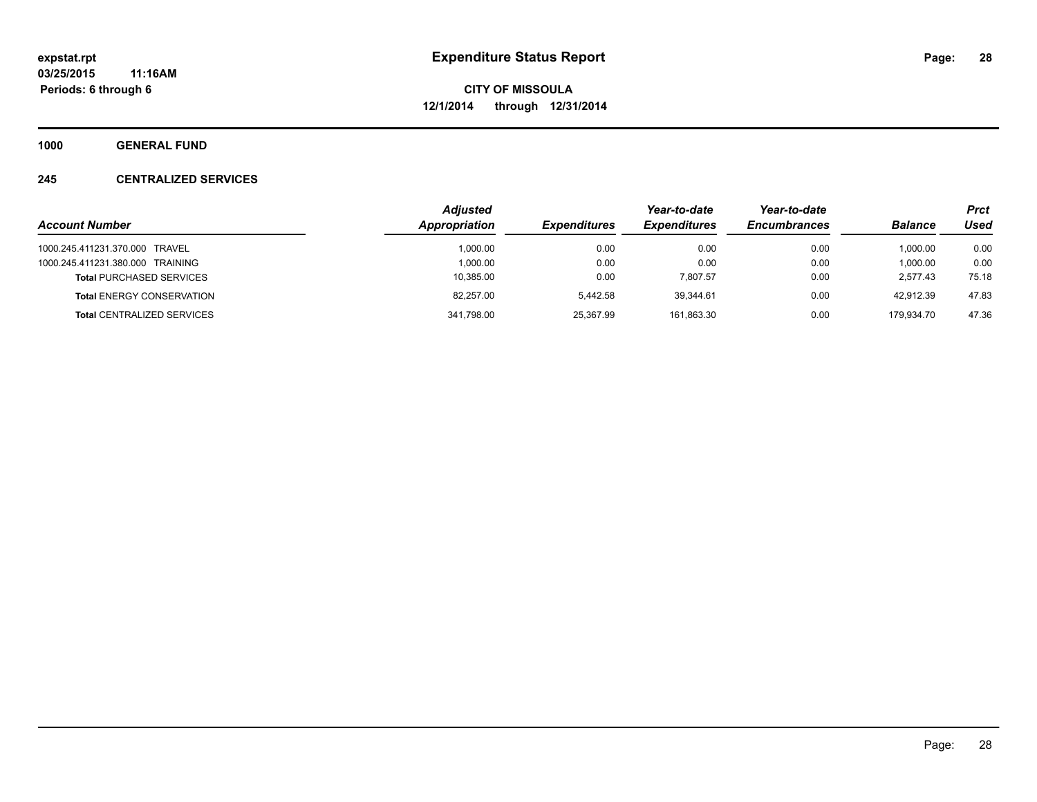**1000 GENERAL FUND**

#### **245 CENTRALIZED SERVICES**

|                                   | <b>Adjusted</b> |                     | Year-to-date        | Year-to-date        |                | <b>Prct</b> |
|-----------------------------------|-----------------|---------------------|---------------------|---------------------|----------------|-------------|
| <b>Account Number</b>             | Appropriation   | <b>Expenditures</b> | <b>Expenditures</b> | <b>Encumbrances</b> | <b>Balance</b> | Used        |
| 1000.245.411231.370.000 TRAVEL    | 1.000.00        | 0.00                | 0.00                | 0.00                | 1.000.00       | 0.00        |
| 1000.245.411231.380.000 TRAINING  | 1.000.00        | 0.00                | 0.00                | 0.00                | 1,000.00       | 0.00        |
| <b>Total PURCHASED SERVICES</b>   | 10,385.00       | 0.00                | 7.807.57            | 0.00                | 2.577.43       | 75.18       |
| <b>Total ENERGY CONSERVATION</b>  | 82.257.00       | 5.442.58            | 39.344.61           | 0.00                | 42.912.39      | 47.83       |
| <b>Total CENTRALIZED SERVICES</b> | 341,798.00      | 25,367.99           | 161.863.30          | 0.00                | 179.934.70     | 47.36       |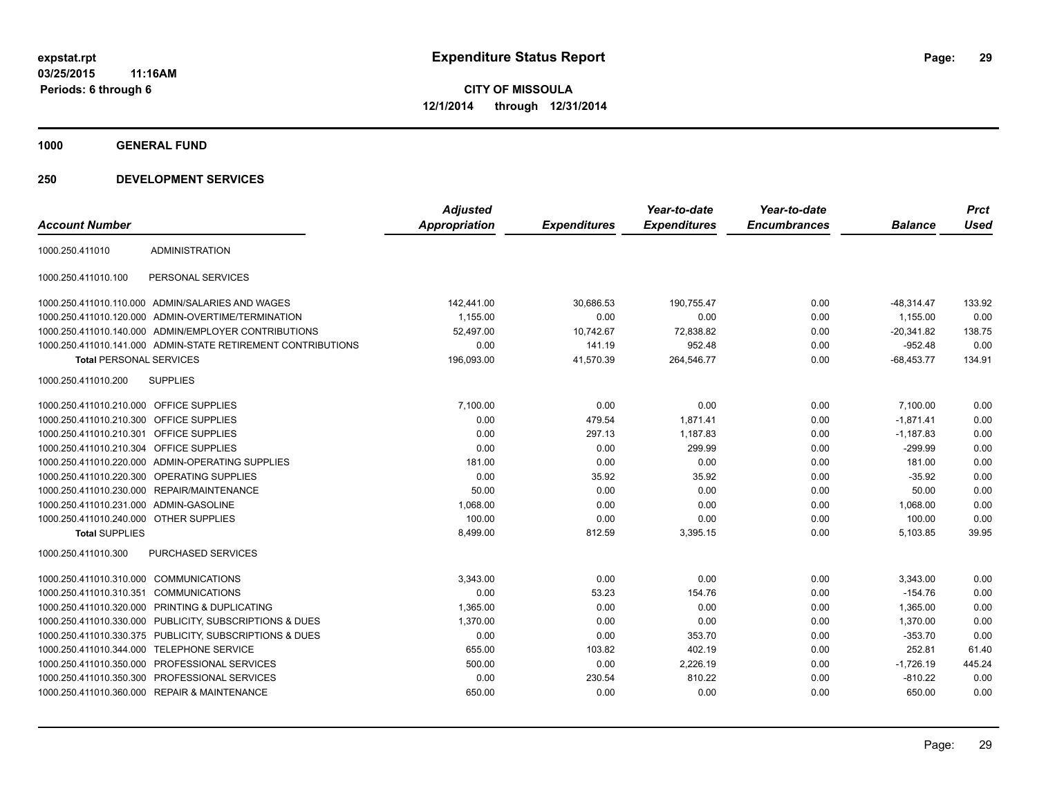**1000 GENERAL FUND**

| <b>Account Number</b>                   |                                                              | <b>Adjusted</b><br>Appropriation | <b>Expenditures</b> | Year-to-date<br><b>Expenditures</b> | Year-to-date<br><b>Encumbrances</b> | <b>Balance</b> | <b>Prct</b><br><b>Used</b> |
|-----------------------------------------|--------------------------------------------------------------|----------------------------------|---------------------|-------------------------------------|-------------------------------------|----------------|----------------------------|
| 1000.250.411010                         | <b>ADMINISTRATION</b>                                        |                                  |                     |                                     |                                     |                |                            |
| 1000.250.411010.100                     | PERSONAL SERVICES                                            |                                  |                     |                                     |                                     |                |                            |
|                                         | 1000.250.411010.110.000 ADMIN/SALARIES AND WAGES             | 142,441.00                       | 30,686.53           | 190,755.47                          | 0.00                                | $-48,314.47$   | 133.92                     |
|                                         | 1000.250.411010.120.000 ADMIN-OVERTIME/TERMINATION           | 1,155.00                         | 0.00                | 0.00                                | 0.00                                | 1,155.00       | 0.00                       |
|                                         | 1000.250.411010.140.000 ADMIN/EMPLOYER CONTRIBUTIONS         | 52.497.00                        | 10,742.67           | 72,838.82                           | 0.00                                | $-20,341.82$   | 138.75                     |
|                                         | 1000.250.411010.141.000 ADMIN-STATE RETIREMENT CONTRIBUTIONS | 0.00                             | 141.19              | 952.48                              | 0.00                                | $-952.48$      | 0.00                       |
| <b>Total PERSONAL SERVICES</b>          |                                                              | 196,093.00                       | 41,570.39           | 264,546.77                          | 0.00                                | $-68,453.77$   | 134.91                     |
| 1000.250.411010.200                     | <b>SUPPLIES</b>                                              |                                  |                     |                                     |                                     |                |                            |
| 1000.250.411010.210.000 OFFICE SUPPLIES |                                                              | 7,100.00                         | 0.00                | 0.00                                | 0.00                                | 7,100.00       | 0.00                       |
| 1000.250.411010.210.300 OFFICE SUPPLIES |                                                              | 0.00                             | 479.54              | 1,871.41                            | 0.00                                | $-1,871.41$    | 0.00                       |
| 1000.250.411010.210.301                 | <b>OFFICE SUPPLIES</b>                                       | 0.00                             | 297.13              | 1.187.83                            | 0.00                                | $-1,187.83$    | 0.00                       |
| 1000.250.411010.210.304 OFFICE SUPPLIES |                                                              | 0.00                             | 0.00                | 299.99                              | 0.00                                | $-299.99$      | 0.00                       |
|                                         | 1000.250.411010.220.000 ADMIN-OPERATING SUPPLIES             | 181.00                           | 0.00                | 0.00                                | 0.00                                | 181.00         | 0.00                       |
|                                         | 1000.250.411010.220.300 OPERATING SUPPLIES                   | 0.00                             | 35.92               | 35.92                               | 0.00                                | $-35.92$       | 0.00                       |
|                                         | 1000.250.411010.230.000 REPAIR/MAINTENANCE                   | 50.00                            | 0.00                | 0.00                                | 0.00                                | 50.00          | 0.00                       |
| 1000.250.411010.231.000 ADMIN-GASOLINE  |                                                              | 1,068.00                         | 0.00                | 0.00                                | 0.00                                | 1,068.00       | 0.00                       |
| 1000.250.411010.240.000 OTHER SUPPLIES  |                                                              | 100.00                           | 0.00                | 0.00                                | 0.00                                | 100.00         | 0.00                       |
| <b>Total SUPPLIES</b>                   |                                                              | 8,499.00                         | 812.59              | 3,395.15                            | 0.00                                | 5,103.85       | 39.95                      |
| 1000.250.411010.300                     | <b>PURCHASED SERVICES</b>                                    |                                  |                     |                                     |                                     |                |                            |
| 1000.250.411010.310.000 COMMUNICATIONS  |                                                              | 3.343.00                         | 0.00                | 0.00                                | 0.00                                | 3,343.00       | 0.00                       |
| 1000.250.411010.310.351                 | <b>COMMUNICATIONS</b>                                        | 0.00                             | 53.23               | 154.76                              | 0.00                                | $-154.76$      | 0.00                       |
|                                         | 1000.250.411010.320.000 PRINTING & DUPLICATING               | 1,365.00                         | 0.00                | 0.00                                | 0.00                                | 1,365.00       | 0.00                       |
|                                         | 1000.250.411010.330.000 PUBLICITY, SUBSCRIPTIONS & DUES      | 1,370.00                         | 0.00                | 0.00                                | 0.00                                | 1,370.00       | 0.00                       |
|                                         | 1000.250.411010.330.375 PUBLICITY, SUBSCRIPTIONS & DUES      | 0.00                             | 0.00                | 353.70                              | 0.00                                | $-353.70$      | 0.00                       |
|                                         | 1000.250.411010.344.000 TELEPHONE SERVICE                    | 655.00                           | 103.82              | 402.19                              | 0.00                                | 252.81         | 61.40                      |
|                                         | 1000.250.411010.350.000 PROFESSIONAL SERVICES                | 500.00                           | 0.00                | 2,226.19                            | 0.00                                | $-1,726.19$    | 445.24                     |
|                                         | 1000.250.411010.350.300 PROFESSIONAL SERVICES                | 0.00                             | 230.54              | 810.22                              | 0.00                                | $-810.22$      | 0.00                       |
|                                         | 1000.250.411010.360.000 REPAIR & MAINTENANCE                 | 650.00                           | 0.00                | 0.00                                | 0.00                                | 650.00         | 0.00                       |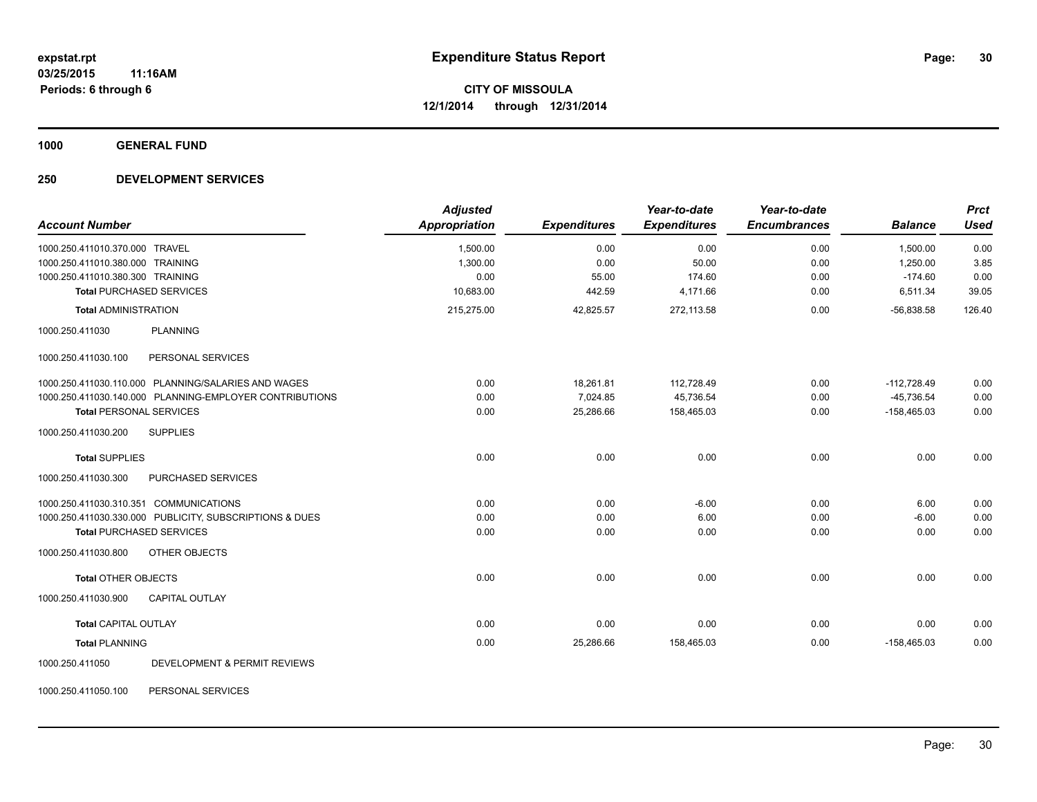**1000 GENERAL FUND**

#### **250 DEVELOPMENT SERVICES**

| <b>Account Number</b>                  |                                                         | <b>Adjusted</b><br><b>Appropriation</b> | <b>Expenditures</b> | Year-to-date<br><b>Expenditures</b> | Year-to-date<br><b>Encumbrances</b> | <b>Balance</b> | <b>Prct</b><br><b>Used</b> |
|----------------------------------------|---------------------------------------------------------|-----------------------------------------|---------------------|-------------------------------------|-------------------------------------|----------------|----------------------------|
| 1000.250.411010.370.000 TRAVEL         |                                                         | 1,500.00                                | 0.00                | 0.00                                | 0.00                                | 1,500.00       | 0.00                       |
| 1000.250.411010.380.000 TRAINING       |                                                         | 1.300.00                                | 0.00                | 50.00                               | 0.00                                | 1.250.00       | 3.85                       |
| 1000.250.411010.380.300 TRAINING       |                                                         | 0.00                                    | 55.00               | 174.60                              | 0.00                                | $-174.60$      | 0.00                       |
|                                        | <b>Total PURCHASED SERVICES</b>                         | 10,683.00                               | 442.59              | 4,171.66                            | 0.00                                | 6,511.34       | 39.05                      |
| <b>Total ADMINISTRATION</b>            |                                                         | 215,275.00                              | 42,825.57           | 272,113.58                          | 0.00                                | $-56,838.58$   | 126.40                     |
| 1000.250.411030                        | <b>PLANNING</b>                                         |                                         |                     |                                     |                                     |                |                            |
| 1000.250.411030.100                    | PERSONAL SERVICES                                       |                                         |                     |                                     |                                     |                |                            |
|                                        | 1000.250.411030.110.000 PLANNING/SALARIES AND WAGES     | 0.00                                    | 18,261.81           | 112,728.49                          | 0.00                                | $-112,728.49$  | 0.00                       |
|                                        | 1000.250.411030.140.000 PLANNING-EMPLOYER CONTRIBUTIONS | 0.00                                    | 7,024.85            | 45,736.54                           | 0.00                                | $-45,736.54$   | 0.00                       |
| <b>Total PERSONAL SERVICES</b>         |                                                         | 0.00                                    | 25,286.66           | 158,465.03                          | 0.00                                | $-158,465.03$  | 0.00                       |
| 1000.250.411030.200                    | <b>SUPPLIES</b>                                         |                                         |                     |                                     |                                     |                |                            |
| <b>Total SUPPLIES</b>                  |                                                         | 0.00                                    | 0.00                | 0.00                                | 0.00                                | 0.00           | 0.00                       |
| 1000.250.411030.300                    | <b>PURCHASED SERVICES</b>                               |                                         |                     |                                     |                                     |                |                            |
| 1000.250.411030.310.351 COMMUNICATIONS |                                                         | 0.00                                    | 0.00                | $-6.00$                             | 0.00                                | 6.00           | 0.00                       |
|                                        | 1000.250.411030.330.000 PUBLICITY, SUBSCRIPTIONS & DUES | 0.00                                    | 0.00                | 6.00                                | 0.00                                | $-6.00$        | 0.00                       |
|                                        | <b>Total PURCHASED SERVICES</b>                         | 0.00                                    | 0.00                | 0.00                                | 0.00                                | 0.00           | 0.00                       |
| 1000.250.411030.800                    | OTHER OBJECTS                                           |                                         |                     |                                     |                                     |                |                            |
| <b>Total OTHER OBJECTS</b>             |                                                         | 0.00                                    | 0.00                | 0.00                                | 0.00                                | 0.00           | 0.00                       |
| 1000.250.411030.900                    | <b>CAPITAL OUTLAY</b>                                   |                                         |                     |                                     |                                     |                |                            |
| <b>Total CAPITAL OUTLAY</b>            |                                                         | 0.00                                    | 0.00                | 0.00                                | 0.00                                | 0.00           | 0.00                       |
| <b>Total PLANNING</b>                  |                                                         | 0.00                                    | 25,286.66           | 158,465.03                          | 0.00                                | $-158,465.03$  | 0.00                       |
| 1000.250.411050                        | <b>DEVELOPMENT &amp; PERMIT REVIEWS</b>                 |                                         |                     |                                     |                                     |                |                            |

1000.250.411050.100 PERSONAL SERVICES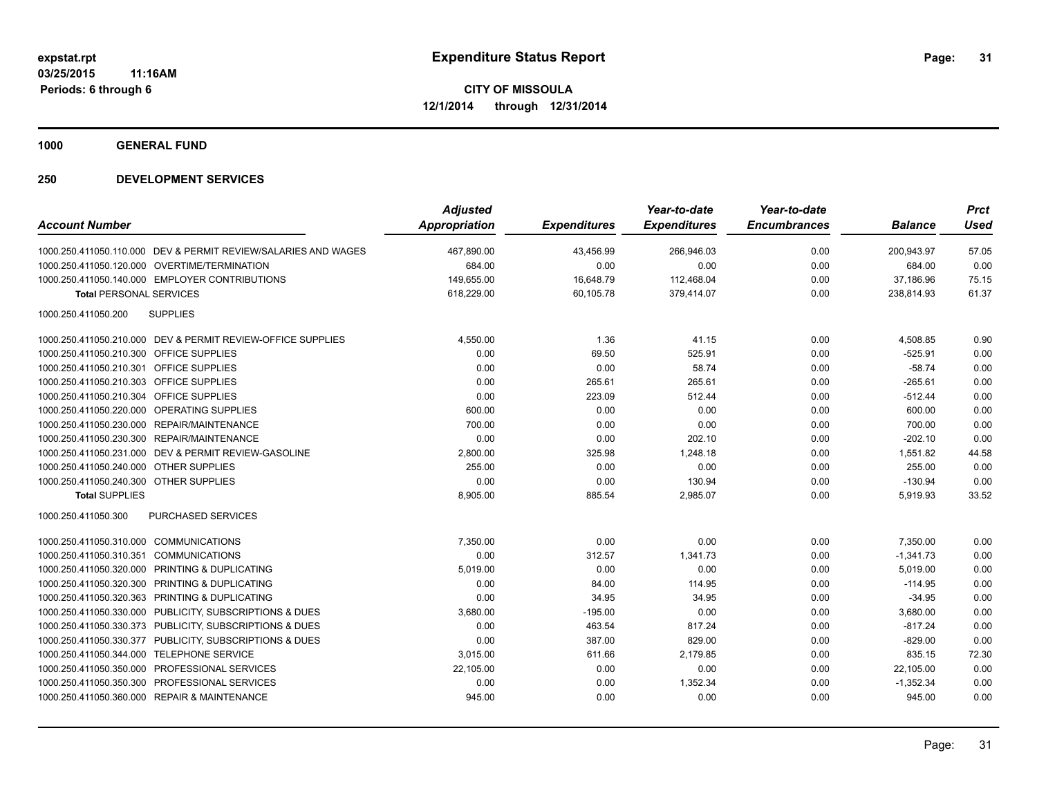**1000 GENERAL FUND**

| <b>Account Number</b>                                          | <b>Adjusted</b><br><b>Appropriation</b> | <b>Expenditures</b> | Year-to-date<br><b>Expenditures</b> | Year-to-date<br><b>Encumbrances</b> | <b>Balance</b> | <b>Prct</b><br><b>Used</b> |
|----------------------------------------------------------------|-----------------------------------------|---------------------|-------------------------------------|-------------------------------------|----------------|----------------------------|
|                                                                |                                         |                     |                                     |                                     |                |                            |
| 1000.250.411050.110.000 DEV & PERMIT REVIEW/SALARIES AND WAGES | 467,890.00                              | 43,456.99           | 266,946.03                          | 0.00                                | 200.943.97     | 57.05                      |
| 1000.250.411050.120.000 OVERTIME/TERMINATION                   | 684.00                                  | 0.00                | 0.00                                | 0.00                                | 684.00         | 0.00                       |
| 1000.250.411050.140.000 EMPLOYER CONTRIBUTIONS                 | 149,655.00                              | 16,648.79           | 112,468.04                          | 0.00                                | 37,186.96      | 75.15                      |
| <b>Total PERSONAL SERVICES</b>                                 | 618,229.00                              | 60,105.78           | 379,414.07                          | 0.00                                | 238,814.93     | 61.37                      |
| 1000.250.411050.200<br><b>SUPPLIES</b>                         |                                         |                     |                                     |                                     |                |                            |
| 1000.250.411050.210.000 DEV & PERMIT REVIEW-OFFICE SUPPLIES    | 4,550.00                                | 1.36                | 41.15                               | 0.00                                | 4,508.85       | 0.90                       |
| 1000.250.411050.210.300 OFFICE SUPPLIES                        | 0.00                                    | 69.50               | 525.91                              | 0.00                                | $-525.91$      | 0.00                       |
| 1000.250.411050.210.301 OFFICE SUPPLIES                        | 0.00                                    | 0.00                | 58.74                               | 0.00                                | $-58.74$       | 0.00                       |
| 1000.250.411050.210.303 OFFICE SUPPLIES                        | 0.00                                    | 265.61              | 265.61                              | 0.00                                | $-265.61$      | 0.00                       |
| 1000.250.411050.210.304 OFFICE SUPPLIES                        | 0.00                                    | 223.09              | 512.44                              | 0.00                                | $-512.44$      | 0.00                       |
| 1000.250.411050.220.000 OPERATING SUPPLIES                     | 600.00                                  | 0.00                | 0.00                                | 0.00                                | 600.00         | 0.00                       |
| 1000.250.411050.230.000 REPAIR/MAINTENANCE                     | 700.00                                  | 0.00                | 0.00                                | 0.00                                | 700.00         | 0.00                       |
| 1000.250.411050.230.300 REPAIR/MAINTENANCE                     | 0.00                                    | 0.00                | 202.10                              | 0.00                                | $-202.10$      | 0.00                       |
| 1000.250.411050.231.000 DEV & PERMIT REVIEW-GASOLINE           | 2,800.00                                | 325.98              | 1,248.18                            | 0.00                                | 1,551.82       | 44.58                      |
| 1000.250.411050.240.000 OTHER SUPPLIES                         | 255.00                                  | 0.00                | 0.00                                | 0.00                                | 255.00         | 0.00                       |
| 1000.250.411050.240.300 OTHER SUPPLIES                         | 0.00                                    | 0.00                | 130.94                              | 0.00                                | $-130.94$      | 0.00                       |
| <b>Total SUPPLIES</b>                                          | 8,905.00                                | 885.54              | 2,985.07                            | 0.00                                | 5,919.93       | 33.52                      |
| <b>PURCHASED SERVICES</b><br>1000.250.411050.300               |                                         |                     |                                     |                                     |                |                            |
| 1000.250.411050.310.000 COMMUNICATIONS                         | 7,350.00                                | 0.00                | 0.00                                | 0.00                                | 7.350.00       | 0.00                       |
| 1000.250.411050.310.351 COMMUNICATIONS                         | 0.00                                    | 312.57              | 1,341.73                            | 0.00                                | $-1,341.73$    | 0.00                       |
| 1000.250.411050.320.000 PRINTING & DUPLICATING                 | 5,019.00                                | 0.00                | 0.00                                | 0.00                                | 5,019.00       | 0.00                       |
| 1000.250.411050.320.300 PRINTING & DUPLICATING                 | 0.00                                    | 84.00               | 114.95                              | 0.00                                | $-114.95$      | 0.00                       |
| 1000.250.411050.320.363 PRINTING & DUPLICATING                 | 0.00                                    | 34.95               | 34.95                               | 0.00                                | $-34.95$       | 0.00                       |
| 1000.250.411050.330.000 PUBLICITY, SUBSCRIPTIONS & DUES        | 3,680.00                                | $-195.00$           | 0.00                                | 0.00                                | 3,680.00       | 0.00                       |
| 1000.250.411050.330.373 PUBLICITY, SUBSCRIPTIONS & DUES        | 0.00                                    | 463.54              | 817.24                              | 0.00                                | $-817.24$      | 0.00                       |
| 1000.250.411050.330.377 PUBLICITY, SUBSCRIPTIONS & DUES        | 0.00                                    | 387.00              | 829.00                              | 0.00                                | $-829.00$      | 0.00                       |
| 1000.250.411050.344.000 TELEPHONE SERVICE                      | 3,015.00                                | 611.66              | 2,179.85                            | 0.00                                | 835.15         | 72.30                      |
| 1000.250.411050.350.000 PROFESSIONAL SERVICES                  | 22,105.00                               | 0.00                | 0.00                                | 0.00                                | 22,105.00      | 0.00                       |
| 1000.250.411050.350.300 PROFESSIONAL SERVICES                  | 0.00                                    | 0.00                | 1,352.34                            | 0.00                                | $-1,352.34$    | 0.00                       |
| 1000.250.411050.360.000 REPAIR & MAINTENANCE                   | 945.00                                  | 0.00                | 0.00                                | 0.00                                | 945.00         | 0.00                       |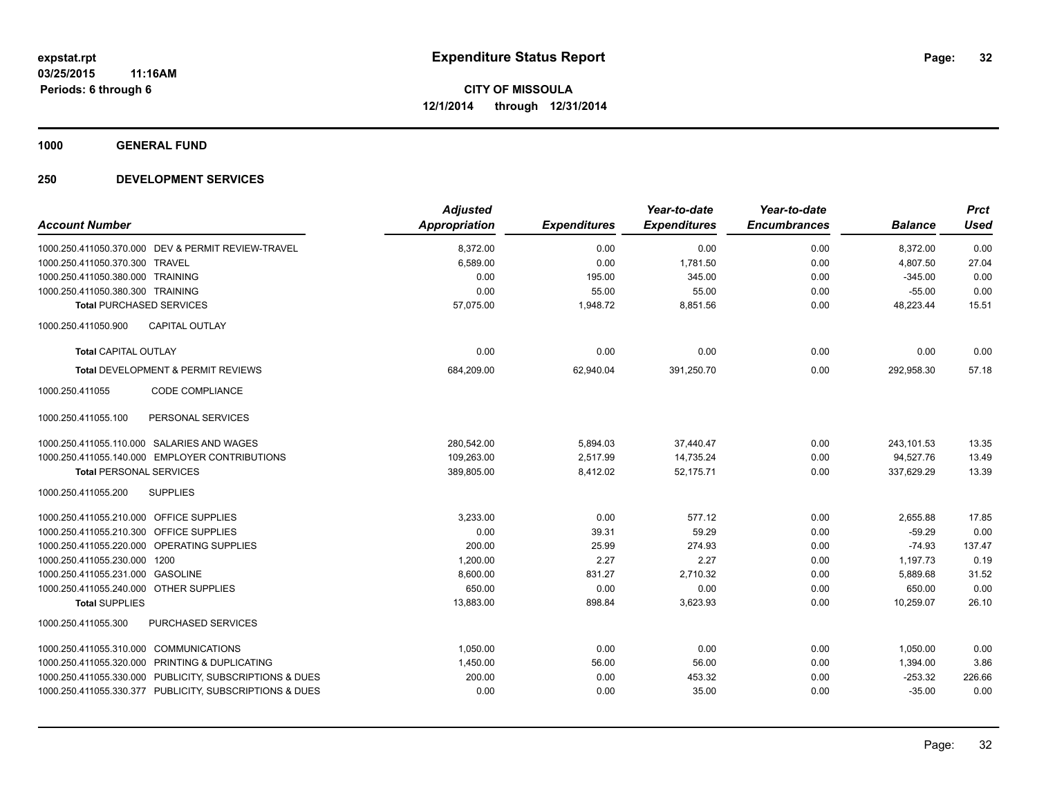**1000 GENERAL FUND**

|                                         |                                                         | <b>Adjusted</b>      |                     | Year-to-date        | Year-to-date        |                | <b>Prct</b> |
|-----------------------------------------|---------------------------------------------------------|----------------------|---------------------|---------------------|---------------------|----------------|-------------|
| <b>Account Number</b>                   |                                                         | <b>Appropriation</b> | <b>Expenditures</b> | <b>Expenditures</b> | <b>Encumbrances</b> | <b>Balance</b> | <b>Used</b> |
|                                         | 1000.250.411050.370.000 DEV & PERMIT REVIEW-TRAVEL      | 8,372.00             | 0.00                | 0.00                | 0.00                | 8,372.00       | 0.00        |
| 1000.250.411050.370.300 TRAVEL          |                                                         | 6,589.00             | 0.00                | 1,781.50            | 0.00                | 4,807.50       | 27.04       |
| 1000.250.411050.380.000 TRAINING        |                                                         | 0.00                 | 195.00              | 345.00              | 0.00                | $-345.00$      | 0.00        |
| 1000.250.411050.380.300 TRAINING        |                                                         | 0.00                 | 55.00               | 55.00               | 0.00                | $-55.00$       | 0.00        |
| <b>Total PURCHASED SERVICES</b>         |                                                         | 57,075.00            | 1,948.72            | 8,851.56            | 0.00                | 48,223.44      | 15.51       |
| 1000.250.411050.900                     | CAPITAL OUTLAY                                          |                      |                     |                     |                     |                |             |
| <b>Total CAPITAL OUTLAY</b>             |                                                         | 0.00                 | 0.00                | 0.00                | 0.00                | 0.00           | 0.00        |
|                                         | Total DEVELOPMENT & PERMIT REVIEWS                      | 684,209.00           | 62,940.04           | 391,250.70          | 0.00                | 292,958.30     | 57.18       |
| 1000.250.411055                         | CODE COMPLIANCE                                         |                      |                     |                     |                     |                |             |
| 1000.250.411055.100                     | PERSONAL SERVICES                                       |                      |                     |                     |                     |                |             |
|                                         | 1000.250.411055.110.000 SALARIES AND WAGES              | 280.542.00           | 5,894.03            | 37,440.47           | 0.00                | 243,101.53     | 13.35       |
|                                         | 1000.250.411055.140.000 EMPLOYER CONTRIBUTIONS          | 109,263.00           | 2,517.99            | 14,735.24           | 0.00                | 94,527.76      | 13.49       |
| <b>Total PERSONAL SERVICES</b>          |                                                         | 389,805.00           | 8,412.02            | 52,175.71           | 0.00                | 337,629.29     | 13.39       |
| 1000.250.411055.200                     | <b>SUPPLIES</b>                                         |                      |                     |                     |                     |                |             |
| 1000.250.411055.210.000 OFFICE SUPPLIES |                                                         | 3,233.00             | 0.00                | 577.12              | 0.00                | 2,655.88       | 17.85       |
| 1000.250.411055.210.300 OFFICE SUPPLIES |                                                         | 0.00                 | 39.31               | 59.29               | 0.00                | $-59.29$       | 0.00        |
|                                         | 1000.250.411055.220.000 OPERATING SUPPLIES              | 200.00               | 25.99               | 274.93              | 0.00                | $-74.93$       | 137.47      |
| 1000.250.411055.230.000 1200            |                                                         | 1,200.00             | 2.27                | 2.27                | 0.00                | 1,197.73       | 0.19        |
| 1000.250.411055.231.000 GASOLINE        |                                                         | 8,600.00             | 831.27              | 2,710.32            | 0.00                | 5,889.68       | 31.52       |
| 1000.250.411055.240.000 OTHER SUPPLIES  |                                                         | 650.00               | 0.00                | 0.00                | 0.00                | 650.00         | 0.00        |
| <b>Total SUPPLIES</b>                   |                                                         | 13,883.00            | 898.84              | 3,623.93            | 0.00                | 10,259.07      | 26.10       |
| 1000.250.411055.300                     | PURCHASED SERVICES                                      |                      |                     |                     |                     |                |             |
| 1000.250.411055.310.000 COMMUNICATIONS  |                                                         | 1,050.00             | 0.00                | 0.00                | 0.00                | 1,050.00       | 0.00        |
|                                         | 1000.250.411055.320.000 PRINTING & DUPLICATING          | 1,450.00             | 56.00               | 56.00               | 0.00                | 1,394.00       | 3.86        |
|                                         | 1000.250.411055.330.000 PUBLICITY, SUBSCRIPTIONS & DUES | 200.00               | 0.00                | 453.32              | 0.00                | $-253.32$      | 226.66      |
|                                         | 1000.250.411055.330.377 PUBLICITY, SUBSCRIPTIONS & DUES | 0.00                 | 0.00                | 35.00               | 0.00                | $-35.00$       | 0.00        |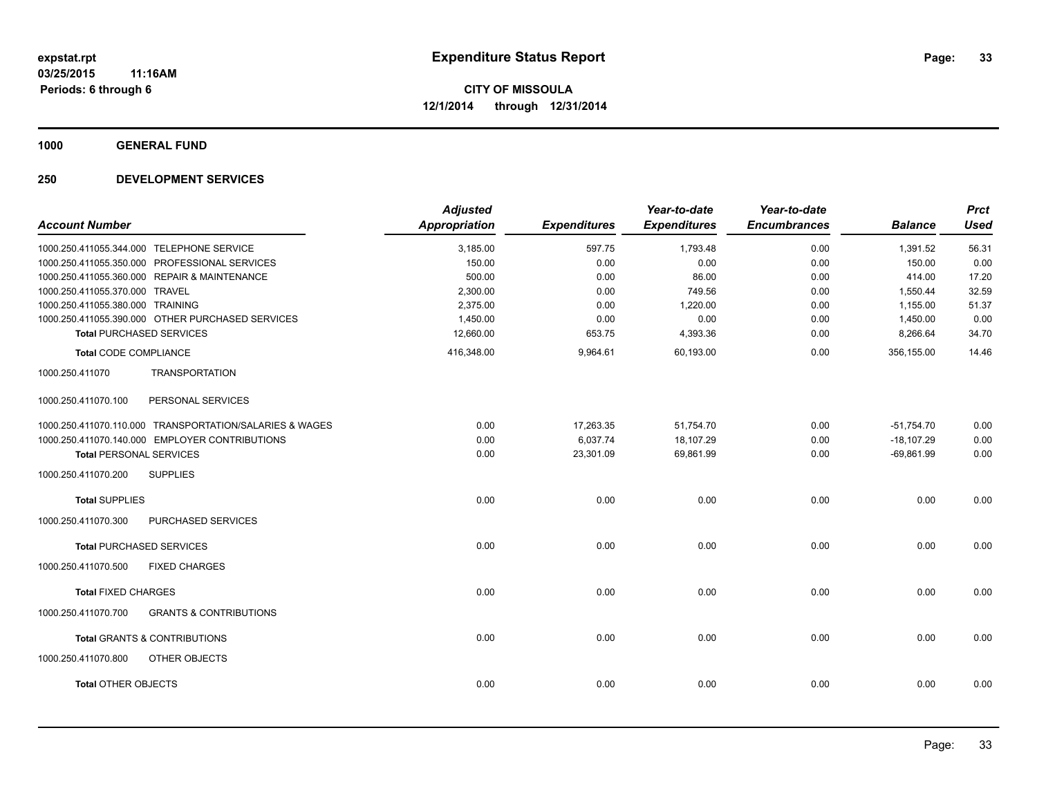**1000 GENERAL FUND**

| <b>Account Number</b>                                    | <b>Adjusted</b><br>Appropriation | <b>Expenditures</b> | Year-to-date<br><b>Expenditures</b> | Year-to-date<br><b>Encumbrances</b> | <b>Balance</b> | <b>Prct</b><br><b>Used</b> |
|----------------------------------------------------------|----------------------------------|---------------------|-------------------------------------|-------------------------------------|----------------|----------------------------|
|                                                          |                                  |                     |                                     |                                     |                |                            |
| 1000.250.411055.344.000 TELEPHONE SERVICE                | 3,185.00                         | 597.75              | 1,793.48                            | 0.00                                | 1,391.52       | 56.31                      |
| 1000.250.411055.350.000 PROFESSIONAL SERVICES            | 150.00                           | 0.00                | 0.00                                | 0.00                                | 150.00         | 0.00                       |
| 1000.250.411055.360.000 REPAIR & MAINTENANCE             | 500.00                           | 0.00                | 86.00                               | 0.00                                | 414.00         | 17.20                      |
| 1000.250.411055.370.000 TRAVEL                           | 2,300.00                         | 0.00                | 749.56                              | 0.00                                | 1,550.44       | 32.59                      |
| 1000.250.411055.380.000 TRAINING                         | 2.375.00                         | 0.00                | 1.220.00                            | 0.00                                | 1.155.00       | 51.37                      |
| 1000.250.411055.390.000 OTHER PURCHASED SERVICES         | 1,450.00                         | 0.00                | 0.00                                | 0.00                                | 1,450.00       | 0.00                       |
| <b>Total PURCHASED SERVICES</b>                          | 12,660.00                        | 653.75              | 4,393.36                            | 0.00                                | 8,266.64       | 34.70                      |
| <b>Total CODE COMPLIANCE</b>                             | 416,348.00                       | 9,964.61            | 60,193.00                           | 0.00                                | 356,155.00     | 14.46                      |
| <b>TRANSPORTATION</b><br>1000.250.411070                 |                                  |                     |                                     |                                     |                |                            |
| PERSONAL SERVICES<br>1000.250.411070.100                 |                                  |                     |                                     |                                     |                |                            |
| 1000.250.411070.110.000 TRANSPORTATION/SALARIES & WAGES  | 0.00                             | 17,263.35           | 51,754.70                           | 0.00                                | $-51,754.70$   | 0.00                       |
| 1000.250.411070.140.000 EMPLOYER CONTRIBUTIONS           | 0.00                             | 6,037.74            | 18,107.29                           | 0.00                                | $-18,107.29$   | 0.00                       |
| <b>Total PERSONAL SERVICES</b>                           | 0.00                             | 23,301.09           | 69,861.99                           | 0.00                                | $-69,861.99$   | 0.00                       |
| <b>SUPPLIES</b><br>1000.250.411070.200                   |                                  |                     |                                     |                                     |                |                            |
| <b>Total SUPPLIES</b>                                    | 0.00                             | 0.00                | 0.00                                | 0.00                                | 0.00           | 0.00                       |
| 1000.250.411070.300<br><b>PURCHASED SERVICES</b>         |                                  |                     |                                     |                                     |                |                            |
| <b>Total PURCHASED SERVICES</b>                          | 0.00                             | 0.00                | 0.00                                | 0.00                                | 0.00           | 0.00                       |
| 1000.250.411070.500<br><b>FIXED CHARGES</b>              |                                  |                     |                                     |                                     |                |                            |
| <b>Total FIXED CHARGES</b>                               | 0.00                             | 0.00                | 0.00                                | 0.00                                | 0.00           | 0.00                       |
| 1000.250.411070.700<br><b>GRANTS &amp; CONTRIBUTIONS</b> |                                  |                     |                                     |                                     |                |                            |
| <b>Total GRANTS &amp; CONTRIBUTIONS</b>                  | 0.00                             | 0.00                | 0.00                                | 0.00                                | 0.00           | 0.00                       |
| 1000.250.411070.800<br><b>OTHER OBJECTS</b>              |                                  |                     |                                     |                                     |                |                            |
| <b>Total OTHER OBJECTS</b>                               | 0.00                             | 0.00                | 0.00                                | 0.00                                | 0.00           | 0.00                       |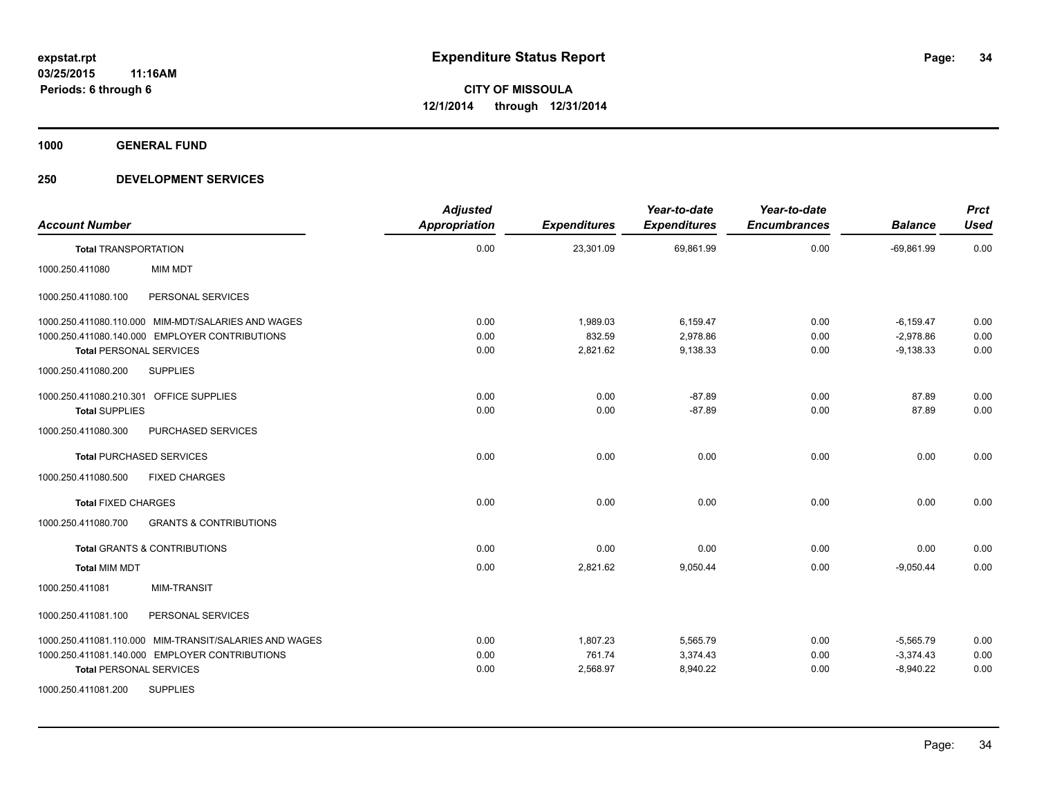**1000 GENERAL FUND**

| <b>Account Number</b>                   |                                                        | <b>Adjusted</b><br><b>Appropriation</b> | <b>Expenditures</b> | Year-to-date<br><b>Expenditures</b> | Year-to-date<br><b>Encumbrances</b> | <b>Balance</b> | <b>Prct</b><br><b>Used</b> |
|-----------------------------------------|--------------------------------------------------------|-----------------------------------------|---------------------|-------------------------------------|-------------------------------------|----------------|----------------------------|
| <b>Total TRANSPORTATION</b>             |                                                        | 0.00                                    | 23,301.09           | 69,861.99                           | 0.00                                | $-69,861.99$   | 0.00                       |
| 1000.250.411080                         | <b>MIM MDT</b>                                         |                                         |                     |                                     |                                     |                |                            |
| 1000.250.411080.100                     | PERSONAL SERVICES                                      |                                         |                     |                                     |                                     |                |                            |
|                                         | 1000.250.411080.110.000 MIM-MDT/SALARIES AND WAGES     | 0.00                                    | 1,989.03            | 6,159.47                            | 0.00                                | $-6,159.47$    | 0.00                       |
|                                         | 1000.250.411080.140.000 EMPLOYER CONTRIBUTIONS         | 0.00                                    | 832.59              | 2,978.86                            | 0.00                                | $-2,978.86$    | 0.00                       |
| <b>Total PERSONAL SERVICES</b>          |                                                        | 0.00                                    | 2,821.62            | 9,138.33                            | 0.00                                | $-9,138.33$    | 0.00                       |
| 1000.250.411080.200                     | <b>SUPPLIES</b>                                        |                                         |                     |                                     |                                     |                |                            |
| 1000.250.411080.210.301 OFFICE SUPPLIES |                                                        | 0.00                                    | 0.00                | $-87.89$                            | 0.00                                | 87.89          | 0.00                       |
| <b>Total SUPPLIES</b>                   |                                                        | 0.00                                    | 0.00                | $-87.89$                            | 0.00                                | 87.89          | 0.00                       |
| 1000.250.411080.300                     | PURCHASED SERVICES                                     |                                         |                     |                                     |                                     |                |                            |
| <b>Total PURCHASED SERVICES</b>         |                                                        | 0.00                                    | 0.00                | 0.00                                | 0.00                                | 0.00           | 0.00                       |
| 1000.250.411080.500                     | <b>FIXED CHARGES</b>                                   |                                         |                     |                                     |                                     |                |                            |
| <b>Total FIXED CHARGES</b>              |                                                        | 0.00                                    | 0.00                | 0.00                                | 0.00                                | 0.00           | 0.00                       |
| 1000.250.411080.700                     | <b>GRANTS &amp; CONTRIBUTIONS</b>                      |                                         |                     |                                     |                                     |                |                            |
|                                         | <b>Total GRANTS &amp; CONTRIBUTIONS</b>                | 0.00                                    | 0.00                | 0.00                                | 0.00                                | 0.00           | 0.00                       |
| <b>Total MIM MDT</b>                    |                                                        | 0.00                                    | 2,821.62            | 9,050.44                            | 0.00                                | $-9.050.44$    | 0.00                       |
| 1000.250.411081                         | <b>MIM-TRANSIT</b>                                     |                                         |                     |                                     |                                     |                |                            |
| 1000.250.411081.100                     | PERSONAL SERVICES                                      |                                         |                     |                                     |                                     |                |                            |
|                                         | 1000.250.411081.110.000 MIM-TRANSIT/SALARIES AND WAGES | 0.00                                    | 1,807.23            | 5,565.79                            | 0.00                                | $-5,565.79$    | 0.00                       |
|                                         | 1000.250.411081.140.000 EMPLOYER CONTRIBUTIONS         | 0.00                                    | 761.74              | 3,374.43                            | 0.00                                | $-3,374.43$    | 0.00                       |
| <b>Total PERSONAL SERVICES</b>          |                                                        | 0.00                                    | 2,568.97            | 8,940.22                            | 0.00                                | $-8,940.22$    | 0.00                       |
| 1000.250.411081.200                     | <b>SUPPLIES</b>                                        |                                         |                     |                                     |                                     |                |                            |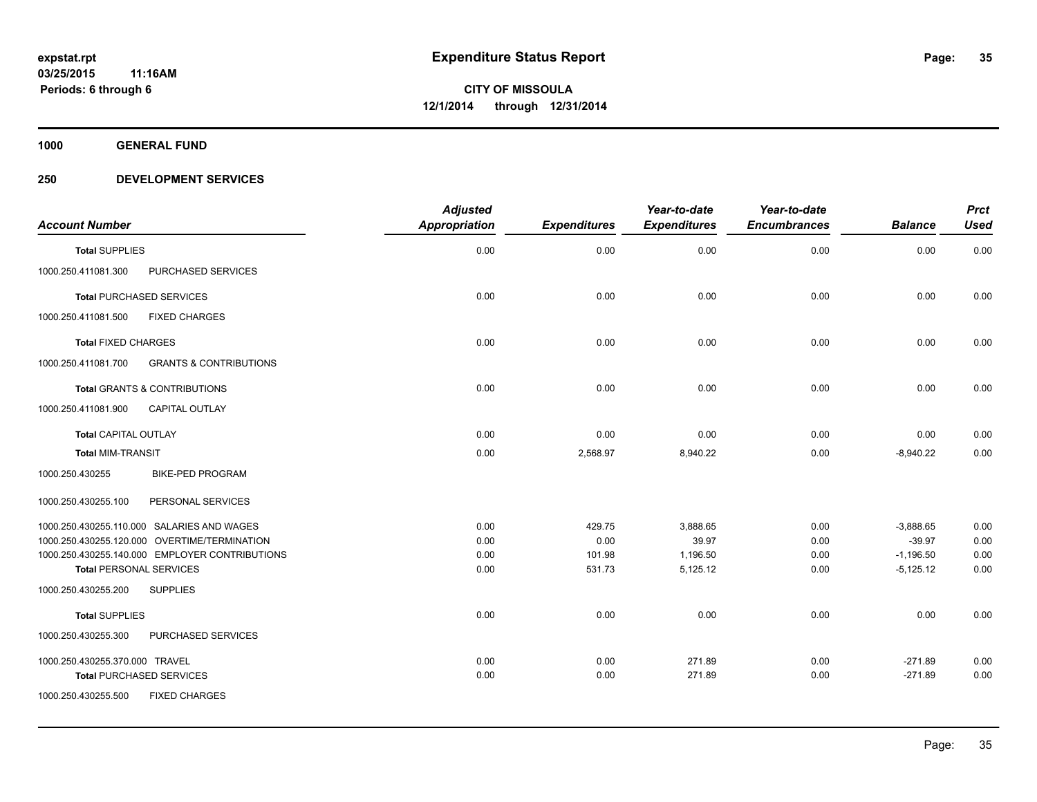**1000 GENERAL FUND**

| <b>Account Number</b>                                    | <b>Adjusted</b><br><b>Appropriation</b> | <b>Expenditures</b> | Year-to-date<br><b>Expenditures</b> | Year-to-date<br><b>Encumbrances</b> | <b>Balance</b> | <b>Prct</b><br><b>Used</b> |
|----------------------------------------------------------|-----------------------------------------|---------------------|-------------------------------------|-------------------------------------|----------------|----------------------------|
| <b>Total SUPPLIES</b>                                    | 0.00                                    | 0.00                | 0.00                                | 0.00                                | 0.00           | 0.00                       |
| PURCHASED SERVICES<br>1000.250.411081.300                |                                         |                     |                                     |                                     |                |                            |
| <b>Total PURCHASED SERVICES</b>                          | 0.00                                    | 0.00                | 0.00                                | 0.00                                | 0.00           | 0.00                       |
| 1000.250.411081.500<br><b>FIXED CHARGES</b>              |                                         |                     |                                     |                                     |                |                            |
| <b>Total FIXED CHARGES</b>                               | 0.00                                    | 0.00                | 0.00                                | 0.00                                | 0.00           | 0.00                       |
| <b>GRANTS &amp; CONTRIBUTIONS</b><br>1000.250.411081.700 |                                         |                     |                                     |                                     |                |                            |
| <b>Total GRANTS &amp; CONTRIBUTIONS</b>                  | 0.00                                    | 0.00                | 0.00                                | 0.00                                | 0.00           | 0.00                       |
| 1000.250.411081.900<br><b>CAPITAL OUTLAY</b>             |                                         |                     |                                     |                                     |                |                            |
| <b>Total CAPITAL OUTLAY</b>                              | 0.00                                    | 0.00                | 0.00                                | 0.00                                | 0.00           | 0.00                       |
| <b>Total MIM-TRANSIT</b>                                 | 0.00                                    | 2,568.97            | 8,940.22                            | 0.00                                | $-8,940.22$    | 0.00                       |
| 1000.250.430255<br><b>BIKE-PED PROGRAM</b>               |                                         |                     |                                     |                                     |                |                            |
| 1000.250.430255.100<br>PERSONAL SERVICES                 |                                         |                     |                                     |                                     |                |                            |
| 1000.250.430255.110.000 SALARIES AND WAGES               | 0.00                                    | 429.75              | 3,888.65                            | 0.00                                | $-3,888.65$    | 0.00                       |
| 1000.250.430255.120.000 OVERTIME/TERMINATION             | 0.00                                    | 0.00                | 39.97                               | 0.00                                | $-39.97$       | 0.00                       |
| 1000.250.430255.140.000 EMPLOYER CONTRIBUTIONS           | 0.00                                    | 101.98              | 1,196.50                            | 0.00                                | $-1,196.50$    | 0.00                       |
| <b>Total PERSONAL SERVICES</b>                           | 0.00                                    | 531.73              | 5,125.12                            | 0.00                                | $-5,125.12$    | 0.00                       |
| 1000.250.430255.200<br><b>SUPPLIES</b>                   |                                         |                     |                                     |                                     |                |                            |
| <b>Total SUPPLIES</b>                                    | 0.00                                    | 0.00                | 0.00                                | 0.00                                | 0.00           | 0.00                       |
| 1000.250.430255.300<br>PURCHASED SERVICES                |                                         |                     |                                     |                                     |                |                            |
| 1000.250.430255.370.000 TRAVEL                           | 0.00                                    | 0.00                | 271.89                              | 0.00                                | $-271.89$      | 0.00                       |
| <b>Total PURCHASED SERVICES</b>                          | 0.00                                    | 0.00                | 271.89                              | 0.00                                | $-271.89$      | 0.00                       |
| 1000.250.430255.500<br><b>FIXED CHARGES</b>              |                                         |                     |                                     |                                     |                |                            |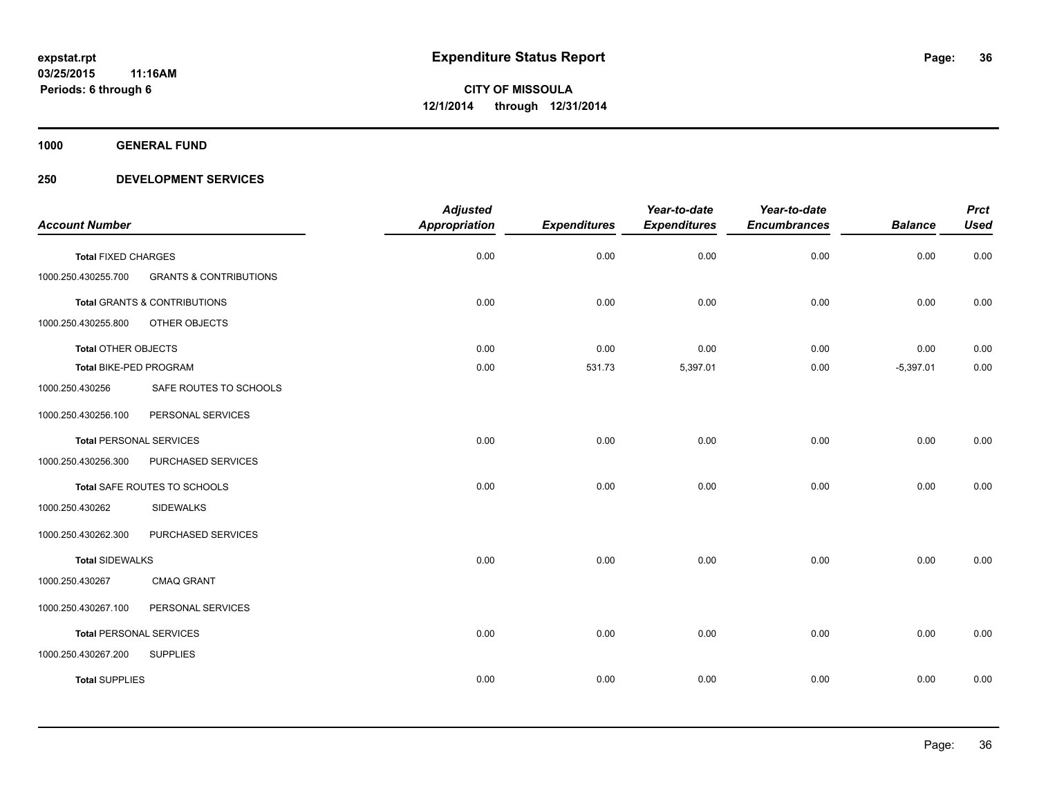**1000 GENERAL FUND**

|                                |                                   | <b>Adjusted</b>      |                     | Year-to-date        | Year-to-date        |                | <b>Prct</b> |
|--------------------------------|-----------------------------------|----------------------|---------------------|---------------------|---------------------|----------------|-------------|
| <b>Account Number</b>          |                                   | <b>Appropriation</b> | <b>Expenditures</b> | <b>Expenditures</b> | <b>Encumbrances</b> | <b>Balance</b> | <b>Used</b> |
| <b>Total FIXED CHARGES</b>     |                                   | 0.00                 | 0.00                | 0.00                | 0.00                | 0.00           | 0.00        |
| 1000.250.430255.700            | <b>GRANTS &amp; CONTRIBUTIONS</b> |                      |                     |                     |                     |                |             |
|                                | Total GRANTS & CONTRIBUTIONS      | 0.00                 | 0.00                | 0.00                | 0.00                | 0.00           | 0.00        |
| 1000.250.430255.800            | <b>OTHER OBJECTS</b>              |                      |                     |                     |                     |                |             |
| <b>Total OTHER OBJECTS</b>     |                                   | 0.00                 | 0.00                | 0.00                | 0.00                | 0.00           | 0.00        |
| <b>Total BIKE-PED PROGRAM</b>  |                                   | 0.00                 | 531.73              | 5,397.01            | 0.00                | $-5,397.01$    | 0.00        |
| 1000.250.430256                | SAFE ROUTES TO SCHOOLS            |                      |                     |                     |                     |                |             |
| 1000.250.430256.100            | PERSONAL SERVICES                 |                      |                     |                     |                     |                |             |
| <b>Total PERSONAL SERVICES</b> |                                   | 0.00                 | 0.00                | 0.00                | 0.00                | 0.00           | 0.00        |
| 1000.250.430256.300            | PURCHASED SERVICES                |                      |                     |                     |                     |                |             |
|                                | Total SAFE ROUTES TO SCHOOLS      | 0.00                 | 0.00                | 0.00                | 0.00                | 0.00           | 0.00        |
| 1000.250.430262                | <b>SIDEWALKS</b>                  |                      |                     |                     |                     |                |             |
| 1000.250.430262.300            | PURCHASED SERVICES                |                      |                     |                     |                     |                |             |
| <b>Total SIDEWALKS</b>         |                                   | 0.00                 | 0.00                | 0.00                | 0.00                | 0.00           | 0.00        |
| 1000.250.430267                | <b>CMAQ GRANT</b>                 |                      |                     |                     |                     |                |             |
| 1000.250.430267.100            | PERSONAL SERVICES                 |                      |                     |                     |                     |                |             |
| <b>Total PERSONAL SERVICES</b> |                                   | 0.00                 | 0.00                | 0.00                | 0.00                | 0.00           | 0.00        |
| 1000.250.430267.200            | <b>SUPPLIES</b>                   |                      |                     |                     |                     |                |             |
| <b>Total SUPPLIES</b>          |                                   | 0.00                 | 0.00                | 0.00                | 0.00                | 0.00           | 0.00        |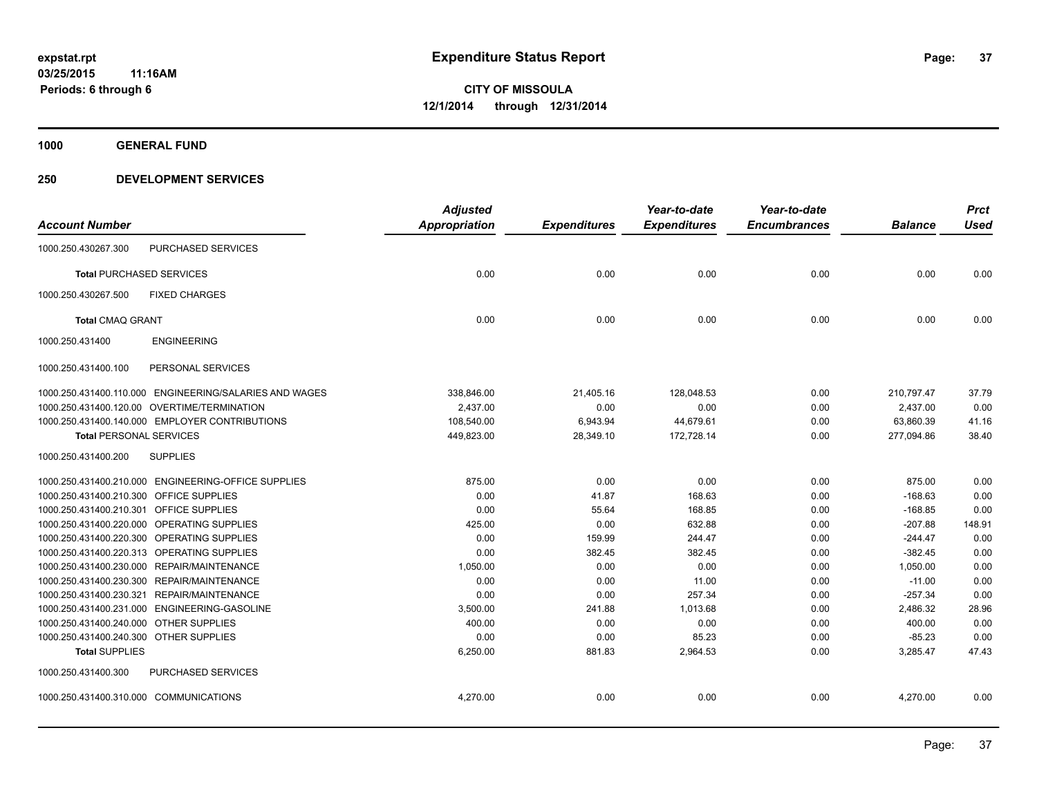**1000 GENERAL FUND**

# **250 DEVELOPMENT SERVICES**

|                                         |                                                        | <b>Adjusted</b>      |                     | Year-to-date        | Year-to-date        |                | <b>Prct</b> |
|-----------------------------------------|--------------------------------------------------------|----------------------|---------------------|---------------------|---------------------|----------------|-------------|
| <b>Account Number</b>                   |                                                        | <b>Appropriation</b> | <b>Expenditures</b> | <b>Expenditures</b> | <b>Encumbrances</b> | <b>Balance</b> | <b>Used</b> |
| 1000.250.430267.300                     | PURCHASED SERVICES                                     |                      |                     |                     |                     |                |             |
|                                         | <b>Total PURCHASED SERVICES</b>                        | 0.00                 | 0.00                | 0.00                | 0.00                | 0.00           | 0.00        |
| 1000.250.430267.500                     | <b>FIXED CHARGES</b>                                   |                      |                     |                     |                     |                |             |
| <b>Total CMAQ GRANT</b>                 |                                                        | 0.00                 | 0.00                | 0.00                | 0.00                | 0.00           | 0.00        |
| 1000.250.431400                         | <b>ENGINEERING</b>                                     |                      |                     |                     |                     |                |             |
| 1000.250.431400.100                     | PERSONAL SERVICES                                      |                      |                     |                     |                     |                |             |
|                                         | 1000.250.431400.110.000 ENGINEERING/SALARIES AND WAGES | 338,846.00           | 21,405.16           | 128,048.53          | 0.00                | 210,797.47     | 37.79       |
|                                         | 1000.250.431400.120.00 OVERTIME/TERMINATION            | 2,437.00             | 0.00                | 0.00                | 0.00                | 2,437.00       | 0.00        |
|                                         | 1000.250.431400.140.000 EMPLOYER CONTRIBUTIONS         | 108,540.00           | 6,943.94            | 44,679.61           | 0.00                | 63,860.39      | 41.16       |
| <b>Total PERSONAL SERVICES</b>          |                                                        | 449,823.00           | 28,349.10           | 172,728.14          | 0.00                | 277,094.86     | 38.40       |
| 1000.250.431400.200                     | <b>SUPPLIES</b>                                        |                      |                     |                     |                     |                |             |
|                                         | 1000.250.431400.210.000 ENGINEERING-OFFICE SUPPLIES    | 875.00               | 0.00                | 0.00                | 0.00                | 875.00         | 0.00        |
| 1000.250.431400.210.300 OFFICE SUPPLIES |                                                        | 0.00                 | 41.87               | 168.63              | 0.00                | $-168.63$      | 0.00        |
| 1000.250.431400.210.301 OFFICE SUPPLIES |                                                        | 0.00                 | 55.64               | 168.85              | 0.00                | $-168.85$      | 0.00        |
|                                         | 1000.250.431400.220.000 OPERATING SUPPLIES             | 425.00               | 0.00                | 632.88              | 0.00                | $-207.88$      | 148.91      |
|                                         | 1000.250.431400.220.300 OPERATING SUPPLIES             | 0.00                 | 159.99              | 244.47              | 0.00                | $-244.47$      | 0.00        |
|                                         | 1000.250.431400.220.313 OPERATING SUPPLIES             | 0.00                 | 382.45              | 382.45              | 0.00                | $-382.45$      | 0.00        |
|                                         | 1000.250.431400.230.000 REPAIR/MAINTENANCE             | 1,050.00             | 0.00                | 0.00                | 0.00                | 1,050.00       | 0.00        |
|                                         | 1000.250.431400.230.300 REPAIR/MAINTENANCE             | 0.00                 | 0.00                | 11.00               | 0.00                | $-11.00$       | 0.00        |
|                                         | 1000.250.431400.230.321 REPAIR/MAINTENANCE             | 0.00                 | 0.00                | 257.34              | 0.00                | $-257.34$      | 0.00        |
|                                         | 1000.250.431400.231.000 ENGINEERING-GASOLINE           | 3,500.00             | 241.88              | 1,013.68            | 0.00                | 2,486.32       | 28.96       |
| 1000.250.431400.240.000 OTHER SUPPLIES  |                                                        | 400.00               | 0.00                | 0.00                | 0.00                | 400.00         | 0.00        |
| 1000.250.431400.240.300 OTHER SUPPLIES  |                                                        | 0.00                 | 0.00                | 85.23               | 0.00                | $-85.23$       | 0.00        |
| <b>Total SUPPLIES</b>                   |                                                        | 6,250.00             | 881.83              | 2,964.53            | 0.00                | 3,285.47       | 47.43       |
| 1000.250.431400.300                     | PURCHASED SERVICES                                     |                      |                     |                     |                     |                |             |
| 1000.250.431400.310.000 COMMUNICATIONS  |                                                        | 4,270.00             | 0.00                | 0.00                | 0.00                | 4,270.00       | 0.00        |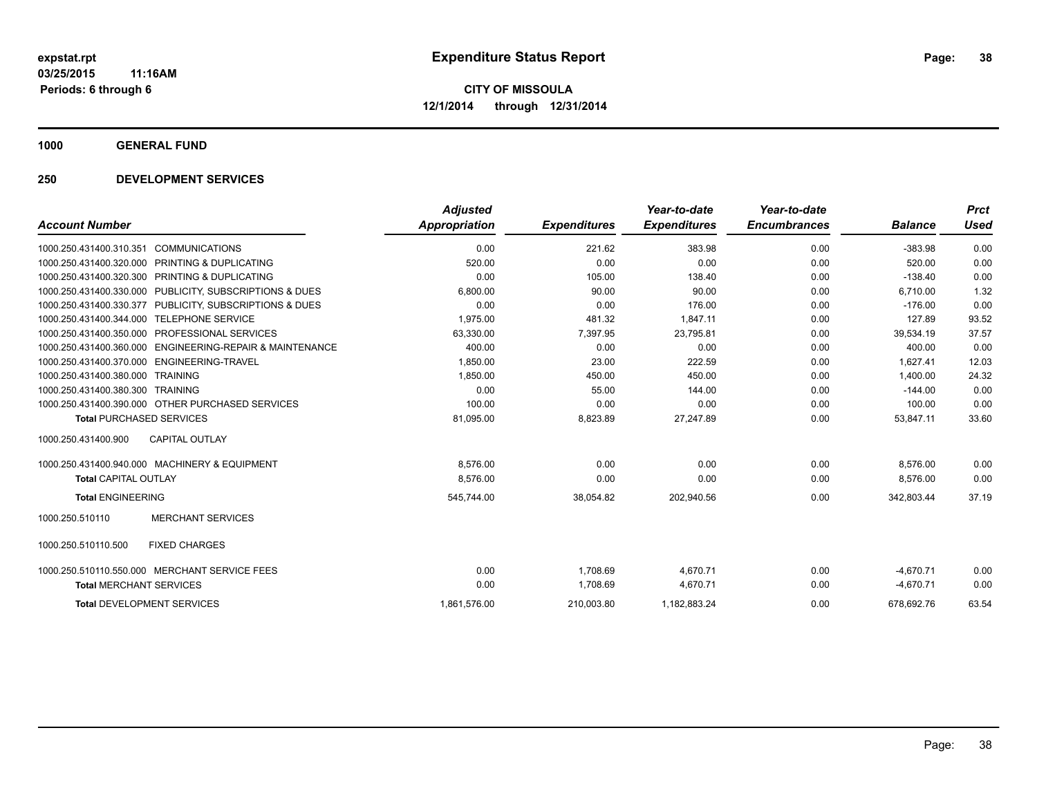**1000 GENERAL FUND**

# **250 DEVELOPMENT SERVICES**

| <b>Account Number</b>                                                  | <b>Adjusted</b><br>Appropriation | <b>Expenditures</b> | Year-to-date<br><b>Expenditures</b> | Year-to-date<br><b>Encumbrances</b> | <b>Balance</b> | <b>Prct</b><br><b>Used</b> |
|------------------------------------------------------------------------|----------------------------------|---------------------|-------------------------------------|-------------------------------------|----------------|----------------------------|
| <b>COMMUNICATIONS</b><br>1000.250.431400.310.351                       | 0.00                             | 221.62              | 383.98                              | 0.00                                | $-383.98$      | 0.00                       |
| 1000.250.431400.320.000<br><b>PRINTING &amp; DUPLICATING</b>           | 520.00                           | 0.00                | 0.00                                | 0.00                                | 520.00         | 0.00                       |
| PRINTING & DUPLICATING<br>1000.250.431400.320.300                      | 0.00                             | 105.00              | 138.40                              | 0.00                                | $-138.40$      | 0.00                       |
| PUBLICITY, SUBSCRIPTIONS & DUES<br>1000.250.431400.330.000             | 6,800.00                         | 90.00               | 90.00                               | 0.00                                | 6,710.00       | 1.32                       |
| 1000.250.431400.330.377 PUBLICITY, SUBSCRIPTIONS & DUES                | 0.00                             | 0.00                | 176.00                              | 0.00                                | $-176.00$      | 0.00                       |
| 1000.250.431400.344.000<br><b>TELEPHONE SERVICE</b>                    | 1,975.00                         | 481.32              | 1,847.11                            | 0.00                                | 127.89         | 93.52                      |
| 1000.250.431400.350.000<br>PROFESSIONAL SERVICES                       | 63,330.00                        | 7,397.95            | 23,795.81                           | 0.00                                | 39,534.19      | 37.57                      |
| <b>ENGINEERING-REPAIR &amp; MAINTENANCE</b><br>1000.250.431400.360.000 | 400.00                           | 0.00                | 0.00                                | 0.00                                | 400.00         | 0.00                       |
| ENGINEERING-TRAVEL<br>1000.250.431400.370.000                          | 1,850.00                         | 23.00               | 222.59                              | 0.00                                | 1,627.41       | 12.03                      |
| 1000.250.431400.380.000<br><b>TRAINING</b>                             | 1,850.00                         | 450.00              | 450.00                              | 0.00                                | 1.400.00       | 24.32                      |
| 1000.250.431400.380.300 TRAINING                                       | 0.00                             | 55.00               | 144.00                              | 0.00                                | $-144.00$      | 0.00                       |
| 1000.250.431400.390.000 OTHER PURCHASED SERVICES                       | 100.00                           | 0.00                | 0.00                                | 0.00                                | 100.00         | 0.00                       |
| <b>Total PURCHASED SERVICES</b>                                        | 81,095.00                        | 8,823.89            | 27,247.89                           | 0.00                                | 53,847.11      | 33.60                      |
| <b>CAPITAL OUTLAY</b><br>1000.250.431400.900                           |                                  |                     |                                     |                                     |                |                            |
| 1000.250.431400.940.000 MACHINERY & EQUIPMENT                          | 8,576.00                         | 0.00                | 0.00                                | 0.00                                | 8,576.00       | 0.00                       |
| <b>Total CAPITAL OUTLAY</b>                                            | 8,576.00                         | 0.00                | 0.00                                | 0.00                                | 8,576.00       | 0.00                       |
| <b>Total ENGINEERING</b>                                               | 545,744.00                       | 38,054.82           | 202,940.56                          | 0.00                                | 342,803.44     | 37.19                      |
| <b>MERCHANT SERVICES</b><br>1000.250.510110                            |                                  |                     |                                     |                                     |                |                            |
| 1000.250.510110.500<br><b>FIXED CHARGES</b>                            |                                  |                     |                                     |                                     |                |                            |
| 1000.250.510110.550.000 MERCHANT SERVICE FEES                          | 0.00                             | 1.708.69            | 4,670.71                            | 0.00                                | $-4.670.71$    | 0.00                       |
| <b>Total MERCHANT SERVICES</b>                                         | 0.00                             | 1,708.69            | 4,670.71                            | 0.00                                | $-4,670.71$    | 0.00                       |
| <b>Total DEVELOPMENT SERVICES</b>                                      | 1.861.576.00                     | 210,003.80          | 1,182,883.24                        | 0.00                                | 678.692.76     | 63.54                      |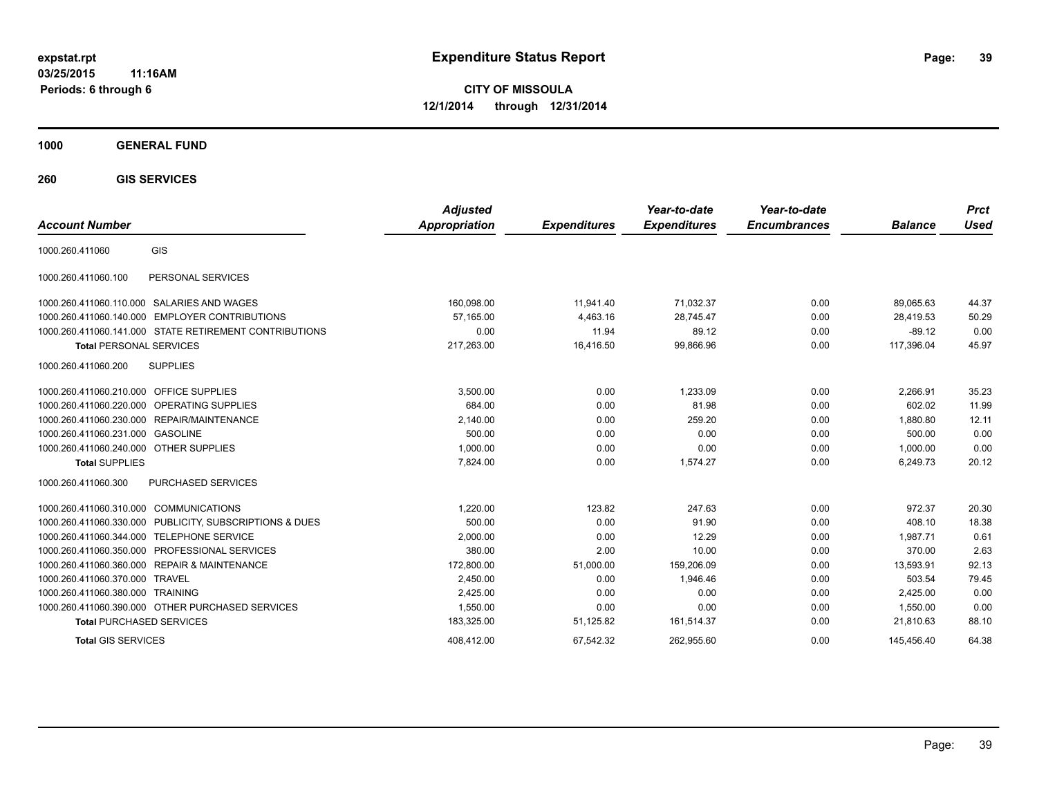**03/25/2015 11:16AM Periods: 6 through 6**

**CITY OF MISSOULA 12/1/2014 through 12/31/2014**

**1000 GENERAL FUND**

**260 GIS SERVICES**

| <b>Account Number</b>                   |                                                         | <b>Adjusted</b><br><b>Appropriation</b> | <b>Expenditures</b> | Year-to-date<br><b>Expenditures</b> | Year-to-date<br><b>Encumbrances</b> | <b>Balance</b> | <b>Prct</b><br>Used |
|-----------------------------------------|---------------------------------------------------------|-----------------------------------------|---------------------|-------------------------------------|-------------------------------------|----------------|---------------------|
| 1000.260.411060                         | GIS                                                     |                                         |                     |                                     |                                     |                |                     |
| 1000.260.411060.100                     | PERSONAL SERVICES                                       |                                         |                     |                                     |                                     |                |                     |
|                                         | 1000.260.411060.110.000 SALARIES AND WAGES              | 160,098.00                              | 11,941.40           | 71,032.37                           | 0.00                                | 89,065.63      | 44.37               |
|                                         | 1000.260.411060.140.000 EMPLOYER CONTRIBUTIONS          | 57.165.00                               | 4,463.16            | 28,745.47                           | 0.00                                | 28,419.53      | 50.29               |
|                                         | 1000.260.411060.141.000 STATE RETIREMENT CONTRIBUTIONS  | 0.00                                    | 11.94               | 89.12                               | 0.00                                | $-89.12$       | 0.00                |
| <b>Total PERSONAL SERVICES</b>          |                                                         | 217,263.00                              | 16,416.50           | 99,866.96                           | 0.00                                | 117,396.04     | 45.97               |
| 1000.260.411060.200                     | <b>SUPPLIES</b>                                         |                                         |                     |                                     |                                     |                |                     |
| 1000.260.411060.210.000 OFFICE SUPPLIES |                                                         | 3,500.00                                | 0.00                | 1,233.09                            | 0.00                                | 2.266.91       | 35.23               |
|                                         | 1000.260.411060.220.000 OPERATING SUPPLIES              | 684.00                                  | 0.00                | 81.98                               | 0.00                                | 602.02         | 11.99               |
|                                         | 1000.260.411060.230.000 REPAIR/MAINTENANCE              | 2,140.00                                | 0.00                | 259.20                              | 0.00                                | 1,880.80       | 12.11               |
| 1000.260.411060.231.000 GASOLINE        |                                                         | 500.00                                  | 0.00                | 0.00                                | 0.00                                | 500.00         | 0.00                |
| 1000.260.411060.240.000 OTHER SUPPLIES  |                                                         | 1,000.00                                | 0.00                | 0.00                                | 0.00                                | 1,000.00       | 0.00                |
| <b>Total SUPPLIES</b>                   |                                                         | 7.824.00                                | 0.00                | 1,574.27                            | 0.00                                | 6.249.73       | 20.12               |
| 1000.260.411060.300                     | PURCHASED SERVICES                                      |                                         |                     |                                     |                                     |                |                     |
| 1000.260.411060.310.000 COMMUNICATIONS  |                                                         | 1.220.00                                | 123.82              | 247.63                              | 0.00                                | 972.37         | 20.30               |
|                                         | 1000.260.411060.330.000 PUBLICITY, SUBSCRIPTIONS & DUES | 500.00                                  | 0.00                | 91.90                               | 0.00                                | 408.10         | 18.38               |
|                                         | 1000.260.411060.344.000 TELEPHONE SERVICE               | 2,000.00                                | 0.00                | 12.29                               | 0.00                                | 1.987.71       | 0.61                |
|                                         | 1000.260.411060.350.000 PROFESSIONAL SERVICES           | 380.00                                  | 2.00                | 10.00                               | 0.00                                | 370.00         | 2.63                |
|                                         | 1000.260.411060.360.000 REPAIR & MAINTENANCE            | 172,800.00                              | 51,000.00           | 159,206.09                          | 0.00                                | 13,593.91      | 92.13               |
| 1000.260.411060.370.000 TRAVEL          |                                                         | 2.450.00                                | 0.00                | 1.946.46                            | 0.00                                | 503.54         | 79.45               |
| 1000.260.411060.380.000 TRAINING        |                                                         | 2,425.00                                | 0.00                | 0.00                                | 0.00                                | 2,425.00       | 0.00                |
|                                         | 1000.260.411060.390.000 OTHER PURCHASED SERVICES        | 1,550.00                                | 0.00                | 0.00                                | 0.00                                | 1.550.00       | 0.00                |
| <b>Total PURCHASED SERVICES</b>         |                                                         | 183,325.00                              | 51,125.82           | 161,514.37                          | 0.00                                | 21,810.63      | 88.10               |
| <b>Total GIS SERVICES</b>               |                                                         | 408.412.00                              | 67.542.32           | 262.955.60                          | 0.00                                | 145.456.40     | 64.38               |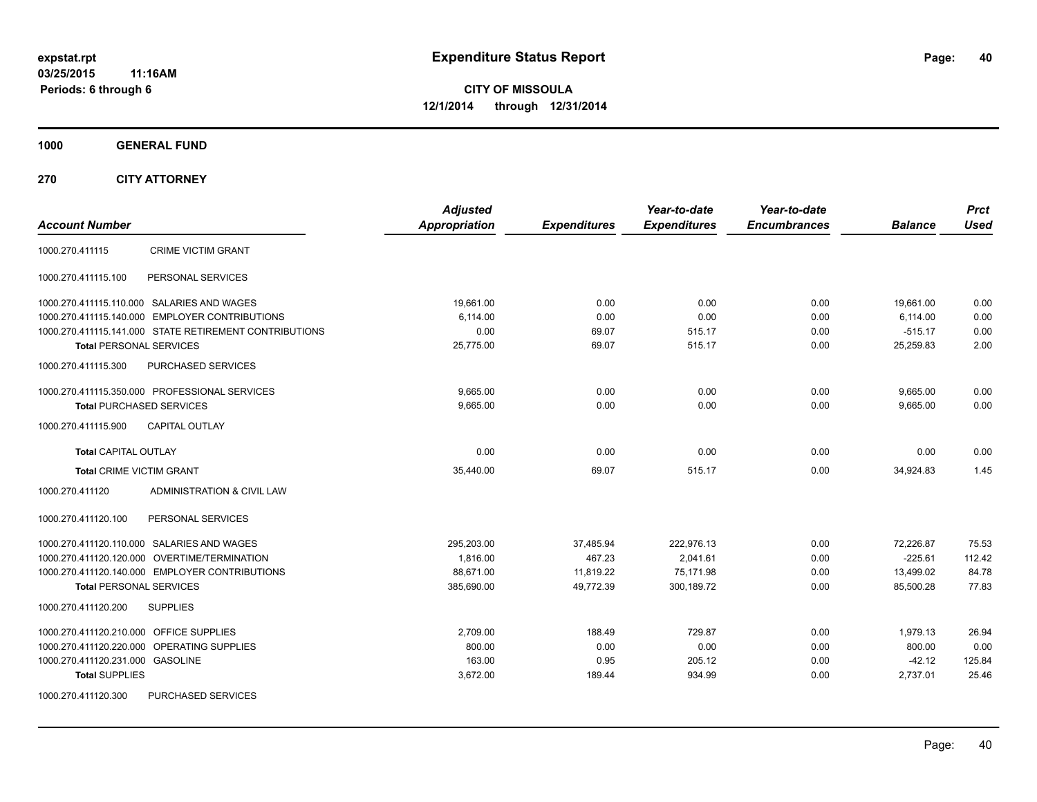**1000 GENERAL FUND**

**270 CITY ATTORNEY**

| <b>Account Number</b>                                  | <b>Adjusted</b><br><b>Appropriation</b> | <b>Expenditures</b> | Year-to-date<br><b>Expenditures</b> | Year-to-date<br><b>Encumbrances</b> | <b>Balance</b> | <b>Prct</b><br><b>Used</b> |
|--------------------------------------------------------|-----------------------------------------|---------------------|-------------------------------------|-------------------------------------|----------------|----------------------------|
| <b>CRIME VICTIM GRANT</b><br>1000.270.411115           |                                         |                     |                                     |                                     |                |                            |
| PERSONAL SERVICES<br>1000.270.411115.100               |                                         |                     |                                     |                                     |                |                            |
| 1000.270.411115.110.000 SALARIES AND WAGES             | 19,661.00                               | 0.00                | 0.00                                | 0.00                                | 19,661.00      | 0.00                       |
| 1000.270.411115.140.000 EMPLOYER CONTRIBUTIONS         | 6.114.00                                | 0.00                | 0.00                                | 0.00                                | 6,114.00       | 0.00                       |
| 1000.270.411115.141.000 STATE RETIREMENT CONTRIBUTIONS | 0.00                                    | 69.07               | 515.17                              | 0.00                                | $-515.17$      | 0.00                       |
| <b>Total PERSONAL SERVICES</b>                         | 25,775.00                               | 69.07               | 515.17                              | 0.00                                | 25,259.83      | 2.00                       |
| PURCHASED SERVICES<br>1000.270.411115.300              |                                         |                     |                                     |                                     |                |                            |
| 1000.270.411115.350.000 PROFESSIONAL SERVICES          | 9,665.00                                | 0.00                | 0.00                                | 0.00                                | 9,665.00       | 0.00                       |
| <b>Total PURCHASED SERVICES</b>                        | 9,665.00                                | 0.00                | 0.00                                | 0.00                                | 9,665.00       | 0.00                       |
| CAPITAL OUTLAY<br>1000.270.411115.900                  |                                         |                     |                                     |                                     |                |                            |
| <b>Total CAPITAL OUTLAY</b>                            | 0.00                                    | 0.00                | 0.00                                | 0.00                                | 0.00           | 0.00                       |
| <b>Total CRIME VICTIM GRANT</b>                        | 35,440.00                               | 69.07               | 515.17                              | 0.00                                | 34,924.83      | 1.45                       |
| 1000.270.411120<br>ADMINISTRATION & CIVIL LAW          |                                         |                     |                                     |                                     |                |                            |
| PERSONAL SERVICES<br>1000.270.411120.100               |                                         |                     |                                     |                                     |                |                            |
| 1000.270.411120.110.000 SALARIES AND WAGES             | 295,203.00                              | 37,485.94           | 222,976.13                          | 0.00                                | 72,226.87      | 75.53                      |
| 1000.270.411120.120.000 OVERTIME/TERMINATION           | 1,816.00                                | 467.23              | 2,041.61                            | 0.00                                | $-225.61$      | 112.42                     |
| 1000.270.411120.140.000 EMPLOYER CONTRIBUTIONS         | 88,671.00                               | 11,819.22           | 75,171.98                           | 0.00                                | 13,499.02      | 84.78                      |
| <b>Total PERSONAL SERVICES</b>                         | 385,690.00                              | 49,772.39           | 300,189.72                          | 0.00                                | 85,500.28      | 77.83                      |
| 1000.270.411120.200<br><b>SUPPLIES</b>                 |                                         |                     |                                     |                                     |                |                            |
| 1000.270.411120.210.000 OFFICE SUPPLIES                | 2,709.00                                | 188.49              | 729.87                              | 0.00                                | 1,979.13       | 26.94                      |
| 1000.270.411120.220.000 OPERATING SUPPLIES             | 800.00                                  | 0.00                | 0.00                                | 0.00                                | 800.00         | 0.00                       |
| 1000.270.411120.231.000 GASOLINE                       | 163.00                                  | 0.95                | 205.12                              | 0.00                                | $-42.12$       | 125.84                     |
| <b>Total SUPPLIES</b>                                  | 3,672.00                                | 189.44              | 934.99                              | 0.00                                | 2,737.01       | 25.46                      |
| 1000.270.411120.300<br><b>PURCHASED SERVICES</b>       |                                         |                     |                                     |                                     |                |                            |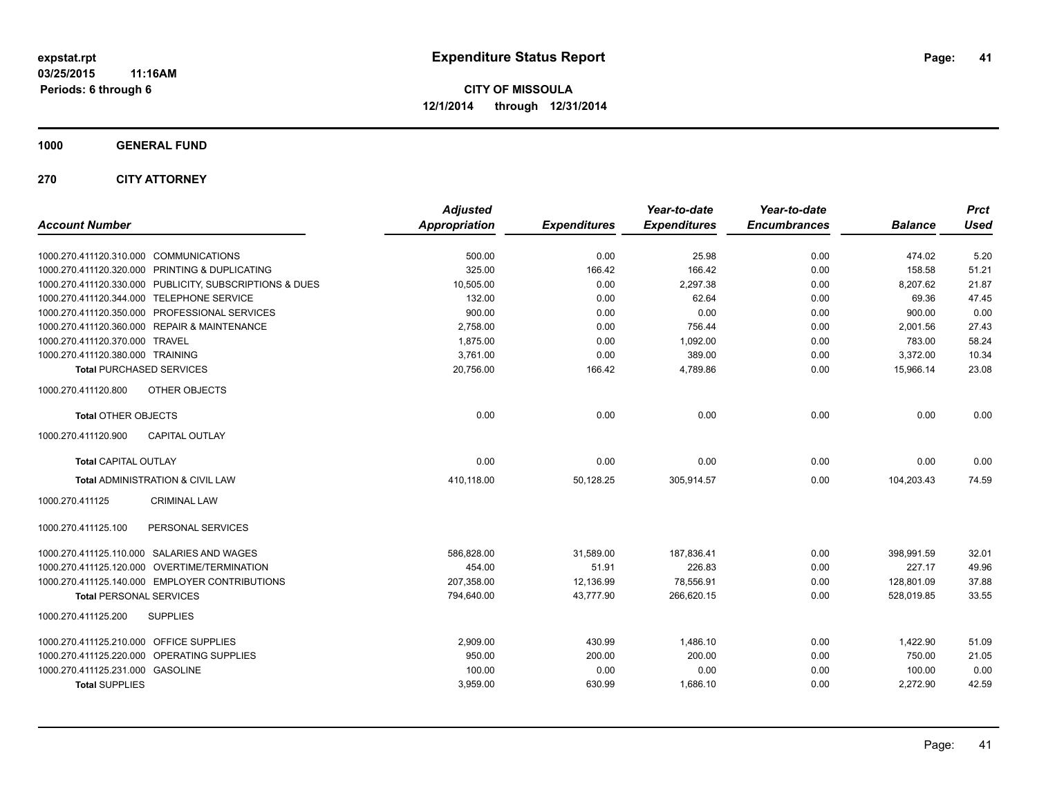**1000 GENERAL FUND**

**270 CITY ATTORNEY**

| <b>Account Number</b>                                   | <b>Adjusted</b><br><b>Appropriation</b> | <b>Expenditures</b> | Year-to-date<br><b>Expenditures</b> | Year-to-date<br><b>Encumbrances</b> | <b>Balance</b> | <b>Prct</b><br><b>Used</b> |
|---------------------------------------------------------|-----------------------------------------|---------------------|-------------------------------------|-------------------------------------|----------------|----------------------------|
| 1000.270.411120.310.000 COMMUNICATIONS                  | 500.00                                  | 0.00                | 25.98                               | 0.00                                | 474.02         | 5.20                       |
| 1000.270.411120.320.000 PRINTING & DUPLICATING          | 325.00                                  | 166.42              | 166.42                              | 0.00                                | 158.58         | 51.21                      |
| 1000.270.411120.330.000 PUBLICITY, SUBSCRIPTIONS & DUES | 10,505.00                               | 0.00                | 2.297.38                            | 0.00                                | 8,207.62       | 21.87                      |
| 1000.270.411120.344.000 TELEPHONE SERVICE               | 132.00                                  | 0.00                | 62.64                               | 0.00                                | 69.36          | 47.45                      |
| 1000.270.411120.350.000 PROFESSIONAL SERVICES           | 900.00                                  | 0.00                | 0.00                                | 0.00                                | 900.00         | 0.00                       |
| 1000.270.411120.360.000 REPAIR & MAINTENANCE            | 2,758.00                                | 0.00                | 756.44                              | 0.00                                | 2,001.56       | 27.43                      |
| 1000.270.411120.370.000 TRAVEL                          | 1,875.00                                | 0.00                | 1,092.00                            | 0.00                                | 783.00         | 58.24                      |
| 1000.270.411120.380.000 TRAINING                        | 3,761.00                                | 0.00                | 389.00                              | 0.00                                | 3,372.00       | 10.34                      |
| <b>Total PURCHASED SERVICES</b>                         | 20,756.00                               | 166.42              | 4,789.86                            | 0.00                                | 15,966.14      | 23.08                      |
| 1000.270.411120.800<br>OTHER OBJECTS                    |                                         |                     |                                     |                                     |                |                            |
| <b>Total OTHER OBJECTS</b>                              | 0.00                                    | 0.00                | 0.00                                | 0.00                                | 0.00           | 0.00                       |
| <b>CAPITAL OUTLAY</b><br>1000.270.411120.900            |                                         |                     |                                     |                                     |                |                            |
| <b>Total CAPITAL OUTLAY</b>                             | 0.00                                    | 0.00                | 0.00                                | 0.00                                | 0.00           | 0.00                       |
| Total ADMINISTRATION & CIVIL LAW                        | 410,118.00                              | 50,128.25           | 305,914.57                          | 0.00                                | 104,203.43     | 74.59                      |
| 1000.270.411125<br><b>CRIMINAL LAW</b>                  |                                         |                     |                                     |                                     |                |                            |
| PERSONAL SERVICES<br>1000.270.411125.100                |                                         |                     |                                     |                                     |                |                            |
| 1000.270.411125.110.000 SALARIES AND WAGES              | 586,828.00                              | 31,589.00           | 187,836.41                          | 0.00                                | 398,991.59     | 32.01                      |
| 1000.270.411125.120.000 OVERTIME/TERMINATION            | 454.00                                  | 51.91               | 226.83                              | 0.00                                | 227.17         | 49.96                      |
| 1000.270.411125.140.000 EMPLOYER CONTRIBUTIONS          | 207.358.00                              | 12,136.99           | 78,556.91                           | 0.00                                | 128.801.09     | 37.88                      |
| <b>Total PERSONAL SERVICES</b>                          | 794,640.00                              | 43,777.90           | 266,620.15                          | 0.00                                | 528,019.85     | 33.55                      |
| 1000.270.411125.200<br><b>SUPPLIES</b>                  |                                         |                     |                                     |                                     |                |                            |
| 1000.270.411125.210.000 OFFICE SUPPLIES                 | 2,909.00                                | 430.99              | 1,486.10                            | 0.00                                | 1,422.90       | 51.09                      |
| 1000.270.411125.220.000 OPERATING SUPPLIES              | 950.00                                  | 200.00              | 200.00                              | 0.00                                | 750.00         | 21.05                      |
| 1000.270.411125.231.000 GASOLINE                        | 100.00                                  | 0.00                | 0.00                                | 0.00                                | 100.00         | 0.00                       |
| <b>Total SUPPLIES</b>                                   | 3,959.00                                | 630.99              | 1,686.10                            | 0.00                                | 2,272.90       | 42.59                      |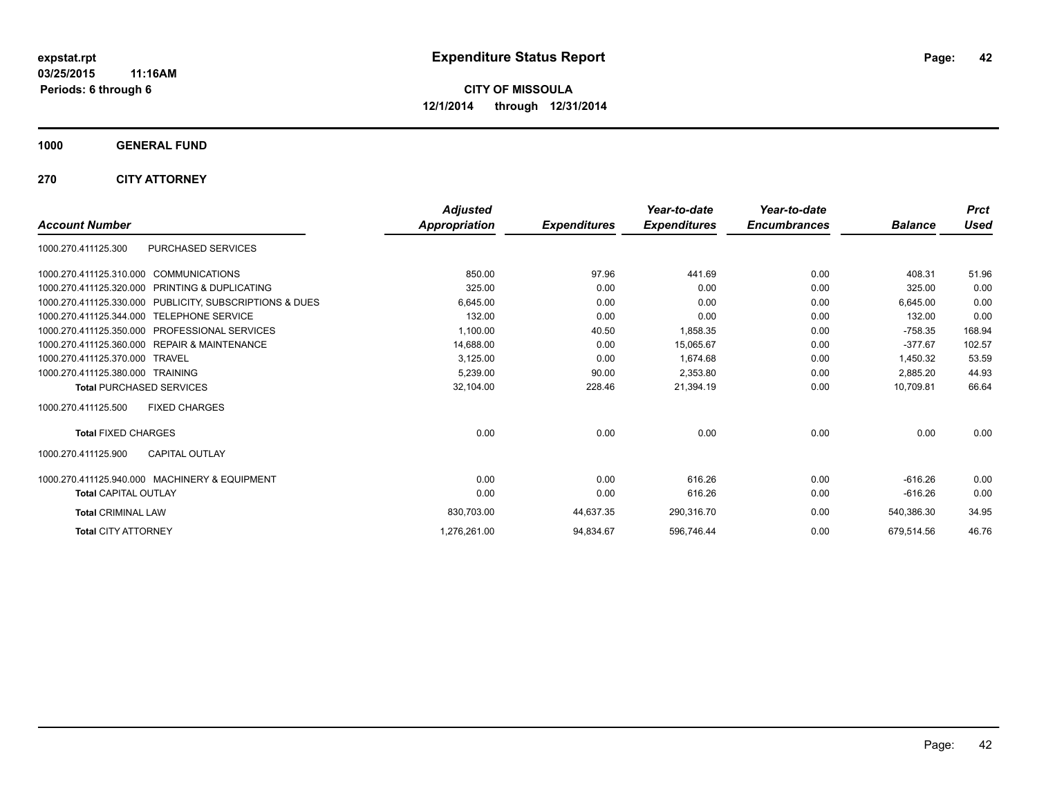**1000 GENERAL FUND**

**270 CITY ATTORNEY**

|                                                              | <b>Adjusted</b> |                     | Year-to-date        | Year-to-date        |                | <b>Prct</b> |
|--------------------------------------------------------------|-----------------|---------------------|---------------------|---------------------|----------------|-------------|
| <b>Account Number</b>                                        | Appropriation   | <b>Expenditures</b> | <b>Expenditures</b> | <b>Encumbrances</b> | <b>Balance</b> | <b>Used</b> |
| PURCHASED SERVICES<br>1000.270.411125.300                    |                 |                     |                     |                     |                |             |
| 1000.270.411125.310.000 COMMUNICATIONS                       | 850.00          | 97.96               | 441.69              | 0.00                | 408.31         | 51.96       |
| 1000.270.411125.320.000<br><b>PRINTING &amp; DUPLICATING</b> | 325.00          | 0.00                | 0.00                | 0.00                | 325.00         | 0.00        |
| 1000.270.411125.330.000 PUBLICITY, SUBSCRIPTIONS & DUES      | 6,645.00        | 0.00                | 0.00                | 0.00                | 6.645.00       | 0.00        |
| 1000.270.411125.344.000 TELEPHONE SERVICE                    | 132.00          | 0.00                | 0.00                | 0.00                | 132.00         | 0.00        |
| 1000.270.411125.350.000<br><b>PROFESSIONAL SERVICES</b>      | 1,100.00        | 40.50               | 1,858.35            | 0.00                | $-758.35$      | 168.94      |
| 1000.270.411125.360.000<br><b>REPAIR &amp; MAINTENANCE</b>   | 14,688.00       | 0.00                | 15,065.67           | 0.00                | $-377.67$      | 102.57      |
| 1000.270.411125.370.000<br><b>TRAVEL</b>                     | 3,125.00        | 0.00                | 1,674.68            | 0.00                | 1,450.32       | 53.59       |
| 1000.270.411125.380.000 TRAINING                             | 5,239.00        | 90.00               | 2,353.80            | 0.00                | 2,885.20       | 44.93       |
| <b>Total PURCHASED SERVICES</b>                              | 32,104.00       | 228.46              | 21,394.19           | 0.00                | 10,709.81      | 66.64       |
| <b>FIXED CHARGES</b><br>1000.270.411125.500                  |                 |                     |                     |                     |                |             |
| <b>Total FIXED CHARGES</b>                                   | 0.00            | 0.00                | 0.00                | 0.00                | 0.00           | 0.00        |
| <b>CAPITAL OUTLAY</b><br>1000.270.411125.900                 |                 |                     |                     |                     |                |             |
| 1000.270.411125.940.000 MACHINERY & EQUIPMENT                | 0.00            | 0.00                | 616.26              | 0.00                | $-616.26$      | 0.00        |
| <b>Total CAPITAL OUTLAY</b>                                  | 0.00            | 0.00                | 616.26              | 0.00                | $-616.26$      | 0.00        |
| <b>Total CRIMINAL LAW</b>                                    | 830,703.00      | 44,637.35           | 290,316.70          | 0.00                | 540,386.30     | 34.95       |
| <b>Total CITY ATTORNEY</b>                                   | 1,276,261.00    | 94,834.67           | 596,746.44          | 0.00                | 679.514.56     | 46.76       |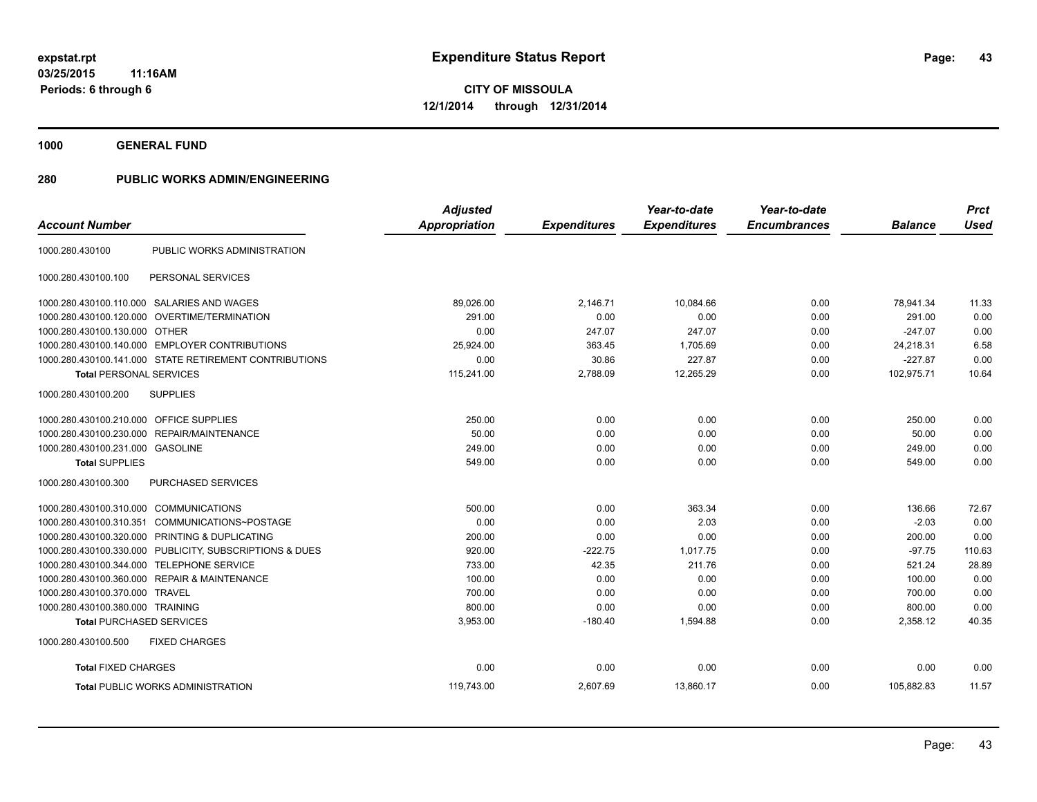**1000 GENERAL FUND**

| <b>Account Number</b>                   |                                                         | <b>Adjusted</b><br><b>Appropriation</b> | <b>Expenditures</b> | Year-to-date<br><b>Expenditures</b> | Year-to-date<br><b>Encumbrances</b> | <b>Balance</b> | <b>Prct</b><br><b>Used</b> |
|-----------------------------------------|---------------------------------------------------------|-----------------------------------------|---------------------|-------------------------------------|-------------------------------------|----------------|----------------------------|
|                                         |                                                         |                                         |                     |                                     |                                     |                |                            |
| 1000.280.430100                         | PUBLIC WORKS ADMINISTRATION                             |                                         |                     |                                     |                                     |                |                            |
| 1000.280.430100.100                     | PERSONAL SERVICES                                       |                                         |                     |                                     |                                     |                |                            |
|                                         | 1000.280.430100.110.000 SALARIES AND WAGES              | 89,026.00                               | 2,146.71            | 10,084.66                           | 0.00                                | 78,941.34      | 11.33                      |
|                                         | 1000.280.430100.120.000 OVERTIME/TERMINATION            | 291.00                                  | 0.00                | 0.00                                | 0.00                                | 291.00         | 0.00                       |
| 1000.280.430100.130.000 OTHER           |                                                         | 0.00                                    | 247.07              | 247.07                              | 0.00                                | $-247.07$      | 0.00                       |
|                                         | 1000.280.430100.140.000 EMPLOYER CONTRIBUTIONS          | 25,924.00                               | 363.45              | 1,705.69                            | 0.00                                | 24,218.31      | 6.58                       |
|                                         | 1000.280.430100.141.000 STATE RETIREMENT CONTRIBUTIONS  | 0.00                                    | 30.86               | 227.87                              | 0.00                                | $-227.87$      | 0.00                       |
| <b>Total PERSONAL SERVICES</b>          |                                                         | 115,241.00                              | 2,788.09            | 12,265.29                           | 0.00                                | 102,975.71     | 10.64                      |
| 1000.280.430100.200                     | <b>SUPPLIES</b>                                         |                                         |                     |                                     |                                     |                |                            |
| 1000.280.430100.210.000 OFFICE SUPPLIES |                                                         | 250.00                                  | 0.00                | 0.00                                | 0.00                                | 250.00         | 0.00                       |
|                                         | 1000.280.430100.230.000 REPAIR/MAINTENANCE              | 50.00                                   | 0.00                | 0.00                                | 0.00                                | 50.00          | 0.00                       |
| 1000.280.430100.231.000 GASOLINE        |                                                         | 249.00                                  | 0.00                | 0.00                                | 0.00                                | 249.00         | 0.00                       |
| <b>Total SUPPLIES</b>                   |                                                         | 549.00                                  | 0.00                | 0.00                                | 0.00                                | 549.00         | 0.00                       |
| 1000.280.430100.300                     | PURCHASED SERVICES                                      |                                         |                     |                                     |                                     |                |                            |
| 1000.280.430100.310.000 COMMUNICATIONS  |                                                         | 500.00                                  | 0.00                | 363.34                              | 0.00                                | 136.66         | 72.67                      |
| 1000.280.430100.310.351                 | COMMUNICATIONS~POSTAGE                                  | 0.00                                    | 0.00                | 2.03                                | 0.00                                | $-2.03$        | 0.00                       |
|                                         | 1000.280.430100.320.000 PRINTING & DUPLICATING          | 200.00                                  | 0.00                | 0.00                                | 0.00                                | 200.00         | 0.00                       |
|                                         | 1000.280.430100.330.000 PUBLICITY, SUBSCRIPTIONS & DUES | 920.00                                  | $-222.75$           | 1.017.75                            | 0.00                                | $-97.75$       | 110.63                     |
|                                         | 1000.280.430100.344.000 TELEPHONE SERVICE               | 733.00                                  | 42.35               | 211.76                              | 0.00                                | 521.24         | 28.89                      |
|                                         | 1000.280.430100.360.000 REPAIR & MAINTENANCE            | 100.00                                  | 0.00                | 0.00                                | 0.00                                | 100.00         | 0.00                       |
| 1000.280.430100.370.000 TRAVEL          |                                                         | 700.00                                  | 0.00                | 0.00                                | 0.00                                | 700.00         | 0.00                       |
| 1000.280.430100.380.000 TRAINING        |                                                         | 800.00                                  | 0.00                | 0.00                                | 0.00                                | 800.00         | 0.00                       |
| <b>Total PURCHASED SERVICES</b>         |                                                         | 3,953.00                                | $-180.40$           | 1,594.88                            | 0.00                                | 2,358.12       | 40.35                      |
| 1000.280.430100.500                     | <b>FIXED CHARGES</b>                                    |                                         |                     |                                     |                                     |                |                            |
| <b>Total FIXED CHARGES</b>              |                                                         | 0.00                                    | 0.00                | 0.00                                | 0.00                                | 0.00           | 0.00                       |
|                                         | <b>Total PUBLIC WORKS ADMINISTRATION</b>                | 119,743.00                              | 2,607.69            | 13,860.17                           | 0.00                                | 105,882.83     | 11.57                      |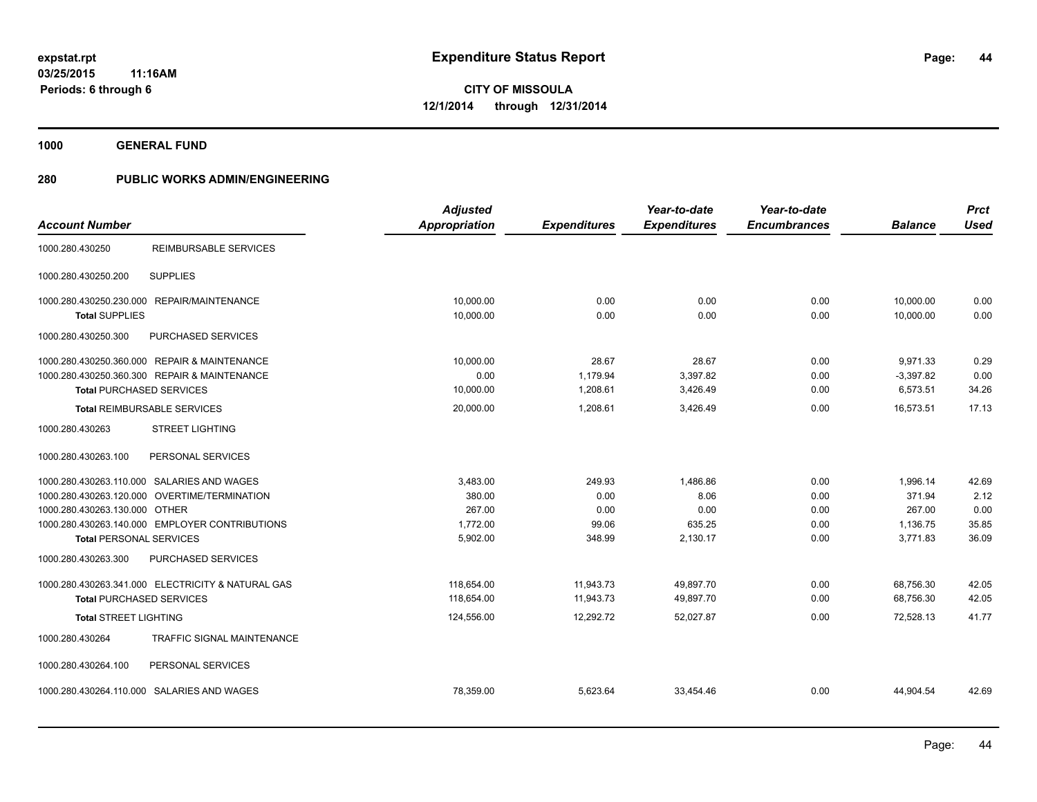**1000 GENERAL FUND**

|                                 |                                                   | <b>Adjusted</b>      |                     | Year-to-date        | Year-to-date        |                | <b>Prct</b> |
|---------------------------------|---------------------------------------------------|----------------------|---------------------|---------------------|---------------------|----------------|-------------|
| <b>Account Number</b>           |                                                   | <b>Appropriation</b> | <b>Expenditures</b> | <b>Expenditures</b> | <b>Encumbrances</b> | <b>Balance</b> | <b>Used</b> |
| 1000.280.430250                 | REIMBURSABLE SERVICES                             |                      |                     |                     |                     |                |             |
| 1000.280.430250.200             | <b>SUPPLIES</b>                                   |                      |                     |                     |                     |                |             |
|                                 | 1000.280.430250.230.000 REPAIR/MAINTENANCE        | 10,000.00            | 0.00                | 0.00                | 0.00                | 10,000.00      | 0.00        |
| <b>Total SUPPLIES</b>           |                                                   | 10,000.00            | 0.00                | 0.00                | 0.00                | 10,000.00      | 0.00        |
| 1000.280.430250.300             | PURCHASED SERVICES                                |                      |                     |                     |                     |                |             |
|                                 | 1000.280.430250.360.000 REPAIR & MAINTENANCE      | 10,000.00            | 28.67               | 28.67               | 0.00                | 9,971.33       | 0.29        |
|                                 | 1000.280.430250.360.300 REPAIR & MAINTENANCE      | 0.00                 | 1,179.94            | 3,397.82            | 0.00                | $-3,397.82$    | 0.00        |
| <b>Total PURCHASED SERVICES</b> |                                                   | 10,000.00            | 1,208.61            | 3,426.49            | 0.00                | 6,573.51       | 34.26       |
|                                 | <b>Total REIMBURSABLE SERVICES</b>                | 20,000.00            | 1,208.61            | 3,426.49            | 0.00                | 16,573.51      | 17.13       |
| 1000.280.430263                 | <b>STREET LIGHTING</b>                            |                      |                     |                     |                     |                |             |
| 1000.280.430263.100             | PERSONAL SERVICES                                 |                      |                     |                     |                     |                |             |
|                                 | 1000.280.430263.110.000 SALARIES AND WAGES        | 3,483.00             | 249.93              | 1,486.86            | 0.00                | 1,996.14       | 42.69       |
|                                 | 1000.280.430263.120.000 OVERTIME/TERMINATION      | 380.00               | 0.00                | 8.06                | 0.00                | 371.94         | 2.12        |
| 1000.280.430263.130.000 OTHER   |                                                   | 267.00               | 0.00                | 0.00                | 0.00                | 267.00         | 0.00        |
|                                 | 1000.280.430263.140.000 EMPLOYER CONTRIBUTIONS    | 1,772.00             | 99.06               | 635.25              | 0.00                | 1,136.75       | 35.85       |
| <b>Total PERSONAL SERVICES</b>  |                                                   | 5,902.00             | 348.99              | 2,130.17            | 0.00                | 3,771.83       | 36.09       |
| 1000.280.430263.300             | PURCHASED SERVICES                                |                      |                     |                     |                     |                |             |
|                                 | 1000.280.430263.341.000 ELECTRICITY & NATURAL GAS | 118,654.00           | 11,943.73           | 49,897.70           | 0.00                | 68,756.30      | 42.05       |
| <b>Total PURCHASED SERVICES</b> |                                                   | 118,654.00           | 11,943.73           | 49,897.70           | 0.00                | 68,756.30      | 42.05       |
| <b>Total STREET LIGHTING</b>    |                                                   | 124,556.00           | 12,292.72           | 52,027.87           | 0.00                | 72,528.13      | 41.77       |
| 1000.280.430264                 | TRAFFIC SIGNAL MAINTENANCE                        |                      |                     |                     |                     |                |             |
| 1000.280.430264.100             | PERSONAL SERVICES                                 |                      |                     |                     |                     |                |             |
|                                 | 1000.280.430264.110.000 SALARIES AND WAGES        | 78,359.00            | 5,623.64            | 33,454.46           | 0.00                | 44,904.54      | 42.69       |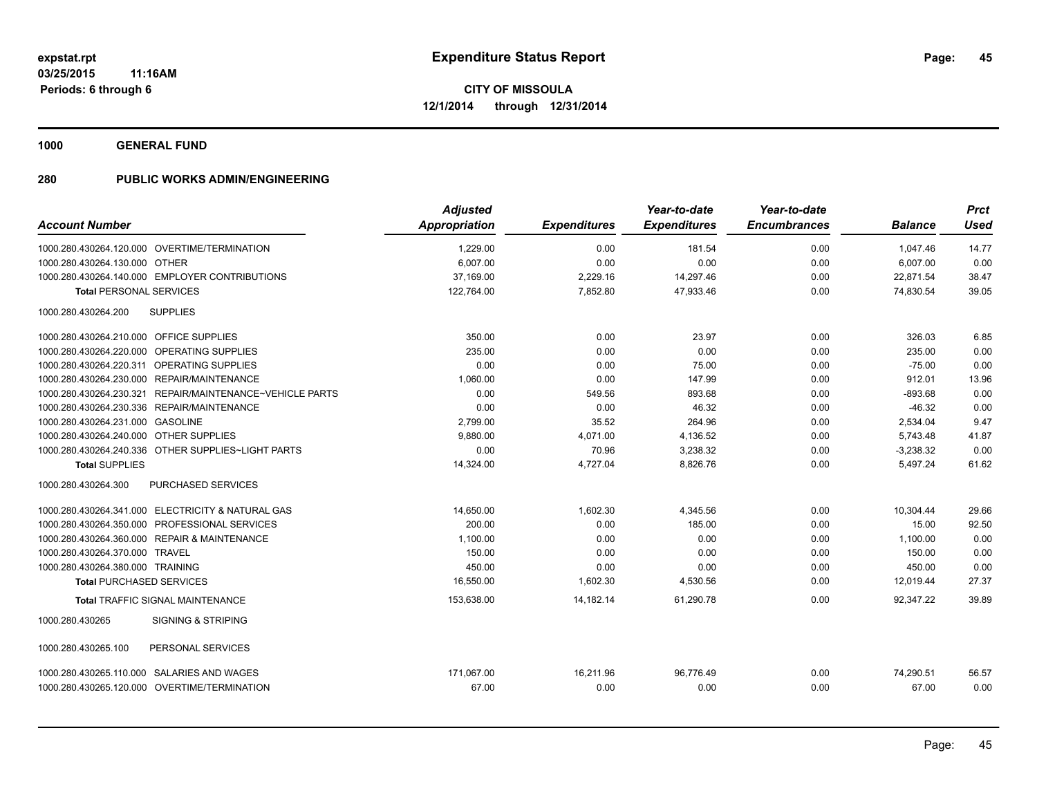**1000 GENERAL FUND**

|                                                          | <b>Adjusted</b> |                     | Year-to-date        | Year-to-date        |                | <b>Prct</b> |
|----------------------------------------------------------|-----------------|---------------------|---------------------|---------------------|----------------|-------------|
| <b>Account Number</b>                                    | Appropriation   | <b>Expenditures</b> | <b>Expenditures</b> | <b>Encumbrances</b> | <b>Balance</b> | <b>Used</b> |
| 1000.280.430264.120.000 OVERTIME/TERMINATION             | 1,229.00        | 0.00                | 181.54              | 0.00                | 1.047.46       | 14.77       |
| 1000.280.430264.130.000 OTHER                            | 6,007.00        | 0.00                | 0.00                | 0.00                | 6,007.00       | 0.00        |
| 1000.280.430264.140.000 EMPLOYER CONTRIBUTIONS           | 37,169.00       | 2,229.16            | 14,297.46           | 0.00                | 22,871.54      | 38.47       |
| <b>Total PERSONAL SERVICES</b>                           | 122,764.00      | 7,852.80            | 47,933.46           | 0.00                | 74,830.54      | 39.05       |
| <b>SUPPLIES</b><br>1000.280.430264.200                   |                 |                     |                     |                     |                |             |
| 1000.280.430264.210.000 OFFICE SUPPLIES                  | 350.00          | 0.00                | 23.97               | 0.00                | 326.03         | 6.85        |
| 1000.280.430264.220.000 OPERATING SUPPLIES               | 235.00          | 0.00                | 0.00                | 0.00                | 235.00         | 0.00        |
| 1000.280.430264.220.311 OPERATING SUPPLIES               | 0.00            | 0.00                | 75.00               | 0.00                | $-75.00$       | 0.00        |
| 1000.280.430264.230.000 REPAIR/MAINTENANCE               | 1.060.00        | 0.00                | 147.99              | 0.00                | 912.01         | 13.96       |
| 1000.280.430264.230.321 REPAIR/MAINTENANCE~VEHICLE PARTS | 0.00            | 549.56              | 893.68              | 0.00                | $-893.68$      | 0.00        |
| 1000.280.430264.230.336 REPAIR/MAINTENANCE               | 0.00            | 0.00                | 46.32               | 0.00                | $-46.32$       | 0.00        |
| 1000.280.430264.231.000 GASOLINE                         | 2,799.00        | 35.52               | 264.96              | 0.00                | 2,534.04       | 9.47        |
| 1000.280.430264.240.000 OTHER SUPPLIES                   | 9,880.00        | 4,071.00            | 4,136.52            | 0.00                | 5,743.48       | 41.87       |
| 1000.280.430264.240.336 OTHER SUPPLIES~LIGHT PARTS       | 0.00            | 70.96               | 3,238.32            | 0.00                | $-3,238.32$    | 0.00        |
| <b>Total SUPPLIES</b>                                    | 14,324.00       | 4,727.04            | 8,826.76            | 0.00                | 5,497.24       | 61.62       |
| 1000.280.430264.300<br><b>PURCHASED SERVICES</b>         |                 |                     |                     |                     |                |             |
| 1000.280.430264.341.000 ELECTRICITY & NATURAL GAS        | 14,650.00       | 1,602.30            | 4,345.56            | 0.00                | 10,304.44      | 29.66       |
| 1000.280.430264.350.000 PROFESSIONAL SERVICES            | 200.00          | 0.00                | 185.00              | 0.00                | 15.00          | 92.50       |
| 1000.280.430264.360.000 REPAIR & MAINTENANCE             | 1,100.00        | 0.00                | 0.00                | 0.00                | 1.100.00       | 0.00        |
| 1000.280.430264.370.000 TRAVEL                           | 150.00          | 0.00                | 0.00                | 0.00                | 150.00         | 0.00        |
| 1000.280.430264.380.000 TRAINING                         | 450.00          | 0.00                | 0.00                | 0.00                | 450.00         | 0.00        |
| <b>Total PURCHASED SERVICES</b>                          | 16,550.00       | 1,602.30            | 4,530.56            | 0.00                | 12,019.44      | 27.37       |
| <b>Total TRAFFIC SIGNAL MAINTENANCE</b>                  | 153,638.00      | 14,182.14           | 61,290.78           | 0.00                | 92,347.22      | 39.89       |
| 1000.280.430265<br><b>SIGNING &amp; STRIPING</b>         |                 |                     |                     |                     |                |             |
| 1000.280.430265.100<br>PERSONAL SERVICES                 |                 |                     |                     |                     |                |             |
| 1000.280.430265.110.000 SALARIES AND WAGES               | 171.067.00      | 16.211.96           | 96.776.49           | 0.00                | 74,290.51      | 56.57       |
| 1000.280.430265.120.000 OVERTIME/TERMINATION             | 67.00           | 0.00                | 0.00                | 0.00                | 67.00          | 0.00        |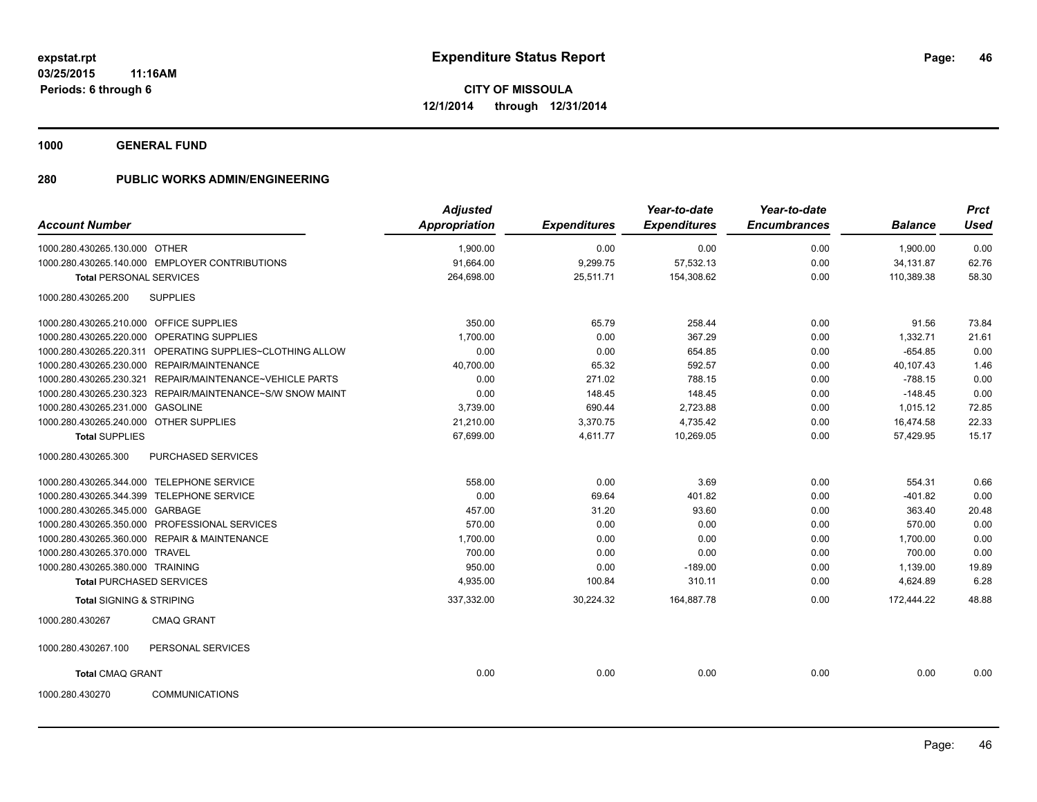**1000 GENERAL FUND**

|                                         |                                                           | <b>Adjusted</b>      |                     | Year-to-date        | Year-to-date        |                | <b>Prct</b> |
|-----------------------------------------|-----------------------------------------------------------|----------------------|---------------------|---------------------|---------------------|----------------|-------------|
| <b>Account Number</b>                   |                                                           | <b>Appropriation</b> | <b>Expenditures</b> | <b>Expenditures</b> | <b>Encumbrances</b> | <b>Balance</b> | <b>Used</b> |
| 1000.280.430265.130.000 OTHER           |                                                           | 1.900.00             | 0.00                | 0.00                | 0.00                | 1,900.00       | 0.00        |
|                                         | 1000.280.430265.140.000 EMPLOYER CONTRIBUTIONS            | 91,664.00            | 9,299.75            | 57,532.13           | 0.00                | 34,131.87      | 62.76       |
| <b>Total PERSONAL SERVICES</b>          |                                                           | 264,698.00           | 25,511.71           | 154,308.62          | 0.00                | 110,389.38     | 58.30       |
| 1000.280.430265.200                     | <b>SUPPLIES</b>                                           |                      |                     |                     |                     |                |             |
| 1000.280.430265.210.000 OFFICE SUPPLIES |                                                           | 350.00               | 65.79               | 258.44              | 0.00                | 91.56          | 73.84       |
|                                         | 1000.280.430265.220.000 OPERATING SUPPLIES                | 1,700.00             | 0.00                | 367.29              | 0.00                | 1,332.71       | 21.61       |
|                                         | 1000.280.430265.220.311 OPERATING SUPPLIES~CLOTHING ALLOW | 0.00                 | 0.00                | 654.85              | 0.00                | $-654.85$      | 0.00        |
|                                         | 1000.280.430265.230.000 REPAIR/MAINTENANCE                | 40,700.00            | 65.32               | 592.57              | 0.00                | 40,107.43      | 1.46        |
|                                         | 1000.280.430265.230.321 REPAIR/MAINTENANCE~VEHICLE PARTS  | 0.00                 | 271.02              | 788.15              | 0.00                | $-788.15$      | 0.00        |
|                                         | 1000.280.430265.230.323 REPAIR/MAINTENANCE~S/W SNOW MAINT | 0.00                 | 148.45              | 148.45              | 0.00                | $-148.45$      | 0.00        |
| 1000.280.430265.231.000 GASOLINE        |                                                           | 3.739.00             | 690.44              | 2,723.88            | 0.00                | 1,015.12       | 72.85       |
| 1000.280.430265.240.000 OTHER SUPPLIES  |                                                           | 21,210.00            | 3,370.75            | 4,735.42            | 0.00                | 16,474.58      | 22.33       |
| <b>Total SUPPLIES</b>                   |                                                           | 67,699.00            | 4,611.77            | 10,269.05           | 0.00                | 57,429.95      | 15.17       |
| 1000.280.430265.300                     | PURCHASED SERVICES                                        |                      |                     |                     |                     |                |             |
|                                         | 1000.280.430265.344.000 TELEPHONE SERVICE                 | 558.00               | 0.00                | 3.69                | 0.00                | 554.31         | 0.66        |
|                                         | 1000.280.430265.344.399 TELEPHONE SERVICE                 | 0.00                 | 69.64               | 401.82              | 0.00                | $-401.82$      | 0.00        |
| 1000.280.430265.345.000 GARBAGE         |                                                           | 457.00               | 31.20               | 93.60               | 0.00                | 363.40         | 20.48       |
|                                         | 1000.280.430265.350.000 PROFESSIONAL SERVICES             | 570.00               | 0.00                | 0.00                | 0.00                | 570.00         | 0.00        |
|                                         | 1000.280.430265.360.000 REPAIR & MAINTENANCE              | 1,700.00             | 0.00                | 0.00                | 0.00                | 1,700.00       | 0.00        |
| 1000.280.430265.370.000 TRAVEL          |                                                           | 700.00               | 0.00                | 0.00                | 0.00                | 700.00         | 0.00        |
| 1000.280.430265.380.000 TRAINING        |                                                           | 950.00               | 0.00                | $-189.00$           | 0.00                | 1,139.00       | 19.89       |
|                                         | <b>Total PURCHASED SERVICES</b>                           | 4,935.00             | 100.84              | 310.11              | 0.00                | 4,624.89       | 6.28        |
| <b>Total SIGNING &amp; STRIPING</b>     |                                                           | 337,332.00           | 30,224.32           | 164,887.78          | 0.00                | 172.444.22     | 48.88       |
| 1000.280.430267                         | <b>CMAQ GRANT</b>                                         |                      |                     |                     |                     |                |             |
| 1000.280.430267.100                     | PERSONAL SERVICES                                         |                      |                     |                     |                     |                |             |
| <b>Total CMAQ GRANT</b>                 |                                                           | 0.00                 | 0.00                | 0.00                | 0.00                | 0.00           | 0.00        |
| 1000.280.430270                         | <b>COMMUNICATIONS</b>                                     |                      |                     |                     |                     |                |             |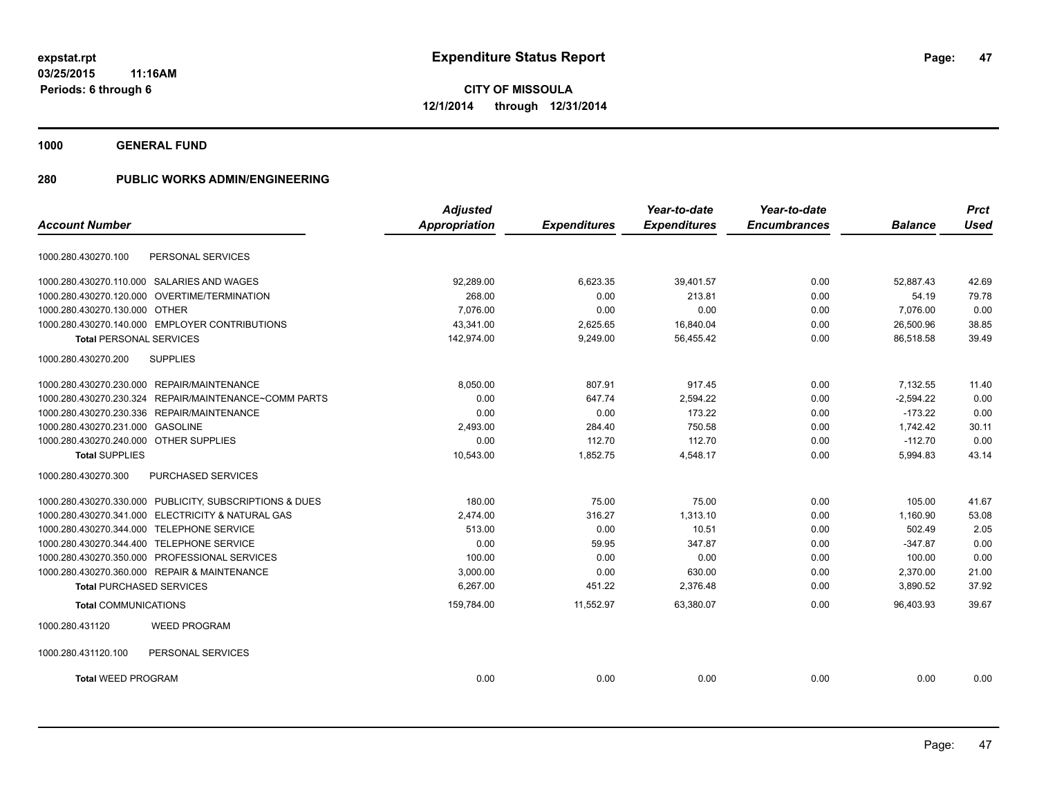**1000 GENERAL FUND**

|                                                         | <b>Adjusted</b>      |                     | Year-to-date        | Year-to-date        |                | <b>Prct</b> |
|---------------------------------------------------------|----------------------|---------------------|---------------------|---------------------|----------------|-------------|
| <b>Account Number</b>                                   | <b>Appropriation</b> | <b>Expenditures</b> | <b>Expenditures</b> | <b>Encumbrances</b> | <b>Balance</b> | <b>Used</b> |
| PERSONAL SERVICES<br>1000.280.430270.100                |                      |                     |                     |                     |                |             |
| 1000.280.430270.110.000 SALARIES AND WAGES              | 92,289.00            | 6,623.35            | 39,401.57           | 0.00                | 52,887.43      | 42.69       |
| 1000.280.430270.120.000 OVERTIME/TERMINATION            | 268.00               | 0.00                | 213.81              | 0.00                | 54.19          | 79.78       |
| 1000.280.430270.130.000 OTHER                           | 7.076.00             | 0.00                | 0.00                | 0.00                | 7,076.00       | 0.00        |
| 1000.280.430270.140.000 EMPLOYER CONTRIBUTIONS          | 43,341.00            | 2,625.65            | 16,840.04           | 0.00                | 26,500.96      | 38.85       |
| <b>Total PERSONAL SERVICES</b>                          | 142,974.00           | 9,249.00            | 56,455.42           | 0.00                | 86,518.58      | 39.49       |
| <b>SUPPLIES</b><br>1000.280.430270.200                  |                      |                     |                     |                     |                |             |
| 1000.280.430270.230.000 REPAIR/MAINTENANCE              | 8,050.00             | 807.91              | 917.45              | 0.00                | 7.132.55       | 11.40       |
| 1000.280.430270.230.324 REPAIR/MAINTENANCE~COMM PARTS   | 0.00                 | 647.74              | 2,594.22            | 0.00                | $-2,594.22$    | 0.00        |
| 1000.280.430270.230.336 REPAIR/MAINTENANCE              | 0.00                 | 0.00                | 173.22              | 0.00                | $-173.22$      | 0.00        |
| 1000.280.430270.231.000 GASOLINE                        | 2,493.00             | 284.40              | 750.58              | 0.00                | 1.742.42       | 30.11       |
| 1000.280.430270.240.000 OTHER SUPPLIES                  | 0.00                 | 112.70              | 112.70              | 0.00                | $-112.70$      | 0.00        |
| <b>Total SUPPLIES</b>                                   | 10,543.00            | 1.852.75            | 4,548.17            | 0.00                | 5,994.83       | 43.14       |
| 1000.280.430270.300<br>PURCHASED SERVICES               |                      |                     |                     |                     |                |             |
| 1000.280.430270.330.000 PUBLICITY, SUBSCRIPTIONS & DUES | 180.00               | 75.00               | 75.00               | 0.00                | 105.00         | 41.67       |
| 1000.280.430270.341.000 ELECTRICITY & NATURAL GAS       | 2,474.00             | 316.27              | 1,313.10            | 0.00                | 1,160.90       | 53.08       |
| 1000.280.430270.344.000 TELEPHONE SERVICE               | 513.00               | 0.00                | 10.51               | 0.00                | 502.49         | 2.05        |
| 1000.280.430270.344.400 TELEPHONE SERVICE               | 0.00                 | 59.95               | 347.87              | 0.00                | $-347.87$      | 0.00        |
| 1000.280.430270.350.000 PROFESSIONAL SERVICES           | 100.00               | 0.00                | 0.00                | 0.00                | 100.00         | 0.00        |
| 1000.280.430270.360.000 REPAIR & MAINTENANCE            | 3,000.00             | 0.00                | 630.00              | 0.00                | 2,370.00       | 21.00       |
| <b>Total PURCHASED SERVICES</b>                         | 6,267.00             | 451.22              | 2,376.48            | 0.00                | 3,890.52       | 37.92       |
| <b>Total COMMUNICATIONS</b>                             | 159,784.00           | 11,552.97           | 63,380.07           | 0.00                | 96,403.93      | 39.67       |
| <b>WEED PROGRAM</b><br>1000.280.431120                  |                      |                     |                     |                     |                |             |
| 1000.280.431120.100<br>PERSONAL SERVICES                |                      |                     |                     |                     |                |             |
| <b>Total WEED PROGRAM</b>                               | 0.00                 | 0.00                | 0.00                | 0.00                | 0.00           | 0.00        |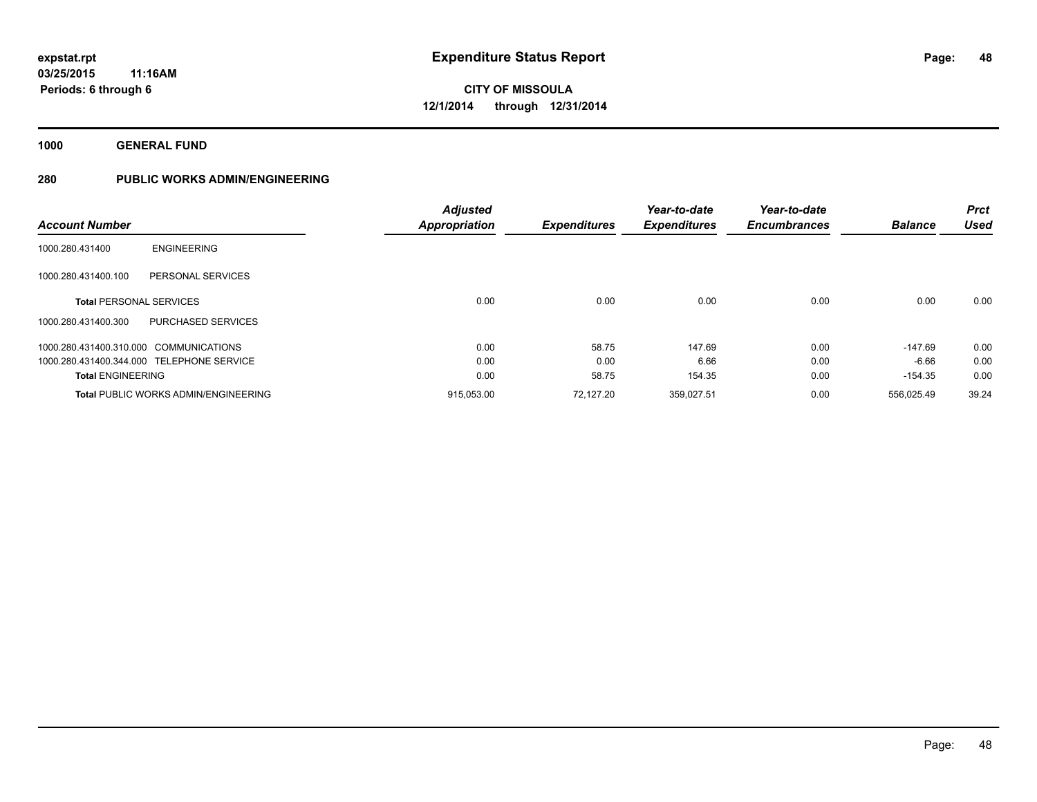**1000 GENERAL FUND**

|                                             |                           | <b>Adjusted</b>      |                     | Year-to-date        | Year-to-date        |                | <b>Prct</b> |
|---------------------------------------------|---------------------------|----------------------|---------------------|---------------------|---------------------|----------------|-------------|
| <b>Account Number</b>                       |                           | <b>Appropriation</b> | <b>Expenditures</b> | <b>Expenditures</b> | <b>Encumbrances</b> | <b>Balance</b> | <b>Used</b> |
| <b>ENGINEERING</b><br>1000.280.431400       |                           |                      |                     |                     |                     |                |             |
| 1000.280.431400.100                         | PERSONAL SERVICES         |                      |                     |                     |                     |                |             |
| <b>Total PERSONAL SERVICES</b>              |                           | 0.00                 | 0.00                | 0.00                | 0.00                | 0.00           | 0.00        |
| 1000.280.431400.300                         | <b>PURCHASED SERVICES</b> |                      |                     |                     |                     |                |             |
| 1000.280.431400.310.000 COMMUNICATIONS      |                           | 0.00                 | 58.75               | 147.69              | 0.00                | $-147.69$      | 0.00        |
| 1000.280.431400.344.000 TELEPHONE SERVICE   |                           | 0.00                 | 0.00                | 6.66                | 0.00                | $-6.66$        | 0.00        |
| <b>Total ENGINEERING</b>                    |                           | 0.00                 | 58.75               | 154.35              | 0.00                | $-154.35$      | 0.00        |
| <b>Total PUBLIC WORKS ADMIN/ENGINEERING</b> |                           | 915,053.00           | 72.127.20           | 359.027.51          | 0.00                | 556.025.49     | 39.24       |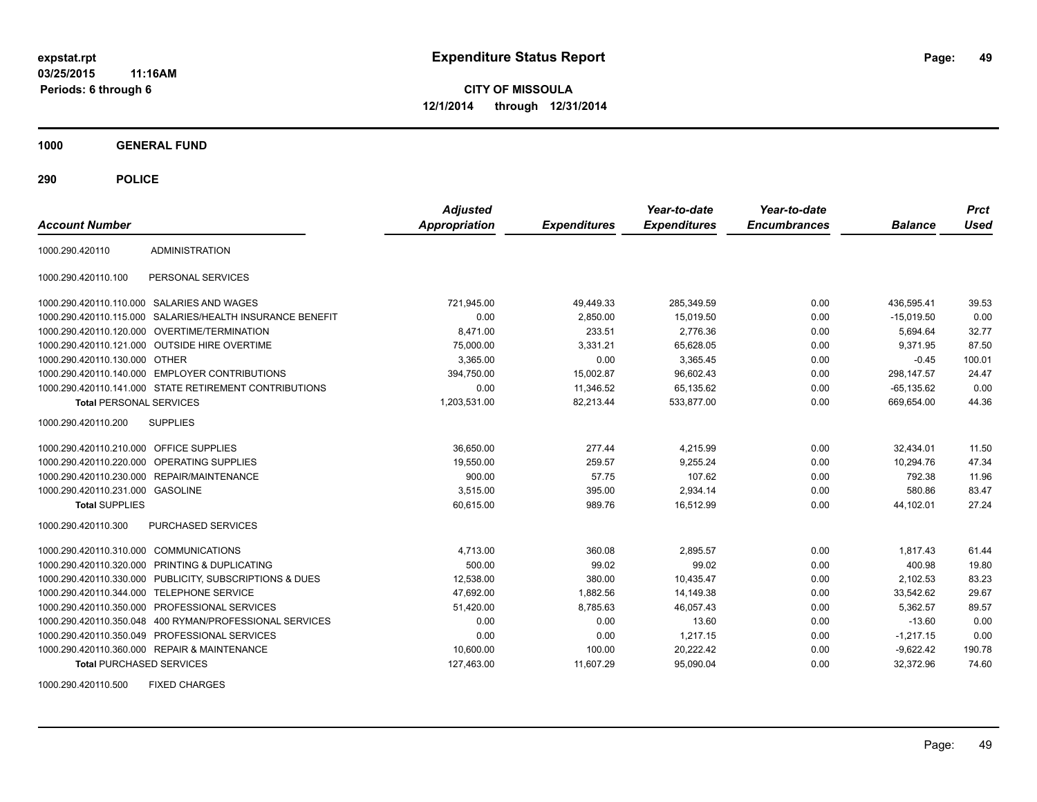**03/25/2015 11:16AM Periods: 6 through 6**

**CITY OF MISSOULA 12/1/2014 through 12/31/2014**

**1000 GENERAL FUND**

**290 POLICE**

| <b>Account Number</b>                   |                                                         | <b>Adjusted</b><br><b>Appropriation</b> | <b>Expenditures</b> | Year-to-date<br><b>Expenditures</b> | Year-to-date<br><b>Encumbrances</b> | <b>Balance</b> | <b>Prct</b><br>Used |
|-----------------------------------------|---------------------------------------------------------|-----------------------------------------|---------------------|-------------------------------------|-------------------------------------|----------------|---------------------|
| 1000.290.420110                         | <b>ADMINISTRATION</b>                                   |                                         |                     |                                     |                                     |                |                     |
| 1000.290.420110.100                     | PERSONAL SERVICES                                       |                                         |                     |                                     |                                     |                |                     |
|                                         | 1000.290.420110.110.000 SALARIES AND WAGES              | 721,945.00                              | 49,449.33           | 285,349.59                          | 0.00                                | 436,595.41     | 39.53               |
| 1000.290.420110.115.000                 | SALARIES/HEALTH INSURANCE BENEFIT                       | 0.00                                    | 2,850.00            | 15,019.50                           | 0.00                                | $-15,019.50$   | 0.00                |
|                                         | 1000.290.420110.120.000 OVERTIME/TERMINATION            | 8.471.00                                | 233.51              | 2.776.36                            | 0.00                                | 5,694.64       | 32.77               |
|                                         | 1000.290.420110.121.000 OUTSIDE HIRE OVERTIME           | 75,000.00                               | 3,331.21            | 65,628.05                           | 0.00                                | 9.371.95       | 87.50               |
| 1000.290.420110.130.000 OTHER           |                                                         | 3,365.00                                | 0.00                | 3,365.45                            | 0.00                                | $-0.45$        | 100.01              |
|                                         | 1000.290.420110.140.000 EMPLOYER CONTRIBUTIONS          | 394,750.00                              | 15,002.87           | 96,602.43                           | 0.00                                | 298.147.57     | 24.47               |
|                                         | 1000.290.420110.141.000 STATE RETIREMENT CONTRIBUTIONS  | 0.00                                    | 11,346.52           | 65,135.62                           | 0.00                                | $-65, 135.62$  | 0.00                |
| <b>Total PERSONAL SERVICES</b>          |                                                         | 1,203,531.00                            | 82,213.44           | 533,877.00                          | 0.00                                | 669,654.00     | 44.36               |
| 1000.290.420110.200                     | <b>SUPPLIES</b>                                         |                                         |                     |                                     |                                     |                |                     |
| 1000.290.420110.210.000 OFFICE SUPPLIES |                                                         | 36,650.00                               | 277.44              | 4,215.99                            | 0.00                                | 32,434.01      | 11.50               |
| 1000.290.420110.220.000                 | <b>OPERATING SUPPLIES</b>                               | 19,550.00                               | 259.57              | 9,255.24                            | 0.00                                | 10,294.76      | 47.34               |
|                                         | 1000.290.420110.230.000 REPAIR/MAINTENANCE              | 900.00                                  | 57.75               | 107.62                              | 0.00                                | 792.38         | 11.96               |
| 1000.290.420110.231.000 GASOLINE        |                                                         | 3,515.00                                | 395.00              | 2,934.14                            | 0.00                                | 580.86         | 83.47               |
| <b>Total SUPPLIES</b>                   |                                                         | 60,615.00                               | 989.76              | 16,512.99                           | 0.00                                | 44,102.01      | 27.24               |
| 1000.290.420110.300                     | <b>PURCHASED SERVICES</b>                               |                                         |                     |                                     |                                     |                |                     |
| 1000.290.420110.310.000 COMMUNICATIONS  |                                                         | 4,713.00                                | 360.08              | 2.895.57                            | 0.00                                | 1.817.43       | 61.44               |
| 1000.290.420110.320.000                 | PRINTING & DUPLICATING                                  | 500.00                                  | 99.02               | 99.02                               | 0.00                                | 400.98         | 19.80               |
|                                         | 1000.290.420110.330.000 PUBLICITY, SUBSCRIPTIONS & DUES | 12,538.00                               | 380.00              | 10,435.47                           | 0.00                                | 2,102.53       | 83.23               |
| 1000.290.420110.344.000                 | <b>TELEPHONE SERVICE</b>                                | 47,692.00                               | 1,882.56            | 14,149.38                           | 0.00                                | 33,542.62      | 29.67               |
| 1000.290.420110.350.000                 | PROFESSIONAL SERVICES                                   | 51,420.00                               | 8,785.63            | 46,057.43                           | 0.00                                | 5,362.57       | 89.57               |
| 1000.290.420110.350.048                 | 400 RYMAN/PROFESSIONAL SERVICES                         | 0.00                                    | 0.00                | 13.60                               | 0.00                                | $-13.60$       | 0.00                |
|                                         | 1000.290.420110.350.049 PROFESSIONAL SERVICES           | 0.00                                    | 0.00                | 1,217.15                            | 0.00                                | $-1,217.15$    | 0.00                |
|                                         | 1000.290.420110.360.000 REPAIR & MAINTENANCE            | 10,600.00                               | 100.00              | 20,222.42                           | 0.00                                | $-9,622.42$    | 190.78              |
| <b>Total PURCHASED SERVICES</b>         |                                                         | 127,463.00                              | 11,607.29           | 95,090.04                           | 0.00                                | 32,372.96      | 74.60               |

1000.290.420110.500 FIXED CHARGES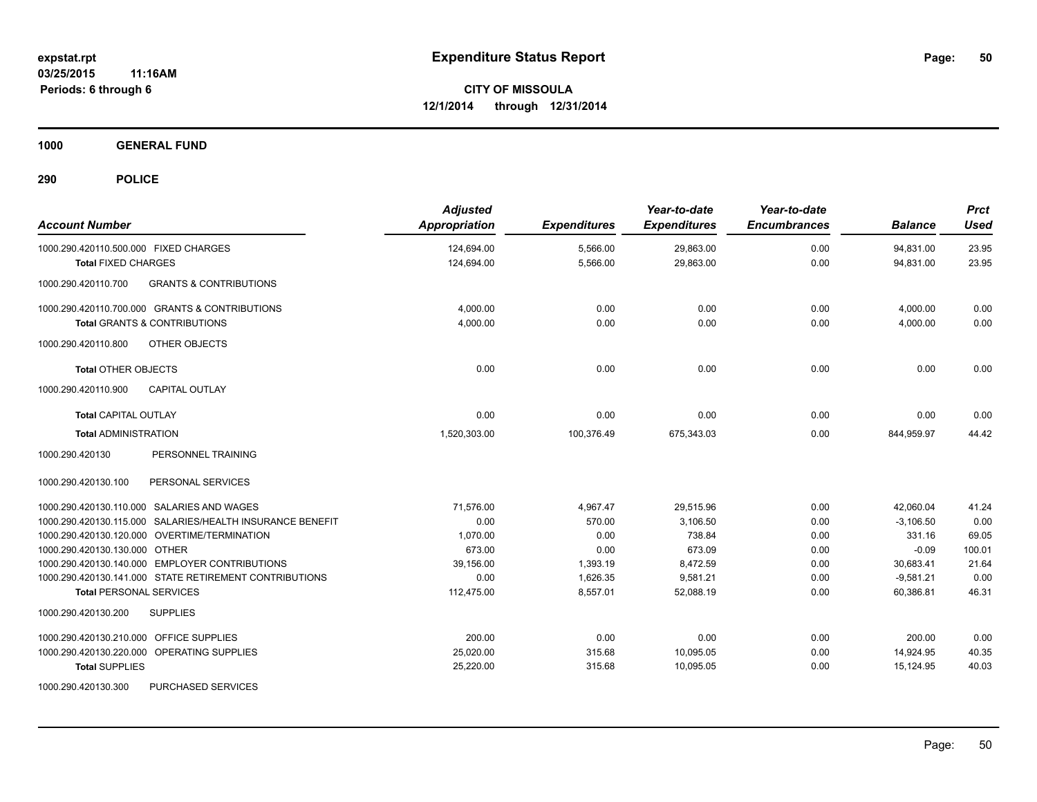**1000 GENERAL FUND**

| <b>Account Number</b>                                     | <b>Adjusted</b><br><b>Appropriation</b> | <b>Expenditures</b> | Year-to-date<br><b>Expenditures</b> | Year-to-date<br><b>Encumbrances</b> | <b>Balance</b> | <b>Prct</b><br><b>Used</b> |
|-----------------------------------------------------------|-----------------------------------------|---------------------|-------------------------------------|-------------------------------------|----------------|----------------------------|
| 1000.290.420110.500.000 FIXED CHARGES                     | 124,694.00                              | 5,566.00            | 29,863.00                           | 0.00                                | 94,831.00      | 23.95                      |
| <b>Total FIXED CHARGES</b>                                | 124,694.00                              | 5,566.00            | 29,863.00                           | 0.00                                | 94,831.00      | 23.95                      |
| 1000.290.420110.700<br><b>GRANTS &amp; CONTRIBUTIONS</b>  |                                         |                     |                                     |                                     |                |                            |
| 1000.290.420110.700.000 GRANTS & CONTRIBUTIONS            | 4.000.00                                | 0.00                | 0.00                                | 0.00                                | 4,000.00       | 0.00                       |
| <b>Total GRANTS &amp; CONTRIBUTIONS</b>                   | 4,000.00                                | 0.00                | 0.00                                | 0.00                                | 4,000.00       | 0.00                       |
| OTHER OBJECTS<br>1000.290.420110.800                      |                                         |                     |                                     |                                     |                |                            |
| <b>Total OTHER OBJECTS</b>                                | 0.00                                    | 0.00                | 0.00                                | 0.00                                | 0.00           | 0.00                       |
| <b>CAPITAL OUTLAY</b><br>1000.290.420110.900              |                                         |                     |                                     |                                     |                |                            |
| <b>Total CAPITAL OUTLAY</b>                               | 0.00                                    | 0.00                | 0.00                                | 0.00                                | 0.00           | 0.00                       |
| <b>Total ADMINISTRATION</b>                               | 1,520,303.00                            | 100,376.49          | 675,343.03                          | 0.00                                | 844,959.97     | 44.42                      |
| PERSONNEL TRAINING<br>1000.290.420130                     |                                         |                     |                                     |                                     |                |                            |
| PERSONAL SERVICES<br>1000.290.420130.100                  |                                         |                     |                                     |                                     |                |                            |
| 1000.290.420130.110.000 SALARIES AND WAGES                | 71,576.00                               | 4.967.47            | 29,515.96                           | 0.00                                | 42.060.04      | 41.24                      |
| 1000.290.420130.115.000 SALARIES/HEALTH INSURANCE BENEFIT | 0.00                                    | 570.00              | 3,106.50                            | 0.00                                | $-3,106.50$    | 0.00                       |
| 1000.290.420130.120.000 OVERTIME/TERMINATION              | 1,070.00                                | 0.00                | 738.84                              | 0.00                                | 331.16         | 69.05                      |
| 1000.290.420130.130.000 OTHER                             | 673.00                                  | 0.00                | 673.09                              | 0.00                                | $-0.09$        | 100.01                     |
| 1000.290.420130.140.000 EMPLOYER CONTRIBUTIONS            | 39,156.00                               | 1,393.19            | 8,472.59                            | 0.00                                | 30,683.41      | 21.64                      |
| 1000.290.420130.141.000 STATE RETIREMENT CONTRIBUTIONS    | 0.00                                    | 1,626.35            | 9,581.21                            | 0.00                                | $-9,581.21$    | 0.00                       |
| <b>Total PERSONAL SERVICES</b>                            | 112,475.00                              | 8,557.01            | 52,088.19                           | 0.00                                | 60,386.81      | 46.31                      |
| 1000.290.420130.200<br><b>SUPPLIES</b>                    |                                         |                     |                                     |                                     |                |                            |
| OFFICE SUPPLIES<br>1000.290.420130.210.000                | 200.00                                  | 0.00                | 0.00                                | 0.00                                | 200.00         | 0.00                       |
| 1000.290.420130.220.000 OPERATING SUPPLIES                | 25,020.00                               | 315.68              | 10,095.05                           | 0.00                                | 14,924.95      | 40.35                      |
| <b>Total SUPPLIES</b>                                     | 25,220.00                               | 315.68              | 10,095.05                           | 0.00                                | 15,124.95      | 40.03                      |
| 1000.290.420130.300<br>PURCHASED SERVICES                 |                                         |                     |                                     |                                     |                |                            |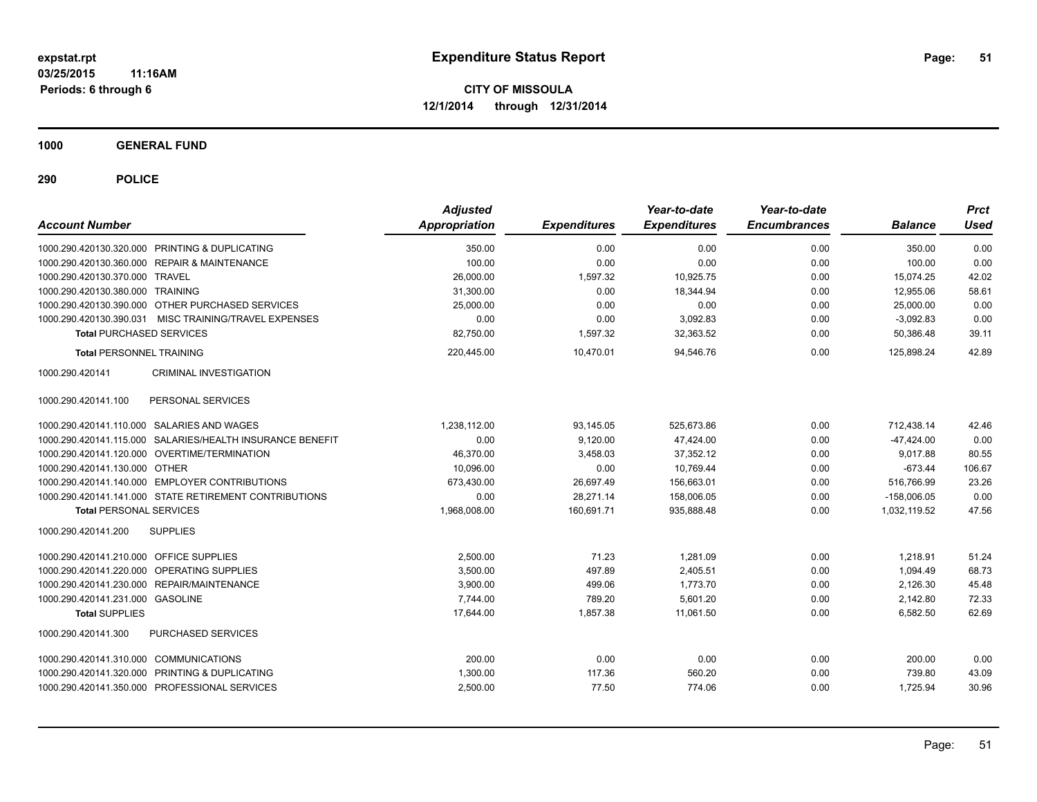**1000 GENERAL FUND**

| <b>Account Number</b>                                     |                               | <b>Adjusted</b><br>Appropriation | <b>Expenditures</b> | Year-to-date<br><b>Expenditures</b> | Year-to-date<br><b>Encumbrances</b> | <b>Balance</b> | <b>Prct</b><br><b>Used</b> |
|-----------------------------------------------------------|-------------------------------|----------------------------------|---------------------|-------------------------------------|-------------------------------------|----------------|----------------------------|
| 1000.290.420130.320.000 PRINTING & DUPLICATING            |                               | 350.00                           | 0.00                | 0.00                                | 0.00                                | 350.00         | 0.00                       |
| 1000.290.420130.360.000 REPAIR & MAINTENANCE              |                               | 100.00                           | 0.00                | 0.00                                | 0.00                                | 100.00         | 0.00                       |
| 1000.290.420130.370.000 TRAVEL                            |                               | 26,000.00                        | 1.597.32            | 10.925.75                           | 0.00                                | 15.074.25      | 42.02                      |
| 1000.290.420130.380.000 TRAINING                          |                               | 31,300.00                        | 0.00                | 18,344.94                           | 0.00                                | 12,955.06      | 58.61                      |
| 1000.290.420130.390.000 OTHER PURCHASED SERVICES          |                               | 25,000.00                        | 0.00                | 0.00                                | 0.00                                | 25,000.00      | 0.00                       |
| 1000.290.420130.390.031 MISC TRAINING/TRAVEL EXPENSES     |                               | 0.00                             | 0.00                | 3,092.83                            | 0.00                                | $-3,092.83$    | 0.00                       |
| <b>Total PURCHASED SERVICES</b>                           |                               | 82,750.00                        | 1,597.32            | 32,363.52                           | 0.00                                | 50,386.48      | 39.11                      |
| <b>Total PERSONNEL TRAINING</b>                           |                               | 220,445.00                       | 10,470.01           | 94,546.76                           | 0.00                                | 125,898.24     | 42.89                      |
| 1000.290.420141                                           | <b>CRIMINAL INVESTIGATION</b> |                                  |                     |                                     |                                     |                |                            |
| PERSONAL SERVICES<br>1000.290.420141.100                  |                               |                                  |                     |                                     |                                     |                |                            |
| 1000.290.420141.110.000 SALARIES AND WAGES                |                               | 1,238,112.00                     | 93,145.05           | 525,673.86                          | 0.00                                | 712,438.14     | 42.46                      |
| 1000.290.420141.115.000 SALARIES/HEALTH INSURANCE BENEFIT |                               | 0.00                             | 9,120.00            | 47,424.00                           | 0.00                                | $-47,424.00$   | 0.00                       |
| 1000.290.420141.120.000 OVERTIME/TERMINATION              |                               | 46,370.00                        | 3,458.03            | 37,352.12                           | 0.00                                | 9,017.88       | 80.55                      |
| 1000.290.420141.130.000 OTHER                             |                               | 10,096.00                        | 0.00                | 10,769.44                           | 0.00                                | $-673.44$      | 106.67                     |
| 1000.290.420141.140.000 EMPLOYER CONTRIBUTIONS            |                               | 673,430.00                       | 26,697.49           | 156,663.01                          | 0.00                                | 516,766.99     | 23.26                      |
| 1000.290.420141.141.000 STATE RETIREMENT CONTRIBUTIONS    |                               | 0.00                             | 28.271.14           | 158.006.05                          | 0.00                                | $-158.006.05$  | 0.00                       |
| <b>Total PERSONAL SERVICES</b>                            |                               | 1,968,008.00                     | 160,691.71          | 935,888.48                          | 0.00                                | 1,032,119.52   | 47.56                      |
| 1000.290.420141.200<br><b>SUPPLIES</b>                    |                               |                                  |                     |                                     |                                     |                |                            |
| 1000.290.420141.210.000 OFFICE SUPPLIES                   |                               | 2,500.00                         | 71.23               | 1.281.09                            | 0.00                                | 1,218.91       | 51.24                      |
| 1000.290.420141.220.000 OPERATING SUPPLIES                |                               | 3,500.00                         | 497.89              | 2,405.51                            | 0.00                                | 1,094.49       | 68.73                      |
| 1000.290.420141.230.000 REPAIR/MAINTENANCE                |                               | 3.900.00                         | 499.06              | 1.773.70                            | 0.00                                | 2,126.30       | 45.48                      |
| 1000.290.420141.231.000 GASOLINE                          |                               | 7,744.00                         | 789.20              | 5,601.20                            | 0.00                                | 2,142.80       | 72.33                      |
| <b>Total SUPPLIES</b>                                     |                               | 17,644.00                        | 1,857.38            | 11,061.50                           | 0.00                                | 6,582.50       | 62.69                      |
| 1000.290.420141.300                                       | PURCHASED SERVICES            |                                  |                     |                                     |                                     |                |                            |
| 1000.290.420141.310.000 COMMUNICATIONS                    |                               | 200.00                           | 0.00                | 0.00                                | 0.00                                | 200.00         | 0.00                       |
| 1000.290.420141.320.000 PRINTING & DUPLICATING            |                               | 1,300.00                         | 117.36              | 560.20                              | 0.00                                | 739.80         | 43.09                      |
| 1000.290.420141.350.000 PROFESSIONAL SERVICES             |                               | 2,500.00                         | 77.50               | 774.06                              | 0.00                                | 1,725.94       | 30.96                      |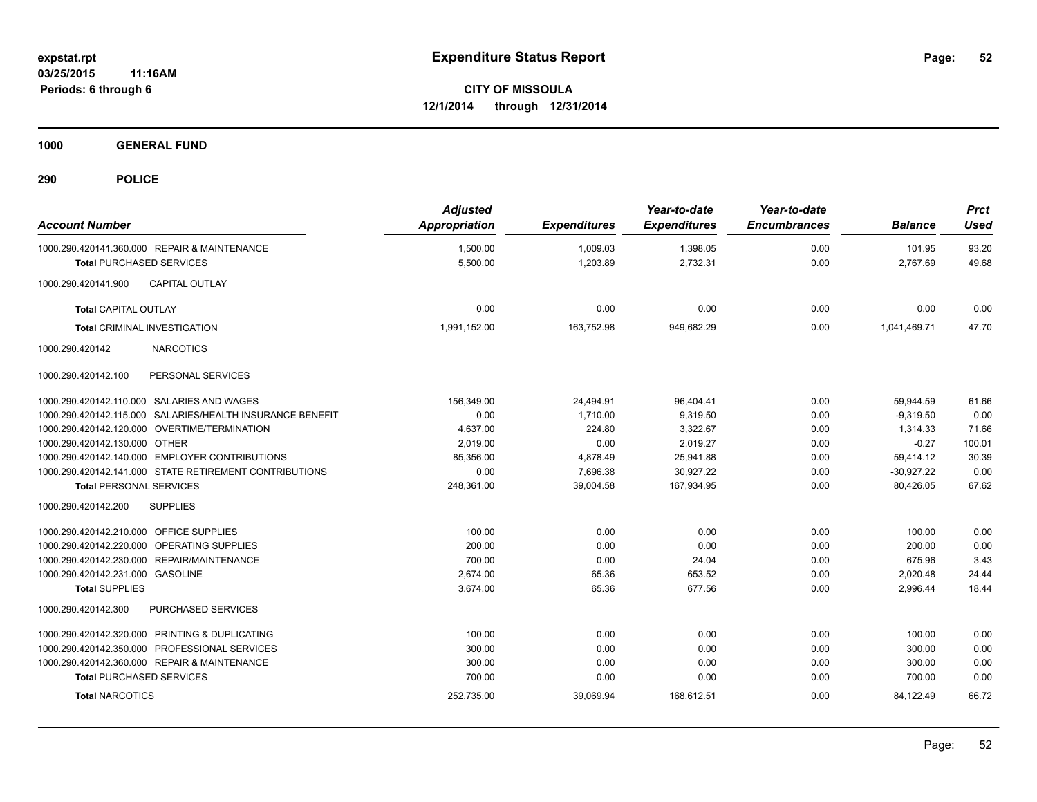**1000 GENERAL FUND**

| <b>Account Number</b>                   |                                                           | <b>Adjusted</b><br><b>Appropriation</b> | <b>Expenditures</b> | Year-to-date<br><b>Expenditures</b> | Year-to-date<br><b>Encumbrances</b> | <b>Balance</b> | <b>Prct</b><br><b>Used</b> |
|-----------------------------------------|-----------------------------------------------------------|-----------------------------------------|---------------------|-------------------------------------|-------------------------------------|----------------|----------------------------|
|                                         | 1000.290.420141.360.000 REPAIR & MAINTENANCE              | 1,500.00                                | 1.009.03            | 1,398.05                            | 0.00                                | 101.95         | 93.20                      |
| <b>Total PURCHASED SERVICES</b>         |                                                           | 5,500.00                                | 1,203.89            | 2,732.31                            | 0.00                                | 2,767.69       | 49.68                      |
| 1000.290.420141.900                     | <b>CAPITAL OUTLAY</b>                                     |                                         |                     |                                     |                                     |                |                            |
| <b>Total CAPITAL OUTLAY</b>             |                                                           | 0.00                                    | 0.00                | 0.00                                | 0.00                                | 0.00           | 0.00                       |
|                                         | <b>Total CRIMINAL INVESTIGATION</b>                       | 1,991,152.00                            | 163,752.98          | 949,682.29                          | 0.00                                | 1,041,469.71   | 47.70                      |
| 1000.290.420142                         | <b>NARCOTICS</b>                                          |                                         |                     |                                     |                                     |                |                            |
| 1000.290.420142.100                     | PERSONAL SERVICES                                         |                                         |                     |                                     |                                     |                |                            |
|                                         | 1000.290.420142.110.000 SALARIES AND WAGES                | 156.349.00                              | 24,494.91           | 96,404.41                           | 0.00                                | 59,944.59      | 61.66                      |
|                                         | 1000.290.420142.115.000 SALARIES/HEALTH INSURANCE BENEFIT | 0.00                                    | 1.710.00            | 9.319.50                            | 0.00                                | $-9.319.50$    | 0.00                       |
|                                         | 1000.290.420142.120.000 OVERTIME/TERMINATION              | 4,637.00                                | 224.80              | 3,322.67                            | 0.00                                | 1,314.33       | 71.66                      |
| 1000.290.420142.130.000 OTHER           |                                                           | 2.019.00                                | 0.00                | 2.019.27                            | 0.00                                | $-0.27$        | 100.01                     |
|                                         | 1000.290.420142.140.000 EMPLOYER CONTRIBUTIONS            | 85,356.00                               | 4,878.49            | 25,941.88                           | 0.00                                | 59,414.12      | 30.39                      |
|                                         | 1000.290.420142.141.000 STATE RETIREMENT CONTRIBUTIONS    | 0.00                                    | 7,696.38            | 30.927.22                           | 0.00                                | $-30.927.22$   | 0.00                       |
| <b>Total PERSONAL SERVICES</b>          |                                                           | 248,361.00                              | 39,004.58           | 167,934.95                          | 0.00                                | 80,426.05      | 67.62                      |
| 1000.290.420142.200                     | <b>SUPPLIES</b>                                           |                                         |                     |                                     |                                     |                |                            |
| 1000.290.420142.210.000 OFFICE SUPPLIES |                                                           | 100.00                                  | 0.00                | 0.00                                | 0.00                                | 100.00         | 0.00                       |
|                                         | 1000.290.420142.220.000 OPERATING SUPPLIES                | 200.00                                  | 0.00                | 0.00                                | 0.00                                | 200.00         | 0.00                       |
|                                         | 1000.290.420142.230.000 REPAIR/MAINTENANCE                | 700.00                                  | 0.00                | 24.04                               | 0.00                                | 675.96         | 3.43                       |
| 1000.290.420142.231.000 GASOLINE        |                                                           | 2,674.00                                | 65.36               | 653.52                              | 0.00                                | 2,020.48       | 24.44                      |
| <b>Total SUPPLIES</b>                   |                                                           | 3,674.00                                | 65.36               | 677.56                              | 0.00                                | 2,996.44       | 18.44                      |
| 1000.290.420142.300                     | <b>PURCHASED SERVICES</b>                                 |                                         |                     |                                     |                                     |                |                            |
|                                         | 1000.290.420142.320.000 PRINTING & DUPLICATING            | 100.00                                  | 0.00                | 0.00                                | 0.00                                | 100.00         | 0.00                       |
|                                         | 1000.290.420142.350.000 PROFESSIONAL SERVICES             | 300.00                                  | 0.00                | 0.00                                | 0.00                                | 300.00         | 0.00                       |
|                                         | 1000.290.420142.360.000 REPAIR & MAINTENANCE              | 300.00                                  | 0.00                | 0.00                                | 0.00                                | 300.00         | 0.00                       |
| <b>Total PURCHASED SERVICES</b>         |                                                           | 700.00                                  | 0.00                | 0.00                                | 0.00                                | 700.00         | 0.00                       |
| <b>Total NARCOTICS</b>                  |                                                           | 252,735.00                              | 39,069.94           | 168,612.51                          | 0.00                                | 84,122.49      | 66.72                      |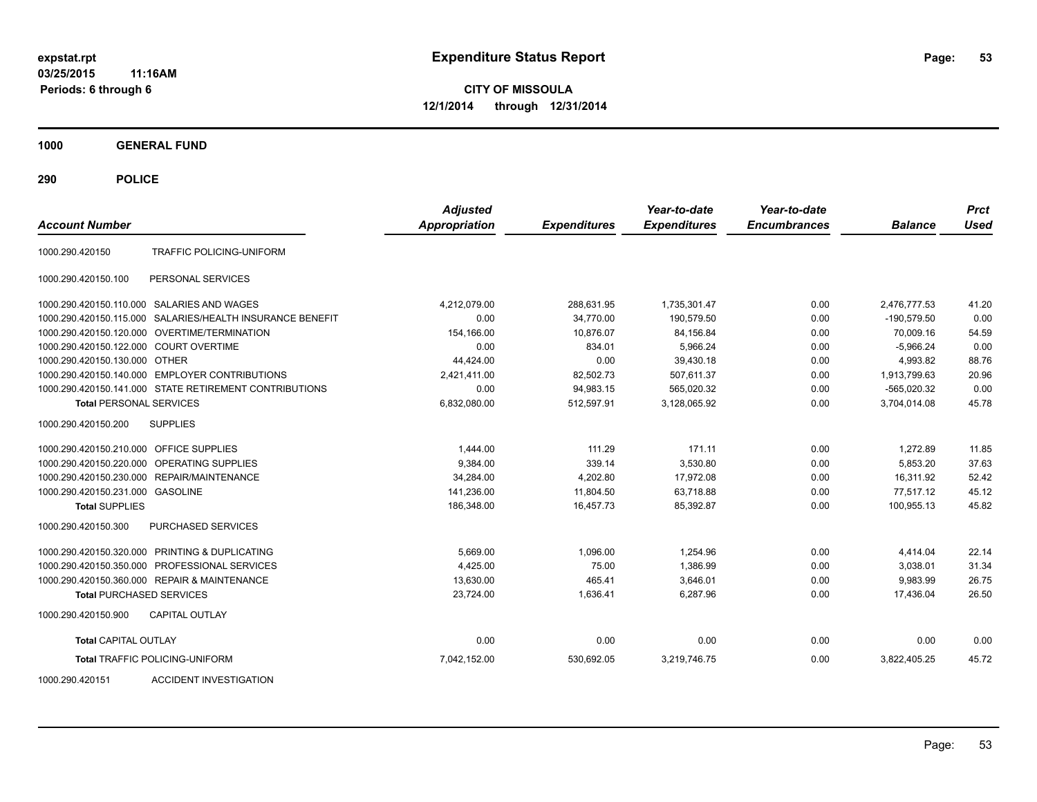**03/25/2015 11:16AM Periods: 6 through 6**

**CITY OF MISSOULA 12/1/2014 through 12/31/2014**

**1000 GENERAL FUND**

**290 POLICE**

| <b>Account Number</b>                  |                                                        | <b>Adjusted</b><br><b>Appropriation</b> | <b>Expenditures</b> | Year-to-date<br><b>Expenditures</b> | Year-to-date<br><b>Encumbrances</b> | <b>Balance</b> | <b>Prct</b><br>Used |
|----------------------------------------|--------------------------------------------------------|-----------------------------------------|---------------------|-------------------------------------|-------------------------------------|----------------|---------------------|
| 1000.290.420150                        | TRAFFIC POLICING-UNIFORM                               |                                         |                     |                                     |                                     |                |                     |
| 1000.290.420150.100                    | PERSONAL SERVICES                                      |                                         |                     |                                     |                                     |                |                     |
|                                        | 1000.290.420150.110.000 SALARIES AND WAGES             | 4,212,079.00                            | 288,631.95          | 1,735,301.47                        | 0.00                                | 2,476,777.53   | 41.20               |
| 1000.290.420150.115.000                | SALARIES/HEALTH INSURANCE BENEFIT                      | 0.00                                    | 34.770.00           | 190.579.50                          | 0.00                                | $-190.579.50$  | 0.00                |
| 1000.290.420150.120.000                | OVERTIME/TERMINATION                                   | 154.166.00                              | 10.876.07           | 84,156.84                           | 0.00                                | 70.009.16      | 54.59               |
| 1000.290.420150.122.000 COURT OVERTIME |                                                        | 0.00                                    | 834.01              | 5,966.24                            | 0.00                                | $-5,966.24$    | 0.00                |
| 1000.290.420150.130.000 OTHER          |                                                        | 44,424.00                               | 0.00                | 39,430.18                           | 0.00                                | 4,993.82       | 88.76               |
|                                        | 1000.290.420150.140.000 EMPLOYER CONTRIBUTIONS         | 2,421,411.00                            | 82,502.73           | 507,611.37                          | 0.00                                | 1,913,799.63   | 20.96               |
|                                        | 1000.290.420150.141.000 STATE RETIREMENT CONTRIBUTIONS | 0.00                                    | 94,983.15           | 565,020.32                          | 0.00                                | $-565,020.32$  | 0.00                |
| <b>Total PERSONAL SERVICES</b>         |                                                        | 6,832,080.00                            | 512,597.91          | 3,128,065.92                        | 0.00                                | 3,704,014.08   | 45.78               |
| 1000.290.420150.200                    | <b>SUPPLIES</b>                                        |                                         |                     |                                     |                                     |                |                     |
| 1000.290.420150.210.000                | <b>OFFICE SUPPLIES</b>                                 | 1,444.00                                | 111.29              | 171.11                              | 0.00                                | 1,272.89       | 11.85               |
| 1000.290.420150.220.000                | OPERATING SUPPLIES                                     | 9,384.00                                | 339.14              | 3,530.80                            | 0.00                                | 5,853.20       | 37.63               |
| 1000.290.420150.230.000                | <b>REPAIR/MAINTENANCE</b>                              | 34,284.00                               | 4,202.80            | 17,972.08                           | 0.00                                | 16,311.92      | 52.42               |
| 1000.290.420150.231.000                | GASOLINE                                               | 141,236.00                              | 11,804.50           | 63,718.88                           | 0.00                                | 77.517.12      | 45.12               |
| <b>Total SUPPLIES</b>                  |                                                        | 186,348.00                              | 16,457.73           | 85,392.87                           | 0.00                                | 100,955.13     | 45.82               |
| 1000.290.420150.300                    | PURCHASED SERVICES                                     |                                         |                     |                                     |                                     |                |                     |
|                                        | 1000.290.420150.320.000 PRINTING & DUPLICATING         | 5,669.00                                | 1,096.00            | 1,254.96                            | 0.00                                | 4,414.04       | 22.14               |
| 1000.290.420150.350.000                | PROFESSIONAL SERVICES                                  | 4,425.00                                | 75.00               | 1.386.99                            | 0.00                                | 3,038.01       | 31.34               |
|                                        | 1000.290.420150.360.000 REPAIR & MAINTENANCE           | 13,630.00                               | 465.41              | 3,646.01                            | 0.00                                | 9,983.99       | 26.75               |
| <b>Total PURCHASED SERVICES</b>        |                                                        | 23,724.00                               | 1.636.41            | 6.287.96                            | 0.00                                | 17.436.04      | 26.50               |
| 1000.290.420150.900                    | <b>CAPITAL OUTLAY</b>                                  |                                         |                     |                                     |                                     |                |                     |
| <b>Total CAPITAL OUTLAY</b>            |                                                        | 0.00                                    | 0.00                | 0.00                                | 0.00                                | 0.00           | 0.00                |
|                                        | <b>Total TRAFFIC POLICING-UNIFORM</b>                  | 7,042,152.00                            | 530,692.05          | 3,219,746.75                        | 0.00                                | 3,822,405.25   | 45.72               |

1000.290.420151 ACCIDENT INVESTIGATION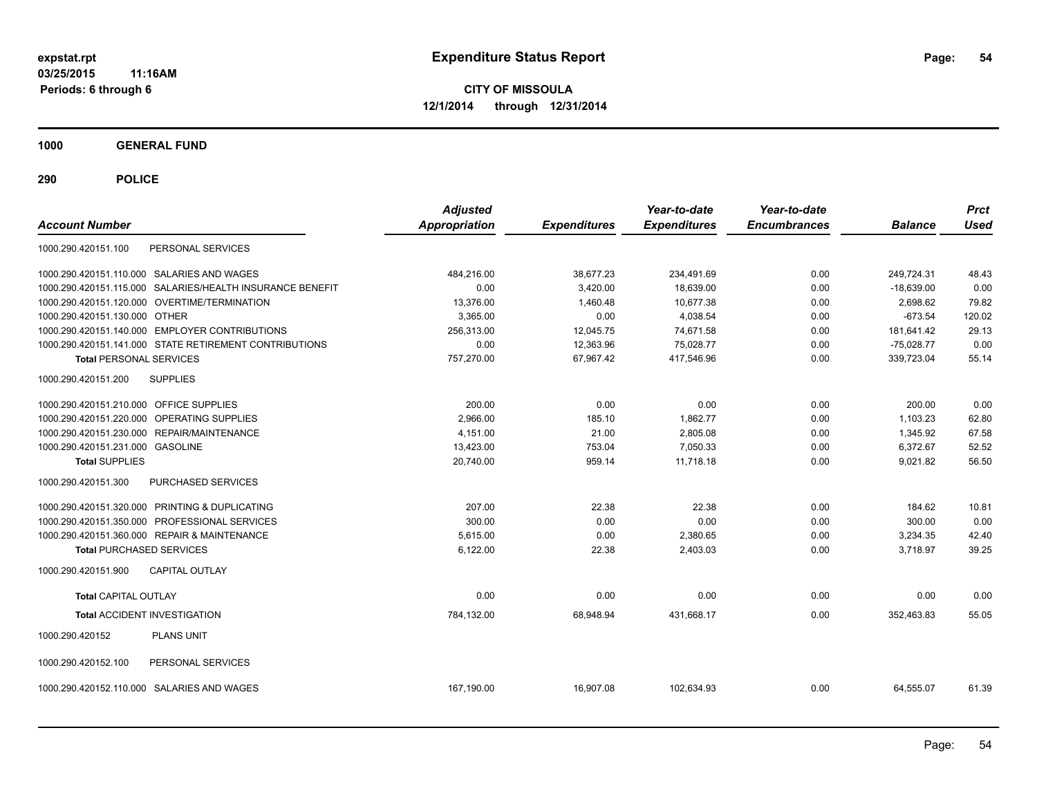**03/25/2015 11:16AM Periods: 6 through 6**

**CITY OF MISSOULA 12/1/2014 through 12/31/2014**

**1000 GENERAL FUND**

| <b>Account Number</b>                                     | <b>Adjusted</b><br><b>Appropriation</b> | <b>Expenditures</b> | Year-to-date<br><b>Expenditures</b> | Year-to-date<br><b>Encumbrances</b> | <b>Balance</b> | <b>Prct</b><br><b>Used</b> |
|-----------------------------------------------------------|-----------------------------------------|---------------------|-------------------------------------|-------------------------------------|----------------|----------------------------|
| PERSONAL SERVICES<br>1000.290.420151.100                  |                                         |                     |                                     |                                     |                |                            |
| 1000.290.420151.110.000 SALARIES AND WAGES                | 484.216.00                              | 38,677.23           | 234,491.69                          | 0.00                                | 249,724.31     | 48.43                      |
| 1000.290.420151.115.000 SALARIES/HEALTH INSURANCE BENEFIT | 0.00                                    | 3,420.00            | 18,639.00                           | 0.00                                | $-18,639.00$   | 0.00                       |
| 1000.290.420151.120.000 OVERTIME/TERMINATION              | 13,376.00                               | 1,460.48            | 10,677.38                           | 0.00                                | 2,698.62       | 79.82                      |
| 1000.290.420151.130.000 OTHER                             | 3,365.00                                | 0.00                | 4,038.54                            | 0.00                                | $-673.54$      | 120.02                     |
| 1000.290.420151.140.000 EMPLOYER CONTRIBUTIONS            | 256,313.00                              | 12,045.75           | 74,671.58                           | 0.00                                | 181,641.42     | 29.13                      |
| 1000.290.420151.141.000 STATE RETIREMENT CONTRIBUTIONS    | 0.00                                    | 12,363.96           | 75,028.77                           | 0.00                                | $-75,028.77$   | 0.00                       |
| <b>Total PERSONAL SERVICES</b>                            | 757,270.00                              | 67,967.42           | 417,546.96                          | 0.00                                | 339,723.04     | 55.14                      |
| 1000.290.420151.200<br><b>SUPPLIES</b>                    |                                         |                     |                                     |                                     |                |                            |
| 1000.290.420151.210.000 OFFICE SUPPLIES                   | 200.00                                  | 0.00                | 0.00                                | 0.00                                | 200.00         | 0.00                       |
| 1000.290.420151.220.000 OPERATING SUPPLIES                | 2,966.00                                | 185.10              | 1,862.77                            | 0.00                                | 1.103.23       | 62.80                      |
| 1000.290.420151.230.000 REPAIR/MAINTENANCE                | 4.151.00                                | 21.00               | 2,805.08                            | 0.00                                | 1,345.92       | 67.58                      |
| 1000.290.420151.231.000 GASOLINE                          | 13,423.00                               | 753.04              | 7,050.33                            | 0.00                                | 6,372.67       | 52.52                      |
| <b>Total SUPPLIES</b>                                     | 20,740.00                               | 959.14              | 11,718.18                           | 0.00                                | 9,021.82       | 56.50                      |
| 1000.290.420151.300<br>PURCHASED SERVICES                 |                                         |                     |                                     |                                     |                |                            |
| 1000.290.420151.320.000 PRINTING & DUPLICATING            | 207.00                                  | 22.38               | 22.38                               | 0.00                                | 184.62         | 10.81                      |
| 1000.290.420151.350.000 PROFESSIONAL SERVICES             | 300.00                                  | 0.00                | 0.00                                | 0.00                                | 300.00         | 0.00                       |
| 1000.290.420151.360.000 REPAIR & MAINTENANCE              | 5,615.00                                | 0.00                | 2,380.65                            | 0.00                                | 3,234.35       | 42.40                      |
| <b>Total PURCHASED SERVICES</b>                           | 6,122.00                                | 22.38               | 2,403.03                            | 0.00                                | 3.718.97       | 39.25                      |
| 1000.290.420151.900<br><b>CAPITAL OUTLAY</b>              |                                         |                     |                                     |                                     |                |                            |
| <b>Total CAPITAL OUTLAY</b>                               | 0.00                                    | 0.00                | 0.00                                | 0.00                                | 0.00           | 0.00                       |
| <b>Total ACCIDENT INVESTIGATION</b>                       | 784,132.00                              | 68,948.94           | 431,668.17                          | 0.00                                | 352,463.83     | 55.05                      |
| <b>PLANS UNIT</b><br>1000.290.420152                      |                                         |                     |                                     |                                     |                |                            |
| PERSONAL SERVICES<br>1000.290.420152.100                  |                                         |                     |                                     |                                     |                |                            |
| 1000.290.420152.110.000 SALARIES AND WAGES                | 167,190.00                              | 16.907.08           | 102,634.93                          | 0.00                                | 64,555.07      | 61.39                      |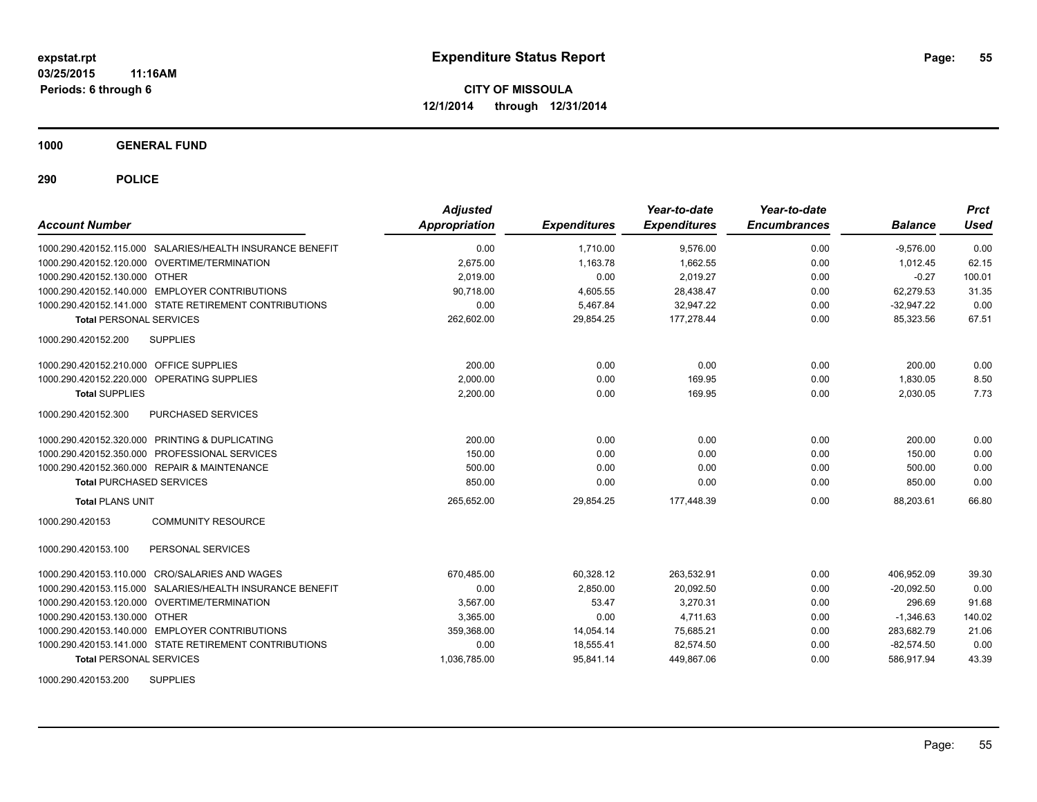**1000 GENERAL FUND**

**290 POLICE**

| <b>Account Number</b>                                     | <b>Adjusted</b><br>Appropriation | <b>Expenditures</b> | Year-to-date<br><b>Expenditures</b> | Year-to-date<br><b>Encumbrances</b> | <b>Balance</b> | <b>Prct</b><br>Used |
|-----------------------------------------------------------|----------------------------------|---------------------|-------------------------------------|-------------------------------------|----------------|---------------------|
| 1000.290.420152.115.000 SALARIES/HEALTH INSURANCE BENEFIT | 0.00                             | 1,710.00            | 9,576.00                            | 0.00                                | $-9,576.00$    | 0.00                |
| 1000.290.420152.120.000 OVERTIME/TERMINATION              | 2,675.00                         | 1,163.78            | 1,662.55                            | 0.00                                | 1,012.45       | 62.15               |
| 1000.290.420152.130.000 OTHER                             | 2,019.00                         | 0.00                | 2,019.27                            | 0.00                                | $-0.27$        | 100.01              |
| 1000.290.420152.140.000 EMPLOYER CONTRIBUTIONS            | 90.718.00                        | 4,605.55            | 28,438.47                           | 0.00                                | 62.279.53      | 31.35               |
| 1000.290.420152.141.000 STATE RETIREMENT CONTRIBUTIONS    | 0.00                             | 5.467.84            | 32.947.22                           | 0.00                                | $-32.947.22$   | 0.00                |
| <b>Total PERSONAL SERVICES</b>                            | 262,602.00                       | 29,854.25           | 177,278.44                          | 0.00                                | 85,323.56      | 67.51               |
| <b>SUPPLIES</b><br>1000.290.420152.200                    |                                  |                     |                                     |                                     |                |                     |
| 1000.290.420152.210.000 OFFICE SUPPLIES                   | 200.00                           | 0.00                | 0.00                                | 0.00                                | 200.00         | 0.00                |
| 1000.290.420152.220.000<br><b>OPERATING SUPPLIES</b>      | 2,000.00                         | 0.00                | 169.95                              | 0.00                                | 1.830.05       | 8.50                |
| <b>Total SUPPLIES</b>                                     | 2,200.00                         | 0.00                | 169.95                              | 0.00                                | 2,030.05       | 7.73                |
| 1000.290.420152.300<br>PURCHASED SERVICES                 |                                  |                     |                                     |                                     |                |                     |
| 1000.290.420152.320.000 PRINTING & DUPLICATING            | 200.00                           | 0.00                | 0.00                                | 0.00                                | 200.00         | 0.00                |
| 1000.290.420152.350.000 PROFESSIONAL SERVICES             | 150.00                           | 0.00                | 0.00                                | 0.00                                | 150.00         | 0.00                |
| 1000.290.420152.360.000 REPAIR & MAINTENANCE              | 500.00                           | 0.00                | 0.00                                | 0.00                                | 500.00         | 0.00                |
| <b>Total PURCHASED SERVICES</b>                           | 850.00                           | 0.00                | 0.00                                | 0.00                                | 850.00         | 0.00                |
| <b>Total PLANS UNIT</b>                                   | 265,652.00                       | 29,854.25           | 177,448.39                          | 0.00                                | 88,203.61      | 66.80               |
| <b>COMMUNITY RESOURCE</b><br>1000.290.420153              |                                  |                     |                                     |                                     |                |                     |
| PERSONAL SERVICES<br>1000.290.420153.100                  |                                  |                     |                                     |                                     |                |                     |
| 1000.290.420153.110.000 CRO/SALARIES AND WAGES            | 670,485.00                       | 60,328.12           | 263,532.91                          | 0.00                                | 406,952.09     | 39.30               |
| 1000.290.420153.115.000 SALARIES/HEALTH INSURANCE BENEFIT | 0.00                             | 2,850.00            | 20,092.50                           | 0.00                                | $-20,092.50$   | 0.00                |
| 1000.290.420153.120.000 OVERTIME/TERMINATION              | 3,567.00                         | 53.47               | 3,270.31                            | 0.00                                | 296.69         | 91.68               |
| 1000.290.420153.130.000 OTHER                             | 3,365.00                         | 0.00                | 4,711.63                            | 0.00                                | $-1,346.63$    | 140.02              |
| 1000.290.420153.140.000 EMPLOYER CONTRIBUTIONS            | 359,368.00                       | 14,054.14           | 75,685.21                           | 0.00                                | 283,682.79     | 21.06               |
| 1000.290.420153.141.000 STATE RETIREMENT CONTRIBUTIONS    | 0.00                             | 18,555.41           | 82,574.50                           | 0.00                                | $-82,574.50$   | 0.00                |
| <b>Total PERSONAL SERVICES</b>                            | 1,036,785.00                     | 95.841.14           | 449.867.06                          | 0.00                                | 586.917.94     | 43.39               |
|                                                           |                                  |                     |                                     |                                     |                |                     |

1000.290.420153.200 SUPPLIES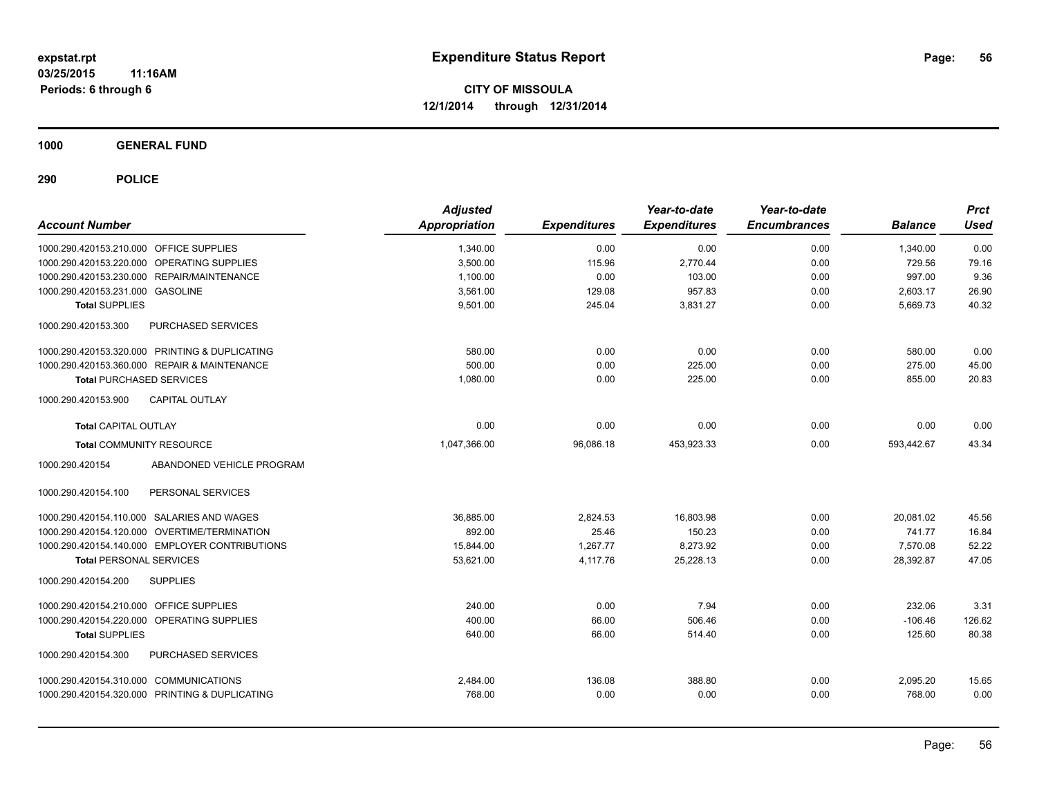**1000 GENERAL FUND**

| <b>Account Number</b>                          | <b>Adjusted</b><br><b>Appropriation</b> | <b>Expenditures</b> | Year-to-date<br><b>Expenditures</b> | Year-to-date<br><b>Encumbrances</b> | <b>Balance</b> | <b>Prct</b><br><b>Used</b> |
|------------------------------------------------|-----------------------------------------|---------------------|-------------------------------------|-------------------------------------|----------------|----------------------------|
| 1000.290.420153.210.000 OFFICE SUPPLIES        | 1,340.00                                | 0.00                | 0.00                                | 0.00                                | 1,340.00       | 0.00                       |
| 1000.290.420153.220.000 OPERATING SUPPLIES     | 3,500.00                                | 115.96              | 2,770.44                            | 0.00                                | 729.56         | 79.16                      |
| 1000.290.420153.230.000 REPAIR/MAINTENANCE     | 1,100.00                                | 0.00                | 103.00                              | 0.00                                | 997.00         | 9.36                       |
| 1000.290.420153.231.000 GASOLINE               | 3,561.00                                | 129.08              | 957.83                              | 0.00                                | 2,603.17       | 26.90                      |
| <b>Total SUPPLIES</b>                          | 9,501.00                                | 245.04              | 3,831.27                            | 0.00                                | 5,669.73       | 40.32                      |
| 1000.290.420153.300<br>PURCHASED SERVICES      |                                         |                     |                                     |                                     |                |                            |
| 1000.290.420153.320.000 PRINTING & DUPLICATING | 580.00                                  | 0.00                | 0.00                                | 0.00                                | 580.00         | 0.00                       |
| 1000.290.420153.360.000 REPAIR & MAINTENANCE   | 500.00                                  | 0.00                | 225.00                              | 0.00                                | 275.00         | 45.00                      |
| <b>Total PURCHASED SERVICES</b>                | 1,080.00                                | 0.00                | 225.00                              | 0.00                                | 855.00         | 20.83                      |
| 1000.290.420153.900<br>CAPITAL OUTLAY          |                                         |                     |                                     |                                     |                |                            |
| <b>Total CAPITAL OUTLAY</b>                    | 0.00                                    | 0.00                | 0.00                                | 0.00                                | 0.00           | 0.00                       |
| <b>Total COMMUNITY RESOURCE</b>                | 1,047,366.00                            | 96,086.18           | 453,923.33                          | 0.00                                | 593,442.67     | 43.34                      |
| ABANDONED VEHICLE PROGRAM<br>1000.290.420154   |                                         |                     |                                     |                                     |                |                            |
| 1000.290.420154.100<br>PERSONAL SERVICES       |                                         |                     |                                     |                                     |                |                            |
| 1000.290.420154.110.000 SALARIES AND WAGES     | 36,885.00                               | 2,824.53            | 16,803.98                           | 0.00                                | 20,081.02      | 45.56                      |
| 1000.290.420154.120.000 OVERTIME/TERMINATION   | 892.00                                  | 25.46               | 150.23                              | 0.00                                | 741.77         | 16.84                      |
| 1000.290.420154.140.000 EMPLOYER CONTRIBUTIONS | 15,844.00                               | 1.267.77            | 8,273.92                            | 0.00                                | 7.570.08       | 52.22                      |
| <b>Total PERSONAL SERVICES</b>                 | 53,621.00                               | 4,117.76            | 25,228.13                           | 0.00                                | 28,392.87      | 47.05                      |
| <b>SUPPLIES</b><br>1000.290.420154.200         |                                         |                     |                                     |                                     |                |                            |
| 1000.290.420154.210.000<br>OFFICE SUPPLIES     | 240.00                                  | 0.00                | 7.94                                | 0.00                                | 232.06         | 3.31                       |
| 1000.290.420154.220.000<br>OPERATING SUPPLIES  | 400.00                                  | 66.00               | 506.46                              | 0.00                                | $-106.46$      | 126.62                     |
| <b>Total SUPPLIES</b>                          | 640.00                                  | 66.00               | 514.40                              | 0.00                                | 125.60         | 80.38                      |
| PURCHASED SERVICES<br>1000.290.420154.300      |                                         |                     |                                     |                                     |                |                            |
| 1000.290.420154.310.000 COMMUNICATIONS         | 2,484.00                                | 136.08              | 388.80                              | 0.00                                | 2,095.20       | 15.65                      |
| 1000.290.420154.320.000 PRINTING & DUPLICATING | 768.00                                  | 0.00                | 0.00                                | 0.00                                | 768.00         | 0.00                       |
|                                                |                                         |                     |                                     |                                     |                |                            |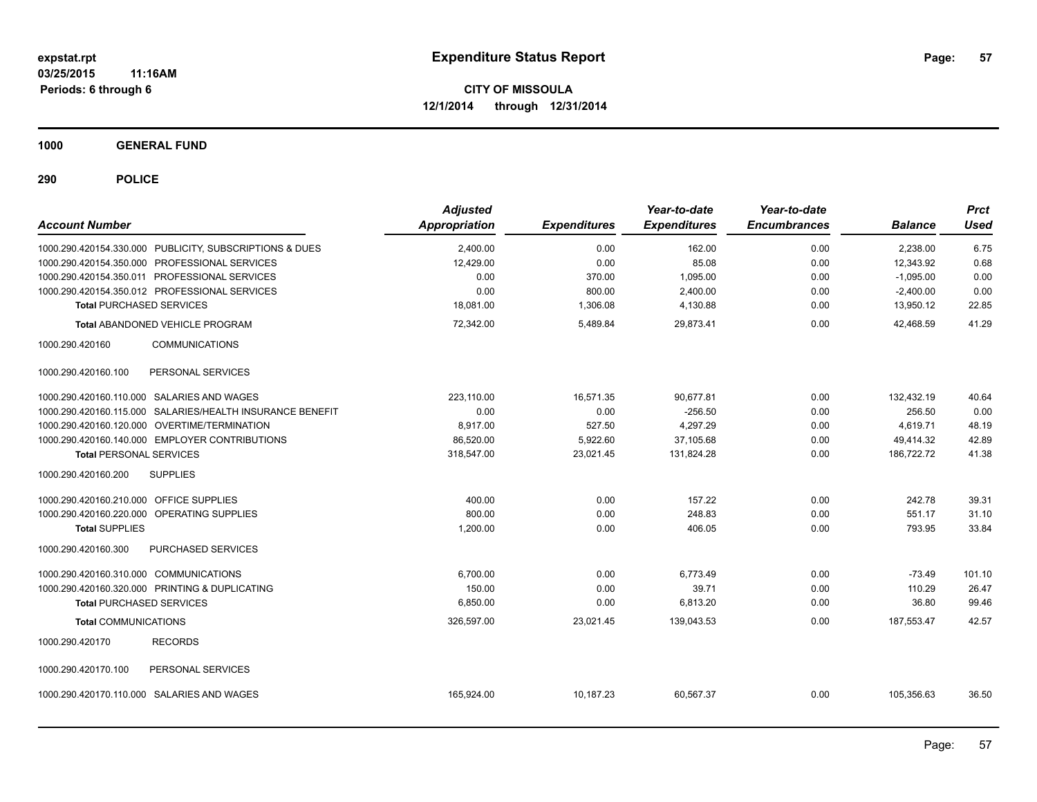**1000 GENERAL FUND**

| <b>Account Number</b>                   |                                                           | <b>Adjusted</b><br>Appropriation | <b>Expenditures</b> | Year-to-date<br><b>Expenditures</b> | Year-to-date<br><b>Encumbrances</b> | <b>Balance</b> | <b>Prct</b><br><b>Used</b> |
|-----------------------------------------|-----------------------------------------------------------|----------------------------------|---------------------|-------------------------------------|-------------------------------------|----------------|----------------------------|
|                                         | 1000.290.420154.330.000 PUBLICITY, SUBSCRIPTIONS & DUES   | 2,400.00                         | 0.00                | 162.00                              | 0.00                                | 2,238.00       | 6.75                       |
|                                         | 1000.290.420154.350.000 PROFESSIONAL SERVICES             | 12,429.00                        | 0.00                | 85.08                               | 0.00                                | 12,343.92      | 0.68                       |
|                                         | 1000.290.420154.350.011 PROFESSIONAL SERVICES             | 0.00                             | 370.00              | 1,095.00                            | 0.00                                | $-1,095.00$    | 0.00                       |
|                                         | 1000.290.420154.350.012 PROFESSIONAL SERVICES             | 0.00                             | 800.00              | 2,400.00                            | 0.00                                | $-2,400.00$    | 0.00                       |
| <b>Total PURCHASED SERVICES</b>         |                                                           | 18.081.00                        | 1,306.08            | 4,130.88                            | 0.00                                | 13,950.12      | 22.85                      |
|                                         | Total ABANDONED VEHICLE PROGRAM                           | 72,342.00                        | 5,489.84            | 29,873.41                           | 0.00                                | 42,468.59      | 41.29                      |
| 1000.290.420160                         | <b>COMMUNICATIONS</b>                                     |                                  |                     |                                     |                                     |                |                            |
| 1000.290.420160.100                     | PERSONAL SERVICES                                         |                                  |                     |                                     |                                     |                |                            |
|                                         | 1000.290.420160.110.000 SALARIES AND WAGES                | 223,110.00                       | 16,571.35           | 90,677.81                           | 0.00                                | 132,432.19     | 40.64                      |
|                                         | 1000.290.420160.115.000 SALARIES/HEALTH INSURANCE BENEFIT | 0.00                             | 0.00                | $-256.50$                           | 0.00                                | 256.50         | 0.00                       |
|                                         | 1000.290.420160.120.000 OVERTIME/TERMINATION              | 8,917.00                         | 527.50              | 4,297.29                            | 0.00                                | 4,619.71       | 48.19                      |
|                                         | 1000.290.420160.140.000 EMPLOYER CONTRIBUTIONS            | 86,520.00                        | 5,922.60            | 37,105.68                           | 0.00                                | 49,414.32      | 42.89                      |
| <b>Total PERSONAL SERVICES</b>          |                                                           | 318,547.00                       | 23,021.45           | 131,824.28                          | 0.00                                | 186,722.72     | 41.38                      |
| 1000.290.420160.200                     | <b>SUPPLIES</b>                                           |                                  |                     |                                     |                                     |                |                            |
| 1000.290.420160.210.000 OFFICE SUPPLIES |                                                           | 400.00                           | 0.00                | 157.22                              | 0.00                                | 242.78         | 39.31                      |
|                                         | 1000.290.420160.220.000 OPERATING SUPPLIES                | 800.00                           | 0.00                | 248.83                              | 0.00                                | 551.17         | 31.10                      |
| <b>Total SUPPLIES</b>                   |                                                           | 1,200.00                         | 0.00                | 406.05                              | 0.00                                | 793.95         | 33.84                      |
| 1000.290.420160.300                     | PURCHASED SERVICES                                        |                                  |                     |                                     |                                     |                |                            |
| 1000.290.420160.310.000 COMMUNICATIONS  |                                                           | 6.700.00                         | 0.00                | 6,773.49                            | 0.00                                | $-73.49$       | 101.10                     |
|                                         | 1000.290.420160.320.000 PRINTING & DUPLICATING            | 150.00                           | 0.00                | 39.71                               | 0.00                                | 110.29         | 26.47                      |
| <b>Total PURCHASED SERVICES</b>         |                                                           | 6,850.00                         | 0.00                | 6,813.20                            | 0.00                                | 36.80          | 99.46                      |
| <b>Total COMMUNICATIONS</b>             |                                                           | 326,597.00                       | 23,021.45           | 139,043.53                          | 0.00                                | 187,553.47     | 42.57                      |
| 1000.290.420170                         | <b>RECORDS</b>                                            |                                  |                     |                                     |                                     |                |                            |
| 1000.290.420170.100                     | PERSONAL SERVICES                                         |                                  |                     |                                     |                                     |                |                            |
|                                         | 1000.290.420170.110.000 SALARIES AND WAGES                | 165,924.00                       | 10,187.23           | 60,567.37                           | 0.00                                | 105,356.63     | 36.50                      |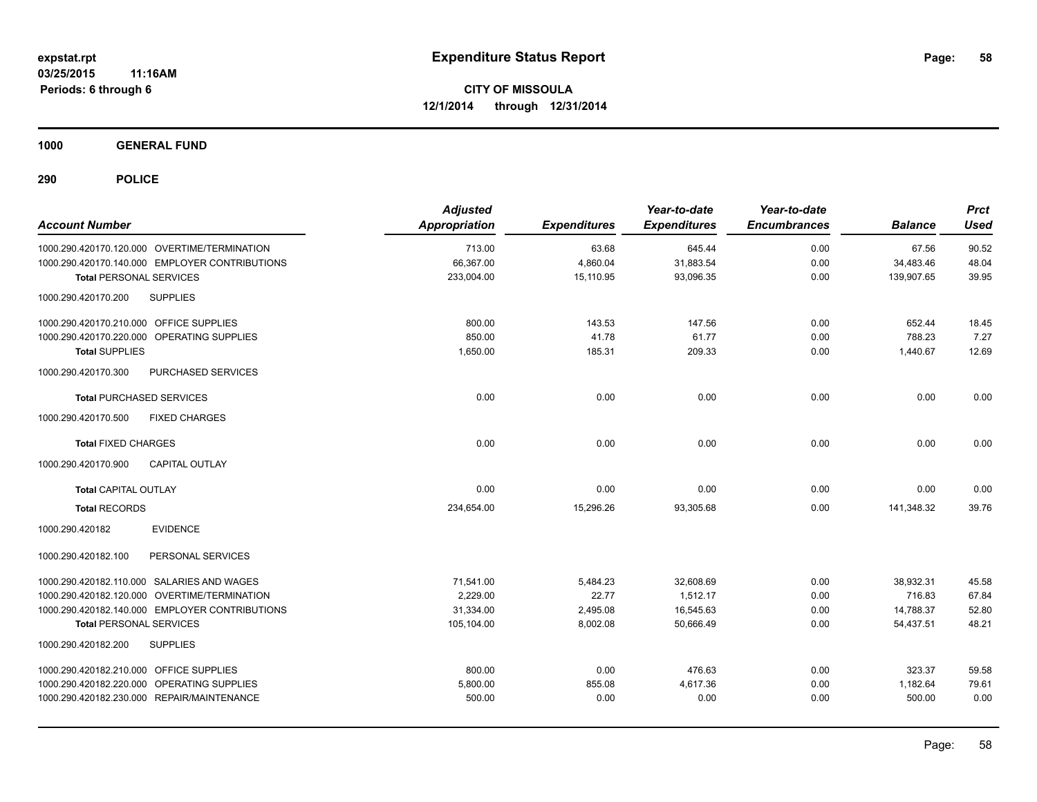**1000 GENERAL FUND**

| <b>Account Number</b>                          | <b>Adjusted</b><br><b>Appropriation</b> | <b>Expenditures</b> | Year-to-date<br><b>Expenditures</b> | Year-to-date<br><b>Encumbrances</b> | <b>Balance</b> | <b>Prct</b><br><b>Used</b> |
|------------------------------------------------|-----------------------------------------|---------------------|-------------------------------------|-------------------------------------|----------------|----------------------------|
| 1000.290.420170.120.000 OVERTIME/TERMINATION   | 713.00                                  | 63.68               | 645.44                              | 0.00                                | 67.56          | 90.52                      |
| 1000.290.420170.140.000 EMPLOYER CONTRIBUTIONS | 66,367.00                               | 4,860.04            | 31,883.54                           | 0.00                                | 34,483.46      | 48.04                      |
| <b>Total PERSONAL SERVICES</b>                 | 233,004.00                              | 15,110.95           | 93,096.35                           | 0.00                                | 139,907.65     | 39.95                      |
| 1000.290.420170.200<br><b>SUPPLIES</b>         |                                         |                     |                                     |                                     |                |                            |
| 1000.290.420170.210.000 OFFICE SUPPLIES        | 800.00                                  | 143.53              | 147.56                              | 0.00                                | 652.44         | 18.45                      |
| 1000.290.420170.220.000 OPERATING SUPPLIES     | 850.00                                  | 41.78               | 61.77                               | 0.00                                | 788.23         | 7.27                       |
| <b>Total SUPPLIES</b>                          | 1,650.00                                | 185.31              | 209.33                              | 0.00                                | 1,440.67       | 12.69                      |
| 1000.290.420170.300<br>PURCHASED SERVICES      |                                         |                     |                                     |                                     |                |                            |
| <b>Total PURCHASED SERVICES</b>                | 0.00                                    | 0.00                | 0.00                                | 0.00                                | 0.00           | 0.00                       |
| 1000.290.420170.500<br><b>FIXED CHARGES</b>    |                                         |                     |                                     |                                     |                |                            |
| <b>Total FIXED CHARGES</b>                     | 0.00                                    | 0.00                | 0.00                                | 0.00                                | 0.00           | 0.00                       |
| <b>CAPITAL OUTLAY</b><br>1000.290.420170.900   |                                         |                     |                                     |                                     |                |                            |
| <b>Total CAPITAL OUTLAY</b>                    | 0.00                                    | 0.00                | 0.00                                | 0.00                                | 0.00           | 0.00                       |
| <b>Total RECORDS</b>                           | 234,654.00                              | 15,296.26           | 93,305.68                           | 0.00                                | 141,348.32     | 39.76                      |
| <b>EVIDENCE</b><br>1000.290.420182             |                                         |                     |                                     |                                     |                |                            |
| 1000.290.420182.100<br>PERSONAL SERVICES       |                                         |                     |                                     |                                     |                |                            |
| 1000.290.420182.110.000 SALARIES AND WAGES     | 71,541.00                               | 5,484.23            | 32,608.69                           | 0.00                                | 38,932.31      | 45.58                      |
| 1000.290.420182.120.000 OVERTIME/TERMINATION   | 2.229.00                                | 22.77               | 1.512.17                            | 0.00                                | 716.83         | 67.84                      |
| 1000.290.420182.140.000 EMPLOYER CONTRIBUTIONS | 31,334.00                               | 2,495.08            | 16,545.63                           | 0.00                                | 14,788.37      | 52.80                      |
| <b>Total PERSONAL SERVICES</b>                 | 105,104.00                              | 8,002.08            | 50.666.49                           | 0.00                                | 54,437.51      | 48.21                      |
| 1000.290.420182.200<br><b>SUPPLIES</b>         |                                         |                     |                                     |                                     |                |                            |
| 1000.290.420182.210.000 OFFICE SUPPLIES        | 800.00                                  | 0.00                | 476.63                              | 0.00                                | 323.37         | 59.58                      |
| 1000.290.420182.220.000 OPERATING SUPPLIES     | 5,800.00                                | 855.08              | 4,617.36                            | 0.00                                | 1,182.64       | 79.61                      |
| 1000.290.420182.230.000 REPAIR/MAINTENANCE     | 500.00                                  | 0.00                | 0.00                                | 0.00                                | 500.00         | 0.00                       |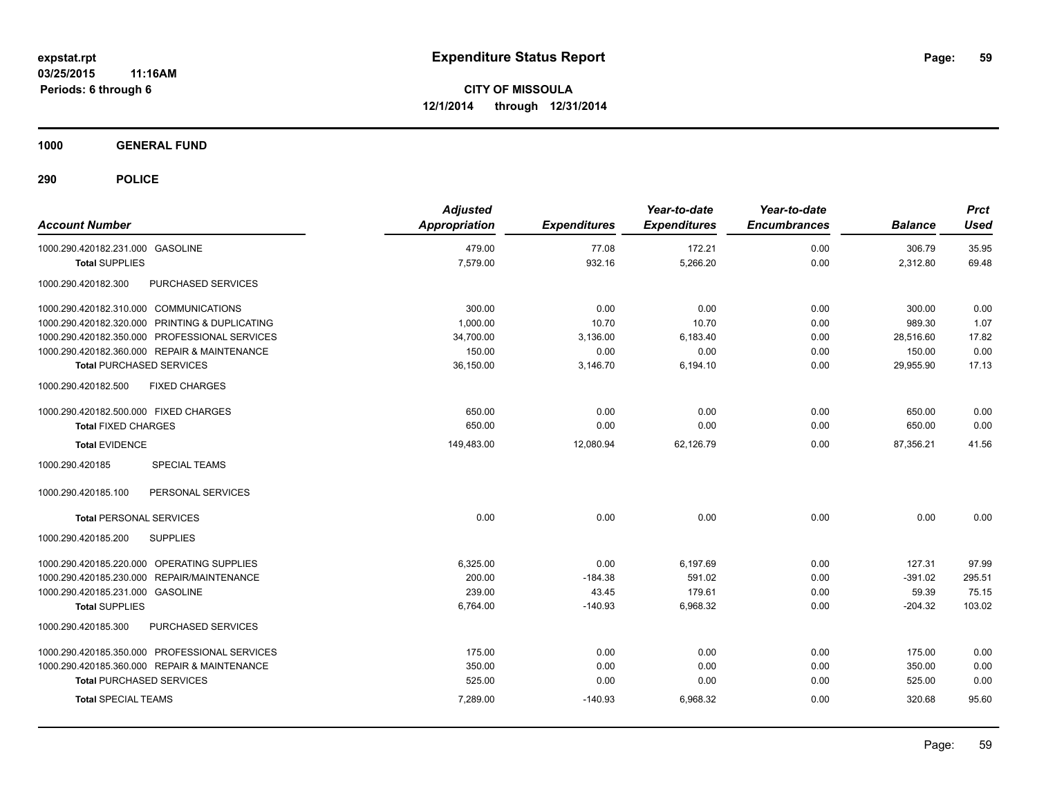**1000 GENERAL FUND**

| <b>Account Number</b>                          | <b>Adjusted</b><br><b>Appropriation</b> | <b>Expenditures</b> | Year-to-date<br><b>Expenditures</b> | Year-to-date<br><b>Encumbrances</b> | <b>Balance</b> | <b>Prct</b><br><b>Used</b> |
|------------------------------------------------|-----------------------------------------|---------------------|-------------------------------------|-------------------------------------|----------------|----------------------------|
| 1000.290.420182.231.000 GASOLINE               | 479.00                                  | 77.08               | 172.21                              | 0.00                                | 306.79         | 35.95                      |
| <b>Total SUPPLIES</b>                          | 7,579.00                                | 932.16              | 5,266.20                            | 0.00                                | 2,312.80       | 69.48                      |
| 1000.290.420182.300<br>PURCHASED SERVICES      |                                         |                     |                                     |                                     |                |                            |
| 1000.290.420182.310.000 COMMUNICATIONS         | 300.00                                  | 0.00                | 0.00                                | 0.00                                | 300.00         | 0.00                       |
| 1000.290.420182.320.000 PRINTING & DUPLICATING | 1,000.00                                | 10.70               | 10.70                               | 0.00                                | 989.30         | 1.07                       |
| 1000.290.420182.350.000 PROFESSIONAL SERVICES  | 34,700.00                               | 3,136.00            | 6,183.40                            | 0.00                                | 28,516.60      | 17.82                      |
| 1000.290.420182.360.000 REPAIR & MAINTENANCE   | 150.00                                  | 0.00                | 0.00                                | 0.00                                | 150.00         | 0.00                       |
| <b>Total PURCHASED SERVICES</b>                | 36,150.00                               | 3,146.70            | 6,194.10                            | 0.00                                | 29,955.90      | 17.13                      |
| 1000.290.420182.500<br><b>FIXED CHARGES</b>    |                                         |                     |                                     |                                     |                |                            |
| 1000.290.420182.500.000 FIXED CHARGES          | 650.00                                  | 0.00                | 0.00                                | 0.00                                | 650.00         | 0.00                       |
| <b>Total FIXED CHARGES</b>                     | 650.00                                  | 0.00                | 0.00                                | 0.00                                | 650.00         | 0.00                       |
| <b>Total EVIDENCE</b>                          | 149,483.00                              | 12,080.94           | 62.126.79                           | 0.00                                | 87.356.21      | 41.56                      |
| 1000.290.420185<br><b>SPECIAL TEAMS</b>        |                                         |                     |                                     |                                     |                |                            |
| 1000.290.420185.100<br>PERSONAL SERVICES       |                                         |                     |                                     |                                     |                |                            |
| <b>Total PERSONAL SERVICES</b>                 | 0.00                                    | 0.00                | 0.00                                | 0.00                                | 0.00           | 0.00                       |
| 1000.290.420185.200<br><b>SUPPLIES</b>         |                                         |                     |                                     |                                     |                |                            |
| 1000.290.420185.220.000 OPERATING SUPPLIES     | 6,325.00                                | 0.00                | 6,197.69                            | 0.00                                | 127.31         | 97.99                      |
| 1000.290.420185.230.000 REPAIR/MAINTENANCE     | 200.00                                  | $-184.38$           | 591.02                              | 0.00                                | $-391.02$      | 295.51                     |
| 1000.290.420185.231.000 GASOLINE               | 239.00                                  | 43.45               | 179.61                              | 0.00                                | 59.39          | 75.15                      |
| <b>Total SUPPLIES</b>                          | 6,764.00                                | $-140.93$           | 6,968.32                            | 0.00                                | $-204.32$      | 103.02                     |
| 1000.290.420185.300<br>PURCHASED SERVICES      |                                         |                     |                                     |                                     |                |                            |
| 1000.290.420185.350.000 PROFESSIONAL SERVICES  | 175.00                                  | 0.00                | 0.00                                | 0.00                                | 175.00         | 0.00                       |
| 1000.290.420185.360.000 REPAIR & MAINTENANCE   | 350.00                                  | 0.00                | 0.00                                | 0.00                                | 350.00         | 0.00                       |
| <b>Total PURCHASED SERVICES</b>                | 525.00                                  | 0.00                | 0.00                                | 0.00                                | 525.00         | 0.00                       |
| <b>Total SPECIAL TEAMS</b>                     | 7,289.00                                | $-140.93$           | 6,968.32                            | 0.00                                | 320.68         | 95.60                      |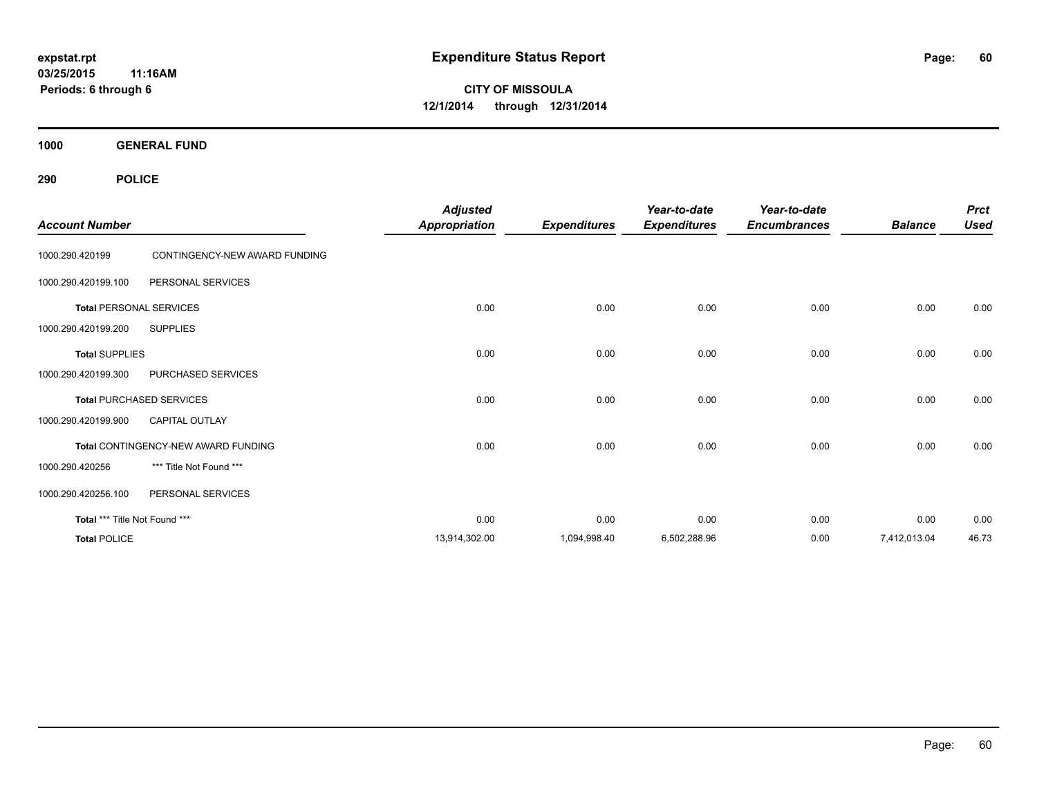**03/25/2015 11:16AM Periods: 6 through 6**

**CITY OF MISSOULA 12/1/2014 through 12/31/2014**

**1000 GENERAL FUND**

| <b>Account Number</b>         |                                     | <b>Adjusted</b><br><b>Appropriation</b> | <b>Expenditures</b> | Year-to-date<br><b>Expenditures</b> | Year-to-date<br><b>Encumbrances</b> | <b>Balance</b> | <b>Prct</b><br><b>Used</b> |
|-------------------------------|-------------------------------------|-----------------------------------------|---------------------|-------------------------------------|-------------------------------------|----------------|----------------------------|
| 1000.290.420199               | CONTINGENCY-NEW AWARD FUNDING       |                                         |                     |                                     |                                     |                |                            |
| 1000.290.420199.100           | PERSONAL SERVICES                   |                                         |                     |                                     |                                     |                |                            |
|                               | <b>Total PERSONAL SERVICES</b>      | 0.00                                    | 0.00                | 0.00                                | 0.00                                | 0.00           | 0.00                       |
| 1000.290.420199.200           | <b>SUPPLIES</b>                     |                                         |                     |                                     |                                     |                |                            |
| <b>Total SUPPLIES</b>         |                                     | 0.00                                    | 0.00                | 0.00                                | 0.00                                | 0.00           | 0.00                       |
| 1000.290.420199.300           | PURCHASED SERVICES                  |                                         |                     |                                     |                                     |                |                            |
|                               | <b>Total PURCHASED SERVICES</b>     | 0.00                                    | 0.00                | 0.00                                | 0.00                                | 0.00           | 0.00                       |
| 1000.290.420199.900           | CAPITAL OUTLAY                      |                                         |                     |                                     |                                     |                |                            |
|                               | Total CONTINGENCY-NEW AWARD FUNDING | 0.00                                    | 0.00                | 0.00                                | 0.00                                | 0.00           | 0.00                       |
| 1000.290.420256               | *** Title Not Found ***             |                                         |                     |                                     |                                     |                |                            |
| 1000.290.420256.100           | PERSONAL SERVICES                   |                                         |                     |                                     |                                     |                |                            |
| Total *** Title Not Found *** |                                     | 0.00                                    | 0.00                | 0.00                                | 0.00                                | 0.00           | 0.00                       |
| <b>Total POLICE</b>           |                                     | 13,914,302.00                           | 1,094,998.40        | 6,502,288.96                        | 0.00                                | 7,412,013.04   | 46.73                      |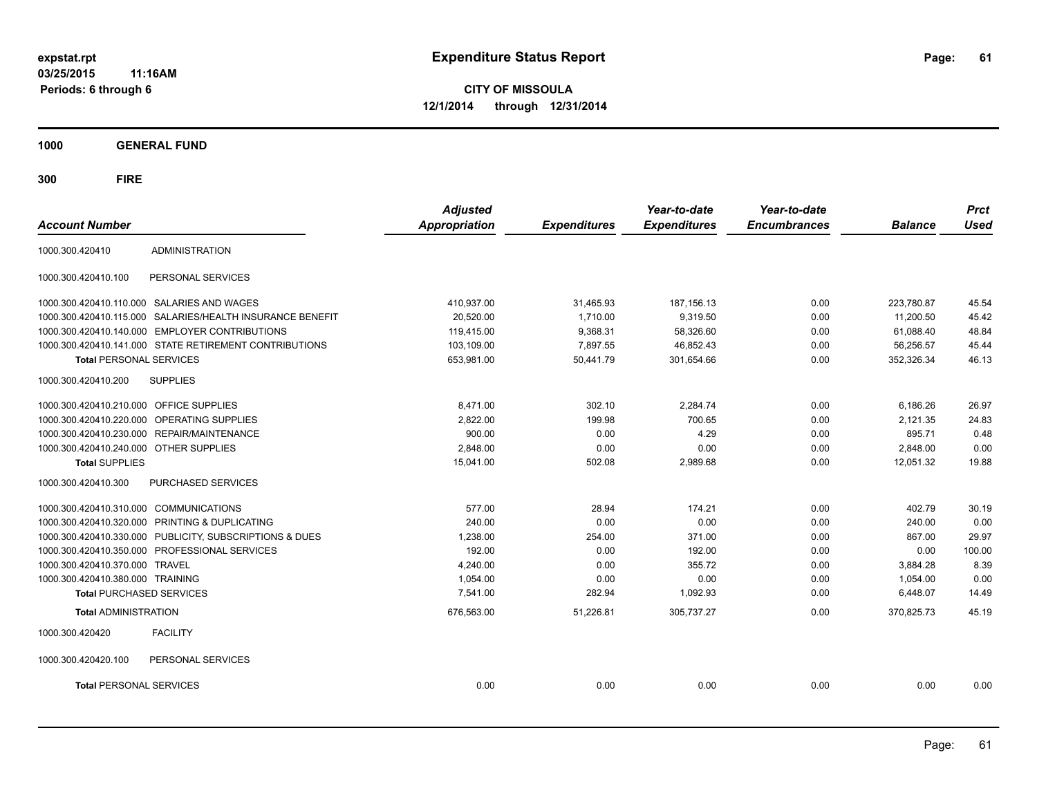**03/25/2015 11:16AM Periods: 6 through 6**

**CITY OF MISSOULA 12/1/2014 through 12/31/2014**

**1000 GENERAL FUND**

| <b>Account Number</b>                  |                                                         | <b>Adjusted</b><br><b>Appropriation</b> | <b>Expenditures</b> | Year-to-date<br><b>Expenditures</b> | Year-to-date<br><b>Encumbrances</b> | <b>Balance</b> | <b>Prct</b><br><b>Used</b> |
|----------------------------------------|---------------------------------------------------------|-----------------------------------------|---------------------|-------------------------------------|-------------------------------------|----------------|----------------------------|
| 1000.300.420410                        | <b>ADMINISTRATION</b>                                   |                                         |                     |                                     |                                     |                |                            |
| 1000.300.420410.100                    | PERSONAL SERVICES                                       |                                         |                     |                                     |                                     |                |                            |
|                                        | 1000.300.420410.110.000 SALARIES AND WAGES              | 410,937.00                              | 31,465.93           | 187, 156. 13                        | 0.00                                | 223,780.87     | 45.54                      |
| 1000.300.420410.115.000                | SALARIES/HEALTH INSURANCE BENEFIT                       | 20,520.00                               | 1,710.00            | 9,319.50                            | 0.00                                | 11,200.50      | 45.42                      |
| 1000.300.420410.140.000                | <b>EMPLOYER CONTRIBUTIONS</b>                           | 119,415.00                              | 9,368.31            | 58,326.60                           | 0.00                                | 61.088.40      | 48.84                      |
|                                        | 1000.300.420410.141.000 STATE RETIREMENT CONTRIBUTIONS  | 103,109.00                              | 7.897.55            | 46.852.43                           | 0.00                                | 56.256.57      | 45.44                      |
| <b>Total PERSONAL SERVICES</b>         |                                                         | 653,981.00                              | 50,441.79           | 301,654.66                          | 0.00                                | 352,326.34     | 46.13                      |
| 1000.300.420410.200                    | <b>SUPPLIES</b>                                         |                                         |                     |                                     |                                     |                |                            |
| 1000.300.420410.210.000                | <b>OFFICE SUPPLIES</b>                                  | 8,471.00                                | 302.10              | 2,284.74                            | 0.00                                | 6,186.26       | 26.97                      |
| 1000.300.420410.220.000                | OPERATING SUPPLIES                                      | 2,822.00                                | 199.98              | 700.65                              | 0.00                                | 2,121.35       | 24.83                      |
| 1000.300.420410.230.000                | REPAIR/MAINTENANCE                                      | 900.00                                  | 0.00                | 4.29                                | 0.00                                | 895.71         | 0.48                       |
| 1000.300.420410.240.000 OTHER SUPPLIES |                                                         | 2,848.00                                | 0.00                | 0.00                                | 0.00                                | 2,848.00       | 0.00                       |
| <b>Total SUPPLIES</b>                  |                                                         | 15,041.00                               | 502.08              | 2,989.68                            | 0.00                                | 12,051.32      | 19.88                      |
| 1000.300.420410.300                    | PURCHASED SERVICES                                      |                                         |                     |                                     |                                     |                |                            |
| 1000.300.420410.310.000                | <b>COMMUNICATIONS</b>                                   | 577.00                                  | 28.94               | 174.21                              | 0.00                                | 402.79         | 30.19                      |
| 1000.300.420410.320.000                | PRINTING & DUPLICATING                                  | 240.00                                  | 0.00                | 0.00                                | 0.00                                | 240.00         | 0.00                       |
|                                        | 1000.300.420410.330.000 PUBLICITY, SUBSCRIPTIONS & DUES | 1,238.00                                | 254.00              | 371.00                              | 0.00                                | 867.00         | 29.97                      |
|                                        | 1000.300.420410.350.000 PROFESSIONAL SERVICES           | 192.00                                  | 0.00                | 192.00                              | 0.00                                | 0.00           | 100.00                     |
| 1000.300.420410.370.000                | <b>TRAVEL</b>                                           | 4,240.00                                | 0.00                | 355.72                              | 0.00                                | 3,884.28       | 8.39                       |
| 1000.300.420410.380.000 TRAINING       |                                                         | 1,054.00                                | 0.00                | 0.00                                | 0.00                                | 1,054.00       | 0.00                       |
| <b>Total PURCHASED SERVICES</b>        |                                                         | 7,541.00                                | 282.94              | 1,092.93                            | 0.00                                | 6,448.07       | 14.49                      |
| <b>Total ADMINISTRATION</b>            |                                                         | 676,563.00                              | 51,226.81           | 305,737.27                          | 0.00                                | 370,825.73     | 45.19                      |
| 1000.300.420420                        | <b>FACILITY</b>                                         |                                         |                     |                                     |                                     |                |                            |
| 1000.300.420420.100                    | PERSONAL SERVICES                                       |                                         |                     |                                     |                                     |                |                            |
| <b>Total PERSONAL SERVICES</b>         |                                                         | 0.00                                    | 0.00                | 0.00                                | 0.00                                | 0.00           | 0.00                       |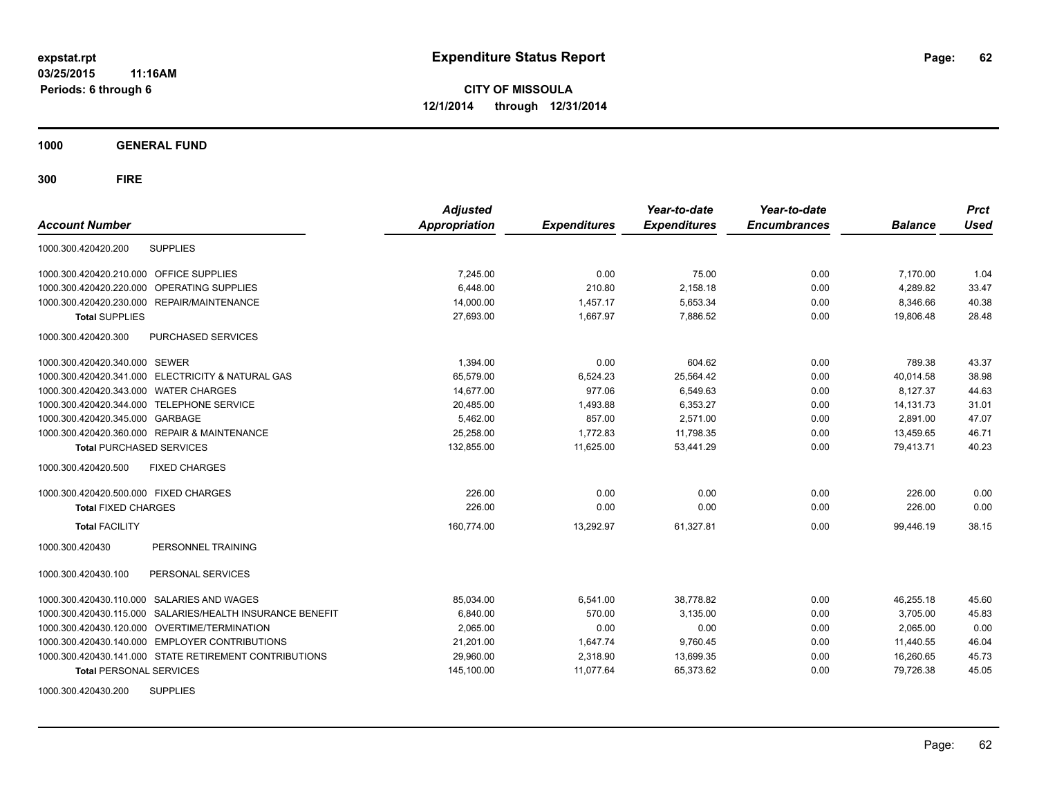**1000 GENERAL FUND**

| <b>Account Number</b>                     |                                                        | <b>Adjusted</b><br>Appropriation | <b>Expenditures</b> | Year-to-date<br><b>Expenditures</b> | Year-to-date<br><b>Encumbrances</b> | <b>Balance</b> | <b>Prct</b><br><b>Used</b> |
|-------------------------------------------|--------------------------------------------------------|----------------------------------|---------------------|-------------------------------------|-------------------------------------|----------------|----------------------------|
| 1000.300.420420.200                       | <b>SUPPLIES</b>                                        |                                  |                     |                                     |                                     |                |                            |
| 1000.300.420420.210.000                   | <b>OFFICE SUPPLIES</b>                                 | 7,245.00                         | 0.00                | 75.00                               | 0.00                                | 7,170.00       | 1.04                       |
| 1000.300.420420.220.000                   | <b>OPERATING SUPPLIES</b>                              | 6.448.00                         | 210.80              | 2.158.18                            | 0.00                                | 4,289.82       | 33.47                      |
| 1000.300.420420.230.000                   | REPAIR/MAINTENANCE                                     | 14,000.00                        | 1.457.17            | 5,653.34                            | 0.00                                | 8,346.66       | 40.38                      |
| <b>Total SUPPLIES</b>                     |                                                        | 27,693.00                        | 1.667.97            | 7.886.52                            | 0.00                                | 19,806.48      | 28.48                      |
| 1000.300.420420.300                       | PURCHASED SERVICES                                     |                                  |                     |                                     |                                     |                |                            |
| 1000.300.420420.340.000 SEWER             |                                                        | 1,394.00                         | 0.00                | 604.62                              | 0.00                                | 789.38         | 43.37                      |
|                                           | 1000.300.420420.341.000 ELECTRICITY & NATURAL GAS      | 65,579.00                        | 6,524.23            | 25,564.42                           | 0.00                                | 40,014.58      | 38.98                      |
| 1000.300.420420.343.000 WATER CHARGES     |                                                        | 14.677.00                        | 977.06              | 6.549.63                            | 0.00                                | 8.127.37       | 44.63                      |
| 1000.300.420420.344.000 TELEPHONE SERVICE |                                                        | 20,485.00                        | 1.493.88            | 6,353.27                            | 0.00                                | 14,131.73      | 31.01                      |
| 1000.300.420420.345.000 GARBAGE           |                                                        | 5,462.00                         | 857.00              | 2,571.00                            | 0.00                                | 2,891.00       | 47.07                      |
|                                           | 1000.300.420420.360.000 REPAIR & MAINTENANCE           | 25,258.00                        | 1,772.83            | 11,798.35                           | 0.00                                | 13,459.65      | 46.71                      |
| <b>Total PURCHASED SERVICES</b>           |                                                        | 132,855.00                       | 11,625.00           | 53,441.29                           | 0.00                                | 79,413.71      | 40.23                      |
| 1000.300.420420.500                       | <b>FIXED CHARGES</b>                                   |                                  |                     |                                     |                                     |                |                            |
| 1000.300.420420.500.000 FIXED CHARGES     |                                                        | 226.00                           | 0.00                | 0.00                                | 0.00                                | 226.00         | 0.00                       |
| <b>Total FIXED CHARGES</b>                |                                                        | 226.00                           | 0.00                | 0.00                                | 0.00                                | 226.00         | 0.00                       |
| <b>Total FACILITY</b>                     |                                                        | 160.774.00                       | 13.292.97           | 61.327.81                           | 0.00                                | 99.446.19      | 38.15                      |
| 1000.300.420430                           | PERSONNEL TRAINING                                     |                                  |                     |                                     |                                     |                |                            |
| 1000.300.420430.100                       | PERSONAL SERVICES                                      |                                  |                     |                                     |                                     |                |                            |
| 1000.300.420430.110.000                   | SALARIES AND WAGES                                     | 85,034.00                        | 6,541.00            | 38.778.82                           | 0.00                                | 46.255.18      | 45.60                      |
| 1000.300.420430.115.000                   | SALARIES/HEALTH INSURANCE BENEFIT                      | 6,840.00                         | 570.00              | 3.135.00                            | 0.00                                | 3.705.00       | 45.83                      |
| 1000.300.420430.120.000                   | <b>OVERTIME/TERMINATION</b>                            | 2,065.00                         | 0.00                | 0.00                                | 0.00                                | 2,065.00       | 0.00                       |
| 1000.300.420430.140.000                   | <b>EMPLOYER CONTRIBUTIONS</b>                          | 21,201.00                        | 1,647.74            | 9,760.45                            | 0.00                                | 11,440.55      | 46.04                      |
|                                           | 1000.300.420430.141.000 STATE RETIREMENT CONTRIBUTIONS | 29,960.00                        | 2,318.90            | 13,699.35                           | 0.00                                | 16,260.65      | 45.73                      |
| <b>Total PERSONAL SERVICES</b>            |                                                        | 145,100.00                       | 11,077.64           | 65.373.62                           | 0.00                                | 79.726.38      | 45.05                      |
| 1000.300.420430.200                       | <b>SUPPLIES</b>                                        |                                  |                     |                                     |                                     |                |                            |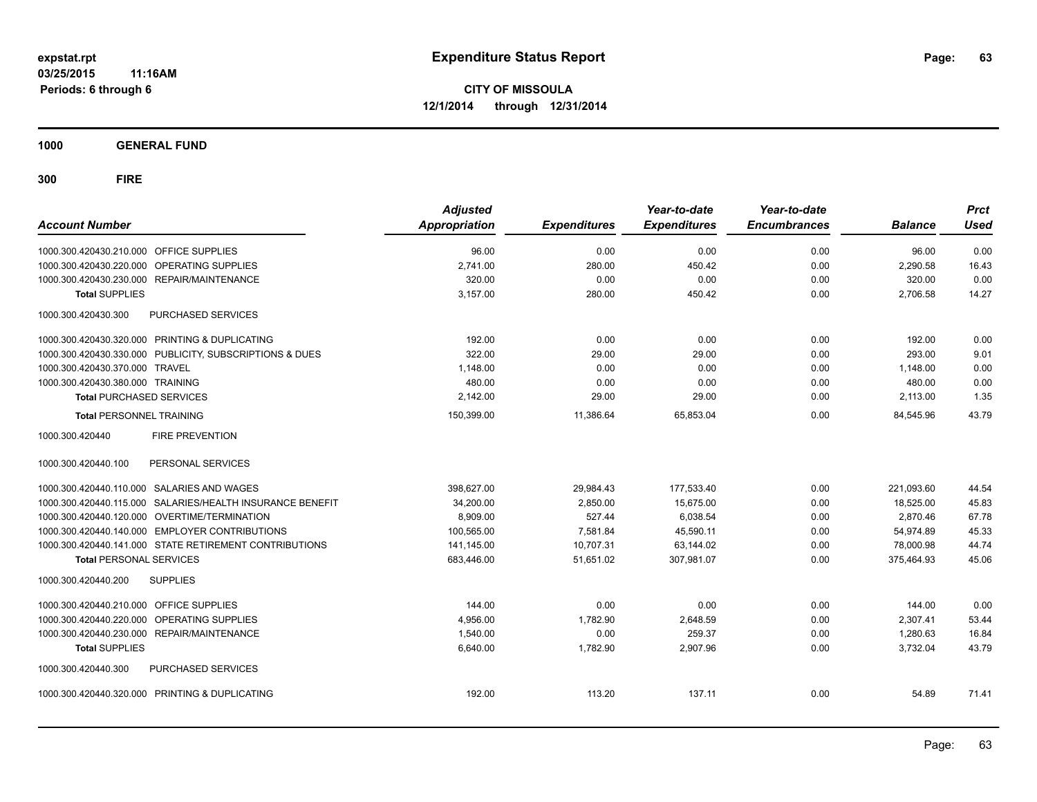**1000 GENERAL FUND**

| <b>Account Number</b>                                     | <b>Adjusted</b><br><b>Appropriation</b> | <b>Expenditures</b> | Year-to-date<br><b>Expenditures</b> | Year-to-date<br><b>Encumbrances</b> | <b>Balance</b> | <b>Prct</b><br><b>Used</b> |
|-----------------------------------------------------------|-----------------------------------------|---------------------|-------------------------------------|-------------------------------------|----------------|----------------------------|
| 1000.300.420430.210.000 OFFICE SUPPLIES                   | 96.00                                   | 0.00                | 0.00                                | 0.00                                | 96.00          | 0.00                       |
| 1000.300.420430.220.000 OPERATING SUPPLIES                | 2.741.00                                | 280.00              | 450.42                              | 0.00                                | 2.290.58       | 16.43                      |
| 1000.300.420430.230.000 REPAIR/MAINTENANCE                | 320.00                                  | 0.00                | 0.00                                | 0.00                                | 320.00         | 0.00                       |
| <b>Total SUPPLIES</b>                                     | 3.157.00                                | 280.00              | 450.42                              | 0.00                                | 2,706.58       | 14.27                      |
| 1000.300.420430.300<br><b>PURCHASED SERVICES</b>          |                                         |                     |                                     |                                     |                |                            |
| 1000.300.420430.320.000 PRINTING & DUPLICATING            | 192.00                                  | 0.00                | 0.00                                | 0.00                                | 192.00         | 0.00                       |
| 1000.300.420430.330.000 PUBLICITY, SUBSCRIPTIONS & DUES   | 322.00                                  | 29.00               | 29.00                               | 0.00                                | 293.00         | 9.01                       |
| 1000.300.420430.370.000 TRAVEL                            | 1,148.00                                | 0.00                | 0.00                                | 0.00                                | 1,148.00       | 0.00                       |
| 1000.300.420430.380.000 TRAINING                          | 480.00                                  | 0.00                | 0.00                                | 0.00                                | 480.00         | 0.00                       |
| <b>Total PURCHASED SERVICES</b>                           | 2,142.00                                | 29.00               | 29.00                               | 0.00                                | 2,113.00       | 1.35                       |
| <b>Total PERSONNEL TRAINING</b>                           | 150,399.00                              | 11,386.64           | 65,853.04                           | 0.00                                | 84,545.96      | 43.79                      |
| 1000.300.420440<br><b>FIRE PREVENTION</b>                 |                                         |                     |                                     |                                     |                |                            |
| PERSONAL SERVICES<br>1000.300.420440.100                  |                                         |                     |                                     |                                     |                |                            |
| 1000.300.420440.110.000 SALARIES AND WAGES                | 398,627.00                              | 29,984.43           | 177,533.40                          | 0.00                                | 221,093.60     | 44.54                      |
| 1000.300.420440.115.000 SALARIES/HEALTH INSURANCE BENEFIT | 34,200.00                               | 2,850.00            | 15,675.00                           | 0.00                                | 18,525.00      | 45.83                      |
| 1000.300.420440.120.000 OVERTIME/TERMINATION              | 8,909.00                                | 527.44              | 6,038.54                            | 0.00                                | 2,870.46       | 67.78                      |
| 1000.300.420440.140.000 EMPLOYER CONTRIBUTIONS            | 100,565.00                              | 7,581.84            | 45,590.11                           | 0.00                                | 54,974.89      | 45.33                      |
| 1000.300.420440.141.000 STATE RETIREMENT CONTRIBUTIONS    | 141,145.00                              | 10,707.31           | 63,144.02                           | 0.00                                | 78,000.98      | 44.74                      |
| <b>Total PERSONAL SERVICES</b>                            | 683,446.00                              | 51,651.02           | 307,981.07                          | 0.00                                | 375,464.93     | 45.06                      |
| 1000.300.420440.200<br><b>SUPPLIES</b>                    |                                         |                     |                                     |                                     |                |                            |
| 1000.300.420440.210.000 OFFICE SUPPLIES                   | 144.00                                  | 0.00                | 0.00                                | 0.00                                | 144.00         | 0.00                       |
| <b>OPERATING SUPPLIES</b><br>1000.300.420440.220.000      | 4,956.00                                | 1,782.90            | 2,648.59                            | 0.00                                | 2,307.41       | 53.44                      |
| <b>REPAIR/MAINTENANCE</b><br>1000.300.420440.230.000      | 1.540.00                                | 0.00                | 259.37                              | 0.00                                | 1,280.63       | 16.84                      |
| <b>Total SUPPLIES</b>                                     | 6,640.00                                | 1,782.90            | 2,907.96                            | 0.00                                | 3,732.04       | 43.79                      |
| 1000.300.420440.300<br><b>PURCHASED SERVICES</b>          |                                         |                     |                                     |                                     |                |                            |
| 1000.300.420440.320.000 PRINTING & DUPLICATING            | 192.00                                  | 113.20              | 137.11                              | 0.00                                | 54.89          | 71.41                      |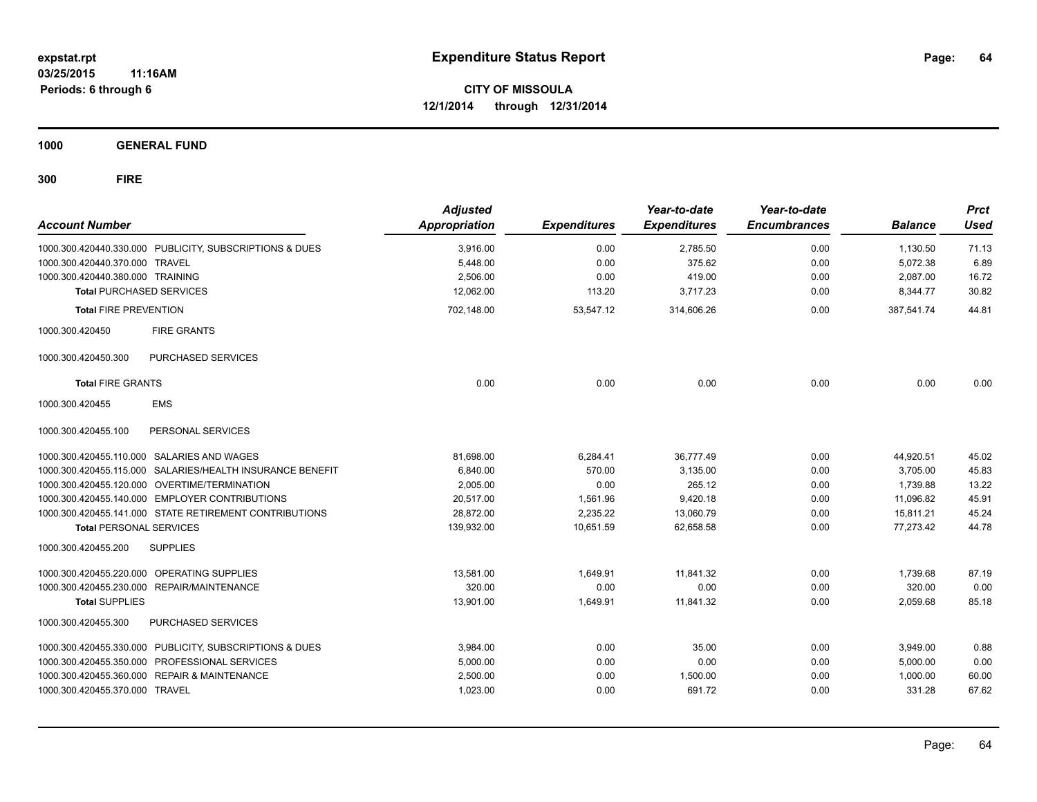**1000 GENERAL FUND**

| <b>Account Number</b>            |                                                           | <b>Adjusted</b><br>Appropriation | <b>Expenditures</b> | Year-to-date<br><b>Expenditures</b> | Year-to-date<br><b>Encumbrances</b> | <b>Balance</b> | <b>Prct</b><br><b>Used</b> |
|----------------------------------|-----------------------------------------------------------|----------------------------------|---------------------|-------------------------------------|-------------------------------------|----------------|----------------------------|
|                                  | 1000.300.420440.330.000 PUBLICITY, SUBSCRIPTIONS & DUES   | 3,916.00                         | 0.00                | 2,785.50                            | 0.00                                | 1,130.50       | 71.13                      |
| 1000.300.420440.370.000 TRAVEL   |                                                           | 5,448.00                         | 0.00                | 375.62                              | 0.00                                | 5,072.38       | 6.89                       |
| 1000.300.420440.380.000 TRAINING |                                                           | 2,506.00                         | 0.00                | 419.00                              | 0.00                                | 2,087.00       | 16.72                      |
| <b>Total PURCHASED SERVICES</b>  |                                                           | 12.062.00                        | 113.20              | 3,717.23                            | 0.00                                | 8,344.77       | 30.82                      |
| <b>Total FIRE PREVENTION</b>     |                                                           | 702,148.00                       | 53,547.12           | 314,606.26                          | 0.00                                | 387,541.74     | 44.81                      |
| 1000.300.420450                  | <b>FIRE GRANTS</b>                                        |                                  |                     |                                     |                                     |                |                            |
| 1000.300.420450.300              | PURCHASED SERVICES                                        |                                  |                     |                                     |                                     |                |                            |
| <b>Total FIRE GRANTS</b>         |                                                           | 0.00                             | 0.00                | 0.00                                | 0.00                                | 0.00           | 0.00                       |
| 1000.300.420455                  | <b>EMS</b>                                                |                                  |                     |                                     |                                     |                |                            |
| 1000.300.420455.100              | PERSONAL SERVICES                                         |                                  |                     |                                     |                                     |                |                            |
|                                  | 1000.300.420455.110.000 SALARIES AND WAGES                | 81,698.00                        | 6,284.41            | 36.777.49                           | 0.00                                | 44,920.51      | 45.02                      |
|                                  | 1000.300.420455.115.000 SALARIES/HEALTH INSURANCE BENEFIT | 6,840.00                         | 570.00              | 3,135.00                            | 0.00                                | 3,705.00       | 45.83                      |
|                                  | 1000.300.420455.120.000 OVERTIME/TERMINATION              | 2,005.00                         | 0.00                | 265.12                              | 0.00                                | 1,739.88       | 13.22                      |
|                                  | 1000.300.420455.140.000 EMPLOYER CONTRIBUTIONS            | 20,517.00                        | 1,561.96            | 9,420.18                            | 0.00                                | 11,096.82      | 45.91                      |
|                                  | 1000.300.420455.141.000 STATE RETIREMENT CONTRIBUTIONS    | 28.872.00                        | 2.235.22            | 13,060.79                           | 0.00                                | 15,811.21      | 45.24                      |
| <b>Total PERSONAL SERVICES</b>   |                                                           | 139,932.00                       | 10,651.59           | 62.658.58                           | 0.00                                | 77,273.42      | 44.78                      |
| 1000.300.420455.200              | <b>SUPPLIES</b>                                           |                                  |                     |                                     |                                     |                |                            |
|                                  | 1000.300.420455.220.000 OPERATING SUPPLIES                | 13,581.00                        | 1,649.91            | 11,841.32                           | 0.00                                | 1,739.68       | 87.19                      |
| 1000.300.420455.230.000          | REPAIR/MAINTENANCE                                        | 320.00                           | 0.00                | 0.00                                | 0.00                                | 320.00         | 0.00                       |
| <b>Total SUPPLIES</b>            |                                                           | 13,901.00                        | 1,649.91            | 11,841.32                           | 0.00                                | 2,059.68       | 85.18                      |
| 1000.300.420455.300              | PURCHASED SERVICES                                        |                                  |                     |                                     |                                     |                |                            |
|                                  | 1000.300.420455.330.000 PUBLICITY, SUBSCRIPTIONS & DUES   | 3.984.00                         | 0.00                | 35.00                               | 0.00                                | 3,949.00       | 0.88                       |
| 1000.300.420455.350.000          | PROFESSIONAL SERVICES                                     | 5,000.00                         | 0.00                | 0.00                                | 0.00                                | 5,000.00       | 0.00                       |
| 1000.300.420455.360.000          | <b>REPAIR &amp; MAINTENANCE</b>                           | 2,500.00                         | 0.00                | 1,500.00                            | 0.00                                | 1,000.00       | 60.00                      |
| 1000.300.420455.370.000 TRAVEL   |                                                           | 1,023.00                         | 0.00                | 691.72                              | 0.00                                | 331.28         | 67.62                      |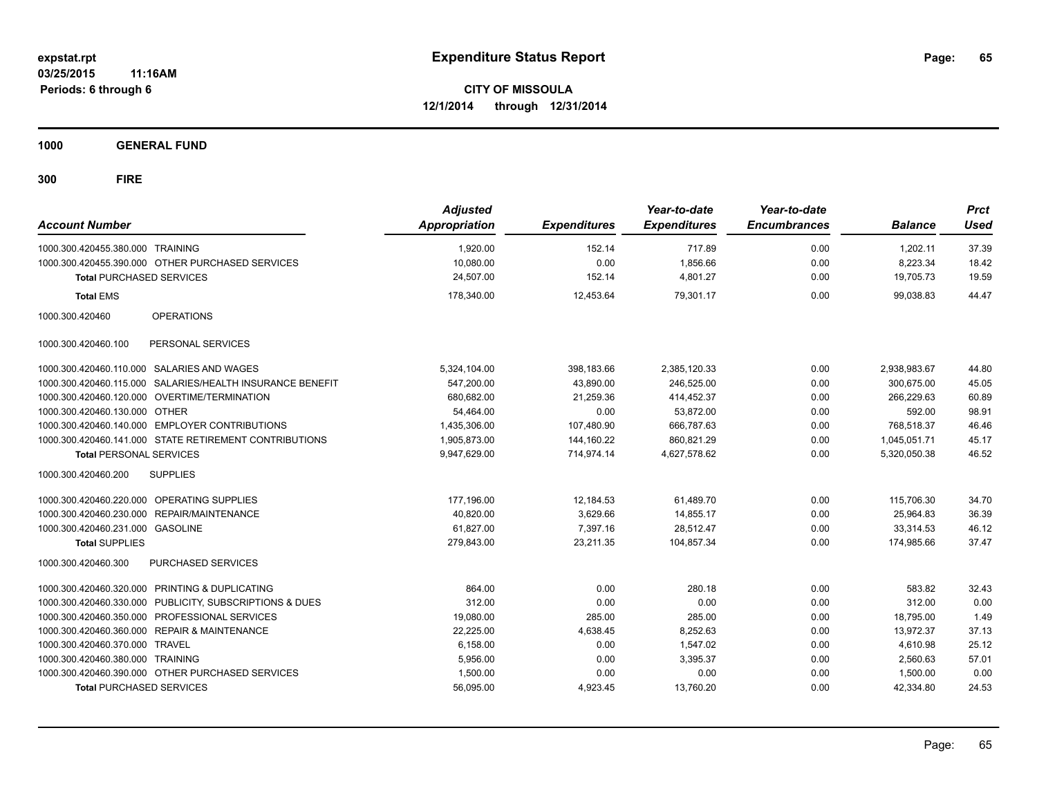**1000 GENERAL FUND**

| <b>Account Number</b>            |                                                           | <b>Adjusted</b><br><b>Appropriation</b> | <b>Expenditures</b> | Year-to-date<br><b>Expenditures</b> | Year-to-date<br><b>Encumbrances</b> | <b>Balance</b> | <b>Prct</b><br><b>Used</b> |
|----------------------------------|-----------------------------------------------------------|-----------------------------------------|---------------------|-------------------------------------|-------------------------------------|----------------|----------------------------|
| 1000.300.420455.380.000 TRAINING |                                                           | 1,920.00                                | 152.14              | 717.89                              | 0.00                                | 1.202.11       | 37.39                      |
|                                  | 1000.300.420455.390.000 OTHER PURCHASED SERVICES          | 10,080.00                               | 0.00                | 1.856.66                            | 0.00                                | 8,223.34       | 18.42                      |
| <b>Total PURCHASED SERVICES</b>  |                                                           | 24.507.00                               | 152.14              | 4.801.27                            | 0.00                                | 19,705.73      | 19.59                      |
| <b>Total EMS</b>                 |                                                           | 178,340.00                              | 12,453.64           | 79,301.17                           | 0.00                                | 99,038.83      | 44.47                      |
| 1000.300.420460                  | <b>OPERATIONS</b>                                         |                                         |                     |                                     |                                     |                |                            |
| 1000.300.420460.100              | PERSONAL SERVICES                                         |                                         |                     |                                     |                                     |                |                            |
|                                  | 1000.300.420460.110.000 SALARIES AND WAGES                | 5,324,104.00                            | 398,183.66          | 2,385,120.33                        | 0.00                                | 2,938,983.67   | 44.80                      |
|                                  | 1000.300.420460.115.000 SALARIES/HEALTH INSURANCE BENEFIT | 547.200.00                              | 43.890.00           | 246.525.00                          | 0.00                                | 300.675.00     | 45.05                      |
|                                  | 1000.300.420460.120.000 OVERTIME/TERMINATION              | 680.682.00                              | 21.259.36           | 414.452.37                          | 0.00                                | 266.229.63     | 60.89                      |
| 1000.300.420460.130.000 OTHER    |                                                           | 54.464.00                               | 0.00                | 53.872.00                           | 0.00                                | 592.00         | 98.91                      |
|                                  | 1000.300.420460.140.000 EMPLOYER CONTRIBUTIONS            | 1,435,306.00                            | 107,480.90          | 666,787.63                          | 0.00                                | 768,518.37     | 46.46                      |
|                                  | 1000.300.420460.141.000 STATE RETIREMENT CONTRIBUTIONS    | 1,905,873.00                            | 144,160.22          | 860,821.29                          | 0.00                                | 1,045,051.71   | 45.17                      |
| <b>Total PERSONAL SERVICES</b>   |                                                           | 9,947,629.00                            | 714,974.14          | 4,627,578.62                        | 0.00                                | 5,320,050.38   | 46.52                      |
| 1000.300.420460.200              | <b>SUPPLIES</b>                                           |                                         |                     |                                     |                                     |                |                            |
|                                  | 1000.300.420460.220.000 OPERATING SUPPLIES                | 177,196.00                              | 12,184.53           | 61.489.70                           | 0.00                                | 115.706.30     | 34.70                      |
|                                  | 1000.300.420460.230.000 REPAIR/MAINTENANCE                | 40,820.00                               | 3,629.66            | 14,855.17                           | 0.00                                | 25,964.83      | 36.39                      |
| 1000.300.420460.231.000 GASOLINE |                                                           | 61,827.00                               | 7,397.16            | 28,512.47                           | 0.00                                | 33,314.53      | 46.12                      |
| <b>Total SUPPLIES</b>            |                                                           | 279,843.00                              | 23,211.35           | 104,857.34                          | 0.00                                | 174,985.66     | 37.47                      |
| 1000.300.420460.300              | <b>PURCHASED SERVICES</b>                                 |                                         |                     |                                     |                                     |                |                            |
|                                  | 1000.300.420460.320.000 PRINTING & DUPLICATING            | 864.00                                  | 0.00                | 280.18                              | 0.00                                | 583.82         | 32.43                      |
|                                  | 1000.300.420460.330.000 PUBLICITY, SUBSCRIPTIONS & DUES   | 312.00                                  | 0.00                | 0.00                                | 0.00                                | 312.00         | 0.00                       |
|                                  | 1000.300.420460.350.000 PROFESSIONAL SERVICES             | 19,080.00                               | 285.00              | 285.00                              | 0.00                                | 18,795.00      | 1.49                       |
|                                  | 1000.300.420460.360.000 REPAIR & MAINTENANCE              | 22,225.00                               | 4,638.45            | 8,252.63                            | 0.00                                | 13,972.37      | 37.13                      |
| 1000.300.420460.370.000 TRAVEL   |                                                           | 6,158.00                                | 0.00                | 1,547.02                            | 0.00                                | 4,610.98       | 25.12                      |
| 1000.300.420460.380.000 TRAINING |                                                           | 5,956.00                                | 0.00                | 3,395.37                            | 0.00                                | 2,560.63       | 57.01                      |
|                                  | 1000.300.420460.390.000 OTHER PURCHASED SERVICES          | 1,500.00                                | 0.00                | 0.00                                | 0.00                                | 1,500.00       | 0.00                       |
| <b>Total PURCHASED SERVICES</b>  |                                                           | 56,095.00                               | 4,923.45            | 13,760.20                           | 0.00                                | 42,334.80      | 24.53                      |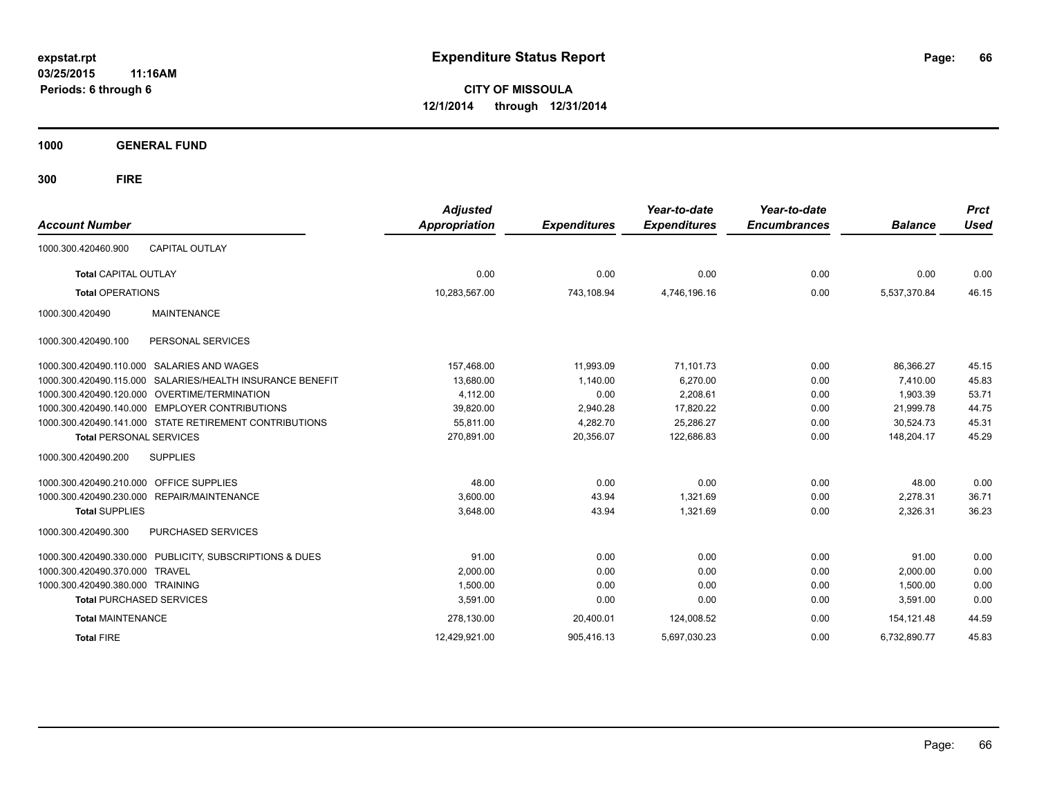**03/25/2015 11:16AM Periods: 6 through 6**

**CITY OF MISSOULA 12/1/2014 through 12/31/2014**

**1000 GENERAL FUND**

| <b>Account Number</b>            |                                                         | <b>Adjusted</b><br><b>Appropriation</b> | <b>Expenditures</b> | Year-to-date<br><b>Expenditures</b> | Year-to-date<br><b>Encumbrances</b> | <b>Balance</b> | <b>Prct</b><br><b>Used</b> |
|----------------------------------|---------------------------------------------------------|-----------------------------------------|---------------------|-------------------------------------|-------------------------------------|----------------|----------------------------|
| 1000.300.420460.900              | <b>CAPITAL OUTLAY</b>                                   |                                         |                     |                                     |                                     |                |                            |
| <b>Total CAPITAL OUTLAY</b>      |                                                         | 0.00                                    | 0.00                | 0.00                                | 0.00                                | 0.00           | 0.00                       |
| <b>Total OPERATIONS</b>          |                                                         | 10,283,567.00                           | 743,108.94          | 4,746,196.16                        | 0.00                                | 5,537,370.84   | 46.15                      |
| 1000.300.420490                  | <b>MAINTENANCE</b>                                      |                                         |                     |                                     |                                     |                |                            |
| 1000.300.420490.100              | PERSONAL SERVICES                                       |                                         |                     |                                     |                                     |                |                            |
| 1000.300.420490.110.000          | SALARIES AND WAGES                                      | 157,468.00                              | 11,993.09           | 71,101.73                           | 0.00                                | 86,366.27      | 45.15                      |
| 1000.300.420490.115.000          | SALARIES/HEALTH INSURANCE BENEFIT                       | 13,680.00                               | 1,140.00            | 6.270.00                            | 0.00                                | 7.410.00       | 45.83                      |
| 1000.300.420490.120.000          | <b>OVERTIME/TERMINATION</b>                             | 4,112.00                                | 0.00                | 2,208.61                            | 0.00                                | 1,903.39       | 53.71                      |
| 1000.300.420490.140.000          | <b>EMPLOYER CONTRIBUTIONS</b>                           | 39,820.00                               | 2,940.28            | 17,820.22                           | 0.00                                | 21,999.78      | 44.75                      |
|                                  | 1000.300.420490.141.000 STATE RETIREMENT CONTRIBUTIONS  | 55.811.00                               | 4,282.70            | 25,286.27                           | 0.00                                | 30.524.73      | 45.31                      |
| <b>Total PERSONAL SERVICES</b>   |                                                         | 270,891.00                              | 20,356.07           | 122,686.83                          | 0.00                                | 148,204.17     | 45.29                      |
| 1000.300.420490.200              | <b>SUPPLIES</b>                                         |                                         |                     |                                     |                                     |                |                            |
| 1000.300.420490.210.000          | <b>OFFICE SUPPLIES</b>                                  | 48.00                                   | 0.00                | 0.00                                | 0.00                                | 48.00          | 0.00                       |
|                                  | 1000.300.420490.230.000 REPAIR/MAINTENANCE              | 3,600.00                                | 43.94               | 1,321.69                            | 0.00                                | 2,278.31       | 36.71                      |
| <b>Total SUPPLIES</b>            |                                                         | 3,648.00                                | 43.94               | 1,321.69                            | 0.00                                | 2,326.31       | 36.23                      |
| 1000.300.420490.300              | <b>PURCHASED SERVICES</b>                               |                                         |                     |                                     |                                     |                |                            |
|                                  | 1000.300.420490.330.000 PUBLICITY, SUBSCRIPTIONS & DUES | 91.00                                   | 0.00                | 0.00                                | 0.00                                | 91.00          | 0.00                       |
| 1000.300.420490.370.000          | <b>TRAVEL</b>                                           | 2,000.00                                | 0.00                | 0.00                                | 0.00                                | 2,000.00       | 0.00                       |
| 1000.300.420490.380.000 TRAINING |                                                         | 1,500.00                                | 0.00                | 0.00                                | 0.00                                | 1,500.00       | 0.00                       |
| <b>Total PURCHASED SERVICES</b>  |                                                         | 3,591.00                                | 0.00                | 0.00                                | 0.00                                | 3,591.00       | 0.00                       |
| <b>Total MAINTENANCE</b>         |                                                         | 278,130.00                              | 20,400.01           | 124,008.52                          | 0.00                                | 154,121.48     | 44.59                      |
| <b>Total FIRE</b>                |                                                         | 12,429,921.00                           | 905,416.13          | 5,697,030.23                        | 0.00                                | 6.732.890.77   | 45.83                      |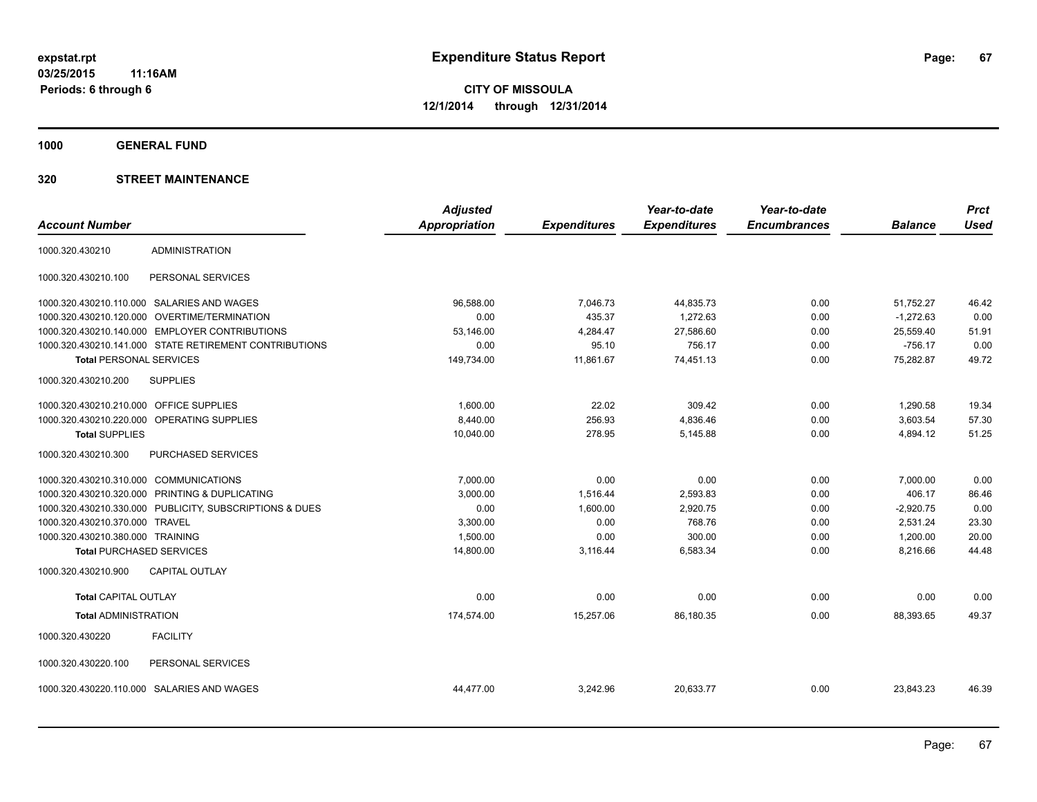**1000 GENERAL FUND**

|                                         |                                                         | <b>Adjusted</b>      |                     | Year-to-date        | Year-to-date        |                | <b>Prct</b> |
|-----------------------------------------|---------------------------------------------------------|----------------------|---------------------|---------------------|---------------------|----------------|-------------|
| <b>Account Number</b>                   |                                                         | <b>Appropriation</b> | <b>Expenditures</b> | <b>Expenditures</b> | <b>Encumbrances</b> | <b>Balance</b> | <b>Used</b> |
| 1000.320.430210                         | <b>ADMINISTRATION</b>                                   |                      |                     |                     |                     |                |             |
| 1000.320.430210.100                     | PERSONAL SERVICES                                       |                      |                     |                     |                     |                |             |
|                                         | 1000.320.430210.110.000 SALARIES AND WAGES              | 96.588.00            | 7,046.73            | 44,835.73           | 0.00                | 51,752.27      | 46.42       |
| 1000.320.430210.120.000                 | <b>OVERTIME/TERMINATION</b>                             | 0.00                 | 435.37              | 1,272.63            | 0.00                | $-1,272.63$    | 0.00        |
|                                         | 1000.320.430210.140.000 EMPLOYER CONTRIBUTIONS          | 53.146.00            | 4,284.47            | 27,586.60           | 0.00                | 25,559.40      | 51.91       |
|                                         | 1000.320.430210.141.000 STATE RETIREMENT CONTRIBUTIONS  | 0.00                 | 95.10               | 756.17              | 0.00                | $-756.17$      | 0.00        |
| <b>Total PERSONAL SERVICES</b>          |                                                         | 149,734.00           | 11,861.67           | 74,451.13           | 0.00                | 75,282.87      | 49.72       |
| 1000.320.430210.200                     | <b>SUPPLIES</b>                                         |                      |                     |                     |                     |                |             |
| 1000.320.430210.210.000 OFFICE SUPPLIES |                                                         | 1,600.00             | 22.02               | 309.42              | 0.00                | 1,290.58       | 19.34       |
|                                         | 1000.320.430210.220.000 OPERATING SUPPLIES              | 8,440.00             | 256.93              | 4,836.46            | 0.00                | 3,603.54       | 57.30       |
| <b>Total SUPPLIES</b>                   |                                                         | 10,040.00            | 278.95              | 5,145.88            | 0.00                | 4,894.12       | 51.25       |
| 1000.320.430210.300                     | PURCHASED SERVICES                                      |                      |                     |                     |                     |                |             |
| 1000.320.430210.310.000 COMMUNICATIONS  |                                                         | 7,000.00             | 0.00                | 0.00                | 0.00                | 7,000.00       | 0.00        |
| 1000.320.430210.320.000                 | PRINTING & DUPLICATING                                  | 3,000.00             | 1,516.44            | 2,593.83            | 0.00                | 406.17         | 86.46       |
|                                         | 1000.320.430210.330.000 PUBLICITY, SUBSCRIPTIONS & DUES | 0.00                 | 1,600.00            | 2,920.75            | 0.00                | $-2,920.75$    | 0.00        |
| 1000.320.430210.370.000                 | <b>TRAVEL</b>                                           | 3,300.00             | 0.00                | 768.76              | 0.00                | 2,531.24       | 23.30       |
| 1000.320.430210.380.000 TRAINING        |                                                         | 1,500.00             | 0.00                | 300.00              | 0.00                | 1,200.00       | 20.00       |
| <b>Total PURCHASED SERVICES</b>         |                                                         | 14,800.00            | 3,116.44            | 6,583.34            | 0.00                | 8,216.66       | 44.48       |
| 1000.320.430210.900                     | <b>CAPITAL OUTLAY</b>                                   |                      |                     |                     |                     |                |             |
| <b>Total CAPITAL OUTLAY</b>             |                                                         | 0.00                 | 0.00                | 0.00                | 0.00                | 0.00           | 0.00        |
| <b>Total ADMINISTRATION</b>             |                                                         | 174,574.00           | 15,257.06           | 86,180.35           | 0.00                | 88.393.65      | 49.37       |
| 1000.320.430220                         | <b>FACILITY</b>                                         |                      |                     |                     |                     |                |             |
| 1000.320.430220.100                     | PERSONAL SERVICES                                       |                      |                     |                     |                     |                |             |
|                                         | 1000.320.430220.110.000 SALARIES AND WAGES              | 44,477.00            | 3,242.96            | 20,633.77           | 0.00                | 23,843.23      | 46.39       |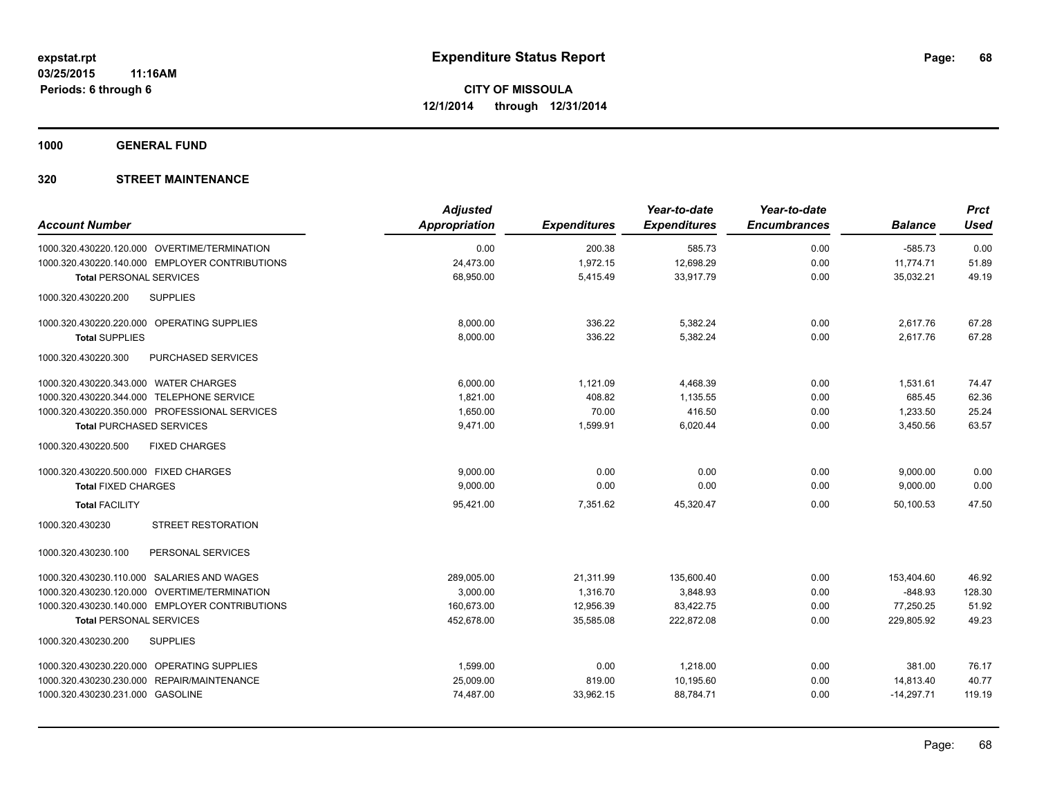**1000 GENERAL FUND**

| <b>Adjusted</b><br><b>Appropriation</b> | <b>Expenditures</b> | Year-to-date<br><b>Expenditures</b> | Year-to-date<br><b>Encumbrances</b> | <b>Balance</b> | <b>Prct</b><br><b>Used</b> |
|-----------------------------------------|---------------------|-------------------------------------|-------------------------------------|----------------|----------------------------|
| 0.00                                    | 200.38              | 585.73                              | 0.00                                | $-585.73$      | 0.00                       |
| 24,473.00                               | 1,972.15            | 12,698.29                           |                                     | 11,774.71      | 51.89                      |
| 68,950.00                               | 5,415.49            | 33,917.79                           | 0.00                                | 35,032.21      | 49.19                      |
|                                         |                     |                                     |                                     |                |                            |
| 8,000.00                                | 336.22              | 5,382.24                            | 0.00                                | 2,617.76       | 67.28                      |
| 8,000.00                                | 336.22              | 5,382.24                            | 0.00                                | 2,617.76       | 67.28                      |
|                                         |                     |                                     |                                     |                |                            |
| 6,000.00                                | 1,121.09            | 4,468.39                            | 0.00                                | 1,531.61       | 74.47                      |
| 1,821.00                                | 408.82              | 1,135.55                            | 0.00                                | 685.45         | 62.36                      |
| 1,650.00                                | 70.00               | 416.50                              | 0.00                                | 1,233.50       | 25.24                      |
| 9,471.00                                | 1,599.91            | 6,020.44                            | 0.00                                | 3,450.56       | 63.57                      |
|                                         |                     |                                     |                                     |                |                            |
| 9,000.00                                | 0.00                | 0.00                                | 0.00                                | 9,000.00       | 0.00                       |
| 9,000.00                                | 0.00                | 0.00                                | 0.00                                | 9,000.00       | 0.00                       |
| 95,421.00                               | 7.351.62            | 45,320.47                           | 0.00                                | 50.100.53      | 47.50                      |
|                                         |                     |                                     |                                     |                |                            |
|                                         |                     |                                     |                                     |                |                            |
| 289,005.00                              | 21,311.99           | 135,600.40                          | 0.00                                | 153,404.60     | 46.92                      |
| 3,000.00                                | 1,316.70            | 3,848.93                            | 0.00                                | $-848.93$      | 128.30                     |
| 160,673.00                              | 12,956.39           | 83,422.75                           | 0.00                                | 77,250.25      | 51.92                      |
| 452,678.00                              | 35,585.08           | 222,872.08                          | 0.00                                | 229,805.92     | 49.23                      |
|                                         |                     |                                     |                                     |                |                            |
| 1,599.00                                | 0.00                | 1,218.00                            | 0.00                                | 381.00         | 76.17                      |
| 25,009.00                               | 819.00              | 10,195.60                           | 0.00                                | 14,813.40      | 40.77                      |
| 74,487.00                               | 33,962.15           | 88,784.71                           | 0.00                                | $-14,297.71$   | 119.19                     |
|                                         |                     |                                     |                                     | 0.00           |                            |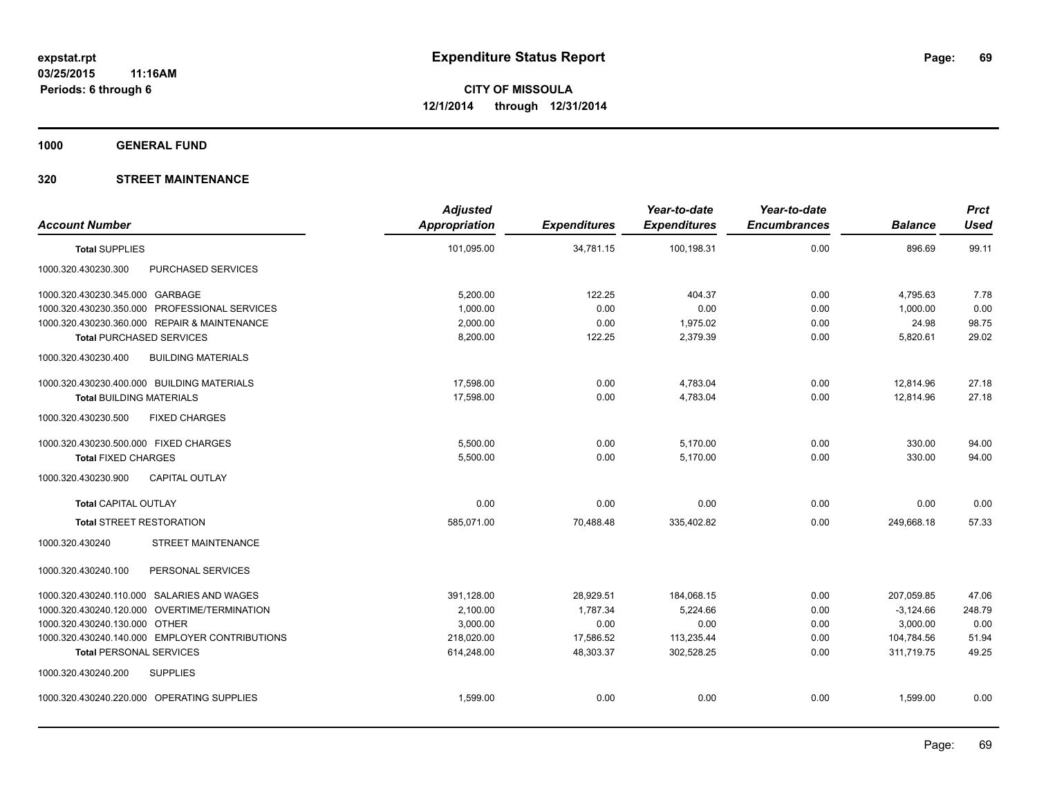**1000 GENERAL FUND**

| <b>Account Number</b>                            | <b>Adjusted</b><br><b>Appropriation</b> | <b>Expenditures</b> | Year-to-date<br><b>Expenditures</b> | Year-to-date<br><b>Encumbrances</b> | <b>Balance</b> | <b>Prct</b><br><b>Used</b> |
|--------------------------------------------------|-----------------------------------------|---------------------|-------------------------------------|-------------------------------------|----------------|----------------------------|
| <b>Total SUPPLIES</b>                            | 101,095.00                              | 34,781.15           | 100,198.31                          | 0.00                                | 896.69         | 99.11                      |
| PURCHASED SERVICES<br>1000.320.430230.300        |                                         |                     |                                     |                                     |                |                            |
| 1000.320.430230.345.000 GARBAGE                  | 5,200.00                                | 122.25              | 404.37                              | 0.00                                | 4,795.63       | 7.78                       |
| 1000.320.430230.350.000 PROFESSIONAL SERVICES    | 1,000.00                                | 0.00                | 0.00                                | 0.00                                | 1,000.00       | 0.00                       |
| 1000.320.430230.360.000 REPAIR & MAINTENANCE     | 2,000.00                                | 0.00                | 1,975.02                            | 0.00                                | 24.98          | 98.75                      |
| <b>Total PURCHASED SERVICES</b>                  | 8,200.00                                | 122.25              | 2,379.39                            | 0.00                                | 5,820.61       | 29.02                      |
| <b>BUILDING MATERIALS</b><br>1000.320.430230.400 |                                         |                     |                                     |                                     |                |                            |
| 1000.320.430230.400.000 BUILDING MATERIALS       | 17,598.00                               | 0.00                | 4,783.04                            | 0.00                                | 12,814.96      | 27.18                      |
| <b>Total BUILDING MATERIALS</b>                  | 17.598.00                               | 0.00                | 4,783.04                            | 0.00                                | 12,814.96      | 27.18                      |
| 1000.320.430230.500<br><b>FIXED CHARGES</b>      |                                         |                     |                                     |                                     |                |                            |
| 1000.320.430230.500.000 FIXED CHARGES            | 5,500.00                                | 0.00                | 5,170.00                            | 0.00                                | 330.00         | 94.00                      |
| <b>Total FIXED CHARGES</b>                       | 5,500.00                                | 0.00                | 5,170.00                            | 0.00                                | 330.00         | 94.00                      |
| 1000.320.430230.900<br><b>CAPITAL OUTLAY</b>     |                                         |                     |                                     |                                     |                |                            |
| <b>Total CAPITAL OUTLAY</b>                      | 0.00                                    | 0.00                | 0.00                                | 0.00                                | 0.00           | 0.00                       |
| <b>Total STREET RESTORATION</b>                  | 585.071.00                              | 70.488.48           | 335.402.82                          | 0.00                                | 249.668.18     | 57.33                      |
| <b>STREET MAINTENANCE</b><br>1000.320.430240     |                                         |                     |                                     |                                     |                |                            |
| PERSONAL SERVICES<br>1000.320.430240.100         |                                         |                     |                                     |                                     |                |                            |
| 1000.320.430240.110.000 SALARIES AND WAGES       | 391,128.00                              | 28,929.51           | 184,068.15                          | 0.00                                | 207,059.85     | 47.06                      |
| 1000.320.430240.120.000 OVERTIME/TERMINATION     | 2,100.00                                | 1,787.34            | 5,224.66                            | 0.00                                | $-3,124.66$    | 248.79                     |
| 1000.320.430240.130.000 OTHER                    | 3,000.00                                | 0.00                | 0.00                                | 0.00                                | 3,000.00       | 0.00                       |
| 1000.320.430240.140.000 EMPLOYER CONTRIBUTIONS   | 218,020.00                              | 17,586.52           | 113,235.44                          | 0.00                                | 104,784.56     | 51.94                      |
| <b>Total PERSONAL SERVICES</b>                   | 614,248.00                              | 48,303.37           | 302,528.25                          | 0.00                                | 311.719.75     | 49.25                      |
| 1000.320.430240.200<br><b>SUPPLIES</b>           |                                         |                     |                                     |                                     |                |                            |
| 1000.320.430240.220.000 OPERATING SUPPLIES       | 1,599.00                                | 0.00                | 0.00                                | 0.00                                | 1,599.00       | 0.00                       |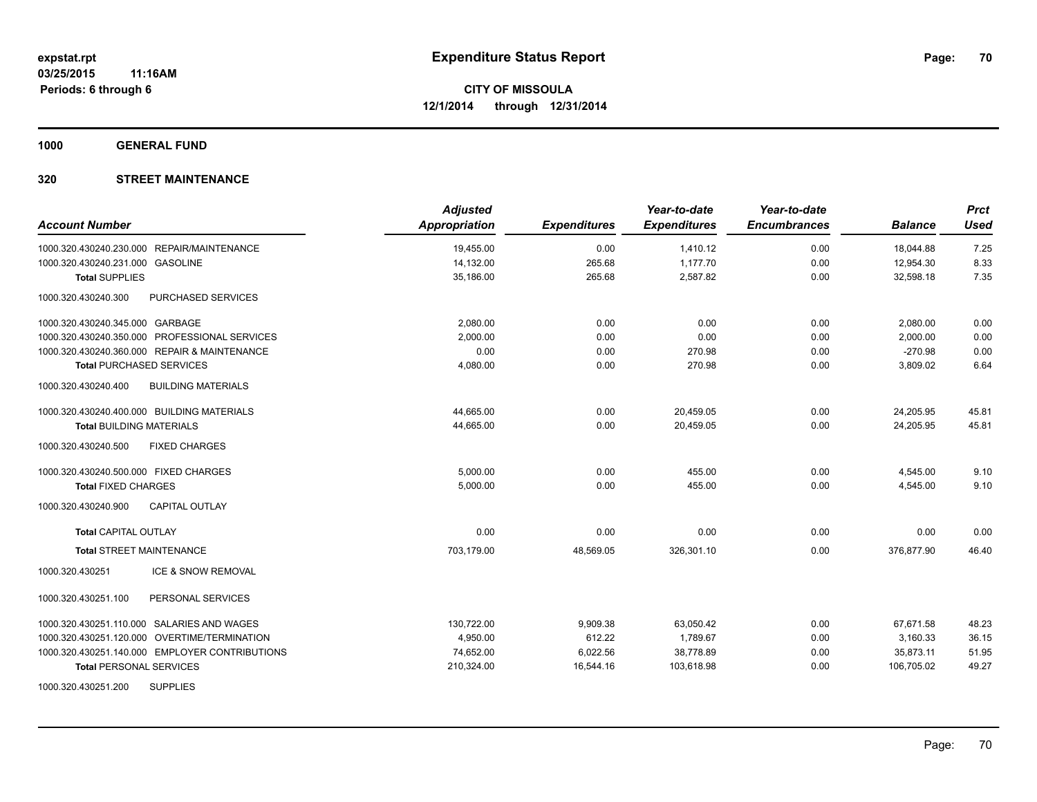**1000 GENERAL FUND**

| <b>Account Number</b>                            | <b>Adjusted</b><br><b>Appropriation</b> | <b>Expenditures</b> | Year-to-date<br><b>Expenditures</b> | Year-to-date<br><b>Encumbrances</b> | <b>Balance</b> | <b>Prct</b><br><b>Used</b> |
|--------------------------------------------------|-----------------------------------------|---------------------|-------------------------------------|-------------------------------------|----------------|----------------------------|
| 1000.320.430240.230.000 REPAIR/MAINTENANCE       | 19,455.00                               | 0.00                | 1,410.12                            | 0.00                                | 18,044.88      | 7.25                       |
| 1000.320.430240.231.000 GASOLINE                 | 14,132.00                               | 265.68              | 1,177.70                            | 0.00                                | 12,954.30      | 8.33                       |
| <b>Total SUPPLIES</b>                            | 35,186.00                               | 265.68              | 2,587.82                            | 0.00                                | 32,598.18      | 7.35                       |
| 1000.320.430240.300<br>PURCHASED SERVICES        |                                         |                     |                                     |                                     |                |                            |
| 1000.320.430240.345.000 GARBAGE                  | 2,080.00                                | 0.00                | 0.00                                | 0.00                                | 2,080.00       | 0.00                       |
| 1000.320.430240.350.000 PROFESSIONAL SERVICES    | 2.000.00                                | 0.00                | 0.00                                | 0.00                                | 2,000.00       | 0.00                       |
| 1000.320.430240.360.000 REPAIR & MAINTENANCE     | 0.00                                    | 0.00                | 270.98                              | 0.00                                | $-270.98$      | 0.00                       |
| <b>Total PURCHASED SERVICES</b>                  | 4,080.00                                | 0.00                | 270.98                              | 0.00                                | 3,809.02       | 6.64                       |
| 1000.320.430240.400<br><b>BUILDING MATERIALS</b> |                                         |                     |                                     |                                     |                |                            |
| 1000.320.430240.400.000 BUILDING MATERIALS       | 44,665.00                               | 0.00                | 20,459.05                           | 0.00                                | 24,205.95      | 45.81                      |
| <b>Total BUILDING MATERIALS</b>                  | 44,665.00                               | 0.00                | 20,459.05                           | 0.00                                | 24,205.95      | 45.81                      |
| 1000.320.430240.500<br><b>FIXED CHARGES</b>      |                                         |                     |                                     |                                     |                |                            |
| 1000.320.430240.500.000 FIXED CHARGES            | 5,000.00                                | 0.00                | 455.00                              | 0.00                                | 4,545.00       | 9.10                       |
| <b>Total FIXED CHARGES</b>                       | 5,000.00                                | 0.00                | 455.00                              | 0.00                                | 4,545.00       | 9.10                       |
| 1000.320.430240.900<br><b>CAPITAL OUTLAY</b>     |                                         |                     |                                     |                                     |                |                            |
| <b>Total CAPITAL OUTLAY</b>                      | 0.00                                    | 0.00                | 0.00                                | 0.00                                | 0.00           | 0.00                       |
| <b>Total STREET MAINTENANCE</b>                  | 703,179.00                              | 48,569.05           | 326,301.10                          | 0.00                                | 376,877.90     | 46.40                      |
| ICE & SNOW REMOVAL<br>1000.320.430251            |                                         |                     |                                     |                                     |                |                            |
| 1000.320.430251.100<br>PERSONAL SERVICES         |                                         |                     |                                     |                                     |                |                            |
| 1000.320.430251.110.000 SALARIES AND WAGES       | 130,722.00                              | 9,909.38            | 63,050.42                           | 0.00                                | 67,671.58      | 48.23                      |
| 1000.320.430251.120.000 OVERTIME/TERMINATION     | 4,950.00                                | 612.22              | 1,789.67                            | 0.00                                | 3,160.33       | 36.15                      |
| 1000.320.430251.140.000 EMPLOYER CONTRIBUTIONS   | 74,652.00                               | 6,022.56            | 38,778.89                           | 0.00                                | 35,873.11      | 51.95                      |
| <b>Total PERSONAL SERVICES</b>                   | 210,324.00                              | 16,544.16           | 103,618.98                          | 0.00                                | 106,705.02     | 49.27                      |
| <b>SUPPLIES</b><br>1000.320.430251.200           |                                         |                     |                                     |                                     |                |                            |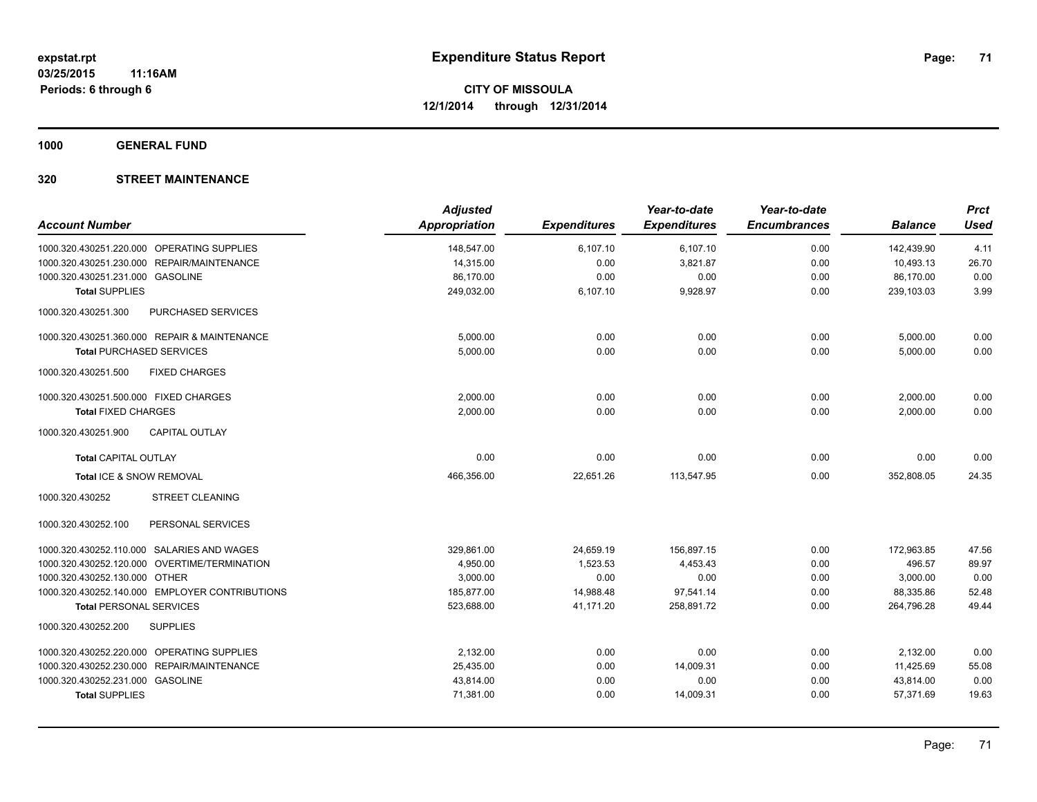**1000 GENERAL FUND**

| <b>Account Number</b>                            | <b>Adjusted</b><br><b>Appropriation</b> | <b>Expenditures</b> | Year-to-date<br><b>Expenditures</b> | Year-to-date<br><b>Encumbrances</b> | <b>Balance</b> | <b>Prct</b><br><b>Used</b> |
|--------------------------------------------------|-----------------------------------------|---------------------|-------------------------------------|-------------------------------------|----------------|----------------------------|
| 1000.320.430251.220.000 OPERATING SUPPLIES       | 148,547.00                              | 6,107.10            | 6,107.10                            | 0.00                                | 142.439.90     | 4.11                       |
| REPAIR/MAINTENANCE<br>1000.320.430251.230.000    | 14,315.00                               | 0.00                | 3,821.87                            | 0.00                                | 10,493.13      | 26.70                      |
| 1000.320.430251.231.000 GASOLINE                 | 86,170.00                               | 0.00                | 0.00                                | 0.00                                | 86,170.00      | 0.00                       |
| <b>Total SUPPLIES</b>                            | 249,032.00                              | 6,107.10            | 9,928.97                            | 0.00                                | 239,103.03     | 3.99                       |
| 1000.320.430251.300<br><b>PURCHASED SERVICES</b> |                                         |                     |                                     |                                     |                |                            |
| 1000.320.430251.360.000 REPAIR & MAINTENANCE     | 5,000.00                                | 0.00                | 0.00                                | 0.00                                | 5,000.00       | 0.00                       |
| <b>Total PURCHASED SERVICES</b>                  | 5,000.00                                | 0.00                | 0.00                                | 0.00                                | 5,000.00       | 0.00                       |
| 1000.320.430251.500<br><b>FIXED CHARGES</b>      |                                         |                     |                                     |                                     |                |                            |
| 1000.320.430251.500.000 FIXED CHARGES            | 2,000.00                                | 0.00                | 0.00                                | 0.00                                | 2,000.00       | 0.00                       |
| <b>Total FIXED CHARGES</b>                       | 2,000.00                                | 0.00                | 0.00                                | 0.00                                | 2,000.00       | 0.00                       |
| 1000.320.430251.900<br><b>CAPITAL OUTLAY</b>     |                                         |                     |                                     |                                     |                |                            |
| <b>Total CAPITAL OUTLAY</b>                      | 0.00                                    | 0.00                | 0.00                                | 0.00                                | 0.00           | 0.00                       |
| Total ICE & SNOW REMOVAL                         | 466,356.00                              | 22,651.26           | 113,547.95                          | 0.00                                | 352,808.05     | 24.35                      |
| 1000.320.430252<br><b>STREET CLEANING</b>        |                                         |                     |                                     |                                     |                |                            |
| 1000.320.430252.100<br>PERSONAL SERVICES         |                                         |                     |                                     |                                     |                |                            |
| 1000.320.430252.110.000 SALARIES AND WAGES       | 329,861.00                              | 24,659.19           | 156,897.15                          | 0.00                                | 172,963.85     | 47.56                      |
| 1000.320.430252.120.000 OVERTIME/TERMINATION     | 4,950.00                                | 1,523.53            | 4,453.43                            | 0.00                                | 496.57         | 89.97                      |
| 1000.320.430252.130.000 OTHER                    | 3,000.00                                | 0.00                | 0.00                                | 0.00                                | 3,000.00       | 0.00                       |
| 1000.320.430252.140.000 EMPLOYER CONTRIBUTIONS   | 185,877.00                              | 14,988.48           | 97,541.14                           | 0.00                                | 88,335.86      | 52.48                      |
| <b>Total PERSONAL SERVICES</b>                   | 523,688.00                              | 41,171.20           | 258,891.72                          | 0.00                                | 264,796.28     | 49.44                      |
| 1000.320.430252.200<br><b>SUPPLIES</b>           |                                         |                     |                                     |                                     |                |                            |
| 1000.320.430252.220.000 OPERATING SUPPLIES       | 2,132.00                                | 0.00                | 0.00                                | 0.00                                | 2,132.00       | 0.00                       |
| 1000.320.430252.230.000 REPAIR/MAINTENANCE       | 25,435.00                               | 0.00                | 14,009.31                           | 0.00                                | 11,425.69      | 55.08                      |
| 1000.320.430252.231.000 GASOLINE                 | 43,814.00                               | 0.00                | 0.00                                | 0.00                                | 43,814.00      | 0.00                       |
| <b>Total SUPPLIES</b>                            | 71,381.00                               | 0.00                | 14,009.31                           | 0.00                                | 57,371.69      | 19.63                      |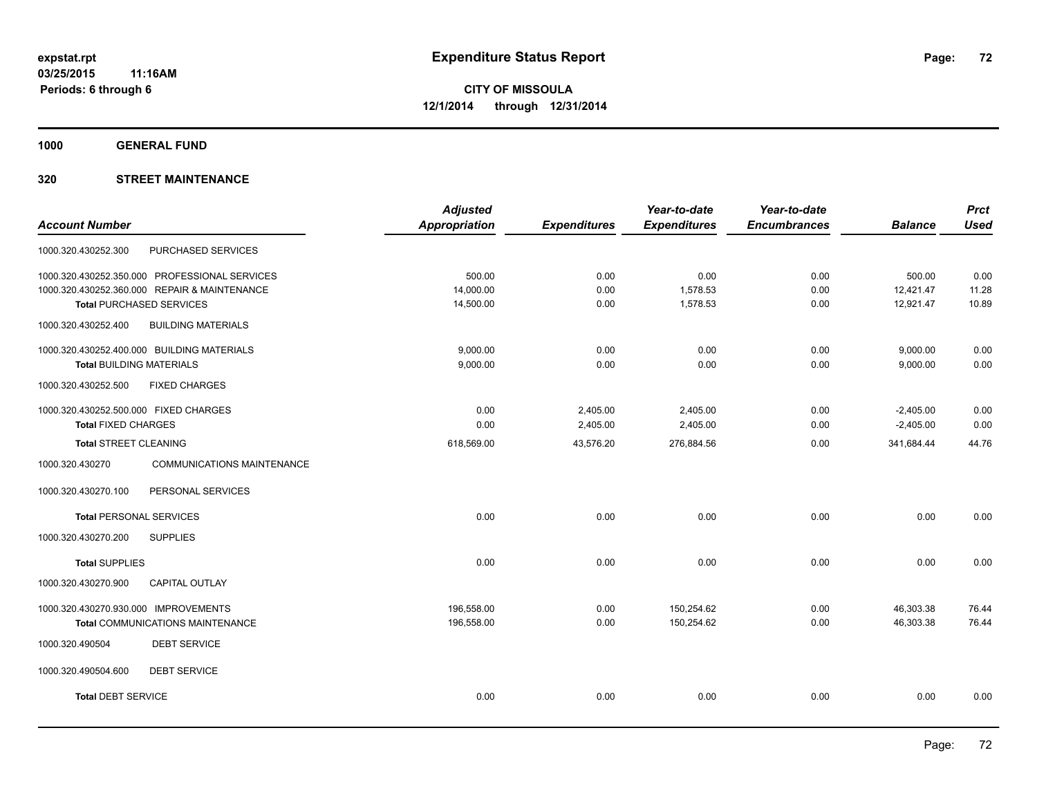**1000 GENERAL FUND**

|                                       |                                               | <b>Adjusted</b>      |                     | Year-to-date        | Year-to-date        |                | <b>Prct</b> |
|---------------------------------------|-----------------------------------------------|----------------------|---------------------|---------------------|---------------------|----------------|-------------|
| <b>Account Number</b>                 |                                               | <b>Appropriation</b> | <b>Expenditures</b> | <b>Expenditures</b> | <b>Encumbrances</b> | <b>Balance</b> | <b>Used</b> |
| 1000.320.430252.300                   | <b>PURCHASED SERVICES</b>                     |                      |                     |                     |                     |                |             |
|                                       | 1000.320.430252.350.000 PROFESSIONAL SERVICES | 500.00               | 0.00                | 0.00                | 0.00                | 500.00         | 0.00        |
|                                       | 1000.320.430252.360.000 REPAIR & MAINTENANCE  | 14,000.00            | 0.00                | 1,578.53            | 0.00                | 12,421.47      | 11.28       |
|                                       | <b>Total PURCHASED SERVICES</b>               | 14,500.00            | 0.00                | 1,578.53            | 0.00                | 12,921.47      | 10.89       |
| 1000.320.430252.400                   | <b>BUILDING MATERIALS</b>                     |                      |                     |                     |                     |                |             |
|                                       | 1000.320.430252.400.000 BUILDING MATERIALS    | 9,000.00             | 0.00                | 0.00                | 0.00                | 9,000.00       | 0.00        |
| <b>Total BUILDING MATERIALS</b>       |                                               | 9,000.00             | 0.00                | 0.00                | 0.00                | 9,000.00       | 0.00        |
| 1000.320.430252.500                   | <b>FIXED CHARGES</b>                          |                      |                     |                     |                     |                |             |
| 1000.320.430252.500.000 FIXED CHARGES |                                               | 0.00                 | 2,405.00            | 2,405.00            | 0.00                | $-2,405.00$    | 0.00        |
| <b>Total FIXED CHARGES</b>            |                                               | 0.00                 | 2,405.00            | 2,405.00            | 0.00                | $-2,405.00$    | 0.00        |
| Total STREET CLEANING                 |                                               | 618,569.00           | 43,576.20           | 276,884.56          | 0.00                | 341,684.44     | 44.76       |
| 1000.320.430270                       | <b>COMMUNICATIONS MAINTENANCE</b>             |                      |                     |                     |                     |                |             |
| 1000.320.430270.100                   | PERSONAL SERVICES                             |                      |                     |                     |                     |                |             |
| <b>Total PERSONAL SERVICES</b>        |                                               | 0.00                 | 0.00                | 0.00                | 0.00                | 0.00           | 0.00        |
| 1000.320.430270.200                   | <b>SUPPLIES</b>                               |                      |                     |                     |                     |                |             |
| <b>Total SUPPLIES</b>                 |                                               | 0.00                 | 0.00                | 0.00                | 0.00                | 0.00           | 0.00        |
| 1000.320.430270.900                   | <b>CAPITAL OUTLAY</b>                         |                      |                     |                     |                     |                |             |
| 1000.320.430270.930.000 IMPROVEMENTS  |                                               | 196,558.00           | 0.00                | 150,254.62          | 0.00                | 46,303.38      | 76.44       |
|                                       | <b>Total COMMUNICATIONS MAINTENANCE</b>       | 196,558.00           | 0.00                | 150,254.62          | 0.00                | 46,303.38      | 76.44       |
| 1000.320.490504                       | <b>DEBT SERVICE</b>                           |                      |                     |                     |                     |                |             |
| 1000.320.490504.600                   | <b>DEBT SERVICE</b>                           |                      |                     |                     |                     |                |             |
| <b>Total DEBT SERVICE</b>             |                                               | 0.00                 | 0.00                | 0.00                | 0.00                | 0.00           | 0.00        |
|                                       |                                               |                      |                     |                     |                     |                |             |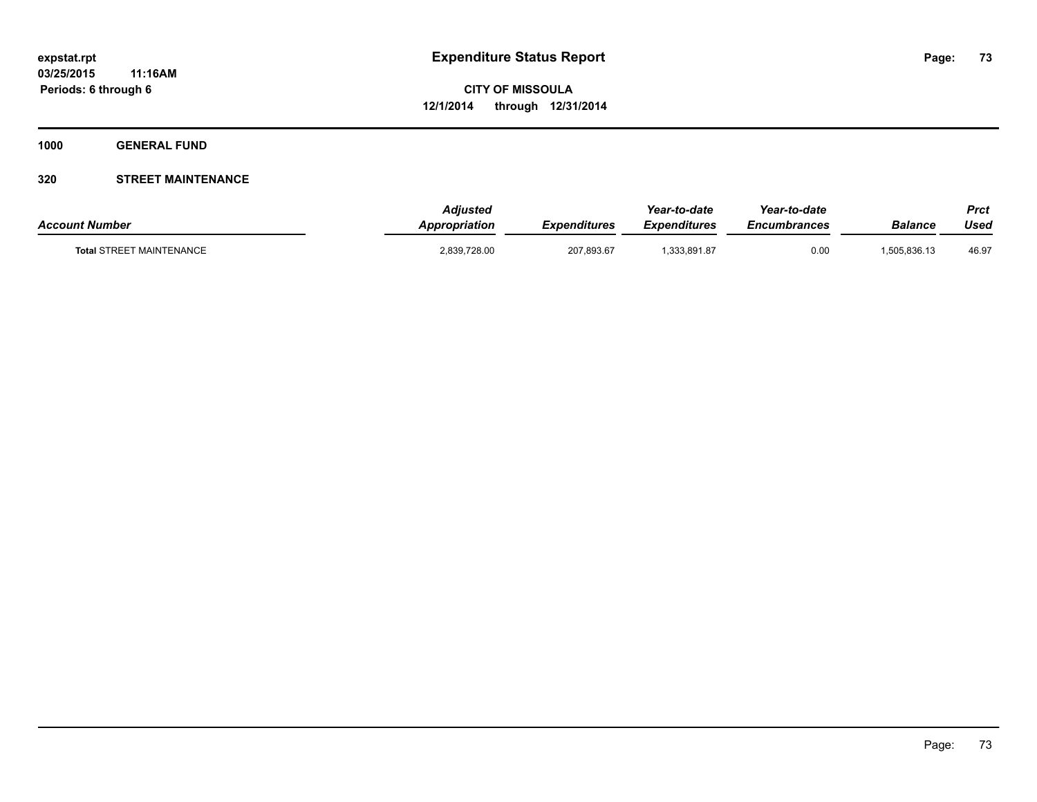**1000 GENERAL FUND**

### **320 STREET MAINTENANCE**

| <b>Account Number</b>           | <b>Adiusted</b><br><b>Appropriation</b> | Expenditures | Year-to-date<br>Expenditures | Year-to-date<br><i><b>Encumbrances</b></i> | <b>Balance</b> | Prct<br>Used |
|---------------------------------|-----------------------------------------|--------------|------------------------------|--------------------------------------------|----------------|--------------|
| <b>Total STREET MAINTENANCE</b> | 2,839,728.00                            | 207,893.67   | .333.891.87                  | 0.00                                       | 1.505.836.13   | 46.97        |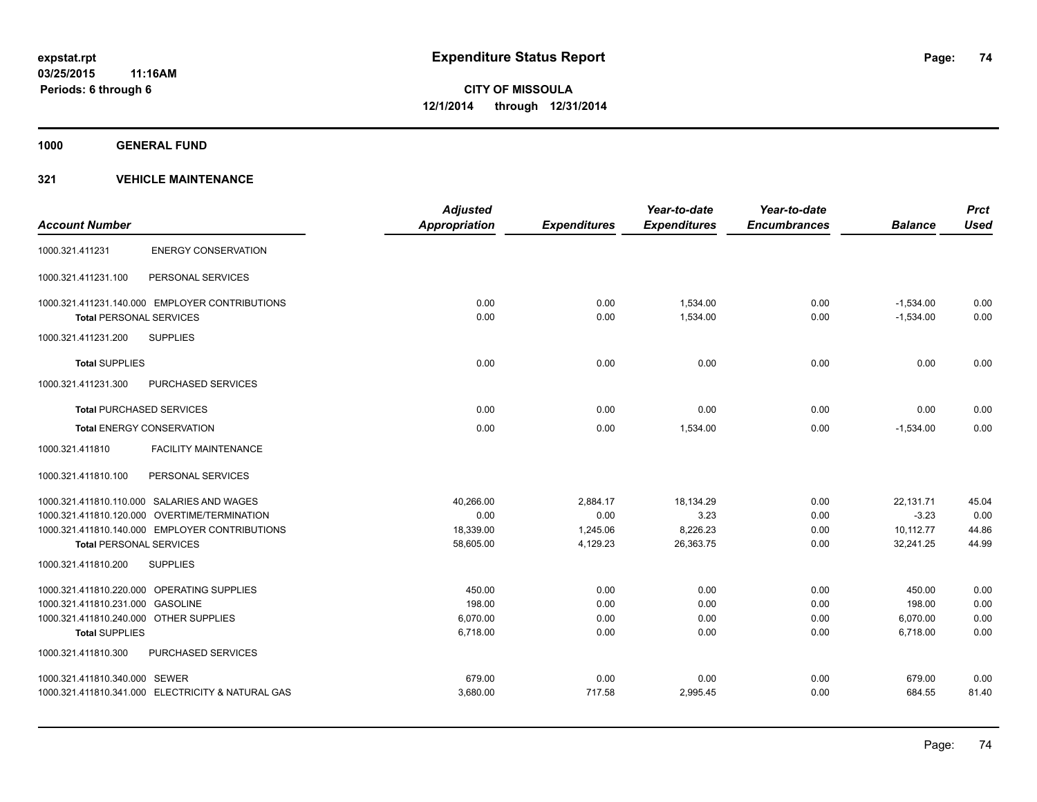**1000 GENERAL FUND**

|                                        |                                                   | <b>Adjusted</b>      |                     | Year-to-date        | Year-to-date        |                | <b>Prct</b> |
|----------------------------------------|---------------------------------------------------|----------------------|---------------------|---------------------|---------------------|----------------|-------------|
| <b>Account Number</b>                  |                                                   | <b>Appropriation</b> | <b>Expenditures</b> | <b>Expenditures</b> | <b>Encumbrances</b> | <b>Balance</b> | <b>Used</b> |
| 1000.321.411231                        | <b>ENERGY CONSERVATION</b>                        |                      |                     |                     |                     |                |             |
| 1000.321.411231.100                    | PERSONAL SERVICES                                 |                      |                     |                     |                     |                |             |
|                                        | 1000.321.411231.140.000 EMPLOYER CONTRIBUTIONS    | 0.00                 | 0.00                | 1.534.00            | 0.00                | $-1,534.00$    | 0.00        |
| <b>Total PERSONAL SERVICES</b>         |                                                   | 0.00                 | 0.00                | 1,534.00            | 0.00                | $-1,534.00$    | 0.00        |
| 1000.321.411231.200                    | <b>SUPPLIES</b>                                   |                      |                     |                     |                     |                |             |
| <b>Total SUPPLIES</b>                  |                                                   | 0.00                 | 0.00                | 0.00                | 0.00                | 0.00           | 0.00        |
| 1000.321.411231.300                    | PURCHASED SERVICES                                |                      |                     |                     |                     |                |             |
| <b>Total PURCHASED SERVICES</b>        |                                                   | 0.00                 | 0.00                | 0.00                | 0.00                | 0.00           | 0.00        |
|                                        | <b>Total ENERGY CONSERVATION</b>                  | 0.00                 | 0.00                | 1,534.00            | 0.00                | $-1,534.00$    | 0.00        |
| 1000.321.411810                        | <b>FACILITY MAINTENANCE</b>                       |                      |                     |                     |                     |                |             |
| 1000.321.411810.100                    | PERSONAL SERVICES                                 |                      |                     |                     |                     |                |             |
|                                        | 1000.321.411810.110.000 SALARIES AND WAGES        | 40,266.00            | 2,884.17            | 18,134.29           | 0.00                | 22,131.71      | 45.04       |
|                                        | 1000.321.411810.120.000 OVERTIME/TERMINATION      | 0.00                 | 0.00                | 3.23                | 0.00                | $-3.23$        | 0.00        |
|                                        | 1000.321.411810.140.000 EMPLOYER CONTRIBUTIONS    | 18,339.00            | 1,245.06            | 8,226.23            | 0.00                | 10,112.77      | 44.86       |
| <b>Total PERSONAL SERVICES</b>         |                                                   | 58,605.00            | 4,129.23            | 26,363.75           | 0.00                | 32,241.25      | 44.99       |
| 1000.321.411810.200                    | <b>SUPPLIES</b>                                   |                      |                     |                     |                     |                |             |
|                                        | 1000.321.411810.220.000 OPERATING SUPPLIES        | 450.00               | 0.00                | 0.00                | 0.00                | 450.00         | 0.00        |
| 1000.321.411810.231.000 GASOLINE       |                                                   | 198.00               | 0.00                | 0.00                | 0.00                | 198.00         | 0.00        |
| 1000.321.411810.240.000 OTHER SUPPLIES |                                                   | 6,070.00             | 0.00                | 0.00                | 0.00                | 6,070.00       | 0.00        |
| <b>Total SUPPLIES</b>                  |                                                   | 6,718.00             | 0.00                | 0.00                | 0.00                | 6,718.00       | 0.00        |
| 1000.321.411810.300                    | <b>PURCHASED SERVICES</b>                         |                      |                     |                     |                     |                |             |
| 1000.321.411810.340.000 SEWER          |                                                   | 679.00               | 0.00                | 0.00                | 0.00                | 679.00         | 0.00        |
|                                        | 1000.321.411810.341.000 ELECTRICITY & NATURAL GAS | 3,680.00             | 717.58              | 2,995.45            | 0.00                | 684.55         | 81.40       |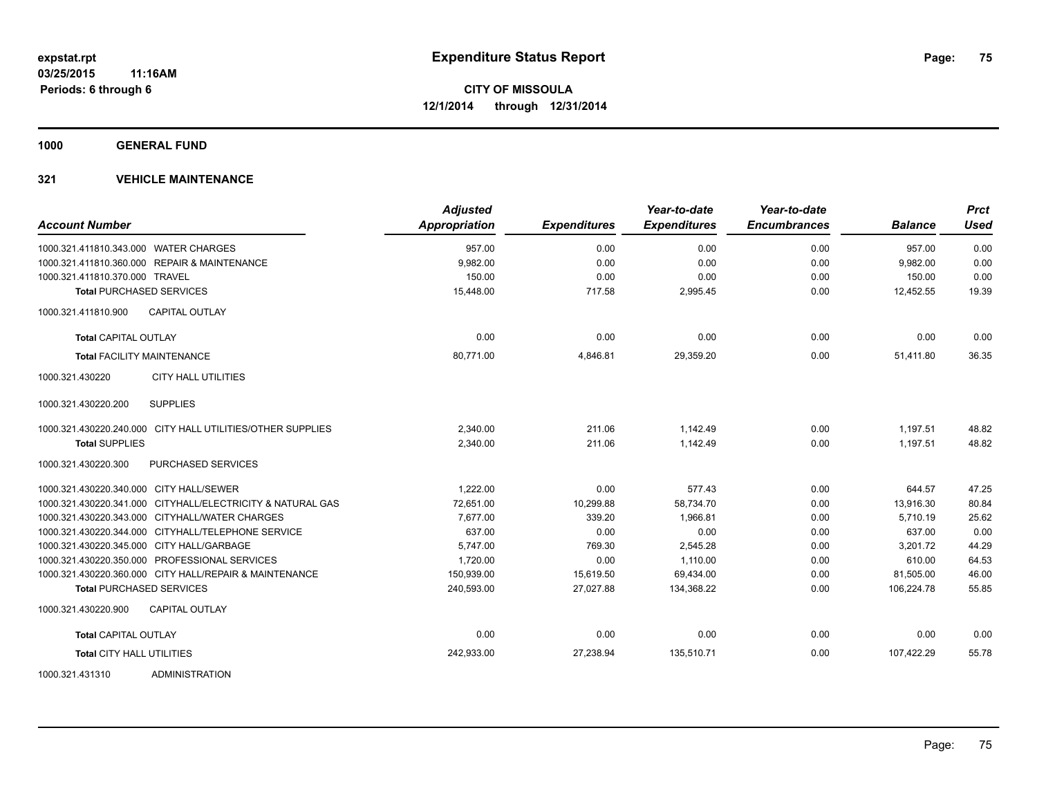**1000 GENERAL FUND**

| <b>Account Number</b>                                      | <b>Adjusted</b><br>Appropriation | <b>Expenditures</b> | Year-to-date<br><b>Expenditures</b> | Year-to-date<br><b>Encumbrances</b> | <b>Balance</b> | <b>Prct</b><br><b>Used</b> |
|------------------------------------------------------------|----------------------------------|---------------------|-------------------------------------|-------------------------------------|----------------|----------------------------|
| 1000.321.411810.343.000 WATER CHARGES                      | 957.00                           | 0.00                | 0.00                                | 0.00                                | 957.00         | 0.00                       |
| 1000.321.411810.360.000 REPAIR & MAINTENANCE               | 9,982.00                         | 0.00                | 0.00                                | 0.00                                | 9,982.00       | 0.00                       |
| 1000.321.411810.370.000 TRAVEL                             | 150.00                           | 0.00                | 0.00                                | 0.00                                | 150.00         | 0.00                       |
| <b>Total PURCHASED SERVICES</b>                            | 15,448.00                        | 717.58              | 2,995.45                            | 0.00                                | 12,452.55      | 19.39                      |
| 1000.321.411810.900<br><b>CAPITAL OUTLAY</b>               |                                  |                     |                                     |                                     |                |                            |
| <b>Total CAPITAL OUTLAY</b>                                | 0.00                             | 0.00                | 0.00                                | 0.00                                | 0.00           | 0.00                       |
| <b>Total FACILITY MAINTENANCE</b>                          | 80,771.00                        | 4,846.81            | 29,359.20                           | 0.00                                | 51,411.80      | 36.35                      |
| 1000.321.430220<br><b>CITY HALL UTILITIES</b>              |                                  |                     |                                     |                                     |                |                            |
| <b>SUPPLIES</b><br>1000.321.430220.200                     |                                  |                     |                                     |                                     |                |                            |
| 1000.321.430220.240.000 CITY HALL UTILITIES/OTHER SUPPLIES | 2,340.00                         | 211.06              | 1,142.49                            | 0.00                                | 1,197.51       | 48.82                      |
| <b>Total SUPPLIES</b>                                      | 2.340.00                         | 211.06              | 1,142.49                            | 0.00                                | 1.197.51       | 48.82                      |
| <b>PURCHASED SERVICES</b><br>1000.321.430220.300           |                                  |                     |                                     |                                     |                |                            |
| 1000.321.430220.340.000 CITY HALL/SEWER                    | 1,222.00                         | 0.00                | 577.43                              | 0.00                                | 644.57         | 47.25                      |
| 1000.321.430220.341.000 CITYHALL/ELECTRICITY & NATURAL GAS | 72,651.00                        | 10,299.88           | 58,734.70                           | 0.00                                | 13,916.30      | 80.84                      |
| 1000.321.430220.343.000 CITYHALL/WATER CHARGES             | 7,677.00                         | 339.20              | 1,966.81                            | 0.00                                | 5.710.19       | 25.62                      |
| 1000.321.430220.344.000 CITYHALL/TELEPHONE SERVICE         | 637.00                           | 0.00                | 0.00                                | 0.00                                | 637.00         | 0.00                       |
| 1000.321.430220.345.000 CITY HALL/GARBAGE                  | 5.747.00                         | 769.30              | 2,545.28                            | 0.00                                | 3.201.72       | 44.29                      |
| 1000.321.430220.350.000 PROFESSIONAL SERVICES              | 1,720.00                         | 0.00                | 1,110.00                            | 0.00                                | 610.00         | 64.53                      |
| 1000.321.430220.360.000 CITY HALL/REPAIR & MAINTENANCE     | 150,939.00                       | 15,619.50           | 69,434.00                           | 0.00                                | 81,505.00      | 46.00                      |
| <b>Total PURCHASED SERVICES</b>                            | 240,593.00                       | 27,027.88           | 134,368.22                          | 0.00                                | 106,224.78     | 55.85                      |
| 1000.321.430220.900<br><b>CAPITAL OUTLAY</b>               |                                  |                     |                                     |                                     |                |                            |
| <b>Total CAPITAL OUTLAY</b>                                | 0.00                             | 0.00                | 0.00                                | 0.00                                | 0.00           | 0.00                       |
| <b>Total CITY HALL UTILITIES</b>                           | 242,933.00                       | 27,238.94           | 135,510.71                          | 0.00                                | 107.422.29     | 55.78                      |
| ADMINISTRATION<br>1000.321.431310                          |                                  |                     |                                     |                                     |                |                            |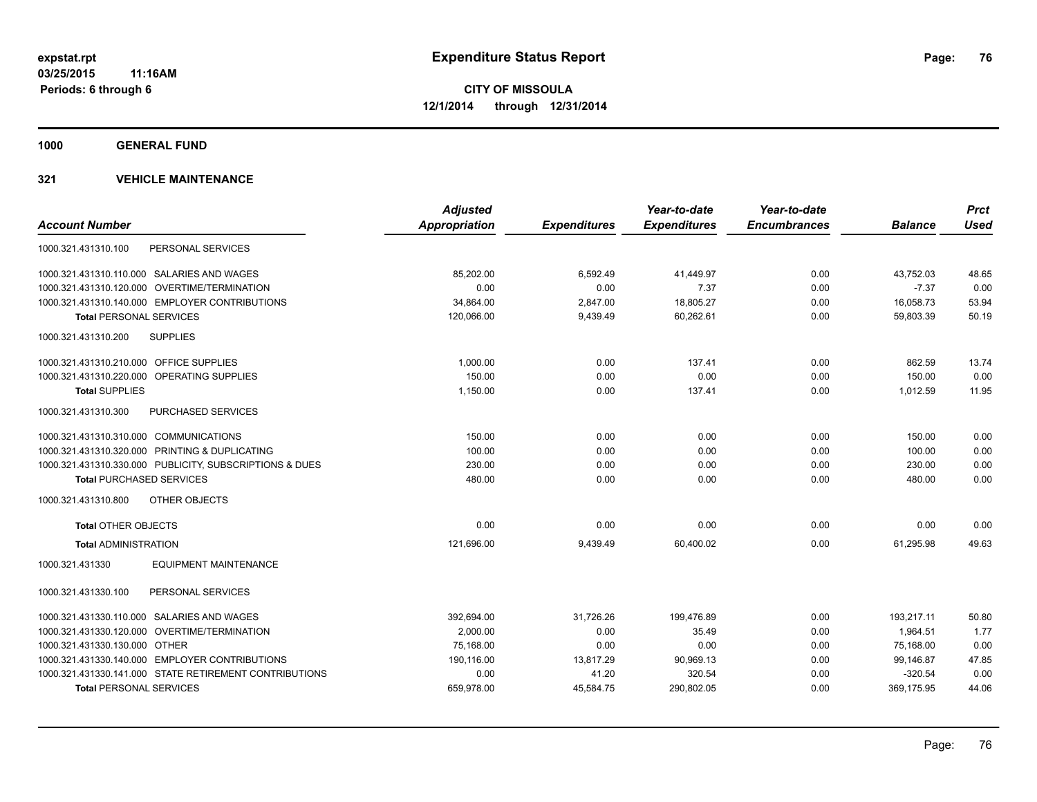**1000 GENERAL FUND**

|                                                         | <b>Adjusted</b>      |                     | Year-to-date        | Year-to-date        |                | <b>Prct</b> |
|---------------------------------------------------------|----------------------|---------------------|---------------------|---------------------|----------------|-------------|
| <b>Account Number</b>                                   | <b>Appropriation</b> | <b>Expenditures</b> | <b>Expenditures</b> | <b>Encumbrances</b> | <b>Balance</b> | <b>Used</b> |
| PERSONAL SERVICES<br>1000.321.431310.100                |                      |                     |                     |                     |                |             |
| 1000.321.431310.110.000 SALARIES AND WAGES              | 85,202.00            | 6,592.49            | 41,449.97           | 0.00                | 43,752.03      | 48.65       |
| 1000.321.431310.120.000 OVERTIME/TERMINATION            | 0.00                 | 0.00                | 7.37                | 0.00                | $-7.37$        | 0.00        |
| 1000.321.431310.140.000 EMPLOYER CONTRIBUTIONS          | 34,864.00            | 2,847.00            | 18,805.27           | 0.00                | 16,058.73      | 53.94       |
| <b>Total PERSONAL SERVICES</b>                          | 120,066.00           | 9,439.49            | 60,262.61           | 0.00                | 59,803.39      | 50.19       |
| 1000.321.431310.200<br><b>SUPPLIES</b>                  |                      |                     |                     |                     |                |             |
| 1000.321.431310.210.000 OFFICE SUPPLIES                 | 1,000.00             | 0.00                | 137.41              | 0.00                | 862.59         | 13.74       |
| 1000.321.431310.220.000 OPERATING SUPPLIES              | 150.00               | 0.00                | 0.00                | 0.00                | 150.00         | 0.00        |
| <b>Total SUPPLIES</b>                                   | 1,150.00             | 0.00                | 137.41              | 0.00                | 1,012.59       | 11.95       |
| 1000.321.431310.300<br><b>PURCHASED SERVICES</b>        |                      |                     |                     |                     |                |             |
| 1000.321.431310.310.000 COMMUNICATIONS                  | 150.00               | 0.00                | 0.00                | 0.00                | 150.00         | 0.00        |
| 1000.321.431310.320.000 PRINTING & DUPLICATING          | 100.00               | 0.00                | 0.00                | 0.00                | 100.00         | 0.00        |
| 1000.321.431310.330.000 PUBLICITY, SUBSCRIPTIONS & DUES | 230.00               | 0.00                | 0.00                | 0.00                | 230.00         | 0.00        |
| <b>Total PURCHASED SERVICES</b>                         | 480.00               | 0.00                | 0.00                | 0.00                | 480.00         | 0.00        |
| 1000.321.431310.800<br>OTHER OBJECTS                    |                      |                     |                     |                     |                |             |
| <b>Total OTHER OBJECTS</b>                              | 0.00                 | 0.00                | 0.00                | 0.00                | 0.00           | 0.00        |
| <b>Total ADMINISTRATION</b>                             | 121,696.00           | 9,439.49            | 60,400.02           | 0.00                | 61,295.98      | 49.63       |
| <b>EQUIPMENT MAINTENANCE</b><br>1000.321.431330         |                      |                     |                     |                     |                |             |
| PERSONAL SERVICES<br>1000.321.431330.100                |                      |                     |                     |                     |                |             |
| 1000.321.431330.110.000 SALARIES AND WAGES              | 392,694.00           | 31,726.26           | 199,476.89          | 0.00                | 193,217.11     | 50.80       |
| 1000.321.431330.120.000 OVERTIME/TERMINATION            | 2,000.00             | 0.00                | 35.49               | 0.00                | 1,964.51       | 1.77        |
| 1000.321.431330.130.000 OTHER                           | 75,168.00            | 0.00                | 0.00                | 0.00                | 75.168.00      | 0.00        |
| 1000.321.431330.140.000 EMPLOYER CONTRIBUTIONS          | 190,116.00           | 13,817.29           | 90,969.13           | 0.00                | 99,146.87      | 47.85       |
| 1000.321.431330.141.000 STATE RETIREMENT CONTRIBUTIONS  | 0.00                 | 41.20               | 320.54              | 0.00                | $-320.54$      | 0.00        |
| <b>Total PERSONAL SERVICES</b>                          | 659,978.00           | 45,584.75           | 290,802.05          | 0.00                | 369,175.95     | 44.06       |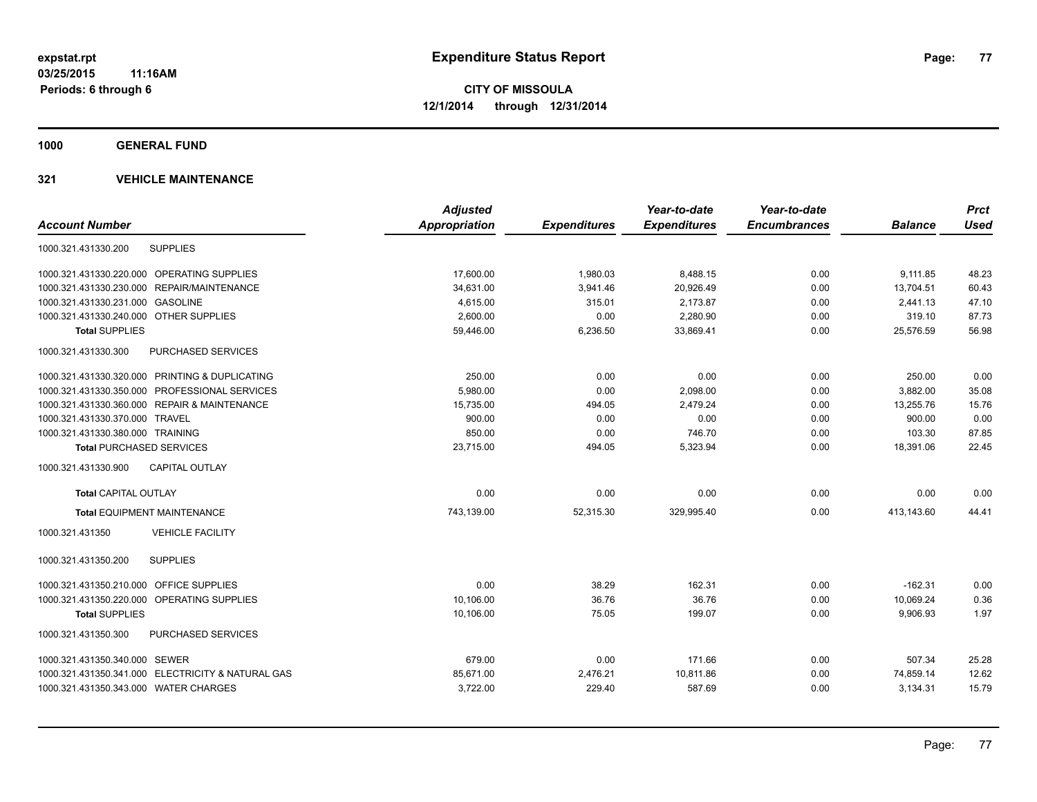**1000 GENERAL FUND**

| <b>Account Number</b>                             | <b>Adjusted</b><br><b>Appropriation</b> | <b>Expenditures</b> | Year-to-date<br><b>Expenditures</b> | Year-to-date<br><b>Encumbrances</b> | <b>Balance</b> | <b>Prct</b><br><b>Used</b> |
|---------------------------------------------------|-----------------------------------------|---------------------|-------------------------------------|-------------------------------------|----------------|----------------------------|
| 1000.321.431330.200<br><b>SUPPLIES</b>            |                                         |                     |                                     |                                     |                |                            |
| 1000.321.431330.220.000 OPERATING SUPPLIES        | 17,600.00                               | 1,980.03            | 8,488.15                            | 0.00                                | 9,111.85       | 48.23                      |
| 1000.321.431330.230.000<br>REPAIR/MAINTENANCE     | 34,631.00                               | 3,941.46            | 20,926.49                           | 0.00                                | 13,704.51      | 60.43                      |
| 1000.321.431330.231.000 GASOLINE                  | 4,615.00                                | 315.01              | 2,173.87                            | 0.00                                | 2,441.13       | 47.10                      |
| 1000.321.431330.240.000 OTHER SUPPLIES            | 2,600.00                                | 0.00                | 2,280.90                            | 0.00                                | 319.10         | 87.73                      |
| <b>Total SUPPLIES</b>                             | 59,446.00                               | 6,236.50            | 33,869.41                           | 0.00                                | 25,576.59      | 56.98                      |
| 1000.321.431330.300<br>PURCHASED SERVICES         |                                         |                     |                                     |                                     |                |                            |
| 1000.321.431330.320.000 PRINTING & DUPLICATING    | 250.00                                  | 0.00                | 0.00                                | 0.00                                | 250.00         | 0.00                       |
| 1000.321.431330.350.000 PROFESSIONAL SERVICES     | 5,980.00                                | 0.00                | 2,098.00                            | 0.00                                | 3,882.00       | 35.08                      |
| 1000.321.431330.360.000 REPAIR & MAINTENANCE      | 15,735.00                               | 494.05              | 2,479.24                            | 0.00                                | 13,255.76      | 15.76                      |
| 1000.321.431330.370.000 TRAVEL                    | 900.00                                  | 0.00                | 0.00                                | 0.00                                | 900.00         | 0.00                       |
| 1000.321.431330.380.000 TRAINING                  | 850.00                                  | 0.00                | 746.70                              | 0.00                                | 103.30         | 87.85                      |
| <b>Total PURCHASED SERVICES</b>                   | 23,715.00                               | 494.05              | 5,323.94                            | 0.00                                | 18,391.06      | 22.45                      |
| <b>CAPITAL OUTLAY</b><br>1000.321.431330.900      |                                         |                     |                                     |                                     |                |                            |
| <b>Total CAPITAL OUTLAY</b>                       | 0.00                                    | 0.00                | 0.00                                | 0.00                                | 0.00           | 0.00                       |
| <b>Total EQUIPMENT MAINTENANCE</b>                | 743,139.00                              | 52,315.30           | 329,995.40                          | 0.00                                | 413,143.60     | 44.41                      |
| 1000.321.431350<br><b>VEHICLE FACILITY</b>        |                                         |                     |                                     |                                     |                |                            |
| <b>SUPPLIES</b><br>1000.321.431350.200            |                                         |                     |                                     |                                     |                |                            |
| 1000.321.431350.210.000 OFFICE SUPPLIES           | 0.00                                    | 38.29               | 162.31                              | 0.00                                | $-162.31$      | 0.00                       |
| 1000.321.431350.220.000 OPERATING SUPPLIES        | 10.106.00                               | 36.76               | 36.76                               | 0.00                                | 10,069.24      | 0.36                       |
| <b>Total SUPPLIES</b>                             | 10,106.00                               | 75.05               | 199.07                              | 0.00                                | 9,906.93       | 1.97                       |
| PURCHASED SERVICES<br>1000.321.431350.300         |                                         |                     |                                     |                                     |                |                            |
| 1000.321.431350.340.000 SEWER                     | 679.00                                  | 0.00                | 171.66                              | 0.00                                | 507.34         | 25.28                      |
| 1000.321.431350.341.000 ELECTRICITY & NATURAL GAS | 85,671.00                               | 2,476.21            | 10,811.86                           | 0.00                                | 74,859.14      | 12.62                      |
| 1000.321.431350.343.000 WATER CHARGES             | 3,722.00                                | 229.40              | 587.69                              | 0.00                                | 3,134.31       | 15.79                      |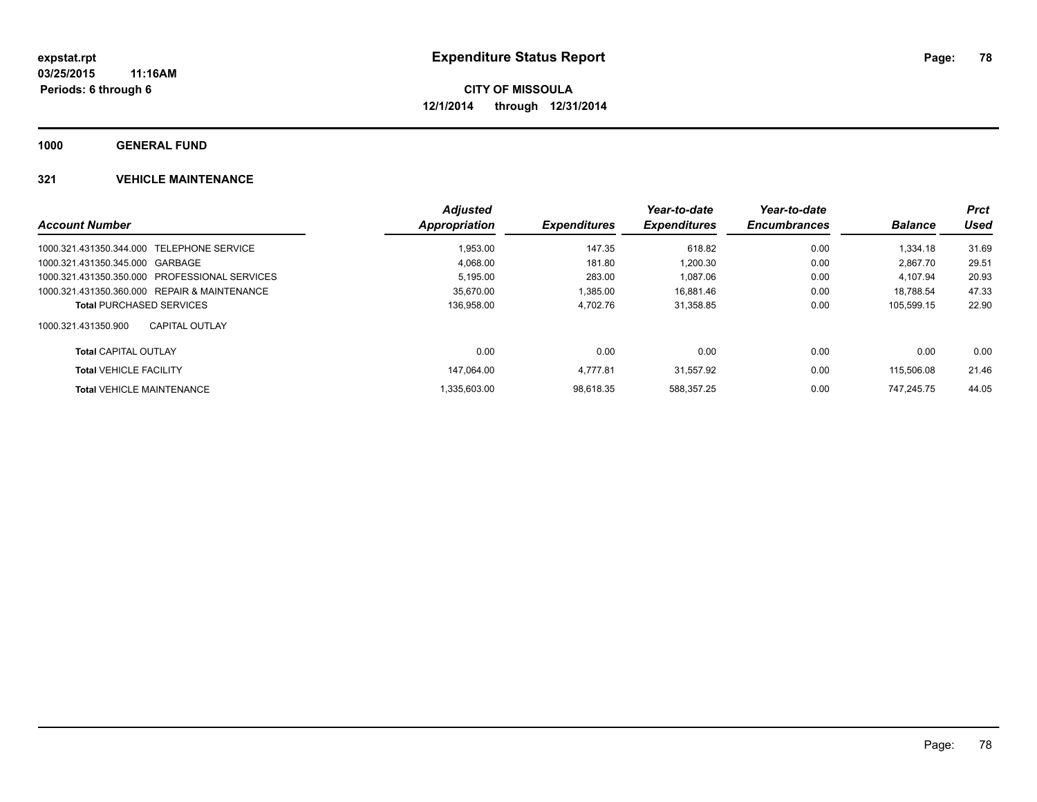**1000 GENERAL FUND**

|                                               | <b>Adjusted</b> |                            | Year-to-date        | Year-to-date        |                | <b>Prct</b> |
|-----------------------------------------------|-----------------|----------------------------|---------------------|---------------------|----------------|-------------|
| <b>Account Number</b>                         | Appropriation   | <i><b>Expenditures</b></i> | <b>Expenditures</b> | <b>Encumbrances</b> | <b>Balance</b> | Used        |
| 1000.321.431350.344.000 TELEPHONE SERVICE     | 1.953.00        | 147.35                     | 618.82              | 0.00                | 1.334.18       | 31.69       |
| 1000.321.431350.345.000 GARBAGE               | 4.068.00        | 181.80                     | 1.200.30            | 0.00                | 2.867.70       | 29.51       |
| 1000.321.431350.350.000 PROFESSIONAL SERVICES | 5,195.00        | 283.00                     | 1.087.06            | 0.00                | 4.107.94       | 20.93       |
| 1000.321.431350.360.000 REPAIR & MAINTENANCE  | 35.670.00       | 1.385.00                   | 16,881.46           | 0.00                | 18.788.54      | 47.33       |
| <b>Total PURCHASED SERVICES</b>               | 136,958.00      | 4.702.76                   | 31,358.85           | 0.00                | 105.599.15     | 22.90       |
| 1000.321.431350.900<br><b>CAPITAL OUTLAY</b>  |                 |                            |                     |                     |                |             |
| <b>Total CAPITAL OUTLAY</b>                   | 0.00            | 0.00                       | 0.00                | 0.00                | 0.00           | 0.00        |
| <b>Total VEHICLE FACILITY</b>                 | 147.064.00      | 4.777.81                   | 31.557.92           | 0.00                | 115,506.08     | 21.46       |
| <b>Total VEHICLE MAINTENANCE</b>              | .335.603.00     | 98.618.35                  | 588.357.25          | 0.00                | 747.245.75     | 44.05       |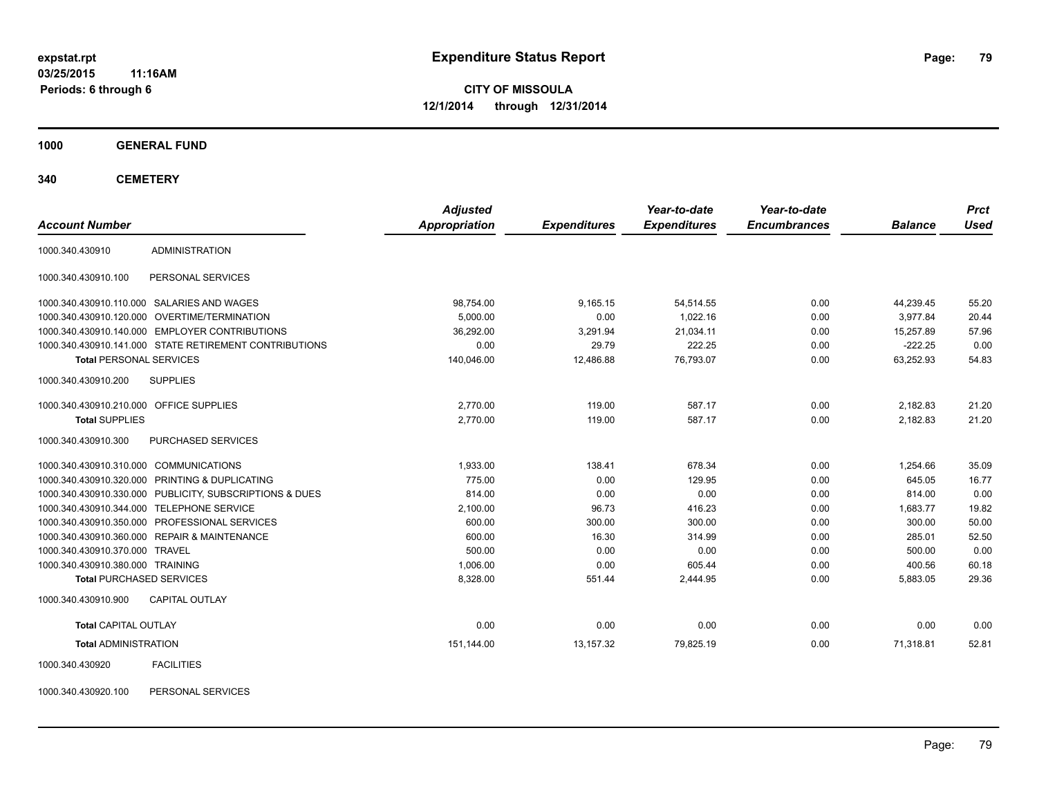**03/25/2015 11:16AM Periods: 6 through 6**

**CITY OF MISSOULA 12/1/2014 through 12/31/2014**

**1000 GENERAL FUND**

**340 CEMETERY**

| <b>Account Number</b>                   |                                                         | <b>Adjusted</b><br>Appropriation | <b>Expenditures</b> | Year-to-date<br><b>Expenditures</b> | Year-to-date<br><b>Encumbrances</b> | <b>Balance</b> | <b>Prct</b><br><b>Used</b> |
|-----------------------------------------|---------------------------------------------------------|----------------------------------|---------------------|-------------------------------------|-------------------------------------|----------------|----------------------------|
| 1000.340.430910                         | <b>ADMINISTRATION</b>                                   |                                  |                     |                                     |                                     |                |                            |
| 1000.340.430910.100                     | PERSONAL SERVICES                                       |                                  |                     |                                     |                                     |                |                            |
|                                         | 1000.340.430910.110.000 SALARIES AND WAGES              | 98,754.00                        | 9,165.15            | 54,514.55                           | 0.00                                | 44,239.45      | 55.20                      |
|                                         | 1000.340.430910.120.000 OVERTIME/TERMINATION            | 5,000.00                         | 0.00                | 1.022.16                            | 0.00                                | 3.977.84       | 20.44                      |
|                                         | 1000.340.430910.140.000 EMPLOYER CONTRIBUTIONS          | 36,292.00                        | 3,291.94            | 21,034.11                           | 0.00                                | 15,257.89      | 57.96                      |
|                                         | 1000.340.430910.141.000 STATE RETIREMENT CONTRIBUTIONS  | 0.00                             | 29.79               | 222.25                              | 0.00                                | $-222.25$      | 0.00                       |
| <b>Total PERSONAL SERVICES</b>          |                                                         | 140,046.00                       | 12,486.88           | 76,793.07                           | 0.00                                | 63,252.93      | 54.83                      |
| 1000.340.430910.200                     | <b>SUPPLIES</b>                                         |                                  |                     |                                     |                                     |                |                            |
| 1000.340.430910.210.000 OFFICE SUPPLIES |                                                         | 2,770.00                         | 119.00              | 587.17                              | 0.00                                | 2,182.83       | 21.20                      |
| <b>Total SUPPLIES</b>                   |                                                         | 2,770.00                         | 119.00              | 587.17                              | 0.00                                | 2,182.83       | 21.20                      |
| 1000.340.430910.300                     | PURCHASED SERVICES                                      |                                  |                     |                                     |                                     |                |                            |
| 1000.340.430910.310.000 COMMUNICATIONS  |                                                         | 1.933.00                         | 138.41              | 678.34                              | 0.00                                | 1,254.66       | 35.09                      |
|                                         | 1000.340.430910.320.000 PRINTING & DUPLICATING          | 775.00                           | 0.00                | 129.95                              | 0.00                                | 645.05         | 16.77                      |
|                                         | 1000.340.430910.330.000 PUBLICITY, SUBSCRIPTIONS & DUES | 814.00                           | 0.00                | 0.00                                | 0.00                                | 814.00         | 0.00                       |
|                                         | 1000.340.430910.344.000 TELEPHONE SERVICE               | 2,100.00                         | 96.73               | 416.23                              | 0.00                                | 1,683.77       | 19.82                      |
|                                         | 1000.340.430910.350.000 PROFESSIONAL SERVICES           | 600.00                           | 300.00              | 300.00                              | 0.00                                | 300.00         | 50.00                      |
|                                         | 1000.340.430910.360.000 REPAIR & MAINTENANCE            | 600.00                           | 16.30               | 314.99                              | 0.00                                | 285.01         | 52.50                      |
| 1000.340.430910.370.000 TRAVEL          |                                                         | 500.00                           | 0.00                | 0.00                                | 0.00                                | 500.00         | 0.00                       |
| 1000.340.430910.380.000 TRAINING        |                                                         | 1,006.00                         | 0.00                | 605.44                              | 0.00                                | 400.56         | 60.18                      |
| <b>Total PURCHASED SERVICES</b>         |                                                         | 8,328.00                         | 551.44              | 2,444.95                            | 0.00                                | 5,883.05       | 29.36                      |
| 1000.340.430910.900                     | <b>CAPITAL OUTLAY</b>                                   |                                  |                     |                                     |                                     |                |                            |
| <b>Total CAPITAL OUTLAY</b>             |                                                         | 0.00                             | 0.00                | 0.00                                | 0.00                                | 0.00           | 0.00                       |
| <b>Total ADMINISTRATION</b>             |                                                         | 151,144.00                       | 13,157.32           | 79,825.19                           | 0.00                                | 71,318.81      | 52.81                      |
| 1000.340.430920                         | <b>FACILITIES</b>                                       |                                  |                     |                                     |                                     |                |                            |

1000.340.430920.100 PERSONAL SERVICES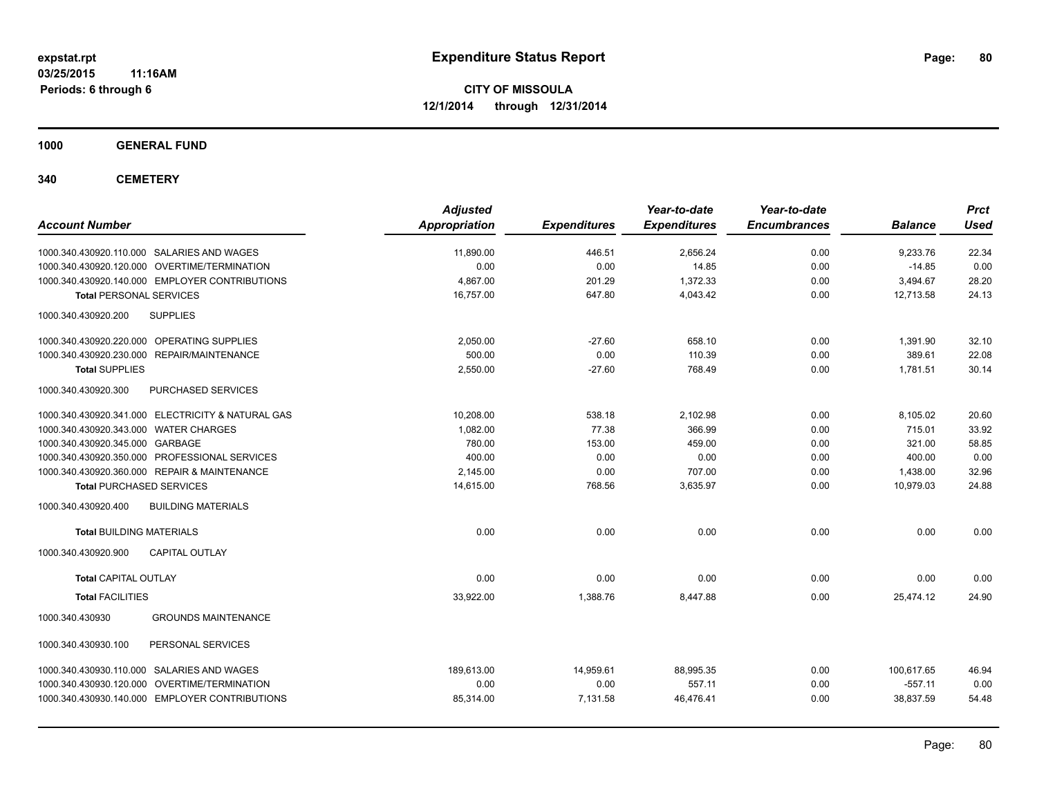**1000 GENERAL FUND**

**340 CEMETERY**

| <b>Account Number</b>                             | <b>Adjusted</b><br>Appropriation | <b>Expenditures</b> | Year-to-date<br><b>Expenditures</b> | Year-to-date<br><b>Encumbrances</b> | <b>Balance</b> | <b>Prct</b><br><b>Used</b> |
|---------------------------------------------------|----------------------------------|---------------------|-------------------------------------|-------------------------------------|----------------|----------------------------|
| 1000.340.430920.110.000 SALARIES AND WAGES        | 11,890.00                        | 446.51              | 2,656.24                            | 0.00                                | 9,233.76       | 22.34                      |
| 1000.340.430920.120.000 OVERTIME/TERMINATION      | 0.00                             | 0.00                | 14.85                               | 0.00                                | $-14.85$       | 0.00                       |
| 1000.340.430920.140.000 EMPLOYER CONTRIBUTIONS    | 4.867.00                         | 201.29              | 1,372.33                            | 0.00                                | 3,494.67       | 28.20                      |
| <b>Total PERSONAL SERVICES</b>                    | 16,757.00                        | 647.80              | 4,043.42                            | 0.00                                | 12,713.58      | 24.13                      |
| 1000.340.430920.200<br><b>SUPPLIES</b>            |                                  |                     |                                     |                                     |                |                            |
| 1000.340.430920.220.000 OPERATING SUPPLIES        | 2,050.00                         | $-27.60$            | 658.10                              | 0.00                                | 1,391.90       | 32.10                      |
| 1000.340.430920.230.000 REPAIR/MAINTENANCE        | 500.00                           | 0.00                | 110.39                              | 0.00                                | 389.61         | 22.08                      |
| <b>Total SUPPLIES</b>                             | 2,550.00                         | $-27.60$            | 768.49                              | 0.00                                | 1,781.51       | 30.14                      |
| 1000.340.430920.300<br>PURCHASED SERVICES         |                                  |                     |                                     |                                     |                |                            |
| 1000.340.430920.341.000 ELECTRICITY & NATURAL GAS | 10,208.00                        | 538.18              | 2,102.98                            | 0.00                                | 8,105.02       | 20.60                      |
| 1000.340.430920.343.000 WATER CHARGES             | 1,082.00                         | 77.38               | 366.99                              | 0.00                                | 715.01         | 33.92                      |
| 1000.340.430920.345.000 GARBAGE                   | 780.00                           | 153.00              | 459.00                              | 0.00                                | 321.00         | 58.85                      |
| 1000.340.430920.350.000 PROFESSIONAL SERVICES     | 400.00                           | 0.00                | 0.00                                | 0.00                                | 400.00         | 0.00                       |
| 1000.340.430920.360.000 REPAIR & MAINTENANCE      | 2,145.00                         | 0.00                | 707.00                              | 0.00                                | 1,438.00       | 32.96                      |
| <b>Total PURCHASED SERVICES</b>                   | 14,615.00                        | 768.56              | 3,635.97                            | 0.00                                | 10,979.03      | 24.88                      |
| 1000.340.430920.400<br><b>BUILDING MATERIALS</b>  |                                  |                     |                                     |                                     |                |                            |
| <b>Total BUILDING MATERIALS</b>                   | 0.00                             | 0.00                | 0.00                                | 0.00                                | 0.00           | 0.00                       |
| 1000.340.430920.900<br><b>CAPITAL OUTLAY</b>      |                                  |                     |                                     |                                     |                |                            |
| <b>Total CAPITAL OUTLAY</b>                       | 0.00                             | 0.00                | 0.00                                | 0.00                                | 0.00           | 0.00                       |
| <b>Total FACILITIES</b>                           | 33,922.00                        | 1,388.76            | 8,447.88                            | 0.00                                | 25,474.12      | 24.90                      |
| 1000.340.430930<br><b>GROUNDS MAINTENANCE</b>     |                                  |                     |                                     |                                     |                |                            |
| 1000.340.430930.100<br>PERSONAL SERVICES          |                                  |                     |                                     |                                     |                |                            |
| 1000.340.430930.110.000 SALARIES AND WAGES        | 189.613.00                       | 14,959.61           | 88.995.35                           | 0.00                                | 100,617.65     | 46.94                      |
| 1000.340.430930.120.000 OVERTIME/TERMINATION      | 0.00                             | 0.00                | 557.11                              | 0.00                                | $-557.11$      | 0.00                       |
| 1000.340.430930.140.000 EMPLOYER CONTRIBUTIONS    | 85,314.00                        | 7,131.58            | 46,476.41                           | 0.00                                | 38,837.59      | 54.48                      |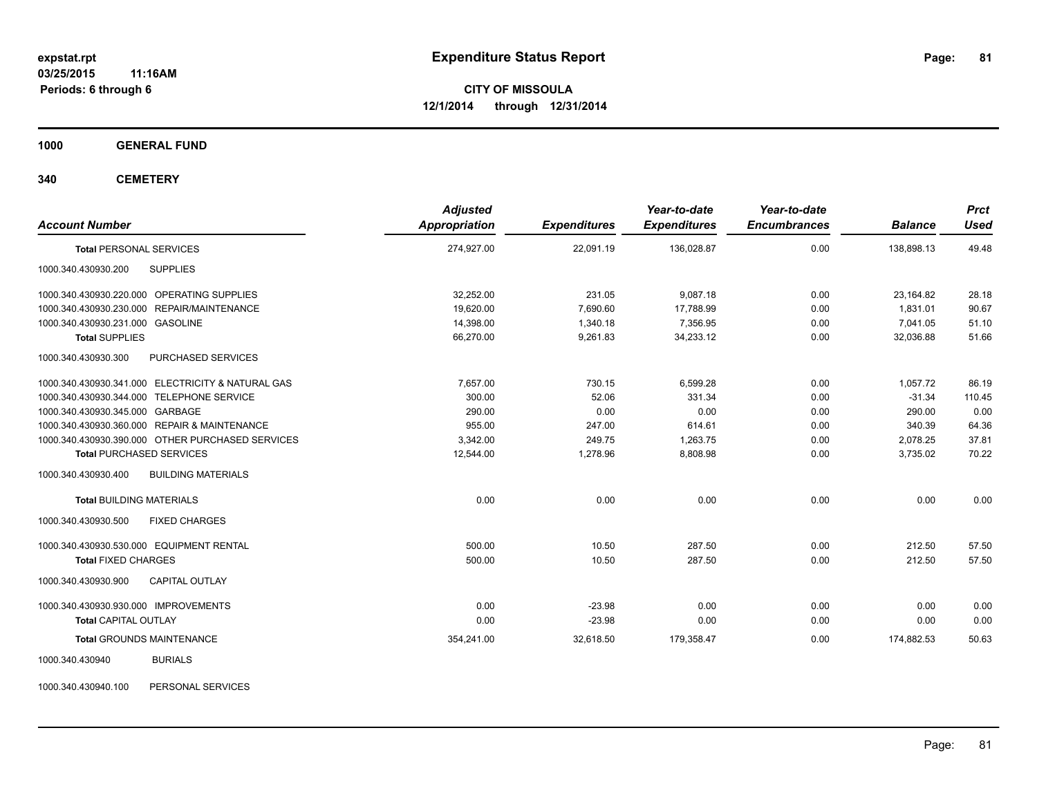**1000 GENERAL FUND**

**340 CEMETERY**

| <b>Adjusted</b><br>Appropriation | <b>Expenditures</b> | Year-to-date<br><b>Expenditures</b> | Year-to-date<br><b>Encumbrances</b> | <b>Balance</b> | <b>Prct</b><br><b>Used</b> |
|----------------------------------|---------------------|-------------------------------------|-------------------------------------|----------------|----------------------------|
| 274,927.00                       | 22,091.19           | 136,028.87                          | 0.00                                | 138,898.13     | 49.48                      |
|                                  |                     |                                     |                                     |                |                            |
| 32,252.00                        | 231.05              | 9,087.18                            | 0.00                                | 23,164.82      | 28.18                      |
| 19,620.00                        | 7,690.60            | 17,788.99                           | 0.00                                | 1.831.01       | 90.67                      |
| 14,398.00                        | 1,340.18            | 7.356.95                            | 0.00                                | 7,041.05       | 51.10                      |
| 66,270.00                        | 9,261.83            | 34,233.12                           | 0.00                                | 32,036.88      | 51.66                      |
|                                  |                     |                                     |                                     |                |                            |
| 7,657.00                         | 730.15              | 6,599.28                            | 0.00                                | 1,057.72       | 86.19                      |
| 300.00                           | 52.06               | 331.34                              | 0.00                                | $-31.34$       | 110.45                     |
| 290.00                           | 0.00                | 0.00                                | 0.00                                | 290.00         | 0.00                       |
| 955.00                           | 247.00              | 614.61                              | 0.00                                | 340.39         | 64.36                      |
| 3,342.00                         | 249.75              | 1,263.75                            | 0.00                                | 2,078.25       | 37.81                      |
| 12,544.00                        | 1,278.96            | 8,808.98                            | 0.00                                | 3,735.02       | 70.22                      |
|                                  |                     |                                     |                                     |                |                            |
| 0.00                             | 0.00                | 0.00                                | 0.00                                | 0.00           | 0.00                       |
|                                  |                     |                                     |                                     |                |                            |
| 500.00                           | 10.50               | 287.50                              | 0.00                                | 212.50         | 57.50                      |
| 500.00                           | 10.50               | 287.50                              | 0.00                                | 212.50         | 57.50                      |
|                                  |                     |                                     |                                     |                |                            |
| 0.00                             | $-23.98$            | 0.00                                | 0.00                                | 0.00           | 0.00                       |
| 0.00                             | $-23.98$            | 0.00                                | 0.00                                | 0.00           | 0.00                       |
| 354,241.00                       | 32,618.50           | 179,358.47                          | 0.00                                | 174,882.53     | 50.63                      |
|                                  |                     |                                     |                                     |                |                            |
|                                  |                     |                                     |                                     |                |                            |

1000.340.430940.100 PERSONAL SERVICES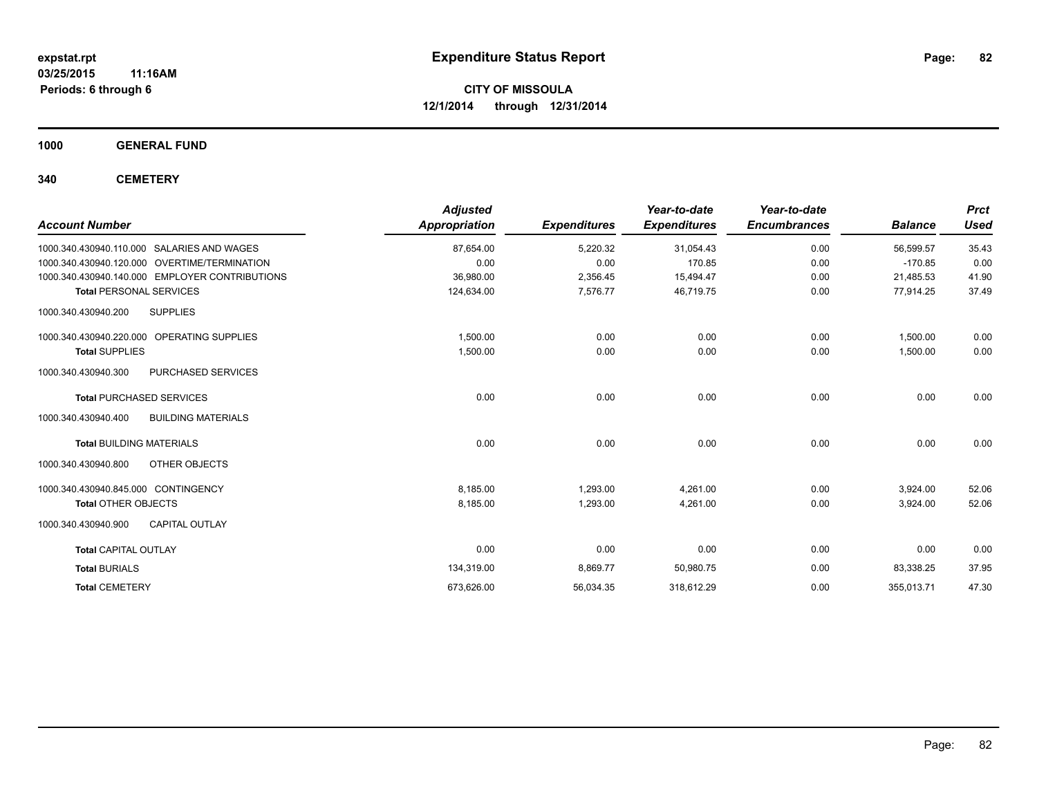**1000 GENERAL FUND**

**340 CEMETERY**

|                                                  | <b>Adjusted</b>      |                     | Year-to-date        | Year-to-date        |                | <b>Prct</b> |
|--------------------------------------------------|----------------------|---------------------|---------------------|---------------------|----------------|-------------|
| <b>Account Number</b>                            | <b>Appropriation</b> | <b>Expenditures</b> | <b>Expenditures</b> | <b>Encumbrances</b> | <b>Balance</b> | <b>Used</b> |
| 1000.340.430940.110.000<br>SALARIES AND WAGES    | 87,654.00            | 5,220.32            | 31,054.43           | 0.00                | 56,599.57      | 35.43       |
| 1000.340.430940.120.000 OVERTIME/TERMINATION     | 0.00                 | 0.00                | 170.85              | 0.00                | $-170.85$      | 0.00        |
| 1000.340.430940.140.000 EMPLOYER CONTRIBUTIONS   | 36,980.00            | 2,356.45            | 15,494.47           | 0.00                | 21,485.53      | 41.90       |
| <b>Total PERSONAL SERVICES</b>                   | 124,634.00           | 7,576.77            | 46,719.75           | 0.00                | 77,914.25      | 37.49       |
| 1000.340.430940.200<br><b>SUPPLIES</b>           |                      |                     |                     |                     |                |             |
| 1000.340.430940.220.000 OPERATING SUPPLIES       | 1,500.00             | 0.00                | 0.00                | 0.00                | 1.500.00       | 0.00        |
| <b>Total SUPPLIES</b>                            | 1,500.00             | 0.00                | 0.00                | 0.00                | 1,500.00       | 0.00        |
| 1000.340.430940.300<br><b>PURCHASED SERVICES</b> |                      |                     |                     |                     |                |             |
| <b>Total PURCHASED SERVICES</b>                  | 0.00                 | 0.00                | 0.00                | 0.00                | 0.00           | 0.00        |
| <b>BUILDING MATERIALS</b><br>1000.340.430940.400 |                      |                     |                     |                     |                |             |
| <b>Total BUILDING MATERIALS</b>                  | 0.00                 | 0.00                | 0.00                | 0.00                | 0.00           | 0.00        |
| OTHER OBJECTS<br>1000.340.430940.800             |                      |                     |                     |                     |                |             |
| 1000.340.430940.845.000 CONTINGENCY              | 8,185.00             | 1,293.00            | 4,261.00            | 0.00                | 3,924.00       | 52.06       |
| <b>Total OTHER OBJECTS</b>                       | 8,185.00             | 1,293.00            | 4,261.00            | 0.00                | 3,924.00       | 52.06       |
| <b>CAPITAL OUTLAY</b><br>1000.340.430940.900     |                      |                     |                     |                     |                |             |
| <b>Total CAPITAL OUTLAY</b>                      | 0.00                 | 0.00                | 0.00                | 0.00                | 0.00           | 0.00        |
| <b>Total BURIALS</b>                             | 134,319.00           | 8,869.77            | 50,980.75           | 0.00                | 83,338.25      | 37.95       |
| <b>Total CEMETERY</b>                            | 673,626.00           | 56,034.35           | 318,612.29          | 0.00                | 355,013.71     | 47.30       |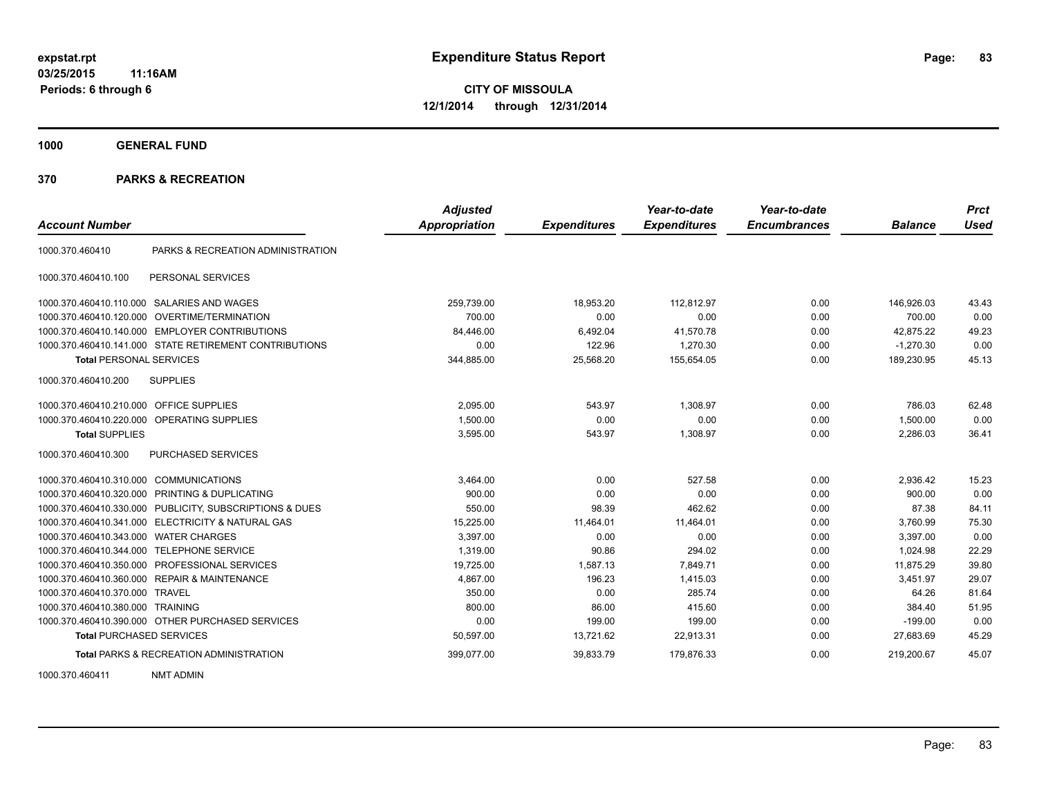**1000 GENERAL FUND**

| <b>Account Number</b>                   |                                                         | <b>Adjusted</b><br><b>Appropriation</b> | <b>Expenditures</b> | Year-to-date<br><b>Expenditures</b> | Year-to-date<br><b>Encumbrances</b> | <b>Balance</b> | <b>Prct</b><br>Used |
|-----------------------------------------|---------------------------------------------------------|-----------------------------------------|---------------------|-------------------------------------|-------------------------------------|----------------|---------------------|
|                                         |                                                         |                                         |                     |                                     |                                     |                |                     |
| 1000.370.460410                         | PARKS & RECREATION ADMINISTRATION                       |                                         |                     |                                     |                                     |                |                     |
| 1000.370.460410.100                     | PERSONAL SERVICES                                       |                                         |                     |                                     |                                     |                |                     |
|                                         | 1000.370.460410.110.000 SALARIES AND WAGES              | 259,739.00                              | 18,953.20           | 112,812.97                          | 0.00                                | 146,926.03     | 43.43               |
|                                         | 1000.370.460410.120.000 OVERTIME/TERMINATION            | 700.00                                  | 0.00                | 0.00                                | 0.00                                | 700.00         | 0.00                |
|                                         | 1000.370.460410.140.000 EMPLOYER CONTRIBUTIONS          | 84,446.00                               | 6,492.04            | 41,570.78                           | 0.00                                | 42,875.22      | 49.23               |
|                                         | 1000.370.460410.141.000 STATE RETIREMENT CONTRIBUTIONS  | 0.00                                    | 122.96              | 1.270.30                            | 0.00                                | $-1,270.30$    | 0.00                |
| <b>Total PERSONAL SERVICES</b>          |                                                         | 344,885.00                              | 25,568.20           | 155,654.05                          | 0.00                                | 189,230.95     | 45.13               |
| 1000.370.460410.200                     | <b>SUPPLIES</b>                                         |                                         |                     |                                     |                                     |                |                     |
| 1000.370.460410.210.000 OFFICE SUPPLIES |                                                         | 2,095.00                                | 543.97              | 1,308.97                            | 0.00                                | 786.03         | 62.48               |
|                                         | 1000.370.460410.220.000 OPERATING SUPPLIES              | 1,500.00                                | 0.00                | 0.00                                | 0.00                                | 1,500.00       | 0.00                |
| <b>Total SUPPLIES</b>                   |                                                         | 3,595.00                                | 543.97              | 1,308.97                            | 0.00                                | 2,286.03       | 36.41               |
| 1000.370.460410.300                     | <b>PURCHASED SERVICES</b>                               |                                         |                     |                                     |                                     |                |                     |
| 1000.370.460410.310.000 COMMUNICATIONS  |                                                         | 3,464.00                                | 0.00                | 527.58                              | 0.00                                | 2.936.42       | 15.23               |
|                                         | 1000.370.460410.320.000 PRINTING & DUPLICATING          | 900.00                                  | 0.00                | 0.00                                | 0.00                                | 900.00         | 0.00                |
|                                         | 1000.370.460410.330.000 PUBLICITY, SUBSCRIPTIONS & DUES | 550.00                                  | 98.39               | 462.62                              | 0.00                                | 87.38          | 84.11               |
|                                         | 1000.370.460410.341.000 ELECTRICITY & NATURAL GAS       | 15,225.00                               | 11,464.01           | 11,464.01                           | 0.00                                | 3,760.99       | 75.30               |
| 1000.370.460410.343.000 WATER CHARGES   |                                                         | 3,397.00                                | 0.00                | 0.00                                | 0.00                                | 3,397.00       | 0.00                |
| 1000.370.460410.344.000                 | <b>TELEPHONE SERVICE</b>                                | 1,319.00                                | 90.86               | 294.02                              | 0.00                                | 1,024.98       | 22.29               |
|                                         | 1000.370.460410.350.000 PROFESSIONAL SERVICES           | 19,725.00                               | 1,587.13            | 7,849.71                            | 0.00                                | 11,875.29      | 39.80               |
|                                         | 1000.370.460410.360.000 REPAIR & MAINTENANCE            | 4,867.00                                | 196.23              | 1.415.03                            | 0.00                                | 3,451.97       | 29.07               |
| 1000.370.460410.370.000 TRAVEL          |                                                         | 350.00                                  | 0.00                | 285.74                              | 0.00                                | 64.26          | 81.64               |
| 1000.370.460410.380.000 TRAINING        |                                                         | 800.00                                  | 86.00               | 415.60                              | 0.00                                | 384.40         | 51.95               |
|                                         | 1000.370.460410.390.000 OTHER PURCHASED SERVICES        | 0.00                                    | 199.00              | 199.00                              | 0.00                                | $-199.00$      | 0.00                |
| <b>Total PURCHASED SERVICES</b>         |                                                         | 50,597.00                               | 13,721.62           | 22,913.31                           | 0.00                                | 27,683.69      | 45.29               |
|                                         | <b>Total PARKS &amp; RECREATION ADMINISTRATION</b>      | 399,077.00                              | 39,833.79           | 179,876.33                          | 0.00                                | 219,200.67     | 45.07               |
| 1000.370.460411                         | <b>NMT ADMIN</b>                                        |                                         |                     |                                     |                                     |                |                     |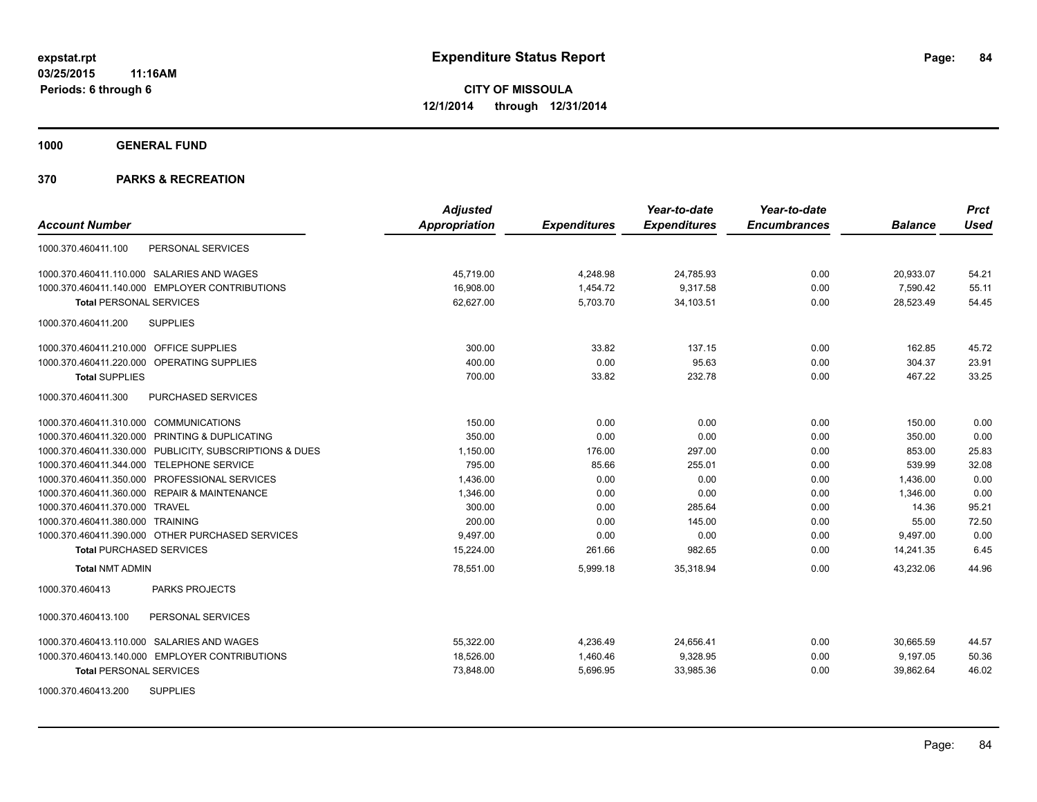**1000 GENERAL FUND**

|                                                         | <b>Adjusted</b>      |                     | Year-to-date        | Year-to-date        |                | <b>Prct</b> |
|---------------------------------------------------------|----------------------|---------------------|---------------------|---------------------|----------------|-------------|
| <b>Account Number</b>                                   | <b>Appropriation</b> | <b>Expenditures</b> | <b>Expenditures</b> | <b>Encumbrances</b> | <b>Balance</b> | Used        |
| PERSONAL SERVICES<br>1000.370.460411.100                |                      |                     |                     |                     |                |             |
| 1000.370.460411.110.000 SALARIES AND WAGES              | 45.719.00            | 4,248.98            | 24,785.93           | 0.00                | 20,933.07      | 54.21       |
| 1000.370.460411.140.000 EMPLOYER CONTRIBUTIONS          | 16,908.00            | 1,454.72            | 9,317.58            | 0.00                | 7,590.42       | 55.11       |
| <b>Total PERSONAL SERVICES</b>                          | 62,627.00            | 5,703.70            | 34,103.51           | 0.00                | 28,523.49      | 54.45       |
| <b>SUPPLIES</b><br>1000.370.460411.200                  |                      |                     |                     |                     |                |             |
| 1000.370.460411.210.000 OFFICE SUPPLIES                 | 300.00               | 33.82               | 137.15              | 0.00                | 162.85         | 45.72       |
| 1000.370.460411.220.000 OPERATING SUPPLIES              | 400.00               | 0.00                | 95.63               | 0.00                | 304.37         | 23.91       |
| <b>Total SUPPLIES</b>                                   | 700.00               | 33.82               | 232.78              | 0.00                | 467.22         | 33.25       |
| 1000.370.460411.300<br>PURCHASED SERVICES               |                      |                     |                     |                     |                |             |
| 1000.370.460411.310.000 COMMUNICATIONS                  | 150.00               | 0.00                | 0.00                | 0.00                | 150.00         | 0.00        |
| 1000.370.460411.320.000 PRINTING & DUPLICATING          | 350.00               | 0.00                | 0.00                | 0.00                | 350.00         | 0.00        |
| 1000.370.460411.330.000 PUBLICITY, SUBSCRIPTIONS & DUES | 1,150.00             | 176.00              | 297.00              | 0.00                | 853.00         | 25.83       |
| 1000.370.460411.344.000 TELEPHONE SERVICE               | 795.00               | 85.66               | 255.01              | 0.00                | 539.99         | 32.08       |
| 1000.370.460411.350.000 PROFESSIONAL SERVICES           | 1,436.00             | 0.00                | 0.00                | 0.00                | 1,436.00       | 0.00        |
| 1000.370.460411.360.000 REPAIR & MAINTENANCE            | 1,346.00             | 0.00                | 0.00                | 0.00                | 1,346.00       | 0.00        |
| 1000.370.460411.370.000 TRAVEL                          | 300.00               | 0.00                | 285.64              | 0.00                | 14.36          | 95.21       |
| 1000.370.460411.380.000 TRAINING                        | 200.00               | 0.00                | 145.00              | 0.00                | 55.00          | 72.50       |
| 1000.370.460411.390.000 OTHER PURCHASED SERVICES        | 9,497.00             | 0.00                | 0.00                | 0.00                | 9,497.00       | 0.00        |
| <b>Total PURCHASED SERVICES</b>                         | 15,224.00            | 261.66              | 982.65              | 0.00                | 14,241.35      | 6.45        |
| <b>Total NMT ADMIN</b>                                  | 78,551.00            | 5,999.18            | 35,318.94           | 0.00                | 43,232.06      | 44.96       |
| 1000.370.460413<br><b>PARKS PROJECTS</b>                |                      |                     |                     |                     |                |             |
| PERSONAL SERVICES<br>1000.370.460413.100                |                      |                     |                     |                     |                |             |
| 1000.370.460413.110.000 SALARIES AND WAGES              | 55,322.00            | 4,236.49            | 24,656.41           | 0.00                | 30,665.59      | 44.57       |
| 1000.370.460413.140.000 EMPLOYER CONTRIBUTIONS          | 18,526.00            | 1,460.46            | 9,328.95            | 0.00                | 9,197.05       | 50.36       |
| <b>Total PERSONAL SERVICES</b>                          | 73,848.00            | 5,696.95            | 33,985.36           | 0.00                | 39,862.64      | 46.02       |
| <b>SUPPLIES</b><br>1000.370.460413.200                  |                      |                     |                     |                     |                |             |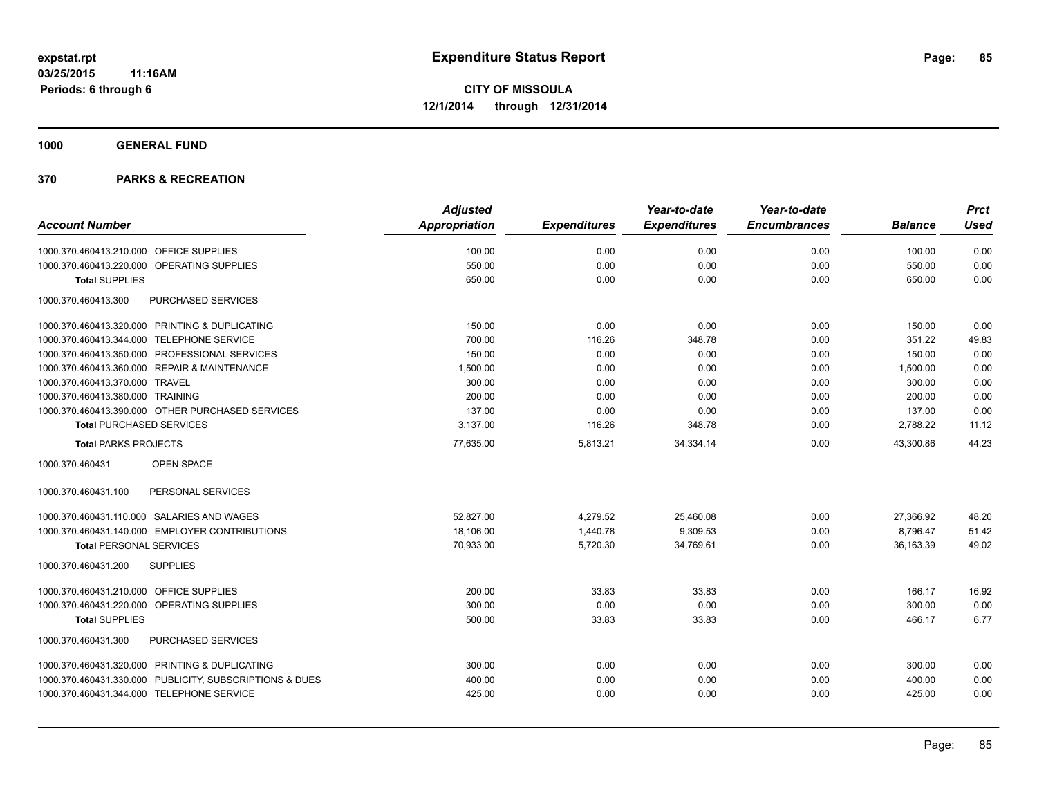**1000 GENERAL FUND**

| <b>Adjusted</b> |                     | Year-to-date        | Year-to-date        |                | <b>Prct</b> |
|-----------------|---------------------|---------------------|---------------------|----------------|-------------|
| Appropriation   | <b>Expenditures</b> | <b>Expenditures</b> | <b>Encumbrances</b> | <b>Balance</b> | <b>Used</b> |
| 100.00          | 0.00                | 0.00                | 0.00                | 100.00         | 0.00        |
| 550.00          | 0.00                | 0.00                | 0.00                | 550.00         | 0.00        |
| 650.00          | 0.00                | 0.00                | 0.00                | 650.00         | 0.00        |
|                 |                     |                     |                     |                |             |
| 150.00          | 0.00                | 0.00                | 0.00                | 150.00         | 0.00        |
| 700.00          | 116.26              | 348.78              | 0.00                | 351.22         | 49.83       |
| 150.00          | 0.00                | 0.00                | 0.00                | 150.00         | 0.00        |
| 1,500.00        | 0.00                | 0.00                | 0.00                | 1,500.00       | 0.00        |
| 300.00          | 0.00                | 0.00                | 0.00                | 300.00         | 0.00        |
| 200.00          | 0.00                | 0.00                | 0.00                | 200.00         | 0.00        |
| 137.00          | 0.00                | 0.00                | 0.00                | 137.00         | 0.00        |
| 3.137.00        | 116.26              | 348.78              | 0.00                | 2,788.22       | 11.12       |
| 77,635.00       | 5,813.21            | 34,334.14           | 0.00                | 43,300.86      | 44.23       |
|                 |                     |                     |                     |                |             |
|                 |                     |                     |                     |                |             |
| 52,827.00       | 4,279.52            | 25,460.08           | 0.00                | 27,366.92      | 48.20       |
| 18,106.00       | 1,440.78            | 9,309.53            | 0.00                | 8.796.47       | 51.42       |
| 70,933.00       | 5,720.30            | 34,769.61           | 0.00                | 36,163.39      | 49.02       |
|                 |                     |                     |                     |                |             |
| 200.00          | 33.83               | 33.83               | 0.00                | 166.17         | 16.92       |
| 300.00          | 0.00                | 0.00                | 0.00                | 300.00         | 0.00        |
| 500.00          | 33.83               | 33.83               | 0.00                | 466.17         | 6.77        |
|                 |                     |                     |                     |                |             |
| 300.00          | 0.00                | 0.00                | 0.00                | 300.00         | 0.00        |
| 400.00          | 0.00                | 0.00                | 0.00                | 400.00         | 0.00        |
| 425.00          | 0.00                | 0.00                | 0.00                | 425.00         | 0.00        |
|                 |                     |                     |                     |                |             |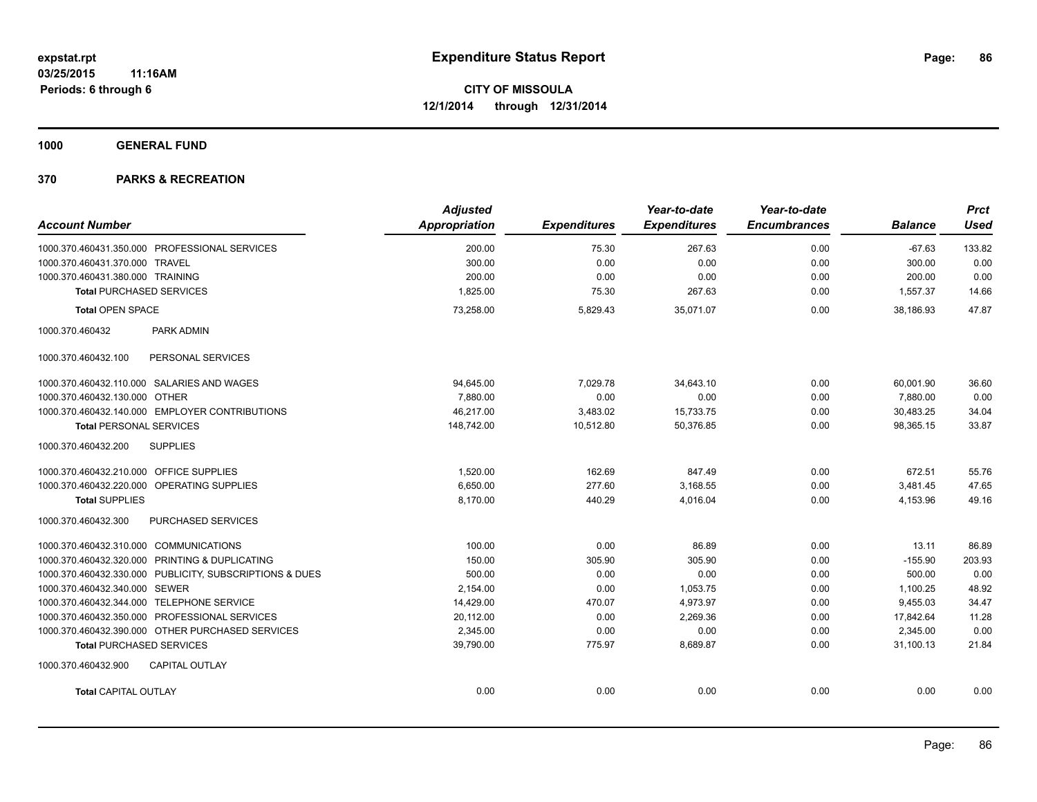**1000 GENERAL FUND**

| <b>Account Number</b>                                   | <b>Adjusted</b><br>Appropriation | <b>Expenditures</b> | Year-to-date<br><b>Expenditures</b> | Year-to-date<br><b>Encumbrances</b> | <b>Balance</b> | <b>Prct</b><br><b>Used</b> |
|---------------------------------------------------------|----------------------------------|---------------------|-------------------------------------|-------------------------------------|----------------|----------------------------|
| 1000.370.460431.350.000 PROFESSIONAL SERVICES           | 200.00                           | 75.30               | 267.63                              | 0.00                                | $-67.63$       | 133.82                     |
| 1000.370.460431.370.000 TRAVEL                          | 300.00                           | 0.00                | 0.00                                | 0.00                                | 300.00         | 0.00                       |
| 1000.370.460431.380.000 TRAINING                        | 200.00                           | 0.00                | 0.00                                | 0.00                                | 200.00         | 0.00                       |
| <b>Total PURCHASED SERVICES</b>                         | 1,825.00                         | 75.30               | 267.63                              | 0.00                                | 1,557.37       | 14.66                      |
| <b>Total OPEN SPACE</b>                                 | 73,258.00                        | 5,829.43            | 35,071.07                           | 0.00                                | 38,186.93      | 47.87                      |
| 1000.370.460432<br><b>PARK ADMIN</b>                    |                                  |                     |                                     |                                     |                |                            |
| PERSONAL SERVICES<br>1000.370.460432.100                |                                  |                     |                                     |                                     |                |                            |
| 1000.370.460432.110.000 SALARIES AND WAGES              | 94,645.00                        | 7,029.78            | 34,643.10                           | 0.00                                | 60,001.90      | 36.60                      |
| 1000.370.460432.130.000 OTHER                           | 7,880.00                         | 0.00                | 0.00                                | 0.00                                | 7,880.00       | 0.00                       |
| 1000.370.460432.140.000 EMPLOYER CONTRIBUTIONS          | 46,217.00                        | 3,483.02            | 15,733.75                           | 0.00                                | 30,483.25      | 34.04                      |
| <b>Total PERSONAL SERVICES</b>                          | 148,742.00                       | 10,512.80           | 50,376.85                           | 0.00                                | 98,365.15      | 33.87                      |
| <b>SUPPLIES</b><br>1000.370.460432.200                  |                                  |                     |                                     |                                     |                |                            |
| 1000.370.460432.210.000 OFFICE SUPPLIES                 | 1.520.00                         | 162.69              | 847.49                              | 0.00                                | 672.51         | 55.76                      |
| 1000.370.460432.220.000 OPERATING SUPPLIES              | 6,650.00                         | 277.60              | 3,168.55                            | 0.00                                | 3,481.45       | 47.65                      |
| <b>Total SUPPLIES</b>                                   | 8,170.00                         | 440.29              | 4,016.04                            | 0.00                                | 4,153.96       | 49.16                      |
| PURCHASED SERVICES<br>1000.370.460432.300               |                                  |                     |                                     |                                     |                |                            |
| 1000.370.460432.310.000 COMMUNICATIONS                  | 100.00                           | 0.00                | 86.89                               | 0.00                                | 13.11          | 86.89                      |
| 1000.370.460432.320.000 PRINTING & DUPLICATING          | 150.00                           | 305.90              | 305.90                              | 0.00                                | $-155.90$      | 203.93                     |
| 1000.370.460432.330.000 PUBLICITY, SUBSCRIPTIONS & DUES | 500.00                           | 0.00                | 0.00                                | 0.00                                | 500.00         | 0.00                       |
| 1000.370.460432.340.000 SEWER                           | 2,154.00                         | 0.00                | 1,053.75                            | 0.00                                | 1,100.25       | 48.92                      |
| 1000.370.460432.344.000 TELEPHONE SERVICE               | 14,429.00                        | 470.07              | 4,973.97                            | 0.00                                | 9,455.03       | 34.47                      |
| 1000.370.460432.350.000 PROFESSIONAL SERVICES           | 20,112.00                        | 0.00                | 2.269.36                            | 0.00                                | 17,842.64      | 11.28                      |
| 1000.370.460432.390.000 OTHER PURCHASED SERVICES        | 2.345.00                         | 0.00                | 0.00                                | 0.00                                | 2.345.00       | 0.00                       |
| <b>Total PURCHASED SERVICES</b>                         | 39,790.00                        | 775.97              | 8,689.87                            | 0.00                                | 31.100.13      | 21.84                      |
| 1000.370.460432.900<br><b>CAPITAL OUTLAY</b>            |                                  |                     |                                     |                                     |                |                            |
| <b>Total CAPITAL OUTLAY</b>                             | 0.00                             | 0.00                | 0.00                                | 0.00                                | 0.00           | 0.00                       |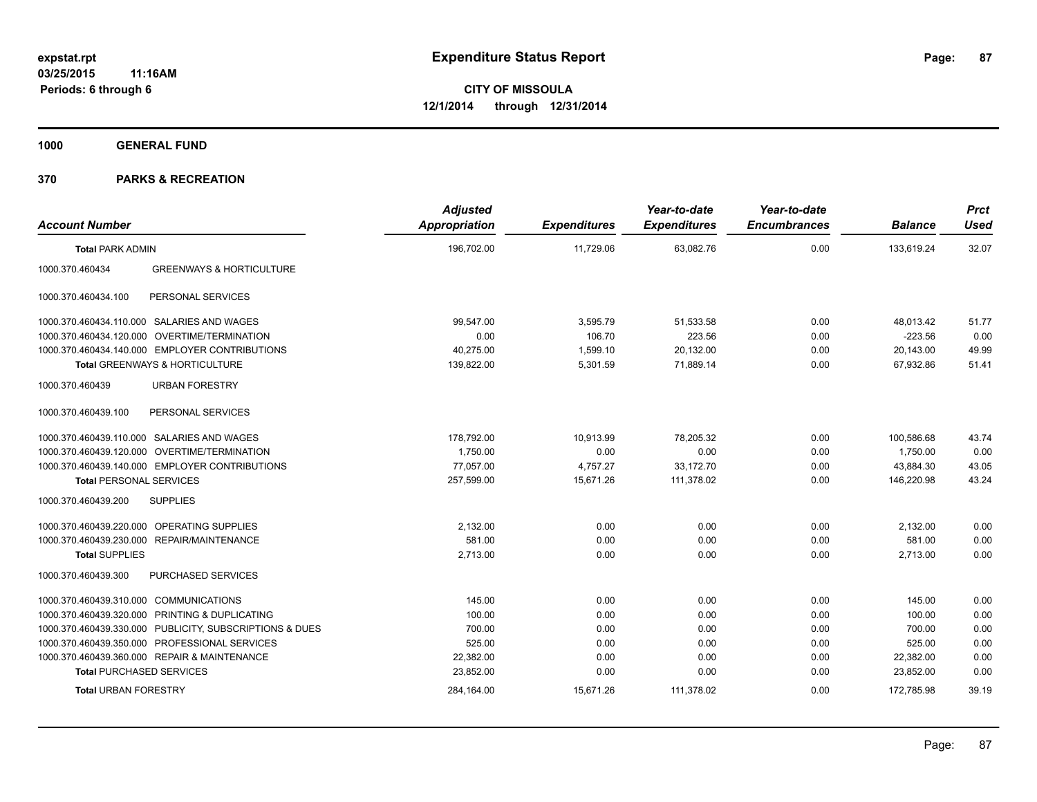**1000 GENERAL FUND**

| <b>Account Number</b>                  |                                                         | <b>Adjusted</b><br><b>Appropriation</b> | <b>Expenditures</b> | Year-to-date<br><b>Expenditures</b> | Year-to-date<br><b>Encumbrances</b> | <b>Balance</b> | <b>Prct</b><br><b>Used</b> |
|----------------------------------------|---------------------------------------------------------|-----------------------------------------|---------------------|-------------------------------------|-------------------------------------|----------------|----------------------------|
| <b>Total PARK ADMIN</b>                |                                                         | 196,702.00                              | 11,729.06           | 63,082.76                           | 0.00                                | 133,619.24     | 32.07                      |
| 1000.370.460434                        | <b>GREENWAYS &amp; HORTICULTURE</b>                     |                                         |                     |                                     |                                     |                |                            |
| 1000.370.460434.100                    | PERSONAL SERVICES                                       |                                         |                     |                                     |                                     |                |                            |
|                                        | 1000.370.460434.110.000 SALARIES AND WAGES              | 99,547.00                               | 3,595.79            | 51,533.58                           | 0.00                                | 48,013.42      | 51.77                      |
|                                        | 1000.370.460434.120.000 OVERTIME/TERMINATION            | 0.00                                    | 106.70              | 223.56                              | 0.00                                | $-223.56$      | 0.00                       |
|                                        | 1000.370.460434.140.000 EMPLOYER CONTRIBUTIONS          | 40,275.00                               | 1,599.10            | 20,132.00                           | 0.00                                | 20,143.00      | 49.99                      |
|                                        | Total GREENWAYS & HORTICULTURE                          | 139,822.00                              | 5,301.59            | 71,889.14                           | 0.00                                | 67,932.86      | 51.41                      |
| 1000.370.460439                        | <b>URBAN FORESTRY</b>                                   |                                         |                     |                                     |                                     |                |                            |
| 1000.370.460439.100                    | PERSONAL SERVICES                                       |                                         |                     |                                     |                                     |                |                            |
|                                        | 1000.370.460439.110.000 SALARIES AND WAGES              | 178,792.00                              | 10,913.99           | 78,205.32                           | 0.00                                | 100,586.68     | 43.74                      |
|                                        | 1000.370.460439.120.000 OVERTIME/TERMINATION            | 1,750.00                                | 0.00                | 0.00                                | 0.00                                | 1,750.00       | 0.00                       |
|                                        | 1000.370.460439.140.000 EMPLOYER CONTRIBUTIONS          | 77,057.00                               | 4,757.27            | 33,172.70                           | 0.00                                | 43,884.30      | 43.05                      |
| <b>Total PERSONAL SERVICES</b>         |                                                         | 257.599.00                              | 15.671.26           | 111.378.02                          | 0.00                                | 146.220.98     | 43.24                      |
| 1000.370.460439.200                    | <b>SUPPLIES</b>                                         |                                         |                     |                                     |                                     |                |                            |
|                                        | 1000.370.460439.220.000 OPERATING SUPPLIES              | 2,132.00                                | 0.00                | 0.00                                | 0.00                                | 2,132.00       | 0.00                       |
|                                        | 1000.370.460439.230.000 REPAIR/MAINTENANCE              | 581.00                                  | 0.00                | 0.00                                | 0.00                                | 581.00         | 0.00                       |
| <b>Total SUPPLIES</b>                  |                                                         | 2,713.00                                | 0.00                | 0.00                                | 0.00                                | 2,713.00       | 0.00                       |
| 1000.370.460439.300                    | PURCHASED SERVICES                                      |                                         |                     |                                     |                                     |                |                            |
| 1000.370.460439.310.000 COMMUNICATIONS |                                                         | 145.00                                  | 0.00                | 0.00                                | 0.00                                | 145.00         | 0.00                       |
|                                        | 1000.370.460439.320.000 PRINTING & DUPLICATING          | 100.00                                  | 0.00                | 0.00                                | 0.00                                | 100.00         | 0.00                       |
|                                        | 1000.370.460439.330.000 PUBLICITY, SUBSCRIPTIONS & DUES | 700.00                                  | 0.00                | 0.00                                | 0.00                                | 700.00         | 0.00                       |
|                                        | 1000.370.460439.350.000 PROFESSIONAL SERVICES           | 525.00                                  | 0.00                | 0.00                                | 0.00                                | 525.00         | 0.00                       |
|                                        | 1000.370.460439.360.000 REPAIR & MAINTENANCE            | 22,382.00                               | 0.00                | 0.00                                | 0.00                                | 22,382.00      | 0.00                       |
| <b>Total PURCHASED SERVICES</b>        |                                                         | 23,852.00                               | 0.00                | 0.00                                | 0.00                                | 23,852.00      | 0.00                       |
| <b>Total URBAN FORESTRY</b>            |                                                         | 284,164.00                              | 15,671.26           | 111,378.02                          | 0.00                                | 172,785.98     | 39.19                      |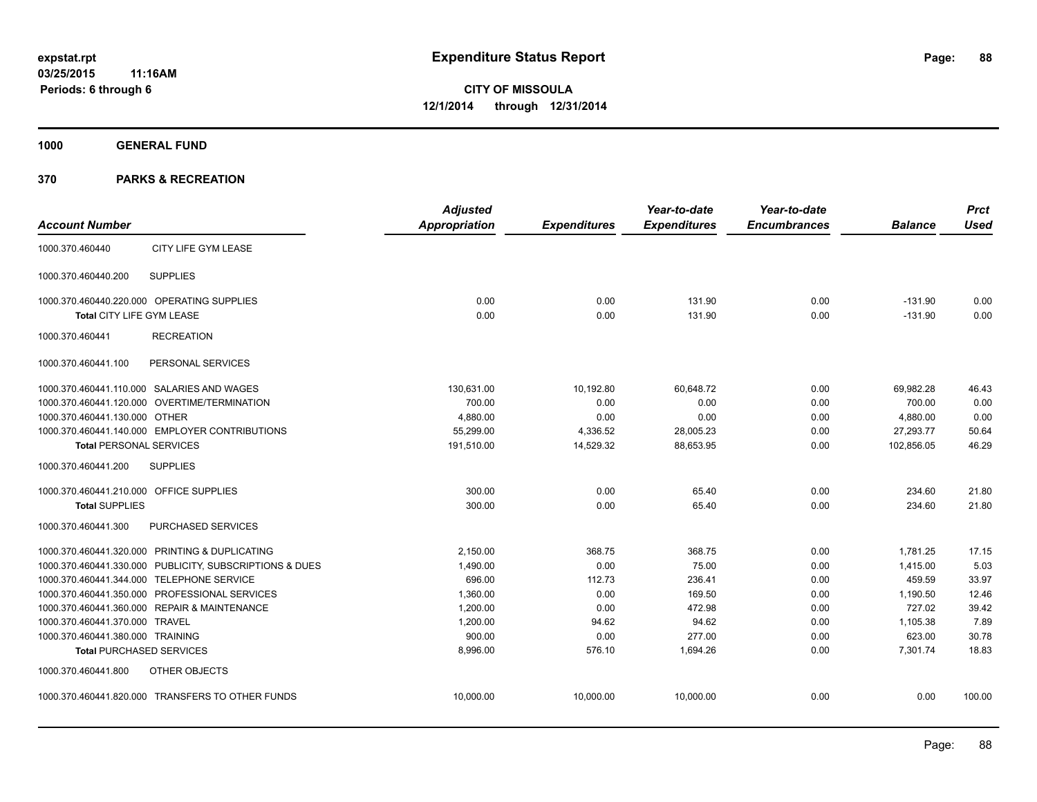**1000 GENERAL FUND**

|                                         |                                                         | <b>Adjusted</b>      |                     | Year-to-date        | Year-to-date        |                | <b>Prct</b> |
|-----------------------------------------|---------------------------------------------------------|----------------------|---------------------|---------------------|---------------------|----------------|-------------|
| <b>Account Number</b>                   |                                                         | <b>Appropriation</b> | <b>Expenditures</b> | <b>Expenditures</b> | <b>Encumbrances</b> | <b>Balance</b> | <b>Used</b> |
| 1000.370.460440                         | CITY LIFE GYM LEASE                                     |                      |                     |                     |                     |                |             |
| 1000.370.460440.200                     | <b>SUPPLIES</b>                                         |                      |                     |                     |                     |                |             |
|                                         | 1000.370.460440.220.000 OPERATING SUPPLIES              | 0.00                 | 0.00                | 131.90              | 0.00                | $-131.90$      | 0.00        |
| <b>Total CITY LIFE GYM LEASE</b>        |                                                         | 0.00                 | 0.00                | 131.90              | 0.00                | $-131.90$      | 0.00        |
| 1000.370.460441                         | <b>RECREATION</b>                                       |                      |                     |                     |                     |                |             |
| 1000.370.460441.100                     | PERSONAL SERVICES                                       |                      |                     |                     |                     |                |             |
|                                         | 1000.370.460441.110.000 SALARIES AND WAGES              | 130,631.00           | 10,192.80           | 60.648.72           | 0.00                | 69,982.28      | 46.43       |
|                                         | 1000.370.460441.120.000 OVERTIME/TERMINATION            | 700.00               | 0.00                | 0.00                | 0.00                | 700.00         | 0.00        |
| 1000.370.460441.130.000 OTHER           |                                                         | 4,880.00             | 0.00                | 0.00                | 0.00                | 4,880.00       | 0.00        |
|                                         | 1000.370.460441.140.000 EMPLOYER CONTRIBUTIONS          | 55,299.00            | 4,336.52            | 28,005.23           | 0.00                | 27,293.77      | 50.64       |
| <b>Total PERSONAL SERVICES</b>          |                                                         | 191,510.00           | 14,529.32           | 88,653.95           | 0.00                | 102,856.05     | 46.29       |
| 1000.370.460441.200                     | <b>SUPPLIES</b>                                         |                      |                     |                     |                     |                |             |
| 1000.370.460441.210.000 OFFICE SUPPLIES |                                                         | 300.00               | 0.00                | 65.40               | 0.00                | 234.60         | 21.80       |
| <b>Total SUPPLIES</b>                   |                                                         | 300.00               | 0.00                | 65.40               | 0.00                | 234.60         | 21.80       |
| 1000.370.460441.300                     | PURCHASED SERVICES                                      |                      |                     |                     |                     |                |             |
|                                         | 1000.370.460441.320.000 PRINTING & DUPLICATING          | 2,150.00             | 368.75              | 368.75              | 0.00                | 1,781.25       | 17.15       |
|                                         | 1000.370.460441.330.000 PUBLICITY, SUBSCRIPTIONS & DUES | 1,490.00             | 0.00                | 75.00               | 0.00                | 1,415.00       | 5.03        |
|                                         | 1000.370.460441.344.000 TELEPHONE SERVICE               | 696.00               | 112.73              | 236.41              | 0.00                | 459.59         | 33.97       |
|                                         | 1000.370.460441.350.000 PROFESSIONAL SERVICES           | 1,360.00             | 0.00                | 169.50              | 0.00                | 1,190.50       | 12.46       |
|                                         | 1000.370.460441.360.000 REPAIR & MAINTENANCE            | 1,200.00             | 0.00                | 472.98              | 0.00                | 727.02         | 39.42       |
| 1000.370.460441.370.000 TRAVEL          |                                                         | 1,200.00             | 94.62               | 94.62               | 0.00                | 1,105.38       | 7.89        |
| 1000.370.460441.380.000 TRAINING        |                                                         | 900.00               | 0.00                | 277.00              | 0.00                | 623.00         | 30.78       |
|                                         | <b>Total PURCHASED SERVICES</b>                         | 8,996.00             | 576.10              | 1,694.26            | 0.00                | 7,301.74       | 18.83       |
| 1000.370.460441.800                     | OTHER OBJECTS                                           |                      |                     |                     |                     |                |             |
|                                         | 1000.370.460441.820.000 TRANSFERS TO OTHER FUNDS        | 10,000.00            | 10,000.00           | 10,000.00           | 0.00                | 0.00           | 100.00      |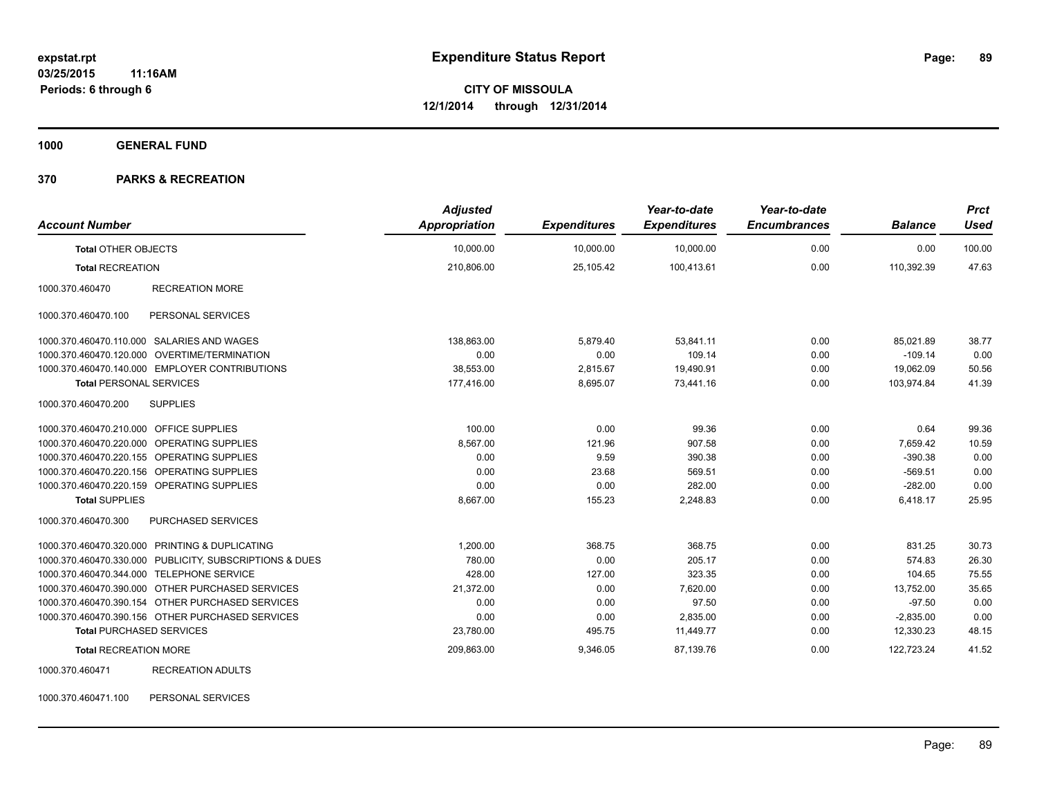**1000 GENERAL FUND**

#### **370 PARKS & RECREATION**

| <b>Account Number</b>                   |                                                         | <b>Adjusted</b><br>Appropriation | <b>Expenditures</b> | Year-to-date<br><b>Expenditures</b> | Year-to-date<br><b>Encumbrances</b> | <b>Balance</b> | <b>Prct</b><br><b>Used</b> |
|-----------------------------------------|---------------------------------------------------------|----------------------------------|---------------------|-------------------------------------|-------------------------------------|----------------|----------------------------|
| <b>Total OTHER OBJECTS</b>              |                                                         | 10,000.00                        | 10,000.00           | 10,000.00                           | 0.00                                | 0.00           | 100.00                     |
| <b>Total RECREATION</b>                 |                                                         | 210,806.00                       | 25.105.42           | 100,413.61                          | 0.00                                | 110.392.39     | 47.63                      |
| 1000.370.460470                         | <b>RECREATION MORE</b>                                  |                                  |                     |                                     |                                     |                |                            |
| 1000.370.460470.100                     | PERSONAL SERVICES                                       |                                  |                     |                                     |                                     |                |                            |
|                                         | 1000.370.460470.110.000 SALARIES AND WAGES              | 138.863.00                       | 5,879.40            | 53,841.11                           | 0.00                                | 85.021.89      | 38.77                      |
|                                         | 1000.370.460470.120.000 OVERTIME/TERMINATION            | 0.00                             | 0.00                | 109.14                              | 0.00                                | $-109.14$      | 0.00                       |
|                                         | 1000.370.460470.140.000 EMPLOYER CONTRIBUTIONS          | 38,553.00                        | 2,815.67            | 19,490.91                           | 0.00                                | 19,062.09      | 50.56                      |
| <b>Total PERSONAL SERVICES</b>          |                                                         | 177,416.00                       | 8,695.07            | 73,441.16                           | 0.00                                | 103,974.84     | 41.39                      |
| 1000.370.460470.200                     | <b>SUPPLIES</b>                                         |                                  |                     |                                     |                                     |                |                            |
| 1000.370.460470.210.000 OFFICE SUPPLIES |                                                         | 100.00                           | 0.00                | 99.36                               | 0.00                                | 0.64           | 99.36                      |
|                                         | 1000.370.460470.220.000 OPERATING SUPPLIES              | 8,567.00                         | 121.96              | 907.58                              | 0.00                                | 7,659.42       | 10.59                      |
|                                         | 1000.370.460470.220.155 OPERATING SUPPLIES              | 0.00                             | 9.59                | 390.38                              | 0.00                                | $-390.38$      | 0.00                       |
|                                         | 1000.370.460470.220.156 OPERATING SUPPLIES              | 0.00                             | 23.68               | 569.51                              | 0.00                                | $-569.51$      | 0.00                       |
|                                         | 1000.370.460470.220.159 OPERATING SUPPLIES              | 0.00                             | 0.00                | 282.00                              | 0.00                                | $-282.00$      | 0.00                       |
| <b>Total SUPPLIES</b>                   |                                                         | 8,667.00                         | 155.23              | 2,248.83                            | 0.00                                | 6,418.17       | 25.95                      |
| 1000.370.460470.300                     | PURCHASED SERVICES                                      |                                  |                     |                                     |                                     |                |                            |
|                                         | 1000.370.460470.320.000 PRINTING & DUPLICATING          | 1,200.00                         | 368.75              | 368.75                              | 0.00                                | 831.25         | 30.73                      |
|                                         | 1000.370.460470.330.000 PUBLICITY, SUBSCRIPTIONS & DUES | 780.00                           | 0.00                | 205.17                              | 0.00                                | 574.83         | 26.30                      |
|                                         | 1000.370.460470.344.000 TELEPHONE SERVICE               | 428.00                           | 127.00              | 323.35                              | 0.00                                | 104.65         | 75.55                      |
|                                         | 1000.370.460470.390.000 OTHER PURCHASED SERVICES        | 21,372.00                        | 0.00                | 7,620.00                            | 0.00                                | 13,752.00      | 35.65                      |
|                                         | 1000.370.460470.390.154 OTHER PURCHASED SERVICES        | 0.00                             | 0.00                | 97.50                               | 0.00                                | $-97.50$       | 0.00                       |
|                                         | 1000.370.460470.390.156 OTHER PURCHASED SERVICES        | 0.00                             | 0.00                | 2,835.00                            | 0.00                                | $-2,835.00$    | 0.00                       |
| <b>Total PURCHASED SERVICES</b>         |                                                         | 23,780.00                        | 495.75              | 11,449.77                           | 0.00                                | 12,330.23      | 48.15                      |
| <b>Total RECREATION MORE</b>            |                                                         | 209,863.00                       | 9,346.05            | 87,139.76                           | 0.00                                | 122,723.24     | 41.52                      |
| 1000.370.460471                         | <b>RECREATION ADULTS</b>                                |                                  |                     |                                     |                                     |                |                            |

1000.370.460471.100 PERSONAL SERVICES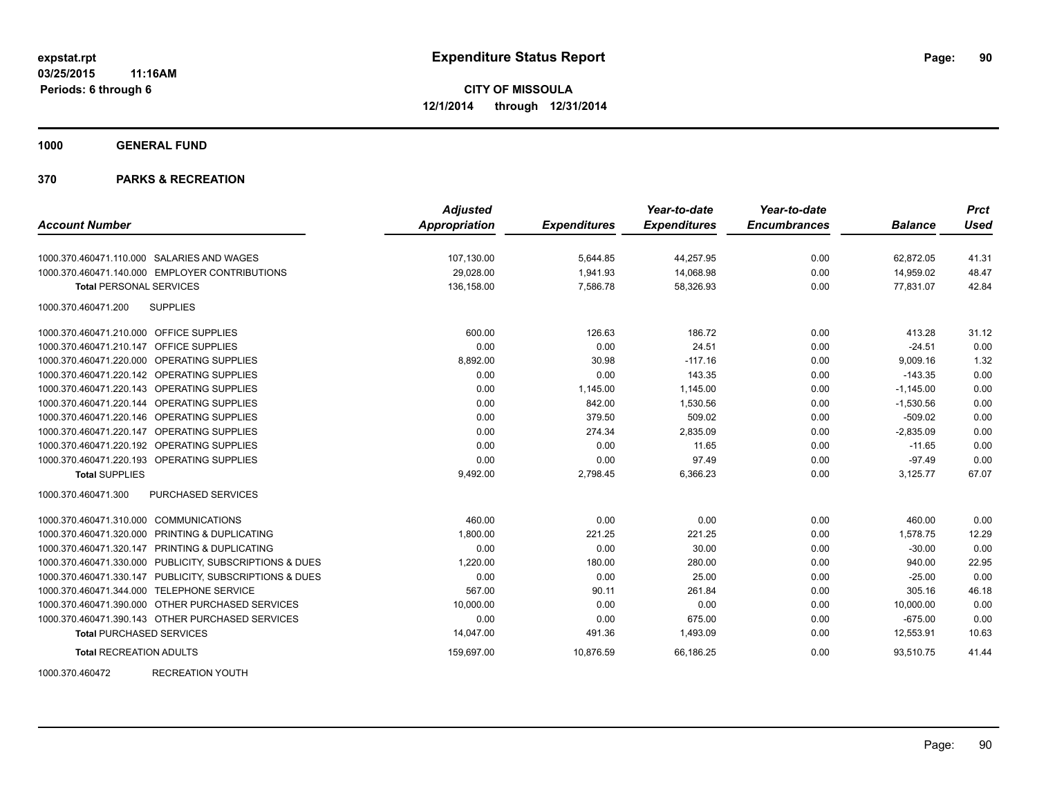**1000 GENERAL FUND**

### **370 PARKS & RECREATION**

| <b>Adjusted</b> |                      | Year-to-date        | Year-to-date        |                     | <b>Prct</b>    |
|-----------------|----------------------|---------------------|---------------------|---------------------|----------------|
|                 |                      |                     |                     |                     | <b>Used</b>    |
| 107,130.00      | 5,644.85             | 44,257.95           | 0.00                | 62,872.05           | 41.31          |
| 29,028.00       | 1,941.93             | 14,068.98           | 0.00                | 14,959.02           | 48.47          |
| 136,158.00      | 7,586.78             | 58,326.93           | 0.00                | 77,831.07           | 42.84          |
|                 |                      |                     |                     |                     |                |
| 600.00          | 126.63               | 186.72              | 0.00                | 413.28              | 31.12          |
| 0.00            | 0.00                 | 24.51               | 0.00                | $-24.51$            | 0.00           |
| 8,892.00        | 30.98                | $-117.16$           | 0.00                | 9,009.16            | 1.32           |
| 0.00            | 0.00                 | 143.35              | 0.00                | $-143.35$           | 0.00           |
| 0.00            | 1,145.00             | 1,145.00            | 0.00                | $-1,145.00$         | 0.00           |
| 0.00            | 842.00               | 1,530.56            | 0.00                | $-1,530.56$         | 0.00           |
| 0.00            | 379.50               | 509.02              | 0.00                | $-509.02$           | 0.00           |
| 0.00            | 274.34               | 2,835.09            | 0.00                | $-2,835.09$         | 0.00           |
| 0.00            | 0.00                 | 11.65               | 0.00                | $-11.65$            | 0.00           |
| 0.00            | 0.00                 | 97.49               | 0.00                | $-97.49$            | 0.00           |
| 9,492.00        | 2,798.45             | 6,366.23            | 0.00                | 3,125.77            | 67.07          |
|                 |                      |                     |                     |                     |                |
| 460.00          | 0.00                 | 0.00                | 0.00                | 460.00              | 0.00           |
| 1,800.00        | 221.25               | 221.25              | 0.00                | 1,578.75            | 12.29          |
| 0.00            | 0.00                 | 30.00               | 0.00                | $-30.00$            | 0.00           |
| 1,220.00        | 180.00               | 280.00              | 0.00                | 940.00              | 22.95          |
| 0.00            | 0.00                 | 25.00               | 0.00                | $-25.00$            | 0.00           |
| 567.00          | 90.11                | 261.84              | 0.00                | 305.16              | 46.18          |
| 10,000.00       | 0.00                 | 0.00                | 0.00                | 10.000.00           | 0.00           |
| 0.00            | 0.00                 | 675.00              | 0.00                | $-675.00$           | 0.00           |
| 14,047.00       | 491.36               | 1,493.09            | 0.00                | 12,553.91           | 10.63          |
| 159,697.00      | 10,876.59            | 66,186.25           | 0.00                | 93,510.75           | 41.44          |
|                 | <b>Appropriation</b> | <b>Expenditures</b> | <b>Expenditures</b> | <b>Encumbrances</b> | <b>Balance</b> |

1000.370.460472 RECREATION YOUTH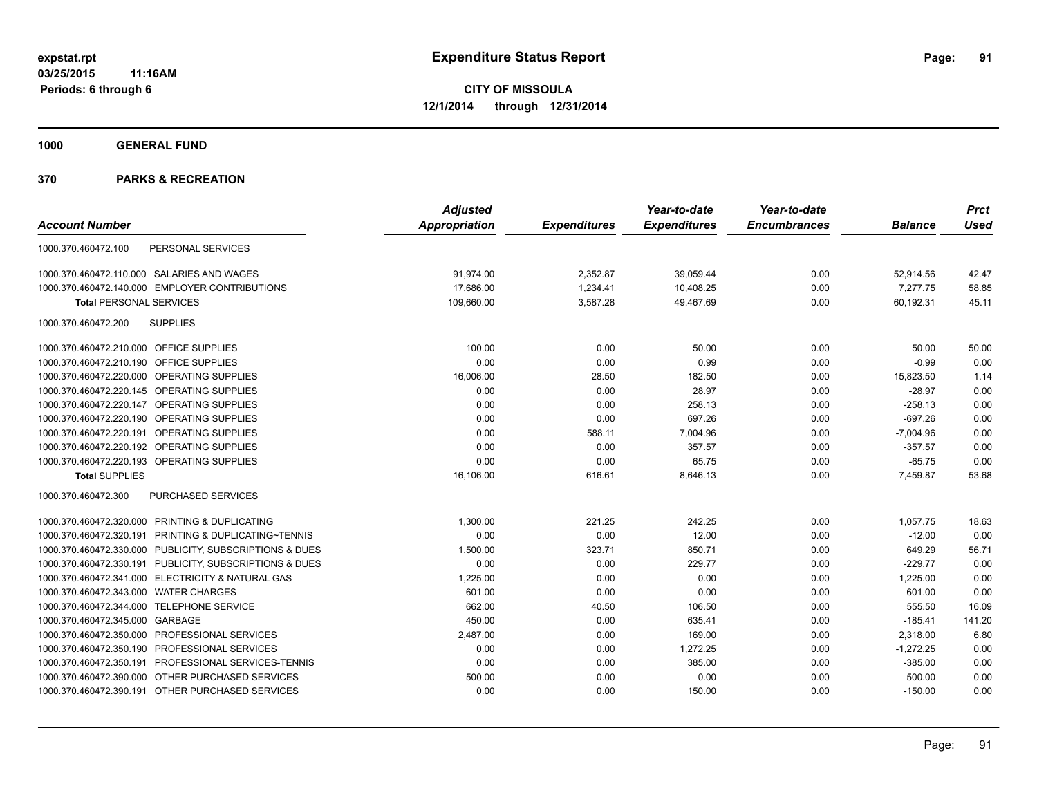**1000 GENERAL FUND**

| <b>Account Number</b>                                   | <b>Adjusted</b> |                     | Year-to-date        | Year-to-date<br><b>Encumbrances</b> | <b>Balance</b> | <b>Prct</b><br>Used |
|---------------------------------------------------------|-----------------|---------------------|---------------------|-------------------------------------|----------------|---------------------|
|                                                         | Appropriation   | <b>Expenditures</b> | <b>Expenditures</b> |                                     |                |                     |
| PERSONAL SERVICES<br>1000.370.460472.100                |                 |                     |                     |                                     |                |                     |
| 1000.370.460472.110.000 SALARIES AND WAGES              | 91,974.00       | 2,352.87            | 39,059.44           | 0.00                                | 52,914.56      | 42.47               |
| 1000.370.460472.140.000 EMPLOYER CONTRIBUTIONS          | 17,686.00       | 1,234.41            | 10,408.25           | 0.00                                | 7,277.75       | 58.85               |
| <b>Total PERSONAL SERVICES</b>                          | 109,660.00      | 3,587.28            | 49,467.69           | 0.00                                | 60,192.31      | 45.11               |
| <b>SUPPLIES</b><br>1000.370.460472.200                  |                 |                     |                     |                                     |                |                     |
| 1000.370.460472.210.000 OFFICE SUPPLIES                 | 100.00          | 0.00                | 50.00               | 0.00                                | 50.00          | 50.00               |
| 1000.370.460472.210.190 OFFICE SUPPLIES                 | 0.00            | 0.00                | 0.99                | 0.00                                | $-0.99$        | 0.00                |
| 1000.370.460472.220.000 OPERATING SUPPLIES              | 16,006.00       | 28.50               | 182.50              | 0.00                                | 15,823.50      | 1.14                |
| 1000.370.460472.220.145 OPERATING SUPPLIES              | 0.00            | 0.00                | 28.97               | 0.00                                | $-28.97$       | 0.00                |
| 1000.370.460472.220.147 OPERATING SUPPLIES              | 0.00            | 0.00                | 258.13              | 0.00                                | $-258.13$      | 0.00                |
| 1000.370.460472.220.190 OPERATING SUPPLIES              | 0.00            | 0.00                | 697.26              | 0.00                                | $-697.26$      | 0.00                |
| 1000.370.460472.220.191 OPERATING SUPPLIES              | 0.00            | 588.11              | 7,004.96            | 0.00                                | $-7,004.96$    | 0.00                |
| 1000.370.460472.220.192 OPERATING SUPPLIES              | 0.00            | 0.00                | 357.57              | 0.00                                | $-357.57$      | 0.00                |
| 1000.370.460472.220.193 OPERATING SUPPLIES              | 0.00            | 0.00                | 65.75               | 0.00                                | $-65.75$       | 0.00                |
| <b>Total SUPPLIES</b>                                   | 16,106.00       | 616.61              | 8,646.13            | 0.00                                | 7,459.87       | 53.68               |
| 1000.370.460472.300<br>PURCHASED SERVICES               |                 |                     |                     |                                     |                |                     |
| 1000.370.460472.320.000 PRINTING & DUPLICATING          | 1,300.00        | 221.25              | 242.25              | 0.00                                | 1,057.75       | 18.63               |
| 1000.370.460472.320.191 PRINTING & DUPLICATING~TENNIS   | 0.00            | 0.00                | 12.00               | 0.00                                | $-12.00$       | 0.00                |
| 1000.370.460472.330.000 PUBLICITY, SUBSCRIPTIONS & DUES | 1,500.00        | 323.71              | 850.71              | 0.00                                | 649.29         | 56.71               |
| 1000.370.460472.330.191 PUBLICITY, SUBSCRIPTIONS & DUES | 0.00            | 0.00                | 229.77              | 0.00                                | $-229.77$      | 0.00                |
| 1000.370.460472.341.000 ELECTRICITY & NATURAL GAS       | 1,225.00        | 0.00                | 0.00                | 0.00                                | 1,225.00       | 0.00                |
| 1000.370.460472.343.000 WATER CHARGES                   | 601.00          | 0.00                | 0.00                | 0.00                                | 601.00         | 0.00                |
| 1000.370.460472.344.000 TELEPHONE SERVICE               | 662.00          | 40.50               | 106.50              | 0.00                                | 555.50         | 16.09               |
| 1000.370.460472.345.000 GARBAGE                         | 450.00          | 0.00                | 635.41              | 0.00                                | $-185.41$      | 141.20              |
| 1000.370.460472.350.000 PROFESSIONAL SERVICES           | 2,487.00        | 0.00                | 169.00              | 0.00                                | 2,318.00       | 6.80                |
| 1000.370.460472.350.190 PROFESSIONAL SERVICES           | 0.00            | 0.00                | 1,272.25            | 0.00                                | $-1,272.25$    | 0.00                |
| 1000.370.460472.350.191 PROFESSIONAL SERVICES-TENNIS    | 0.00            | 0.00                | 385.00              | 0.00                                | $-385.00$      | 0.00                |
| 1000.370.460472.390.000 OTHER PURCHASED SERVICES        | 500.00          | 0.00                | 0.00                | 0.00                                | 500.00         | 0.00                |
| 1000.370.460472.390.191 OTHER PURCHASED SERVICES        | 0.00            | 0.00                | 150.00              | 0.00                                | $-150.00$      | 0.00                |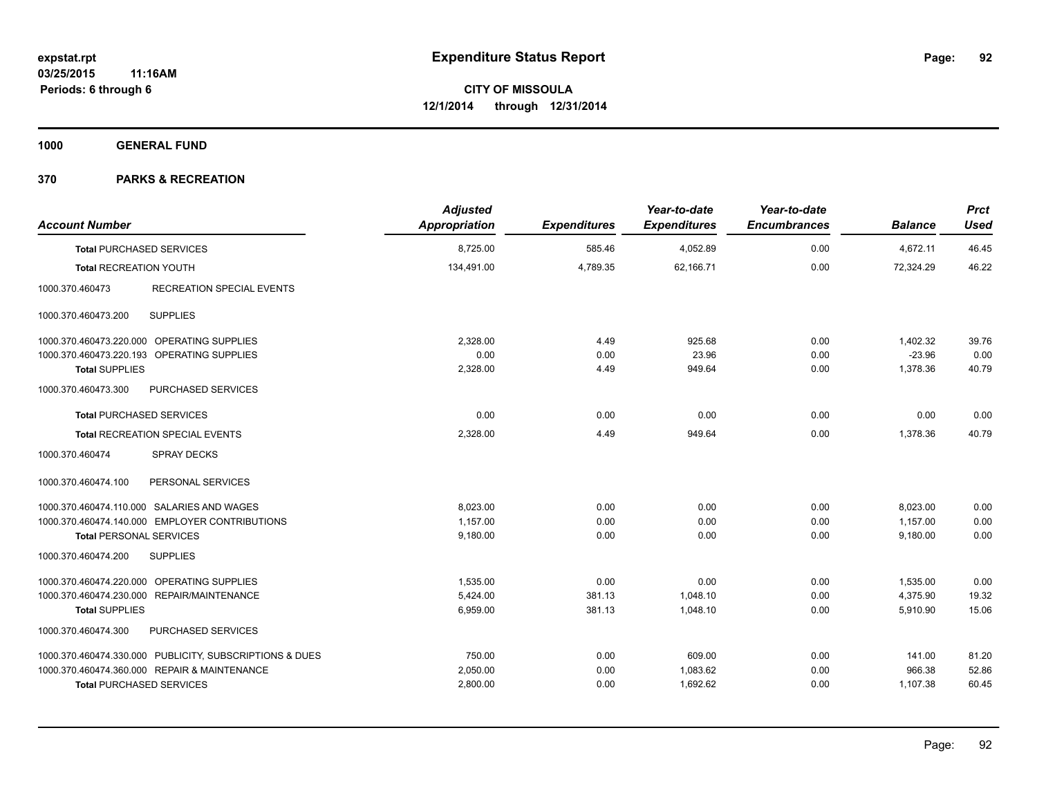**1000 GENERAL FUND**

| <b>Account Number</b>                                   | <b>Adjusted</b><br>Appropriation | <b>Expenditures</b> | Year-to-date<br><b>Expenditures</b> | Year-to-date<br><b>Encumbrances</b> | <b>Balance</b> | <b>Prct</b><br><b>Used</b> |
|---------------------------------------------------------|----------------------------------|---------------------|-------------------------------------|-------------------------------------|----------------|----------------------------|
| <b>Total PURCHASED SERVICES</b>                         | 8,725.00                         | 585.46              | 4,052.89                            | 0.00                                | 4,672.11       | 46.45                      |
| <b>Total RECREATION YOUTH</b>                           | 134.491.00                       | 4,789.35            | 62.166.71                           | 0.00                                | 72.324.29      | 46.22                      |
| <b>RECREATION SPECIAL EVENTS</b><br>1000.370.460473     |                                  |                     |                                     |                                     |                |                            |
| <b>SUPPLIES</b><br>1000.370.460473.200                  |                                  |                     |                                     |                                     |                |                            |
| 1000.370.460473.220.000 OPERATING SUPPLIES              | 2.328.00                         | 4.49                | 925.68                              | 0.00                                | 1,402.32       | 39.76                      |
| 1000.370.460473.220.193 OPERATING SUPPLIES              | 0.00                             | 0.00                | 23.96                               | 0.00                                | $-23.96$       | 0.00                       |
| <b>Total SUPPLIES</b>                                   | 2,328.00                         | 4.49                | 949.64                              | 0.00                                | 1,378.36       | 40.79                      |
| 1000.370.460473.300<br>PURCHASED SERVICES               |                                  |                     |                                     |                                     |                |                            |
| <b>Total PURCHASED SERVICES</b>                         | 0.00                             | 0.00                | 0.00                                | 0.00                                | 0.00           | 0.00                       |
| <b>Total RECREATION SPECIAL EVENTS</b>                  | 2,328.00                         | 4.49                | 949.64                              | 0.00                                | 1,378.36       | 40.79                      |
| <b>SPRAY DECKS</b><br>1000.370.460474                   |                                  |                     |                                     |                                     |                |                            |
| PERSONAL SERVICES<br>1000.370.460474.100                |                                  |                     |                                     |                                     |                |                            |
| 1000.370.460474.110.000 SALARIES AND WAGES              | 8,023.00                         | 0.00                | 0.00                                | 0.00                                | 8,023.00       | 0.00                       |
| 1000.370.460474.140.000 EMPLOYER CONTRIBUTIONS          | 1,157.00                         | 0.00                | 0.00                                | 0.00                                | 1,157.00       | 0.00                       |
| <b>Total PERSONAL SERVICES</b>                          | 9,180.00                         | 0.00                | 0.00                                | 0.00                                | 9,180.00       | 0.00                       |
| 1000.370.460474.200<br><b>SUPPLIES</b>                  |                                  |                     |                                     |                                     |                |                            |
| 1000.370.460474.220.000 OPERATING SUPPLIES              | 1.535.00                         | 0.00                | 0.00                                | 0.00                                | 1,535.00       | 0.00                       |
| 1000.370.460474.230.000 REPAIR/MAINTENANCE              | 5,424.00                         | 381.13              | 1,048.10                            | 0.00                                | 4,375.90       | 19.32                      |
| <b>Total SUPPLIES</b>                                   | 6,959.00                         | 381.13              | 1.048.10                            | 0.00                                | 5,910.90       | 15.06                      |
| 1000.370.460474.300<br>PURCHASED SERVICES               |                                  |                     |                                     |                                     |                |                            |
| 1000.370.460474.330.000 PUBLICITY, SUBSCRIPTIONS & DUES | 750.00                           | 0.00                | 609.00                              | 0.00                                | 141.00         | 81.20                      |
| 1000.370.460474.360.000 REPAIR & MAINTENANCE            | 2,050.00                         | 0.00                | 1,083.62                            | 0.00                                | 966.38         | 52.86                      |
| <b>Total PURCHASED SERVICES</b>                         | 2,800.00                         | 0.00                | 1,692.62                            | 0.00                                | 1,107.38       | 60.45                      |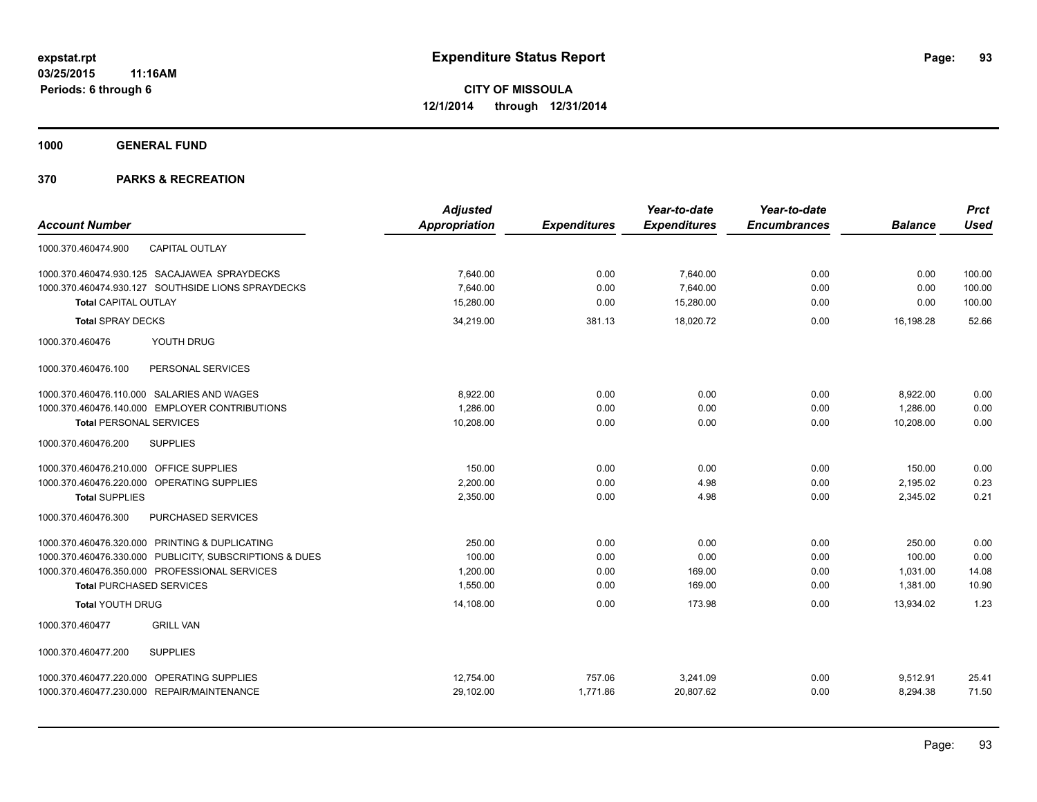**1000 GENERAL FUND**

|                                                         | <b>Adjusted</b>      |                     | Year-to-date        | Year-to-date        |                | <b>Prct</b> |
|---------------------------------------------------------|----------------------|---------------------|---------------------|---------------------|----------------|-------------|
| <b>Account Number</b>                                   | <b>Appropriation</b> | <b>Expenditures</b> | <b>Expenditures</b> | <b>Encumbrances</b> | <b>Balance</b> | <b>Used</b> |
| <b>CAPITAL OUTLAY</b><br>1000.370.460474.900            |                      |                     |                     |                     |                |             |
| 1000.370.460474.930.125 SACAJAWEA SPRAYDECKS            | 7,640.00             | 0.00                | 7,640.00            | 0.00                | 0.00           | 100.00      |
| 1000.370.460474.930.127 SOUTHSIDE LIONS SPRAYDECKS      | 7.640.00             | 0.00                | 7.640.00            | 0.00                | 0.00           | 100.00      |
| <b>Total CAPITAL OUTLAY</b>                             | 15,280.00            | 0.00                | 15,280.00           | 0.00                | 0.00           | 100.00      |
| <b>Total SPRAY DECKS</b>                                | 34,219.00            | 381.13              | 18,020.72           | 0.00                | 16,198.28      | 52.66       |
| YOUTH DRUG<br>1000.370.460476                           |                      |                     |                     |                     |                |             |
| 1000.370.460476.100<br>PERSONAL SERVICES                |                      |                     |                     |                     |                |             |
| 1000.370.460476.110.000 SALARIES AND WAGES              | 8.922.00             | 0.00                | 0.00                | 0.00                | 8,922.00       | 0.00        |
| 1000.370.460476.140.000 EMPLOYER CONTRIBUTIONS          | 1.286.00             | 0.00                | 0.00                | 0.00                | 1,286.00       | 0.00        |
| <b>Total PERSONAL SERVICES</b>                          | 10,208.00            | 0.00                | 0.00                | 0.00                | 10,208.00      | 0.00        |
| 1000.370.460476.200<br><b>SUPPLIES</b>                  |                      |                     |                     |                     |                |             |
| 1000.370.460476.210.000 OFFICE SUPPLIES                 | 150.00               | 0.00                | 0.00                | 0.00                | 150.00         | 0.00        |
| 1000.370.460476.220.000 OPERATING SUPPLIES              | 2,200.00             | 0.00                | 4.98                | 0.00                | 2,195.02       | 0.23        |
| <b>Total SUPPLIES</b>                                   | 2,350.00             | 0.00                | 4.98                | 0.00                | 2,345.02       | 0.21        |
| PURCHASED SERVICES<br>1000.370.460476.300               |                      |                     |                     |                     |                |             |
| 1000.370.460476.320.000 PRINTING & DUPLICATING          | 250.00               | 0.00                | 0.00                | 0.00                | 250.00         | 0.00        |
| 1000.370.460476.330.000 PUBLICITY, SUBSCRIPTIONS & DUES | 100.00               | 0.00                | 0.00                | 0.00                | 100.00         | 0.00        |
| 1000.370.460476.350.000 PROFESSIONAL SERVICES           | 1,200.00             | 0.00                | 169.00              | 0.00                | 1,031.00       | 14.08       |
| <b>Total PURCHASED SERVICES</b>                         | 1,550.00             | 0.00                | 169.00              | 0.00                | 1,381.00       | 10.90       |
| <b>Total YOUTH DRUG</b>                                 | 14,108.00            | 0.00                | 173.98              | 0.00                | 13,934.02      | 1.23        |
| 1000.370.460477<br><b>GRILL VAN</b>                     |                      |                     |                     |                     |                |             |
| <b>SUPPLIES</b><br>1000.370.460477.200                  |                      |                     |                     |                     |                |             |
| 1000.370.460477.220.000 OPERATING SUPPLIES              | 12,754.00            | 757.06              | 3,241.09            | 0.00                | 9.512.91       | 25.41       |
| 1000.370.460477.230.000 REPAIR/MAINTENANCE              | 29,102.00            | 1,771.86            | 20,807.62           | 0.00                | 8,294.38       | 71.50       |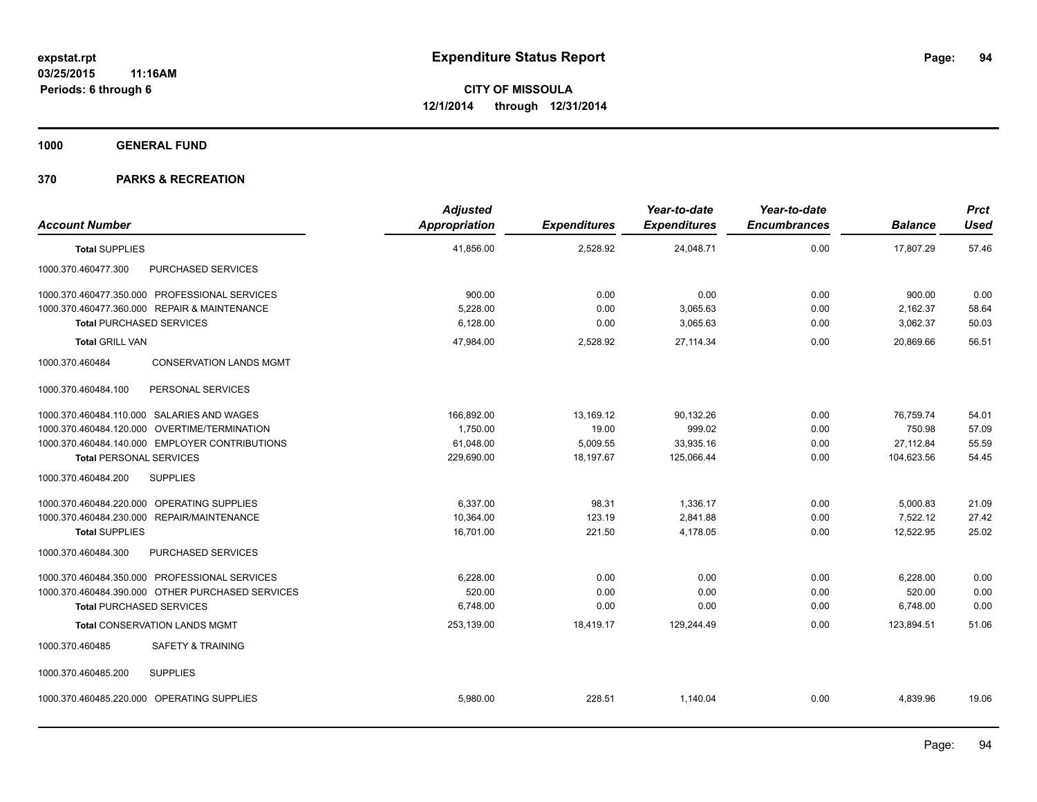**1000 GENERAL FUND**

| <b>Account Number</b>                             | <b>Adjusted</b><br>Appropriation | <b>Expenditures</b> | Year-to-date<br><b>Expenditures</b> | Year-to-date<br><b>Encumbrances</b> | <b>Balance</b> | <b>Prct</b><br><b>Used</b> |
|---------------------------------------------------|----------------------------------|---------------------|-------------------------------------|-------------------------------------|----------------|----------------------------|
| <b>Total SUPPLIES</b>                             | 41,856.00                        | 2,528.92            | 24,048.71                           | 0.00                                | 17,807.29      | 57.46                      |
| PURCHASED SERVICES<br>1000.370.460477.300         |                                  |                     |                                     |                                     |                |                            |
| 1000.370.460477.350.000 PROFESSIONAL SERVICES     | 900.00                           | 0.00                | 0.00                                | 0.00                                | 900.00         | 0.00                       |
| 1000.370.460477.360.000 REPAIR & MAINTENANCE      | 5.228.00                         | 0.00                | 3,065.63                            | 0.00                                | 2,162.37       | 58.64                      |
| <b>Total PURCHASED SERVICES</b>                   | 6,128.00                         | 0.00                | 3,065.63                            | 0.00                                | 3,062.37       | 50.03                      |
| <b>Total GRILL VAN</b>                            | 47,984.00                        | 2,528.92            | 27,114.34                           | 0.00                                | 20,869.66      | 56.51                      |
| <b>CONSERVATION LANDS MGMT</b><br>1000.370.460484 |                                  |                     |                                     |                                     |                |                            |
| PERSONAL SERVICES<br>1000.370.460484.100          |                                  |                     |                                     |                                     |                |                            |
| 1000.370.460484.110.000 SALARIES AND WAGES        | 166,892.00                       | 13,169.12           | 90,132.26                           | 0.00                                | 76,759.74      | 54.01                      |
| 1000.370.460484.120.000 OVERTIME/TERMINATION      | 1,750.00                         | 19.00               | 999.02                              | 0.00                                | 750.98         | 57.09                      |
| 1000.370.460484.140.000 EMPLOYER CONTRIBUTIONS    | 61,048.00                        | 5,009.55            | 33,935.16                           | 0.00                                | 27,112.84      | 55.59                      |
| <b>Total PERSONAL SERVICES</b>                    | 229,690.00                       | 18,197.67           | 125,066.44                          | 0.00                                | 104,623.56     | 54.45                      |
| <b>SUPPLIES</b><br>1000.370.460484.200            |                                  |                     |                                     |                                     |                |                            |
| 1000.370.460484.220.000 OPERATING SUPPLIES        | 6,337.00                         | 98.31               | 1,336.17                            | 0.00                                | 5,000.83       | 21.09                      |
| 1000.370.460484.230.000 REPAIR/MAINTENANCE        | 10,364.00                        | 123.19              | 2,841.88                            | 0.00                                | 7,522.12       | 27.42                      |
| <b>Total SUPPLIES</b>                             | 16,701.00                        | 221.50              | 4,178.05                            | 0.00                                | 12,522.95      | 25.02                      |
| PURCHASED SERVICES<br>1000.370.460484.300         |                                  |                     |                                     |                                     |                |                            |
| 1000.370.460484.350.000 PROFESSIONAL SERVICES     | 6.228.00                         | 0.00                | 0.00                                | 0.00                                | 6,228.00       | 0.00                       |
| 1000.370.460484.390.000 OTHER PURCHASED SERVICES  | 520.00                           | 0.00                | 0.00                                | 0.00                                | 520.00         | 0.00                       |
| <b>Total PURCHASED SERVICES</b>                   | 6,748.00                         | 0.00                | 0.00                                | 0.00                                | 6,748.00       | 0.00                       |
| <b>Total CONSERVATION LANDS MGMT</b>              | 253,139.00                       | 18,419.17           | 129,244.49                          | 0.00                                | 123,894.51     | 51.06                      |
| 1000.370.460485<br><b>SAFETY &amp; TRAINING</b>   |                                  |                     |                                     |                                     |                |                            |
| <b>SUPPLIES</b><br>1000.370.460485.200            |                                  |                     |                                     |                                     |                |                            |
| 1000.370.460485.220.000 OPERATING SUPPLIES        | 5,980.00                         | 228.51              | 1,140.04                            | 0.00                                | 4,839.96       | 19.06                      |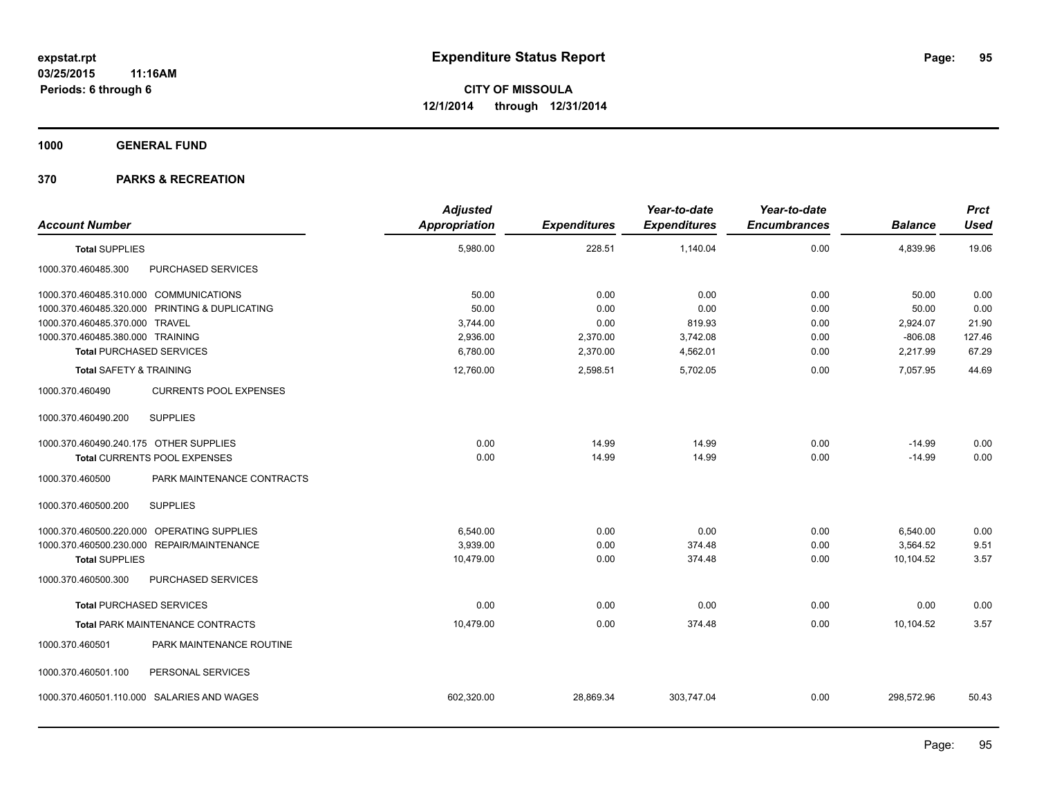**1000 GENERAL FUND**

| <b>Account Number</b>                  |                                                | <b>Adjusted</b><br><b>Appropriation</b> | <b>Expenditures</b> | Year-to-date<br><b>Expenditures</b> | Year-to-date<br><b>Encumbrances</b> | <b>Balance</b> | <b>Prct</b><br><b>Used</b> |
|----------------------------------------|------------------------------------------------|-----------------------------------------|---------------------|-------------------------------------|-------------------------------------|----------------|----------------------------|
| <b>Total SUPPLIES</b>                  |                                                | 5,980.00                                | 228.51              | 1,140.04                            | 0.00                                | 4,839.96       | 19.06                      |
| 1000.370.460485.300                    | PURCHASED SERVICES                             |                                         |                     |                                     |                                     |                |                            |
| 1000.370.460485.310.000 COMMUNICATIONS |                                                | 50.00                                   | 0.00                | 0.00                                | 0.00                                | 50.00          | 0.00                       |
|                                        | 1000.370.460485.320.000 PRINTING & DUPLICATING | 50.00                                   | 0.00                | 0.00                                | 0.00                                | 50.00          | 0.00                       |
| 1000.370.460485.370.000 TRAVEL         |                                                | 3,744.00                                | 0.00                | 819.93                              | 0.00                                | 2,924.07       | 21.90                      |
| 1000.370.460485.380.000 TRAINING       |                                                | 2,936.00                                | 2,370.00            | 3,742.08                            | 0.00                                | $-806.08$      | 127.46                     |
| <b>Total PURCHASED SERVICES</b>        |                                                | 6,780.00                                | 2,370.00            | 4,562.01                            | 0.00                                | 2,217.99       | 67.29                      |
| <b>Total SAFETY &amp; TRAINING</b>     |                                                | 12,760.00                               | 2,598.51            | 5,702.05                            | 0.00                                | 7,057.95       | 44.69                      |
| 1000.370.460490                        | <b>CURRENTS POOL EXPENSES</b>                  |                                         |                     |                                     |                                     |                |                            |
| 1000.370.460490.200                    | <b>SUPPLIES</b>                                |                                         |                     |                                     |                                     |                |                            |
| 1000.370.460490.240.175 OTHER SUPPLIES |                                                | 0.00                                    | 14.99               | 14.99                               | 0.00                                | $-14.99$       | 0.00                       |
|                                        | <b>Total CURRENTS POOL EXPENSES</b>            | 0.00                                    | 14.99               | 14.99                               | 0.00                                | $-14.99$       | 0.00                       |
| 1000.370.460500                        | PARK MAINTENANCE CONTRACTS                     |                                         |                     |                                     |                                     |                |                            |
| 1000.370.460500.200                    | <b>SUPPLIES</b>                                |                                         |                     |                                     |                                     |                |                            |
| 1000.370.460500.220.000                | OPERATING SUPPLIES                             | 6,540.00                                | 0.00                | 0.00                                | 0.00                                | 6,540.00       | 0.00                       |
|                                        | 1000.370.460500.230.000 REPAIR/MAINTENANCE     | 3,939.00                                | 0.00                | 374.48                              | 0.00                                | 3,564.52       | 9.51                       |
| <b>Total SUPPLIES</b>                  |                                                | 10,479.00                               | 0.00                | 374.48                              | 0.00                                | 10,104.52      | 3.57                       |
| 1000.370.460500.300                    | PURCHASED SERVICES                             |                                         |                     |                                     |                                     |                |                            |
| <b>Total PURCHASED SERVICES</b>        |                                                | 0.00                                    | 0.00                | 0.00                                | 0.00                                | 0.00           | 0.00                       |
|                                        | <b>Total PARK MAINTENANCE CONTRACTS</b>        | 10,479.00                               | 0.00                | 374.48                              | 0.00                                | 10,104.52      | 3.57                       |
| 1000.370.460501                        | PARK MAINTENANCE ROUTINE                       |                                         |                     |                                     |                                     |                |                            |
| 1000.370.460501.100                    | PERSONAL SERVICES                              |                                         |                     |                                     |                                     |                |                            |
|                                        | 1000.370.460501.110.000 SALARIES AND WAGES     | 602,320.00                              | 28,869.34           | 303,747.04                          | 0.00                                | 298,572.96     | 50.43                      |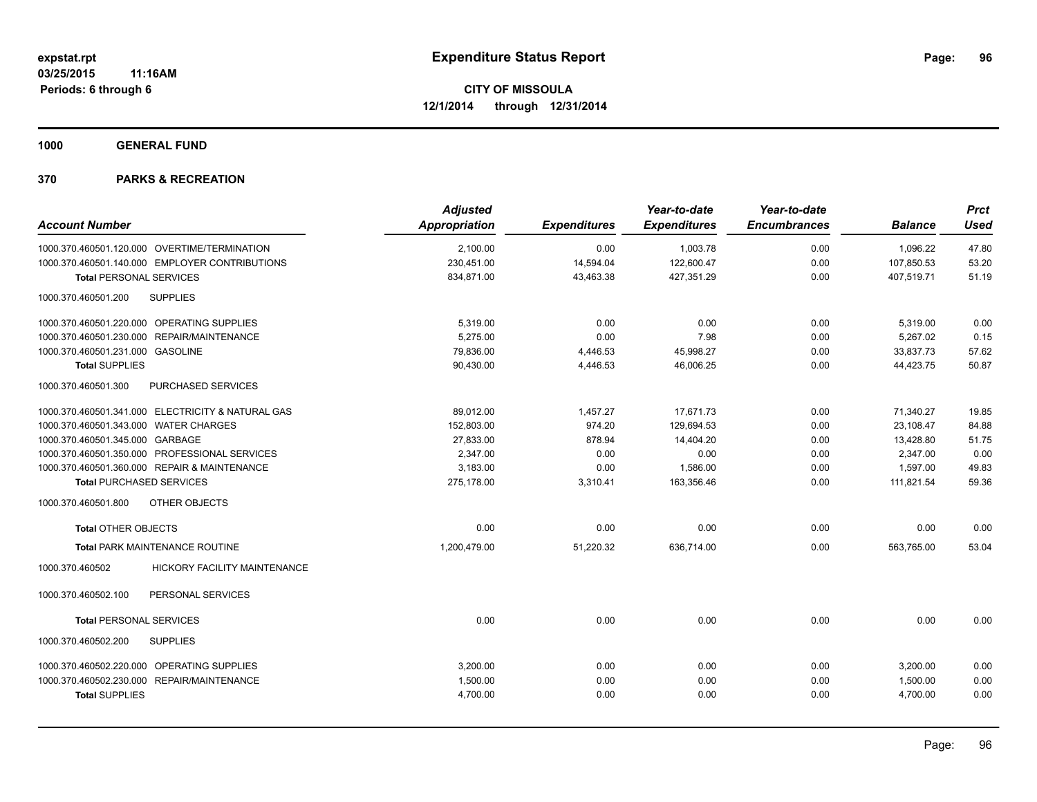**1000 GENERAL FUND**

|                                                   |                              | <b>Adjusted</b>      |                     | Year-to-date        | Year-to-date        |                | <b>Prct</b> |
|---------------------------------------------------|------------------------------|----------------------|---------------------|---------------------|---------------------|----------------|-------------|
| <b>Account Number</b>                             |                              | <b>Appropriation</b> | <b>Expenditures</b> | <b>Expenditures</b> | <b>Encumbrances</b> | <b>Balance</b> | <b>Used</b> |
| 1000.370.460501.120.000 OVERTIME/TERMINATION      |                              | 2,100.00             | 0.00                | 1,003.78            | 0.00                | 1,096.22       | 47.80       |
| 1000.370.460501.140.000 EMPLOYER CONTRIBUTIONS    |                              | 230,451.00           | 14,594.04           | 122,600.47          | 0.00                | 107,850.53     | 53.20       |
| <b>Total PERSONAL SERVICES</b>                    |                              | 834,871.00           | 43,463.38           | 427,351.29          | 0.00                | 407,519.71     | 51.19       |
| 1000.370.460501.200<br><b>SUPPLIES</b>            |                              |                      |                     |                     |                     |                |             |
| 1000.370.460501.220.000 OPERATING SUPPLIES        |                              | 5,319.00             | 0.00                | 0.00                | 0.00                | 5,319.00       | 0.00        |
| 1000.370.460501.230.000 REPAIR/MAINTENANCE        |                              | 5.275.00             | 0.00                | 7.98                | 0.00                | 5.267.02       | 0.15        |
| 1000.370.460501.231.000 GASOLINE                  |                              | 79,836.00            | 4,446.53            | 45,998.27           | 0.00                | 33,837.73      | 57.62       |
| <b>Total SUPPLIES</b>                             |                              | 90,430.00            | 4,446.53            | 46,006.25           | 0.00                | 44,423.75      | 50.87       |
| 1000.370.460501.300<br>PURCHASED SERVICES         |                              |                      |                     |                     |                     |                |             |
| 1000.370.460501.341.000 ELECTRICITY & NATURAL GAS |                              | 89,012.00            | 1,457.27            | 17,671.73           | 0.00                | 71,340.27      | 19.85       |
| 1000.370.460501.343.000 WATER CHARGES             |                              | 152,803.00           | 974.20              | 129,694.53          | 0.00                | 23,108.47      | 84.88       |
| 1000.370.460501.345.000 GARBAGE                   |                              | 27,833.00            | 878.94              | 14,404.20           | 0.00                | 13,428.80      | 51.75       |
| 1000.370.460501.350.000 PROFESSIONAL SERVICES     |                              | 2,347.00             | 0.00                | 0.00                | 0.00                | 2,347.00       | 0.00        |
| 1000.370.460501.360.000 REPAIR & MAINTENANCE      |                              | 3,183.00             | 0.00                | 1,586.00            | 0.00                | 1,597.00       | 49.83       |
| <b>Total PURCHASED SERVICES</b>                   |                              | 275,178.00           | 3,310.41            | 163,356.46          | 0.00                | 111,821.54     | 59.36       |
| OTHER OBJECTS<br>1000.370.460501.800              |                              |                      |                     |                     |                     |                |             |
| <b>Total OTHER OBJECTS</b>                        |                              | 0.00                 | 0.00                | 0.00                | 0.00                | 0.00           | 0.00        |
| Total PARK MAINTENANCE ROUTINE                    |                              | 1,200,479.00         | 51,220.32           | 636,714.00          | 0.00                | 563,765.00     | 53.04       |
| 1000.370.460502                                   | HICKORY FACILITY MAINTENANCE |                      |                     |                     |                     |                |             |
| PERSONAL SERVICES<br>1000.370.460502.100          |                              |                      |                     |                     |                     |                |             |
| <b>Total PERSONAL SERVICES</b>                    |                              | 0.00                 | 0.00                | 0.00                | 0.00                | 0.00           | 0.00        |
| <b>SUPPLIES</b><br>1000.370.460502.200            |                              |                      |                     |                     |                     |                |             |
| 1000.370.460502.220.000 OPERATING SUPPLIES        |                              | 3,200.00             | 0.00                | 0.00                | 0.00                | 3,200.00       | 0.00        |
| 1000.370.460502.230.000 REPAIR/MAINTENANCE        |                              | 1,500.00             | 0.00                | 0.00                | 0.00                | 1,500.00       | 0.00        |
| <b>Total SUPPLIES</b>                             |                              | 4,700.00             | 0.00                | 0.00                | 0.00                | 4,700.00       | 0.00        |
|                                                   |                              |                      |                     |                     |                     |                |             |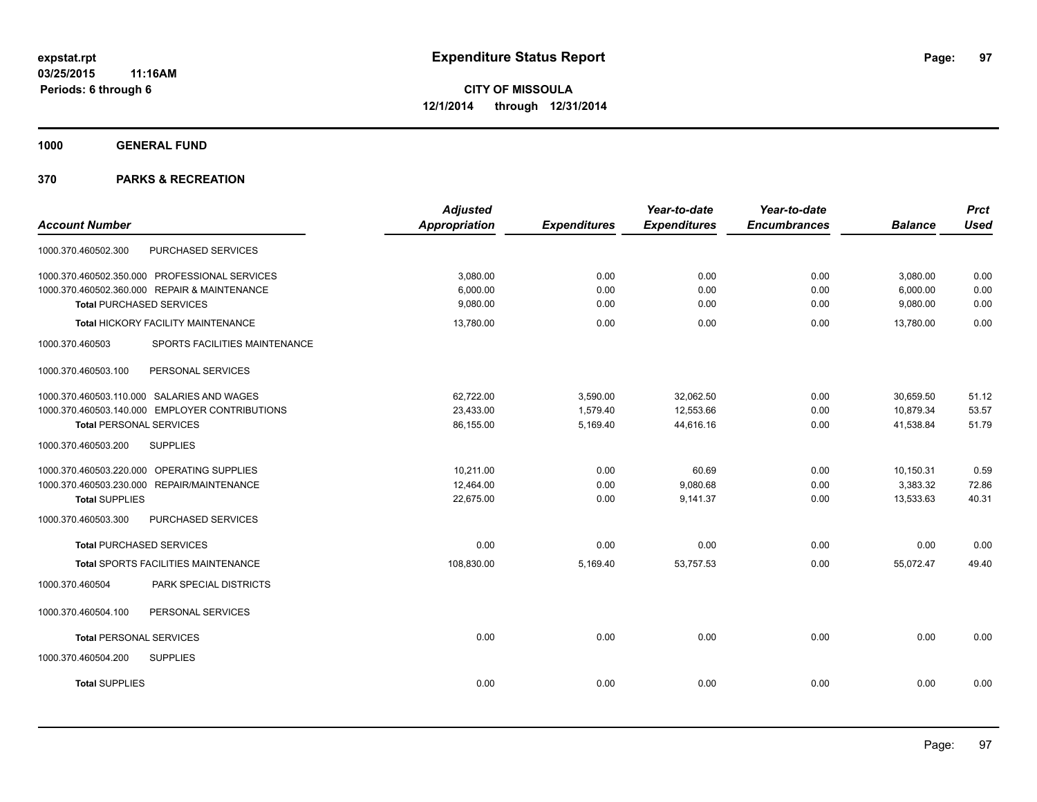**1000 GENERAL FUND**

|                                                  | <b>Adjusted</b>      |                     | Year-to-date        | Year-to-date        |                | <b>Prct</b> |
|--------------------------------------------------|----------------------|---------------------|---------------------|---------------------|----------------|-------------|
| <b>Account Number</b>                            | <b>Appropriation</b> | <b>Expenditures</b> | <b>Expenditures</b> | <b>Encumbrances</b> | <b>Balance</b> | <b>Used</b> |
| PURCHASED SERVICES<br>1000.370.460502.300        |                      |                     |                     |                     |                |             |
| 1000.370.460502.350.000 PROFESSIONAL SERVICES    | 3,080.00             | 0.00                | 0.00                | 0.00                | 3,080.00       | 0.00        |
| 1000.370.460502.360.000 REPAIR & MAINTENANCE     | 6,000.00             | 0.00                | 0.00                | 0.00                | 6,000.00       | 0.00        |
| <b>Total PURCHASED SERVICES</b>                  | 9,080.00             | 0.00                | 0.00                | 0.00                | 9,080.00       | 0.00        |
| Total HICKORY FACILITY MAINTENANCE               | 13,780.00            | 0.00                | 0.00                | 0.00                | 13,780.00      | 0.00        |
| 1000.370.460503<br>SPORTS FACILITIES MAINTENANCE |                      |                     |                     |                     |                |             |
| PERSONAL SERVICES<br>1000.370.460503.100         |                      |                     |                     |                     |                |             |
| 1000.370.460503.110.000 SALARIES AND WAGES       | 62,722.00            | 3,590.00            | 32,062.50           | 0.00                | 30,659.50      | 51.12       |
| 1000.370.460503.140.000 EMPLOYER CONTRIBUTIONS   | 23,433.00            | 1,579.40            | 12,553.66           | 0.00                | 10,879.34      | 53.57       |
| <b>Total PERSONAL SERVICES</b>                   | 86,155.00            | 5,169.40            | 44,616.16           | 0.00                | 41,538.84      | 51.79       |
| <b>SUPPLIES</b><br>1000.370.460503.200           |                      |                     |                     |                     |                |             |
| 1000.370.460503.220.000 OPERATING SUPPLIES       | 10,211.00            | 0.00                | 60.69               | 0.00                | 10,150.31      | 0.59        |
| 1000.370.460503.230.000 REPAIR/MAINTENANCE       | 12,464.00            | 0.00                | 9,080.68            | 0.00                | 3,383.32       | 72.86       |
| <b>Total SUPPLIES</b>                            | 22,675.00            | 0.00                | 9,141.37            | 0.00                | 13,533.63      | 40.31       |
| 1000.370.460503.300<br>PURCHASED SERVICES        |                      |                     |                     |                     |                |             |
| <b>Total PURCHASED SERVICES</b>                  | 0.00                 | 0.00                | 0.00                | 0.00                | 0.00           | 0.00        |
| Total SPORTS FACILITIES MAINTENANCE              | 108,830.00           | 5,169.40            | 53,757.53           | 0.00                | 55,072.47      | 49.40       |
| 1000.370.460504<br>PARK SPECIAL DISTRICTS        |                      |                     |                     |                     |                |             |
| 1000.370.460504.100<br>PERSONAL SERVICES         |                      |                     |                     |                     |                |             |
| <b>Total PERSONAL SERVICES</b>                   | 0.00                 | 0.00                | 0.00                | 0.00                | 0.00           | 0.00        |
| 1000.370.460504.200<br><b>SUPPLIES</b>           |                      |                     |                     |                     |                |             |
| <b>Total SUPPLIES</b>                            | 0.00                 | 0.00                | 0.00                | 0.00                | 0.00           | 0.00        |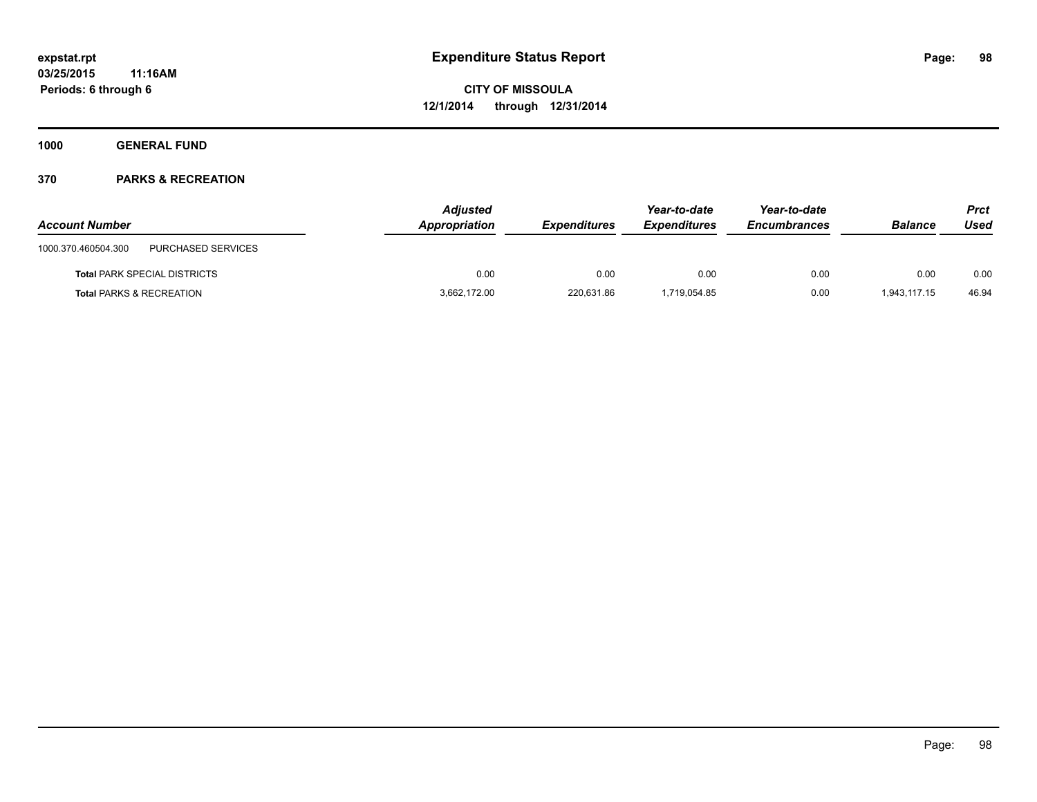**1000 GENERAL FUND**

| <b>Account Number</b>                     | <b>Adjusted</b><br>Appropriation | <b>Expenditures</b> | Year-to-date<br><b>Expenditures</b> | Year-to-date<br><b>Encumbrances</b> | <b>Balance</b> | <b>Prct</b><br>Used |
|-------------------------------------------|----------------------------------|---------------------|-------------------------------------|-------------------------------------|----------------|---------------------|
| PURCHASED SERVICES<br>1000.370.460504.300 |                                  |                     |                                     |                                     |                |                     |
| <b>Total PARK SPECIAL DISTRICTS</b>       | 0.00                             | 0.00                | 0.00                                | 0.00                                | 0.00           | 0.00                |
| <b>Total PARKS &amp; RECREATION</b>       | 3,662,172.00                     | 220.631.86          | 1,719,054.85                        | 0.00                                | 1.943.117.15   | 46.94               |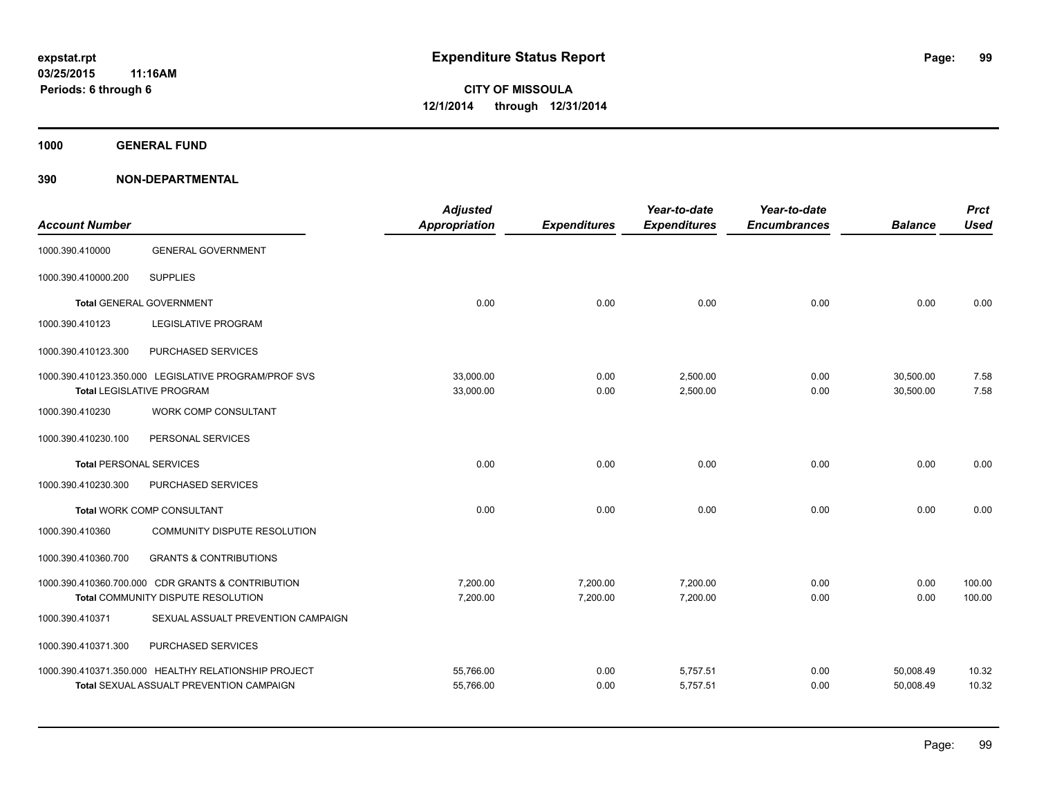**1000 GENERAL FUND**

| <b>Account Number</b>          |                                                                                                         | <b>Adjusted</b><br><b>Appropriation</b> | <b>Expenditures</b>  | Year-to-date<br><b>Expenditures</b> | Year-to-date<br><b>Encumbrances</b> | <b>Balance</b>         | <b>Prct</b><br><b>Used</b> |
|--------------------------------|---------------------------------------------------------------------------------------------------------|-----------------------------------------|----------------------|-------------------------------------|-------------------------------------|------------------------|----------------------------|
| 1000.390.410000                | <b>GENERAL GOVERNMENT</b>                                                                               |                                         |                      |                                     |                                     |                        |                            |
| 1000.390.410000.200            | <b>SUPPLIES</b>                                                                                         |                                         |                      |                                     |                                     |                        |                            |
|                                | <b>Total GENERAL GOVERNMENT</b>                                                                         | 0.00                                    | 0.00                 | 0.00                                | 0.00                                | 0.00                   | 0.00                       |
| 1000.390.410123                | <b>LEGISLATIVE PROGRAM</b>                                                                              |                                         |                      |                                     |                                     |                        |                            |
| 1000.390.410123.300            | PURCHASED SERVICES                                                                                      |                                         |                      |                                     |                                     |                        |                            |
|                                | 1000.390.410123.350.000 LEGISLATIVE PROGRAM/PROF SVS<br><b>Total LEGISLATIVE PROGRAM</b>                | 33,000.00<br>33,000.00                  | 0.00<br>0.00         | 2,500.00<br>2,500.00                | 0.00<br>0.00                        | 30,500.00<br>30,500.00 | 7.58<br>7.58               |
| 1000.390.410230                | <b>WORK COMP CONSULTANT</b>                                                                             |                                         |                      |                                     |                                     |                        |                            |
| 1000.390.410230.100            | PERSONAL SERVICES                                                                                       |                                         |                      |                                     |                                     |                        |                            |
| <b>Total PERSONAL SERVICES</b> |                                                                                                         | 0.00                                    | 0.00                 | 0.00                                | 0.00                                | 0.00                   | 0.00                       |
| 1000.390.410230.300            | PURCHASED SERVICES                                                                                      |                                         |                      |                                     |                                     |                        |                            |
|                                | Total WORK COMP CONSULTANT                                                                              | 0.00                                    | 0.00                 | 0.00                                | 0.00                                | 0.00                   | 0.00                       |
| 1000.390.410360                | COMMUNITY DISPUTE RESOLUTION                                                                            |                                         |                      |                                     |                                     |                        |                            |
| 1000.390.410360.700            | <b>GRANTS &amp; CONTRIBUTIONS</b>                                                                       |                                         |                      |                                     |                                     |                        |                            |
|                                | 1000.390.410360.700.000 CDR GRANTS & CONTRIBUTION<br>Total COMMUNITY DISPUTE RESOLUTION                 | 7,200.00<br>7,200.00                    | 7,200.00<br>7,200.00 | 7,200.00<br>7,200.00                | 0.00<br>0.00                        | 0.00<br>0.00           | 100.00<br>100.00           |
| 1000.390.410371                | SEXUAL ASSUALT PREVENTION CAMPAIGN                                                                      |                                         |                      |                                     |                                     |                        |                            |
| 1000.390.410371.300            | PURCHASED SERVICES                                                                                      |                                         |                      |                                     |                                     |                        |                            |
|                                | 1000.390.410371.350.000 HEALTHY RELATIONSHIP PROJECT<br><b>Total SEXUAL ASSUALT PREVENTION CAMPAIGN</b> | 55,766.00<br>55,766.00                  | 0.00<br>0.00         | 5,757.51<br>5,757.51                | 0.00<br>0.00                        | 50,008.49<br>50,008.49 | 10.32<br>10.32             |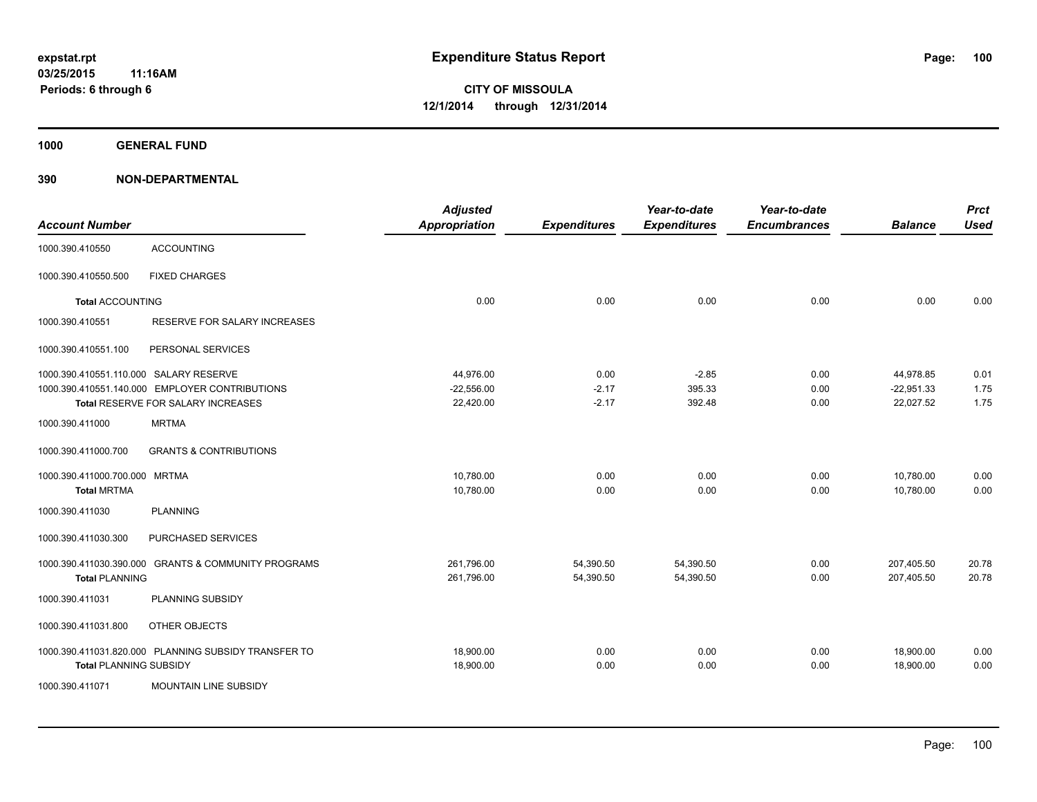**1000 GENERAL FUND**

| <b>Account Number</b>                  |                                                      | <b>Adjusted</b><br><b>Appropriation</b> | <b>Expenditures</b> | Year-to-date<br><b>Expenditures</b> | Year-to-date<br><b>Encumbrances</b> | <b>Balance</b> | <b>Prct</b><br><b>Used</b> |
|----------------------------------------|------------------------------------------------------|-----------------------------------------|---------------------|-------------------------------------|-------------------------------------|----------------|----------------------------|
| 1000.390.410550                        | <b>ACCOUNTING</b>                                    |                                         |                     |                                     |                                     |                |                            |
| 1000.390.410550.500                    | <b>FIXED CHARGES</b>                                 |                                         |                     |                                     |                                     |                |                            |
| <b>Total ACCOUNTING</b>                |                                                      | 0.00                                    | 0.00                | 0.00                                | 0.00                                | 0.00           | 0.00                       |
| 1000.390.410551                        | RESERVE FOR SALARY INCREASES                         |                                         |                     |                                     |                                     |                |                            |
| 1000.390.410551.100                    | PERSONAL SERVICES                                    |                                         |                     |                                     |                                     |                |                            |
| 1000.390.410551.110.000 SALARY RESERVE |                                                      | 44,976.00                               | 0.00                | $-2.85$                             | 0.00                                | 44,978.85      | 0.01                       |
|                                        | 1000.390.410551.140.000 EMPLOYER CONTRIBUTIONS       | $-22,556.00$                            | $-2.17$             | 395.33                              | 0.00                                | $-22,951.33$   | 1.75                       |
|                                        | Total RESERVE FOR SALARY INCREASES                   | 22,420.00                               | $-2.17$             | 392.48                              | 0.00                                | 22,027.52      | 1.75                       |
| 1000.390.411000                        | <b>MRTMA</b>                                         |                                         |                     |                                     |                                     |                |                            |
| 1000.390.411000.700                    | <b>GRANTS &amp; CONTRIBUTIONS</b>                    |                                         |                     |                                     |                                     |                |                            |
| 1000.390.411000.700.000 MRTMA          |                                                      | 10,780.00                               | 0.00                | 0.00                                | 0.00                                | 10,780.00      | 0.00                       |
| <b>Total MRTMA</b>                     |                                                      | 10,780.00                               | 0.00                | 0.00                                | 0.00                                | 10,780.00      | 0.00                       |
| 1000.390.411030                        | <b>PLANNING</b>                                      |                                         |                     |                                     |                                     |                |                            |
| 1000.390.411030.300                    | PURCHASED SERVICES                                   |                                         |                     |                                     |                                     |                |                            |
| 1000.390.411030.390.000                | <b>GRANTS &amp; COMMUNITY PROGRAMS</b>               | 261,796.00                              | 54,390.50           | 54,390.50                           | 0.00                                | 207,405.50     | 20.78                      |
| <b>Total PLANNING</b>                  |                                                      | 261,796.00                              | 54,390.50           | 54.390.50                           | 0.00                                | 207.405.50     | 20.78                      |
| 1000.390.411031                        | PLANNING SUBSIDY                                     |                                         |                     |                                     |                                     |                |                            |
| 1000.390.411031.800                    | OTHER OBJECTS                                        |                                         |                     |                                     |                                     |                |                            |
|                                        | 1000.390.411031.820.000 PLANNING SUBSIDY TRANSFER TO | 18,900.00                               | 0.00                | 0.00                                | 0.00                                | 18,900.00      | 0.00                       |
| <b>Total PLANNING SUBSIDY</b>          |                                                      | 18,900.00                               | 0.00                | 0.00                                | 0.00                                | 18,900.00      | 0.00                       |
| 1000.390.411071                        | <b>MOUNTAIN LINE SUBSIDY</b>                         |                                         |                     |                                     |                                     |                |                            |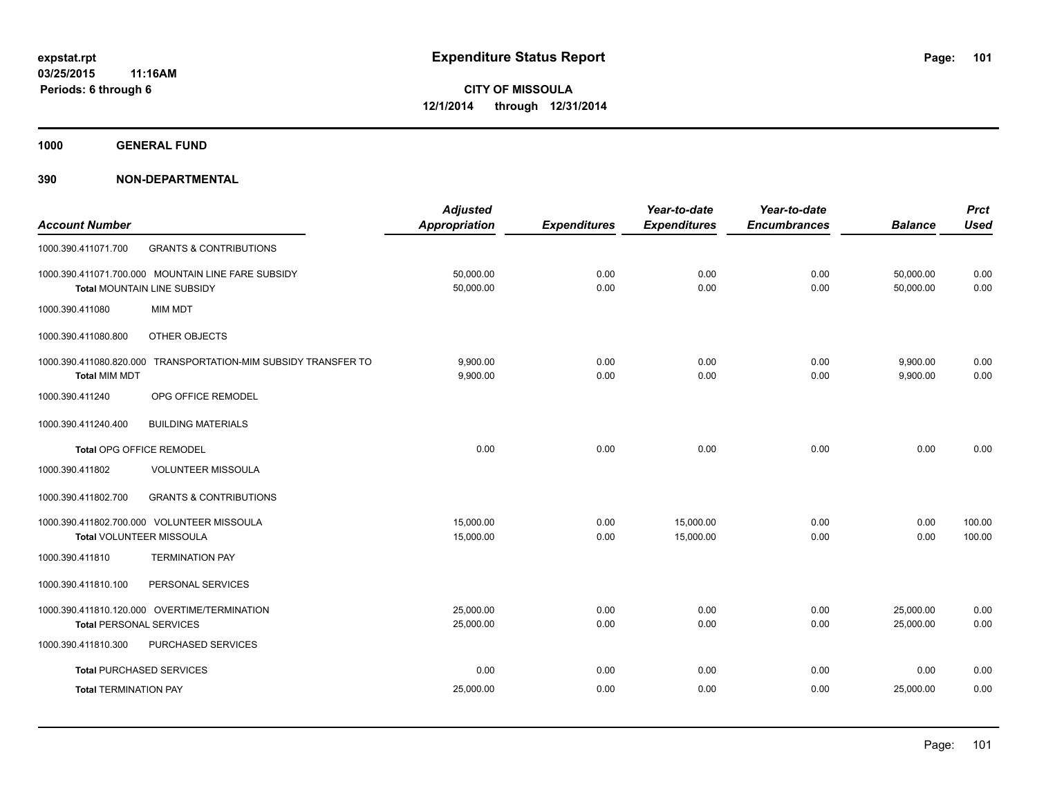**1000 GENERAL FUND**

|                                 |                                                                | <b>Adjusted</b>      |                     | Year-to-date        | Year-to-date        |                | <b>Prct</b> |
|---------------------------------|----------------------------------------------------------------|----------------------|---------------------|---------------------|---------------------|----------------|-------------|
| <b>Account Number</b>           |                                                                | <b>Appropriation</b> | <b>Expenditures</b> | <b>Expenditures</b> | <b>Encumbrances</b> | <b>Balance</b> | <b>Used</b> |
| 1000.390.411071.700             | <b>GRANTS &amp; CONTRIBUTIONS</b>                              |                      |                     |                     |                     |                |             |
|                                 | 1000.390.411071.700.000 MOUNTAIN LINE FARE SUBSIDY             | 50,000.00            | 0.00                | 0.00                | 0.00                | 50,000.00      | 0.00        |
|                                 | Total MOUNTAIN LINE SUBSIDY                                    | 50,000.00            | 0.00                | 0.00                | 0.00                | 50,000.00      | 0.00        |
| 1000.390.411080                 | MIM MDT                                                        |                      |                     |                     |                     |                |             |
| 1000.390.411080.800             | OTHER OBJECTS                                                  |                      |                     |                     |                     |                |             |
|                                 | 1000.390.411080.820.000 TRANSPORTATION-MIM SUBSIDY TRANSFER TO | 9,900.00             | 0.00                | 0.00                | 0.00                | 9,900.00       | 0.00        |
| <b>Total MIM MDT</b>            |                                                                | 9,900.00             | 0.00                | 0.00                | 0.00                | 9,900.00       | 0.00        |
| 1000.390.411240                 | OPG OFFICE REMODEL                                             |                      |                     |                     |                     |                |             |
| 1000.390.411240.400             | <b>BUILDING MATERIALS</b>                                      |                      |                     |                     |                     |                |             |
| <b>Total OPG OFFICE REMODEL</b> |                                                                | 0.00                 | 0.00                | 0.00                | 0.00                | 0.00           | 0.00        |
| 1000.390.411802                 | <b>VOLUNTEER MISSOULA</b>                                      |                      |                     |                     |                     |                |             |
| 1000.390.411802.700             | <b>GRANTS &amp; CONTRIBUTIONS</b>                              |                      |                     |                     |                     |                |             |
|                                 | 1000.390.411802.700.000 VOLUNTEER MISSOULA                     | 15,000.00            | 0.00                | 15,000.00           | 0.00                | 0.00           | 100.00      |
| Total VOLUNTEER MISSOULA        |                                                                | 15,000.00            | 0.00                | 15,000.00           | 0.00                | 0.00           | 100.00      |
| 1000.390.411810                 | <b>TERMINATION PAY</b>                                         |                      |                     |                     |                     |                |             |
| 1000.390.411810.100             | PERSONAL SERVICES                                              |                      |                     |                     |                     |                |             |
|                                 | 1000.390.411810.120.000 OVERTIME/TERMINATION                   | 25,000.00            | 0.00                | 0.00                | 0.00                | 25,000.00      | 0.00        |
| <b>Total PERSONAL SERVICES</b>  |                                                                | 25,000.00            | 0.00                | 0.00                | 0.00                | 25,000.00      | 0.00        |
| 1000.390.411810.300             | PURCHASED SERVICES                                             |                      |                     |                     |                     |                |             |
| <b>Total PURCHASED SERVICES</b> |                                                                | 0.00                 | 0.00                | 0.00                | 0.00                | 0.00           | 0.00        |
| <b>Total TERMINATION PAY</b>    |                                                                | 25,000.00            | 0.00                | 0.00                | 0.00                | 25,000.00      | 0.00        |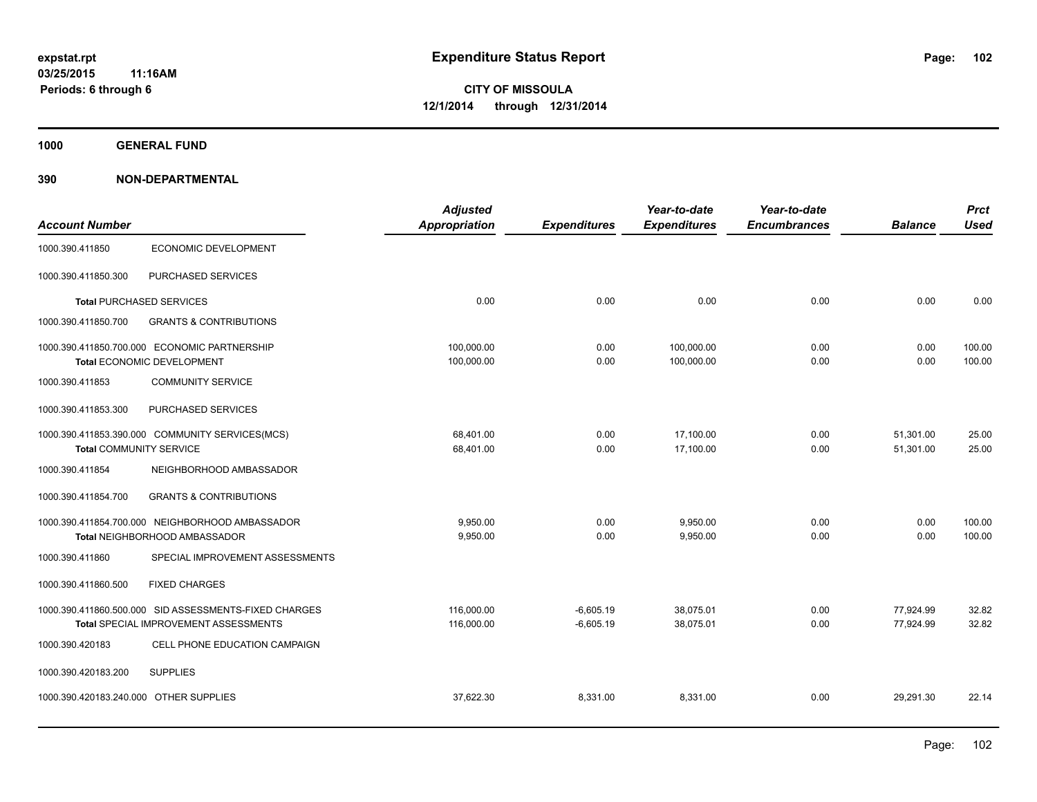**1000 GENERAL FUND**

| <b>Account Number</b>                  |                                                                            | <b>Adjusted</b><br><b>Appropriation</b> | <b>Expenditures</b> | Year-to-date<br><b>Expenditures</b> | Year-to-date<br><b>Encumbrances</b> | <b>Balance</b> | <b>Prct</b><br><b>Used</b> |
|----------------------------------------|----------------------------------------------------------------------------|-----------------------------------------|---------------------|-------------------------------------|-------------------------------------|----------------|----------------------------|
| 1000.390.411850                        | ECONOMIC DEVELOPMENT                                                       |                                         |                     |                                     |                                     |                |                            |
| 1000.390.411850.300                    | PURCHASED SERVICES                                                         |                                         |                     |                                     |                                     |                |                            |
|                                        | <b>Total PURCHASED SERVICES</b>                                            | 0.00                                    | 0.00                | 0.00                                | 0.00                                | 0.00           | 0.00                       |
| 1000.390.411850.700                    | <b>GRANTS &amp; CONTRIBUTIONS</b>                                          |                                         |                     |                                     |                                     |                |                            |
|                                        | 1000.390.411850.700.000 ECONOMIC PARTNERSHIP<br>Total ECONOMIC DEVELOPMENT | 100,000.00<br>100,000.00                | 0.00<br>0.00        | 100,000.00<br>100,000.00            | 0.00<br>0.00                        | 0.00<br>0.00   | 100.00<br>100.00           |
| 1000.390.411853                        | <b>COMMUNITY SERVICE</b>                                                   |                                         |                     |                                     |                                     |                |                            |
| 1000.390.411853.300                    | PURCHASED SERVICES                                                         |                                         |                     |                                     |                                     |                |                            |
|                                        | 1000.390.411853.390.000 COMMUNITY SERVICES(MCS)                            | 68,401.00                               | 0.00                | 17,100.00                           | 0.00                                | 51,301.00      | 25.00                      |
| <b>Total COMMUNITY SERVICE</b>         |                                                                            | 68,401.00                               | 0.00                | 17,100.00                           | 0.00                                | 51,301.00      | 25.00                      |
| 1000.390.411854                        | NEIGHBORHOOD AMBASSADOR                                                    |                                         |                     |                                     |                                     |                |                            |
| 1000.390.411854.700                    | <b>GRANTS &amp; CONTRIBUTIONS</b>                                          |                                         |                     |                                     |                                     |                |                            |
|                                        | 1000.390.411854.700.000 NEIGHBORHOOD AMBASSADOR                            | 9,950.00                                | 0.00                | 9,950.00                            | 0.00                                | 0.00           | 100.00                     |
|                                        | Total NEIGHBORHOOD AMBASSADOR                                              | 9,950.00                                | 0.00                | 9,950.00                            | 0.00                                | 0.00           | 100.00                     |
| 1000.390.411860                        | SPECIAL IMPROVEMENT ASSESSMENTS                                            |                                         |                     |                                     |                                     |                |                            |
| 1000.390.411860.500                    | <b>FIXED CHARGES</b>                                                       |                                         |                     |                                     |                                     |                |                            |
|                                        | 1000.390.411860.500.000 SID ASSESSMENTS-FIXED CHARGES                      | 116,000.00                              | $-6,605.19$         | 38,075.01                           | 0.00                                | 77,924.99      | 32.82                      |
|                                        | Total SPECIAL IMPROVEMENT ASSESSMENTS                                      | 116,000.00                              | $-6,605.19$         | 38,075.01                           | 0.00                                | 77,924.99      | 32.82                      |
| 1000.390.420183                        | CELL PHONE EDUCATION CAMPAIGN                                              |                                         |                     |                                     |                                     |                |                            |
| 1000.390.420183.200                    | <b>SUPPLIES</b>                                                            |                                         |                     |                                     |                                     |                |                            |
| 1000.390.420183.240.000 OTHER SUPPLIES |                                                                            | 37.622.30                               | 8,331.00            | 8.331.00                            | 0.00                                | 29,291.30      | 22.14                      |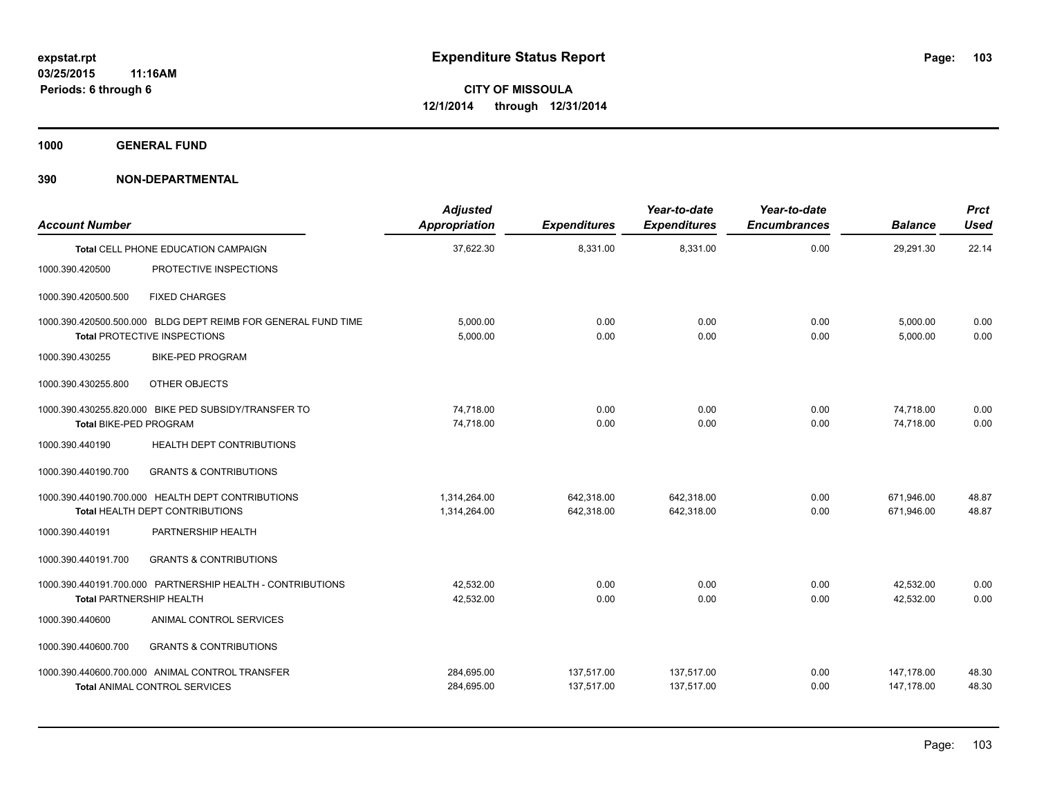**1000 GENERAL FUND**

| <b>Account Number</b>           |                                                                                                      | <b>Adjusted</b><br>Appropriation | <b>Expenditures</b>      | Year-to-date<br><b>Expenditures</b> | Year-to-date<br><b>Encumbrances</b> | <b>Balance</b>           | <b>Prct</b><br><b>Used</b> |
|---------------------------------|------------------------------------------------------------------------------------------------------|----------------------------------|--------------------------|-------------------------------------|-------------------------------------|--------------------------|----------------------------|
|                                 | <b>Total CELL PHONE EDUCATION CAMPAIGN</b>                                                           | 37,622.30                        | 8,331.00                 | 8,331.00                            | 0.00                                | 29,291.30                | 22.14                      |
| 1000.390.420500                 | PROTECTIVE INSPECTIONS                                                                               |                                  |                          |                                     |                                     |                          |                            |
| 1000.390.420500.500             | <b>FIXED CHARGES</b>                                                                                 |                                  |                          |                                     |                                     |                          |                            |
|                                 | 1000.390.420500.500.000 BLDG DEPT REIMB FOR GENERAL FUND TIME<br><b>Total PROTECTIVE INSPECTIONS</b> | 5.000.00<br>5,000.00             | 0.00<br>0.00             | 0.00<br>0.00                        | 0.00<br>0.00                        | 5,000.00<br>5,000.00     | 0.00<br>0.00               |
| 1000.390.430255                 | <b>BIKE-PED PROGRAM</b>                                                                              |                                  |                          |                                     |                                     |                          |                            |
| 1000.390.430255.800             | OTHER OBJECTS                                                                                        |                                  |                          |                                     |                                     |                          |                            |
| Total BIKE-PED PROGRAM          | 1000.390.430255.820.000 BIKE PED SUBSIDY/TRANSFER TO                                                 | 74.718.00<br>74,718.00           | 0.00<br>0.00             | 0.00<br>0.00                        | 0.00<br>0.00                        | 74,718.00<br>74,718.00   | 0.00<br>0.00               |
| 1000.390.440190                 | HEALTH DEPT CONTRIBUTIONS                                                                            |                                  |                          |                                     |                                     |                          |                            |
| 1000.390.440190.700             | <b>GRANTS &amp; CONTRIBUTIONS</b>                                                                    |                                  |                          |                                     |                                     |                          |                            |
|                                 | 1000.390.440190.700.000 HEALTH DEPT CONTRIBUTIONS<br><b>Total HEALTH DEPT CONTRIBUTIONS</b>          | 1,314,264.00<br>1,314,264.00     | 642.318.00<br>642,318.00 | 642.318.00<br>642,318.00            | 0.00<br>0.00                        | 671.946.00<br>671,946.00 | 48.87<br>48.87             |
| 1000.390.440191                 | PARTNERSHIP HEALTH                                                                                   |                                  |                          |                                     |                                     |                          |                            |
| 1000.390.440191.700             | <b>GRANTS &amp; CONTRIBUTIONS</b>                                                                    |                                  |                          |                                     |                                     |                          |                            |
| <b>Total PARTNERSHIP HEALTH</b> | 1000.390.440191.700.000 PARTNERSHIP HEALTH - CONTRIBUTIONS                                           | 42,532.00<br>42.532.00           | 0.00<br>0.00             | 0.00<br>0.00                        | 0.00<br>0.00                        | 42,532.00<br>42.532.00   | 0.00<br>0.00               |
| 1000.390.440600                 | ANIMAL CONTROL SERVICES                                                                              |                                  |                          |                                     |                                     |                          |                            |
| 1000.390.440600.700             | <b>GRANTS &amp; CONTRIBUTIONS</b>                                                                    |                                  |                          |                                     |                                     |                          |                            |
|                                 | 1000.390.440600.700.000 ANIMAL CONTROL TRANSFER<br><b>Total ANIMAL CONTROL SERVICES</b>              | 284,695.00<br>284,695.00         | 137,517.00<br>137,517.00 | 137,517.00<br>137,517.00            | 0.00<br>0.00                        | 147,178.00<br>147,178.00 | 48.30<br>48.30             |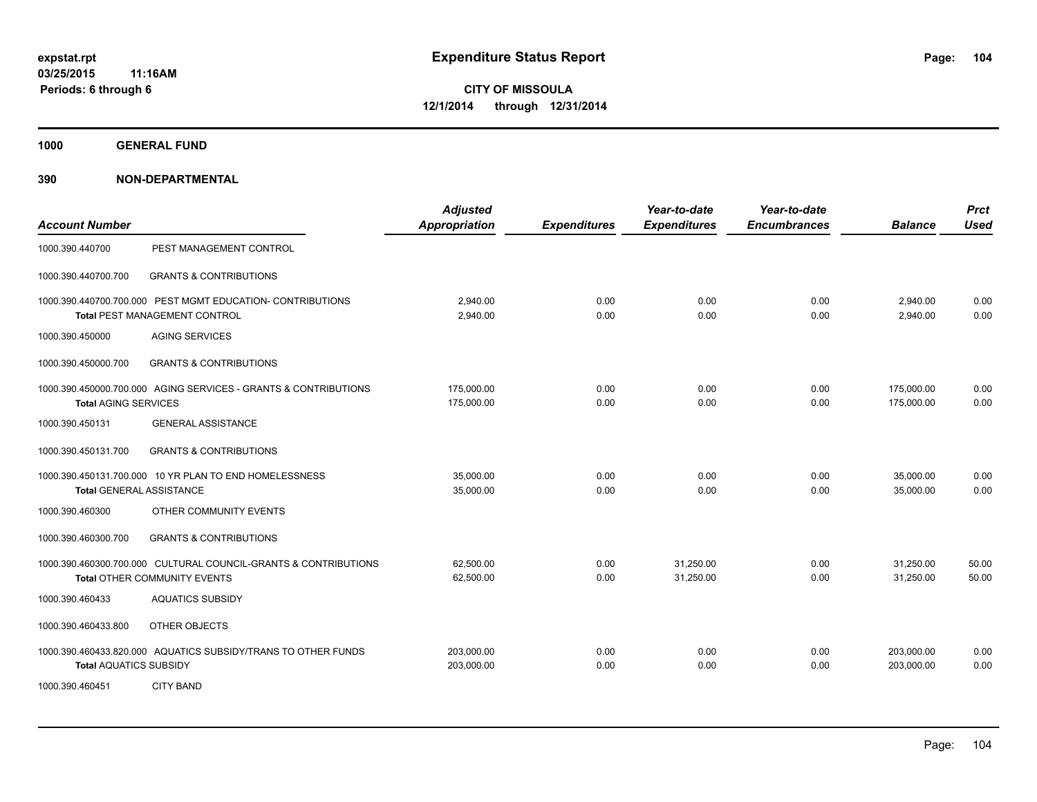**1000 GENERAL FUND**

| <b>Account Number</b>         |                                                                                                        | <b>Adjusted</b><br><b>Appropriation</b> | <b>Expenditures</b> | Year-to-date<br><b>Expenditures</b> | Year-to-date<br><b>Encumbrances</b> | <b>Balance</b>           | <b>Prct</b><br><b>Used</b> |
|-------------------------------|--------------------------------------------------------------------------------------------------------|-----------------------------------------|---------------------|-------------------------------------|-------------------------------------|--------------------------|----------------------------|
| 1000.390.440700               | PEST MANAGEMENT CONTROL                                                                                |                                         |                     |                                     |                                     |                          |                            |
| 1000.390.440700.700           | <b>GRANTS &amp; CONTRIBUTIONS</b>                                                                      |                                         |                     |                                     |                                     |                          |                            |
|                               | 1000.390.440700.700.000 PEST MGMT EDUCATION- CONTRIBUTIONS<br><b>Total PEST MANAGEMENT CONTROL</b>     | 2,940.00<br>2,940.00                    | 0.00<br>0.00        | 0.00<br>0.00                        | 0.00<br>0.00                        | 2,940.00<br>2,940.00     | 0.00<br>0.00               |
| 1000.390.450000               | <b>AGING SERVICES</b>                                                                                  |                                         |                     |                                     |                                     |                          |                            |
| 1000.390.450000.700           | <b>GRANTS &amp; CONTRIBUTIONS</b>                                                                      |                                         |                     |                                     |                                     |                          |                            |
| <b>Total AGING SERVICES</b>   | 1000.390.450000.700.000 AGING SERVICES - GRANTS & CONTRIBUTIONS                                        | 175,000.00<br>175,000.00                | 0.00<br>0.00        | 0.00<br>0.00                        | 0.00<br>0.00                        | 175,000.00<br>175,000.00 | 0.00<br>0.00               |
| 1000.390.450131               | <b>GENERAL ASSISTANCE</b>                                                                              |                                         |                     |                                     |                                     |                          |                            |
| 1000.390.450131.700           | <b>GRANTS &amp; CONTRIBUTIONS</b>                                                                      |                                         |                     |                                     |                                     |                          |                            |
|                               | 1000.390.450131.700.000 10 YR PLAN TO END HOMELESSNESS<br><b>Total GENERAL ASSISTANCE</b>              | 35,000.00<br>35,000.00                  | 0.00<br>0.00        | 0.00<br>0.00                        | 0.00<br>0.00                        | 35,000.00<br>35,000.00   | 0.00<br>0.00               |
| 1000.390.460300               | OTHER COMMUNITY EVENTS                                                                                 |                                         |                     |                                     |                                     |                          |                            |
| 1000.390.460300.700           | <b>GRANTS &amp; CONTRIBUTIONS</b>                                                                      |                                         |                     |                                     |                                     |                          |                            |
|                               | 1000.390.460300.700.000 CULTURAL COUNCIL-GRANTS & CONTRIBUTIONS<br><b>Total OTHER COMMUNITY EVENTS</b> | 62,500.00<br>62,500.00                  | 0.00<br>0.00        | 31,250.00<br>31,250.00              | 0.00<br>0.00                        | 31,250.00<br>31,250.00   | 50.00<br>50.00             |
| 1000.390.460433               | <b>AQUATICS SUBSIDY</b>                                                                                |                                         |                     |                                     |                                     |                          |                            |
| 1000.390.460433.800           | OTHER OBJECTS                                                                                          |                                         |                     |                                     |                                     |                          |                            |
| <b>Total AQUATICS SUBSIDY</b> | 1000.390.460433.820.000 AQUATICS SUBSIDY/TRANS TO OTHER FUNDS                                          | 203,000.00<br>203,000.00                | 0.00<br>0.00        | 0.00<br>0.00                        | 0.00<br>0.00                        | 203,000.00<br>203,000.00 | 0.00<br>0.00               |
| 1000.390.460451               | <b>CITY BAND</b>                                                                                       |                                         |                     |                                     |                                     |                          |                            |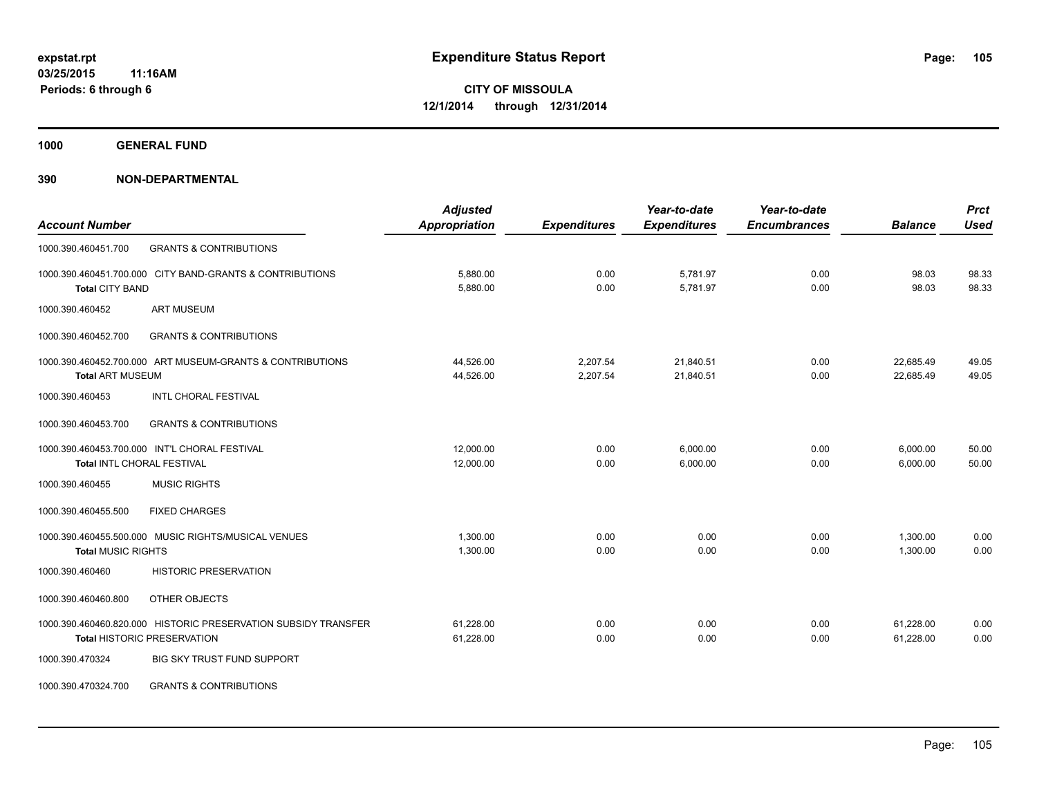**1000 GENERAL FUND**

|                                                                | <b>Adjusted</b>      |                     | Year-to-date        | Year-to-date        |                | <b>Prct</b> |
|----------------------------------------------------------------|----------------------|---------------------|---------------------|---------------------|----------------|-------------|
| <b>Account Number</b>                                          | <b>Appropriation</b> | <b>Expenditures</b> | <b>Expenditures</b> | <b>Encumbrances</b> | <b>Balance</b> | <b>Used</b> |
| <b>GRANTS &amp; CONTRIBUTIONS</b><br>1000.390.460451.700       |                      |                     |                     |                     |                |             |
| 1000.390.460451.700.000 CITY BAND-GRANTS & CONTRIBUTIONS       | 5,880.00             | 0.00                | 5,781.97            | 0.00                | 98.03          | 98.33       |
| <b>Total CITY BAND</b>                                         | 5,880.00             | 0.00                | 5,781.97            | 0.00                | 98.03          | 98.33       |
| <b>ART MUSEUM</b><br>1000.390.460452                           |                      |                     |                     |                     |                |             |
| 1000.390.460452.700<br><b>GRANTS &amp; CONTRIBUTIONS</b>       |                      |                     |                     |                     |                |             |
| 1000.390.460452.700.000 ART MUSEUM-GRANTS & CONTRIBUTIONS      | 44,526.00            | 2,207.54            | 21,840.51           | 0.00                | 22,685.49      | 49.05       |
| <b>Total ART MUSEUM</b>                                        | 44,526.00            | 2,207.54            | 21,840.51           | 0.00                | 22,685.49      | 49.05       |
| <b>INTL CHORAL FESTIVAL</b><br>1000.390.460453                 |                      |                     |                     |                     |                |             |
| <b>GRANTS &amp; CONTRIBUTIONS</b><br>1000.390.460453.700       |                      |                     |                     |                     |                |             |
| 1000.390.460453.700.000 INT'L CHORAL FESTIVAL                  | 12,000.00            | 0.00                | 6,000.00            | 0.00                | 6,000.00       | 50.00       |
| <b>Total INTL CHORAL FESTIVAL</b>                              | 12,000.00            | 0.00                | 6,000.00            | 0.00                | 6,000.00       | 50.00       |
| <b>MUSIC RIGHTS</b><br>1000.390.460455                         |                      |                     |                     |                     |                |             |
| 1000.390.460455.500<br><b>FIXED CHARGES</b>                    |                      |                     |                     |                     |                |             |
| 1000.390.460455.500.000 MUSIC RIGHTS/MUSICAL VENUES            | 1,300.00             | 0.00                | 0.00                | 0.00                | 1,300.00       | 0.00        |
| <b>Total MUSIC RIGHTS</b>                                      | 1,300.00             | 0.00                | 0.00                | 0.00                | 1,300.00       | 0.00        |
| 1000.390.460460<br><b>HISTORIC PRESERVATION</b>                |                      |                     |                     |                     |                |             |
| 1000.390.460460.800<br>OTHER OBJECTS                           |                      |                     |                     |                     |                |             |
| 1000.390.460460.820.000 HISTORIC PRESERVATION SUBSIDY TRANSFER | 61,228.00            | 0.00                | 0.00                | 0.00                | 61,228.00      | 0.00        |
| <b>Total HISTORIC PRESERVATION</b>                             | 61,228.00            | 0.00                | 0.00                | 0.00                | 61,228.00      | 0.00        |
| 1000.390.470324<br><b>BIG SKY TRUST FUND SUPPORT</b>           |                      |                     |                     |                     |                |             |
| <b>GRANTS &amp; CONTRIBUTIONS</b><br>1000.390.470324.700       |                      |                     |                     |                     |                |             |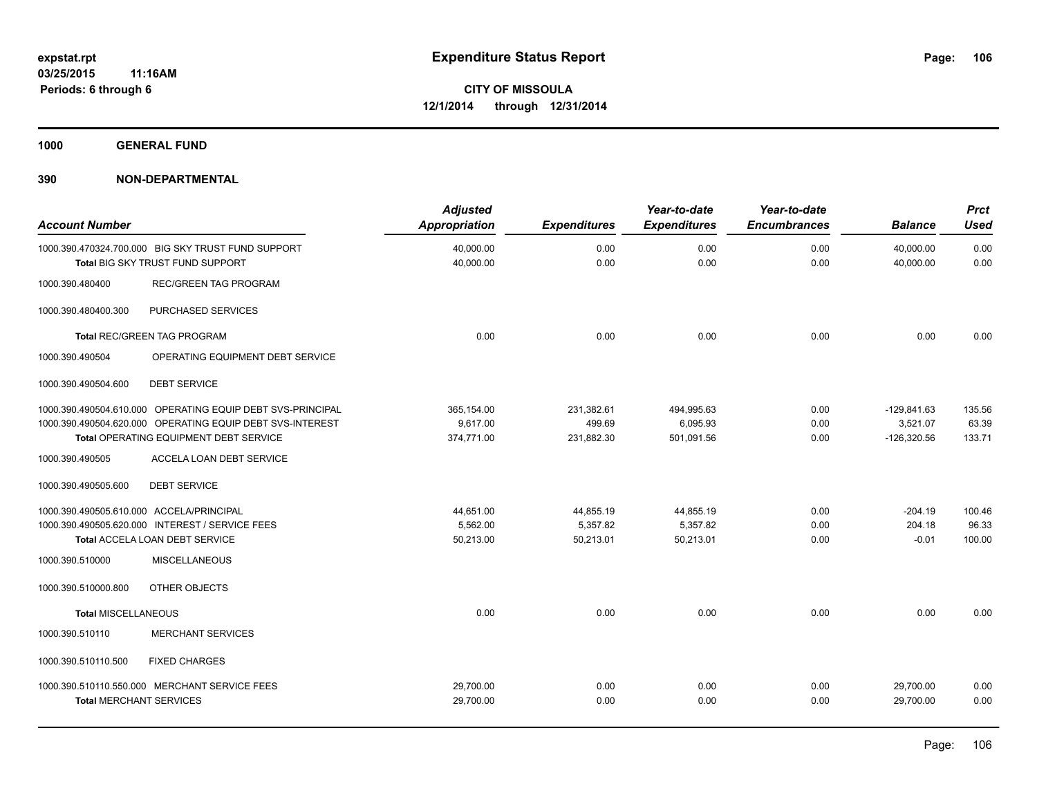**1000 GENERAL FUND**

| <b>Account Number</b>                                                                  | <b>Adjusted</b><br><b>Appropriation</b> | <b>Expenditures</b> | Year-to-date<br><b>Expenditures</b> | Year-to-date<br><b>Encumbrances</b> | <b>Balance</b>         | <b>Prct</b><br>Used |
|----------------------------------------------------------------------------------------|-----------------------------------------|---------------------|-------------------------------------|-------------------------------------|------------------------|---------------------|
| 1000.390.470324.700.000 BIG SKY TRUST FUND SUPPORT<br>Total BIG SKY TRUST FUND SUPPORT | 40,000.00<br>40,000.00                  | 0.00<br>0.00        | 0.00<br>0.00                        | 0.00<br>0.00                        | 40,000.00<br>40,000.00 | 0.00<br>0.00        |
| <b>REC/GREEN TAG PROGRAM</b><br>1000.390.480400                                        |                                         |                     |                                     |                                     |                        |                     |
| PURCHASED SERVICES<br>1000.390.480400.300                                              |                                         |                     |                                     |                                     |                        |                     |
| <b>Total REC/GREEN TAG PROGRAM</b>                                                     | 0.00                                    | 0.00                | 0.00                                | 0.00                                | 0.00                   | 0.00                |
| 1000.390.490504<br>OPERATING EQUIPMENT DEBT SERVICE                                    |                                         |                     |                                     |                                     |                        |                     |
| <b>DEBT SERVICE</b><br>1000.390.490504.600                                             |                                         |                     |                                     |                                     |                        |                     |
| 1000.390.490504.610.000 OPERATING EQUIP DEBT SVS-PRINCIPAL                             | 365,154.00                              | 231,382.61          | 494,995.63                          | 0.00                                | $-129,841.63$          | 135.56              |
| 1000.390.490504.620.000 OPERATING EQUIP DEBT SVS-INTEREST                              | 9,617.00                                | 499.69              | 6,095.93                            | 0.00                                | 3,521.07               | 63.39               |
| Total OPERATING EQUIPMENT DEBT SERVICE                                                 | 374,771.00                              | 231,882.30          | 501,091.56                          | 0.00                                | $-126,320.56$          | 133.71              |
| ACCELA LOAN DEBT SERVICE<br>1000.390.490505                                            |                                         |                     |                                     |                                     |                        |                     |
| 1000.390.490505.600<br><b>DEBT SERVICE</b>                                             |                                         |                     |                                     |                                     |                        |                     |
| 1000.390.490505.610.000 ACCELA/PRINCIPAL                                               | 44,651.00                               | 44,855.19           | 44,855.19                           | 0.00                                | $-204.19$              | 100.46              |
| 1000.390.490505.620.000 INTEREST / SERVICE FEES                                        | 5,562.00                                | 5,357.82            | 5,357.82                            | 0.00                                | 204.18                 | 96.33               |
| Total ACCELA LOAN DEBT SERVICE                                                         | 50,213.00                               | 50,213.01           | 50,213.01                           | 0.00                                | $-0.01$                | 100.00              |
| <b>MISCELLANEOUS</b><br>1000.390.510000                                                |                                         |                     |                                     |                                     |                        |                     |
| OTHER OBJECTS<br>1000.390.510000.800                                                   |                                         |                     |                                     |                                     |                        |                     |
| <b>Total MISCELLANEOUS</b>                                                             | 0.00                                    | 0.00                | 0.00                                | 0.00                                | 0.00                   | 0.00                |
| 1000.390.510110<br><b>MERCHANT SERVICES</b>                                            |                                         |                     |                                     |                                     |                        |                     |
| 1000.390.510110.500<br><b>FIXED CHARGES</b>                                            |                                         |                     |                                     |                                     |                        |                     |
| 1000.390.510110.550.000 MERCHANT SERVICE FEES                                          | 29,700.00                               | 0.00                | 0.00                                | 0.00                                | 29,700.00              | 0.00                |
| <b>Total MERCHANT SERVICES</b>                                                         | 29,700.00                               | 0.00                | 0.00                                | 0.00                                | 29,700.00              | 0.00                |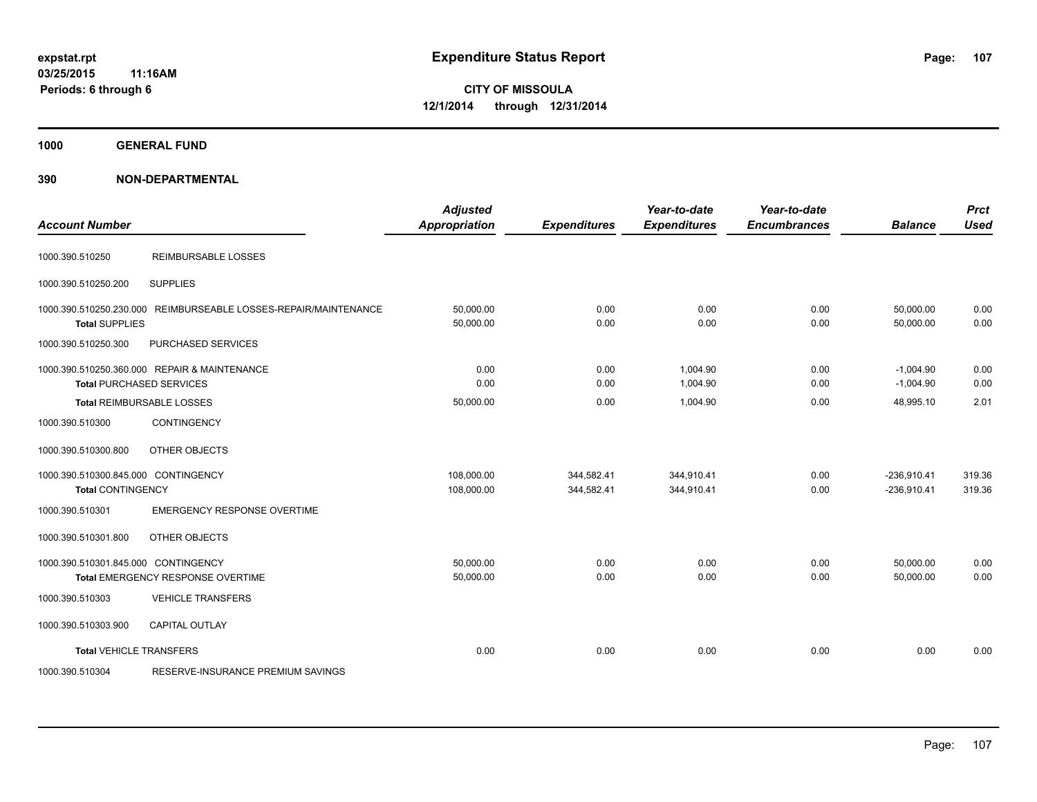**1000 GENERAL FUND**

| <b>Account Number</b>                                           |                                                                                 | <b>Adjusted</b><br><b>Appropriation</b> | <b>Expenditures</b>      | Year-to-date<br><b>Expenditures</b> | Year-to-date<br><b>Encumbrances</b> | <b>Balance</b>                 | <b>Prct</b><br><b>Used</b> |
|-----------------------------------------------------------------|---------------------------------------------------------------------------------|-----------------------------------------|--------------------------|-------------------------------------|-------------------------------------|--------------------------------|----------------------------|
| 1000.390.510250                                                 | <b>REIMBURSABLE LOSSES</b>                                                      |                                         |                          |                                     |                                     |                                |                            |
| 1000.390.510250.200                                             | <b>SUPPLIES</b>                                                                 |                                         |                          |                                     |                                     |                                |                            |
| 1000.390.510250.230.000<br><b>Total SUPPLIES</b>                | REIMBURSEABLE LOSSES-REPAIR/MAINTENANCE                                         | 50,000.00<br>50,000.00                  | 0.00<br>0.00             | 0.00<br>0.00                        | 0.00<br>0.00                        | 50,000.00<br>50,000.00         | 0.00<br>0.00               |
| 1000.390.510250.300                                             | PURCHASED SERVICES                                                              |                                         |                          |                                     |                                     |                                |                            |
|                                                                 | 1000.390.510250.360.000 REPAIR & MAINTENANCE<br><b>Total PURCHASED SERVICES</b> | 0.00<br>0.00                            | 0.00<br>0.00             | 1,004.90<br>1,004.90                | 0.00<br>0.00                        | $-1,004.90$<br>$-1,004.90$     | 0.00<br>0.00               |
|                                                                 | Total REIMBURSABLE LOSSES                                                       | 50,000.00                               | 0.00                     | 1,004.90                            | 0.00                                | 48,995.10                      | 2.01                       |
| 1000.390.510300                                                 | <b>CONTINGENCY</b>                                                              |                                         |                          |                                     |                                     |                                |                            |
| 1000.390.510300.800                                             | OTHER OBJECTS                                                                   |                                         |                          |                                     |                                     |                                |                            |
| 1000.390.510300.845.000 CONTINGENCY<br><b>Total CONTINGENCY</b> |                                                                                 | 108,000.00<br>108,000.00                | 344,582.41<br>344,582.41 | 344,910.41<br>344,910.41            | 0.00<br>0.00                        | $-236,910.41$<br>$-236,910.41$ | 319.36<br>319.36           |
| 1000.390.510301                                                 | <b>EMERGENCY RESPONSE OVERTIME</b>                                              |                                         |                          |                                     |                                     |                                |                            |
| 1000.390.510301.800                                             | OTHER OBJECTS                                                                   |                                         |                          |                                     |                                     |                                |                            |
| 1000.390.510301.845.000 CONTINGENCY                             | <b>Total EMERGENCY RESPONSE OVERTIME</b>                                        | 50,000.00<br>50,000.00                  | 0.00<br>0.00             | 0.00<br>0.00                        | 0.00<br>0.00                        | 50,000.00<br>50.000.00         | 0.00<br>0.00               |
| 1000.390.510303                                                 | <b>VEHICLE TRANSFERS</b>                                                        |                                         |                          |                                     |                                     |                                |                            |
| 1000.390.510303.900                                             | <b>CAPITAL OUTLAY</b>                                                           |                                         |                          |                                     |                                     |                                |                            |
| <b>Total VEHICLE TRANSFERS</b>                                  |                                                                                 | 0.00                                    | 0.00                     | 0.00                                | 0.00                                | 0.00                           | 0.00                       |
| 1000.390.510304                                                 | RESERVE-INSURANCE PREMIUM SAVINGS                                               |                                         |                          |                                     |                                     |                                |                            |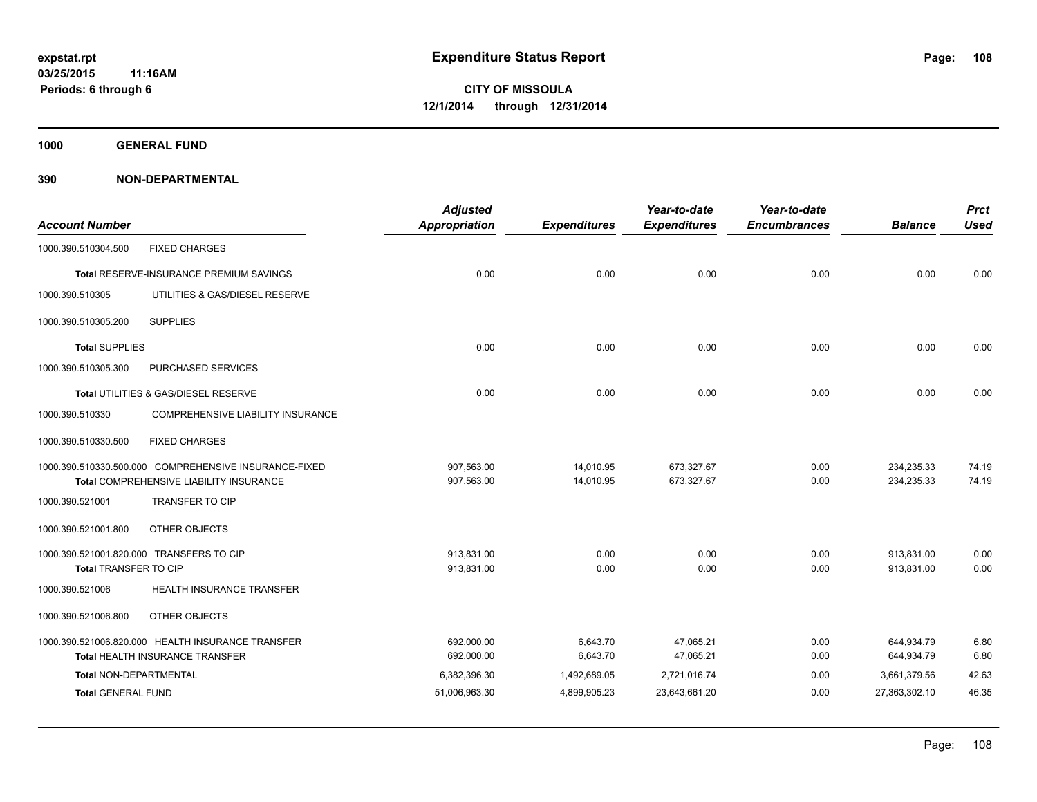**1000 GENERAL FUND**

| <b>Account Number</b>         |                                                       | <b>Adjusted</b><br><b>Appropriation</b> | <b>Expenditures</b> | Year-to-date<br><b>Expenditures</b> | Year-to-date<br><b>Encumbrances</b> | <b>Balance</b> | <b>Prct</b><br><b>Used</b> |
|-------------------------------|-------------------------------------------------------|-----------------------------------------|---------------------|-------------------------------------|-------------------------------------|----------------|----------------------------|
| 1000.390.510304.500           | <b>FIXED CHARGES</b>                                  |                                         |                     |                                     |                                     |                |                            |
|                               | Total RESERVE-INSURANCE PREMIUM SAVINGS               | 0.00                                    | 0.00                | 0.00                                | 0.00                                | 0.00           | 0.00                       |
| 1000.390.510305               | UTILITIES & GAS/DIESEL RESERVE                        |                                         |                     |                                     |                                     |                |                            |
| 1000.390.510305.200           | <b>SUPPLIES</b>                                       |                                         |                     |                                     |                                     |                |                            |
| <b>Total SUPPLIES</b>         |                                                       | 0.00                                    | 0.00                | 0.00                                | 0.00                                | 0.00           | 0.00                       |
| 1000.390.510305.300           | PURCHASED SERVICES                                    |                                         |                     |                                     |                                     |                |                            |
|                               | Total UTILITIES & GAS/DIESEL RESERVE                  | 0.00                                    | 0.00                | 0.00                                | 0.00                                | 0.00           | 0.00                       |
| 1000.390.510330               | COMPREHENSIVE LIABILITY INSURANCE                     |                                         |                     |                                     |                                     |                |                            |
| 1000.390.510330.500           | <b>FIXED CHARGES</b>                                  |                                         |                     |                                     |                                     |                |                            |
|                               | 1000.390.510330.500.000 COMPREHENSIVE INSURANCE-FIXED | 907,563.00                              | 14,010.95           | 673,327.67                          | 0.00                                | 234,235.33     | 74.19                      |
|                               | Total COMPREHENSIVE LIABILITY INSURANCE               | 907,563.00                              | 14,010.95           | 673,327.67                          | 0.00                                | 234,235.33     | 74.19                      |
| 1000.390.521001               | <b>TRANSFER TO CIP</b>                                |                                         |                     |                                     |                                     |                |                            |
| 1000.390.521001.800           | OTHER OBJECTS                                         |                                         |                     |                                     |                                     |                |                            |
|                               | 1000.390.521001.820.000 TRANSFERS TO CIP              | 913.831.00                              | 0.00                | 0.00                                | 0.00                                | 913.831.00     | 0.00                       |
| Total TRANSFER TO CIP         |                                                       | 913,831.00                              | 0.00                | 0.00                                | 0.00                                | 913,831.00     | 0.00                       |
| 1000.390.521006               | HEALTH INSURANCE TRANSFER                             |                                         |                     |                                     |                                     |                |                            |
| 1000.390.521006.800           | OTHER OBJECTS                                         |                                         |                     |                                     |                                     |                |                            |
|                               | 1000.390.521006.820.000 HEALTH INSURANCE TRANSFER     | 692,000.00                              | 6,643.70            | 47,065.21                           | 0.00                                | 644,934.79     | 6.80                       |
|                               | <b>Total HEALTH INSURANCE TRANSFER</b>                | 692,000.00                              | 6,643.70            | 47,065.21                           | 0.00                                | 644,934.79     | 6.80                       |
| <b>Total NON-DEPARTMENTAL</b> |                                                       | 6,382,396.30                            | 1,492,689.05        | 2,721,016.74                        | 0.00                                | 3,661,379.56   | 42.63                      |
| <b>Total GENERAL FUND</b>     |                                                       | 51,006,963.30                           | 4,899,905.23        | 23,643,661.20                       | 0.00                                | 27,363,302.10  | 46.35                      |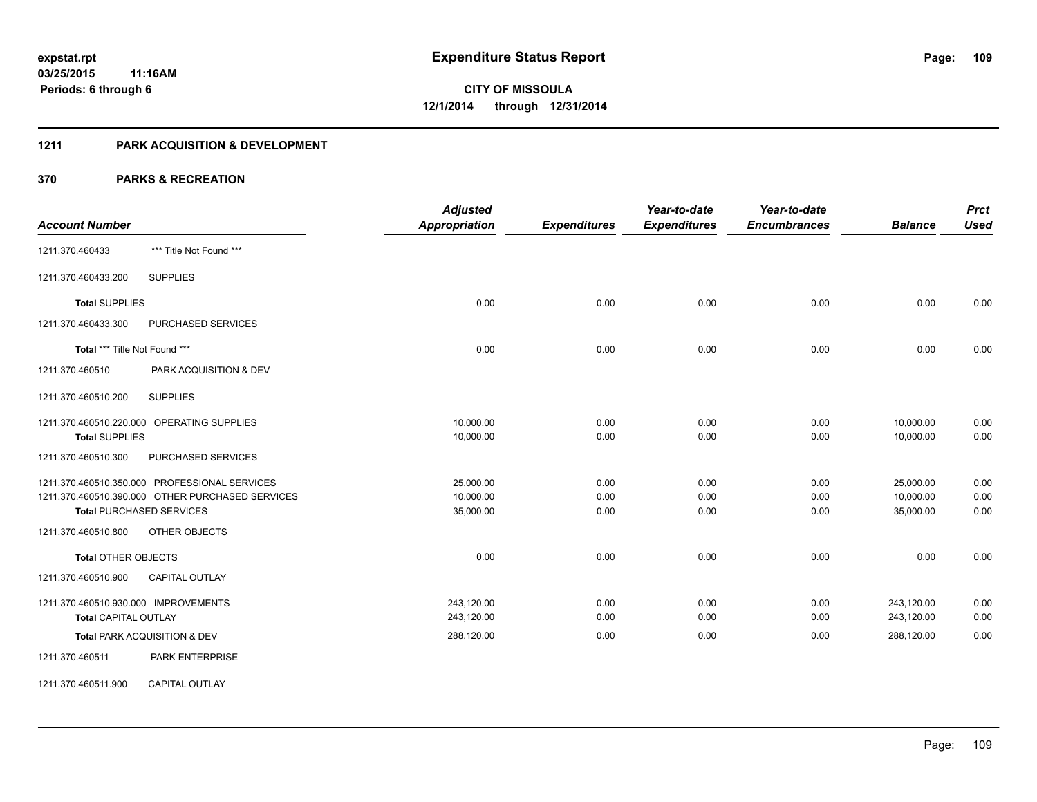### **1211 PARK ACQUISITION & DEVELOPMENT**

|                                                  | <b>Adjusted</b>      |                     | Year-to-date        | Year-to-date        |                | <b>Prct</b> |
|--------------------------------------------------|----------------------|---------------------|---------------------|---------------------|----------------|-------------|
| <b>Account Number</b>                            | <b>Appropriation</b> | <b>Expenditures</b> | <b>Expenditures</b> | <b>Encumbrances</b> | <b>Balance</b> | <b>Used</b> |
| *** Title Not Found ***<br>1211.370.460433       |                      |                     |                     |                     |                |             |
| <b>SUPPLIES</b><br>1211.370.460433.200           |                      |                     |                     |                     |                |             |
| <b>Total SUPPLIES</b>                            | 0.00                 | 0.00                | 0.00                | 0.00                | 0.00           | 0.00        |
| 1211.370.460433.300<br>PURCHASED SERVICES        |                      |                     |                     |                     |                |             |
| Total *** Title Not Found ***                    | 0.00                 | 0.00                | 0.00                | 0.00                | 0.00           | 0.00        |
| 1211.370.460510<br>PARK ACQUISITION & DEV        |                      |                     |                     |                     |                |             |
| <b>SUPPLIES</b><br>1211.370.460510.200           |                      |                     |                     |                     |                |             |
| 1211.370.460510.220.000 OPERATING SUPPLIES       | 10,000.00            | 0.00                | 0.00                | 0.00                | 10,000.00      | 0.00        |
| <b>Total SUPPLIES</b>                            | 10,000.00            | 0.00                | 0.00                | 0.00                | 10,000.00      | 0.00        |
| PURCHASED SERVICES<br>1211.370.460510.300        |                      |                     |                     |                     |                |             |
| 1211.370.460510.350.000 PROFESSIONAL SERVICES    | 25,000.00            | 0.00                | 0.00                | 0.00                | 25,000.00      | 0.00        |
| 1211.370.460510.390.000 OTHER PURCHASED SERVICES | 10,000.00            | 0.00                | 0.00                | 0.00                | 10,000.00      | 0.00        |
| <b>Total PURCHASED SERVICES</b>                  | 35,000.00            | 0.00                | 0.00                | 0.00                | 35,000.00      | 0.00        |
| 1211.370.460510.800<br>OTHER OBJECTS             |                      |                     |                     |                     |                |             |
| <b>Total OTHER OBJECTS</b>                       | 0.00                 | 0.00                | 0.00                | 0.00                | 0.00           | 0.00        |
| <b>CAPITAL OUTLAY</b><br>1211.370.460510.900     |                      |                     |                     |                     |                |             |
| 1211.370.460510.930.000 IMPROVEMENTS             | 243,120.00           | 0.00                | 0.00                | 0.00                | 243,120.00     | 0.00        |
| <b>Total CAPITAL OUTLAY</b>                      | 243,120.00           | 0.00                | 0.00                | 0.00                | 243,120.00     | 0.00        |
| Total PARK ACQUISITION & DEV                     | 288,120.00           | 0.00                | 0.00                | 0.00                | 288,120.00     | 0.00        |
| 1211.370.460511<br><b>PARK ENTERPRISE</b>        |                      |                     |                     |                     |                |             |
| <b>CAPITAL OUTLAY</b><br>1211.370.460511.900     |                      |                     |                     |                     |                |             |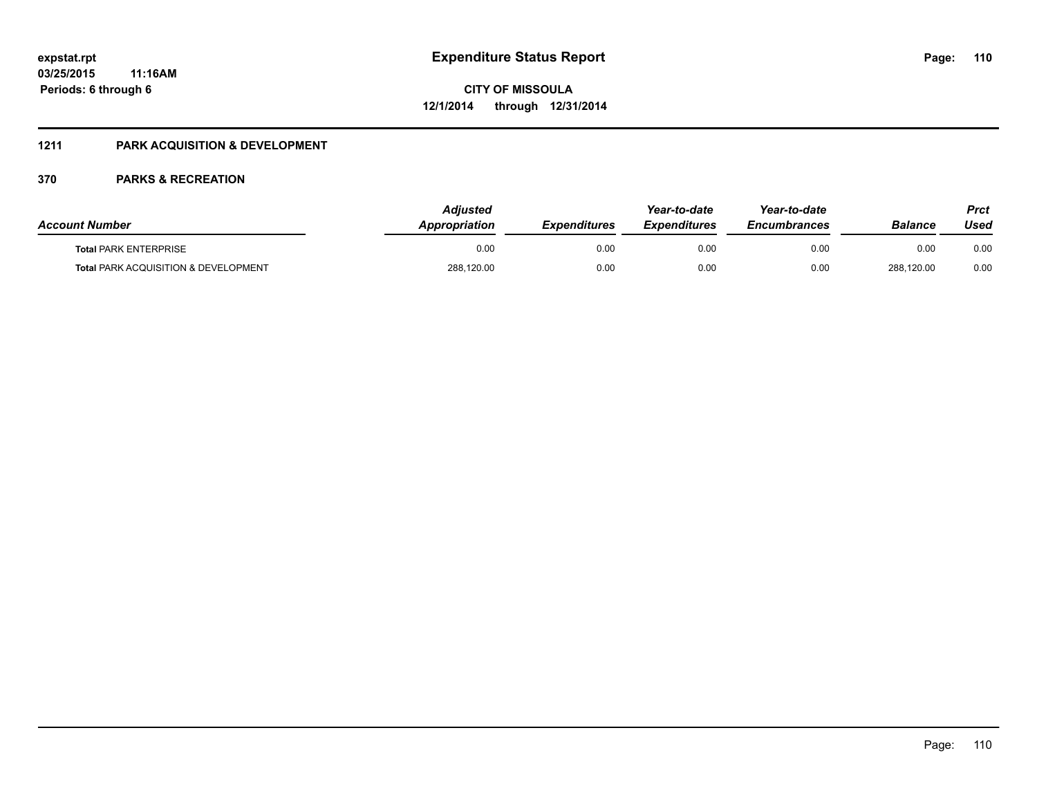### **1211 PARK ACQUISITION & DEVELOPMENT**

| <b>Account Number</b>                           | <b>Adjusted</b><br><b>Appropriation</b> | <b>Expenditures</b> | Year-to-date<br><b>Expenditures</b> | Year-to-date<br><b>Encumbrances</b> | Balance    | Prct<br>Used |
|-------------------------------------------------|-----------------------------------------|---------------------|-------------------------------------|-------------------------------------|------------|--------------|
| <b>Total PARK ENTERPRISE</b>                    | 0.00                                    | 0.00                | 0.00                                | 0.00                                | 0.00       | 0.00         |
| <b>Total PARK ACQUISITION &amp; DEVELOPMENT</b> | 288,120.00                              | 0.00                | 0.00                                | 0.00                                | 288.120.00 | 0.00         |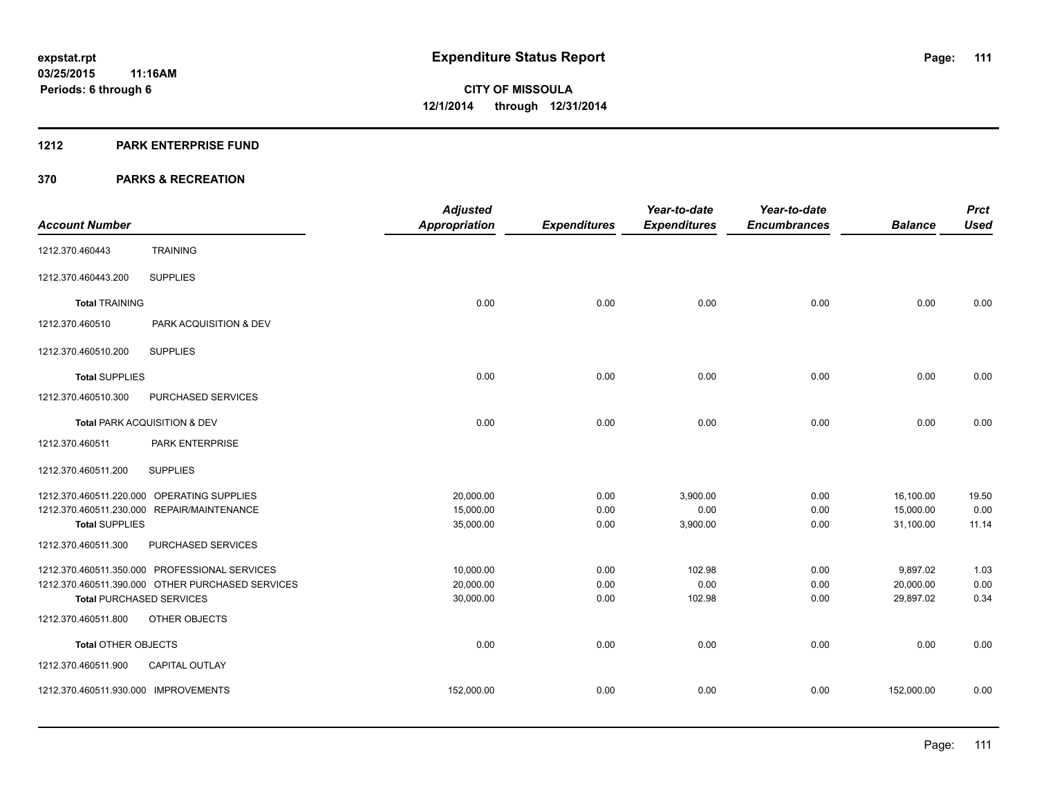#### **1212 PARK ENTERPRISE FUND**

|                                      |                                                  | <b>Adjusted</b>      |                     | Year-to-date        | Year-to-date        |                | <b>Prct</b> |
|--------------------------------------|--------------------------------------------------|----------------------|---------------------|---------------------|---------------------|----------------|-------------|
| <b>Account Number</b>                |                                                  | <b>Appropriation</b> | <b>Expenditures</b> | <b>Expenditures</b> | <b>Encumbrances</b> | <b>Balance</b> | <b>Used</b> |
| 1212.370.460443                      | <b>TRAINING</b>                                  |                      |                     |                     |                     |                |             |
| 1212.370.460443.200                  | <b>SUPPLIES</b>                                  |                      |                     |                     |                     |                |             |
| <b>Total TRAINING</b>                |                                                  | 0.00                 | 0.00                | 0.00                | 0.00                | 0.00           | 0.00        |
| 1212.370.460510                      | PARK ACQUISITION & DEV                           |                      |                     |                     |                     |                |             |
| 1212.370.460510.200                  | <b>SUPPLIES</b>                                  |                      |                     |                     |                     |                |             |
| <b>Total SUPPLIES</b>                |                                                  | 0.00                 | 0.00                | 0.00                | 0.00                | 0.00           | 0.00        |
| 1212.370.460510.300                  | PURCHASED SERVICES                               |                      |                     |                     |                     |                |             |
|                                      | Total PARK ACQUISITION & DEV                     | 0.00                 | 0.00                | 0.00                | 0.00                | 0.00           | 0.00        |
| 1212.370.460511                      | PARK ENTERPRISE                                  |                      |                     |                     |                     |                |             |
| 1212.370.460511.200                  | <b>SUPPLIES</b>                                  |                      |                     |                     |                     |                |             |
|                                      | 1212.370.460511.220.000 OPERATING SUPPLIES       | 20,000.00            | 0.00                | 3,900.00            | 0.00                | 16,100.00      | 19.50       |
|                                      | 1212.370.460511.230.000 REPAIR/MAINTENANCE       | 15,000.00            | 0.00                | 0.00                | 0.00                | 15,000.00      | 0.00        |
| <b>Total SUPPLIES</b>                |                                                  | 35,000.00            | 0.00                | 3,900.00            | 0.00                | 31,100.00      | 11.14       |
| 1212.370.460511.300                  | PURCHASED SERVICES                               |                      |                     |                     |                     |                |             |
|                                      | 1212.370.460511.350.000 PROFESSIONAL SERVICES    | 10,000.00            | 0.00                | 102.98              | 0.00                | 9,897.02       | 1.03        |
|                                      | 1212.370.460511.390.000 OTHER PURCHASED SERVICES | 20,000.00            | 0.00                | 0.00                | 0.00                | 20,000.00      | 0.00        |
| <b>Total PURCHASED SERVICES</b>      |                                                  | 30,000.00            | 0.00                | 102.98              | 0.00                | 29,897.02      | 0.34        |
| 1212.370.460511.800                  | OTHER OBJECTS                                    |                      |                     |                     |                     |                |             |
| <b>Total OTHER OBJECTS</b>           |                                                  | 0.00                 | 0.00                | 0.00                | 0.00                | 0.00           | 0.00        |
| 1212.370.460511.900                  | <b>CAPITAL OUTLAY</b>                            |                      |                     |                     |                     |                |             |
| 1212.370.460511.930.000 IMPROVEMENTS |                                                  | 152,000.00           | 0.00                | 0.00                | 0.00                | 152,000.00     | 0.00        |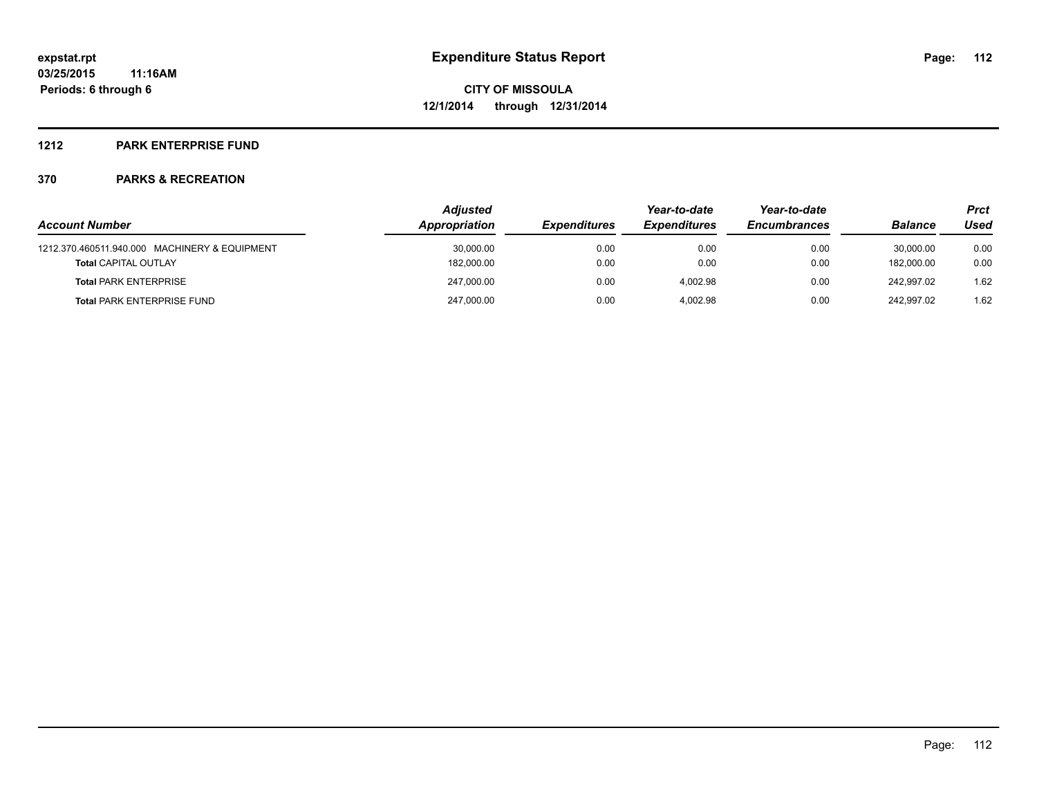### **1212 PARK ENTERPRISE FUND**

|                                               | <b>Adjusted</b> |                     |                     | Year-to-date        |                | Prct |  |
|-----------------------------------------------|-----------------|---------------------|---------------------|---------------------|----------------|------|--|
| <b>Account Number</b>                         | Appropriation   | <b>Expenditures</b> | <b>Expenditures</b> | <b>Encumbrances</b> | <b>Balance</b> | Used |  |
| 1212.370.460511.940.000 MACHINERY & EQUIPMENT | 30,000.00       | 0.00                | 0.00                | 0.00                | 30.000.00      | 0.00 |  |
| <b>Total CAPITAL OUTLAY</b>                   | 182,000.00      | 0.00                | 0.00                | 0.00                | 182.000.00     | 0.00 |  |
| <b>Total PARK ENTERPRISE</b>                  | 247.000.00      | 0.00                | 4.002.98            | 0.00                | 242.997.02     | 1.62 |  |
| <b>Total PARK ENTERPRISE FUND</b>             | 247,000.00      | 0.00                | 4.002.98            | 0.00                | 242.997.02     | 1.62 |  |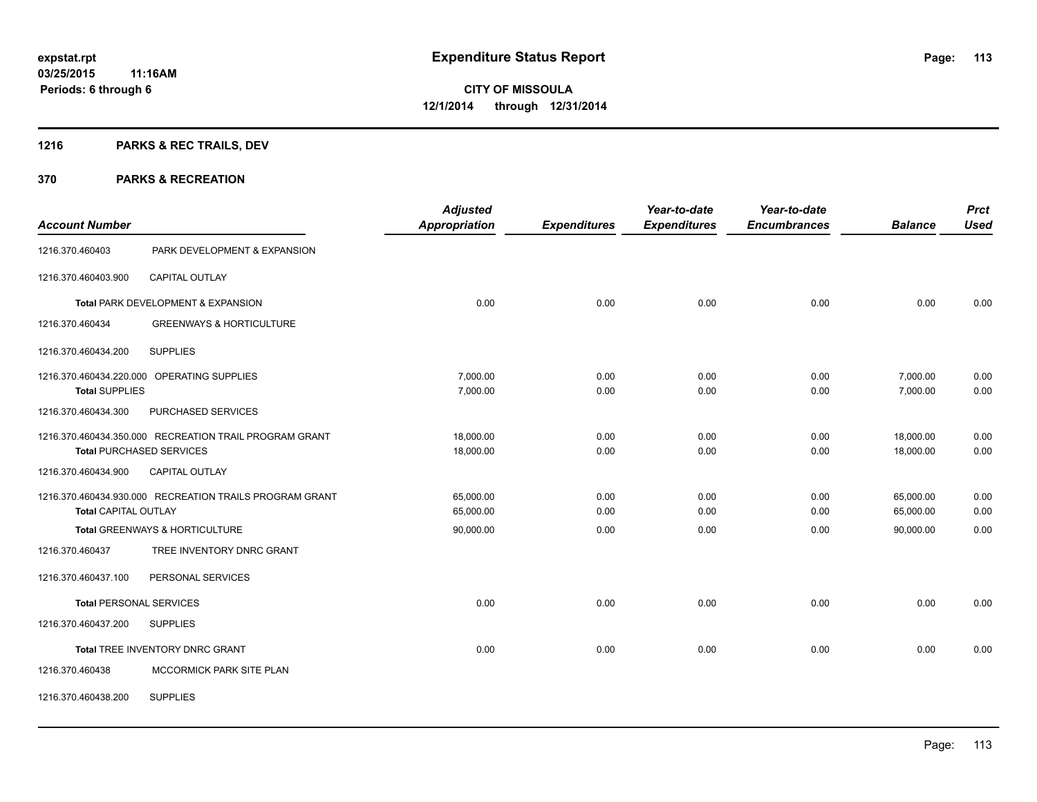## **1216 PARKS & REC TRAILS, DEV**

| <b>Account Number</b>       |                                                         | <b>Adjusted</b><br><b>Appropriation</b> | <b>Expenditures</b> | Year-to-date<br><b>Expenditures</b> | Year-to-date<br><b>Encumbrances</b> | <b>Balance</b> | <b>Prct</b><br><b>Used</b> |
|-----------------------------|---------------------------------------------------------|-----------------------------------------|---------------------|-------------------------------------|-------------------------------------|----------------|----------------------------|
| 1216.370.460403             | PARK DEVELOPMENT & EXPANSION                            |                                         |                     |                                     |                                     |                |                            |
| 1216.370.460403.900         | <b>CAPITAL OUTLAY</b>                                   |                                         |                     |                                     |                                     |                |                            |
|                             | Total PARK DEVELOPMENT & EXPANSION                      | 0.00                                    | 0.00                | 0.00                                | 0.00                                | 0.00           | 0.00                       |
| 1216.370.460434             | <b>GREENWAYS &amp; HORTICULTURE</b>                     |                                         |                     |                                     |                                     |                |                            |
| 1216.370.460434.200         | <b>SUPPLIES</b>                                         |                                         |                     |                                     |                                     |                |                            |
|                             | 1216.370.460434.220.000 OPERATING SUPPLIES              | 7,000.00                                | 0.00                | 0.00                                | 0.00                                | 7,000.00       | 0.00                       |
| <b>Total SUPPLIES</b>       |                                                         | 7,000.00                                | 0.00                | 0.00                                | 0.00                                | 7,000.00       | 0.00                       |
| 1216.370.460434.300         | PURCHASED SERVICES                                      |                                         |                     |                                     |                                     |                |                            |
|                             | 1216.370.460434.350.000 RECREATION TRAIL PROGRAM GRANT  | 18,000.00                               | 0.00                | 0.00                                | 0.00                                | 18,000.00      | 0.00                       |
|                             | <b>Total PURCHASED SERVICES</b>                         | 18,000.00                               | 0.00                | 0.00                                | 0.00                                | 18,000.00      | 0.00                       |
| 1216.370.460434.900         | CAPITAL OUTLAY                                          |                                         |                     |                                     |                                     |                |                            |
|                             | 1216.370.460434.930.000 RECREATION TRAILS PROGRAM GRANT | 65,000.00                               | 0.00                | 0.00                                | 0.00                                | 65,000.00      | 0.00                       |
| <b>Total CAPITAL OUTLAY</b> |                                                         | 65,000.00                               | 0.00                | 0.00                                | 0.00                                | 65,000.00      | 0.00                       |
|                             | Total GREENWAYS & HORTICULTURE                          | 90,000.00                               | 0.00                | 0.00                                | 0.00                                | 90,000.00      | 0.00                       |
| 1216.370.460437             | TREE INVENTORY DNRC GRANT                               |                                         |                     |                                     |                                     |                |                            |
| 1216.370.460437.100         | PERSONAL SERVICES                                       |                                         |                     |                                     |                                     |                |                            |
|                             | <b>Total PERSONAL SERVICES</b>                          | 0.00                                    | 0.00                | 0.00                                | 0.00                                | 0.00           | 0.00                       |
| 1216.370.460437.200         | <b>SUPPLIES</b>                                         |                                         |                     |                                     |                                     |                |                            |
|                             | Total TREE INVENTORY DNRC GRANT                         | 0.00                                    | 0.00                | 0.00                                | 0.00                                | 0.00           | 0.00                       |
| 1216.370.460438             | MCCORMICK PARK SITE PLAN                                |                                         |                     |                                     |                                     |                |                            |
| 1216.370.460438.200         | <b>SUPPLIES</b>                                         |                                         |                     |                                     |                                     |                |                            |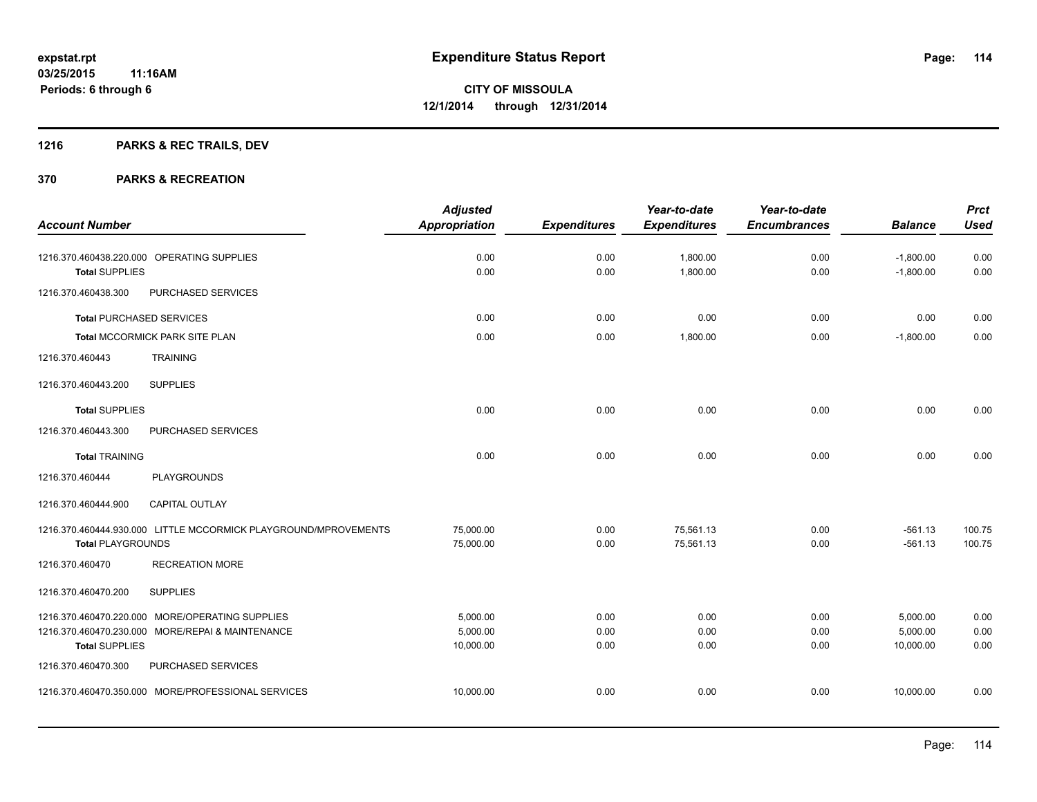## **1216 PARKS & REC TRAILS, DEV**

|                          |                                                                                                     | <b>Adjusted</b>                   |                      | Year-to-date           | Year-to-date         |                                   | <b>Prct</b>          |
|--------------------------|-----------------------------------------------------------------------------------------------------|-----------------------------------|----------------------|------------------------|----------------------|-----------------------------------|----------------------|
| <b>Account Number</b>    |                                                                                                     | <b>Appropriation</b>              | <b>Expenditures</b>  | <b>Expenditures</b>    | <b>Encumbrances</b>  | <b>Balance</b>                    | <b>Used</b>          |
| <b>Total SUPPLIES</b>    | 1216.370.460438.220.000 OPERATING SUPPLIES                                                          | 0.00<br>0.00                      | 0.00<br>0.00         | 1,800.00<br>1,800.00   | 0.00<br>0.00         | $-1,800.00$<br>$-1,800.00$        | 0.00<br>0.00         |
| 1216.370.460438.300      | PURCHASED SERVICES                                                                                  |                                   |                      |                        |                      |                                   |                      |
|                          | <b>Total PURCHASED SERVICES</b>                                                                     | 0.00                              | 0.00                 | 0.00                   | 0.00                 | 0.00                              | 0.00                 |
|                          | Total MCCORMICK PARK SITE PLAN                                                                      | 0.00                              | 0.00                 | 1,800.00               | 0.00                 | $-1,800.00$                       | 0.00                 |
| 1216.370.460443          | <b>TRAINING</b>                                                                                     |                                   |                      |                        |                      |                                   |                      |
| 1216.370.460443.200      | <b>SUPPLIES</b>                                                                                     |                                   |                      |                        |                      |                                   |                      |
| <b>Total SUPPLIES</b>    |                                                                                                     | 0.00                              | 0.00                 | 0.00                   | 0.00                 | 0.00                              | 0.00                 |
| 1216.370.460443.300      | PURCHASED SERVICES                                                                                  |                                   |                      |                        |                      |                                   |                      |
| <b>Total TRAINING</b>    |                                                                                                     | 0.00                              | 0.00                 | 0.00                   | 0.00                 | 0.00                              | 0.00                 |
| 1216.370.460444          | <b>PLAYGROUNDS</b>                                                                                  |                                   |                      |                        |                      |                                   |                      |
| 1216.370.460444.900      | <b>CAPITAL OUTLAY</b>                                                                               |                                   |                      |                        |                      |                                   |                      |
| <b>Total PLAYGROUNDS</b> | 1216.370.460444.930.000 LITTLE MCCORMICK PLAYGROUND/MPROVEMENTS                                     | 75,000.00<br>75,000.00            | 0.00<br>0.00         | 75,561.13<br>75,561.13 | 0.00<br>0.00         | $-561.13$<br>$-561.13$            | 100.75<br>100.75     |
| 1216.370.460470          | <b>RECREATION MORE</b>                                                                              |                                   |                      |                        |                      |                                   |                      |
| 1216.370.460470.200      | <b>SUPPLIES</b>                                                                                     |                                   |                      |                        |                      |                                   |                      |
| <b>Total SUPPLIES</b>    | 1216.370.460470.220.000 MORE/OPERATING SUPPLIES<br>1216.370.460470.230.000 MORE/REPAI & MAINTENANCE | 5,000.00<br>5,000.00<br>10,000.00 | 0.00<br>0.00<br>0.00 | 0.00<br>0.00<br>0.00   | 0.00<br>0.00<br>0.00 | 5,000.00<br>5,000.00<br>10,000.00 | 0.00<br>0.00<br>0.00 |
| 1216.370.460470.300      | PURCHASED SERVICES                                                                                  |                                   |                      |                        |                      |                                   |                      |
|                          | 1216.370.460470.350.000 MORE/PROFESSIONAL SERVICES                                                  | 10,000.00                         | 0.00                 | 0.00                   | 0.00                 | 10,000.00                         | 0.00                 |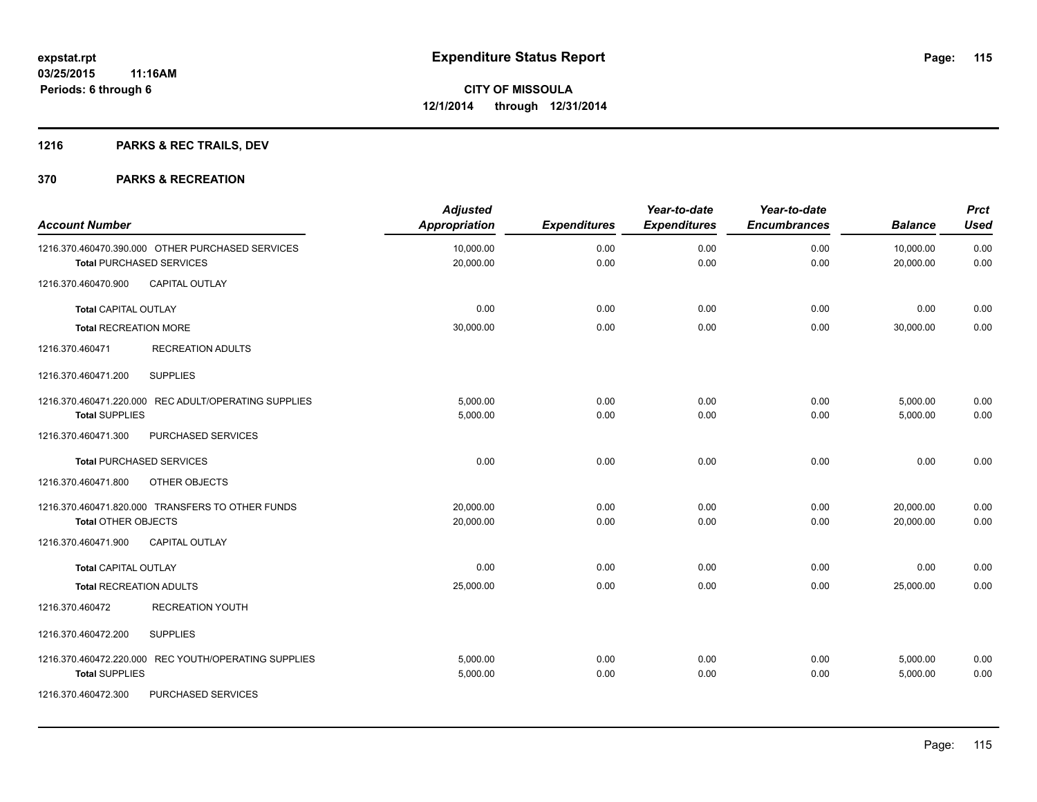## **1216 PARKS & REC TRAILS, DEV**

| <b>Account Number</b>                                                               | <b>Adjusted</b><br><b>Appropriation</b> | <b>Expenditures</b> | Year-to-date<br><b>Expenditures</b> | Year-to-date<br><b>Encumbrances</b> | <b>Balance</b>         | <b>Prct</b><br><b>Used</b> |
|-------------------------------------------------------------------------------------|-----------------------------------------|---------------------|-------------------------------------|-------------------------------------|------------------------|----------------------------|
| 1216.370.460470.390.000 OTHER PURCHASED SERVICES<br><b>Total PURCHASED SERVICES</b> | 10,000.00<br>20,000.00                  | 0.00<br>0.00        | 0.00<br>0.00                        | 0.00<br>0.00                        | 10,000.00<br>20,000.00 | 0.00<br>0.00               |
| CAPITAL OUTLAY<br>1216.370.460470.900                                               |                                         |                     |                                     |                                     |                        |                            |
| <b>Total CAPITAL OUTLAY</b>                                                         | 0.00                                    | 0.00                | 0.00                                | 0.00                                | 0.00                   | 0.00                       |
| <b>Total RECREATION MORE</b>                                                        | 30,000.00                               | 0.00                | 0.00                                | 0.00                                | 30,000.00              | 0.00                       |
| <b>RECREATION ADULTS</b><br>1216.370.460471                                         |                                         |                     |                                     |                                     |                        |                            |
| <b>SUPPLIES</b><br>1216.370.460471.200                                              |                                         |                     |                                     |                                     |                        |                            |
| 1216.370.460471.220.000 REC ADULT/OPERATING SUPPLIES<br><b>Total SUPPLIES</b>       | 5,000.00<br>5,000.00                    | 0.00<br>0.00        | 0.00<br>0.00                        | 0.00<br>0.00                        | 5,000.00<br>5,000.00   | 0.00<br>0.00               |
| PURCHASED SERVICES<br>1216.370.460471.300                                           |                                         |                     |                                     |                                     |                        |                            |
| <b>Total PURCHASED SERVICES</b>                                                     | 0.00                                    | 0.00                | 0.00                                | 0.00                                | 0.00                   | 0.00                       |
| 1216.370.460471.800<br>OTHER OBJECTS                                                |                                         |                     |                                     |                                     |                        |                            |
| 1216.370.460471.820.000 TRANSFERS TO OTHER FUNDS<br><b>Total OTHER OBJECTS</b>      | 20,000.00<br>20,000.00                  | 0.00<br>0.00        | 0.00<br>0.00                        | 0.00<br>0.00                        | 20,000.00<br>20,000.00 | 0.00<br>0.00               |
| 1216.370.460471.900<br><b>CAPITAL OUTLAY</b>                                        |                                         |                     |                                     |                                     |                        |                            |
| <b>Total CAPITAL OUTLAY</b>                                                         | 0.00                                    | 0.00                | 0.00                                | 0.00                                | 0.00                   | 0.00                       |
| Total RECREATION ADULTS                                                             | 25,000.00                               | 0.00                | 0.00                                | 0.00                                | 25,000.00              | 0.00                       |
| <b>RECREATION YOUTH</b><br>1216.370.460472                                          |                                         |                     |                                     |                                     |                        |                            |
| 1216.370.460472.200<br><b>SUPPLIES</b>                                              |                                         |                     |                                     |                                     |                        |                            |
| 1216.370.460472.220.000 REC YOUTH/OPERATING SUPPLIES<br><b>Total SUPPLIES</b>       | 5,000.00<br>5,000.00                    | 0.00<br>0.00        | 0.00<br>0.00                        | 0.00<br>0.00                        | 5,000.00<br>5,000.00   | 0.00<br>0.00               |
| PURCHASED SERVICES<br>1216.370.460472.300                                           |                                         |                     |                                     |                                     |                        |                            |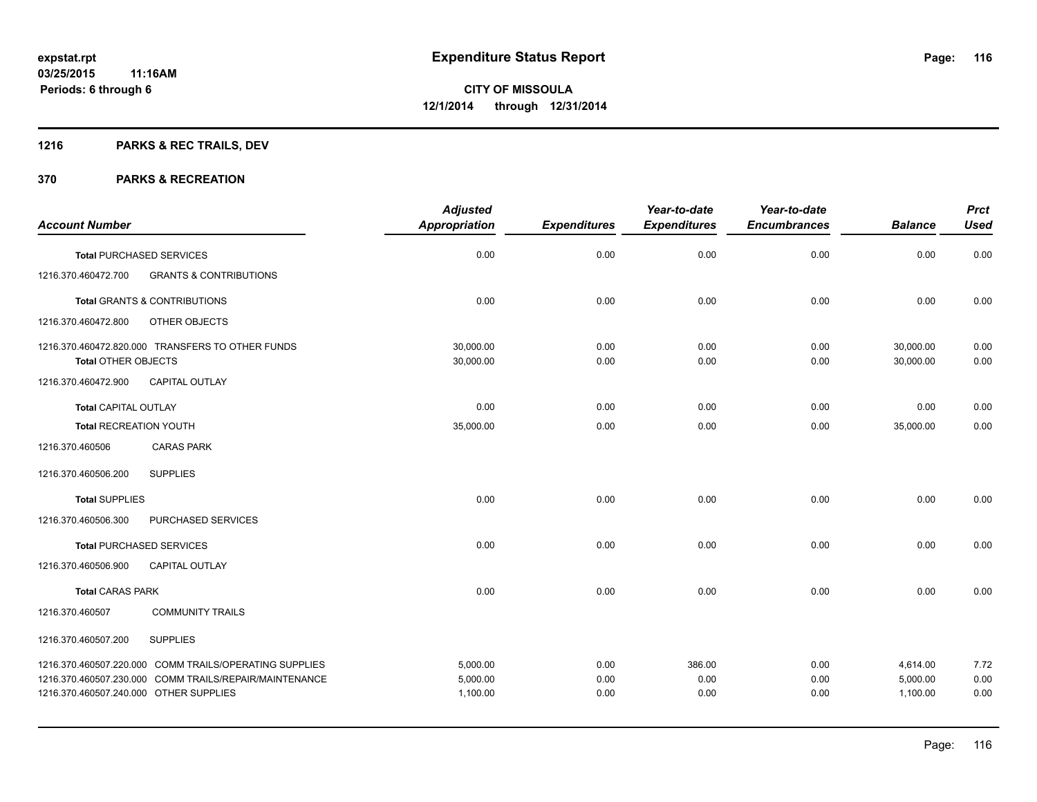## **1216 PARKS & REC TRAILS, DEV**

|                                                          | <b>Adjusted</b>      |                     | Year-to-date        | Year-to-date        |                | <b>Prct</b> |
|----------------------------------------------------------|----------------------|---------------------|---------------------|---------------------|----------------|-------------|
| <b>Account Number</b>                                    | <b>Appropriation</b> | <b>Expenditures</b> | <b>Expenditures</b> | <b>Encumbrances</b> | <b>Balance</b> | <b>Used</b> |
| <b>Total PURCHASED SERVICES</b>                          | 0.00                 | 0.00                | 0.00                | 0.00                | 0.00           | 0.00        |
| <b>GRANTS &amp; CONTRIBUTIONS</b><br>1216.370.460472.700 |                      |                     |                     |                     |                |             |
| <b>Total GRANTS &amp; CONTRIBUTIONS</b>                  | 0.00                 | 0.00                | 0.00                | 0.00                | 0.00           | 0.00        |
| 1216.370.460472.800<br>OTHER OBJECTS                     |                      |                     |                     |                     |                |             |
| 1216.370.460472.820.000 TRANSFERS TO OTHER FUNDS         | 30,000.00            | 0.00                | 0.00                | 0.00                | 30,000.00      | 0.00        |
| <b>Total OTHER OBJECTS</b>                               | 30,000.00            | 0.00                | 0.00                | 0.00                | 30,000.00      | 0.00        |
| 1216.370.460472.900<br><b>CAPITAL OUTLAY</b>             |                      |                     |                     |                     |                |             |
| <b>Total CAPITAL OUTLAY</b>                              | 0.00                 | 0.00                | 0.00                | 0.00                | 0.00           | 0.00        |
| <b>Total RECREATION YOUTH</b>                            | 35,000.00            | 0.00                | 0.00                | 0.00                | 35,000.00      | 0.00        |
| 1216.370.460506<br><b>CARAS PARK</b>                     |                      |                     |                     |                     |                |             |
| 1216.370.460506.200<br><b>SUPPLIES</b>                   |                      |                     |                     |                     |                |             |
| <b>Total SUPPLIES</b>                                    | 0.00                 | 0.00                | 0.00                | 0.00                | 0.00           | 0.00        |
| 1216.370.460506.300<br>PURCHASED SERVICES                |                      |                     |                     |                     |                |             |
| <b>Total PURCHASED SERVICES</b>                          | 0.00                 | 0.00                | 0.00                | 0.00                | 0.00           | 0.00        |
| CAPITAL OUTLAY<br>1216.370.460506.900                    |                      |                     |                     |                     |                |             |
| <b>Total CARAS PARK</b>                                  | 0.00                 | 0.00                | 0.00                | 0.00                | 0.00           | 0.00        |
| <b>COMMUNITY TRAILS</b><br>1216.370.460507               |                      |                     |                     |                     |                |             |
| 1216.370.460507.200<br><b>SUPPLIES</b>                   |                      |                     |                     |                     |                |             |
| 1216.370.460507.220.000 COMM TRAILS/OPERATING SUPPLIES   | 5,000.00             | 0.00                | 386.00              | 0.00                | 4,614.00       | 7.72        |
| 1216.370.460507.230.000 COMM TRAILS/REPAIR/MAINTENANCE   | 5,000.00             | 0.00                | 0.00                | 0.00                | 5,000.00       | 0.00        |
| 1216.370.460507.240.000 OTHER SUPPLIES                   | 1,100.00             | 0.00                | 0.00                | 0.00                | 1,100.00       | 0.00        |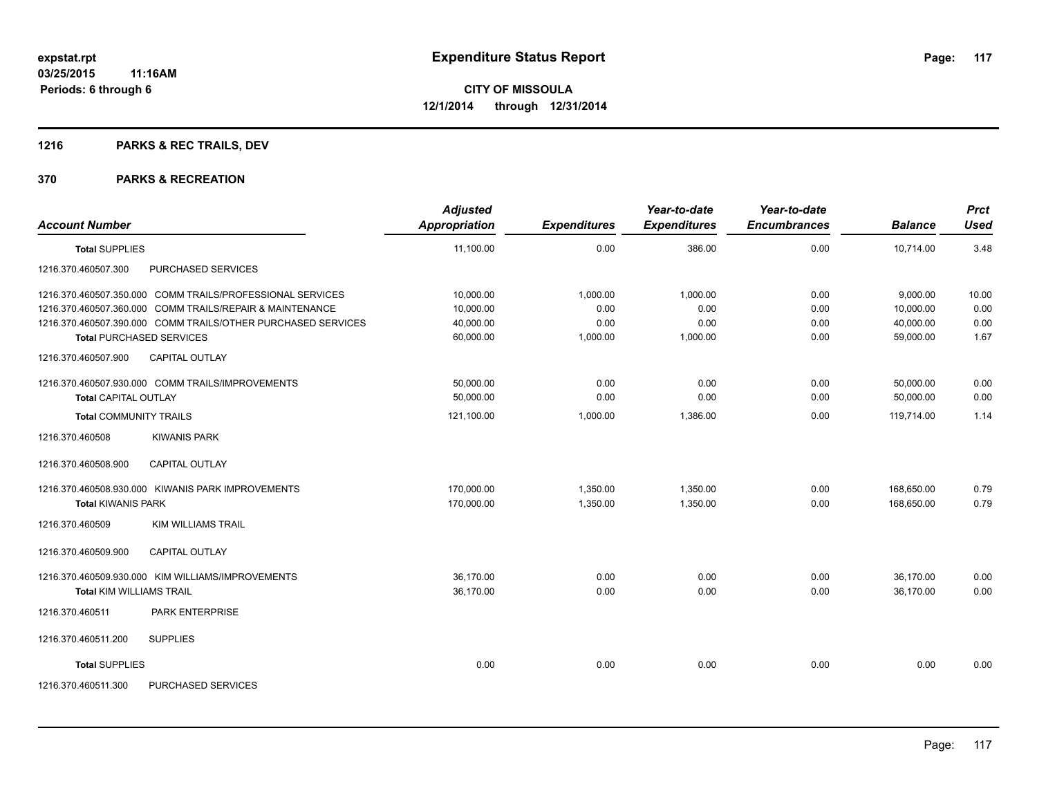## **1216 PARKS & REC TRAILS, DEV**

| <b>Account Number</b>                                        | <b>Adjusted</b><br><b>Appropriation</b> | <b>Expenditures</b> | Year-to-date<br><b>Expenditures</b> | Year-to-date<br><b>Encumbrances</b> | <b>Balance</b> | <b>Prct</b><br><b>Used</b> |
|--------------------------------------------------------------|-----------------------------------------|---------------------|-------------------------------------|-------------------------------------|----------------|----------------------------|
| <b>Total SUPPLIES</b>                                        | 11,100.00                               | 0.00                | 386.00                              | 0.00                                | 10,714.00      | 3.48                       |
| 1216.370.460507.300<br>PURCHASED SERVICES                    |                                         |                     |                                     |                                     |                |                            |
| 1216.370.460507.350.000 COMM TRAILS/PROFESSIONAL SERVICES    | 10,000.00                               | 1,000.00            | 1.000.00                            | 0.00                                | 9,000.00       | 10.00                      |
| 1216.370.460507.360.000 COMM TRAILS/REPAIR & MAINTENANCE     | 10,000.00                               | 0.00                | 0.00                                | 0.00                                | 10,000.00      | 0.00                       |
| 1216.370.460507.390.000 COMM TRAILS/OTHER PURCHASED SERVICES | 40,000.00                               | 0.00                | 0.00                                | 0.00                                | 40,000.00      | 0.00                       |
| <b>Total PURCHASED SERVICES</b>                              | 60,000.00                               | 1,000.00            | 1,000.00                            | 0.00                                | 59,000.00      | 1.67                       |
| CAPITAL OUTLAY<br>1216.370.460507.900                        |                                         |                     |                                     |                                     |                |                            |
| 1216.370.460507.930.000 COMM TRAILS/IMPROVEMENTS             | 50,000.00                               | 0.00                | 0.00                                | 0.00                                | 50,000.00      | 0.00                       |
| <b>Total CAPITAL OUTLAY</b>                                  | 50,000.00                               | 0.00                | 0.00                                | 0.00                                | 50,000.00      | 0.00                       |
| <b>Total COMMUNITY TRAILS</b>                                | 121,100.00                              | 1,000.00            | 1,386.00                            | 0.00                                | 119,714.00     | 1.14                       |
| <b>KIWANIS PARK</b><br>1216.370.460508                       |                                         |                     |                                     |                                     |                |                            |
| <b>CAPITAL OUTLAY</b><br>1216.370.460508.900                 |                                         |                     |                                     |                                     |                |                            |
| 1216.370.460508.930.000 KIWANIS PARK IMPROVEMENTS            | 170,000.00                              | 1,350.00            | 1,350.00                            | 0.00                                | 168,650.00     | 0.79                       |
| <b>Total KIWANIS PARK</b>                                    | 170,000.00                              | 1,350.00            | 1,350.00                            | 0.00                                | 168.650.00     | 0.79                       |
| 1216.370.460509<br><b>KIM WILLIAMS TRAIL</b>                 |                                         |                     |                                     |                                     |                |                            |
| 1216.370.460509.900<br>CAPITAL OUTLAY                        |                                         |                     |                                     |                                     |                |                            |
| 1216.370.460509.930.000 KIM WILLIAMS/IMPROVEMENTS            | 36,170.00                               | 0.00                | 0.00                                | 0.00                                | 36,170.00      | 0.00                       |
| <b>Total KIM WILLIAMS TRAIL</b>                              | 36,170.00                               | 0.00                | 0.00                                | 0.00                                | 36,170.00      | 0.00                       |
| 1216.370.460511<br>PARK ENTERPRISE                           |                                         |                     |                                     |                                     |                |                            |
| 1216.370.460511.200<br><b>SUPPLIES</b>                       |                                         |                     |                                     |                                     |                |                            |
| <b>Total SUPPLIES</b>                                        | 0.00                                    | 0.00                | 0.00                                | 0.00                                | 0.00           | 0.00                       |
| 1216.370.460511.300<br>PURCHASED SERVICES                    |                                         |                     |                                     |                                     |                |                            |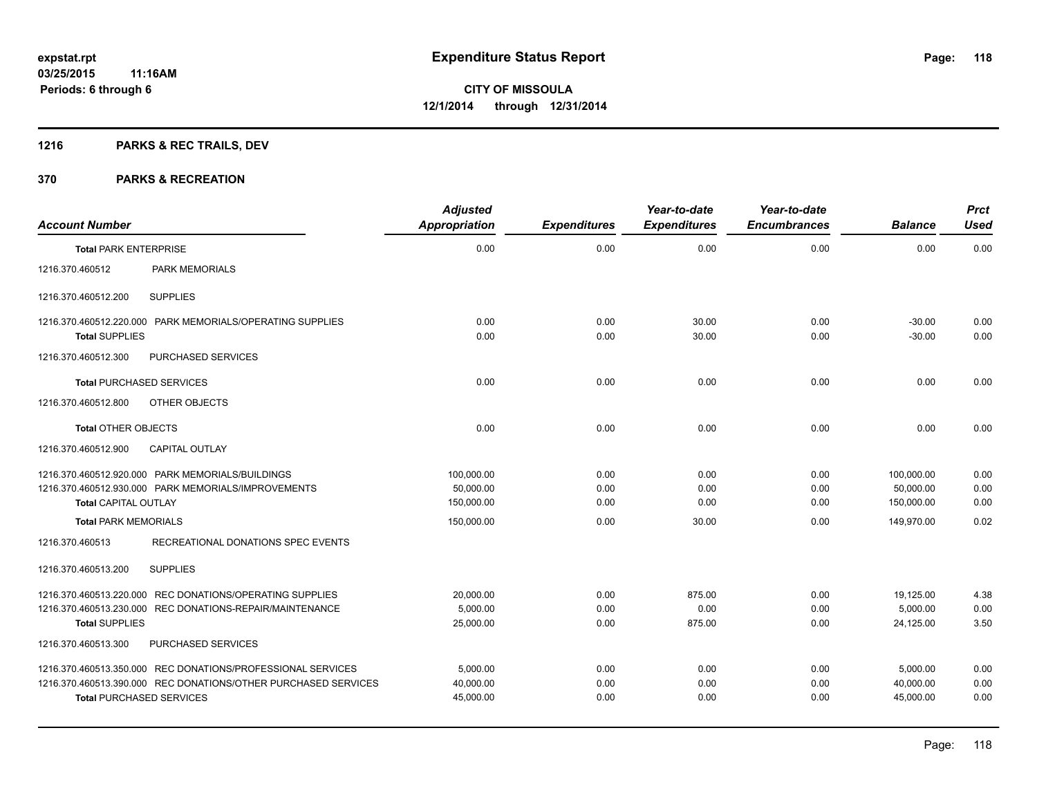## **1216 PARKS & REC TRAILS, DEV**

| <b>Account Number</b>                                           |                                                                                                                                                                               | <b>Adjusted</b><br><b>Appropriation</b> | <b>Expenditures</b>  | Year-to-date<br><b>Expenditures</b> | Year-to-date<br><b>Encumbrances</b> | <b>Balance</b>                        | <b>Prct</b><br><b>Used</b> |
|-----------------------------------------------------------------|-------------------------------------------------------------------------------------------------------------------------------------------------------------------------------|-----------------------------------------|----------------------|-------------------------------------|-------------------------------------|---------------------------------------|----------------------------|
| <b>Total PARK ENTERPRISE</b>                                    |                                                                                                                                                                               | 0.00                                    | 0.00                 | 0.00                                | 0.00                                | 0.00                                  | 0.00                       |
| 1216.370.460512                                                 | <b>PARK MEMORIALS</b>                                                                                                                                                         |                                         |                      |                                     |                                     |                                       |                            |
| 1216.370.460512.200                                             | <b>SUPPLIES</b>                                                                                                                                                               |                                         |                      |                                     |                                     |                                       |                            |
| <b>Total SUPPLIES</b>                                           | 1216.370.460512.220.000 PARK MEMORIALS/OPERATING SUPPLIES                                                                                                                     | 0.00<br>0.00                            | 0.00<br>0.00         | 30.00<br>30.00                      | 0.00<br>0.00                        | $-30.00$<br>$-30.00$                  | 0.00<br>0.00               |
| 1216.370.460512.300                                             | PURCHASED SERVICES                                                                                                                                                            |                                         |                      |                                     |                                     |                                       |                            |
|                                                                 | <b>Total PURCHASED SERVICES</b>                                                                                                                                               | 0.00                                    | 0.00                 | 0.00                                | 0.00                                | 0.00                                  | 0.00                       |
| 1216.370.460512.800                                             | OTHER OBJECTS                                                                                                                                                                 |                                         |                      |                                     |                                     |                                       |                            |
| <b>Total OTHER OBJECTS</b>                                      |                                                                                                                                                                               | 0.00                                    | 0.00                 | 0.00                                | 0.00                                | 0.00                                  | 0.00                       |
| 1216.370.460512.900                                             | <b>CAPITAL OUTLAY</b>                                                                                                                                                         |                                         |                      |                                     |                                     |                                       |                            |
| <b>Total CAPITAL OUTLAY</b>                                     | 1216.370.460512.920.000 PARK MEMORIALS/BUILDINGS<br>1216.370.460512.930.000 PARK MEMORIALS/IMPROVEMENTS                                                                       | 100,000.00<br>50,000.00<br>150,000.00   | 0.00<br>0.00<br>0.00 | 0.00<br>0.00<br>0.00                | 0.00<br>0.00<br>0.00                | 100,000.00<br>50,000.00<br>150,000.00 | 0.00<br>0.00<br>0.00       |
| <b>Total PARK MEMORIALS</b>                                     |                                                                                                                                                                               | 150,000.00                              | 0.00                 | 30.00                               | 0.00                                | 149.970.00                            | 0.02                       |
| 1216.370.460513<br>1216.370.460513.200<br><b>Total SUPPLIES</b> | RECREATIONAL DONATIONS SPEC EVENTS<br><b>SUPPLIES</b><br>1216.370.460513.220.000 REC DONATIONS/OPERATING SUPPLIES<br>1216.370.460513.230.000 REC DONATIONS-REPAIR/MAINTENANCE | 20,000.00<br>5,000.00<br>25,000.00      | 0.00<br>0.00<br>0.00 | 875.00<br>0.00<br>875.00            | 0.00<br>0.00<br>0.00                | 19,125.00<br>5,000.00<br>24,125.00    | 4.38<br>0.00<br>3.50       |
| 1216.370.460513.300                                             | PURCHASED SERVICES                                                                                                                                                            |                                         |                      |                                     |                                     |                                       |                            |
|                                                                 | 1216.370.460513.350.000 REC DONATIONS/PROFESSIONAL SERVICES<br>1216.370.460513.390.000 REC DONATIONS/OTHER PURCHASED SERVICES<br><b>Total PURCHASED SERVICES</b>              | 5,000.00<br>40,000.00<br>45,000.00      | 0.00<br>0.00<br>0.00 | 0.00<br>0.00<br>0.00                | 0.00<br>0.00<br>0.00                | 5,000.00<br>40,000.00<br>45,000.00    | 0.00<br>0.00<br>0.00       |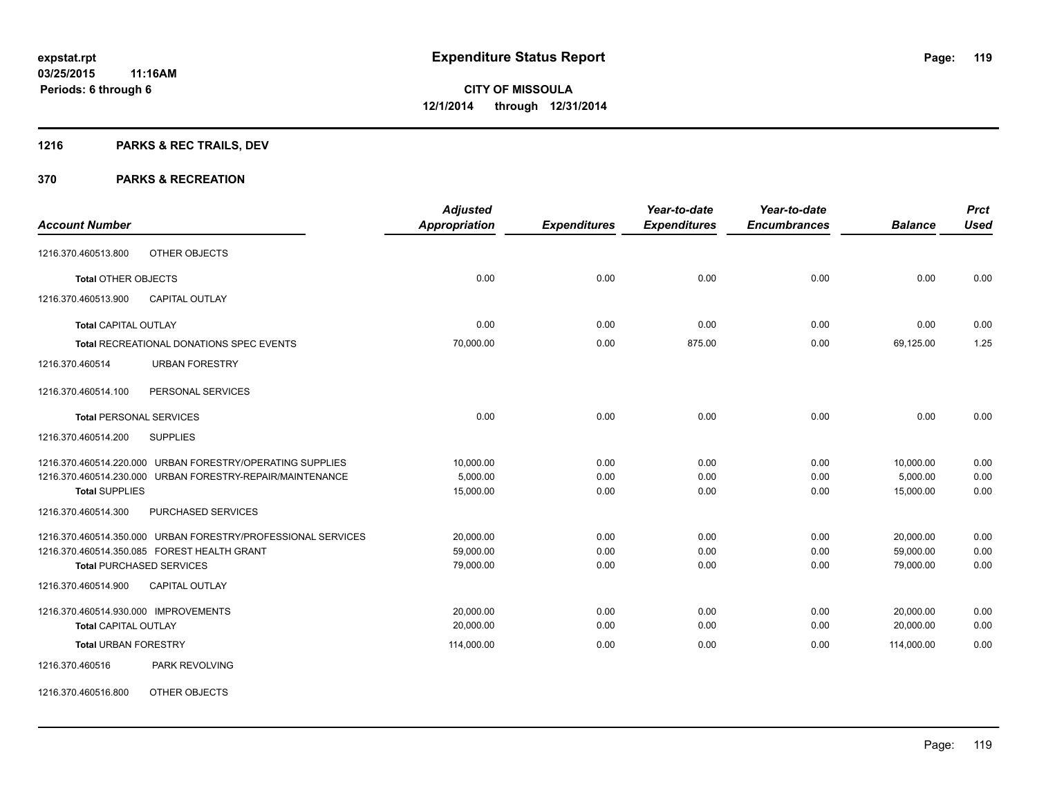## **1216 PARKS & REC TRAILS, DEV**

### **370 PARKS & RECREATION**

|                                                              | <b>Adjusted</b> |                     | Year-to-date        | Year-to-date        |                | <b>Prct</b> |
|--------------------------------------------------------------|-----------------|---------------------|---------------------|---------------------|----------------|-------------|
| <b>Account Number</b>                                        | Appropriation   | <b>Expenditures</b> | <b>Expenditures</b> | <b>Encumbrances</b> | <b>Balance</b> | <b>Used</b> |
| OTHER OBJECTS<br>1216.370.460513.800                         |                 |                     |                     |                     |                |             |
| <b>Total OTHER OBJECTS</b>                                   | 0.00            | 0.00                | 0.00                | 0.00                | 0.00           | 0.00        |
| 1216.370.460513.900<br><b>CAPITAL OUTLAY</b>                 |                 |                     |                     |                     |                |             |
| <b>Total CAPITAL OUTLAY</b>                                  | 0.00            | 0.00                | 0.00                | 0.00                | 0.00           | 0.00        |
| Total RECREATIONAL DONATIONS SPEC EVENTS                     | 70,000.00       | 0.00                | 875.00              | 0.00                | 69,125.00      | 1.25        |
| <b>URBAN FORESTRY</b><br>1216.370.460514                     |                 |                     |                     |                     |                |             |
| 1216.370.460514.100<br>PERSONAL SERVICES                     |                 |                     |                     |                     |                |             |
| <b>Total PERSONAL SERVICES</b>                               | 0.00            | 0.00                | 0.00                | 0.00                | 0.00           | 0.00        |
| 1216.370.460514.200<br><b>SUPPLIES</b>                       |                 |                     |                     |                     |                |             |
| 1216.370.460514.220.000 URBAN FORESTRY/OPERATING SUPPLIES    | 10,000.00       | 0.00                | 0.00                | 0.00                | 10,000.00      | 0.00        |
| 1216.370.460514.230.000 URBAN FORESTRY-REPAIR/MAINTENANCE    | 5,000.00        | 0.00                | 0.00                | 0.00                | 5,000.00       | 0.00        |
| <b>Total SUPPLIES</b>                                        | 15,000.00       | 0.00                | 0.00                | 0.00                | 15,000.00      | 0.00        |
| PURCHASED SERVICES<br>1216.370.460514.300                    |                 |                     |                     |                     |                |             |
| 1216.370.460514.350.000 URBAN FORESTRY/PROFESSIONAL SERVICES | 20,000.00       | 0.00                | 0.00                | 0.00                | 20,000.00      | 0.00        |
| 1216.370.460514.350.085 FOREST HEALTH GRANT                  | 59,000.00       | 0.00                | 0.00                | 0.00                | 59,000.00      | 0.00        |
| <b>Total PURCHASED SERVICES</b>                              | 79,000.00       | 0.00                | 0.00                | 0.00                | 79,000.00      | 0.00        |
| 1216.370.460514.900<br><b>CAPITAL OUTLAY</b>                 |                 |                     |                     |                     |                |             |
| 1216.370.460514.930.000 IMPROVEMENTS                         | 20,000.00       | 0.00                | 0.00                | 0.00                | 20,000.00      | 0.00        |
| <b>Total CAPITAL OUTLAY</b>                                  | 20,000.00       | 0.00                | 0.00                | 0.00                | 20,000.00      | 0.00        |
| <b>Total URBAN FORESTRY</b>                                  | 114,000.00      | 0.00                | 0.00                | 0.00                | 114,000.00     | 0.00        |
| <b>PARK REVOLVING</b><br>1216.370.460516                     |                 |                     |                     |                     |                |             |
|                                                              |                 |                     |                     |                     |                |             |

1216.370.460516.800 OTHER OBJECTS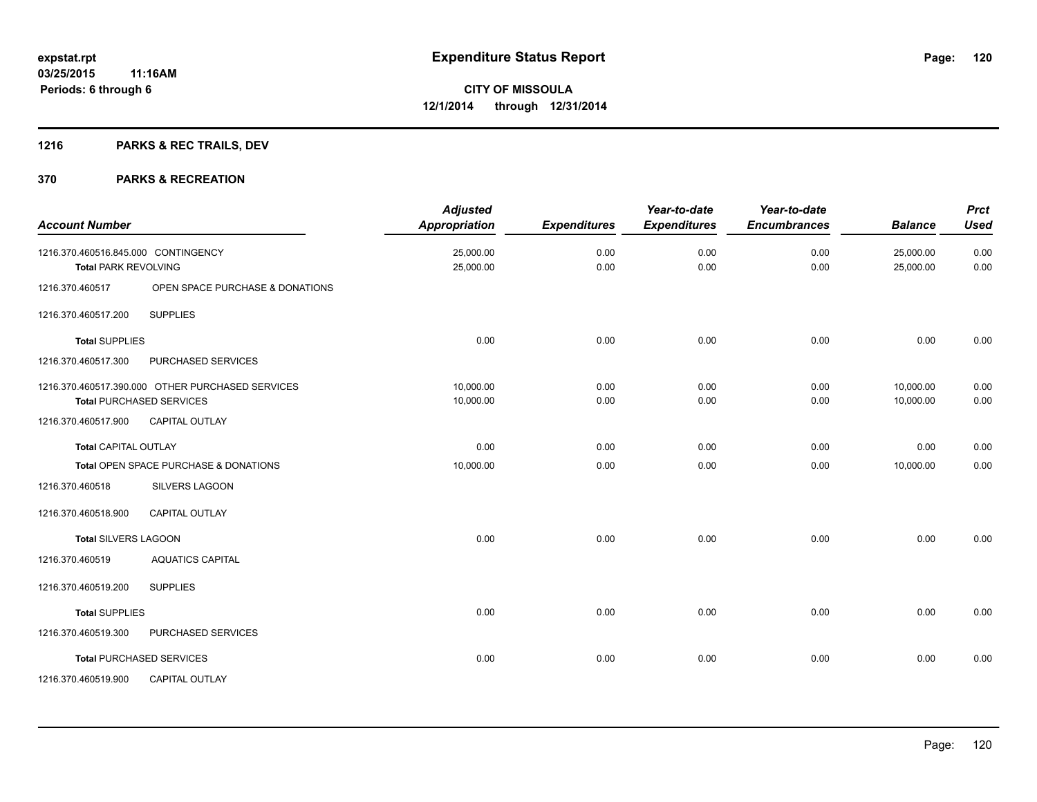## **1216 PARKS & REC TRAILS, DEV**

| <b>Account Number</b>                                              |                                                                                     | <b>Adjusted</b><br>Appropriation | <b>Expenditures</b> | Year-to-date<br><b>Expenditures</b> | Year-to-date<br><b>Encumbrances</b> | <b>Balance</b>         | <b>Prct</b><br><b>Used</b> |
|--------------------------------------------------------------------|-------------------------------------------------------------------------------------|----------------------------------|---------------------|-------------------------------------|-------------------------------------|------------------------|----------------------------|
| 1216.370.460516.845.000 CONTINGENCY<br><b>Total PARK REVOLVING</b> |                                                                                     | 25,000.00<br>25,000.00           | 0.00<br>0.00        | 0.00<br>0.00                        | 0.00<br>0.00                        | 25,000.00<br>25,000.00 | 0.00<br>0.00               |
| 1216.370.460517                                                    | OPEN SPACE PURCHASE & DONATIONS                                                     |                                  |                     |                                     |                                     |                        |                            |
| 1216.370.460517.200                                                | <b>SUPPLIES</b>                                                                     |                                  |                     |                                     |                                     |                        |                            |
| <b>Total SUPPLIES</b>                                              |                                                                                     | 0.00                             | 0.00                | 0.00                                | 0.00                                | 0.00                   | 0.00                       |
| 1216.370.460517.300                                                | PURCHASED SERVICES                                                                  |                                  |                     |                                     |                                     |                        |                            |
|                                                                    | 1216.370.460517.390.000 OTHER PURCHASED SERVICES<br><b>Total PURCHASED SERVICES</b> | 10,000.00<br>10,000.00           | 0.00<br>0.00        | 0.00<br>0.00                        | 0.00<br>0.00                        | 10,000.00<br>10,000.00 | 0.00<br>0.00               |
| 1216.370.460517.900                                                | <b>CAPITAL OUTLAY</b>                                                               |                                  |                     |                                     |                                     |                        |                            |
| <b>Total CAPITAL OUTLAY</b>                                        |                                                                                     | 0.00                             | 0.00                | 0.00                                | 0.00                                | 0.00                   | 0.00                       |
|                                                                    | Total OPEN SPACE PURCHASE & DONATIONS                                               | 10,000.00                        | 0.00                | 0.00                                | 0.00                                | 10,000.00              | 0.00                       |
| 1216.370.460518                                                    | SILVERS LAGOON                                                                      |                                  |                     |                                     |                                     |                        |                            |
| 1216.370.460518.900                                                | <b>CAPITAL OUTLAY</b>                                                               |                                  |                     |                                     |                                     |                        |                            |
| <b>Total SILVERS LAGOON</b>                                        |                                                                                     | 0.00                             | 0.00                | 0.00                                | 0.00                                | 0.00                   | 0.00                       |
| 1216.370.460519                                                    | <b>AQUATICS CAPITAL</b>                                                             |                                  |                     |                                     |                                     |                        |                            |
| 1216.370.460519.200                                                | <b>SUPPLIES</b>                                                                     |                                  |                     |                                     |                                     |                        |                            |
| <b>Total SUPPLIES</b>                                              |                                                                                     | 0.00                             | 0.00                | 0.00                                | 0.00                                | 0.00                   | 0.00                       |
| 1216.370.460519.300                                                | PURCHASED SERVICES                                                                  |                                  |                     |                                     |                                     |                        |                            |
|                                                                    | <b>Total PURCHASED SERVICES</b>                                                     | 0.00                             | 0.00                | 0.00                                | 0.00                                | 0.00                   | 0.00                       |
| 1216.370.460519.900                                                | <b>CAPITAL OUTLAY</b>                                                               |                                  |                     |                                     |                                     |                        |                            |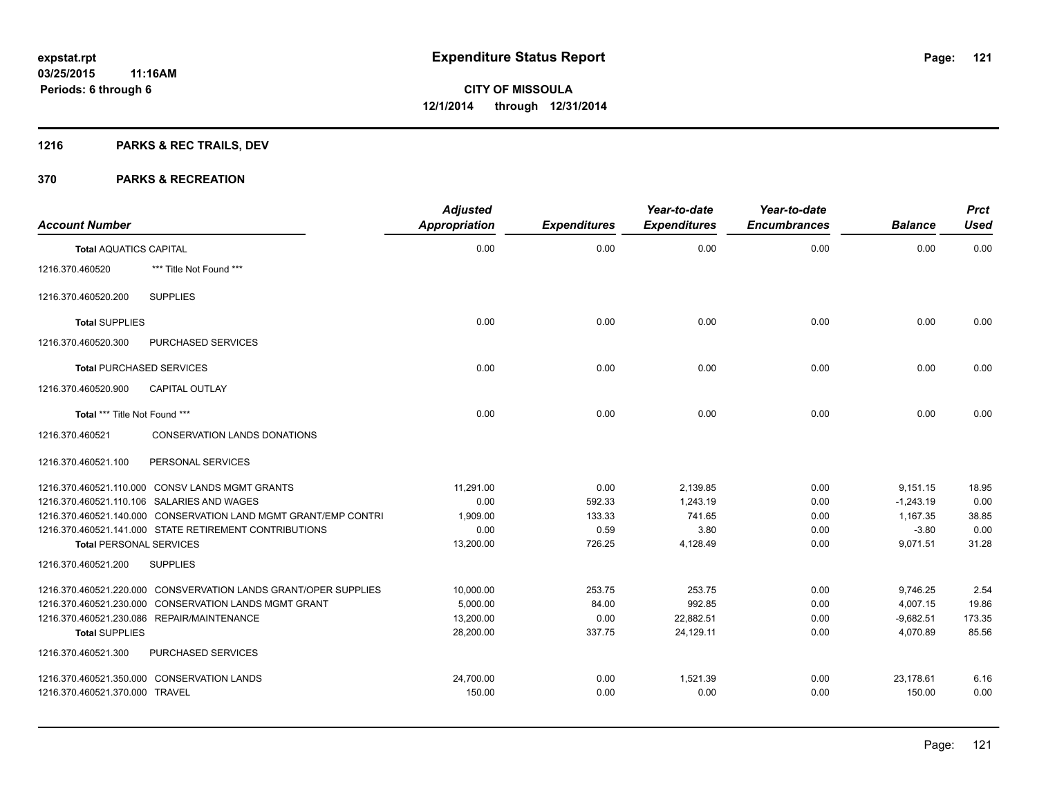## **1216 PARKS & REC TRAILS, DEV**

| <b>Account Number</b>           |                                                                 | <b>Adjusted</b><br><b>Appropriation</b> | <b>Expenditures</b> | Year-to-date<br><b>Expenditures</b> | Year-to-date<br><b>Encumbrances</b> | <b>Balance</b> | <b>Prct</b><br><b>Used</b> |
|---------------------------------|-----------------------------------------------------------------|-----------------------------------------|---------------------|-------------------------------------|-------------------------------------|----------------|----------------------------|
| <b>Total AQUATICS CAPITAL</b>   |                                                                 | 0.00                                    | 0.00                | 0.00                                | 0.00                                | 0.00           | 0.00                       |
| 1216.370.460520                 | *** Title Not Found ***                                         |                                         |                     |                                     |                                     |                |                            |
| 1216.370.460520.200             | <b>SUPPLIES</b>                                                 |                                         |                     |                                     |                                     |                |                            |
| <b>Total SUPPLIES</b>           |                                                                 | 0.00                                    | 0.00                | 0.00                                | 0.00                                | 0.00           | 0.00                       |
| 1216.370.460520.300             | <b>PURCHASED SERVICES</b>                                       |                                         |                     |                                     |                                     |                |                            |
| <b>Total PURCHASED SERVICES</b> |                                                                 | 0.00                                    | 0.00                | 0.00                                | 0.00                                | 0.00           | 0.00                       |
| 1216.370.460520.900             | CAPITAL OUTLAY                                                  |                                         |                     |                                     |                                     |                |                            |
| Total *** Title Not Found ***   |                                                                 | 0.00                                    | 0.00                | 0.00                                | 0.00                                | 0.00           | 0.00                       |
| 1216.370.460521                 | <b>CONSERVATION LANDS DONATIONS</b>                             |                                         |                     |                                     |                                     |                |                            |
| 1216.370.460521.100             | PERSONAL SERVICES                                               |                                         |                     |                                     |                                     |                |                            |
|                                 | 1216.370.460521.110.000 CONSV LANDS MGMT GRANTS                 | 11,291.00                               | 0.00                | 2,139.85                            | 0.00                                | 9,151.15       | 18.95                      |
|                                 | 1216.370.460521.110.106 SALARIES AND WAGES                      | 0.00                                    | 592.33              | 1.243.19                            | 0.00                                | $-1,243.19$    | 0.00                       |
|                                 | 1216.370.460521.140.000 CONSERVATION LAND MGMT GRANT/EMP CONTRI | 1,909.00                                | 133.33              | 741.65                              | 0.00                                | 1,167.35       | 38.85                      |
|                                 | 1216.370.460521.141.000 STATE RETIREMENT CONTRIBUTIONS          | 0.00                                    | 0.59                | 3.80                                | 0.00                                | $-3.80$        | 0.00                       |
| <b>Total PERSONAL SERVICES</b>  |                                                                 | 13,200.00                               | 726.25              | 4,128.49                            | 0.00                                | 9.071.51       | 31.28                      |
| 1216.370.460521.200             | <b>SUPPLIES</b>                                                 |                                         |                     |                                     |                                     |                |                            |
|                                 | 1216.370.460521.220.000 CONSVERVATION LANDS GRANT/OPER SUPPLIES | 10,000.00                               | 253.75              | 253.75                              | 0.00                                | 9,746.25       | 2.54                       |
|                                 | 1216.370.460521.230.000 CONSERVATION LANDS MGMT GRANT           | 5,000.00                                | 84.00               | 992.85                              | 0.00                                | 4,007.15       | 19.86                      |
|                                 | 1216.370.460521.230.086 REPAIR/MAINTENANCE                      | 13,200.00                               | 0.00                | 22,882.51                           | 0.00                                | $-9,682.51$    | 173.35                     |
| <b>Total SUPPLIES</b>           |                                                                 | 28,200.00                               | 337.75              | 24,129.11                           | 0.00                                | 4,070.89       | 85.56                      |
| 1216.370.460521.300             | PURCHASED SERVICES                                              |                                         |                     |                                     |                                     |                |                            |
|                                 | 1216.370.460521.350.000 CONSERVATION LANDS                      | 24,700.00                               | 0.00                | 1,521.39                            | 0.00                                | 23,178.61      | 6.16                       |
| 1216.370.460521.370.000 TRAVEL  |                                                                 | 150.00                                  | 0.00                | 0.00                                | 0.00                                | 150.00         | 0.00                       |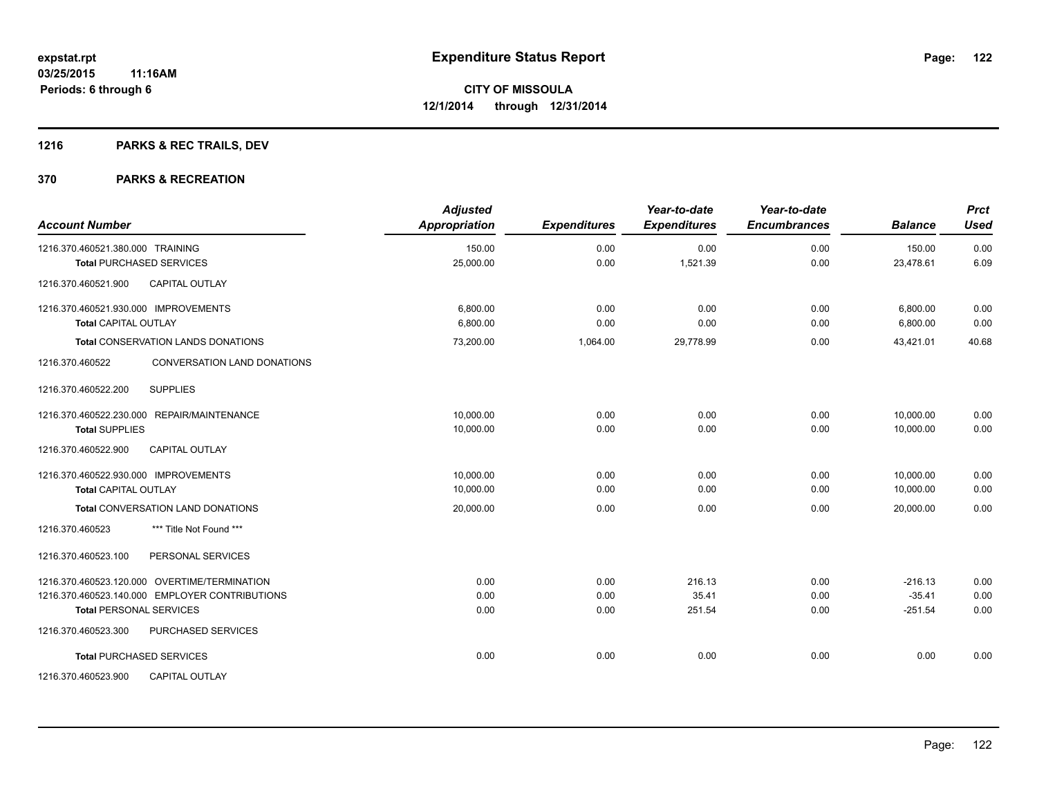## **1216 PARKS & REC TRAILS, DEV**

| <b>Account Number</b>                          | <b>Adjusted</b><br>Appropriation | <b>Expenditures</b> | Year-to-date<br><b>Expenditures</b> | Year-to-date<br><b>Encumbrances</b> | <b>Balance</b> | <b>Prct</b><br><b>Used</b> |
|------------------------------------------------|----------------------------------|---------------------|-------------------------------------|-------------------------------------|----------------|----------------------------|
| 1216.370.460521.380.000 TRAINING               | 150.00                           | 0.00                | 0.00                                | 0.00                                | 150.00         | 0.00                       |
| <b>Total PURCHASED SERVICES</b>                | 25,000.00                        | 0.00                | 1,521.39                            | 0.00                                | 23,478.61      | 6.09                       |
| <b>CAPITAL OUTLAY</b><br>1216.370.460521.900   |                                  |                     |                                     |                                     |                |                            |
| 1216.370.460521.930.000 IMPROVEMENTS           | 6.800.00                         | 0.00                | 0.00                                | 0.00                                | 6,800.00       | 0.00                       |
| <b>Total CAPITAL OUTLAY</b>                    | 6,800.00                         | 0.00                | 0.00                                | 0.00                                | 6,800.00       | 0.00                       |
| <b>Total CONSERVATION LANDS DONATIONS</b>      | 73,200.00                        | 1,064.00            | 29,778.99                           | 0.00                                | 43,421.01      | 40.68                      |
| 1216.370.460522<br>CONVERSATION LAND DONATIONS |                                  |                     |                                     |                                     |                |                            |
| <b>SUPPLIES</b><br>1216.370.460522.200         |                                  |                     |                                     |                                     |                |                            |
| 1216.370.460522.230.000 REPAIR/MAINTENANCE     | 10,000.00                        | 0.00                | 0.00                                | 0.00                                | 10,000.00      | 0.00                       |
| <b>Total SUPPLIES</b>                          | 10,000.00                        | 0.00                | 0.00                                | 0.00                                | 10,000.00      | 0.00                       |
| <b>CAPITAL OUTLAY</b><br>1216.370.460522.900   |                                  |                     |                                     |                                     |                |                            |
| 1216.370.460522.930.000 IMPROVEMENTS           | 10,000.00                        | 0.00                | 0.00                                | 0.00                                | 10,000.00      | 0.00                       |
| <b>Total CAPITAL OUTLAY</b>                    | 10,000.00                        | 0.00                | 0.00                                | 0.00                                | 10,000.00      | 0.00                       |
| <b>Total CONVERSATION LAND DONATIONS</b>       | 20,000.00                        | 0.00                | 0.00                                | 0.00                                | 20,000.00      | 0.00                       |
| 1216.370.460523<br>*** Title Not Found ***     |                                  |                     |                                     |                                     |                |                            |
| PERSONAL SERVICES<br>1216.370.460523.100       |                                  |                     |                                     |                                     |                |                            |
| 1216.370.460523.120.000 OVERTIME/TERMINATION   | 0.00                             | 0.00                | 216.13                              | 0.00                                | $-216.13$      | 0.00                       |
| 1216.370.460523.140.000 EMPLOYER CONTRIBUTIONS | 0.00                             | 0.00                | 35.41                               | 0.00                                | $-35.41$       | 0.00                       |
| <b>Total PERSONAL SERVICES</b>                 | 0.00                             | 0.00                | 251.54                              | 0.00                                | $-251.54$      | 0.00                       |
| PURCHASED SERVICES<br>1216.370.460523.300      |                                  |                     |                                     |                                     |                |                            |
| <b>Total PURCHASED SERVICES</b>                | 0.00                             | 0.00                | 0.00                                | 0.00                                | 0.00           | 0.00                       |
| CAPITAL OUTLAY<br>1216.370.460523.900          |                                  |                     |                                     |                                     |                |                            |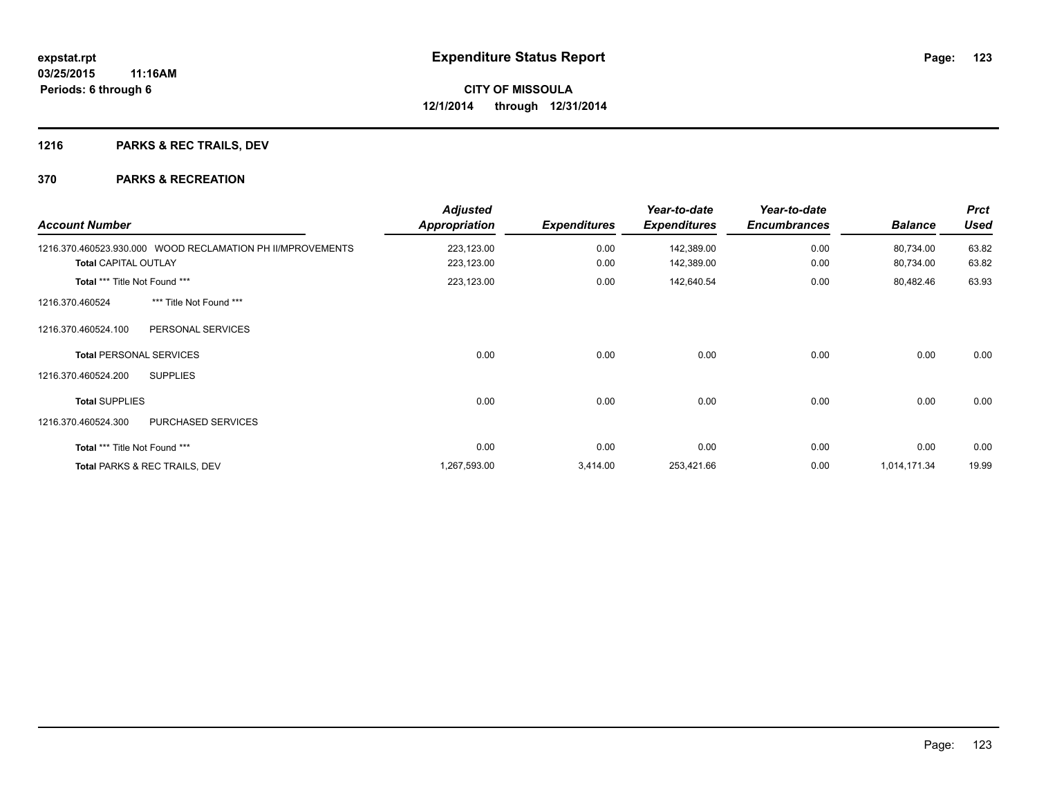## **1216 PARKS & REC TRAILS, DEV**

| <b>Account Number</b>         |                                                            | <b>Adjusted</b><br><b>Appropriation</b> | <b>Expenditures</b> | Year-to-date<br><b>Expenditures</b> | Year-to-date<br><b>Encumbrances</b> | <b>Balance</b>         | <b>Prct</b><br><b>Used</b> |
|-------------------------------|------------------------------------------------------------|-----------------------------------------|---------------------|-------------------------------------|-------------------------------------|------------------------|----------------------------|
| <b>Total CAPITAL OUTLAY</b>   | 1216.370.460523.930.000 WOOD RECLAMATION PH II/MPROVEMENTS | 223,123.00<br>223,123.00                | 0.00<br>0.00        | 142,389.00<br>142,389.00            | 0.00<br>0.00                        | 80,734.00<br>80,734.00 | 63.82<br>63.82             |
| Total *** Title Not Found *** |                                                            | 223,123.00                              | 0.00                | 142,640.54                          | 0.00                                | 80,482.46              | 63.93                      |
| 1216.370.460524               | *** Title Not Found ***                                    |                                         |                     |                                     |                                     |                        |                            |
| 1216.370.460524.100           | PERSONAL SERVICES                                          |                                         |                     |                                     |                                     |                        |                            |
|                               | <b>Total PERSONAL SERVICES</b>                             | 0.00                                    | 0.00                | 0.00                                | 0.00                                | 0.00                   | 0.00                       |
| 1216.370.460524.200           | <b>SUPPLIES</b>                                            |                                         |                     |                                     |                                     |                        |                            |
| <b>Total SUPPLIES</b>         |                                                            | 0.00                                    | 0.00                | 0.00                                | 0.00                                | 0.00                   | 0.00                       |
| 1216.370.460524.300           | <b>PURCHASED SERVICES</b>                                  |                                         |                     |                                     |                                     |                        |                            |
| Total *** Title Not Found *** |                                                            | 0.00                                    | 0.00                | 0.00                                | 0.00                                | 0.00                   | 0.00                       |
|                               | Total PARKS & REC TRAILS, DEV                              | 1,267,593.00                            | 3,414.00            | 253,421.66                          | 0.00                                | 1,014,171.34           | 19.99                      |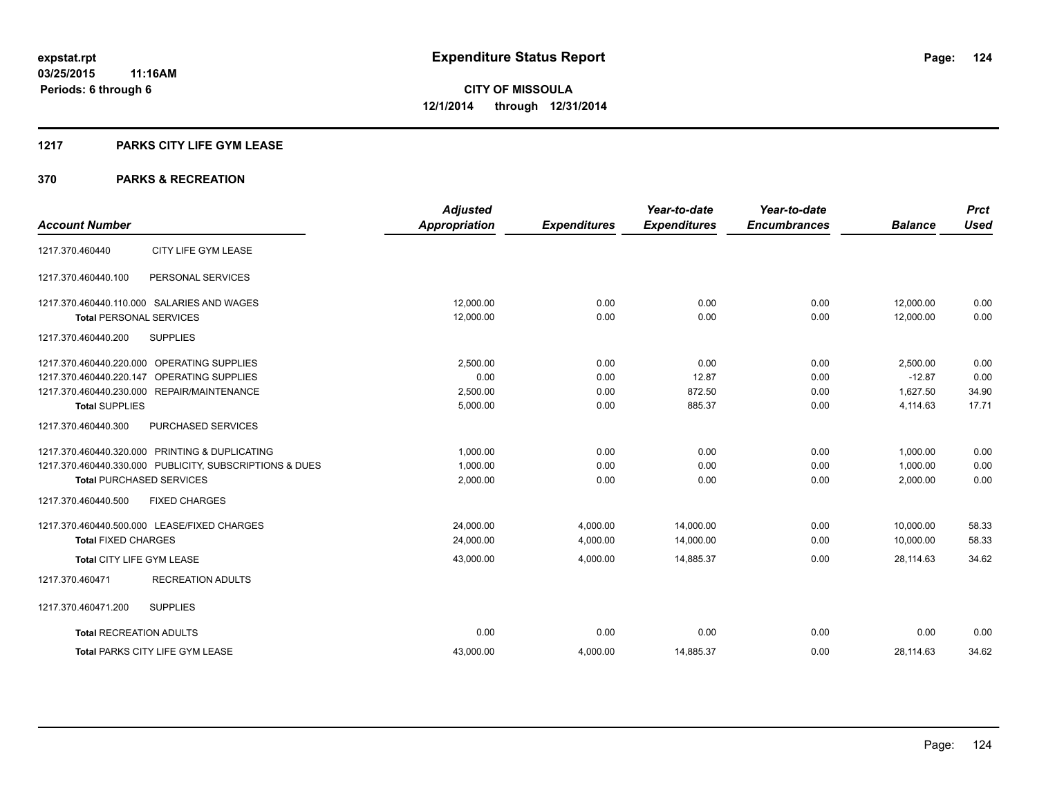#### **1217 PARKS CITY LIFE GYM LEASE**

|                                                         | <b>Adjusted</b>      |                     | Year-to-date        | Year-to-date        |                | <b>Prct</b> |
|---------------------------------------------------------|----------------------|---------------------|---------------------|---------------------|----------------|-------------|
| <b>Account Number</b>                                   | <b>Appropriation</b> | <b>Expenditures</b> | <b>Expenditures</b> | <b>Encumbrances</b> | <b>Balance</b> | <b>Used</b> |
| CITY LIFE GYM LEASE<br>1217.370.460440                  |                      |                     |                     |                     |                |             |
| 1217.370.460440.100<br>PERSONAL SERVICES                |                      |                     |                     |                     |                |             |
| 1217.370.460440.110.000 SALARIES AND WAGES              | 12,000.00            | 0.00                | 0.00                | 0.00                | 12,000.00      | 0.00        |
| <b>Total PERSONAL SERVICES</b>                          | 12,000.00            | 0.00                | 0.00                | 0.00                | 12,000.00      | 0.00        |
| <b>SUPPLIES</b><br>1217.370.460440.200                  |                      |                     |                     |                     |                |             |
| 1217.370.460440.220.000 OPERATING SUPPLIES              | 2,500.00             | 0.00                | 0.00                | 0.00                | 2,500.00       | 0.00        |
| OPERATING SUPPLIES<br>1217.370.460440.220.147           | 0.00                 | 0.00                | 12.87               | 0.00                | $-12.87$       | 0.00        |
| 1217.370.460440.230.000 REPAIR/MAINTENANCE              | 2,500.00             | 0.00                | 872.50              | 0.00                | 1,627.50       | 34.90       |
| <b>Total SUPPLIES</b>                                   | 5,000.00             | 0.00                | 885.37              | 0.00                | 4,114.63       | 17.71       |
| 1217.370.460440.300<br><b>PURCHASED SERVICES</b>        |                      |                     |                     |                     |                |             |
| 1217.370.460440.320.000 PRINTING & DUPLICATING          | 1,000.00             | 0.00                | 0.00                | 0.00                | 1,000.00       | 0.00        |
| 1217.370.460440.330.000 PUBLICITY, SUBSCRIPTIONS & DUES | 1,000.00             | 0.00                | 0.00                | 0.00                | 1,000.00       | 0.00        |
| <b>Total PURCHASED SERVICES</b>                         | 2,000.00             | 0.00                | 0.00                | 0.00                | 2,000.00       | 0.00        |
| 1217.370.460440.500<br><b>FIXED CHARGES</b>             |                      |                     |                     |                     |                |             |
| 1217.370.460440.500.000 LEASE/FIXED CHARGES             | 24,000.00            | 4,000.00            | 14,000.00           | 0.00                | 10,000.00      | 58.33       |
| <b>Total FIXED CHARGES</b>                              | 24,000.00            | 4,000.00            | 14,000.00           | 0.00                | 10,000.00      | 58.33       |
| Total CITY LIFE GYM LEASE                               | 43,000.00            | 4,000.00            | 14,885.37           | 0.00                | 28.114.63      | 34.62       |
| 1217.370.460471<br><b>RECREATION ADULTS</b>             |                      |                     |                     |                     |                |             |
| 1217.370.460471.200<br><b>SUPPLIES</b>                  |                      |                     |                     |                     |                |             |
| <b>Total RECREATION ADULTS</b>                          | 0.00                 | 0.00                | 0.00                | 0.00                | 0.00           | 0.00        |
| <b>Total PARKS CITY LIFE GYM LEASE</b>                  | 43,000.00            | 4,000.00            | 14,885.37           | 0.00                | 28,114.63      | 34.62       |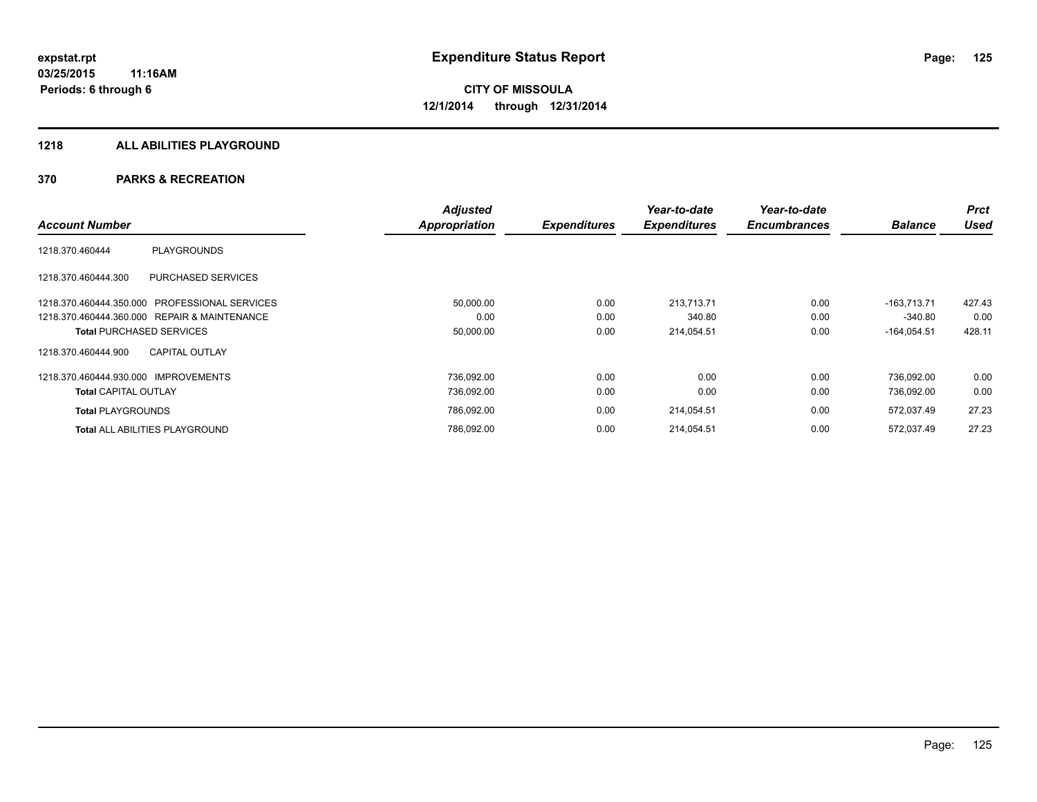### **1218 ALL ABILITIES PLAYGROUND**

|                                                  | <b>Adjusted</b>      |                     | Year-to-date        | Year-to-date        |                | <b>Prct</b> |
|--------------------------------------------------|----------------------|---------------------|---------------------|---------------------|----------------|-------------|
| <b>Account Number</b>                            | <b>Appropriation</b> | <b>Expenditures</b> | <b>Expenditures</b> | <b>Encumbrances</b> | <b>Balance</b> | <b>Used</b> |
| <b>PLAYGROUNDS</b><br>1218.370.460444            |                      |                     |                     |                     |                |             |
| <b>PURCHASED SERVICES</b><br>1218.370.460444.300 |                      |                     |                     |                     |                |             |
| 1218.370.460444.350.000 PROFESSIONAL SERVICES    | 50,000.00            | 0.00                | 213.713.71          | 0.00                | $-163.713.71$  | 427.43      |
| 1218.370.460444.360.000 REPAIR & MAINTENANCE     | 0.00                 | 0.00                | 340.80              | 0.00                | $-340.80$      | 0.00        |
| <b>Total PURCHASED SERVICES</b>                  | 50,000.00            | 0.00                | 214,054.51          | 0.00                | $-164,054.51$  | 428.11      |
| <b>CAPITAL OUTLAY</b><br>1218.370.460444.900     |                      |                     |                     |                     |                |             |
| 1218.370.460444.930.000 IMPROVEMENTS             | 736,092.00           | 0.00                | 0.00                | 0.00                | 736.092.00     | 0.00        |
| <b>Total CAPITAL OUTLAY</b>                      | 736,092.00           | 0.00                | 0.00                | 0.00                | 736,092.00     | 0.00        |
| <b>Total PLAYGROUNDS</b>                         | 786,092.00           | 0.00                | 214,054.51          | 0.00                | 572,037.49     | 27.23       |
| <b>Total ALL ABILITIES PLAYGROUND</b>            | 786,092.00           | 0.00                | 214,054.51          | 0.00                | 572,037.49     | 27.23       |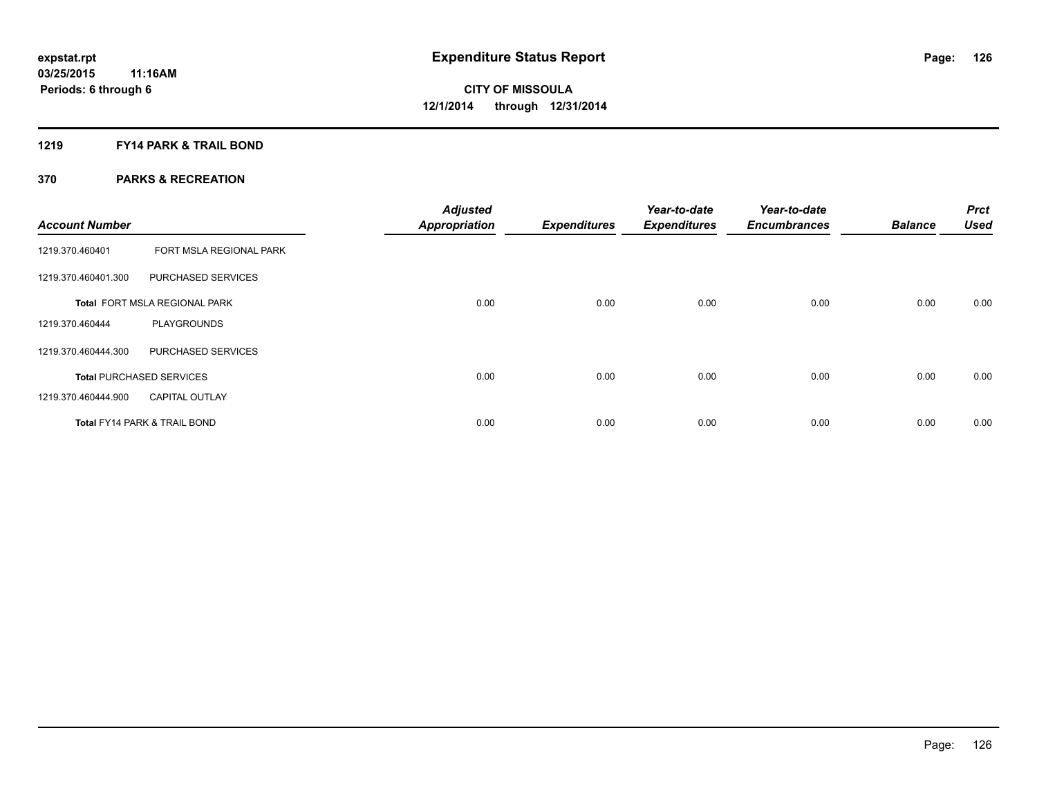### **1219 FY14 PARK & TRAIL BOND**

| <b>Account Number</b> |                                         | <b>Adjusted</b><br><b>Appropriation</b> | <b>Expenditures</b> | Year-to-date<br><b>Expenditures</b> | Year-to-date<br><b>Encumbrances</b> | <b>Balance</b> | <b>Prct</b><br><b>Used</b> |
|-----------------------|-----------------------------------------|-----------------------------------------|---------------------|-------------------------------------|-------------------------------------|----------------|----------------------------|
| 1219.370.460401       | FORT MSLA REGIONAL PARK                 |                                         |                     |                                     |                                     |                |                            |
| 1219.370.460401.300   | PURCHASED SERVICES                      |                                         |                     |                                     |                                     |                |                            |
|                       | <b>Total FORT MSLA REGIONAL PARK</b>    | 0.00                                    | 0.00                | 0.00                                | 0.00                                | 0.00           | 0.00                       |
| 1219.370.460444       | <b>PLAYGROUNDS</b>                      |                                         |                     |                                     |                                     |                |                            |
| 1219.370.460444.300   | PURCHASED SERVICES                      |                                         |                     |                                     |                                     |                |                            |
|                       | <b>Total PURCHASED SERVICES</b>         | 0.00                                    | 0.00                | 0.00                                | 0.00                                | 0.00           | 0.00                       |
| 1219.370.460444.900   | <b>CAPITAL OUTLAY</b>                   |                                         |                     |                                     |                                     |                |                            |
|                       | <b>Total FY14 PARK &amp; TRAIL BOND</b> | 0.00                                    | 0.00                | 0.00                                | 0.00                                | 0.00           | 0.00                       |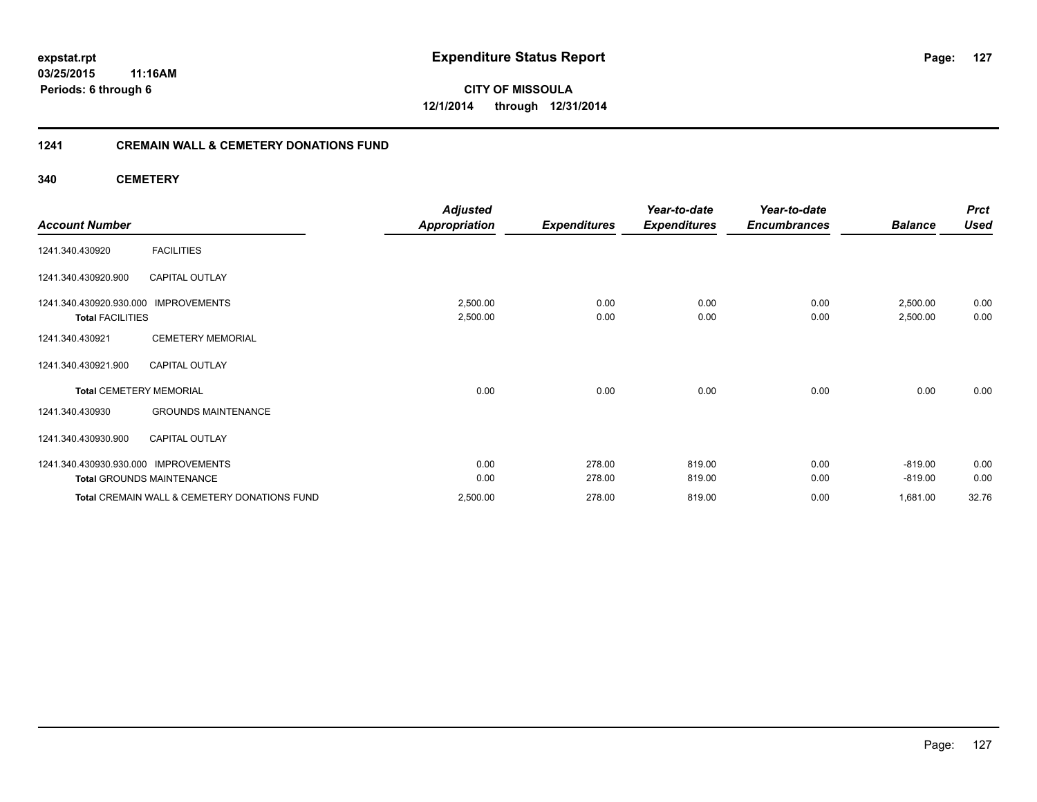### **03/25/2015 11:16AM Periods: 6 through 6**

**CITY OF MISSOULA 12/1/2014 through 12/31/2014**

### **1241 CREMAIN WALL & CEMETERY DONATIONS FUND**

**340 CEMETERY**

|                                      |                                              | <b>Adjusted</b>      |                     | Year-to-date        | Year-to-date        |                | <b>Prct</b> |
|--------------------------------------|----------------------------------------------|----------------------|---------------------|---------------------|---------------------|----------------|-------------|
| <b>Account Number</b>                |                                              | <b>Appropriation</b> | <b>Expenditures</b> | <b>Expenditures</b> | <b>Encumbrances</b> | <b>Balance</b> | <b>Used</b> |
| 1241.340.430920                      | <b>FACILITIES</b>                            |                      |                     |                     |                     |                |             |
| 1241.340.430920.900                  | <b>CAPITAL OUTLAY</b>                        |                      |                     |                     |                     |                |             |
| 1241.340.430920.930.000              | <b>IMPROVEMENTS</b>                          | 2,500.00             | 0.00                | 0.00                | 0.00                | 2,500.00       | 0.00        |
| <b>Total FACILITIES</b>              |                                              | 2,500.00             | 0.00                | 0.00                | 0.00                | 2,500.00       | 0.00        |
| 1241.340.430921                      | <b>CEMETERY MEMORIAL</b>                     |                      |                     |                     |                     |                |             |
| 1241.340.430921.900                  | <b>CAPITAL OUTLAY</b>                        |                      |                     |                     |                     |                |             |
| <b>Total CEMETERY MEMORIAL</b>       |                                              | 0.00                 | 0.00                | 0.00                | 0.00                | 0.00           | 0.00        |
| 1241.340.430930                      | <b>GROUNDS MAINTENANCE</b>                   |                      |                     |                     |                     |                |             |
| 1241.340.430930.900                  | <b>CAPITAL OUTLAY</b>                        |                      |                     |                     |                     |                |             |
| 1241.340.430930.930.000 IMPROVEMENTS |                                              | 0.00                 | 278.00              | 819.00              | 0.00                | $-819.00$      | 0.00        |
|                                      | <b>Total GROUNDS MAINTENANCE</b>             | 0.00                 | 278.00              | 819.00              | 0.00                | $-819.00$      | 0.00        |
|                                      | Total CREMAIN WALL & CEMETERY DONATIONS FUND | 2,500.00             | 278.00              | 819.00              | 0.00                | 1,681.00       | 32.76       |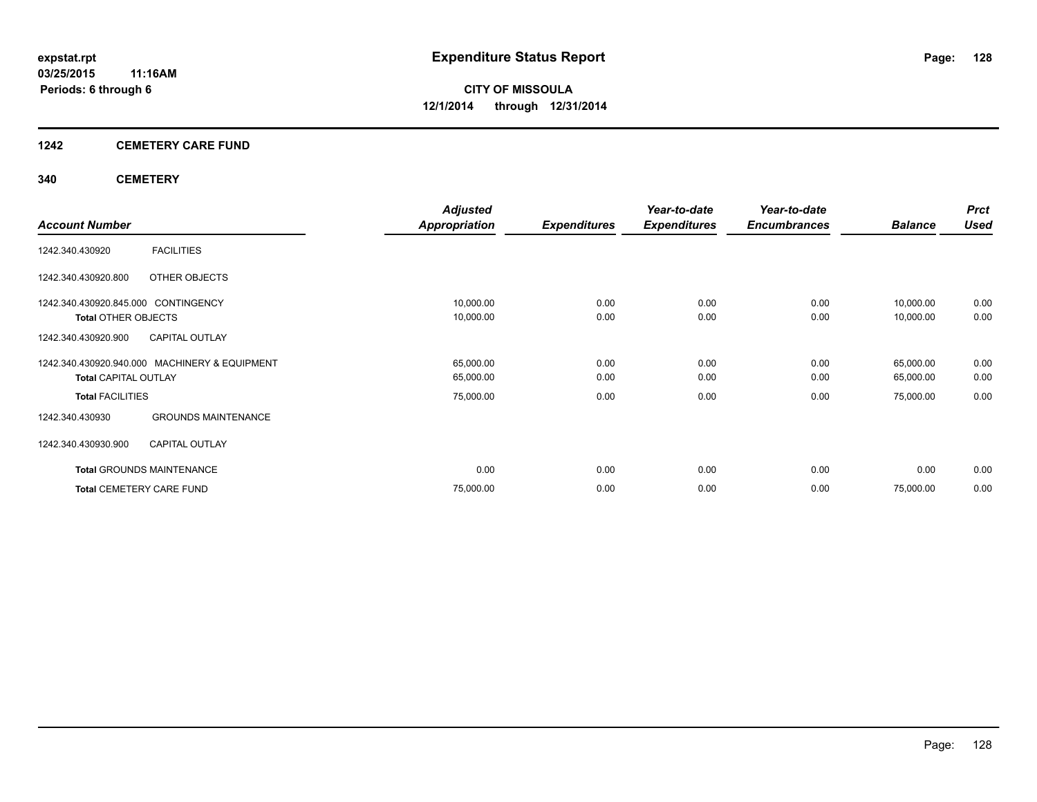### **1242 CEMETERY CARE FUND**

### **340 CEMETERY**

|                                               |                            | <b>Adjusted</b>      |                     | Year-to-date        | Year-to-date        |                | <b>Prct</b> |
|-----------------------------------------------|----------------------------|----------------------|---------------------|---------------------|---------------------|----------------|-------------|
| <b>Account Number</b>                         |                            | <b>Appropriation</b> | <b>Expenditures</b> | <b>Expenditures</b> | <b>Encumbrances</b> | <b>Balance</b> | <b>Used</b> |
| <b>FACILITIES</b><br>1242.340.430920          |                            |                      |                     |                     |                     |                |             |
| OTHER OBJECTS<br>1242.340.430920.800          |                            |                      |                     |                     |                     |                |             |
| 1242.340.430920.845.000 CONTINGENCY           |                            | 10,000.00            | 0.00                | 0.00                | 0.00                | 10,000.00      | 0.00        |
| <b>Total OTHER OBJECTS</b>                    |                            | 10,000.00            | 0.00                | 0.00                | 0.00                | 10,000.00      | 0.00        |
| <b>CAPITAL OUTLAY</b><br>1242.340.430920.900  |                            |                      |                     |                     |                     |                |             |
| 1242.340.430920.940.000 MACHINERY & EQUIPMENT |                            | 65,000.00            | 0.00                | 0.00                | 0.00                | 65,000.00      | 0.00        |
| <b>Total CAPITAL OUTLAY</b>                   |                            | 65,000.00            | 0.00                | 0.00                | 0.00                | 65,000.00      | 0.00        |
| <b>Total FACILITIES</b>                       |                            | 75,000.00            | 0.00                | 0.00                | 0.00                | 75,000.00      | 0.00        |
| 1242.340.430930                               | <b>GROUNDS MAINTENANCE</b> |                      |                     |                     |                     |                |             |
| <b>CAPITAL OUTLAY</b><br>1242.340.430930.900  |                            |                      |                     |                     |                     |                |             |
| <b>Total GROUNDS MAINTENANCE</b>              |                            | 0.00                 | 0.00                | 0.00                | 0.00                | 0.00           | 0.00        |
| <b>Total CEMETERY CARE FUND</b>               |                            | 75,000.00            | 0.00                | 0.00                | 0.00                | 75,000.00      | 0.00        |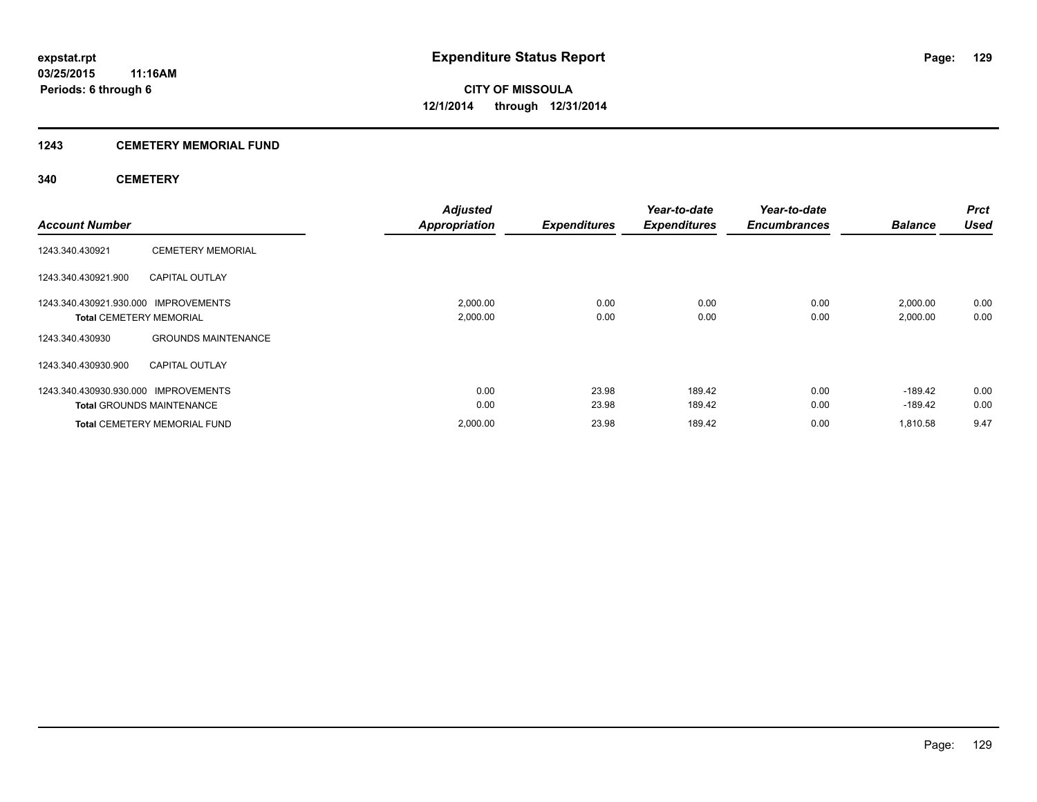# **1243 CEMETERY MEMORIAL FUND**

### **340 CEMETERY**

| <b>Account Number</b>                                                  |                                     | <b>Adjusted</b><br><b>Appropriation</b> | <b>Expenditures</b> | Year-to-date<br><b>Expenditures</b> | Year-to-date<br><b>Encumbrances</b> | <b>Balance</b>         | <b>Prct</b><br><b>Used</b> |
|------------------------------------------------------------------------|-------------------------------------|-----------------------------------------|---------------------|-------------------------------------|-------------------------------------|------------------------|----------------------------|
| 1243.340.430921                                                        | <b>CEMETERY MEMORIAL</b>            |                                         |                     |                                     |                                     |                        |                            |
| 1243.340.430921.900                                                    | <b>CAPITAL OUTLAY</b>               |                                         |                     |                                     |                                     |                        |                            |
| 1243.340.430921.930.000 IMPROVEMENTS<br><b>Total CEMETERY MEMORIAL</b> |                                     | 2,000.00<br>2,000.00                    | 0.00<br>0.00        | 0.00<br>0.00                        | 0.00<br>0.00                        | 2,000.00<br>2,000.00   | 0.00<br>0.00               |
| 1243.340.430930                                                        | <b>GROUNDS MAINTENANCE</b>          |                                         |                     |                                     |                                     |                        |                            |
| 1243.340.430930.900                                                    | <b>CAPITAL OUTLAY</b>               |                                         |                     |                                     |                                     |                        |                            |
| 1243.340.430930.930.000 IMPROVEMENTS                                   | <b>Total GROUNDS MAINTENANCE</b>    | 0.00<br>0.00                            | 23.98<br>23.98      | 189.42<br>189.42                    | 0.00<br>0.00                        | $-189.42$<br>$-189.42$ | 0.00<br>0.00               |
|                                                                        | <b>Total CEMETERY MEMORIAL FUND</b> | 2,000.00                                | 23.98               | 189.42                              | 0.00                                | 1.810.58               | 9.47                       |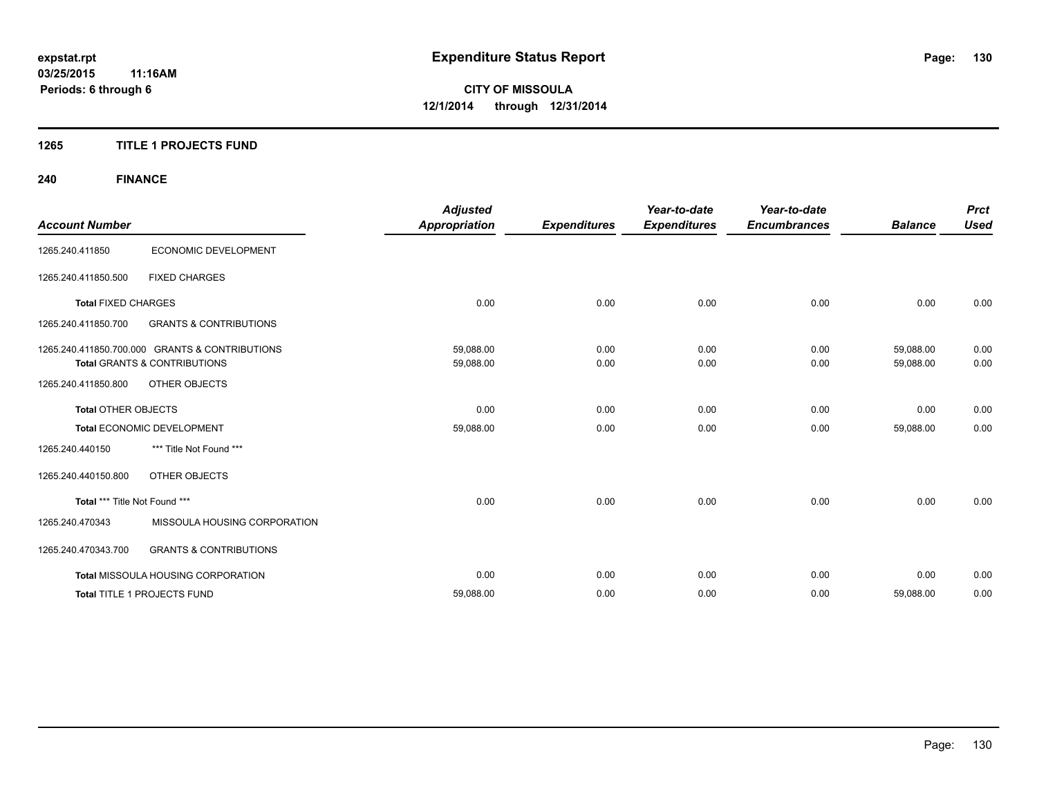### **1265 TITLE 1 PROJECTS FUND**

## **240 FINANCE**

| <b>Account Number</b>         |                                                                                           | <b>Adjusted</b><br><b>Appropriation</b> | <b>Expenditures</b> | Year-to-date<br><b>Expenditures</b> | Year-to-date<br><b>Encumbrances</b> | <b>Balance</b>         | <b>Prct</b><br><b>Used</b> |
|-------------------------------|-------------------------------------------------------------------------------------------|-----------------------------------------|---------------------|-------------------------------------|-------------------------------------|------------------------|----------------------------|
| 1265.240.411850               | ECONOMIC DEVELOPMENT                                                                      |                                         |                     |                                     |                                     |                        |                            |
| 1265.240.411850.500           | <b>FIXED CHARGES</b>                                                                      |                                         |                     |                                     |                                     |                        |                            |
| <b>Total FIXED CHARGES</b>    |                                                                                           | 0.00                                    | 0.00                | 0.00                                | 0.00                                | 0.00                   | 0.00                       |
| 1265.240.411850.700           | <b>GRANTS &amp; CONTRIBUTIONS</b>                                                         |                                         |                     |                                     |                                     |                        |                            |
|                               | 1265.240.411850.700.000 GRANTS & CONTRIBUTIONS<br><b>Total GRANTS &amp; CONTRIBUTIONS</b> | 59,088.00<br>59,088.00                  | 0.00<br>0.00        | 0.00<br>0.00                        | 0.00<br>0.00                        | 59,088.00<br>59,088.00 | 0.00<br>0.00               |
| 1265.240.411850.800           | <b>OTHER OBJECTS</b>                                                                      |                                         |                     |                                     |                                     |                        |                            |
| <b>Total OTHER OBJECTS</b>    |                                                                                           | 0.00                                    | 0.00                | 0.00                                | 0.00                                | 0.00                   | 0.00                       |
|                               | Total ECONOMIC DEVELOPMENT                                                                | 59,088.00                               | 0.00                | 0.00                                | 0.00                                | 59,088.00              | 0.00                       |
| 1265.240.440150               | *** Title Not Found ***                                                                   |                                         |                     |                                     |                                     |                        |                            |
| 1265.240.440150.800           | <b>OTHER OBJECTS</b>                                                                      |                                         |                     |                                     |                                     |                        |                            |
| Total *** Title Not Found *** |                                                                                           | 0.00                                    | 0.00                | 0.00                                | 0.00                                | 0.00                   | 0.00                       |
| 1265.240.470343               | MISSOULA HOUSING CORPORATION                                                              |                                         |                     |                                     |                                     |                        |                            |
| 1265.240.470343.700           | <b>GRANTS &amp; CONTRIBUTIONS</b>                                                         |                                         |                     |                                     |                                     |                        |                            |
|                               | Total MISSOULA HOUSING CORPORATION                                                        | 0.00                                    | 0.00                | 0.00                                | 0.00                                | 0.00                   | 0.00                       |
|                               | Total TITLE 1 PROJECTS FUND                                                               | 59,088.00                               | 0.00                | 0.00                                | 0.00                                | 59,088.00              | 0.00                       |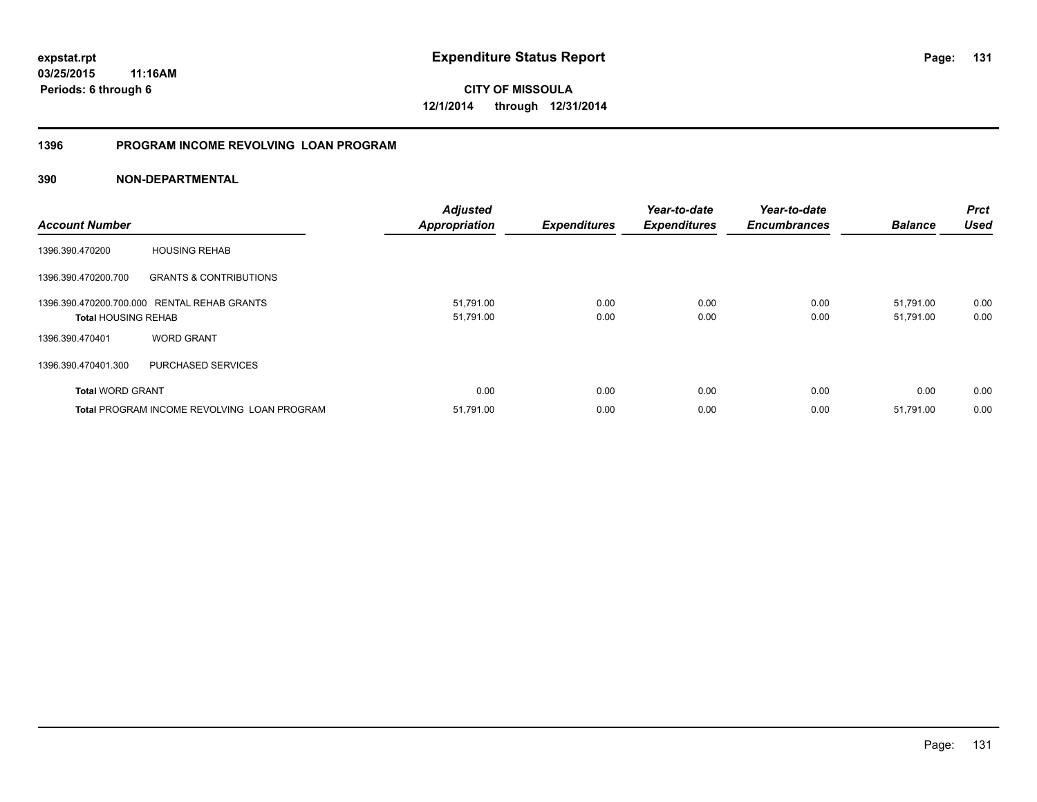**03/25/2015 11:16AM Periods: 6 through 6**

**CITY OF MISSOULA 12/1/2014 through 12/31/2014**

### **1396 PROGRAM INCOME REVOLVING LOAN PROGRAM**

| <b>Account Number</b>      |                                                    | <b>Adjusted</b><br><b>Appropriation</b> | <b>Expenditures</b> | Year-to-date<br><b>Expenditures</b> | Year-to-date<br><b>Encumbrances</b> | <b>Balance</b> | <b>Prct</b><br><b>Used</b> |
|----------------------------|----------------------------------------------------|-----------------------------------------|---------------------|-------------------------------------|-------------------------------------|----------------|----------------------------|
| 1396.390.470200            | <b>HOUSING REHAB</b>                               |                                         |                     |                                     |                                     |                |                            |
| 1396.390.470200.700        | <b>GRANTS &amp; CONTRIBUTIONS</b>                  |                                         |                     |                                     |                                     |                |                            |
|                            | 1396.390.470200.700.000 RENTAL REHAB GRANTS        | 51,791.00                               | 0.00                | 0.00                                | 0.00                                | 51,791.00      | 0.00                       |
| <b>Total HOUSING REHAB</b> |                                                    | 51,791.00                               | 0.00                | 0.00                                | 0.00                                | 51,791.00      | 0.00                       |
| 1396.390.470401            | <b>WORD GRANT</b>                                  |                                         |                     |                                     |                                     |                |                            |
| 1396.390.470401.300        | PURCHASED SERVICES                                 |                                         |                     |                                     |                                     |                |                            |
| <b>Total WORD GRANT</b>    |                                                    | 0.00                                    | 0.00                | 0.00                                | 0.00                                | 0.00           | 0.00                       |
|                            | <b>Total PROGRAM INCOME REVOLVING LOAN PROGRAM</b> | 51,791.00                               | 0.00                | 0.00                                | 0.00                                | 51,791.00      | 0.00                       |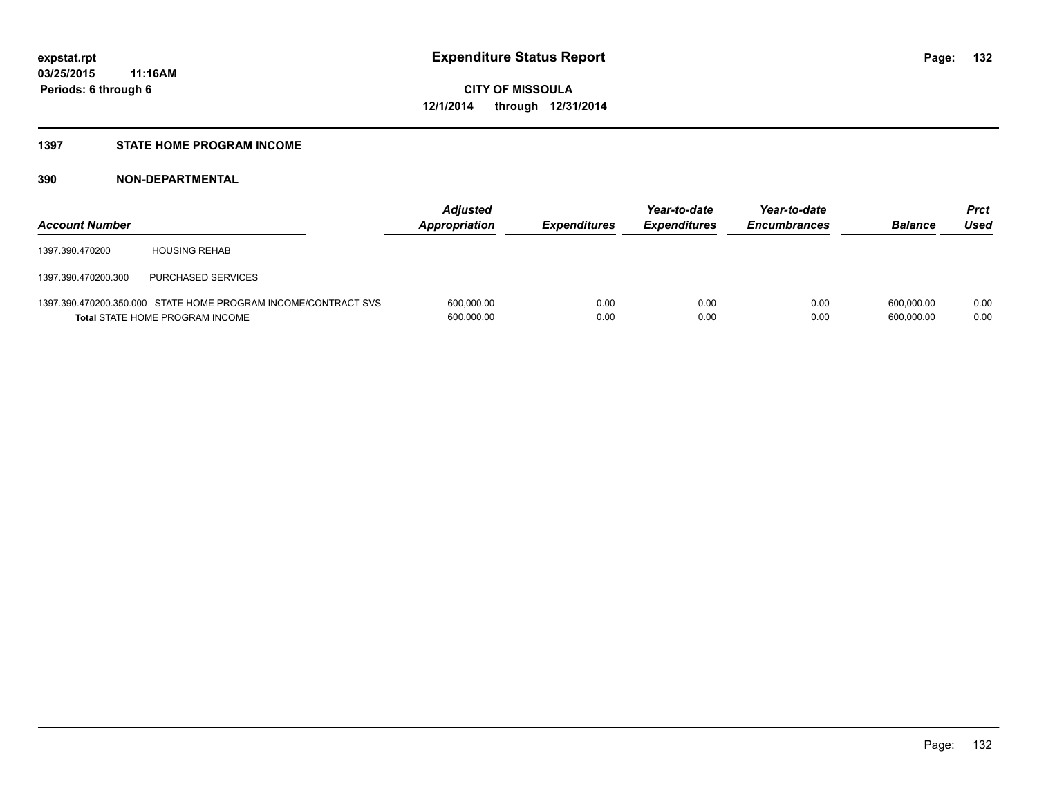### **1397 STATE HOME PROGRAM INCOME**

| <b>Account Number</b> |                                                                                                          | <b>Adjusted</b><br><b>Appropriation</b> | <i><b>Expenditures</b></i> | Year-to-date<br><b>Expenditures</b> | Year-to-date<br><b>Encumbrances</b> | <b>Balance</b>           | <b>Prct</b><br>Used |
|-----------------------|----------------------------------------------------------------------------------------------------------|-----------------------------------------|----------------------------|-------------------------------------|-------------------------------------|--------------------------|---------------------|
| 1397.390.470200       | <b>HOUSING REHAB</b>                                                                                     |                                         |                            |                                     |                                     |                          |                     |
| 1397.390.470200.300   | PURCHASED SERVICES                                                                                       |                                         |                            |                                     |                                     |                          |                     |
|                       | 1397.390.470200.350.000 STATE HOME PROGRAM INCOME/CONTRACT SVS<br><b>Total STATE HOME PROGRAM INCOME</b> | 600,000.00<br>600,000.00                | 0.00<br>0.00               | 0.00<br>0.00                        | 0.00<br>0.00                        | 600.000.00<br>600.000.00 | 0.00<br>0.00        |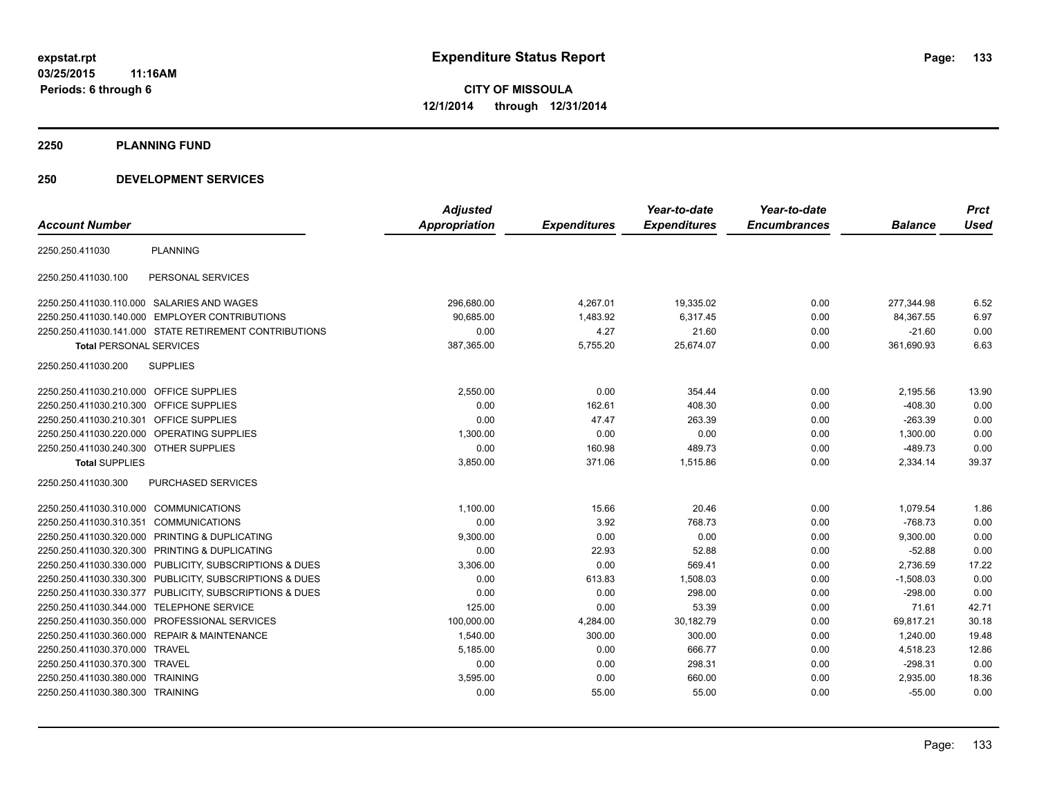**2250 PLANNING FUND**

### **250 DEVELOPMENT SERVICES**

| <b>Account Number</b>                   |                                                         | <b>Adjusted</b><br><b>Appropriation</b> | <b>Expenditures</b> | Year-to-date<br><b>Expenditures</b> | Year-to-date<br><b>Encumbrances</b> | <b>Balance</b> | <b>Prct</b><br><b>Used</b> |
|-----------------------------------------|---------------------------------------------------------|-----------------------------------------|---------------------|-------------------------------------|-------------------------------------|----------------|----------------------------|
| 2250.250.411030                         | <b>PLANNING</b>                                         |                                         |                     |                                     |                                     |                |                            |
| 2250.250.411030.100                     | PERSONAL SERVICES                                       |                                         |                     |                                     |                                     |                |                            |
|                                         | 2250.250.411030.110.000 SALARIES AND WAGES              | 296,680.00                              | 4,267.01            | 19,335.02                           | 0.00                                | 277,344.98     | 6.52                       |
|                                         | 2250.250.411030.140.000 EMPLOYER CONTRIBUTIONS          | 90.685.00                               | 1,483.92            | 6.317.45                            | 0.00                                | 84,367.55      | 6.97                       |
|                                         | 2250.250.411030.141.000 STATE RETIREMENT CONTRIBUTIONS  | 0.00                                    | 4.27                | 21.60                               | 0.00                                | $-21.60$       | 0.00                       |
| <b>Total PERSONAL SERVICES</b>          |                                                         | 387,365.00                              | 5,755.20            | 25,674.07                           | 0.00                                | 361,690.93     | 6.63                       |
| 2250.250.411030.200                     | <b>SUPPLIES</b>                                         |                                         |                     |                                     |                                     |                |                            |
| 2250.250.411030.210.000 OFFICE SUPPLIES |                                                         | 2,550.00                                | 0.00                | 354.44                              | 0.00                                | 2,195.56       | 13.90                      |
| 2250.250.411030.210.300                 | <b>OFFICE SUPPLIES</b>                                  | 0.00                                    | 162.61              | 408.30                              | 0.00                                | $-408.30$      | 0.00                       |
| 2250.250.411030.210.301                 | OFFICE SUPPLIES                                         | 0.00                                    | 47.47               | 263.39                              | 0.00                                | $-263.39$      | 0.00                       |
| 2250.250.411030.220.000                 | OPERATING SUPPLIES                                      | 1.300.00                                | 0.00                | 0.00                                | 0.00                                | 1,300.00       | 0.00                       |
| 2250.250.411030.240.300 OTHER SUPPLIES  |                                                         | 0.00                                    | 160.98              | 489.73                              | 0.00                                | $-489.73$      | 0.00                       |
| <b>Total SUPPLIES</b>                   |                                                         | 3,850.00                                | 371.06              | 1,515.86                            | 0.00                                | 2,334.14       | 39.37                      |
| 2250.250.411030.300                     | PURCHASED SERVICES                                      |                                         |                     |                                     |                                     |                |                            |
| 2250.250.411030.310.000                 | <b>COMMUNICATIONS</b>                                   | 1,100.00                                | 15.66               | 20.46                               | 0.00                                | 1,079.54       | 1.86                       |
| 2250.250.411030.310.351                 | <b>COMMUNICATIONS</b>                                   | 0.00                                    | 3.92                | 768.73                              | 0.00                                | $-768.73$      | 0.00                       |
| 2250.250.411030.320.000                 | PRINTING & DUPLICATING                                  | 9,300.00                                | 0.00                | 0.00                                | 0.00                                | 9,300.00       | 0.00                       |
| 2250.250.411030.320.300                 | PRINTING & DUPLICATING                                  | 0.00                                    | 22.93               | 52.88                               | 0.00                                | $-52.88$       | 0.00                       |
|                                         | 2250.250.411030.330.000 PUBLICITY, SUBSCRIPTIONS & DUES | 3,306.00                                | 0.00                | 569.41                              | 0.00                                | 2,736.59       | 17.22                      |
|                                         | 2250.250.411030.330.300 PUBLICITY, SUBSCRIPTIONS & DUES | 0.00                                    | 613.83              | 1,508.03                            | 0.00                                | $-1,508.03$    | 0.00                       |
|                                         | 2250.250.411030.330.377 PUBLICITY, SUBSCRIPTIONS & DUES | 0.00                                    | 0.00                | 298.00                              | 0.00                                | $-298.00$      | 0.00                       |
| 2250.250.411030.344.000                 | <b>TELEPHONE SERVICE</b>                                | 125.00                                  | 0.00                | 53.39                               | 0.00                                | 71.61          | 42.71                      |
| 2250.250.411030.350.000                 | PROFESSIONAL SERVICES                                   | 100,000.00                              | 4,284.00            | 30,182.79                           | 0.00                                | 69,817.21      | 30.18                      |
|                                         | 2250.250.411030.360.000 REPAIR & MAINTENANCE            | 1,540.00                                | 300.00              | 300.00                              | 0.00                                | 1,240.00       | 19.48                      |
| 2250.250.411030.370.000 TRAVEL          |                                                         | 5,185.00                                | 0.00                | 666.77                              | 0.00                                | 4,518.23       | 12.86                      |
| 2250.250.411030.370.300 TRAVEL          |                                                         | 0.00                                    | 0.00                | 298.31                              | 0.00                                | $-298.31$      | 0.00                       |
| 2250.250.411030.380.000 TRAINING        |                                                         | 3,595.00                                | 0.00                | 660.00                              | 0.00                                | 2,935.00       | 18.36                      |
| 2250.250.411030.380.300 TRAINING        |                                                         | 0.00                                    | 55.00               | 55.00                               | 0.00                                | $-55.00$       | 0.00                       |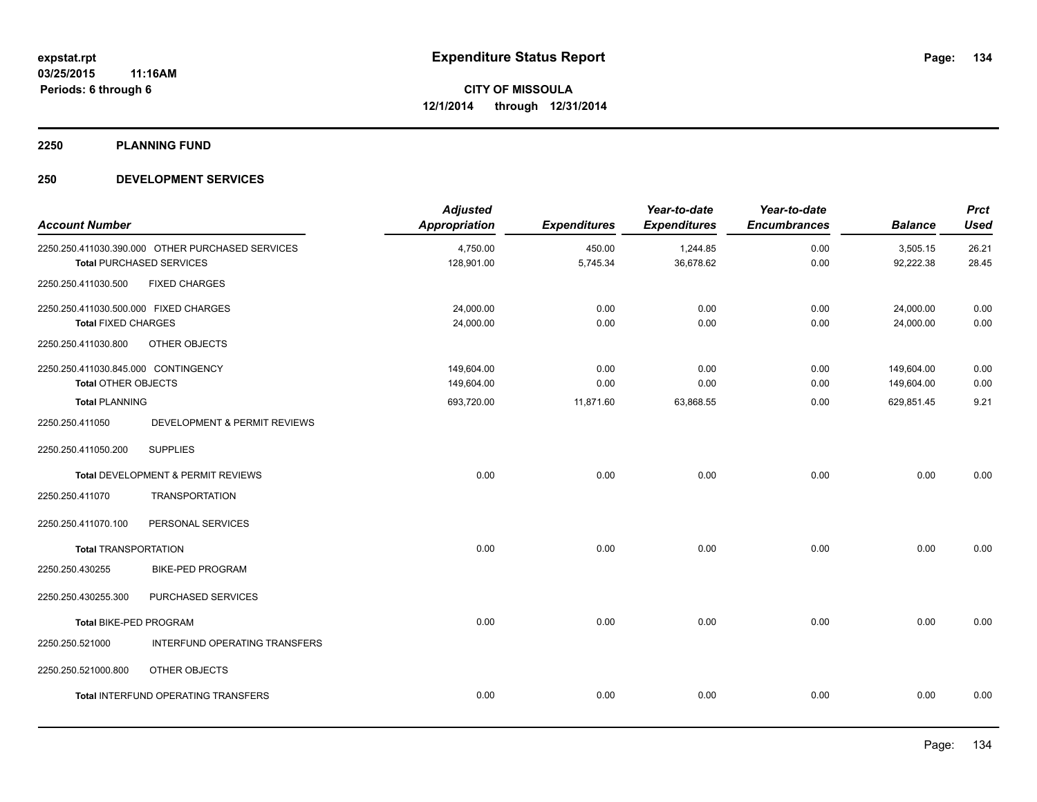**2250 PLANNING FUND**

### **250 DEVELOPMENT SERVICES**

| <b>Account Number</b>                                               |                                                                                     | <b>Adjusted</b><br><b>Appropriation</b> | <b>Expenditures</b> | Year-to-date<br><b>Expenditures</b> | Year-to-date<br><b>Encumbrances</b> | <b>Balance</b>           | <b>Prct</b><br><b>Used</b> |
|---------------------------------------------------------------------|-------------------------------------------------------------------------------------|-----------------------------------------|---------------------|-------------------------------------|-------------------------------------|--------------------------|----------------------------|
|                                                                     | 2250.250.411030.390.000 OTHER PURCHASED SERVICES<br><b>Total PURCHASED SERVICES</b> | 4,750.00<br>128,901.00                  | 450.00<br>5,745.34  | 1,244.85<br>36,678.62               | 0.00<br>0.00                        | 3,505.15<br>92,222.38    | 26.21<br>28.45             |
| 2250.250.411030.500                                                 | <b>FIXED CHARGES</b>                                                                |                                         |                     |                                     |                                     |                          |                            |
| 2250.250.411030.500.000 FIXED CHARGES<br><b>Total FIXED CHARGES</b> |                                                                                     | 24,000.00<br>24,000.00                  | 0.00<br>0.00        | 0.00<br>0.00                        | 0.00<br>0.00                        | 24,000.00<br>24,000.00   | 0.00<br>0.00               |
| 2250.250.411030.800                                                 | OTHER OBJECTS                                                                       |                                         |                     |                                     |                                     |                          |                            |
| 2250.250.411030.845.000 CONTINGENCY<br><b>Total OTHER OBJECTS</b>   |                                                                                     | 149,604.00<br>149,604.00                | 0.00<br>0.00        | 0.00<br>0.00                        | 0.00<br>0.00                        | 149,604.00<br>149,604.00 | 0.00<br>0.00               |
| <b>Total PLANNING</b>                                               |                                                                                     | 693,720.00                              | 11,871.60           | 63,868.55                           | 0.00                                | 629,851.45               | 9.21                       |
| 2250.250.411050                                                     | DEVELOPMENT & PERMIT REVIEWS                                                        |                                         |                     |                                     |                                     |                          |                            |
| 2250.250.411050.200                                                 | <b>SUPPLIES</b>                                                                     |                                         |                     |                                     |                                     |                          |                            |
|                                                                     | Total DEVELOPMENT & PERMIT REVIEWS                                                  | 0.00                                    | 0.00                | 0.00                                | 0.00                                | 0.00                     | 0.00                       |
| 2250.250.411070                                                     | <b>TRANSPORTATION</b>                                                               |                                         |                     |                                     |                                     |                          |                            |
| 2250.250.411070.100                                                 | PERSONAL SERVICES                                                                   |                                         |                     |                                     |                                     |                          |                            |
| <b>Total TRANSPORTATION</b>                                         |                                                                                     | 0.00                                    | 0.00                | 0.00                                | 0.00                                | 0.00                     | 0.00                       |
| 2250.250.430255                                                     | <b>BIKE-PED PROGRAM</b>                                                             |                                         |                     |                                     |                                     |                          |                            |
| 2250.250.430255.300                                                 | PURCHASED SERVICES                                                                  |                                         |                     |                                     |                                     |                          |                            |
| Total BIKE-PED PROGRAM                                              |                                                                                     | 0.00                                    | 0.00                | 0.00                                | 0.00                                | 0.00                     | 0.00                       |
| 2250.250.521000                                                     | INTERFUND OPERATING TRANSFERS                                                       |                                         |                     |                                     |                                     |                          |                            |
| 2250.250.521000.800                                                 | OTHER OBJECTS                                                                       |                                         |                     |                                     |                                     |                          |                            |
|                                                                     | <b>Total INTERFUND OPERATING TRANSFERS</b>                                          | 0.00                                    | 0.00                | 0.00                                | 0.00                                | 0.00                     | 0.00                       |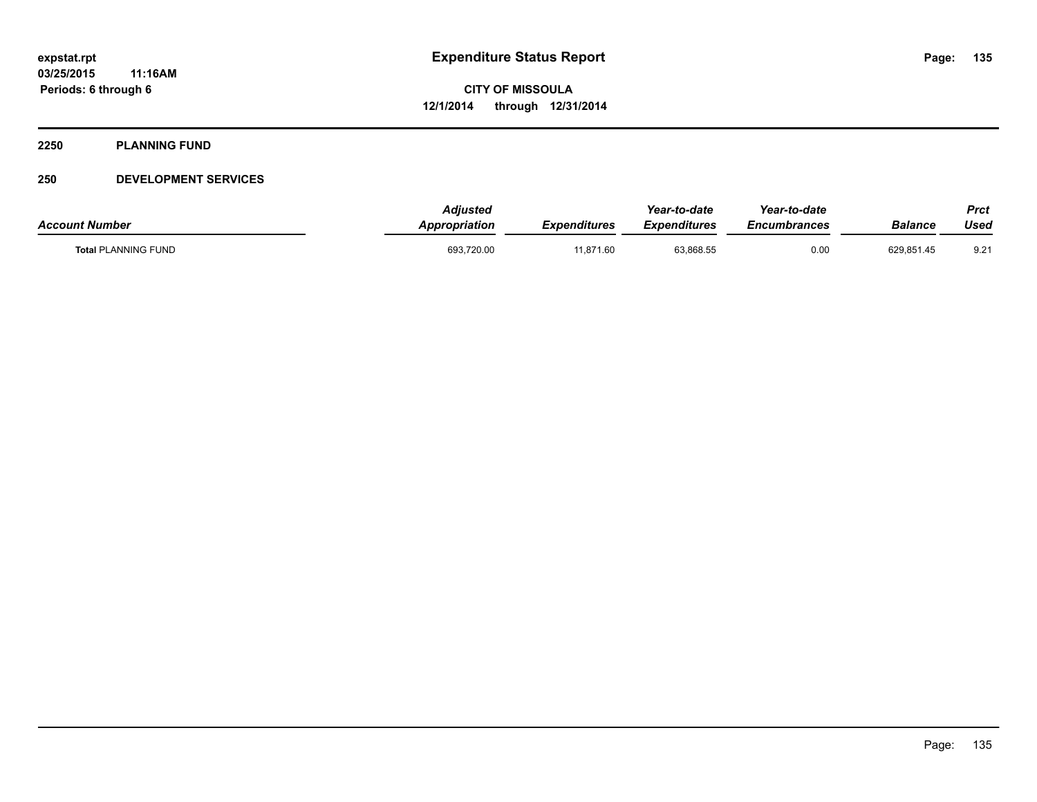#### **2250 PLANNING FUND**

### **250 DEVELOPMENT SERVICES**

| <b>Account Number</b>      | <b>Adiusted</b><br><b>Appropriation</b> | Expenditures | Year-to-date<br>Expenditures | Year-to-date<br><i><b>Encumbrances</b></i> | Balance    | Prct<br>Used  |
|----------------------------|-----------------------------------------|--------------|------------------------------|--------------------------------------------|------------|---------------|
| <b>Total PLANNING FUND</b> | 693,720.00                              | 11,871.60    | 63,868.55                    | 0.00                                       | 629,851.45 | $9.2^{\circ}$ |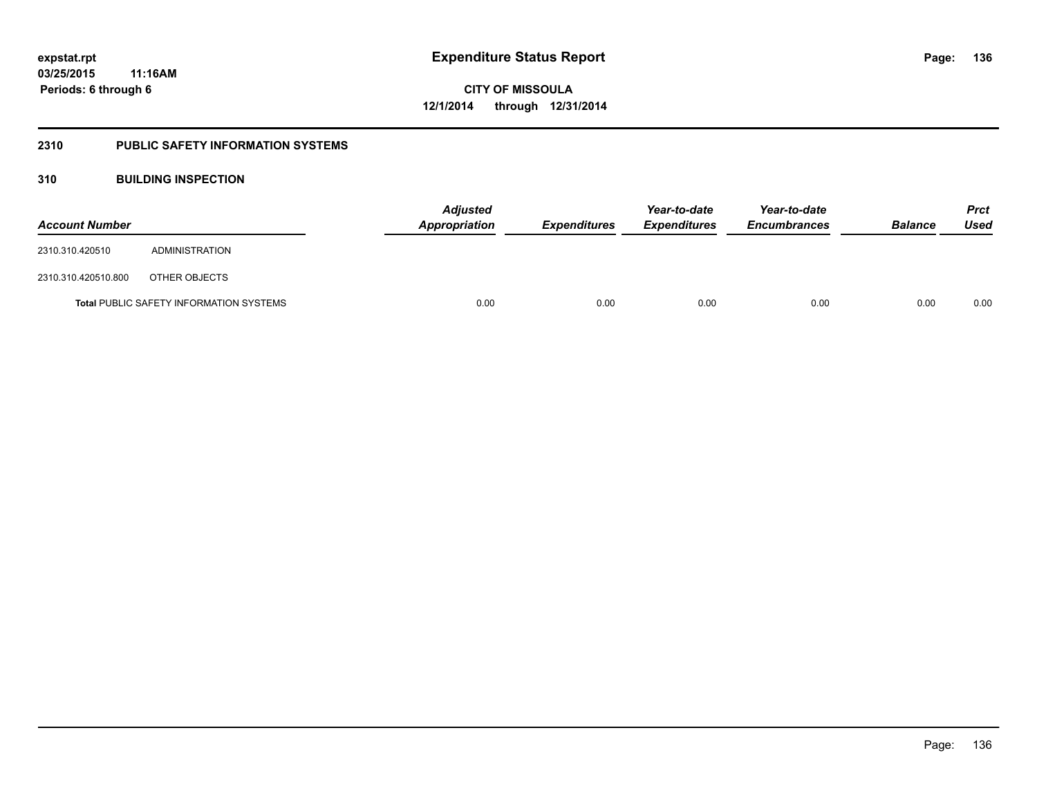### **2310 PUBLIC SAFETY INFORMATION SYSTEMS**

### **310 BUILDING INSPECTION**

| <b>Account Number</b> |                                                | Appropriation | Adjusted<br><b>Expenditures</b> |      | Year-to-date<br><b>Expenditures</b> | Year-to-date<br><b>Encumbrances</b> | <b>Balance</b> | <b>Prct</b><br>Used |
|-----------------------|------------------------------------------------|---------------|---------------------------------|------|-------------------------------------|-------------------------------------|----------------|---------------------|
| 2310.310.420510       | ADMINISTRATION                                 |               |                                 |      |                                     |                                     |                |                     |
| 2310.310.420510.800   | OTHER OBJECTS                                  |               |                                 |      |                                     |                                     |                |                     |
|                       | <b>Total PUBLIC SAFETY INFORMATION SYSTEMS</b> |               | 0.00                            | 0.00 | 0.00                                | 0.00                                | 0.00           | 0.00                |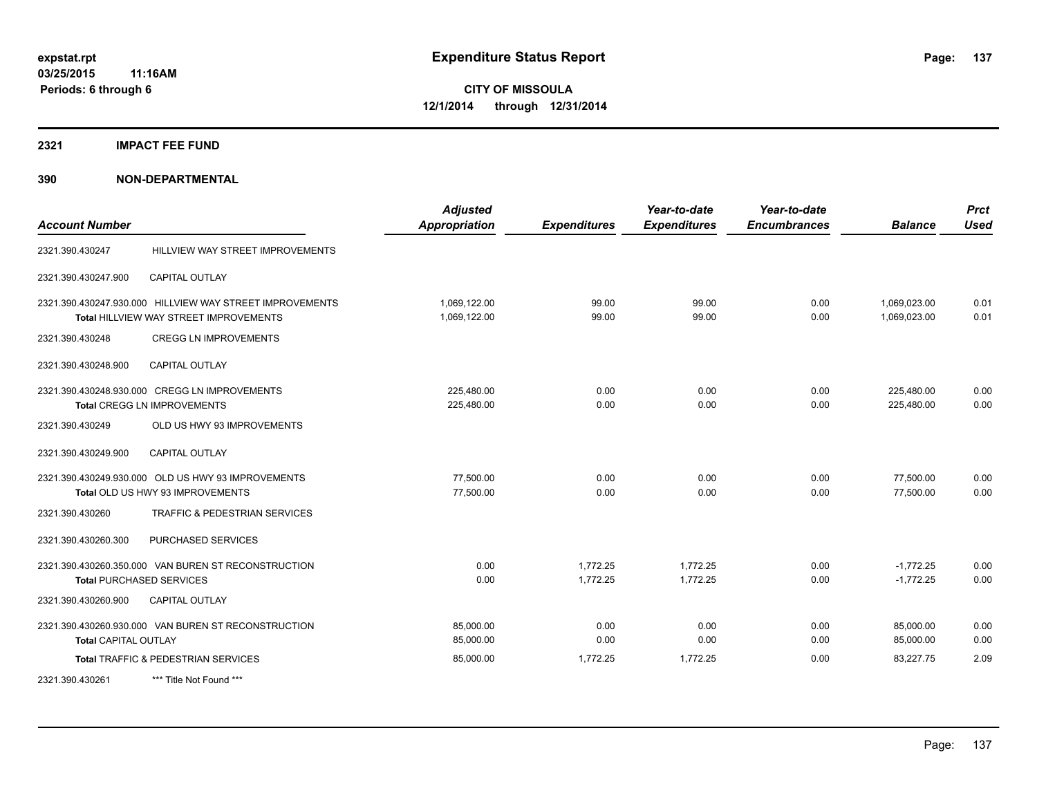**2321 IMPACT FEE FUND**

| <b>Account Number</b>       |                                                                                                    | <b>Adjusted</b><br><b>Appropriation</b> | <b>Expenditures</b>  | Year-to-date<br><b>Expenditures</b> | Year-to-date<br><b>Encumbrances</b> | <b>Balance</b>               | <b>Prct</b><br><b>Used</b> |
|-----------------------------|----------------------------------------------------------------------------------------------------|-----------------------------------------|----------------------|-------------------------------------|-------------------------------------|------------------------------|----------------------------|
| 2321.390.430247             | HILLVIEW WAY STREET IMPROVEMENTS                                                                   |                                         |                      |                                     |                                     |                              |                            |
| 2321.390.430247.900         | CAPITAL OUTLAY                                                                                     |                                         |                      |                                     |                                     |                              |                            |
|                             | 2321.390.430247.930.000 HILLVIEW WAY STREET IMPROVEMENTS<br>Total HILLVIEW WAY STREET IMPROVEMENTS | 1,069,122.00<br>1,069,122.00            | 99.00<br>99.00       | 99.00<br>99.00                      | 0.00<br>0.00                        | 1,069,023.00<br>1.069.023.00 | 0.01<br>0.01               |
| 2321.390.430248             | <b>CREGG LN IMPROVEMENTS</b>                                                                       |                                         |                      |                                     |                                     |                              |                            |
| 2321.390.430248.900         | CAPITAL OUTLAY                                                                                     |                                         |                      |                                     |                                     |                              |                            |
|                             | 2321.390.430248.930.000 CREGG LN IMPROVEMENTS<br><b>Total CREGG LN IMPROVEMENTS</b>                | 225,480.00<br>225,480.00                | 0.00<br>0.00         | 0.00<br>0.00                        | 0.00<br>0.00                        | 225,480.00<br>225,480.00     | 0.00<br>0.00               |
| 2321.390.430249             | OLD US HWY 93 IMPROVEMENTS                                                                         |                                         |                      |                                     |                                     |                              |                            |
| 2321.390.430249.900         | <b>CAPITAL OUTLAY</b>                                                                              |                                         |                      |                                     |                                     |                              |                            |
|                             | 2321.390.430249.930.000 OLD US HWY 93 IMPROVEMENTS<br>Total OLD US HWY 93 IMPROVEMENTS             | 77,500.00<br>77,500.00                  | 0.00<br>0.00         | 0.00<br>0.00                        | 0.00<br>0.00                        | 77,500.00<br>77,500.00       | 0.00<br>0.00               |
| 2321.390.430260             | <b>TRAFFIC &amp; PEDESTRIAN SERVICES</b>                                                           |                                         |                      |                                     |                                     |                              |                            |
| 2321.390.430260.300         | PURCHASED SERVICES                                                                                 |                                         |                      |                                     |                                     |                              |                            |
|                             | 2321.390.430260.350.000 VAN BUREN ST RECONSTRUCTION<br><b>Total PURCHASED SERVICES</b>             | 0.00<br>0.00                            | 1,772.25<br>1,772.25 | 1,772.25<br>1,772.25                | 0.00<br>0.00                        | $-1,772.25$<br>$-1,772.25$   | 0.00<br>0.00               |
| 2321.390.430260.900         | CAPITAL OUTLAY                                                                                     |                                         |                      |                                     |                                     |                              |                            |
| <b>Total CAPITAL OUTLAY</b> | 2321.390.430260.930.000 VAN BUREN ST RECONSTRUCTION                                                | 85,000.00<br>85,000.00                  | 0.00<br>0.00         | 0.00<br>0.00                        | 0.00<br>0.00                        | 85,000.00<br>85,000.00       | 0.00<br>0.00               |
|                             | Total TRAFFIC & PEDESTRIAN SERVICES                                                                | 85,000.00                               | 1,772.25             | 1,772.25                            | 0.00                                | 83,227.75                    | 2.09                       |
| 2321.390.430261             | *** Title Not Found ***                                                                            |                                         |                      |                                     |                                     |                              |                            |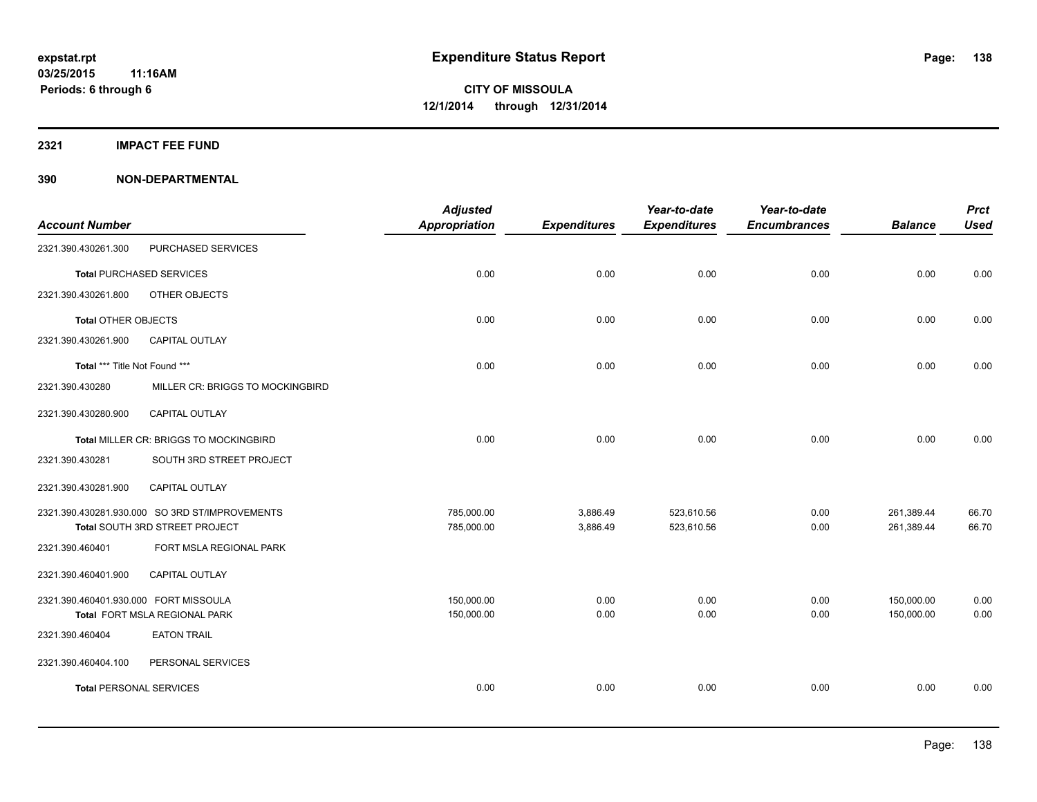**2321 IMPACT FEE FUND**

|                                       |                                                | <b>Adjusted</b> |                     | Year-to-date        | Year-to-date        |                | <b>Prct</b> |
|---------------------------------------|------------------------------------------------|-----------------|---------------------|---------------------|---------------------|----------------|-------------|
| <b>Account Number</b>                 |                                                | Appropriation   | <b>Expenditures</b> | <b>Expenditures</b> | <b>Encumbrances</b> | <b>Balance</b> | <b>Used</b> |
| 2321.390.430261.300                   | PURCHASED SERVICES                             |                 |                     |                     |                     |                |             |
|                                       | <b>Total PURCHASED SERVICES</b>                | 0.00            | 0.00                | 0.00                | 0.00                | 0.00           | 0.00        |
| 2321.390.430261.800                   | OTHER OBJECTS                                  |                 |                     |                     |                     |                |             |
| <b>Total OTHER OBJECTS</b>            |                                                | 0.00            | 0.00                | 0.00                | 0.00                | 0.00           | 0.00        |
| 2321.390.430261.900                   | <b>CAPITAL OUTLAY</b>                          |                 |                     |                     |                     |                |             |
| Total *** Title Not Found ***         |                                                | 0.00            | 0.00                | 0.00                | 0.00                | 0.00           | 0.00        |
| 2321.390.430280                       | MILLER CR: BRIGGS TO MOCKINGBIRD               |                 |                     |                     |                     |                |             |
| 2321.390.430280.900                   | CAPITAL OUTLAY                                 |                 |                     |                     |                     |                |             |
|                                       | Total MILLER CR: BRIGGS TO MOCKINGBIRD         | 0.00            | 0.00                | 0.00                | 0.00                | 0.00           | 0.00        |
| 2321.390.430281                       | SOUTH 3RD STREET PROJECT                       |                 |                     |                     |                     |                |             |
| 2321.390.430281.900                   | CAPITAL OUTLAY                                 |                 |                     |                     |                     |                |             |
|                                       | 2321.390.430281.930.000 SO 3RD ST/IMPROVEMENTS | 785,000.00      | 3,886.49            | 523,610.56          | 0.00                | 261,389.44     | 66.70       |
|                                       | Total SOUTH 3RD STREET PROJECT                 | 785,000.00      | 3,886.49            | 523,610.56          | 0.00                | 261,389.44     | 66.70       |
| 2321.390.460401                       | FORT MSLA REGIONAL PARK                        |                 |                     |                     |                     |                |             |
| 2321.390.460401.900                   | <b>CAPITAL OUTLAY</b>                          |                 |                     |                     |                     |                |             |
| 2321.390.460401.930.000 FORT MISSOULA |                                                | 150,000.00      | 0.00                | 0.00                | 0.00                | 150,000.00     | 0.00        |
|                                       | Total FORT MSLA REGIONAL PARK                  | 150,000.00      | 0.00                | 0.00                | 0.00                | 150,000.00     | 0.00        |
| 2321.390.460404                       | <b>EATON TRAIL</b>                             |                 |                     |                     |                     |                |             |
| 2321.390.460404.100                   | PERSONAL SERVICES                              |                 |                     |                     |                     |                |             |
| <b>Total PERSONAL SERVICES</b>        |                                                | 0.00            | 0.00                | 0.00                | 0.00                | 0.00           | 0.00        |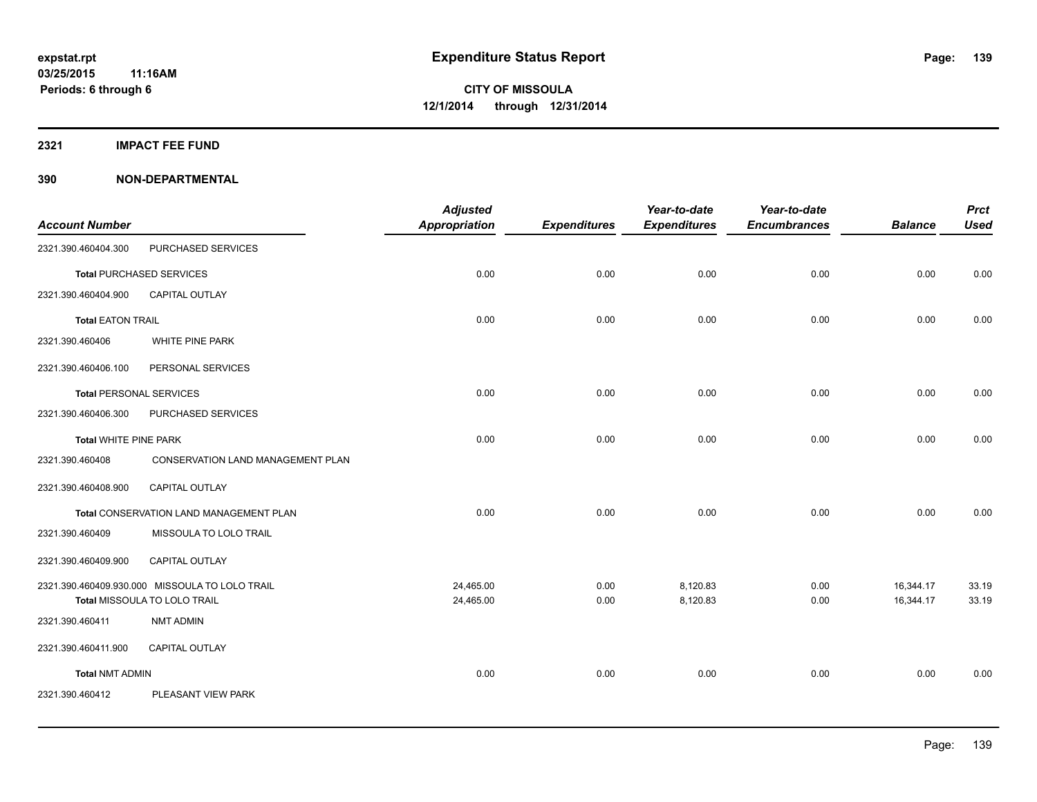**2321 IMPACT FEE FUND**

|                                |                                                                                | <b>Adjusted</b>        |                     | Year-to-date         | Year-to-date        |                        | <b>Prct</b>    |
|--------------------------------|--------------------------------------------------------------------------------|------------------------|---------------------|----------------------|---------------------|------------------------|----------------|
| <b>Account Number</b>          |                                                                                | <b>Appropriation</b>   | <b>Expenditures</b> | <b>Expenditures</b>  | <b>Encumbrances</b> | <b>Balance</b>         | <b>Used</b>    |
| 2321.390.460404.300            | PURCHASED SERVICES                                                             |                        |                     |                      |                     |                        |                |
|                                | <b>Total PURCHASED SERVICES</b>                                                | 0.00                   | 0.00                | 0.00                 | 0.00                | 0.00                   | 0.00           |
| 2321.390.460404.900            | <b>CAPITAL OUTLAY</b>                                                          |                        |                     |                      |                     |                        |                |
| <b>Total EATON TRAIL</b>       |                                                                                | 0.00                   | 0.00                | 0.00                 | 0.00                | 0.00                   | 0.00           |
| 2321.390.460406                | WHITE PINE PARK                                                                |                        |                     |                      |                     |                        |                |
| 2321.390.460406.100            | PERSONAL SERVICES                                                              |                        |                     |                      |                     |                        |                |
| <b>Total PERSONAL SERVICES</b> |                                                                                | 0.00                   | 0.00                | 0.00                 | 0.00                | 0.00                   | 0.00           |
| 2321.390.460406.300            | PURCHASED SERVICES                                                             |                        |                     |                      |                     |                        |                |
| <b>Total WHITE PINE PARK</b>   |                                                                                | 0.00                   | 0.00                | 0.00                 | 0.00                | 0.00                   | 0.00           |
| 2321.390.460408                | <b>CONSERVATION LAND MANAGEMENT PLAN</b>                                       |                        |                     |                      |                     |                        |                |
| 2321.390.460408.900            | CAPITAL OUTLAY                                                                 |                        |                     |                      |                     |                        |                |
|                                | Total CONSERVATION LAND MANAGEMENT PLAN                                        | 0.00                   | 0.00                | 0.00                 | 0.00                | 0.00                   | 0.00           |
| 2321.390.460409                | MISSOULA TO LOLO TRAIL                                                         |                        |                     |                      |                     |                        |                |
| 2321.390.460409.900            | CAPITAL OUTLAY                                                                 |                        |                     |                      |                     |                        |                |
|                                | 2321.390.460409.930.000 MISSOULA TO LOLO TRAIL<br>Total MISSOULA TO LOLO TRAIL | 24,465.00<br>24,465.00 | 0.00<br>0.00        | 8,120.83<br>8,120.83 | 0.00<br>0.00        | 16,344.17<br>16,344.17 | 33.19<br>33.19 |
| 2321.390.460411                | <b>NMT ADMIN</b>                                                               |                        |                     |                      |                     |                        |                |
| 2321.390.460411.900            | CAPITAL OUTLAY                                                                 |                        |                     |                      |                     |                        |                |
| <b>Total NMT ADMIN</b>         |                                                                                | 0.00                   | 0.00                | 0.00                 | 0.00                | 0.00                   | 0.00           |
| 2321.390.460412                | PLEASANT VIEW PARK                                                             |                        |                     |                      |                     |                        |                |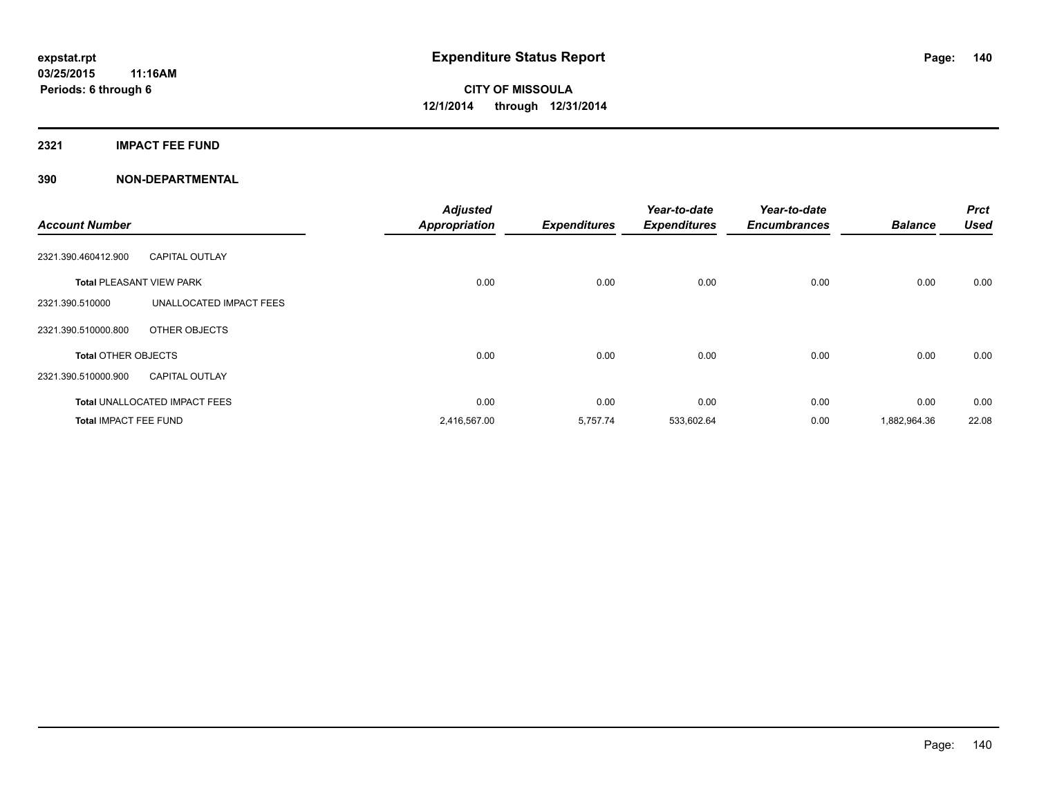### **2321 IMPACT FEE FUND**

| <b>Account Number</b>           |                                      | <b>Adjusted</b><br><b>Appropriation</b> | <b>Expenditures</b> | Year-to-date<br><b>Expenditures</b> | Year-to-date<br><b>Encumbrances</b> | <b>Balance</b> | <b>Prct</b><br><b>Used</b> |
|---------------------------------|--------------------------------------|-----------------------------------------|---------------------|-------------------------------------|-------------------------------------|----------------|----------------------------|
| 2321.390.460412.900             | <b>CAPITAL OUTLAY</b>                |                                         |                     |                                     |                                     |                |                            |
| <b>Total PLEASANT VIEW PARK</b> |                                      | 0.00                                    | 0.00                | 0.00                                | 0.00                                | 0.00           | 0.00                       |
| 2321.390.510000                 | UNALLOCATED IMPACT FEES              |                                         |                     |                                     |                                     |                |                            |
| 2321.390.510000.800             | OTHER OBJECTS                        |                                         |                     |                                     |                                     |                |                            |
| <b>Total OTHER OBJECTS</b>      |                                      | 0.00                                    | 0.00                | 0.00                                | 0.00                                | 0.00           | 0.00                       |
| 2321.390.510000.900             | <b>CAPITAL OUTLAY</b>                |                                         |                     |                                     |                                     |                |                            |
|                                 | <b>Total UNALLOCATED IMPACT FEES</b> | 0.00                                    | 0.00                | 0.00                                | 0.00                                | 0.00           | 0.00                       |
| <b>Total IMPACT FEE FUND</b>    |                                      | 2,416,567.00                            | 5,757.74            | 533,602.64                          | 0.00                                | 1,882,964.36   | 22.08                      |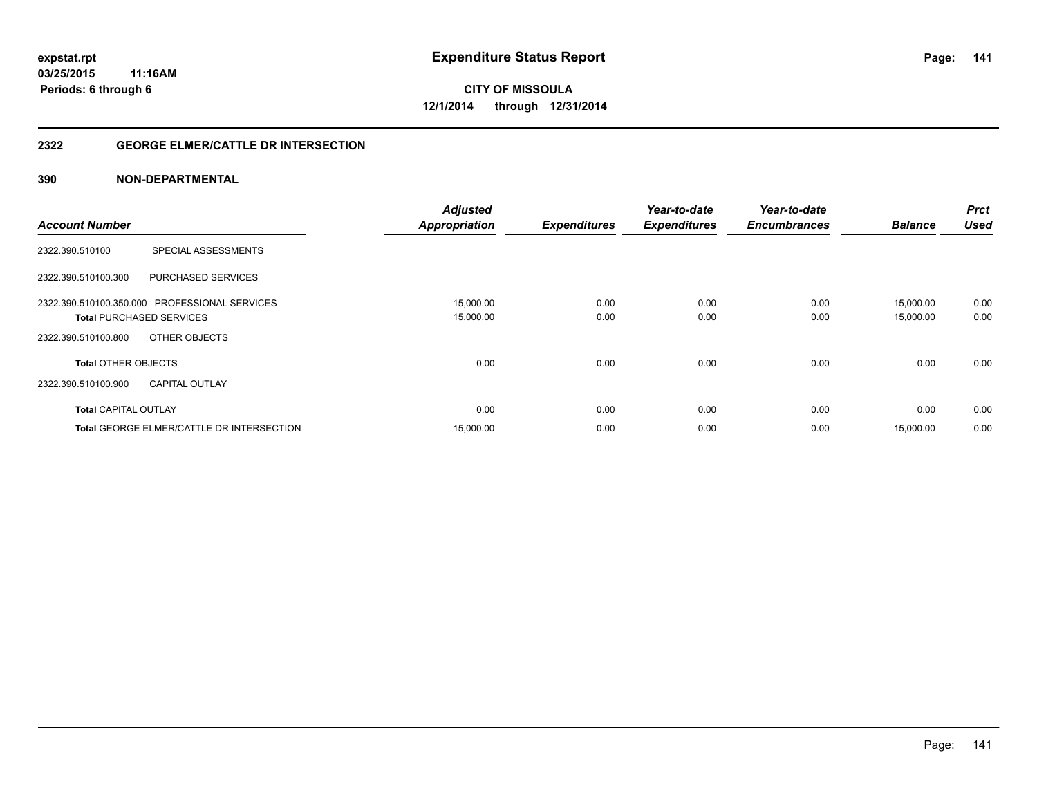### **2322 GEORGE ELMER/CATTLE DR INTERSECTION**

| <b>Account Number</b>                            | <b>Adjusted</b><br><b>Appropriation</b> | <b>Expenditures</b> | Year-to-date<br><b>Expenditures</b> | Year-to-date<br><b>Encumbrances</b> | <b>Balance</b> | <b>Prct</b><br><b>Used</b> |
|--------------------------------------------------|-----------------------------------------|---------------------|-------------------------------------|-------------------------------------|----------------|----------------------------|
|                                                  |                                         |                     |                                     |                                     |                |                            |
| SPECIAL ASSESSMENTS<br>2322.390.510100           |                                         |                     |                                     |                                     |                |                            |
| 2322.390.510100.300<br><b>PURCHASED SERVICES</b> |                                         |                     |                                     |                                     |                |                            |
| 2322.390.510100.350.000 PROFESSIONAL SERVICES    | 15,000.00                               | 0.00                | 0.00                                | 0.00                                | 15,000.00      | 0.00                       |
| <b>Total PURCHASED SERVICES</b>                  | 15,000.00                               | 0.00                | 0.00                                | 0.00                                | 15,000.00      | 0.00                       |
| OTHER OBJECTS<br>2322.390.510100.800             |                                         |                     |                                     |                                     |                |                            |
| <b>Total OTHER OBJECTS</b>                       | 0.00                                    | 0.00                | 0.00                                | 0.00                                | 0.00           | 0.00                       |
| 2322.390.510100.900<br><b>CAPITAL OUTLAY</b>     |                                         |                     |                                     |                                     |                |                            |
| <b>Total CAPITAL OUTLAY</b>                      | 0.00                                    | 0.00                | 0.00                                | 0.00                                | 0.00           | 0.00                       |
| Total GEORGE ELMER/CATTLE DR INTERSECTION        | 15,000.00                               | 0.00                | 0.00                                | 0.00                                | 15,000.00      | 0.00                       |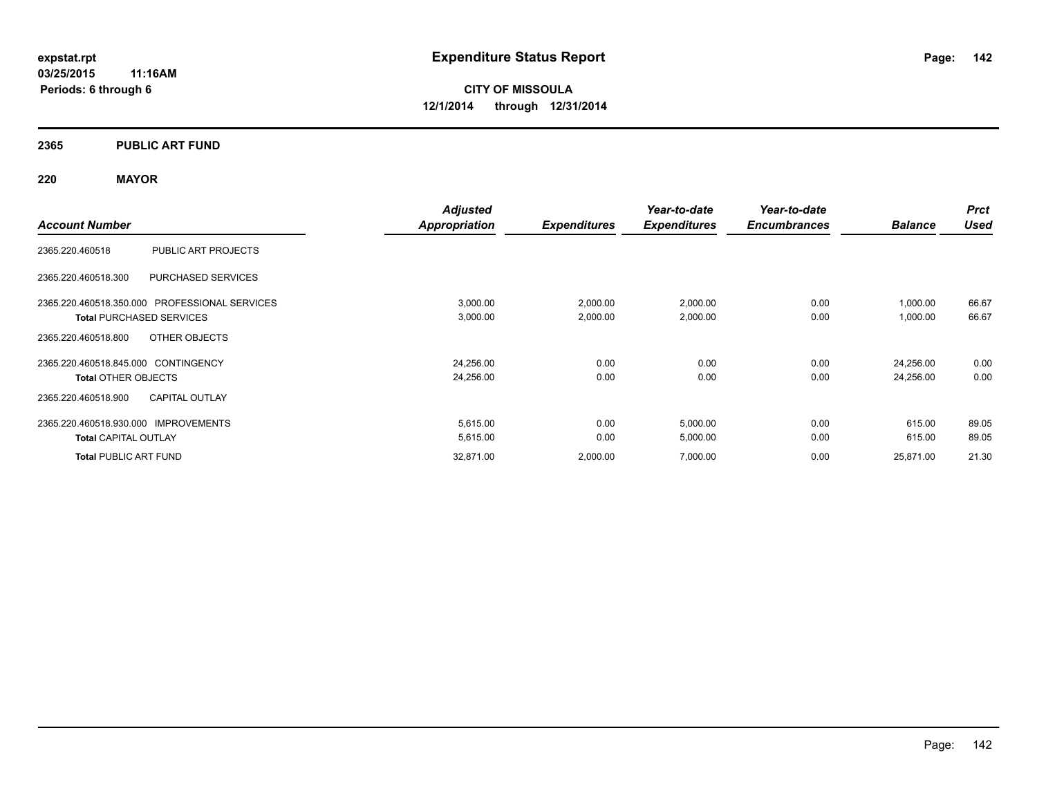### **2365 PUBLIC ART FUND**

## **220 MAYOR**

|                                                  | <b>Adjusted</b>      |                     | Year-to-date        | Year-to-date        |                | <b>Prct</b> |
|--------------------------------------------------|----------------------|---------------------|---------------------|---------------------|----------------|-------------|
| <b>Account Number</b>                            | <b>Appropriation</b> | <b>Expenditures</b> | <b>Expenditures</b> | <b>Encumbrances</b> | <b>Balance</b> | <b>Used</b> |
| PUBLIC ART PROJECTS<br>2365.220.460518           |                      |                     |                     |                     |                |             |
| <b>PURCHASED SERVICES</b><br>2365.220.460518.300 |                      |                     |                     |                     |                |             |
| 2365.220.460518.350.000 PROFESSIONAL SERVICES    | 3,000.00             | 2,000.00            | 2,000.00            | 0.00                | 1,000.00       | 66.67       |
| <b>Total PURCHASED SERVICES</b>                  | 3,000.00             | 2,000.00            | 2,000.00            | 0.00                | 1,000.00       | 66.67       |
| 2365.220.460518.800<br>OTHER OBJECTS             |                      |                     |                     |                     |                |             |
| 2365.220.460518.845.000 CONTINGENCY              | 24,256.00            | 0.00                | 0.00                | 0.00                | 24,256.00      | 0.00        |
| <b>Total OTHER OBJECTS</b>                       | 24,256.00            | 0.00                | 0.00                | 0.00                | 24,256.00      | 0.00        |
| <b>CAPITAL OUTLAY</b><br>2365.220.460518.900     |                      |                     |                     |                     |                |             |
| 2365.220.460518.930.000 IMPROVEMENTS             | 5,615.00             | 0.00                | 5,000.00            | 0.00                | 615.00         | 89.05       |
| <b>Total CAPITAL OUTLAY</b>                      | 5,615.00             | 0.00                | 5,000.00            | 0.00                | 615.00         | 89.05       |
| <b>Total PUBLIC ART FUND</b>                     | 32,871.00            | 2,000.00            | 7,000.00            | 0.00                | 25,871.00      | 21.30       |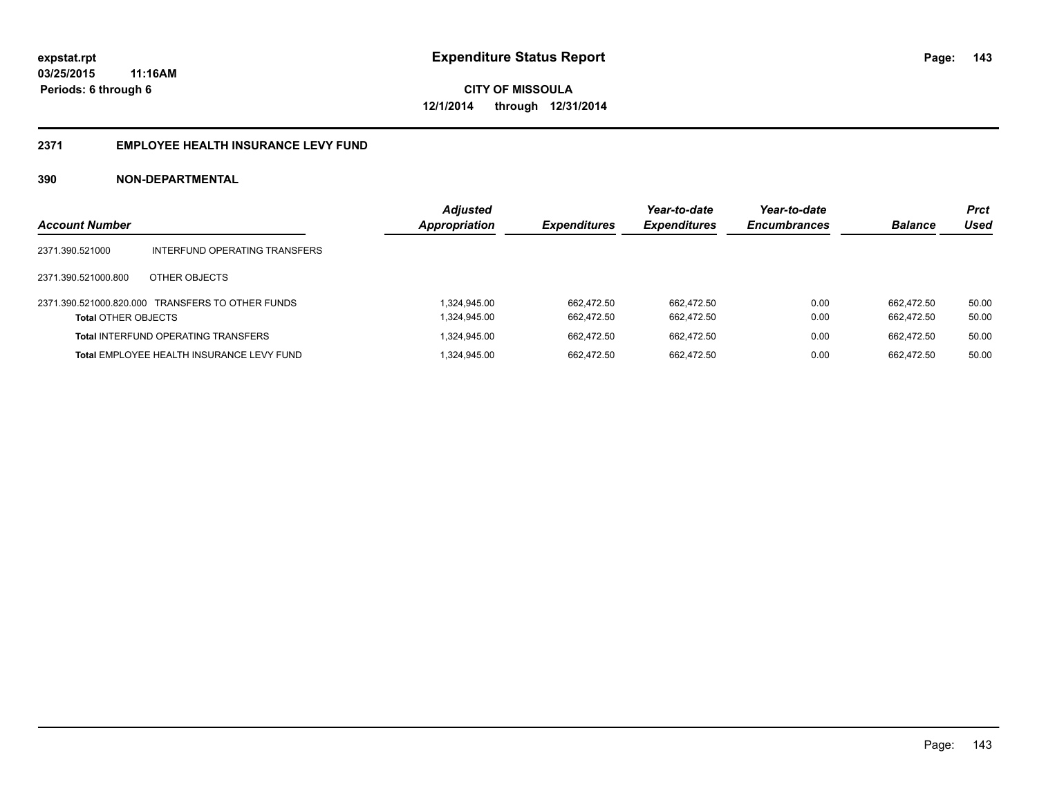#### **2371 EMPLOYEE HEALTH INSURANCE LEVY FUND**

| <b>Account Number</b>      |                                                  | <b>Adjusted</b><br>Appropriation | <b>Expenditures</b> | Year-to-date<br><b>Expenditures</b> | Year-to-date<br><b>Encumbrances</b> | <b>Balance</b> | <b>Prct</b><br>Used |
|----------------------------|--------------------------------------------------|----------------------------------|---------------------|-------------------------------------|-------------------------------------|----------------|---------------------|
| 2371.390.521000            | INTERFUND OPERATING TRANSFERS                    |                                  |                     |                                     |                                     |                |                     |
| 2371.390.521000.800        | OTHER OBJECTS                                    |                                  |                     |                                     |                                     |                |                     |
|                            | 2371.390.521000.820.000 TRANSFERS TO OTHER FUNDS | 1.324.945.00                     | 662.472.50          | 662.472.50                          | 0.00                                | 662.472.50     | 50.00               |
| <b>Total OTHER OBJECTS</b> |                                                  | 1,324,945.00                     | 662.472.50          | 662.472.50                          | 0.00                                | 662.472.50     | 50.00               |
|                            | <b>Total INTERFUND OPERATING TRANSFERS</b>       | 1.324.945.00                     | 662.472.50          | 662.472.50                          | 0.00                                | 662.472.50     | 50.00               |
|                            | Total EMPLOYEE HEALTH INSURANCE LEVY FUND        | 1.324.945.00                     | 662.472.50          | 662.472.50                          | 0.00                                | 662.472.50     | 50.00               |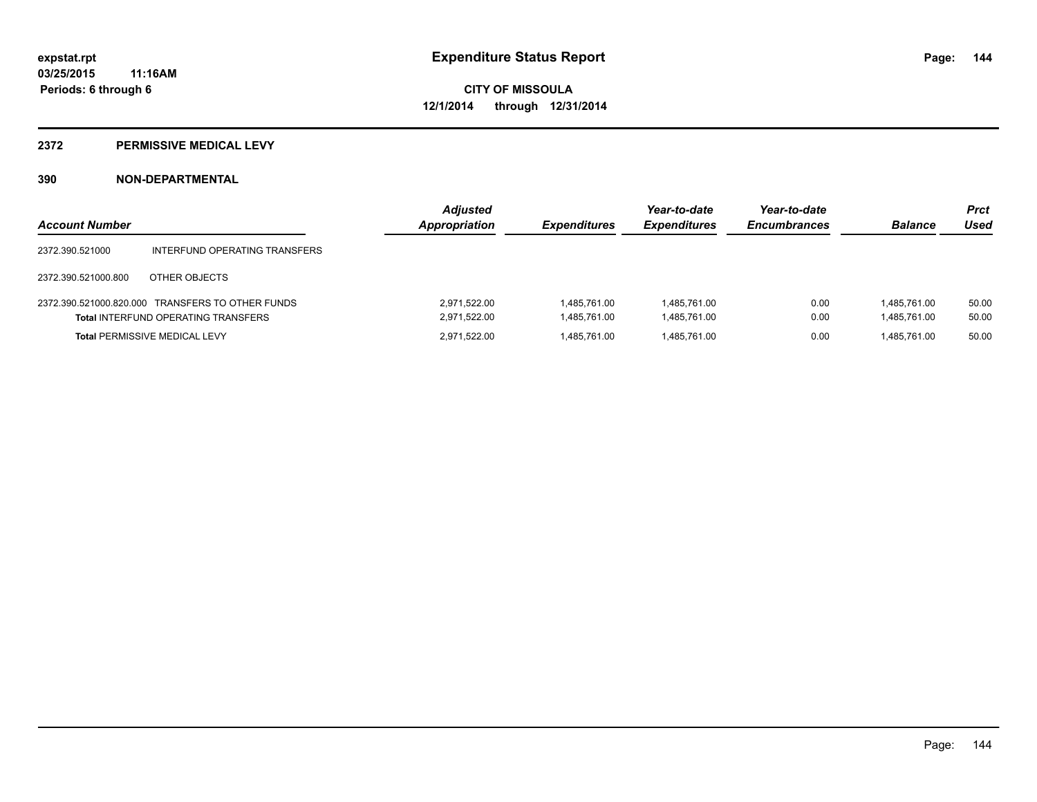#### **2372 PERMISSIVE MEDICAL LEVY**

| <b>Account Number</b> |                                                                                                | <b>Adjusted</b><br>Appropriation | <b>Expenditures</b>          | Year-to-date<br><b>Expenditures</b> | Year-to-date<br><b>Encumbrances</b> | <b>Balance</b>               | Prct<br>Used   |
|-----------------------|------------------------------------------------------------------------------------------------|----------------------------------|------------------------------|-------------------------------------|-------------------------------------|------------------------------|----------------|
| 2372.390.521000       | INTERFUND OPERATING TRANSFERS                                                                  |                                  |                              |                                     |                                     |                              |                |
| 2372.390.521000.800   | OTHER OBJECTS                                                                                  |                                  |                              |                                     |                                     |                              |                |
|                       | 2372.390.521000.820.000 TRANSFERS TO OTHER FUNDS<br><b>Total INTERFUND OPERATING TRANSFERS</b> | 2.971.522.00<br>2,971,522.00     | 1,485,761.00<br>1.485.761.00 | 1.485.761.00<br>1,485,761.00        | 0.00<br>0.00                        | 1.485.761.00<br>1,485,761.00 | 50.00<br>50.00 |
|                       | <b>Total PERMISSIVE MEDICAL LEVY</b>                                                           | 2.971.522.00                     | 1.485.761.00                 | 1.485.761.00                        | 0.00                                | 1.485.761.00                 | 50.00          |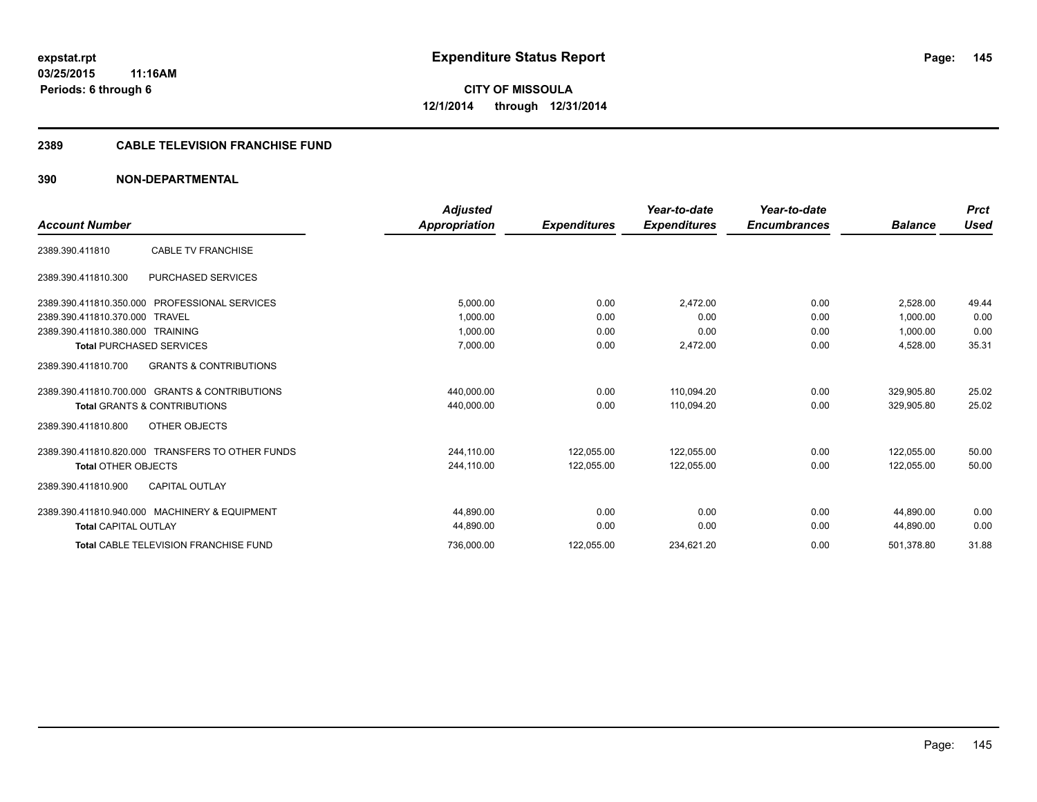#### **2389 CABLE TELEVISION FRANCHISE FUND**

## **390 NON-DEPARTMENTAL**

|                                                          | <b>Adjusted</b> |                     | Year-to-date        | Year-to-date        |                | <b>Prct</b> |
|----------------------------------------------------------|-----------------|---------------------|---------------------|---------------------|----------------|-------------|
| <b>Account Number</b>                                    | Appropriation   | <b>Expenditures</b> | <b>Expenditures</b> | <b>Encumbrances</b> | <b>Balance</b> | Used        |
| <b>CABLE TV FRANCHISE</b><br>2389.390.411810             |                 |                     |                     |                     |                |             |
| <b>PURCHASED SERVICES</b><br>2389.390.411810.300         |                 |                     |                     |                     |                |             |
| 2389.390.411810.350.000 PROFESSIONAL SERVICES            | 5,000.00        | 0.00                | 2,472.00            | 0.00                | 2.528.00       | 49.44       |
| 2389.390.411810.370.000 TRAVEL                           | 1,000.00        | 0.00                | 0.00                | 0.00                | 1,000.00       | 0.00        |
| 2389.390.411810.380.000 TRAINING                         | 1,000.00        | 0.00                | 0.00                | 0.00                | 1,000.00       | 0.00        |
| <b>Total PURCHASED SERVICES</b>                          | 7,000.00        | 0.00                | 2,472.00            | 0.00                | 4,528.00       | 35.31       |
| <b>GRANTS &amp; CONTRIBUTIONS</b><br>2389.390.411810.700 |                 |                     |                     |                     |                |             |
| 2389.390.411810.700.000 GRANTS & CONTRIBUTIONS           | 440,000.00      | 0.00                | 110,094.20          | 0.00                | 329,905.80     | 25.02       |
| <b>Total GRANTS &amp; CONTRIBUTIONS</b>                  | 440,000.00      | 0.00                | 110,094.20          | 0.00                | 329,905.80     | 25.02       |
| OTHER OBJECTS<br>2389.390.411810.800                     |                 |                     |                     |                     |                |             |
| 2389.390.411810.820.000 TRANSFERS TO OTHER FUNDS         | 244,110.00      | 122,055.00          | 122,055.00          | 0.00                | 122.055.00     | 50.00       |
| <b>Total OTHER OBJECTS</b>                               | 244,110.00      | 122,055.00          | 122,055.00          | 0.00                | 122,055.00     | 50.00       |
| <b>CAPITAL OUTLAY</b><br>2389.390.411810.900             |                 |                     |                     |                     |                |             |
| 2389.390.411810.940.000 MACHINERY & EQUIPMENT            | 44.890.00       | 0.00                | 0.00                | 0.00                | 44.890.00      | 0.00        |
| <b>Total CAPITAL OUTLAY</b>                              | 44,890.00       | 0.00                | 0.00                | 0.00                | 44,890.00      | 0.00        |
| <b>Total CABLE TELEVISION FRANCHISE FUND</b>             | 736,000.00      | 122,055.00          | 234,621.20          | 0.00                | 501,378.80     | 31.88       |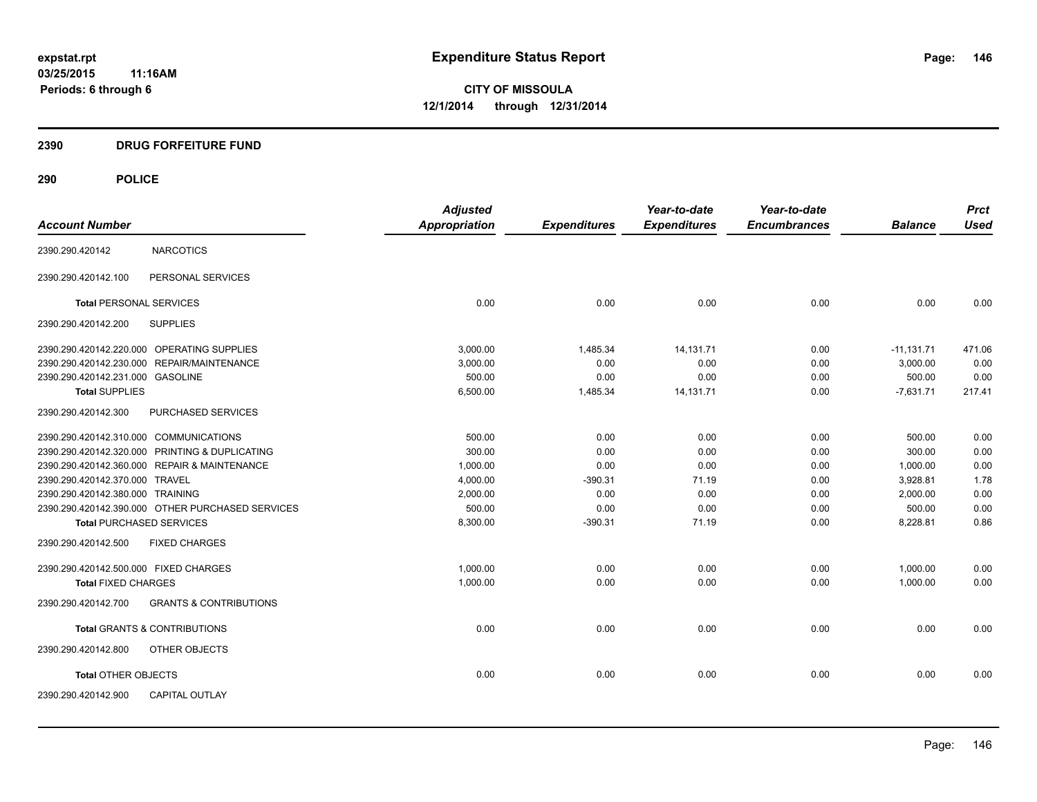# **2390 DRUG FORFEITURE FUND**

|                                        |                                                  | <b>Adjusted</b> |                     | Year-to-date        | Year-to-date        |                | <b>Prct</b> |
|----------------------------------------|--------------------------------------------------|-----------------|---------------------|---------------------|---------------------|----------------|-------------|
| <b>Account Number</b>                  |                                                  | Appropriation   | <b>Expenditures</b> | <b>Expenditures</b> | <b>Encumbrances</b> | <b>Balance</b> | <b>Used</b> |
| 2390.290.420142                        | <b>NARCOTICS</b>                                 |                 |                     |                     |                     |                |             |
| 2390.290.420142.100                    | PERSONAL SERVICES                                |                 |                     |                     |                     |                |             |
| <b>Total PERSONAL SERVICES</b>         |                                                  | 0.00            | 0.00                | 0.00                | 0.00                | 0.00           | 0.00        |
| 2390.290.420142.200                    | <b>SUPPLIES</b>                                  |                 |                     |                     |                     |                |             |
|                                        | 2390.290.420142.220.000 OPERATING SUPPLIES       | 3,000.00        | 1,485.34            | 14,131.71           | 0.00                | $-11,131.71$   | 471.06      |
|                                        | 2390.290.420142.230.000 REPAIR/MAINTENANCE       | 3.000.00        | 0.00                | 0.00                | 0.00                | 3,000.00       | 0.00        |
| 2390.290.420142.231.000 GASOLINE       |                                                  | 500.00          | 0.00                | 0.00                | 0.00                | 500.00         | 0.00        |
| <b>Total SUPPLIES</b>                  |                                                  | 6,500.00        | 1,485.34            | 14, 131. 71         | 0.00                | $-7,631.71$    | 217.41      |
| 2390.290.420142.300                    | PURCHASED SERVICES                               |                 |                     |                     |                     |                |             |
| 2390.290.420142.310.000 COMMUNICATIONS |                                                  | 500.00          | 0.00                | 0.00                | 0.00                | 500.00         | 0.00        |
|                                        | 2390.290.420142.320.000 PRINTING & DUPLICATING   | 300.00          | 0.00                | 0.00                | 0.00                | 300.00         | 0.00        |
|                                        | 2390.290.420142.360.000 REPAIR & MAINTENANCE     | 1,000.00        | 0.00                | 0.00                | 0.00                | 1,000.00       | 0.00        |
| 2390.290.420142.370.000 TRAVEL         |                                                  | 4,000.00        | $-390.31$           | 71.19               | 0.00                | 3,928.81       | 1.78        |
| 2390.290.420142.380.000 TRAINING       |                                                  | 2,000.00        | 0.00                | 0.00                | 0.00                | 2,000.00       | 0.00        |
|                                        | 2390.290.420142.390.000 OTHER PURCHASED SERVICES | 500.00          | 0.00                | 0.00                | 0.00                | 500.00         | 0.00        |
| <b>Total PURCHASED SERVICES</b>        |                                                  | 8,300.00        | $-390.31$           | 71.19               | 0.00                | 8,228.81       | 0.86        |
| 2390.290.420142.500                    | <b>FIXED CHARGES</b>                             |                 |                     |                     |                     |                |             |
| 2390.290.420142.500.000 FIXED CHARGES  |                                                  | 1,000.00        | 0.00                | 0.00                | 0.00                | 1,000.00       | 0.00        |
| <b>Total FIXED CHARGES</b>             |                                                  | 1,000.00        | 0.00                | 0.00                | 0.00                | 1,000.00       | 0.00        |
| 2390.290.420142.700                    | <b>GRANTS &amp; CONTRIBUTIONS</b>                |                 |                     |                     |                     |                |             |
|                                        | <b>Total GRANTS &amp; CONTRIBUTIONS</b>          | 0.00            | 0.00                | 0.00                | 0.00                | 0.00           | 0.00        |
| 2390.290.420142.800                    | OTHER OBJECTS                                    |                 |                     |                     |                     |                |             |
| <b>Total OTHER OBJECTS</b>             |                                                  | 0.00            | 0.00                | 0.00                | 0.00                | 0.00           | 0.00        |
| 2390.290.420142.900                    | <b>CAPITAL OUTLAY</b>                            |                 |                     |                     |                     |                |             |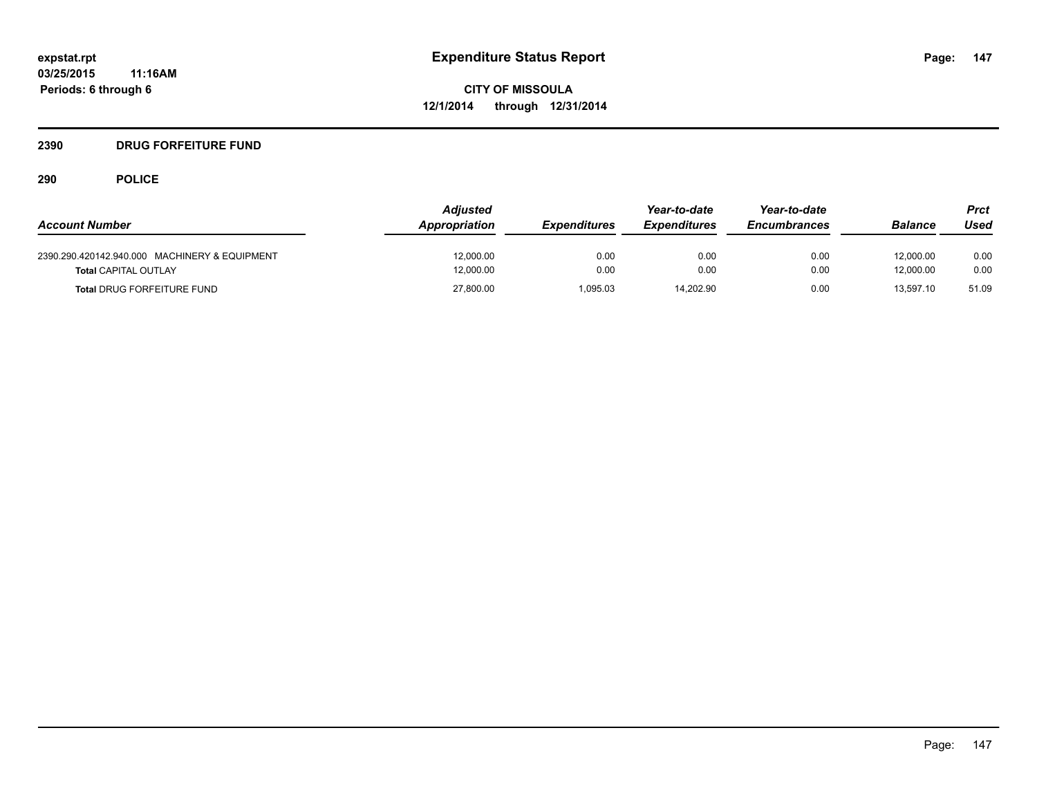# **2390 DRUG FORFEITURE FUND**

|                                               | <b>Adjusted</b> |                     | Year-to-date        | Year-to-date        |                | Prct  |
|-----------------------------------------------|-----------------|---------------------|---------------------|---------------------|----------------|-------|
| <b>Account Number</b>                         | Appropriation   | <b>Expenditures</b> | <b>Expenditures</b> | <b>Encumbrances</b> | <b>Balance</b> | Used  |
| 2390.290.420142.940.000 MACHINERY & EQUIPMENT | 12.000.00       | 0.00                | 0.00                | 0.00                | 12.000.00      | 0.00  |
| <b>Total CAPITAL OUTLAY</b>                   | 12,000.00       | 0.00                | 0.00                | 0.00                | 12.000.00      | 0.00  |
| <b>Total DRUG FORFEITURE FUND</b>             | 27,800.00       | 1.095.03            | 14.202.90           | 0.00                | 13.597.10      | 51.09 |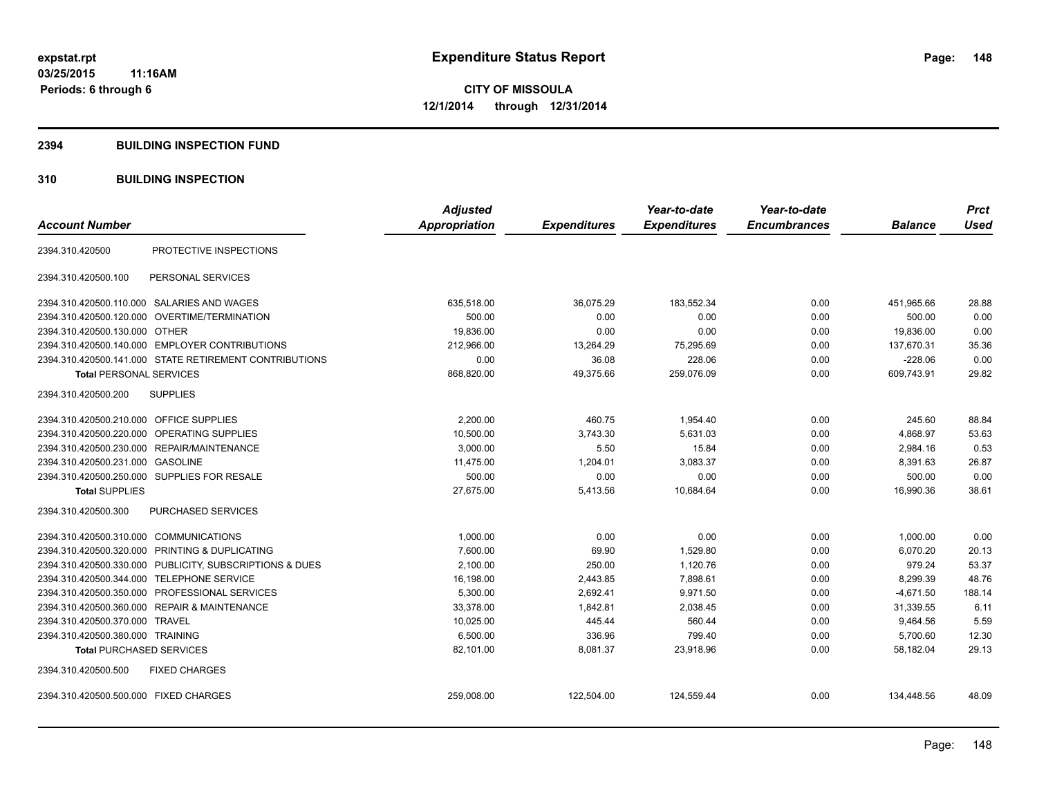#### **2394 BUILDING INSPECTION FUND**

## **310 BUILDING INSPECTION**

|                                                         | <b>Adjusted</b> |                     | Year-to-date        | Year-to-date        |                | <b>Prct</b> |
|---------------------------------------------------------|-----------------|---------------------|---------------------|---------------------|----------------|-------------|
| <b>Account Number</b>                                   | Appropriation   | <b>Expenditures</b> | <b>Expenditures</b> | <b>Encumbrances</b> | <b>Balance</b> | <b>Used</b> |
| PROTECTIVE INSPECTIONS<br>2394.310.420500               |                 |                     |                     |                     |                |             |
| PERSONAL SERVICES<br>2394.310.420500.100                |                 |                     |                     |                     |                |             |
| 2394.310.420500.110.000 SALARIES AND WAGES              | 635,518.00      | 36,075.29           | 183,552.34          | 0.00                | 451,965.66     | 28.88       |
| OVERTIME/TERMINATION<br>2394.310.420500.120.000         | 500.00          | 0.00                | 0.00                | 0.00                | 500.00         | 0.00        |
| 2394.310.420500.130.000 OTHER                           | 19,836.00       | 0.00                | 0.00                | 0.00                | 19,836.00      | 0.00        |
| 2394.310.420500.140.000 EMPLOYER CONTRIBUTIONS          | 212,966.00      | 13,264.29           | 75,295.69           | 0.00                | 137,670.31     | 35.36       |
| 2394.310.420500.141.000 STATE RETIREMENT CONTRIBUTIONS  | 0.00            | 36.08               | 228.06              | 0.00                | $-228.06$      | 0.00        |
| <b>Total PERSONAL SERVICES</b>                          | 868,820.00      | 49,375.66           | 259,076.09          | 0.00                | 609,743.91     | 29.82       |
| 2394.310.420500.200<br><b>SUPPLIES</b>                  |                 |                     |                     |                     |                |             |
| <b>OFFICE SUPPLIES</b><br>2394.310.420500.210.000       | 2,200.00        | 460.75              | 1,954.40            | 0.00                | 245.60         | 88.84       |
| 2394.310.420500.220.000<br>OPERATING SUPPLIES           | 10,500.00       | 3,743.30            | 5,631.03            | 0.00                | 4,868.97       | 53.63       |
| 2394.310.420500.230.000 REPAIR/MAINTENANCE              | 3,000.00        | 5.50                | 15.84               | 0.00                | 2,984.16       | 0.53        |
| 2394.310.420500.231.000 GASOLINE                        | 11,475.00       | 1,204.01            | 3,083.37            | 0.00                | 8,391.63       | 26.87       |
| 2394.310.420500.250.000 SUPPLIES FOR RESALE             | 500.00          | 0.00                | 0.00                | 0.00                | 500.00         | 0.00        |
| <b>Total SUPPLIES</b>                                   | 27,675.00       | 5,413.56            | 10,684.64           | 0.00                | 16,990.36      | 38.61       |
| PURCHASED SERVICES<br>2394.310.420500.300               |                 |                     |                     |                     |                |             |
| 2394.310.420500.310.000 COMMUNICATIONS                  | 1.000.00        | 0.00                | 0.00                | 0.00                | 1,000.00       | 0.00        |
| PRINTING & DUPLICATING<br>2394.310.420500.320.000       | 7,600.00        | 69.90               | 1,529.80            | 0.00                | 6,070.20       | 20.13       |
| 2394.310.420500.330.000 PUBLICITY, SUBSCRIPTIONS & DUES | 2,100.00        | 250.00              | 1,120.76            | 0.00                | 979.24         | 53.37       |
| 2394.310.420500.344.000 TELEPHONE SERVICE               | 16,198.00       | 2,443.85            | 7,898.61            | 0.00                | 8,299.39       | 48.76       |
| 2394.310.420500.350.000 PROFESSIONAL SERVICES           | 5,300.00        | 2,692.41            | 9,971.50            | 0.00                | $-4,671.50$    | 188.14      |
| 2394.310.420500.360.000 REPAIR & MAINTENANCE            | 33,378.00       | 1,842.81            | 2,038.45            | 0.00                | 31,339.55      | 6.11        |
| 2394.310.420500.370.000 TRAVEL                          | 10,025.00       | 445.44              | 560.44              | 0.00                | 9,464.56       | 5.59        |
| 2394.310.420500.380.000 TRAINING                        | 6,500.00        | 336.96              | 799.40              | 0.00                | 5,700.60       | 12.30       |
| <b>Total PURCHASED SERVICES</b>                         | 82,101.00       | 8,081.37            | 23,918.96           | 0.00                | 58,182.04      | 29.13       |
| 2394.310.420500.500<br><b>FIXED CHARGES</b>             |                 |                     |                     |                     |                |             |
| 2394.310.420500.500.000 FIXED CHARGES                   | 259,008.00      | 122,504.00          | 124,559.44          | 0.00                | 134,448.56     | 48.09       |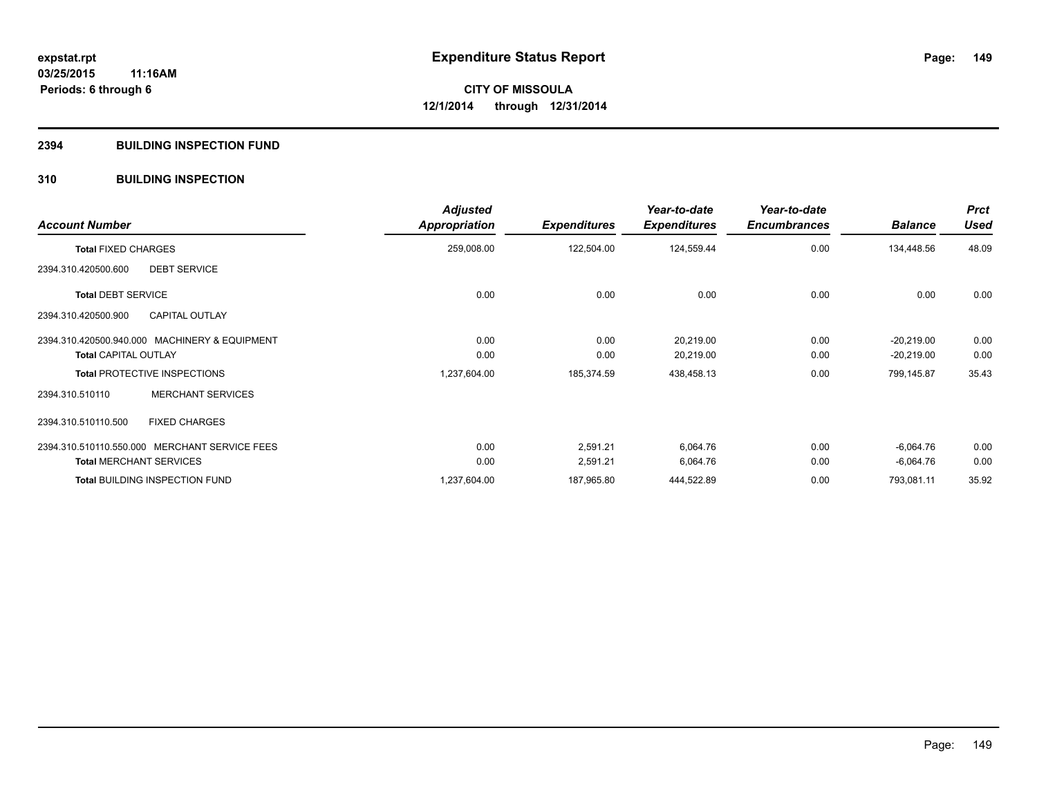#### **2394 BUILDING INSPECTION FUND**

## **310 BUILDING INSPECTION**

| <b>Account Number</b>                         | <b>Adjusted</b><br>Appropriation | <b>Expenditures</b> | Year-to-date<br><b>Expenditures</b> | Year-to-date<br><b>Encumbrances</b> | <b>Balance</b> | <b>Prct</b><br><b>Used</b> |
|-----------------------------------------------|----------------------------------|---------------------|-------------------------------------|-------------------------------------|----------------|----------------------------|
| <b>Total FIXED CHARGES</b>                    | 259,008.00                       | 122,504.00          | 124,559.44                          | 0.00                                | 134,448.56     | 48.09                      |
| <b>DEBT SERVICE</b><br>2394.310.420500.600    |                                  |                     |                                     |                                     |                |                            |
| <b>Total DEBT SERVICE</b>                     | 0.00                             | 0.00                | 0.00                                | 0.00                                | 0.00           | 0.00                       |
| <b>CAPITAL OUTLAY</b><br>2394.310.420500.900  |                                  |                     |                                     |                                     |                |                            |
| 2394.310.420500.940.000 MACHINERY & EQUIPMENT | 0.00                             | 0.00                | 20,219.00                           | 0.00                                | $-20,219.00$   | 0.00                       |
| <b>Total CAPITAL OUTLAY</b>                   | 0.00                             | 0.00                | 20,219.00                           | 0.00                                | $-20,219.00$   | 0.00                       |
| <b>Total PROTECTIVE INSPECTIONS</b>           | 1,237,604.00                     | 185,374.59          | 438,458.13                          | 0.00                                | 799,145.87     | 35.43                      |
| <b>MERCHANT SERVICES</b><br>2394.310.510110   |                                  |                     |                                     |                                     |                |                            |
| <b>FIXED CHARGES</b><br>2394.310.510110.500   |                                  |                     |                                     |                                     |                |                            |
| 2394.310.510110.550.000 MERCHANT SERVICE FEES | 0.00                             | 2,591.21            | 6,064.76                            | 0.00                                | $-6,064.76$    | 0.00                       |
| <b>Total MERCHANT SERVICES</b>                | 0.00                             | 2,591.21            | 6,064.76                            | 0.00                                | $-6,064.76$    | 0.00                       |
| <b>Total BUILDING INSPECTION FUND</b>         | 1,237,604.00                     | 187,965.80          | 444,522.89                          | 0.00                                | 793,081.11     | 35.92                      |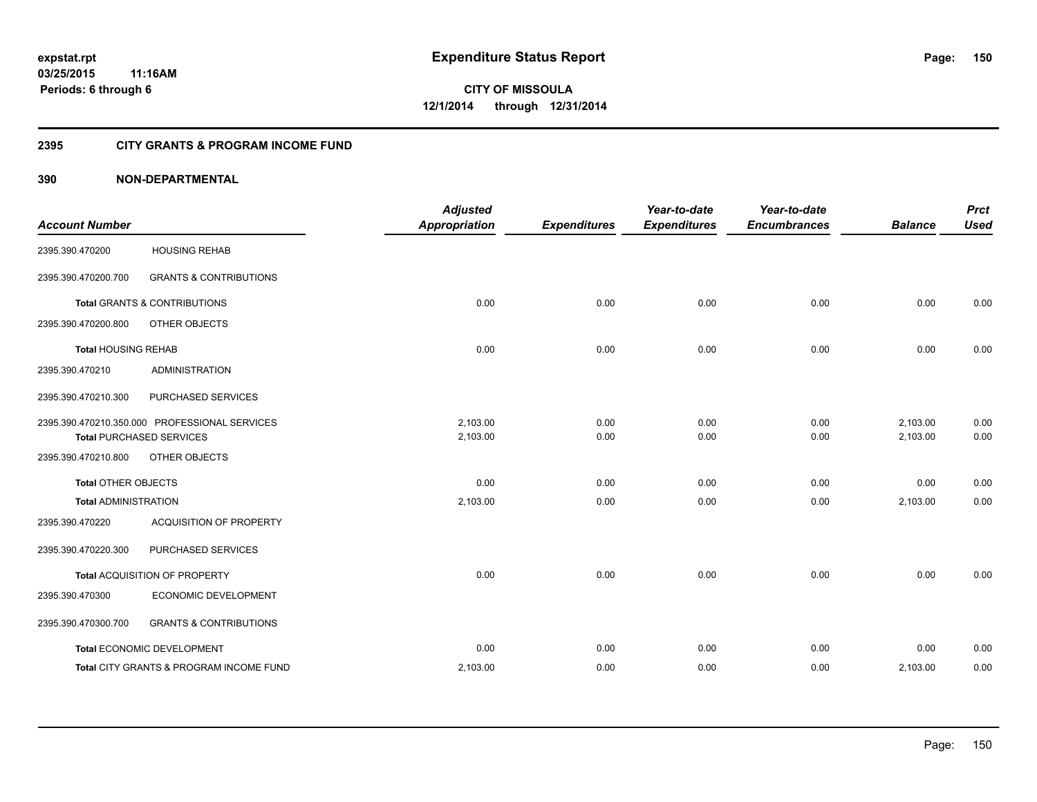## **2395 CITY GRANTS & PROGRAM INCOME FUND**

# **390 NON-DEPARTMENTAL**

| <b>Account Number</b>       |                                                                                  | <b>Adjusted</b><br><b>Appropriation</b> | <b>Expenditures</b> | Year-to-date<br><b>Expenditures</b> | Year-to-date<br><b>Encumbrances</b> | <b>Balance</b>       | <b>Prct</b><br><b>Used</b> |
|-----------------------------|----------------------------------------------------------------------------------|-----------------------------------------|---------------------|-------------------------------------|-------------------------------------|----------------------|----------------------------|
| 2395.390.470200             | <b>HOUSING REHAB</b>                                                             |                                         |                     |                                     |                                     |                      |                            |
| 2395.390.470200.700         | <b>GRANTS &amp; CONTRIBUTIONS</b>                                                |                                         |                     |                                     |                                     |                      |                            |
|                             | <b>Total GRANTS &amp; CONTRIBUTIONS</b>                                          | 0.00                                    | 0.00                | 0.00                                | 0.00                                | 0.00                 | 0.00                       |
| 2395.390.470200.800         | OTHER OBJECTS                                                                    |                                         |                     |                                     |                                     |                      |                            |
| <b>Total HOUSING REHAB</b>  |                                                                                  | 0.00                                    | 0.00                | 0.00                                | 0.00                                | 0.00                 | 0.00                       |
| 2395.390.470210             | <b>ADMINISTRATION</b>                                                            |                                         |                     |                                     |                                     |                      |                            |
| 2395.390.470210.300         | PURCHASED SERVICES                                                               |                                         |                     |                                     |                                     |                      |                            |
|                             | 2395.390.470210.350.000 PROFESSIONAL SERVICES<br><b>Total PURCHASED SERVICES</b> | 2,103.00<br>2,103.00                    | 0.00<br>0.00        | 0.00<br>0.00                        | 0.00<br>0.00                        | 2,103.00<br>2,103.00 | 0.00<br>0.00               |
| 2395.390.470210.800         | OTHER OBJECTS                                                                    |                                         |                     |                                     |                                     |                      |                            |
| <b>Total OTHER OBJECTS</b>  |                                                                                  | 0.00                                    | 0.00                | 0.00                                | 0.00                                | 0.00                 | 0.00                       |
| <b>Total ADMINISTRATION</b> |                                                                                  | 2,103.00                                | 0.00                | 0.00                                | 0.00                                | 2,103.00             | 0.00                       |
| 2395.390.470220             | <b>ACQUISITION OF PROPERTY</b>                                                   |                                         |                     |                                     |                                     |                      |                            |
| 2395.390.470220.300         | PURCHASED SERVICES                                                               |                                         |                     |                                     |                                     |                      |                            |
|                             | Total ACQUISITION OF PROPERTY                                                    | 0.00                                    | 0.00                | 0.00                                | 0.00                                | 0.00                 | 0.00                       |
| 2395.390.470300             | ECONOMIC DEVELOPMENT                                                             |                                         |                     |                                     |                                     |                      |                            |
| 2395.390.470300.700         | <b>GRANTS &amp; CONTRIBUTIONS</b>                                                |                                         |                     |                                     |                                     |                      |                            |
|                             | Total ECONOMIC DEVELOPMENT                                                       | 0.00                                    | 0.00                | 0.00                                | 0.00                                | 0.00                 | 0.00                       |
|                             | Total CITY GRANTS & PROGRAM INCOME FUND                                          | 2,103.00                                | 0.00                | 0.00                                | 0.00                                | 2,103.00             | 0.00                       |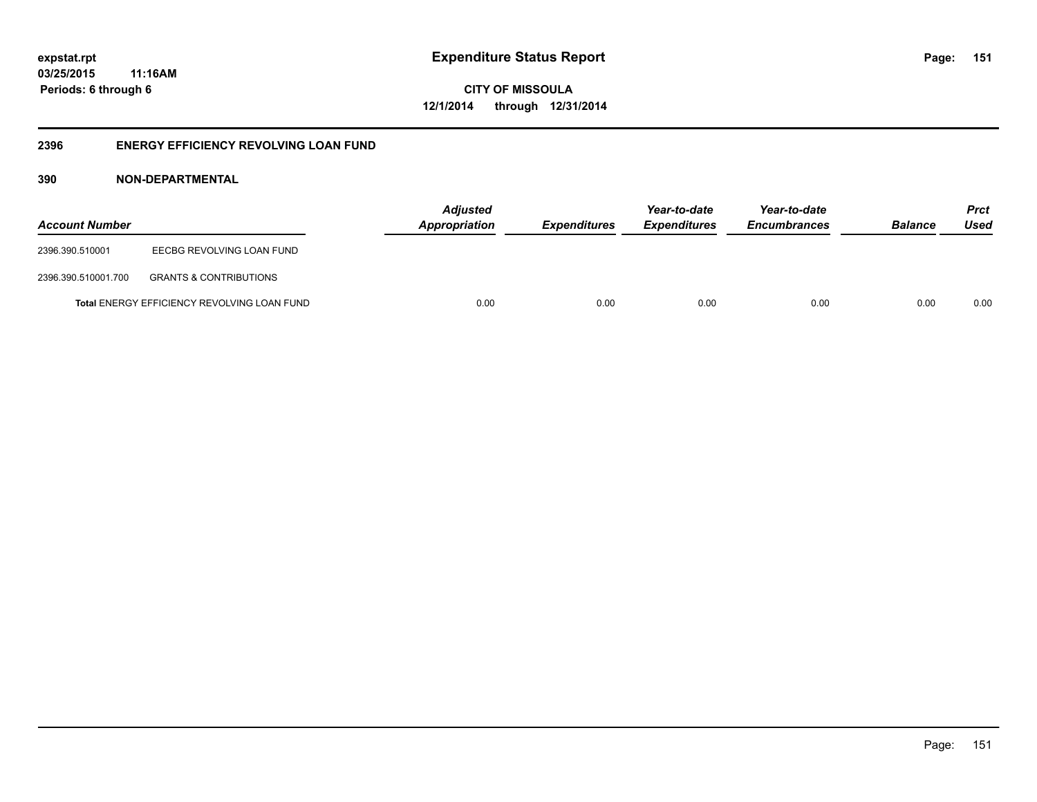**CITY OF MISSOULA 12/1/2014 through 12/31/2014**

## **2396 ENERGY EFFICIENCY REVOLVING LOAN FUND**

## **390 NON-DEPARTMENTAL**

| <b>Account Number</b> |                                                    | <b>Adjusted</b><br>Appropriation | <b>Expenditures</b> | Year-to-date<br><b>Expenditures</b> | Year-to-date<br><b>Encumbrances</b> | <b>Balance</b> | <b>Prct</b><br>Used |
|-----------------------|----------------------------------------------------|----------------------------------|---------------------|-------------------------------------|-------------------------------------|----------------|---------------------|
| 2396.390.510001       | EECBG REVOLVING LOAN FUND                          |                                  |                     |                                     |                                     |                |                     |
| 2396.390.510001.700   | <b>GRANTS &amp; CONTRIBUTIONS</b>                  |                                  |                     |                                     |                                     |                |                     |
|                       | <b>Total ENERGY EFFICIENCY REVOLVING LOAN FUND</b> | 0.00                             | 0.00                | 0.00                                | 0.00                                | 0.00           | 0.00                |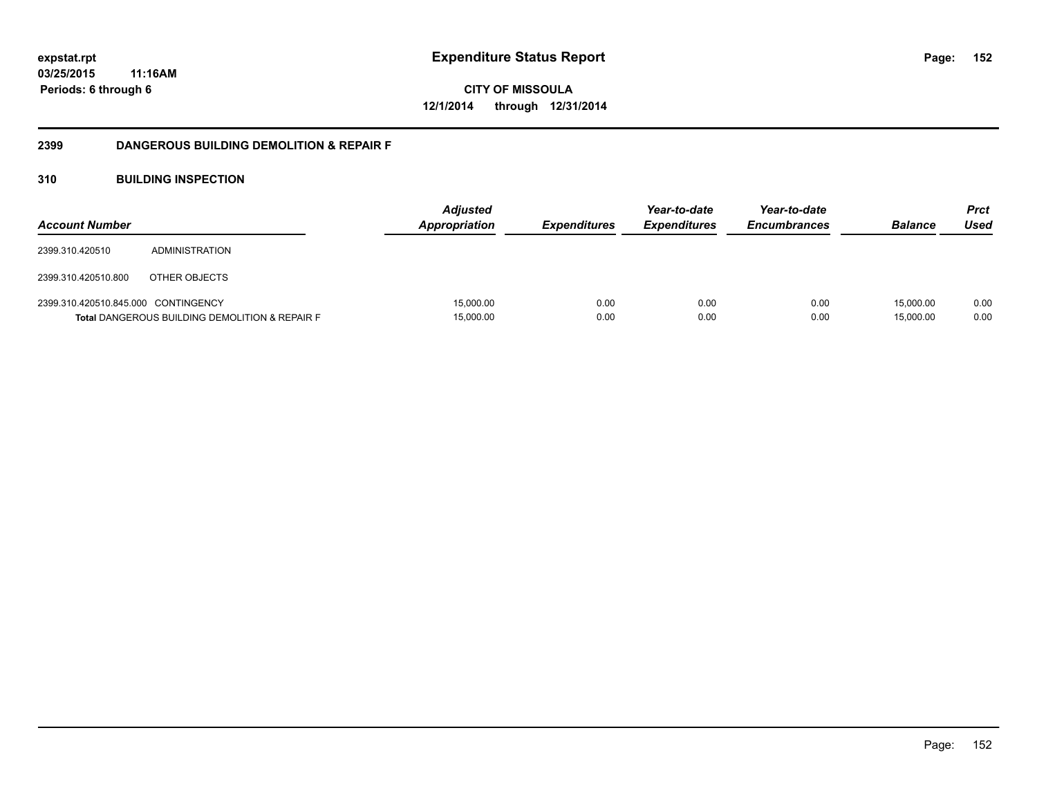**CITY OF MISSOULA 12/1/2014 through 12/31/2014**

## **2399 DANGEROUS BUILDING DEMOLITION & REPAIR F**

## **310 BUILDING INSPECTION**

| <b>Account Number</b>               |                                                           | <b>Adjusted</b><br>Appropriation | <i><b>Expenditures</b></i> | Year-to-date<br><b>Expenditures</b> | Year-to-date<br><b>Encumbrances</b> | <b>Balance</b>         | Prct<br>Used |
|-------------------------------------|-----------------------------------------------------------|----------------------------------|----------------------------|-------------------------------------|-------------------------------------|------------------------|--------------|
| 2399.310.420510                     | ADMINISTRATION                                            |                                  |                            |                                     |                                     |                        |              |
| 2399.310.420510.800                 | OTHER OBJECTS                                             |                                  |                            |                                     |                                     |                        |              |
| 2399.310.420510.845.000 CONTINGENCY | <b>Total DANGEROUS BUILDING DEMOLITION &amp; REPAIR F</b> | 15,000.00<br>15,000.00           | 0.00<br>0.00               | 0.00<br>0.00                        | 0.00<br>0.00                        | 15.000.00<br>15,000.00 | 0.00<br>0.00 |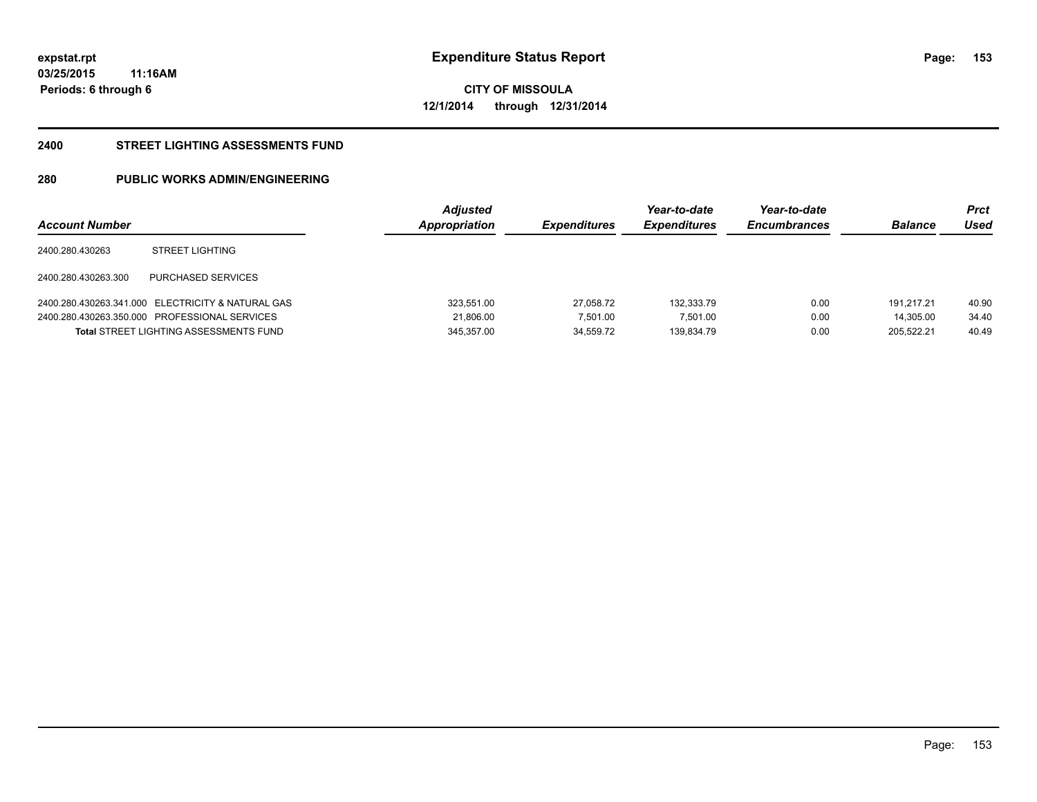**153**

**03/25/2015 11:16AM Periods: 6 through 6**

**CITY OF MISSOULA 12/1/2014 through 12/31/2014**

#### **2400 STREET LIGHTING ASSESSMENTS FUND**

# **280 PUBLIC WORKS ADMIN/ENGINEERING**

| <b>Account Number</b> |                                                   | <b>Adjusted</b><br>Appropriation | <b>Expenditures</b> | Year-to-date<br><b>Expenditures</b> | Year-to-date<br><b>Encumbrances</b> | <b>Balance</b> | Prct<br>Used |
|-----------------------|---------------------------------------------------|----------------------------------|---------------------|-------------------------------------|-------------------------------------|----------------|--------------|
| 2400.280.430263       | <b>STREET LIGHTING</b>                            |                                  |                     |                                     |                                     |                |              |
| 2400.280.430263.300   | PURCHASED SERVICES                                |                                  |                     |                                     |                                     |                |              |
|                       | 2400.280.430263.341.000 ELECTRICITY & NATURAL GAS | 323.551.00                       | 27.058.72           | 132.333.79                          | 0.00                                | 191.217.21     | 40.90        |
|                       | 2400.280.430263.350.000 PROFESSIONAL SERVICES     | 21.806.00                        | 7.501.00            | 7.501.00                            | 0.00                                | 14.305.00      | 34.40        |
|                       | <b>Total STREET LIGHTING ASSESSMENTS FUND</b>     | 345,357.00                       | 34.559.72           | 139.834.79                          | 0.00                                | 205.522.21     | 40.49        |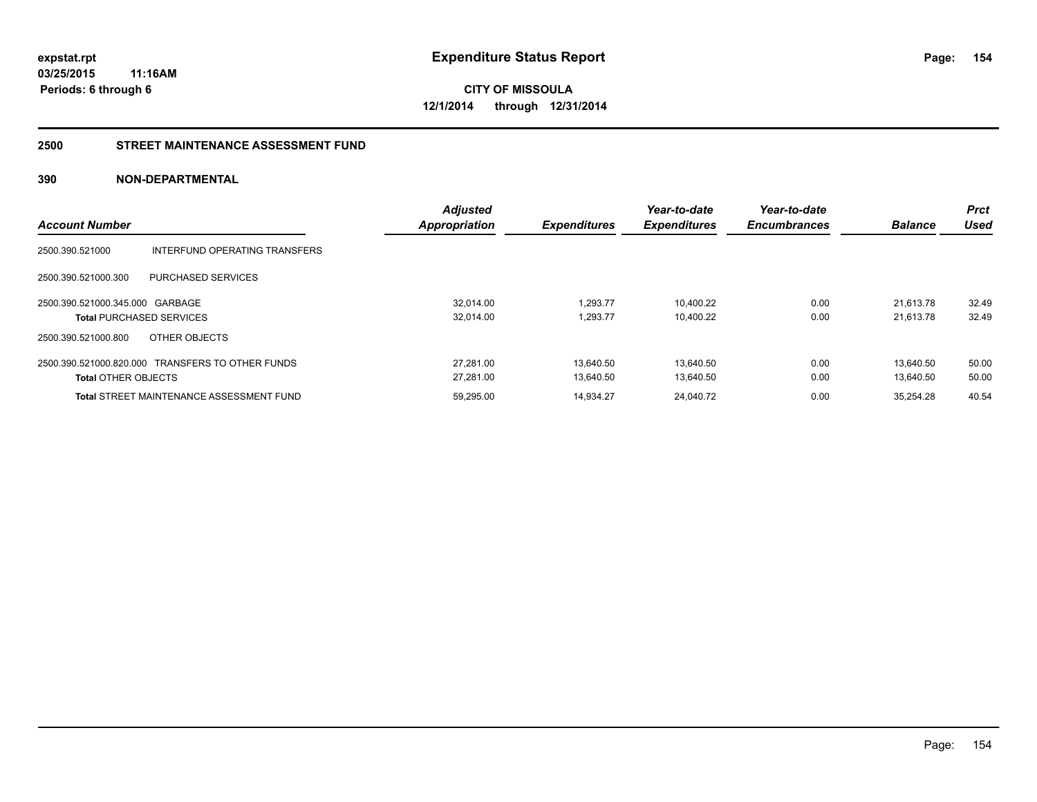**CITY OF MISSOULA 12/1/2014 through 12/31/2014**

#### **2500 STREET MAINTENANCE ASSESSMENT FUND**

## **390 NON-DEPARTMENTAL**

|                                 |                                                  | <b>Adjusted</b>      |                     | Year-to-date        | Year-to-date        |                | <b>Prct</b> |
|---------------------------------|--------------------------------------------------|----------------------|---------------------|---------------------|---------------------|----------------|-------------|
| <b>Account Number</b>           |                                                  | <b>Appropriation</b> | <b>Expenditures</b> | <b>Expenditures</b> | <b>Encumbrances</b> | <b>Balance</b> | Used        |
| 2500.390.521000                 | INTERFUND OPERATING TRANSFERS                    |                      |                     |                     |                     |                |             |
| 2500.390.521000.300             | PURCHASED SERVICES                               |                      |                     |                     |                     |                |             |
| 2500.390.521000.345.000 GARBAGE |                                                  | 32.014.00            | 1.293.77            | 10.400.22           | 0.00                | 21.613.78      | 32.49       |
|                                 | <b>Total PURCHASED SERVICES</b>                  | 32.014.00            | 1.293.77            | 10,400.22           | 0.00                | 21.613.78      | 32.49       |
| 2500.390.521000.800             | OTHER OBJECTS                                    |                      |                     |                     |                     |                |             |
|                                 | 2500.390.521000.820.000 TRANSFERS TO OTHER FUNDS | 27.281.00            | 13.640.50           | 13.640.50           | 0.00                | 13.640.50      | 50.00       |
| <b>Total OTHER OBJECTS</b>      |                                                  | 27.281.00            | 13.640.50           | 13.640.50           | 0.00                | 13.640.50      | 50.00       |
|                                 | <b>Total STREET MAINTENANCE ASSESSMENT FUND</b>  | 59.295.00            | 14.934.27           | 24.040.72           | 0.00                | 35.254.28      | 40.54       |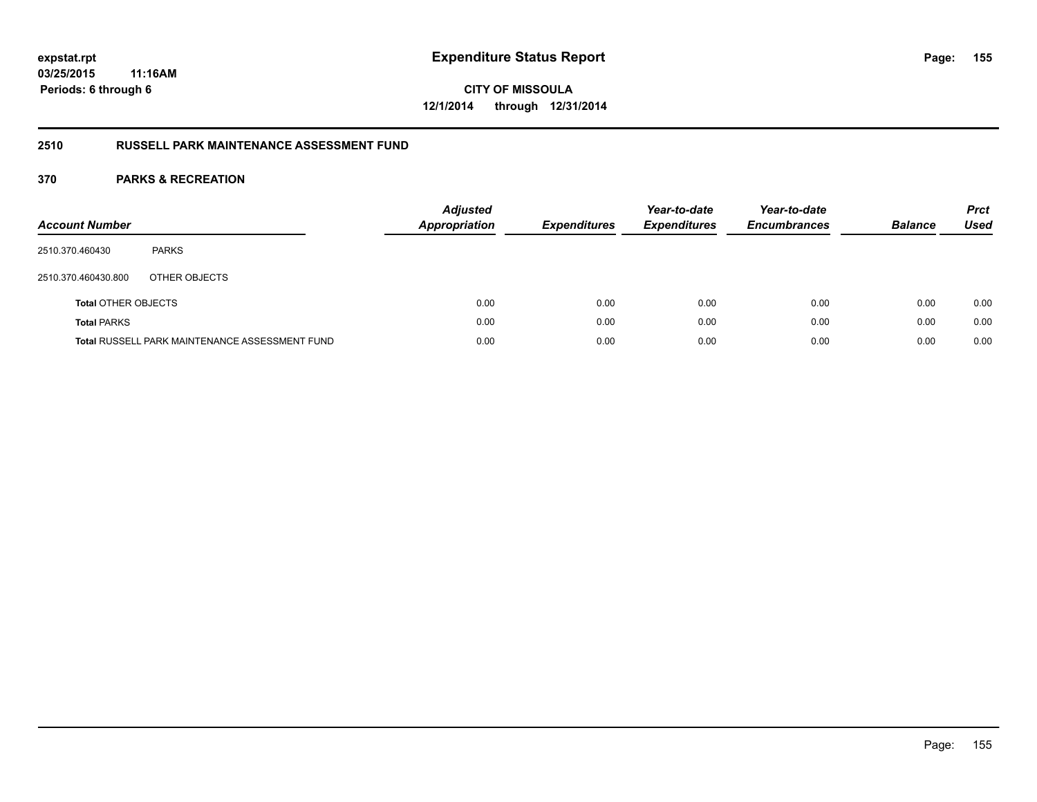**CITY OF MISSOULA 12/1/2014 through 12/31/2014**

## **2510 RUSSELL PARK MAINTENANCE ASSESSMENT FUND**

| <b>Account Number</b>      |                                                       | <b>Adjusted</b><br>Appropriation | <b>Expenditures</b> | Year-to-date<br><b>Expenditures</b> | Year-to-date<br><b>Encumbrances</b> | <b>Balance</b> | <b>Prct</b><br>Used |
|----------------------------|-------------------------------------------------------|----------------------------------|---------------------|-------------------------------------|-------------------------------------|----------------|---------------------|
| 2510.370.460430            | <b>PARKS</b>                                          |                                  |                     |                                     |                                     |                |                     |
| 2510.370.460430.800        | OTHER OBJECTS                                         |                                  |                     |                                     |                                     |                |                     |
| <b>Total OTHER OBJECTS</b> |                                                       | 0.00                             | 0.00                | 0.00                                | 0.00                                | 0.00           | 0.00                |
| <b>Total PARKS</b>         |                                                       | 0.00                             | 0.00                | 0.00                                | 0.00                                | 0.00           | 0.00                |
|                            | <b>Total RUSSELL PARK MAINTENANCE ASSESSMENT FUND</b> | 0.00                             | 0.00                | 0.00                                | 0.00                                | 0.00           | 0.00                |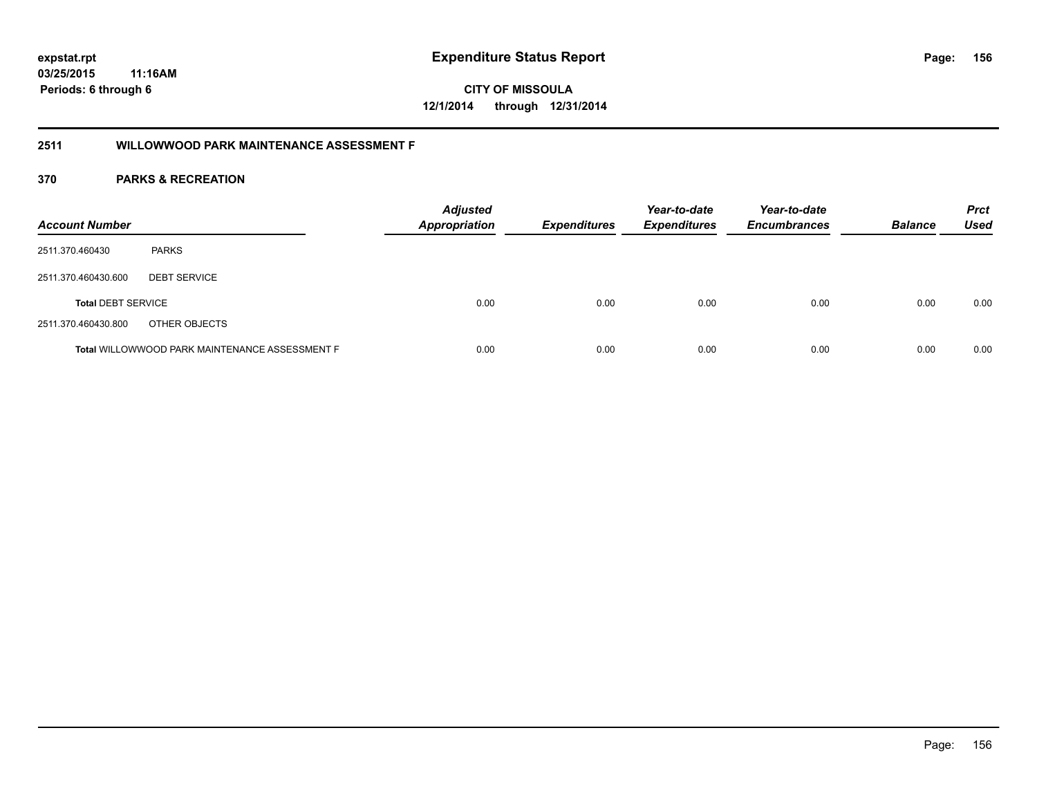**CITY OF MISSOULA 12/1/2014 through 12/31/2014**

## **2511 WILLOWWOOD PARK MAINTENANCE ASSESSMENT F**

| <b>Account Number</b>     |                                                       | <b>Adjusted</b><br><b>Appropriation</b> | <b>Expenditures</b> | Year-to-date<br><b>Expenditures</b> | Year-to-date<br><b>Encumbrances</b> | <b>Balance</b> | <b>Prct</b><br>Used |
|---------------------------|-------------------------------------------------------|-----------------------------------------|---------------------|-------------------------------------|-------------------------------------|----------------|---------------------|
| 2511.370.460430           | <b>PARKS</b>                                          |                                         |                     |                                     |                                     |                |                     |
| 2511.370.460430.600       | <b>DEBT SERVICE</b>                                   |                                         |                     |                                     |                                     |                |                     |
| <b>Total DEBT SERVICE</b> |                                                       | 0.00                                    | 0.00                | 0.00                                | 0.00                                | 0.00           | 0.00                |
| 2511.370.460430.800       | OTHER OBJECTS                                         |                                         |                     |                                     |                                     |                |                     |
|                           | <b>Total WILLOWWOOD PARK MAINTENANCE ASSESSMENT F</b> | 0.00                                    | 0.00                | 0.00                                | 0.00                                | 0.00           | 0.00                |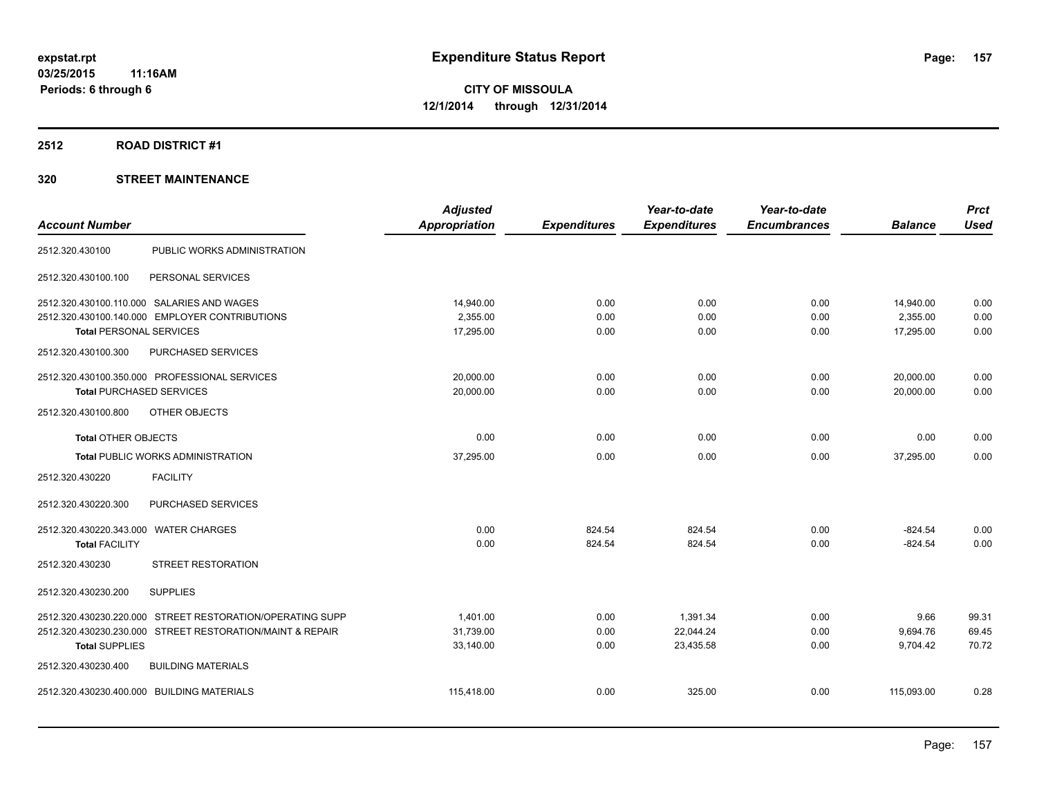#### **2512 ROAD DISTRICT #1**

## **320 STREET MAINTENANCE**

|                                            |                                                           | <b>Adjusted</b> |                     | Year-to-date        | Year-to-date        |                | <b>Prct</b> |
|--------------------------------------------|-----------------------------------------------------------|-----------------|---------------------|---------------------|---------------------|----------------|-------------|
| <b>Account Number</b>                      |                                                           | Appropriation   | <b>Expenditures</b> | <b>Expenditures</b> | <b>Encumbrances</b> | <b>Balance</b> | <b>Used</b> |
| 2512.320.430100                            | PUBLIC WORKS ADMINISTRATION                               |                 |                     |                     |                     |                |             |
| 2512.320.430100.100                        | PERSONAL SERVICES                                         |                 |                     |                     |                     |                |             |
|                                            | 2512.320.430100.110.000 SALARIES AND WAGES                | 14,940.00       | 0.00                | 0.00                | 0.00                | 14,940.00      | 0.00        |
|                                            | 2512.320.430100.140.000 EMPLOYER CONTRIBUTIONS            | 2.355.00        | 0.00                | 0.00                | 0.00                | 2,355.00       | 0.00        |
| <b>Total PERSONAL SERVICES</b>             |                                                           | 17,295.00       | 0.00                | 0.00                | 0.00                | 17,295.00      | 0.00        |
| 2512.320.430100.300                        | PURCHASED SERVICES                                        |                 |                     |                     |                     |                |             |
|                                            | 2512.320.430100.350.000 PROFESSIONAL SERVICES             | 20,000.00       | 0.00                | 0.00                | 0.00                | 20,000.00      | 0.00        |
| <b>Total PURCHASED SERVICES</b>            |                                                           | 20,000.00       | 0.00                | 0.00                | 0.00                | 20,000.00      | 0.00        |
| 2512.320.430100.800                        | OTHER OBJECTS                                             |                 |                     |                     |                     |                |             |
| <b>Total OTHER OBJECTS</b>                 |                                                           | 0.00            | 0.00                | 0.00                | 0.00                | 0.00           | 0.00        |
|                                            | <b>Total PUBLIC WORKS ADMINISTRATION</b>                  | 37,295.00       | 0.00                | 0.00                | 0.00                | 37,295.00      | 0.00        |
| 2512.320.430220                            | <b>FACILITY</b>                                           |                 |                     |                     |                     |                |             |
| 2512.320.430220.300                        | PURCHASED SERVICES                                        |                 |                     |                     |                     |                |             |
| 2512.320.430220.343.000                    | <b>WATER CHARGES</b>                                      | 0.00            | 824.54              | 824.54              | 0.00                | $-824.54$      | 0.00        |
| <b>Total FACILITY</b>                      |                                                           | 0.00            | 824.54              | 824.54              | 0.00                | $-824.54$      | 0.00        |
| 2512.320.430230                            | <b>STREET RESTORATION</b>                                 |                 |                     |                     |                     |                |             |
| 2512.320.430230.200                        | <b>SUPPLIES</b>                                           |                 |                     |                     |                     |                |             |
|                                            | 2512.320.430230.220.000 STREET RESTORATION/OPERATING SUPP | 1.401.00        | 0.00                | 1,391.34            | 0.00                | 9.66           | 99.31       |
|                                            | 2512.320.430230.230.000 STREET RESTORATION/MAINT & REPAIR | 31,739.00       | 0.00                | 22,044.24           | 0.00                | 9,694.76       | 69.45       |
| <b>Total SUPPLIES</b>                      |                                                           | 33,140.00       | 0.00                | 23,435.58           | 0.00                | 9,704.42       | 70.72       |
| 2512.320.430230.400                        | <b>BUILDING MATERIALS</b>                                 |                 |                     |                     |                     |                |             |
| 2512.320.430230.400.000 BUILDING MATERIALS |                                                           | 115,418.00      | 0.00                | 325.00              | 0.00                | 115,093.00     | 0.28        |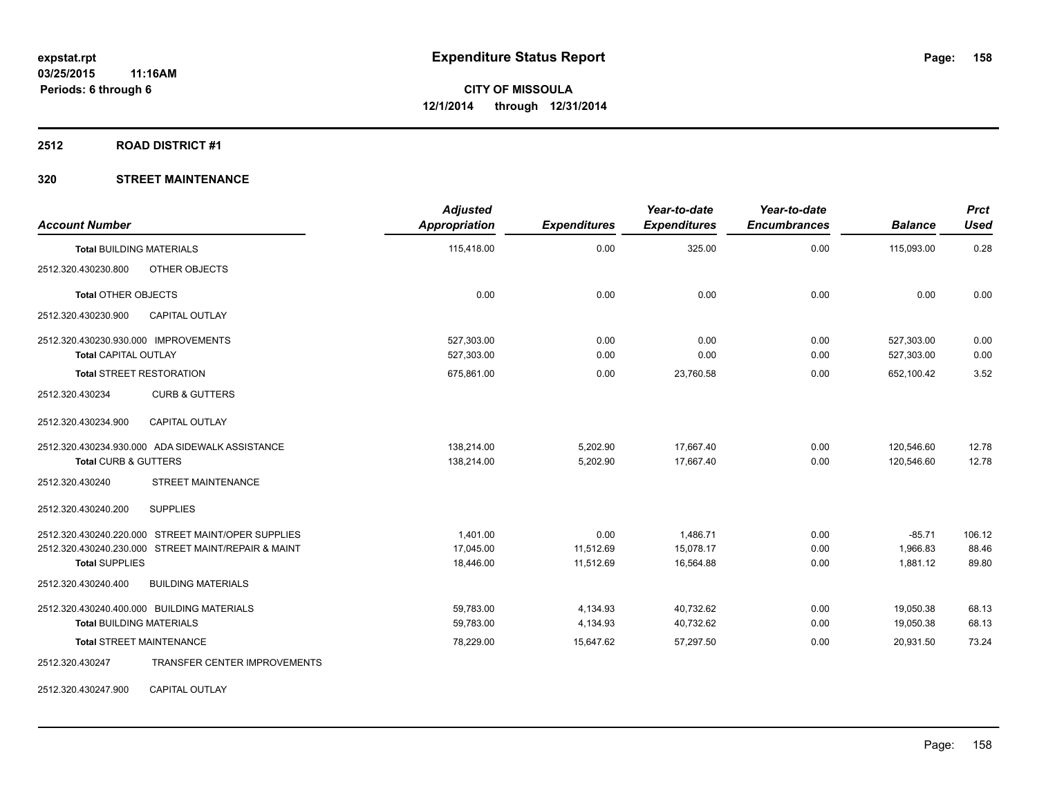#### **2512 ROAD DISTRICT #1**

## **320 STREET MAINTENANCE**

| <b>Account Number</b>                                  | <b>Adjusted</b><br>Appropriation | <b>Expenditures</b> | Year-to-date<br><b>Expenditures</b> | Year-to-date<br><b>Encumbrances</b> | <b>Balance</b> | <b>Prct</b><br><b>Used</b> |
|--------------------------------------------------------|----------------------------------|---------------------|-------------------------------------|-------------------------------------|----------------|----------------------------|
| <b>Total BUILDING MATERIALS</b>                        | 115,418.00                       | 0.00                | 325.00                              | 0.00                                | 115,093.00     | 0.28                       |
| OTHER OBJECTS<br>2512.320.430230.800                   |                                  |                     |                                     |                                     |                |                            |
| <b>Total OTHER OBJECTS</b>                             | 0.00                             | 0.00                | 0.00                                | 0.00                                | 0.00           | 0.00                       |
| 2512.320.430230.900<br><b>CAPITAL OUTLAY</b>           |                                  |                     |                                     |                                     |                |                            |
| 2512.320.430230.930.000 IMPROVEMENTS                   | 527.303.00                       | 0.00                | 0.00                                | 0.00                                | 527.303.00     | 0.00                       |
| <b>Total CAPITAL OUTLAY</b>                            | 527,303.00                       | 0.00                | 0.00                                | 0.00                                | 527,303.00     | 0.00                       |
| <b>Total STREET RESTORATION</b>                        | 675,861.00                       | 0.00                | 23,760.58                           | 0.00                                | 652,100.42     | 3.52                       |
| 2512.320.430234<br><b>CURB &amp; GUTTERS</b>           |                                  |                     |                                     |                                     |                |                            |
| CAPITAL OUTLAY<br>2512.320.430234.900                  |                                  |                     |                                     |                                     |                |                            |
| 2512.320.430234.930.000 ADA SIDEWALK ASSISTANCE        | 138,214.00                       | 5,202.90            | 17,667.40                           | 0.00                                | 120,546.60     | 12.78                      |
| <b>Total CURB &amp; GUTTERS</b>                        | 138,214.00                       | 5,202.90            | 17.667.40                           | 0.00                                | 120.546.60     | 12.78                      |
| <b>STREET MAINTENANCE</b><br>2512.320.430240           |                                  |                     |                                     |                                     |                |                            |
| <b>SUPPLIES</b><br>2512.320.430240.200                 |                                  |                     |                                     |                                     |                |                            |
| 2512.320.430240.220.000 STREET MAINT/OPER SUPPLIES     | 1,401.00                         | 0.00                | 1,486.71                            | 0.00                                | $-85.71$       | 106.12                     |
| 2512.320.430240.230.000 STREET MAINT/REPAIR & MAINT    | 17,045.00                        | 11,512.69           | 15,078.17                           | 0.00                                | 1,966.83       | 88.46                      |
| <b>Total SUPPLIES</b>                                  | 18,446.00                        | 11,512.69           | 16,564.88                           | 0.00                                | 1,881.12       | 89.80                      |
| 2512.320.430240.400<br><b>BUILDING MATERIALS</b>       |                                  |                     |                                     |                                     |                |                            |
| 2512.320.430240.400.000 BUILDING MATERIALS             | 59,783.00                        | 4,134.93            | 40,732.62                           | 0.00                                | 19,050.38      | 68.13                      |
| <b>Total BUILDING MATERIALS</b>                        | 59,783.00                        | 4,134.93            | 40,732.62                           | 0.00                                | 19,050.38      | 68.13                      |
| <b>Total STREET MAINTENANCE</b>                        | 78,229.00                        | 15,647.62           | 57,297.50                           | 0.00                                | 20,931.50      | 73.24                      |
| <b>TRANSFER CENTER IMPROVEMENTS</b><br>2512.320.430247 |                                  |                     |                                     |                                     |                |                            |

2512.320.430247.900 CAPITAL OUTLAY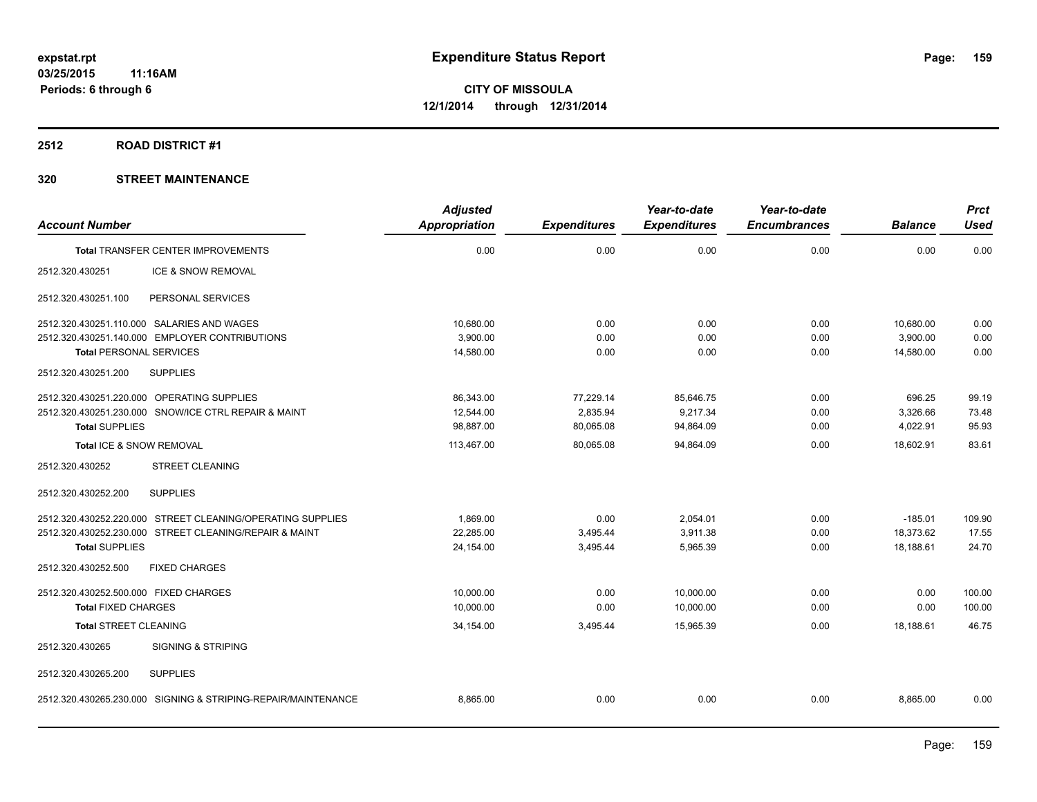#### **2512 ROAD DISTRICT #1**

## **320 STREET MAINTENANCE**

| <b>Account Number</b>                                |                                                               | <b>Adjusted</b><br>Appropriation | <b>Expenditures</b> | Year-to-date<br><b>Expenditures</b> | Year-to-date<br><b>Encumbrances</b> | <b>Balance</b> | <b>Prct</b><br><b>Used</b> |
|------------------------------------------------------|---------------------------------------------------------------|----------------------------------|---------------------|-------------------------------------|-------------------------------------|----------------|----------------------------|
|                                                      |                                                               |                                  |                     |                                     |                                     |                |                            |
| <b>Total TRANSFER CENTER IMPROVEMENTS</b>            |                                                               | 0.00                             | 0.00                | 0.00                                | 0.00                                | 0.00           | 0.00                       |
| 2512.320.430251                                      | ICE & SNOW REMOVAL                                            |                                  |                     |                                     |                                     |                |                            |
| 2512.320.430251.100                                  | PERSONAL SERVICES                                             |                                  |                     |                                     |                                     |                |                            |
| 2512.320.430251.110.000 SALARIES AND WAGES           |                                                               | 10.680.00                        | 0.00                | 0.00                                | 0.00                                | 10,680.00      | 0.00                       |
| 2512.320.430251.140.000 EMPLOYER CONTRIBUTIONS       |                                                               | 3.900.00                         | 0.00                | 0.00                                | 0.00                                | 3,900.00       | 0.00                       |
| <b>Total PERSONAL SERVICES</b>                       |                                                               | 14,580.00                        | 0.00                | 0.00                                | 0.00                                | 14,580.00      | 0.00                       |
| <b>SUPPLIES</b><br>2512.320.430251.200               |                                                               |                                  |                     |                                     |                                     |                |                            |
| 2512.320.430251.220.000 OPERATING SUPPLIES           |                                                               | 86,343.00                        | 77,229.14           | 85,646.75                           | 0.00                                | 696.25         | 99.19                      |
| 2512.320.430251.230.000 SNOW/ICE CTRL REPAIR & MAINT |                                                               | 12,544.00                        | 2.835.94            | 9,217.34                            | 0.00                                | 3,326.66       | 73.48                      |
| <b>Total SUPPLIES</b>                                |                                                               | 98,887.00                        | 80,065.08           | 94,864.09                           | 0.00                                | 4,022.91       | 95.93                      |
| Total ICE & SNOW REMOVAL                             |                                                               | 113,467.00                       | 80,065.08           | 94,864.09                           | 0.00                                | 18,602.91      | 83.61                      |
| 2512.320.430252                                      | <b>STREET CLEANING</b>                                        |                                  |                     |                                     |                                     |                |                            |
| <b>SUPPLIES</b><br>2512.320.430252.200               |                                                               |                                  |                     |                                     |                                     |                |                            |
|                                                      | 2512.320.430252.220.000 STREET CLEANING/OPERATING SUPPLIES    | 1,869.00                         | 0.00                | 2,054.01                            | 0.00                                | $-185.01$      | 109.90                     |
|                                                      | 2512.320.430252.230.000 STREET CLEANING/REPAIR & MAINT        | 22,285.00                        | 3,495.44            | 3,911.38                            | 0.00                                | 18,373.62      | 17.55                      |
| <b>Total SUPPLIES</b>                                |                                                               | 24,154.00                        | 3,495.44            | 5,965.39                            | 0.00                                | 18,188.61      | 24.70                      |
| 2512.320.430252.500                                  | <b>FIXED CHARGES</b>                                          |                                  |                     |                                     |                                     |                |                            |
| 2512.320.430252.500.000 FIXED CHARGES                |                                                               | 10,000.00                        | 0.00                | 10,000.00                           | 0.00                                | 0.00           | 100.00                     |
| <b>Total FIXED CHARGES</b>                           |                                                               | 10,000.00                        | 0.00                | 10,000.00                           | 0.00                                | 0.00           | 100.00                     |
| <b>Total STREET CLEANING</b>                         |                                                               | 34,154.00                        | 3,495.44            | 15,965.39                           | 0.00                                | 18,188.61      | 46.75                      |
| 2512.320.430265                                      | <b>SIGNING &amp; STRIPING</b>                                 |                                  |                     |                                     |                                     |                |                            |
| <b>SUPPLIES</b><br>2512.320.430265.200               |                                                               |                                  |                     |                                     |                                     |                |                            |
|                                                      | 2512.320.430265.230.000 SIGNING & STRIPING-REPAIR/MAINTENANCE | 8,865.00                         | 0.00                | 0.00                                | 0.00                                | 8,865.00       | 0.00                       |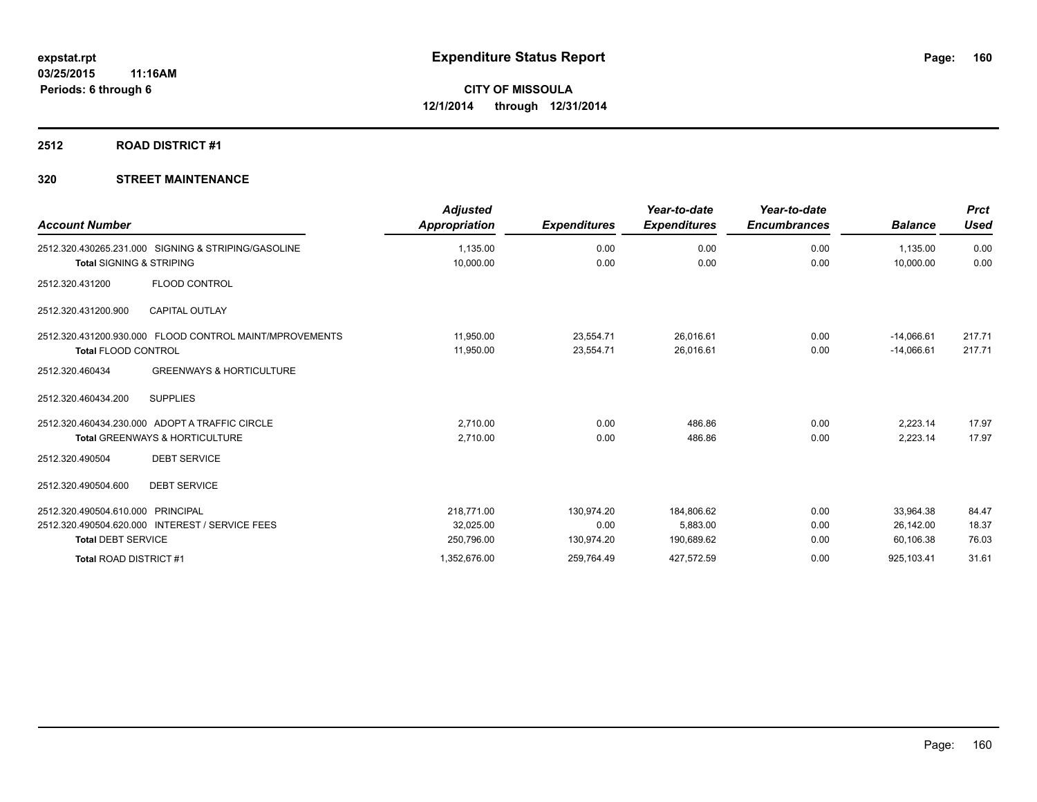# **2512 ROAD DISTRICT #1**

## **320 STREET MAINTENANCE**

| <b>Account Number</b>                                                                       | <b>Adjusted</b><br><b>Appropriation</b> | <b>Expenditures</b>    | Year-to-date<br><b>Expenditures</b> | Year-to-date<br><b>Encumbrances</b> | <b>Balance</b>               | <b>Prct</b><br><b>Used</b> |
|---------------------------------------------------------------------------------------------|-----------------------------------------|------------------------|-------------------------------------|-------------------------------------|------------------------------|----------------------------|
| 2512.320.430265.231.000 SIGNING & STRIPING/GASOLINE<br><b>Total SIGNING &amp; STRIPING</b>  | 1,135.00<br>10,000.00                   | 0.00<br>0.00           | 0.00<br>0.00                        | 0.00<br>0.00                        | 1,135.00<br>10,000.00        | 0.00<br>0.00               |
| <b>FLOOD CONTROL</b><br>2512.320.431200                                                     |                                         |                        |                                     |                                     |                              |                            |
| <b>CAPITAL OUTLAY</b><br>2512.320.431200.900                                                |                                         |                        |                                     |                                     |                              |                            |
| 2512.320.431200.930.000 FLOOD CONTROL MAINT/MPROVEMENTS<br><b>Total FLOOD CONTROL</b>       | 11,950.00<br>11,950.00                  | 23,554.71<br>23,554.71 | 26,016.61<br>26,016.61              | 0.00<br>0.00                        | $-14,066.61$<br>$-14,066.61$ | 217.71<br>217.71           |
| <b>GREENWAYS &amp; HORTICULTURE</b><br>2512.320.460434                                      |                                         |                        |                                     |                                     |                              |                            |
| 2512.320.460434.200<br><b>SUPPLIES</b>                                                      |                                         |                        |                                     |                                     |                              |                            |
| 2512.320.460434.230.000 ADOPT A TRAFFIC CIRCLE<br><b>Total GREENWAYS &amp; HORTICULTURE</b> | 2.710.00<br>2,710.00                    | 0.00<br>0.00           | 486.86<br>486.86                    | 0.00<br>0.00                        | 2.223.14<br>2,223.14         | 17.97<br>17.97             |
| <b>DEBT SERVICE</b><br>2512.320.490504                                                      |                                         |                        |                                     |                                     |                              |                            |
| <b>DEBT SERVICE</b><br>2512.320.490504.600                                                  |                                         |                        |                                     |                                     |                              |                            |
| 2512.320.490504.610.000 PRINCIPAL                                                           | 218.771.00                              | 130,974.20             | 184,806.62                          | 0.00                                | 33,964.38                    | 84.47                      |
| 2512.320.490504.620.000 INTEREST / SERVICE FEES                                             | 32,025.00                               | 0.00                   | 5,883.00                            | 0.00                                | 26,142.00                    | 18.37                      |
| <b>Total DEBT SERVICE</b>                                                                   | 250,796.00                              | 130,974.20             | 190,689.62                          | 0.00                                | 60,106.38                    | 76.03                      |
| Total ROAD DISTRICT #1                                                                      | 1,352,676.00                            | 259,764.49             | 427,572.59                          | 0.00                                | 925,103.41                   | 31.61                      |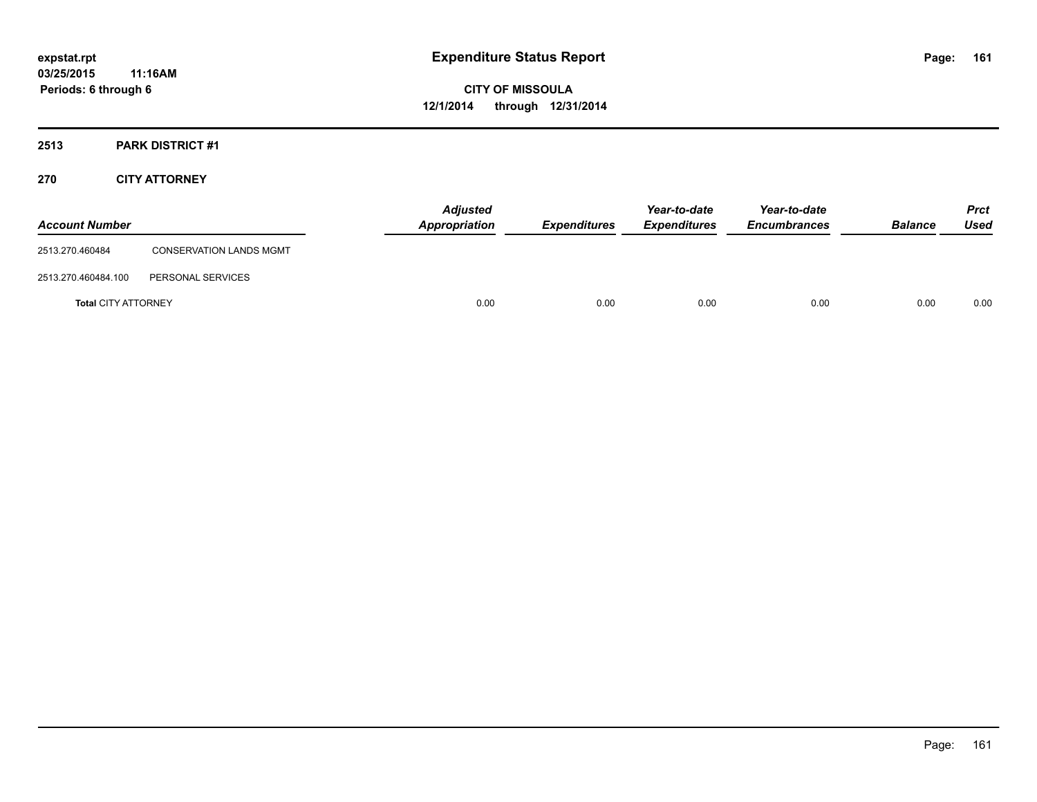# **2513 PARK DISTRICT #1**

## **270 CITY ATTORNEY**

| <b>Account Number</b>      |                                | <b>Adjusted</b><br>Appropriation | <b>Expenditures</b> | Year-to-date<br><b>Expenditures</b> | Year-to-date<br><b>Encumbrances</b> | <b>Balance</b> | <b>Prct</b><br>Used |
|----------------------------|--------------------------------|----------------------------------|---------------------|-------------------------------------|-------------------------------------|----------------|---------------------|
| 2513.270.460484            | <b>CONSERVATION LANDS MGMT</b> |                                  |                     |                                     |                                     |                |                     |
| 2513.270.460484.100        | PERSONAL SERVICES              |                                  |                     |                                     |                                     |                |                     |
| <b>Total CITY ATTORNEY</b> |                                | 0.00                             | 0.00                | 0.00                                | 0.00                                | 0.00           | 0.00                |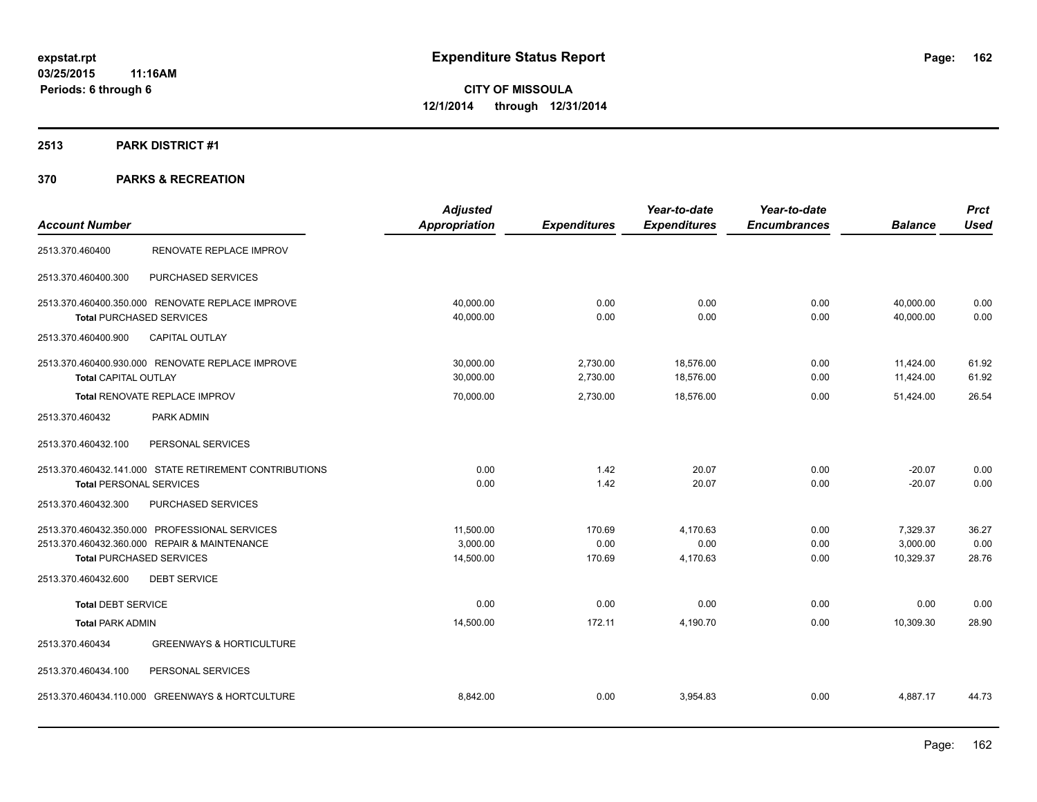#### **2513 PARK DISTRICT #1**

|                                 |                                                        | <b>Adjusted</b>      |                     | Year-to-date        | Year-to-date        |                | <b>Prct</b> |
|---------------------------------|--------------------------------------------------------|----------------------|---------------------|---------------------|---------------------|----------------|-------------|
| <b>Account Number</b>           |                                                        | <b>Appropriation</b> | <b>Expenditures</b> | <b>Expenditures</b> | <b>Encumbrances</b> | <b>Balance</b> | <b>Used</b> |
| 2513.370.460400                 | RENOVATE REPLACE IMPROV                                |                      |                     |                     |                     |                |             |
| 2513.370.460400.300             | PURCHASED SERVICES                                     |                      |                     |                     |                     |                |             |
|                                 | 2513.370.460400.350.000 RENOVATE REPLACE IMPROVE       | 40,000.00            | 0.00                | 0.00                | 0.00                | 40,000.00      | 0.00        |
| <b>Total PURCHASED SERVICES</b> |                                                        | 40,000.00            | 0.00                | 0.00                | 0.00                | 40.000.00      | 0.00        |
| 2513.370.460400.900             | <b>CAPITAL OUTLAY</b>                                  |                      |                     |                     |                     |                |             |
|                                 | 2513.370.460400.930.000 RENOVATE REPLACE IMPROVE       | 30,000.00            | 2,730.00            | 18,576.00           | 0.00                | 11,424.00      | 61.92       |
| <b>Total CAPITAL OUTLAY</b>     |                                                        | 30,000.00            | 2,730.00            | 18,576.00           | 0.00                | 11,424.00      | 61.92       |
|                                 | <b>Total RENOVATE REPLACE IMPROV</b>                   | 70,000.00            | 2,730.00            | 18,576.00           | 0.00                | 51,424.00      | 26.54       |
| 2513.370.460432                 | PARK ADMIN                                             |                      |                     |                     |                     |                |             |
| 2513.370.460432.100             | PERSONAL SERVICES                                      |                      |                     |                     |                     |                |             |
|                                 | 2513.370.460432.141.000 STATE RETIREMENT CONTRIBUTIONS | 0.00                 | 1.42                | 20.07               | 0.00                | $-20.07$       | 0.00        |
| <b>Total PERSONAL SERVICES</b>  |                                                        | 0.00                 | 1.42                | 20.07               | 0.00                | $-20.07$       | 0.00        |
| 2513.370.460432.300             | PURCHASED SERVICES                                     |                      |                     |                     |                     |                |             |
|                                 | 2513.370.460432.350.000 PROFESSIONAL SERVICES          | 11,500.00            | 170.69              | 4,170.63            | 0.00                | 7,329.37       | 36.27       |
|                                 | 2513.370.460432.360.000 REPAIR & MAINTENANCE           | 3,000.00             | 0.00                | 0.00                | 0.00                | 3,000.00       | 0.00        |
| <b>Total PURCHASED SERVICES</b> |                                                        | 14,500.00            | 170.69              | 4,170.63            | 0.00                | 10,329.37      | 28.76       |
| 2513.370.460432.600             | <b>DEBT SERVICE</b>                                    |                      |                     |                     |                     |                |             |
| <b>Total DEBT SERVICE</b>       |                                                        | 0.00                 | 0.00                | 0.00                | 0.00                | 0.00           | 0.00        |
| <b>Total PARK ADMIN</b>         |                                                        | 14,500.00            | 172.11              | 4,190.70            | 0.00                | 10,309.30      | 28.90       |
| 2513.370.460434                 | <b>GREENWAYS &amp; HORTICULTURE</b>                    |                      |                     |                     |                     |                |             |
| 2513.370.460434.100             | PERSONAL SERVICES                                      |                      |                     |                     |                     |                |             |
|                                 | 2513.370.460434.110.000 GREENWAYS & HORTCULTURE        | 8,842.00             | 0.00                | 3,954.83            | 0.00                | 4,887.17       | 44.73       |
|                                 |                                                        |                      |                     |                     |                     |                |             |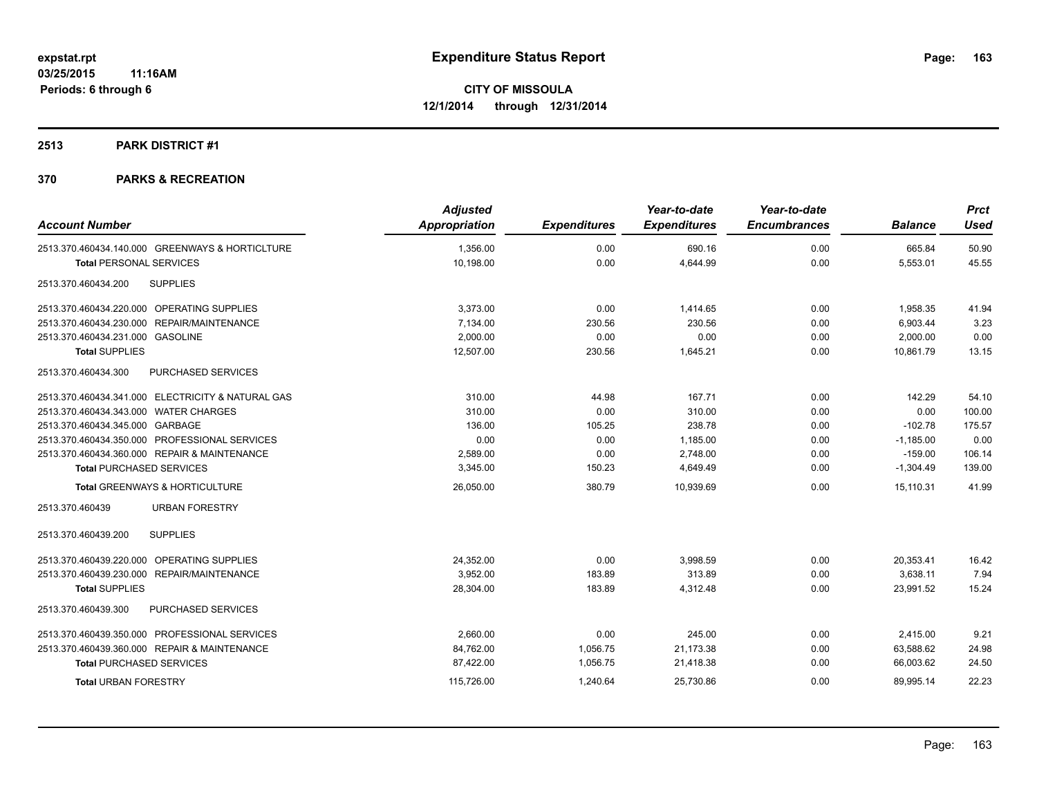#### **2513 PARK DISTRICT #1**

|                                                   | <b>Adjusted</b>      |                     | Year-to-date        | Year-to-date        |                | <b>Prct</b> |
|---------------------------------------------------|----------------------|---------------------|---------------------|---------------------|----------------|-------------|
| <b>Account Number</b>                             | <b>Appropriation</b> | <b>Expenditures</b> | <b>Expenditures</b> | <b>Encumbrances</b> | <b>Balance</b> | <b>Used</b> |
| 2513.370.460434.140.000 GREENWAYS & HORTICLTURE   | 1,356.00             | 0.00                | 690.16              | 0.00                | 665.84         | 50.90       |
| <b>Total PERSONAL SERVICES</b>                    | 10,198.00            | 0.00                | 4,644.99            | 0.00                | 5,553.01       | 45.55       |
| <b>SUPPLIES</b><br>2513.370.460434.200            |                      |                     |                     |                     |                |             |
| 2513.370.460434.220.000 OPERATING SUPPLIES        | 3,373.00             | 0.00                | 1,414.65            | 0.00                | 1,958.35       | 41.94       |
| 2513.370.460434.230.000 REPAIR/MAINTENANCE        | 7,134.00             | 230.56              | 230.56              | 0.00                | 6,903.44       | 3.23        |
| 2513.370.460434.231.000 GASOLINE                  | 2,000.00             | 0.00                | 0.00                | 0.00                | 2,000.00       | 0.00        |
| <b>Total SUPPLIES</b>                             | 12,507.00            | 230.56              | 1,645.21            | 0.00                | 10,861.79      | 13.15       |
| 2513.370.460434.300<br><b>PURCHASED SERVICES</b>  |                      |                     |                     |                     |                |             |
| 2513.370.460434.341.000 ELECTRICITY & NATURAL GAS | 310.00               | 44.98               | 167.71              | 0.00                | 142.29         | 54.10       |
| 2513.370.460434.343.000 WATER CHARGES             | 310.00               | 0.00                | 310.00              | 0.00                | 0.00           | 100.00      |
| 2513.370.460434.345.000 GARBAGE                   | 136.00               | 105.25              | 238.78              | 0.00                | $-102.78$      | 175.57      |
| 2513.370.460434.350.000 PROFESSIONAL SERVICES     | 0.00                 | 0.00                | 1,185.00            | 0.00                | $-1,185.00$    | 0.00        |
| 2513.370.460434.360.000 REPAIR & MAINTENANCE      | 2,589.00             | 0.00                | 2,748.00            | 0.00                | $-159.00$      | 106.14      |
| <b>Total PURCHASED SERVICES</b>                   | 3,345.00             | 150.23              | 4,649.49            | 0.00                | $-1,304.49$    | 139.00      |
| <b>Total GREENWAYS &amp; HORTICULTURE</b>         | 26,050.00            | 380.79              | 10,939.69           | 0.00                | 15,110.31      | 41.99       |
| 2513.370.460439<br><b>URBAN FORESTRY</b>          |                      |                     |                     |                     |                |             |
| <b>SUPPLIES</b><br>2513.370.460439.200            |                      |                     |                     |                     |                |             |
| 2513.370.460439.220.000 OPERATING SUPPLIES        | 24,352.00            | 0.00                | 3,998.59            | 0.00                | 20,353.41      | 16.42       |
| 2513.370.460439.230.000 REPAIR/MAINTENANCE        | 3,952.00             | 183.89              | 313.89              | 0.00                | 3,638.11       | 7.94        |
| <b>Total SUPPLIES</b>                             | 28,304.00            | 183.89              | 4,312.48            | 0.00                | 23,991.52      | 15.24       |
| PURCHASED SERVICES<br>2513.370.460439.300         |                      |                     |                     |                     |                |             |
| 2513.370.460439.350.000 PROFESSIONAL SERVICES     | 2,660.00             | 0.00                | 245.00              | 0.00                | 2,415.00       | 9.21        |
| 2513.370.460439.360.000 REPAIR & MAINTENANCE      | 84,762.00            | 1,056.75            | 21,173.38           | 0.00                | 63,588.62      | 24.98       |
| <b>Total PURCHASED SERVICES</b>                   | 87,422.00            | 1,056.75            | 21,418.38           | 0.00                | 66,003.62      | 24.50       |
| <b>Total URBAN FORESTRY</b>                       | 115,726.00           | 1,240.64            | 25,730.86           | 0.00                | 89,995.14      | 22.23       |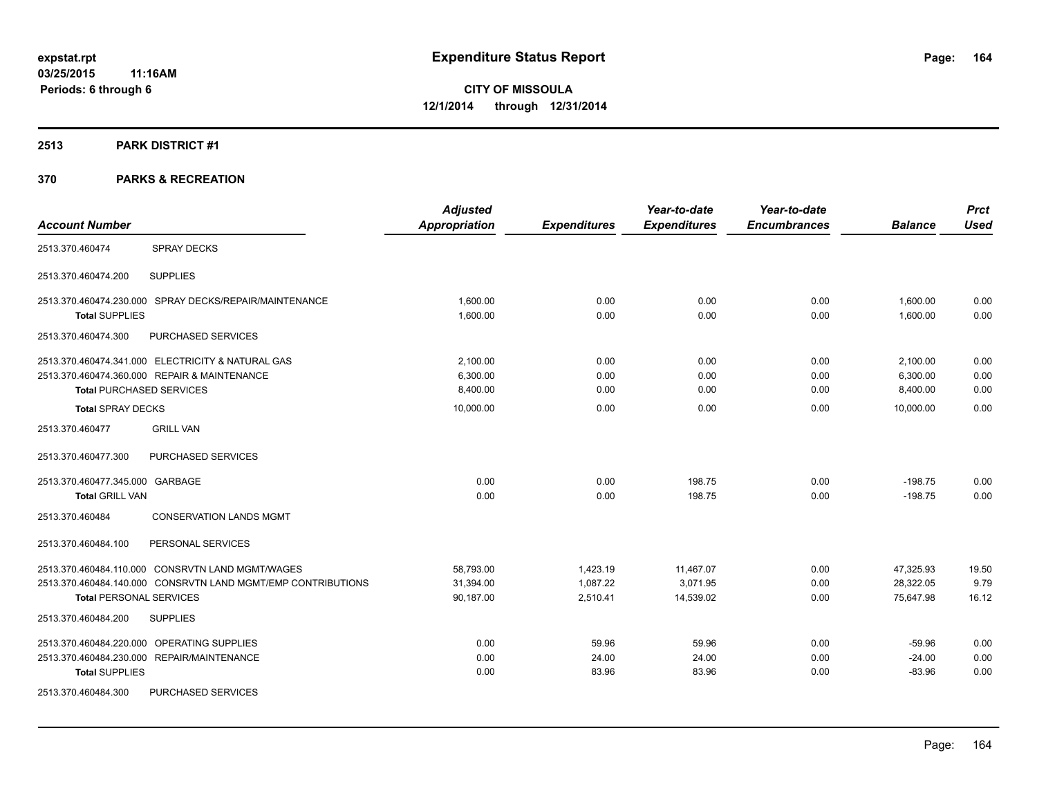#### **2513 PARK DISTRICT #1**

|                                 |                                                              | <b>Adjusted</b>      |                     | Year-to-date        | Year-to-date        |                | <b>Prct</b> |
|---------------------------------|--------------------------------------------------------------|----------------------|---------------------|---------------------|---------------------|----------------|-------------|
| <b>Account Number</b>           |                                                              | <b>Appropriation</b> | <b>Expenditures</b> | <b>Expenditures</b> | <b>Encumbrances</b> | <b>Balance</b> | <b>Used</b> |
| 2513.370.460474                 | <b>SPRAY DECKS</b>                                           |                      |                     |                     |                     |                |             |
| 2513.370.460474.200             | <b>SUPPLIES</b>                                              |                      |                     |                     |                     |                |             |
|                                 | 2513.370.460474.230.000 SPRAY DECKS/REPAIR/MAINTENANCE       | 1.600.00             | 0.00                | 0.00                | 0.00                | 1,600.00       | 0.00        |
| <b>Total SUPPLIES</b>           |                                                              | 1,600.00             | 0.00                | 0.00                | 0.00                | 1,600.00       | 0.00        |
| 2513.370.460474.300             | PURCHASED SERVICES                                           |                      |                     |                     |                     |                |             |
|                                 | 2513.370.460474.341.000 ELECTRICITY & NATURAL GAS            | 2,100.00             | 0.00                | 0.00                | 0.00                | 2,100.00       | 0.00        |
|                                 | 2513.370.460474.360.000 REPAIR & MAINTENANCE                 | 6,300.00             | 0.00                | 0.00                | 0.00                | 6,300.00       | 0.00        |
| <b>Total PURCHASED SERVICES</b> |                                                              | 8,400.00             | 0.00                | 0.00                | 0.00                | 8,400.00       | 0.00        |
| <b>Total SPRAY DECKS</b>        |                                                              | 10,000.00            | 0.00                | 0.00                | 0.00                | 10.000.00      | 0.00        |
| 2513.370.460477                 | <b>GRILL VAN</b>                                             |                      |                     |                     |                     |                |             |
| 2513.370.460477.300             | PURCHASED SERVICES                                           |                      |                     |                     |                     |                |             |
| 2513.370.460477.345.000 GARBAGE |                                                              | 0.00                 | 0.00                | 198.75              | 0.00                | $-198.75$      | 0.00        |
| <b>Total GRILL VAN</b>          |                                                              | 0.00                 | 0.00                | 198.75              | 0.00                | $-198.75$      | 0.00        |
| 2513.370.460484                 | <b>CONSERVATION LANDS MGMT</b>                               |                      |                     |                     |                     |                |             |
| 2513.370.460484.100             | PERSONAL SERVICES                                            |                      |                     |                     |                     |                |             |
|                                 | 2513.370.460484.110.000 CONSRVTN LAND MGMT/WAGES             | 58,793.00            | 1,423.19            | 11,467.07           | 0.00                | 47,325.93      | 19.50       |
|                                 | 2513.370.460484.140.000 CONSRVTN LAND MGMT/EMP CONTRIBUTIONS | 31,394.00            | 1,087.22            | 3,071.95            | 0.00                | 28,322.05      | 9.79        |
| <b>Total PERSONAL SERVICES</b>  |                                                              | 90,187.00            | 2,510.41            | 14,539.02           | 0.00                | 75,647.98      | 16.12       |
| 2513.370.460484.200             | <b>SUPPLIES</b>                                              |                      |                     |                     |                     |                |             |
|                                 | 2513.370.460484.220.000 OPERATING SUPPLIES                   | 0.00                 | 59.96               | 59.96               | 0.00                | $-59.96$       | 0.00        |
|                                 | 2513.370.460484.230.000 REPAIR/MAINTENANCE                   | 0.00                 | 24.00               | 24.00               | 0.00                | $-24.00$       | 0.00        |
| <b>Total SUPPLIES</b>           |                                                              | 0.00                 | 83.96               | 83.96               | 0.00                | $-83.96$       | 0.00        |
| 2513.370.460484.300             | PURCHASED SERVICES                                           |                      |                     |                     |                     |                |             |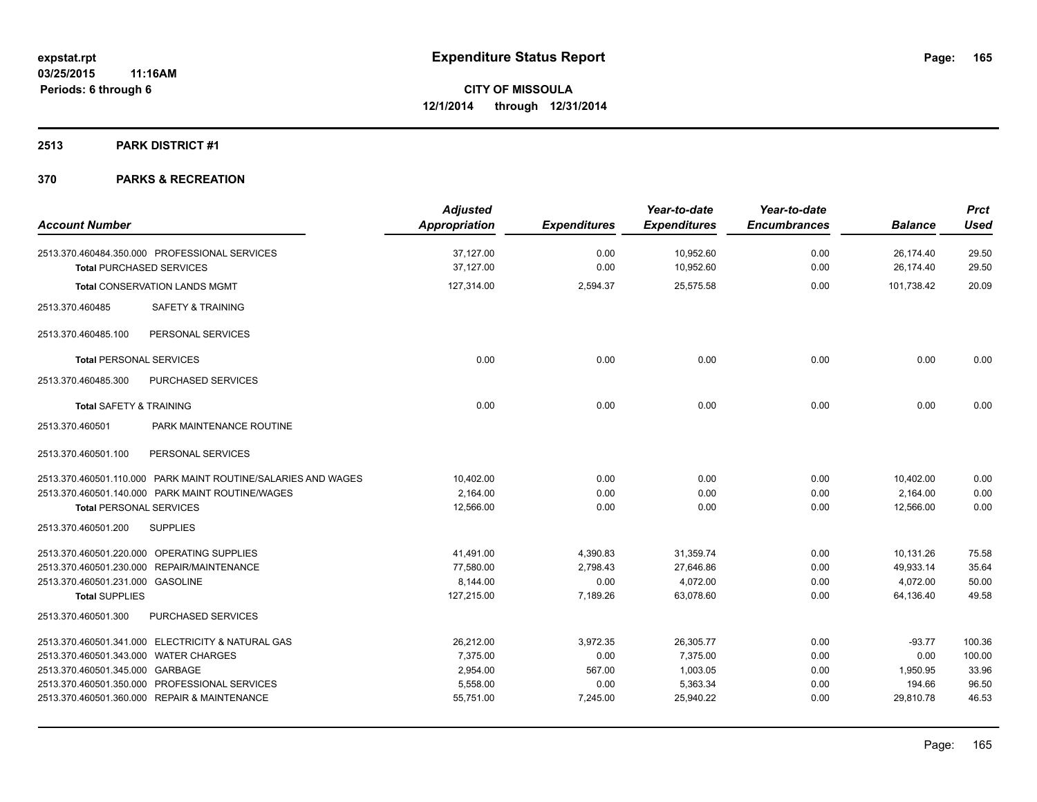#### **2513 PARK DISTRICT #1**

| <b>Account Number</b>                                                            | <b>Adjusted</b><br>Appropriation | <b>Expenditures</b> | Year-to-date<br><b>Expenditures</b> | Year-to-date<br><b>Encumbrances</b> | <b>Balance</b>         | <b>Prct</b><br><b>Used</b> |
|----------------------------------------------------------------------------------|----------------------------------|---------------------|-------------------------------------|-------------------------------------|------------------------|----------------------------|
| 2513.370.460484.350.000 PROFESSIONAL SERVICES<br><b>Total PURCHASED SERVICES</b> | 37,127.00<br>37.127.00           | 0.00<br>0.00        | 10,952.60<br>10,952.60              | 0.00<br>0.00                        | 26,174.40<br>26,174.40 | 29.50<br>29.50             |
| <b>Total CONSERVATION LANDS MGMT</b>                                             | 127,314.00                       | 2,594.37            | 25,575.58                           | 0.00                                | 101,738.42             | 20.09                      |
| 2513.370.460485<br>SAFETY & TRAINING                                             |                                  |                     |                                     |                                     |                        |                            |
| PERSONAL SERVICES<br>2513.370.460485.100                                         |                                  |                     |                                     |                                     |                        |                            |
| <b>Total PERSONAL SERVICES</b>                                                   | 0.00                             | 0.00                | 0.00                                | 0.00                                | 0.00                   | 0.00                       |
| 2513.370.460485.300<br>PURCHASED SERVICES                                        |                                  |                     |                                     |                                     |                        |                            |
| <b>Total SAFETY &amp; TRAINING</b>                                               | 0.00                             | 0.00                | 0.00                                | 0.00                                | 0.00                   | 0.00                       |
| 2513.370.460501<br>PARK MAINTENANCE ROUTINE                                      |                                  |                     |                                     |                                     |                        |                            |
| 2513.370.460501.100<br>PERSONAL SERVICES                                         |                                  |                     |                                     |                                     |                        |                            |
| 2513.370.460501.110.000 PARK MAINT ROUTINE/SALARIES AND WAGES                    | 10,402.00                        | 0.00                | 0.00                                | 0.00                                | 10,402.00              | 0.00                       |
| 2513.370.460501.140.000 PARK MAINT ROUTINE/WAGES                                 | 2,164.00                         | 0.00                | 0.00                                | 0.00                                | 2,164.00               | 0.00                       |
| <b>Total PERSONAL SERVICES</b>                                                   | 12,566.00                        | 0.00                | 0.00                                | 0.00                                | 12,566.00              | 0.00                       |
| 2513.370.460501.200<br><b>SUPPLIES</b>                                           |                                  |                     |                                     |                                     |                        |                            |
| 2513.370.460501.220.000 OPERATING SUPPLIES                                       | 41,491.00                        | 4,390.83            | 31,359.74                           | 0.00                                | 10,131.26              | 75.58                      |
| 2513.370.460501.230.000 REPAIR/MAINTENANCE                                       | 77.580.00                        | 2,798.43            | 27.646.86                           | 0.00                                | 49,933.14              | 35.64                      |
| 2513.370.460501.231.000 GASOLINE                                                 | 8,144.00                         | 0.00                | 4,072.00                            | 0.00                                | 4,072.00               | 50.00                      |
| <b>Total SUPPLIES</b>                                                            | 127,215.00                       | 7,189.26            | 63,078.60                           | 0.00                                | 64,136.40              | 49.58                      |
| 2513.370.460501.300<br><b>PURCHASED SERVICES</b>                                 |                                  |                     |                                     |                                     |                        |                            |
| 2513.370.460501.341.000 ELECTRICITY & NATURAL GAS                                | 26,212.00                        | 3,972.35            | 26,305.77                           | 0.00                                | $-93.77$               | 100.36                     |
| 2513.370.460501.343.000 WATER CHARGES                                            | 7,375.00                         | 0.00                | 7.375.00                            | 0.00                                | 0.00                   | 100.00                     |
| 2513.370.460501.345.000 GARBAGE                                                  | 2,954.00                         | 567.00              | 1,003.05                            | 0.00                                | 1,950.95               | 33.96                      |
| 2513.370.460501.350.000 PROFESSIONAL SERVICES                                    | 5,558.00                         | 0.00                | 5,363.34                            | 0.00                                | 194.66                 | 96.50                      |
| 2513.370.460501.360.000 REPAIR & MAINTENANCE                                     | 55,751.00                        | 7,245.00            | 25.940.22                           | 0.00                                | 29,810.78              | 46.53                      |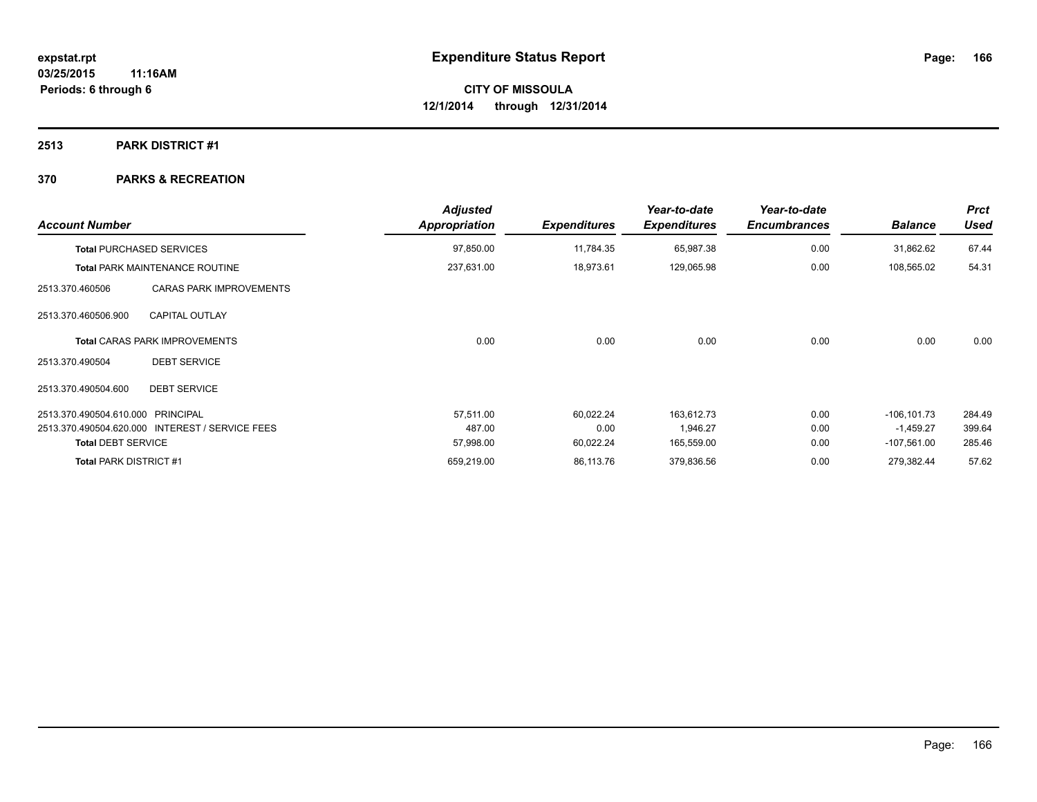#### **2513 PARK DISTRICT #1**

| <b>Account Number</b>                             | <b>Adjusted</b><br><b>Appropriation</b> | <b>Expenditures</b> | Year-to-date<br><b>Expenditures</b> | Year-to-date<br><b>Encumbrances</b> | <b>Balance</b> | <b>Prct</b><br><b>Used</b> |
|---------------------------------------------------|-----------------------------------------|---------------------|-------------------------------------|-------------------------------------|----------------|----------------------------|
| <b>Total PURCHASED SERVICES</b>                   | 97,850.00                               | 11,784.35           | 65,987.38                           | 0.00                                | 31,862.62      | 67.44                      |
| <b>Total PARK MAINTENANCE ROUTINE</b>             | 237,631.00                              | 18,973.61           | 129,065.98                          | 0.00                                | 108,565.02     | 54.31                      |
| <b>CARAS PARK IMPROVEMENTS</b><br>2513.370.460506 |                                         |                     |                                     |                                     |                |                            |
| <b>CAPITAL OUTLAY</b><br>2513.370.460506.900      |                                         |                     |                                     |                                     |                |                            |
| <b>Total CARAS PARK IMPROVEMENTS</b>              | 0.00                                    | 0.00                | 0.00                                | 0.00                                | 0.00           | 0.00                       |
| <b>DEBT SERVICE</b><br>2513.370.490504            |                                         |                     |                                     |                                     |                |                            |
| <b>DEBT SERVICE</b><br>2513.370.490504.600        |                                         |                     |                                     |                                     |                |                            |
| 2513.370.490504.610.000 PRINCIPAL                 | 57,511.00                               | 60,022.24           | 163,612.73                          | 0.00                                | $-106, 101.73$ | 284.49                     |
| 2513.370.490504.620.000 INTEREST / SERVICE FEES   | 487.00                                  | 0.00                | 1,946.27                            | 0.00                                | $-1,459.27$    | 399.64                     |
| <b>Total DEBT SERVICE</b>                         | 57,998.00                               | 60,022.24           | 165,559.00                          | 0.00                                | $-107,561.00$  | 285.46                     |
| <b>Total PARK DISTRICT #1</b>                     | 659,219.00                              | 86,113.76           | 379,836.56                          | 0.00                                | 279,382.44     | 57.62                      |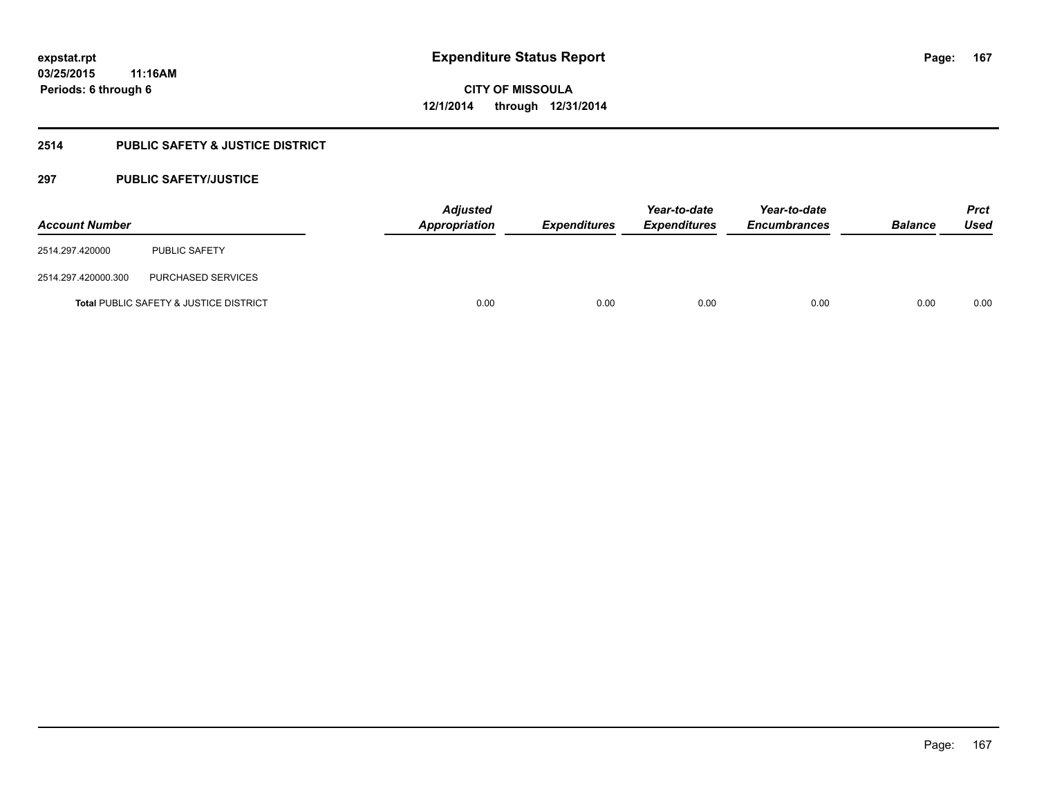# **2514 PUBLIC SAFETY & JUSTICE DISTRICT**

# **297 PUBLIC SAFETY/JUSTICE**

| <b>Account Number</b> |                                                   | <b>Adjusted</b><br>Appropriation | <b>Expenditures</b> | Year-to-date<br><b>Expenditures</b> | Year-to-date<br><b>Encumbrances</b> | <b>Balance</b> | <b>Prct</b><br><b>Used</b> |
|-----------------------|---------------------------------------------------|----------------------------------|---------------------|-------------------------------------|-------------------------------------|----------------|----------------------------|
| 2514.297.420000       | <b>PUBLIC SAFETY</b>                              |                                  |                     |                                     |                                     |                |                            |
| 2514.297.420000.300   | PURCHASED SERVICES                                |                                  |                     |                                     |                                     |                |                            |
|                       | <b>Total PUBLIC SAFETY &amp; JUSTICE DISTRICT</b> | 0.00                             | 0.00                | 0.00                                | 0.00                                | 0.00           | 0.00                       |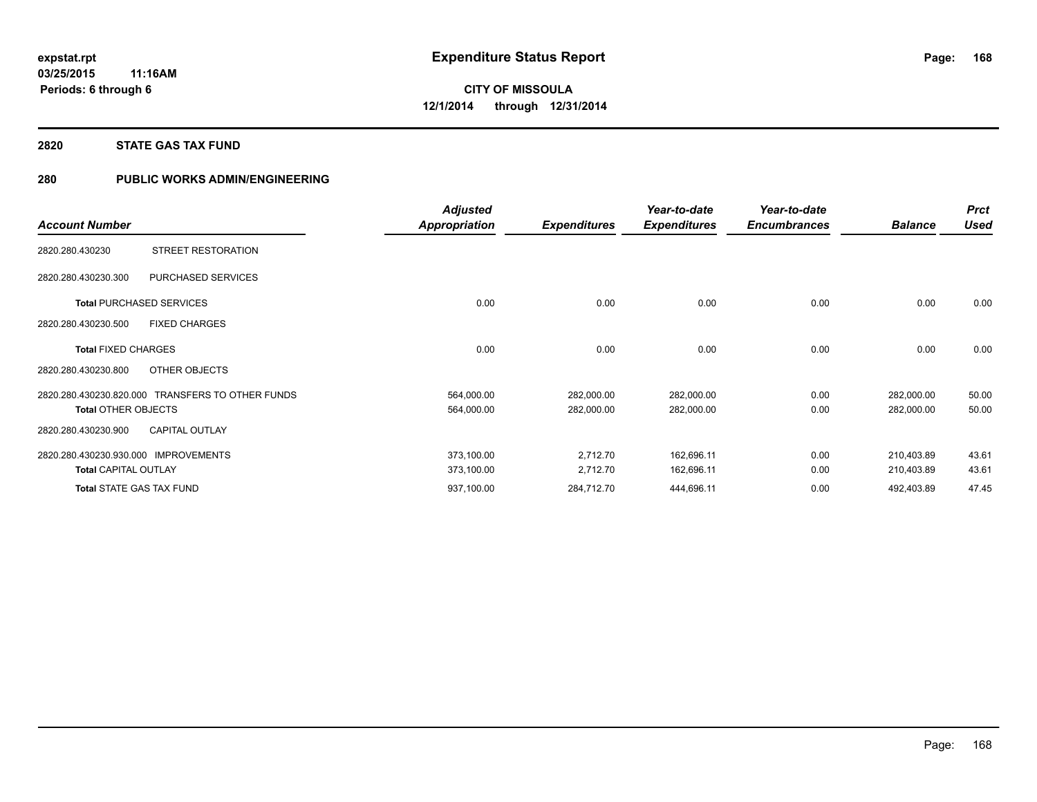#### **2820 STATE GAS TAX FUND**

# **280 PUBLIC WORKS ADMIN/ENGINEERING**

|                                 |                                                  | <b>Adjusted</b> |                     | Year-to-date        | Year-to-date        |                | <b>Prct</b> |
|---------------------------------|--------------------------------------------------|-----------------|---------------------|---------------------|---------------------|----------------|-------------|
| <b>Account Number</b>           |                                                  | Appropriation   | <b>Expenditures</b> | <b>Expenditures</b> | <b>Encumbrances</b> | <b>Balance</b> | <b>Used</b> |
| 2820.280.430230                 | <b>STREET RESTORATION</b>                        |                 |                     |                     |                     |                |             |
| 2820.280.430230.300             | PURCHASED SERVICES                               |                 |                     |                     |                     |                |             |
|                                 | <b>Total PURCHASED SERVICES</b>                  | 0.00            | 0.00                | 0.00                | 0.00                | 0.00           | 0.00        |
| 2820.280.430230.500             | <b>FIXED CHARGES</b>                             |                 |                     |                     |                     |                |             |
| <b>Total FIXED CHARGES</b>      |                                                  | 0.00            | 0.00                | 0.00                | 0.00                | 0.00           | 0.00        |
| 2820.280.430230.800             | OTHER OBJECTS                                    |                 |                     |                     |                     |                |             |
|                                 | 2820.280.430230.820.000 TRANSFERS TO OTHER FUNDS | 564,000.00      | 282,000.00          | 282,000.00          | 0.00                | 282,000.00     | 50.00       |
| <b>Total OTHER OBJECTS</b>      |                                                  | 564,000.00      | 282,000.00          | 282,000.00          | 0.00                | 282,000.00     | 50.00       |
| 2820.280.430230.900             | <b>CAPITAL OUTLAY</b>                            |                 |                     |                     |                     |                |             |
| 2820.280.430230.930.000         | <b>IMPROVEMENTS</b>                              | 373,100.00      | 2,712.70            | 162,696.11          | 0.00                | 210,403.89     | 43.61       |
| <b>Total CAPITAL OUTLAY</b>     |                                                  | 373,100.00      | 2,712.70            | 162,696.11          | 0.00                | 210,403.89     | 43.61       |
| <b>Total STATE GAS TAX FUND</b> |                                                  | 937,100.00      | 284,712.70          | 444,696.11          | 0.00                | 492,403.89     | 47.45       |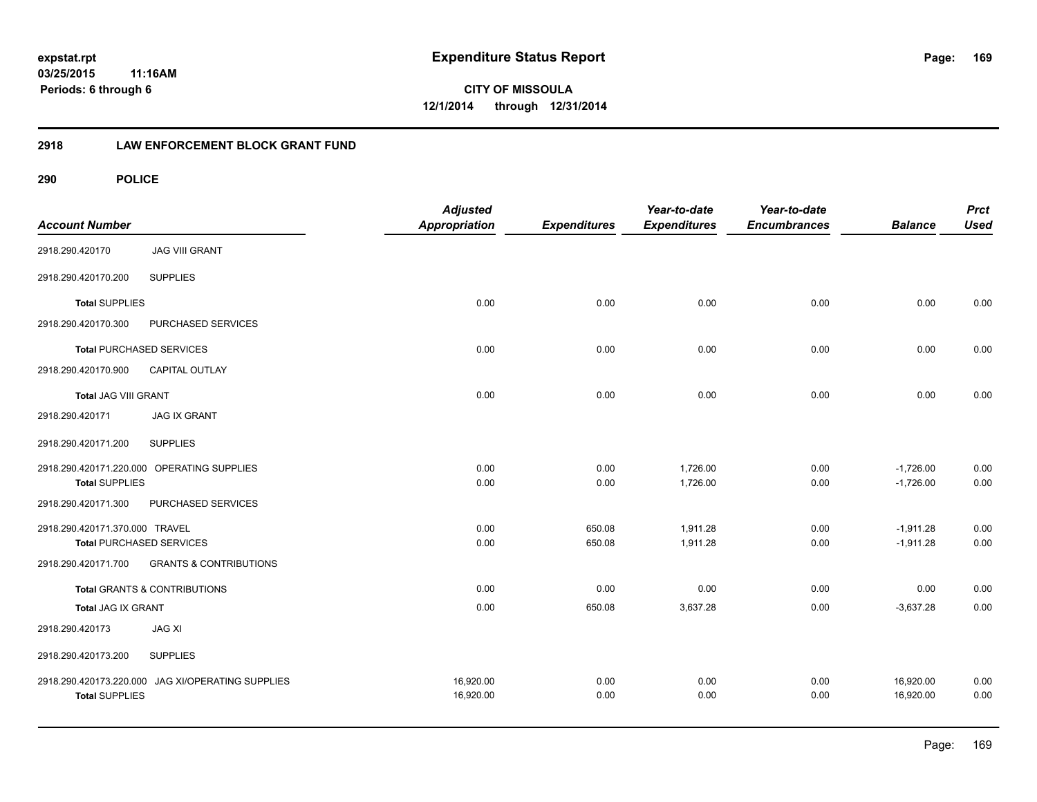**169**

**CITY OF MISSOULA 12/1/2014 through 12/31/2014**

## **2918 LAW ENFORCEMENT BLOCK GRANT FUND**

| <b>Account Number</b>          |                                            | <b>Adjusted</b><br><b>Appropriation</b> | <b>Expenditures</b> | Year-to-date<br><b>Expenditures</b> | Year-to-date<br><b>Encumbrances</b> | <b>Balance</b> | <b>Prct</b><br><b>Used</b> |
|--------------------------------|--------------------------------------------|-----------------------------------------|---------------------|-------------------------------------|-------------------------------------|----------------|----------------------------|
| 2918.290.420170                | <b>JAG VIII GRANT</b>                      |                                         |                     |                                     |                                     |                |                            |
| 2918.290.420170.200            | <b>SUPPLIES</b>                            |                                         |                     |                                     |                                     |                |                            |
| <b>Total SUPPLIES</b>          |                                            | 0.00                                    | 0.00                | 0.00                                | 0.00                                | 0.00           | 0.00                       |
| 2918.290.420170.300            | PURCHASED SERVICES                         |                                         |                     |                                     |                                     |                |                            |
|                                | <b>Total PURCHASED SERVICES</b>            | 0.00                                    | 0.00                | 0.00                                | 0.00                                | 0.00           | 0.00                       |
| 2918.290.420170.900            | CAPITAL OUTLAY                             |                                         |                     |                                     |                                     |                |                            |
| <b>Total JAG VIII GRANT</b>    |                                            | 0.00                                    | 0.00                | 0.00                                | 0.00                                | 0.00           | 0.00                       |
| 2918.290.420171                | <b>JAG IX GRANT</b>                        |                                         |                     |                                     |                                     |                |                            |
| 2918.290.420171.200            | <b>SUPPLIES</b>                            |                                         |                     |                                     |                                     |                |                            |
|                                | 2918.290.420171.220.000 OPERATING SUPPLIES | 0.00                                    | 0.00                | 1,726.00                            | 0.00                                | $-1,726.00$    | 0.00                       |
| <b>Total SUPPLIES</b>          |                                            | 0.00                                    | 0.00                | 1,726.00                            | 0.00                                | $-1,726.00$    | 0.00                       |
| 2918.290.420171.300            | PURCHASED SERVICES                         |                                         |                     |                                     |                                     |                |                            |
| 2918.290.420171.370.000 TRAVEL |                                            | 0.00                                    | 650.08              | 1,911.28                            | 0.00                                | $-1,911.28$    | 0.00                       |
|                                | <b>Total PURCHASED SERVICES</b>            | 0.00                                    | 650.08              | 1,911.28                            | 0.00                                | $-1,911.28$    | 0.00                       |
| 2918.290.420171.700            | <b>GRANTS &amp; CONTRIBUTIONS</b>          |                                         |                     |                                     |                                     |                |                            |
|                                | Total GRANTS & CONTRIBUTIONS               | 0.00                                    | 0.00                | 0.00                                | 0.00                                | 0.00           | 0.00                       |
| <b>Total JAG IX GRANT</b>      |                                            | 0.00                                    | 650.08              | 3,637.28                            | 0.00                                | $-3,637.28$    | 0.00                       |
| 2918.290.420173                | <b>JAG XI</b>                              |                                         |                     |                                     |                                     |                |                            |
| 2918.290.420173.200            | <b>SUPPLIES</b>                            |                                         |                     |                                     |                                     |                |                            |
| 2918.290.420173.220.000        | JAG XI/OPERATING SUPPLIES                  | 16,920.00                               | 0.00                | 0.00                                | 0.00                                | 16,920.00      | 0.00                       |
| <b>Total SUPPLIES</b>          |                                            | 16,920.00                               | 0.00                | 0.00                                | 0.00                                | 16,920.00      | 0.00                       |
|                                |                                            |                                         |                     |                                     |                                     |                |                            |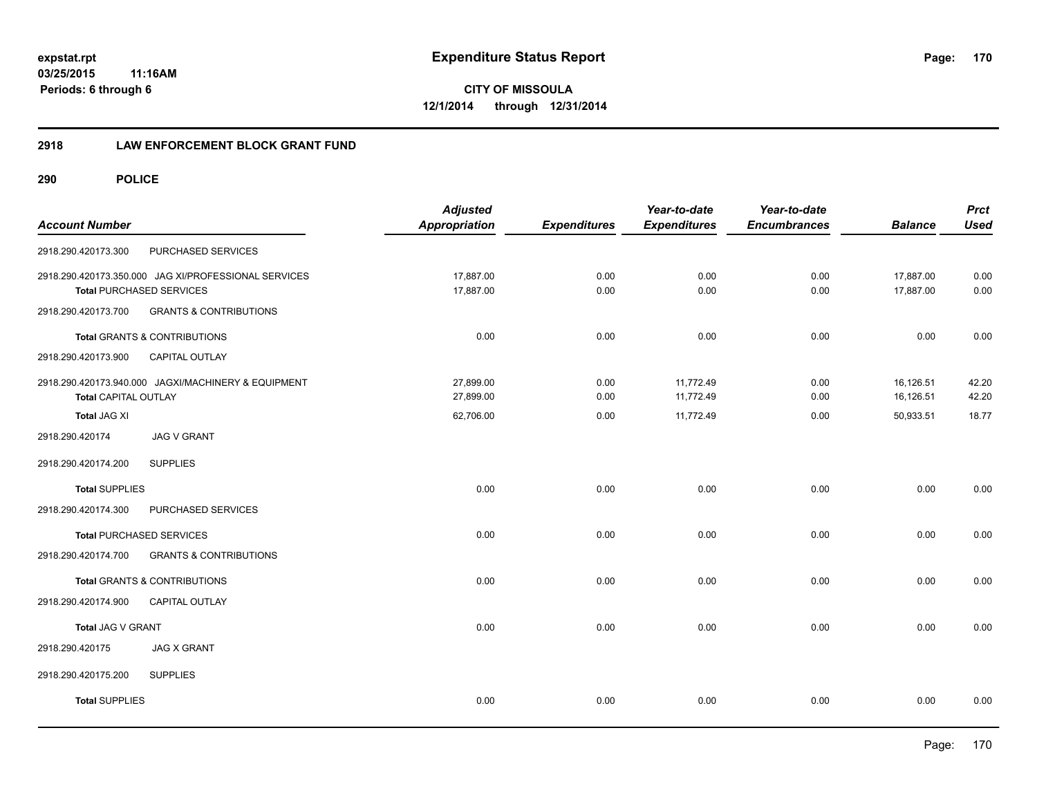## **2918 LAW ENFORCEMENT BLOCK GRANT FUND**

| <b>Account Number</b>       |                                                                                         | <b>Adjusted</b><br><b>Appropriation</b> | <b>Expenditures</b> | Year-to-date<br><b>Expenditures</b> | Year-to-date<br><b>Encumbrances</b> | <b>Balance</b>         | <b>Prct</b><br><b>Used</b> |
|-----------------------------|-----------------------------------------------------------------------------------------|-----------------------------------------|---------------------|-------------------------------------|-------------------------------------|------------------------|----------------------------|
| 2918.290.420173.300         | PURCHASED SERVICES                                                                      |                                         |                     |                                     |                                     |                        |                            |
|                             | 2918.290.420173.350.000 JAG XI/PROFESSIONAL SERVICES<br><b>Total PURCHASED SERVICES</b> | 17,887.00<br>17,887.00                  | 0.00<br>0.00        | 0.00<br>0.00                        | 0.00<br>0.00                        | 17,887.00<br>17,887.00 | 0.00<br>0.00               |
| 2918.290.420173.700         | <b>GRANTS &amp; CONTRIBUTIONS</b>                                                       |                                         |                     |                                     |                                     |                        |                            |
|                             | Total GRANTS & CONTRIBUTIONS                                                            | 0.00                                    | 0.00                | 0.00                                | 0.00                                | 0.00                   | 0.00                       |
| 2918.290.420173.900         | CAPITAL OUTLAY                                                                          |                                         |                     |                                     |                                     |                        |                            |
| <b>Total CAPITAL OUTLAY</b> | 2918.290.420173.940.000 JAGXI/MACHINERY & EQUIPMENT                                     | 27,899.00<br>27,899.00                  | 0.00<br>0.00        | 11,772.49<br>11,772.49              | 0.00<br>0.00                        | 16,126.51<br>16,126.51 | 42.20<br>42.20             |
| <b>Total JAG XI</b>         |                                                                                         | 62,706.00                               | 0.00                | 11,772.49                           | 0.00                                | 50,933.51              | 18.77                      |
| 2918.290.420174             | <b>JAG V GRANT</b>                                                                      |                                         |                     |                                     |                                     |                        |                            |
| 2918.290.420174.200         | <b>SUPPLIES</b>                                                                         |                                         |                     |                                     |                                     |                        |                            |
| <b>Total SUPPLIES</b>       |                                                                                         | 0.00                                    | 0.00                | 0.00                                | 0.00                                | 0.00                   | 0.00                       |
| 2918.290.420174.300         | PURCHASED SERVICES                                                                      |                                         |                     |                                     |                                     |                        |                            |
|                             | <b>Total PURCHASED SERVICES</b>                                                         | 0.00                                    | 0.00                | 0.00                                | 0.00                                | 0.00                   | 0.00                       |
| 2918.290.420174.700         | <b>GRANTS &amp; CONTRIBUTIONS</b>                                                       |                                         |                     |                                     |                                     |                        |                            |
|                             | <b>Total GRANTS &amp; CONTRIBUTIONS</b>                                                 | 0.00                                    | 0.00                | 0.00                                | 0.00                                | 0.00                   | 0.00                       |
| 2918.290.420174.900         | CAPITAL OUTLAY                                                                          |                                         |                     |                                     |                                     |                        |                            |
| Total JAG V GRANT           |                                                                                         | 0.00                                    | 0.00                | 0.00                                | 0.00                                | 0.00                   | 0.00                       |
| 2918.290.420175             | <b>JAG X GRANT</b>                                                                      |                                         |                     |                                     |                                     |                        |                            |
| 2918.290.420175.200         | <b>SUPPLIES</b>                                                                         |                                         |                     |                                     |                                     |                        |                            |
| <b>Total SUPPLIES</b>       |                                                                                         | 0.00                                    | 0.00                | 0.00                                | 0.00                                | 0.00                   | 0.00                       |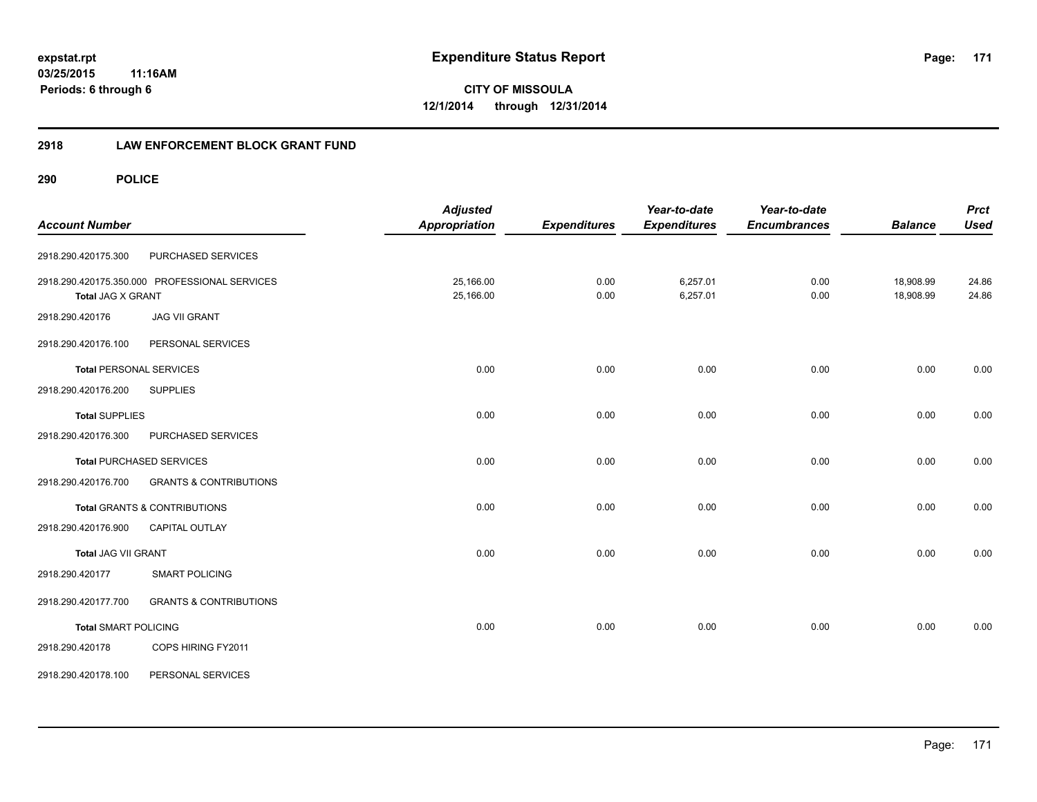**171**

**03/25/2015 11:16AM Periods: 6 through 6**

**CITY OF MISSOULA 12/1/2014 through 12/31/2014**

## **2918 LAW ENFORCEMENT BLOCK GRANT FUND**

| <b>Account Number</b>          |                                               | <b>Adjusted</b><br>Appropriation | <b>Expenditures</b> | Year-to-date<br><b>Expenditures</b> | Year-to-date<br><b>Encumbrances</b> | <b>Balance</b>         | <b>Prct</b><br><b>Used</b> |
|--------------------------------|-----------------------------------------------|----------------------------------|---------------------|-------------------------------------|-------------------------------------|------------------------|----------------------------|
| 2918.290.420175.300            | PURCHASED SERVICES                            |                                  |                     |                                     |                                     |                        |                            |
| <b>Total JAG X GRANT</b>       | 2918.290.420175.350.000 PROFESSIONAL SERVICES | 25,166.00<br>25,166.00           | 0.00<br>0.00        | 6,257.01<br>6,257.01                | 0.00<br>0.00                        | 18,908.99<br>18,908.99 | 24.86<br>24.86             |
| 2918.290.420176                | <b>JAG VII GRANT</b>                          |                                  |                     |                                     |                                     |                        |                            |
| 2918.290.420176.100            | PERSONAL SERVICES                             |                                  |                     |                                     |                                     |                        |                            |
| <b>Total PERSONAL SERVICES</b> |                                               | 0.00                             | 0.00                | 0.00                                | 0.00                                | 0.00                   | 0.00                       |
| 2918.290.420176.200            | <b>SUPPLIES</b>                               |                                  |                     |                                     |                                     |                        |                            |
| <b>Total SUPPLIES</b>          |                                               | 0.00                             | 0.00                | 0.00                                | 0.00                                | 0.00                   | 0.00                       |
| 2918.290.420176.300            | PURCHASED SERVICES                            |                                  |                     |                                     |                                     |                        |                            |
|                                | <b>Total PURCHASED SERVICES</b>               | 0.00                             | 0.00                | 0.00                                | 0.00                                | 0.00                   | 0.00                       |
| 2918.290.420176.700            | <b>GRANTS &amp; CONTRIBUTIONS</b>             |                                  |                     |                                     |                                     |                        |                            |
|                                | <b>Total GRANTS &amp; CONTRIBUTIONS</b>       | 0.00                             | 0.00                | 0.00                                | 0.00                                | 0.00                   | 0.00                       |
| 2918.290.420176.900            | <b>CAPITAL OUTLAY</b>                         |                                  |                     |                                     |                                     |                        |                            |
| <b>Total JAG VII GRANT</b>     |                                               | 0.00                             | 0.00                | 0.00                                | 0.00                                | 0.00                   | 0.00                       |
| 2918.290.420177                | <b>SMART POLICING</b>                         |                                  |                     |                                     |                                     |                        |                            |
| 2918.290.420177.700            | <b>GRANTS &amp; CONTRIBUTIONS</b>             |                                  |                     |                                     |                                     |                        |                            |
| <b>Total SMART POLICING</b>    |                                               | 0.00                             | 0.00                | 0.00                                | 0.00                                | 0.00                   | 0.00                       |
| 2918.290.420178                | COPS HIRING FY2011                            |                                  |                     |                                     |                                     |                        |                            |
| 2918.290.420178.100            | PERSONAL SERVICES                             |                                  |                     |                                     |                                     |                        |                            |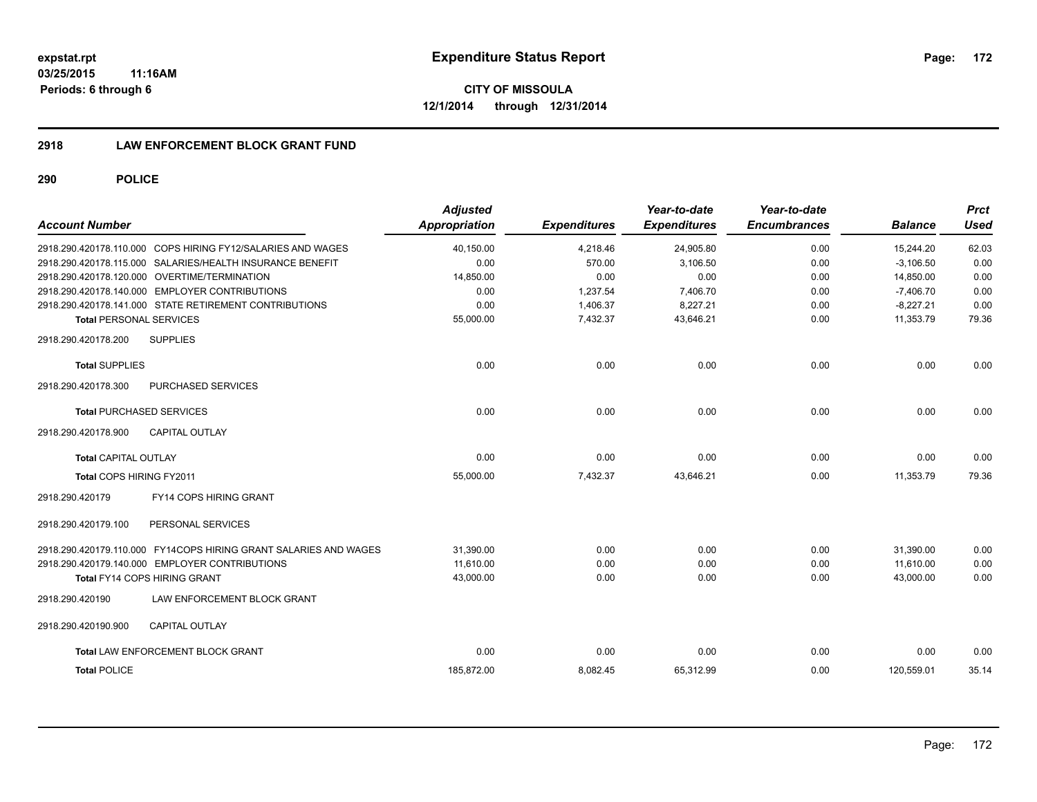**CITY OF MISSOULA 12/1/2014 through 12/31/2014**

## **2918 LAW ENFORCEMENT BLOCK GRANT FUND**

| <b>Account Number</b>           |                                                                  | <b>Adjusted</b><br>Appropriation | <b>Expenditures</b> | Year-to-date<br><b>Expenditures</b> | Year-to-date<br><b>Encumbrances</b> | <b>Balance</b> | <b>Prct</b><br><b>Used</b> |
|---------------------------------|------------------------------------------------------------------|----------------------------------|---------------------|-------------------------------------|-------------------------------------|----------------|----------------------------|
|                                 | 2918.290.420178.110.000 COPS HIRING FY12/SALARIES AND WAGES      | 40,150.00                        | 4,218.46            | 24,905.80                           | 0.00                                | 15,244.20      | 62.03                      |
|                                 | 2918.290.420178.115.000 SALARIES/HEALTH INSURANCE BENEFIT        | 0.00                             | 570.00              | 3.106.50                            | 0.00                                | $-3.106.50$    | 0.00                       |
|                                 | 2918.290.420178.120.000 OVERTIME/TERMINATION                     | 14,850.00                        | 0.00                | 0.00                                | 0.00                                | 14,850.00      | 0.00                       |
|                                 | 2918.290.420178.140.000 EMPLOYER CONTRIBUTIONS                   | 0.00                             | 1,237.54            | 7,406.70                            | 0.00                                | $-7.406.70$    | 0.00                       |
|                                 | 2918.290.420178.141.000 STATE RETIREMENT CONTRIBUTIONS           | 0.00                             | 1,406.37            | 8,227.21                            | 0.00                                | $-8,227.21$    | 0.00                       |
| <b>Total PERSONAL SERVICES</b>  |                                                                  | 55,000.00                        | 7,432.37            | 43,646.21                           | 0.00                                | 11,353.79      | 79.36                      |
| 2918.290.420178.200             | <b>SUPPLIES</b>                                                  |                                  |                     |                                     |                                     |                |                            |
| <b>Total SUPPLIES</b>           |                                                                  | 0.00                             | 0.00                | 0.00                                | 0.00                                | 0.00           | 0.00                       |
| 2918.290.420178.300             | PURCHASED SERVICES                                               |                                  |                     |                                     |                                     |                |                            |
| <b>Total PURCHASED SERVICES</b> |                                                                  | 0.00                             | 0.00                | 0.00                                | 0.00                                | 0.00           | 0.00                       |
| 2918.290.420178.900             | <b>CAPITAL OUTLAY</b>                                            |                                  |                     |                                     |                                     |                |                            |
| Total CAPITAL OUTLAY            |                                                                  | 0.00                             | 0.00                | 0.00                                | 0.00                                | 0.00           | 0.00                       |
| Total COPS HIRING FY2011        |                                                                  | 55,000.00                        | 7,432.37            | 43,646.21                           | 0.00                                | 11,353.79      | 79.36                      |
| 2918.290.420179                 | <b>FY14 COPS HIRING GRANT</b>                                    |                                  |                     |                                     |                                     |                |                            |
| 2918.290.420179.100             | PERSONAL SERVICES                                                |                                  |                     |                                     |                                     |                |                            |
|                                 | 2918.290.420179.110.000 FY14COPS HIRING GRANT SALARIES AND WAGES | 31,390.00                        | 0.00                | 0.00                                | 0.00                                | 31,390.00      | 0.00                       |
|                                 | 2918.290.420179.140.000 EMPLOYER CONTRIBUTIONS                   | 11.610.00                        | 0.00                | 0.00                                | 0.00                                | 11.610.00      | 0.00                       |
|                                 | <b>Total FY14 COPS HIRING GRANT</b>                              | 43,000.00                        | 0.00                | 0.00                                | 0.00                                | 43,000.00      | 0.00                       |
| 2918.290.420190                 | LAW ENFORCEMENT BLOCK GRANT                                      |                                  |                     |                                     |                                     |                |                            |
| 2918.290.420190.900             | <b>CAPITAL OUTLAY</b>                                            |                                  |                     |                                     |                                     |                |                            |
|                                 | Total LAW ENFORCEMENT BLOCK GRANT                                | 0.00                             | 0.00                | 0.00                                | 0.00                                | 0.00           | 0.00                       |
| <b>Total POLICE</b>             |                                                                  | 185,872.00                       | 8,082.45            | 65,312.99                           | 0.00                                | 120,559.01     | 35.14                      |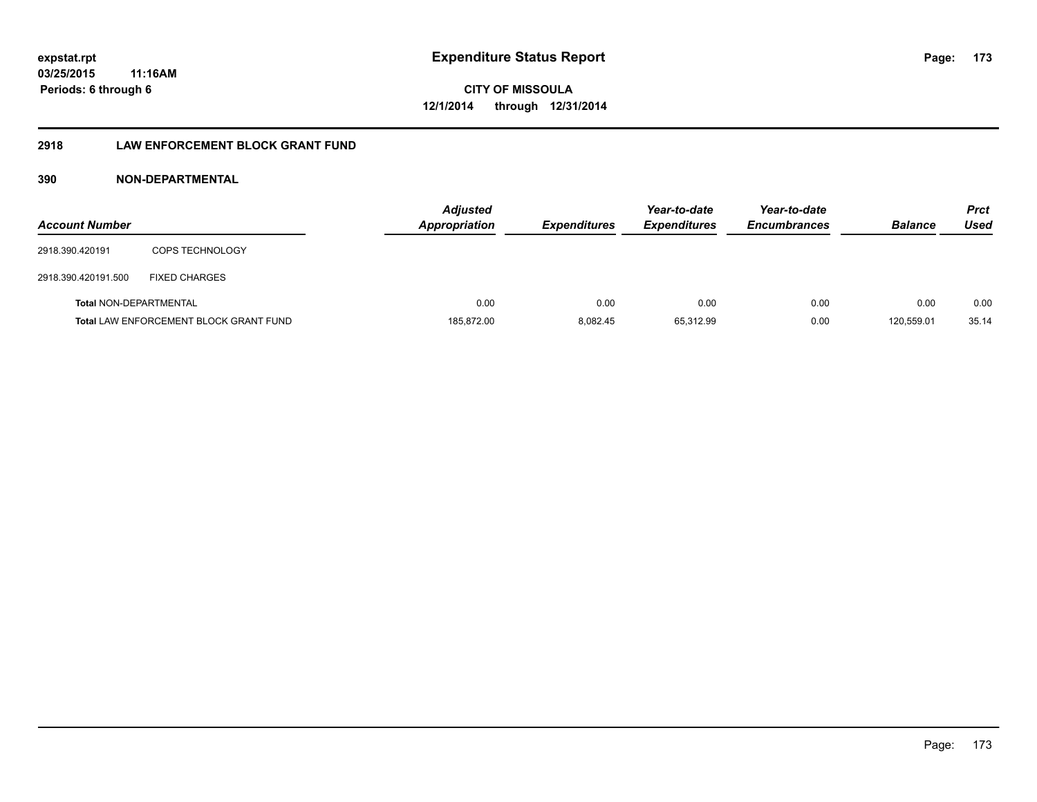# **2918 LAW ENFORCEMENT BLOCK GRANT FUND**

# **390 NON-DEPARTMENTAL**

| <b>Account Number</b>         |                                               | <b>Adjusted</b><br><b>Appropriation</b> | <b>Expenditures</b> | Year-to-date<br><b>Expenditures</b> | Year-to-date<br><b>Encumbrances</b> | <b>Balance</b> | <b>Prct</b><br>Used |
|-------------------------------|-----------------------------------------------|-----------------------------------------|---------------------|-------------------------------------|-------------------------------------|----------------|---------------------|
| 2918.390.420191               | <b>COPS TECHNOLOGY</b>                        |                                         |                     |                                     |                                     |                |                     |
| 2918.390.420191.500           | <b>FIXED CHARGES</b>                          |                                         |                     |                                     |                                     |                |                     |
| <b>Total NON-DEPARTMENTAL</b> |                                               | 0.00                                    | 0.00                | 0.00                                | 0.00                                | 0.00           | 0.00                |
|                               | <b>Total LAW ENFORCEMENT BLOCK GRANT FUND</b> | 185,872.00                              | 8.082.45            | 65,312.99                           | 0.00                                | 120.559.01     | 35.14               |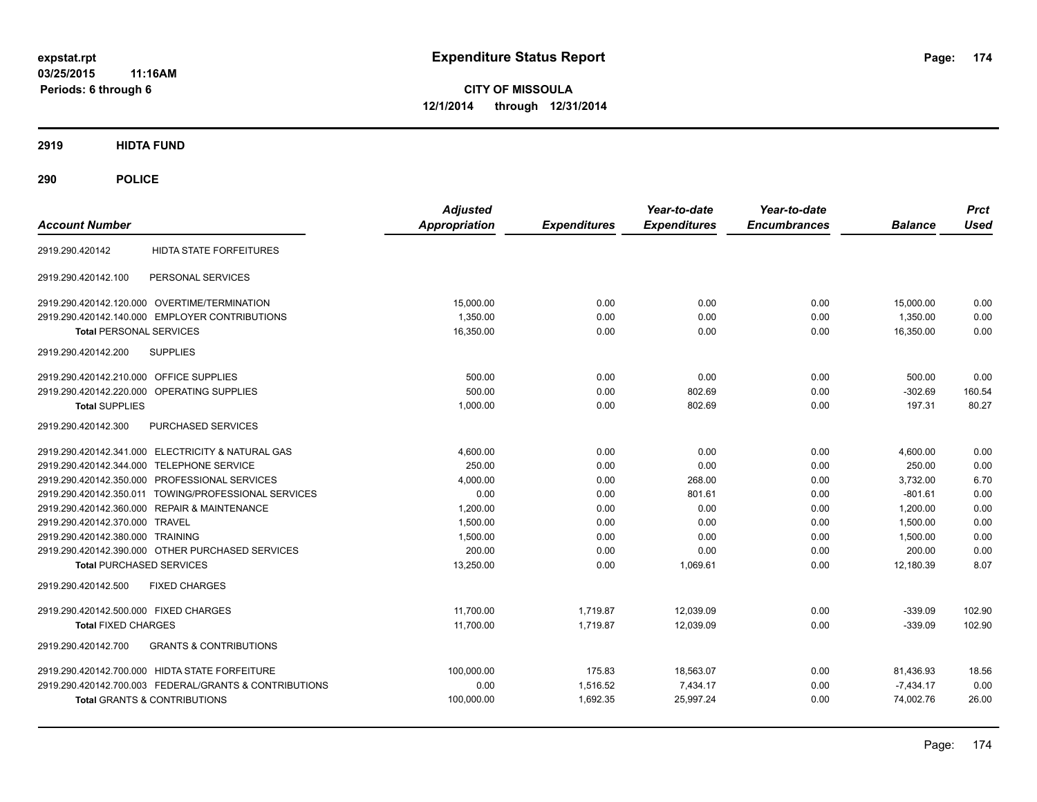**CITY OF MISSOULA 12/1/2014 through 12/31/2014**

**2919 HIDTA FUND**

| <b>Account Number</b>                                    | <b>Adjusted</b><br><b>Appropriation</b> | <b>Expenditures</b> | Year-to-date<br><b>Expenditures</b> | Year-to-date<br><b>Encumbrances</b> | <b>Balance</b> | <b>Prct</b><br><b>Used</b> |
|----------------------------------------------------------|-----------------------------------------|---------------------|-------------------------------------|-------------------------------------|----------------|----------------------------|
| <b>HIDTA STATE FORFEITURES</b><br>2919.290.420142        |                                         |                     |                                     |                                     |                |                            |
| 2919.290.420142.100<br>PERSONAL SERVICES                 |                                         |                     |                                     |                                     |                |                            |
| 2919.290.420142.120.000 OVERTIME/TERMINATION             | 15,000.00                               | 0.00                | 0.00                                | 0.00                                | 15,000.00      | 0.00                       |
| 2919.290.420142.140.000 EMPLOYER CONTRIBUTIONS           | 1,350.00                                | 0.00                | 0.00                                | 0.00                                | 1,350.00       | 0.00                       |
| <b>Total PERSONAL SERVICES</b>                           | 16,350.00                               | 0.00                | 0.00                                | 0.00                                | 16,350.00      | 0.00                       |
| <b>SUPPLIES</b><br>2919.290.420142.200                   |                                         |                     |                                     |                                     |                |                            |
| 2919.290.420142.210.000 OFFICE SUPPLIES                  | 500.00                                  | 0.00                | 0.00                                | 0.00                                | 500.00         | 0.00                       |
| 2919.290.420142.220.000 OPERATING SUPPLIES               | 500.00                                  | 0.00                | 802.69                              | 0.00                                | $-302.69$      | 160.54                     |
| <b>Total SUPPLIES</b>                                    | 1,000.00                                | 0.00                | 802.69                              | 0.00                                | 197.31         | 80.27                      |
| PURCHASED SERVICES<br>2919.290.420142.300                |                                         |                     |                                     |                                     |                |                            |
| 2919.290.420142.341.000 ELECTRICITY & NATURAL GAS        | 4.600.00                                | 0.00                | 0.00                                | 0.00                                | 4,600.00       | 0.00                       |
| 2919.290.420142.344.000<br><b>TELEPHONE SERVICE</b>      | 250.00                                  | 0.00                | 0.00                                | 0.00                                | 250.00         | 0.00                       |
| PROFESSIONAL SERVICES<br>2919.290.420142.350.000         | 4,000.00                                | 0.00                | 268.00                              | 0.00                                | 3,732.00       | 6.70                       |
| TOWING/PROFESSIONAL SERVICES<br>2919.290.420142.350.011  | 0.00                                    | 0.00                | 801.61                              | 0.00                                | $-801.61$      | 0.00                       |
| 2919.290.420142.360.000 REPAIR & MAINTENANCE             | 1,200.00                                | 0.00                | 0.00                                | 0.00                                | 1,200.00       | 0.00                       |
| 2919.290.420142.370.000 TRAVEL                           | 1,500.00                                | 0.00                | 0.00                                | 0.00                                | 1,500.00       | 0.00                       |
| 2919.290.420142.380.000 TRAINING                         | 1,500.00                                | 0.00                | 0.00                                | 0.00                                | 1,500.00       | 0.00                       |
| 2919.290.420142.390.000 OTHER PURCHASED SERVICES         | 200.00                                  | 0.00                | 0.00                                | 0.00                                | 200.00         | 0.00                       |
| <b>Total PURCHASED SERVICES</b>                          | 13,250.00                               | 0.00                | 1,069.61                            | 0.00                                | 12,180.39      | 8.07                       |
| 2919.290.420142.500<br><b>FIXED CHARGES</b>              |                                         |                     |                                     |                                     |                |                            |
| 2919.290.420142.500.000 FIXED CHARGES                    | 11.700.00                               | 1,719.87            | 12.039.09                           | 0.00                                | $-339.09$      | 102.90                     |
| <b>Total FIXED CHARGES</b>                               | 11,700.00                               | 1,719.87            | 12,039.09                           | 0.00                                | $-339.09$      | 102.90                     |
| <b>GRANTS &amp; CONTRIBUTIONS</b><br>2919.290.420142.700 |                                         |                     |                                     |                                     |                |                            |
| 2919.290.420142.700.000 HIDTA STATE FORFEITURE           | 100,000.00                              | 175.83              | 18,563.07                           | 0.00                                | 81,436.93      | 18.56                      |
| 2919.290.420142.700.003 FEDERAL/GRANTS & CONTRIBUTIONS   | 0.00                                    | 1,516.52            | 7,434.17                            | 0.00                                | $-7,434.17$    | 0.00                       |
| <b>Total GRANTS &amp; CONTRIBUTIONS</b>                  | 100,000.00                              | 1,692.35            | 25,997.24                           | 0.00                                | 74,002.76      | 26.00                      |
|                                                          |                                         |                     |                                     |                                     |                |                            |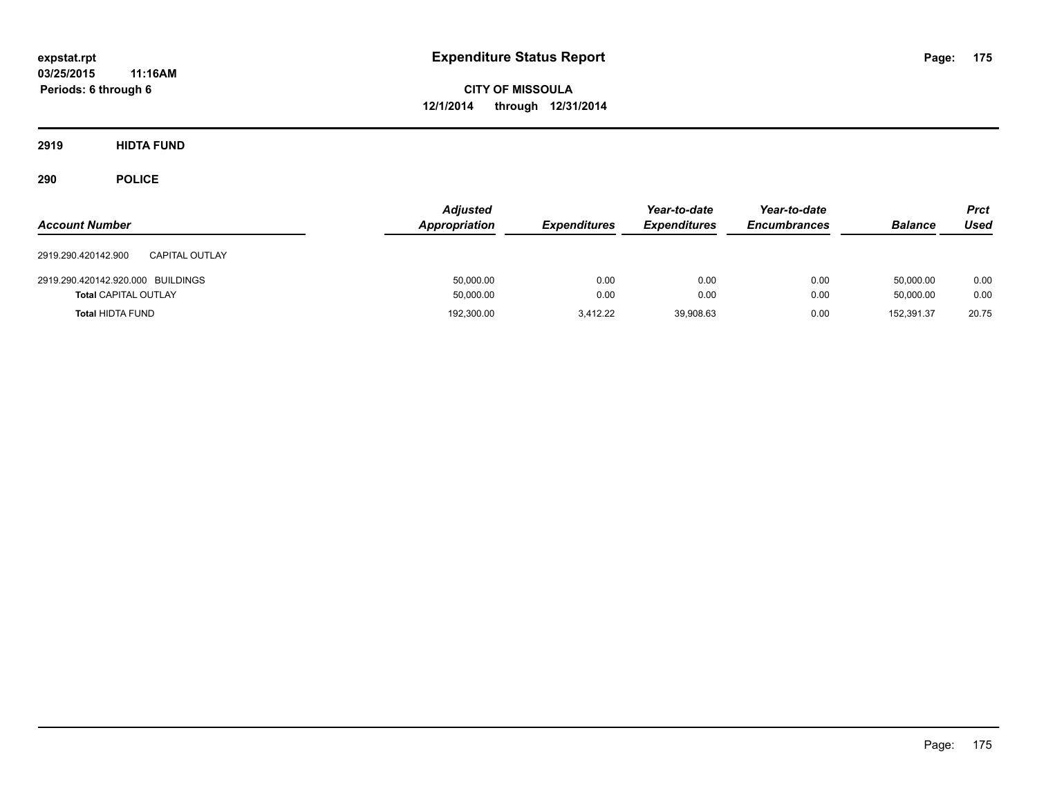**CITY OF MISSOULA 12/1/2014 through 12/31/2014**

**2919 HIDTA FUND**

| <b>Account Number</b>                        | <b>Adjusted</b><br>Appropriation | <b>Expenditures</b> | Year-to-date<br><b>Expenditures</b> | Year-to-date<br><b>Encumbrances</b> | <b>Balance</b> | <b>Prct</b><br><b>Used</b> |
|----------------------------------------------|----------------------------------|---------------------|-------------------------------------|-------------------------------------|----------------|----------------------------|
| 2919.290.420142.900<br><b>CAPITAL OUTLAY</b> |                                  |                     |                                     |                                     |                |                            |
| 2919.290.420142.920.000 BUILDINGS            | 50,000.00                        | 0.00                | 0.00                                | 0.00                                | 50.000.00      | 0.00                       |
| <b>Total CAPITAL OUTLAY</b>                  | 50,000.00                        | 0.00                | 0.00                                | 0.00                                | 50.000.00      | 0.00                       |
| <b>Total HIDTA FUND</b>                      | 192,300.00                       | 3.412.22            | 39,908.63                           | 0.00                                | 152.391.37     | 20.75                      |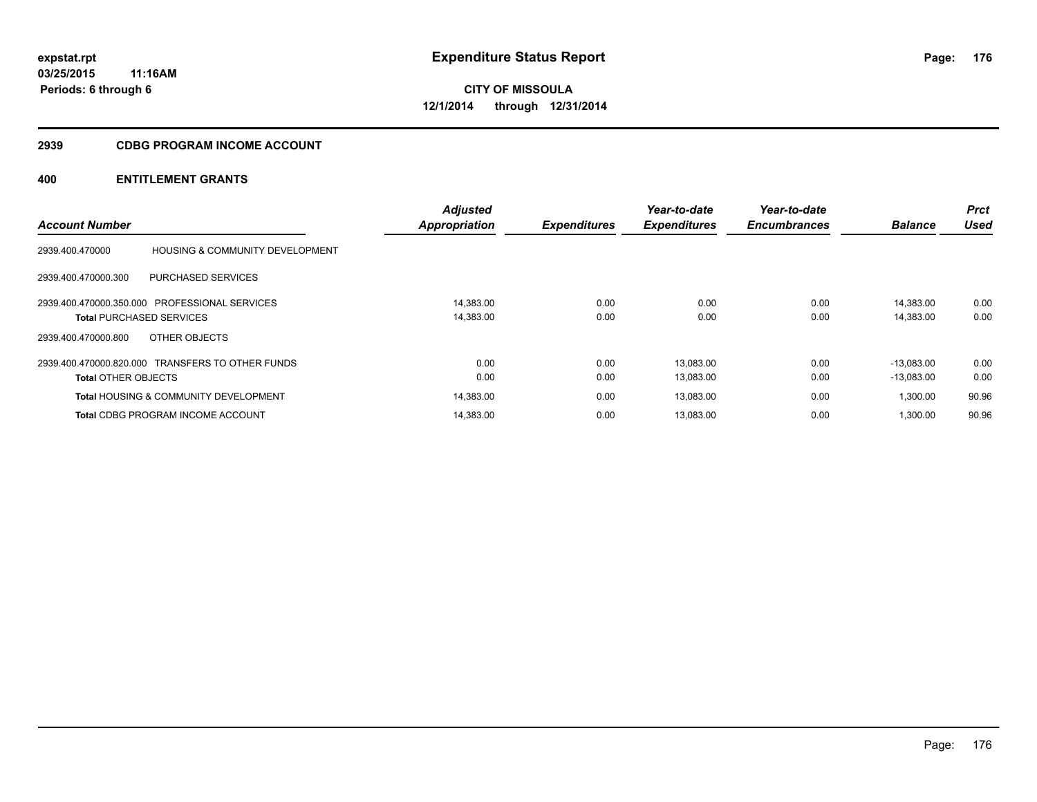#### **2939 CDBG PROGRAM INCOME ACCOUNT**

| <b>Account Number</b>           |                                                  | <b>Adjusted</b><br>Appropriation | <b>Expenditures</b> | Year-to-date<br><b>Expenditures</b> | Year-to-date<br><b>Encumbrances</b> | <b>Balance</b> | <b>Prct</b><br>Used |
|---------------------------------|--------------------------------------------------|----------------------------------|---------------------|-------------------------------------|-------------------------------------|----------------|---------------------|
|                                 |                                                  |                                  |                     |                                     |                                     |                |                     |
| 2939.400.470000                 | <b>HOUSING &amp; COMMUNITY DEVELOPMENT</b>       |                                  |                     |                                     |                                     |                |                     |
| 2939.400.470000.300             | PURCHASED SERVICES                               |                                  |                     |                                     |                                     |                |                     |
|                                 | 2939.400.470000.350.000 PROFESSIONAL SERVICES    | 14.383.00                        | 0.00                | 0.00                                | 0.00                                | 14.383.00      | 0.00                |
| <b>Total PURCHASED SERVICES</b> |                                                  | 14,383.00                        | 0.00                | 0.00                                | 0.00                                | 14,383.00      | 0.00                |
| 2939.400.470000.800             | OTHER OBJECTS                                    |                                  |                     |                                     |                                     |                |                     |
|                                 | 2939.400.470000.820.000 TRANSFERS TO OTHER FUNDS | 0.00                             | 0.00                | 13,083.00                           | 0.00                                | $-13.083.00$   | 0.00                |
| <b>Total OTHER OBJECTS</b>      |                                                  | 0.00                             | 0.00                | 13,083.00                           | 0.00                                | $-13,083.00$   | 0.00                |
|                                 | <b>Total HOUSING &amp; COMMUNITY DEVELOPMENT</b> | 14,383.00                        | 0.00                | 13,083.00                           | 0.00                                | 1,300.00       | 90.96               |
|                                 | <b>Total CDBG PROGRAM INCOME ACCOUNT</b>         | 14.383.00                        | 0.00                | 13,083.00                           | 0.00                                | 1.300.00       | 90.96               |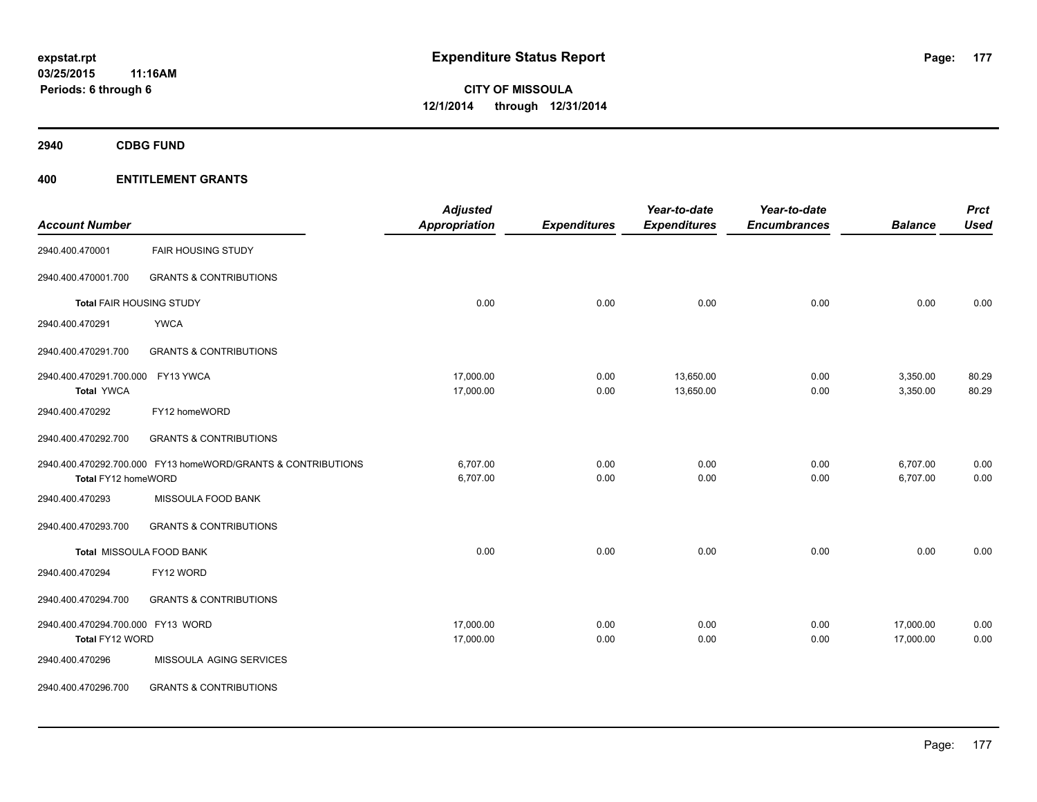**2940 CDBG FUND**

|                                   |                                                              | <b>Adjusted</b>      |                     | Year-to-date        | Year-to-date        |                | <b>Prct</b> |
|-----------------------------------|--------------------------------------------------------------|----------------------|---------------------|---------------------|---------------------|----------------|-------------|
| <b>Account Number</b>             |                                                              | <b>Appropriation</b> | <b>Expenditures</b> | <b>Expenditures</b> | <b>Encumbrances</b> | <b>Balance</b> | <b>Used</b> |
| 2940.400.470001                   | <b>FAIR HOUSING STUDY</b>                                    |                      |                     |                     |                     |                |             |
| 2940.400.470001.700               | <b>GRANTS &amp; CONTRIBUTIONS</b>                            |                      |                     |                     |                     |                |             |
| Total FAIR HOUSING STUDY          |                                                              | 0.00                 | 0.00                | 0.00                | 0.00                | 0.00           | 0.00        |
| 2940.400.470291                   | <b>YWCA</b>                                                  |                      |                     |                     |                     |                |             |
| 2940.400.470291.700               | <b>GRANTS &amp; CONTRIBUTIONS</b>                            |                      |                     |                     |                     |                |             |
| 2940.400.470291.700.000 FY13 YWCA |                                                              | 17,000.00            | 0.00                | 13,650.00           | 0.00                | 3,350.00       | 80.29       |
| <b>Total YWCA</b>                 |                                                              | 17,000.00            | 0.00                | 13,650.00           | 0.00                | 3,350.00       | 80.29       |
| 2940.400.470292                   | FY12 homeWORD                                                |                      |                     |                     |                     |                |             |
| 2940.400.470292.700               | <b>GRANTS &amp; CONTRIBUTIONS</b>                            |                      |                     |                     |                     |                |             |
|                                   | 2940.400.470292.700.000 FY13 homeWORD/GRANTS & CONTRIBUTIONS | 6,707.00             | 0.00                | 0.00                | 0.00                | 6,707.00       | 0.00        |
| Total FY12 homeWORD               |                                                              | 6,707.00             | 0.00                | 0.00                | 0.00                | 6,707.00       | 0.00        |
| 2940.400.470293                   | MISSOULA FOOD BANK                                           |                      |                     |                     |                     |                |             |
| 2940.400.470293.700               | <b>GRANTS &amp; CONTRIBUTIONS</b>                            |                      |                     |                     |                     |                |             |
|                                   | Total MISSOULA FOOD BANK                                     | 0.00                 | 0.00                | 0.00                | 0.00                | 0.00           | 0.00        |
| 2940.400.470294                   | FY12 WORD                                                    |                      |                     |                     |                     |                |             |
| 2940.400.470294.700               | <b>GRANTS &amp; CONTRIBUTIONS</b>                            |                      |                     |                     |                     |                |             |
| 2940.400.470294.700.000 FY13 WORD |                                                              | 17,000.00            | 0.00                | 0.00                | 0.00                | 17,000.00      | 0.00        |
| Total FY12 WORD                   |                                                              | 17,000.00            | 0.00                | 0.00                | 0.00                | 17,000.00      | 0.00        |
| 2940.400.470296                   | MISSOULA AGING SERVICES                                      |                      |                     |                     |                     |                |             |
| 2940.400.470296.700               | <b>GRANTS &amp; CONTRIBUTIONS</b>                            |                      |                     |                     |                     |                |             |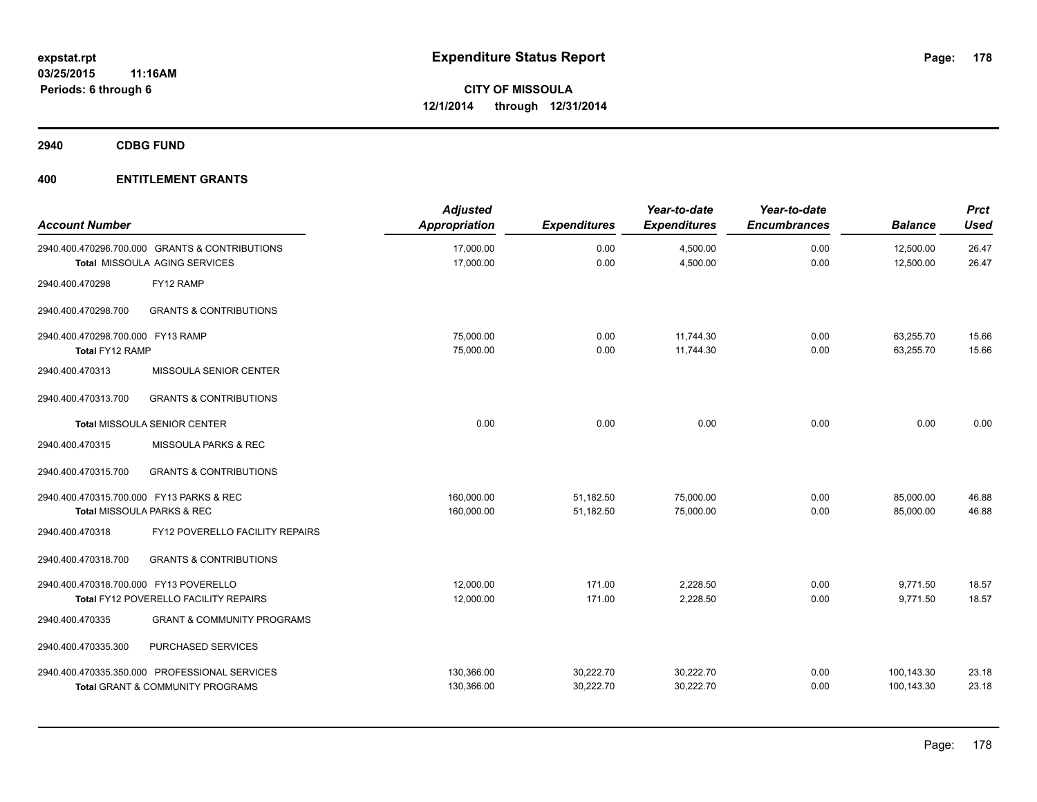**2940 CDBG FUND**

| <b>Account Number</b>                                |                                                                                   | <b>Adjusted</b><br><b>Appropriation</b> | <b>Expenditures</b>    | Year-to-date<br><b>Expenditures</b> | Year-to-date<br><b>Encumbrances</b> | <b>Balance</b>           | Prct<br><b>Used</b> |
|------------------------------------------------------|-----------------------------------------------------------------------------------|-----------------------------------------|------------------------|-------------------------------------|-------------------------------------|--------------------------|---------------------|
|                                                      | 2940.400.470296.700.000 GRANTS & CONTRIBUTIONS<br>Total MISSOULA AGING SERVICES   | 17,000.00<br>17,000.00                  | 0.00<br>0.00           | 4,500.00<br>4,500.00                | 0.00<br>0.00                        | 12,500.00<br>12,500.00   | 26.47<br>26.47      |
| 2940.400.470298                                      | FY12 RAMP                                                                         |                                         |                        |                                     |                                     |                          |                     |
| 2940.400.470298.700                                  | <b>GRANTS &amp; CONTRIBUTIONS</b>                                                 |                                         |                        |                                     |                                     |                          |                     |
| 2940.400.470298.700.000 FY13 RAMP<br>Total FY12 RAMP |                                                                                   | 75,000.00<br>75,000.00                  | 0.00<br>0.00           | 11,744.30<br>11,744.30              | 0.00<br>0.00                        | 63.255.70<br>63,255.70   | 15.66<br>15.66      |
| 2940.400.470313                                      | MISSOULA SENIOR CENTER                                                            |                                         |                        |                                     |                                     |                          |                     |
| 2940.400.470313.700                                  | <b>GRANTS &amp; CONTRIBUTIONS</b>                                                 |                                         |                        |                                     |                                     |                          |                     |
|                                                      | Total MISSOULA SENIOR CENTER                                                      | 0.00                                    | 0.00                   | 0.00                                | 0.00                                | 0.00                     | 0.00                |
| 2940.400.470315                                      | MISSOULA PARKS & REC                                                              |                                         |                        |                                     |                                     |                          |                     |
| 2940.400.470315.700                                  | <b>GRANTS &amp; CONTRIBUTIONS</b>                                                 |                                         |                        |                                     |                                     |                          |                     |
| 2940.400.470315.700.000 FY13 PARKS & REC             | Total MISSOULA PARKS & REC                                                        | 160,000.00<br>160,000.00                | 51,182.50<br>51,182.50 | 75,000.00<br>75,000.00              | 0.00<br>0.00                        | 85,000.00<br>85,000.00   | 46.88<br>46.88      |
| 2940.400.470318                                      | FY12 POVERELLO FACILITY REPAIRS                                                   |                                         |                        |                                     |                                     |                          |                     |
| 2940.400.470318.700                                  | <b>GRANTS &amp; CONTRIBUTIONS</b>                                                 |                                         |                        |                                     |                                     |                          |                     |
| 2940.400.470318.700.000 FY13 POVERELLO               | Total FY12 POVERELLO FACILITY REPAIRS                                             | 12,000.00<br>12,000.00                  | 171.00<br>171.00       | 2,228.50<br>2,228.50                | 0.00<br>0.00                        | 9,771.50<br>9,771.50     | 18.57<br>18.57      |
| 2940.400.470335                                      | <b>GRANT &amp; COMMUNITY PROGRAMS</b>                                             |                                         |                        |                                     |                                     |                          |                     |
| 2940.400.470335.300                                  | PURCHASED SERVICES                                                                |                                         |                        |                                     |                                     |                          |                     |
|                                                      | 2940.400.470335.350.000 PROFESSIONAL SERVICES<br>Total GRANT & COMMUNITY PROGRAMS | 130,366.00<br>130,366.00                | 30,222.70<br>30,222.70 | 30,222.70<br>30,222.70              | 0.00<br>0.00                        | 100,143.30<br>100,143.30 | 23.18<br>23.18      |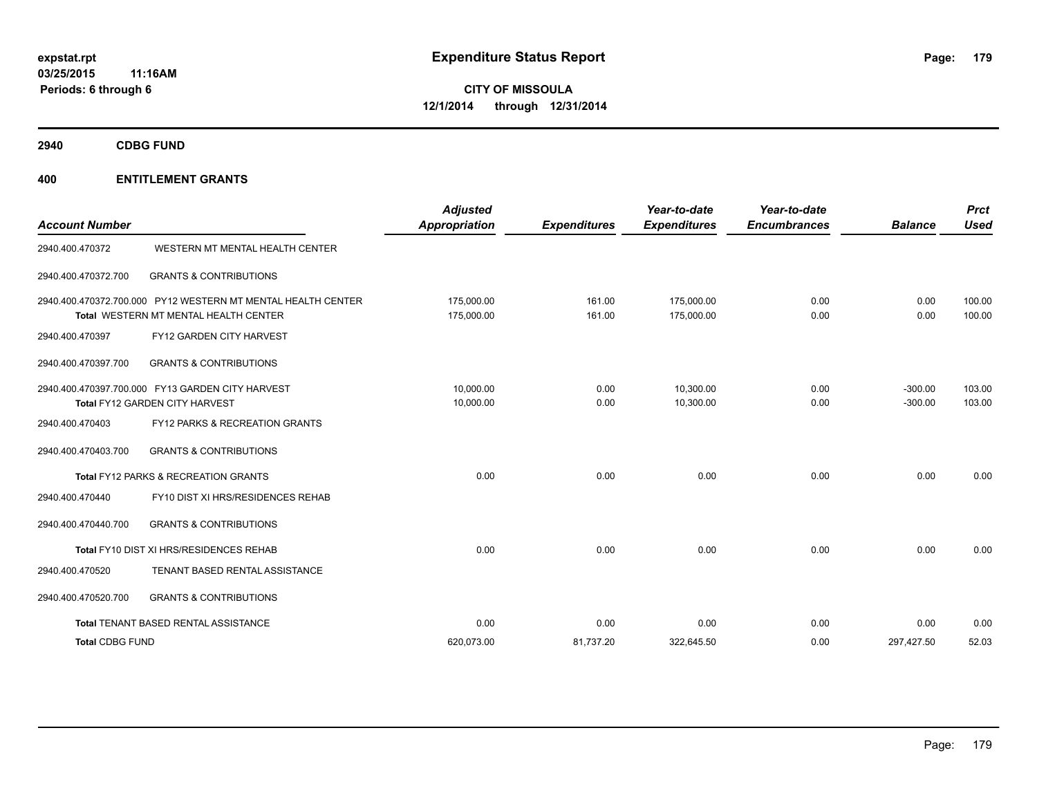**2940 CDBG FUND**

| <b>Account Number</b>  |                                                                                                       | <b>Adjusted</b><br>Appropriation | <b>Expenditures</b> | Year-to-date<br><b>Expenditures</b> | Year-to-date<br><b>Encumbrances</b> | <b>Balance</b>         | <b>Prct</b><br><b>Used</b> |
|------------------------|-------------------------------------------------------------------------------------------------------|----------------------------------|---------------------|-------------------------------------|-------------------------------------|------------------------|----------------------------|
| 2940.400.470372        | WESTERN MT MENTAL HEALTH CENTER                                                                       |                                  |                     |                                     |                                     |                        |                            |
| 2940.400.470372.700    | <b>GRANTS &amp; CONTRIBUTIONS</b>                                                                     |                                  |                     |                                     |                                     |                        |                            |
|                        | 2940.400.470372.700.000 PY12 WESTERN MT MENTAL HEALTH CENTER<br>Total WESTERN MT MENTAL HEALTH CENTER | 175.000.00<br>175,000.00         | 161.00<br>161.00    | 175.000.00<br>175,000.00            | 0.00<br>0.00                        | 0.00<br>0.00           | 100.00<br>100.00           |
| 2940.400.470397        | FY12 GARDEN CITY HARVEST                                                                              |                                  |                     |                                     |                                     |                        |                            |
| 2940.400.470397.700    | <b>GRANTS &amp; CONTRIBUTIONS</b>                                                                     |                                  |                     |                                     |                                     |                        |                            |
|                        | 2940.400.470397.700.000 FY13 GARDEN CITY HARVEST<br>Total FY12 GARDEN CITY HARVEST                    | 10.000.00<br>10,000.00           | 0.00<br>0.00        | 10.300.00<br>10,300.00              | 0.00<br>0.00                        | $-300.00$<br>$-300.00$ | 103.00<br>103.00           |
| 2940.400.470403        | FY12 PARKS & RECREATION GRANTS                                                                        |                                  |                     |                                     |                                     |                        |                            |
| 2940.400.470403.700    | <b>GRANTS &amp; CONTRIBUTIONS</b>                                                                     |                                  |                     |                                     |                                     |                        |                            |
|                        | Total FY12 PARKS & RECREATION GRANTS                                                                  | 0.00                             | 0.00                | 0.00                                | 0.00                                | 0.00                   | 0.00                       |
| 2940.400.470440        | FY10 DIST XI HRS/RESIDENCES REHAB                                                                     |                                  |                     |                                     |                                     |                        |                            |
| 2940.400.470440.700    | <b>GRANTS &amp; CONTRIBUTIONS</b>                                                                     |                                  |                     |                                     |                                     |                        |                            |
|                        | Total FY10 DIST XI HRS/RESIDENCES REHAB                                                               | 0.00                             | 0.00                | 0.00                                | 0.00                                | 0.00                   | 0.00                       |
| 2940.400.470520        | TENANT BASED RENTAL ASSISTANCE                                                                        |                                  |                     |                                     |                                     |                        |                            |
| 2940.400.470520.700    | <b>GRANTS &amp; CONTRIBUTIONS</b>                                                                     |                                  |                     |                                     |                                     |                        |                            |
|                        | Total TENANT BASED RENTAL ASSISTANCE                                                                  | 0.00                             | 0.00                | 0.00                                | 0.00                                | 0.00                   | 0.00                       |
| <b>Total CDBG FUND</b> |                                                                                                       | 620,073.00                       | 81,737.20           | 322,645.50                          | 0.00                                | 297,427.50             | 52.03                      |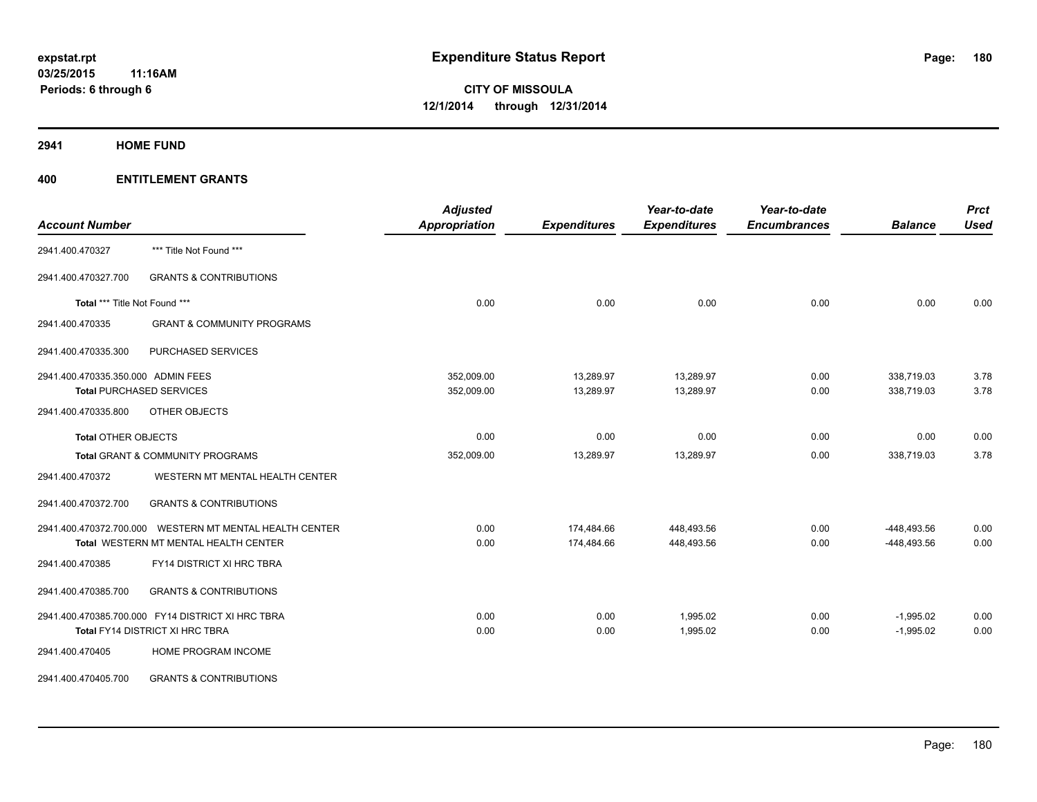**2941 HOME FUND**

| <b>Account Number</b>                                                                                      | <b>Adjusted</b><br>Appropriation | <b>Expenditures</b>      | Year-to-date<br><b>Expenditures</b> | Year-to-date<br><b>Encumbrances</b> | <b>Balance</b>             | Prct<br><b>Used</b> |
|------------------------------------------------------------------------------------------------------------|----------------------------------|--------------------------|-------------------------------------|-------------------------------------|----------------------------|---------------------|
| *** Title Not Found ***<br>2941.400.470327                                                                 |                                  |                          |                                     |                                     |                            |                     |
| 2941.400.470327.700<br><b>GRANTS &amp; CONTRIBUTIONS</b>                                                   |                                  |                          |                                     |                                     |                            |                     |
| Total *** Title Not Found ***                                                                              | 0.00                             | 0.00                     | 0.00                                | 0.00                                | 0.00                       | 0.00                |
| 2941.400.470335<br><b>GRANT &amp; COMMUNITY PROGRAMS</b>                                                   |                                  |                          |                                     |                                     |                            |                     |
| 2941.400.470335.300<br>PURCHASED SERVICES                                                                  |                                  |                          |                                     |                                     |                            |                     |
| 2941.400.470335.350.000 ADMIN FEES<br><b>Total PURCHASED SERVICES</b>                                      | 352,009.00<br>352,009.00         | 13,289.97<br>13,289.97   | 13,289.97<br>13,289.97              | 0.00<br>0.00                        | 338,719.03<br>338,719.03   | 3.78<br>3.78        |
| 2941.400.470335.800<br>OTHER OBJECTS                                                                       |                                  |                          |                                     |                                     |                            |                     |
| <b>Total OTHER OBJECTS</b>                                                                                 | 0.00                             | 0.00                     | 0.00                                | 0.00                                | 0.00                       | 0.00                |
| Total GRANT & COMMUNITY PROGRAMS                                                                           | 352,009.00                       | 13,289.97                | 13,289.97                           | 0.00                                | 338,719.03                 | 3.78                |
| WESTERN MT MENTAL HEALTH CENTER<br>2941.400.470372                                                         |                                  |                          |                                     |                                     |                            |                     |
| <b>GRANTS &amp; CONTRIBUTIONS</b><br>2941.400.470372.700                                                   |                                  |                          |                                     |                                     |                            |                     |
| WESTERN MT MENTAL HEALTH CENTER<br>2941.400.470372.700.000<br><b>Total WESTERN MT MENTAL HEALTH CENTER</b> | 0.00<br>0.00                     | 174,484.66<br>174,484.66 | 448,493.56<br>448,493.56            | 0.00<br>0.00                        | -448,493.56<br>-448,493.56 | 0.00<br>0.00        |
| FY14 DISTRICT XI HRC TBRA<br>2941.400.470385                                                               |                                  |                          |                                     |                                     |                            |                     |
| <b>GRANTS &amp; CONTRIBUTIONS</b><br>2941.400.470385.700                                                   |                                  |                          |                                     |                                     |                            |                     |
| 2941.400.470385.700.000 FY14 DISTRICT XI HRC TBRA<br>Total FY14 DISTRICT XI HRC TBRA                       | 0.00<br>0.00                     | 0.00<br>0.00             | 1,995.02<br>1,995.02                | 0.00<br>0.00                        | $-1,995.02$<br>$-1,995.02$ | 0.00<br>0.00        |
| 2941.400.470405<br>HOME PROGRAM INCOME                                                                     |                                  |                          |                                     |                                     |                            |                     |
| <b>GRANTS &amp; CONTRIBUTIONS</b><br>2941.400.470405.700                                                   |                                  |                          |                                     |                                     |                            |                     |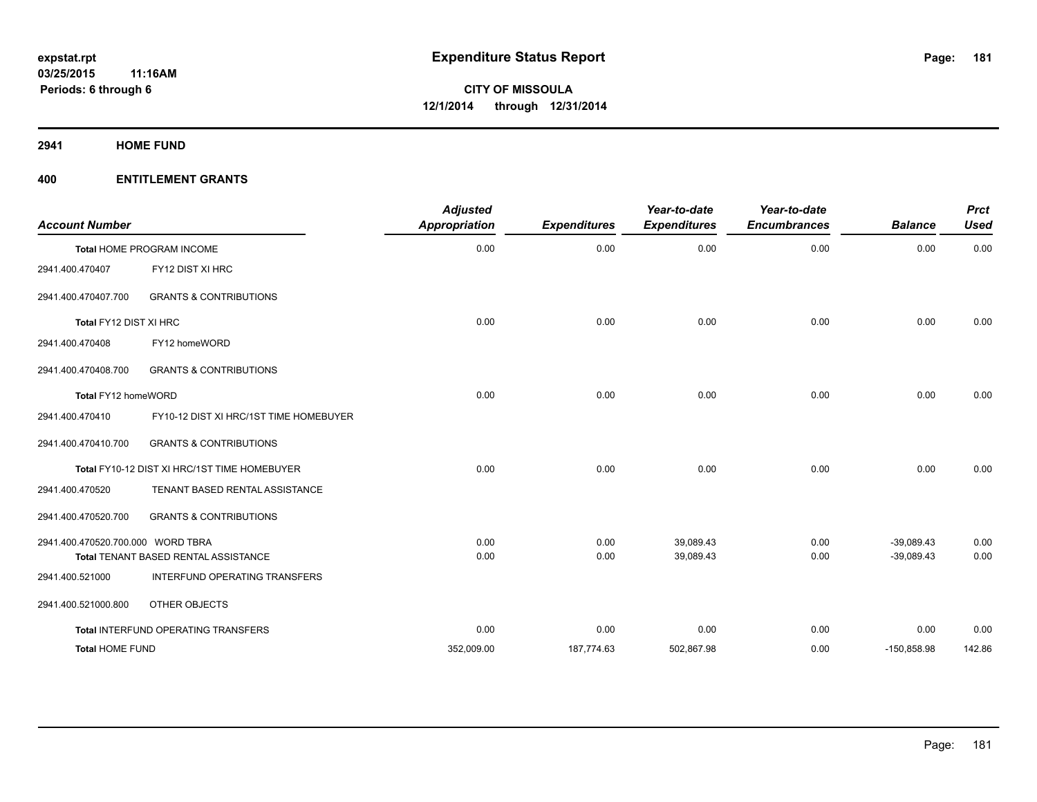**2941 HOME FUND**

| <b>Account Number</b>             |                                              | <b>Adjusted</b><br><b>Appropriation</b> | <b>Expenditures</b> | Year-to-date<br><b>Expenditures</b> | Year-to-date<br><b>Encumbrances</b> | <b>Balance</b> | <b>Prct</b><br><b>Used</b> |
|-----------------------------------|----------------------------------------------|-----------------------------------------|---------------------|-------------------------------------|-------------------------------------|----------------|----------------------------|
|                                   | <b>Total HOME PROGRAM INCOME</b>             | 0.00                                    | 0.00                | 0.00                                | 0.00                                | 0.00           | 0.00                       |
| 2941.400.470407                   | FY12 DIST XI HRC                             |                                         |                     |                                     |                                     |                |                            |
| 2941.400.470407.700               | <b>GRANTS &amp; CONTRIBUTIONS</b>            |                                         |                     |                                     |                                     |                |                            |
| Total FY12 DIST XI HRC            |                                              | 0.00                                    | 0.00                | 0.00                                | 0.00                                | 0.00           | 0.00                       |
| 2941.400.470408                   | FY12 homeWORD                                |                                         |                     |                                     |                                     |                |                            |
| 2941.400.470408.700               | <b>GRANTS &amp; CONTRIBUTIONS</b>            |                                         |                     |                                     |                                     |                |                            |
| Total FY12 homeWORD               |                                              | 0.00                                    | 0.00                | 0.00                                | 0.00                                | 0.00           | 0.00                       |
| 2941.400.470410                   | FY10-12 DIST XI HRC/1ST TIME HOMEBUYER       |                                         |                     |                                     |                                     |                |                            |
| 2941.400.470410.700               | <b>GRANTS &amp; CONTRIBUTIONS</b>            |                                         |                     |                                     |                                     |                |                            |
|                                   | Total FY10-12 DIST XI HRC/1ST TIME HOMEBUYER | 0.00                                    | 0.00                | 0.00                                | 0.00                                | 0.00           | 0.00                       |
| 2941.400.470520                   | TENANT BASED RENTAL ASSISTANCE               |                                         |                     |                                     |                                     |                |                            |
| 2941.400.470520.700               | <b>GRANTS &amp; CONTRIBUTIONS</b>            |                                         |                     |                                     |                                     |                |                            |
| 2941.400.470520.700.000 WORD TBRA |                                              | 0.00                                    | 0.00                | 39.089.43                           | 0.00                                | $-39.089.43$   | 0.00                       |
|                                   | <b>Total TENANT BASED RENTAL ASSISTANCE</b>  | 0.00                                    | 0.00                | 39,089.43                           | 0.00                                | $-39,089.43$   | 0.00                       |
| 2941.400.521000                   | INTERFUND OPERATING TRANSFERS                |                                         |                     |                                     |                                     |                |                            |
| 2941.400.521000.800               | OTHER OBJECTS                                |                                         |                     |                                     |                                     |                |                            |
|                                   | Total INTERFUND OPERATING TRANSFERS          | 0.00                                    | 0.00                | 0.00                                | 0.00                                | 0.00           | 0.00                       |
| <b>Total HOME FUND</b>            |                                              | 352,009.00                              | 187,774.63          | 502,867.98                          | 0.00                                | $-150,858.98$  | 142.86                     |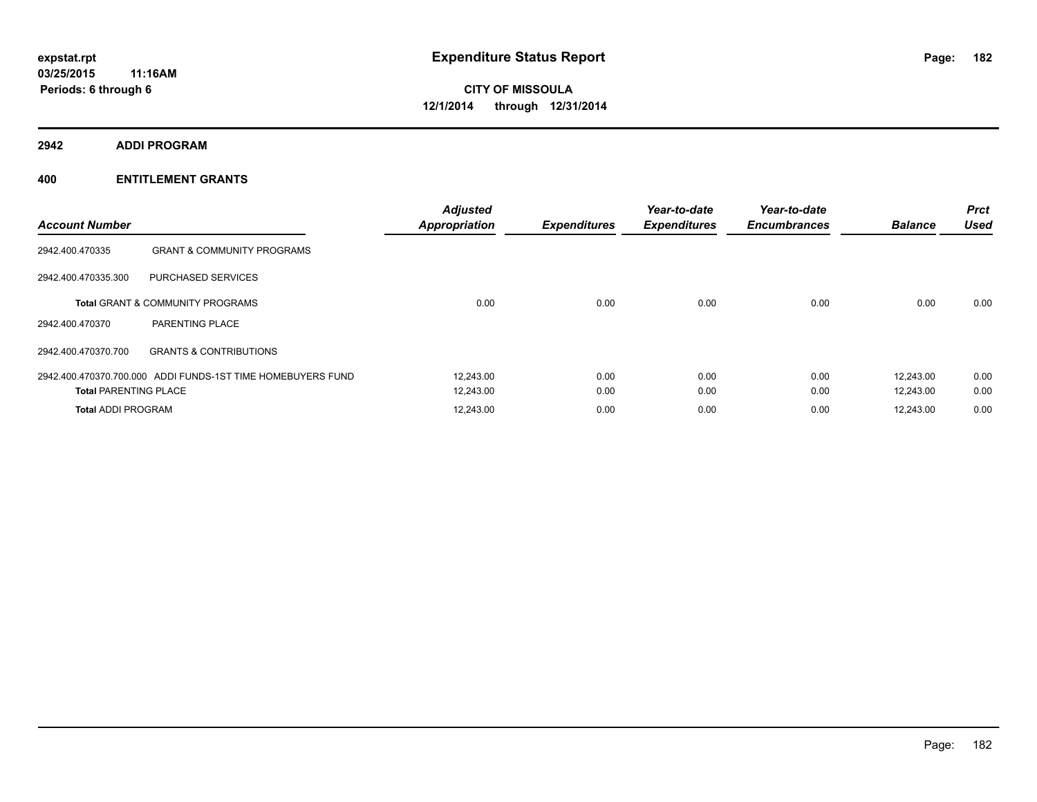**2942 ADDI PROGRAM**

| <b>Account Number</b>        |                                                             | <b>Adjusted</b><br><b>Appropriation</b> | <b>Expenditures</b> | Year-to-date<br><b>Expenditures</b> | Year-to-date<br><b>Encumbrances</b> | <b>Balance</b> | <b>Prct</b><br><b>Used</b> |
|------------------------------|-------------------------------------------------------------|-----------------------------------------|---------------------|-------------------------------------|-------------------------------------|----------------|----------------------------|
| 2942.400.470335              | <b>GRANT &amp; COMMUNITY PROGRAMS</b>                       |                                         |                     |                                     |                                     |                |                            |
| 2942.400.470335.300          | PURCHASED SERVICES                                          |                                         |                     |                                     |                                     |                |                            |
|                              | Total GRANT & COMMUNITY PROGRAMS                            | 0.00                                    | 0.00                | 0.00                                | 0.00                                | 0.00           | 0.00                       |
| 2942.400.470370              | PARENTING PLACE                                             |                                         |                     |                                     |                                     |                |                            |
| 2942.400.470370.700          | <b>GRANTS &amp; CONTRIBUTIONS</b>                           |                                         |                     |                                     |                                     |                |                            |
|                              | 2942.400.470370.700.000 ADDI FUNDS-1ST TIME HOMEBUYERS FUND | 12.243.00                               | 0.00                | 0.00                                | 0.00                                | 12.243.00      | 0.00                       |
| <b>Total PARENTING PLACE</b> |                                                             | 12,243.00                               | 0.00                | 0.00                                | 0.00                                | 12,243.00      | 0.00                       |
| <b>Total ADDI PROGRAM</b>    |                                                             | 12.243.00                               | 0.00                | 0.00                                | 0.00                                | 12.243.00      | 0.00                       |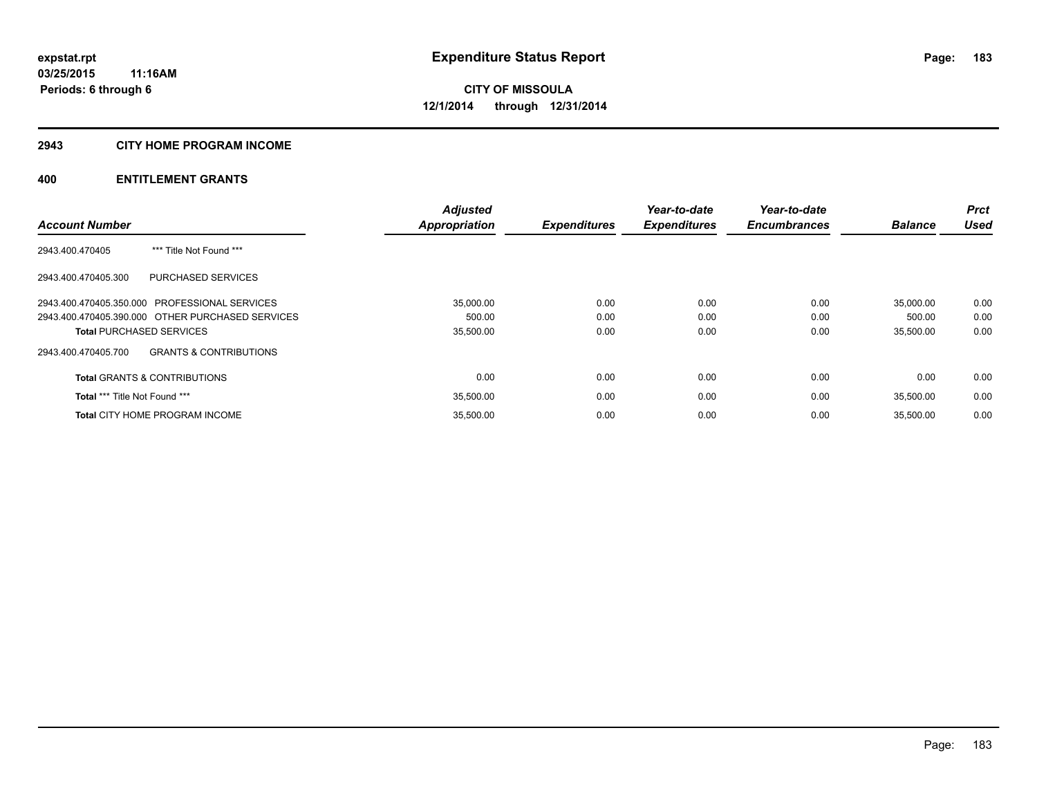## **2943 CITY HOME PROGRAM INCOME**

|                                                          | <b>Adjusted</b> |                     | Year-to-date        | Year-to-date        |                | <b>Prct</b> |
|----------------------------------------------------------|-----------------|---------------------|---------------------|---------------------|----------------|-------------|
| <b>Account Number</b>                                    | Appropriation   | <b>Expenditures</b> | <b>Expenditures</b> | <b>Encumbrances</b> | <b>Balance</b> | <b>Used</b> |
| *** Title Not Found ***<br>2943.400.470405               |                 |                     |                     |                     |                |             |
| <b>PURCHASED SERVICES</b><br>2943.400.470405.300         |                 |                     |                     |                     |                |             |
| 2943.400.470405.350.000 PROFESSIONAL SERVICES            | 35.000.00       | 0.00                | 0.00                | 0.00                | 35,000.00      | 0.00        |
| 2943.400.470405.390.000 OTHER PURCHASED SERVICES         | 500.00          | 0.00                | 0.00                | 0.00                | 500.00         | 0.00        |
| <b>Total PURCHASED SERVICES</b>                          | 35,500.00       | 0.00                | 0.00                | 0.00                | 35,500.00      | 0.00        |
| <b>GRANTS &amp; CONTRIBUTIONS</b><br>2943.400.470405.700 |                 |                     |                     |                     |                |             |
| <b>Total GRANTS &amp; CONTRIBUTIONS</b>                  | 0.00            | 0.00                | 0.00                | 0.00                | 0.00           | 0.00        |
| Total *** Title Not Found ***                            | 35,500.00       | 0.00                | 0.00                | 0.00                | 35.500.00      | 0.00        |
| <b>Total CITY HOME PROGRAM INCOME</b>                    | 35.500.00       | 0.00                | 0.00                | 0.00                | 35.500.00      | 0.00        |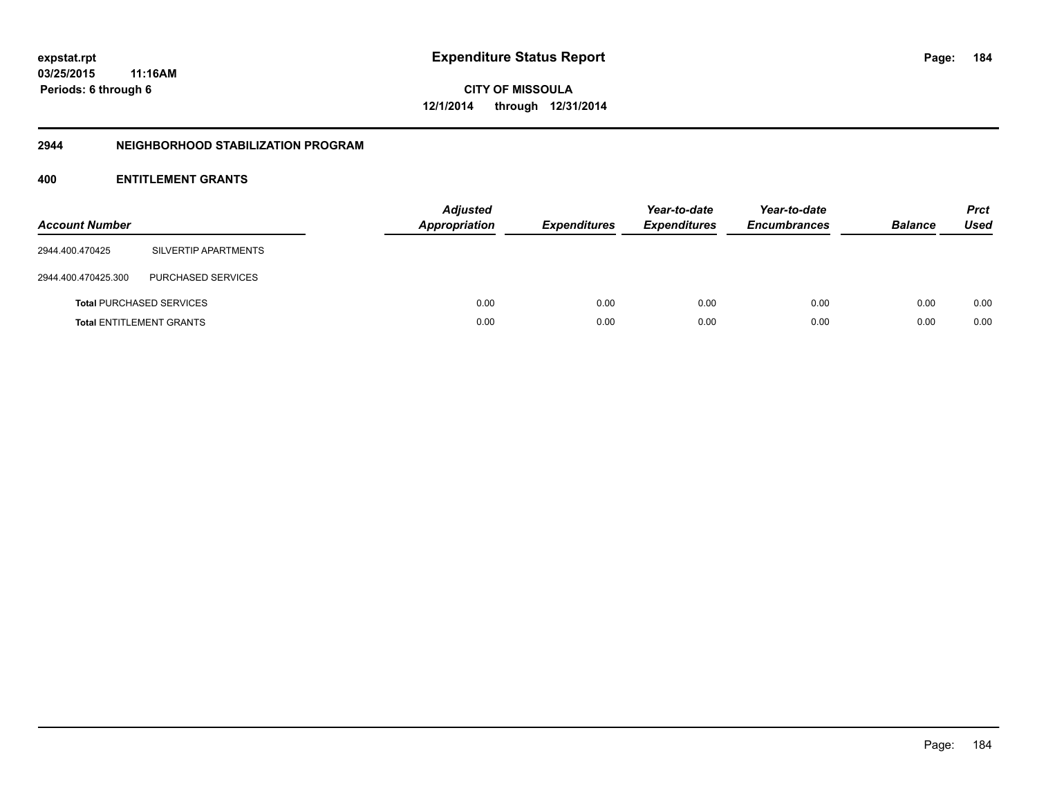**03/25/2015 11:16AM Periods: 6 through 6**

**CITY OF MISSOULA 12/1/2014 through 12/31/2014**

### **2944 NEIGHBORHOOD STABILIZATION PROGRAM**

| <b>Account Number</b> |                                 | <b>Adjusted</b><br><b>Appropriation</b> | <b>Expenditures</b> | Year-to-date<br><b>Expenditures</b> | Year-to-date<br><b>Encumbrances</b> | <b>Balance</b> | <b>Prct</b><br><b>Used</b> |
|-----------------------|---------------------------------|-----------------------------------------|---------------------|-------------------------------------|-------------------------------------|----------------|----------------------------|
| 2944.400.470425       | SILVERTIP APARTMENTS            |                                         |                     |                                     |                                     |                |                            |
| 2944.400.470425.300   | PURCHASED SERVICES              |                                         |                     |                                     |                                     |                |                            |
|                       | <b>Total PURCHASED SERVICES</b> | 0.00                                    | 0.00                | 0.00                                | 0.00                                | 0.00           | 0.00                       |
|                       | <b>Total ENTITLEMENT GRANTS</b> | 0.00                                    | 0.00                | 0.00                                | 0.00                                | 0.00           | 0.00                       |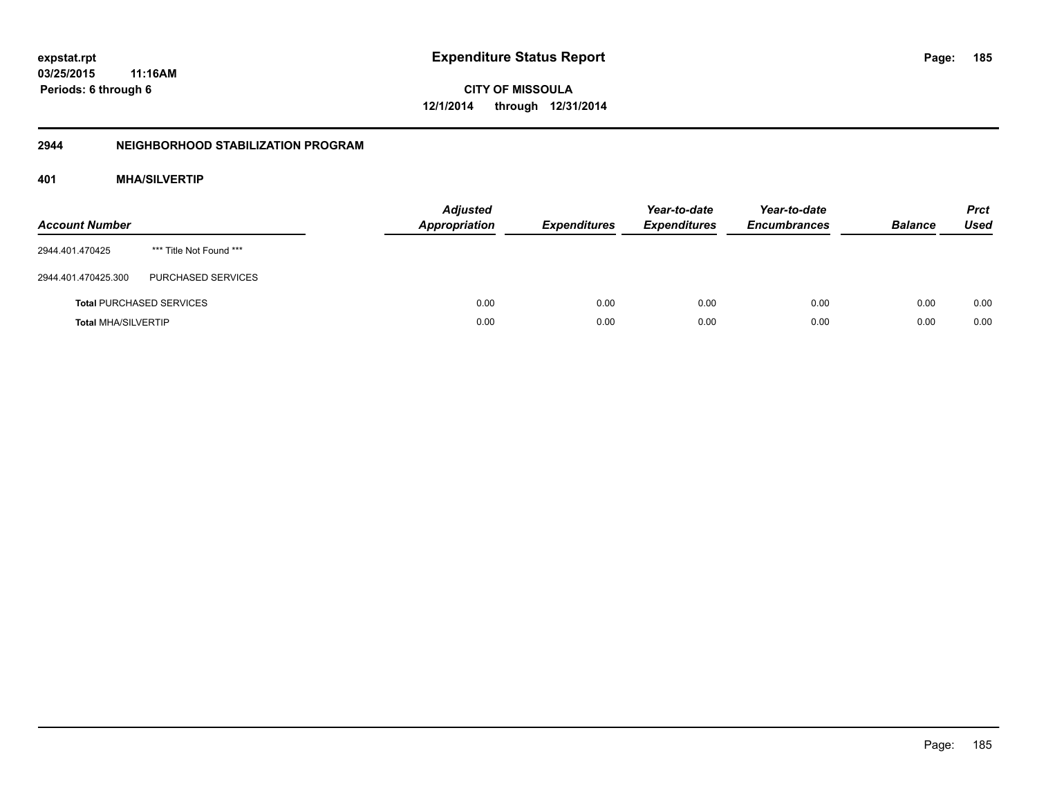**03/25/2015 11:16AM Periods: 6 through 6**

**CITY OF MISSOULA 12/1/2014 through 12/31/2014**

## **2944 NEIGHBORHOOD STABILIZATION PROGRAM**

# **401 MHA/SILVERTIP**

| <b>Account Number</b>      |                                 | <b>Adjusted</b><br>Appropriation | <b>Expenditures</b> | Year-to-date<br><b>Expenditures</b> | Year-to-date<br><b>Encumbrances</b> | <b>Balance</b> | <b>Prct</b><br><b>Used</b> |
|----------------------------|---------------------------------|----------------------------------|---------------------|-------------------------------------|-------------------------------------|----------------|----------------------------|
| 2944.401.470425            | *** Title Not Found ***         |                                  |                     |                                     |                                     |                |                            |
| 2944.401.470425.300        | PURCHASED SERVICES              |                                  |                     |                                     |                                     |                |                            |
|                            | <b>Total PURCHASED SERVICES</b> | 0.00                             | 0.00                | 0.00                                | 0.00                                | 0.00           | 0.00                       |
| <b>Total MHA/SILVERTIP</b> |                                 | 0.00                             | 0.00                | 0.00                                | 0.00                                | 0.00           | 0.00                       |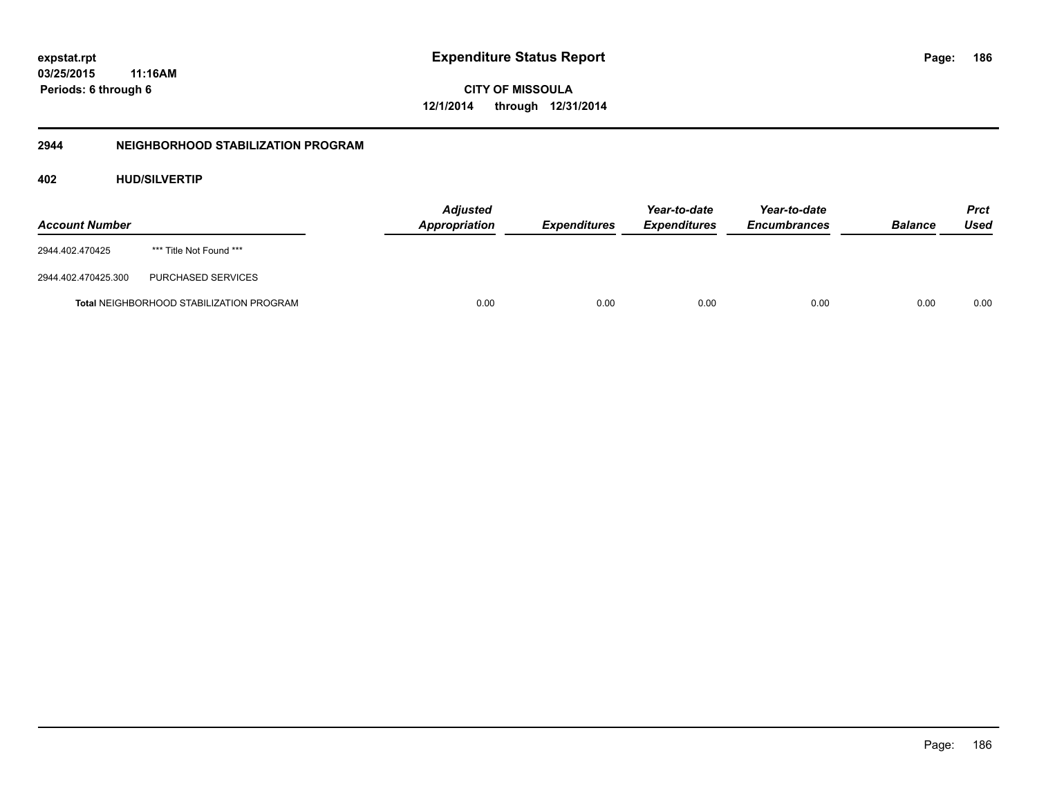**03/25/2015 11:16AM Periods: 6 through 6**

**CITY OF MISSOULA 12/1/2014 through 12/31/2014**

# **2944 NEIGHBORHOOD STABILIZATION PROGRAM**

# **402 HUD/SILVERTIP**

| <b>Account Number</b> |                                                 | <b>Adjusted</b><br><b>Appropriation</b> | <b>Expenditures</b> | Year-to-date<br><b>Expenditures</b> | Year-to-date<br><b>Encumbrances</b> | <b>Balance</b> | <b>Prct</b><br>Used |
|-----------------------|-------------------------------------------------|-----------------------------------------|---------------------|-------------------------------------|-------------------------------------|----------------|---------------------|
| 2944.402.470425       | *** Title Not Found ***                         |                                         |                     |                                     |                                     |                |                     |
| 2944.402.470425.300   | PURCHASED SERVICES                              |                                         |                     |                                     |                                     |                |                     |
|                       | <b>Total NEIGHBORHOOD STABILIZATION PROGRAM</b> | 0.00                                    | 0.00                | 0.00                                | 0.00                                | 0.00           | 0.00                |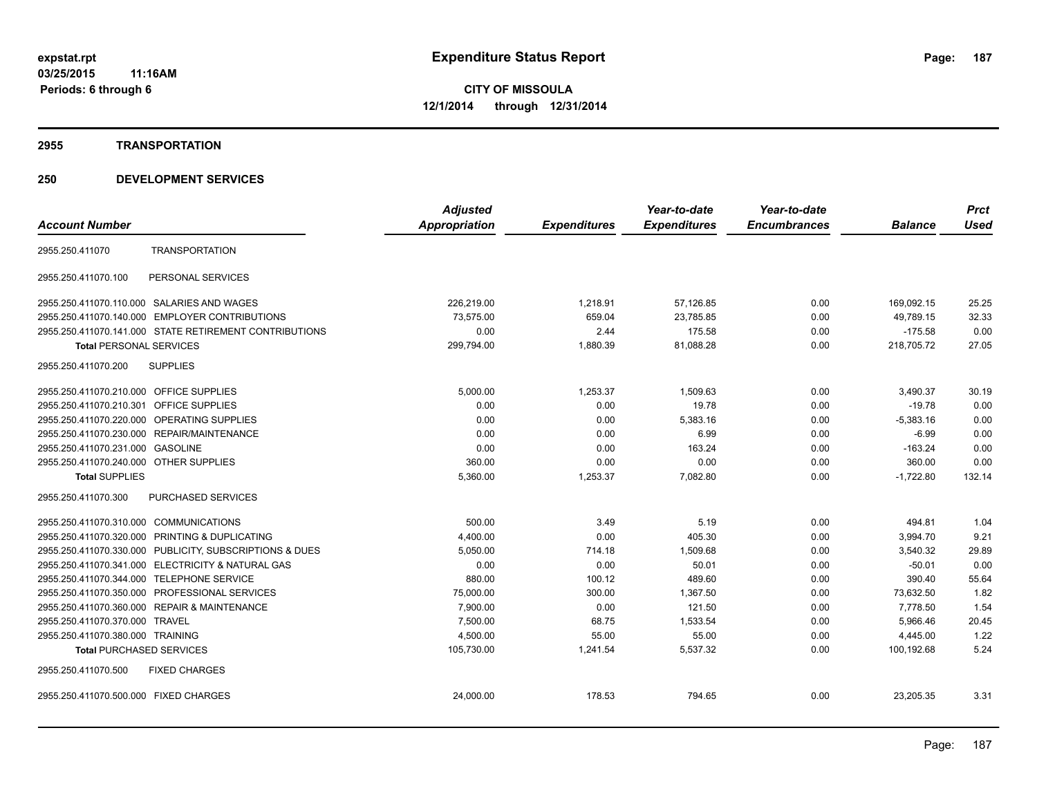#### **2955 TRANSPORTATION**

|                                                            | <b>Adjusted</b>      |                     | Year-to-date        | Year-to-date        |                | <b>Prct</b> |
|------------------------------------------------------------|----------------------|---------------------|---------------------|---------------------|----------------|-------------|
| <b>Account Number</b>                                      | <b>Appropriation</b> | <b>Expenditures</b> | <b>Expenditures</b> | <b>Encumbrances</b> | <b>Balance</b> | <b>Used</b> |
| <b>TRANSPORTATION</b><br>2955.250.411070                   |                      |                     |                     |                     |                |             |
| PERSONAL SERVICES<br>2955.250.411070.100                   |                      |                     |                     |                     |                |             |
| SALARIES AND WAGES<br>2955.250.411070.110.000              | 226,219.00           | 1,218.91            | 57,126.85           | 0.00                | 169,092.15     | 25.25       |
| <b>EMPLOYER CONTRIBUTIONS</b><br>2955.250.411070.140.000   | 73,575.00            | 659.04              | 23,785.85           | 0.00                | 49,789.15      | 32.33       |
| 2955.250.411070.141.000 STATE RETIREMENT CONTRIBUTIONS     | 0.00                 | 2.44                | 175.58              | 0.00                | $-175.58$      | 0.00        |
| <b>Total PERSONAL SERVICES</b>                             | 299,794.00           | 1,880.39            | 81,088.28           | 0.00                | 218,705.72     | 27.05       |
| 2955.250.411070.200<br><b>SUPPLIES</b>                     |                      |                     |                     |                     |                |             |
| 2955.250.411070.210.000 OFFICE SUPPLIES                    | 5,000.00             | 1,253.37            | 1,509.63            | 0.00                | 3,490.37       | 30.19       |
| <b>OFFICE SUPPLIES</b><br>2955.250.411070.210.301          | 0.00                 | 0.00                | 19.78               | 0.00                | $-19.78$       | 0.00        |
| 2955.250.411070.220.000<br>OPERATING SUPPLIES              | 0.00                 | 0.00                | 5,383.16            | 0.00                | $-5,383.16$    | 0.00        |
| REPAIR/MAINTENANCE<br>2955.250.411070.230.000              | 0.00                 | 0.00                | 6.99                | 0.00                | $-6.99$        | 0.00        |
| 2955.250.411070.231.000<br><b>GASOLINE</b>                 | 0.00                 | 0.00                | 163.24              | 0.00                | $-163.24$      | 0.00        |
| 2955.250.411070.240.000 OTHER SUPPLIES                     | 360.00               | 0.00                | 0.00                | 0.00                | 360.00         | 0.00        |
| <b>Total SUPPLIES</b>                                      | 5,360.00             | 1,253.37            | 7,082.80            | 0.00                | $-1,722.80$    | 132.14      |
| 2955.250.411070.300<br><b>PURCHASED SERVICES</b>           |                      |                     |                     |                     |                |             |
| 2955.250.411070.310.000 COMMUNICATIONS                     | 500.00               | 3.49                | 5.19                | 0.00                | 494.81         | 1.04        |
| 2955.250.411070.320.000 PRINTING & DUPLICATING             | 4,400.00             | 0.00                | 405.30              | 0.00                | 3,994.70       | 9.21        |
| 2955.250.411070.330.000 PUBLICITY, SUBSCRIPTIONS & DUES    | 5,050.00             | 714.18              | 1,509.68            | 0.00                | 3.540.32       | 29.89       |
| 2955.250.411070.341.000 ELECTRICITY & NATURAL GAS          | 0.00                 | 0.00                | 50.01               | 0.00                | $-50.01$       | 0.00        |
| 2955.250.411070.344.000 TELEPHONE SERVICE                  | 880.00               | 100.12              | 489.60              | 0.00                | 390.40         | 55.64       |
| PROFESSIONAL SERVICES<br>2955.250.411070.350.000           | 75,000.00            | 300.00              | 1.367.50            | 0.00                | 73,632.50      | 1.82        |
| <b>REPAIR &amp; MAINTENANCE</b><br>2955.250.411070.360.000 | 7,900.00             | 0.00                | 121.50              | 0.00                | 7,778.50       | 1.54        |
| 2955.250.411070.370.000<br><b>TRAVEL</b>                   | 7,500.00             | 68.75               | 1,533.54            | 0.00                | 5,966.46       | 20.45       |
| 2955.250.411070.380.000 TRAINING                           | 4,500.00             | 55.00               | 55.00               | 0.00                | 4,445.00       | 1.22        |
| <b>Total PURCHASED SERVICES</b>                            | 105,730.00           | 1,241.54            | 5,537.32            | 0.00                | 100,192.68     | 5.24        |
| 2955.250.411070.500<br><b>FIXED CHARGES</b>                |                      |                     |                     |                     |                |             |
| 2955.250.411070.500.000 FIXED CHARGES                      | 24,000.00            | 178.53              | 794.65              | 0.00                | 23,205.35      | 3.31        |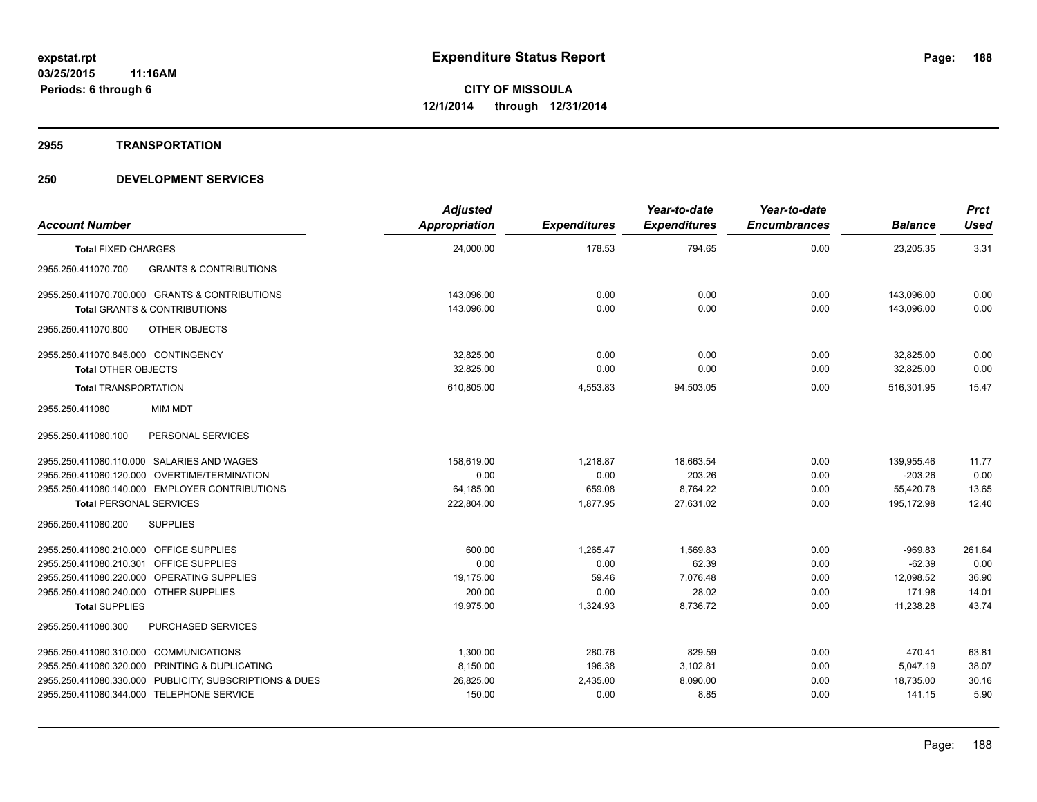#### **2955 TRANSPORTATION**

| <b>Account Number</b>                                    | <b>Adjusted</b><br>Appropriation | <b>Expenditures</b> | Year-to-date<br><b>Expenditures</b> | Year-to-date<br><b>Encumbrances</b> | <b>Balance</b> | <b>Prct</b><br><b>Used</b> |
|----------------------------------------------------------|----------------------------------|---------------------|-------------------------------------|-------------------------------------|----------------|----------------------------|
| <b>Total FIXED CHARGES</b>                               | 24,000.00                        | 178.53              | 794.65                              | 0.00                                | 23,205.35      | 3.31                       |
| 2955.250.411070.700<br><b>GRANTS &amp; CONTRIBUTIONS</b> |                                  |                     |                                     |                                     |                |                            |
| 2955.250.411070.700.000 GRANTS & CONTRIBUTIONS           | 143,096.00                       | 0.00                | 0.00                                | 0.00                                | 143,096.00     | 0.00                       |
| Total GRANTS & CONTRIBUTIONS                             | 143,096.00                       | 0.00                | 0.00                                | 0.00                                | 143.096.00     | 0.00                       |
| 2955.250.411070.800<br>OTHER OBJECTS                     |                                  |                     |                                     |                                     |                |                            |
| 2955.250.411070.845.000 CONTINGENCY                      | 32.825.00                        | 0.00                | 0.00                                | 0.00                                | 32.825.00      | 0.00                       |
| <b>Total OTHER OBJECTS</b>                               | 32,825.00                        | 0.00                | 0.00                                | 0.00                                | 32,825.00      | 0.00                       |
| <b>Total TRANSPORTATION</b>                              | 610,805.00                       | 4,553.83            | 94,503.05                           | 0.00                                | 516,301.95     | 15.47                      |
| 2955.250.411080<br>MIM MDT                               |                                  |                     |                                     |                                     |                |                            |
| PERSONAL SERVICES<br>2955.250.411080.100                 |                                  |                     |                                     |                                     |                |                            |
| 2955.250.411080.110.000 SALARIES AND WAGES               | 158,619.00                       | 1,218.87            | 18,663.54                           | 0.00                                | 139,955.46     | 11.77                      |
| 2955.250.411080.120.000 OVERTIME/TERMINATION             | 0.00                             | 0.00                | 203.26                              | 0.00                                | $-203.26$      | 0.00                       |
| 2955.250.411080.140.000 EMPLOYER CONTRIBUTIONS           | 64,185.00                        | 659.08              | 8,764.22                            | 0.00                                | 55,420.78      | 13.65                      |
| <b>Total PERSONAL SERVICES</b>                           | 222,804.00                       | 1,877.95            | 27,631.02                           | 0.00                                | 195,172.98     | 12.40                      |
| <b>SUPPLIES</b><br>2955.250.411080.200                   |                                  |                     |                                     |                                     |                |                            |
| 2955.250.411080.210.000 OFFICE SUPPLIES                  | 600.00                           | 1,265.47            | 1.569.83                            | 0.00                                | $-969.83$      | 261.64                     |
| 2955.250.411080.210.301 OFFICE SUPPLIES                  | 0.00                             | 0.00                | 62.39                               | 0.00                                | $-62.39$       | 0.00                       |
| 2955.250.411080.220.000 OPERATING SUPPLIES               | 19,175.00                        | 59.46               | 7,076.48                            | 0.00                                | 12,098.52      | 36.90                      |
| 2955.250.411080.240.000 OTHER SUPPLIES                   | 200.00                           | 0.00                | 28.02                               | 0.00                                | 171.98         | 14.01                      |
| <b>Total SUPPLIES</b>                                    | 19,975.00                        | 1,324.93            | 8,736.72                            | 0.00                                | 11,238.28      | 43.74                      |
| PURCHASED SERVICES<br>2955.250.411080.300                |                                  |                     |                                     |                                     |                |                            |
| 2955.250.411080.310.000 COMMUNICATIONS                   | 1,300.00                         | 280.76              | 829.59                              | 0.00                                | 470.41         | 63.81                      |
| 2955.250.411080.320.000 PRINTING & DUPLICATING           | 8,150.00                         | 196.38              | 3,102.81                            | 0.00                                | 5,047.19       | 38.07                      |
| 2955.250.411080.330.000 PUBLICITY, SUBSCRIPTIONS & DUES  | 26,825.00                        | 2,435.00            | 8,090.00                            | 0.00                                | 18,735.00      | 30.16                      |
| 2955.250.411080.344.000 TELEPHONE SERVICE                | 150.00                           | 0.00                | 8.85                                | 0.00                                | 141.15         | 5.90                       |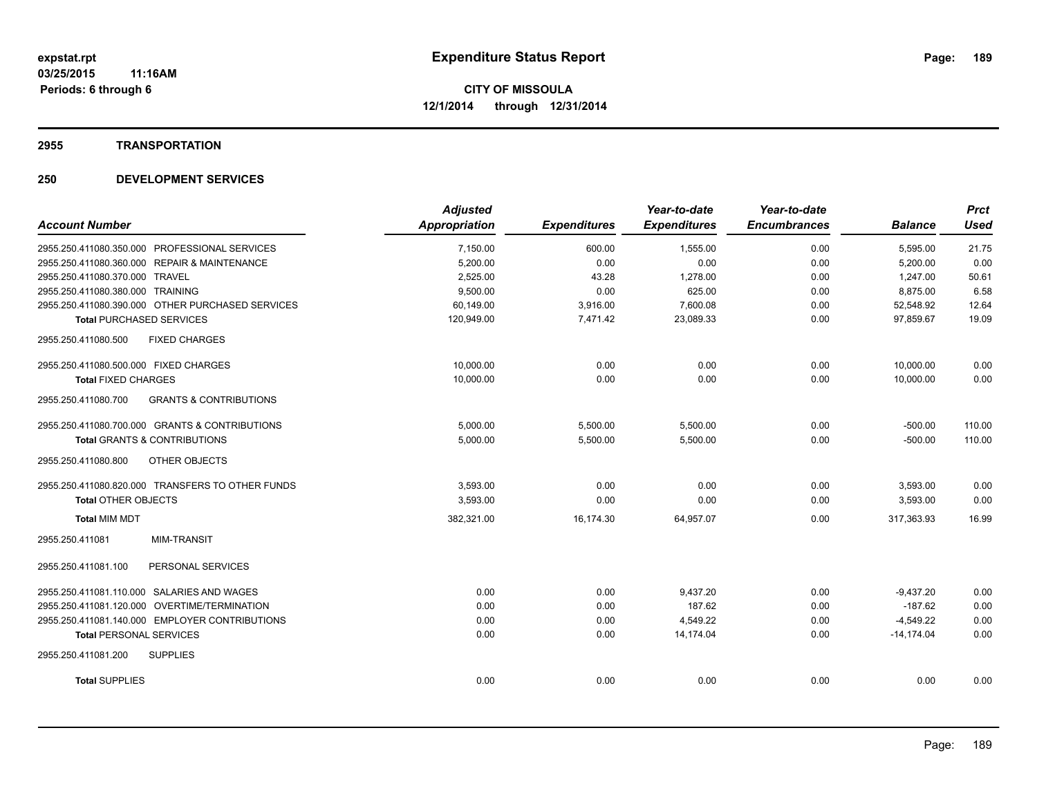## **2955 TRANSPORTATION**

|                                                          | <b>Adjusted</b>      |                     | Year-to-date        | Year-to-date        |                | <b>Prct</b> |
|----------------------------------------------------------|----------------------|---------------------|---------------------|---------------------|----------------|-------------|
| <b>Account Number</b>                                    | <b>Appropriation</b> | <b>Expenditures</b> | <b>Expenditures</b> | <b>Encumbrances</b> | <b>Balance</b> | <b>Used</b> |
| 2955.250.411080.350.000 PROFESSIONAL SERVICES            | 7,150.00             | 600.00              | 1,555.00            | 0.00                | 5,595.00       | 21.75       |
| 2955.250.411080.360.000 REPAIR & MAINTENANCE             | 5,200.00             | 0.00                | 0.00                | 0.00                | 5,200.00       | 0.00        |
| 2955.250.411080.370.000 TRAVEL                           | 2,525.00             | 43.28               | 1,278.00            | 0.00                | 1,247.00       | 50.61       |
| 2955.250.411080.380.000 TRAINING                         | 9,500.00             | 0.00                | 625.00              | 0.00                | 8,875.00       | 6.58        |
| 2955.250.411080.390.000 OTHER PURCHASED SERVICES         | 60,149.00            | 3,916.00            | 7,600.08            | 0.00                | 52,548.92      | 12.64       |
| <b>Total PURCHASED SERVICES</b>                          | 120,949.00           | 7,471.42            | 23,089.33           | 0.00                | 97.859.67      | 19.09       |
| 2955.250.411080.500<br><b>FIXED CHARGES</b>              |                      |                     |                     |                     |                |             |
| 2955.250.411080.500.000 FIXED CHARGES                    | 10,000.00            | 0.00                | 0.00                | 0.00                | 10,000.00      | 0.00        |
| <b>Total FIXED CHARGES</b>                               | 10,000.00            | 0.00                | 0.00                | 0.00                | 10,000.00      | 0.00        |
| 2955.250.411080.700<br><b>GRANTS &amp; CONTRIBUTIONS</b> |                      |                     |                     |                     |                |             |
| 2955.250.411080.700.000 GRANTS & CONTRIBUTIONS           | 5.000.00             | 5,500.00            | 5,500.00            | 0.00                | $-500.00$      | 110.00      |
| <b>Total GRANTS &amp; CONTRIBUTIONS</b>                  | 5,000.00             | 5,500.00            | 5,500.00            | 0.00                | $-500.00$      | 110.00      |
| 2955.250.411080.800<br>OTHER OBJECTS                     |                      |                     |                     |                     |                |             |
| 2955.250.411080.820.000 TRANSFERS TO OTHER FUNDS         | 3,593.00             | 0.00                | 0.00                | 0.00                | 3,593.00       | 0.00        |
| <b>Total OTHER OBJECTS</b>                               | 3,593.00             | 0.00                | 0.00                | 0.00                | 3,593.00       | 0.00        |
| <b>Total MIM MDT</b>                                     | 382,321.00           | 16,174.30           | 64,957.07           | 0.00                | 317,363.93     | 16.99       |
| 2955.250.411081<br><b>MIM-TRANSIT</b>                    |                      |                     |                     |                     |                |             |
| PERSONAL SERVICES<br>2955.250.411081.100                 |                      |                     |                     |                     |                |             |
| 2955.250.411081.110.000 SALARIES AND WAGES               | 0.00                 | 0.00                | 9,437.20            | 0.00                | $-9,437.20$    | 0.00        |
| 2955.250.411081.120.000 OVERTIME/TERMINATION             | 0.00                 | 0.00                | 187.62              | 0.00                | $-187.62$      | 0.00        |
| 2955.250.411081.140.000 EMPLOYER CONTRIBUTIONS           | 0.00                 | 0.00                | 4,549.22            | 0.00                | $-4,549.22$    | 0.00        |
| <b>Total PERSONAL SERVICES</b>                           | 0.00                 | 0.00                | 14.174.04           | 0.00                | $-14.174.04$   | 0.00        |
| 2955.250.411081.200<br><b>SUPPLIES</b>                   |                      |                     |                     |                     |                |             |
| <b>Total SUPPLIES</b>                                    | 0.00                 | 0.00                | 0.00                | 0.00                | 0.00           | 0.00        |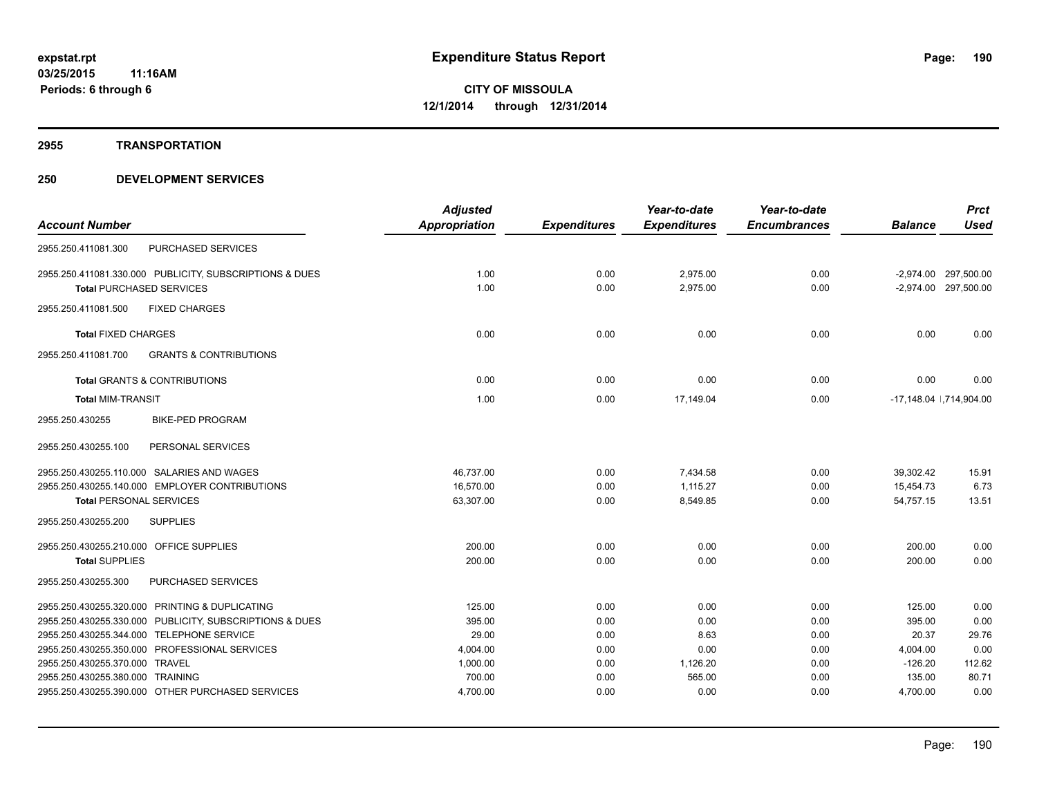#### **2955 TRANSPORTATION**

|                                                          | <b>Adjusted</b> |                     | Year-to-date        | Year-to-date        |                | <b>Prct</b>              |
|----------------------------------------------------------|-----------------|---------------------|---------------------|---------------------|----------------|--------------------------|
| <b>Account Number</b>                                    | Appropriation   | <b>Expenditures</b> | <b>Expenditures</b> | <b>Encumbrances</b> | <b>Balance</b> | <b>Used</b>              |
| <b>PURCHASED SERVICES</b><br>2955.250.411081.300         |                 |                     |                     |                     |                |                          |
| 2955.250.411081.330.000 PUBLICITY, SUBSCRIPTIONS & DUES  | 1.00            | 0.00                | 2,975.00            | 0.00                |                | -2,974.00 297,500.00     |
| <b>Total PURCHASED SERVICES</b>                          | 1.00            | 0.00                | 2.975.00            | 0.00                |                | -2,974.00 297,500.00     |
| 2955.250.411081.500<br><b>FIXED CHARGES</b>              |                 |                     |                     |                     |                |                          |
| <b>Total FIXED CHARGES</b>                               | 0.00            | 0.00                | 0.00                | 0.00                | 0.00           | 0.00                     |
| 2955.250.411081.700<br><b>GRANTS &amp; CONTRIBUTIONS</b> |                 |                     |                     |                     |                |                          |
| <b>Total GRANTS &amp; CONTRIBUTIONS</b>                  | 0.00            | 0.00                | 0.00                | 0.00                | 0.00           | 0.00                     |
| <b>Total MIM-TRANSIT</b>                                 | 1.00            | 0.00                | 17.149.04           | 0.00                |                | -17,148.04   ,714,904.00 |
| 2955.250.430255<br><b>BIKE-PED PROGRAM</b>               |                 |                     |                     |                     |                |                          |
| 2955.250.430255.100<br>PERSONAL SERVICES                 |                 |                     |                     |                     |                |                          |
| 2955.250.430255.110.000 SALARIES AND WAGES               | 46.737.00       | 0.00                | 7.434.58            | 0.00                | 39.302.42      | 15.91                    |
| 2955.250.430255.140.000 EMPLOYER CONTRIBUTIONS           | 16,570.00       | 0.00                | 1.115.27            | 0.00                | 15,454.73      | 6.73                     |
| <b>Total PERSONAL SERVICES</b>                           | 63,307.00       | 0.00                | 8,549.85            | 0.00                | 54.757.15      | 13.51                    |
| 2955.250.430255.200<br><b>SUPPLIES</b>                   |                 |                     |                     |                     |                |                          |
| 2955.250.430255.210.000 OFFICE SUPPLIES                  | 200.00          | 0.00                | 0.00                | 0.00                | 200.00         | 0.00                     |
| <b>Total SUPPLIES</b>                                    | 200.00          | 0.00                | 0.00                | 0.00                | 200.00         | 0.00                     |
| 2955.250.430255.300<br>PURCHASED SERVICES                |                 |                     |                     |                     |                |                          |
| 2955.250.430255.320.000 PRINTING & DUPLICATING           | 125.00          | 0.00                | 0.00                | 0.00                | 125.00         | 0.00                     |
| 2955.250.430255.330.000 PUBLICITY, SUBSCRIPTIONS & DUES  | 395.00          | 0.00                | 0.00                | 0.00                | 395.00         | 0.00                     |
| 2955.250.430255.344.000 TELEPHONE SERVICE                | 29.00           | 0.00                | 8.63                | 0.00                | 20.37          | 29.76                    |
| 2955.250.430255.350.000 PROFESSIONAL SERVICES            | 4,004.00        | 0.00                | 0.00                | 0.00                | 4,004.00       | 0.00                     |
| 2955.250.430255.370.000 TRAVEL                           | 1,000.00        | 0.00                | 1,126.20            | 0.00                | $-126.20$      | 112.62                   |
| 2955.250.430255.380.000 TRAINING                         | 700.00          | 0.00                | 565.00              | 0.00                | 135.00         | 80.71                    |
| 2955.250.430255.390.000 OTHER PURCHASED SERVICES         | 4,700.00        | 0.00                | 0.00                | 0.00                | 4,700.00       | 0.00                     |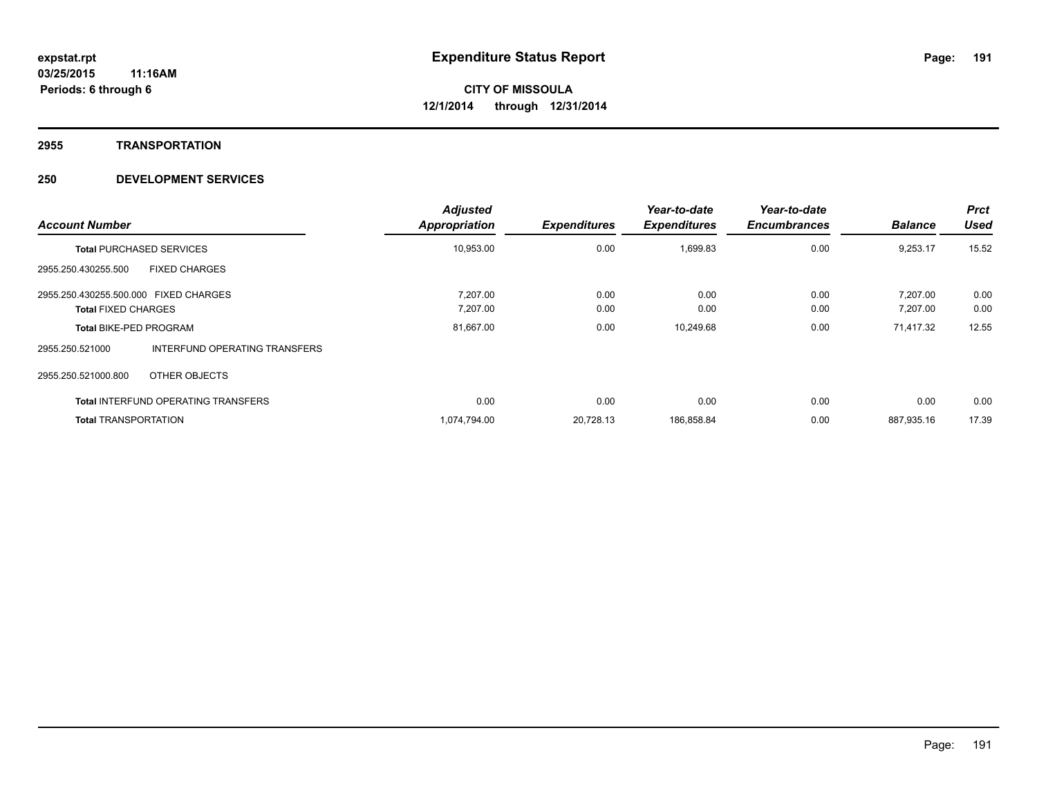#### **2955 TRANSPORTATION**

| <b>Account Number</b>                 |                                            | <b>Adjusted</b><br>Appropriation | <b>Expenditures</b> | Year-to-date<br><b>Expenditures</b> | Year-to-date<br><b>Encumbrances</b> | <b>Balance</b> | <b>Prct</b><br><b>Used</b> |
|---------------------------------------|--------------------------------------------|----------------------------------|---------------------|-------------------------------------|-------------------------------------|----------------|----------------------------|
|                                       | <b>Total PURCHASED SERVICES</b>            | 10,953.00                        | 0.00                | 1,699.83                            | 0.00                                | 9,253.17       | 15.52                      |
| 2955.250.430255.500                   | <b>FIXED CHARGES</b>                       |                                  |                     |                                     |                                     |                |                            |
| 2955.250.430255.500.000 FIXED CHARGES |                                            | 7.207.00                         | 0.00                | 0.00                                | 0.00                                | 7.207.00       | 0.00                       |
| <b>Total FIXED CHARGES</b>            |                                            | 7,207.00                         | 0.00                | 0.00                                | 0.00                                | 7,207.00       | 0.00                       |
| <b>Total BIKE-PED PROGRAM</b>         |                                            | 81,667.00                        | 0.00                | 10,249.68                           | 0.00                                | 71,417.32      | 12.55                      |
| 2955.250.521000                       | <b>INTERFUND OPERATING TRANSFERS</b>       |                                  |                     |                                     |                                     |                |                            |
| 2955.250.521000.800                   | OTHER OBJECTS                              |                                  |                     |                                     |                                     |                |                            |
|                                       | <b>Total INTERFUND OPERATING TRANSFERS</b> | 0.00                             | 0.00                | 0.00                                | 0.00                                | 0.00           | 0.00                       |
| <b>Total TRANSPORTATION</b>           |                                            | 1,074,794.00                     | 20,728.13           | 186,858.84                          | 0.00                                | 887,935.16     | 17.39                      |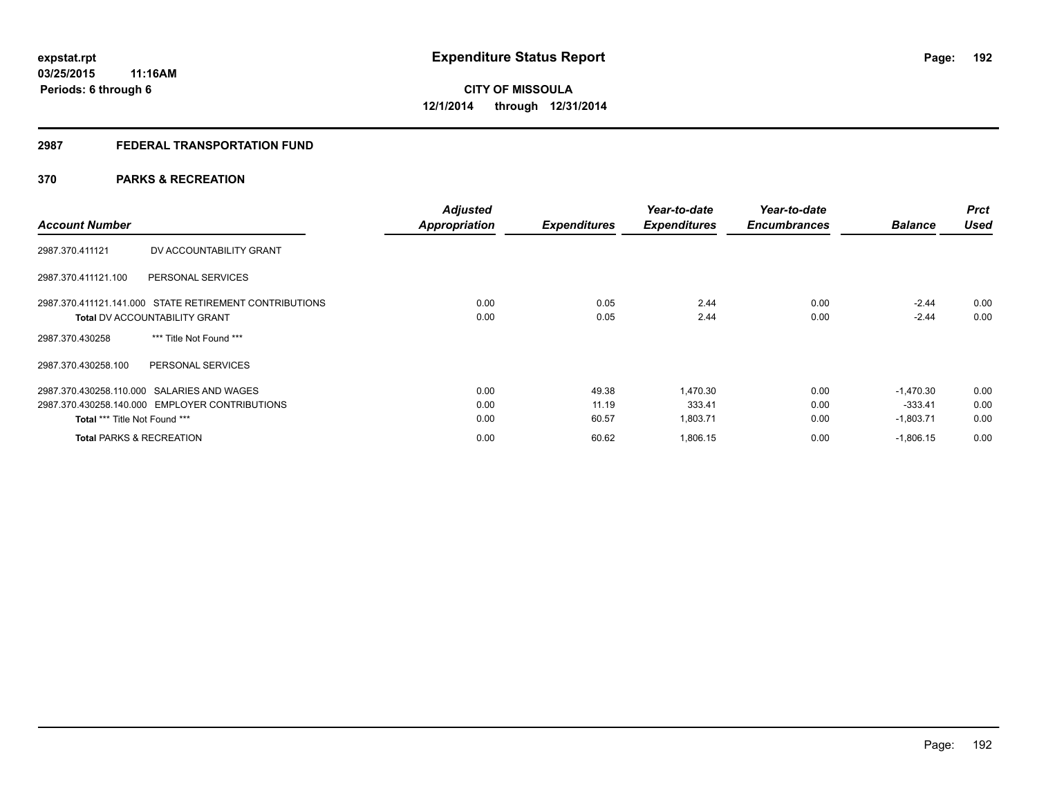# **2987 FEDERAL TRANSPORTATION FUND**

# **370 PARKS & RECREATION**

| <b>Account Number</b>                                  | <b>Adjusted</b><br><b>Appropriation</b> | <b>Expenditures</b> | Year-to-date<br><b>Expenditures</b> | Year-to-date<br><b>Encumbrances</b> | <b>Balance</b> | <b>Prct</b><br><b>Used</b> |
|--------------------------------------------------------|-----------------------------------------|---------------------|-------------------------------------|-------------------------------------|----------------|----------------------------|
| DV ACCOUNTABILITY GRANT<br>2987.370.411121             |                                         |                     |                                     |                                     |                |                            |
| 2987.370.411121.100<br>PERSONAL SERVICES               |                                         |                     |                                     |                                     |                |                            |
| 2987.370.411121.141.000 STATE RETIREMENT CONTRIBUTIONS | 0.00                                    | 0.05                | 2.44                                | 0.00                                | $-2.44$        | 0.00                       |
| <b>Total DV ACCOUNTABILITY GRANT</b>                   | 0.00                                    | 0.05                | 2.44                                | 0.00                                | $-2.44$        | 0.00                       |
| *** Title Not Found ***<br>2987.370.430258             |                                         |                     |                                     |                                     |                |                            |
| PERSONAL SERVICES<br>2987.370.430258.100               |                                         |                     |                                     |                                     |                |                            |
| 2987.370.430258.110.000 SALARIES AND WAGES             | 0.00                                    | 49.38               | 1.470.30                            | 0.00                                | $-1.470.30$    | 0.00                       |
| 2987.370.430258.140.000 EMPLOYER CONTRIBUTIONS         | 0.00                                    | 11.19               | 333.41                              | 0.00                                | $-333.41$      | 0.00                       |
| Total *** Title Not Found ***                          | 0.00                                    | 60.57               | 1,803.71                            | 0.00                                | $-1,803.71$    | 0.00                       |
| <b>Total PARKS &amp; RECREATION</b>                    | 0.00                                    | 60.62               | 1,806.15                            | 0.00                                | $-1,806.15$    | 0.00                       |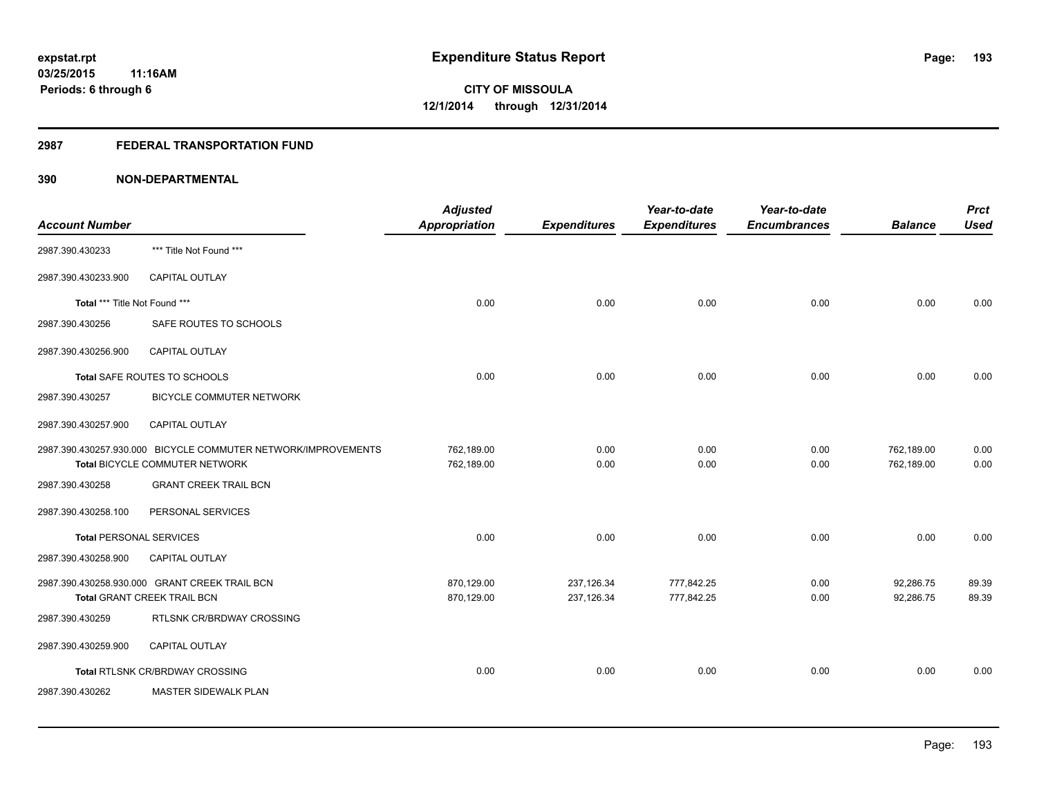## **2987 FEDERAL TRANSPORTATION FUND**

| <b>Account Number</b>          |                                                                                                 | <b>Adjusted</b><br><b>Appropriation</b> | <b>Expenditures</b>      | Year-to-date<br><b>Expenditures</b> | Year-to-date<br><b>Encumbrances</b> | <b>Balance</b>           | <b>Prct</b><br><b>Used</b> |
|--------------------------------|-------------------------------------------------------------------------------------------------|-----------------------------------------|--------------------------|-------------------------------------|-------------------------------------|--------------------------|----------------------------|
| 2987.390.430233                | *** Title Not Found ***                                                                         |                                         |                          |                                     |                                     |                          |                            |
| 2987.390.430233.900            | <b>CAPITAL OUTLAY</b>                                                                           |                                         |                          |                                     |                                     |                          |                            |
| Total *** Title Not Found ***  |                                                                                                 | 0.00                                    | 0.00                     | 0.00                                | 0.00                                | 0.00                     | 0.00                       |
| 2987.390.430256                | SAFE ROUTES TO SCHOOLS                                                                          |                                         |                          |                                     |                                     |                          |                            |
| 2987.390.430256.900            | CAPITAL OUTLAY                                                                                  |                                         |                          |                                     |                                     |                          |                            |
|                                | Total SAFE ROUTES TO SCHOOLS                                                                    | 0.00                                    | 0.00                     | 0.00                                | 0.00                                | 0.00                     | 0.00                       |
| 2987.390.430257                | BICYCLE COMMUTER NETWORK                                                                        |                                         |                          |                                     |                                     |                          |                            |
| 2987.390.430257.900            | <b>CAPITAL OUTLAY</b>                                                                           |                                         |                          |                                     |                                     |                          |                            |
|                                | 2987.390.430257.930.000 BICYCLE COMMUTER NETWORK/IMPROVEMENTS<br>Total BICYCLE COMMUTER NETWORK | 762,189.00<br>762,189.00                | 0.00<br>0.00             | 0.00<br>0.00                        | 0.00<br>0.00                        | 762,189.00<br>762,189.00 | 0.00<br>0.00               |
| 2987.390.430258                | <b>GRANT CREEK TRAIL BCN</b>                                                                    |                                         |                          |                                     |                                     |                          |                            |
| 2987.390.430258.100            | PERSONAL SERVICES                                                                               |                                         |                          |                                     |                                     |                          |                            |
| <b>Total PERSONAL SERVICES</b> |                                                                                                 | 0.00                                    | 0.00                     | 0.00                                | 0.00                                | 0.00                     | 0.00                       |
| 2987.390.430258.900            | <b>CAPITAL OUTLAY</b>                                                                           |                                         |                          |                                     |                                     |                          |                            |
|                                | 2987.390.430258.930.000 GRANT CREEK TRAIL BCN<br>Total GRANT CREEK TRAIL BCN                    | 870,129.00<br>870,129.00                | 237,126.34<br>237,126.34 | 777,842.25<br>777,842.25            | 0.00<br>0.00                        | 92,286.75<br>92,286.75   | 89.39<br>89.39             |
| 2987.390.430259                | RTLSNK CR/BRDWAY CROSSING                                                                       |                                         |                          |                                     |                                     |                          |                            |
| 2987.390.430259.900            | <b>CAPITAL OUTLAY</b>                                                                           |                                         |                          |                                     |                                     |                          |                            |
|                                | Total RTLSNK CR/BRDWAY CROSSING                                                                 | 0.00                                    | 0.00                     | 0.00                                | 0.00                                | 0.00                     | 0.00                       |
| 2987.390.430262                | <b>MASTER SIDEWALK PLAN</b>                                                                     |                                         |                          |                                     |                                     |                          |                            |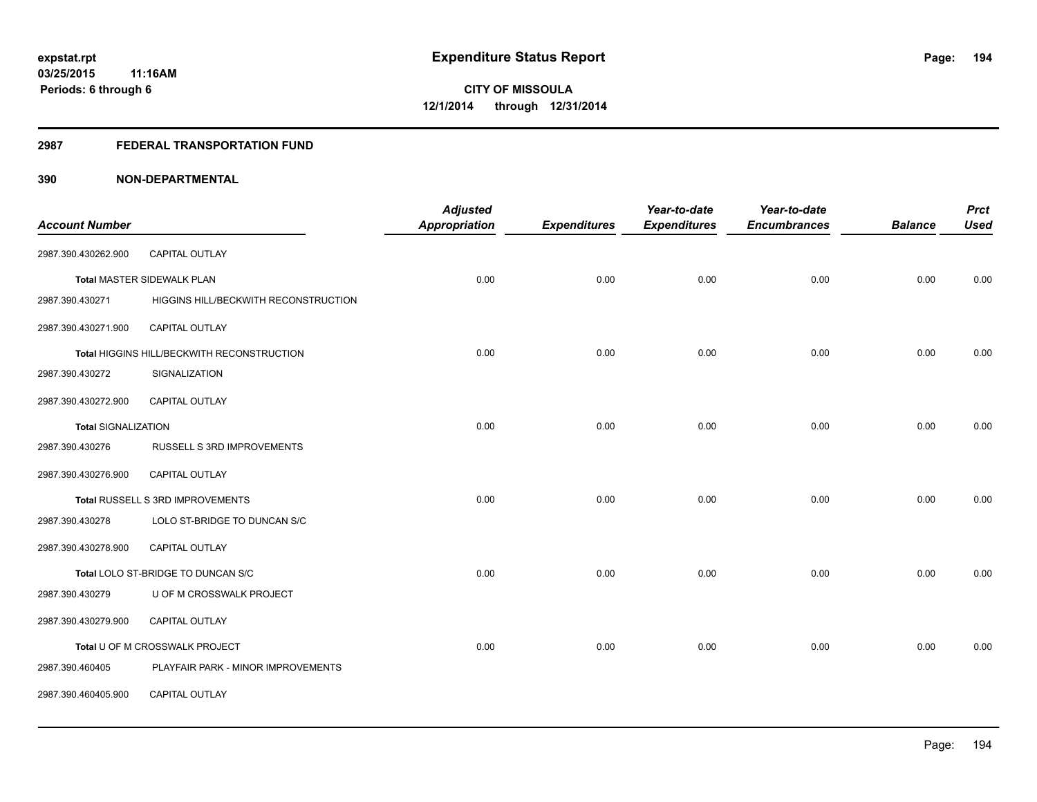## **2987 FEDERAL TRANSPORTATION FUND**

|                            |                                            | <b>Adjusted</b>      |                     | Year-to-date        | Year-to-date        |                | <b>Prct</b> |
|----------------------------|--------------------------------------------|----------------------|---------------------|---------------------|---------------------|----------------|-------------|
| <b>Account Number</b>      |                                            | <b>Appropriation</b> | <b>Expenditures</b> | <b>Expenditures</b> | <b>Encumbrances</b> | <b>Balance</b> | <b>Used</b> |
| 2987.390.430262.900        | CAPITAL OUTLAY                             |                      |                     |                     |                     |                |             |
|                            | Total MASTER SIDEWALK PLAN                 | 0.00                 | 0.00                | 0.00                | 0.00                | 0.00           | 0.00        |
| 2987.390.430271            | HIGGINS HILL/BECKWITH RECONSTRUCTION       |                      |                     |                     |                     |                |             |
| 2987.390.430271.900        | CAPITAL OUTLAY                             |                      |                     |                     |                     |                |             |
|                            | Total HIGGINS HILL/BECKWITH RECONSTRUCTION | 0.00                 | 0.00                | 0.00                | 0.00                | 0.00           | 0.00        |
| 2987.390.430272            | SIGNALIZATION                              |                      |                     |                     |                     |                |             |
| 2987.390.430272.900        | <b>CAPITAL OUTLAY</b>                      |                      |                     |                     |                     |                |             |
| <b>Total SIGNALIZATION</b> |                                            | 0.00                 | 0.00                | 0.00                | 0.00                | 0.00           | 0.00        |
| 2987.390.430276            | RUSSELL S 3RD IMPROVEMENTS                 |                      |                     |                     |                     |                |             |
| 2987.390.430276.900        | CAPITAL OUTLAY                             |                      |                     |                     |                     |                |             |
|                            | Total RUSSELL S 3RD IMPROVEMENTS           | 0.00                 | 0.00                | 0.00                | 0.00                | 0.00           | 0.00        |
| 2987.390.430278            | LOLO ST-BRIDGE TO DUNCAN S/C               |                      |                     |                     |                     |                |             |
| 2987.390.430278.900        | <b>CAPITAL OUTLAY</b>                      |                      |                     |                     |                     |                |             |
|                            | Total LOLO ST-BRIDGE TO DUNCAN S/C         | 0.00                 | 0.00                | 0.00                | 0.00                | 0.00           | 0.00        |
| 2987.390.430279            | U OF M CROSSWALK PROJECT                   |                      |                     |                     |                     |                |             |
| 2987.390.430279.900        | <b>CAPITAL OUTLAY</b>                      |                      |                     |                     |                     |                |             |
|                            | Total U OF M CROSSWALK PROJECT             | 0.00                 | 0.00                | 0.00                | 0.00                | 0.00           | 0.00        |
| 2987.390.460405            | PLAYFAIR PARK - MINOR IMPROVEMENTS         |                      |                     |                     |                     |                |             |
| 2987.390.460405.900        | CAPITAL OUTLAY                             |                      |                     |                     |                     |                |             |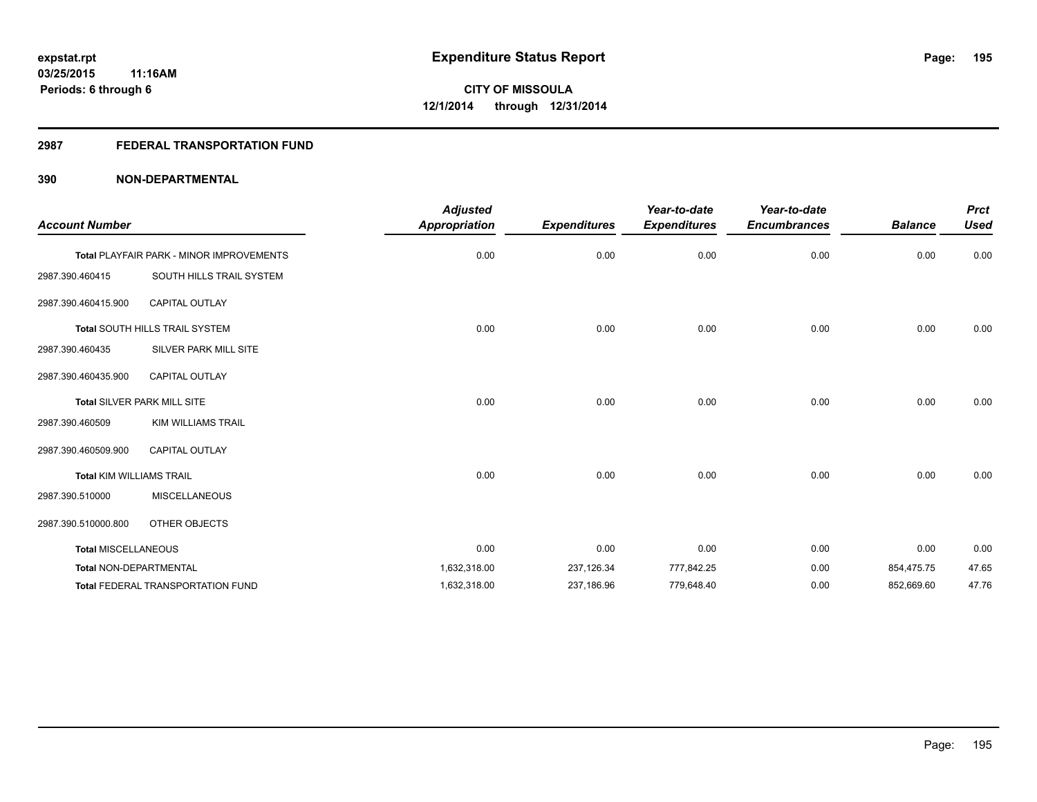## **2987 FEDERAL TRANSPORTATION FUND**

| <b>Account Number</b>           |                                                 | <b>Adjusted</b><br><b>Appropriation</b> | <b>Expenditures</b> | Year-to-date<br><b>Expenditures</b> | Year-to-date<br><b>Encumbrances</b> | <b>Balance</b> | <b>Prct</b><br><b>Used</b> |
|---------------------------------|-------------------------------------------------|-----------------------------------------|---------------------|-------------------------------------|-------------------------------------|----------------|----------------------------|
|                                 | <b>Total PLAYFAIR PARK - MINOR IMPROVEMENTS</b> | 0.00                                    | 0.00                | 0.00                                | 0.00                                | 0.00           | 0.00                       |
| 2987.390.460415                 | SOUTH HILLS TRAIL SYSTEM                        |                                         |                     |                                     |                                     |                |                            |
| 2987.390.460415.900             | <b>CAPITAL OUTLAY</b>                           |                                         |                     |                                     |                                     |                |                            |
|                                 | Total SOUTH HILLS TRAIL SYSTEM                  | 0.00                                    | 0.00                | 0.00                                | 0.00                                | 0.00           | 0.00                       |
| 2987.390.460435                 | SILVER PARK MILL SITE                           |                                         |                     |                                     |                                     |                |                            |
| 2987.390.460435.900             | <b>CAPITAL OUTLAY</b>                           |                                         |                     |                                     |                                     |                |                            |
|                                 | Total SILVER PARK MILL SITE                     | 0.00                                    | 0.00                | 0.00                                | 0.00                                | 0.00           | 0.00                       |
| 2987.390.460509                 | <b>KIM WILLIAMS TRAIL</b>                       |                                         |                     |                                     |                                     |                |                            |
| 2987.390.460509.900             | <b>CAPITAL OUTLAY</b>                           |                                         |                     |                                     |                                     |                |                            |
| <b>Total KIM WILLIAMS TRAIL</b> |                                                 | 0.00                                    | 0.00                | 0.00                                | 0.00                                | 0.00           | 0.00                       |
| 2987.390.510000                 | <b>MISCELLANEOUS</b>                            |                                         |                     |                                     |                                     |                |                            |
| 2987.390.510000.800             | OTHER OBJECTS                                   |                                         |                     |                                     |                                     |                |                            |
| <b>Total MISCELLANEOUS</b>      |                                                 | 0.00                                    | 0.00                | 0.00                                | 0.00                                | 0.00           | 0.00                       |
| <b>Total NON-DEPARTMENTAL</b>   |                                                 | 1,632,318.00                            | 237,126.34          | 777,842.25                          | 0.00                                | 854,475.75     | 47.65                      |
|                                 | <b>Total FEDERAL TRANSPORTATION FUND</b>        | 1,632,318.00                            | 237,186.96          | 779,648.40                          | 0.00                                | 852,669.60     | 47.76                      |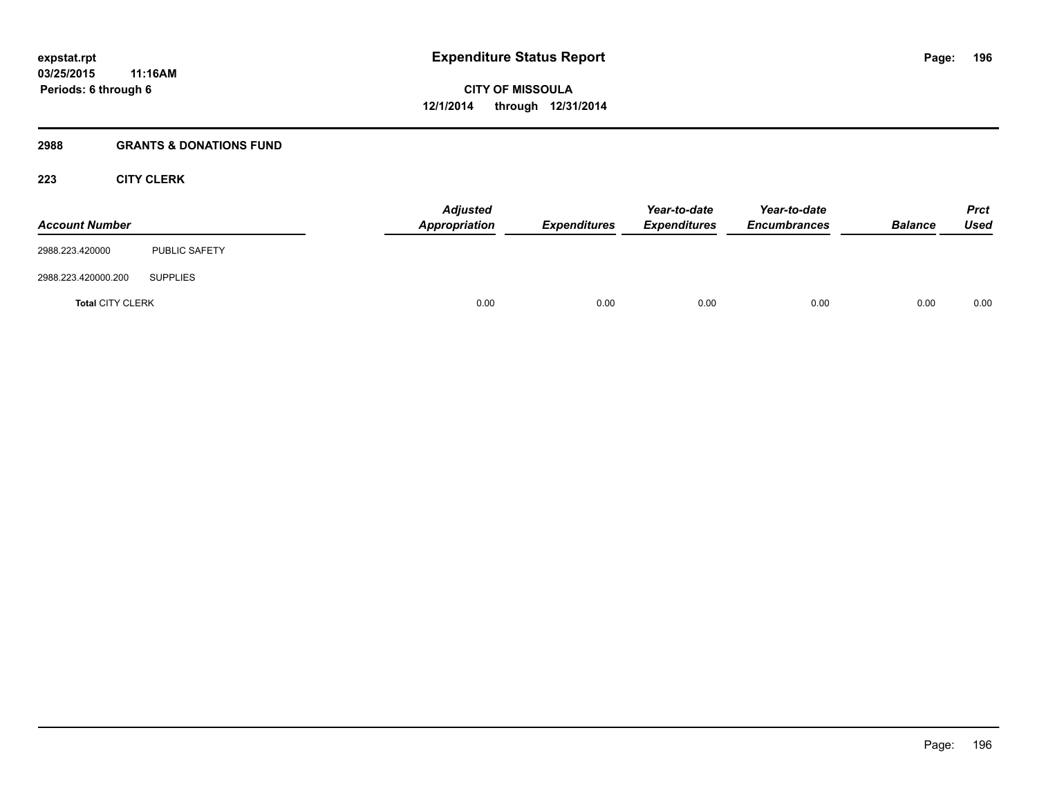## **2988 GRANTS & DONATIONS FUND**

# **223 CITY CLERK**

| <b>Account Number</b>   |                      | <b>Adjusted</b><br>Appropriation | Expenditures | Year-to-date<br><b>Expenditures</b> | Year-to-date<br><b>Encumbrances</b> | <b>Balance</b> | <b>Prct</b><br><b>Used</b> |
|-------------------------|----------------------|----------------------------------|--------------|-------------------------------------|-------------------------------------|----------------|----------------------------|
| 2988.223.420000         | <b>PUBLIC SAFETY</b> |                                  |              |                                     |                                     |                |                            |
| 2988.223.420000.200     | <b>SUPPLIES</b>      |                                  |              |                                     |                                     |                |                            |
| <b>Total CITY CLERK</b> |                      | 0.00                             | 0.00         | 0.00                                | 0.00                                | 0.00           | 0.00                       |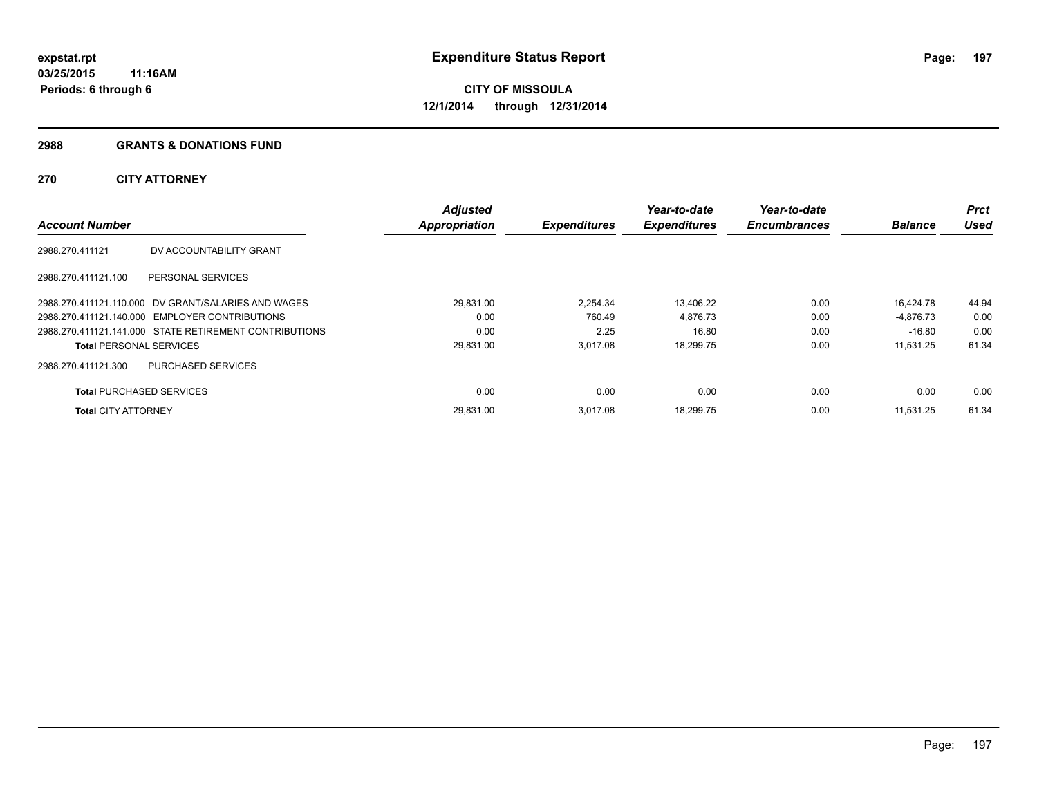### **2988 GRANTS & DONATIONS FUND**

# **270 CITY ATTORNEY**

| <b>Account Number</b>           |                                                        | <b>Adjusted</b><br><b>Appropriation</b> | <b>Expenditures</b> | Year-to-date<br><b>Expenditures</b> | Year-to-date<br><b>Encumbrances</b> | <b>Balance</b> | Prct<br><b>Used</b> |
|---------------------------------|--------------------------------------------------------|-----------------------------------------|---------------------|-------------------------------------|-------------------------------------|----------------|---------------------|
| 2988.270.411121                 | DV ACCOUNTABILITY GRANT                                |                                         |                     |                                     |                                     |                |                     |
| 2988.270.411121.100             | PERSONAL SERVICES                                      |                                         |                     |                                     |                                     |                |                     |
|                                 | 2988.270.411121.110.000 DV GRANT/SALARIES AND WAGES    | 29.831.00                               | 2.254.34            | 13.406.22                           | 0.00                                | 16.424.78      | 44.94               |
|                                 | 2988.270.411121.140.000 EMPLOYER CONTRIBUTIONS         | 0.00                                    | 760.49              | 4,876.73                            | 0.00                                | -4.876.73      | 0.00                |
|                                 | 2988.270.411121.141.000 STATE RETIREMENT CONTRIBUTIONS | 0.00                                    | 2.25                | 16.80                               | 0.00                                | $-16.80$       | 0.00                |
| <b>Total PERSONAL SERVICES</b>  |                                                        | 29,831.00                               | 3,017.08            | 18,299.75                           | 0.00                                | 11.531.25      | 61.34               |
| 2988.270.411121.300             | PURCHASED SERVICES                                     |                                         |                     |                                     |                                     |                |                     |
| <b>Total PURCHASED SERVICES</b> |                                                        | 0.00                                    | 0.00                | 0.00                                | 0.00                                | 0.00           | 0.00                |
| <b>Total CITY ATTORNEY</b>      |                                                        | 29,831.00                               | 3.017.08            | 18,299.75                           | 0.00                                | 11.531.25      | 61.34               |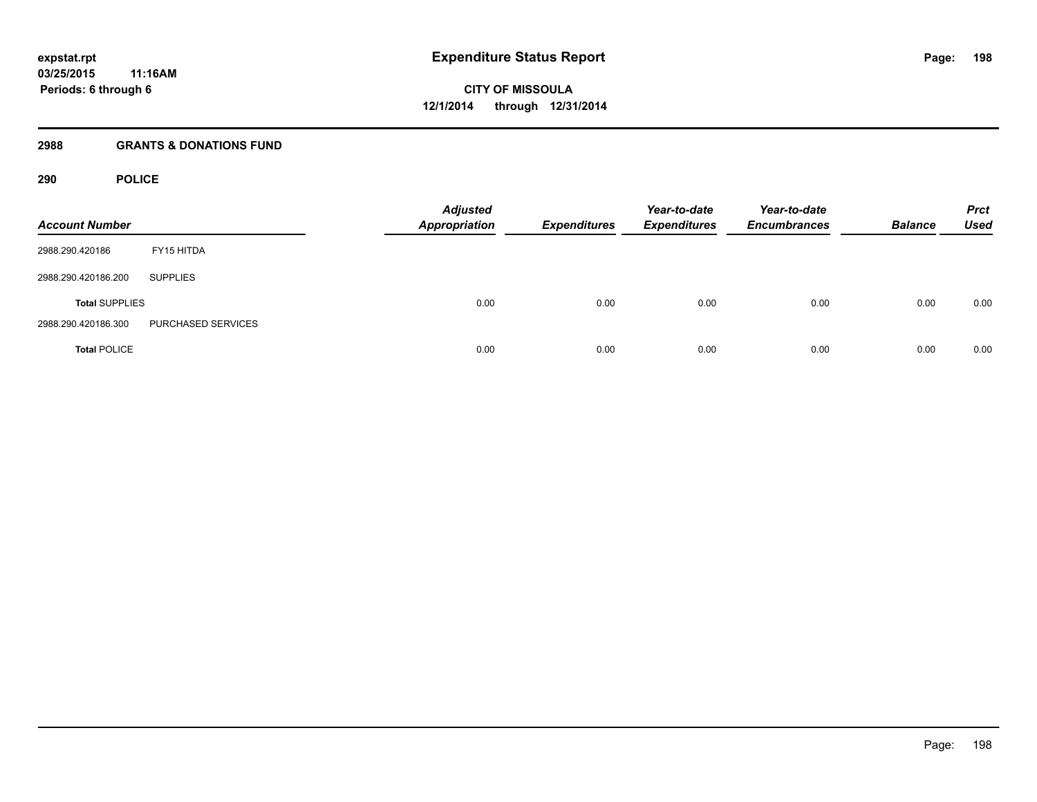# **2988 GRANTS & DONATIONS FUND**

# **290 POLICE**

| <b>Account Number</b> |                    | <b>Adjusted</b><br><b>Appropriation</b> | <b>Expenditures</b> | Year-to-date<br><b>Expenditures</b> | Year-to-date<br><b>Encumbrances</b> | <b>Balance</b> | <b>Prct</b><br><b>Used</b> |
|-----------------------|--------------------|-----------------------------------------|---------------------|-------------------------------------|-------------------------------------|----------------|----------------------------|
| 2988.290.420186       | FY15 HITDA         |                                         |                     |                                     |                                     |                |                            |
| 2988.290.420186.200   | <b>SUPPLIES</b>    |                                         |                     |                                     |                                     |                |                            |
| <b>Total SUPPLIES</b> |                    | 0.00                                    | 0.00                | 0.00                                | 0.00                                | 0.00           | 0.00                       |
| 2988.290.420186.300   | PURCHASED SERVICES |                                         |                     |                                     |                                     |                |                            |
| <b>Total POLICE</b>   |                    | 0.00                                    | 0.00                | 0.00                                | 0.00                                | 0.00           | 0.00                       |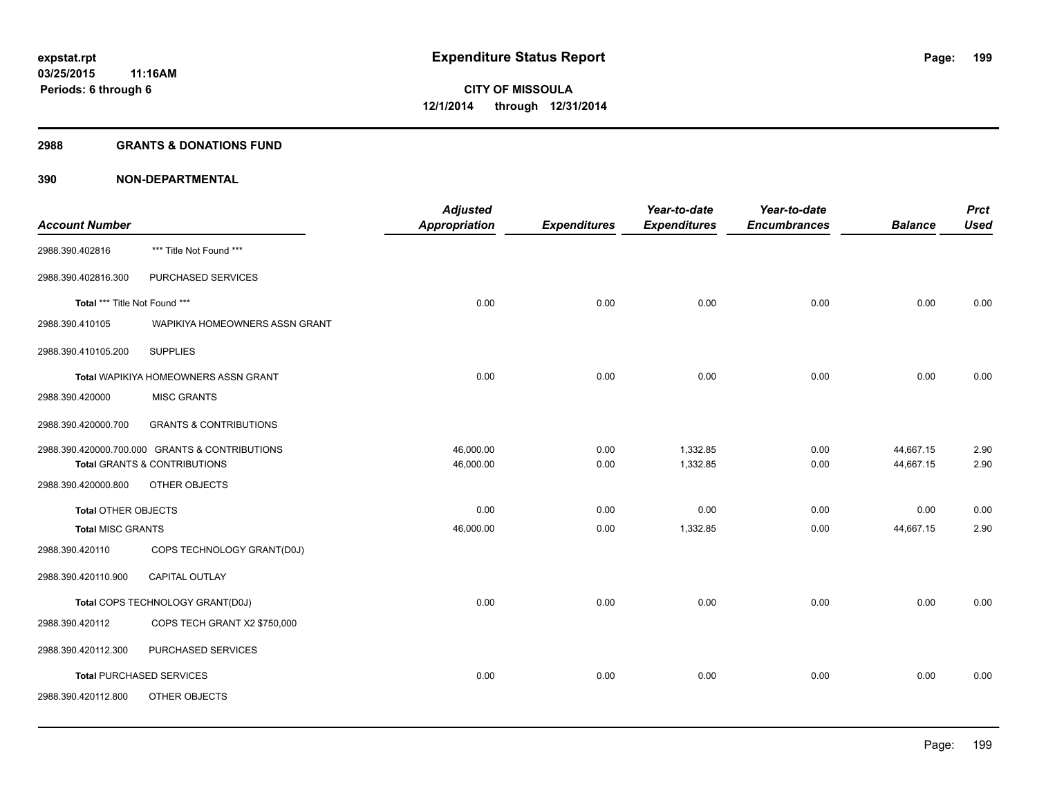### **2988 GRANTS & DONATIONS FUND**

|                               |                                                | <b>Adjusted</b> |                     | Year-to-date        | Year-to-date        |                | <b>Prct</b> |
|-------------------------------|------------------------------------------------|-----------------|---------------------|---------------------|---------------------|----------------|-------------|
| <b>Account Number</b>         |                                                | Appropriation   | <b>Expenditures</b> | <b>Expenditures</b> | <b>Encumbrances</b> | <b>Balance</b> | <b>Used</b> |
| 2988.390.402816               | *** Title Not Found ***                        |                 |                     |                     |                     |                |             |
| 2988.390.402816.300           | PURCHASED SERVICES                             |                 |                     |                     |                     |                |             |
| Total *** Title Not Found *** |                                                | 0.00            | 0.00                | 0.00                | 0.00                | 0.00           | 0.00        |
| 2988.390.410105               | WAPIKIYA HOMEOWNERS ASSN GRANT                 |                 |                     |                     |                     |                |             |
| 2988.390.410105.200           | <b>SUPPLIES</b>                                |                 |                     |                     |                     |                |             |
|                               | Total WAPIKIYA HOMEOWNERS ASSN GRANT           | 0.00            | 0.00                | 0.00                | 0.00                | 0.00           | 0.00        |
| 2988.390.420000               | <b>MISC GRANTS</b>                             |                 |                     |                     |                     |                |             |
| 2988.390.420000.700           | <b>GRANTS &amp; CONTRIBUTIONS</b>              |                 |                     |                     |                     |                |             |
|                               | 2988.390.420000.700.000 GRANTS & CONTRIBUTIONS | 46,000.00       | 0.00                | 1,332.85            | 0.00                | 44,667.15      | 2.90        |
|                               | Total GRANTS & CONTRIBUTIONS                   | 46,000.00       | 0.00                | 1,332.85            | 0.00                | 44,667.15      | 2.90        |
| 2988.390.420000.800           | OTHER OBJECTS                                  |                 |                     |                     |                     |                |             |
| <b>Total OTHER OBJECTS</b>    |                                                | 0.00            | 0.00                | 0.00                | 0.00                | 0.00           | 0.00        |
| <b>Total MISC GRANTS</b>      |                                                | 46,000.00       | 0.00                | 1,332.85            | 0.00                | 44,667.15      | 2.90        |
| 2988.390.420110               | COPS TECHNOLOGY GRANT(D0J)                     |                 |                     |                     |                     |                |             |
| 2988.390.420110.900           | <b>CAPITAL OUTLAY</b>                          |                 |                     |                     |                     |                |             |
|                               | Total COPS TECHNOLOGY GRANT(D0J)               | 0.00            | 0.00                | 0.00                | 0.00                | 0.00           | 0.00        |
| 2988.390.420112               | COPS TECH GRANT X2 \$750,000                   |                 |                     |                     |                     |                |             |
| 2988.390.420112.300           | PURCHASED SERVICES                             |                 |                     |                     |                     |                |             |
|                               | <b>Total PURCHASED SERVICES</b>                | 0.00            | 0.00                | 0.00                | 0.00                | 0.00           | 0.00        |
| 2988.390.420112.800           | OTHER OBJECTS                                  |                 |                     |                     |                     |                |             |
|                               |                                                |                 |                     |                     |                     |                |             |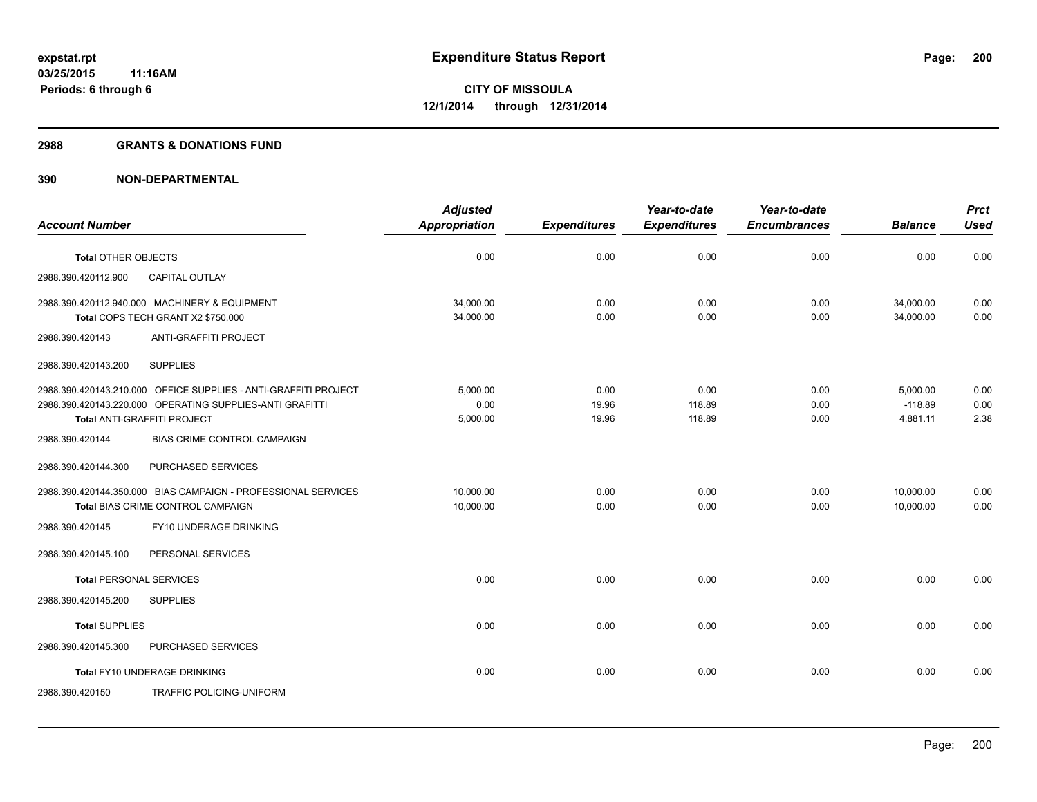### **2988 GRANTS & DONATIONS FUND**

|                                |                                                                                                                             | <b>Adjusted</b>              |                        | Year-to-date             | Year-to-date         |                                   | <b>Prct</b>          |
|--------------------------------|-----------------------------------------------------------------------------------------------------------------------------|------------------------------|------------------------|--------------------------|----------------------|-----------------------------------|----------------------|
| <b>Account Number</b>          |                                                                                                                             | <b>Appropriation</b>         | <b>Expenditures</b>    | <b>Expenditures</b>      | <b>Encumbrances</b>  | <b>Balance</b>                    | <b>Used</b>          |
| <b>Total OTHER OBJECTS</b>     |                                                                                                                             | 0.00                         | 0.00                   | 0.00                     | 0.00                 | 0.00                              | 0.00                 |
| 2988.390.420112.900            | <b>CAPITAL OUTLAY</b>                                                                                                       |                              |                        |                          |                      |                                   |                      |
|                                | 2988.390.420112.940.000 MACHINERY & EQUIPMENT<br>Total COPS TECH GRANT X2 \$750,000                                         | 34,000.00<br>34,000.00       | 0.00<br>0.00           | 0.00<br>0.00             | 0.00<br>0.00         | 34,000.00<br>34,000.00            | 0.00<br>0.00         |
| 2988.390.420143                | <b>ANTI-GRAFFITI PROJECT</b>                                                                                                |                              |                        |                          |                      |                                   |                      |
| 2988.390.420143.200            | <b>SUPPLIES</b>                                                                                                             |                              |                        |                          |                      |                                   |                      |
| Total ANTI-GRAFFITI PROJECT    | 2988.390.420143.210.000 OFFICE SUPPLIES - ANTI-GRAFFITI PROJECT<br>2988.390.420143.220.000 OPERATING SUPPLIES-ANTI GRAFITTI | 5.000.00<br>0.00<br>5,000.00 | 0.00<br>19.96<br>19.96 | 0.00<br>118.89<br>118.89 | 0.00<br>0.00<br>0.00 | 5,000.00<br>$-118.89$<br>4,881.11 | 0.00<br>0.00<br>2.38 |
| 2988.390.420144                | BIAS CRIME CONTROL CAMPAIGN                                                                                                 |                              |                        |                          |                      |                                   |                      |
| 2988.390.420144.300            | PURCHASED SERVICES                                                                                                          |                              |                        |                          |                      |                                   |                      |
|                                | 2988.390.420144.350.000 BIAS CAMPAIGN - PROFESSIONAL SERVICES<br>Total BIAS CRIME CONTROL CAMPAIGN                          | 10,000.00<br>10,000.00       | 0.00<br>0.00           | 0.00<br>0.00             | 0.00<br>0.00         | 10,000.00<br>10,000.00            | 0.00<br>0.00         |
| 2988.390.420145                | FY10 UNDERAGE DRINKING                                                                                                      |                              |                        |                          |                      |                                   |                      |
| 2988.390.420145.100            | PERSONAL SERVICES                                                                                                           |                              |                        |                          |                      |                                   |                      |
| <b>Total PERSONAL SERVICES</b> |                                                                                                                             | 0.00                         | 0.00                   | 0.00                     | 0.00                 | 0.00                              | 0.00                 |
| 2988.390.420145.200            | <b>SUPPLIES</b>                                                                                                             |                              |                        |                          |                      |                                   |                      |
| <b>Total SUPPLIES</b>          |                                                                                                                             | 0.00                         | 0.00                   | 0.00                     | 0.00                 | 0.00                              | 0.00                 |
| 2988.390.420145.300            | PURCHASED SERVICES                                                                                                          |                              |                        |                          |                      |                                   |                      |
|                                | Total FY10 UNDERAGE DRINKING                                                                                                | 0.00                         | 0.00                   | 0.00                     | 0.00                 | 0.00                              | 0.00                 |
| 2988.390.420150                | TRAFFIC POLICING-UNIFORM                                                                                                    |                              |                        |                          |                      |                                   |                      |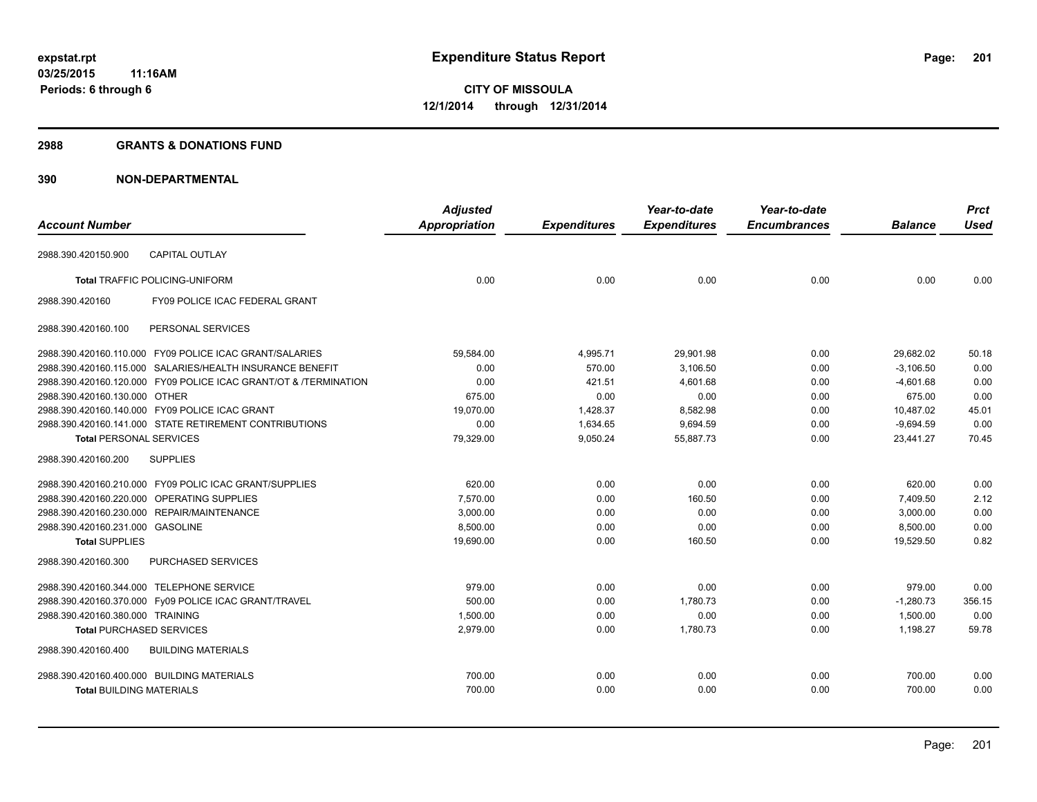#### **2988 GRANTS & DONATIONS FUND**

|                                            |                                                                  | <b>Adjusted</b>      |                     | Year-to-date        | Year-to-date        |                | <b>Prct</b> |
|--------------------------------------------|------------------------------------------------------------------|----------------------|---------------------|---------------------|---------------------|----------------|-------------|
| <b>Account Number</b>                      |                                                                  | <b>Appropriation</b> | <b>Expenditures</b> | <b>Expenditures</b> | <b>Encumbrances</b> | <b>Balance</b> | <b>Used</b> |
| 2988.390.420150.900                        | <b>CAPITAL OUTLAY</b>                                            |                      |                     |                     |                     |                |             |
|                                            | <b>Total TRAFFIC POLICING-UNIFORM</b>                            | 0.00                 | 0.00                | 0.00                | 0.00                | 0.00           | 0.00        |
| 2988.390.420160                            | FY09 POLICE ICAC FEDERAL GRANT                                   |                      |                     |                     |                     |                |             |
| 2988.390.420160.100                        | PERSONAL SERVICES                                                |                      |                     |                     |                     |                |             |
|                                            | 2988.390.420160.110.000 FY09 POLICE ICAC GRANT/SALARIES          | 59,584.00            | 4,995.71            | 29,901.98           | 0.00                | 29,682.02      | 50.18       |
|                                            | 2988.390.420160.115.000 SALARIES/HEALTH INSURANCE BENEFIT        | 0.00                 | 570.00              | 3,106.50            | 0.00                | $-3,106.50$    | 0.00        |
|                                            | 2988.390.420160.120.000 FY09 POLICE ICAC GRANT/OT & /TERMINATION | 0.00                 | 421.51              | 4,601.68            | 0.00                | $-4,601.68$    | 0.00        |
| 2988.390.420160.130.000 OTHER              |                                                                  | 675.00               | 0.00                | 0.00                | 0.00                | 675.00         | 0.00        |
|                                            | 2988.390.420160.140.000 FY09 POLICE ICAC GRANT                   | 19,070.00            | 1,428.37            | 8,582.98            | 0.00                | 10,487.02      | 45.01       |
|                                            | 2988.390.420160.141.000 STATE RETIREMENT CONTRIBUTIONS           | 0.00                 | 1,634.65            | 9,694.59            | 0.00                | $-9,694.59$    | 0.00        |
| <b>Total PERSONAL SERVICES</b>             |                                                                  | 79,329.00            | 9,050.24            | 55.887.73           | 0.00                | 23.441.27      | 70.45       |
| 2988.390.420160.200                        | <b>SUPPLIES</b>                                                  |                      |                     |                     |                     |                |             |
|                                            | 2988.390.420160.210.000 FY09 POLIC ICAC GRANT/SUPPLIES           | 620.00               | 0.00                | 0.00                | 0.00                | 620.00         | 0.00        |
|                                            | 2988.390.420160.220.000 OPERATING SUPPLIES                       | 7,570.00             | 0.00                | 160.50              | 0.00                | 7,409.50       | 2.12        |
|                                            | 2988.390.420160.230.000 REPAIR/MAINTENANCE                       | 3,000.00             | 0.00                | 0.00                | 0.00                | 3,000.00       | 0.00        |
| 2988.390.420160.231.000 GASOLINE           |                                                                  | 8,500.00             | 0.00                | 0.00                | 0.00                | 8,500.00       | 0.00        |
| <b>Total SUPPLIES</b>                      |                                                                  | 19,690.00            | 0.00                | 160.50              | 0.00                | 19,529.50      | 0.82        |
| 2988.390.420160.300                        | <b>PURCHASED SERVICES</b>                                        |                      |                     |                     |                     |                |             |
| 2988.390.420160.344.000 TELEPHONE SERVICE  |                                                                  | 979.00               | 0.00                | 0.00                | 0.00                | 979.00         | 0.00        |
|                                            | 2988.390.420160.370.000 Fy09 POLICE ICAC GRANT/TRAVEL            | 500.00               | 0.00                | 1,780.73            | 0.00                | $-1,280.73$    | 356.15      |
| 2988.390.420160.380.000 TRAINING           |                                                                  | 1,500.00             | 0.00                | 0.00                | 0.00                | 1,500.00       | 0.00        |
| <b>Total PURCHASED SERVICES</b>            |                                                                  | 2,979.00             | 0.00                | 1,780.73            | 0.00                | 1,198.27       | 59.78       |
| 2988.390.420160.400                        | <b>BUILDING MATERIALS</b>                                        |                      |                     |                     |                     |                |             |
| 2988.390.420160.400.000 BUILDING MATERIALS |                                                                  | 700.00               | 0.00                | 0.00                | 0.00                | 700.00         | 0.00        |
| <b>Total BUILDING MATERIALS</b>            |                                                                  | 700.00               | 0.00                | 0.00                | 0.00                | 700.00         | 0.00        |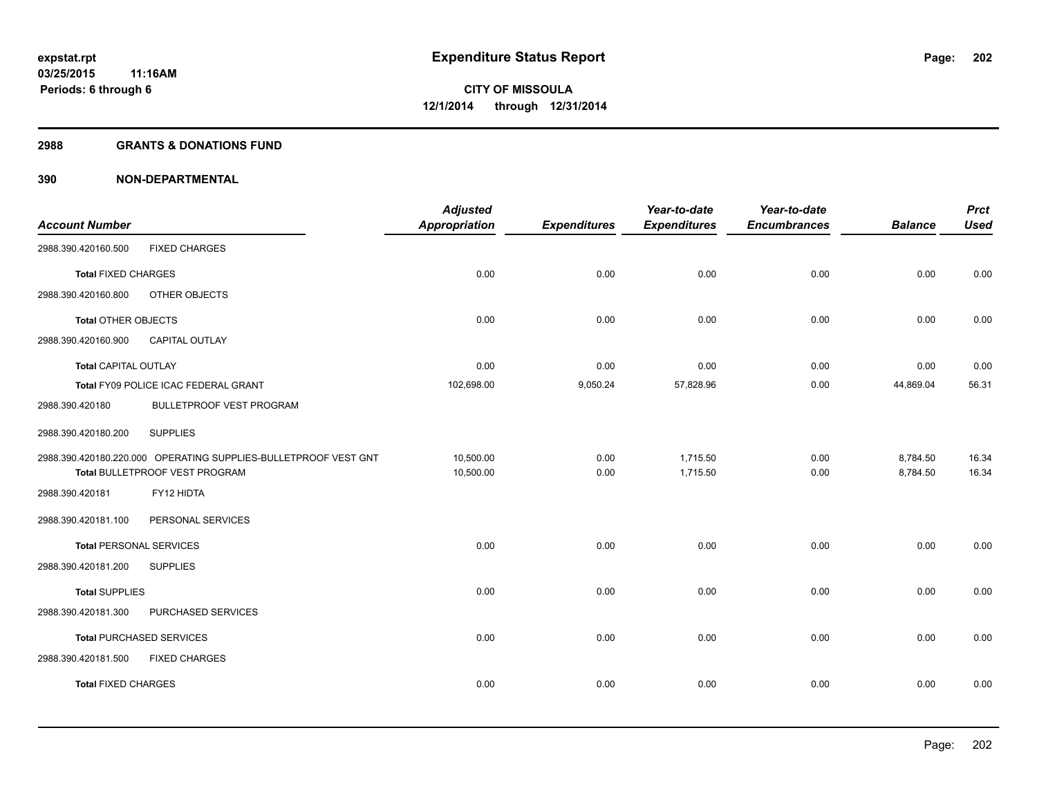### **2988 GRANTS & DONATIONS FUND**

| <b>Account Number</b>          |                                                                 | <b>Adjusted</b><br><b>Appropriation</b> | <b>Expenditures</b> | Year-to-date<br><b>Expenditures</b> | Year-to-date<br><b>Encumbrances</b> | <b>Balance</b> | <b>Prct</b><br><b>Used</b> |
|--------------------------------|-----------------------------------------------------------------|-----------------------------------------|---------------------|-------------------------------------|-------------------------------------|----------------|----------------------------|
| 2988.390.420160.500            | <b>FIXED CHARGES</b>                                            |                                         |                     |                                     |                                     |                |                            |
| <b>Total FIXED CHARGES</b>     |                                                                 | 0.00                                    | 0.00                | 0.00                                | 0.00                                | 0.00           | 0.00                       |
| 2988.390.420160.800            | OTHER OBJECTS                                                   |                                         |                     |                                     |                                     |                |                            |
| <b>Total OTHER OBJECTS</b>     |                                                                 | 0.00                                    | 0.00                | 0.00                                | 0.00                                | 0.00           | 0.00                       |
| 2988.390.420160.900            | CAPITAL OUTLAY                                                  |                                         |                     |                                     |                                     |                |                            |
| <b>Total CAPITAL OUTLAY</b>    |                                                                 | 0.00                                    | 0.00                | 0.00                                | 0.00                                | 0.00           | 0.00                       |
|                                | Total FY09 POLICE ICAC FEDERAL GRANT                            | 102,698.00                              | 9,050.24            | 57,828.96                           | 0.00                                | 44,869.04      | 56.31                      |
| 2988.390.420180                | BULLETPROOF VEST PROGRAM                                        |                                         |                     |                                     |                                     |                |                            |
| 2988.390.420180.200            | <b>SUPPLIES</b>                                                 |                                         |                     |                                     |                                     |                |                            |
|                                | 2988.390.420180.220.000 OPERATING SUPPLIES-BULLETPROOF VEST GNT | 10,500.00                               | 0.00                | 1,715.50                            | 0.00                                | 8,784.50       | 16.34                      |
|                                | Total BULLETPROOF VEST PROGRAM                                  | 10,500.00                               | 0.00                | 1,715.50                            | 0.00                                | 8,784.50       | 16.34                      |
| 2988.390.420181                | FY12 HIDTA                                                      |                                         |                     |                                     |                                     |                |                            |
| 2988.390.420181.100            | PERSONAL SERVICES                                               |                                         |                     |                                     |                                     |                |                            |
| <b>Total PERSONAL SERVICES</b> |                                                                 | 0.00                                    | 0.00                | 0.00                                | 0.00                                | 0.00           | 0.00                       |
| 2988.390.420181.200            | <b>SUPPLIES</b>                                                 |                                         |                     |                                     |                                     |                |                            |
| <b>Total SUPPLIES</b>          |                                                                 | 0.00                                    | 0.00                | 0.00                                | 0.00                                | 0.00           | 0.00                       |
| 2988.390.420181.300            | PURCHASED SERVICES                                              |                                         |                     |                                     |                                     |                |                            |
|                                | <b>Total PURCHASED SERVICES</b>                                 | 0.00                                    | 0.00                | 0.00                                | 0.00                                | 0.00           | 0.00                       |
| 2988.390.420181.500            | <b>FIXED CHARGES</b>                                            |                                         |                     |                                     |                                     |                |                            |
| <b>Total FIXED CHARGES</b>     |                                                                 | 0.00                                    | 0.00                | 0.00                                | 0.00                                | 0.00           | 0.00                       |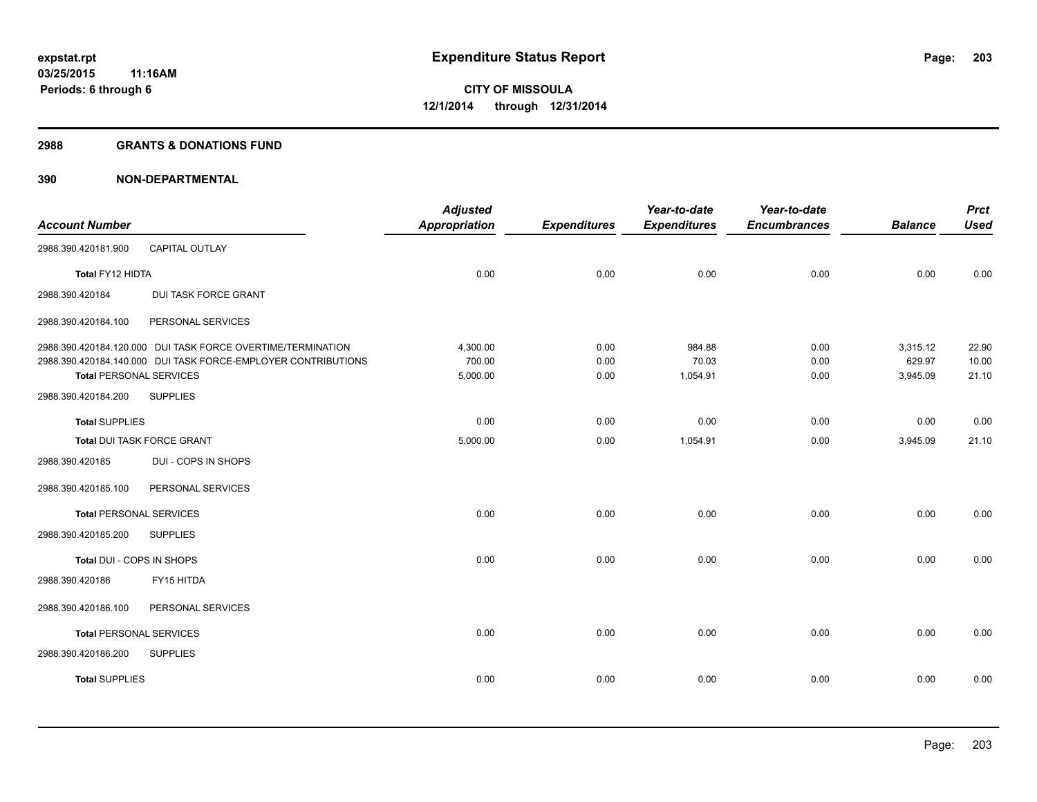#### **2988 GRANTS & DONATIONS FUND**

|                                |                                                               | <b>Adjusted</b>      |                     | Year-to-date        | Year-to-date        |                    | <b>Prct</b>    |
|--------------------------------|---------------------------------------------------------------|----------------------|---------------------|---------------------|---------------------|--------------------|----------------|
| <b>Account Number</b>          |                                                               | <b>Appropriation</b> | <b>Expenditures</b> | <b>Expenditures</b> | <b>Encumbrances</b> | <b>Balance</b>     | <b>Used</b>    |
| 2988.390.420181.900            | CAPITAL OUTLAY                                                |                      |                     |                     |                     |                    |                |
| Total FY12 HIDTA               |                                                               | 0.00                 | 0.00                | 0.00                | 0.00                | 0.00               | 0.00           |
| 2988.390.420184                | <b>DUI TASK FORCE GRANT</b>                                   |                      |                     |                     |                     |                    |                |
| 2988.390.420184.100            | PERSONAL SERVICES                                             |                      |                     |                     |                     |                    |                |
|                                | 2988.390.420184.120.000 DUI TASK FORCE OVERTIME/TERMINATION   | 4,300.00             | 0.00                | 984.88              | 0.00                | 3,315.12           | 22.90          |
| <b>Total PERSONAL SERVICES</b> | 2988.390.420184.140.000 DUI TASK FORCE-EMPLOYER CONTRIBUTIONS | 700.00<br>5,000.00   | 0.00<br>0.00        | 70.03<br>1,054.91   | 0.00<br>0.00        | 629.97<br>3,945.09 | 10.00<br>21.10 |
| 2988.390.420184.200            | <b>SUPPLIES</b>                                               |                      |                     |                     |                     |                    |                |
| <b>Total SUPPLIES</b>          |                                                               | 0.00                 | 0.00                | 0.00                | 0.00                | 0.00               | 0.00           |
| Total DUI TASK FORCE GRANT     |                                                               | 5,000.00             | 0.00                | 1,054.91            | 0.00                | 3,945.09           | 21.10          |
| 2988.390.420185                | DUI - COPS IN SHOPS                                           |                      |                     |                     |                     |                    |                |
| 2988.390.420185.100            | PERSONAL SERVICES                                             |                      |                     |                     |                     |                    |                |
| <b>Total PERSONAL SERVICES</b> |                                                               | 0.00                 | 0.00                | 0.00                | 0.00                | 0.00               | 0.00           |
| 2988.390.420185.200            | <b>SUPPLIES</b>                                               |                      |                     |                     |                     |                    |                |
| Total DUI - COPS IN SHOPS      |                                                               | 0.00                 | 0.00                | 0.00                | 0.00                | 0.00               | 0.00           |
| 2988.390.420186                | FY15 HITDA                                                    |                      |                     |                     |                     |                    |                |
| 2988.390.420186.100            | PERSONAL SERVICES                                             |                      |                     |                     |                     |                    |                |
| <b>Total PERSONAL SERVICES</b> |                                                               | 0.00                 | 0.00                | 0.00                | 0.00                | 0.00               | 0.00           |
| 2988.390.420186.200            | <b>SUPPLIES</b>                                               |                      |                     |                     |                     |                    |                |
| <b>Total SUPPLIES</b>          |                                                               | 0.00                 | 0.00                | 0.00                | 0.00                | 0.00               | 0.00           |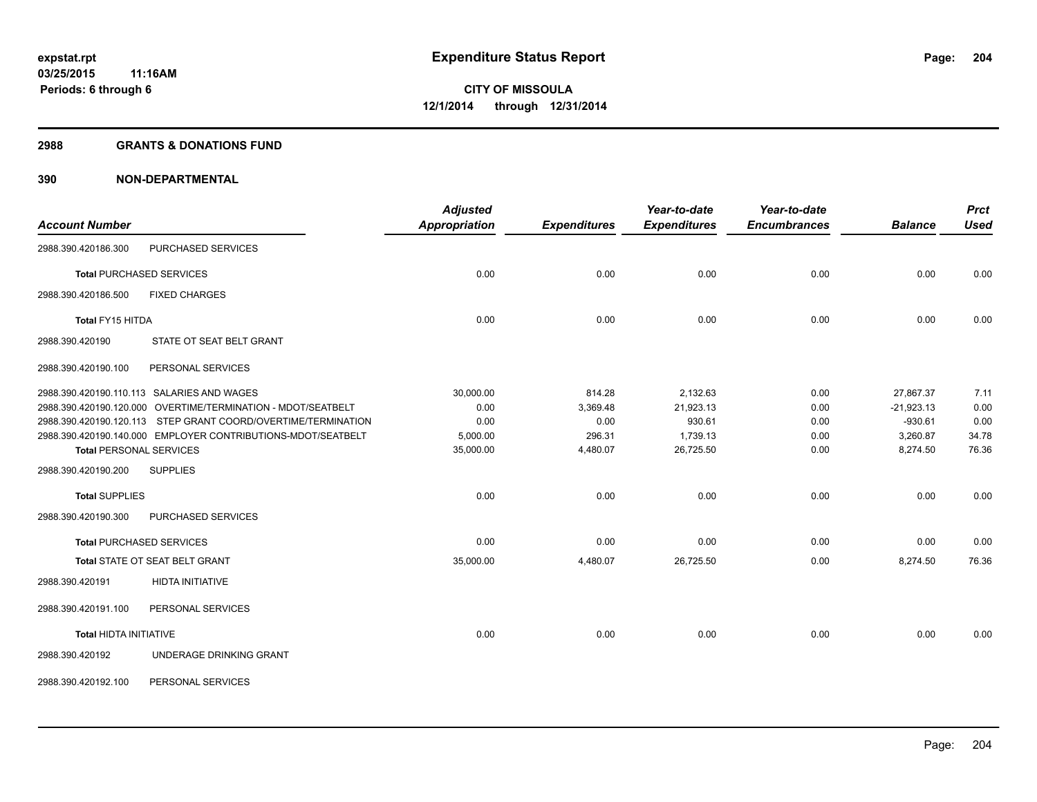### **2988 GRANTS & DONATIONS FUND**

| <b>Account Number</b>                                         | <b>Adjusted</b><br><b>Appropriation</b> | <b>Expenditures</b> | Year-to-date<br><b>Expenditures</b> | Year-to-date<br><b>Encumbrances</b> | <b>Balance</b> | <b>Prct</b><br><b>Used</b> |
|---------------------------------------------------------------|-----------------------------------------|---------------------|-------------------------------------|-------------------------------------|----------------|----------------------------|
| PURCHASED SERVICES<br>2988.390.420186.300                     |                                         |                     |                                     |                                     |                |                            |
| <b>Total PURCHASED SERVICES</b>                               | 0.00                                    | 0.00                | 0.00                                | 0.00                                | 0.00           | 0.00                       |
| 2988.390.420186.500<br><b>FIXED CHARGES</b>                   |                                         |                     |                                     |                                     |                |                            |
| <b>Total FY15 HITDA</b>                                       | 0.00                                    | 0.00                | 0.00                                | 0.00                                | 0.00           | 0.00                       |
| STATE OT SEAT BELT GRANT<br>2988.390.420190                   |                                         |                     |                                     |                                     |                |                            |
| 2988.390.420190.100<br>PERSONAL SERVICES                      |                                         |                     |                                     |                                     |                |                            |
| 2988.390.420190.110.113 SALARIES AND WAGES                    | 30,000.00                               | 814.28              | 2,132.63                            | 0.00                                | 27,867.37      | 7.11                       |
| 2988.390.420190.120.000 OVERTIME/TERMINATION - MDOT/SEATBELT  | 0.00                                    | 3,369.48            | 21,923.13                           | 0.00                                | $-21,923.13$   | 0.00                       |
| 2988.390.420190.120.113 STEP GRANT COORD/OVERTIME/TERMINATION | 0.00                                    | 0.00                | 930.61                              | 0.00                                | $-930.61$      | 0.00                       |
| 2988.390.420190.140.000 EMPLOYER CONTRIBUTIONS-MDOT/SEATBELT  | 5,000.00                                | 296.31              | 1,739.13                            | 0.00                                | 3,260.87       | 34.78                      |
| <b>Total PERSONAL SERVICES</b>                                | 35,000.00                               | 4,480.07            | 26,725.50                           | 0.00                                | 8,274.50       | 76.36                      |
| <b>SUPPLIES</b><br>2988.390.420190.200                        |                                         |                     |                                     |                                     |                |                            |
| <b>Total SUPPLIES</b>                                         | 0.00                                    | 0.00                | 0.00                                | 0.00                                | 0.00           | 0.00                       |
| 2988.390.420190.300<br>PURCHASED SERVICES                     |                                         |                     |                                     |                                     |                |                            |
| <b>Total PURCHASED SERVICES</b>                               | 0.00                                    | 0.00                | 0.00                                | 0.00                                | 0.00           | 0.00                       |
| Total STATE OT SEAT BELT GRANT                                | 35,000.00                               | 4,480.07            | 26,725.50                           | 0.00                                | 8,274.50       | 76.36                      |
| 2988.390.420191<br><b>HIDTA INITIATIVE</b>                    |                                         |                     |                                     |                                     |                |                            |
| 2988.390.420191.100<br>PERSONAL SERVICES                      |                                         |                     |                                     |                                     |                |                            |
| <b>Total HIDTA INITIATIVE</b>                                 | 0.00                                    | 0.00                | 0.00                                | 0.00                                | 0.00           | 0.00                       |
| UNDERAGE DRINKING GRANT<br>2988.390.420192                    |                                         |                     |                                     |                                     |                |                            |
| PERSONAL SERVICES<br>2988.390.420192.100                      |                                         |                     |                                     |                                     |                |                            |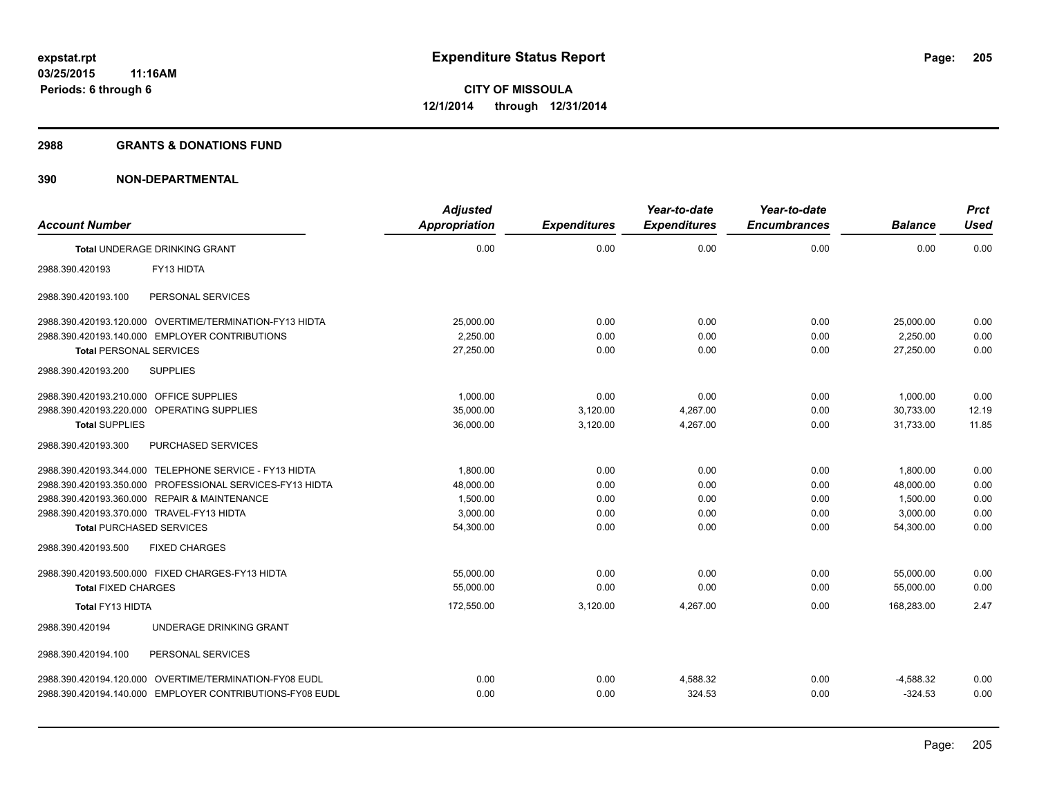#### **2988 GRANTS & DONATIONS FUND**

|                                           |                                                          | <b>Adjusted</b>      |                     | Year-to-date        | Year-to-date        |                | <b>Prct</b> |
|-------------------------------------------|----------------------------------------------------------|----------------------|---------------------|---------------------|---------------------|----------------|-------------|
| <b>Account Number</b>                     |                                                          | <b>Appropriation</b> | <b>Expenditures</b> | <b>Expenditures</b> | <b>Encumbrances</b> | <b>Balance</b> | <b>Used</b> |
|                                           | <b>Total UNDERAGE DRINKING GRANT</b>                     | 0.00                 | 0.00                | 0.00                | 0.00                | 0.00           | 0.00        |
| 2988.390.420193                           | FY13 HIDTA                                               |                      |                     |                     |                     |                |             |
| 2988.390.420193.100                       | PERSONAL SERVICES                                        |                      |                     |                     |                     |                |             |
|                                           | 2988.390.420193.120.000 OVERTIME/TERMINATION-FY13 HIDTA  | 25,000.00            | 0.00                | 0.00                | 0.00                | 25.000.00      | 0.00        |
|                                           | 2988.390.420193.140.000 EMPLOYER CONTRIBUTIONS           | 2.250.00             | 0.00                | 0.00                | 0.00                | 2,250.00       | 0.00        |
| <b>Total PERSONAL SERVICES</b>            |                                                          | 27,250.00            | 0.00                | 0.00                | 0.00                | 27,250.00      | 0.00        |
| 2988.390.420193.200                       | <b>SUPPLIES</b>                                          |                      |                     |                     |                     |                |             |
| 2988.390.420193.210.000                   | OFFICE SUPPLIES                                          | 1,000.00             | 0.00                | 0.00                | 0.00                | 1,000.00       | 0.00        |
| 2988.390.420193.220.000                   | <b>OPERATING SUPPLIES</b>                                | 35,000.00            | 3,120.00            | 4,267.00            | 0.00                | 30,733.00      | 12.19       |
| <b>Total SUPPLIES</b>                     |                                                          | 36,000.00            | 3,120.00            | 4,267.00            | 0.00                | 31.733.00      | 11.85       |
| 2988.390.420193.300                       | PURCHASED SERVICES                                       |                      |                     |                     |                     |                |             |
|                                           | 2988.390.420193.344.000 TELEPHONE SERVICE - FY13 HIDTA   | 1,800.00             | 0.00                | 0.00                | 0.00                | 1,800.00       | 0.00        |
|                                           | 2988.390.420193.350.000 PROFESSIONAL SERVICES-FY13 HIDTA | 48,000.00            | 0.00                | 0.00                | 0.00                | 48,000.00      | 0.00        |
|                                           | 2988.390.420193.360.000 REPAIR & MAINTENANCE             | 1,500.00             | 0.00                | 0.00                | 0.00                | 1,500.00       | 0.00        |
| 2988.390.420193.370.000 TRAVEL-FY13 HIDTA |                                                          | 3,000.00             | 0.00                | 0.00                | 0.00                | 3,000.00       | 0.00        |
| <b>Total PURCHASED SERVICES</b>           |                                                          | 54,300.00            | 0.00                | 0.00                | 0.00                | 54,300.00      | 0.00        |
| 2988.390.420193.500                       | <b>FIXED CHARGES</b>                                     |                      |                     |                     |                     |                |             |
|                                           | 2988.390.420193.500.000 FIXED CHARGES-FY13 HIDTA         | 55.000.00            | 0.00                | 0.00                | 0.00                | 55,000.00      | 0.00        |
| <b>Total FIXED CHARGES</b>                |                                                          | 55,000.00            | 0.00                | 0.00                | 0.00                | 55,000.00      | 0.00        |
| Total FY13 HIDTA                          |                                                          | 172,550.00           | 3,120.00            | 4.267.00            | 0.00                | 168.283.00     | 2.47        |
| 2988.390.420194                           | UNDERAGE DRINKING GRANT                                  |                      |                     |                     |                     |                |             |
| 2988.390.420194.100                       | PERSONAL SERVICES                                        |                      |                     |                     |                     |                |             |
|                                           | 2988.390.420194.120.000 OVERTIME/TERMINATION-FY08 EUDL   | 0.00                 | 0.00                | 4,588.32            | 0.00                | $-4,588.32$    | 0.00        |
|                                           | 2988.390.420194.140.000 EMPLOYER CONTRIBUTIONS-FY08 EUDL | 0.00                 | 0.00                | 324.53              | 0.00                | $-324.53$      | 0.00        |
|                                           |                                                          |                      |                     |                     |                     |                |             |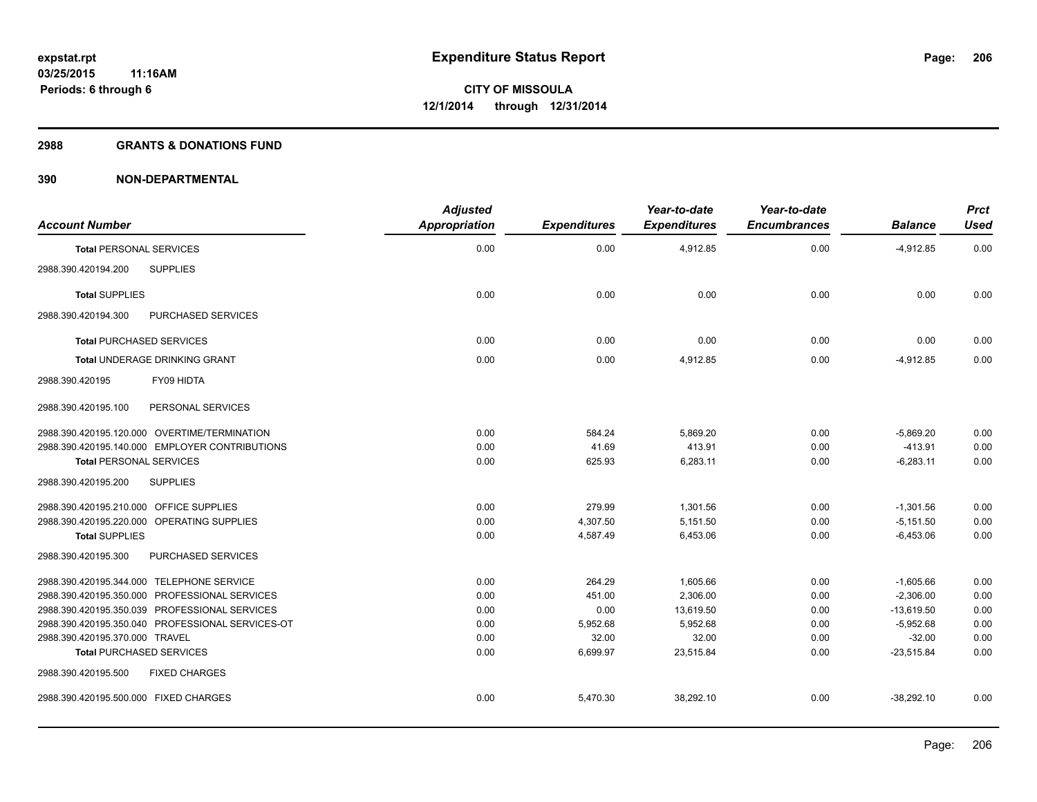### **2988 GRANTS & DONATIONS FUND**

| <b>Account Number</b>                            | <b>Adjusted</b><br>Appropriation | <b>Expenditures</b> | Year-to-date<br><b>Expenditures</b> | Year-to-date<br><b>Encumbrances</b> | <b>Balance</b> | <b>Prct</b><br>Used |
|--------------------------------------------------|----------------------------------|---------------------|-------------------------------------|-------------------------------------|----------------|---------------------|
| <b>Total PERSONAL SERVICES</b>                   | 0.00                             | 0.00                | 4,912.85                            | 0.00                                | $-4,912.85$    | 0.00                |
| <b>SUPPLIES</b><br>2988.390.420194.200           |                                  |                     |                                     |                                     |                |                     |
| <b>Total SUPPLIES</b>                            | 0.00                             | 0.00                | 0.00                                | 0.00                                | 0.00           | 0.00                |
| 2988.390.420194.300<br><b>PURCHASED SERVICES</b> |                                  |                     |                                     |                                     |                |                     |
| <b>Total PURCHASED SERVICES</b>                  | 0.00                             | 0.00                | 0.00                                | 0.00                                | 0.00           | 0.00                |
| <b>Total UNDERAGE DRINKING GRANT</b>             | 0.00                             | 0.00                | 4,912.85                            | 0.00                                | $-4,912.85$    | 0.00                |
| FY09 HIDTA<br>2988.390.420195                    |                                  |                     |                                     |                                     |                |                     |
| 2988.390.420195.100<br>PERSONAL SERVICES         |                                  |                     |                                     |                                     |                |                     |
| 2988.390.420195.120.000 OVERTIME/TERMINATION     | 0.00                             | 584.24              | 5.869.20                            | 0.00                                | $-5.869.20$    | 0.00                |
| 2988.390.420195.140.000 EMPLOYER CONTRIBUTIONS   | 0.00                             | 41.69               | 413.91                              | 0.00                                | $-413.91$      | 0.00                |
| <b>Total PERSONAL SERVICES</b>                   | 0.00                             | 625.93              | 6,283.11                            | 0.00                                | $-6,283.11$    | 0.00                |
| 2988.390.420195.200<br><b>SUPPLIES</b>           |                                  |                     |                                     |                                     |                |                     |
| 2988.390.420195.210.000 OFFICE SUPPLIES          | 0.00                             | 279.99              | 1,301.56                            | 0.00                                | $-1,301.56$    | 0.00                |
| 2988.390.420195.220.000 OPERATING SUPPLIES       | 0.00                             | 4,307.50            | 5,151.50                            | 0.00                                | $-5,151.50$    | 0.00                |
| <b>Total SUPPLIES</b>                            | 0.00                             | 4,587.49            | 6,453.06                            | 0.00                                | $-6,453.06$    | 0.00                |
| 2988.390.420195.300<br>PURCHASED SERVICES        |                                  |                     |                                     |                                     |                |                     |
| 2988.390.420195.344.000 TELEPHONE SERVICE        | 0.00                             | 264.29              | 1,605.66                            | 0.00                                | $-1,605.66$    | 0.00                |
| 2988.390.420195.350.000 PROFESSIONAL SERVICES    | 0.00                             | 451.00              | 2,306.00                            | 0.00                                | $-2.306.00$    | 0.00                |
| 2988.390.420195.350.039 PROFESSIONAL SERVICES    | 0.00                             | 0.00                | 13,619.50                           | 0.00                                | $-13,619.50$   | 0.00                |
| 2988.390.420195.350.040 PROFESSIONAL SERVICES-OT | 0.00                             | 5,952.68            | 5,952.68                            | 0.00                                | $-5,952.68$    | 0.00                |
| 2988.390.420195.370.000 TRAVEL                   | 0.00                             | 32.00               | 32.00                               | 0.00                                | $-32.00$       | 0.00                |
| <b>Total PURCHASED SERVICES</b>                  | 0.00                             | 6,699.97            | 23,515.84                           | 0.00                                | $-23,515.84$   | 0.00                |
| 2988.390.420195.500<br><b>FIXED CHARGES</b>      |                                  |                     |                                     |                                     |                |                     |
| 2988.390.420195.500.000 FIXED CHARGES            | 0.00                             | 5,470.30            | 38,292.10                           | 0.00                                | $-38,292.10$   | 0.00                |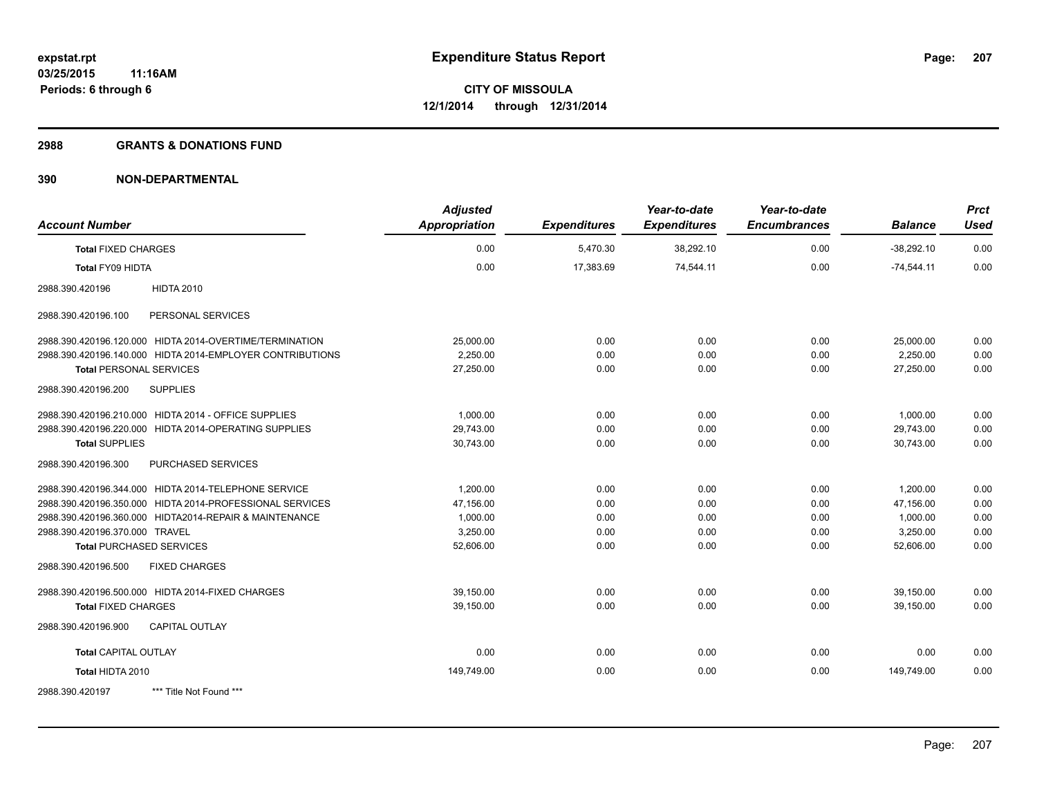## **2988 GRANTS & DONATIONS FUND**

| <b>Account Number</b>                                     | <b>Adjusted</b><br><b>Appropriation</b> | <b>Expenditures</b> | Year-to-date<br><b>Expenditures</b> | Year-to-date<br><b>Encumbrances</b> | <b>Balance</b> | <b>Prct</b><br>Used |
|-----------------------------------------------------------|-----------------------------------------|---------------------|-------------------------------------|-------------------------------------|----------------|---------------------|
| <b>Total FIXED CHARGES</b>                                | 0.00                                    | 5,470.30            | 38,292.10                           | 0.00                                | $-38,292.10$   | 0.00                |
| Total FY09 HIDTA                                          | 0.00                                    | 17,383.69           | 74,544.11                           | 0.00                                | $-74,544.11$   | 0.00                |
| <b>HIDTA 2010</b><br>2988.390.420196                      |                                         |                     |                                     |                                     |                |                     |
| 2988.390.420196.100<br>PERSONAL SERVICES                  |                                         |                     |                                     |                                     |                |                     |
| 2988.390.420196.120.000 HIDTA 2014-OVERTIME/TERMINATION   | 25,000.00                               | 0.00                | 0.00                                | 0.00                                | 25,000.00      | 0.00                |
| 2988.390.420196.140.000 HIDTA 2014-EMPLOYER CONTRIBUTIONS | 2,250.00                                | 0.00                | 0.00                                | 0.00                                | 2,250.00       | 0.00                |
| <b>Total PERSONAL SERVICES</b>                            | 27,250.00                               | 0.00                | 0.00                                | 0.00                                | 27,250.00      | 0.00                |
| 2988.390.420196.200<br><b>SUPPLIES</b>                    |                                         |                     |                                     |                                     |                |                     |
| 2988.390.420196.210.000 HIDTA 2014 - OFFICE SUPPLIES      | 1,000.00                                | 0.00                | 0.00                                | 0.00                                | 1,000.00       | 0.00                |
| 2988.390.420196.220.000 HIDTA 2014-OPERATING SUPPLIES     | 29,743.00                               | 0.00                | 0.00                                | 0.00                                | 29,743.00      | 0.00                |
| <b>Total SUPPLIES</b>                                     | 30,743.00                               | 0.00                | 0.00                                | 0.00                                | 30,743.00      | 0.00                |
| 2988.390.420196.300<br>PURCHASED SERVICES                 |                                         |                     |                                     |                                     |                |                     |
| 2988.390.420196.344.000 HIDTA 2014-TELEPHONE SERVICE      | 1,200.00                                | 0.00                | 0.00                                | 0.00                                | 1,200.00       | 0.00                |
| 2988.390.420196.350.000 HIDTA 2014-PROFESSIONAL SERVICES  | 47.156.00                               | 0.00                | 0.00                                | 0.00                                | 47.156.00      | 0.00                |
| 2988.390.420196.360.000 HIDTA2014-REPAIR & MAINTENANCE    | 1,000.00                                | 0.00                | 0.00                                | 0.00                                | 1,000.00       | 0.00                |
| 2988.390.420196.370.000 TRAVEL                            | 3,250.00                                | 0.00                | 0.00                                | 0.00                                | 3,250.00       | 0.00                |
| <b>Total PURCHASED SERVICES</b>                           | 52,606.00                               | 0.00                | 0.00                                | 0.00                                | 52,606.00      | 0.00                |
| <b>FIXED CHARGES</b><br>2988.390.420196.500               |                                         |                     |                                     |                                     |                |                     |
| 2988.390.420196.500.000 HIDTA 2014-FIXED CHARGES          | 39,150.00                               | 0.00                | 0.00                                | 0.00                                | 39,150.00      | 0.00                |
| <b>Total FIXED CHARGES</b>                                | 39,150.00                               | 0.00                | 0.00                                | 0.00                                | 39,150.00      | 0.00                |
| <b>CAPITAL OUTLAY</b><br>2988.390.420196.900              |                                         |                     |                                     |                                     |                |                     |
| <b>Total CAPITAL OUTLAY</b>                               | 0.00                                    | 0.00                | 0.00                                | 0.00                                | 0.00           | 0.00                |
| Total HIDTA 2010                                          | 149,749.00                              | 0.00                | 0.00                                | 0.00                                | 149.749.00     | 0.00                |
| 2988.390.420197<br>*** Title Not Found ***                |                                         |                     |                                     |                                     |                |                     |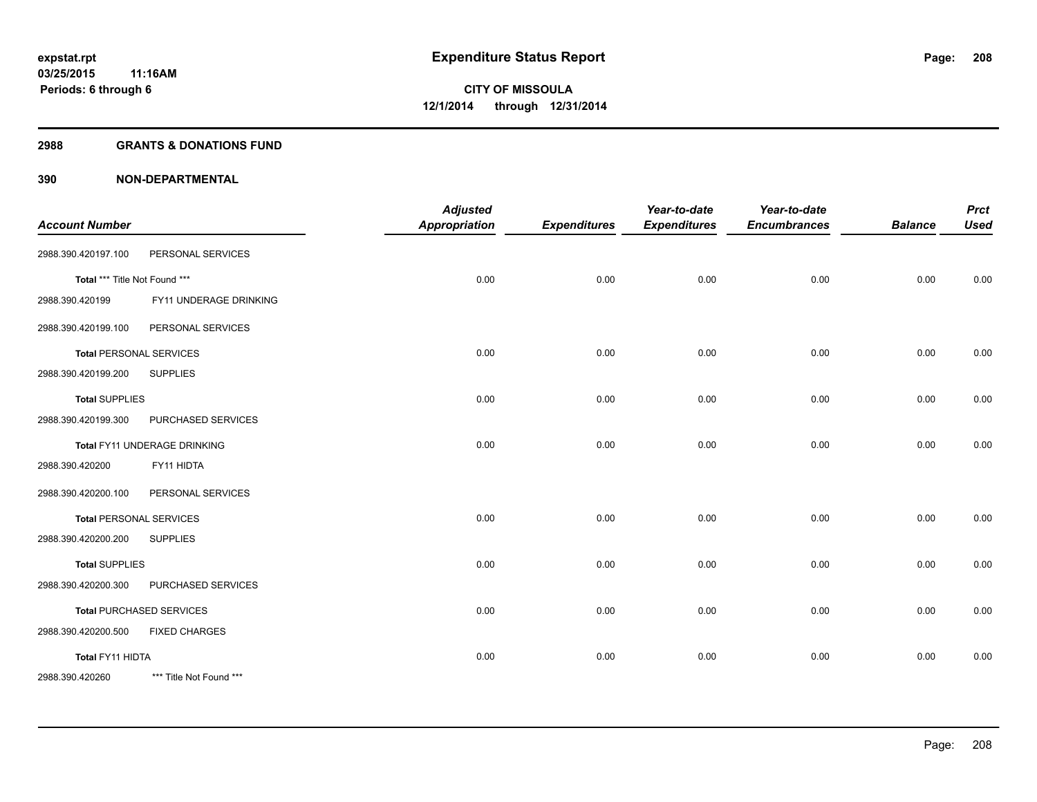## **2988 GRANTS & DONATIONS FUND**

| <b>Account Number</b>         |                                 | <b>Adjusted</b><br><b>Appropriation</b> | <b>Expenditures</b> | Year-to-date<br><b>Expenditures</b> | Year-to-date<br><b>Encumbrances</b> | <b>Balance</b> | <b>Prct</b><br><b>Used</b> |
|-------------------------------|---------------------------------|-----------------------------------------|---------------------|-------------------------------------|-------------------------------------|----------------|----------------------------|
| 2988.390.420197.100           | PERSONAL SERVICES               |                                         |                     |                                     |                                     |                |                            |
| Total *** Title Not Found *** |                                 | 0.00                                    | 0.00                | 0.00                                | 0.00                                | 0.00           | 0.00                       |
| 2988.390.420199               | FY11 UNDERAGE DRINKING          |                                         |                     |                                     |                                     |                |                            |
| 2988.390.420199.100           | PERSONAL SERVICES               |                                         |                     |                                     |                                     |                |                            |
|                               | <b>Total PERSONAL SERVICES</b>  | 0.00                                    | 0.00                | 0.00                                | 0.00                                | 0.00           | 0.00                       |
| 2988.390.420199.200           | <b>SUPPLIES</b>                 |                                         |                     |                                     |                                     |                |                            |
| <b>Total SUPPLIES</b>         |                                 | 0.00                                    | 0.00                | 0.00                                | 0.00                                | 0.00           | 0.00                       |
| 2988.390.420199.300           | PURCHASED SERVICES              |                                         |                     |                                     |                                     |                |                            |
|                               | Total FY11 UNDERAGE DRINKING    | 0.00                                    | 0.00                | 0.00                                | 0.00                                | 0.00           | 0.00                       |
| 2988.390.420200               | FY11 HIDTA                      |                                         |                     |                                     |                                     |                |                            |
| 2988.390.420200.100           | PERSONAL SERVICES               |                                         |                     |                                     |                                     |                |                            |
|                               | <b>Total PERSONAL SERVICES</b>  | 0.00                                    | 0.00                | 0.00                                | 0.00                                | 0.00           | 0.00                       |
| 2988.390.420200.200           | <b>SUPPLIES</b>                 |                                         |                     |                                     |                                     |                |                            |
| <b>Total SUPPLIES</b>         |                                 | 0.00                                    | 0.00                | 0.00                                | 0.00                                | 0.00           | 0.00                       |
| 2988.390.420200.300           | PURCHASED SERVICES              |                                         |                     |                                     |                                     |                |                            |
|                               | <b>Total PURCHASED SERVICES</b> | 0.00                                    | 0.00                | 0.00                                | 0.00                                | 0.00           | 0.00                       |
| 2988.390.420200.500           | <b>FIXED CHARGES</b>            |                                         |                     |                                     |                                     |                |                            |
| Total FY11 HIDTA              |                                 | 0.00                                    | 0.00                | 0.00                                | 0.00                                | 0.00           | 0.00                       |
| 2988.390.420260               | *** Title Not Found ***         |                                         |                     |                                     |                                     |                |                            |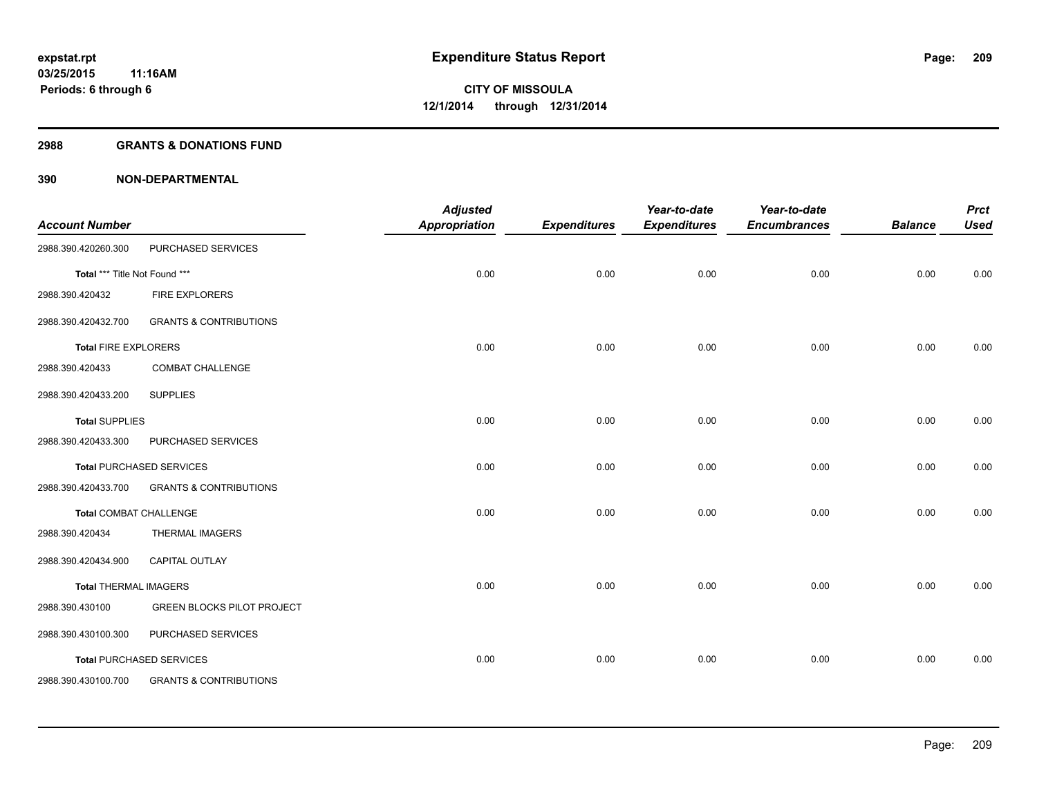#### **2988 GRANTS & DONATIONS FUND**

| <b>Account Number</b>         |                                   | <b>Adjusted</b><br><b>Appropriation</b> | <b>Expenditures</b> | Year-to-date<br><b>Expenditures</b> | Year-to-date<br><b>Encumbrances</b> | <b>Balance</b> | <b>Prct</b><br><b>Used</b> |
|-------------------------------|-----------------------------------|-----------------------------------------|---------------------|-------------------------------------|-------------------------------------|----------------|----------------------------|
| 2988.390.420260.300           | PURCHASED SERVICES                |                                         |                     |                                     |                                     |                |                            |
| Total *** Title Not Found *** |                                   | 0.00                                    | 0.00                | 0.00                                | 0.00                                | 0.00           | 0.00                       |
| 2988.390.420432               | FIRE EXPLORERS                    |                                         |                     |                                     |                                     |                |                            |
| 2988.390.420432.700           | <b>GRANTS &amp; CONTRIBUTIONS</b> |                                         |                     |                                     |                                     |                |                            |
| <b>Total FIRE EXPLORERS</b>   |                                   | 0.00                                    | 0.00                | 0.00                                | 0.00                                | 0.00           | 0.00                       |
| 2988.390.420433               | <b>COMBAT CHALLENGE</b>           |                                         |                     |                                     |                                     |                |                            |
| 2988.390.420433.200           | <b>SUPPLIES</b>                   |                                         |                     |                                     |                                     |                |                            |
| <b>Total SUPPLIES</b>         |                                   | 0.00                                    | 0.00                | 0.00                                | 0.00                                | 0.00           | 0.00                       |
| 2988.390.420433.300           | PURCHASED SERVICES                |                                         |                     |                                     |                                     |                |                            |
|                               | <b>Total PURCHASED SERVICES</b>   | 0.00                                    | 0.00                | 0.00                                | 0.00                                | 0.00           | 0.00                       |
| 2988.390.420433.700           | <b>GRANTS &amp; CONTRIBUTIONS</b> |                                         |                     |                                     |                                     |                |                            |
| <b>Total COMBAT CHALLENGE</b> |                                   | 0.00                                    | 0.00                | 0.00                                | 0.00                                | 0.00           | 0.00                       |
| 2988.390.420434               | <b>THERMAL IMAGERS</b>            |                                         |                     |                                     |                                     |                |                            |
| 2988.390.420434.900           | <b>CAPITAL OUTLAY</b>             |                                         |                     |                                     |                                     |                |                            |
| <b>Total THERMAL IMAGERS</b>  |                                   | 0.00                                    | 0.00                | 0.00                                | 0.00                                | 0.00           | 0.00                       |
| 2988.390.430100               | <b>GREEN BLOCKS PILOT PROJECT</b> |                                         |                     |                                     |                                     |                |                            |
| 2988.390.430100.300           | PURCHASED SERVICES                |                                         |                     |                                     |                                     |                |                            |
|                               | <b>Total PURCHASED SERVICES</b>   | 0.00                                    | 0.00                | 0.00                                | 0.00                                | 0.00           | 0.00                       |
| 2988.390.430100.700           | <b>GRANTS &amp; CONTRIBUTIONS</b> |                                         |                     |                                     |                                     |                |                            |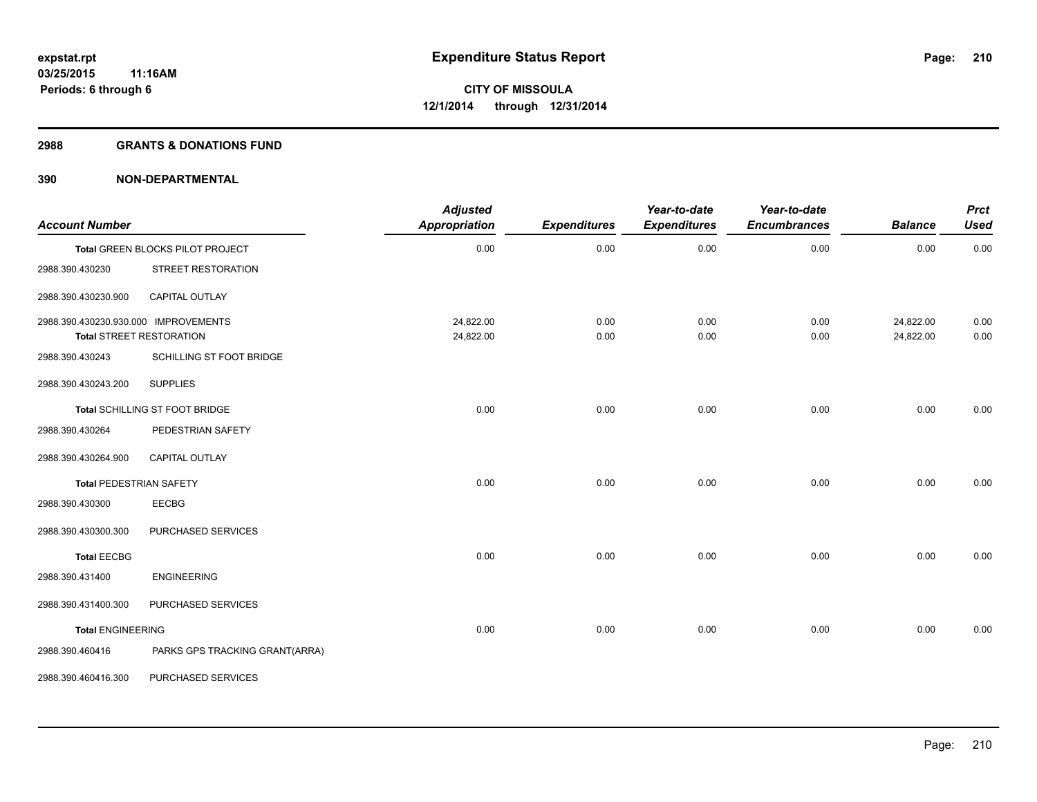### **2988 GRANTS & DONATIONS FUND**

| <b>Account Number</b>                                                   |                                  | <b>Adjusted</b><br><b>Appropriation</b> | <b>Expenditures</b> | Year-to-date<br><b>Expenditures</b> | Year-to-date<br><b>Encumbrances</b> | <b>Balance</b>         | <b>Prct</b><br><b>Used</b> |
|-------------------------------------------------------------------------|----------------------------------|-----------------------------------------|---------------------|-------------------------------------|-------------------------------------|------------------------|----------------------------|
|                                                                         | Total GREEN BLOCKS PILOT PROJECT | 0.00                                    | 0.00                | 0.00                                | 0.00                                | 0.00                   | 0.00                       |
| 2988.390.430230                                                         | STREET RESTORATION               |                                         |                     |                                     |                                     |                        |                            |
| 2988.390.430230.900                                                     | <b>CAPITAL OUTLAY</b>            |                                         |                     |                                     |                                     |                        |                            |
| 2988.390.430230.930.000 IMPROVEMENTS<br><b>Total STREET RESTORATION</b> |                                  | 24,822.00<br>24,822.00                  | 0.00<br>0.00        | 0.00<br>0.00                        | 0.00<br>0.00                        | 24,822.00<br>24,822.00 | 0.00<br>0.00               |
| 2988.390.430243                                                         | SCHILLING ST FOOT BRIDGE         |                                         |                     |                                     |                                     |                        |                            |
| 2988.390.430243.200                                                     | <b>SUPPLIES</b>                  |                                         |                     |                                     |                                     |                        |                            |
|                                                                         | Total SCHILLING ST FOOT BRIDGE   | 0.00                                    | 0.00                | 0.00                                | 0.00                                | 0.00                   | 0.00                       |
| 2988.390.430264                                                         | PEDESTRIAN SAFETY                |                                         |                     |                                     |                                     |                        |                            |
| 2988.390.430264.900                                                     | <b>CAPITAL OUTLAY</b>            |                                         |                     |                                     |                                     |                        |                            |
| <b>Total PEDESTRIAN SAFETY</b>                                          |                                  | 0.00                                    | 0.00                | 0.00                                | 0.00                                | 0.00                   | 0.00                       |
| 2988.390.430300                                                         | EECBG                            |                                         |                     |                                     |                                     |                        |                            |
| 2988.390.430300.300                                                     | PURCHASED SERVICES               |                                         |                     |                                     |                                     |                        |                            |
| <b>Total EECBG</b>                                                      |                                  | 0.00                                    | 0.00                | 0.00                                | 0.00                                | 0.00                   | 0.00                       |
| 2988.390.431400                                                         | <b>ENGINEERING</b>               |                                         |                     |                                     |                                     |                        |                            |
| 2988.390.431400.300                                                     | PURCHASED SERVICES               |                                         |                     |                                     |                                     |                        |                            |
| <b>Total ENGINEERING</b>                                                |                                  | 0.00                                    | 0.00                | 0.00                                | 0.00                                | 0.00                   | 0.00                       |
| 2988.390.460416                                                         | PARKS GPS TRACKING GRANT(ARRA)   |                                         |                     |                                     |                                     |                        |                            |
| 2988.390.460416.300                                                     | PURCHASED SERVICES               |                                         |                     |                                     |                                     |                        |                            |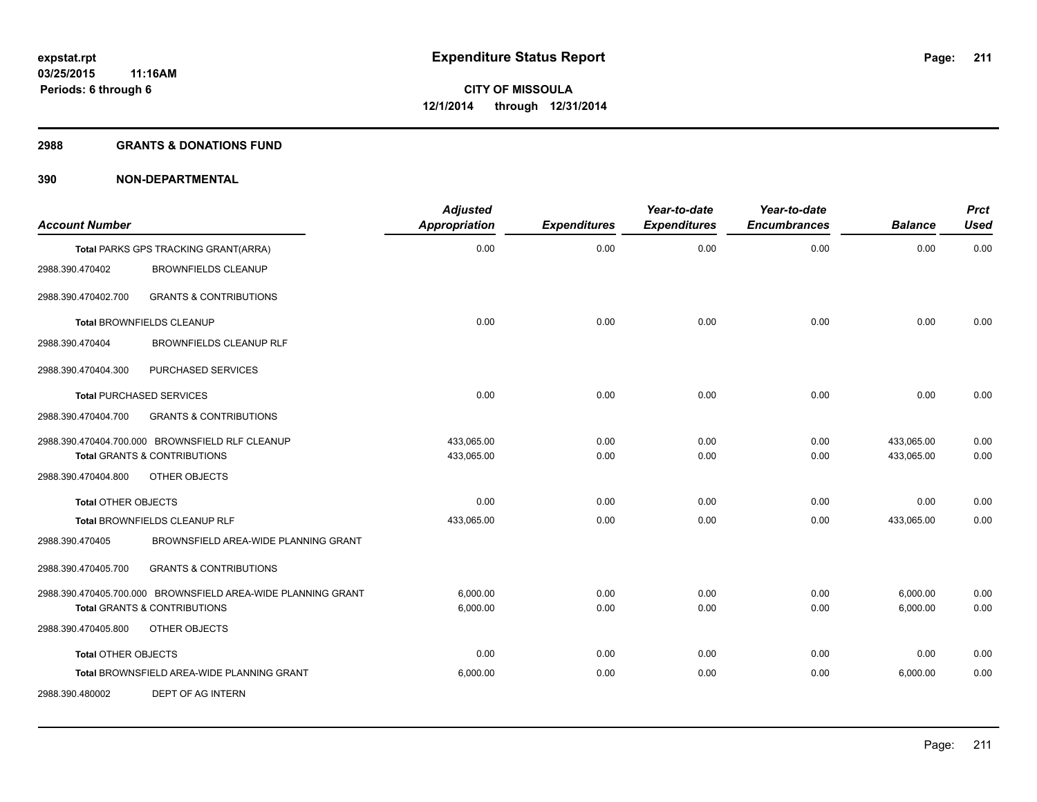#### **2988 GRANTS & DONATIONS FUND**

|                            |                                                              | <b>Adjusted</b>      |                     | Year-to-date        | Year-to-date        |                | <b>Prct</b> |
|----------------------------|--------------------------------------------------------------|----------------------|---------------------|---------------------|---------------------|----------------|-------------|
| <b>Account Number</b>      |                                                              | <b>Appropriation</b> | <b>Expenditures</b> | <b>Expenditures</b> | <b>Encumbrances</b> | <b>Balance</b> | <b>Used</b> |
|                            | Total PARKS GPS TRACKING GRANT(ARRA)                         | 0.00                 | 0.00                | 0.00                | 0.00                | 0.00           | 0.00        |
| 2988.390.470402            | <b>BROWNFIELDS CLEANUP</b>                                   |                      |                     |                     |                     |                |             |
| 2988.390.470402.700        | <b>GRANTS &amp; CONTRIBUTIONS</b>                            |                      |                     |                     |                     |                |             |
|                            | Total BROWNFIELDS CLEANUP                                    | 0.00                 | 0.00                | 0.00                | 0.00                | 0.00           | 0.00        |
| 2988.390.470404            | BROWNFIELDS CLEANUP RLF                                      |                      |                     |                     |                     |                |             |
| 2988.390.470404.300        | PURCHASED SERVICES                                           |                      |                     |                     |                     |                |             |
|                            | <b>Total PURCHASED SERVICES</b>                              | 0.00                 | 0.00                | 0.00                | 0.00                | 0.00           | 0.00        |
| 2988.390.470404.700        | <b>GRANTS &amp; CONTRIBUTIONS</b>                            |                      |                     |                     |                     |                |             |
|                            | 2988.390.470404.700.000 BROWNSFIELD RLF CLEANUP              | 433,065.00           | 0.00                | 0.00                | 0.00                | 433,065.00     | 0.00        |
|                            | <b>Total GRANTS &amp; CONTRIBUTIONS</b>                      | 433,065.00           | 0.00                | 0.00                | 0.00                | 433,065.00     | 0.00        |
| 2988.390.470404.800        | OTHER OBJECTS                                                |                      |                     |                     |                     |                |             |
| <b>Total OTHER OBJECTS</b> |                                                              | 0.00                 | 0.00                | 0.00                | 0.00                | 0.00           | 0.00        |
|                            | Total BROWNFIELDS CLEANUP RLF                                | 433,065.00           | 0.00                | 0.00                | 0.00                | 433,065.00     | 0.00        |
| 2988.390.470405            | BROWNSFIELD AREA-WIDE PLANNING GRANT                         |                      |                     |                     |                     |                |             |
| 2988.390.470405.700        | <b>GRANTS &amp; CONTRIBUTIONS</b>                            |                      |                     |                     |                     |                |             |
|                            | 2988.390.470405.700.000 BROWNSFIELD AREA-WIDE PLANNING GRANT | 6,000.00             | 0.00                | 0.00                | 0.00                | 6,000.00       | 0.00        |
|                            | <b>Total GRANTS &amp; CONTRIBUTIONS</b>                      | 6,000.00             | 0.00                | 0.00                | 0.00                | 6,000.00       | 0.00        |
| 2988.390.470405.800        | OTHER OBJECTS                                                |                      |                     |                     |                     |                |             |
| <b>Total OTHER OBJECTS</b> |                                                              | 0.00                 | 0.00                | 0.00                | 0.00                | 0.00           | 0.00        |
|                            | Total BROWNSFIELD AREA-WIDE PLANNING GRANT                   | 6,000.00             | 0.00                | 0.00                | 0.00                | 6,000.00       | 0.00        |
| 2988.390.480002            | <b>DEPT OF AG INTERN</b>                                     |                      |                     |                     |                     |                |             |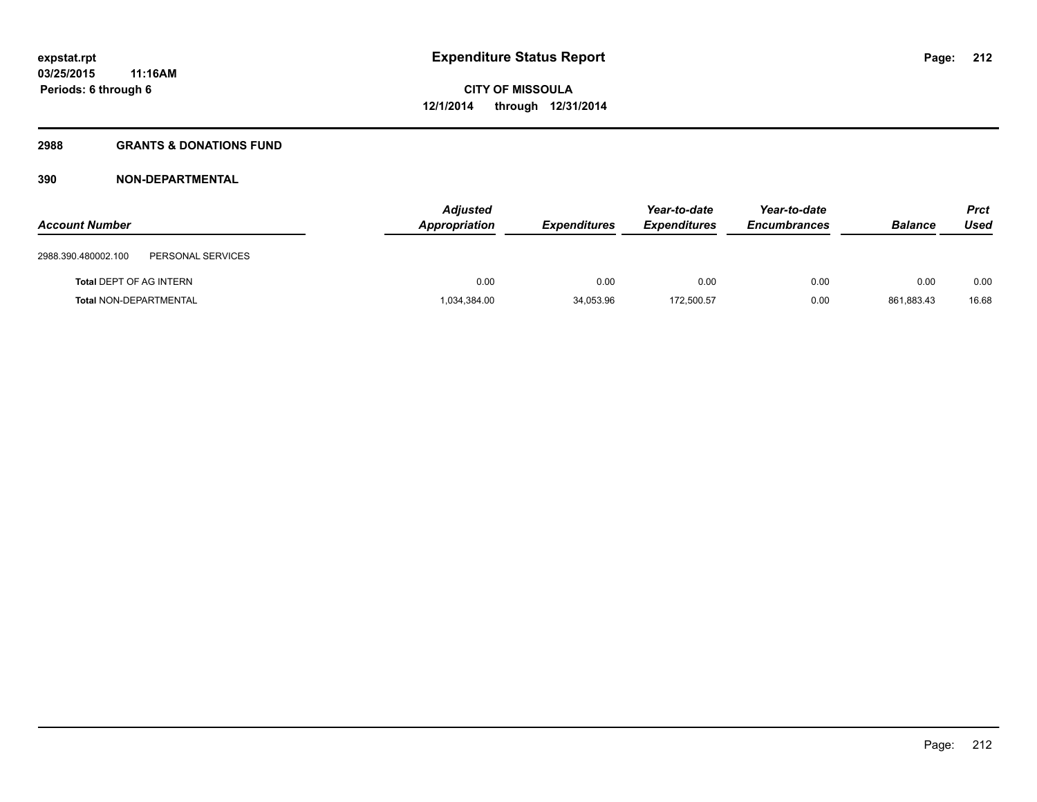# **2988 GRANTS & DONATIONS FUND**

| <b>Account Number</b>          |                   | <b>Adjusted</b><br>Appropriation | <b>Expenditures</b> | Year-to-date<br><b>Expenditures</b> | Year-to-date<br><b>Encumbrances</b> | <b>Balance</b> | Prct<br>Used |
|--------------------------------|-------------------|----------------------------------|---------------------|-------------------------------------|-------------------------------------|----------------|--------------|
| 2988.390.480002.100            | PERSONAL SERVICES |                                  |                     |                                     |                                     |                |              |
| <b>Total DEPT OF AG INTERN</b> |                   | 0.00                             | 0.00                | 0.00                                | 0.00                                | 0.00           | 0.00         |
| <b>Total NON-DEPARTMENTAL</b>  |                   | 1,034,384.00                     | 34,053.96           | 172,500.57                          | 0.00                                | 861,883.43     | 16.68        |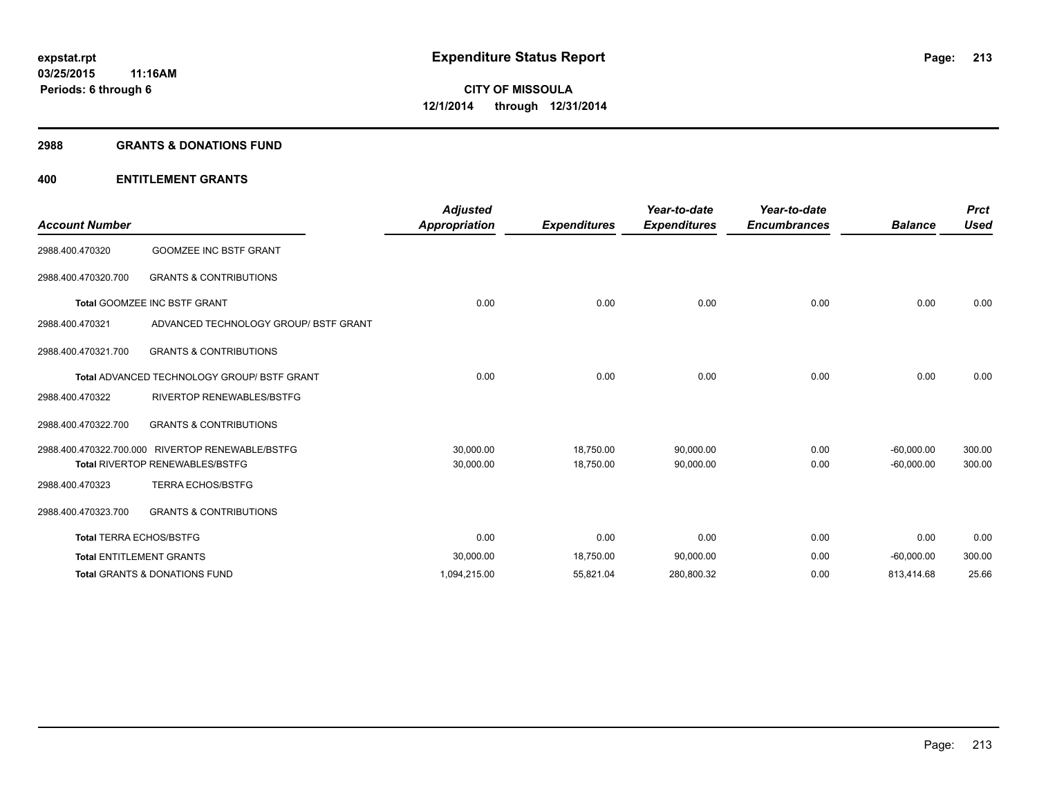### **2988 GRANTS & DONATIONS FUND**

| <b>Account Number</b>          |                                                    | <b>Adjusted</b><br><b>Appropriation</b> | <b>Expenditures</b> | Year-to-date<br><b>Expenditures</b> | Year-to-date<br><b>Encumbrances</b> | <b>Balance</b> | <b>Prct</b><br><b>Used</b> |
|--------------------------------|----------------------------------------------------|-----------------------------------------|---------------------|-------------------------------------|-------------------------------------|----------------|----------------------------|
| 2988.400.470320                | <b>GOOMZEE INC BSTF GRANT</b>                      |                                         |                     |                                     |                                     |                |                            |
| 2988.400.470320.700            | <b>GRANTS &amp; CONTRIBUTIONS</b>                  |                                         |                     |                                     |                                     |                |                            |
|                                | Total GOOMZEE INC BSTF GRANT                       | 0.00                                    | 0.00                | 0.00                                | 0.00                                | 0.00           | 0.00                       |
| 2988.400.470321                | ADVANCED TECHNOLOGY GROUP/ BSTF GRANT              |                                         |                     |                                     |                                     |                |                            |
| 2988.400.470321.700            | <b>GRANTS &amp; CONTRIBUTIONS</b>                  |                                         |                     |                                     |                                     |                |                            |
|                                | <b>Total ADVANCED TECHNOLOGY GROUP/ BSTF GRANT</b> | 0.00                                    | 0.00                | 0.00                                | 0.00                                | 0.00           | 0.00                       |
| 2988.400.470322                | RIVERTOP RENEWABLES/BSTFG                          |                                         |                     |                                     |                                     |                |                            |
| 2988.400.470322.700            | <b>GRANTS &amp; CONTRIBUTIONS</b>                  |                                         |                     |                                     |                                     |                |                            |
|                                | 2988.400.470322.700.000 RIVERTOP RENEWABLE/BSTFG   | 30.000.00                               | 18,750.00           | 90,000.00                           | 0.00                                | $-60,000.00$   | 300.00                     |
|                                | <b>Total RIVERTOP RENEWABLES/BSTFG</b>             | 30,000.00                               | 18,750.00           | 90,000.00                           | 0.00                                | $-60,000.00$   | 300.00                     |
| 2988.400.470323                | <b>TERRA ECHOS/BSTFG</b>                           |                                         |                     |                                     |                                     |                |                            |
| 2988.400.470323.700            | <b>GRANTS &amp; CONTRIBUTIONS</b>                  |                                         |                     |                                     |                                     |                |                            |
| <b>Total TERRA ECHOS/BSTFG</b> |                                                    | 0.00                                    | 0.00                | 0.00                                | 0.00                                | 0.00           | 0.00                       |
|                                | <b>Total ENTITLEMENT GRANTS</b>                    | 30,000.00                               | 18,750.00           | 90,000.00                           | 0.00                                | $-60,000.00$   | 300.00                     |
|                                | <b>Total GRANTS &amp; DONATIONS FUND</b>           | 1,094,215.00                            | 55,821.04           | 280,800.32                          | 0.00                                | 813,414.68     | 25.66                      |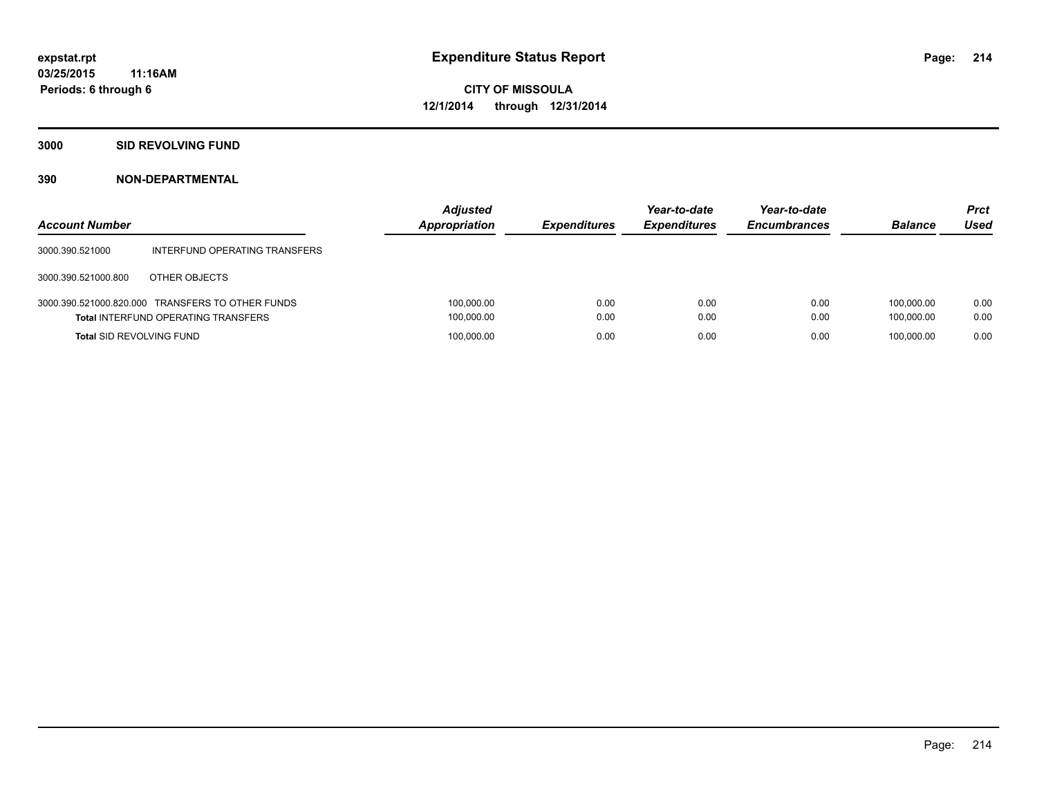# **3000 SID REVOLVING FUND**

| <b>Account Number</b>           |                                                                                                | <b>Adjusted</b><br><b>Appropriation</b> | <b>Expenditures</b> | Year-to-date<br><b>Expenditures</b> | Year-to-date<br><b>Encumbrances</b> | <b>Balance</b>           | <b>Prct</b><br>Used |
|---------------------------------|------------------------------------------------------------------------------------------------|-----------------------------------------|---------------------|-------------------------------------|-------------------------------------|--------------------------|---------------------|
| 3000.390.521000                 | INTERFUND OPERATING TRANSFERS                                                                  |                                         |                     |                                     |                                     |                          |                     |
| 3000.390.521000.800             | OTHER OBJECTS                                                                                  |                                         |                     |                                     |                                     |                          |                     |
|                                 | 3000.390.521000.820.000 TRANSFERS TO OTHER FUNDS<br><b>Total INTERFUND OPERATING TRANSFERS</b> | 100,000.00<br>100,000.00                | 0.00<br>0.00        | 0.00<br>0.00                        | 0.00<br>0.00                        | 100.000.00<br>100.000.00 | 0.00<br>0.00        |
| <b>Total SID REVOLVING FUND</b> |                                                                                                | 100,000.00                              | 0.00                | 0.00                                | 0.00                                | 100.000.00               | 0.00                |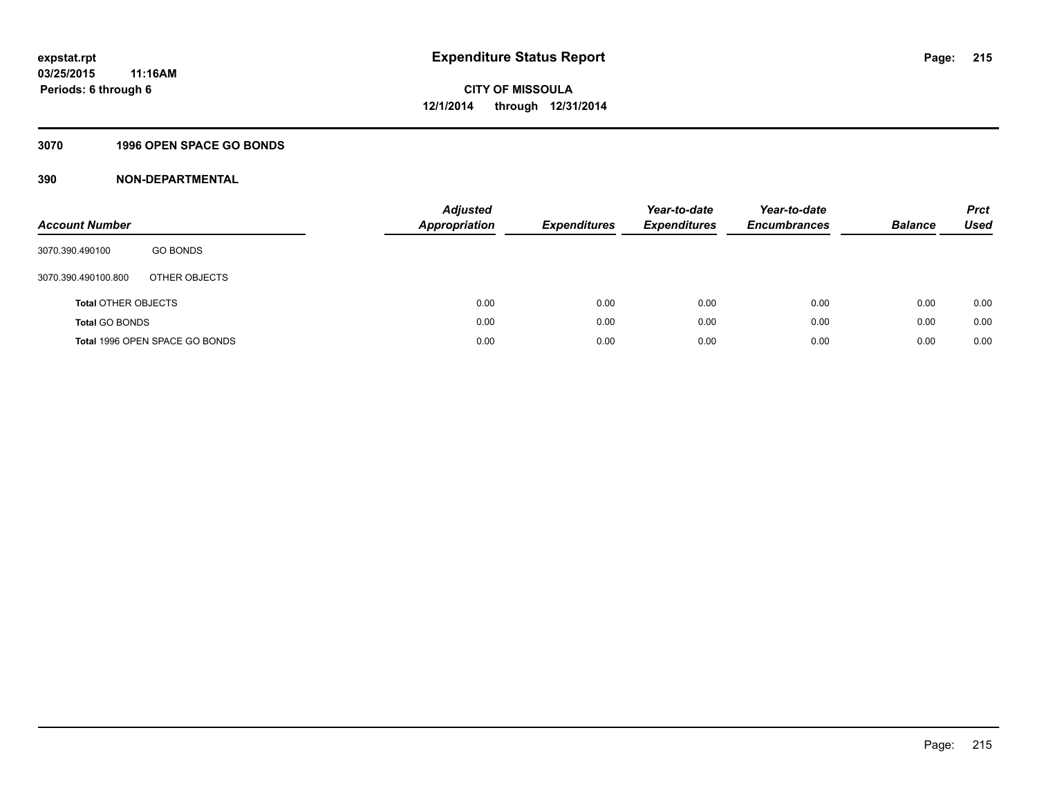## **3070 1996 OPEN SPACE GO BONDS**

| <b>Account Number</b>      |                                | <b>Adjusted</b><br><b>Appropriation</b> | <b>Expenditures</b> | Year-to-date<br><b>Expenditures</b> | Year-to-date<br><b>Encumbrances</b> | <b>Balance</b> | <b>Prct</b><br>Used |
|----------------------------|--------------------------------|-----------------------------------------|---------------------|-------------------------------------|-------------------------------------|----------------|---------------------|
| 3070.390.490100            | <b>GO BONDS</b>                |                                         |                     |                                     |                                     |                |                     |
| 3070.390.490100.800        | OTHER OBJECTS                  |                                         |                     |                                     |                                     |                |                     |
| <b>Total OTHER OBJECTS</b> |                                | 0.00                                    | 0.00                | 0.00                                | 0.00                                | 0.00           | 0.00                |
| <b>Total GO BONDS</b>      |                                | 0.00                                    | 0.00                | 0.00                                | 0.00                                | 0.00           | 0.00                |
|                            | Total 1996 OPEN SPACE GO BONDS | 0.00                                    | 0.00                | 0.00                                | 0.00                                | 0.00           | 0.00                |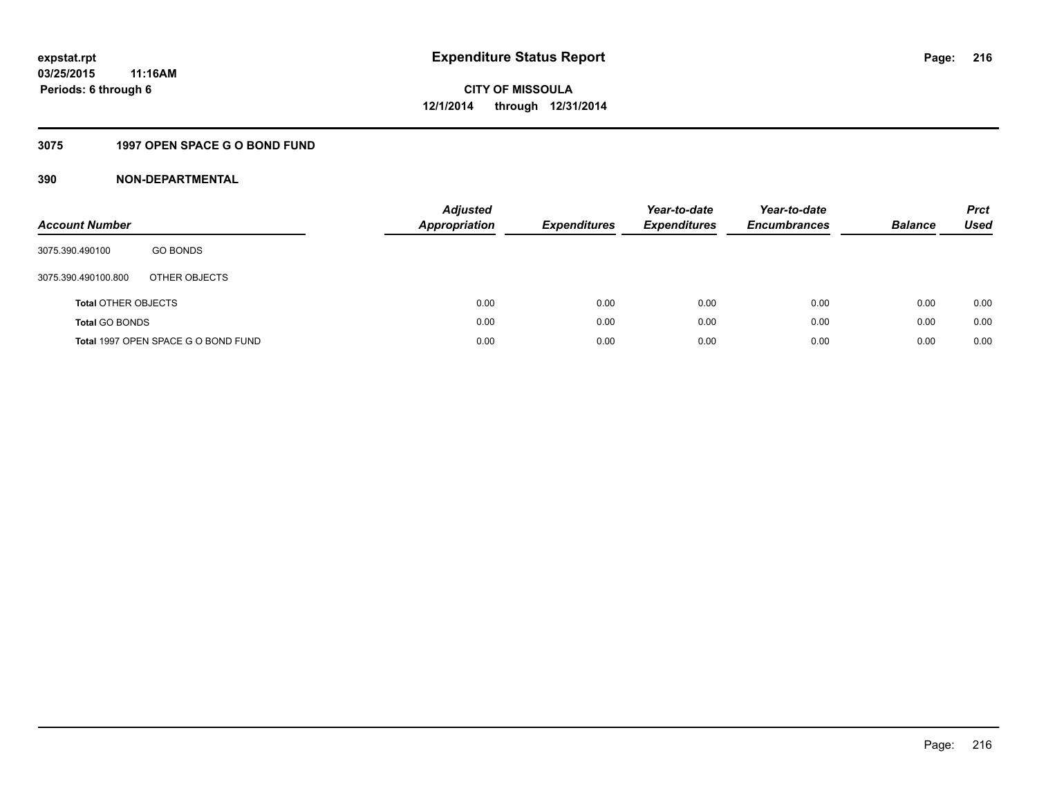# **3075 1997 OPEN SPACE G O BOND FUND**

| <b>Account Number</b>      |                                     | <b>Adjusted</b><br>Appropriation | <b>Expenditures</b> | Year-to-date<br><b>Expenditures</b> | Year-to-date<br><b>Encumbrances</b> | <b>Balance</b> | <b>Prct</b><br>Used |
|----------------------------|-------------------------------------|----------------------------------|---------------------|-------------------------------------|-------------------------------------|----------------|---------------------|
| 3075.390.490100            | <b>GO BONDS</b>                     |                                  |                     |                                     |                                     |                |                     |
| 3075.390.490100.800        | OTHER OBJECTS                       |                                  |                     |                                     |                                     |                |                     |
| <b>Total OTHER OBJECTS</b> |                                     | 0.00                             | 0.00                | 0.00                                | 0.00                                | 0.00           | 0.00                |
| <b>Total GO BONDS</b>      |                                     | 0.00                             | 0.00                | 0.00                                | 0.00                                | 0.00           | 0.00                |
|                            | Total 1997 OPEN SPACE G O BOND FUND | 0.00                             | 0.00                | 0.00                                | 0.00                                | 0.00           | 0.00                |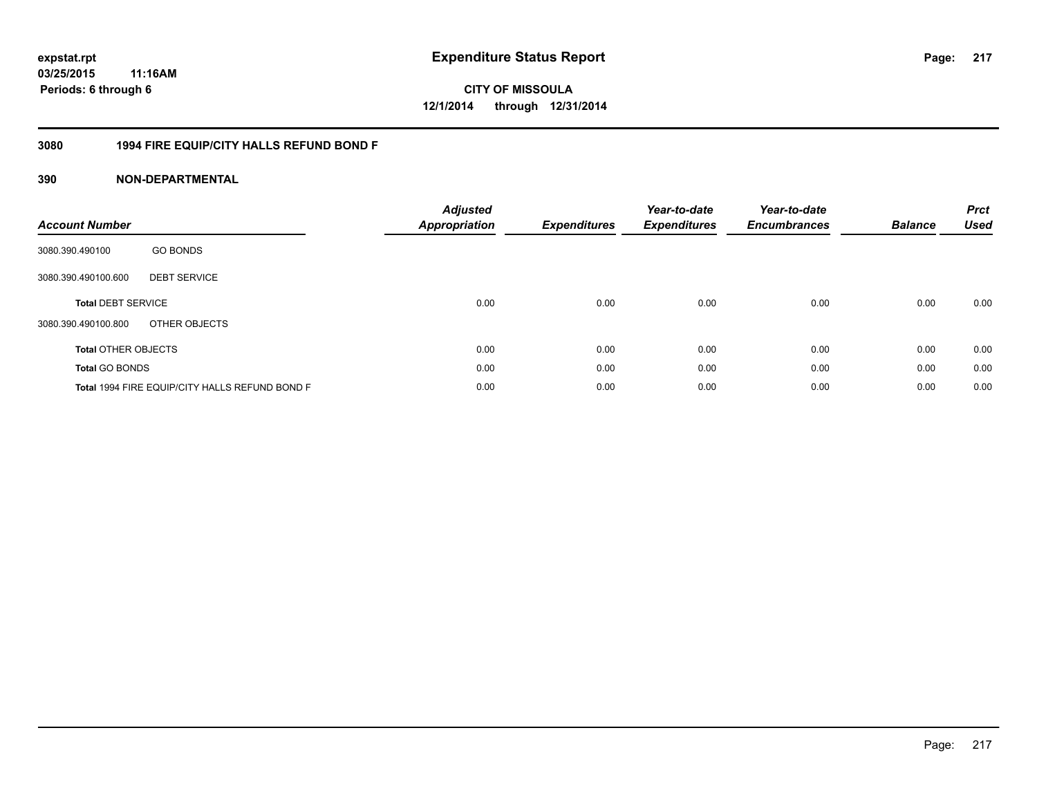### **03/25/2015 11:16AM Periods: 6 through 6**

**CITY OF MISSOULA 12/1/2014 through 12/31/2014**

#### **3080 1994 FIRE EQUIP/CITY HALLS REFUND BOND F**

| <b>Account Number</b>      |                                                | <b>Adjusted</b><br><b>Appropriation</b> | <b>Expenditures</b> | Year-to-date<br><b>Expenditures</b> | Year-to-date<br><b>Encumbrances</b> | <b>Balance</b> | <b>Prct</b><br><b>Used</b> |
|----------------------------|------------------------------------------------|-----------------------------------------|---------------------|-------------------------------------|-------------------------------------|----------------|----------------------------|
| 3080.390.490100            | <b>GO BONDS</b>                                |                                         |                     |                                     |                                     |                |                            |
| 3080.390.490100.600        | <b>DEBT SERVICE</b>                            |                                         |                     |                                     |                                     |                |                            |
| <b>Total DEBT SERVICE</b>  |                                                | 0.00                                    | 0.00                | 0.00                                | 0.00                                | 0.00           | 0.00                       |
| 3080.390.490100.800        | OTHER OBJECTS                                  |                                         |                     |                                     |                                     |                |                            |
| <b>Total OTHER OBJECTS</b> |                                                | 0.00                                    | 0.00                | 0.00                                | 0.00                                | 0.00           | 0.00                       |
| <b>Total GO BONDS</b>      |                                                | 0.00                                    | 0.00                | 0.00                                | 0.00                                | 0.00           | 0.00                       |
|                            | Total 1994 FIRE EQUIP/CITY HALLS REFUND BOND F | 0.00                                    | 0.00                | 0.00                                | 0.00                                | 0.00           | 0.00                       |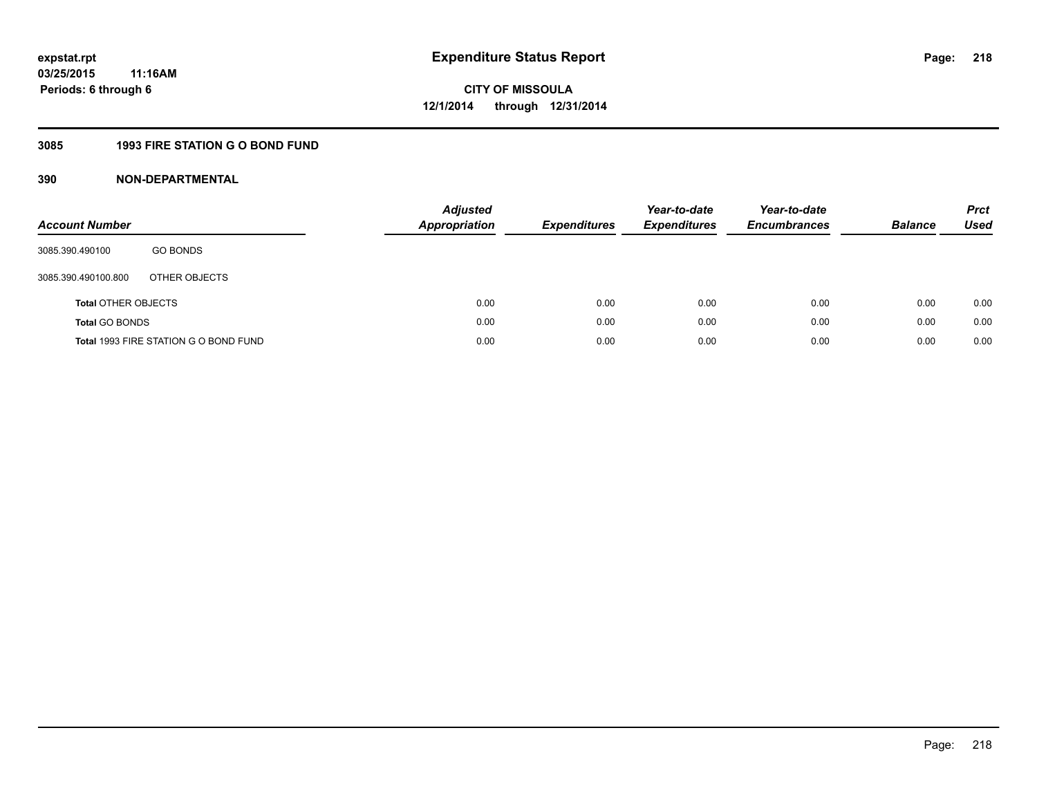### **3085 1993 FIRE STATION G O BOND FUND**

| <b>Account Number</b>      |                                       | <b>Adjusted</b><br>Appropriation | <b>Expenditures</b> | Year-to-date<br><b>Expenditures</b> | Year-to-date<br><b>Encumbrances</b> | <b>Balance</b> | <b>Prct</b><br>Used |
|----------------------------|---------------------------------------|----------------------------------|---------------------|-------------------------------------|-------------------------------------|----------------|---------------------|
| 3085.390.490100            | <b>GO BONDS</b>                       |                                  |                     |                                     |                                     |                |                     |
| 3085.390.490100.800        | OTHER OBJECTS                         |                                  |                     |                                     |                                     |                |                     |
| <b>Total OTHER OBJECTS</b> |                                       | 0.00                             | 0.00                | 0.00                                | 0.00                                | 0.00           | 0.00                |
| <b>Total GO BONDS</b>      |                                       | 0.00                             | 0.00                | 0.00                                | 0.00                                | 0.00           | 0.00                |
|                            | Total 1993 FIRE STATION G O BOND FUND | 0.00                             | 0.00                | 0.00                                | 0.00                                | 0.00           | 0.00                |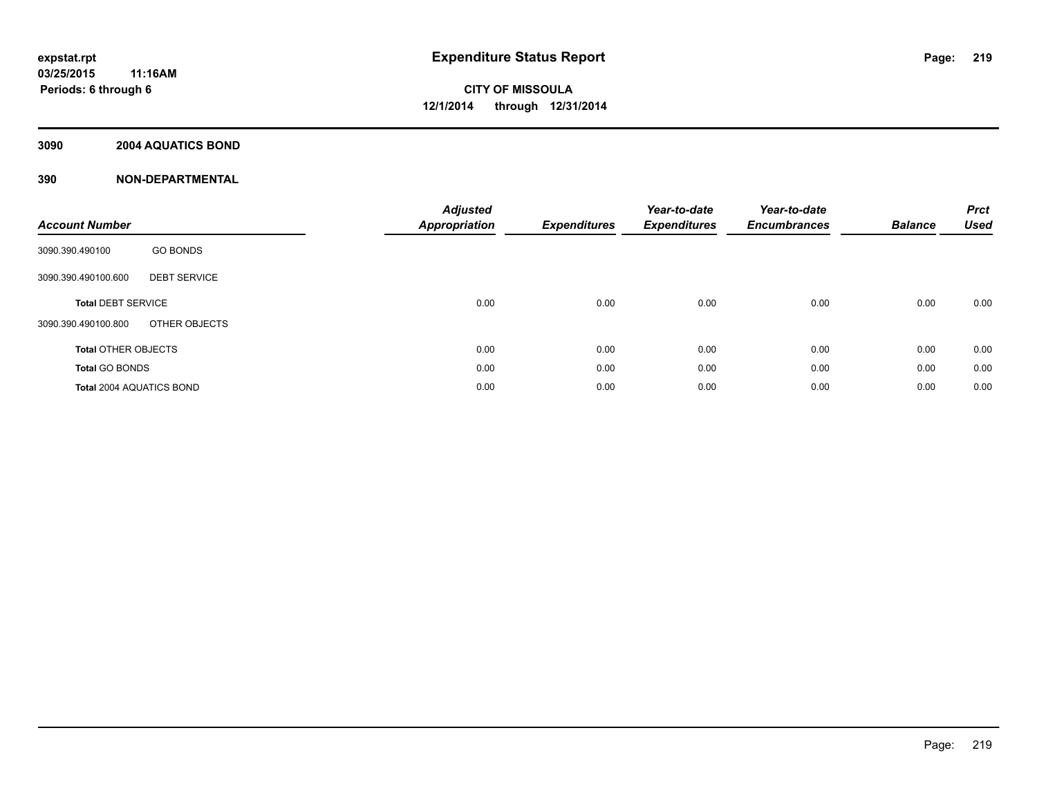#### **3090 2004 AQUATICS BOND**

| <b>Account Number</b>                      | <b>Adjusted</b><br><b>Appropriation</b> | <b>Expenditures</b> | Year-to-date<br><b>Expenditures</b> | Year-to-date<br><b>Encumbrances</b> | <b>Balance</b> | <b>Prct</b><br><b>Used</b> |
|--------------------------------------------|-----------------------------------------|---------------------|-------------------------------------|-------------------------------------|----------------|----------------------------|
| <b>GO BONDS</b><br>3090.390.490100         |                                         |                     |                                     |                                     |                |                            |
| <b>DEBT SERVICE</b><br>3090.390.490100.600 |                                         |                     |                                     |                                     |                |                            |
| <b>Total DEBT SERVICE</b>                  | 0.00                                    | 0.00                | 0.00                                | 0.00                                | 0.00           | 0.00                       |
| OTHER OBJECTS<br>3090.390.490100.800       |                                         |                     |                                     |                                     |                |                            |
| <b>Total OTHER OBJECTS</b>                 | 0.00                                    | 0.00                | 0.00                                | 0.00                                | 0.00           | 0.00                       |
| <b>Total GO BONDS</b>                      | 0.00                                    | 0.00                | 0.00                                | 0.00                                | 0.00           | 0.00                       |
| <b>Total 2004 AQUATICS BOND</b>            | 0.00                                    | 0.00                | 0.00                                | 0.00                                | 0.00           | 0.00                       |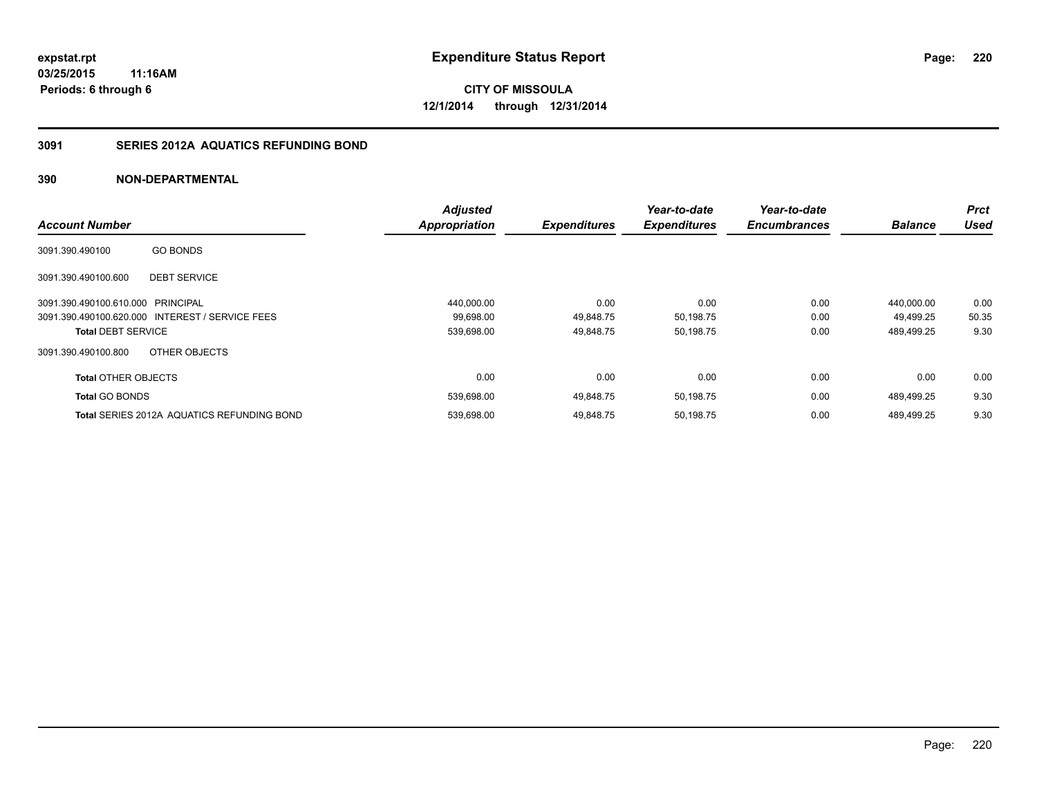### **3091 SERIES 2012A AQUATICS REFUNDING BOND**

|                                   |                                                   | <b>Adjusted</b>      |                     | Year-to-date        | Year-to-date        |                | <b>Prct</b> |
|-----------------------------------|---------------------------------------------------|----------------------|---------------------|---------------------|---------------------|----------------|-------------|
| <b>Account Number</b>             |                                                   | <b>Appropriation</b> | <b>Expenditures</b> | <b>Expenditures</b> | <b>Encumbrances</b> | <b>Balance</b> | <b>Used</b> |
| 3091.390.490100                   | <b>GO BONDS</b>                                   |                      |                     |                     |                     |                |             |
| 3091.390.490100.600               | <b>DEBT SERVICE</b>                               |                      |                     |                     |                     |                |             |
| 3091.390.490100.610.000 PRINCIPAL |                                                   | 440,000.00           | 0.00                | 0.00                | 0.00                | 440.000.00     | 0.00        |
|                                   | 3091.390.490100.620.000 INTEREST / SERVICE FEES   | 99,698.00            | 49,848.75           | 50,198.75           | 0.00                | 49.499.25      | 50.35       |
| <b>Total DEBT SERVICE</b>         |                                                   | 539,698.00           | 49,848.75           | 50,198.75           | 0.00                | 489,499.25     | 9.30        |
| 3091.390.490100.800               | OTHER OBJECTS                                     |                      |                     |                     |                     |                |             |
| <b>Total OTHER OBJECTS</b>        |                                                   | 0.00                 | 0.00                | 0.00                | 0.00                | 0.00           | 0.00        |
| <b>Total GO BONDS</b>             |                                                   | 539,698.00           | 49,848.75           | 50,198.75           | 0.00                | 489.499.25     | 9.30        |
|                                   | <b>Total SERIES 2012A AQUATICS REFUNDING BOND</b> | 539,698.00           | 49.848.75           | 50.198.75           | 0.00                | 489.499.25     | 9.30        |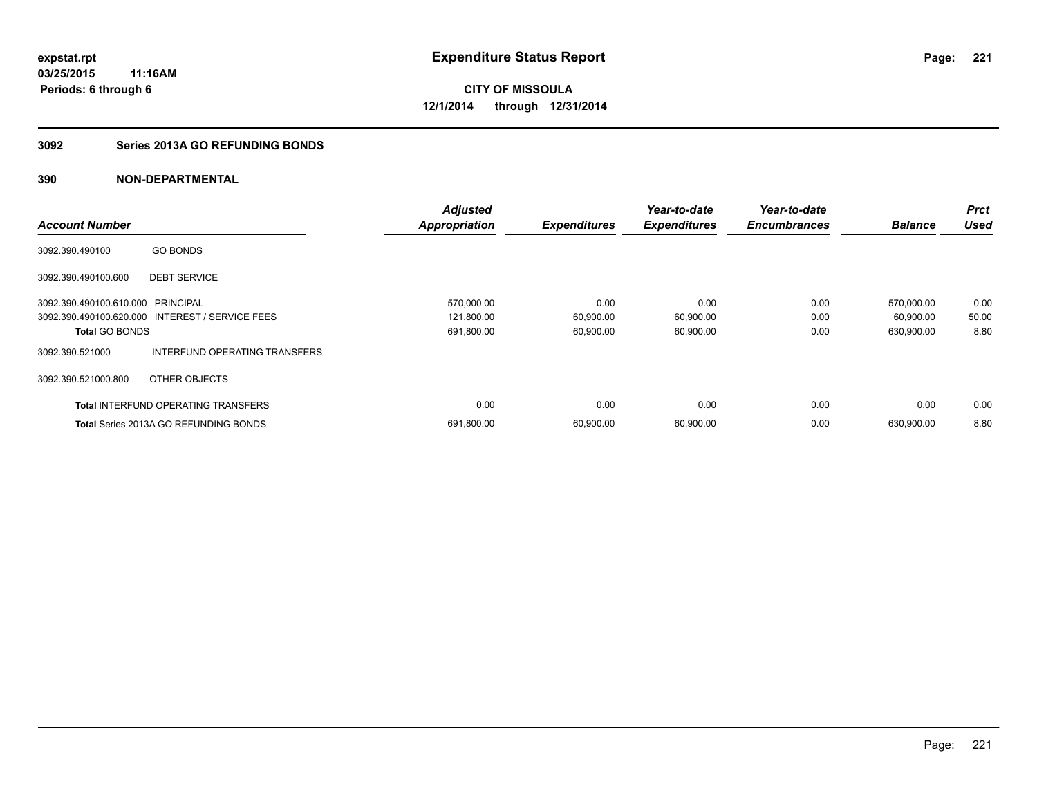### **3092 Series 2013A GO REFUNDING BONDS**

|                                   |                                                 | <b>Adjusted</b>      |                     | Year-to-date        | Year-to-date        |                | <b>Prct</b> |
|-----------------------------------|-------------------------------------------------|----------------------|---------------------|---------------------|---------------------|----------------|-------------|
| <b>Account Number</b>             |                                                 | <b>Appropriation</b> | <b>Expenditures</b> | <b>Expenditures</b> | <b>Encumbrances</b> | <b>Balance</b> | <b>Used</b> |
| 3092.390.490100                   | <b>GO BONDS</b>                                 |                      |                     |                     |                     |                |             |
| 3092.390.490100.600               | <b>DEBT SERVICE</b>                             |                      |                     |                     |                     |                |             |
| 3092.390.490100.610.000 PRINCIPAL |                                                 | 570,000.00           | 0.00                | 0.00                | 0.00                | 570,000.00     | 0.00        |
|                                   | 3092.390.490100.620.000 INTEREST / SERVICE FEES | 121,800.00           | 60,900.00           | 60,900.00           | 0.00                | 60,900.00      | 50.00       |
| <b>Total GO BONDS</b>             |                                                 | 691,800.00           | 60,900.00           | 60,900.00           | 0.00                | 630,900.00     | 8.80        |
| 3092.390.521000                   | INTERFUND OPERATING TRANSFERS                   |                      |                     |                     |                     |                |             |
| 3092.390.521000.800               | OTHER OBJECTS                                   |                      |                     |                     |                     |                |             |
|                                   | <b>Total INTERFUND OPERATING TRANSFERS</b>      | 0.00                 | 0.00                | 0.00                | 0.00                | 0.00           | 0.00        |
|                                   | <b>Total Series 2013A GO REFUNDING BONDS</b>    | 691,800.00           | 60,900.00           | 60,900.00           | 0.00                | 630,900.00     | 8.80        |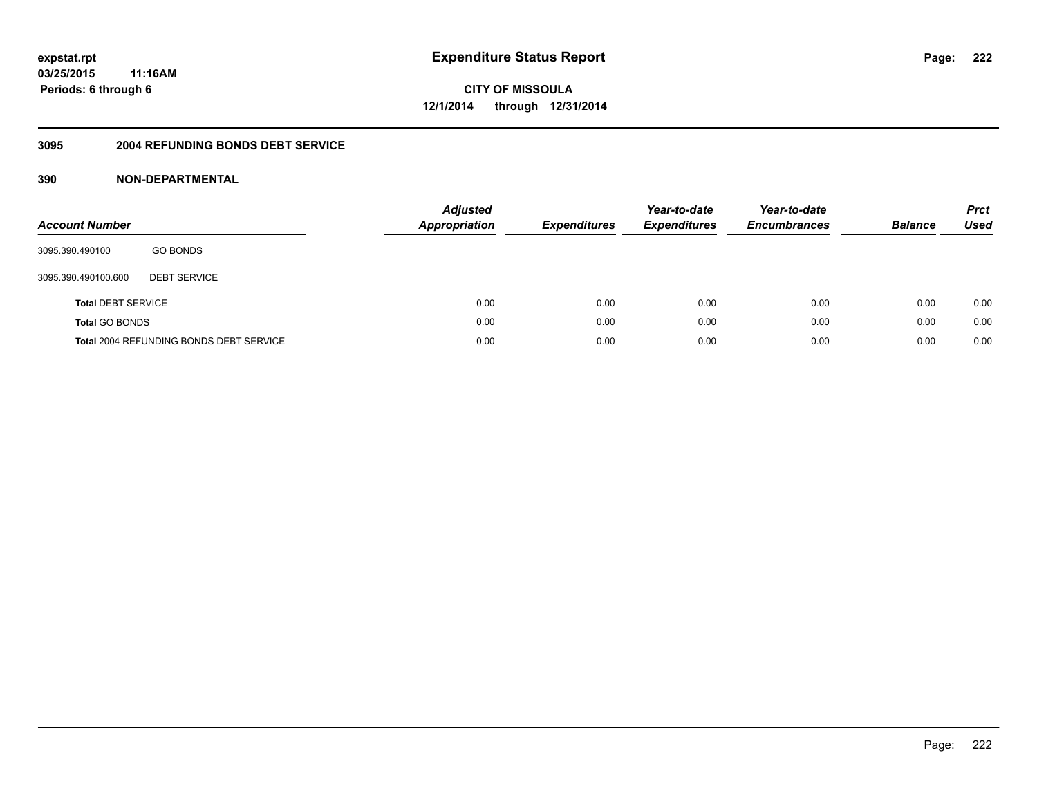#### **3095 2004 REFUNDING BONDS DEBT SERVICE**

| <b>Account Number</b>     |                                                | <b>Adjusted</b><br><b>Appropriation</b> | <b>Expenditures</b> | Year-to-date<br><b>Expenditures</b> | Year-to-date<br><b>Encumbrances</b> | <b>Balance</b> | <b>Prct</b><br><b>Used</b> |
|---------------------------|------------------------------------------------|-----------------------------------------|---------------------|-------------------------------------|-------------------------------------|----------------|----------------------------|
| 3095.390.490100           | <b>GO BONDS</b>                                |                                         |                     |                                     |                                     |                |                            |
| 3095.390.490100.600       | <b>DEBT SERVICE</b>                            |                                         |                     |                                     |                                     |                |                            |
| <b>Total DEBT SERVICE</b> |                                                | 0.00                                    | 0.00                | 0.00                                | 0.00                                | 0.00           | 0.00                       |
| <b>Total GO BONDS</b>     |                                                | 0.00                                    | 0.00                | 0.00                                | 0.00                                | 0.00           | 0.00                       |
|                           | <b>Total 2004 REFUNDING BONDS DEBT SERVICE</b> | 0.00                                    | 0.00                | 0.00                                | 0.00                                | 0.00           | 0.00                       |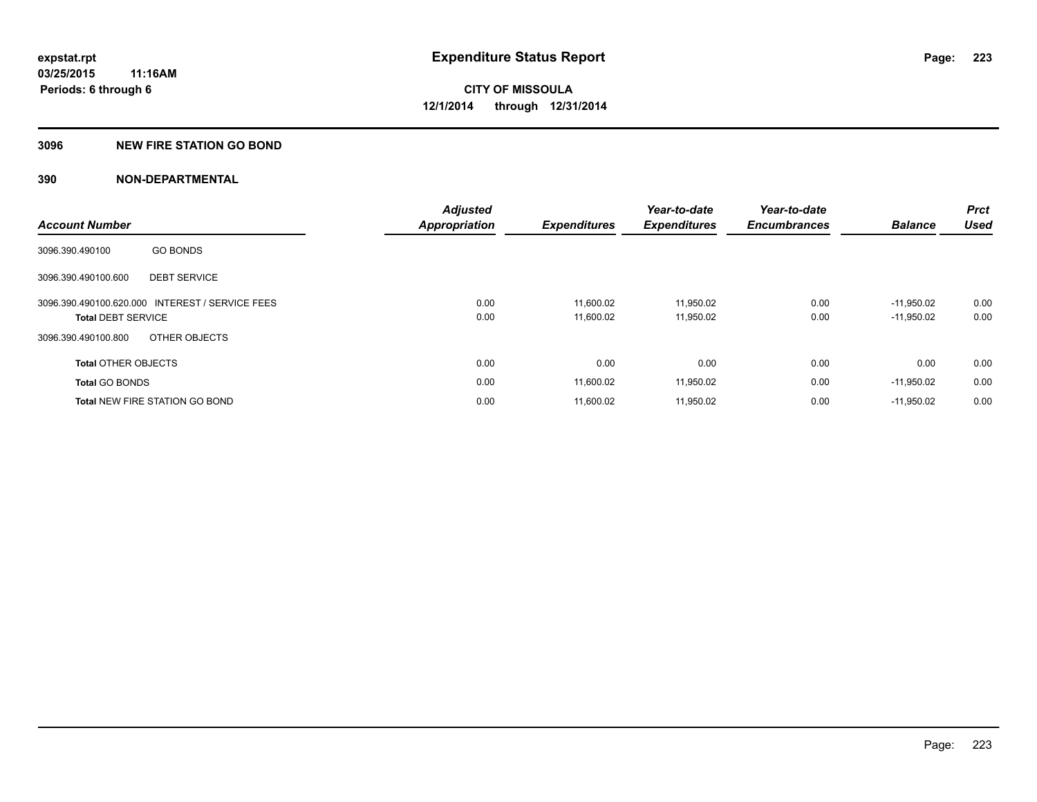### **3096 NEW FIRE STATION GO BOND**

|                            |                                                 | <b>Adjusted</b>      |                     | Year-to-date        | Year-to-date        |                | <b>Prct</b> |
|----------------------------|-------------------------------------------------|----------------------|---------------------|---------------------|---------------------|----------------|-------------|
| <b>Account Number</b>      |                                                 | <b>Appropriation</b> | <b>Expenditures</b> | <b>Expenditures</b> | <b>Encumbrances</b> | <b>Balance</b> | <b>Used</b> |
| 3096.390.490100            | <b>GO BONDS</b>                                 |                      |                     |                     |                     |                |             |
| 3096.390.490100.600        | <b>DEBT SERVICE</b>                             |                      |                     |                     |                     |                |             |
|                            | 3096.390.490100.620.000 INTEREST / SERVICE FEES | 0.00                 | 11.600.02           | 11.950.02           | 0.00                | $-11.950.02$   | 0.00        |
| <b>Total DEBT SERVICE</b>  |                                                 | 0.00                 | 11,600.02           | 11,950.02           | 0.00                | $-11,950.02$   | 0.00        |
| 3096.390.490100.800        | OTHER OBJECTS                                   |                      |                     |                     |                     |                |             |
| <b>Total OTHER OBJECTS</b> |                                                 | 0.00                 | 0.00                | 0.00                | 0.00                | 0.00           | 0.00        |
| <b>Total GO BONDS</b>      |                                                 | 0.00                 | 11,600.02           | 11,950.02           | 0.00                | $-11,950.02$   | 0.00        |
|                            | <b>Total NEW FIRE STATION GO BOND</b>           | 0.00                 | 11.600.02           | 11.950.02           | 0.00                | $-11.950.02$   | 0.00        |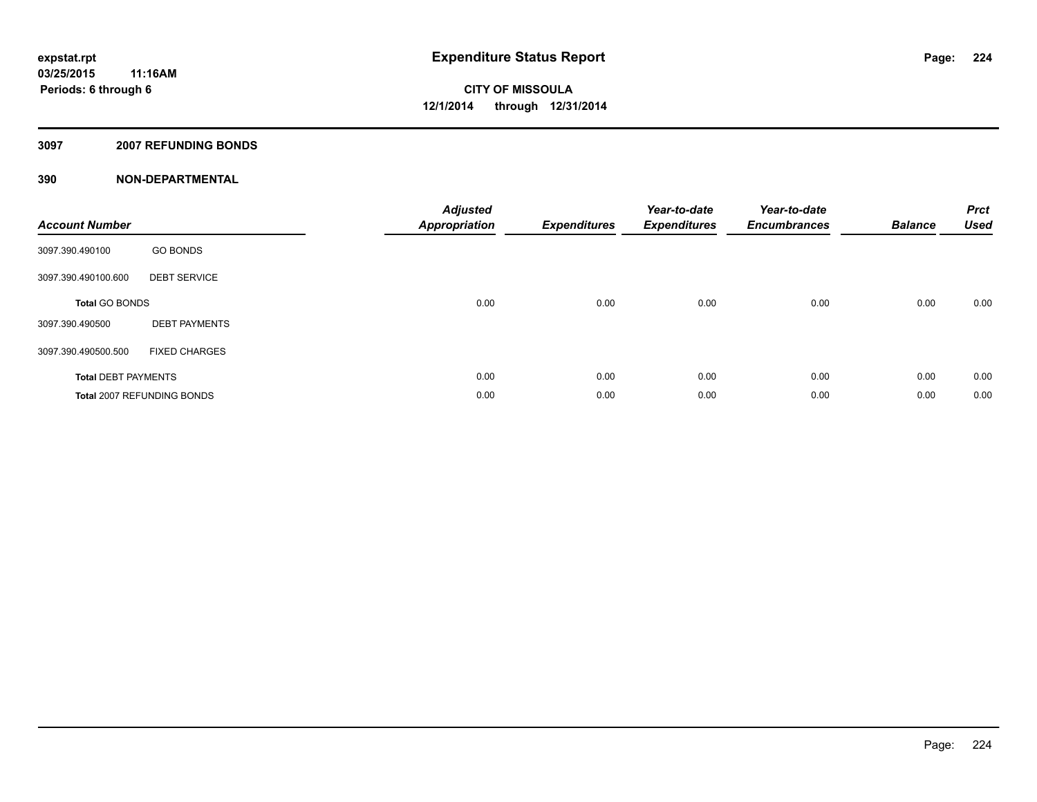### **3097 2007 REFUNDING BONDS**

| <b>Account Number</b>      |                            | <b>Adjusted</b><br><b>Appropriation</b> | <b>Expenditures</b> | Year-to-date<br><b>Expenditures</b> | Year-to-date<br><b>Encumbrances</b> | <b>Balance</b> | <b>Prct</b><br><b>Used</b> |
|----------------------------|----------------------------|-----------------------------------------|---------------------|-------------------------------------|-------------------------------------|----------------|----------------------------|
| 3097.390.490100            | <b>GO BONDS</b>            |                                         |                     |                                     |                                     |                |                            |
| 3097.390.490100.600        | <b>DEBT SERVICE</b>        |                                         |                     |                                     |                                     |                |                            |
| <b>Total GO BONDS</b>      |                            | 0.00                                    | 0.00                | 0.00                                | 0.00                                | 0.00           | 0.00                       |
| 3097.390.490500            | <b>DEBT PAYMENTS</b>       |                                         |                     |                                     |                                     |                |                            |
| 3097.390.490500.500        | <b>FIXED CHARGES</b>       |                                         |                     |                                     |                                     |                |                            |
| <b>Total DEBT PAYMENTS</b> |                            | 0.00                                    | 0.00                | 0.00                                | 0.00                                | 0.00           | 0.00                       |
|                            | Total 2007 REFUNDING BONDS | 0.00                                    | 0.00                | 0.00                                | 0.00                                | 0.00           | 0.00                       |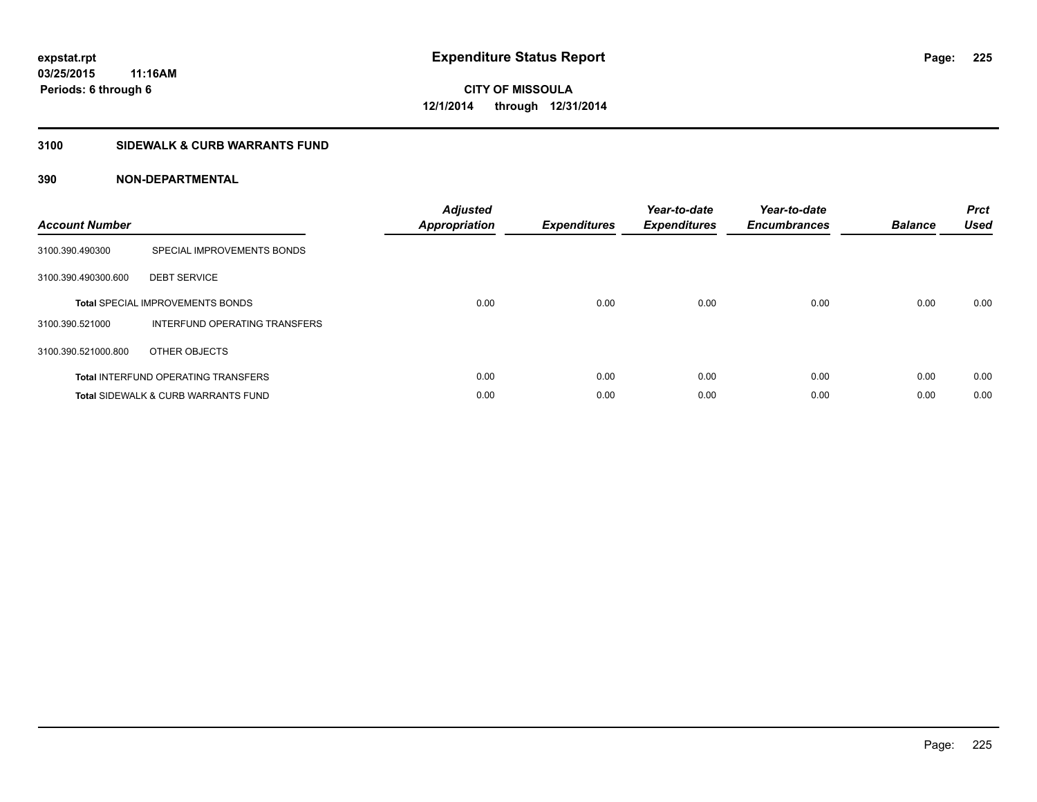### **3100 SIDEWALK & CURB WARRANTS FUND**

| <b>Account Number</b> |                                                | <b>Adjusted</b><br>Appropriation | <b>Expenditures</b> | Year-to-date<br><b>Expenditures</b> | Year-to-date<br><b>Encumbrances</b> | <b>Balance</b> | <b>Prct</b><br><b>Used</b> |
|-----------------------|------------------------------------------------|----------------------------------|---------------------|-------------------------------------|-------------------------------------|----------------|----------------------------|
| 3100.390.490300       | SPECIAL IMPROVEMENTS BONDS                     |                                  |                     |                                     |                                     |                |                            |
| 3100.390.490300.600   | <b>DEBT SERVICE</b>                            |                                  |                     |                                     |                                     |                |                            |
|                       | <b>Total SPECIAL IMPROVEMENTS BONDS</b>        | 0.00                             | 0.00                | 0.00                                | 0.00                                | 0.00           | 0.00                       |
| 3100.390.521000       | INTERFUND OPERATING TRANSFERS                  |                                  |                     |                                     |                                     |                |                            |
| 3100.390.521000.800   | OTHER OBJECTS                                  |                                  |                     |                                     |                                     |                |                            |
|                       | <b>Total INTERFUND OPERATING TRANSFERS</b>     | 0.00                             | 0.00                | 0.00                                | 0.00                                | 0.00           | 0.00                       |
|                       | <b>Total SIDEWALK &amp; CURB WARRANTS FUND</b> | 0.00                             | 0.00                | 0.00                                | 0.00                                | 0.00           | 0.00                       |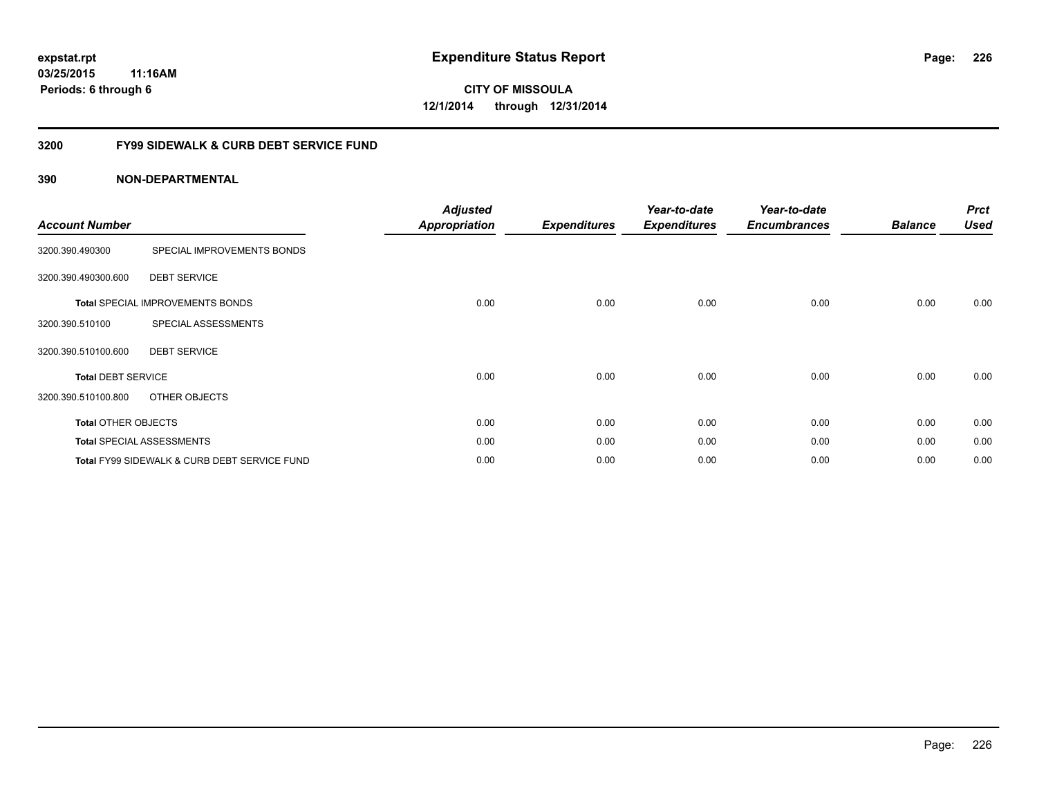### **03/25/2015 11:16AM Periods: 6 through 6**

**CITY OF MISSOULA 12/1/2014 through 12/31/2014**

#### **3200 FY99 SIDEWALK & CURB DEBT SERVICE FUND**

| <b>Account Number</b>      |                                              | <b>Adjusted</b><br><b>Appropriation</b> | <b>Expenditures</b> | Year-to-date<br><b>Expenditures</b> | Year-to-date<br><b>Encumbrances</b> | <b>Balance</b> | <b>Prct</b><br><b>Used</b> |
|----------------------------|----------------------------------------------|-----------------------------------------|---------------------|-------------------------------------|-------------------------------------|----------------|----------------------------|
| 3200.390.490300            | SPECIAL IMPROVEMENTS BONDS                   |                                         |                     |                                     |                                     |                |                            |
| 3200.390.490300.600        | <b>DEBT SERVICE</b>                          |                                         |                     |                                     |                                     |                |                            |
|                            | <b>Total SPECIAL IMPROVEMENTS BONDS</b>      | 0.00                                    | 0.00                | 0.00                                | 0.00                                | 0.00           | 0.00                       |
| 3200.390.510100            | SPECIAL ASSESSMENTS                          |                                         |                     |                                     |                                     |                |                            |
| 3200.390.510100.600        | <b>DEBT SERVICE</b>                          |                                         |                     |                                     |                                     |                |                            |
| <b>Total DEBT SERVICE</b>  |                                              | 0.00                                    | 0.00                | 0.00                                | 0.00                                | 0.00           | 0.00                       |
| 3200.390.510100.800        | OTHER OBJECTS                                |                                         |                     |                                     |                                     |                |                            |
| <b>Total OTHER OBJECTS</b> |                                              | 0.00                                    | 0.00                | 0.00                                | 0.00                                | 0.00           | 0.00                       |
|                            | <b>Total SPECIAL ASSESSMENTS</b>             | 0.00                                    | 0.00                | 0.00                                | 0.00                                | 0.00           | 0.00                       |
|                            | Total FY99 SIDEWALK & CURB DEBT SERVICE FUND | 0.00                                    | 0.00                | 0.00                                | 0.00                                | 0.00           | 0.00                       |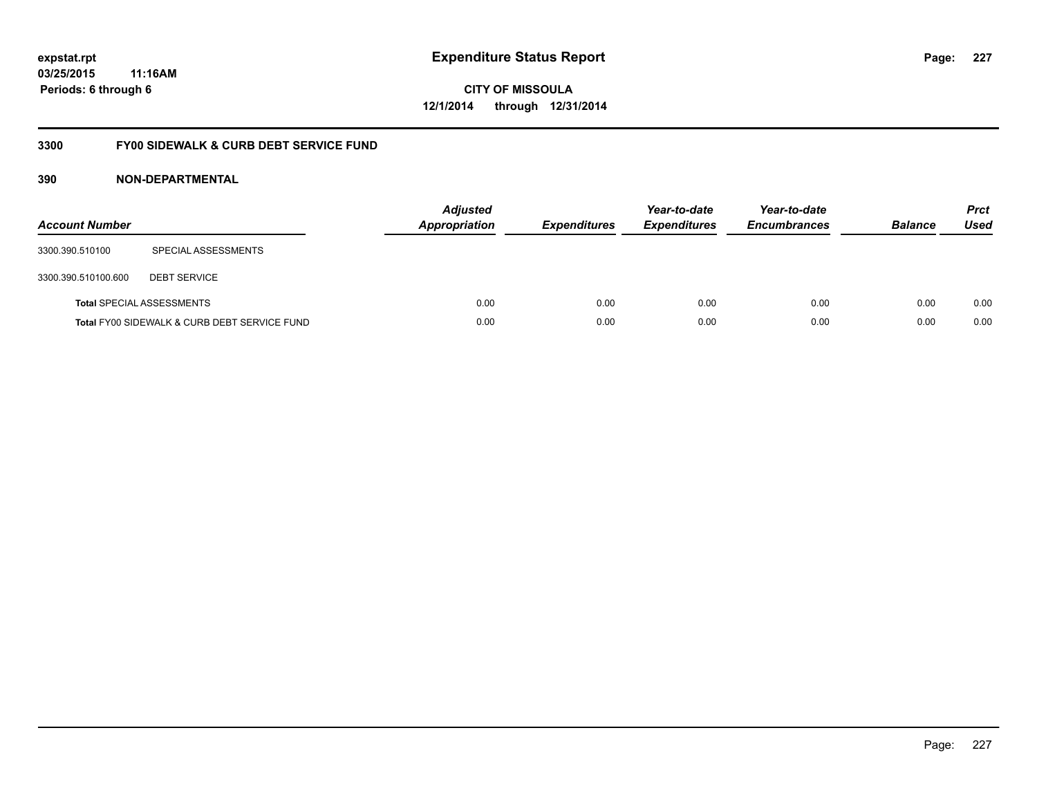### **03/25/2015 11:16AM Periods: 6 through 6**

**CITY OF MISSOULA 12/1/2014 through 12/31/2014**

### **3300 FY00 SIDEWALK & CURB DEBT SERVICE FUND**

| <b>Account Number</b> |                                              | <b>Adjusted</b><br>Appropriation | <b>Expenditures</b> | Year-to-date<br><b>Expenditures</b> | Year-to-date<br><b>Encumbrances</b> | <b>Balance</b> | <b>Prct</b><br>Used |
|-----------------------|----------------------------------------------|----------------------------------|---------------------|-------------------------------------|-------------------------------------|----------------|---------------------|
| 3300.390.510100       | SPECIAL ASSESSMENTS                          |                                  |                     |                                     |                                     |                |                     |
| 3300.390.510100.600   | <b>DEBT SERVICE</b>                          |                                  |                     |                                     |                                     |                |                     |
|                       | <b>Total SPECIAL ASSESSMENTS</b>             | 0.00                             | 0.00                | 0.00                                | 0.00                                | 0.00           | 0.00                |
|                       | Total FY00 SIDEWALK & CURB DEBT SERVICE FUND | 0.00                             | 0.00                | 0.00                                | 0.00                                | 0.00           | 0.00                |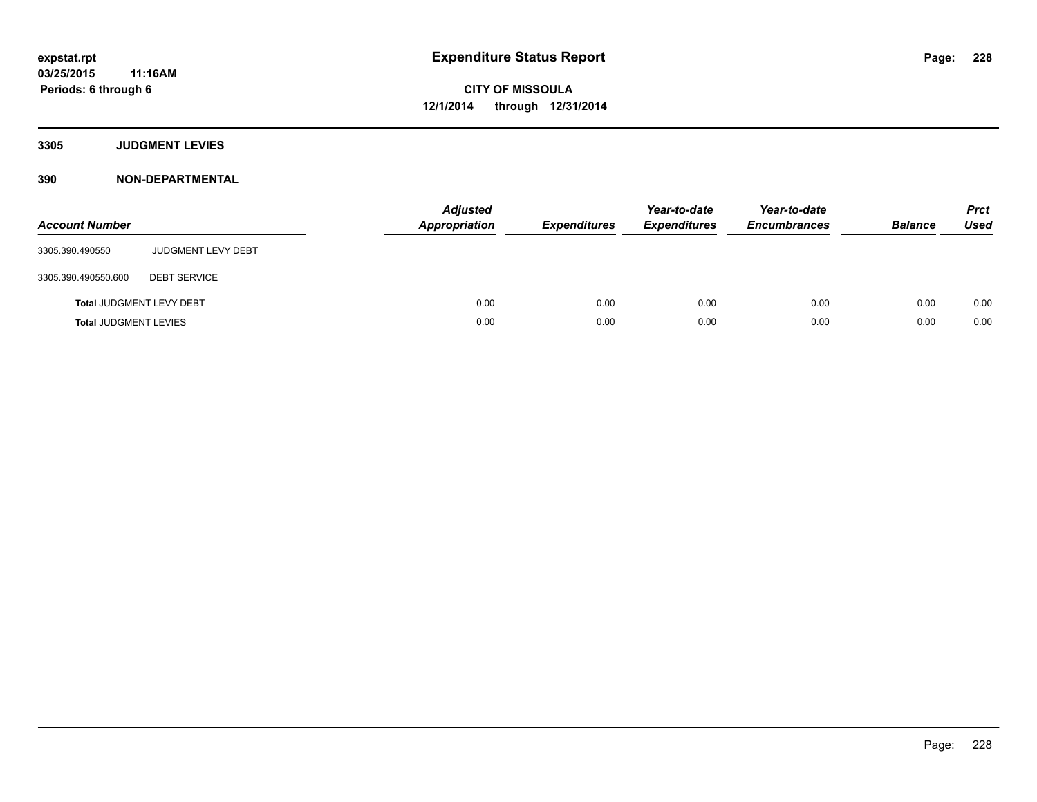**3305 JUDGMENT LEVIES**

| <b>Account Number</b>           |                           | <b>Adjusted</b><br>Appropriation | <b>Expenditures</b> | Year-to-date<br><b>Expenditures</b> | Year-to-date<br><b>Encumbrances</b> | <b>Balance</b> | <b>Prct</b><br><b>Used</b> |
|---------------------------------|---------------------------|----------------------------------|---------------------|-------------------------------------|-------------------------------------|----------------|----------------------------|
| 3305.390.490550                 | <b>JUDGMENT LEVY DEBT</b> |                                  |                     |                                     |                                     |                |                            |
| 3305.390.490550.600             | <b>DEBT SERVICE</b>       |                                  |                     |                                     |                                     |                |                            |
| <b>Total JUDGMENT LEVY DEBT</b> |                           | 0.00                             | 0.00                | 0.00                                | 0.00                                | 0.00           | 0.00                       |
| <b>Total JUDGMENT LEVIES</b>    |                           | 0.00                             | 0.00                | 0.00                                | 0.00                                | 0.00           | 0.00                       |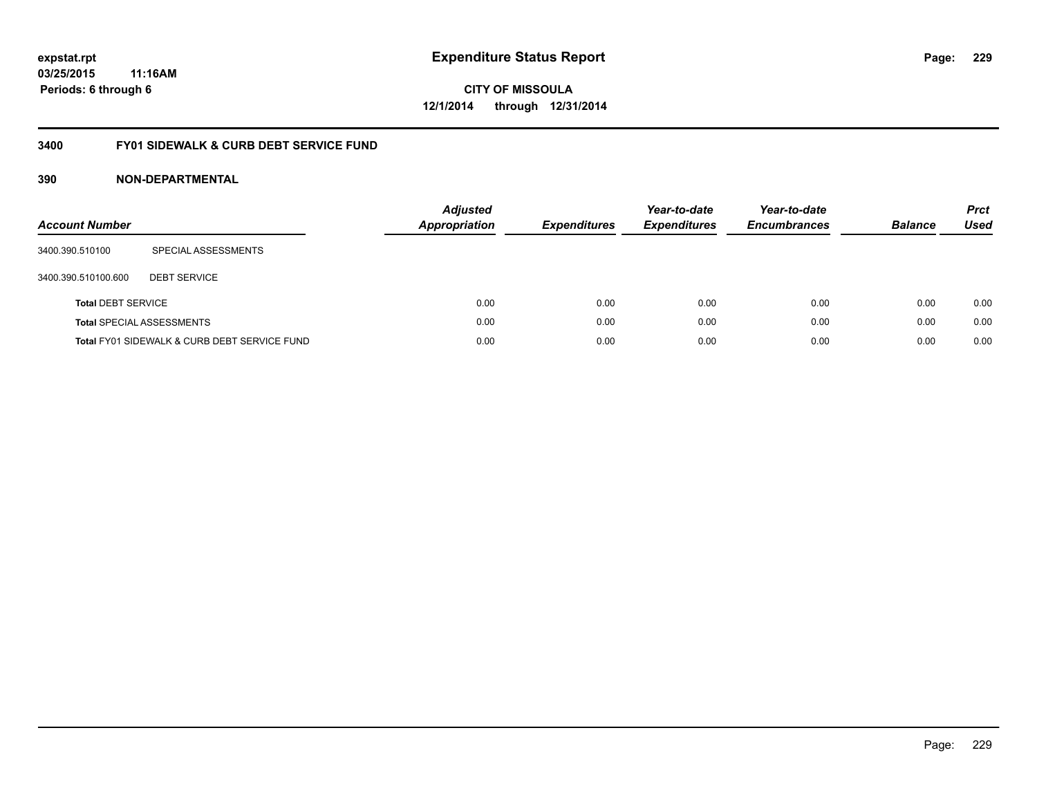### **03/25/2015 11:16AM Periods: 6 through 6**

**CITY OF MISSOULA 12/1/2014 through 12/31/2014**

#### **3400 FY01 SIDEWALK & CURB DEBT SERVICE FUND**

| <b>Account Number</b>     |                                              | <b>Adjusted</b><br><b>Appropriation</b> | <b>Expenditures</b> | Year-to-date<br><b>Expenditures</b> | Year-to-date<br><b>Encumbrances</b> | <b>Balance</b> | <b>Prct</b><br>Used |
|---------------------------|----------------------------------------------|-----------------------------------------|---------------------|-------------------------------------|-------------------------------------|----------------|---------------------|
| 3400.390.510100           | SPECIAL ASSESSMENTS                          |                                         |                     |                                     |                                     |                |                     |
| 3400.390.510100.600       | <b>DEBT SERVICE</b>                          |                                         |                     |                                     |                                     |                |                     |
| <b>Total DEBT SERVICE</b> |                                              | 0.00                                    | 0.00                | 0.00                                | 0.00                                | 0.00           | 0.00                |
|                           | <b>Total SPECIAL ASSESSMENTS</b>             | 0.00                                    | 0.00                | 0.00                                | 0.00                                | 0.00           | 0.00                |
|                           | Total FY01 SIDEWALK & CURB DEBT SERVICE FUND | 0.00                                    | 0.00                | 0.00                                | 0.00                                | 0.00           | 0.00                |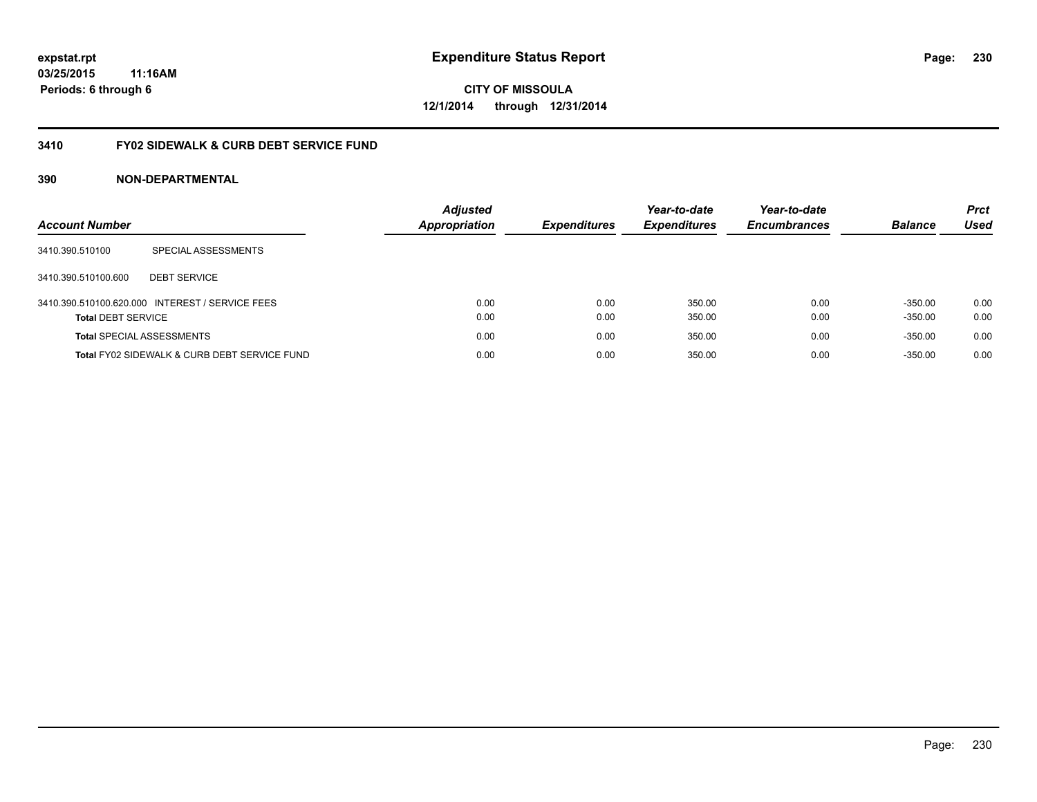### **03/25/2015 11:16AM Periods: 6 through 6**

**CITY OF MISSOULA 12/1/2014 through 12/31/2014**

#### **3410 FY02 SIDEWALK & CURB DEBT SERVICE FUND**

| <b>Account Number</b>            |                                                 | <b>Adjusted</b><br><b>Appropriation</b> | <b>Expenditures</b> | Year-to-date<br><b>Expenditures</b> | Year-to-date<br><b>Encumbrances</b> | <b>Balance</b> | <b>Prct</b><br>Used |
|----------------------------------|-------------------------------------------------|-----------------------------------------|---------------------|-------------------------------------|-------------------------------------|----------------|---------------------|
| 3410.390.510100                  | SPECIAL ASSESSMENTS                             |                                         |                     |                                     |                                     |                |                     |
| 3410.390.510100.600              | <b>DEBT SERVICE</b>                             |                                         |                     |                                     |                                     |                |                     |
|                                  | 3410.390.510100.620.000 INTEREST / SERVICE FEES | 0.00                                    | 0.00                | 350.00                              | 0.00                                | $-350.00$      | 0.00                |
| <b>Total DEBT SERVICE</b>        |                                                 | 0.00                                    | 0.00                | 350.00                              | 0.00                                | $-350.00$      | 0.00                |
| <b>Total SPECIAL ASSESSMENTS</b> |                                                 | 0.00                                    | 0.00                | 350.00                              | 0.00                                | $-350.00$      | 0.00                |
|                                  | Total FY02 SIDEWALK & CURB DEBT SERVICE FUND    | 0.00                                    | 0.00                | 350.00                              | 0.00                                | $-350.00$      | 0.00                |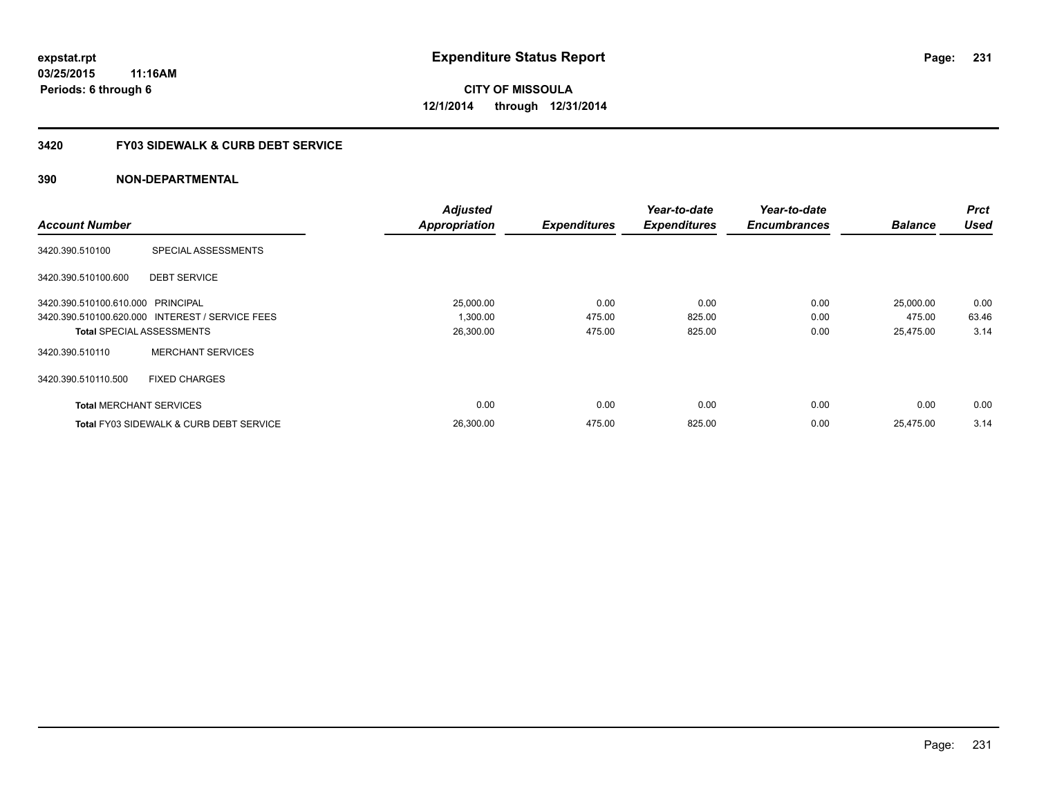#### **3420 FY03 SIDEWALK & CURB DEBT SERVICE**

|                                   |                                                    | <b>Adjusted</b>      |                     | Year-to-date        | Year-to-date        |                | <b>Prct</b> |
|-----------------------------------|----------------------------------------------------|----------------------|---------------------|---------------------|---------------------|----------------|-------------|
| <b>Account Number</b>             |                                                    | <b>Appropriation</b> | <b>Expenditures</b> | <b>Expenditures</b> | <b>Encumbrances</b> | <b>Balance</b> | <b>Used</b> |
| 3420.390.510100                   | SPECIAL ASSESSMENTS                                |                      |                     |                     |                     |                |             |
| 3420.390.510100.600               | <b>DEBT SERVICE</b>                                |                      |                     |                     |                     |                |             |
| 3420.390.510100.610.000 PRINCIPAL |                                                    | 25,000.00            | 0.00                | 0.00                | 0.00                | 25,000.00      | 0.00        |
|                                   | 3420.390.510100.620.000 INTEREST / SERVICE FEES    | 1,300.00             | 475.00              | 825.00              | 0.00                | 475.00         | 63.46       |
| <b>Total SPECIAL ASSESSMENTS</b>  |                                                    | 26,300.00            | 475.00              | 825.00              | 0.00                | 25.475.00      | 3.14        |
| 3420.390.510110                   | <b>MERCHANT SERVICES</b>                           |                      |                     |                     |                     |                |             |
| 3420.390.510110.500               | <b>FIXED CHARGES</b>                               |                      |                     |                     |                     |                |             |
| <b>Total MERCHANT SERVICES</b>    |                                                    | 0.00                 | 0.00                | 0.00                | 0.00                | 0.00           | 0.00        |
|                                   | <b>Total FY03 SIDEWALK &amp; CURB DEBT SERVICE</b> | 26.300.00            | 475.00              | 825.00              | 0.00                | 25.475.00      | 3.14        |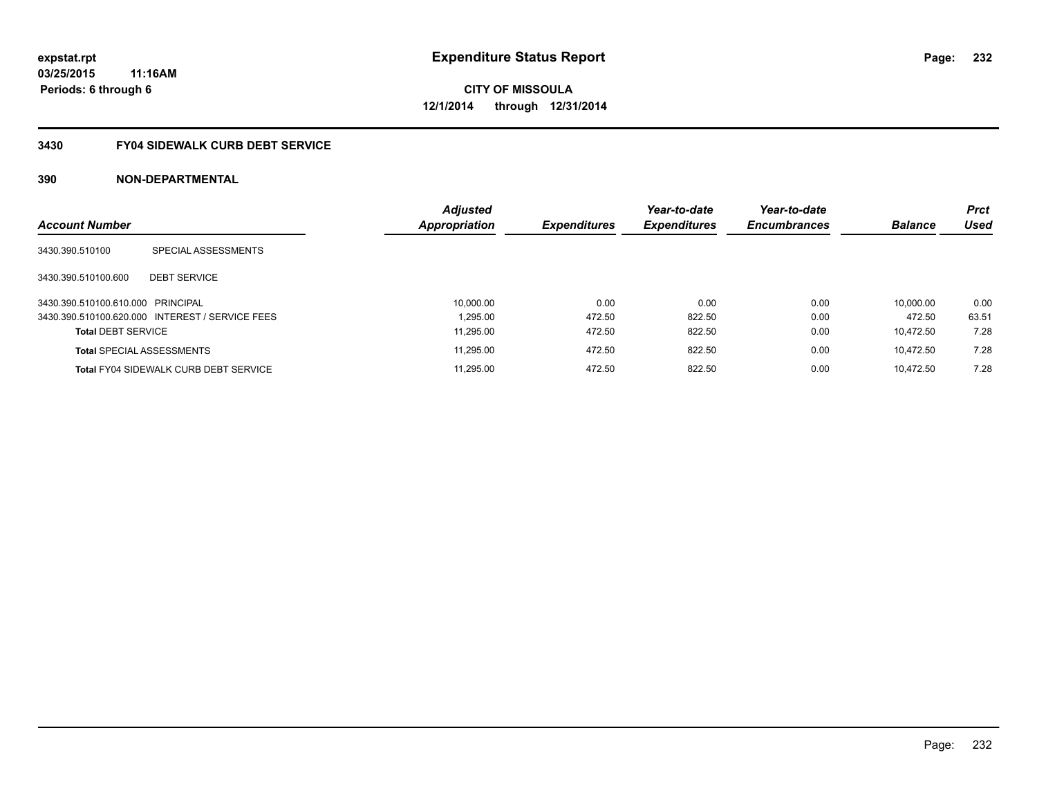### **3430 FY04 SIDEWALK CURB DEBT SERVICE**

| <b>Account Number</b>             |                                                 | <b>Adjusted</b><br><b>Appropriation</b> | <b>Expenditures</b> | Year-to-date<br><b>Expenditures</b> | Year-to-date<br><b>Encumbrances</b> | <b>Balance</b> | <b>Prct</b><br><b>Used</b> |
|-----------------------------------|-------------------------------------------------|-----------------------------------------|---------------------|-------------------------------------|-------------------------------------|----------------|----------------------------|
|                                   |                                                 |                                         |                     |                                     |                                     |                |                            |
| 3430.390.510100                   | SPECIAL ASSESSMENTS                             |                                         |                     |                                     |                                     |                |                            |
| 3430.390.510100.600               | <b>DEBT SERVICE</b>                             |                                         |                     |                                     |                                     |                |                            |
| 3430.390.510100.610.000 PRINCIPAL |                                                 | 10,000.00                               | 0.00                | 0.00                                | 0.00                                | 10.000.00      | 0.00                       |
|                                   | 3430.390.510100.620.000 INTEREST / SERVICE FEES | 1.295.00                                | 472.50              | 822.50                              | 0.00                                | 472.50         | 63.51                      |
| <b>Total DEBT SERVICE</b>         |                                                 | 11.295.00                               | 472.50              | 822.50                              | 0.00                                | 10.472.50      | 7.28                       |
|                                   | <b>Total SPECIAL ASSESSMENTS</b>                | 11.295.00                               | 472.50              | 822.50                              | 0.00                                | 10.472.50      | 7.28                       |
|                                   | <b>Total FY04 SIDEWALK CURB DEBT SERVICE</b>    | 11.295.00                               | 472.50              | 822.50                              | 0.00                                | 10.472.50      | 7.28                       |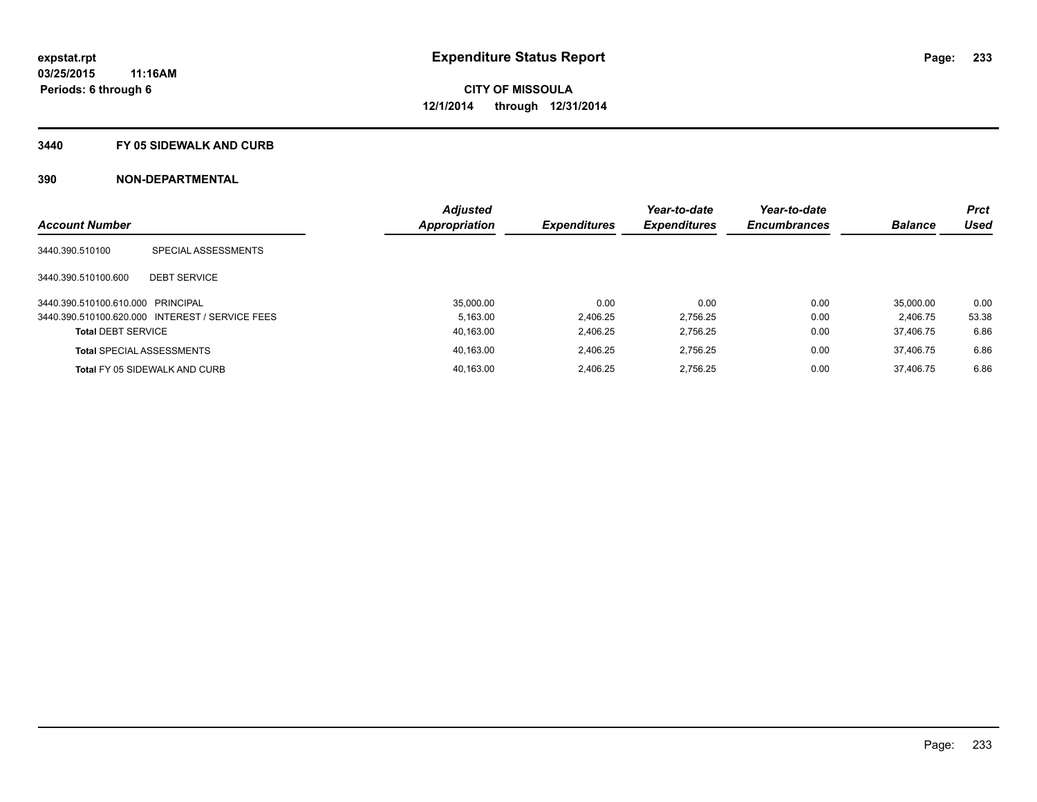#### **3440 FY 05 SIDEWALK AND CURB**

|                                   |                                                 | <b>Adjusted</b> |                     | Year-to-date        | Year-to-date        |                | <b>Prct</b> |
|-----------------------------------|-------------------------------------------------|-----------------|---------------------|---------------------|---------------------|----------------|-------------|
| <b>Account Number</b>             |                                                 | Appropriation   | <b>Expenditures</b> | <b>Expenditures</b> | <b>Encumbrances</b> | <b>Balance</b> | Used        |
| 3440.390.510100                   | SPECIAL ASSESSMENTS                             |                 |                     |                     |                     |                |             |
| 3440.390.510100.600               | <b>DEBT SERVICE</b>                             |                 |                     |                     |                     |                |             |
| 3440.390.510100.610.000 PRINCIPAL |                                                 | 35.000.00       | 0.00                | 0.00                | 0.00                | 35.000.00      | 0.00        |
|                                   | 3440.390.510100.620.000 INTEREST / SERVICE FEES | 5.163.00        | 2,406.25            | 2,756.25            | 0.00                | 2.406.75       | 53.38       |
| <b>Total DEBT SERVICE</b>         |                                                 | 40,163.00       | 2.406.25            | 2,756.25            | 0.00                | 37.406.75      | 6.86        |
|                                   | <b>Total SPECIAL ASSESSMENTS</b>                | 40.163.00       | 2.406.25            | 2,756.25            | 0.00                | 37.406.75      | 6.86        |
|                                   | <b>Total FY 05 SIDEWALK AND CURB</b>            | 40.163.00       | 2.406.25            | 2.756.25            | 0.00                | 37.406.75      | 6.86        |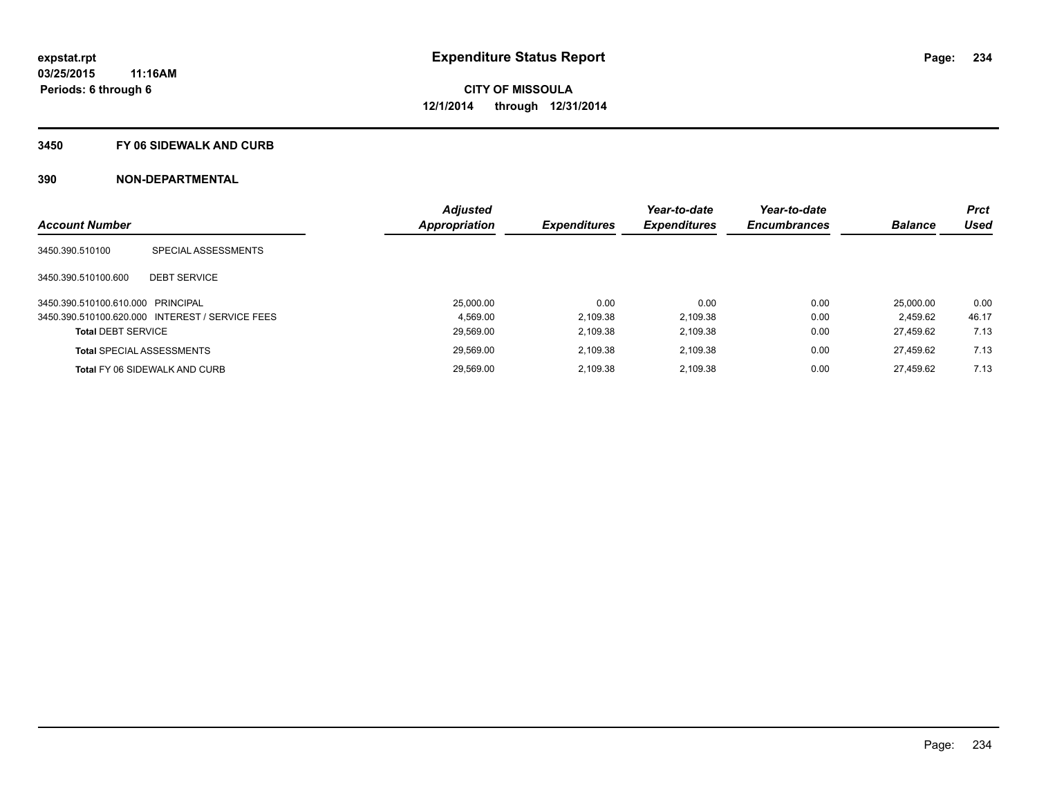#### **3450 FY 06 SIDEWALK AND CURB**

|                                   |                                                 | <b>Adjusted</b> |                     | Year-to-date        | Year-to-date        |                | <b>Prct</b> |
|-----------------------------------|-------------------------------------------------|-----------------|---------------------|---------------------|---------------------|----------------|-------------|
| <b>Account Number</b>             |                                                 | Appropriation   | <b>Expenditures</b> | <b>Expenditures</b> | <b>Encumbrances</b> | <b>Balance</b> | <b>Used</b> |
| 3450.390.510100                   | SPECIAL ASSESSMENTS                             |                 |                     |                     |                     |                |             |
| 3450.390.510100.600               | <b>DEBT SERVICE</b>                             |                 |                     |                     |                     |                |             |
| 3450.390.510100.610.000 PRINCIPAL |                                                 | 25.000.00       | 0.00                | 0.00                | 0.00                | 25.000.00      | 0.00        |
|                                   | 3450.390.510100.620.000 INTEREST / SERVICE FEES | 4.569.00        | 2,109.38            | 2,109.38            | 0.00                | 2.459.62       | 46.17       |
| <b>Total DEBT SERVICE</b>         |                                                 | 29,569.00       | 2,109.38            | 2,109.38            | 0.00                | 27.459.62      | 7.13        |
|                                   | <b>Total SPECIAL ASSESSMENTS</b>                | 29.569.00       | 2.109.38            | 2.109.38            | 0.00                | 27.459.62      | 7.13        |
|                                   | Total FY 06 SIDEWALK AND CURB                   | 29.569.00       | 2,109.38            | 2,109.38            | 0.00                | 27.459.62      | 7.13        |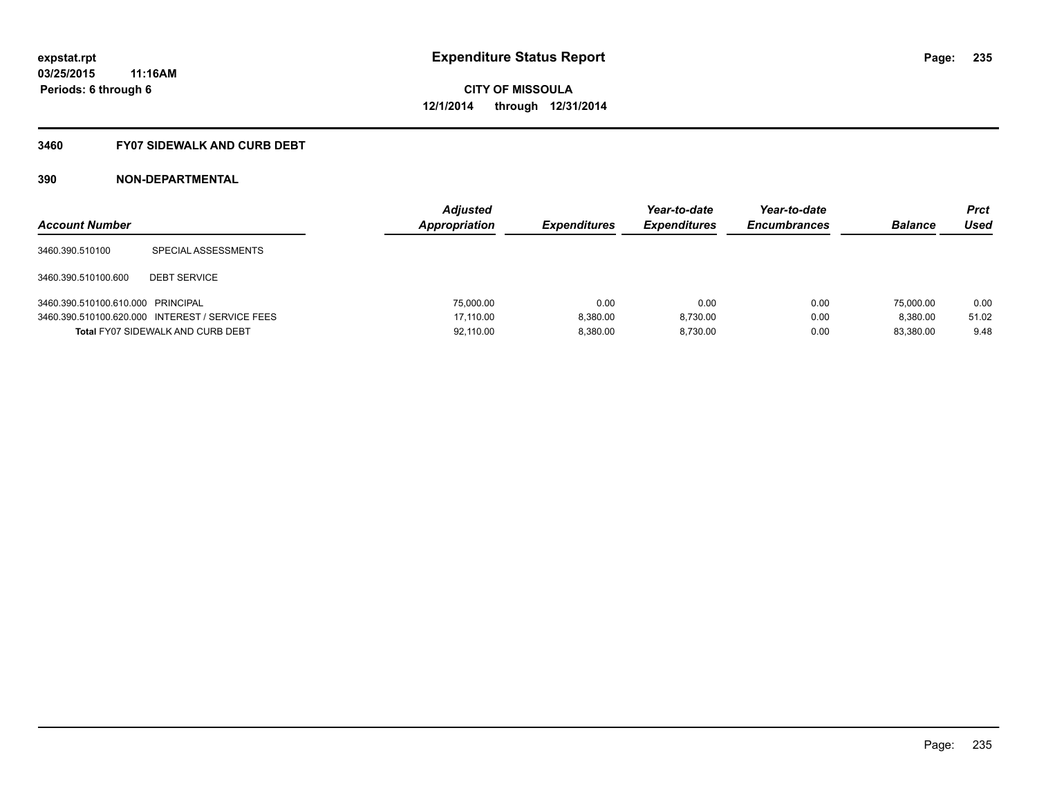#### **3460 FY07 SIDEWALK AND CURB DEBT**

| <b>Account Number</b>             |                                                 | <b>Adjusted</b><br>Appropriation | <b>Expenditures</b> | Year-to-date<br><b>Expenditures</b> | Year-to-date<br><b>Encumbrances</b> | <b>Balance</b> | <b>Prct</b><br>Used |
|-----------------------------------|-------------------------------------------------|----------------------------------|---------------------|-------------------------------------|-------------------------------------|----------------|---------------------|
| 3460.390.510100                   | SPECIAL ASSESSMENTS                             |                                  |                     |                                     |                                     |                |                     |
| 3460.390.510100.600               | <b>DEBT SERVICE</b>                             |                                  |                     |                                     |                                     |                |                     |
| 3460.390.510100.610.000 PRINCIPAL |                                                 | 75,000.00                        | 0.00                | 0.00                                | 0.00                                | 75,000.00      | 0.00                |
|                                   | 3460.390.510100.620.000 INTEREST / SERVICE FEES | 17.110.00                        | 8.380.00            | 8.730.00                            | 0.00                                | 8.380.00       | 51.02               |
|                                   | <b>Total FY07 SIDEWALK AND CURB DEBT</b>        | 92.110.00                        | 8.380.00            | 8.730.00                            | 0.00                                | 83.380.00      | 9.48                |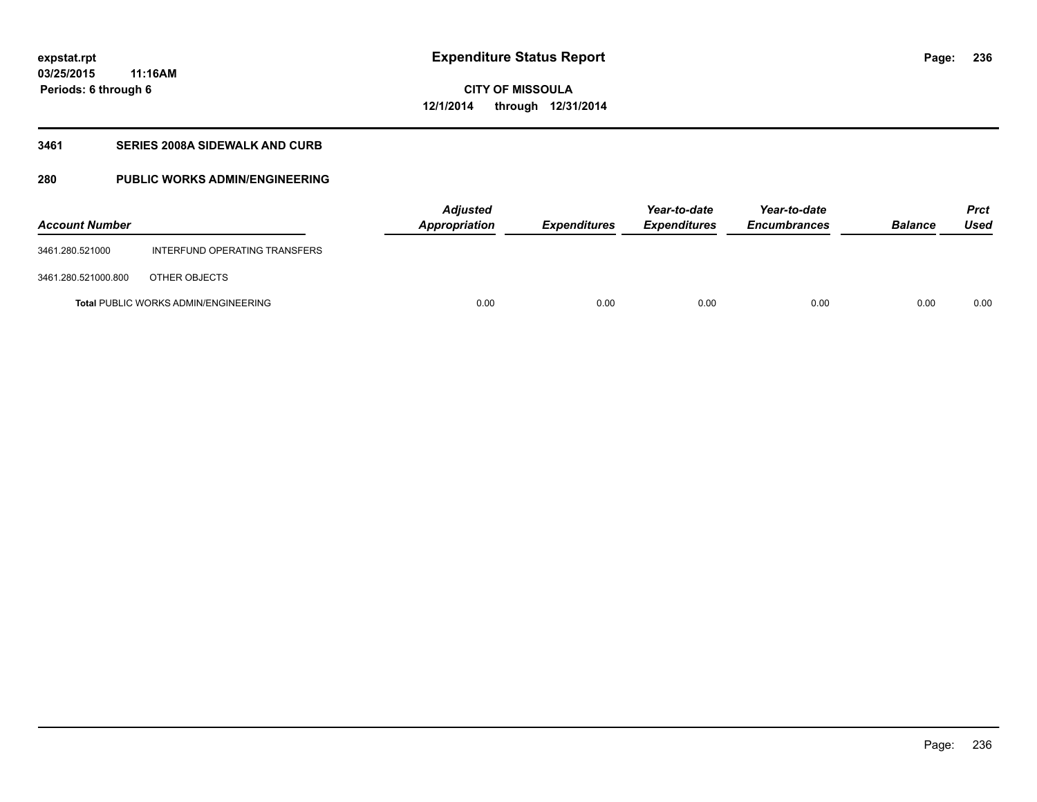**03/25/2015 11:16AM Periods: 6 through 6**

## **CITY OF MISSOULA 12/1/2014 through 12/31/2014**

#### **3461 SERIES 2008A SIDEWALK AND CURB**

### **280 PUBLIC WORKS ADMIN/ENGINEERING**

| <b>Account Number</b> |                                             | <b>Adjusted</b><br>Appropriation | <b>Expenditures</b> | Year-to-date<br><b>Expenditures</b> | Year-to-date<br><b>Encumbrances</b> | <b>Balance</b> | <b>Prct</b><br>Used |
|-----------------------|---------------------------------------------|----------------------------------|---------------------|-------------------------------------|-------------------------------------|----------------|---------------------|
| 3461.280.521000       | INTERFUND OPERATING TRANSFERS               |                                  |                     |                                     |                                     |                |                     |
| 3461.280.521000.800   | OTHER OBJECTS                               |                                  |                     |                                     |                                     |                |                     |
|                       | <b>Total PUBLIC WORKS ADMIN/ENGINEERING</b> | 0.00                             | 0.00                | 0.00                                | 0.00                                | 0.00           | 0.00                |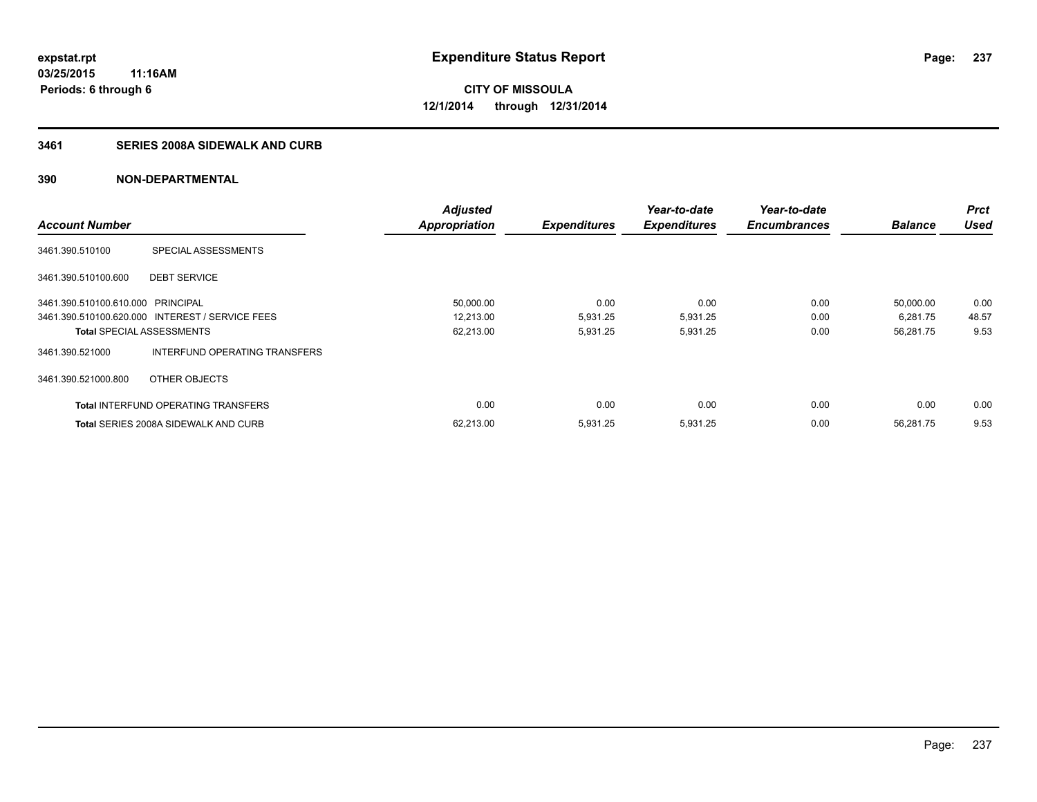### **3461 SERIES 2008A SIDEWALK AND CURB**

|                                   |                                                 | <b>Adjusted</b>      |                     | Year-to-date        | Year-to-date        |                | <b>Prct</b> |
|-----------------------------------|-------------------------------------------------|----------------------|---------------------|---------------------|---------------------|----------------|-------------|
| <b>Account Number</b>             |                                                 | <b>Appropriation</b> | <b>Expenditures</b> | <b>Expenditures</b> | <b>Encumbrances</b> | <b>Balance</b> | <b>Used</b> |
| 3461.390.510100                   | SPECIAL ASSESSMENTS                             |                      |                     |                     |                     |                |             |
| 3461.390.510100.600               | <b>DEBT SERVICE</b>                             |                      |                     |                     |                     |                |             |
| 3461.390.510100.610.000 PRINCIPAL |                                                 | 50,000.00            | 0.00                | 0.00                | 0.00                | 50,000.00      | 0.00        |
|                                   | 3461.390.510100.620.000 INTEREST / SERVICE FEES | 12,213.00            | 5,931.25            | 5,931.25            | 0.00                | 6,281.75       | 48.57       |
| <b>Total SPECIAL ASSESSMENTS</b>  |                                                 | 62,213.00            | 5,931.25            | 5,931.25            | 0.00                | 56,281.75      | 9.53        |
| 3461.390.521000                   | INTERFUND OPERATING TRANSFERS                   |                      |                     |                     |                     |                |             |
| 3461.390.521000.800               | OTHER OBJECTS                                   |                      |                     |                     |                     |                |             |
|                                   | <b>Total INTERFUND OPERATING TRANSFERS</b>      | 0.00                 | 0.00                | 0.00                | 0.00                | 0.00           | 0.00        |
|                                   | <b>Total SERIES 2008A SIDEWALK AND CURB</b>     | 62,213.00            | 5,931.25            | 5,931.25            | 0.00                | 56,281.75      | 9.53        |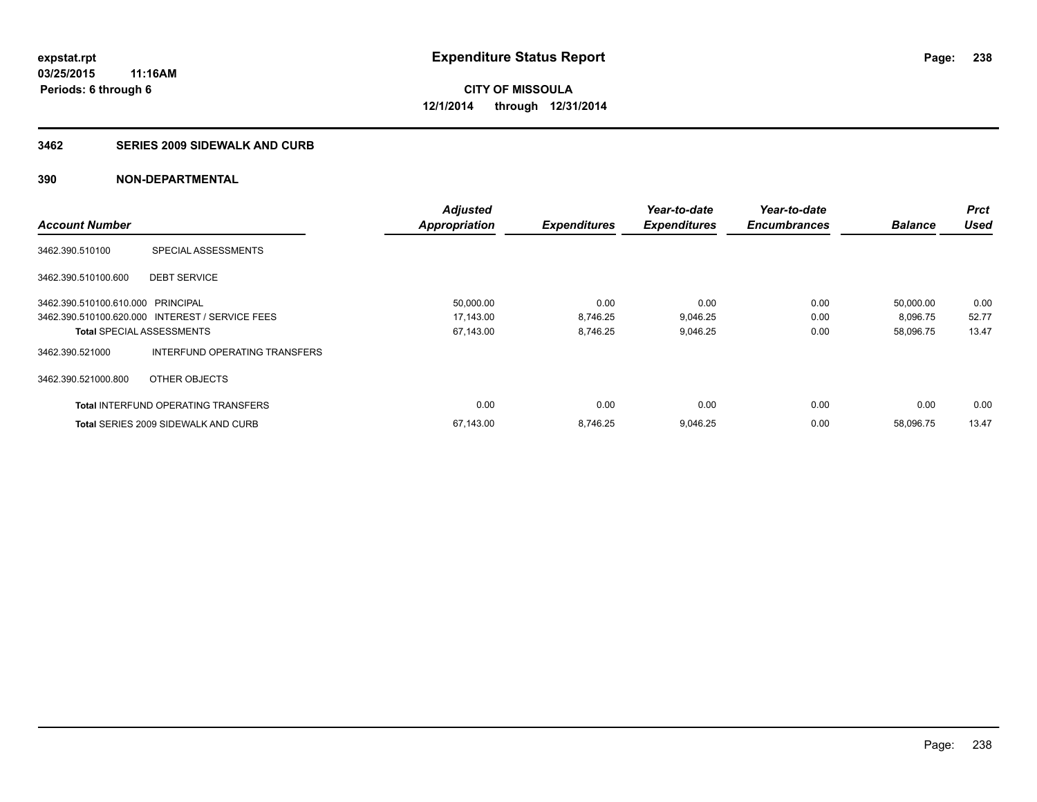#### **3462 SERIES 2009 SIDEWALK AND CURB**

|                                   |                                                 | <b>Adjusted</b>      |                     | Year-to-date        | Year-to-date        |                | <b>Prct</b> |
|-----------------------------------|-------------------------------------------------|----------------------|---------------------|---------------------|---------------------|----------------|-------------|
| <b>Account Number</b>             |                                                 | <b>Appropriation</b> | <b>Expenditures</b> | <b>Expenditures</b> | <b>Encumbrances</b> | <b>Balance</b> | <b>Used</b> |
| 3462.390.510100                   | SPECIAL ASSESSMENTS                             |                      |                     |                     |                     |                |             |
| 3462.390.510100.600               | <b>DEBT SERVICE</b>                             |                      |                     |                     |                     |                |             |
| 3462.390.510100.610.000 PRINCIPAL |                                                 | 50,000.00            | 0.00                | 0.00                | 0.00                | 50,000.00      | 0.00        |
|                                   | 3462.390.510100.620.000 INTEREST / SERVICE FEES | 17,143.00            | 8.746.25            | 9,046.25            | 0.00                | 8,096.75       | 52.77       |
| <b>Total SPECIAL ASSESSMENTS</b>  |                                                 | 67,143.00            | 8.746.25            | 9,046.25            | 0.00                | 58,096.75      | 13.47       |
| 3462.390.521000                   | INTERFUND OPERATING TRANSFERS                   |                      |                     |                     |                     |                |             |
| 3462.390.521000.800               | OTHER OBJECTS                                   |                      |                     |                     |                     |                |             |
|                                   | <b>Total INTERFUND OPERATING TRANSFERS</b>      | 0.00                 | 0.00                | 0.00                | 0.00                | 0.00           | 0.00        |
|                                   | <b>Total SERIES 2009 SIDEWALK AND CURB</b>      | 67,143.00            | 8.746.25            | 9,046.25            | 0.00                | 58.096.75      | 13.47       |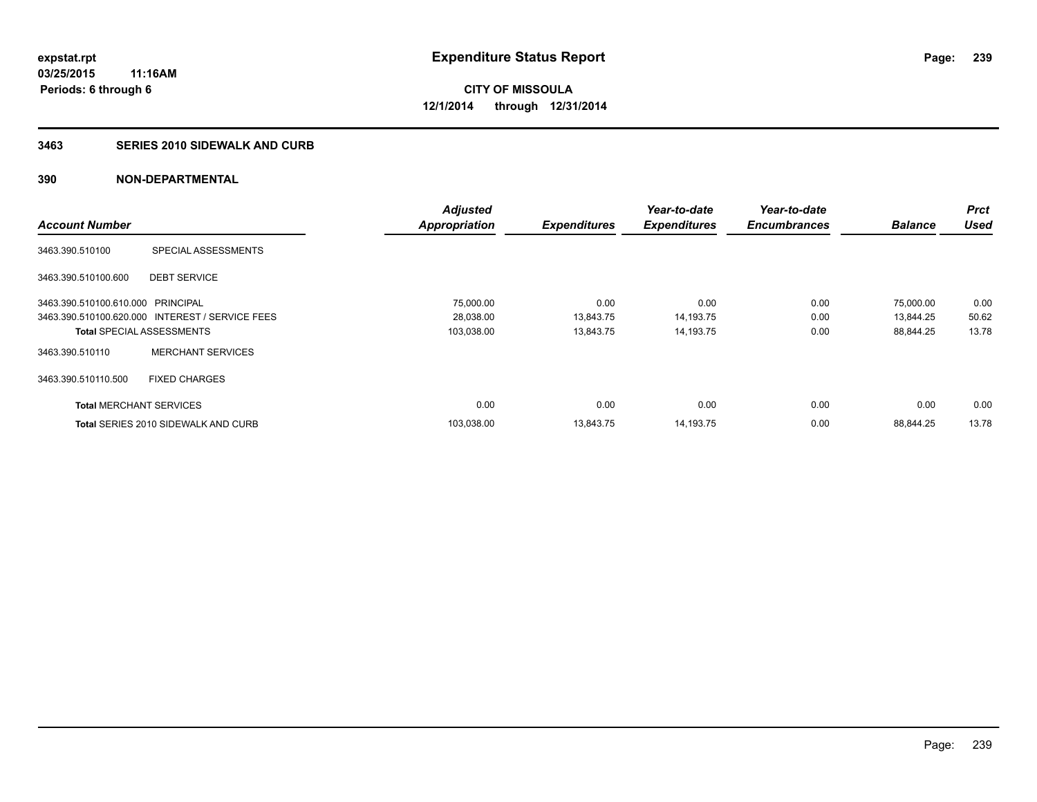#### **3463 SERIES 2010 SIDEWALK AND CURB**

|                                   |                                                 | <b>Adjusted</b> |                     | Year-to-date        | Year-to-date        |                | <b>Prct</b> |
|-----------------------------------|-------------------------------------------------|-----------------|---------------------|---------------------|---------------------|----------------|-------------|
| <b>Account Number</b>             |                                                 | Appropriation   | <b>Expenditures</b> | <b>Expenditures</b> | <b>Encumbrances</b> | <b>Balance</b> | <b>Used</b> |
| 3463.390.510100                   | SPECIAL ASSESSMENTS                             |                 |                     |                     |                     |                |             |
| 3463.390.510100.600               | <b>DEBT SERVICE</b>                             |                 |                     |                     |                     |                |             |
| 3463.390.510100.610.000 PRINCIPAL |                                                 | 75,000.00       | 0.00                | 0.00                | 0.00                | 75,000.00      | 0.00        |
|                                   | 3463.390.510100.620.000 INTEREST / SERVICE FEES | 28,038.00       | 13,843.75           | 14,193.75           | 0.00                | 13,844.25      | 50.62       |
| <b>Total SPECIAL ASSESSMENTS</b>  |                                                 | 103,038.00      | 13,843.75           | 14,193.75           | 0.00                | 88,844.25      | 13.78       |
| 3463.390.510110                   | <b>MERCHANT SERVICES</b>                        |                 |                     |                     |                     |                |             |
| 3463.390.510110.500               | <b>FIXED CHARGES</b>                            |                 |                     |                     |                     |                |             |
| <b>Total MERCHANT SERVICES</b>    |                                                 | 0.00            | 0.00                | 0.00                | 0.00                | 0.00           | 0.00        |
|                                   | <b>Total SERIES 2010 SIDEWALK AND CURB</b>      | 103,038.00      | 13,843.75           | 14,193.75           | 0.00                | 88.844.25      | 13.78       |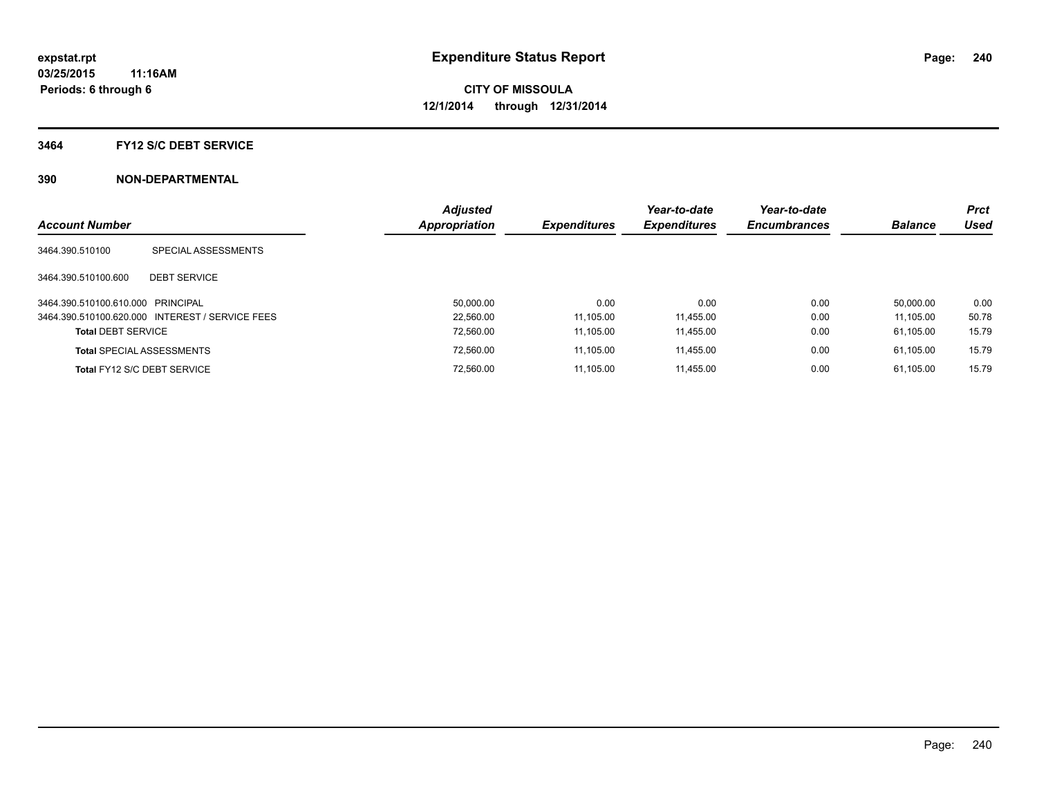#### **3464 FY12 S/C DEBT SERVICE**

| <b>Account Number</b>             |                                                 | <b>Adjusted</b><br><b>Appropriation</b> | <b>Expenditures</b> | Year-to-date<br><b>Expenditures</b> | Year-to-date<br><b>Encumbrances</b> | <b>Balance</b> | <b>Prct</b><br><b>Used</b> |
|-----------------------------------|-------------------------------------------------|-----------------------------------------|---------------------|-------------------------------------|-------------------------------------|----------------|----------------------------|
| 3464.390.510100                   | SPECIAL ASSESSMENTS                             |                                         |                     |                                     |                                     |                |                            |
| 3464.390.510100.600               | <b>DEBT SERVICE</b>                             |                                         |                     |                                     |                                     |                |                            |
| 3464.390.510100.610.000 PRINCIPAL |                                                 | 50.000.00                               | 0.00                | 0.00                                | 0.00                                | 50.000.00      | 0.00                       |
|                                   | 3464.390.510100.620.000 INTEREST / SERVICE FEES | 22.560.00                               | 11.105.00           | 11.455.00                           | 0.00                                | 11.105.00      | 50.78                      |
| <b>Total DEBT SERVICE</b>         |                                                 | 72.560.00                               | 11.105.00           | 11.455.00                           | 0.00                                | 61.105.00      | 15.79                      |
|                                   | <b>Total SPECIAL ASSESSMENTS</b>                | 72.560.00                               | 11.105.00           | 11.455.00                           | 0.00                                | 61.105.00      | 15.79                      |
|                                   | Total FY12 S/C DEBT SERVICE                     | 72.560.00                               | 11.105.00           | 11.455.00                           | 0.00                                | 61.105.00      | 15.79                      |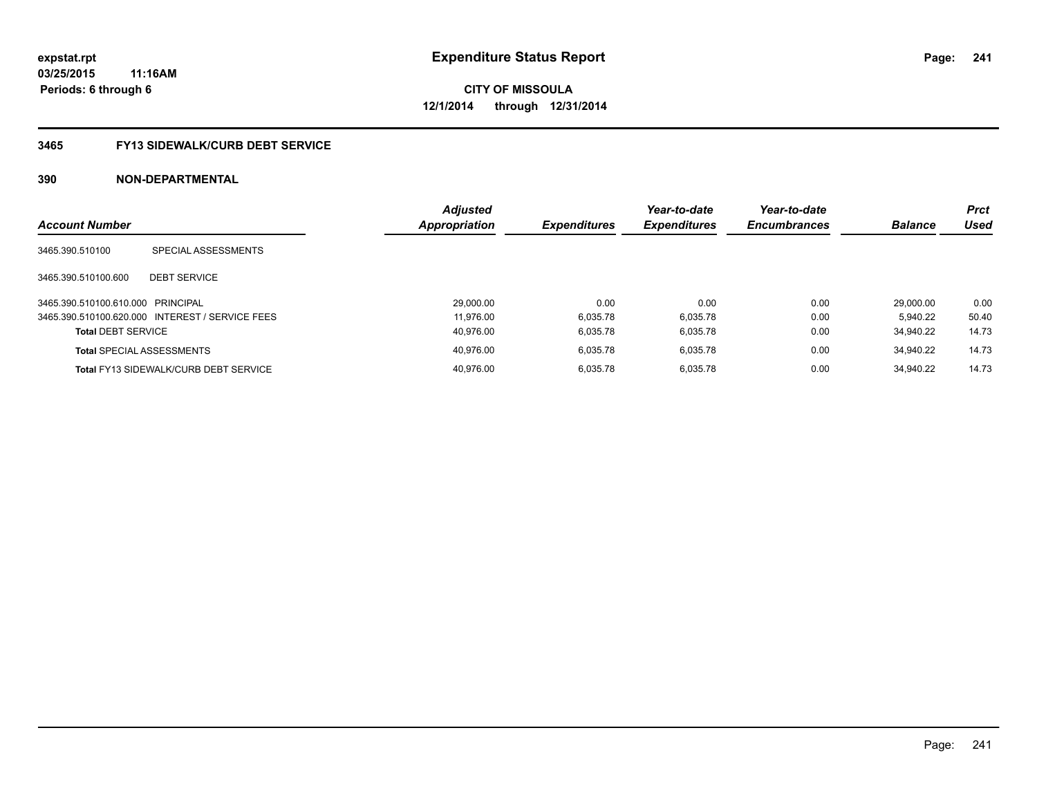### **3465 FY13 SIDEWALK/CURB DEBT SERVICE**

| <b>Account Number</b>             |                                                 | <b>Adjusted</b><br><b>Appropriation</b> | <b>Expenditures</b> | Year-to-date<br><b>Expenditures</b> | Year-to-date<br><b>Encumbrances</b> | <b>Balance</b> | <b>Prct</b><br>Used |
|-----------------------------------|-------------------------------------------------|-----------------------------------------|---------------------|-------------------------------------|-------------------------------------|----------------|---------------------|
|                                   |                                                 |                                         |                     |                                     |                                     |                |                     |
| 3465.390.510100                   | SPECIAL ASSESSMENTS                             |                                         |                     |                                     |                                     |                |                     |
| 3465.390.510100.600               | <b>DEBT SERVICE</b>                             |                                         |                     |                                     |                                     |                |                     |
| 3465.390.510100.610.000 PRINCIPAL |                                                 | 29.000.00                               | 0.00                | 0.00                                | 0.00                                | 29.000.00      | 0.00                |
|                                   | 3465.390.510100.620.000 INTEREST / SERVICE FEES | 11.976.00                               | 6.035.78            | 6.035.78                            | 0.00                                | 5.940.22       | 50.40               |
| <b>Total DEBT SERVICE</b>         |                                                 | 40.976.00                               | 6.035.78            | 6.035.78                            | 0.00                                | 34.940.22      | 14.73               |
|                                   | <b>Total SPECIAL ASSESSMENTS</b>                | 40.976.00                               | 6.035.78            | 6.035.78                            | 0.00                                | 34.940.22      | 14.73               |
|                                   | <b>Total FY13 SIDEWALK/CURB DEBT SERVICE</b>    | 40.976.00                               | 6.035.78            | 6.035.78                            | 0.00                                | 34.940.22      | 14.73               |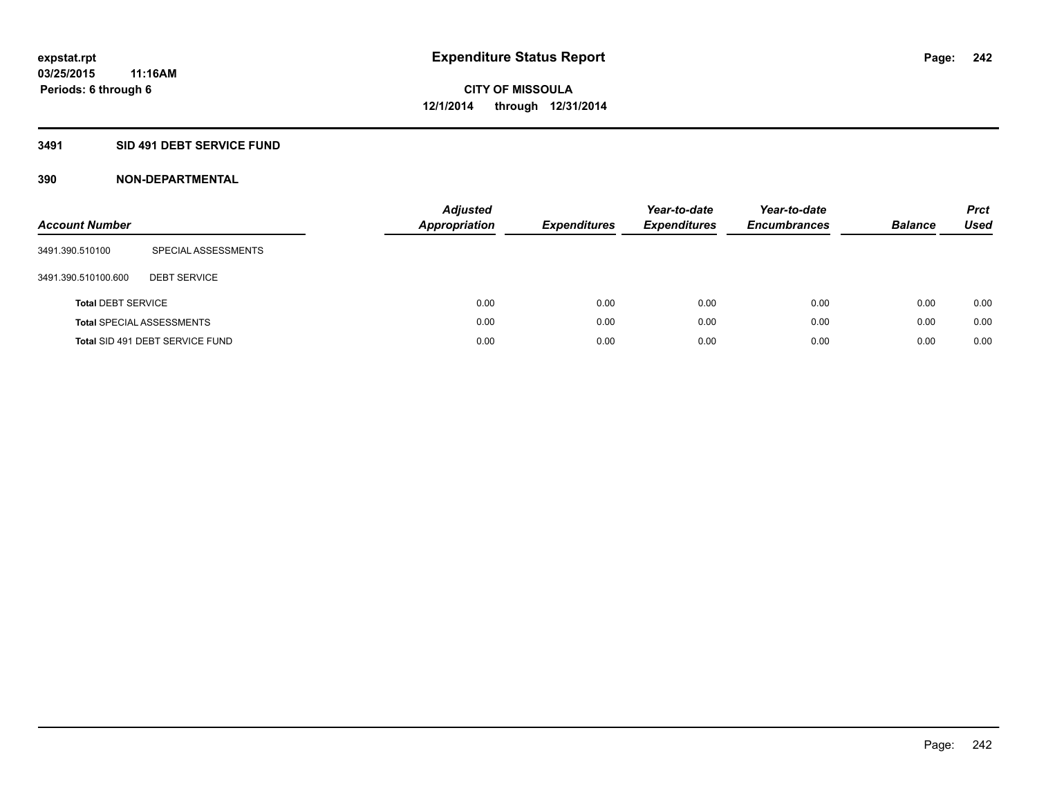### **3491 SID 491 DEBT SERVICE FUND**

| <b>Account Number</b>     |                                  | <b>Adjusted</b><br><b>Appropriation</b> | <b>Expenditures</b> | Year-to-date<br><b>Expenditures</b> | Year-to-date<br><b>Encumbrances</b> | <b>Balance</b> | <b>Prct</b><br>Used |
|---------------------------|----------------------------------|-----------------------------------------|---------------------|-------------------------------------|-------------------------------------|----------------|---------------------|
| 3491.390.510100           | SPECIAL ASSESSMENTS              |                                         |                     |                                     |                                     |                |                     |
| 3491.390.510100.600       | <b>DEBT SERVICE</b>              |                                         |                     |                                     |                                     |                |                     |
| <b>Total DEBT SERVICE</b> |                                  | 0.00                                    | 0.00                | 0.00                                | 0.00                                | 0.00           | 0.00                |
|                           | <b>Total SPECIAL ASSESSMENTS</b> | 0.00                                    | 0.00                | 0.00                                | 0.00                                | 0.00           | 0.00                |
|                           | Total SID 491 DEBT SERVICE FUND  | 0.00                                    | 0.00                | 0.00                                | 0.00                                | 0.00           | 0.00                |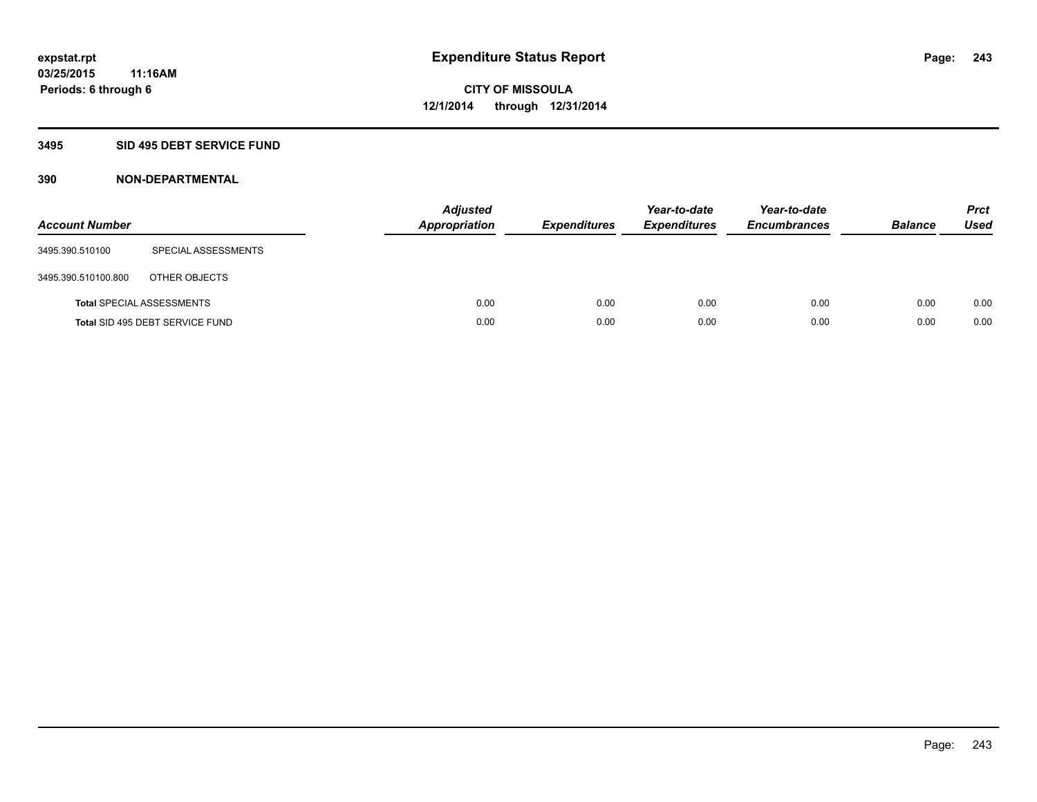#### **3495 SID 495 DEBT SERVICE FUND**

| <b>Account Number</b> |                                  | <b>Adjusted</b><br><b>Appropriation</b> | <b>Expenditures</b> | Year-to-date<br><b>Expenditures</b> | Year-to-date<br><b>Encumbrances</b> | <b>Balance</b> | <b>Prct</b><br>Used |
|-----------------------|----------------------------------|-----------------------------------------|---------------------|-------------------------------------|-------------------------------------|----------------|---------------------|
| 3495.390.510100       | SPECIAL ASSESSMENTS              |                                         |                     |                                     |                                     |                |                     |
| 3495.390.510100.800   | OTHER OBJECTS                    |                                         |                     |                                     |                                     |                |                     |
|                       | <b>Total SPECIAL ASSESSMENTS</b> | 0.00                                    | 0.00                | 0.00                                | 0.00                                | 0.00           | 0.00                |
|                       | Total SID 495 DEBT SERVICE FUND  | 0.00                                    | 0.00                | 0.00                                | 0.00                                | 0.00           | 0.00                |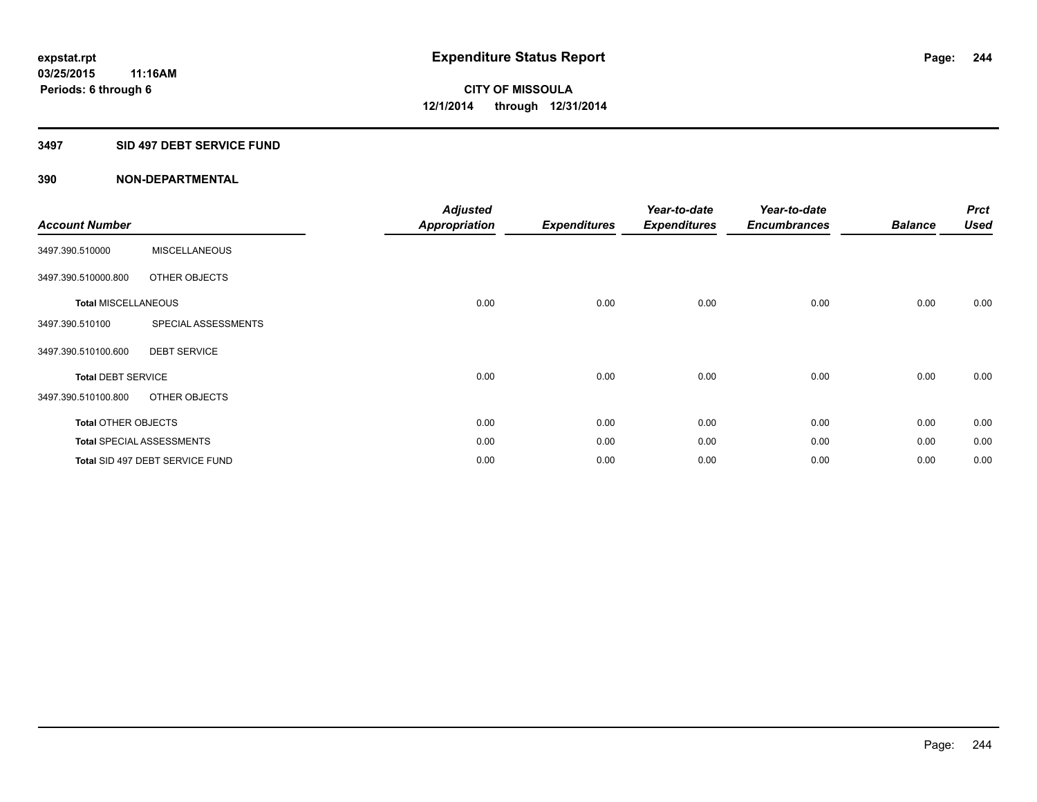#### **3497 SID 497 DEBT SERVICE FUND**

| <b>Account Number</b>      |                                  | <b>Adjusted</b><br>Appropriation | <b>Expenditures</b> | Year-to-date<br><b>Expenditures</b> | Year-to-date<br><b>Encumbrances</b> | <b>Balance</b> | <b>Prct</b><br><b>Used</b> |
|----------------------------|----------------------------------|----------------------------------|---------------------|-------------------------------------|-------------------------------------|----------------|----------------------------|
| 3497.390.510000            | <b>MISCELLANEOUS</b>             |                                  |                     |                                     |                                     |                |                            |
| 3497.390.510000.800        | OTHER OBJECTS                    |                                  |                     |                                     |                                     |                |                            |
| <b>Total MISCELLANEOUS</b> |                                  | 0.00                             | 0.00                | 0.00                                | 0.00                                | 0.00           | 0.00                       |
| 3497.390.510100            | SPECIAL ASSESSMENTS              |                                  |                     |                                     |                                     |                |                            |
| 3497.390.510100.600        | <b>DEBT SERVICE</b>              |                                  |                     |                                     |                                     |                |                            |
| <b>Total DEBT SERVICE</b>  |                                  | 0.00                             | 0.00                | 0.00                                | 0.00                                | 0.00           | 0.00                       |
| 3497.390.510100.800        | OTHER OBJECTS                    |                                  |                     |                                     |                                     |                |                            |
| <b>Total OTHER OBJECTS</b> |                                  | 0.00                             | 0.00                | 0.00                                | 0.00                                | 0.00           | 0.00                       |
|                            | <b>Total SPECIAL ASSESSMENTS</b> | 0.00                             | 0.00                | 0.00                                | 0.00                                | 0.00           | 0.00                       |
|                            | Total SID 497 DEBT SERVICE FUND  | 0.00                             | 0.00                | 0.00                                | 0.00                                | 0.00           | 0.00                       |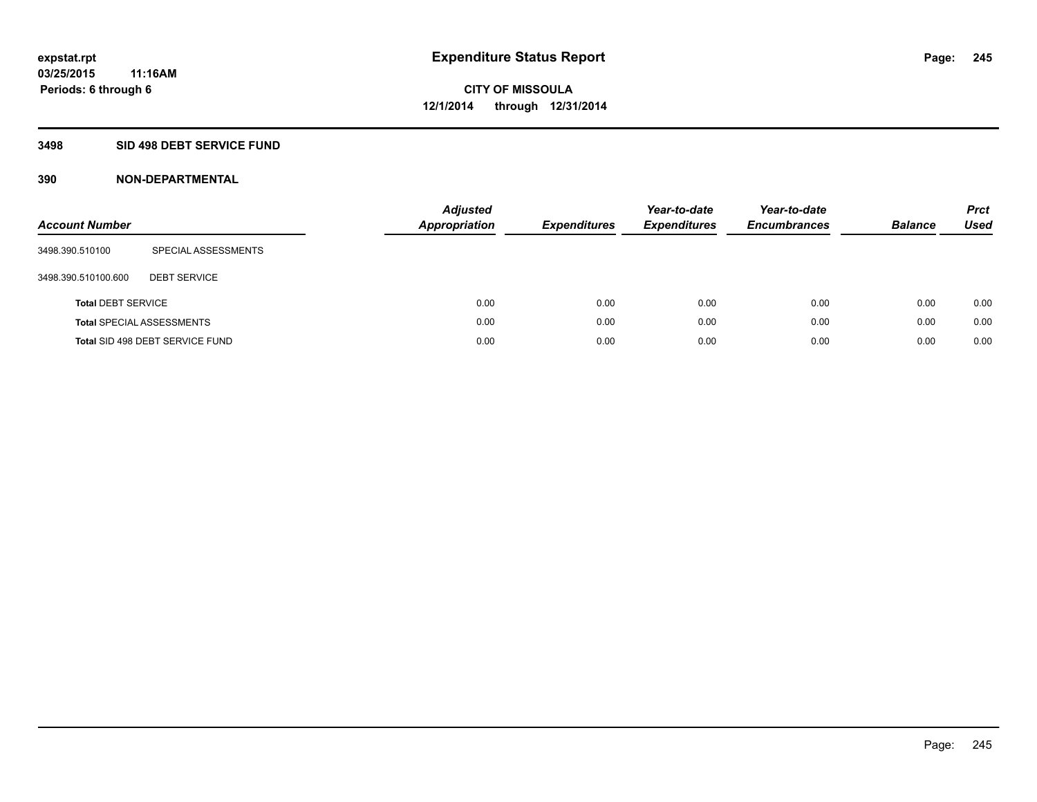#### **3498 SID 498 DEBT SERVICE FUND**

| <b>Account Number</b>     |                                  | <b>Adjusted</b><br><b>Appropriation</b> | <b>Expenditures</b> | Year-to-date<br><b>Expenditures</b> | Year-to-date<br><b>Encumbrances</b> | <b>Balance</b> | <b>Prct</b><br>Used |
|---------------------------|----------------------------------|-----------------------------------------|---------------------|-------------------------------------|-------------------------------------|----------------|---------------------|
| 3498.390.510100           | SPECIAL ASSESSMENTS              |                                         |                     |                                     |                                     |                |                     |
| 3498.390.510100.600       | <b>DEBT SERVICE</b>              |                                         |                     |                                     |                                     |                |                     |
| <b>Total DEBT SERVICE</b> |                                  | 0.00                                    | 0.00                | 0.00                                | 0.00                                | 0.00           | 0.00                |
|                           | <b>Total SPECIAL ASSESSMENTS</b> | 0.00                                    | 0.00                | 0.00                                | 0.00                                | 0.00           | 0.00                |
|                           | Total SID 498 DEBT SERVICE FUND  | 0.00                                    | 0.00                | 0.00                                | 0.00                                | 0.00           | 0.00                |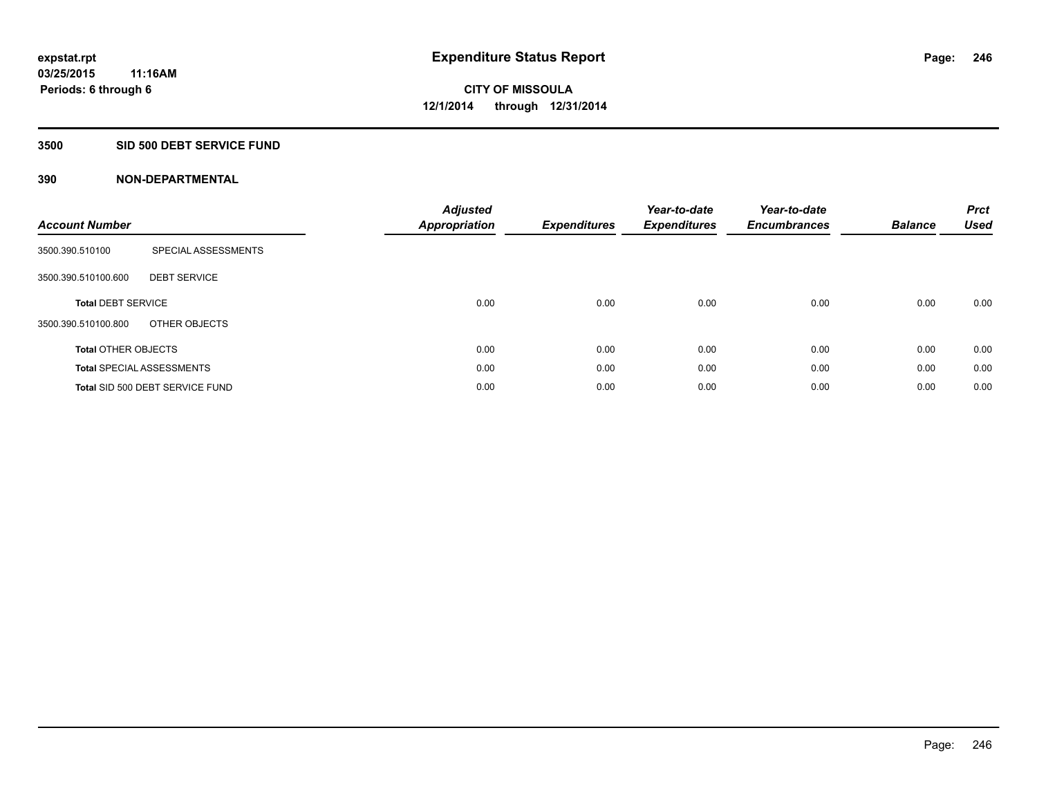#### **3500 SID 500 DEBT SERVICE FUND**

| <b>Account Number</b>      |                                  | <b>Adjusted</b><br><b>Appropriation</b> | <b>Expenditures</b> | Year-to-date<br><b>Expenditures</b> | Year-to-date<br><b>Encumbrances</b> | <b>Balance</b> | <b>Prct</b><br><b>Used</b> |
|----------------------------|----------------------------------|-----------------------------------------|---------------------|-------------------------------------|-------------------------------------|----------------|----------------------------|
| 3500.390.510100            | SPECIAL ASSESSMENTS              |                                         |                     |                                     |                                     |                |                            |
| 3500.390.510100.600        | <b>DEBT SERVICE</b>              |                                         |                     |                                     |                                     |                |                            |
| <b>Total DEBT SERVICE</b>  |                                  | 0.00                                    | 0.00                | 0.00                                | 0.00                                | 0.00           | 0.00                       |
| 3500.390.510100.800        | OTHER OBJECTS                    |                                         |                     |                                     |                                     |                |                            |
| <b>Total OTHER OBJECTS</b> |                                  | 0.00                                    | 0.00                | 0.00                                | 0.00                                | 0.00           | 0.00                       |
|                            | <b>Total SPECIAL ASSESSMENTS</b> | 0.00                                    | 0.00                | 0.00                                | 0.00                                | 0.00           | 0.00                       |
|                            | Total SID 500 DEBT SERVICE FUND  | 0.00                                    | 0.00                | 0.00                                | 0.00                                | 0.00           | 0.00                       |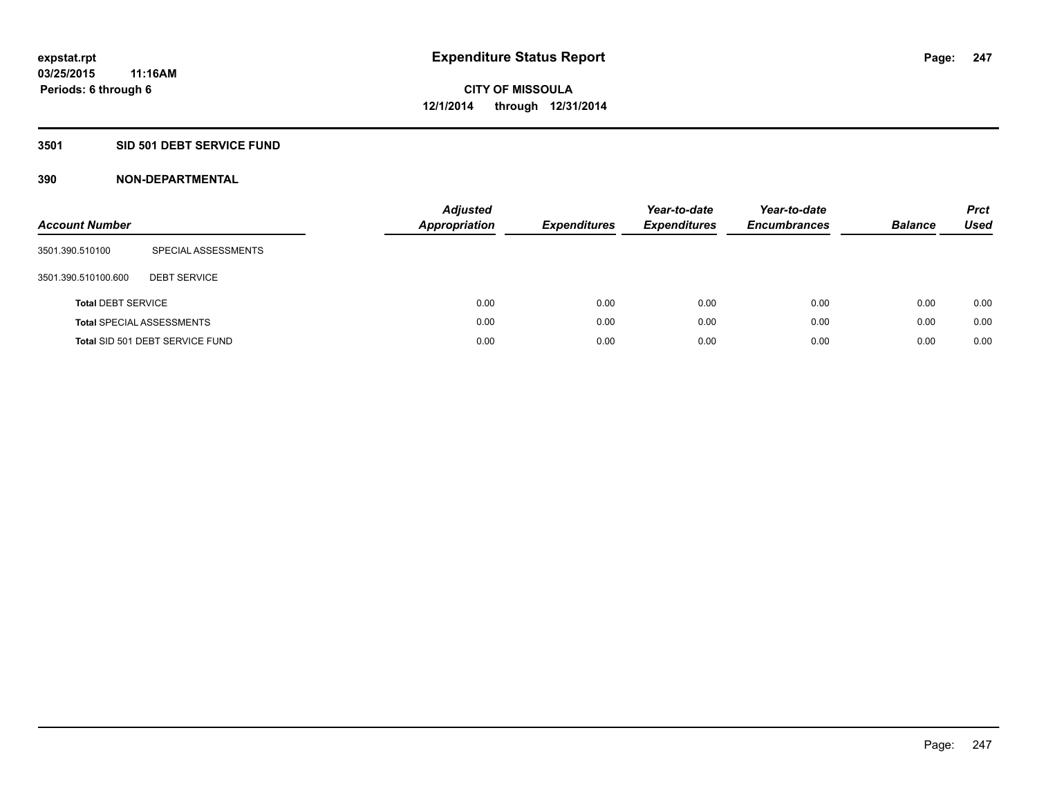### **3501 SID 501 DEBT SERVICE FUND**

| <b>Account Number</b>     |                                  | <b>Adjusted</b><br><b>Appropriation</b> | <b>Expenditures</b> | Year-to-date<br><b>Expenditures</b> | Year-to-date<br><b>Encumbrances</b> | <b>Balance</b> | <b>Prct</b><br>Used |
|---------------------------|----------------------------------|-----------------------------------------|---------------------|-------------------------------------|-------------------------------------|----------------|---------------------|
| 3501.390.510100           | SPECIAL ASSESSMENTS              |                                         |                     |                                     |                                     |                |                     |
| 3501.390.510100.600       | <b>DEBT SERVICE</b>              |                                         |                     |                                     |                                     |                |                     |
| <b>Total DEBT SERVICE</b> |                                  | 0.00                                    | 0.00                | 0.00                                | 0.00                                | 0.00           | 0.00                |
|                           | <b>Total SPECIAL ASSESSMENTS</b> | 0.00                                    | 0.00                | 0.00                                | 0.00                                | 0.00           | 0.00                |
|                           | Total SID 501 DEBT SERVICE FUND  | 0.00                                    | 0.00                | 0.00                                | 0.00                                | 0.00           | 0.00                |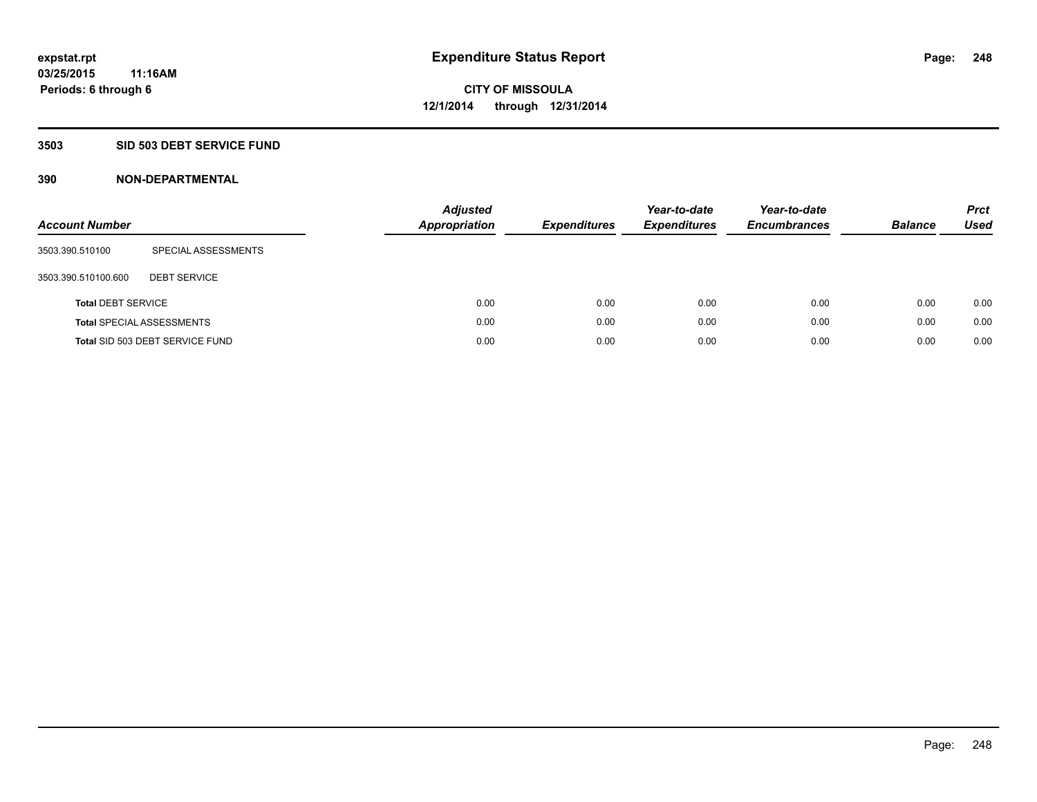### **3503 SID 503 DEBT SERVICE FUND**

| <b>Account Number</b>     |                                  | <b>Adjusted</b><br>Appropriation | <b>Expenditures</b> | Year-to-date<br><b>Expenditures</b> | Year-to-date<br><b>Encumbrances</b> | <b>Balance</b> | <b>Prct</b><br>Used |
|---------------------------|----------------------------------|----------------------------------|---------------------|-------------------------------------|-------------------------------------|----------------|---------------------|
| 3503.390.510100           | SPECIAL ASSESSMENTS              |                                  |                     |                                     |                                     |                |                     |
| 3503.390.510100.600       | <b>DEBT SERVICE</b>              |                                  |                     |                                     |                                     |                |                     |
| <b>Total DEBT SERVICE</b> |                                  | 0.00                             | 0.00                | 0.00                                | 0.00                                | 0.00           | 0.00                |
|                           | <b>Total SPECIAL ASSESSMENTS</b> | 0.00                             | 0.00                | 0.00                                | 0.00                                | 0.00           | 0.00                |
|                           | Total SID 503 DEBT SERVICE FUND  | 0.00                             | 0.00                | 0.00                                | 0.00                                | 0.00           | 0.00                |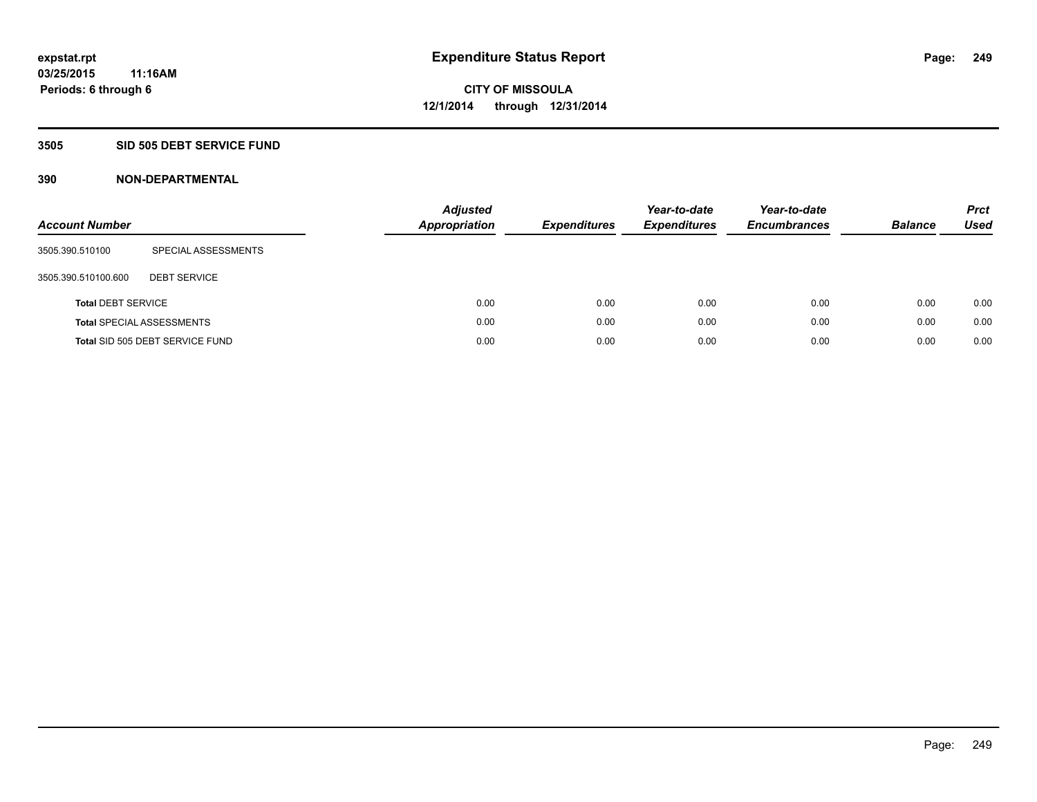#### **3505 SID 505 DEBT SERVICE FUND**

| <b>Account Number</b>     |                                  | <b>Adjusted</b><br><b>Appropriation</b> | <b>Expenditures</b> | Year-to-date<br><b>Expenditures</b> | Year-to-date<br><b>Encumbrances</b> | <b>Balance</b> | <b>Prct</b><br>Used |
|---------------------------|----------------------------------|-----------------------------------------|---------------------|-------------------------------------|-------------------------------------|----------------|---------------------|
| 3505.390.510100           | SPECIAL ASSESSMENTS              |                                         |                     |                                     |                                     |                |                     |
| 3505.390.510100.600       | <b>DEBT SERVICE</b>              |                                         |                     |                                     |                                     |                |                     |
| <b>Total DEBT SERVICE</b> |                                  | 0.00                                    | 0.00                | 0.00                                | 0.00                                | 0.00           | 0.00                |
|                           | <b>Total SPECIAL ASSESSMENTS</b> | 0.00                                    | 0.00                | 0.00                                | 0.00                                | 0.00           | 0.00                |
|                           | Total SID 505 DEBT SERVICE FUND  | 0.00                                    | 0.00                | 0.00                                | 0.00                                | 0.00           | 0.00                |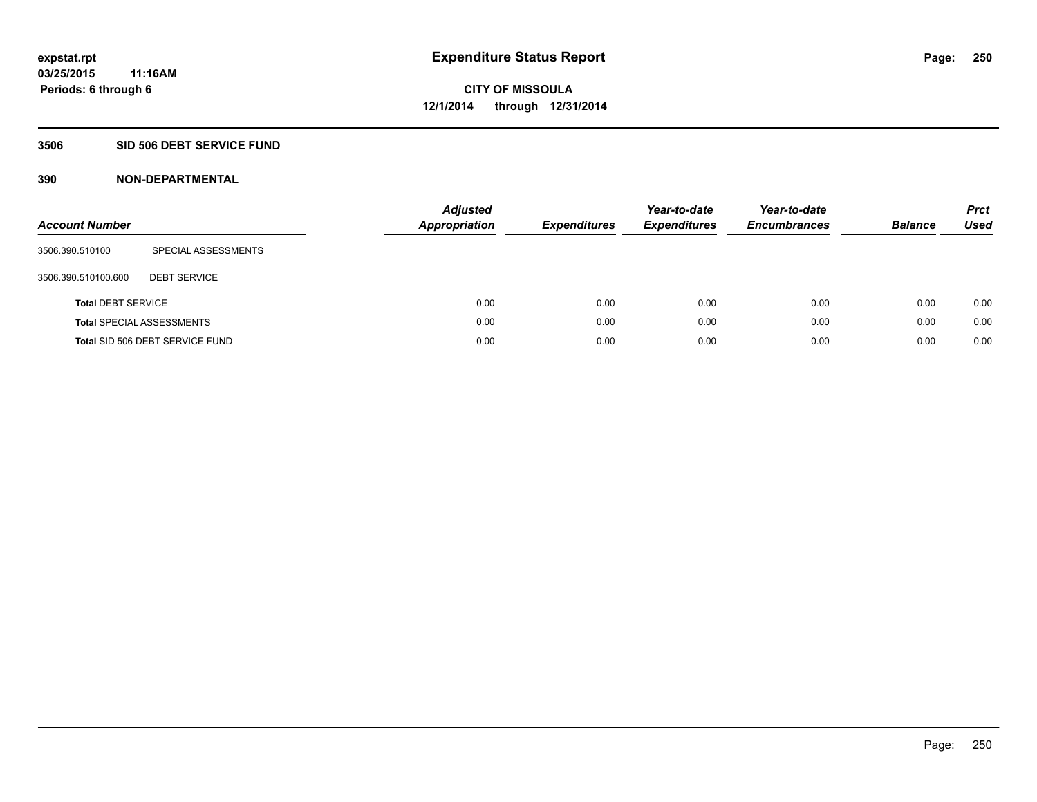### **3506 SID 506 DEBT SERVICE FUND**

| <b>Account Number</b>     |                                  | <b>Adjusted</b><br><b>Appropriation</b> | <b>Expenditures</b> | Year-to-date<br><b>Expenditures</b> | Year-to-date<br><b>Encumbrances</b> | <b>Balance</b> | <b>Prct</b><br>Used |
|---------------------------|----------------------------------|-----------------------------------------|---------------------|-------------------------------------|-------------------------------------|----------------|---------------------|
| 3506.390.510100           | SPECIAL ASSESSMENTS              |                                         |                     |                                     |                                     |                |                     |
| 3506.390.510100.600       | <b>DEBT SERVICE</b>              |                                         |                     |                                     |                                     |                |                     |
| <b>Total DEBT SERVICE</b> |                                  | 0.00                                    | 0.00                | 0.00                                | 0.00                                | 0.00           | 0.00                |
|                           | <b>Total SPECIAL ASSESSMENTS</b> | 0.00                                    | 0.00                | 0.00                                | 0.00                                | 0.00           | 0.00                |
|                           | Total SID 506 DEBT SERVICE FUND  | 0.00                                    | 0.00                | 0.00                                | 0.00                                | 0.00           | 0.00                |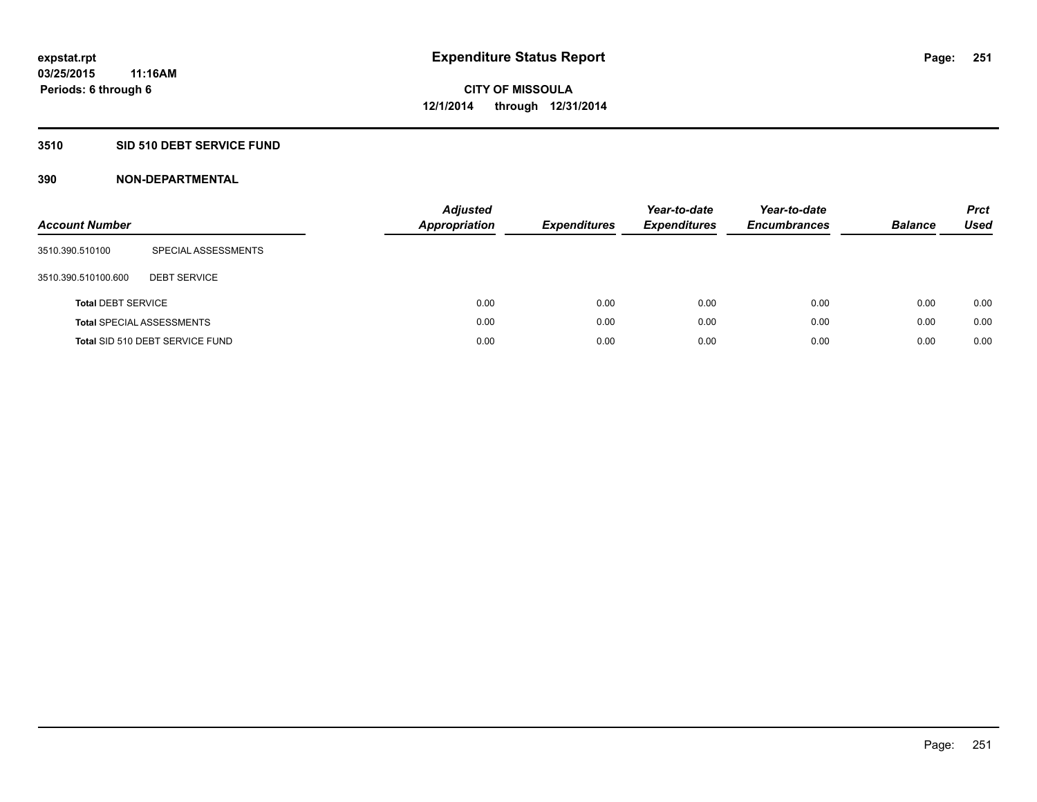### **3510 SID 510 DEBT SERVICE FUND**

| <b>Account Number</b>     |                                  | <b>Adjusted</b><br><b>Appropriation</b> | <b>Expenditures</b> | Year-to-date<br><b>Expenditures</b> | Year-to-date<br><b>Encumbrances</b> | <b>Balance</b> | <b>Prct</b><br>Used |
|---------------------------|----------------------------------|-----------------------------------------|---------------------|-------------------------------------|-------------------------------------|----------------|---------------------|
| 3510.390.510100           | SPECIAL ASSESSMENTS              |                                         |                     |                                     |                                     |                |                     |
| 3510.390.510100.600       | <b>DEBT SERVICE</b>              |                                         |                     |                                     |                                     |                |                     |
| <b>Total DEBT SERVICE</b> |                                  | 0.00                                    | 0.00                | 0.00                                | 0.00                                | 0.00           | 0.00                |
|                           | <b>Total SPECIAL ASSESSMENTS</b> | 0.00                                    | 0.00                | 0.00                                | 0.00                                | 0.00           | 0.00                |
|                           | Total SID 510 DEBT SERVICE FUND  | 0.00                                    | 0.00                | 0.00                                | 0.00                                | 0.00           | 0.00                |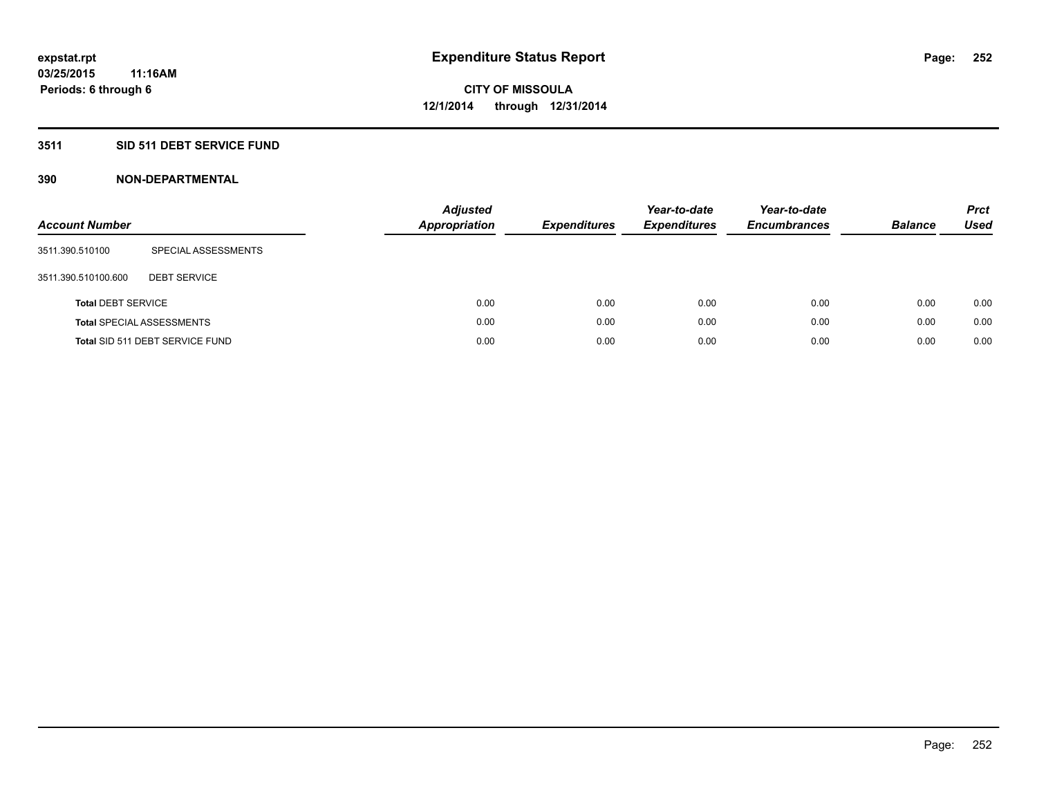### **3511 SID 511 DEBT SERVICE FUND**

| <b>Account Number</b>     |                                  | <b>Adjusted</b><br><b>Appropriation</b> | <b>Expenditures</b> | Year-to-date<br><b>Expenditures</b> | Year-to-date<br><b>Encumbrances</b> | <b>Balance</b> | <b>Prct</b><br>Used |
|---------------------------|----------------------------------|-----------------------------------------|---------------------|-------------------------------------|-------------------------------------|----------------|---------------------|
| 3511.390.510100           | SPECIAL ASSESSMENTS              |                                         |                     |                                     |                                     |                |                     |
| 3511.390.510100.600       | <b>DEBT SERVICE</b>              |                                         |                     |                                     |                                     |                |                     |
| <b>Total DEBT SERVICE</b> |                                  | 0.00                                    | 0.00                | 0.00                                | 0.00                                | 0.00           | 0.00                |
|                           | <b>Total SPECIAL ASSESSMENTS</b> | 0.00                                    | 0.00                | 0.00                                | 0.00                                | 0.00           | 0.00                |
|                           | Total SID 511 DEBT SERVICE FUND  | 0.00                                    | 0.00                | 0.00                                | 0.00                                | 0.00           | 0.00                |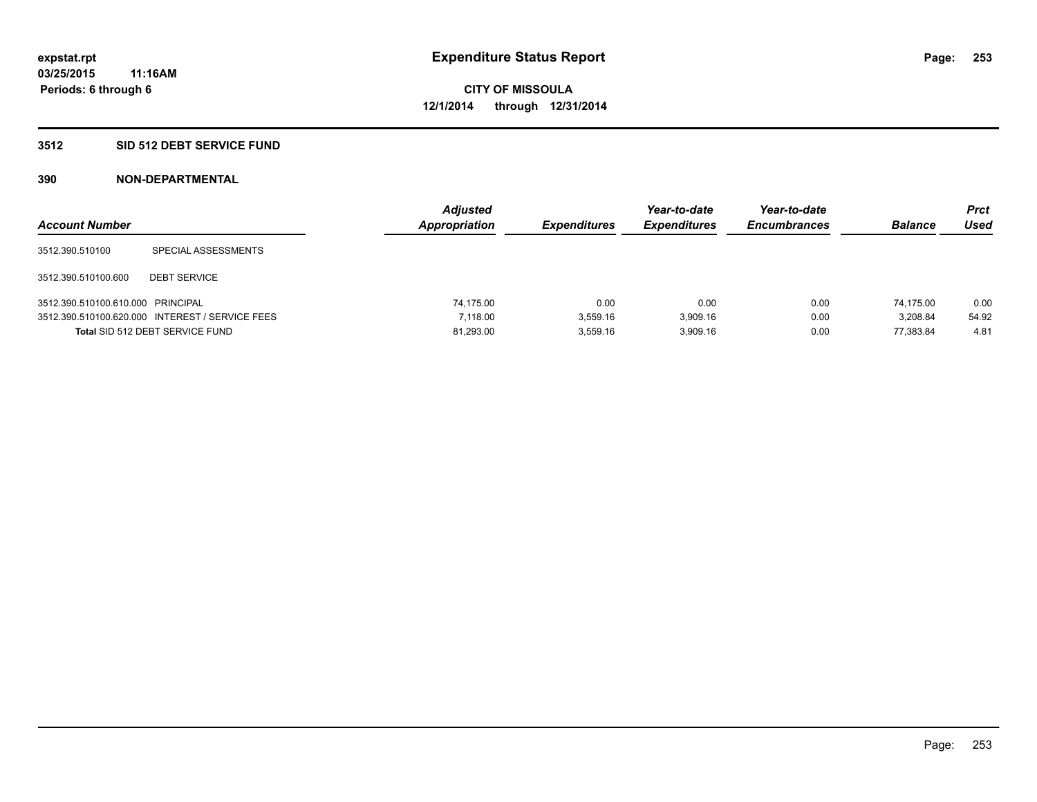### **3512 SID 512 DEBT SERVICE FUND**

| <b>Account Number</b>             |                                                 | <b>Adjusted</b><br>Appropriation | <b>Expenditures</b> | Year-to-date<br><b>Expenditures</b> | Year-to-date<br><b>Encumbrances</b> | <b>Balance</b> | <b>Prct</b><br>Used |
|-----------------------------------|-------------------------------------------------|----------------------------------|---------------------|-------------------------------------|-------------------------------------|----------------|---------------------|
| 3512.390.510100                   | SPECIAL ASSESSMENTS                             |                                  |                     |                                     |                                     |                |                     |
| 3512.390.510100.600               | <b>DEBT SERVICE</b>                             |                                  |                     |                                     |                                     |                |                     |
| 3512.390.510100.610.000 PRINCIPAL |                                                 | 74.175.00                        | 0.00                | 0.00                                | 0.00                                | 74.175.00      | 0.00                |
|                                   | 3512.390.510100.620.000 INTEREST / SERVICE FEES | 7.118.00                         | 3.559.16            | 3.909.16                            | 0.00                                | 3.208.84       | 54.92               |
|                                   | Total SID 512 DEBT SERVICE FUND                 | 81,293.00                        | 3.559.16            | 3.909.16                            | 0.00                                | 77.383.84      | 4.81                |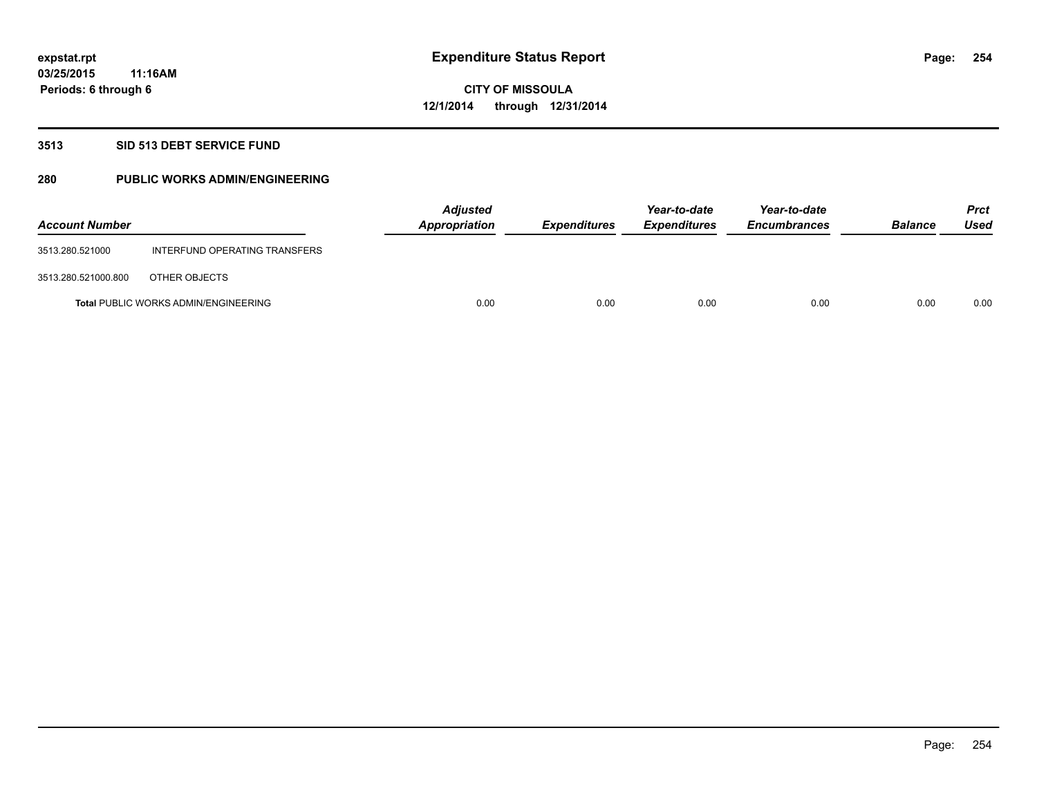### **3513 SID 513 DEBT SERVICE FUND**

### **280 PUBLIC WORKS ADMIN/ENGINEERING**

| <b>Account Number</b> |                                             | <b>Adjusted</b><br>Appropriation | <b>Expenditures</b> | Year-to-date<br><b>Expenditures</b> | Year-to-date<br><b>Encumbrances</b> | <b>Balance</b> | <b>Prct</b><br>Used |
|-----------------------|---------------------------------------------|----------------------------------|---------------------|-------------------------------------|-------------------------------------|----------------|---------------------|
| 3513.280.521000       | INTERFUND OPERATING TRANSFERS               |                                  |                     |                                     |                                     |                |                     |
| 3513.280.521000.800   | OTHER OBJECTS                               |                                  |                     |                                     |                                     |                |                     |
|                       | <b>Total PUBLIC WORKS ADMIN/ENGINEERING</b> | 0.00                             | 0.00                | 0.00                                | 0.00                                | 0.00           | 0.00                |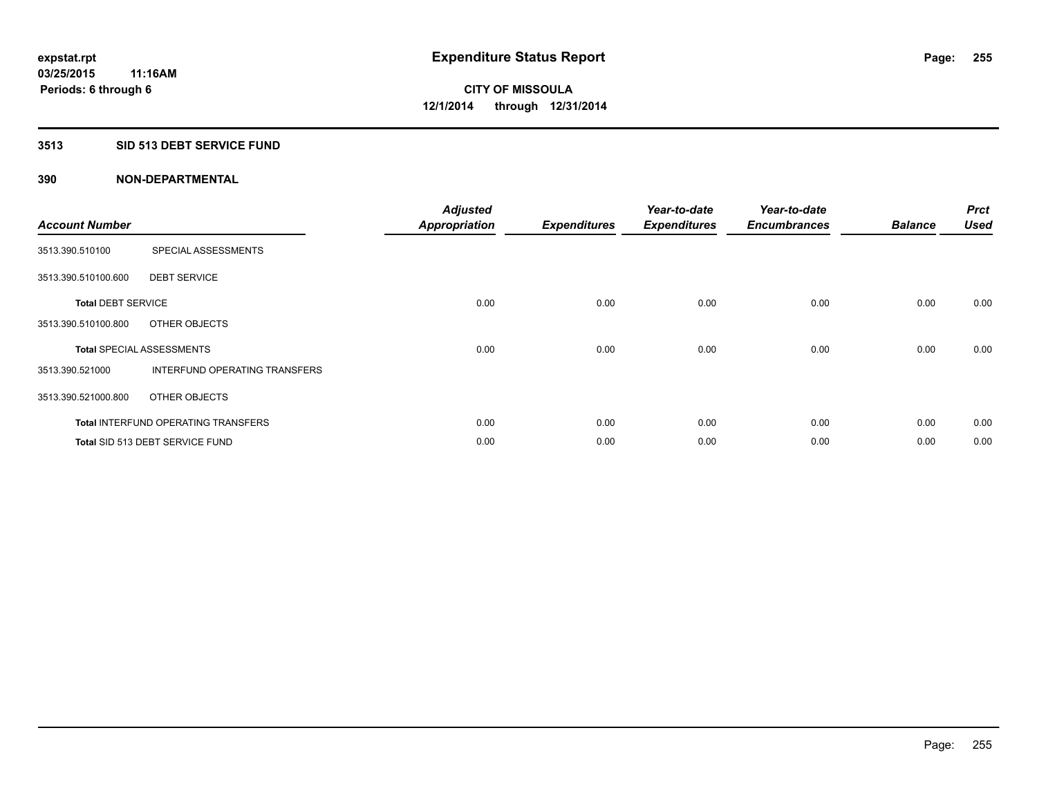### **3513 SID 513 DEBT SERVICE FUND**

| <b>Account Number</b>     |                                            | <b>Adjusted</b><br>Appropriation | <b>Expenditures</b> | Year-to-date<br><b>Expenditures</b> | Year-to-date<br><b>Encumbrances</b> | <b>Balance</b> | <b>Prct</b><br><b>Used</b> |
|---------------------------|--------------------------------------------|----------------------------------|---------------------|-------------------------------------|-------------------------------------|----------------|----------------------------|
| 3513.390.510100           | SPECIAL ASSESSMENTS                        |                                  |                     |                                     |                                     |                |                            |
| 3513.390.510100.600       | <b>DEBT SERVICE</b>                        |                                  |                     |                                     |                                     |                |                            |
| <b>Total DEBT SERVICE</b> |                                            | 0.00                             | 0.00                | 0.00                                | 0.00                                | 0.00           | 0.00                       |
| 3513.390.510100.800       | OTHER OBJECTS                              |                                  |                     |                                     |                                     |                |                            |
|                           | <b>Total SPECIAL ASSESSMENTS</b>           | 0.00                             | 0.00                | 0.00                                | 0.00                                | 0.00           | 0.00                       |
| 3513.390.521000           | INTERFUND OPERATING TRANSFERS              |                                  |                     |                                     |                                     |                |                            |
| 3513.390.521000.800       | OTHER OBJECTS                              |                                  |                     |                                     |                                     |                |                            |
|                           | <b>Total INTERFUND OPERATING TRANSFERS</b> | 0.00                             | 0.00                | 0.00                                | 0.00                                | 0.00           | 0.00                       |
|                           | Total SID 513 DEBT SERVICE FUND            | 0.00                             | 0.00                | 0.00                                | 0.00                                | 0.00           | 0.00                       |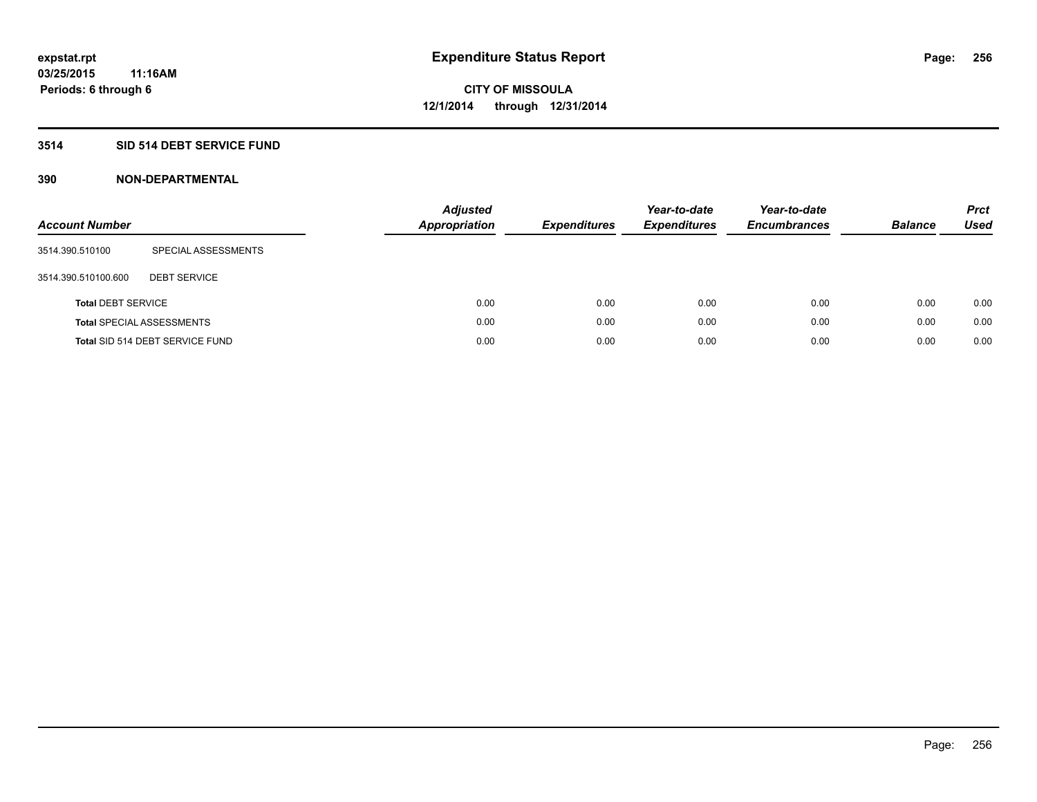### **3514 SID 514 DEBT SERVICE FUND**

| <b>Account Number</b>     |                                  | <b>Adjusted</b><br><b>Appropriation</b> | <b>Expenditures</b> | Year-to-date<br><b>Expenditures</b> | Year-to-date<br><b>Encumbrances</b> | <b>Balance</b> | <b>Prct</b><br>Used |
|---------------------------|----------------------------------|-----------------------------------------|---------------------|-------------------------------------|-------------------------------------|----------------|---------------------|
| 3514.390.510100           | SPECIAL ASSESSMENTS              |                                         |                     |                                     |                                     |                |                     |
| 3514.390.510100.600       | <b>DEBT SERVICE</b>              |                                         |                     |                                     |                                     |                |                     |
| <b>Total DEBT SERVICE</b> |                                  |                                         | 0.00<br>0.00        | 0.00                                | 0.00                                | 0.00           | 0.00                |
|                           | <b>Total SPECIAL ASSESSMENTS</b> |                                         | 0.00<br>0.00        | 0.00                                | 0.00                                | 0.00           | 0.00                |
|                           | Total SID 514 DEBT SERVICE FUND  |                                         | 0.00<br>0.00        | 0.00                                | 0.00                                | 0.00           | 0.00                |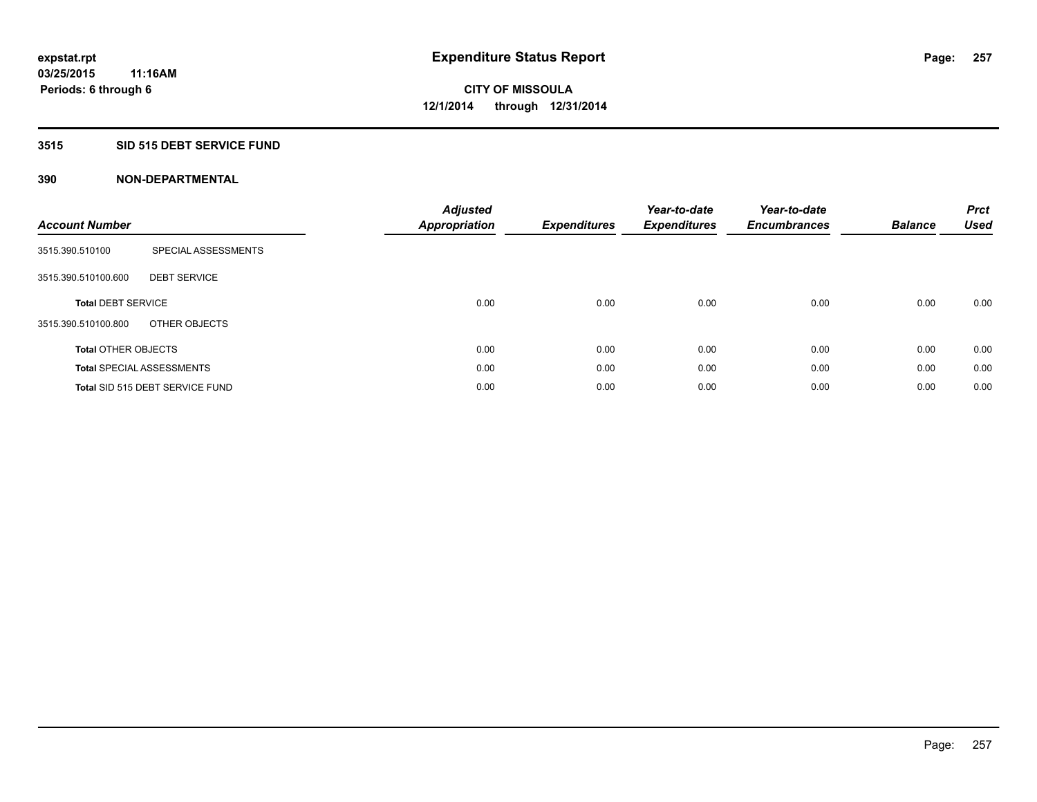### **3515 SID 515 DEBT SERVICE FUND**

| <b>Account Number</b>      |                                        | <b>Adjusted</b><br><b>Appropriation</b> | <b>Expenditures</b> | Year-to-date<br><b>Expenditures</b> | Year-to-date<br><b>Encumbrances</b> | <b>Balance</b> | <b>Prct</b><br><b>Used</b> |
|----------------------------|----------------------------------------|-----------------------------------------|---------------------|-------------------------------------|-------------------------------------|----------------|----------------------------|
| 3515.390.510100            | SPECIAL ASSESSMENTS                    |                                         |                     |                                     |                                     |                |                            |
| 3515.390.510100.600        | <b>DEBT SERVICE</b>                    |                                         |                     |                                     |                                     |                |                            |
| <b>Total DEBT SERVICE</b>  |                                        | 0.00                                    | 0.00                | 0.00                                | 0.00                                | 0.00           | 0.00                       |
| 3515.390.510100.800        | OTHER OBJECTS                          |                                         |                     |                                     |                                     |                |                            |
| <b>Total OTHER OBJECTS</b> |                                        | 0.00                                    | 0.00                | 0.00                                | 0.00                                | 0.00           | 0.00                       |
|                            | <b>Total SPECIAL ASSESSMENTS</b>       | 0.00                                    | 0.00                | 0.00                                | 0.00                                | 0.00           | 0.00                       |
|                            | <b>Total SID 515 DEBT SERVICE FUND</b> | 0.00                                    | 0.00                | 0.00                                | 0.00                                | 0.00           | 0.00                       |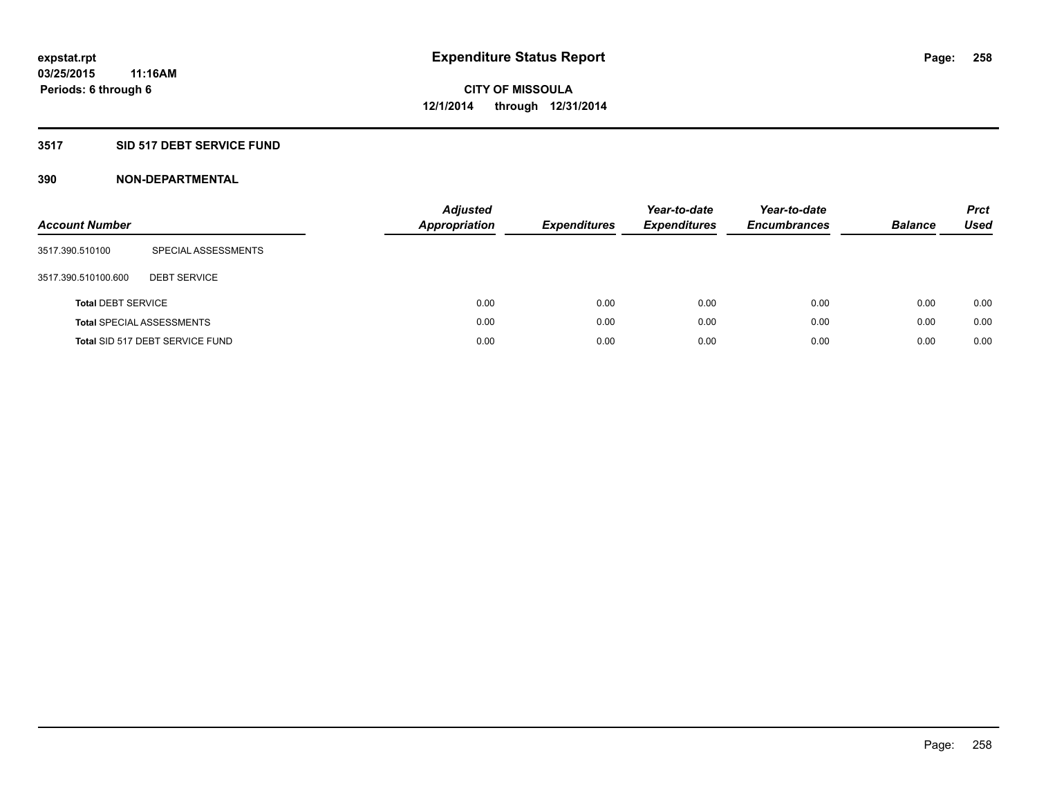### **3517 SID 517 DEBT SERVICE FUND**

| <b>Account Number</b>     |                                  | <b>Adjusted</b><br><b>Appropriation</b> | <b>Expenditures</b> | Year-to-date<br><b>Expenditures</b> | Year-to-date<br><b>Encumbrances</b> | <b>Balance</b> | <b>Prct</b><br>Used |
|---------------------------|----------------------------------|-----------------------------------------|---------------------|-------------------------------------|-------------------------------------|----------------|---------------------|
| 3517.390.510100           | SPECIAL ASSESSMENTS              |                                         |                     |                                     |                                     |                |                     |
| 3517.390.510100.600       | <b>DEBT SERVICE</b>              |                                         |                     |                                     |                                     |                |                     |
| <b>Total DEBT SERVICE</b> |                                  | 0.00                                    | 0.00                | 0.00                                | 0.00                                | 0.00           | 0.00                |
|                           | <b>Total SPECIAL ASSESSMENTS</b> | 0.00                                    | 0.00                | 0.00                                | 0.00                                | 0.00           | 0.00                |
|                           | Total SID 517 DEBT SERVICE FUND  | 0.00                                    | 0.00                | 0.00                                | 0.00                                | 0.00           | 0.00                |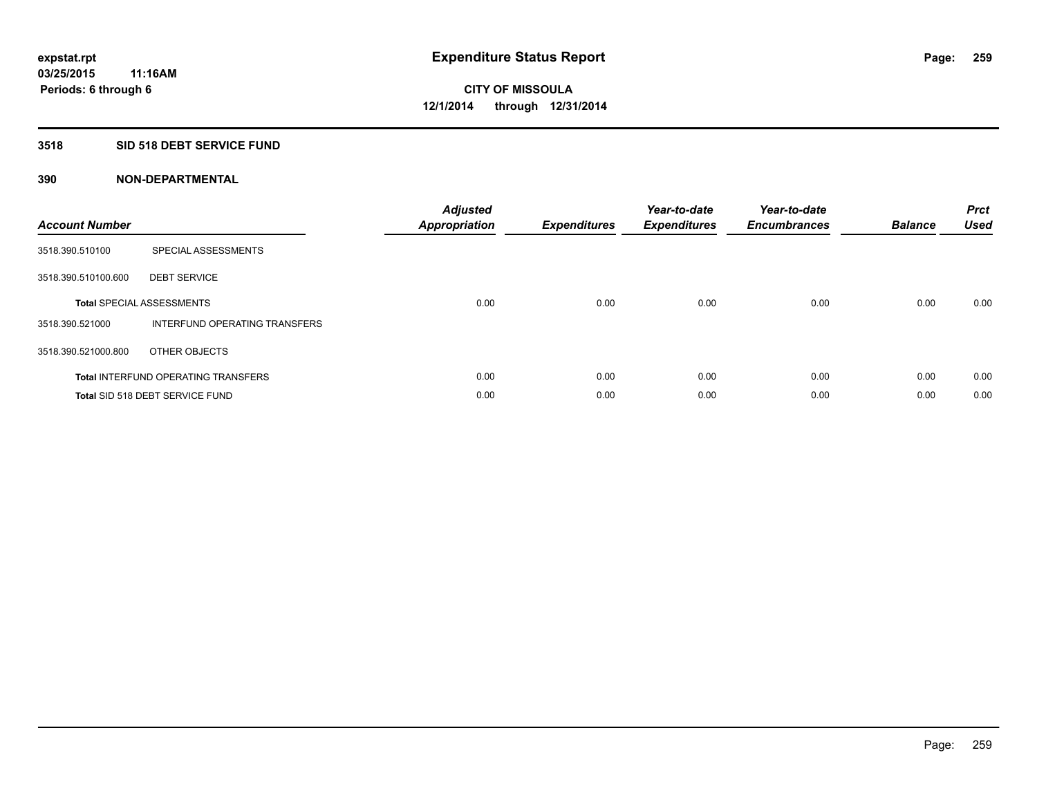### **3518 SID 518 DEBT SERVICE FUND**

| <b>Account Number</b> |                                            | <b>Adjusted</b><br><b>Appropriation</b> | <b>Expenditures</b> | Year-to-date<br><b>Expenditures</b> | Year-to-date<br><b>Encumbrances</b> | <b>Balance</b> | <b>Prct</b><br><b>Used</b> |
|-----------------------|--------------------------------------------|-----------------------------------------|---------------------|-------------------------------------|-------------------------------------|----------------|----------------------------|
| 3518.390.510100       | SPECIAL ASSESSMENTS                        |                                         |                     |                                     |                                     |                |                            |
| 3518.390.510100.600   | <b>DEBT SERVICE</b>                        |                                         |                     |                                     |                                     |                |                            |
|                       | <b>Total SPECIAL ASSESSMENTS</b>           | 0.00                                    | 0.00                | 0.00                                | 0.00                                | 0.00           | 0.00                       |
| 3518.390.521000       | INTERFUND OPERATING TRANSFERS              |                                         |                     |                                     |                                     |                |                            |
| 3518.390.521000.800   | OTHER OBJECTS                              |                                         |                     |                                     |                                     |                |                            |
|                       | <b>Total INTERFUND OPERATING TRANSFERS</b> | 0.00                                    | 0.00                | 0.00                                | 0.00                                | 0.00           | 0.00                       |
|                       | Total SID 518 DEBT SERVICE FUND            | 0.00                                    | 0.00                | 0.00                                | 0.00                                | 0.00           | 0.00                       |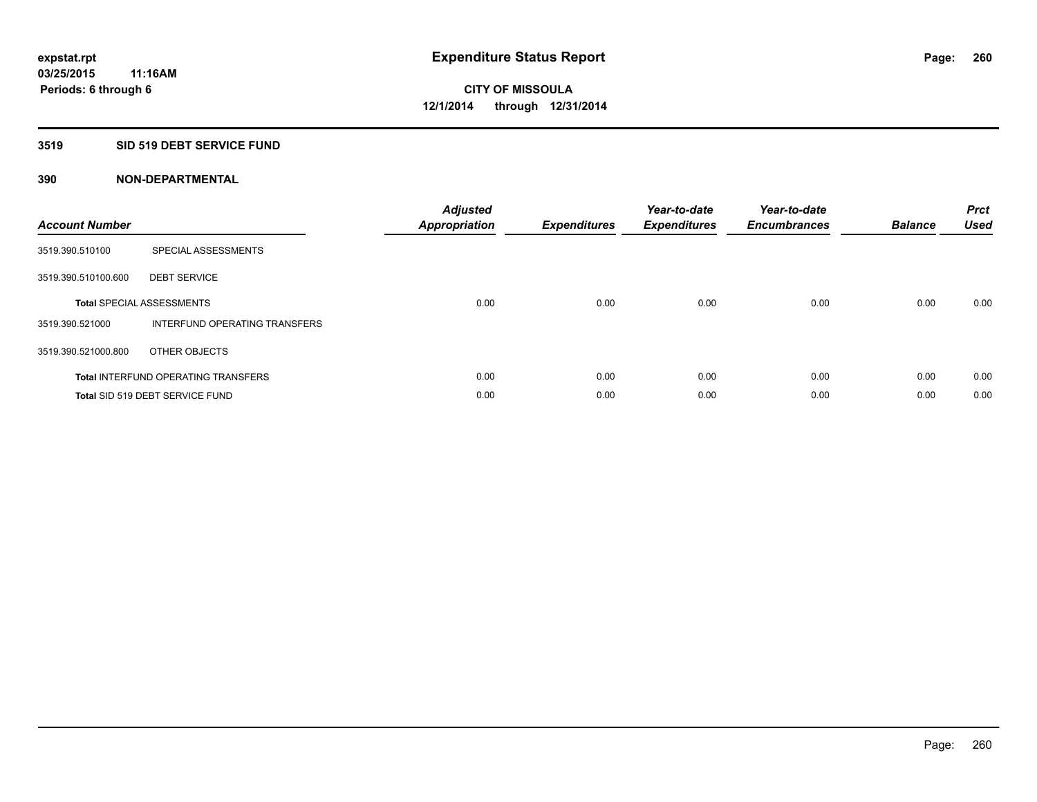### **3519 SID 519 DEBT SERVICE FUND**

| <b>Account Number</b> |                                            | <b>Adjusted</b><br><b>Appropriation</b> | <b>Expenditures</b> | Year-to-date<br><b>Expenditures</b> | Year-to-date<br><b>Encumbrances</b> | <b>Balance</b> | <b>Prct</b><br><b>Used</b> |
|-----------------------|--------------------------------------------|-----------------------------------------|---------------------|-------------------------------------|-------------------------------------|----------------|----------------------------|
| 3519.390.510100       | SPECIAL ASSESSMENTS                        |                                         |                     |                                     |                                     |                |                            |
| 3519.390.510100.600   | <b>DEBT SERVICE</b>                        |                                         |                     |                                     |                                     |                |                            |
|                       | <b>Total SPECIAL ASSESSMENTS</b>           | 0.00                                    | 0.00                | 0.00                                | 0.00                                | 0.00           | 0.00                       |
| 3519.390.521000       | INTERFUND OPERATING TRANSFERS              |                                         |                     |                                     |                                     |                |                            |
| 3519.390.521000.800   | OTHER OBJECTS                              |                                         |                     |                                     |                                     |                |                            |
|                       | <b>Total INTERFUND OPERATING TRANSFERS</b> | 0.00                                    | 0.00                | 0.00                                | 0.00                                | 0.00           | 0.00                       |
|                       | Total SID 519 DEBT SERVICE FUND            | 0.00                                    | 0.00                | 0.00                                | 0.00                                | 0.00           | 0.00                       |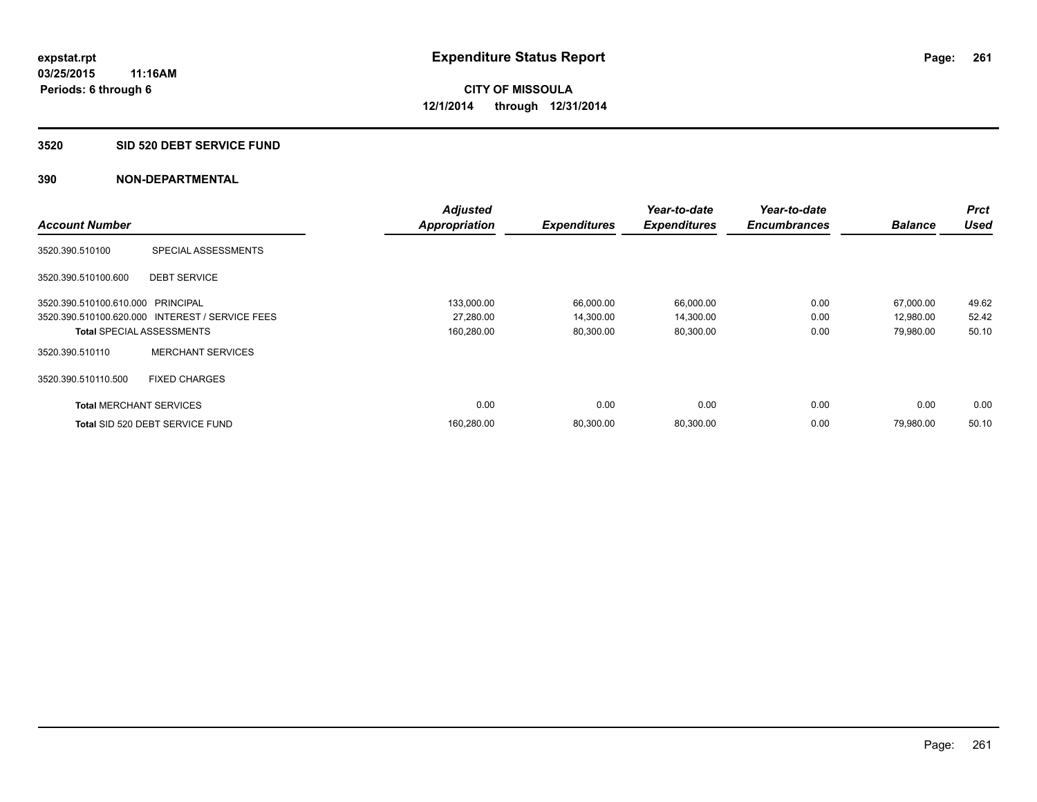#### **3520 SID 520 DEBT SERVICE FUND**

|                                   |                                                 | <b>Adjusted</b>      |                     | Year-to-date        | Year-to-date        |                | <b>Prct</b> |
|-----------------------------------|-------------------------------------------------|----------------------|---------------------|---------------------|---------------------|----------------|-------------|
| <b>Account Number</b>             |                                                 | <b>Appropriation</b> | <b>Expenditures</b> | <b>Expenditures</b> | <b>Encumbrances</b> | <b>Balance</b> | <b>Used</b> |
| 3520.390.510100                   | SPECIAL ASSESSMENTS                             |                      |                     |                     |                     |                |             |
| 3520.390.510100.600               | <b>DEBT SERVICE</b>                             |                      |                     |                     |                     |                |             |
| 3520.390.510100.610.000 PRINCIPAL |                                                 | 133,000.00           | 66,000.00           | 66,000.00           | 0.00                | 67,000.00      | 49.62       |
|                                   | 3520.390.510100.620.000 INTEREST / SERVICE FEES | 27,280.00            | 14,300.00           | 14,300.00           | 0.00                | 12,980.00      | 52.42       |
| <b>Total SPECIAL ASSESSMENTS</b>  |                                                 | 160,280.00           | 80,300.00           | 80,300.00           | 0.00                | 79,980.00      | 50.10       |
| 3520.390.510110                   | <b>MERCHANT SERVICES</b>                        |                      |                     |                     |                     |                |             |
| 3520.390.510110.500               | <b>FIXED CHARGES</b>                            |                      |                     |                     |                     |                |             |
| <b>Total MERCHANT SERVICES</b>    |                                                 | 0.00                 | 0.00                | 0.00                | 0.00                | 0.00           | 0.00        |
|                                   | Total SID 520 DEBT SERVICE FUND                 | 160,280.00           | 80,300.00           | 80,300.00           | 0.00                | 79,980.00      | 50.10       |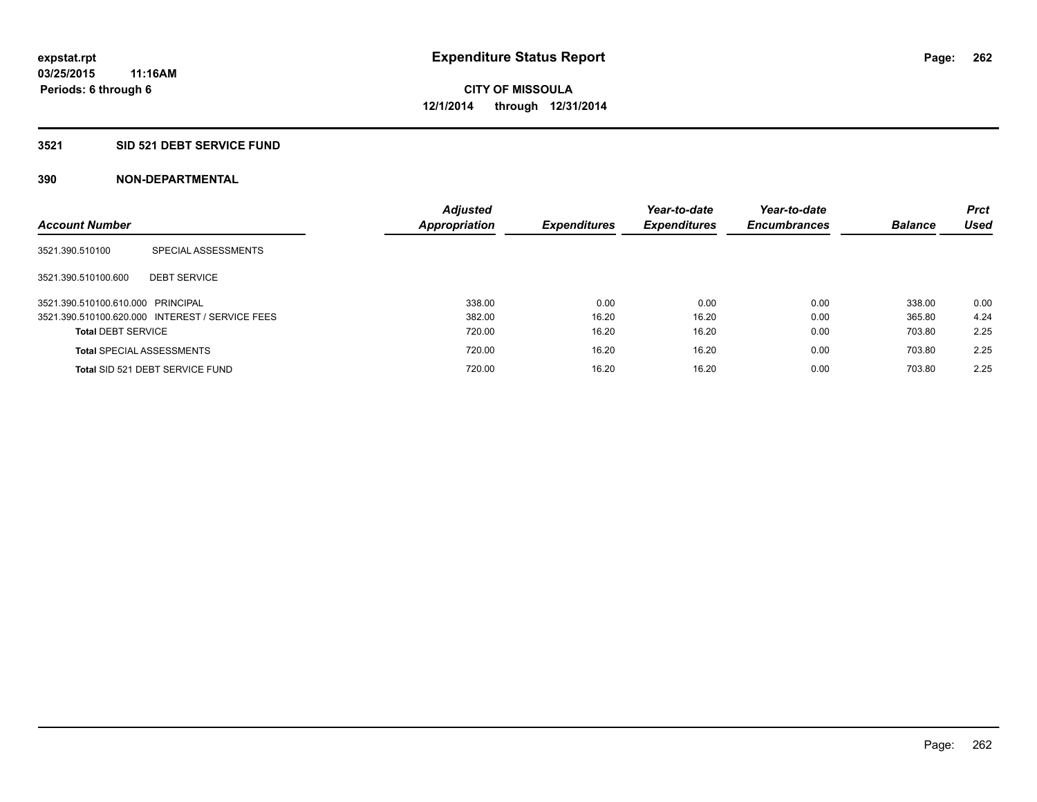### **3521 SID 521 DEBT SERVICE FUND**

| <b>Account Number</b>             |                                                 | <b>Adjusted</b><br><b>Appropriation</b> | <b>Expenditures</b> | Year-to-date<br><b>Expenditures</b> | Year-to-date<br><b>Encumbrances</b> | <b>Balance</b> | <b>Prct</b><br>Used |
|-----------------------------------|-------------------------------------------------|-----------------------------------------|---------------------|-------------------------------------|-------------------------------------|----------------|---------------------|
| 3521.390.510100                   | SPECIAL ASSESSMENTS                             |                                         |                     |                                     |                                     |                |                     |
| 3521.390.510100.600               | <b>DEBT SERVICE</b>                             |                                         |                     |                                     |                                     |                |                     |
| 3521.390.510100.610.000 PRINCIPAL |                                                 | 338.00                                  | 0.00                | 0.00                                | 0.00                                | 338.00         | 0.00                |
|                                   | 3521.390.510100.620.000 INTEREST / SERVICE FEES | 382.00                                  | 16.20               | 16.20                               | 0.00                                | 365.80         | 4.24                |
| <b>Total DEBT SERVICE</b>         |                                                 | 720.00                                  | 16.20               | 16.20                               | 0.00                                | 703.80         | 2.25                |
|                                   | <b>Total SPECIAL ASSESSMENTS</b>                | 720.00                                  | 16.20               | 16.20                               | 0.00                                | 703.80         | 2.25                |
|                                   | Total SID 521 DEBT SERVICE FUND                 | 720.00                                  | 16.20               | 16.20                               | 0.00                                | 703.80         | 2.25                |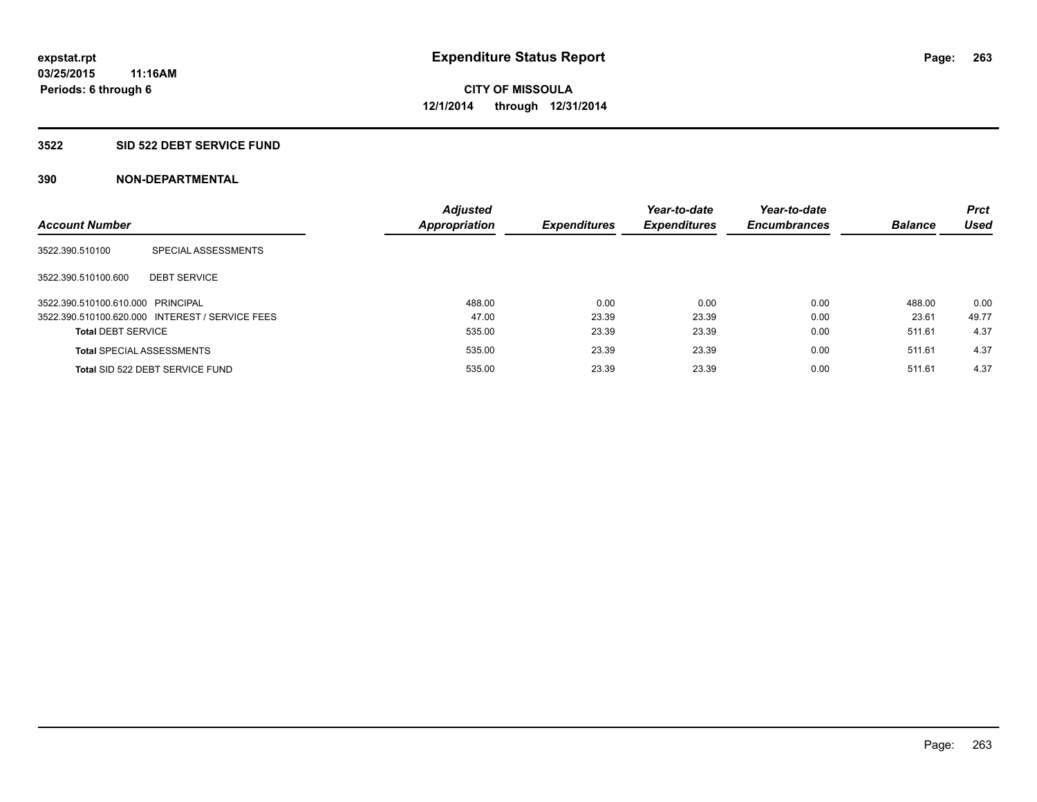### **3522 SID 522 DEBT SERVICE FUND**

| <b>Account Number</b>             |                                                 | <b>Adjusted</b><br><b>Appropriation</b> | <b>Expenditures</b> | Year-to-date<br><b>Expenditures</b> | Year-to-date<br><b>Encumbrances</b> | <b>Balance</b> | <b>Prct</b><br><b>Used</b> |
|-----------------------------------|-------------------------------------------------|-----------------------------------------|---------------------|-------------------------------------|-------------------------------------|----------------|----------------------------|
|                                   |                                                 |                                         |                     |                                     |                                     |                |                            |
| 3522.390.510100                   | SPECIAL ASSESSMENTS                             |                                         |                     |                                     |                                     |                |                            |
| 3522.390.510100.600               | <b>DEBT SERVICE</b>                             |                                         |                     |                                     |                                     |                |                            |
| 3522.390.510100.610.000 PRINCIPAL |                                                 | 488.00                                  | 0.00                | 0.00                                | 0.00                                | 488.00         | 0.00                       |
|                                   | 3522.390.510100.620.000 INTEREST / SERVICE FEES | 47.00                                   | 23.39               | 23.39                               | 0.00                                | 23.61          | 49.77                      |
| <b>Total DEBT SERVICE</b>         |                                                 | 535.00                                  | 23.39               | 23.39                               | 0.00                                | 511.61         | 4.37                       |
|                                   | <b>Total SPECIAL ASSESSMENTS</b>                | 535.00                                  | 23.39               | 23.39                               | 0.00                                | 511.61         | 4.37                       |
|                                   | Total SID 522 DEBT SERVICE FUND                 | 535.00                                  | 23.39               | 23.39                               | 0.00                                | 511.61         | 4.37                       |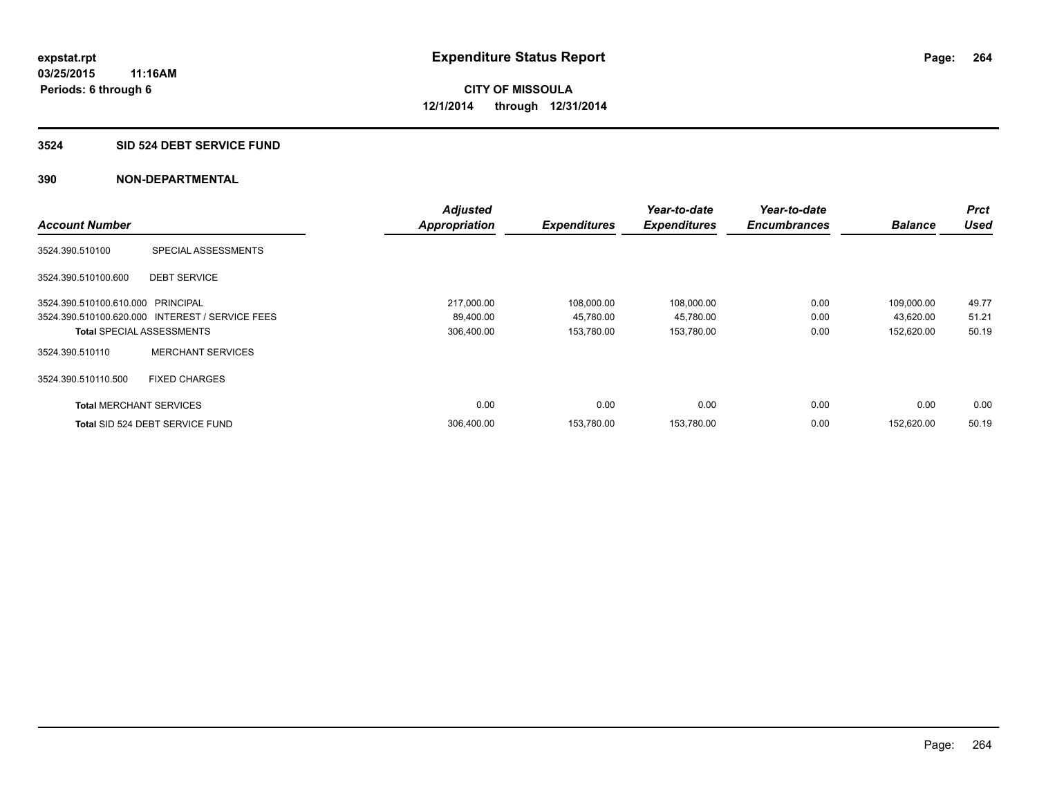### **3524 SID 524 DEBT SERVICE FUND**

|                                   |                                                 | <b>Adjusted</b>      |                     | Year-to-date        | Year-to-date        |                | <b>Prct</b> |
|-----------------------------------|-------------------------------------------------|----------------------|---------------------|---------------------|---------------------|----------------|-------------|
| <b>Account Number</b>             |                                                 | <b>Appropriation</b> | <b>Expenditures</b> | <b>Expenditures</b> | <b>Encumbrances</b> | <b>Balance</b> | <b>Used</b> |
| 3524.390.510100                   | <b>SPECIAL ASSESSMENTS</b>                      |                      |                     |                     |                     |                |             |
| 3524.390.510100.600               | <b>DEBT SERVICE</b>                             |                      |                     |                     |                     |                |             |
| 3524.390.510100.610.000 PRINCIPAL |                                                 | 217,000.00           | 108,000.00          | 108,000.00          | 0.00                | 109,000.00     | 49.77       |
|                                   | 3524.390.510100.620.000 INTEREST / SERVICE FEES | 89,400.00            | 45,780.00           | 45,780.00           | 0.00                | 43,620.00      | 51.21       |
| <b>Total SPECIAL ASSESSMENTS</b>  |                                                 | 306,400.00           | 153,780.00          | 153,780.00          | 0.00                | 152,620.00     | 50.19       |
| 3524.390.510110                   | <b>MERCHANT SERVICES</b>                        |                      |                     |                     |                     |                |             |
| 3524.390.510110.500               | <b>FIXED CHARGES</b>                            |                      |                     |                     |                     |                |             |
| <b>Total MERCHANT SERVICES</b>    |                                                 | 0.00                 | 0.00                | 0.00                | 0.00                | 0.00           | 0.00        |
|                                   | Total SID 524 DEBT SERVICE FUND                 | 306,400.00           | 153,780.00          | 153,780.00          | 0.00                | 152,620.00     | 50.19       |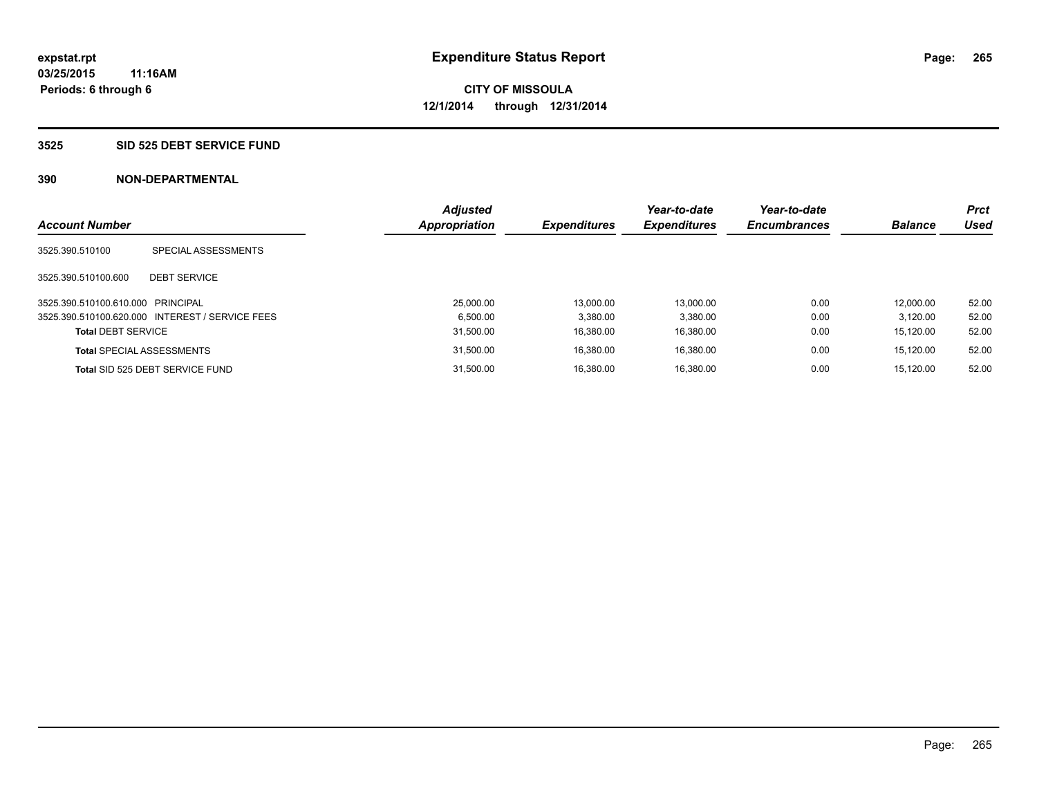### **3525 SID 525 DEBT SERVICE FUND**

| <b>Account Number</b>             |                                                 | <b>Adjusted</b><br><b>Appropriation</b> | <b>Expenditures</b> | Year-to-date<br><b>Expenditures</b> | Year-to-date<br><b>Encumbrances</b> | <b>Balance</b> | <b>Prct</b><br>Used |
|-----------------------------------|-------------------------------------------------|-----------------------------------------|---------------------|-------------------------------------|-------------------------------------|----------------|---------------------|
| 3525.390.510100                   | SPECIAL ASSESSMENTS                             |                                         |                     |                                     |                                     |                |                     |
| 3525.390.510100.600               | <b>DEBT SERVICE</b>                             |                                         |                     |                                     |                                     |                |                     |
| 3525.390.510100.610.000 PRINCIPAL |                                                 | 25.000.00                               | 13.000.00           | 13.000.00                           | 0.00                                | 12.000.00      | 52.00               |
|                                   | 3525.390.510100.620.000 INTEREST / SERVICE FEES | 6.500.00                                | 3,380.00            | 3.380.00                            | 0.00                                | 3.120.00       | 52.00               |
| <b>Total DEBT SERVICE</b>         |                                                 | 31.500.00                               | 16.380.00           | 16.380.00                           | 0.00                                | 15.120.00      | 52.00               |
|                                   | <b>Total SPECIAL ASSESSMENTS</b>                | 31.500.00                               | 16.380.00           | 16.380.00                           | 0.00                                | 15.120.00      | 52.00               |
|                                   | Total SID 525 DEBT SERVICE FUND                 | 31.500.00                               | 16.380.00           | 16.380.00                           | 0.00                                | 15.120.00      | 52.00               |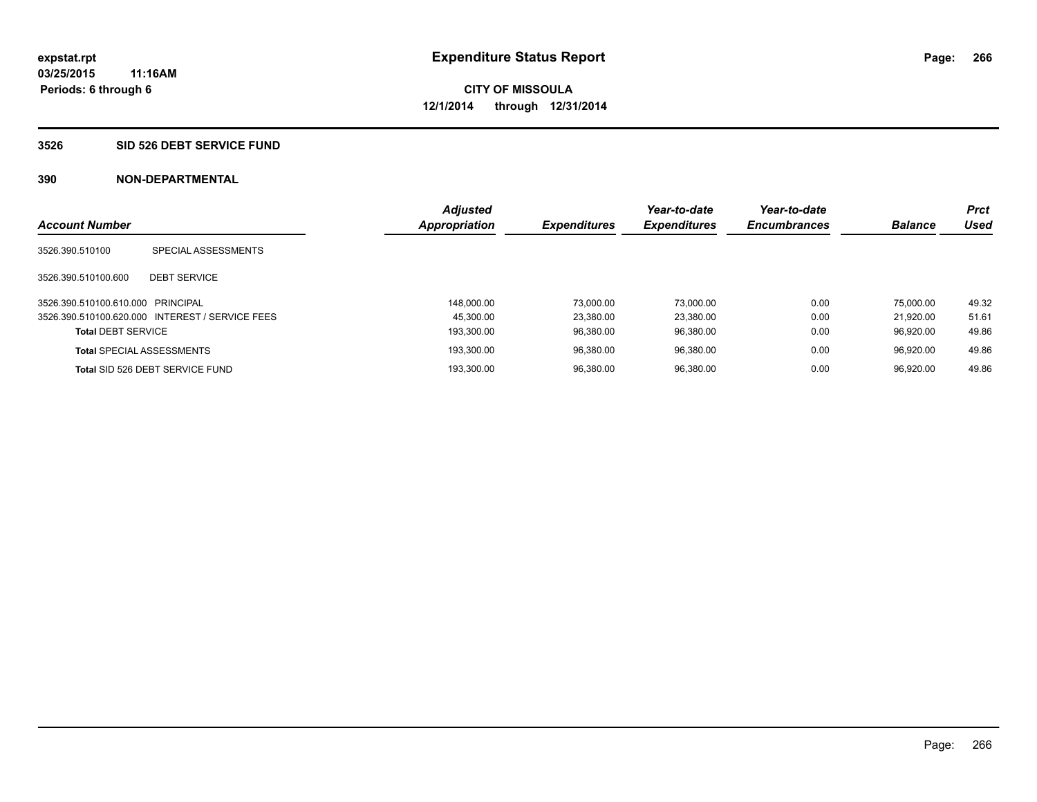### **3526 SID 526 DEBT SERVICE FUND**

| <b>Account Number</b>             |                                                 | <b>Adjusted</b><br><b>Appropriation</b> | <b>Expenditures</b> | Year-to-date<br><b>Expenditures</b> | Year-to-date<br><b>Encumbrances</b> | <b>Balance</b> | <b>Prct</b><br>Used |
|-----------------------------------|-------------------------------------------------|-----------------------------------------|---------------------|-------------------------------------|-------------------------------------|----------------|---------------------|
| 3526.390.510100                   | SPECIAL ASSESSMENTS                             |                                         |                     |                                     |                                     |                |                     |
| 3526.390.510100.600               | <b>DEBT SERVICE</b>                             |                                         |                     |                                     |                                     |                |                     |
| 3526.390.510100.610.000 PRINCIPAL |                                                 | 148.000.00                              | 73.000.00           | 73.000.00                           | 0.00                                | 75.000.00      | 49.32               |
|                                   | 3526.390.510100.620.000 INTEREST / SERVICE FEES | 45.300.00                               | 23,380.00           | 23.380.00                           | 0.00                                | 21.920.00      | 51.61               |
| <b>Total DEBT SERVICE</b>         |                                                 | 193.300.00                              | 96.380.00           | 96.380.00                           | 0.00                                | 96.920.00      | 49.86               |
|                                   | <b>Total SPECIAL ASSESSMENTS</b>                | 193.300.00                              | 96.380.00           | 96.380.00                           | 0.00                                | 96.920.00      | 49.86               |
|                                   | Total SID 526 DEBT SERVICE FUND                 | 193.300.00                              | 96.380.00           | 96.380.00                           | 0.00                                | 96.920.00      | 49.86               |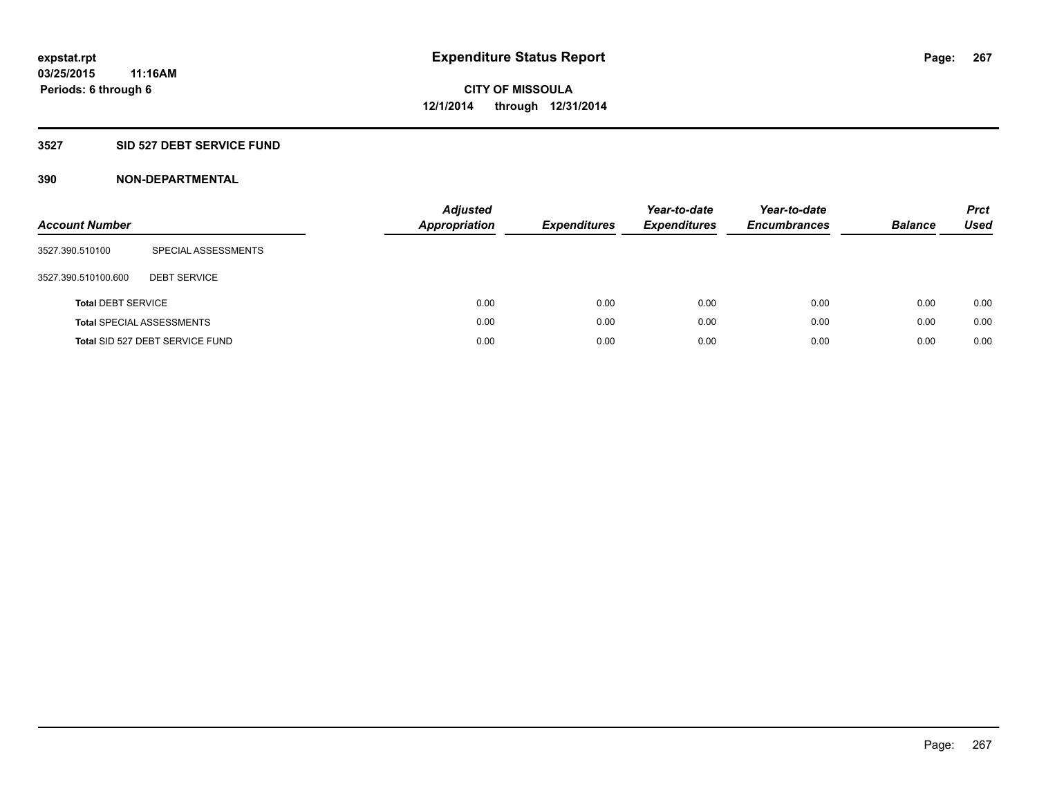### **3527 SID 527 DEBT SERVICE FUND**

| <b>Account Number</b>     |                                  | <b>Adjusted</b><br><b>Appropriation</b> | <b>Expenditures</b> | Year-to-date<br><b>Expenditures</b> | Year-to-date<br><b>Encumbrances</b> | <b>Balance</b> | <b>Prct</b><br>Used |
|---------------------------|----------------------------------|-----------------------------------------|---------------------|-------------------------------------|-------------------------------------|----------------|---------------------|
| 3527.390.510100           | SPECIAL ASSESSMENTS              |                                         |                     |                                     |                                     |                |                     |
| 3527.390.510100.600       | <b>DEBT SERVICE</b>              |                                         |                     |                                     |                                     |                |                     |
| <b>Total DEBT SERVICE</b> |                                  | 0.00                                    | 0.00                | 0.00                                | 0.00                                | 0.00           | 0.00                |
|                           | <b>Total SPECIAL ASSESSMENTS</b> | 0.00                                    | 0.00                | 0.00                                | 0.00                                | 0.00           | 0.00                |
|                           | Total SID 527 DEBT SERVICE FUND  | 0.00                                    | 0.00                | 0.00                                | 0.00                                | 0.00           | 0.00                |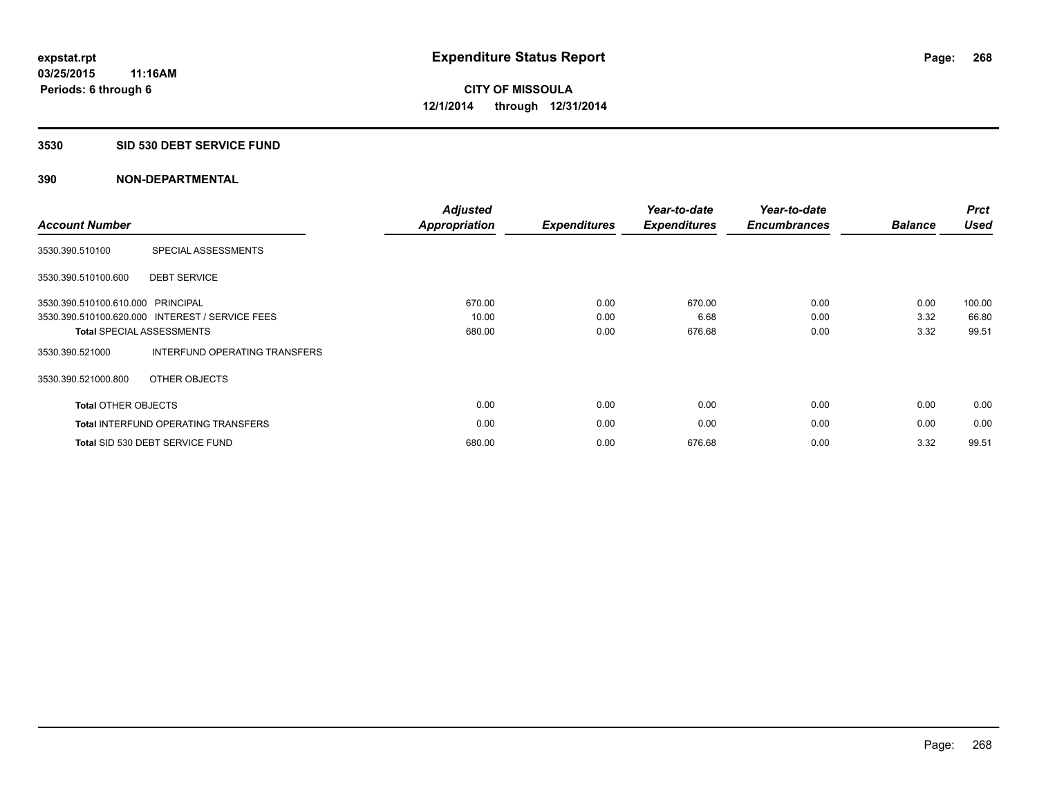#### **3530 SID 530 DEBT SERVICE FUND**

| <b>Account Number</b>             |                                                 | <b>Adjusted</b><br>Appropriation | <b>Expenditures</b> | Year-to-date<br><b>Expenditures</b> | Year-to-date<br><b>Encumbrances</b> | <b>Balance</b> | <b>Prct</b><br><b>Used</b> |
|-----------------------------------|-------------------------------------------------|----------------------------------|---------------------|-------------------------------------|-------------------------------------|----------------|----------------------------|
| 3530.390.510100                   | SPECIAL ASSESSMENTS                             |                                  |                     |                                     |                                     |                |                            |
| 3530.390.510100.600               | <b>DEBT SERVICE</b>                             |                                  |                     |                                     |                                     |                |                            |
| 3530.390.510100.610.000 PRINCIPAL |                                                 | 670.00                           | 0.00                | 670.00                              | 0.00                                | 0.00           | 100.00                     |
|                                   | 3530.390.510100.620.000 INTEREST / SERVICE FEES | 10.00                            | 0.00                | 6.68                                | 0.00                                | 3.32           | 66.80                      |
|                                   | <b>Total SPECIAL ASSESSMENTS</b>                | 680.00                           | 0.00                | 676.68                              | 0.00                                | 3.32           | 99.51                      |
| 3530.390.521000                   | INTERFUND OPERATING TRANSFERS                   |                                  |                     |                                     |                                     |                |                            |
| 3530.390.521000.800               | OTHER OBJECTS                                   |                                  |                     |                                     |                                     |                |                            |
| <b>Total OTHER OBJECTS</b>        |                                                 | 0.00                             | 0.00                | 0.00                                | 0.00                                | 0.00           | 0.00                       |
|                                   | <b>Total INTERFUND OPERATING TRANSFERS</b>      | 0.00                             | 0.00                | 0.00                                | 0.00                                | 0.00           | 0.00                       |
|                                   | Total SID 530 DEBT SERVICE FUND                 | 680.00                           | 0.00                | 676.68                              | 0.00                                | 3.32           | 99.51                      |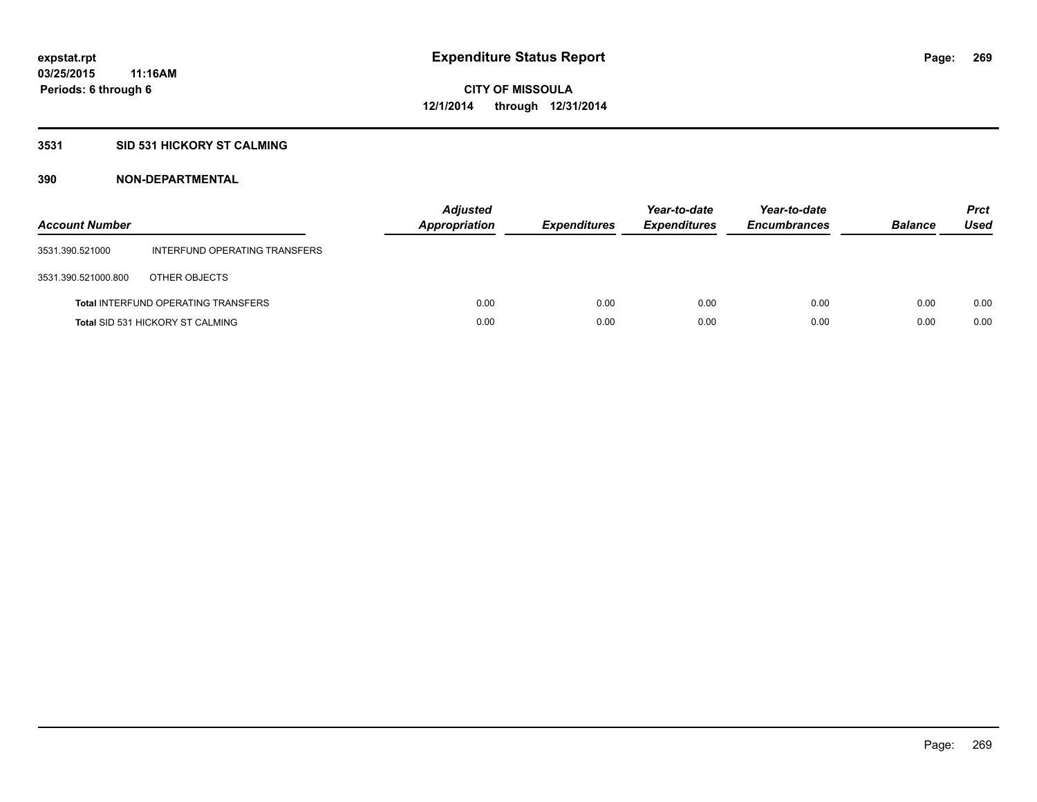### **3531 SID 531 HICKORY ST CALMING**

| <b>Account Number</b> |                                            | <b>Adjusted</b><br>Appropriation | <b>Expenditures</b> | Year-to-date<br><b>Expenditures</b> | Year-to-date<br><b>Encumbrances</b> | <b>Balance</b> | <b>Prct</b><br>Used |
|-----------------------|--------------------------------------------|----------------------------------|---------------------|-------------------------------------|-------------------------------------|----------------|---------------------|
| 3531.390.521000       | INTERFUND OPERATING TRANSFERS              |                                  |                     |                                     |                                     |                |                     |
| 3531.390.521000.800   | OTHER OBJECTS                              |                                  |                     |                                     |                                     |                |                     |
|                       | <b>Total INTERFUND OPERATING TRANSFERS</b> | 0.00                             | 0.00                | 0.00                                | 0.00                                | 0.00           | 0.00                |
|                       | <b>Total SID 531 HICKORY ST CALMING</b>    | 0.00                             | 0.00                | 0.00                                | 0.00                                | 0.00           | 0.00                |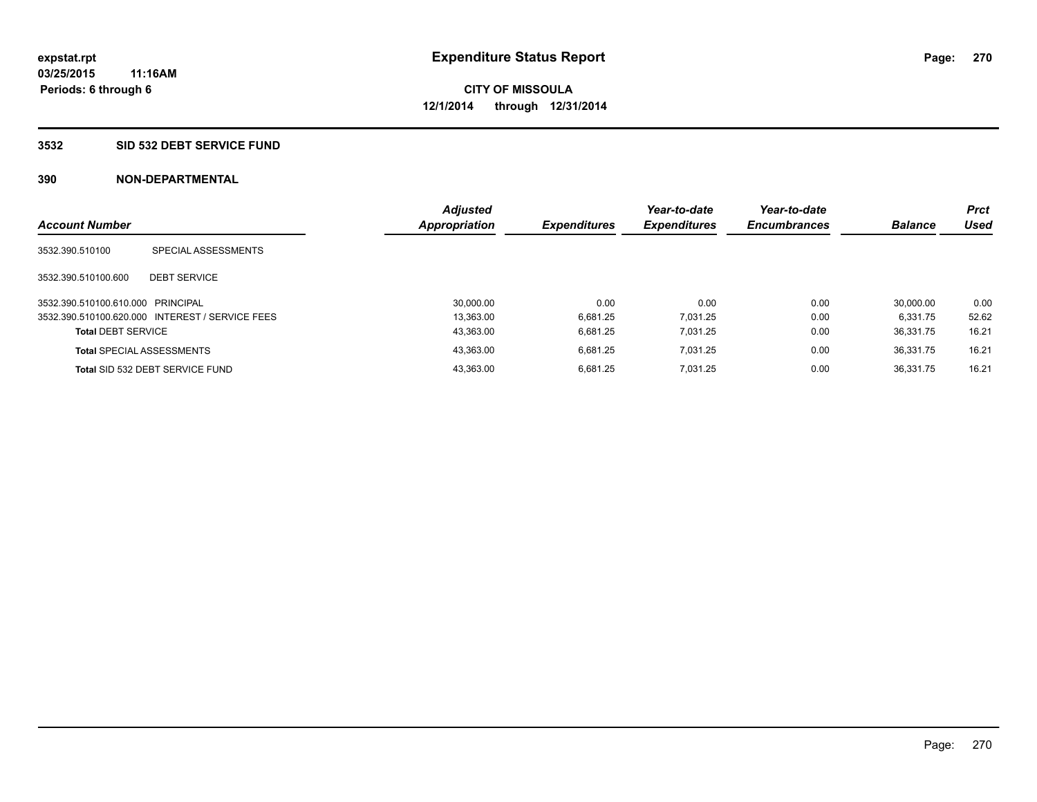### **3532 SID 532 DEBT SERVICE FUND**

| <b>Account Number</b>             |                                                 | <b>Adjusted</b><br><b>Appropriation</b> | <b>Expenditures</b> | Year-to-date<br><b>Expenditures</b> | Year-to-date<br><b>Encumbrances</b> | <b>Balance</b> | <b>Prct</b><br>Used |
|-----------------------------------|-------------------------------------------------|-----------------------------------------|---------------------|-------------------------------------|-------------------------------------|----------------|---------------------|
|                                   |                                                 |                                         |                     |                                     |                                     |                |                     |
| 3532.390.510100                   | SPECIAL ASSESSMENTS                             |                                         |                     |                                     |                                     |                |                     |
|                                   |                                                 |                                         |                     |                                     |                                     |                |                     |
| 3532.390.510100.600               | <b>DEBT SERVICE</b>                             |                                         |                     |                                     |                                     |                |                     |
| 3532.390.510100.610.000 PRINCIPAL |                                                 | 30.000.00                               | 0.00                | 0.00                                | 0.00                                | 30.000.00      | 0.00                |
|                                   | 3532.390.510100.620.000 INTEREST / SERVICE FEES | 13.363.00                               | 6.681.25            | 7.031.25                            | 0.00                                | 6.331.75       | 52.62               |
| <b>Total DEBT SERVICE</b>         |                                                 | 43,363.00                               | 6.681.25            | 7.031.25                            | 0.00                                | 36.331.75      | 16.21               |
|                                   | <b>Total SPECIAL ASSESSMENTS</b>                | 43.363.00                               | 6.681.25            | 7.031.25                            | 0.00                                | 36.331.75      | 16.21               |
|                                   | Total SID 532 DEBT SERVICE FUND                 | 43.363.00                               | 6.681.25            | 7.031.25                            | 0.00                                | 36.331.75      | 16.21               |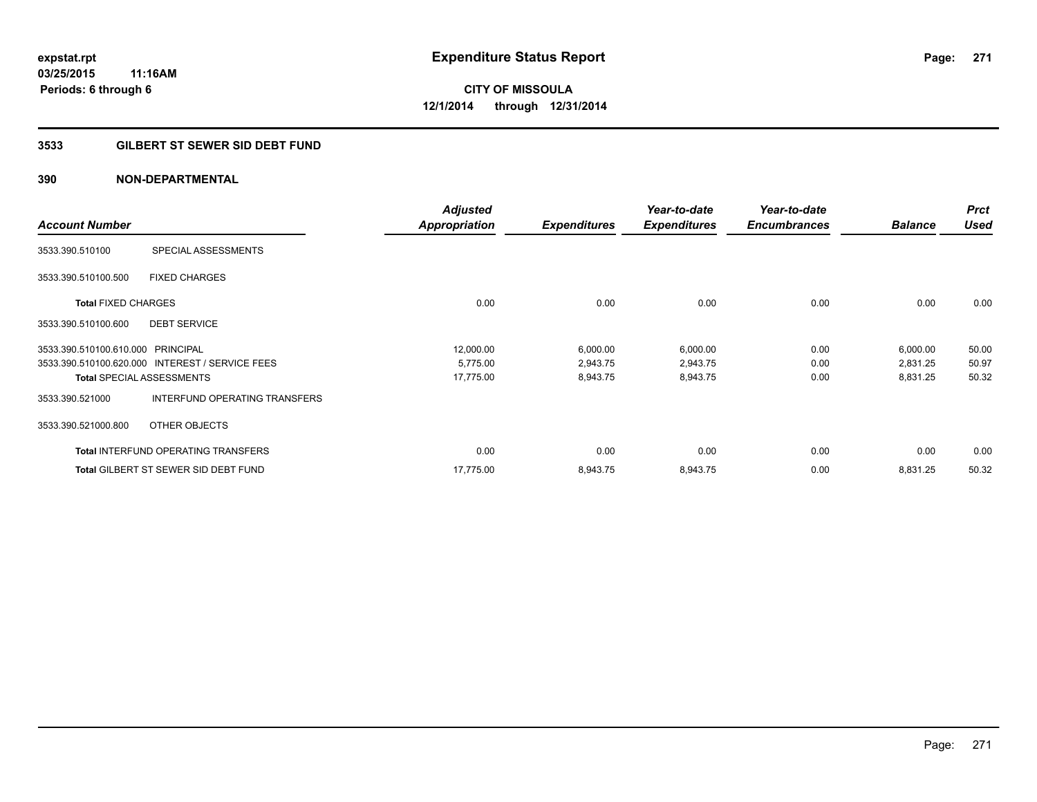### **3533 GILBERT ST SEWER SID DEBT FUND**

| <b>Account Number</b>             |                                                 | <b>Adjusted</b><br><b>Appropriation</b> | <b>Expenditures</b> | Year-to-date<br><b>Expenditures</b> | Year-to-date<br><b>Encumbrances</b> | <b>Balance</b> | <b>Prct</b><br><b>Used</b> |
|-----------------------------------|-------------------------------------------------|-----------------------------------------|---------------------|-------------------------------------|-------------------------------------|----------------|----------------------------|
| 3533.390.510100                   | SPECIAL ASSESSMENTS                             |                                         |                     |                                     |                                     |                |                            |
| 3533.390.510100.500               | <b>FIXED CHARGES</b>                            |                                         |                     |                                     |                                     |                |                            |
| <b>Total FIXED CHARGES</b>        |                                                 | 0.00                                    | 0.00                | 0.00                                | 0.00                                | 0.00           | 0.00                       |
| 3533.390.510100.600               | <b>DEBT SERVICE</b>                             |                                         |                     |                                     |                                     |                |                            |
| 3533.390.510100.610.000 PRINCIPAL |                                                 | 12,000.00                               | 6,000.00            | 6,000.00                            | 0.00                                | 6,000.00       | 50.00                      |
|                                   | 3533.390.510100.620.000 INTEREST / SERVICE FEES | 5,775.00                                | 2,943.75            | 2,943.75                            | 0.00                                | 2,831.25       | 50.97                      |
|                                   | <b>Total SPECIAL ASSESSMENTS</b>                | 17,775.00                               | 8,943.75            | 8,943.75                            | 0.00                                | 8,831.25       | 50.32                      |
| 3533.390.521000                   | INTERFUND OPERATING TRANSFERS                   |                                         |                     |                                     |                                     |                |                            |
| 3533.390.521000.800               | OTHER OBJECTS                                   |                                         |                     |                                     |                                     |                |                            |
|                                   | <b>Total INTERFUND OPERATING TRANSFERS</b>      | 0.00                                    | 0.00                | 0.00                                | 0.00                                | 0.00           | 0.00                       |
|                                   | <b>Total GILBERT ST SEWER SID DEBT FUND</b>     | 17.775.00                               | 8,943.75            | 8,943.75                            | 0.00                                | 8,831.25       | 50.32                      |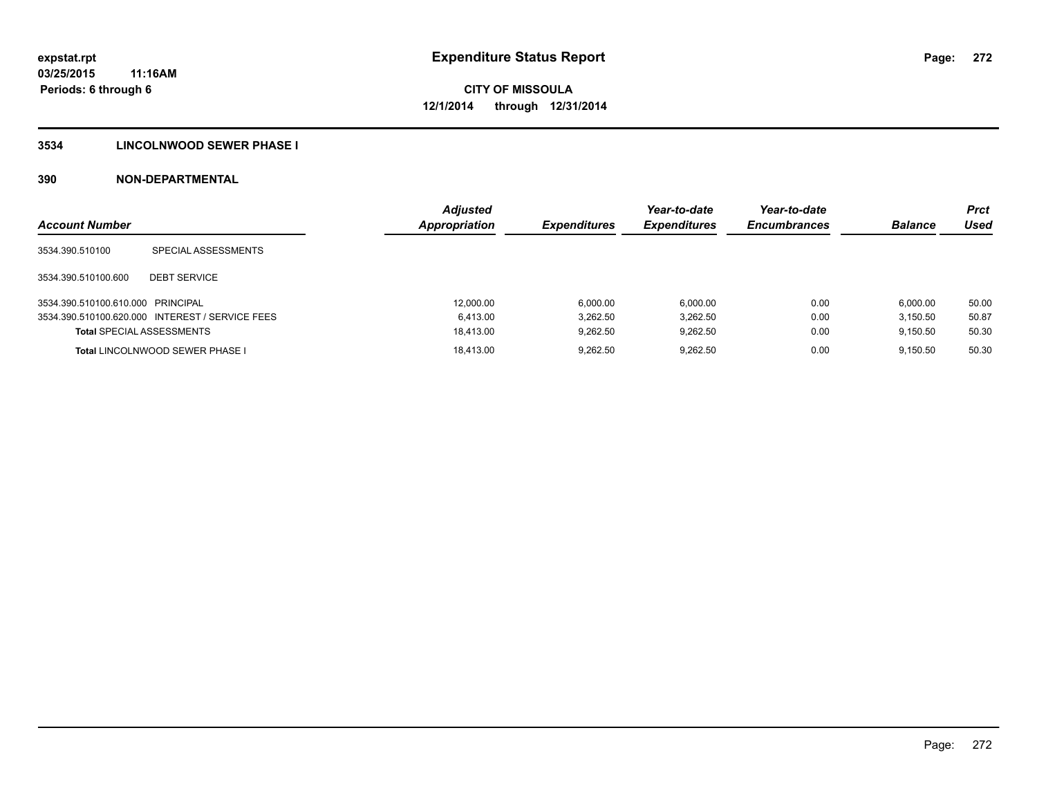### **3534 LINCOLNWOOD SEWER PHASE I**

| <b>Account Number</b>             |                                                 | <b>Adjusted</b><br>Appropriation | <b>Expenditures</b> | Year-to-date<br><i><b>Expenditures</b></i> | Year-to-date<br><b>Encumbrances</b> | <b>Balance</b> | <b>Prct</b><br>Used |
|-----------------------------------|-------------------------------------------------|----------------------------------|---------------------|--------------------------------------------|-------------------------------------|----------------|---------------------|
| 3534.390.510100                   | SPECIAL ASSESSMENTS                             |                                  |                     |                                            |                                     |                |                     |
| 3534.390.510100.600               | <b>DEBT SERVICE</b>                             |                                  |                     |                                            |                                     |                |                     |
| 3534.390.510100.610.000 PRINCIPAL |                                                 | 12,000.00                        | 6.000.00            | 6.000.00                                   | 0.00                                | 6.000.00       | 50.00               |
|                                   | 3534.390.510100.620.000 INTEREST / SERVICE FEES | 6.413.00                         | 3.262.50            | 3,262.50                                   | 0.00                                | 3.150.50       | 50.87               |
| <b>Total SPECIAL ASSESSMENTS</b>  |                                                 | 18.413.00                        | 9.262.50            | 9.262.50                                   | 0.00                                | 9.150.50       | 50.30               |
|                                   | <b>Total LINCOLNWOOD SEWER PHASE I</b>          | 18.413.00                        | 9.262.50            | 9.262.50                                   | 0.00                                | 9.150.50       | 50.30               |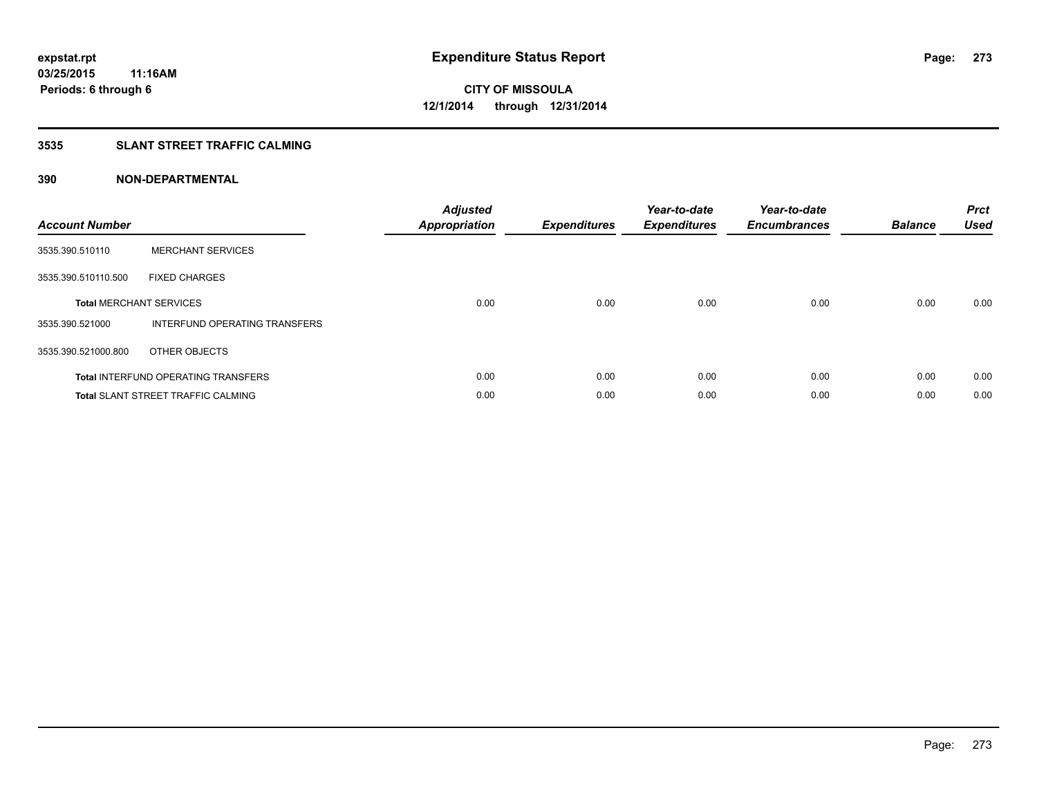### **3535 SLANT STREET TRAFFIC CALMING**

| <b>Account Number</b> |                                            | <b>Adjusted</b><br>Appropriation | <b>Expenditures</b> | Year-to-date<br><b>Expenditures</b> | Year-to-date<br><b>Encumbrances</b> | <b>Balance</b> | <b>Prct</b><br><b>Used</b> |
|-----------------------|--------------------------------------------|----------------------------------|---------------------|-------------------------------------|-------------------------------------|----------------|----------------------------|
| 3535.390.510110       | <b>MERCHANT SERVICES</b>                   |                                  |                     |                                     |                                     |                |                            |
| 3535.390.510110.500   | <b>FIXED CHARGES</b>                       |                                  |                     |                                     |                                     |                |                            |
|                       | <b>Total MERCHANT SERVICES</b>             | 0.00                             | 0.00                | 0.00                                | 0.00                                | 0.00           | 0.00                       |
| 3535.390.521000       | INTERFUND OPERATING TRANSFERS              |                                  |                     |                                     |                                     |                |                            |
| 3535.390.521000.800   | OTHER OBJECTS                              |                                  |                     |                                     |                                     |                |                            |
|                       | <b>Total INTERFUND OPERATING TRANSFERS</b> | 0.00                             | 0.00                | 0.00                                | 0.00                                | 0.00           | 0.00                       |
|                       | <b>Total SLANT STREET TRAFFIC CALMING</b>  | 0.00                             | 0.00                | 0.00                                | 0.00                                | 0.00           | 0.00                       |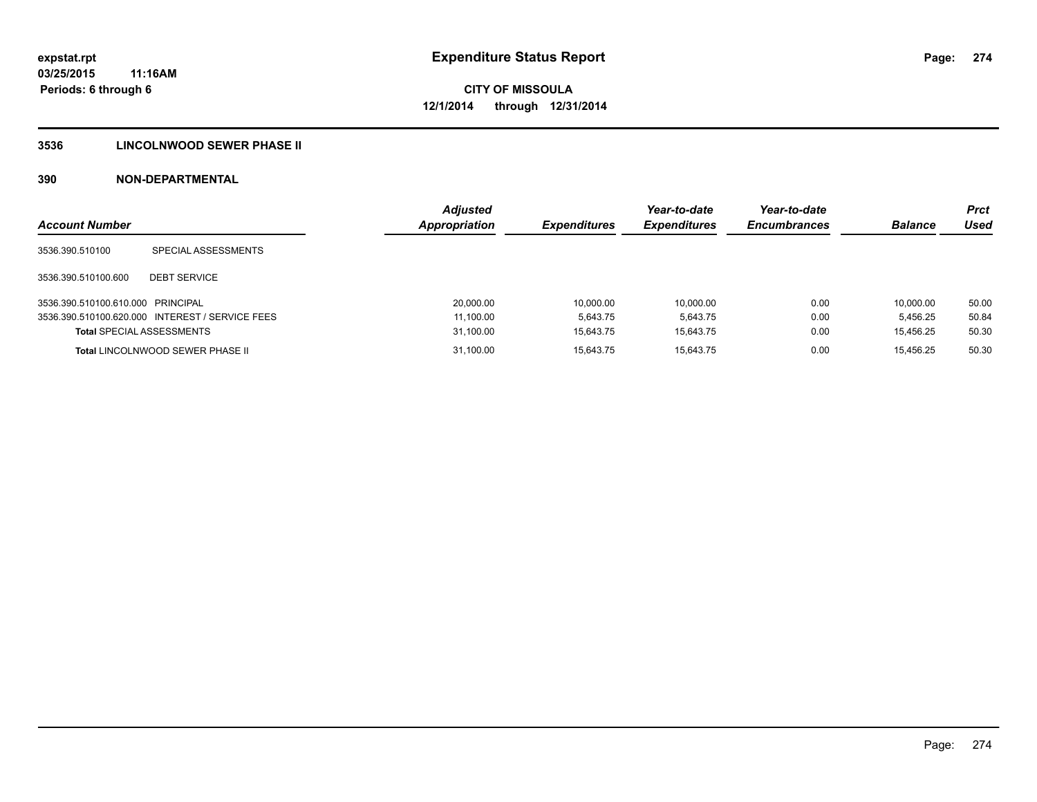### **3536 LINCOLNWOOD SEWER PHASE II**

| <b>Account Number</b>             |                                                 | <b>Adiusted</b><br><b>Appropriation</b> | <b>Expenditures</b> | Year-to-date<br><b>Expenditures</b> | Year-to-date<br><b>Encumbrances</b> | <b>Balance</b> | <b>Prct</b><br>Used |
|-----------------------------------|-------------------------------------------------|-----------------------------------------|---------------------|-------------------------------------|-------------------------------------|----------------|---------------------|
| 3536.390.510100                   | SPECIAL ASSESSMENTS                             |                                         |                     |                                     |                                     |                |                     |
| 3536.390.510100.600               | <b>DEBT SERVICE</b>                             |                                         |                     |                                     |                                     |                |                     |
| 3536.390.510100.610.000 PRINCIPAL |                                                 | 20,000.00                               | 10,000.00           | 10.000.00                           | 0.00                                | 10,000.00      | 50.00               |
|                                   | 3536.390.510100.620.000 INTEREST / SERVICE FEES | 11,100.00                               | 5.643.75            | 5.643.75                            | 0.00                                | 5.456.25       | 50.84               |
| <b>Total SPECIAL ASSESSMENTS</b>  |                                                 | 31,100.00                               | 15.643.75           | 15.643.75                           | 0.00                                | 15.456.25      | 50.30               |
|                                   | Total LINCOLNWOOD SEWER PHASE II                | 31,100.00                               | 15.643.75           | 15.643.75                           | 0.00                                | 15.456.25      | 50.30               |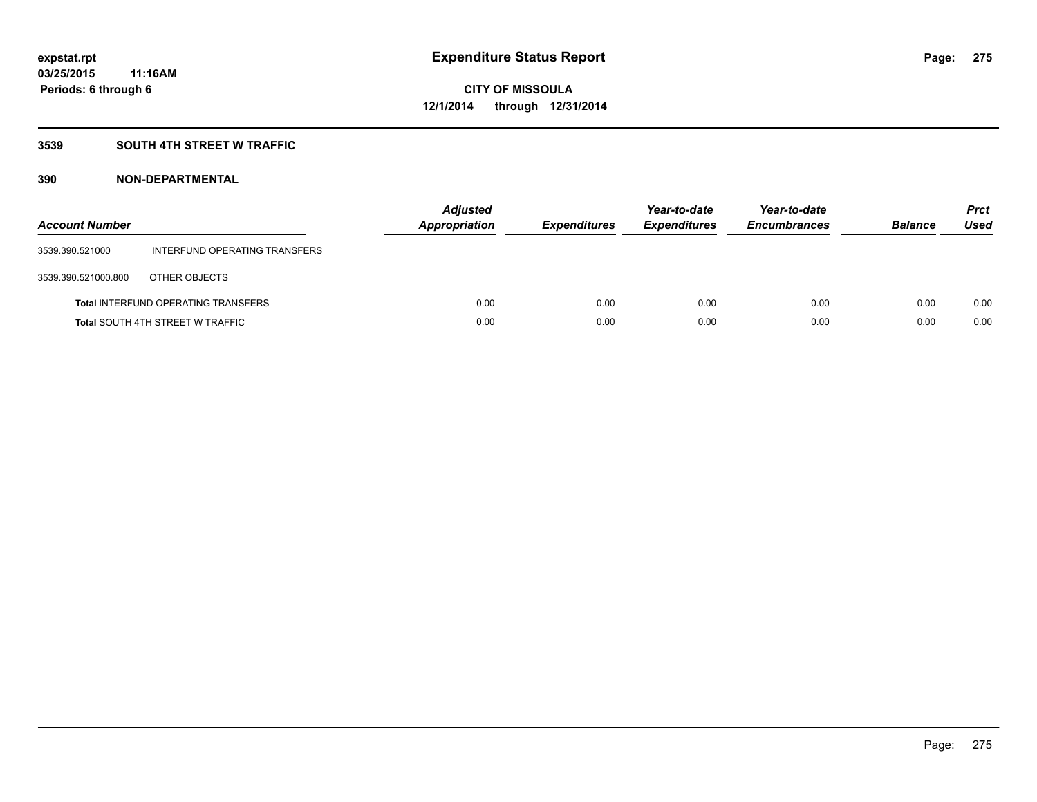### **3539 SOUTH 4TH STREET W TRAFFIC**

| <b>Account Number</b> |                                            | <b>Adjusted</b><br><b>Appropriation</b> | <b>Expenditures</b> | Year-to-date<br><b>Expenditures</b> | Year-to-date<br><b>Encumbrances</b> | <b>Balance</b> | <b>Prct</b><br>Used |
|-----------------------|--------------------------------------------|-----------------------------------------|---------------------|-------------------------------------|-------------------------------------|----------------|---------------------|
| 3539.390.521000       | INTERFUND OPERATING TRANSFERS              |                                         |                     |                                     |                                     |                |                     |
| 3539.390.521000.800   | OTHER OBJECTS                              |                                         |                     |                                     |                                     |                |                     |
|                       | <b>Total INTERFUND OPERATING TRANSFERS</b> | 0.00                                    | 0.00                | 0.00                                | 0.00                                | 0.00           | 0.00                |
|                       | <b>Total SOUTH 4TH STREET W TRAFFIC</b>    | 0.00                                    | 0.00                | 0.00                                | 0.00                                | 0.00           | 0.00                |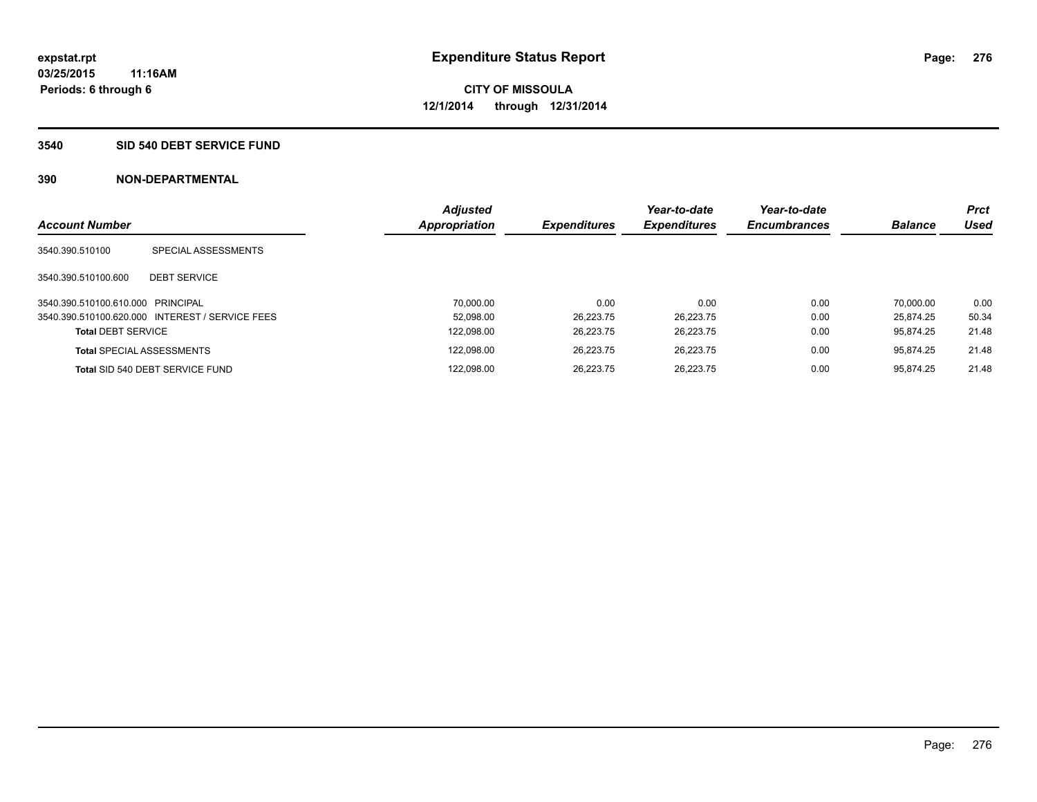#### **3540 SID 540 DEBT SERVICE FUND**

| <b>Account Number</b>             |                                                 | <b>Adjusted</b><br><b>Appropriation</b> | <b>Expenditures</b> | Year-to-date<br><b>Expenditures</b> | Year-to-date<br><b>Encumbrances</b> | <b>Balance</b> | <b>Prct</b><br><b>Used</b> |
|-----------------------------------|-------------------------------------------------|-----------------------------------------|---------------------|-------------------------------------|-------------------------------------|----------------|----------------------------|
|                                   |                                                 |                                         |                     |                                     |                                     |                |                            |
| 3540.390.510100                   | SPECIAL ASSESSMENTS                             |                                         |                     |                                     |                                     |                |                            |
| 3540.390.510100.600               | <b>DEBT SERVICE</b>                             |                                         |                     |                                     |                                     |                |                            |
| 3540.390.510100.610.000 PRINCIPAL |                                                 | 70.000.00                               | 0.00                | 0.00                                | 0.00                                | 70.000.00      | 0.00                       |
|                                   | 3540.390.510100.620.000 INTEREST / SERVICE FEES | 52.098.00                               | 26.223.75           | 26.223.75                           | 0.00                                | 25.874.25      | 50.34                      |
| <b>Total DEBT SERVICE</b>         |                                                 | 122,098.00                              | 26.223.75           | 26.223.75                           | 0.00                                | 95.874.25      | 21.48                      |
|                                   | <b>Total SPECIAL ASSESSMENTS</b>                | 122,098.00                              | 26.223.75           | 26.223.75                           | 0.00                                | 95.874.25      | 21.48                      |
|                                   | Total SID 540 DEBT SERVICE FUND                 | 122.098.00                              | 26.223.75           | 26.223.75                           | 0.00                                | 95.874.25      | 21.48                      |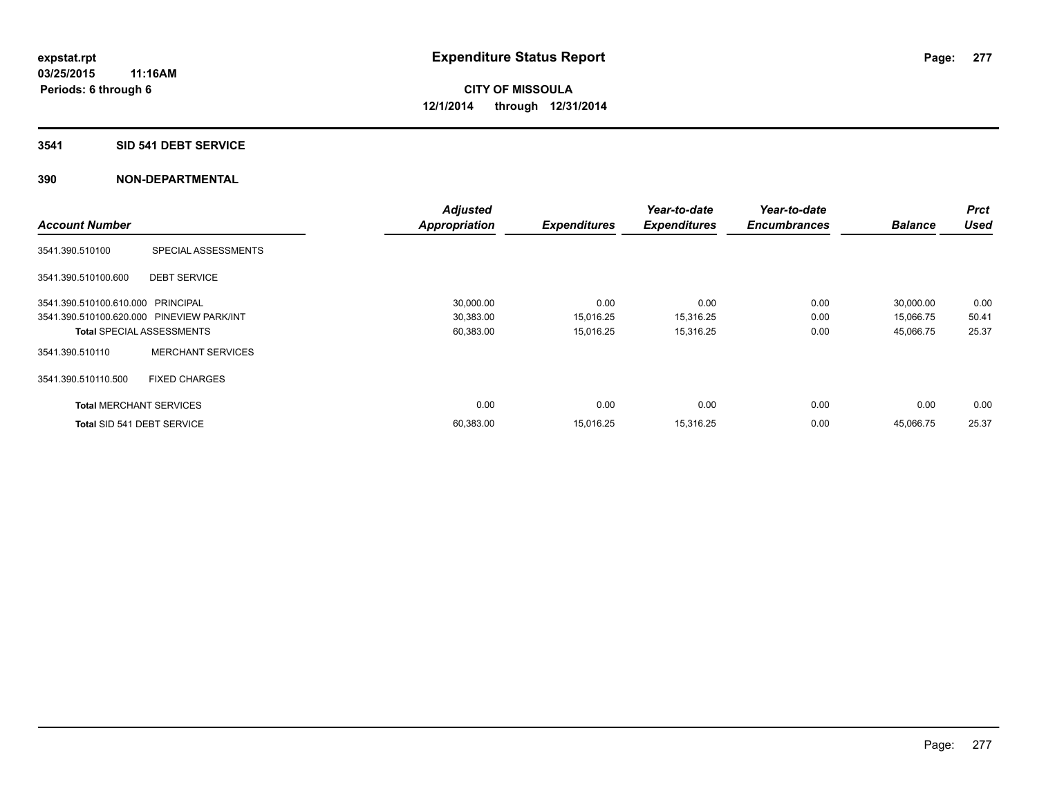#### **3541 SID 541 DEBT SERVICE**

|                                           |                          | <b>Adjusted</b> |                     | Year-to-date        | Year-to-date        |                | <b>Prct</b> |
|-------------------------------------------|--------------------------|-----------------|---------------------|---------------------|---------------------|----------------|-------------|
| <b>Account Number</b>                     |                          | Appropriation   | <b>Expenditures</b> | <b>Expenditures</b> | <b>Encumbrances</b> | <b>Balance</b> | <b>Used</b> |
| 3541.390.510100                           | SPECIAL ASSESSMENTS      |                 |                     |                     |                     |                |             |
| 3541.390.510100.600                       | <b>DEBT SERVICE</b>      |                 |                     |                     |                     |                |             |
| 3541.390.510100.610.000 PRINCIPAL         |                          | 30,000.00       | 0.00                | 0.00                | 0.00                | 30,000.00      | 0.00        |
| 3541.390.510100.620.000 PINEVIEW PARK/INT |                          | 30,383.00       | 15,016.25           | 15,316.25           | 0.00                | 15,066.75      | 50.41       |
| <b>Total SPECIAL ASSESSMENTS</b>          |                          | 60,383.00       | 15,016.25           | 15,316.25           | 0.00                | 45,066.75      | 25.37       |
| 3541.390.510110                           | <b>MERCHANT SERVICES</b> |                 |                     |                     |                     |                |             |
| 3541.390.510110.500                       | <b>FIXED CHARGES</b>     |                 |                     |                     |                     |                |             |
| <b>Total MERCHANT SERVICES</b>            |                          | 0.00            | 0.00                | 0.00                | 0.00                | 0.00           | 0.00        |
| Total SID 541 DEBT SERVICE                |                          | 60,383.00       | 15.016.25           | 15,316.25           | 0.00                | 45.066.75      | 25.37       |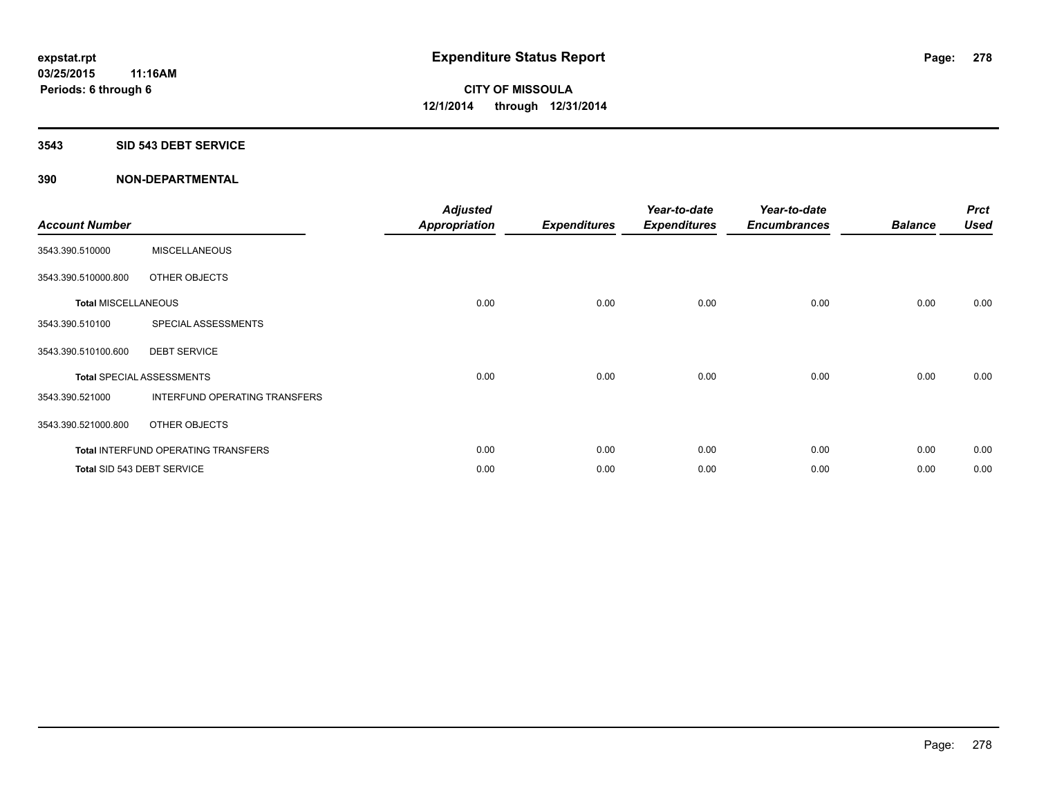#### **3543 SID 543 DEBT SERVICE**

| <b>Account Number</b>      |                                            | <b>Adjusted</b><br><b>Appropriation</b> | <b>Expenditures</b> | Year-to-date<br><b>Expenditures</b> | Year-to-date<br><b>Encumbrances</b> | <b>Balance</b> | <b>Prct</b><br><b>Used</b> |
|----------------------------|--------------------------------------------|-----------------------------------------|---------------------|-------------------------------------|-------------------------------------|----------------|----------------------------|
| 3543.390.510000            | <b>MISCELLANEOUS</b>                       |                                         |                     |                                     |                                     |                |                            |
| 3543.390.510000.800        | OTHER OBJECTS                              |                                         |                     |                                     |                                     |                |                            |
| <b>Total MISCELLANEOUS</b> |                                            | 0.00                                    | 0.00                | 0.00                                | 0.00                                | 0.00           | 0.00                       |
| 3543.390.510100            | SPECIAL ASSESSMENTS                        |                                         |                     |                                     |                                     |                |                            |
| 3543.390.510100.600        | <b>DEBT SERVICE</b>                        |                                         |                     |                                     |                                     |                |                            |
|                            | <b>Total SPECIAL ASSESSMENTS</b>           | 0.00                                    | 0.00                | 0.00                                | 0.00                                | 0.00           | 0.00                       |
| 3543.390.521000            | INTERFUND OPERATING TRANSFERS              |                                         |                     |                                     |                                     |                |                            |
| 3543.390.521000.800        | OTHER OBJECTS                              |                                         |                     |                                     |                                     |                |                            |
|                            | <b>Total INTERFUND OPERATING TRANSFERS</b> | 0.00                                    | 0.00                | 0.00                                | 0.00                                | 0.00           | 0.00                       |
|                            | Total SID 543 DEBT SERVICE                 | 0.00                                    | 0.00                | 0.00                                | 0.00                                | 0.00           | 0.00                       |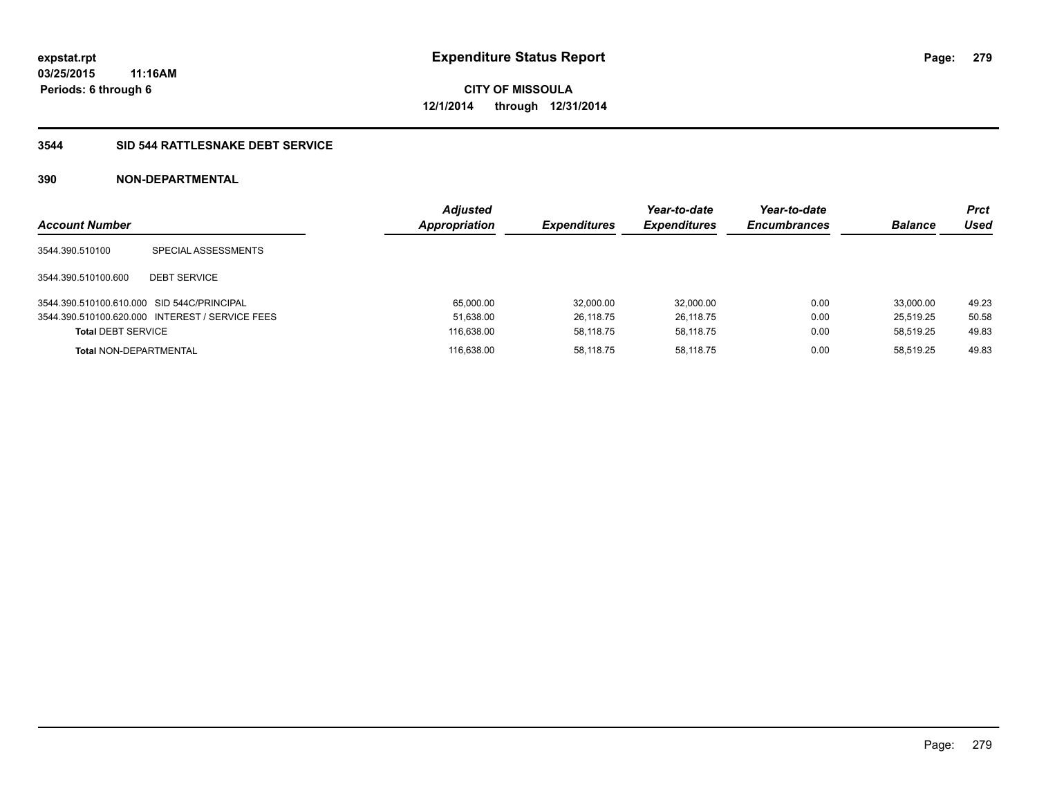### **3544 SID 544 RATTLESNAKE DEBT SERVICE**

| <b>Account Number</b>                      |                                                 | <b>Adjusted</b><br><b>Appropriation</b> | <b>Expenditures</b> | Year-to-date<br><b>Expenditures</b> | Year-to-date<br><b>Encumbrances</b> | <b>Balance</b> | <b>Prct</b><br>Used |
|--------------------------------------------|-------------------------------------------------|-----------------------------------------|---------------------|-------------------------------------|-------------------------------------|----------------|---------------------|
| 3544.390.510100                            | SPECIAL ASSESSMENTS                             |                                         |                     |                                     |                                     |                |                     |
| 3544.390.510100.600                        | <b>DEBT SERVICE</b>                             |                                         |                     |                                     |                                     |                |                     |
| 3544.390.510100.610.000 SID 544C/PRINCIPAL |                                                 | 65,000.00                               | 32.000.00           | 32,000.00                           | 0.00                                | 33.000.00      | 49.23               |
|                                            | 3544.390.510100.620.000 INTEREST / SERVICE FEES | 51,638.00                               | 26.118.75           | 26.118.75                           | 0.00                                | 25.519.25      | 50.58               |
| <b>Total DEBT SERVICE</b>                  |                                                 | 116,638.00                              | 58.118.75           | 58.118.75                           | 0.00                                | 58.519.25      | 49.83               |
| <b>Total NON-DEPARTMENTAL</b>              |                                                 | 116.638.00                              | 58.118.75           | 58.118.75                           | 0.00                                | 58.519.25      | 49.83               |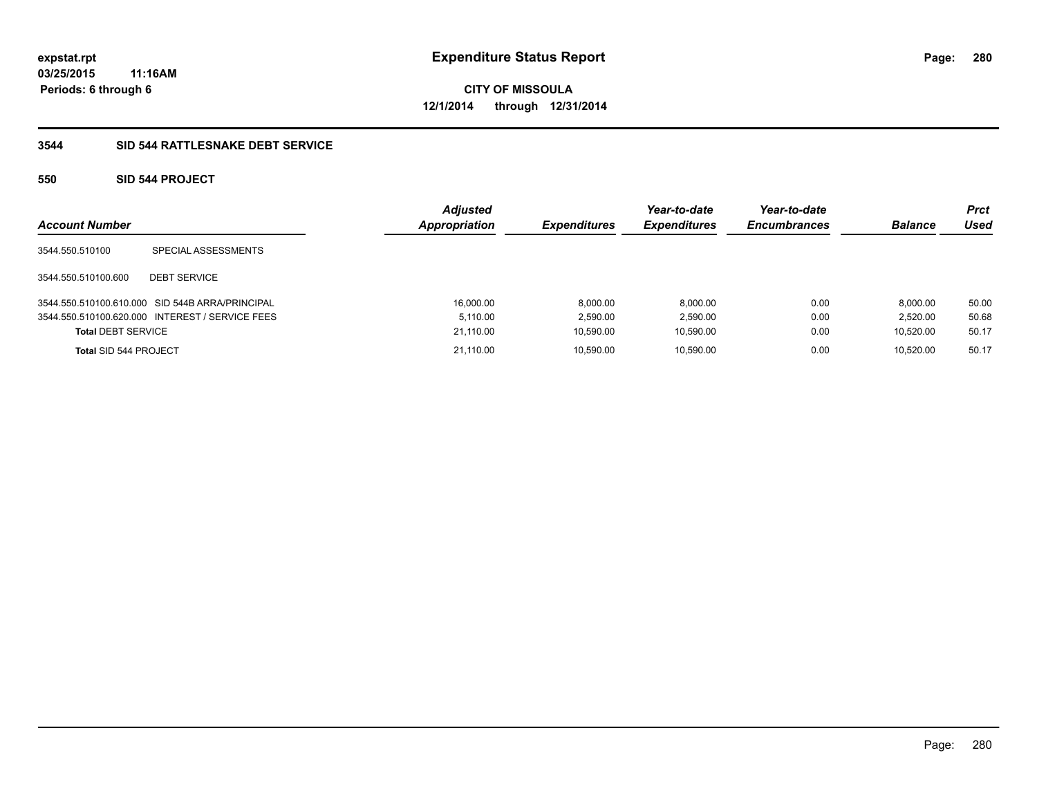### **3544 SID 544 RATTLESNAKE DEBT SERVICE**

### **550 SID 544 PROJECT**

| <b>Account Number</b>     |                                                 | <b>Adjusted</b><br><b>Appropriation</b> | <b>Expenditures</b> | Year-to-date<br><b>Expenditures</b> | Year-to-date<br><b>Encumbrances</b> | <b>Balance</b> | <b>Prct</b><br>Used |
|---------------------------|-------------------------------------------------|-----------------------------------------|---------------------|-------------------------------------|-------------------------------------|----------------|---------------------|
| 3544.550.510100           | SPECIAL ASSESSMENTS                             |                                         |                     |                                     |                                     |                |                     |
| 3544.550.510100.600       | <b>DEBT SERVICE</b>                             |                                         |                     |                                     |                                     |                |                     |
|                           | 3544.550.510100.610.000 SID 544B ARRA/PRINCIPAL | 16.000.00                               | 8.000.00            | 8.000.00                            | 0.00                                | 8.000.00       | 50.00               |
|                           | 3544.550.510100.620.000 INTEREST / SERVICE FEES | 5.110.00                                | 2.590.00            | 2.590.00                            | 0.00                                | 2.520.00       | 50.68               |
| <b>Total DEBT SERVICE</b> |                                                 | 21.110.00                               | 10.590.00           | 10.590.00                           | 0.00                                | 10.520.00      | 50.17               |
| Total SID 544 PROJECT     |                                                 | 21.110.00                               | 10.590.00           | 10.590.00                           | 0.00                                | 10.520.00      | 50.17               |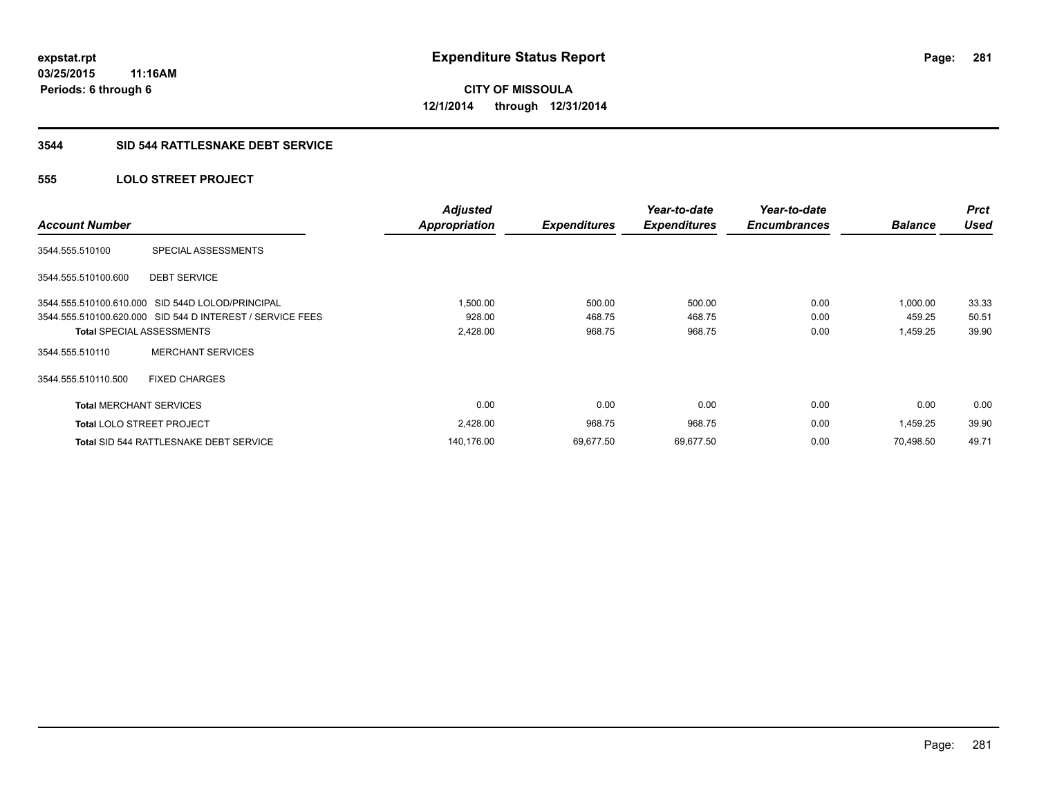### **3544 SID 544 RATTLESNAKE DEBT SERVICE**

### **555 LOLO STREET PROJECT**

|                                |                                                           | <b>Adjusted</b>      |                     | Year-to-date        | Year-to-date        |                | <b>Prct</b> |
|--------------------------------|-----------------------------------------------------------|----------------------|---------------------|---------------------|---------------------|----------------|-------------|
| <b>Account Number</b>          |                                                           | <b>Appropriation</b> | <b>Expenditures</b> | <b>Expenditures</b> | <b>Encumbrances</b> | <b>Balance</b> | <b>Used</b> |
| 3544.555.510100                | SPECIAL ASSESSMENTS                                       |                      |                     |                     |                     |                |             |
| 3544.555.510100.600            | <b>DEBT SERVICE</b>                                       |                      |                     |                     |                     |                |             |
|                                | 3544.555.510100.610.000 SID 544D LOLOD/PRINCIPAL          | 1,500.00             | 500.00              | 500.00              | 0.00                | 1,000.00       | 33.33       |
|                                | 3544.555.510100.620.000 SID 544 D INTEREST / SERVICE FEES | 928.00               | 468.75              | 468.75              | 0.00                | 459.25         | 50.51       |
|                                | <b>Total SPECIAL ASSESSMENTS</b>                          | 2,428.00             | 968.75              | 968.75              | 0.00                | 1,459.25       | 39.90       |
| 3544.555.510110                | <b>MERCHANT SERVICES</b>                                  |                      |                     |                     |                     |                |             |
| 3544.555.510110.500            | <b>FIXED CHARGES</b>                                      |                      |                     |                     |                     |                |             |
| <b>Total MERCHANT SERVICES</b> |                                                           | 0.00                 | 0.00                | 0.00                | 0.00                | 0.00           | 0.00        |
|                                | <b>Total LOLO STREET PROJECT</b>                          | 2,428.00             | 968.75              | 968.75              | 0.00                | 1,459.25       | 39.90       |
|                                | <b>Total SID 544 RATTLESNAKE DEBT SERVICE</b>             | 140,176.00           | 69,677.50           | 69,677.50           | 0.00                | 70,498.50      | 49.71       |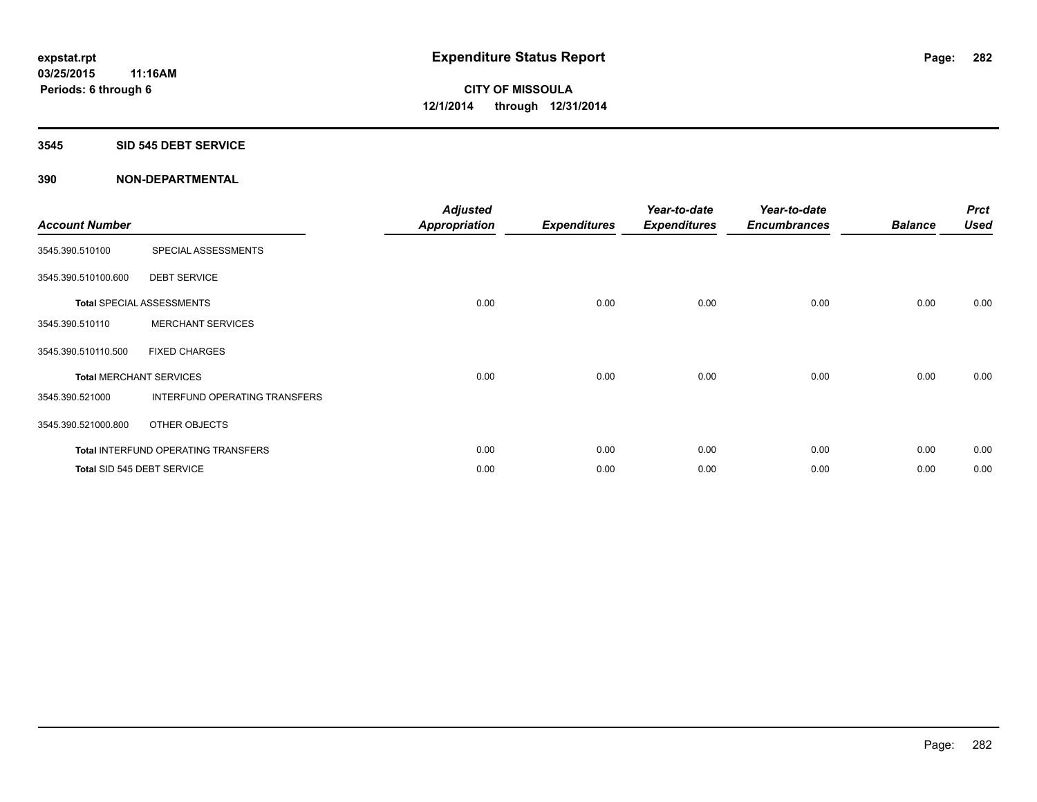#### **3545 SID 545 DEBT SERVICE**

| <b>Account Number</b> |                                     | <b>Adjusted</b><br>Appropriation | <b>Expenditures</b> | Year-to-date<br><b>Expenditures</b> | Year-to-date<br><b>Encumbrances</b> | <b>Balance</b> | <b>Prct</b><br><b>Used</b> |
|-----------------------|-------------------------------------|----------------------------------|---------------------|-------------------------------------|-------------------------------------|----------------|----------------------------|
| 3545.390.510100       | SPECIAL ASSESSMENTS                 |                                  |                     |                                     |                                     |                |                            |
| 3545.390.510100.600   | <b>DEBT SERVICE</b>                 |                                  |                     |                                     |                                     |                |                            |
|                       | <b>Total SPECIAL ASSESSMENTS</b>    | 0.00                             | 0.00                | 0.00                                | 0.00                                | 0.00           | 0.00                       |
| 3545.390.510110       | <b>MERCHANT SERVICES</b>            |                                  |                     |                                     |                                     |                |                            |
| 3545.390.510110.500   | <b>FIXED CHARGES</b>                |                                  |                     |                                     |                                     |                |                            |
|                       | <b>Total MERCHANT SERVICES</b>      | 0.00                             | 0.00                | 0.00                                | 0.00                                | 0.00           | 0.00                       |
| 3545.390.521000       | INTERFUND OPERATING TRANSFERS       |                                  |                     |                                     |                                     |                |                            |
| 3545.390.521000.800   | OTHER OBJECTS                       |                                  |                     |                                     |                                     |                |                            |
|                       | Total INTERFUND OPERATING TRANSFERS | 0.00                             | 0.00                | 0.00                                | 0.00                                | 0.00           | 0.00                       |
|                       | Total SID 545 DEBT SERVICE          | 0.00                             | 0.00                | 0.00                                | 0.00                                | 0.00           | 0.00                       |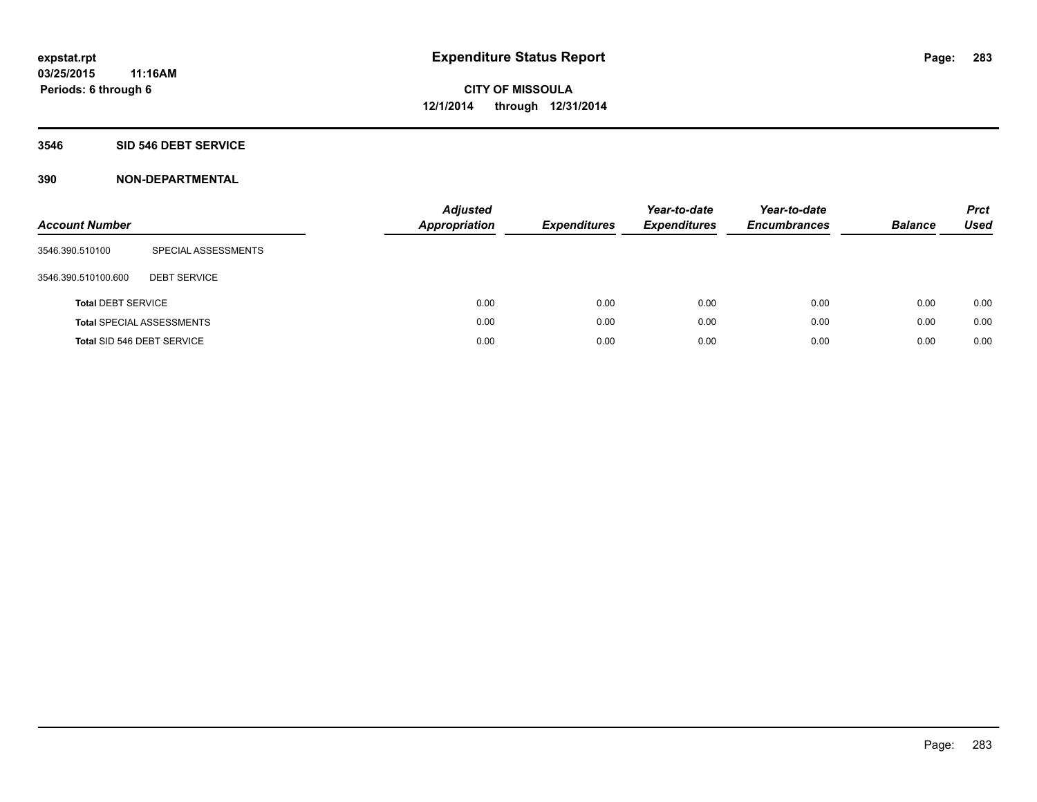### **3546 SID 546 DEBT SERVICE**

| <b>Account Number</b>     |                                  | <b>Adjusted</b><br><b>Appropriation</b> | <b>Expenditures</b> | Year-to-date<br><b>Expenditures</b> | Year-to-date<br><b>Encumbrances</b> | <b>Balance</b> | <b>Prct</b><br>Used |
|---------------------------|----------------------------------|-----------------------------------------|---------------------|-------------------------------------|-------------------------------------|----------------|---------------------|
| 3546.390.510100           | SPECIAL ASSESSMENTS              |                                         |                     |                                     |                                     |                |                     |
| 3546.390.510100.600       | <b>DEBT SERVICE</b>              |                                         |                     |                                     |                                     |                |                     |
| <b>Total DEBT SERVICE</b> |                                  | 0.00                                    | 0.00                | 0.00                                | 0.00                                | 0.00           | 0.00                |
|                           | <b>Total SPECIAL ASSESSMENTS</b> | 0.00                                    | 0.00                | 0.00                                | 0.00                                | 0.00           | 0.00                |
|                           | Total SID 546 DEBT SERVICE       | 0.00                                    | 0.00                | 0.00                                | 0.00                                | 0.00           | 0.00                |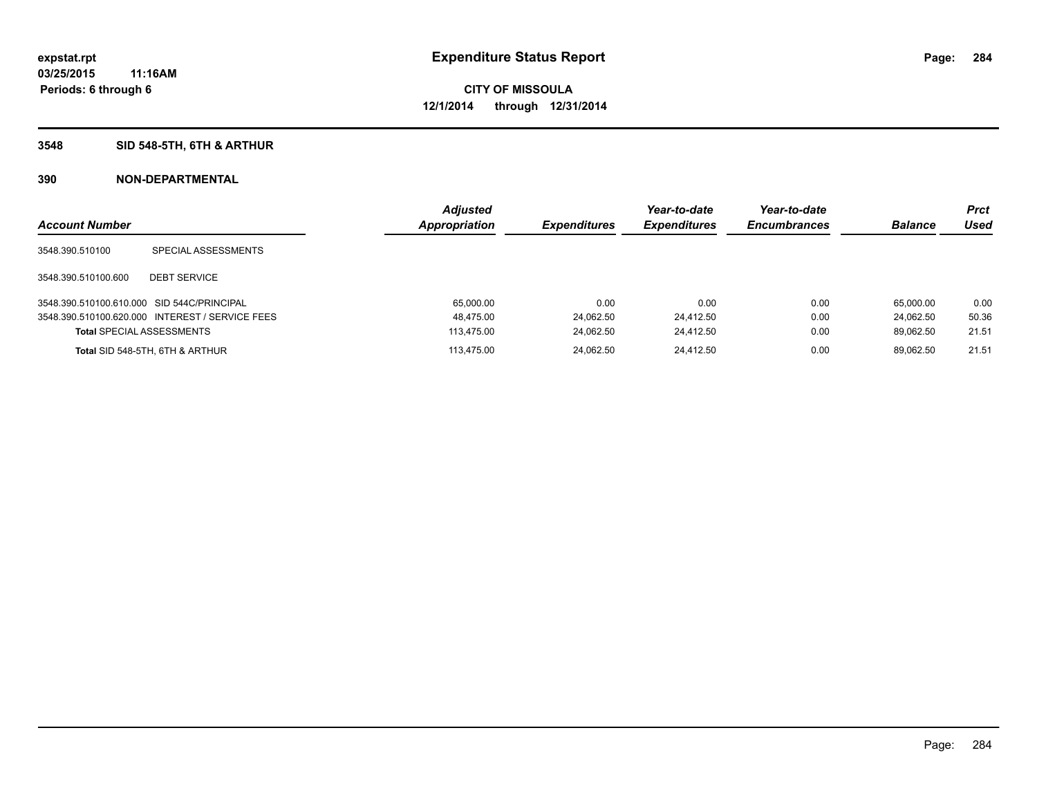### **3548 SID 548-5TH, 6TH & ARTHUR**

| <b>Account Number</b>                      |                                                 | <b>Adjusted</b><br><b>Appropriation</b> | <b>Expenditures</b> | Year-to-date<br><b>Expenditures</b> | Year-to-date<br><b>Encumbrances</b> | <b>Balance</b> | <b>Prct</b><br>Used |
|--------------------------------------------|-------------------------------------------------|-----------------------------------------|---------------------|-------------------------------------|-------------------------------------|----------------|---------------------|
| 3548.390.510100                            | SPECIAL ASSESSMENTS                             |                                         |                     |                                     |                                     |                |                     |
| 3548.390.510100.600                        | <b>DEBT SERVICE</b>                             |                                         |                     |                                     |                                     |                |                     |
| 3548.390.510100.610.000 SID 544C/PRINCIPAL |                                                 | 65,000.00                               | 0.00                | 0.00                                | 0.00                                | 65.000.00      | 0.00                |
|                                            | 3548.390.510100.620.000 INTEREST / SERVICE FEES | 48,475.00                               | 24,062.50           | 24,412.50                           | 0.00                                | 24.062.50      | 50.36               |
| <b>Total SPECIAL ASSESSMENTS</b>           |                                                 | 113.475.00                              | 24,062.50           | 24,412.50                           | 0.00                                | 89.062.50      | 21.51               |
|                                            | Total SID 548-5TH, 6TH & ARTHUR                 | 113.475.00                              | 24.062.50           | 24.412.50                           | 0.00                                | 89.062.50      | 21.51               |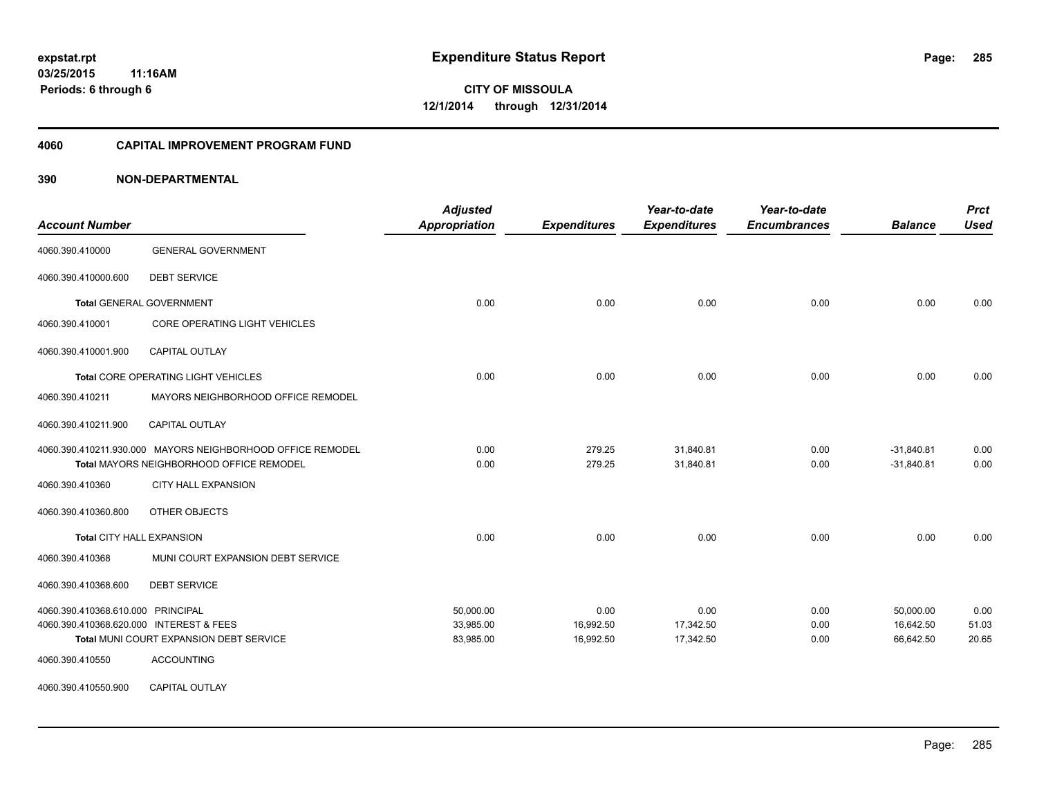#### **4060 CAPITAL IMPROVEMENT PROGRAM FUND**

| <b>Account Number</b>                   |                                                            | <b>Adjusted</b><br>Appropriation | <b>Expenditures</b> | Year-to-date<br><b>Expenditures</b> | Year-to-date<br><b>Encumbrances</b> | <b>Balance</b> | <b>Prct</b><br><b>Used</b> |
|-----------------------------------------|------------------------------------------------------------|----------------------------------|---------------------|-------------------------------------|-------------------------------------|----------------|----------------------------|
| 4060.390.410000                         | <b>GENERAL GOVERNMENT</b>                                  |                                  |                     |                                     |                                     |                |                            |
| 4060.390.410000.600                     | <b>DEBT SERVICE</b>                                        |                                  |                     |                                     |                                     |                |                            |
|                                         | <b>Total GENERAL GOVERNMENT</b>                            | 0.00                             | 0.00                | 0.00                                | 0.00                                | 0.00           | 0.00                       |
| 4060.390.410001                         | CORE OPERATING LIGHT VEHICLES                              |                                  |                     |                                     |                                     |                |                            |
| 4060.390.410001.900                     | CAPITAL OUTLAY                                             |                                  |                     |                                     |                                     |                |                            |
|                                         | Total CORE OPERATING LIGHT VEHICLES                        | 0.00                             | 0.00                | 0.00                                | 0.00                                | 0.00           | 0.00                       |
| 4060.390.410211                         | MAYORS NEIGHBORHOOD OFFICE REMODEL                         |                                  |                     |                                     |                                     |                |                            |
| 4060.390.410211.900                     | <b>CAPITAL OUTLAY</b>                                      |                                  |                     |                                     |                                     |                |                            |
|                                         | 4060.390.410211.930.000 MAYORS NEIGHBORHOOD OFFICE REMODEL | 0.00                             | 279.25              | 31,840.81                           | 0.00                                | $-31,840.81$   | 0.00                       |
|                                         | <b>Total MAYORS NEIGHBORHOOD OFFICE REMODEL</b>            | 0.00                             | 279.25              | 31,840.81                           | 0.00                                | $-31,840.81$   | 0.00                       |
| 4060.390.410360                         | CITY HALL EXPANSION                                        |                                  |                     |                                     |                                     |                |                            |
| 4060.390.410360.800                     | OTHER OBJECTS                                              |                                  |                     |                                     |                                     |                |                            |
|                                         | <b>Total CITY HALL EXPANSION</b>                           | 0.00                             | 0.00                | 0.00                                | 0.00                                | 0.00           | 0.00                       |
| 4060.390.410368                         | MUNI COURT EXPANSION DEBT SERVICE                          |                                  |                     |                                     |                                     |                |                            |
| 4060.390.410368.600                     | <b>DEBT SERVICE</b>                                        |                                  |                     |                                     |                                     |                |                            |
| 4060.390.410368.610.000 PRINCIPAL       |                                                            | 50,000.00                        | 0.00                | 0.00                                | 0.00                                | 50,000.00      | 0.00                       |
| 4060.390.410368.620.000 INTEREST & FEES |                                                            | 33,985.00                        | 16,992.50           | 17,342.50                           | 0.00                                | 16,642.50      | 51.03                      |
|                                         | Total MUNI COURT EXPANSION DEBT SERVICE                    | 83,985.00                        | 16,992.50           | 17,342.50                           | 0.00                                | 66,642.50      | 20.65                      |
| 4060.390.410550                         | <b>ACCOUNTING</b>                                          |                                  |                     |                                     |                                     |                |                            |
| 4060.390.410550.900                     | <b>CAPITAL OUTLAY</b>                                      |                                  |                     |                                     |                                     |                |                            |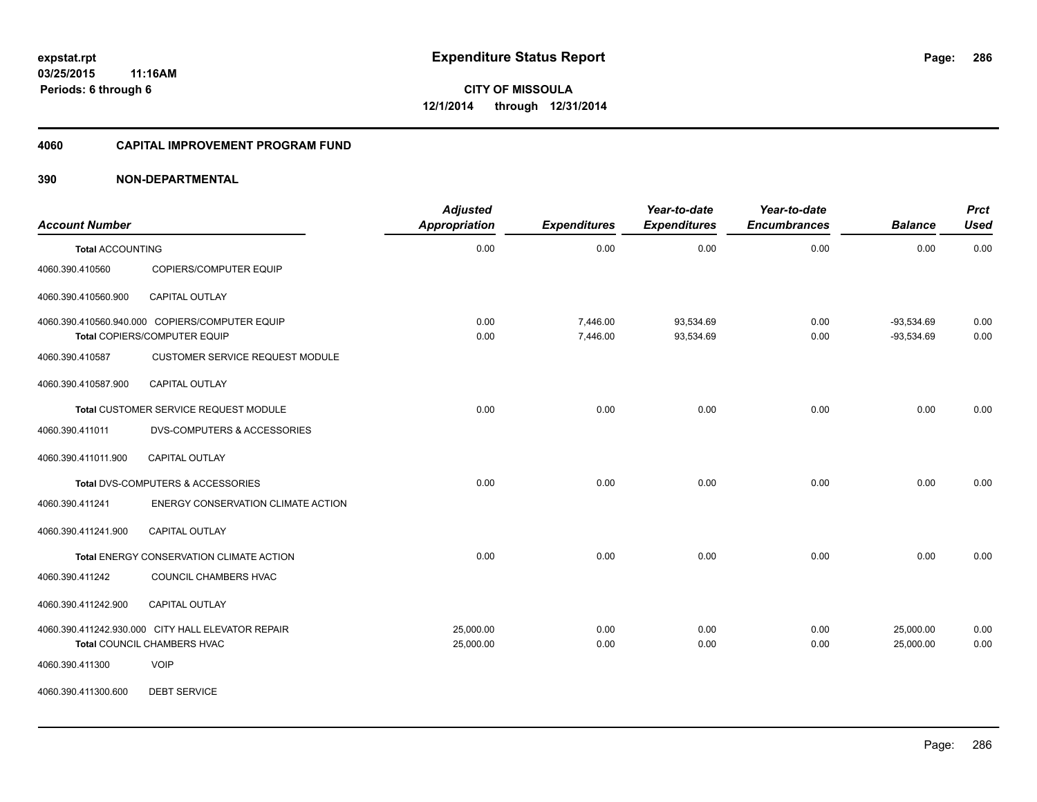### **4060 CAPITAL IMPROVEMENT PROGRAM FUND**

### **390 NON-DEPARTMENTAL**

| <b>Account Number</b>   |                                                                                  | <b>Adjusted</b><br><b>Appropriation</b> | <b>Expenditures</b>  | Year-to-date<br><b>Expenditures</b> | Year-to-date<br><b>Encumbrances</b> | <b>Balance</b>               | <b>Prct</b><br><b>Used</b> |
|-------------------------|----------------------------------------------------------------------------------|-----------------------------------------|----------------------|-------------------------------------|-------------------------------------|------------------------------|----------------------------|
| <b>Total ACCOUNTING</b> |                                                                                  | 0.00                                    | 0.00                 | 0.00                                | 0.00                                | 0.00                         | 0.00                       |
| 4060.390.410560         | COPIERS/COMPUTER EQUIP                                                           |                                         |                      |                                     |                                     |                              |                            |
| 4060.390.410560.900     | <b>CAPITAL OUTLAY</b>                                                            |                                         |                      |                                     |                                     |                              |                            |
|                         | 4060.390.410560.940.000 COPIERS/COMPUTER EQUIP<br>Total COPIERS/COMPUTER EQUIP   | 0.00<br>0.00                            | 7,446.00<br>7,446.00 | 93,534.69<br>93,534.69              | 0.00<br>0.00                        | $-93,534.69$<br>$-93,534.69$ | 0.00<br>0.00               |
| 4060.390.410587         | <b>CUSTOMER SERVICE REQUEST MODULE</b>                                           |                                         |                      |                                     |                                     |                              |                            |
| 4060.390.410587.900     | CAPITAL OUTLAY                                                                   |                                         |                      |                                     |                                     |                              |                            |
|                         | Total CUSTOMER SERVICE REQUEST MODULE                                            | 0.00                                    | 0.00                 | 0.00                                | 0.00                                | 0.00                         | 0.00                       |
| 4060.390.411011         | <b>DVS-COMPUTERS &amp; ACCESSORIES</b>                                           |                                         |                      |                                     |                                     |                              |                            |
| 4060.390.411011.900     | CAPITAL OUTLAY                                                                   |                                         |                      |                                     |                                     |                              |                            |
|                         | Total DVS-COMPUTERS & ACCESSORIES                                                | 0.00                                    | 0.00                 | 0.00                                | 0.00                                | 0.00                         | 0.00                       |
| 4060.390.411241         | ENERGY CONSERVATION CLIMATE ACTION                                               |                                         |                      |                                     |                                     |                              |                            |
| 4060.390.411241.900     | <b>CAPITAL OUTLAY</b>                                                            |                                         |                      |                                     |                                     |                              |                            |
|                         | Total ENERGY CONSERVATION CLIMATE ACTION                                         | 0.00                                    | 0.00                 | 0.00                                | 0.00                                | 0.00                         | 0.00                       |
| 4060.390.411242         | COUNCIL CHAMBERS HVAC                                                            |                                         |                      |                                     |                                     |                              |                            |
| 4060.390.411242.900     | <b>CAPITAL OUTLAY</b>                                                            |                                         |                      |                                     |                                     |                              |                            |
|                         | 4060.390.411242.930.000 CITY HALL ELEVATOR REPAIR<br>Total COUNCIL CHAMBERS HVAC | 25,000.00<br>25,000.00                  | 0.00<br>0.00         | 0.00<br>0.00                        | 0.00<br>0.00                        | 25,000.00<br>25,000.00       | 0.00<br>0.00               |
| 4060.390.411300         | <b>VOIP</b>                                                                      |                                         |                      |                                     |                                     |                              |                            |

4060.390.411300.600 DEBT SERVICE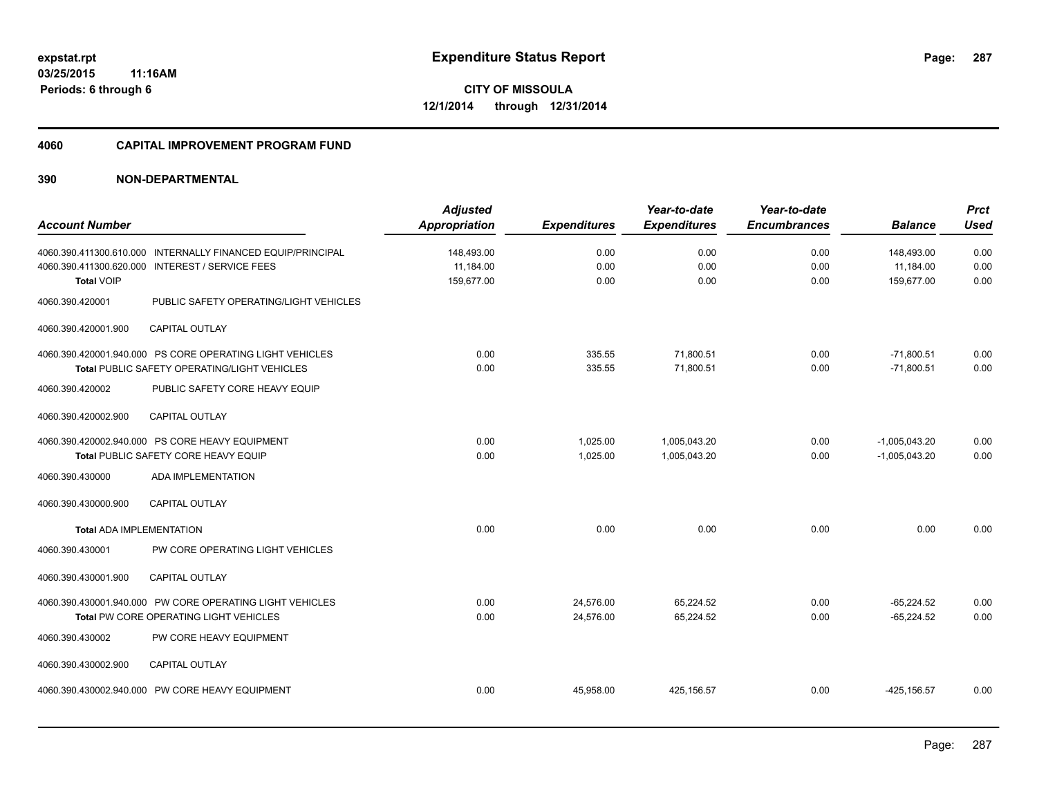#### **4060 CAPITAL IMPROVEMENT PROGRAM FUND**

|                                 |                                                             | <b>Adjusted</b>      |                     | Year-to-date        | Year-to-date        |                 | <b>Prct</b> |
|---------------------------------|-------------------------------------------------------------|----------------------|---------------------|---------------------|---------------------|-----------------|-------------|
| <b>Account Number</b>           |                                                             | <b>Appropriation</b> | <b>Expenditures</b> | <b>Expenditures</b> | <b>Encumbrances</b> | <b>Balance</b>  | <b>Used</b> |
|                                 | 4060.390.411300.610.000 INTERNALLY FINANCED EQUIP/PRINCIPAL | 148,493.00           | 0.00                | 0.00                | 0.00                | 148,493.00      | 0.00        |
| 4060.390.411300.620.000         | <b>INTEREST / SERVICE FEES</b>                              | 11,184.00            | 0.00                | 0.00                | 0.00                | 11,184.00       | 0.00        |
| <b>Total VOIP</b>               |                                                             | 159,677.00           | 0.00                | 0.00                | 0.00                | 159,677.00      | 0.00        |
| 4060.390.420001                 | PUBLIC SAFETY OPERATING/LIGHT VEHICLES                      |                      |                     |                     |                     |                 |             |
| 4060.390.420001.900             | <b>CAPITAL OUTLAY</b>                                       |                      |                     |                     |                     |                 |             |
|                                 | 4060.390.420001.940.000 PS CORE OPERATING LIGHT VEHICLES    | 0.00                 | 335.55              | 71,800.51           | 0.00                | $-71,800.51$    | 0.00        |
|                                 | Total PUBLIC SAFETY OPERATING/LIGHT VEHICLES                | 0.00                 | 335.55              | 71.800.51           | 0.00                | $-71.800.51$    | 0.00        |
| 4060.390.420002                 | PUBLIC SAFETY CORE HEAVY EQUIP                              |                      |                     |                     |                     |                 |             |
| 4060.390.420002.900             | <b>CAPITAL OUTLAY</b>                                       |                      |                     |                     |                     |                 |             |
|                                 | 4060.390.420002.940.000 PS CORE HEAVY EQUIPMENT             | 0.00                 | 1,025.00            | 1,005,043.20        | 0.00                | $-1,005,043.20$ | 0.00        |
|                                 | Total PUBLIC SAFETY CORE HEAVY EQUIP                        | 0.00                 | 1,025.00            | 1,005,043.20        | 0.00                | $-1,005,043.20$ | 0.00        |
| 4060.390.430000                 | <b>ADA IMPLEMENTATION</b>                                   |                      |                     |                     |                     |                 |             |
| 4060.390.430000.900             | <b>CAPITAL OUTLAY</b>                                       |                      |                     |                     |                     |                 |             |
| <b>Total ADA IMPLEMENTATION</b> |                                                             | 0.00                 | 0.00                | 0.00                | 0.00                | 0.00            | 0.00        |
| 4060.390.430001                 | PW CORE OPERATING LIGHT VEHICLES                            |                      |                     |                     |                     |                 |             |
| 4060.390.430001.900             | CAPITAL OUTLAY                                              |                      |                     |                     |                     |                 |             |
|                                 | 4060.390.430001.940.000 PW CORE OPERATING LIGHT VEHICLES    | 0.00                 | 24,576.00           | 65,224.52           | 0.00                | $-65,224.52$    | 0.00        |
|                                 | Total PW CORE OPERATING LIGHT VEHICLES                      | 0.00                 | 24,576.00           | 65,224.52           | 0.00                | $-65,224.52$    | 0.00        |
| 4060.390.430002                 | PW CORE HEAVY EQUIPMENT                                     |                      |                     |                     |                     |                 |             |
| 4060.390.430002.900             | <b>CAPITAL OUTLAY</b>                                       |                      |                     |                     |                     |                 |             |
|                                 | 4060.390.430002.940.000 PW CORE HEAVY EQUIPMENT             | 0.00                 | 45,958.00           | 425,156.57          | 0.00                | $-425, 156.57$  | 0.00        |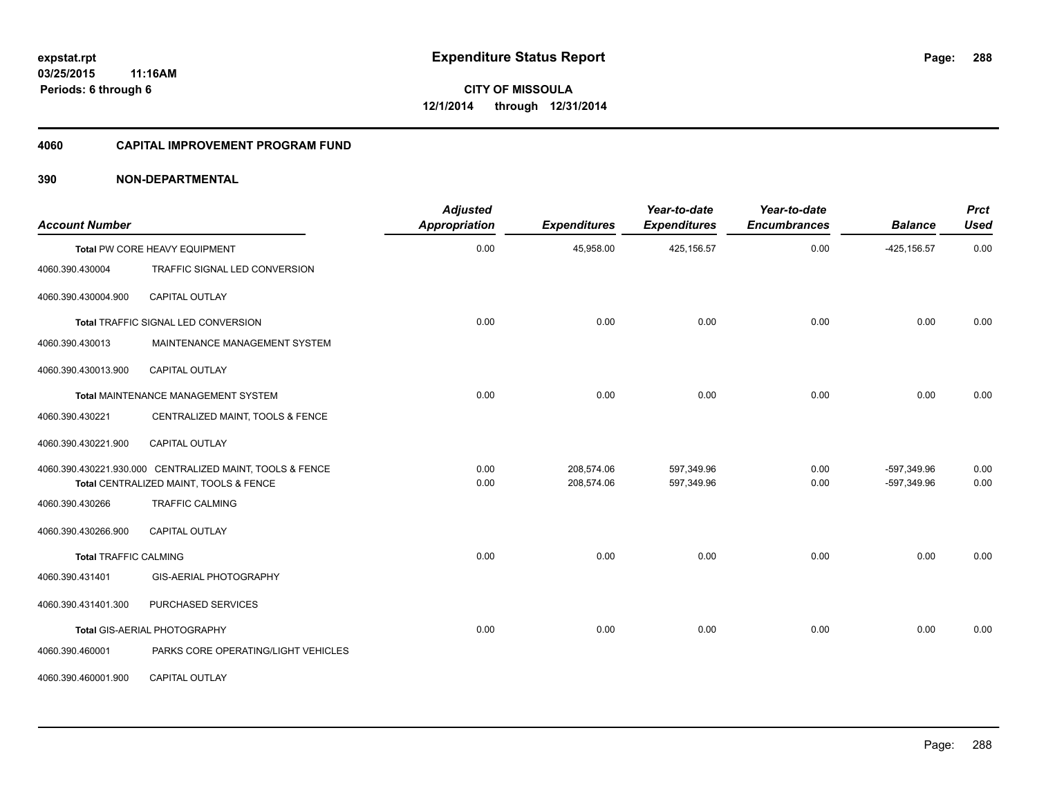#### **4060 CAPITAL IMPROVEMENT PROGRAM FUND**

| <b>Account Number</b>        |                                                                                                    | <b>Adjusted</b><br>Appropriation | <b>Expenditures</b>      | Year-to-date<br><b>Expenditures</b> | Year-to-date<br><b>Encumbrances</b> | <b>Balance</b>             | <b>Prct</b><br><b>Used</b> |
|------------------------------|----------------------------------------------------------------------------------------------------|----------------------------------|--------------------------|-------------------------------------|-------------------------------------|----------------------------|----------------------------|
|                              | Total PW CORE HEAVY EQUIPMENT                                                                      | 0.00                             | 45,958.00                | 425,156.57                          | 0.00                                | $-425, 156.57$             | 0.00                       |
| 4060.390.430004              | TRAFFIC SIGNAL LED CONVERSION                                                                      |                                  |                          |                                     |                                     |                            |                            |
| 4060.390.430004.900          | <b>CAPITAL OUTLAY</b>                                                                              |                                  |                          |                                     |                                     |                            |                            |
|                              | <b>Total TRAFFIC SIGNAL LED CONVERSION</b>                                                         | 0.00                             | 0.00                     | 0.00                                | 0.00                                | 0.00                       | 0.00                       |
| 4060.390.430013              | MAINTENANCE MANAGEMENT SYSTEM                                                                      |                                  |                          |                                     |                                     |                            |                            |
| 4060.390.430013.900          | <b>CAPITAL OUTLAY</b>                                                                              |                                  |                          |                                     |                                     |                            |                            |
|                              | Total MAINTENANCE MANAGEMENT SYSTEM                                                                | 0.00                             | 0.00                     | 0.00                                | 0.00                                | 0.00                       | 0.00                       |
| 4060.390.430221              | CENTRALIZED MAINT, TOOLS & FENCE                                                                   |                                  |                          |                                     |                                     |                            |                            |
| 4060.390.430221.900          | <b>CAPITAL OUTLAY</b>                                                                              |                                  |                          |                                     |                                     |                            |                            |
|                              | 4060.390.430221.930.000 CENTRALIZED MAINT, TOOLS & FENCE<br>Total CENTRALIZED MAINT, TOOLS & FENCE | 0.00<br>0.00                     | 208,574.06<br>208,574.06 | 597,349.96<br>597,349.96            | 0.00<br>0.00                        | -597,349.96<br>-597,349.96 | 0.00<br>0.00               |
| 4060.390.430266              | <b>TRAFFIC CALMING</b>                                                                             |                                  |                          |                                     |                                     |                            |                            |
| 4060.390.430266.900          | CAPITAL OUTLAY                                                                                     |                                  |                          |                                     |                                     |                            |                            |
| <b>Total TRAFFIC CALMING</b> |                                                                                                    | 0.00                             | 0.00                     | 0.00                                | 0.00                                | 0.00                       | 0.00                       |
| 4060.390.431401              | <b>GIS-AERIAL PHOTOGRAPHY</b>                                                                      |                                  |                          |                                     |                                     |                            |                            |
| 4060.390.431401.300          | PURCHASED SERVICES                                                                                 |                                  |                          |                                     |                                     |                            |                            |
|                              | Total GIS-AERIAL PHOTOGRAPHY                                                                       | 0.00                             | 0.00                     | 0.00                                | 0.00                                | 0.00                       | 0.00                       |
| 4060.390.460001              | PARKS CORE OPERATING/LIGHT VEHICLES                                                                |                                  |                          |                                     |                                     |                            |                            |
| 4060.390.460001.900          | <b>CAPITAL OUTLAY</b>                                                                              |                                  |                          |                                     |                                     |                            |                            |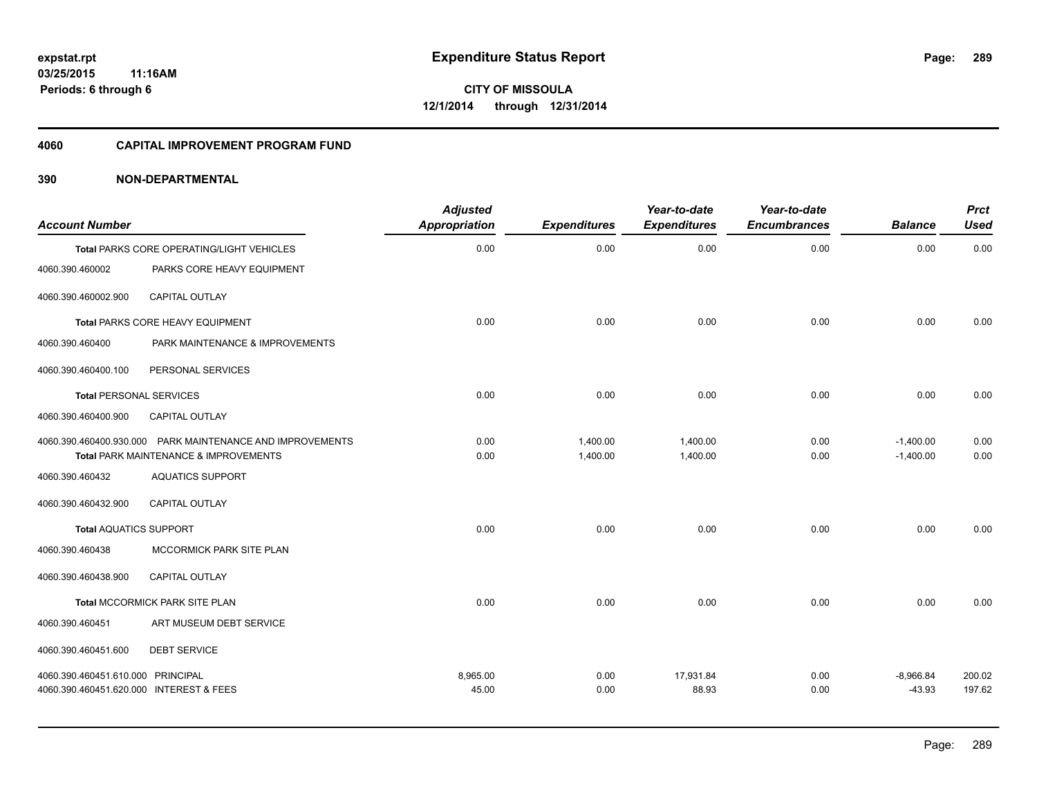#### **4060 CAPITAL IMPROVEMENT PROGRAM FUND**

| <b>Account Number</b>                   |                                                                                                               | <b>Adjusted</b><br><b>Appropriation</b> | <b>Expenditures</b>  | Year-to-date<br><b>Expenditures</b> | Year-to-date<br><b>Encumbrances</b> | <b>Balance</b>             | <b>Prct</b><br><b>Used</b> |
|-----------------------------------------|---------------------------------------------------------------------------------------------------------------|-----------------------------------------|----------------------|-------------------------------------|-------------------------------------|----------------------------|----------------------------|
|                                         | Total PARKS CORE OPERATING/LIGHT VEHICLES                                                                     | 0.00                                    | 0.00                 | 0.00                                | 0.00                                | 0.00                       | 0.00                       |
| 4060.390.460002                         | PARKS CORE HEAVY EQUIPMENT                                                                                    |                                         |                      |                                     |                                     |                            |                            |
| 4060.390.460002.900                     | <b>CAPITAL OUTLAY</b>                                                                                         |                                         |                      |                                     |                                     |                            |                            |
|                                         | Total PARKS CORE HEAVY EQUIPMENT                                                                              | 0.00                                    | 0.00                 | 0.00                                | 0.00                                | 0.00                       | 0.00                       |
| 4060.390.460400                         | PARK MAINTENANCE & IMPROVEMENTS                                                                               |                                         |                      |                                     |                                     |                            |                            |
| 4060.390.460400.100                     | PERSONAL SERVICES                                                                                             |                                         |                      |                                     |                                     |                            |                            |
| <b>Total PERSONAL SERVICES</b>          |                                                                                                               | 0.00                                    | 0.00                 | 0.00                                | 0.00                                | 0.00                       | 0.00                       |
| 4060.390.460400.900                     | CAPITAL OUTLAY                                                                                                |                                         |                      |                                     |                                     |                            |                            |
|                                         | 4060.390.460400.930.000 PARK MAINTENANCE AND IMPROVEMENTS<br><b>Total PARK MAINTENANCE &amp; IMPROVEMENTS</b> | 0.00<br>0.00                            | 1,400.00<br>1,400.00 | 1,400.00<br>1,400.00                | 0.00<br>0.00                        | $-1,400.00$<br>$-1,400.00$ | 0.00<br>0.00               |
| 4060.390.460432                         | <b>AQUATICS SUPPORT</b>                                                                                       |                                         |                      |                                     |                                     |                            |                            |
| 4060.390.460432.900                     | <b>CAPITAL OUTLAY</b>                                                                                         |                                         |                      |                                     |                                     |                            |                            |
| <b>Total AQUATICS SUPPORT</b>           |                                                                                                               | 0.00                                    | 0.00                 | 0.00                                | 0.00                                | 0.00                       | 0.00                       |
| 4060.390.460438                         | MCCORMICK PARK SITE PLAN                                                                                      |                                         |                      |                                     |                                     |                            |                            |
| 4060.390.460438.900                     | CAPITAL OUTLAY                                                                                                |                                         |                      |                                     |                                     |                            |                            |
|                                         | Total MCCORMICK PARK SITE PLAN                                                                                | 0.00                                    | 0.00                 | 0.00                                | 0.00                                | 0.00                       | 0.00                       |
| 4060.390.460451                         | ART MUSEUM DEBT SERVICE                                                                                       |                                         |                      |                                     |                                     |                            |                            |
| 4060.390.460451.600                     | <b>DEBT SERVICE</b>                                                                                           |                                         |                      |                                     |                                     |                            |                            |
| 4060.390.460451.610.000 PRINCIPAL       |                                                                                                               | 8,965.00                                | 0.00                 | 17,931.84                           | 0.00                                | $-8,966.84$                | 200.02                     |
| 4060.390.460451.620.000 INTEREST & FEES |                                                                                                               | 45.00                                   | 0.00                 | 88.93                               | 0.00                                | $-43.93$                   | 197.62                     |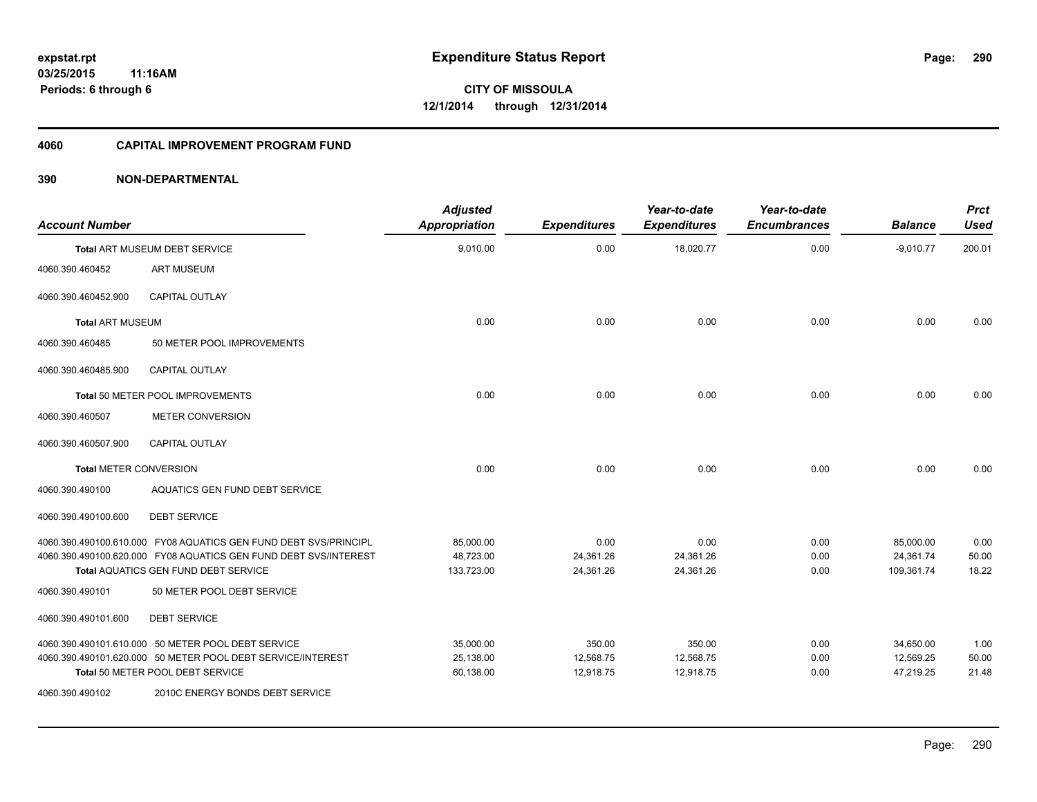#### **4060 CAPITAL IMPROVEMENT PROGRAM FUND**

| <b>Account Number</b>         |                                                                    | <b>Adjusted</b><br><b>Appropriation</b> | <b>Expenditures</b> | Year-to-date<br><b>Expenditures</b> | Year-to-date<br><b>Encumbrances</b> | <b>Balance</b> | <b>Prct</b><br><b>Used</b> |
|-------------------------------|--------------------------------------------------------------------|-----------------------------------------|---------------------|-------------------------------------|-------------------------------------|----------------|----------------------------|
|                               | Total ART MUSEUM DEBT SERVICE                                      | 9,010.00                                | 0.00                | 18,020.77                           | 0.00                                | $-9,010.77$    | 200.01                     |
| 4060.390.460452               | <b>ART MUSEUM</b>                                                  |                                         |                     |                                     |                                     |                |                            |
| 4060.390.460452.900           | <b>CAPITAL OUTLAY</b>                                              |                                         |                     |                                     |                                     |                |                            |
| <b>Total ART MUSEUM</b>       |                                                                    | 0.00                                    | 0.00                | 0.00                                | 0.00                                | 0.00           | 0.00                       |
| 4060.390.460485               | 50 METER POOL IMPROVEMENTS                                         |                                         |                     |                                     |                                     |                |                            |
| 4060.390.460485.900           | <b>CAPITAL OUTLAY</b>                                              |                                         |                     |                                     |                                     |                |                            |
|                               | Total 50 METER POOL IMPROVEMENTS                                   | 0.00                                    | 0.00                | 0.00                                | 0.00                                | 0.00           | 0.00                       |
| 4060.390.460507               | <b>METER CONVERSION</b>                                            |                                         |                     |                                     |                                     |                |                            |
| 4060.390.460507.900           | <b>CAPITAL OUTLAY</b>                                              |                                         |                     |                                     |                                     |                |                            |
| <b>Total METER CONVERSION</b> |                                                                    | 0.00                                    | 0.00                | 0.00                                | 0.00                                | 0.00           | 0.00                       |
| 4060.390.490100               | AQUATICS GEN FUND DEBT SERVICE                                     |                                         |                     |                                     |                                     |                |                            |
| 4060.390.490100.600           | <b>DEBT SERVICE</b>                                                |                                         |                     |                                     |                                     |                |                            |
|                               | 4060.390.490100.610.000 FY08 AQUATICS GEN FUND DEBT SVS/PRINCIPL   | 85,000.00                               | 0.00                | 0.00                                | 0.00                                | 85,000.00      | 0.00                       |
|                               | 4060.390.490100.620.000 FY08 AQUATICS GEN FUND DEBT SVS/INTEREST   | 48,723.00                               | 24,361.26           | 24,361.26                           | 0.00                                | 24,361.74      | 50.00                      |
| 4060.390.490101               | Total AQUATICS GEN FUND DEBT SERVICE<br>50 METER POOL DEBT SERVICE | 133,723.00                              | 24,361.26           | 24,361.26                           | 0.00                                | 109,361.74     | 18.22                      |
|                               |                                                                    |                                         |                     |                                     |                                     |                |                            |
| 4060.390.490101.600           | <b>DEBT SERVICE</b>                                                |                                         |                     |                                     |                                     |                |                            |
|                               | 4060.390.490101.610.000 50 METER POOL DEBT SERVICE                 | 35,000.00                               | 350.00              | 350.00                              | 0.00                                | 34,650.00      | 1.00                       |
|                               | 4060.390.490101.620.000 50 METER POOL DEBT SERVICE/INTEREST        | 25,138.00                               | 12,568.75           | 12,568.75                           | 0.00                                | 12,569.25      | 50.00                      |
|                               | Total 50 METER POOL DEBT SERVICE                                   | 60,138.00                               | 12,918.75           | 12,918.75                           | 0.00                                | 47.219.25      | 21.48                      |
| 4060.390.490102               | 2010C ENERGY BONDS DEBT SERVICE                                    |                                         |                     |                                     |                                     |                |                            |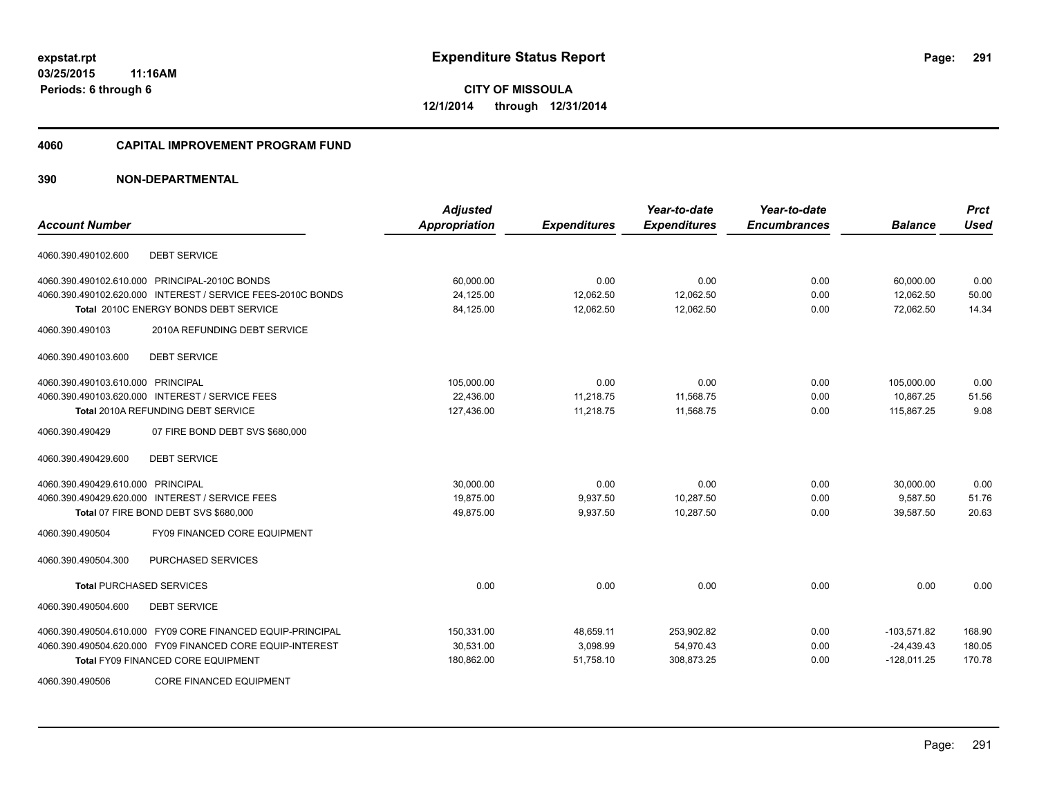#### **4060 CAPITAL IMPROVEMENT PROGRAM FUND**

| <b>Account Number</b>                                       | <b>Adjusted</b><br>Appropriation | <b>Expenditures</b> | Year-to-date<br><b>Expenditures</b> | Year-to-date<br><b>Encumbrances</b> | <b>Balance</b> | <b>Prct</b><br><b>Used</b> |
|-------------------------------------------------------------|----------------------------------|---------------------|-------------------------------------|-------------------------------------|----------------|----------------------------|
| <b>DEBT SERVICE</b><br>4060.390.490102.600                  |                                  |                     |                                     |                                     |                |                            |
| 4060.390.490102.610.000 PRINCIPAL-2010C BONDS               | 60,000.00                        | 0.00                | 0.00                                | 0.00                                | 60,000.00      | 0.00                       |
| 4060.390.490102.620.000 INTEREST / SERVICE FEES-2010C BONDS | 24,125.00                        | 12,062.50           | 12,062.50                           | 0.00                                | 12,062.50      | 50.00                      |
| Total 2010C ENERGY BONDS DEBT SERVICE                       | 84,125.00                        | 12,062.50           | 12,062.50                           | 0.00                                | 72,062.50      | 14.34                      |
| 2010A REFUNDING DEBT SERVICE<br>4060.390.490103             |                                  |                     |                                     |                                     |                |                            |
| <b>DEBT SERVICE</b><br>4060.390.490103.600                  |                                  |                     |                                     |                                     |                |                            |
| 4060.390.490103.610.000 PRINCIPAL                           | 105,000.00                       | 0.00                | 0.00                                | 0.00                                | 105,000.00     | 0.00                       |
| 4060.390.490103.620.000 INTEREST / SERVICE FEES             | 22,436.00                        | 11,218.75           | 11,568.75                           | 0.00                                | 10,867.25      | 51.56                      |
| <b>Total 2010A REFUNDING DEBT SERVICE</b>                   | 127,436.00                       | 11,218.75           | 11,568.75                           | 0.00                                | 115,867.25     | 9.08                       |
| 4060.390.490429<br>07 FIRE BOND DEBT SVS \$680,000          |                                  |                     |                                     |                                     |                |                            |
| <b>DEBT SERVICE</b><br>4060.390.490429.600                  |                                  |                     |                                     |                                     |                |                            |
| 4060.390.490429.610.000 PRINCIPAL                           | 30,000.00                        | 0.00                | 0.00                                | 0.00                                | 30,000.00      | 0.00                       |
| 4060.390.490429.620.000 INTEREST / SERVICE FEES             | 19.875.00                        | 9,937.50            | 10.287.50                           | 0.00                                | 9,587.50       | 51.76                      |
| Total 07 FIRE BOND DEBT SVS \$680,000                       | 49,875.00                        | 9,937.50            | 10,287.50                           | 0.00                                | 39,587.50      | 20.63                      |
| FY09 FINANCED CORE EQUIPMENT<br>4060.390.490504             |                                  |                     |                                     |                                     |                |                            |
| PURCHASED SERVICES<br>4060.390.490504.300                   |                                  |                     |                                     |                                     |                |                            |
| <b>Total PURCHASED SERVICES</b>                             | 0.00                             | 0.00                | 0.00                                | 0.00                                | 0.00           | 0.00                       |
| <b>DEBT SERVICE</b><br>4060.390.490504.600                  |                                  |                     |                                     |                                     |                |                            |
| 4060.390.490504.610.000 FY09 CORE FINANCED EQUIP-PRINCIPAL  | 150,331.00                       | 48,659.11           | 253,902.82                          | 0.00                                | $-103,571.82$  | 168.90                     |
| 4060.390.490504.620.000 FY09 FINANCED CORE EQUIP-INTEREST   | 30,531.00                        | 3,098.99            | 54,970.43                           | 0.00                                | $-24,439.43$   | 180.05                     |
| <b>Total FY09 FINANCED CORE EQUIPMENT</b>                   | 180,862.00                       | 51,758.10           | 308,873.25                          | 0.00                                | $-128,011.25$  | 170.78                     |
| 4060.390.490506<br><b>CORE FINANCED EQUIPMENT</b>           |                                  |                     |                                     |                                     |                |                            |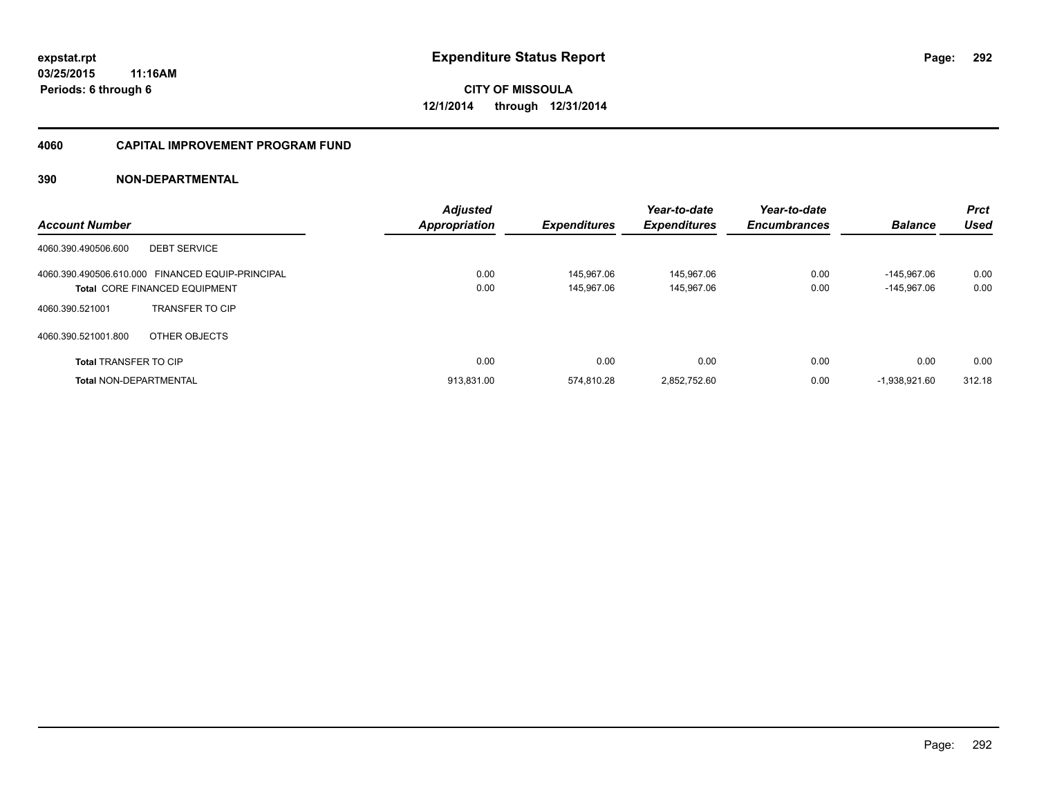#### **4060 CAPITAL IMPROVEMENT PROGRAM FUND**

| <b>Account Number</b>                            | <b>Adjusted</b><br><b>Appropriation</b> | <b>Expenditures</b> | Year-to-date<br><b>Expenditures</b> | Year-to-date<br><b>Encumbrances</b> | <b>Balance</b>  | <b>Prct</b><br><b>Used</b> |
|--------------------------------------------------|-----------------------------------------|---------------------|-------------------------------------|-------------------------------------|-----------------|----------------------------|
| <b>DEBT SERVICE</b><br>4060.390.490506.600       |                                         |                     |                                     |                                     |                 |                            |
| 4060.390.490506.610.000 FINANCED EQUIP-PRINCIPAL | 0.00                                    | 145.967.06          | 145.967.06                          | 0.00                                | $-145.967.06$   | 0.00                       |
| <b>Total CORE FINANCED EQUIPMENT</b>             | 0.00                                    | 145.967.06          | 145.967.06                          | 0.00                                | $-145.967.06$   | 0.00                       |
| <b>TRANSFER TO CIP</b><br>4060.390.521001        |                                         |                     |                                     |                                     |                 |                            |
| 4060.390.521001.800<br>OTHER OBJECTS             |                                         |                     |                                     |                                     |                 |                            |
| <b>Total TRANSFER TO CIP</b>                     | 0.00                                    | 0.00                | 0.00                                | 0.00                                | 0.00            | 0.00                       |
| <b>Total NON-DEPARTMENTAL</b>                    | 913.831.00                              | 574.810.28          | 2.852.752.60                        | 0.00                                | $-1.938.921.60$ | 312.18                     |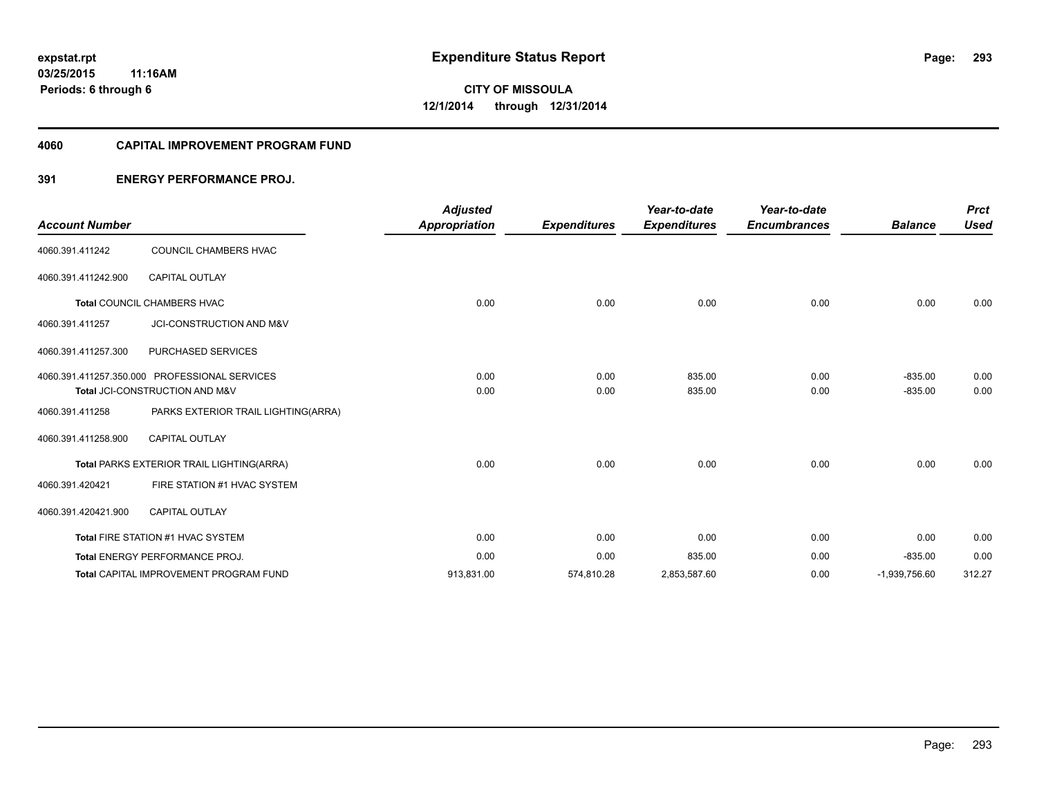#### **4060 CAPITAL IMPROVEMENT PROGRAM FUND**

#### **391 ENERGY PERFORMANCE PROJ.**

| <b>Account Number</b> |                                               | <b>Adjusted</b><br><b>Appropriation</b> | <b>Expenditures</b> | Year-to-date<br><b>Expenditures</b> | Year-to-date<br><b>Encumbrances</b> | <b>Balance</b>  | <b>Prct</b><br><b>Used</b> |
|-----------------------|-----------------------------------------------|-----------------------------------------|---------------------|-------------------------------------|-------------------------------------|-----------------|----------------------------|
|                       |                                               |                                         |                     |                                     |                                     |                 |                            |
| 4060.391.411242       | COUNCIL CHAMBERS HVAC                         |                                         |                     |                                     |                                     |                 |                            |
| 4060.391.411242.900   | <b>CAPITAL OUTLAY</b>                         |                                         |                     |                                     |                                     |                 |                            |
|                       | Total COUNCIL CHAMBERS HVAC                   | 0.00                                    | 0.00                | 0.00                                | 0.00                                | 0.00            | 0.00                       |
| 4060.391.411257       | JCI-CONSTRUCTION AND M&V                      |                                         |                     |                                     |                                     |                 |                            |
| 4060.391.411257.300   | PURCHASED SERVICES                            |                                         |                     |                                     |                                     |                 |                            |
|                       | 4060.391.411257.350.000 PROFESSIONAL SERVICES | 0.00                                    | 0.00                | 835.00                              | 0.00                                | $-835.00$       | 0.00                       |
|                       | Total JCI-CONSTRUCTION AND M&V                | 0.00                                    | 0.00                | 835.00                              | 0.00                                | $-835.00$       | 0.00                       |
| 4060.391.411258       | PARKS EXTERIOR TRAIL LIGHTING(ARRA)           |                                         |                     |                                     |                                     |                 |                            |
| 4060.391.411258.900   | <b>CAPITAL OUTLAY</b>                         |                                         |                     |                                     |                                     |                 |                            |
|                       | Total PARKS EXTERIOR TRAIL LIGHTING(ARRA)     | 0.00                                    | 0.00                | 0.00                                | 0.00                                | 0.00            | 0.00                       |
| 4060.391.420421       | FIRE STATION #1 HVAC SYSTEM                   |                                         |                     |                                     |                                     |                 |                            |
| 4060.391.420421.900   | CAPITAL OUTLAY                                |                                         |                     |                                     |                                     |                 |                            |
|                       | Total FIRE STATION #1 HVAC SYSTEM             | 0.00                                    | 0.00                | 0.00                                | 0.00                                | 0.00            | 0.00                       |
|                       | <b>Total ENERGY PERFORMANCE PROJ.</b>         | 0.00                                    | 0.00                | 835.00                              | 0.00                                | $-835.00$       | 0.00                       |
|                       | <b>Total CAPITAL IMPROVEMENT PROGRAM FUND</b> | 913,831.00                              | 574,810.28          | 2,853,587.60                        | 0.00                                | $-1,939,756.60$ | 312.27                     |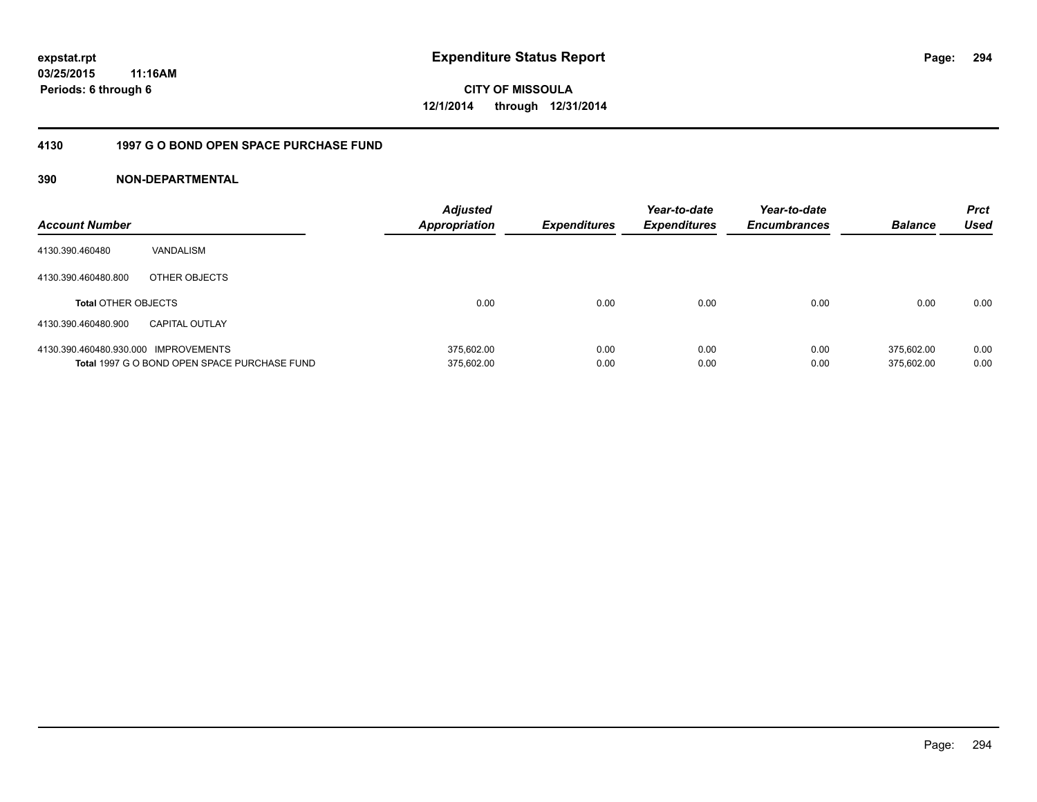# **CITY OF MISSOULA 12/1/2014 through 12/31/2014**

#### **4130 1997 G O BOND OPEN SPACE PURCHASE FUND**

| <b>Account Number</b>                |                                              | <b>Adjusted</b><br><b>Appropriation</b> | <b>Expenditures</b> | Year-to-date<br><b>Expenditures</b> | Year-to-date<br><b>Encumbrances</b> | <b>Balance</b> | <b>Prct</b><br>Used |
|--------------------------------------|----------------------------------------------|-----------------------------------------|---------------------|-------------------------------------|-------------------------------------|----------------|---------------------|
| 4130.390.460480                      | VANDALISM                                    |                                         |                     |                                     |                                     |                |                     |
| 4130.390.460480.800                  | OTHER OBJECTS                                |                                         |                     |                                     |                                     |                |                     |
| <b>Total OTHER OBJECTS</b>           |                                              | 0.00                                    | 0.00                | 0.00                                | 0.00                                | 0.00           | 0.00                |
| 4130.390.460480.900                  | <b>CAPITAL OUTLAY</b>                        |                                         |                     |                                     |                                     |                |                     |
| 4130.390.460480.930.000 IMPROVEMENTS |                                              | 375.602.00                              | 0.00                | 0.00                                | 0.00                                | 375.602.00     | 0.00                |
|                                      | Total 1997 G O BOND OPEN SPACE PURCHASE FUND | 375,602.00                              | 0.00                | 0.00                                | 0.00                                | 375.602.00     | 0.00                |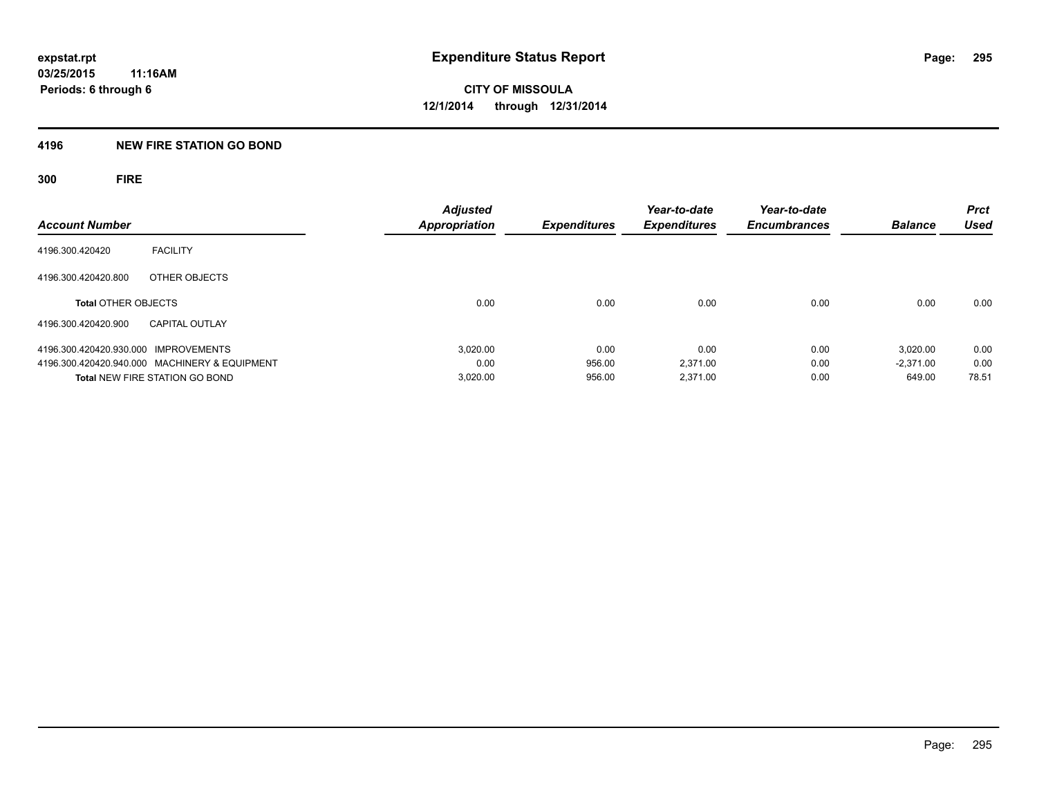### **4196 NEW FIRE STATION GO BOND**

**300 FIRE**

| <b>Account Number</b>                         | <b>Adjusted</b><br><b>Appropriation</b> | <b>Expenditures</b> | Year-to-date<br><b>Expenditures</b> | Year-to-date<br><b>Encumbrances</b> | <b>Balance</b> | <b>Prct</b><br>Used |
|-----------------------------------------------|-----------------------------------------|---------------------|-------------------------------------|-------------------------------------|----------------|---------------------|
| <b>FACILITY</b><br>4196.300.420420            |                                         |                     |                                     |                                     |                |                     |
| 4196.300.420420.800<br>OTHER OBJECTS          |                                         |                     |                                     |                                     |                |                     |
| <b>Total OTHER OBJECTS</b>                    | 0.00                                    | 0.00                | 0.00                                | 0.00                                | 0.00           | 0.00                |
| 4196.300.420420.900<br><b>CAPITAL OUTLAY</b>  |                                         |                     |                                     |                                     |                |                     |
| 4196.300.420420.930.000 IMPROVEMENTS          | 3.020.00                                | 0.00                | 0.00                                | 0.00                                | 3.020.00       | 0.00                |
| 4196.300.420420.940.000 MACHINERY & EQUIPMENT | 0.00                                    | 956.00              | 2.371.00                            | 0.00                                | $-2.371.00$    | 0.00                |
| <b>Total NEW FIRE STATION GO BOND</b>         | 3,020.00                                | 956.00              | 2.371.00                            | 0.00                                | 649.00         | 78.51               |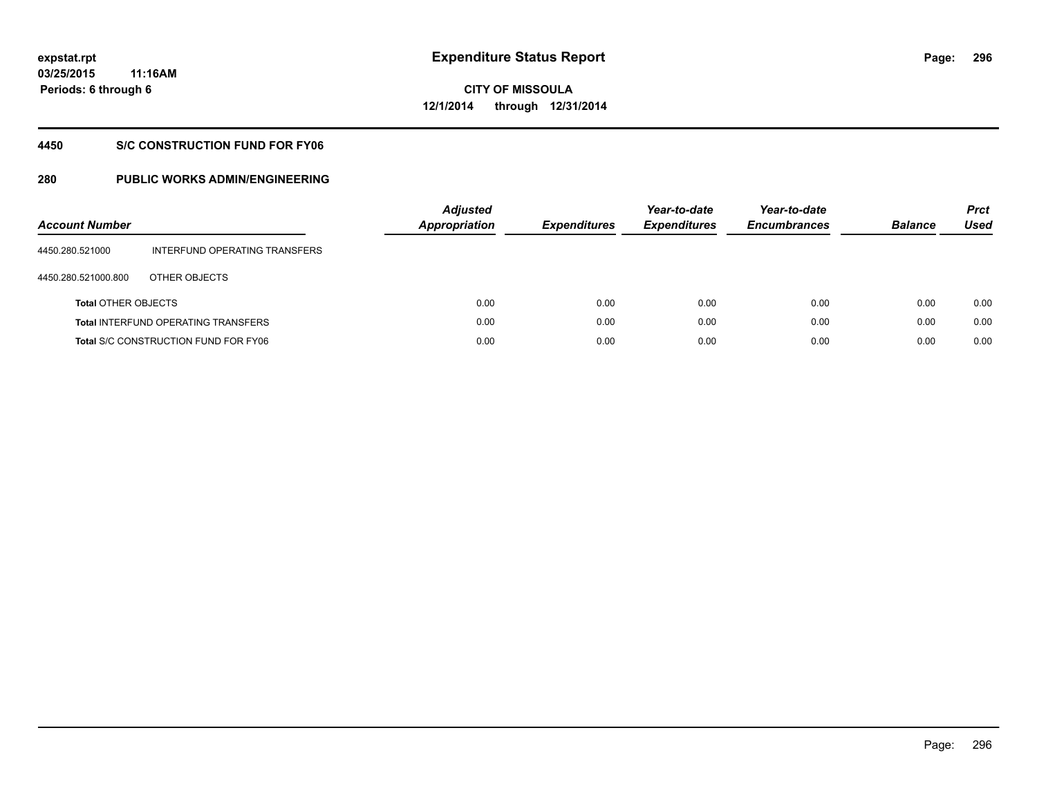# **CITY OF MISSOULA 12/1/2014 through 12/31/2014**

#### **4450 S/C CONSTRUCTION FUND FOR FY06**

| <b>Account Number</b>      |                                             | <b>Adjusted</b><br><b>Appropriation</b> | <b>Expenditures</b> | Year-to-date<br><b>Expenditures</b> | Year-to-date<br><b>Encumbrances</b> | <b>Balance</b> | <b>Prct</b><br>Used |
|----------------------------|---------------------------------------------|-----------------------------------------|---------------------|-------------------------------------|-------------------------------------|----------------|---------------------|
| 4450.280.521000            | INTERFUND OPERATING TRANSFERS               |                                         |                     |                                     |                                     |                |                     |
| 4450.280.521000.800        | OTHER OBJECTS                               |                                         |                     |                                     |                                     |                |                     |
| <b>Total OTHER OBJECTS</b> |                                             | 0.00                                    | 0.00                | 0.00                                | 0.00                                | 0.00           | 0.00                |
|                            | <b>Total INTERFUND OPERATING TRANSFERS</b>  | 0.00                                    | 0.00                | 0.00                                | 0.00                                | 0.00           | 0.00                |
|                            | <b>Total S/C CONSTRUCTION FUND FOR FY06</b> | 0.00                                    | 0.00                | 0.00                                | 0.00                                | 0.00           | 0.00                |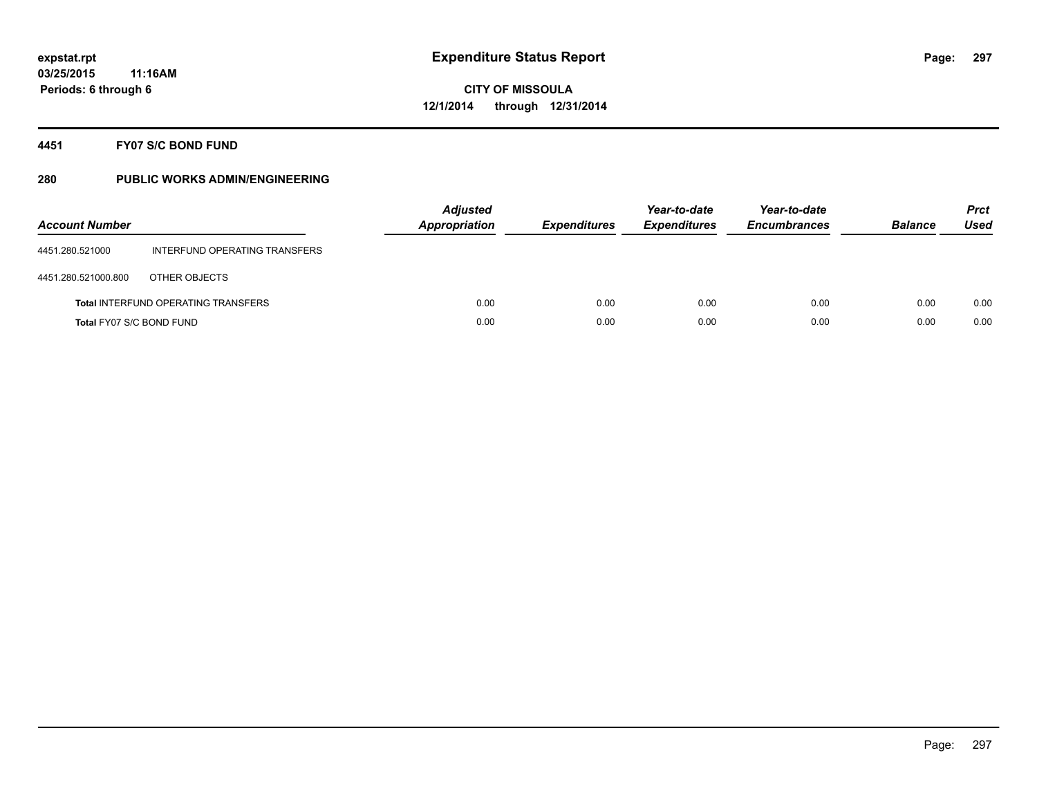### **4451 FY07 S/C BOND FUND**

| <b>Account Number</b>    |                                            | <b>Adjusted</b><br><b>Appropriation</b> | <b>Expenditures</b> | Year-to-date<br><b>Expenditures</b> | Year-to-date<br><b>Encumbrances</b> | <b>Balance</b> | <b>Prct</b><br>Used |
|--------------------------|--------------------------------------------|-----------------------------------------|---------------------|-------------------------------------|-------------------------------------|----------------|---------------------|
| 4451.280.521000          | INTERFUND OPERATING TRANSFERS              |                                         |                     |                                     |                                     |                |                     |
| 4451.280.521000.800      | OTHER OBJECTS                              |                                         |                     |                                     |                                     |                |                     |
|                          | <b>Total INTERFUND OPERATING TRANSFERS</b> | 0.00                                    | 0.00                | 0.00                                | 0.00                                | 0.00           | 0.00                |
| Total FY07 S/C BOND FUND |                                            | 0.00                                    | 0.00                | 0.00                                | 0.00                                | 0.00           | 0.00                |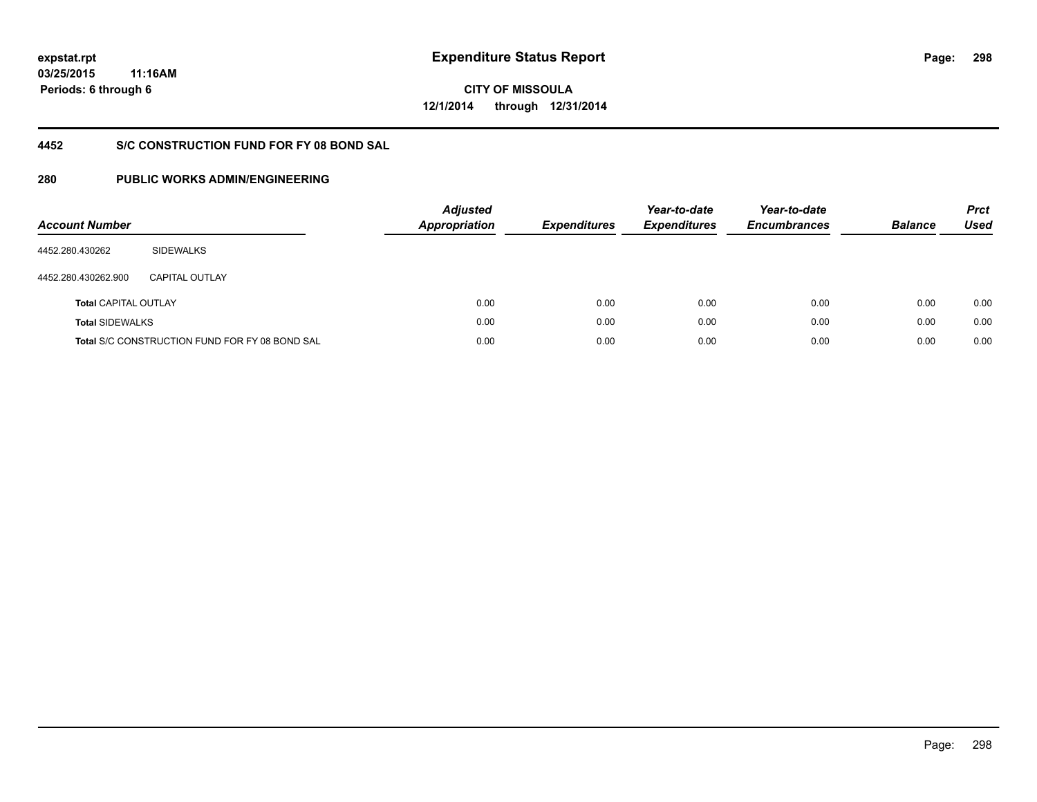**CITY OF MISSOULA 12/1/2014 through 12/31/2014**

## **4452 S/C CONSTRUCTION FUND FOR FY 08 BOND SAL**

| <b>Account Number</b>       |                                                       | <b>Adjusted</b><br>Appropriation | <b>Expenditures</b> | Year-to-date<br><b>Expenditures</b> | Year-to-date<br><b>Encumbrances</b> | <b>Balance</b> | <b>Prct</b><br><b>Used</b> |
|-----------------------------|-------------------------------------------------------|----------------------------------|---------------------|-------------------------------------|-------------------------------------|----------------|----------------------------|
| 4452.280.430262             | <b>SIDEWALKS</b>                                      |                                  |                     |                                     |                                     |                |                            |
| 4452.280.430262.900         | CAPITAL OUTLAY                                        |                                  |                     |                                     |                                     |                |                            |
| <b>Total CAPITAL OUTLAY</b> |                                                       | 0.00                             | 0.00                | 0.00                                | 0.00                                | 0.00           | 0.00                       |
| <b>Total SIDEWALKS</b>      |                                                       | 0.00                             | 0.00                | 0.00                                | 0.00                                | 0.00           | 0.00                       |
|                             | <b>Total S/C CONSTRUCTION FUND FOR FY 08 BOND SAL</b> | 0.00                             | 0.00                | 0.00                                | 0.00                                | 0.00           | 0.00                       |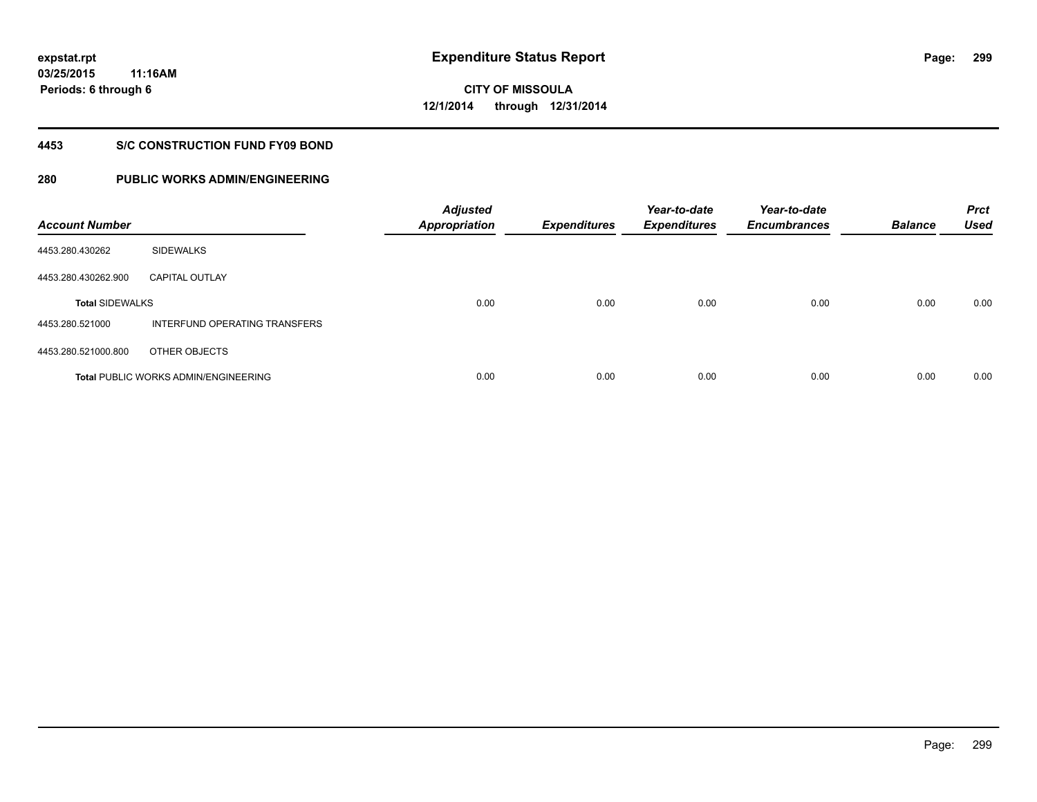# **CITY OF MISSOULA 12/1/2014 through 12/31/2014**

#### **4453 S/C CONSTRUCTION FUND FY09 BOND**

| <b>Account Number</b>  |                                             | <b>Adjusted</b><br><b>Appropriation</b> | <b>Expenditures</b> | Year-to-date<br><b>Expenditures</b> | Year-to-date<br><b>Encumbrances</b> | <b>Balance</b> | <b>Prct</b><br><b>Used</b> |
|------------------------|---------------------------------------------|-----------------------------------------|---------------------|-------------------------------------|-------------------------------------|----------------|----------------------------|
| 4453.280.430262        | <b>SIDEWALKS</b>                            |                                         |                     |                                     |                                     |                |                            |
| 4453.280.430262.900    | <b>CAPITAL OUTLAY</b>                       |                                         |                     |                                     |                                     |                |                            |
| <b>Total SIDEWALKS</b> |                                             | 0.00                                    | 0.00                | 0.00                                | 0.00                                | 0.00           | 0.00                       |
| 4453.280.521000        | INTERFUND OPERATING TRANSFERS               |                                         |                     |                                     |                                     |                |                            |
| 4453.280.521000.800    | OTHER OBJECTS                               |                                         |                     |                                     |                                     |                |                            |
|                        | <b>Total PUBLIC WORKS ADMIN/ENGINEERING</b> | 0.00                                    | 0.00                | 0.00                                | 0.00                                | 0.00           | 0.00                       |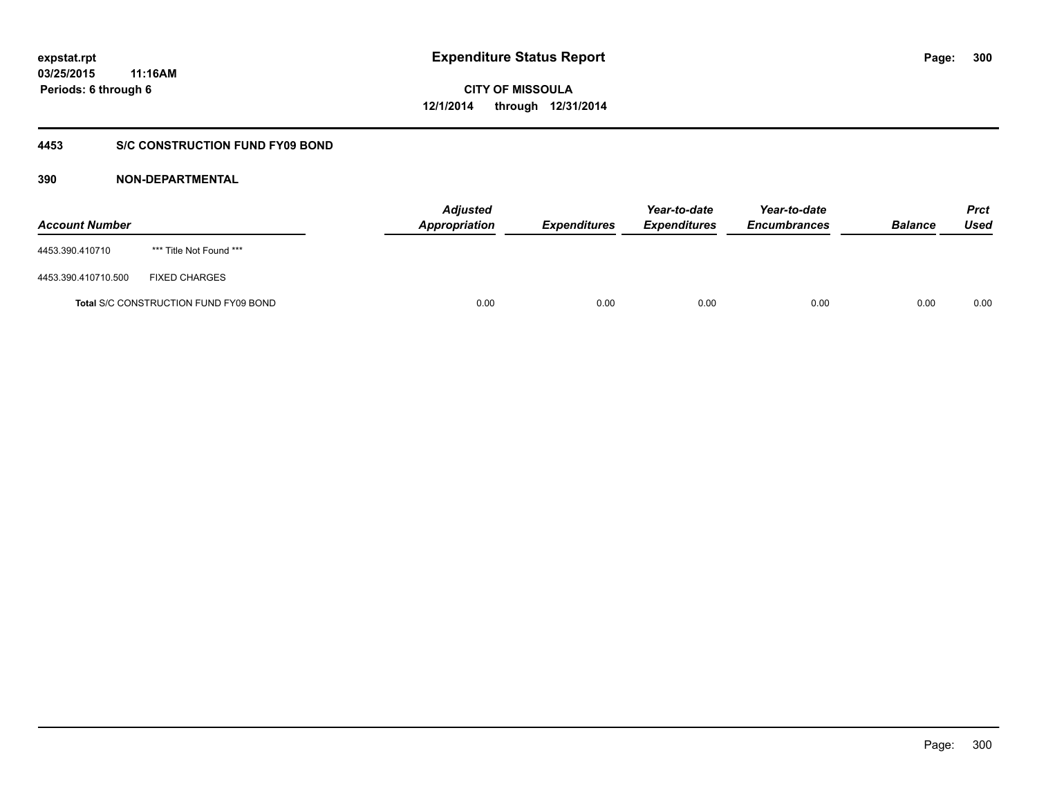**CITY OF MISSOULA 12/1/2014 through 12/31/2014**

### **4453 S/C CONSTRUCTION FUND FY09 BOND**

| <b>Account Number</b> |                                       | <b>Adjusted</b><br>Appropriation | <b>Expenditures</b> | Year-to-date<br><b>Expenditures</b> | Year-to-date<br><b>Encumbrances</b> | <b>Balance</b> | <b>Prct</b><br>Used |
|-----------------------|---------------------------------------|----------------------------------|---------------------|-------------------------------------|-------------------------------------|----------------|---------------------|
| 4453.390.410710       | *** Title Not Found ***               |                                  |                     |                                     |                                     |                |                     |
| 4453.390.410710.500   | <b>FIXED CHARGES</b>                  |                                  |                     |                                     |                                     |                |                     |
|                       | Total S/C CONSTRUCTION FUND FY09 BOND | 0.00                             | 0.00                | 0.00                                | 0.00                                | 0.00           | 0.00                |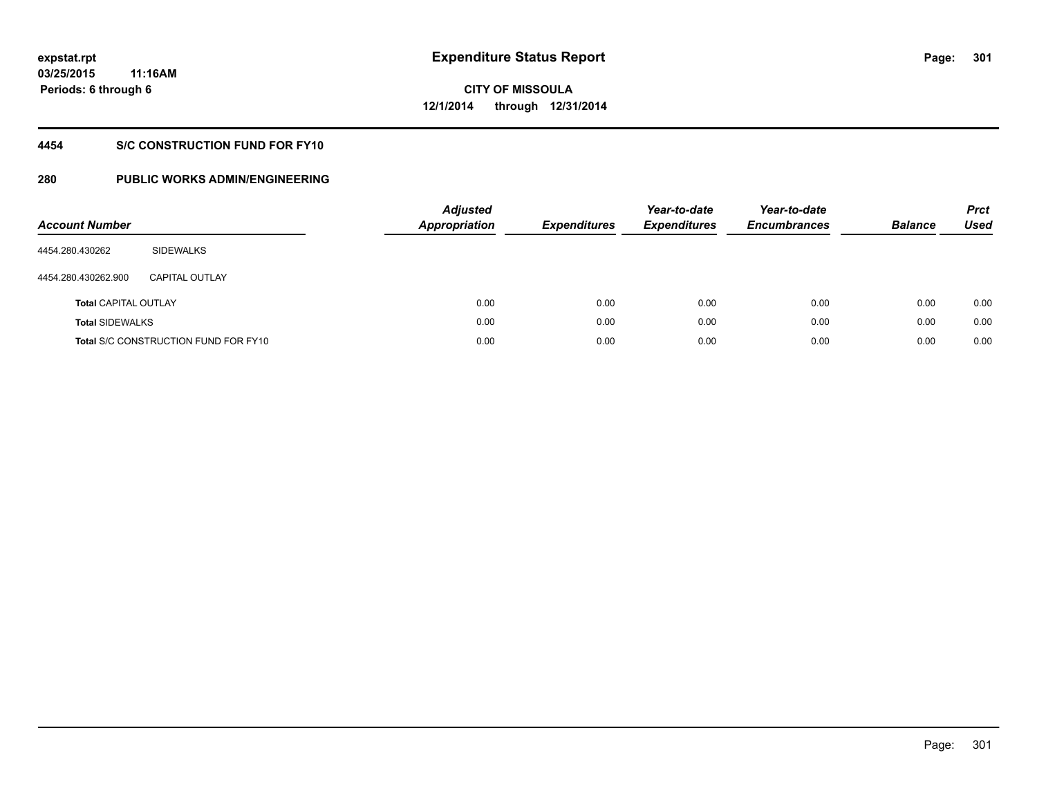### **4454 S/C CONSTRUCTION FUND FOR FY10**

| <b>Account Number</b>       |                                             | <b>Adjusted</b><br><b>Appropriation</b> |      | <b>Expenditures</b> | Year-to-date<br><b>Expenditures</b> | Year-to-date<br><b>Encumbrances</b> | <b>Balance</b> | <b>Prct</b><br>Used |
|-----------------------------|---------------------------------------------|-----------------------------------------|------|---------------------|-------------------------------------|-------------------------------------|----------------|---------------------|
| 4454.280.430262             | SIDEWALKS                                   |                                         |      |                     |                                     |                                     |                |                     |
| 4454.280.430262.900         | CAPITAL OUTLAY                              |                                         |      |                     |                                     |                                     |                |                     |
| <b>Total CAPITAL OUTLAY</b> |                                             |                                         | 0.00 | 0.00                | 0.00                                | 0.00                                | 0.00           | 0.00                |
| <b>Total SIDEWALKS</b>      |                                             |                                         | 0.00 | 0.00                | 0.00                                | 0.00                                | 0.00           | 0.00                |
|                             | <b>Total S/C CONSTRUCTION FUND FOR FY10</b> |                                         | 0.00 | 0.00                | 0.00                                | 0.00                                | 0.00           | 0.00                |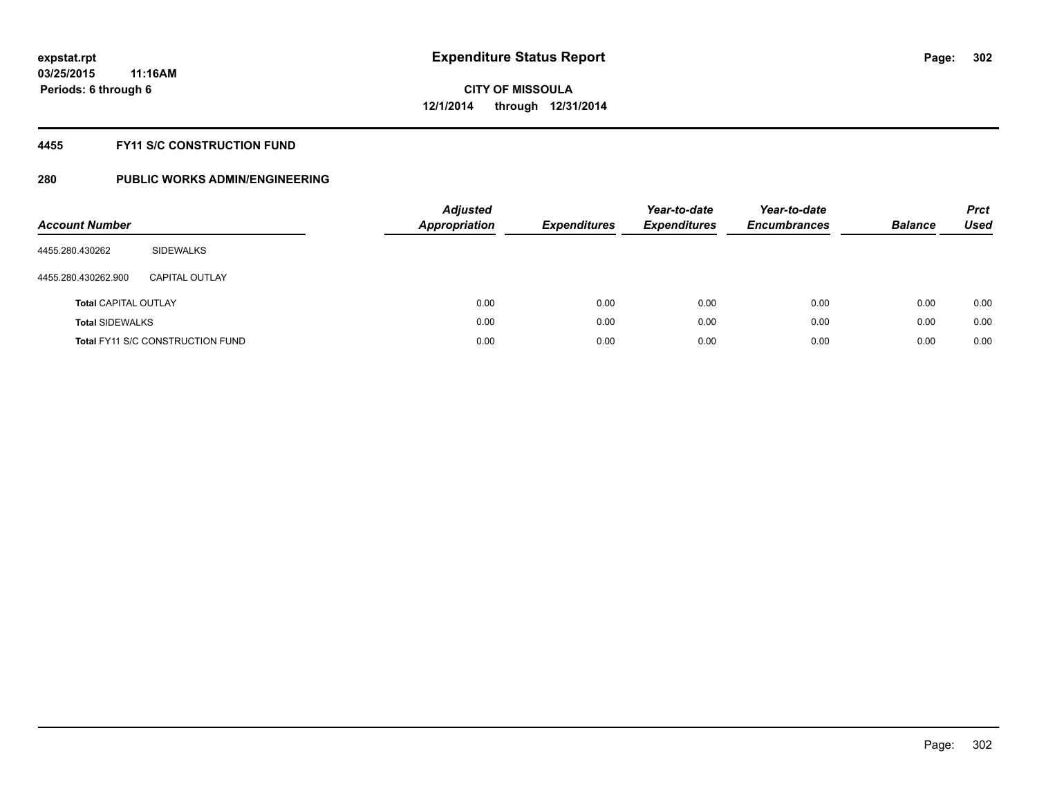### **4455 FY11 S/C CONSTRUCTION FUND**

| <b>Account Number</b>       |                                         | <b>Adjusted</b><br><b>Appropriation</b> | <b>Expenditures</b> | Year-to-date<br><b>Expenditures</b> | Year-to-date<br><b>Encumbrances</b> | <b>Balance</b> | <b>Prct</b><br>Used |
|-----------------------------|-----------------------------------------|-----------------------------------------|---------------------|-------------------------------------|-------------------------------------|----------------|---------------------|
| 4455.280.430262             | SIDEWALKS                               |                                         |                     |                                     |                                     |                |                     |
| 4455.280.430262.900         | CAPITAL OUTLAY                          |                                         |                     |                                     |                                     |                |                     |
| <b>Total CAPITAL OUTLAY</b> |                                         | 0.00                                    | 0.00                | 0.00                                | 0.00                                | 0.00           | 0.00                |
| <b>Total SIDEWALKS</b>      |                                         | 0.00                                    | 0.00                | 0.00                                | 0.00                                | 0.00           | 0.00                |
|                             | <b>Total FY11 S/C CONSTRUCTION FUND</b> | 0.00                                    | 0.00                | 0.00                                | 0.00                                | 0.00           | 0.00                |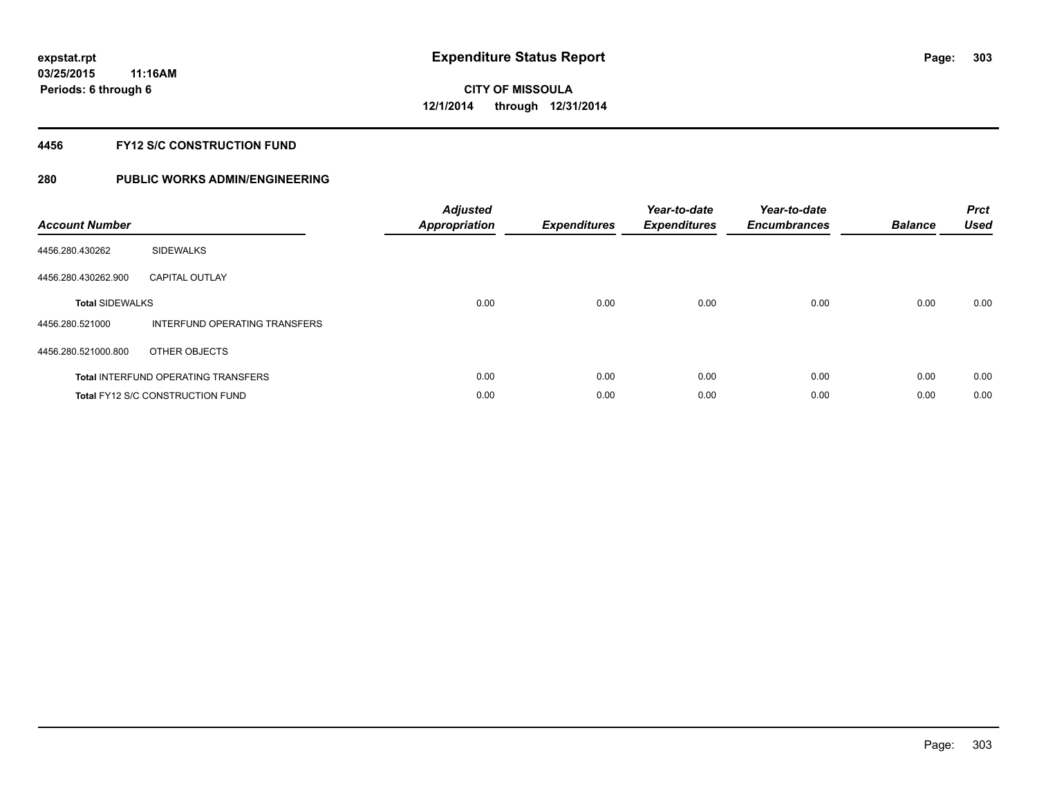### **4456 FY12 S/C CONSTRUCTION FUND**

| <b>Account Number</b>  |                                            | <b>Adjusted</b><br><b>Appropriation</b> | <b>Expenditures</b> | Year-to-date<br><b>Expenditures</b> | Year-to-date<br><b>Encumbrances</b> | <b>Balance</b> | <b>Prct</b><br><b>Used</b> |
|------------------------|--------------------------------------------|-----------------------------------------|---------------------|-------------------------------------|-------------------------------------|----------------|----------------------------|
| 4456.280.430262        | <b>SIDEWALKS</b>                           |                                         |                     |                                     |                                     |                |                            |
| 4456.280.430262.900    | <b>CAPITAL OUTLAY</b>                      |                                         |                     |                                     |                                     |                |                            |
| <b>Total SIDEWALKS</b> |                                            | 0.00                                    | 0.00                | 0.00                                | 0.00                                | 0.00           | 0.00                       |
| 4456.280.521000        | INTERFUND OPERATING TRANSFERS              |                                         |                     |                                     |                                     |                |                            |
| 4456.280.521000.800    | OTHER OBJECTS                              |                                         |                     |                                     |                                     |                |                            |
|                        | <b>Total INTERFUND OPERATING TRANSFERS</b> | 0.00                                    | 0.00                | 0.00                                | 0.00                                | 0.00           | 0.00                       |
|                        | Total FY12 S/C CONSTRUCTION FUND           | 0.00                                    | 0.00                | 0.00                                | 0.00                                | 0.00           | 0.00                       |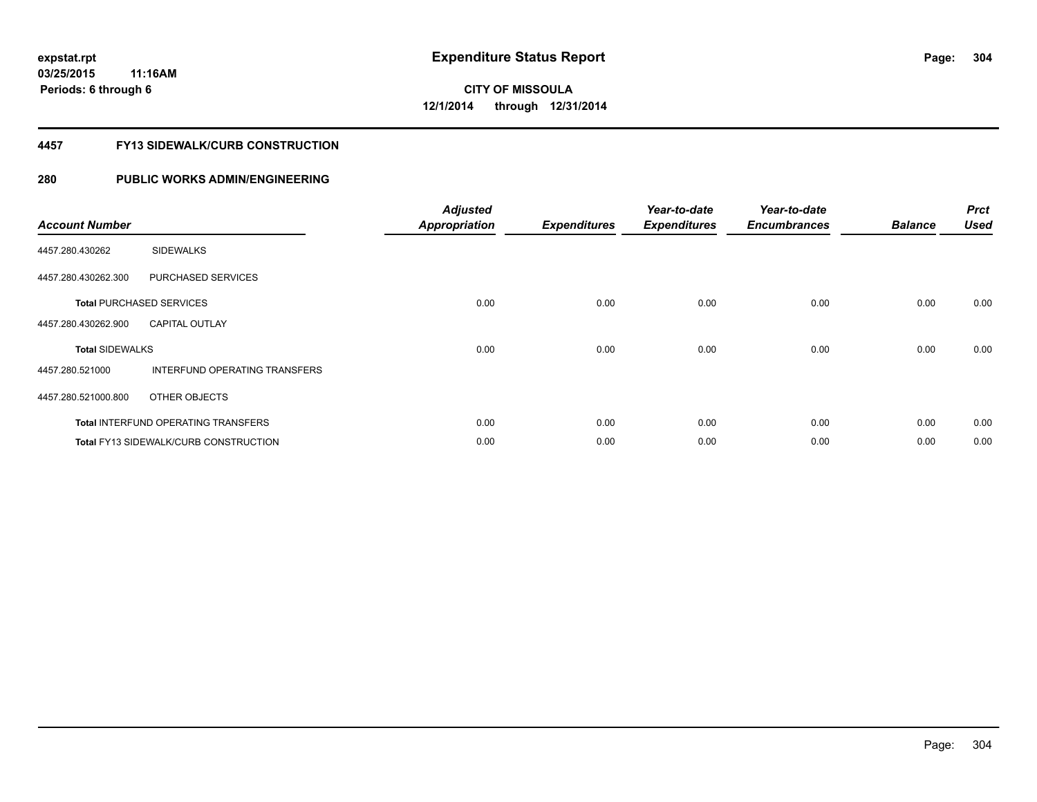#### **4457 FY13 SIDEWALK/CURB CONSTRUCTION**

| <b>Account Number</b>  |                                              | <b>Adjusted</b><br><b>Appropriation</b> | <b>Expenditures</b> | Year-to-date<br><b>Expenditures</b> | Year-to-date<br><b>Encumbrances</b> | <b>Balance</b> | <b>Prct</b><br><b>Used</b> |
|------------------------|----------------------------------------------|-----------------------------------------|---------------------|-------------------------------------|-------------------------------------|----------------|----------------------------|
| 4457.280.430262        | <b>SIDEWALKS</b>                             |                                         |                     |                                     |                                     |                |                            |
| 4457.280.430262.300    | PURCHASED SERVICES                           |                                         |                     |                                     |                                     |                |                            |
|                        | <b>Total PURCHASED SERVICES</b>              | 0.00                                    | 0.00                | 0.00                                | 0.00                                | 0.00           | 0.00                       |
| 4457.280.430262.900    | <b>CAPITAL OUTLAY</b>                        |                                         |                     |                                     |                                     |                |                            |
| <b>Total SIDEWALKS</b> |                                              | 0.00                                    | 0.00                | 0.00                                | 0.00                                | 0.00           | 0.00                       |
| 4457.280.521000        | INTERFUND OPERATING TRANSFERS                |                                         |                     |                                     |                                     |                |                            |
| 4457.280.521000.800    | OTHER OBJECTS                                |                                         |                     |                                     |                                     |                |                            |
|                        | <b>Total INTERFUND OPERATING TRANSFERS</b>   | 0.00                                    | 0.00                | 0.00                                | 0.00                                | 0.00           | 0.00                       |
|                        | <b>Total FY13 SIDEWALK/CURB CONSTRUCTION</b> | 0.00                                    | 0.00                | 0.00                                | 0.00                                | 0.00           | 0.00                       |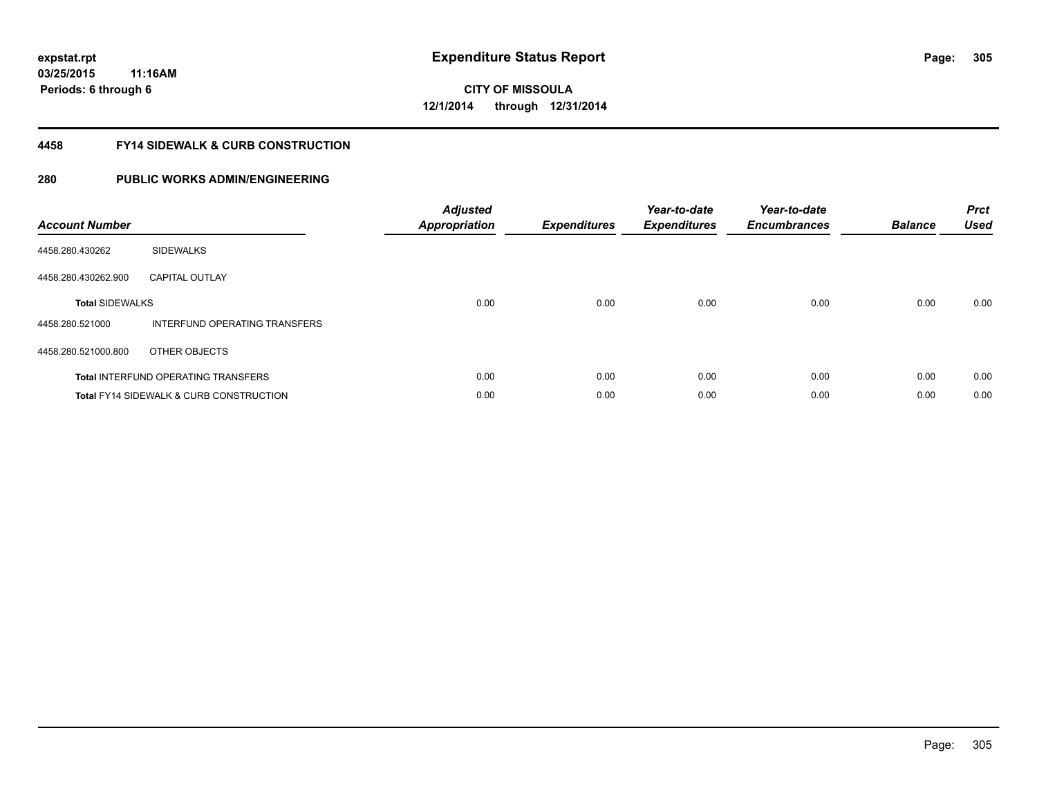#### **4458 FY14 SIDEWALK & CURB CONSTRUCTION**

| <b>Account Number</b>  |                                                    | <b>Adjusted</b><br>Appropriation | <b>Expenditures</b> | Year-to-date<br><b>Expenditures</b> | Year-to-date<br><b>Encumbrances</b> | <b>Balance</b> | <b>Prct</b><br><b>Used</b> |
|------------------------|----------------------------------------------------|----------------------------------|---------------------|-------------------------------------|-------------------------------------|----------------|----------------------------|
| 4458.280.430262        | <b>SIDEWALKS</b>                                   |                                  |                     |                                     |                                     |                |                            |
| 4458.280.430262.900    | <b>CAPITAL OUTLAY</b>                              |                                  |                     |                                     |                                     |                |                            |
| <b>Total SIDEWALKS</b> |                                                    | 0.00                             | 0.00                | 0.00                                | 0.00                                | 0.00           | 0.00                       |
| 4458.280.521000        | INTERFUND OPERATING TRANSFERS                      |                                  |                     |                                     |                                     |                |                            |
| 4458.280.521000.800    | OTHER OBJECTS                                      |                                  |                     |                                     |                                     |                |                            |
|                        | <b>Total INTERFUND OPERATING TRANSFERS</b>         | 0.00                             | 0.00                | 0.00                                | 0.00                                | 0.00           | 0.00                       |
|                        | <b>Total FY14 SIDEWALK &amp; CURB CONSTRUCTION</b> | 0.00                             | 0.00                | 0.00                                | 0.00                                | 0.00           | 0.00                       |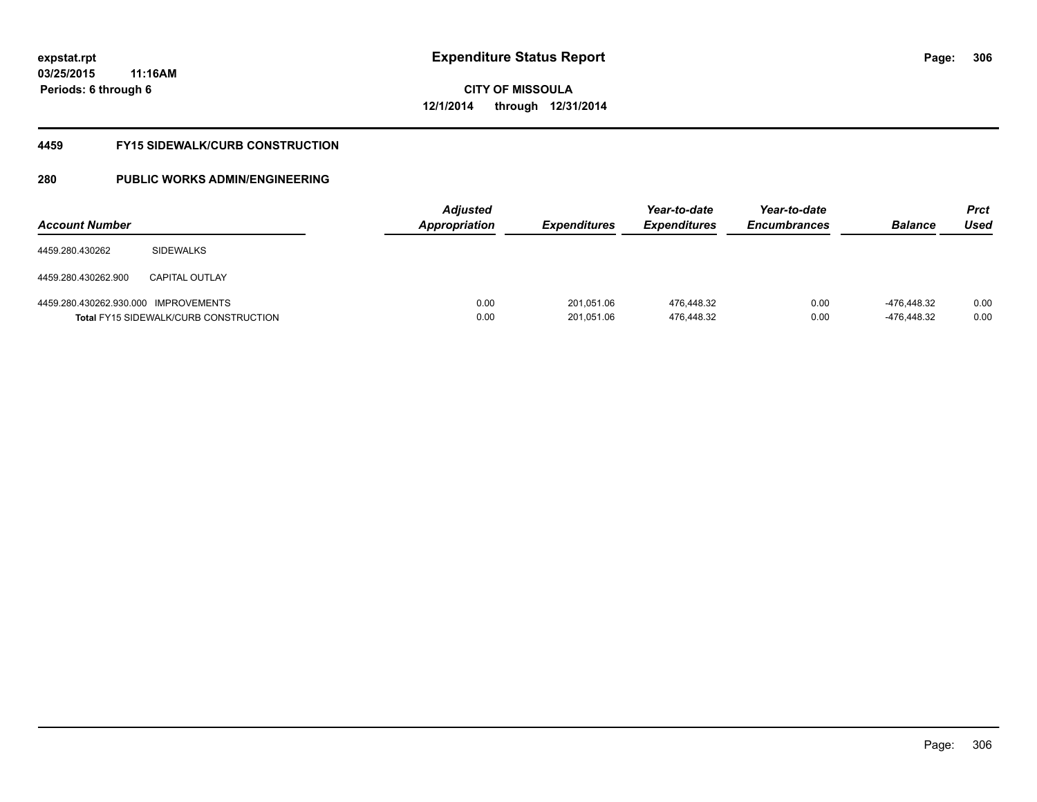# **CITY OF MISSOULA 12/1/2014 through 12/31/2014**

#### **4459 FY15 SIDEWALK/CURB CONSTRUCTION**

| <b>Account Number</b>   |                                                              | <b>Adjusted</b><br><b>Appropriation</b> | <i><b>Expenditures</b></i> | Year-to-date<br><b>Expenditures</b> | Year-to-date<br><b>Encumbrances</b> | <b>Balance</b>             | <b>Prct</b><br>Used |
|-------------------------|--------------------------------------------------------------|-----------------------------------------|----------------------------|-------------------------------------|-------------------------------------|----------------------------|---------------------|
| 4459.280.430262         | <b>SIDEWALKS</b>                                             |                                         |                            |                                     |                                     |                            |                     |
| 4459.280.430262.900     | <b>CAPITAL OUTLAY</b>                                        |                                         |                            |                                     |                                     |                            |                     |
| 4459.280.430262.930.000 | IMPROVEMENTS<br><b>Total FY15 SIDEWALK/CURB CONSTRUCTION</b> | 0.00<br>0.00                            | 201,051.06<br>201,051.06   | 476.448.32<br>476.448.32            | 0.00<br>0.00                        | -476.448.32<br>-476.448.32 | 0.00<br>0.00        |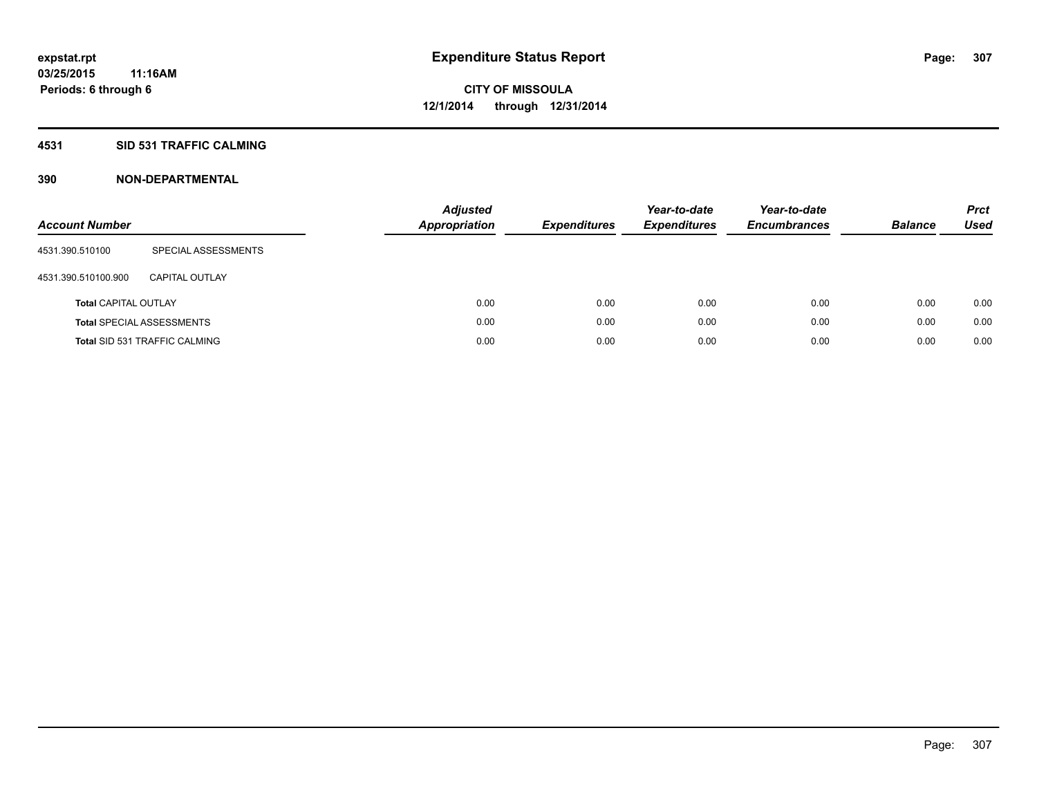### **4531 SID 531 TRAFFIC CALMING**

| <b>Account Number</b>       |                                      | <b>Adjusted</b><br><b>Appropriation</b> | <b>Expenditures</b> | Year-to-date<br><b>Expenditures</b> | Year-to-date<br><b>Encumbrances</b> | <b>Balance</b> | <b>Prct</b><br>Used |
|-----------------------------|--------------------------------------|-----------------------------------------|---------------------|-------------------------------------|-------------------------------------|----------------|---------------------|
| 4531.390.510100             | SPECIAL ASSESSMENTS                  |                                         |                     |                                     |                                     |                |                     |
| 4531.390.510100.900         | CAPITAL OUTLAY                       |                                         |                     |                                     |                                     |                |                     |
| <b>Total CAPITAL OUTLAY</b> |                                      | 0.00                                    | 0.00                | 0.00                                | 0.00                                | 0.00           | 0.00                |
|                             | <b>Total SPECIAL ASSESSMENTS</b>     | 0.00                                    | 0.00                | 0.00                                | 0.00                                | 0.00           | 0.00                |
|                             | <b>Total SID 531 TRAFFIC CALMING</b> | 0.00                                    | 0.00                | 0.00                                | 0.00                                | 0.00           | 0.00                |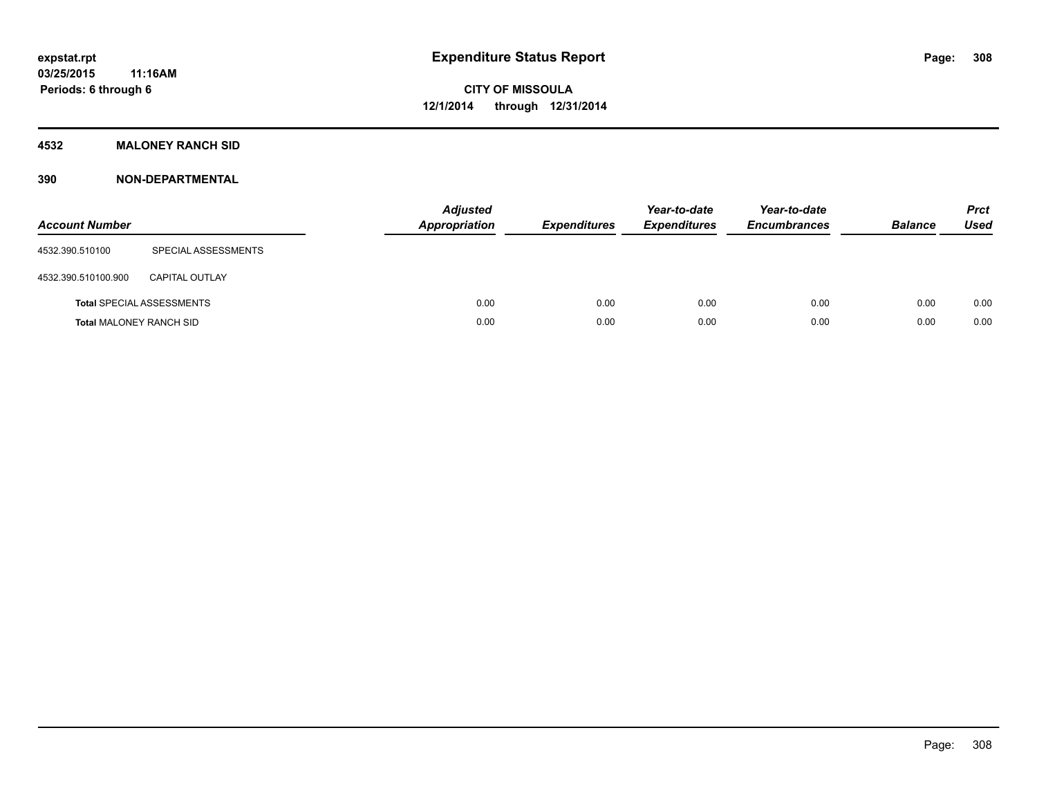### **4532 MALONEY RANCH SID**

| <b>Account Number</b>          |                                  | <b>Adjusted</b><br>Appropriation | <b>Expenditures</b> | Year-to-date<br><b>Expenditures</b> | Year-to-date<br><b>Encumbrances</b> | <b>Balance</b> | <b>Prct</b><br><b>Used</b> |
|--------------------------------|----------------------------------|----------------------------------|---------------------|-------------------------------------|-------------------------------------|----------------|----------------------------|
| 4532.390.510100                | SPECIAL ASSESSMENTS              |                                  |                     |                                     |                                     |                |                            |
| 4532.390.510100.900            | <b>CAPITAL OUTLAY</b>            |                                  |                     |                                     |                                     |                |                            |
|                                | <b>Total SPECIAL ASSESSMENTS</b> | 0.00                             | 0.00                | 0.00                                | 0.00                                | 0.00           | 0.00                       |
| <b>Total MALONEY RANCH SID</b> |                                  | 0.00                             | 0.00                | 0.00                                | 0.00                                | 0.00           | 0.00                       |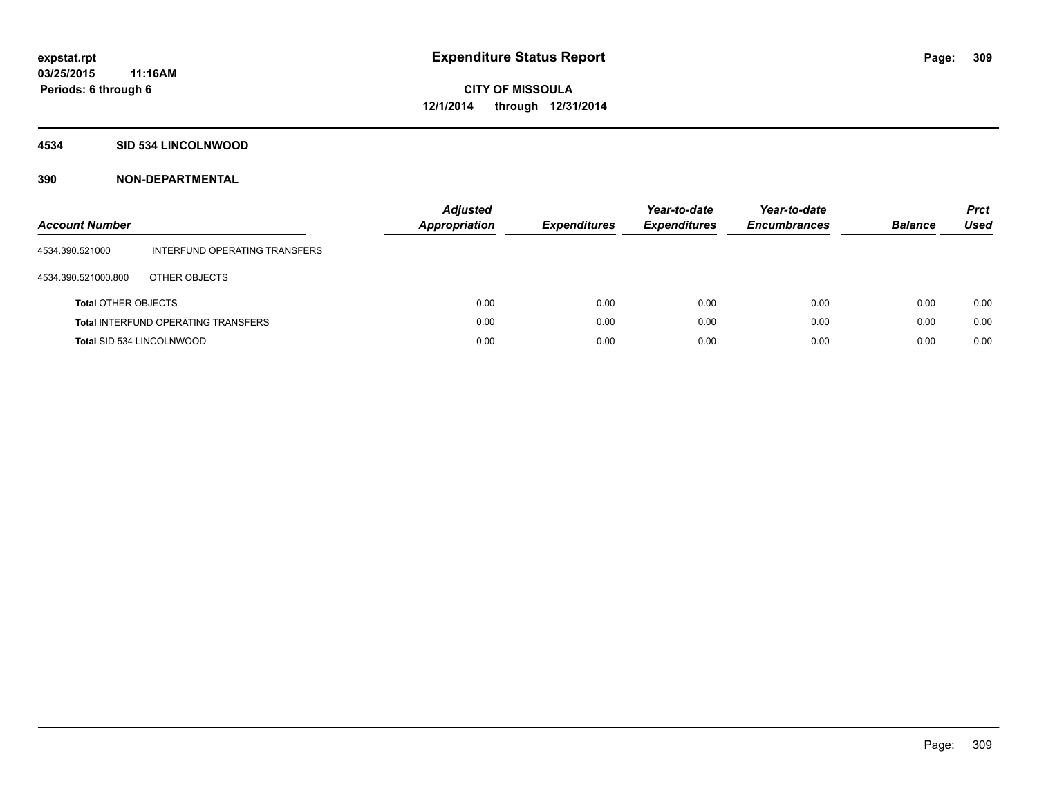#### **4534 SID 534 LINCOLNWOOD**

| <b>Account Number</b>      |                                            | <b>Adjusted</b><br>Appropriation | <b>Expenditures</b> | Year-to-date<br><b>Expenditures</b> | Year-to-date<br><b>Encumbrances</b> | <b>Balance</b> | <b>Prct</b><br><b>Used</b> |
|----------------------------|--------------------------------------------|----------------------------------|---------------------|-------------------------------------|-------------------------------------|----------------|----------------------------|
| 4534.390.521000            | INTERFUND OPERATING TRANSFERS              |                                  |                     |                                     |                                     |                |                            |
| 4534.390.521000.800        | OTHER OBJECTS                              |                                  |                     |                                     |                                     |                |                            |
| <b>Total OTHER OBJECTS</b> |                                            | 0.00                             | 0.00                | 0.00                                | 0.00                                | 0.00           | 0.00                       |
|                            | <b>Total INTERFUND OPERATING TRANSFERS</b> | 0.00                             | 0.00                | 0.00                                | 0.00                                | 0.00           | 0.00                       |
| Total SID 534 LINCOLNWOOD  |                                            | 0.00                             | 0.00                | 0.00                                | 0.00                                | 0.00           | 0.00                       |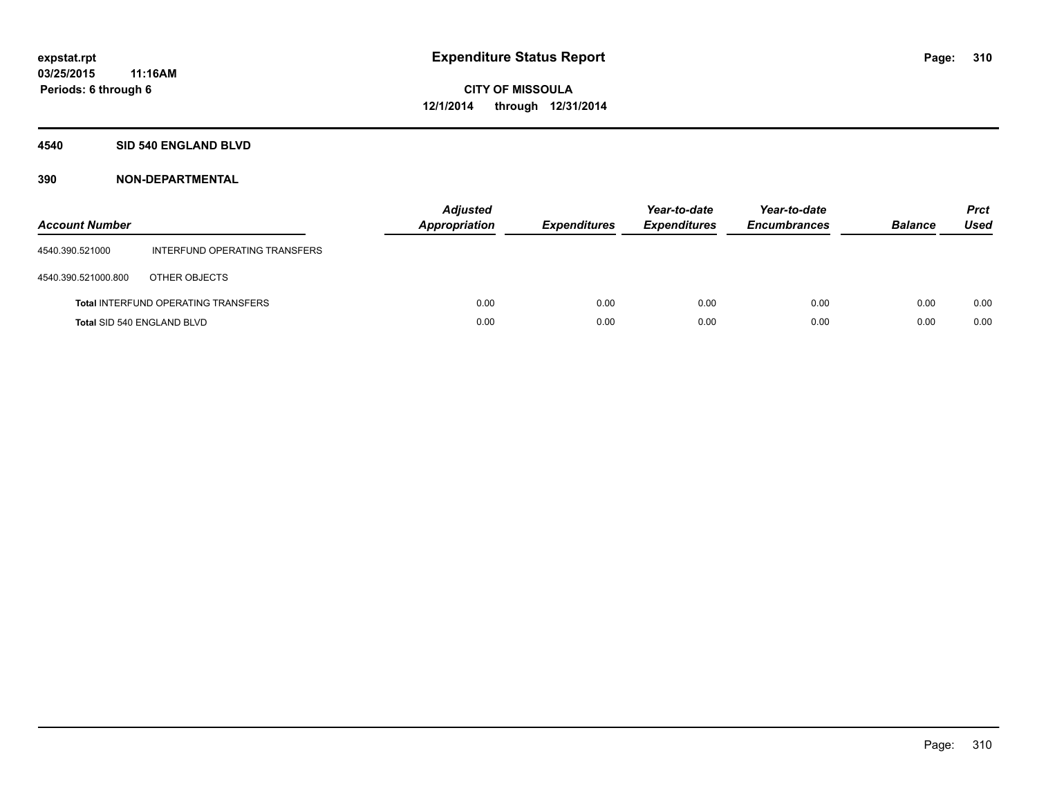### **4540 SID 540 ENGLAND BLVD**

| <b>Account Number</b>      |                                            | <b>Adjusted</b><br><b>Appropriation</b> | <b>Expenditures</b> | Year-to-date<br><b>Expenditures</b> | Year-to-date<br><b>Encumbrances</b> | <b>Balance</b> | <b>Prct</b><br>Used |
|----------------------------|--------------------------------------------|-----------------------------------------|---------------------|-------------------------------------|-------------------------------------|----------------|---------------------|
| 4540.390.521000            | INTERFUND OPERATING TRANSFERS              |                                         |                     |                                     |                                     |                |                     |
| 4540.390.521000.800        | OTHER OBJECTS                              |                                         |                     |                                     |                                     |                |                     |
|                            | <b>Total INTERFUND OPERATING TRANSFERS</b> | 0.00                                    | 0.00                | 0.00                                | 0.00                                | 0.00           | 0.00                |
| Total SID 540 ENGLAND BLVD |                                            | 0.00                                    | 0.00                | 0.00                                | 0.00                                | 0.00           | 0.00                |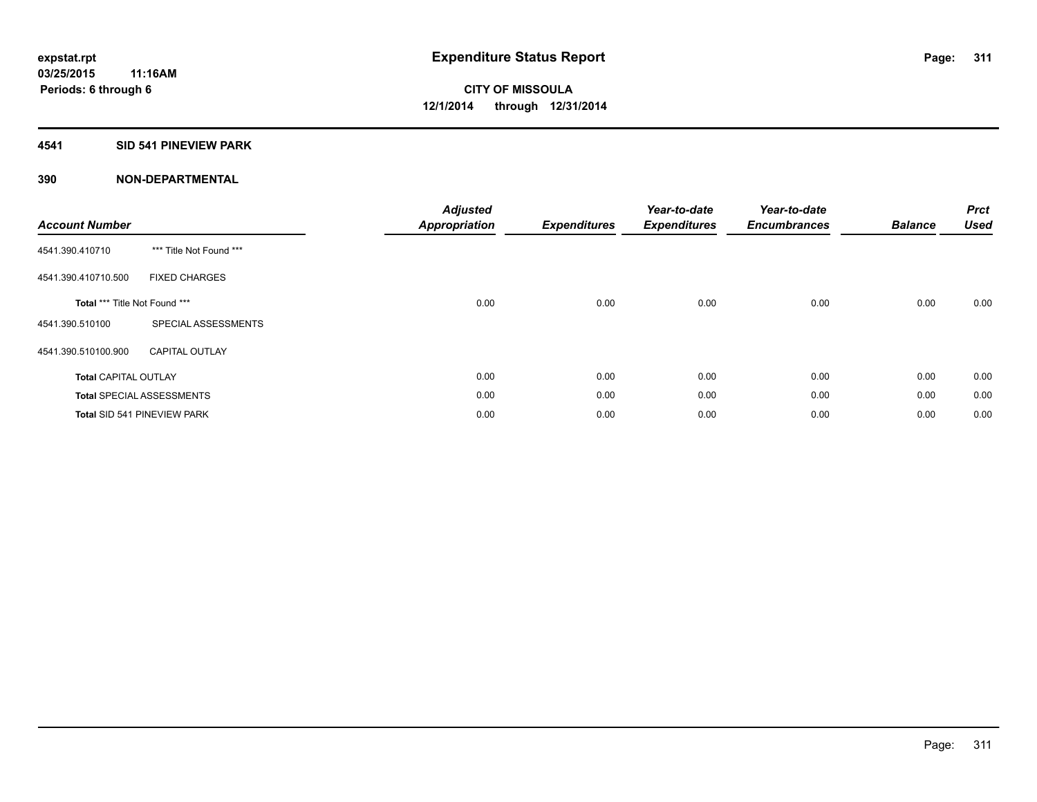### **4541 SID 541 PINEVIEW PARK**

| <b>Account Number</b>         |                                    | <b>Adjusted</b><br><b>Appropriation</b> | <b>Expenditures</b> | Year-to-date<br><b>Expenditures</b> | Year-to-date<br><b>Encumbrances</b> | <b>Balance</b> | <b>Prct</b><br><b>Used</b> |
|-------------------------------|------------------------------------|-----------------------------------------|---------------------|-------------------------------------|-------------------------------------|----------------|----------------------------|
| 4541.390.410710               | *** Title Not Found ***            |                                         |                     |                                     |                                     |                |                            |
| 4541.390.410710.500           | <b>FIXED CHARGES</b>               |                                         |                     |                                     |                                     |                |                            |
| Total *** Title Not Found *** |                                    | 0.00                                    | 0.00                | 0.00                                | 0.00                                | 0.00           | 0.00                       |
| 4541.390.510100               | SPECIAL ASSESSMENTS                |                                         |                     |                                     |                                     |                |                            |
| 4541.390.510100.900           | <b>CAPITAL OUTLAY</b>              |                                         |                     |                                     |                                     |                |                            |
| <b>Total CAPITAL OUTLAY</b>   |                                    | 0.00                                    | 0.00                | 0.00                                | 0.00                                | 0.00           | 0.00                       |
|                               | <b>Total SPECIAL ASSESSMENTS</b>   | 0.00                                    | 0.00                | 0.00                                | 0.00                                | 0.00           | 0.00                       |
|                               | <b>Total SID 541 PINEVIEW PARK</b> | 0.00                                    | 0.00                | 0.00                                | 0.00                                | 0.00           | 0.00                       |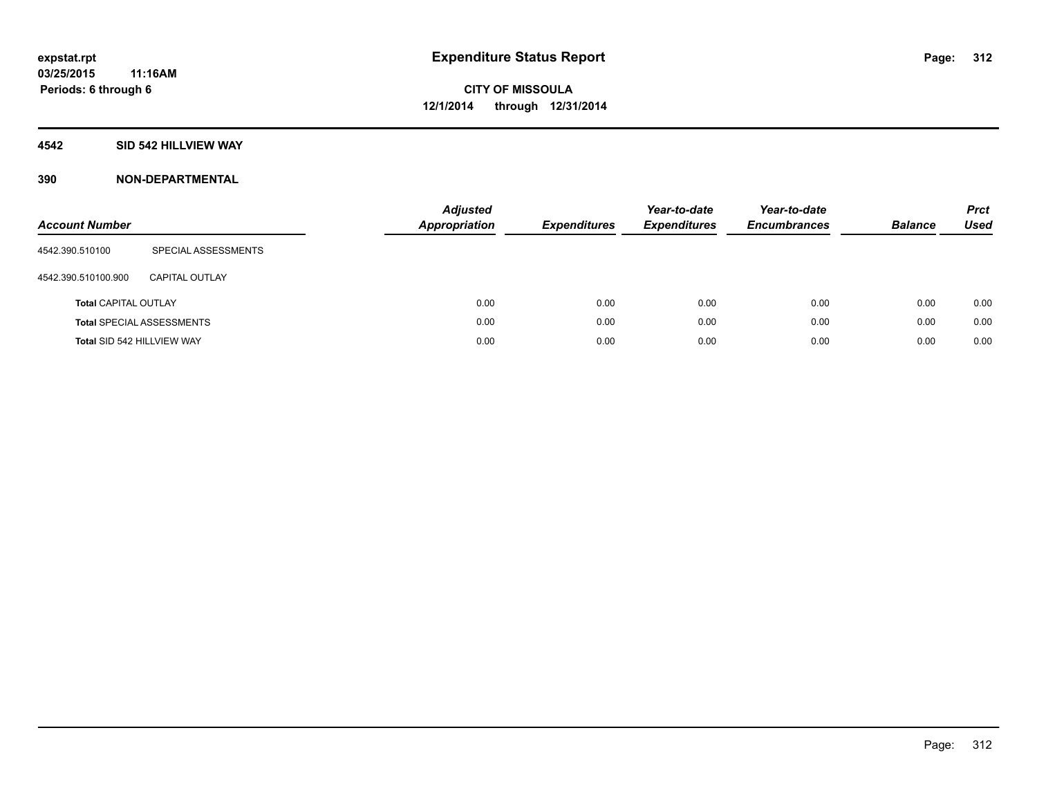### **4542 SID 542 HILLVIEW WAY**

| <b>Account Number</b>       |                                  | <b>Adjusted</b><br><b>Appropriation</b> | <b>Expenditures</b> | Year-to-date<br><b>Expenditures</b> | Year-to-date<br><b>Encumbrances</b> | <b>Balance</b> | <b>Prct</b><br>Used |
|-----------------------------|----------------------------------|-----------------------------------------|---------------------|-------------------------------------|-------------------------------------|----------------|---------------------|
| 4542.390.510100             | SPECIAL ASSESSMENTS              |                                         |                     |                                     |                                     |                |                     |
| 4542.390.510100.900         | <b>CAPITAL OUTLAY</b>            |                                         |                     |                                     |                                     |                |                     |
| <b>Total CAPITAL OUTLAY</b> |                                  | 0.00                                    | 0.00                | 0.00                                | 0.00                                | 0.00           | 0.00                |
|                             | <b>Total SPECIAL ASSESSMENTS</b> | 0.00                                    | 0.00                | 0.00                                | 0.00                                | 0.00           | 0.00                |
| Total SID 542 HILLVIEW WAY  |                                  | 0.00                                    | 0.00                | 0.00                                | 0.00                                | 0.00           | 0.00                |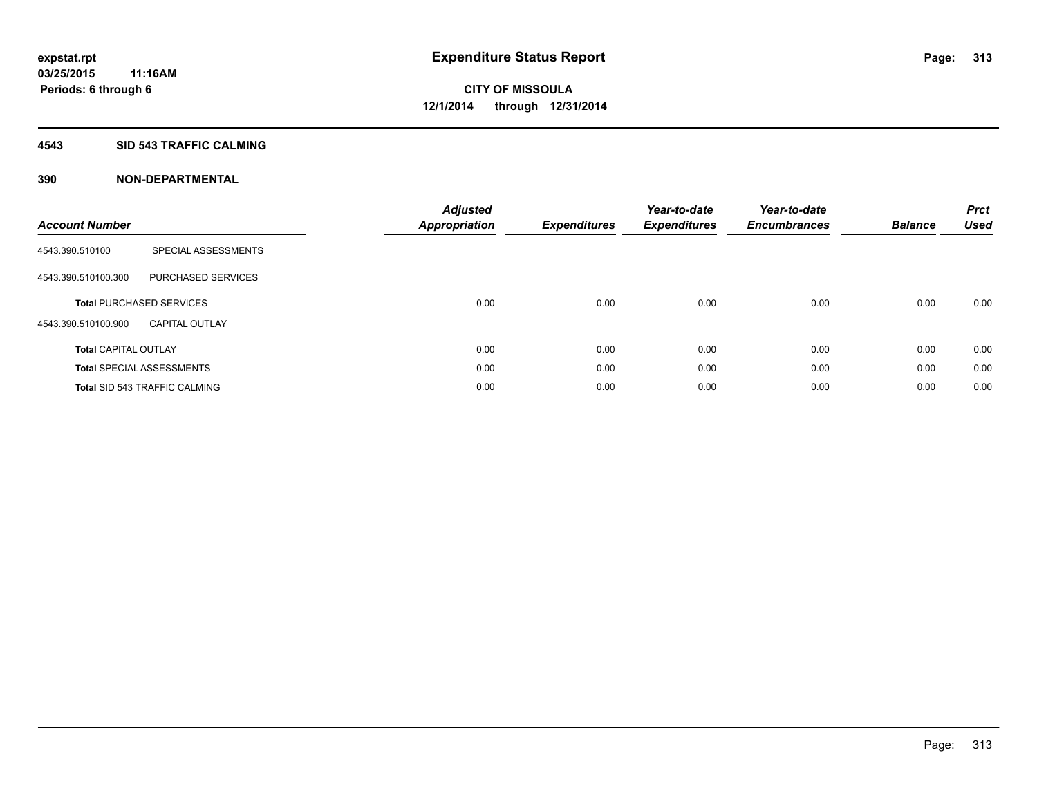#### **4543 SID 543 TRAFFIC CALMING**

| <b>Account Number</b>       |                                      | <b>Adjusted</b><br><b>Appropriation</b> | <b>Expenditures</b> | Year-to-date<br><b>Expenditures</b> | Year-to-date<br><b>Encumbrances</b> | <b>Balance</b> | <b>Prct</b><br><b>Used</b> |
|-----------------------------|--------------------------------------|-----------------------------------------|---------------------|-------------------------------------|-------------------------------------|----------------|----------------------------|
| 4543.390.510100             | SPECIAL ASSESSMENTS                  |                                         |                     |                                     |                                     |                |                            |
| 4543.390.510100.300         | PURCHASED SERVICES                   |                                         |                     |                                     |                                     |                |                            |
|                             | <b>Total PURCHASED SERVICES</b>      | 0.00                                    | 0.00                | 0.00                                | 0.00                                | 0.00           | 0.00                       |
| 4543.390.510100.900         | <b>CAPITAL OUTLAY</b>                |                                         |                     |                                     |                                     |                |                            |
| <b>Total CAPITAL OUTLAY</b> |                                      | 0.00                                    | 0.00                | 0.00                                | 0.00                                | 0.00           | 0.00                       |
|                             | <b>Total SPECIAL ASSESSMENTS</b>     | 0.00                                    | 0.00                | 0.00                                | 0.00                                | 0.00           | 0.00                       |
|                             | <b>Total SID 543 TRAFFIC CALMING</b> | 0.00                                    | 0.00                | 0.00                                | 0.00                                | 0.00           | 0.00                       |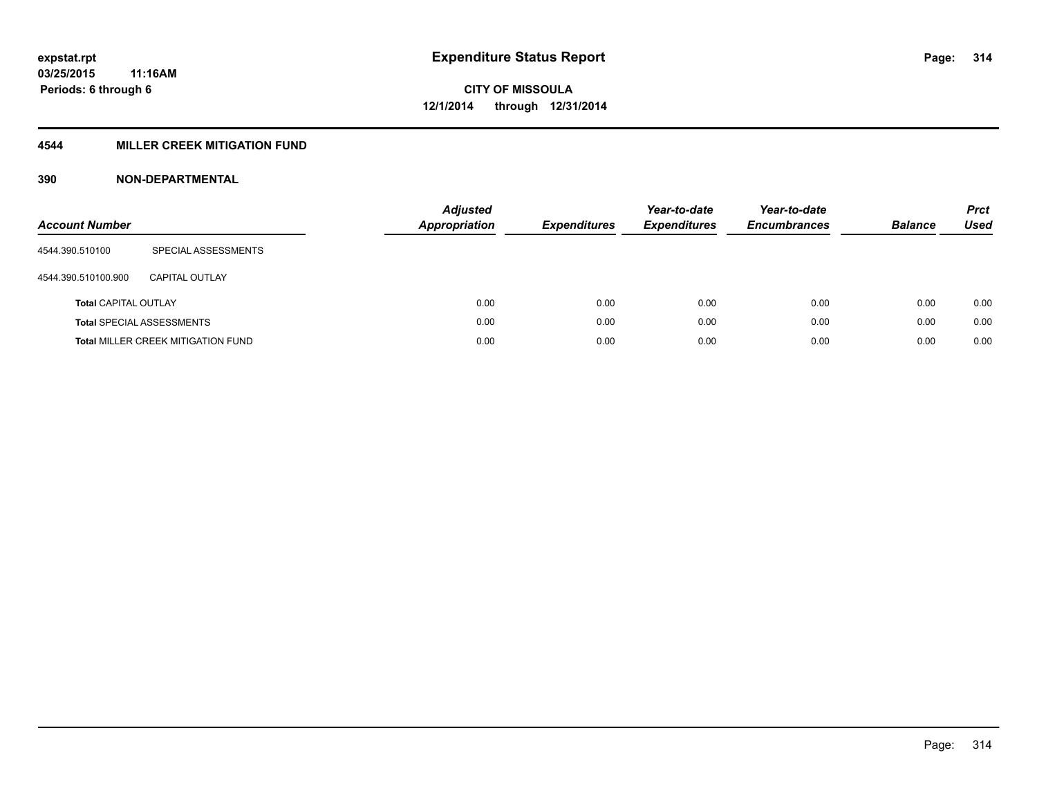## **4544 MILLER CREEK MITIGATION FUND**

| <b>Account Number</b>       |                                           | Adjusted<br><b>Appropriation</b> | <b>Expenditures</b> | Year-to-date<br><b>Expenditures</b> | Year-to-date<br><b>Encumbrances</b> | <b>Balance</b> | <b>Prct</b><br>Used |
|-----------------------------|-------------------------------------------|----------------------------------|---------------------|-------------------------------------|-------------------------------------|----------------|---------------------|
| 4544.390.510100             | SPECIAL ASSESSMENTS                       |                                  |                     |                                     |                                     |                |                     |
| 4544.390.510100.900         | CAPITAL OUTLAY                            |                                  |                     |                                     |                                     |                |                     |
| <b>Total CAPITAL OUTLAY</b> |                                           | 0.00                             | 0.00                | 0.00                                | 0.00                                | 0.00           | 0.00                |
|                             | <b>Total SPECIAL ASSESSMENTS</b>          | 0.00                             | 0.00                | 0.00                                | 0.00                                | 0.00           | 0.00                |
|                             | <b>Total MILLER CREEK MITIGATION FUND</b> | 0.00                             | 0.00                | 0.00                                | 0.00                                | 0.00           | 0.00                |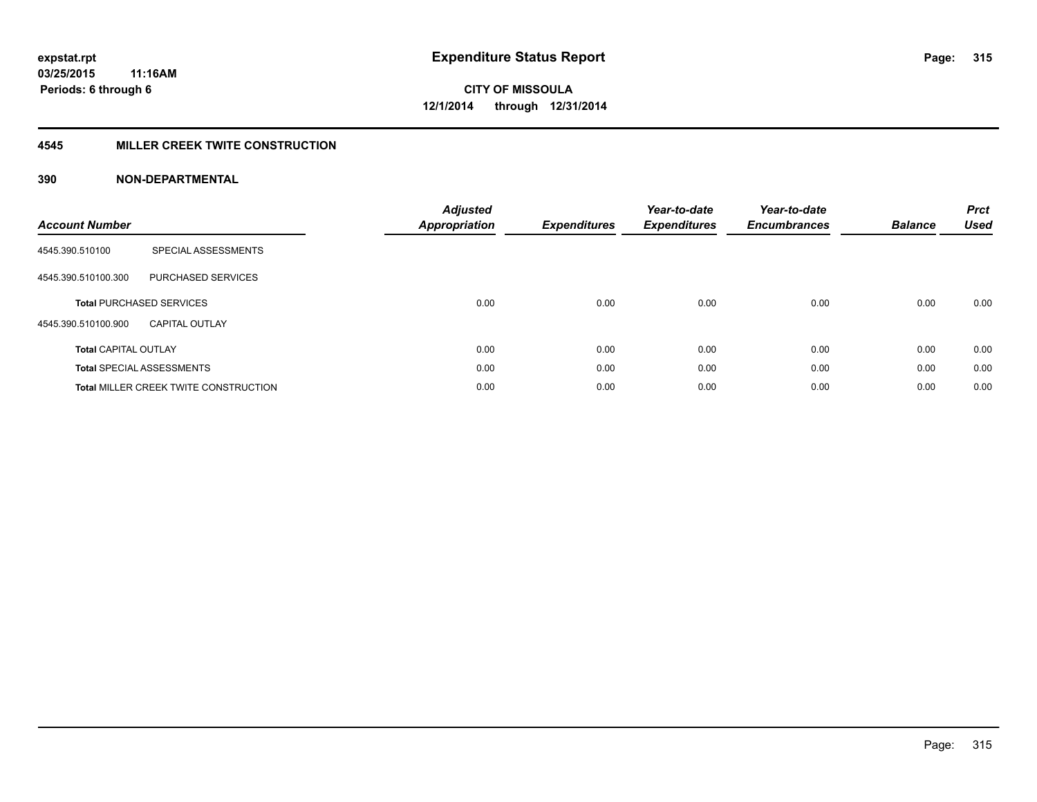#### **4545 MILLER CREEK TWITE CONSTRUCTION**

| <b>Account Number</b>       |                                              | <b>Adjusted</b><br>Appropriation | <b>Expenditures</b> | Year-to-date<br><b>Expenditures</b> | Year-to-date<br><b>Encumbrances</b> | <b>Balance</b> | <b>Prct</b><br><b>Used</b> |
|-----------------------------|----------------------------------------------|----------------------------------|---------------------|-------------------------------------|-------------------------------------|----------------|----------------------------|
| 4545.390.510100             | SPECIAL ASSESSMENTS                          |                                  |                     |                                     |                                     |                |                            |
| 4545.390.510100.300         | <b>PURCHASED SERVICES</b>                    |                                  |                     |                                     |                                     |                |                            |
|                             | <b>Total PURCHASED SERVICES</b>              | 0.00                             | 0.00                | 0.00                                | 0.00                                | 0.00           | 0.00                       |
| 4545.390.510100.900         | <b>CAPITAL OUTLAY</b>                        |                                  |                     |                                     |                                     |                |                            |
| <b>Total CAPITAL OUTLAY</b> |                                              | 0.00                             | 0.00                | 0.00                                | 0.00                                | 0.00           | 0.00                       |
|                             | <b>Total SPECIAL ASSESSMENTS</b>             | 0.00                             | 0.00                | 0.00                                | 0.00                                | 0.00           | 0.00                       |
|                             | <b>Total MILLER CREEK TWITE CONSTRUCTION</b> | 0.00                             | 0.00                | 0.00                                | 0.00                                | 0.00           | 0.00                       |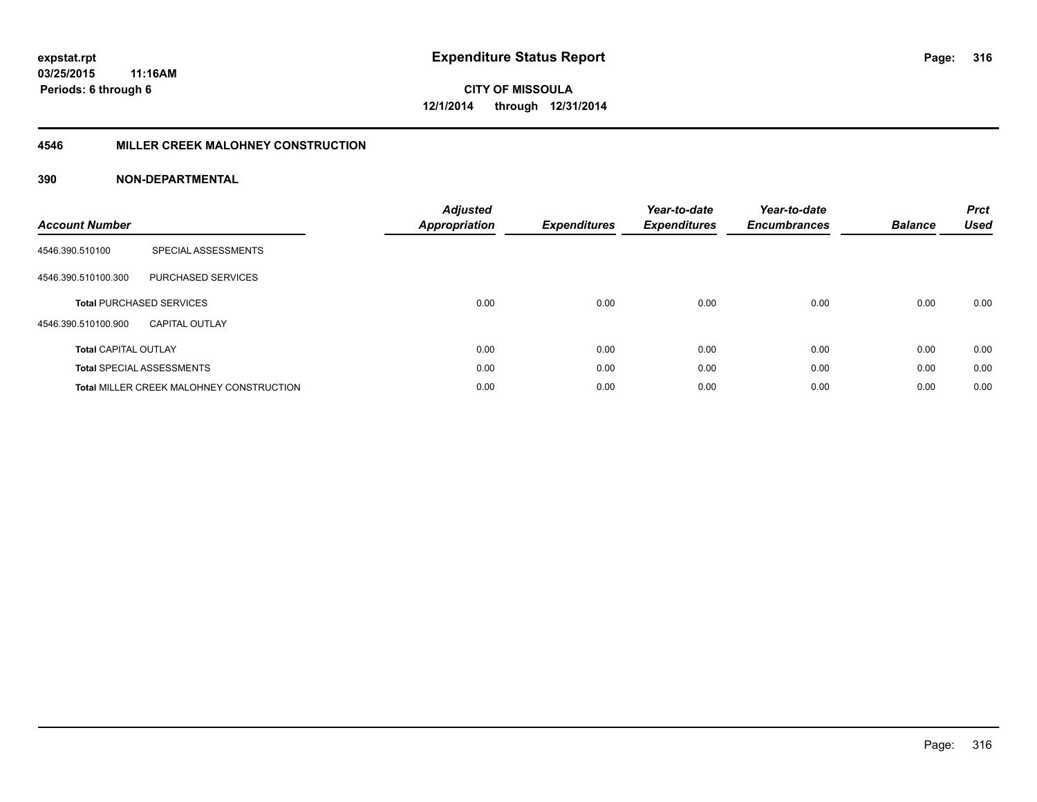#### **4546 MILLER CREEK MALOHNEY CONSTRUCTION**

| <b>Account Number</b>       |                                                 | <b>Adjusted</b><br><b>Appropriation</b> | <b>Expenditures</b> | Year-to-date<br><b>Expenditures</b> | Year-to-date<br><b>Encumbrances</b> | <b>Balance</b> | <b>Prct</b><br><b>Used</b> |
|-----------------------------|-------------------------------------------------|-----------------------------------------|---------------------|-------------------------------------|-------------------------------------|----------------|----------------------------|
| 4546.390.510100             | SPECIAL ASSESSMENTS                             |                                         |                     |                                     |                                     |                |                            |
| 4546.390.510100.300         | PURCHASED SERVICES                              |                                         |                     |                                     |                                     |                |                            |
|                             | <b>Total PURCHASED SERVICES</b>                 | 0.00                                    | 0.00                | 0.00                                | 0.00                                | 0.00           | 0.00                       |
| 4546.390.510100.900         | <b>CAPITAL OUTLAY</b>                           |                                         |                     |                                     |                                     |                |                            |
| <b>Total CAPITAL OUTLAY</b> |                                                 | 0.00                                    | 0.00                | 0.00                                | 0.00                                | 0.00           | 0.00                       |
|                             | <b>Total SPECIAL ASSESSMENTS</b>                | 0.00                                    | 0.00                | 0.00                                | 0.00                                | 0.00           | 0.00                       |
|                             | <b>Total MILLER CREEK MALOHNEY CONSTRUCTION</b> | 0.00                                    | 0.00                | 0.00                                | 0.00                                | 0.00           | 0.00                       |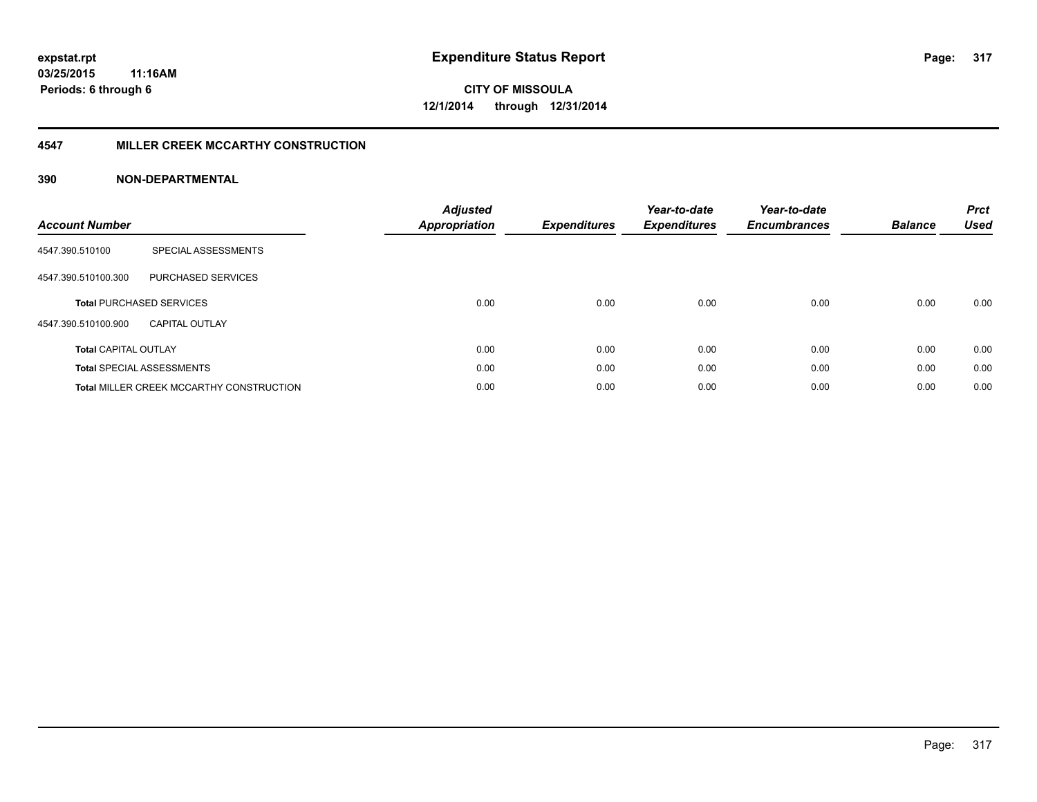#### **4547 MILLER CREEK MCCARTHY CONSTRUCTION**

| <b>Account Number</b>       |                                                 | <b>Adjusted</b><br>Appropriation | <b>Expenditures</b> | Year-to-date<br><b>Expenditures</b> | Year-to-date<br><b>Encumbrances</b> | <b>Balance</b> | <b>Prct</b><br><b>Used</b> |
|-----------------------------|-------------------------------------------------|----------------------------------|---------------------|-------------------------------------|-------------------------------------|----------------|----------------------------|
| 4547.390.510100             | SPECIAL ASSESSMENTS                             |                                  |                     |                                     |                                     |                |                            |
| 4547.390.510100.300         | <b>PURCHASED SERVICES</b>                       |                                  |                     |                                     |                                     |                |                            |
|                             | <b>Total PURCHASED SERVICES</b>                 | 0.00                             | 0.00                | 0.00                                | 0.00                                | 0.00           | 0.00                       |
| 4547.390.510100.900         | <b>CAPITAL OUTLAY</b>                           |                                  |                     |                                     |                                     |                |                            |
| <b>Total CAPITAL OUTLAY</b> |                                                 | 0.00                             | 0.00                | 0.00                                | 0.00                                | 0.00           | 0.00                       |
|                             | <b>Total SPECIAL ASSESSMENTS</b>                | 0.00                             | 0.00                | 0.00                                | 0.00                                | 0.00           | 0.00                       |
|                             | <b>Total MILLER CREEK MCCARTHY CONSTRUCTION</b> | 0.00                             | 0.00                | 0.00                                | 0.00                                | 0.00           | 0.00                       |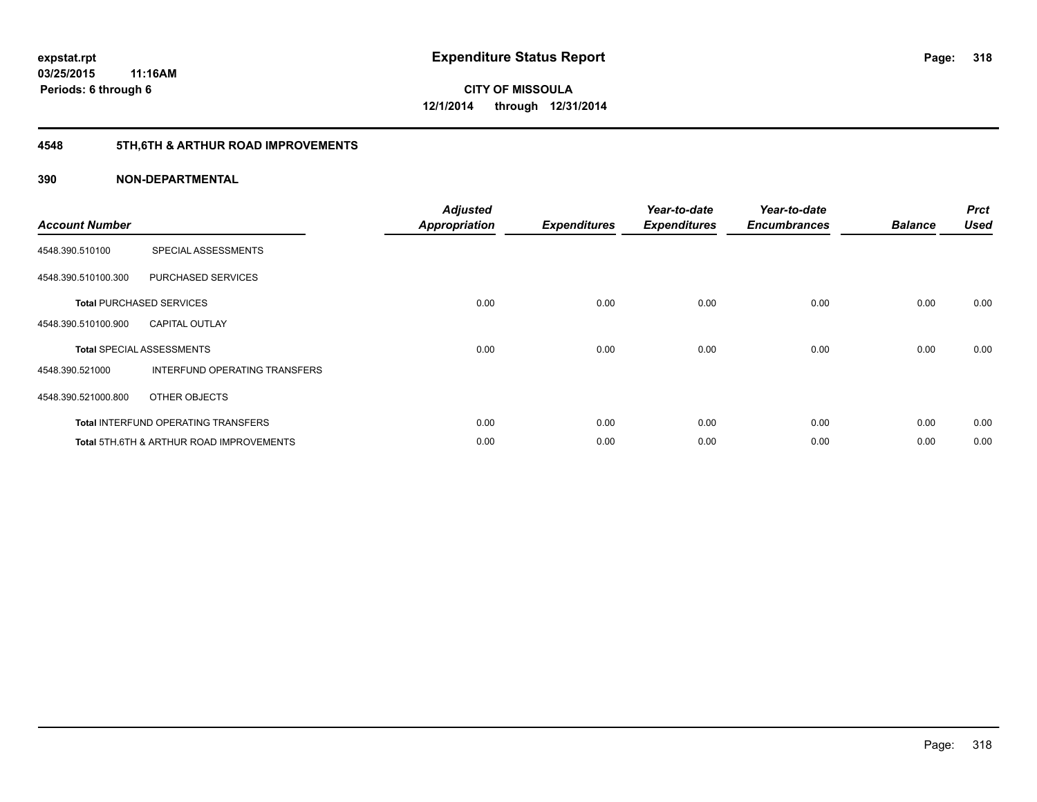# **4548 5TH,6TH & ARTHUR ROAD IMPROVEMENTS**

| <b>Account Number</b> |                                            | <b>Adjusted</b><br><b>Appropriation</b> | <b>Expenditures</b> | Year-to-date<br><b>Expenditures</b> | Year-to-date<br><b>Encumbrances</b> | <b>Balance</b> | <b>Prct</b><br><b>Used</b> |
|-----------------------|--------------------------------------------|-----------------------------------------|---------------------|-------------------------------------|-------------------------------------|----------------|----------------------------|
| 4548.390.510100       | SPECIAL ASSESSMENTS                        |                                         |                     |                                     |                                     |                |                            |
| 4548.390.510100.300   | PURCHASED SERVICES                         |                                         |                     |                                     |                                     |                |                            |
|                       | <b>Total PURCHASED SERVICES</b>            | 0.00                                    | 0.00                | 0.00                                | 0.00                                | 0.00           | 0.00                       |
| 4548.390.510100.900   | <b>CAPITAL OUTLAY</b>                      |                                         |                     |                                     |                                     |                |                            |
|                       | <b>Total SPECIAL ASSESSMENTS</b>           | 0.00                                    | 0.00                | 0.00                                | 0.00                                | 0.00           | 0.00                       |
| 4548.390.521000       | INTERFUND OPERATING TRANSFERS              |                                         |                     |                                     |                                     |                |                            |
| 4548.390.521000.800   | OTHER OBJECTS                              |                                         |                     |                                     |                                     |                |                            |
|                       | <b>Total INTERFUND OPERATING TRANSFERS</b> | 0.00                                    | 0.00                | 0.00                                | 0.00                                | 0.00           | 0.00                       |
|                       | Total 5TH.6TH & ARTHUR ROAD IMPROVEMENTS   | 0.00                                    | 0.00                | 0.00                                | 0.00                                | 0.00           | 0.00                       |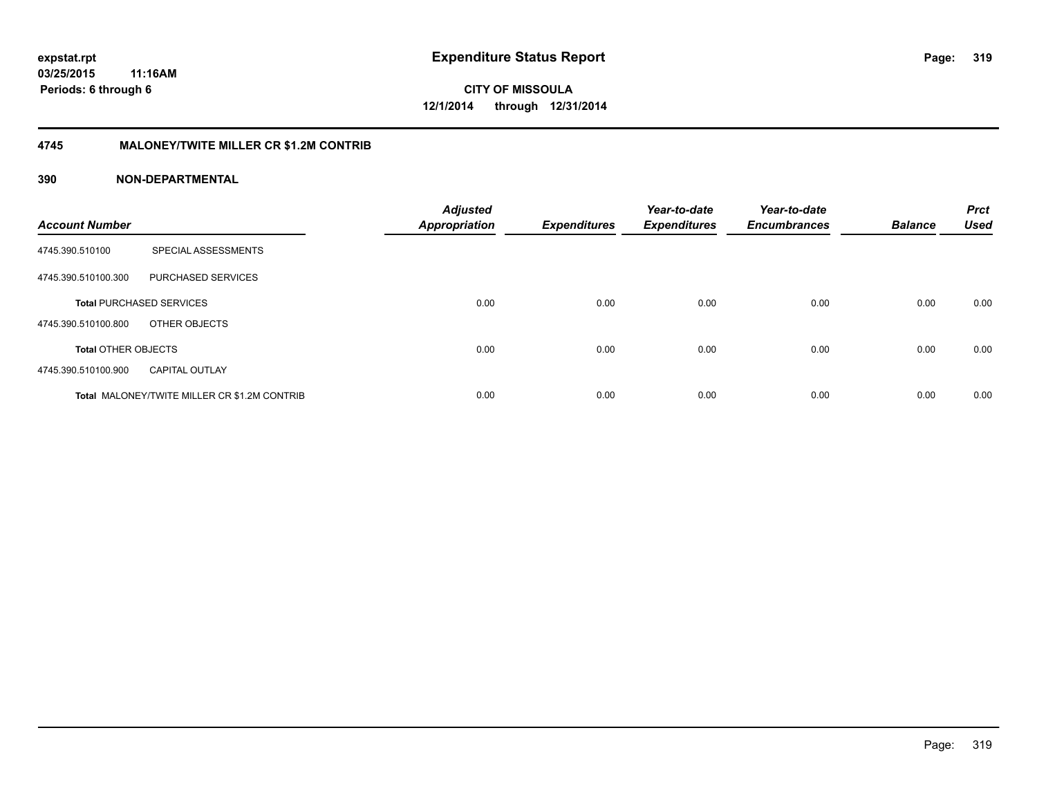#### **4745 MALONEY/TWITE MILLER CR \$1.2M CONTRIB**

| <b>Account Number</b>      |                                                     | <b>Adjusted</b><br><b>Appropriation</b> | <b>Expenditures</b> | Year-to-date<br><b>Expenditures</b> | Year-to-date<br><b>Encumbrances</b> | <b>Balance</b> | <b>Prct</b><br><b>Used</b> |
|----------------------------|-----------------------------------------------------|-----------------------------------------|---------------------|-------------------------------------|-------------------------------------|----------------|----------------------------|
| 4745.390.510100            | SPECIAL ASSESSMENTS                                 |                                         |                     |                                     |                                     |                |                            |
| 4745.390.510100.300        | PURCHASED SERVICES                                  |                                         |                     |                                     |                                     |                |                            |
|                            | <b>Total PURCHASED SERVICES</b>                     | 0.00                                    | 0.00                | 0.00                                | 0.00                                | 0.00           | 0.00                       |
| 4745.390.510100.800        | OTHER OBJECTS                                       |                                         |                     |                                     |                                     |                |                            |
| <b>Total OTHER OBJECTS</b> |                                                     | 0.00                                    | 0.00                | 0.00                                | 0.00                                | 0.00           | 0.00                       |
| 4745.390.510100.900        | <b>CAPITAL OUTLAY</b>                               |                                         |                     |                                     |                                     |                |                            |
|                            | <b>Total MALONEY/TWITE MILLER CR \$1.2M CONTRIB</b> | 0.00                                    | 0.00                | 0.00                                | 0.00                                | 0.00           | 0.00                       |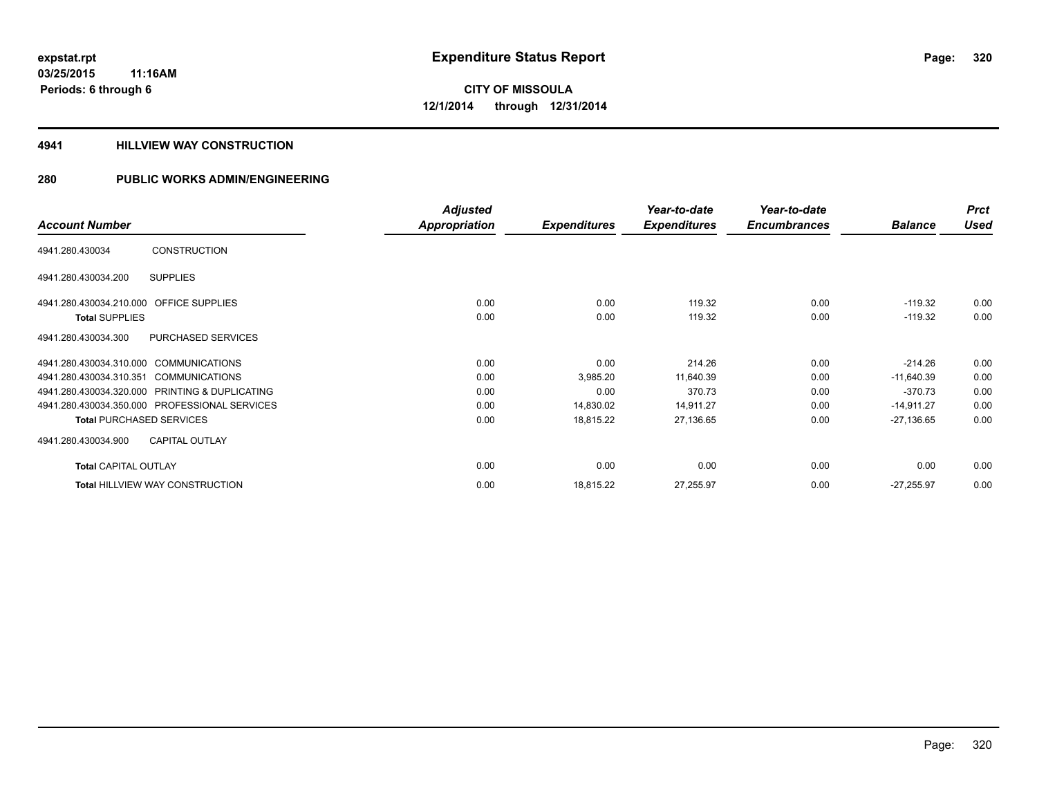#### **4941 HILLVIEW WAY CONSTRUCTION**

|                                                  | <b>Adjusted</b>      |                     | Year-to-date        | Year-to-date        |                | <b>Prct</b> |
|--------------------------------------------------|----------------------|---------------------|---------------------|---------------------|----------------|-------------|
| <b>Account Number</b>                            | <b>Appropriation</b> | <b>Expenditures</b> | <b>Expenditures</b> | <b>Encumbrances</b> | <b>Balance</b> | <b>Used</b> |
| <b>CONSTRUCTION</b><br>4941.280.430034           |                      |                     |                     |                     |                |             |
| <b>SUPPLIES</b><br>4941.280.430034.200           |                      |                     |                     |                     |                |             |
| 4941.280.430034.210.000 OFFICE SUPPLIES          | 0.00                 | 0.00                | 119.32              | 0.00                | $-119.32$      | 0.00        |
| <b>Total SUPPLIES</b>                            | 0.00                 | 0.00                | 119.32              | 0.00                | $-119.32$      | 0.00        |
| PURCHASED SERVICES<br>4941.280.430034.300        |                      |                     |                     |                     |                |             |
| 4941.280.430034.310.000 COMMUNICATIONS           | 0.00                 | 0.00                | 214.26              | 0.00                | $-214.26$      | 0.00        |
| 4941.280.430034.310.351<br><b>COMMUNICATIONS</b> | 0.00                 | 3,985.20            | 11,640.39           | 0.00                | $-11,640.39$   | 0.00        |
| 4941.280.430034.320.000 PRINTING & DUPLICATING   | 0.00                 | 0.00                | 370.73              | 0.00                | $-370.73$      | 0.00        |
| 4941.280.430034.350.000 PROFESSIONAL SERVICES    | 0.00                 | 14,830.02           | 14,911.27           | 0.00                | $-14,911.27$   | 0.00        |
| <b>Total PURCHASED SERVICES</b>                  | 0.00                 | 18,815.22           | 27,136.65           | 0.00                | $-27,136.65$   | 0.00        |
| <b>CAPITAL OUTLAY</b><br>4941.280.430034.900     |                      |                     |                     |                     |                |             |
| <b>Total CAPITAL OUTLAY</b>                      | 0.00                 | 0.00                | 0.00                | 0.00                | 0.00           | 0.00        |
| <b>Total HILLVIEW WAY CONSTRUCTION</b>           | 0.00                 | 18,815.22           | 27,255.97           | 0.00                | $-27,255.97$   | 0.00        |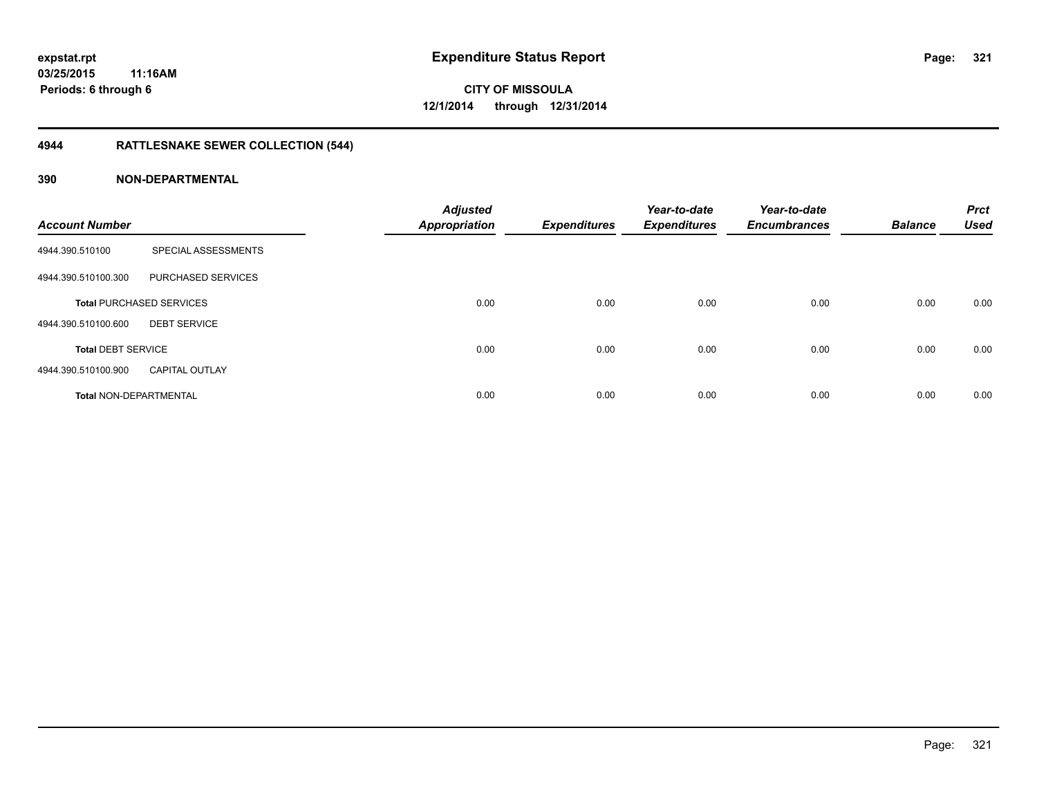# **4944 RATTLESNAKE SEWER COLLECTION (544)**

| <b>Account Number</b>         |                                 | <b>Adjusted</b><br><b>Appropriation</b> | <b>Expenditures</b> | Year-to-date<br><b>Expenditures</b> | Year-to-date<br><b>Encumbrances</b> | <b>Balance</b> | <b>Prct</b><br><b>Used</b> |
|-------------------------------|---------------------------------|-----------------------------------------|---------------------|-------------------------------------|-------------------------------------|----------------|----------------------------|
| 4944.390.510100               | SPECIAL ASSESSMENTS             |                                         |                     |                                     |                                     |                |                            |
| 4944.390.510100.300           | PURCHASED SERVICES              |                                         |                     |                                     |                                     |                |                            |
|                               | <b>Total PURCHASED SERVICES</b> | 0.00                                    | 0.00                | 0.00                                | 0.00                                | 0.00           | 0.00                       |
| 4944.390.510100.600           | <b>DEBT SERVICE</b>             |                                         |                     |                                     |                                     |                |                            |
| <b>Total DEBT SERVICE</b>     |                                 | 0.00                                    | 0.00                | 0.00                                | 0.00                                | 0.00           | 0.00                       |
| 4944.390.510100.900           | <b>CAPITAL OUTLAY</b>           |                                         |                     |                                     |                                     |                |                            |
| <b>Total NON-DEPARTMENTAL</b> |                                 | 0.00                                    | 0.00                | 0.00                                | 0.00                                | 0.00           | 0.00                       |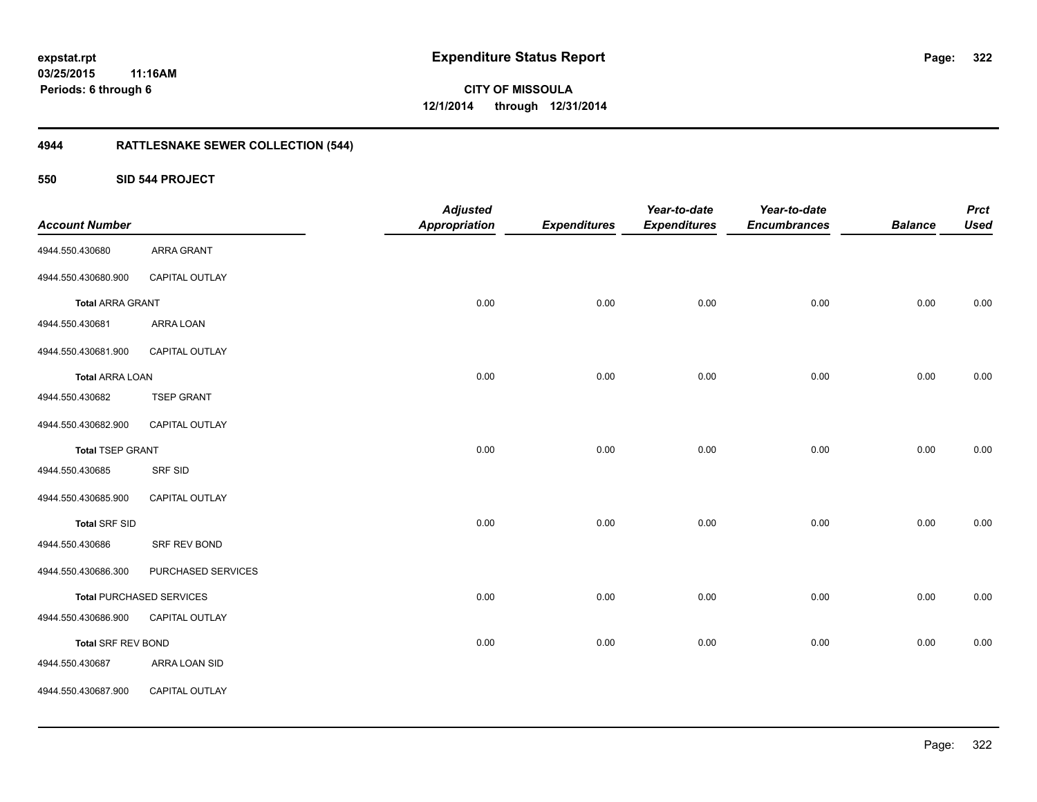**CITY OF MISSOULA 12/1/2014 through 12/31/2014**

# **4944 RATTLESNAKE SEWER COLLECTION (544)**

**550 SID 544 PROJECT**

| <b>Account Number</b>   |                                 | <b>Adjusted</b><br><b>Appropriation</b> | <b>Expenditures</b> | Year-to-date<br><b>Expenditures</b> | Year-to-date<br><b>Encumbrances</b> | <b>Balance</b> | <b>Prct</b><br><b>Used</b> |
|-------------------------|---------------------------------|-----------------------------------------|---------------------|-------------------------------------|-------------------------------------|----------------|----------------------------|
| 4944.550.430680         | <b>ARRA GRANT</b>               |                                         |                     |                                     |                                     |                |                            |
| 4944.550.430680.900     | CAPITAL OUTLAY                  |                                         |                     |                                     |                                     |                |                            |
| <b>Total ARRA GRANT</b> |                                 | 0.00                                    | 0.00                | 0.00                                | 0.00                                | 0.00           | 0.00                       |
| 4944.550.430681         | ARRA LOAN                       |                                         |                     |                                     |                                     |                |                            |
| 4944.550.430681.900     | CAPITAL OUTLAY                  |                                         |                     |                                     |                                     |                |                            |
| <b>Total ARRA LOAN</b>  |                                 | 0.00                                    | 0.00                | 0.00                                | 0.00                                | 0.00           | 0.00                       |
| 4944.550.430682         | <b>TSEP GRANT</b>               |                                         |                     |                                     |                                     |                |                            |
| 4944.550.430682.900     | CAPITAL OUTLAY                  |                                         |                     |                                     |                                     |                |                            |
| <b>Total TSEP GRANT</b> |                                 | 0.00                                    | 0.00                | 0.00                                | 0.00                                | 0.00           | 0.00                       |
| 4944.550.430685         | SRF SID                         |                                         |                     |                                     |                                     |                |                            |
| 4944.550.430685.900     | CAPITAL OUTLAY                  |                                         |                     |                                     |                                     |                |                            |
| <b>Total SRF SID</b>    |                                 | 0.00                                    | 0.00                | 0.00                                | 0.00                                | 0.00           | 0.00                       |
| 4944.550.430686         | SRF REV BOND                    |                                         |                     |                                     |                                     |                |                            |
| 4944.550.430686.300     | PURCHASED SERVICES              |                                         |                     |                                     |                                     |                |                            |
|                         | <b>Total PURCHASED SERVICES</b> | 0.00                                    | 0.00                | 0.00                                | 0.00                                | 0.00           | 0.00                       |
| 4944.550.430686.900     | CAPITAL OUTLAY                  |                                         |                     |                                     |                                     |                |                            |
| Total SRF REV BOND      |                                 | 0.00                                    | 0.00                | 0.00                                | 0.00                                | 0.00           | 0.00                       |
| 4944.550.430687         | ARRA LOAN SID                   |                                         |                     |                                     |                                     |                |                            |
| 4944.550.430687.900     | CAPITAL OUTLAY                  |                                         |                     |                                     |                                     |                |                            |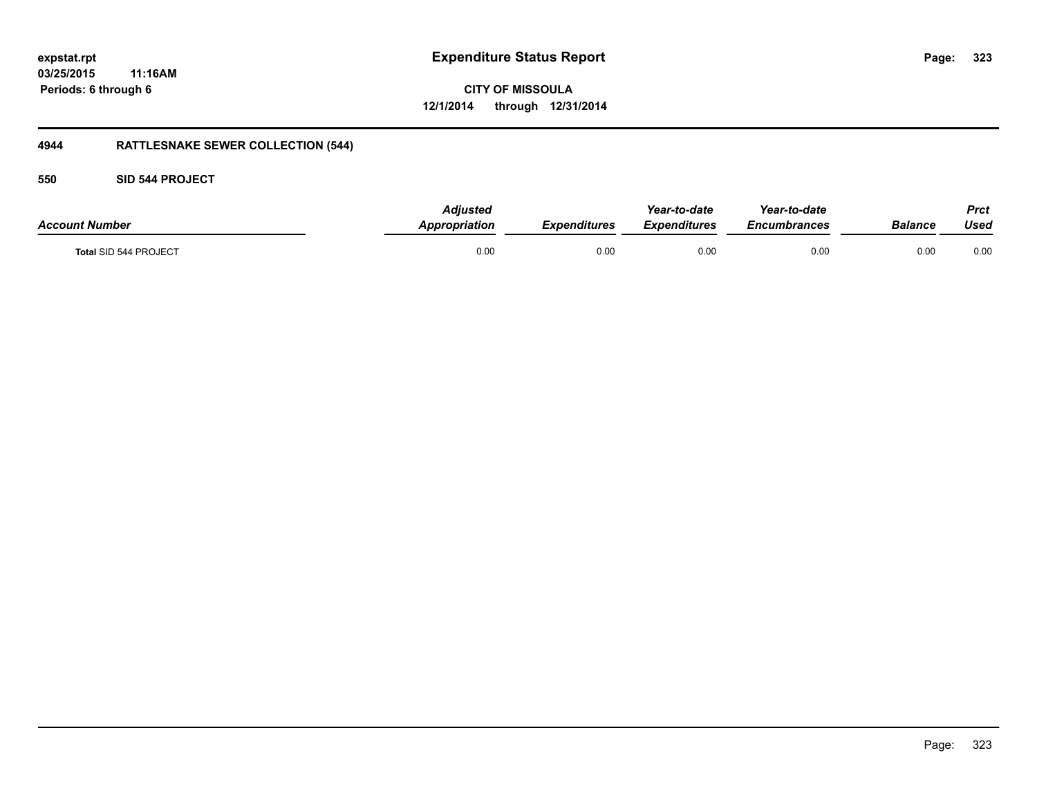**CITY OF MISSOULA 12/1/2014 through 12/31/2014**

# **4944 RATTLESNAKE SEWER COLLECTION (544)**

### **550 SID 544 PROJECT**

| <b>Account Number</b> | <b>Adjusted</b><br><b>Appropriation</b> | <b>Expenditures</b> | Year-to-date<br><b>Expenditures</b> | Year-to-date<br><i><b>Encumbrances</b></i> | <b>Balance</b> | <b>Prct</b><br>Used |
|-----------------------|-----------------------------------------|---------------------|-------------------------------------|--------------------------------------------|----------------|---------------------|
| Total SID 544 PROJECT | 0.00                                    | 0.00                | 0.00                                | 0.00                                       | 0.00           | 0.00                |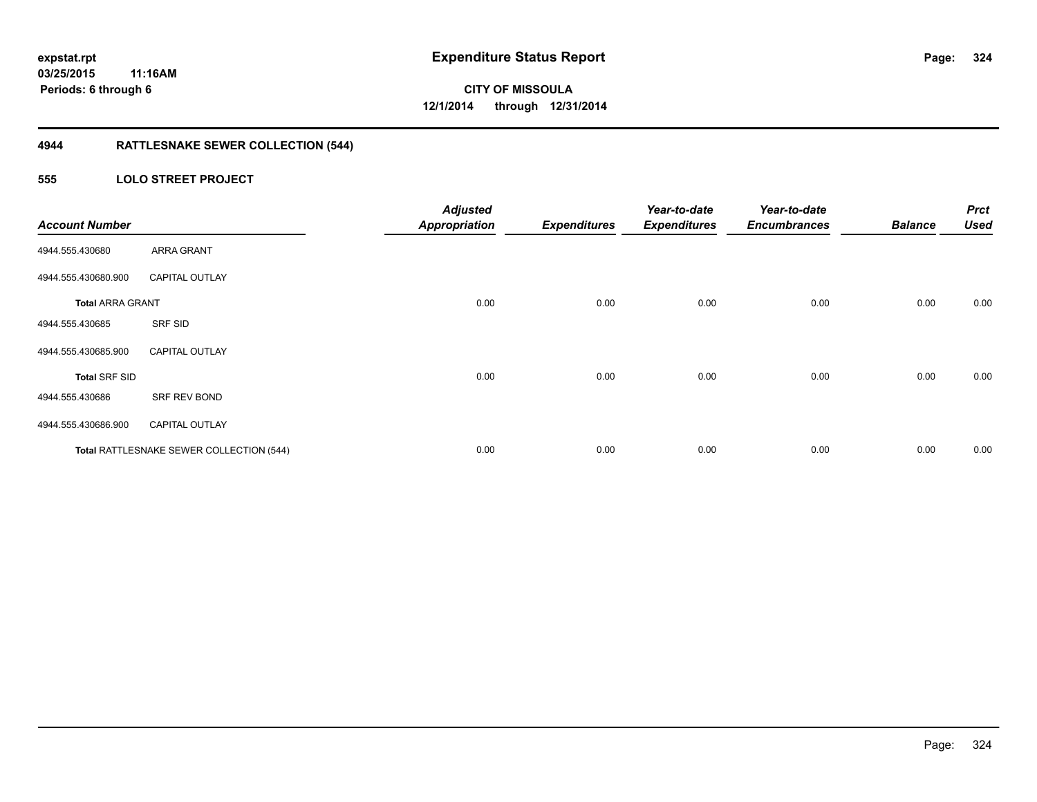# **4944 RATTLESNAKE SEWER COLLECTION (544)**

### **555 LOLO STREET PROJECT**

| <b>Account Number</b>   |                                          | <b>Adjusted</b><br><b>Appropriation</b> | <b>Expenditures</b> | Year-to-date<br><b>Expenditures</b> | Year-to-date<br><b>Encumbrances</b> | <b>Balance</b> | <b>Prct</b><br><b>Used</b> |
|-------------------------|------------------------------------------|-----------------------------------------|---------------------|-------------------------------------|-------------------------------------|----------------|----------------------------|
| 4944.555.430680         | ARRA GRANT                               |                                         |                     |                                     |                                     |                |                            |
| 4944.555.430680.900     | <b>CAPITAL OUTLAY</b>                    |                                         |                     |                                     |                                     |                |                            |
| <b>Total ARRA GRANT</b> |                                          | 0.00                                    | 0.00                | 0.00                                | 0.00                                | 0.00           | 0.00                       |
| 4944.555.430685         | SRF SID                                  |                                         |                     |                                     |                                     |                |                            |
| 4944.555.430685.900     | <b>CAPITAL OUTLAY</b>                    |                                         |                     |                                     |                                     |                |                            |
| <b>Total SRF SID</b>    |                                          | 0.00                                    | 0.00                | 0.00                                | 0.00                                | 0.00           | 0.00                       |
| 4944.555.430686         | SRF REV BOND                             |                                         |                     |                                     |                                     |                |                            |
| 4944.555.430686.900     | <b>CAPITAL OUTLAY</b>                    |                                         |                     |                                     |                                     |                |                            |
|                         | Total RATTLESNAKE SEWER COLLECTION (544) | 0.00                                    | 0.00                | 0.00                                | 0.00                                | 0.00           | 0.00                       |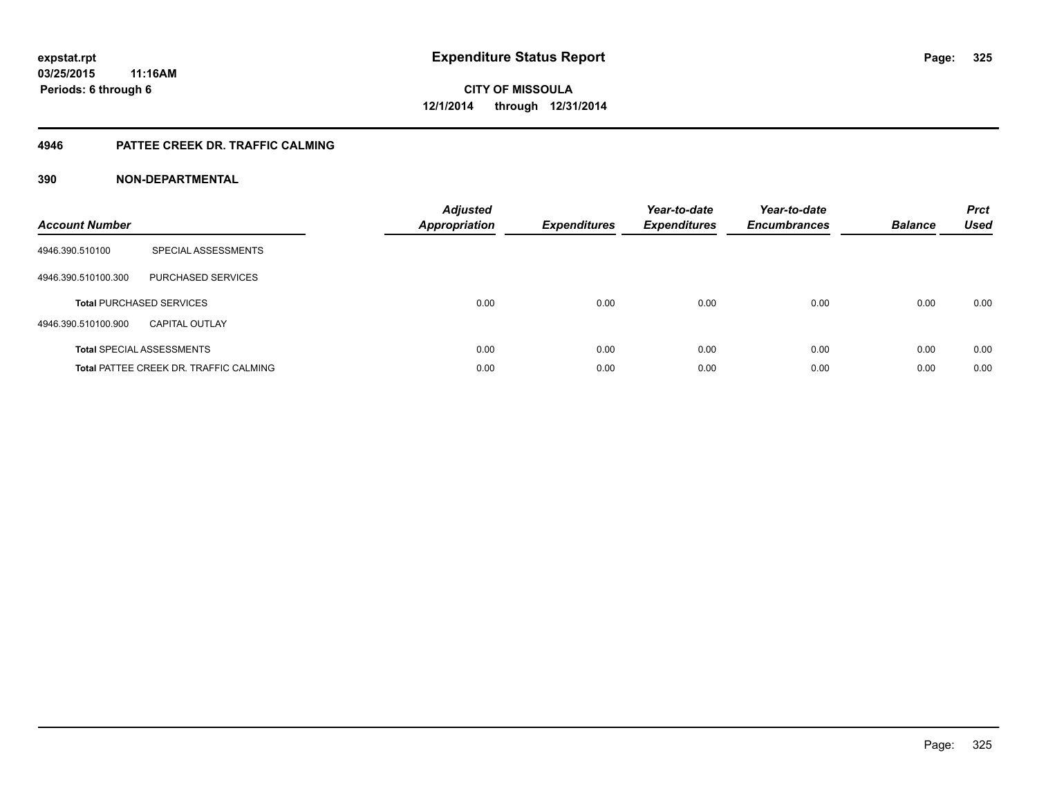# **4946 PATTEE CREEK DR. TRAFFIC CALMING**

# **390 NON-DEPARTMENTAL**

| <b>Account Number</b> |                                               | <b>Adjusted</b><br>Appropriation | <b>Expenditures</b> | Year-to-date<br><b>Expenditures</b> | Year-to-date<br><b>Encumbrances</b> | <b>Balance</b> | <b>Prct</b><br><b>Used</b> |
|-----------------------|-----------------------------------------------|----------------------------------|---------------------|-------------------------------------|-------------------------------------|----------------|----------------------------|
| 4946.390.510100       | SPECIAL ASSESSMENTS                           |                                  |                     |                                     |                                     |                |                            |
| 4946.390.510100.300   | PURCHASED SERVICES                            |                                  |                     |                                     |                                     |                |                            |
|                       | <b>Total PURCHASED SERVICES</b>               | 0.00                             | 0.00                | 0.00                                | 0.00                                | 0.00           | 0.00                       |
| 4946.390.510100.900   | <b>CAPITAL OUTLAY</b>                         |                                  |                     |                                     |                                     |                |                            |
|                       | <b>Total SPECIAL ASSESSMENTS</b>              | 0.00                             | 0.00                | 0.00                                | 0.00                                | 0.00           | 0.00                       |
|                       | <b>Total PATTEE CREEK DR. TRAFFIC CALMING</b> | 0.00                             | 0.00                | 0.00                                | 0.00                                | 0.00           | 0.00                       |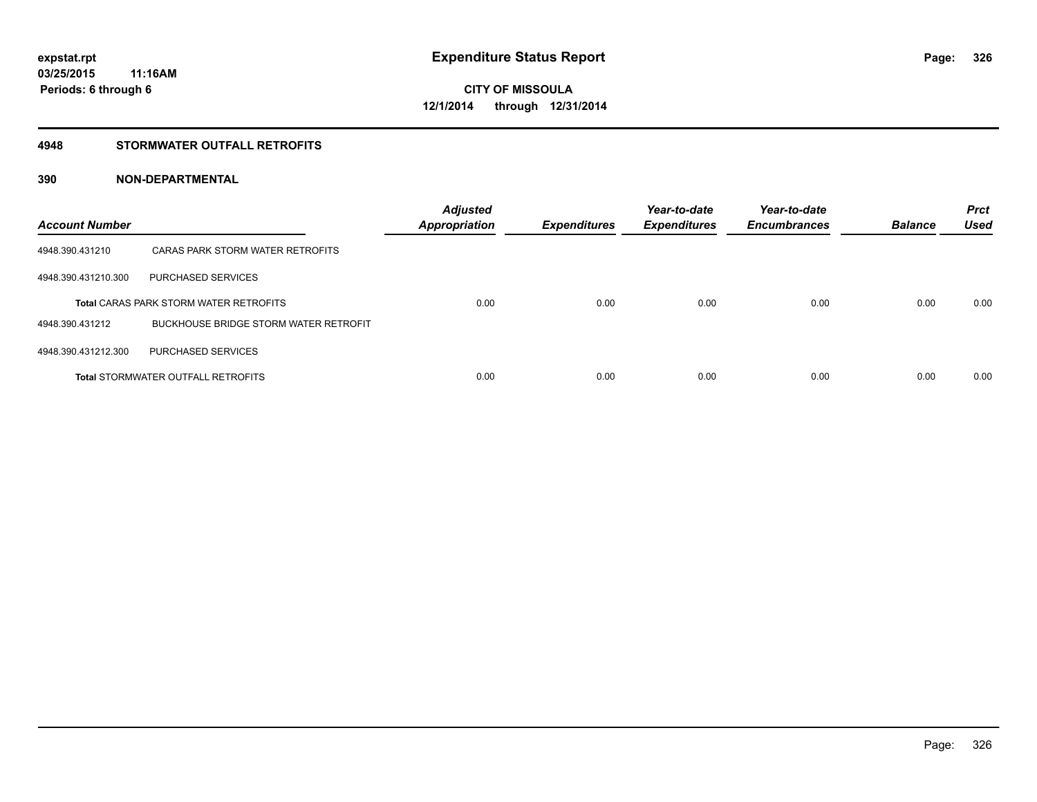# **4948 STORMWATER OUTFALL RETROFITS**

# **390 NON-DEPARTMENTAL**

| <b>Account Number</b> |                                               | <b>Adjusted</b><br><b>Appropriation</b> | <b>Expenditures</b> | Year-to-date<br><b>Expenditures</b> | Year-to-date<br><b>Encumbrances</b> | <b>Balance</b> | <b>Prct</b><br><b>Used</b> |
|-----------------------|-----------------------------------------------|-----------------------------------------|---------------------|-------------------------------------|-------------------------------------|----------------|----------------------------|
| 4948.390.431210       | CARAS PARK STORM WATER RETROFITS              |                                         |                     |                                     |                                     |                |                            |
| 4948.390.431210.300   | <b>PURCHASED SERVICES</b>                     |                                         |                     |                                     |                                     |                |                            |
|                       | <b>Total CARAS PARK STORM WATER RETROFITS</b> | 0.00                                    | 0.00                | 0.00                                | 0.00                                | 0.00           | 0.00                       |
| 4948.390.431212       | <b>BUCKHOUSE BRIDGE STORM WATER RETROFIT</b>  |                                         |                     |                                     |                                     |                |                            |
| 4948.390.431212.300   | <b>PURCHASED SERVICES</b>                     |                                         |                     |                                     |                                     |                |                            |
|                       | <b>Total STORMWATER OUTFALL RETROFITS</b>     | 0.00                                    | 0.00                | 0.00                                | 0.00                                | 0.00           | 0.00                       |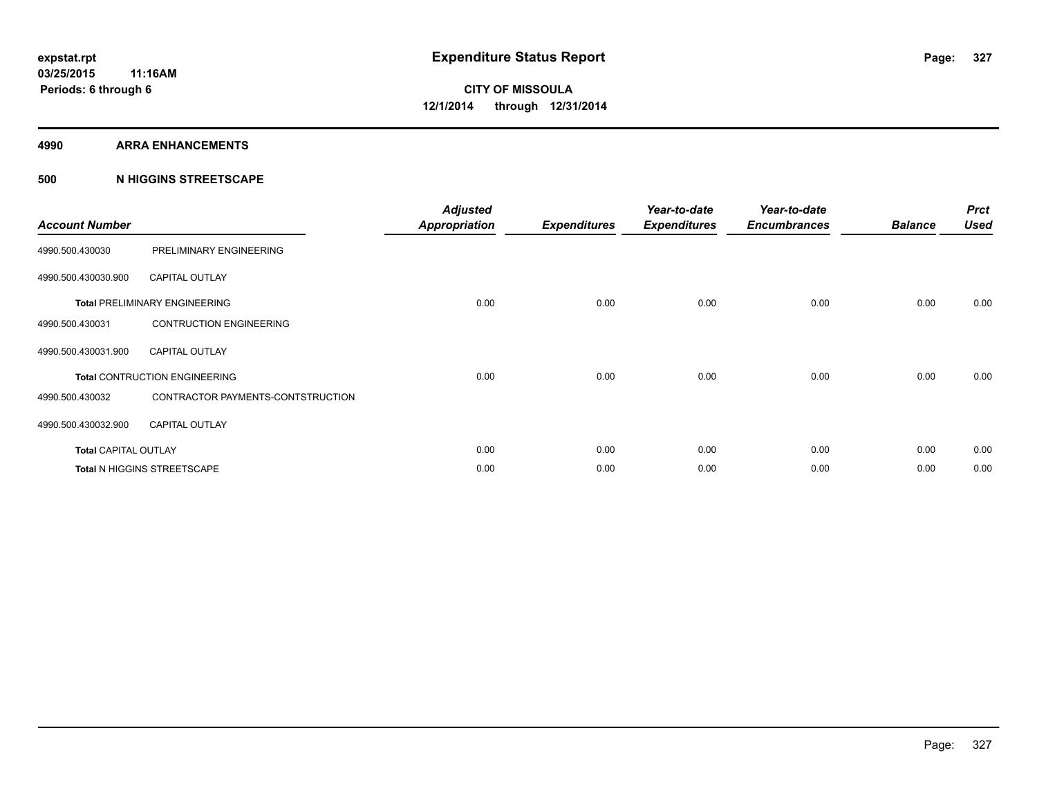### **4990 ARRA ENHANCEMENTS**

# **500 N HIGGINS STREETSCAPE**

| <b>Account Number</b>       |                                      | <b>Adjusted</b><br><b>Appropriation</b> | <b>Expenditures</b> | Year-to-date<br><b>Expenditures</b> | Year-to-date<br><b>Encumbrances</b> | <b>Balance</b> | <b>Prct</b><br><b>Used</b> |
|-----------------------------|--------------------------------------|-----------------------------------------|---------------------|-------------------------------------|-------------------------------------|----------------|----------------------------|
| 4990.500.430030             | PRELIMINARY ENGINEERING              |                                         |                     |                                     |                                     |                |                            |
| 4990.500.430030.900         | <b>CAPITAL OUTLAY</b>                |                                         |                     |                                     |                                     |                |                            |
|                             | <b>Total PRELIMINARY ENGINEERING</b> | 0.00                                    | 0.00                | 0.00                                | 0.00                                | 0.00           | 0.00                       |
| 4990.500.430031             | <b>CONTRUCTION ENGINEERING</b>       |                                         |                     |                                     |                                     |                |                            |
| 4990.500.430031.900         | <b>CAPITAL OUTLAY</b>                |                                         |                     |                                     |                                     |                |                            |
|                             | <b>Total CONTRUCTION ENGINEERING</b> | 0.00                                    | 0.00                | 0.00                                | 0.00                                | 0.00           | 0.00                       |
| 4990.500.430032             | CONTRACTOR PAYMENTS-CONTSTRUCTION    |                                         |                     |                                     |                                     |                |                            |
| 4990.500.430032.900         | <b>CAPITAL OUTLAY</b>                |                                         |                     |                                     |                                     |                |                            |
| <b>Total CAPITAL OUTLAY</b> |                                      | 0.00                                    | 0.00                | 0.00                                | 0.00                                | 0.00           | 0.00                       |
|                             | Total N HIGGINS STREETSCAPE          | 0.00                                    | 0.00                | 0.00                                | 0.00                                | 0.00           | 0.00                       |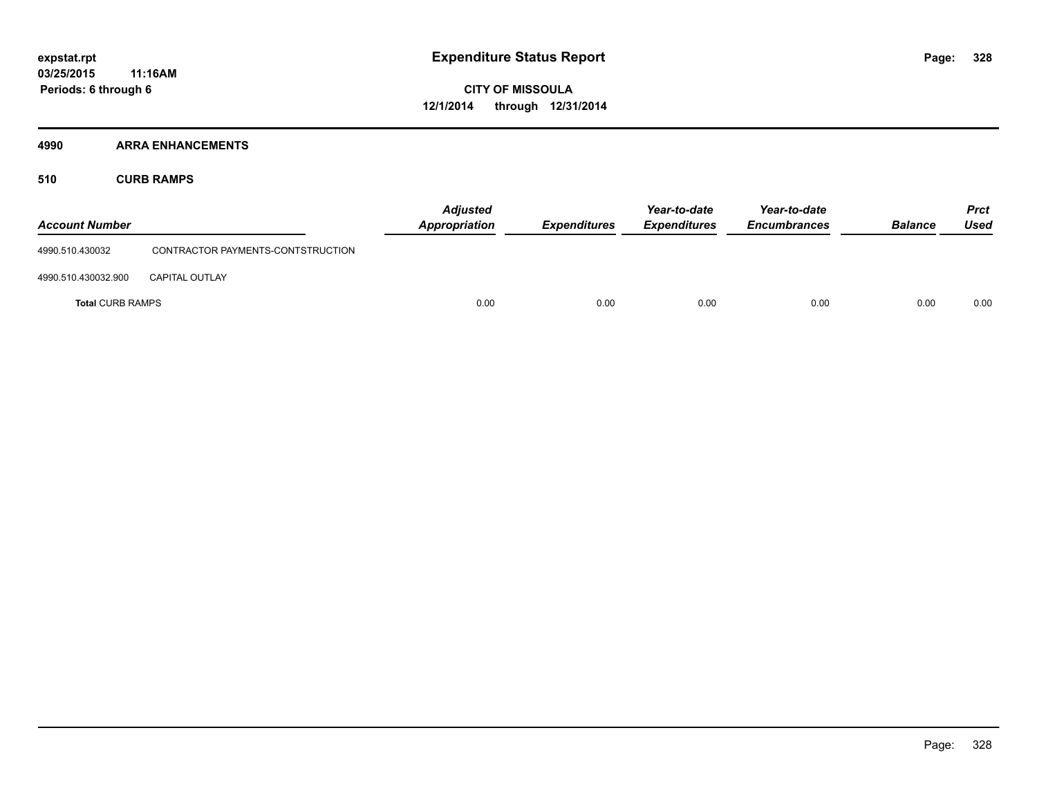# **4990 ARRA ENHANCEMENTS**

**510 CURB RAMPS**

| <b>Account Number</b>   |                                   | <b>Adjusted</b><br><b>Appropriation</b> | <b>Expenditures</b> | Year-to-date<br><b>Expenditures</b> | Year-to-date<br><b>Encumbrances</b> | <b>Balance</b> | <b>Prct</b><br><b>Used</b> |
|-------------------------|-----------------------------------|-----------------------------------------|---------------------|-------------------------------------|-------------------------------------|----------------|----------------------------|
| 4990.510.430032         | CONTRACTOR PAYMENTS-CONTSTRUCTION |                                         |                     |                                     |                                     |                |                            |
| 4990.510.430032.900     | <b>CAPITAL OUTLAY</b>             |                                         |                     |                                     |                                     |                |                            |
| <b>Total CURB RAMPS</b> |                                   | 0.00                                    | 0.00                | 0.00                                | 0.00                                | 0.00           | 0.00                       |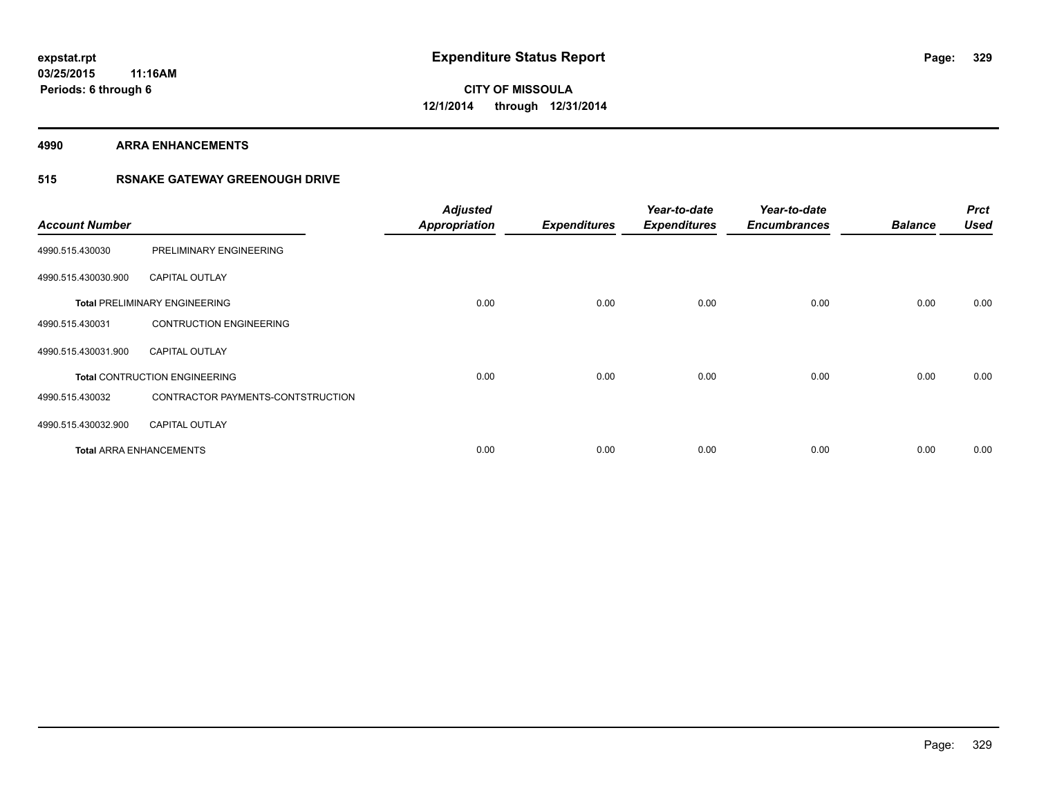**4990 ARRA ENHANCEMENTS**

# **515 RSNAKE GATEWAY GREENOUGH DRIVE**

| <b>Account Number</b> |                                      | <b>Adjusted</b><br><b>Appropriation</b> | <b>Expenditures</b> | Year-to-date<br><b>Expenditures</b> | Year-to-date<br><b>Encumbrances</b> | <b>Balance</b> | <b>Prct</b><br><b>Used</b> |
|-----------------------|--------------------------------------|-----------------------------------------|---------------------|-------------------------------------|-------------------------------------|----------------|----------------------------|
| 4990.515.430030       | PRELIMINARY ENGINEERING              |                                         |                     |                                     |                                     |                |                            |
| 4990.515.430030.900   | <b>CAPITAL OUTLAY</b>                |                                         |                     |                                     |                                     |                |                            |
|                       | <b>Total PRELIMINARY ENGINEERING</b> | 0.00                                    | 0.00                | 0.00                                | 0.00                                | 0.00           | 0.00                       |
| 4990.515.430031       | <b>CONTRUCTION ENGINEERING</b>       |                                         |                     |                                     |                                     |                |                            |
| 4990.515.430031.900   | <b>CAPITAL OUTLAY</b>                |                                         |                     |                                     |                                     |                |                            |
|                       | <b>Total CONTRUCTION ENGINEERING</b> | 0.00                                    | 0.00                | 0.00                                | 0.00                                | 0.00           | 0.00                       |
| 4990.515.430032       | CONTRACTOR PAYMENTS-CONTSTRUCTION    |                                         |                     |                                     |                                     |                |                            |
| 4990.515.430032.900   | <b>CAPITAL OUTLAY</b>                |                                         |                     |                                     |                                     |                |                            |
|                       | <b>Total ARRA ENHANCEMENTS</b>       | 0.00                                    | 0.00                | 0.00                                | 0.00                                | 0.00           | 0.00                       |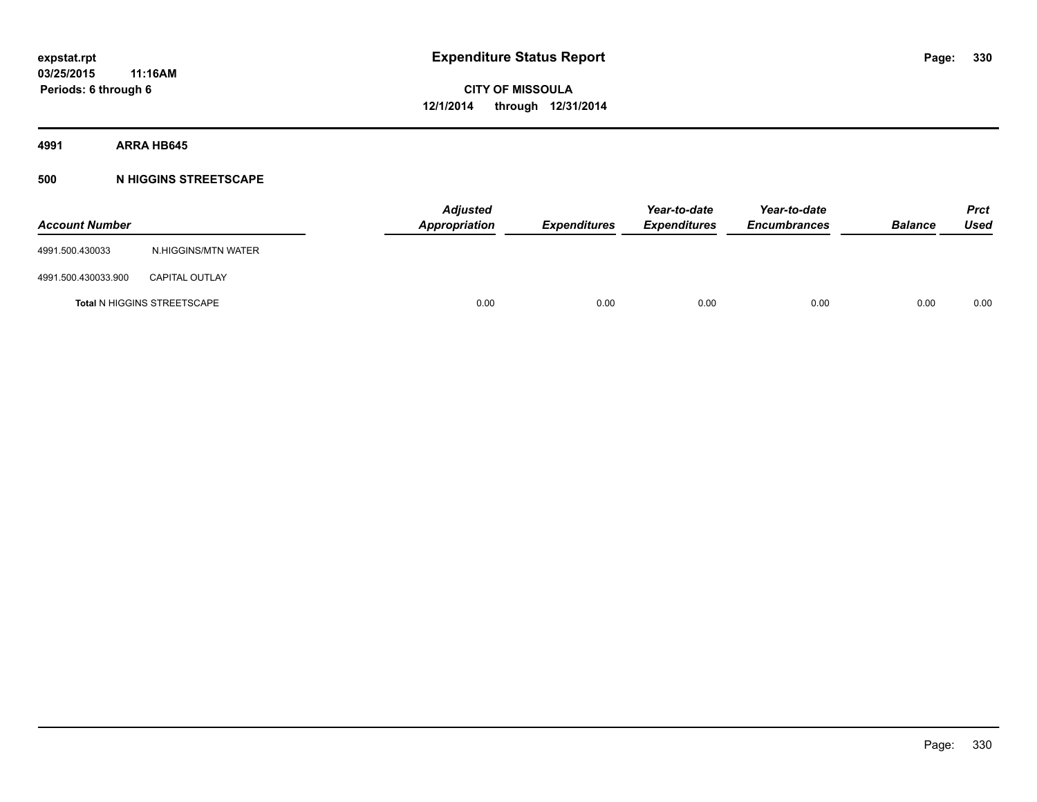**4991 ARRA HB645**

# **500 N HIGGINS STREETSCAPE**

| <b>Account Number</b> |                                    | <b>Adjusted</b><br><b>Appropriation</b> | <b>Expenditures</b> | Year-to-date<br><b>Expenditures</b> | Year-to-date<br><b>Encumbrances</b> | <b>Balance</b> | <b>Prct</b><br><b>Used</b> |
|-----------------------|------------------------------------|-----------------------------------------|---------------------|-------------------------------------|-------------------------------------|----------------|----------------------------|
| 4991.500.430033       | N.HIGGINS/MTN WATER                |                                         |                     |                                     |                                     |                |                            |
| 4991.500.430033.900   | <b>CAPITAL OUTLAY</b>              |                                         |                     |                                     |                                     |                |                            |
|                       | <b>Total N HIGGINS STREETSCAPE</b> | 0.00                                    | 0.00                | 0.00                                | 0.00                                | 0.00           | 0.00                       |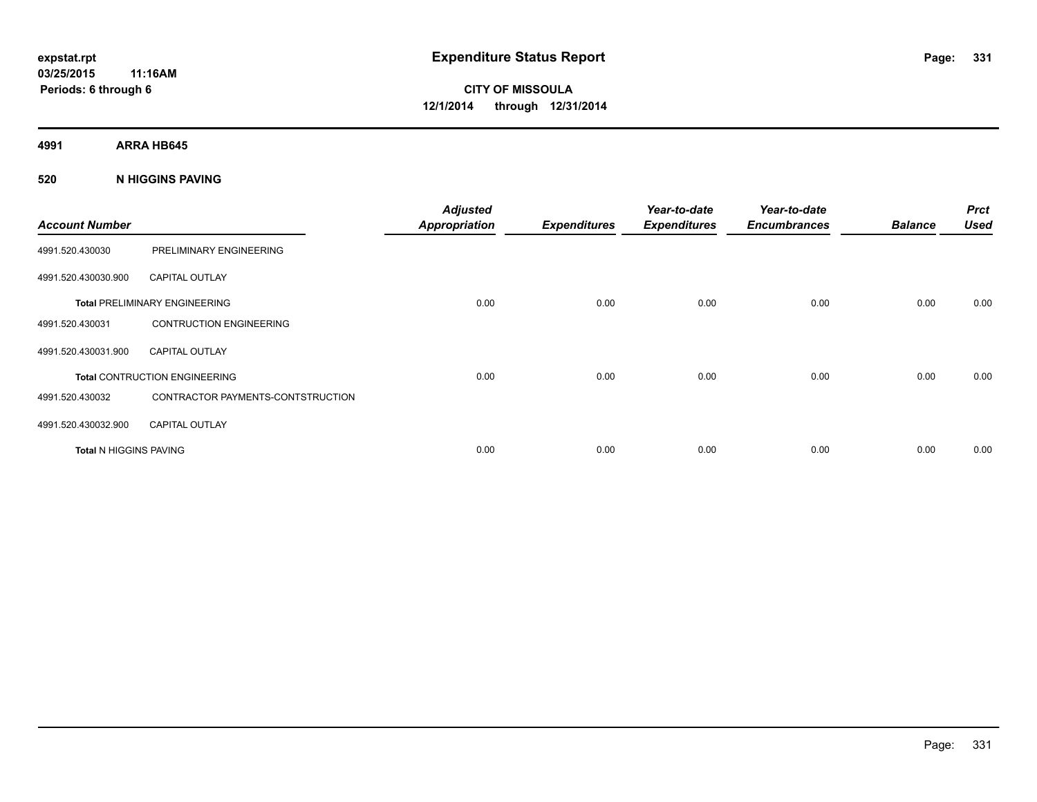**4991 ARRA HB645**

# **520 N HIGGINS PAVING**

| <b>Account Number</b>         |                                      | <b>Adjusted</b><br><b>Appropriation</b> | <b>Expenditures</b> | Year-to-date<br><b>Expenditures</b> | Year-to-date<br><b>Encumbrances</b> | <b>Balance</b> | <b>Prct</b><br><b>Used</b> |
|-------------------------------|--------------------------------------|-----------------------------------------|---------------------|-------------------------------------|-------------------------------------|----------------|----------------------------|
| 4991.520.430030               | PRELIMINARY ENGINEERING              |                                         |                     |                                     |                                     |                |                            |
| 4991.520.430030.900           | <b>CAPITAL OUTLAY</b>                |                                         |                     |                                     |                                     |                |                            |
|                               | <b>Total PRELIMINARY ENGINEERING</b> | 0.00                                    | 0.00                | 0.00                                | 0.00                                | 0.00           | 0.00                       |
| 4991.520.430031               | <b>CONTRUCTION ENGINEERING</b>       |                                         |                     |                                     |                                     |                |                            |
| 4991.520.430031.900           | <b>CAPITAL OUTLAY</b>                |                                         |                     |                                     |                                     |                |                            |
|                               | <b>Total CONTRUCTION ENGINEERING</b> | 0.00                                    | 0.00                | 0.00                                | 0.00                                | 0.00           | 0.00                       |
| 4991.520.430032               | CONTRACTOR PAYMENTS-CONTSTRUCTION    |                                         |                     |                                     |                                     |                |                            |
| 4991.520.430032.900           | <b>CAPITAL OUTLAY</b>                |                                         |                     |                                     |                                     |                |                            |
| <b>Total N HIGGINS PAVING</b> |                                      | 0.00                                    | 0.00                | 0.00                                | 0.00                                | 0.00           | 0.00                       |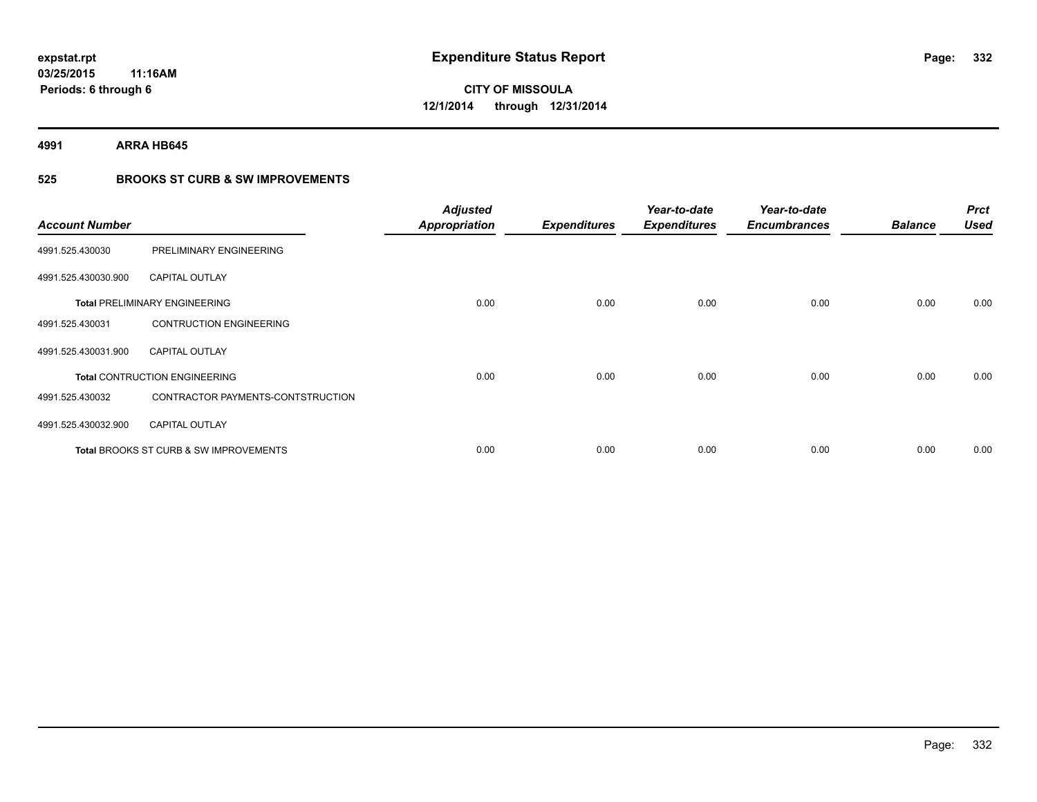**4991 ARRA HB645**

# **525 BROOKS ST CURB & SW IMPROVEMENTS**

| <b>Account Number</b> |                                                   | <b>Adjusted</b><br><b>Appropriation</b> | <b>Expenditures</b> | Year-to-date<br><b>Expenditures</b> | Year-to-date<br><b>Encumbrances</b> | <b>Balance</b> | <b>Prct</b><br><b>Used</b> |
|-----------------------|---------------------------------------------------|-----------------------------------------|---------------------|-------------------------------------|-------------------------------------|----------------|----------------------------|
| 4991.525.430030       | PRELIMINARY ENGINEERING                           |                                         |                     |                                     |                                     |                |                            |
| 4991.525.430030.900   | <b>CAPITAL OUTLAY</b>                             |                                         |                     |                                     |                                     |                |                            |
|                       | <b>Total PRELIMINARY ENGINEERING</b>              | 0.00                                    | 0.00                | 0.00                                | 0.00                                | 0.00           | 0.00                       |
| 4991.525.430031       | <b>CONTRUCTION ENGINEERING</b>                    |                                         |                     |                                     |                                     |                |                            |
| 4991.525.430031.900   | <b>CAPITAL OUTLAY</b>                             |                                         |                     |                                     |                                     |                |                            |
|                       | <b>Total CONTRUCTION ENGINEERING</b>              | 0.00                                    | 0.00                | 0.00                                | 0.00                                | 0.00           | 0.00                       |
| 4991.525.430032       | CONTRACTOR PAYMENTS-CONTSTRUCTION                 |                                         |                     |                                     |                                     |                |                            |
| 4991.525.430032.900   | <b>CAPITAL OUTLAY</b>                             |                                         |                     |                                     |                                     |                |                            |
|                       | <b>Total BROOKS ST CURB &amp; SW IMPROVEMENTS</b> | 0.00                                    | 0.00                | 0.00                                | 0.00                                | 0.00           | 0.00                       |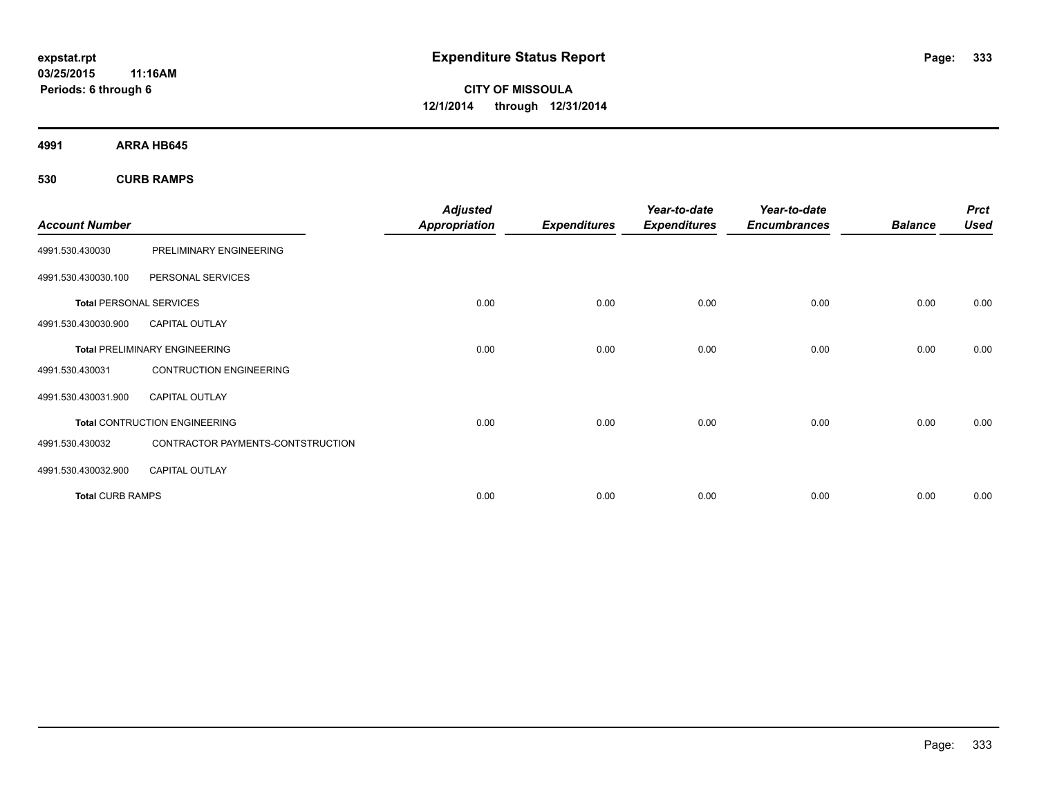**CITY OF MISSOULA 12/1/2014 through 12/31/2014**

**4991 ARRA HB645**

**530 CURB RAMPS**

|                                |                                      | <b>Adjusted</b>      |                     | Year-to-date        | Year-to-date        |                | <b>Prct</b> |
|--------------------------------|--------------------------------------|----------------------|---------------------|---------------------|---------------------|----------------|-------------|
| <b>Account Number</b>          |                                      | <b>Appropriation</b> | <b>Expenditures</b> | <b>Expenditures</b> | <b>Encumbrances</b> | <b>Balance</b> | <b>Used</b> |
| 4991.530.430030                | PRELIMINARY ENGINEERING              |                      |                     |                     |                     |                |             |
| 4991.530.430030.100            | PERSONAL SERVICES                    |                      |                     |                     |                     |                |             |
| <b>Total PERSONAL SERVICES</b> |                                      | 0.00                 | 0.00                | 0.00                | 0.00                | 0.00           | 0.00        |
| 4991.530.430030.900            | <b>CAPITAL OUTLAY</b>                |                      |                     |                     |                     |                |             |
|                                | <b>Total PRELIMINARY ENGINEERING</b> | 0.00                 | 0.00                | 0.00                | 0.00                | 0.00           | 0.00        |
| 4991.530.430031                | <b>CONTRUCTION ENGINEERING</b>       |                      |                     |                     |                     |                |             |
| 4991.530.430031.900            | <b>CAPITAL OUTLAY</b>                |                      |                     |                     |                     |                |             |
|                                | <b>Total CONTRUCTION ENGINEERING</b> | 0.00                 | 0.00                | 0.00                | 0.00                | 0.00           | 0.00        |
| 4991.530.430032                | CONTRACTOR PAYMENTS-CONTSTRUCTION    |                      |                     |                     |                     |                |             |
| 4991.530.430032.900            | <b>CAPITAL OUTLAY</b>                |                      |                     |                     |                     |                |             |
| <b>Total CURB RAMPS</b>        |                                      | 0.00                 | 0.00                | 0.00                | 0.00                | 0.00           | 0.00        |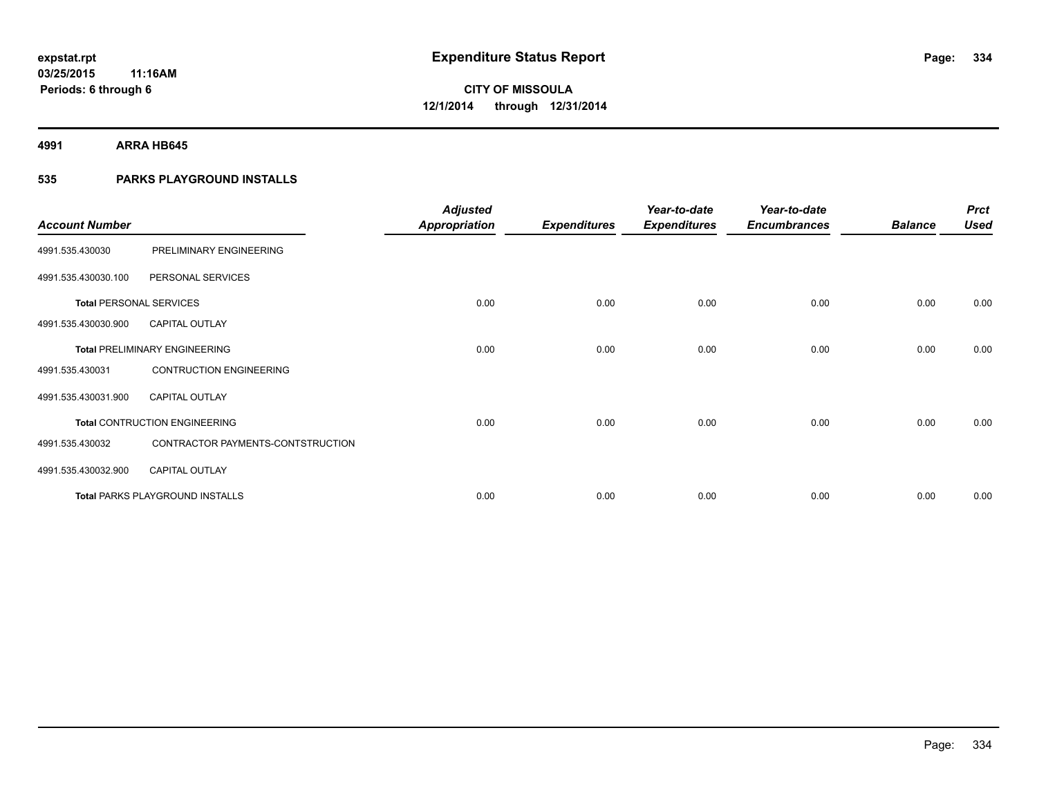**4991 ARRA HB645**

# **535 PARKS PLAYGROUND INSTALLS**

| <b>Account Number</b>          |                                        | <b>Adjusted</b><br><b>Appropriation</b> | <b>Expenditures</b> | Year-to-date<br><b>Expenditures</b> | Year-to-date<br><b>Encumbrances</b> | <b>Balance</b> | <b>Prct</b><br><b>Used</b> |
|--------------------------------|----------------------------------------|-----------------------------------------|---------------------|-------------------------------------|-------------------------------------|----------------|----------------------------|
| 4991.535.430030                | PRELIMINARY ENGINEERING                |                                         |                     |                                     |                                     |                |                            |
| 4991.535.430030.100            | PERSONAL SERVICES                      |                                         |                     |                                     |                                     |                |                            |
| <b>Total PERSONAL SERVICES</b> |                                        | 0.00                                    | 0.00                | 0.00                                | 0.00                                | 0.00           | 0.00                       |
| 4991.535.430030.900            | <b>CAPITAL OUTLAY</b>                  |                                         |                     |                                     |                                     |                |                            |
|                                | <b>Total PRELIMINARY ENGINEERING</b>   | 0.00                                    | 0.00                | 0.00                                | 0.00                                | 0.00           | 0.00                       |
| 4991.535.430031                | <b>CONTRUCTION ENGINEERING</b>         |                                         |                     |                                     |                                     |                |                            |
| 4991.535.430031.900            | <b>CAPITAL OUTLAY</b>                  |                                         |                     |                                     |                                     |                |                            |
|                                | <b>Total CONTRUCTION ENGINEERING</b>   | 0.00                                    | 0.00                | 0.00                                | 0.00                                | 0.00           | 0.00                       |
| 4991.535.430032                | CONTRACTOR PAYMENTS-CONTSTRUCTION      |                                         |                     |                                     |                                     |                |                            |
| 4991.535.430032.900            | <b>CAPITAL OUTLAY</b>                  |                                         |                     |                                     |                                     |                |                            |
|                                | <b>Total PARKS PLAYGROUND INSTALLS</b> | 0.00                                    | 0.00                | 0.00                                | 0.00                                | 0.00           | 0.00                       |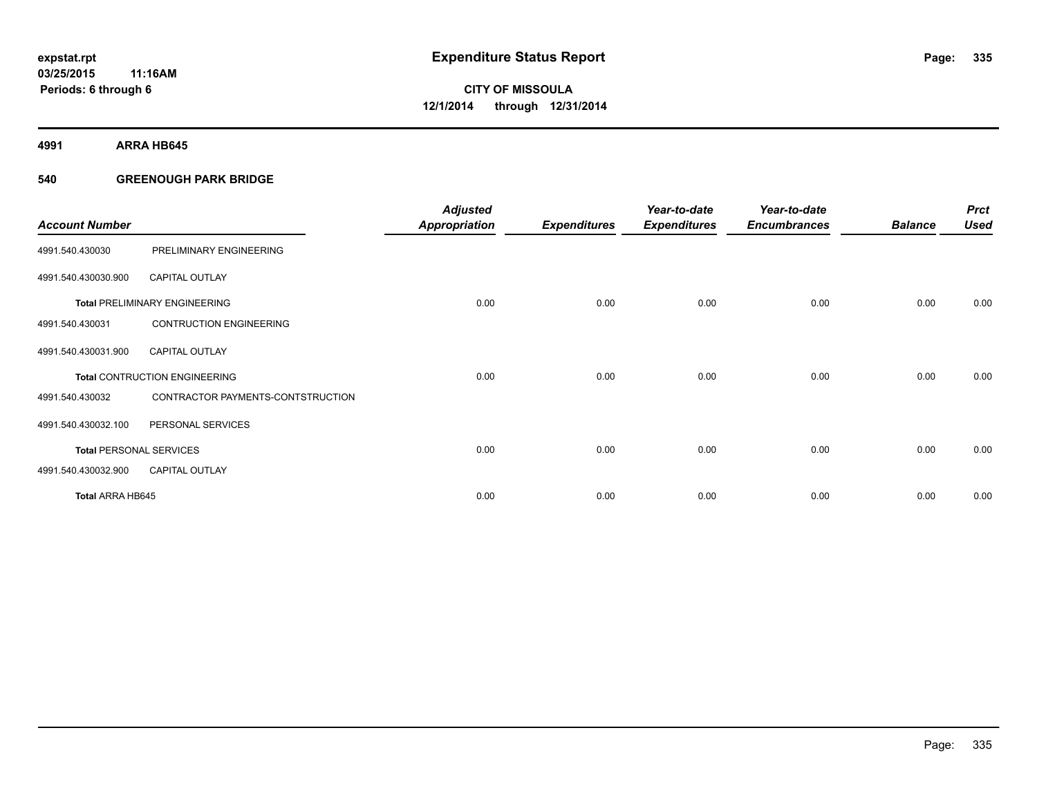**4991 ARRA HB645**

# **540 GREENOUGH PARK BRIDGE**

| <b>Account Number</b>          |                                      | <b>Adjusted</b><br><b>Appropriation</b> | <b>Expenditures</b> | Year-to-date<br><b>Expenditures</b> | Year-to-date<br><b>Encumbrances</b> | <b>Balance</b> | <b>Prct</b><br><b>Used</b> |
|--------------------------------|--------------------------------------|-----------------------------------------|---------------------|-------------------------------------|-------------------------------------|----------------|----------------------------|
| 4991.540.430030                | PRELIMINARY ENGINEERING              |                                         |                     |                                     |                                     |                |                            |
| 4991.540.430030.900            | <b>CAPITAL OUTLAY</b>                |                                         |                     |                                     |                                     |                |                            |
|                                | <b>Total PRELIMINARY ENGINEERING</b> | 0.00                                    | 0.00                | 0.00                                | 0.00                                | 0.00           | 0.00                       |
| 4991.540.430031                | <b>CONTRUCTION ENGINEERING</b>       |                                         |                     |                                     |                                     |                |                            |
| 4991.540.430031.900            | <b>CAPITAL OUTLAY</b>                |                                         |                     |                                     |                                     |                |                            |
|                                | <b>Total CONTRUCTION ENGINEERING</b> | 0.00                                    | 0.00                | 0.00                                | 0.00                                | 0.00           | 0.00                       |
| 4991.540.430032                | CONTRACTOR PAYMENTS-CONTSTRUCTION    |                                         |                     |                                     |                                     |                |                            |
| 4991.540.430032.100            | PERSONAL SERVICES                    |                                         |                     |                                     |                                     |                |                            |
| <b>Total PERSONAL SERVICES</b> |                                      | 0.00                                    | 0.00                | 0.00                                | 0.00                                | 0.00           | 0.00                       |
| 4991.540.430032.900            | <b>CAPITAL OUTLAY</b>                |                                         |                     |                                     |                                     |                |                            |
| <b>Total ARRA HB645</b>        |                                      | 0.00                                    | 0.00                | 0.00                                | 0.00                                | 0.00           | 0.00                       |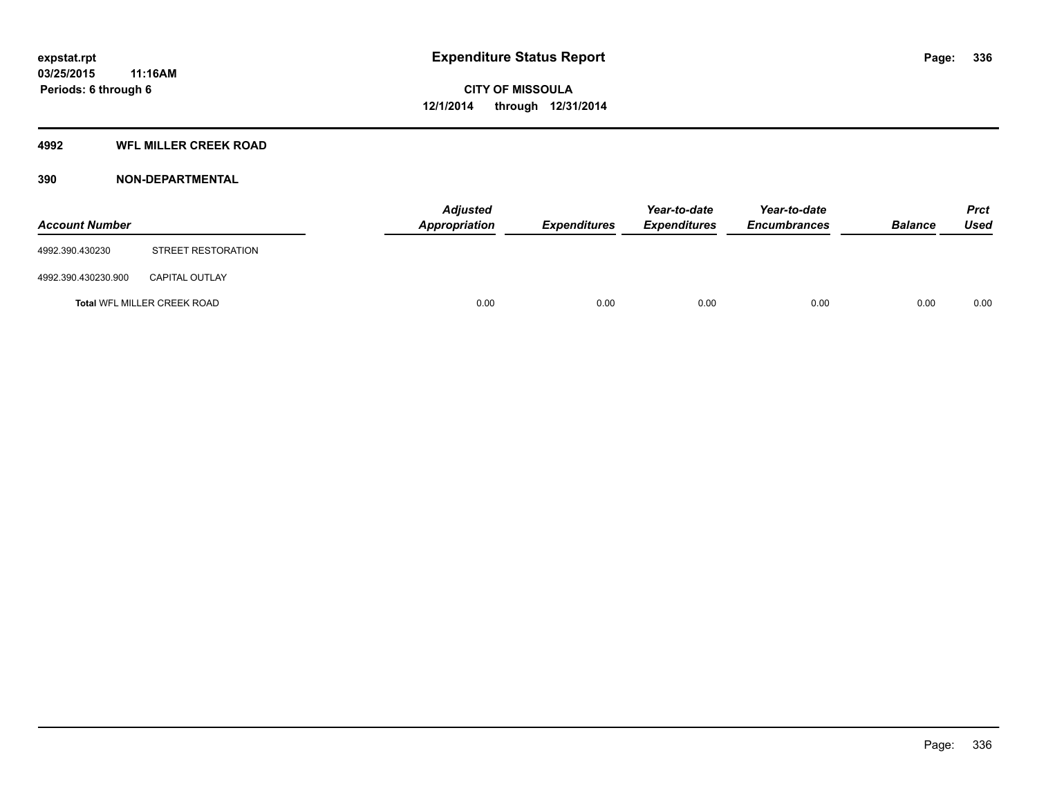# **4992 WFL MILLER CREEK ROAD**

# **390 NON-DEPARTMENTAL**

| <b>Account Number</b> |                             | Appropriation | <b>Adjusted</b> | <b>Expenditures</b> | Year-to-date<br><b>Expenditures</b> | Year-to-date<br><b>Encumbrances</b> | <b>Balance</b> | <b>Prct</b><br><b>Used</b> |
|-----------------------|-----------------------------|---------------|-----------------|---------------------|-------------------------------------|-------------------------------------|----------------|----------------------------|
| 4992.390.430230       | STREET RESTORATION          |               |                 |                     |                                     |                                     |                |                            |
| 4992.390.430230.900   | <b>CAPITAL OUTLAY</b>       |               |                 |                     |                                     |                                     |                |                            |
|                       | Total WFL MILLER CREEK ROAD |               | 0.00            | 0.00                | 0.00                                | 0.00                                | 0.00           | 0.00                       |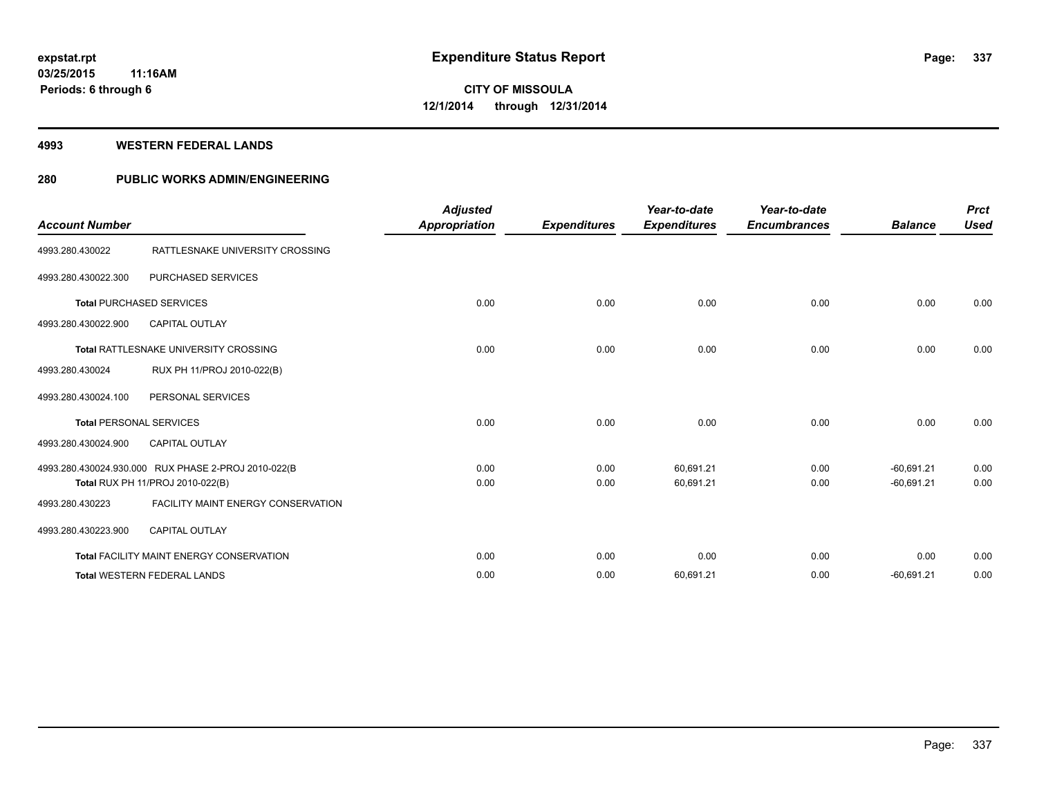### **4993 WESTERN FEDERAL LANDS**

# **280 PUBLIC WORKS ADMIN/ENGINEERING**

| <b>Account Number</b>           |                                                                                         | <b>Adjusted</b><br>Appropriation | <b>Expenditures</b> | Year-to-date<br><b>Expenditures</b> | Year-to-date<br><b>Encumbrances</b> | <b>Balance</b>               | <b>Prct</b><br><b>Used</b> |
|---------------------------------|-----------------------------------------------------------------------------------------|----------------------------------|---------------------|-------------------------------------|-------------------------------------|------------------------------|----------------------------|
| 4993.280.430022                 | RATTLESNAKE UNIVERSITY CROSSING                                                         |                                  |                     |                                     |                                     |                              |                            |
| 4993.280.430022.300             | <b>PURCHASED SERVICES</b>                                                               |                                  |                     |                                     |                                     |                              |                            |
| <b>Total PURCHASED SERVICES</b> |                                                                                         | 0.00                             | 0.00                | 0.00                                | 0.00                                | 0.00                         | 0.00                       |
| 4993.280.430022.900             | <b>CAPITAL OUTLAY</b>                                                                   |                                  |                     |                                     |                                     |                              |                            |
|                                 | <b>Total RATTLESNAKE UNIVERSITY CROSSING</b>                                            | 0.00                             | 0.00                | 0.00                                | 0.00                                | 0.00                         | 0.00                       |
| 4993.280.430024                 | RUX PH 11/PROJ 2010-022(B)                                                              |                                  |                     |                                     |                                     |                              |                            |
| 4993.280.430024.100             | PERSONAL SERVICES                                                                       |                                  |                     |                                     |                                     |                              |                            |
| <b>Total PERSONAL SERVICES</b>  |                                                                                         | 0.00                             | 0.00                | 0.00                                | 0.00                                | 0.00                         | 0.00                       |
| 4993.280.430024.900             | <b>CAPITAL OUTLAY</b>                                                                   |                                  |                     |                                     |                                     |                              |                            |
|                                 | 4993.280.430024.930.000 RUX PHASE 2-PROJ 2010-022(B<br>Total RUX PH 11/PROJ 2010-022(B) | 0.00<br>0.00                     | 0.00<br>0.00        | 60,691.21<br>60,691.21              | 0.00<br>0.00                        | $-60,691.21$<br>$-60.691.21$ | 0.00<br>0.00               |
| 4993.280.430223                 | <b>FACILITY MAINT ENERGY CONSERVATION</b>                                               |                                  |                     |                                     |                                     |                              |                            |
| 4993.280.430223.900             | <b>CAPITAL OUTLAY</b>                                                                   |                                  |                     |                                     |                                     |                              |                            |
|                                 | Total FACILITY MAINT ENERGY CONSERVATION                                                | 0.00                             | 0.00                | 0.00                                | 0.00                                | 0.00                         | 0.00                       |
|                                 | <b>Total WESTERN FEDERAL LANDS</b>                                                      | 0.00                             | 0.00                | 60,691.21                           | 0.00                                | $-60,691.21$                 | 0.00                       |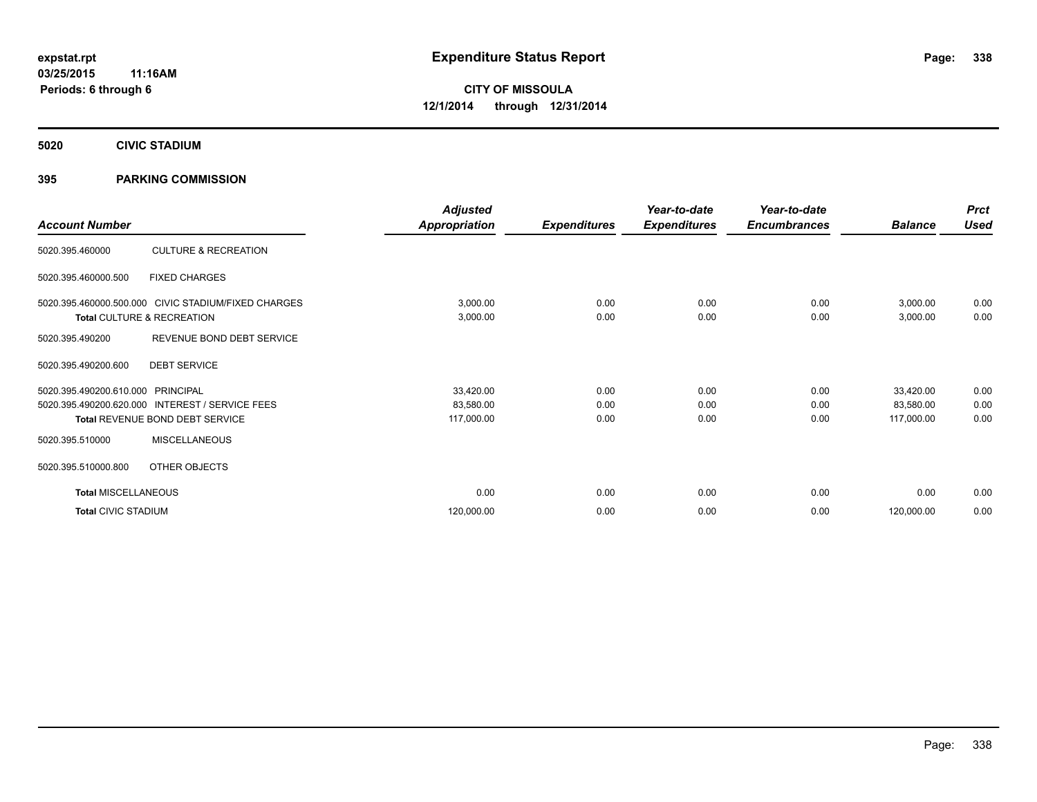**5020 CIVIC STADIUM**

# **395 PARKING COMMISSION**

| <b>Account Number</b>                              |                                                                                   | <b>Adjusted</b><br>Appropriation     | <b>Expenditures</b>  | Year-to-date<br><b>Expenditures</b> | Year-to-date<br><b>Encumbrances</b> | <b>Balance</b>                       | <b>Prct</b><br><b>Used</b> |
|----------------------------------------------------|-----------------------------------------------------------------------------------|--------------------------------------|----------------------|-------------------------------------|-------------------------------------|--------------------------------------|----------------------------|
| 5020.395.460000                                    | <b>CULTURE &amp; RECREATION</b>                                                   |                                      |                      |                                     |                                     |                                      |                            |
| 5020.395.460000.500                                | <b>FIXED CHARGES</b>                                                              |                                      |                      |                                     |                                     |                                      |                            |
|                                                    | 5020.395.460000.500.000 CIVIC STADIUM/FIXED CHARGES<br>Total CULTURE & RECREATION | 3,000.00<br>3,000.00                 | 0.00<br>0.00         | 0.00<br>0.00                        | 0.00<br>0.00                        | 3,000.00<br>3,000.00                 | 0.00<br>0.00               |
| 5020.395.490200                                    | REVENUE BOND DEBT SERVICE                                                         |                                      |                      |                                     |                                     |                                      |                            |
| 5020.395.490200.600                                | <b>DEBT SERVICE</b>                                                               |                                      |                      |                                     |                                     |                                      |                            |
| 5020.395.490200.610.000<br>5020.395.490200.620.000 | PRINCIPAL<br><b>INTEREST / SERVICE FEES</b><br>Total REVENUE BOND DEBT SERVICE    | 33,420.00<br>83,580.00<br>117,000.00 | 0.00<br>0.00<br>0.00 | 0.00<br>0.00<br>0.00                | 0.00<br>0.00<br>0.00                | 33,420.00<br>83,580.00<br>117,000.00 | 0.00<br>0.00<br>0.00       |
| 5020.395.510000                                    | <b>MISCELLANEOUS</b>                                                              |                                      |                      |                                     |                                     |                                      |                            |
| 5020.395.510000.800                                | OTHER OBJECTS                                                                     |                                      |                      |                                     |                                     |                                      |                            |
| <b>Total MISCELLANEOUS</b>                         |                                                                                   | 0.00                                 | 0.00                 | 0.00                                | 0.00                                | 0.00                                 | 0.00                       |
| <b>Total CIVIC STADIUM</b>                         |                                                                                   | 120,000.00                           | 0.00                 | 0.00                                | 0.00                                | 120,000.00                           | 0.00                       |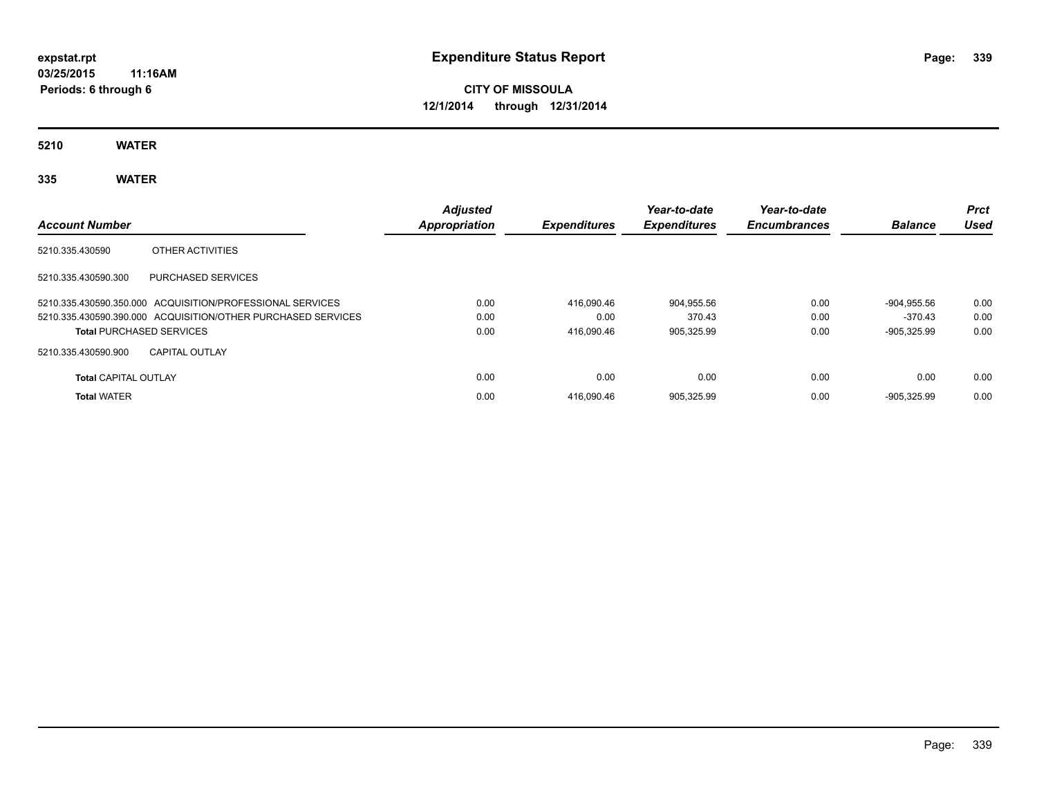# **CITY OF MISSOULA 12/1/2014 through 12/31/2014**

**5210 WATER**

# **335 WATER**

| <b>Account Number</b>           |                                                              | <b>Adjusted</b><br>Appropriation | <b>Expenditures</b> | Year-to-date<br><b>Expenditures</b> | Year-to-date<br><b>Encumbrances</b> | <b>Balance</b> | <b>Prct</b><br>Used |
|---------------------------------|--------------------------------------------------------------|----------------------------------|---------------------|-------------------------------------|-------------------------------------|----------------|---------------------|
| 5210.335.430590                 | OTHER ACTIVITIES                                             |                                  |                     |                                     |                                     |                |                     |
| 5210.335.430590.300             | <b>PURCHASED SERVICES</b>                                    |                                  |                     |                                     |                                     |                |                     |
|                                 | 5210.335.430590.350.000 ACQUISITION/PROFESSIONAL SERVICES    | 0.00                             | 416.090.46          | 904.955.56                          | 0.00                                | $-904.955.56$  | 0.00                |
|                                 | 5210.335.430590.390.000 ACQUISITION/OTHER PURCHASED SERVICES | 0.00                             | 0.00                | 370.43                              | 0.00                                | $-370.43$      | 0.00                |
| <b>Total PURCHASED SERVICES</b> |                                                              | 0.00                             | 416.090.46          | 905.325.99                          | 0.00                                | $-905.325.99$  | 0.00                |
| 5210.335.430590.900             | <b>CAPITAL OUTLAY</b>                                        |                                  |                     |                                     |                                     |                |                     |
| <b>Total CAPITAL OUTLAY</b>     |                                                              | 0.00                             | 0.00                | 0.00                                | 0.00                                | 0.00           | 0.00                |
| <b>Total WATER</b>              |                                                              | 0.00                             | 416.090.46          | 905.325.99                          | 0.00                                | $-905.325.99$  | 0.00                |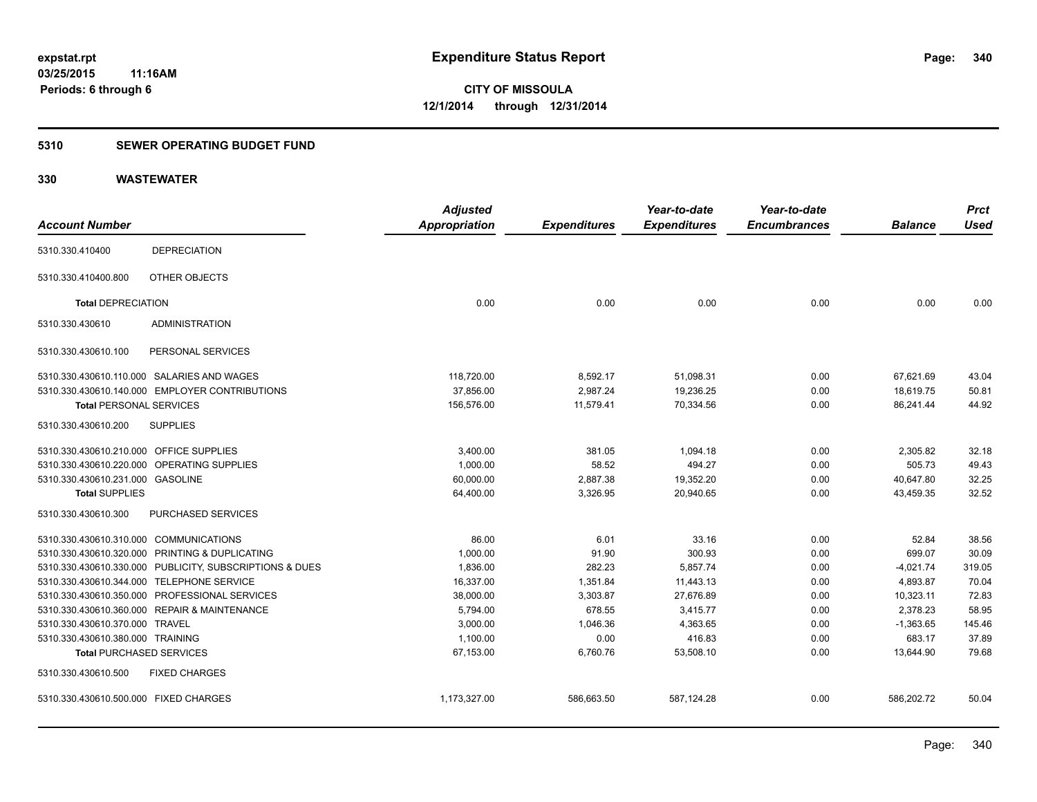# **5310 SEWER OPERATING BUDGET FUND**

|                                         |                                                         | <b>Adjusted</b> |                     | Year-to-date        | Year-to-date        |                | <b>Prct</b> |
|-----------------------------------------|---------------------------------------------------------|-----------------|---------------------|---------------------|---------------------|----------------|-------------|
| <b>Account Number</b>                   |                                                         | Appropriation   | <b>Expenditures</b> | <b>Expenditures</b> | <b>Encumbrances</b> | <b>Balance</b> | <b>Used</b> |
| 5310.330.410400                         | <b>DEPRECIATION</b>                                     |                 |                     |                     |                     |                |             |
| 5310.330.410400.800                     | OTHER OBJECTS                                           |                 |                     |                     |                     |                |             |
| <b>Total DEPRECIATION</b>               |                                                         | 0.00            | 0.00                | 0.00                | 0.00                | 0.00           | 0.00        |
| 5310.330.430610                         | <b>ADMINISTRATION</b>                                   |                 |                     |                     |                     |                |             |
| 5310.330.430610.100                     | PERSONAL SERVICES                                       |                 |                     |                     |                     |                |             |
|                                         | 5310.330.430610.110.000 SALARIES AND WAGES              | 118,720.00      | 8,592.17            | 51,098.31           | 0.00                | 67,621.69      | 43.04       |
|                                         | 5310.330.430610.140.000 EMPLOYER CONTRIBUTIONS          | 37,856.00       | 2,987.24            | 19,236.25           | 0.00                | 18,619.75      | 50.81       |
| <b>Total PERSONAL SERVICES</b>          |                                                         | 156,576.00      | 11,579.41           | 70,334.56           | 0.00                | 86,241.44      | 44.92       |
| 5310.330.430610.200                     | <b>SUPPLIES</b>                                         |                 |                     |                     |                     |                |             |
| 5310.330.430610.210.000 OFFICE SUPPLIES |                                                         | 3,400.00        | 381.05              | 1,094.18            | 0.00                | 2,305.82       | 32.18       |
|                                         | 5310.330.430610.220.000 OPERATING SUPPLIES              | 1,000.00        | 58.52               | 494.27              | 0.00                | 505.73         | 49.43       |
| 5310.330.430610.231.000 GASOLINE        |                                                         | 60,000.00       | 2,887.38            | 19,352.20           | 0.00                | 40,647.80      | 32.25       |
| <b>Total SUPPLIES</b>                   |                                                         | 64,400.00       | 3,326.95            | 20,940.65           | 0.00                | 43,459.35      | 32.52       |
| 5310.330.430610.300                     | PURCHASED SERVICES                                      |                 |                     |                     |                     |                |             |
| 5310.330.430610.310.000 COMMUNICATIONS  |                                                         | 86.00           | 6.01                | 33.16               | 0.00                | 52.84          | 38.56       |
|                                         | 5310.330.430610.320.000 PRINTING & DUPLICATING          | 1,000.00        | 91.90               | 300.93              | 0.00                | 699.07         | 30.09       |
|                                         | 5310.330.430610.330.000 PUBLICITY, SUBSCRIPTIONS & DUES | 1,836.00        | 282.23              | 5,857.74            | 0.00                | $-4,021.74$    | 319.05      |
|                                         | 5310.330.430610.344.000 TELEPHONE SERVICE               | 16,337.00       | 1,351.84            | 11,443.13           | 0.00                | 4,893.87       | 70.04       |
|                                         | 5310.330.430610.350.000 PROFESSIONAL SERVICES           | 38,000.00       | 3,303.87            | 27,676.89           | 0.00                | 10,323.11      | 72.83       |
|                                         | 5310.330.430610.360.000 REPAIR & MAINTENANCE            | 5,794.00        | 678.55              | 3,415.77            | 0.00                | 2,378.23       | 58.95       |
| 5310.330.430610.370.000 TRAVEL          |                                                         | 3,000.00        | 1,046.36            | 4,363.65            | 0.00                | $-1,363.65$    | 145.46      |
| 5310.330.430610.380.000 TRAINING        |                                                         | 1,100.00        | 0.00                | 416.83              | 0.00                | 683.17         | 37.89       |
| <b>Total PURCHASED SERVICES</b>         |                                                         | 67,153.00       | 6,760.76            | 53,508.10           | 0.00                | 13,644.90      | 79.68       |
| 5310.330.430610.500                     | <b>FIXED CHARGES</b>                                    |                 |                     |                     |                     |                |             |
| 5310.330.430610.500.000 FIXED CHARGES   |                                                         | 1,173,327.00    | 586,663.50          | 587,124.28          | 0.00                | 586,202.72     | 50.04       |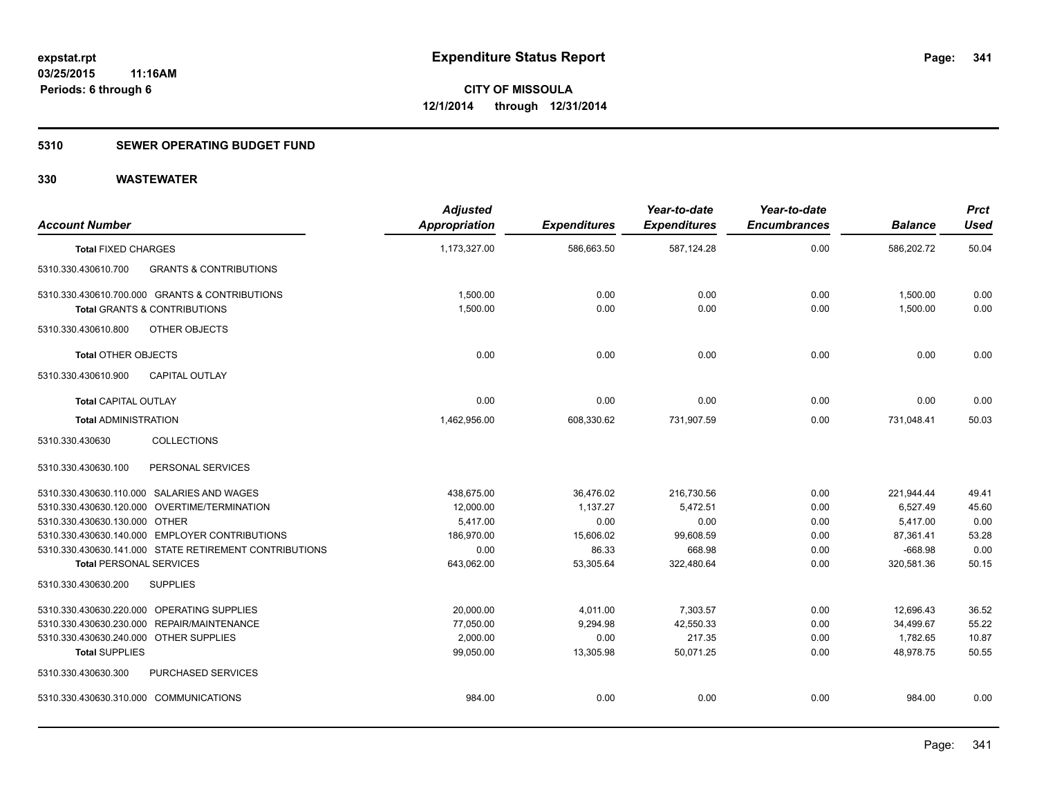# **5310 SEWER OPERATING BUDGET FUND**

| <b>Account Number</b>                      |                                                        | <b>Adjusted</b><br><b>Appropriation</b> | <b>Expenditures</b> | Year-to-date<br><b>Expenditures</b> | Year-to-date<br><b>Encumbrances</b> | <b>Balance</b> | <b>Prct</b><br><b>Used</b> |
|--------------------------------------------|--------------------------------------------------------|-----------------------------------------|---------------------|-------------------------------------|-------------------------------------|----------------|----------------------------|
| <b>Total FIXED CHARGES</b>                 |                                                        | 1,173,327.00                            | 586,663.50          | 587,124.28                          | 0.00                                | 586,202.72     | 50.04                      |
| 5310.330.430610.700                        | <b>GRANTS &amp; CONTRIBUTIONS</b>                      |                                         |                     |                                     |                                     |                |                            |
|                                            | 5310.330.430610.700.000 GRANTS & CONTRIBUTIONS         | 1,500.00                                | 0.00                | 0.00                                | 0.00                                | 1,500.00       | 0.00                       |
| <b>Total GRANTS &amp; CONTRIBUTIONS</b>    |                                                        | 1,500.00                                | 0.00                | 0.00                                | 0.00                                | 1,500.00       | 0.00                       |
| 5310.330.430610.800                        | <b>OTHER OBJECTS</b>                                   |                                         |                     |                                     |                                     |                |                            |
| <b>Total OTHER OBJECTS</b>                 |                                                        | 0.00                                    | 0.00                | 0.00                                | 0.00                                | 0.00           | 0.00                       |
| 5310.330.430610.900                        | <b>CAPITAL OUTLAY</b>                                  |                                         |                     |                                     |                                     |                |                            |
| <b>Total CAPITAL OUTLAY</b>                |                                                        | 0.00                                    | 0.00                | 0.00                                | 0.00                                | 0.00           | 0.00                       |
| <b>Total ADMINISTRATION</b>                |                                                        | 1,462,956.00                            | 608,330.62          | 731,907.59                          | 0.00                                | 731,048.41     | 50.03                      |
| 5310.330.430630                            | <b>COLLECTIONS</b>                                     |                                         |                     |                                     |                                     |                |                            |
| 5310.330.430630.100                        | PERSONAL SERVICES                                      |                                         |                     |                                     |                                     |                |                            |
| 5310.330.430630.110.000 SALARIES AND WAGES |                                                        | 438.675.00                              | 36,476.02           | 216,730.56                          | 0.00                                | 221,944.44     | 49.41                      |
|                                            | 5310.330.430630.120.000 OVERTIME/TERMINATION           | 12,000.00                               | 1,137.27            | 5,472.51                            | 0.00                                | 6.527.49       | 45.60                      |
| 5310.330.430630.130.000 OTHER              |                                                        | 5,417.00                                | 0.00                | 0.00                                | 0.00                                | 5,417.00       | 0.00                       |
|                                            | 5310.330.430630.140.000 EMPLOYER CONTRIBUTIONS         | 186,970.00                              | 15,606.02           | 99,608.59                           | 0.00                                | 87,361.41      | 53.28                      |
|                                            | 5310.330.430630.141.000 STATE RETIREMENT CONTRIBUTIONS | 0.00                                    | 86.33               | 668.98                              | 0.00                                | $-668.98$      | 0.00                       |
| <b>Total PERSONAL SERVICES</b>             |                                                        | 643,062.00                              | 53,305.64           | 322,480.64                          | 0.00                                | 320,581.36     | 50.15                      |
| 5310.330.430630.200                        | <b>SUPPLIES</b>                                        |                                         |                     |                                     |                                     |                |                            |
| 5310.330.430630.220.000 OPERATING SUPPLIES |                                                        | 20,000.00                               | 4,011.00            | 7,303.57                            | 0.00                                | 12,696.43      | 36.52                      |
| 5310.330.430630.230.000 REPAIR/MAINTENANCE |                                                        | 77,050.00                               | 9,294.98            | 42,550.33                           | 0.00                                | 34,499.67      | 55.22                      |
| 5310.330.430630.240.000 OTHER SUPPLIES     |                                                        | 2,000.00                                | 0.00                | 217.35                              | 0.00                                | 1,782.65       | 10.87                      |
| <b>Total SUPPLIES</b>                      |                                                        | 99,050.00                               | 13,305.98           | 50,071.25                           | 0.00                                | 48.978.75      | 50.55                      |
| 5310.330.430630.300                        | PURCHASED SERVICES                                     |                                         |                     |                                     |                                     |                |                            |
| 5310.330.430630.310.000 COMMUNICATIONS     |                                                        | 984.00                                  | 0.00                | 0.00                                | 0.00                                | 984.00         | 0.00                       |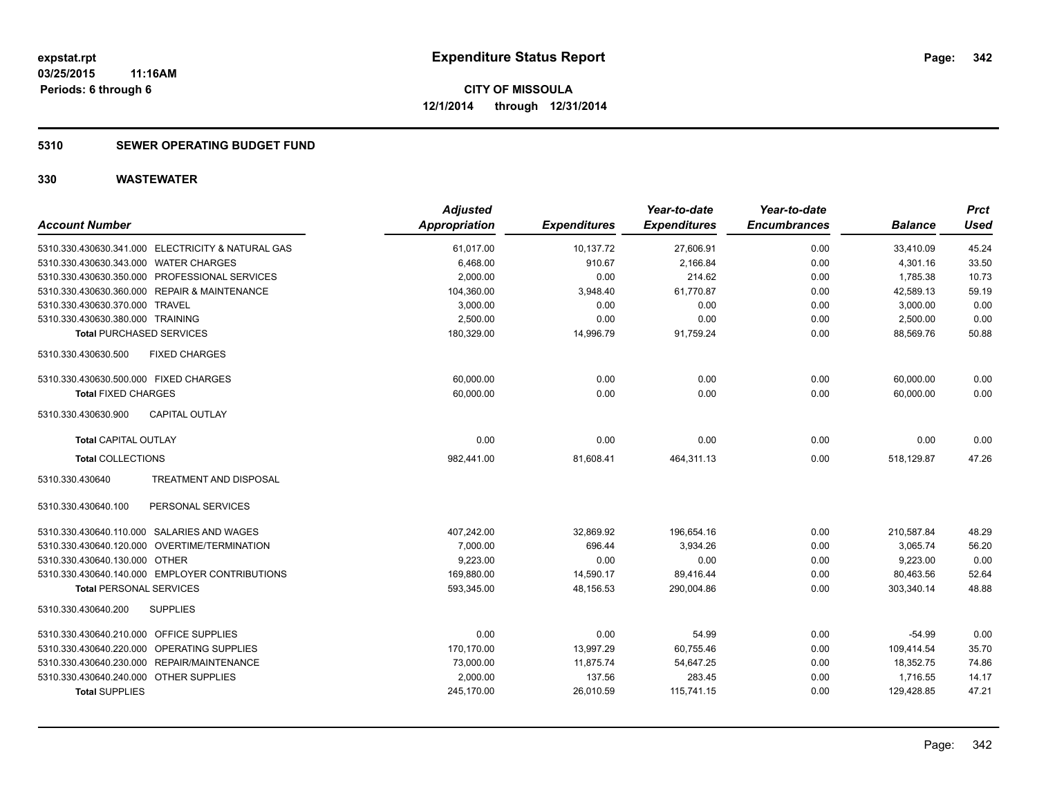# **5310 SEWER OPERATING BUDGET FUND**

| <b>Account Number</b>                                | <b>Adjusted</b><br><b>Appropriation</b> | <b>Expenditures</b> | Year-to-date<br><b>Expenditures</b> | Year-to-date<br><b>Encumbrances</b> | <b>Balance</b> | <b>Prct</b><br><b>Used</b> |
|------------------------------------------------------|-----------------------------------------|---------------------|-------------------------------------|-------------------------------------|----------------|----------------------------|
| 5310.330.430630.341.000 ELECTRICITY & NATURAL GAS    | 61,017.00                               | 10,137.72           | 27,606.91                           | 0.00                                | 33,410.09      | 45.24                      |
| 5310.330.430630.343.000 WATER CHARGES                | 6,468.00                                | 910.67              | 2,166.84                            | 0.00                                | 4,301.16       | 33.50                      |
| 5310.330.430630.350.000 PROFESSIONAL SERVICES        | 2,000.00                                | 0.00                | 214.62                              | 0.00                                | 1.785.38       | 10.73                      |
| 5310.330.430630.360.000 REPAIR & MAINTENANCE         | 104,360.00                              | 3,948.40            | 61,770.87                           | 0.00                                | 42,589.13      | 59.19                      |
| 5310.330.430630.370.000 TRAVEL                       | 3,000.00                                | 0.00                | 0.00                                | 0.00                                | 3,000.00       | 0.00                       |
| 5310.330.430630.380.000 TRAINING                     | 2,500.00                                | 0.00                | 0.00                                | 0.00                                | 2,500.00       | 0.00                       |
| <b>Total PURCHASED SERVICES</b>                      | 180,329.00                              | 14,996.79           | 91,759.24                           | 0.00                                | 88.569.76      | 50.88                      |
| 5310.330.430630.500<br><b>FIXED CHARGES</b>          |                                         |                     |                                     |                                     |                |                            |
| 5310.330.430630.500.000 FIXED CHARGES                | 60,000.00                               | 0.00                | 0.00                                | 0.00                                | 60,000.00      | 0.00                       |
| <b>Total FIXED CHARGES</b>                           | 60,000.00                               | 0.00                | 0.00                                | 0.00                                | 60,000.00      | 0.00                       |
| <b>CAPITAL OUTLAY</b><br>5310.330.430630.900         |                                         |                     |                                     |                                     |                |                            |
| <b>Total CAPITAL OUTLAY</b>                          | 0.00                                    | 0.00                | 0.00                                | 0.00                                | 0.00           | 0.00                       |
| <b>Total COLLECTIONS</b>                             | 982,441.00                              | 81,608.41           | 464,311.13                          | 0.00                                | 518,129.87     | 47.26                      |
| 5310.330.430640<br>TREATMENT AND DISPOSAL            |                                         |                     |                                     |                                     |                |                            |
| PERSONAL SERVICES<br>5310.330.430640.100             |                                         |                     |                                     |                                     |                |                            |
| 5310.330.430640.110.000 SALARIES AND WAGES           | 407,242.00                              | 32,869.92           | 196,654.16                          | 0.00                                | 210,587.84     | 48.29                      |
| 5310.330.430640.120.000 OVERTIME/TERMINATION         | 7,000.00                                | 696.44              | 3,934.26                            | 0.00                                | 3,065.74       | 56.20                      |
| 5310.330.430640.130.000 OTHER                        | 9,223.00                                | 0.00                | 0.00                                | 0.00                                | 9,223.00       | 0.00                       |
| 5310.330.430640.140.000 EMPLOYER CONTRIBUTIONS       | 169,880.00                              | 14,590.17           | 89,416.44                           | 0.00                                | 80,463.56      | 52.64                      |
| <b>Total PERSONAL SERVICES</b>                       | 593,345.00                              | 48,156.53           | 290,004.86                          | 0.00                                | 303,340.14     | 48.88                      |
| 5310.330.430640.200<br><b>SUPPLIES</b>               |                                         |                     |                                     |                                     |                |                            |
| 5310.330.430640.210.000<br><b>OFFICE SUPPLIES</b>    | 0.00                                    | 0.00                | 54.99                               | 0.00                                | $-54.99$       | 0.00                       |
| 5310.330.430640.220.000 OPERATING SUPPLIES           | 170,170.00                              | 13,997.29           | 60,755.46                           | 0.00                                | 109,414.54     | 35.70                      |
| <b>REPAIR/MAINTENANCE</b><br>5310.330.430640.230.000 | 73,000.00                               | 11,875.74           | 54,647.25                           | 0.00                                | 18,352.75      | 74.86                      |
| 5310.330.430640.240.000<br><b>OTHER SUPPLIES</b>     | 2,000.00                                | 137.56              | 283.45                              | 0.00                                | 1,716.55       | 14.17                      |
| <b>Total SUPPLIES</b>                                | 245,170.00                              | 26,010.59           | 115,741.15                          | 0.00                                | 129,428.85     | 47.21                      |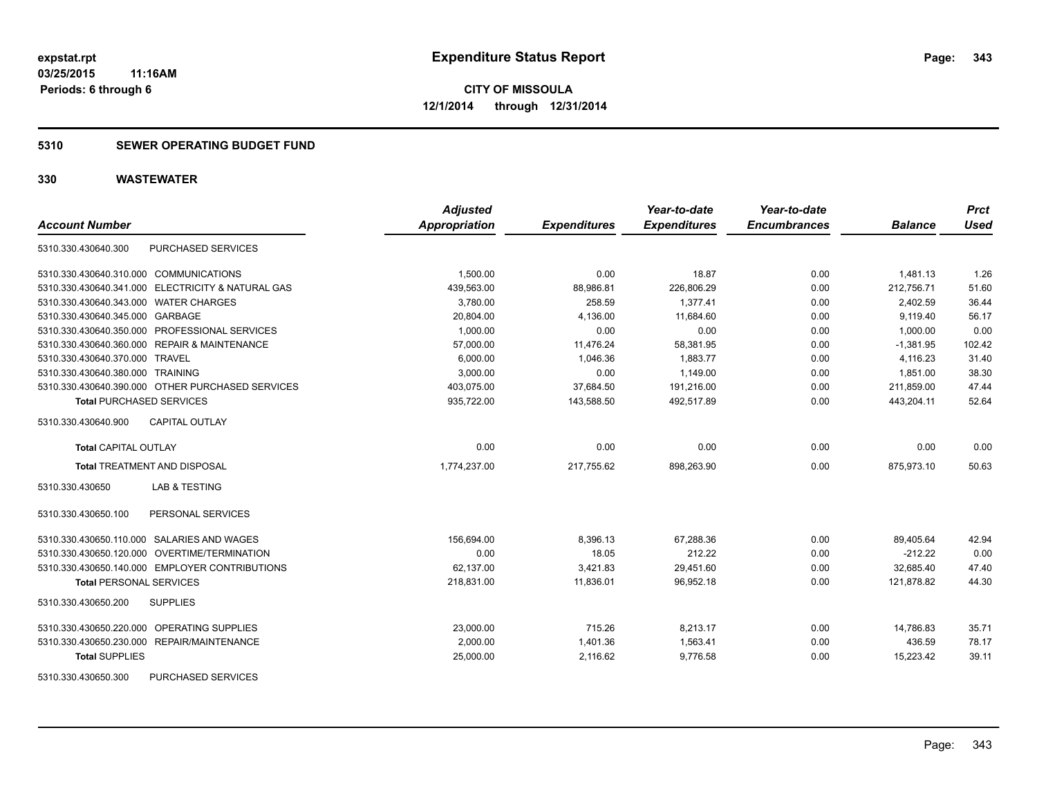# **5310 SEWER OPERATING BUDGET FUND**

| <b>Account Number</b>                             | <b>Adjusted</b><br><b>Appropriation</b> | <b>Expenditures</b> | Year-to-date<br><b>Expenditures</b> | Year-to-date<br><b>Encumbrances</b> | <b>Balance</b> | <b>Prct</b><br><b>Used</b> |
|---------------------------------------------------|-----------------------------------------|---------------------|-------------------------------------|-------------------------------------|----------------|----------------------------|
|                                                   |                                         |                     |                                     |                                     |                |                            |
| PURCHASED SERVICES<br>5310.330.430640.300         |                                         |                     |                                     |                                     |                |                            |
| 5310.330.430640.310.000 COMMUNICATIONS            | 1,500.00                                | 0.00                | 18.87                               | 0.00                                | 1,481.13       | 1.26                       |
| 5310.330.430640.341.000 ELECTRICITY & NATURAL GAS | 439,563.00                              | 88,986.81           | 226,806.29                          | 0.00                                | 212.756.71     | 51.60                      |
| 5310.330.430640.343.000 WATER CHARGES             | 3,780.00                                | 258.59              | 1,377.41                            | 0.00                                | 2,402.59       | 36.44                      |
| 5310.330.430640.345.000 GARBAGE                   | 20,804.00                               | 4,136.00            | 11,684.60                           | 0.00                                | 9,119.40       | 56.17                      |
| 5310.330.430640.350.000 PROFESSIONAL SERVICES     | 1,000.00                                | 0.00                | 0.00                                | 0.00                                | 1,000.00       | 0.00                       |
| 5310.330.430640.360.000 REPAIR & MAINTENANCE      | 57,000.00                               | 11,476.24           | 58,381.95                           | 0.00                                | $-1,381.95$    | 102.42                     |
| 5310.330.430640.370.000 TRAVEL                    | 6,000.00                                | 1,046.36            | 1,883.77                            | 0.00                                | 4,116.23       | 31.40                      |
| 5310.330.430640.380.000 TRAINING                  | 3,000.00                                | 0.00                | 1,149.00                            | 0.00                                | 1,851.00       | 38.30                      |
| 5310.330.430640.390.000 OTHER PURCHASED SERVICES  | 403,075.00                              | 37,684.50           | 191,216.00                          | 0.00                                | 211,859.00     | 47.44                      |
| <b>Total PURCHASED SERVICES</b>                   | 935,722.00                              | 143,588.50          | 492,517.89                          | 0.00                                | 443,204.11     | 52.64                      |
| CAPITAL OUTLAY<br>5310.330.430640.900             |                                         |                     |                                     |                                     |                |                            |
| <b>Total CAPITAL OUTLAY</b>                       | 0.00                                    | 0.00                | 0.00                                | 0.00                                | 0.00           | 0.00                       |
| <b>Total TREATMENT AND DISPOSAL</b>               | 1,774,237.00                            | 217,755.62          | 898,263.90                          | 0.00                                | 875,973.10     | 50.63                      |
| <b>LAB &amp; TESTING</b><br>5310.330.430650       |                                         |                     |                                     |                                     |                |                            |
| 5310.330.430650.100<br>PERSONAL SERVICES          |                                         |                     |                                     |                                     |                |                            |
| 5310.330.430650.110.000 SALARIES AND WAGES        | 156,694.00                              | 8,396.13            | 67,288.36                           | 0.00                                | 89,405.64      | 42.94                      |
| 5310.330.430650.120.000 OVERTIME/TERMINATION      | 0.00                                    | 18.05               | 212.22                              | 0.00                                | $-212.22$      | 0.00                       |
| 5310.330.430650.140.000 EMPLOYER CONTRIBUTIONS    | 62,137.00                               | 3,421.83            | 29,451.60                           | 0.00                                | 32,685.40      | 47.40                      |
| <b>Total PERSONAL SERVICES</b>                    | 218,831.00                              | 11,836.01           | 96,952.18                           | 0.00                                | 121,878.82     | 44.30                      |
| 5310.330.430650.200<br><b>SUPPLIES</b>            |                                         |                     |                                     |                                     |                |                            |
| 5310.330.430650.220.000 OPERATING SUPPLIES        | 23,000.00                               | 715.26              | 8,213.17                            | 0.00                                | 14,786.83      | 35.71                      |
| 5310.330.430650.230.000 REPAIR/MAINTENANCE        | 2.000.00                                | 1,401.36            | 1.563.41                            | 0.00                                | 436.59         | 78.17                      |
| <b>Total SUPPLIES</b>                             | 25,000.00                               | 2,116.62            | 9,776.58                            | 0.00                                | 15,223.42      | 39.11                      |
| 5310.330.430650.300<br><b>PURCHASED SERVICES</b>  |                                         |                     |                                     |                                     |                |                            |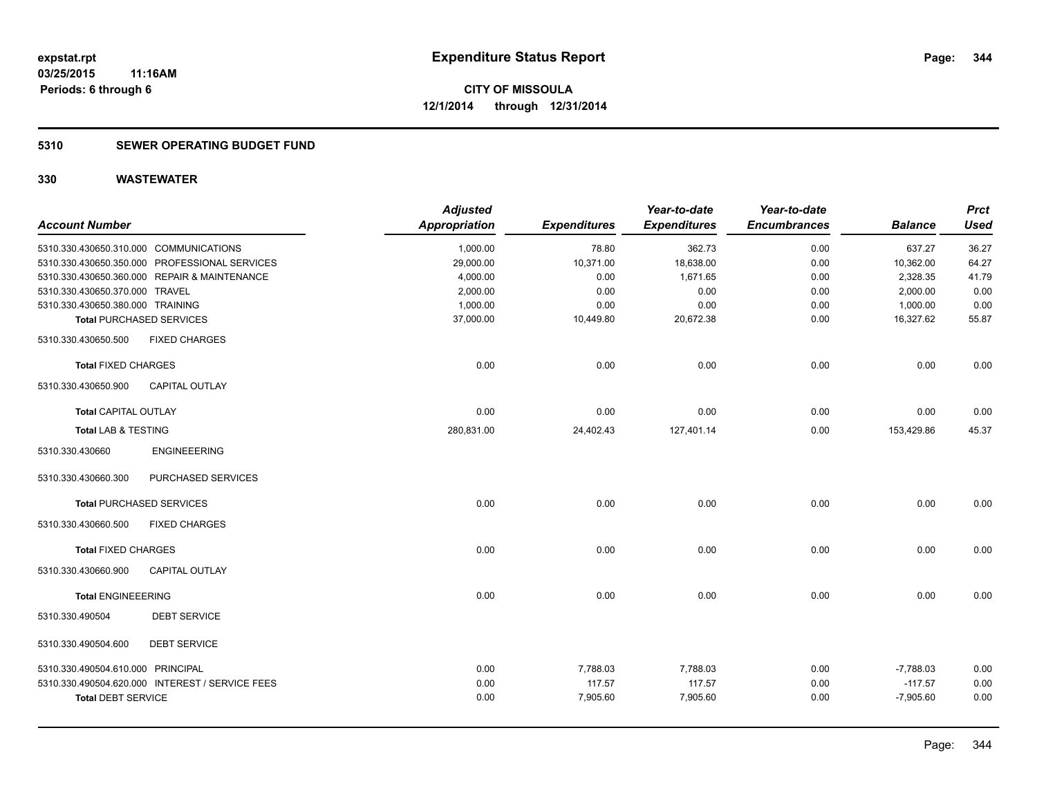# **5310 SEWER OPERATING BUDGET FUND**

| <b>Account Number</b>                  |                                                 | <b>Adjusted</b><br><b>Appropriation</b> | <b>Expenditures</b> | Year-to-date<br><b>Expenditures</b> | Year-to-date<br><b>Encumbrances</b> | <b>Balance</b> | <b>Prct</b><br><b>Used</b> |
|----------------------------------------|-------------------------------------------------|-----------------------------------------|---------------------|-------------------------------------|-------------------------------------|----------------|----------------------------|
|                                        |                                                 |                                         |                     |                                     |                                     |                |                            |
| 5310.330.430650.310.000 COMMUNICATIONS |                                                 | 1,000.00                                | 78.80               | 362.73                              | 0.00                                | 637.27         | 36.27                      |
|                                        | 5310.330.430650.350.000 PROFESSIONAL SERVICES   | 29,000.00                               | 10,371.00           | 18,638.00                           | 0.00                                | 10,362.00      | 64.27                      |
|                                        | 5310.330.430650.360.000 REPAIR & MAINTENANCE    | 4,000.00                                | 0.00                | 1,671.65                            | 0.00                                | 2,328.35       | 41.79                      |
| 5310.330.430650.370.000 TRAVEL         |                                                 | 2,000.00                                | 0.00                | 0.00                                | 0.00                                | 2,000.00       | 0.00                       |
| 5310.330.430650.380.000 TRAINING       |                                                 | 1,000.00                                | 0.00                | 0.00                                | 0.00                                | 1,000.00       | 0.00                       |
| <b>Total PURCHASED SERVICES</b>        |                                                 | 37,000.00                               | 10,449.80           | 20,672.38                           | 0.00                                | 16,327.62      | 55.87                      |
| 5310.330.430650.500                    | <b>FIXED CHARGES</b>                            |                                         |                     |                                     |                                     |                |                            |
| <b>Total FIXED CHARGES</b>             |                                                 | 0.00                                    | 0.00                | 0.00                                | 0.00                                | 0.00           | 0.00                       |
| 5310.330.430650.900                    | <b>CAPITAL OUTLAY</b>                           |                                         |                     |                                     |                                     |                |                            |
| <b>Total CAPITAL OUTLAY</b>            |                                                 | 0.00                                    | 0.00                | 0.00                                | 0.00                                | 0.00           | 0.00                       |
| <b>Total LAB &amp; TESTING</b>         |                                                 | 280,831.00                              | 24,402.43           | 127,401.14                          | 0.00                                | 153,429.86     | 45.37                      |
| 5310.330.430660                        | <b>ENGINEEERING</b>                             |                                         |                     |                                     |                                     |                |                            |
| 5310.330.430660.300                    | PURCHASED SERVICES                              |                                         |                     |                                     |                                     |                |                            |
| <b>Total PURCHASED SERVICES</b>        |                                                 | 0.00                                    | 0.00                | 0.00                                | 0.00                                | 0.00           | 0.00                       |
| 5310.330.430660.500                    | <b>FIXED CHARGES</b>                            |                                         |                     |                                     |                                     |                |                            |
| <b>Total FIXED CHARGES</b>             |                                                 | 0.00                                    | 0.00                | 0.00                                | 0.00                                | 0.00           | 0.00                       |
| 5310.330.430660.900                    | <b>CAPITAL OUTLAY</b>                           |                                         |                     |                                     |                                     |                |                            |
| <b>Total ENGINEEERING</b>              |                                                 | 0.00                                    | 0.00                | 0.00                                | 0.00                                | 0.00           | 0.00                       |
| 5310.330.490504                        | <b>DEBT SERVICE</b>                             |                                         |                     |                                     |                                     |                |                            |
| 5310.330.490504.600                    | <b>DEBT SERVICE</b>                             |                                         |                     |                                     |                                     |                |                            |
| 5310.330.490504.610.000 PRINCIPAL      |                                                 | 0.00                                    | 7,788.03            | 7,788.03                            | 0.00                                | $-7,788.03$    | 0.00                       |
|                                        | 5310.330.490504.620.000 INTEREST / SERVICE FEES | 0.00                                    | 117.57              | 117.57                              | 0.00                                | $-117.57$      | 0.00                       |
| <b>Total DEBT SERVICE</b>              |                                                 | 0.00                                    | 7,905.60            | 7,905.60                            | 0.00                                | $-7,905.60$    | 0.00                       |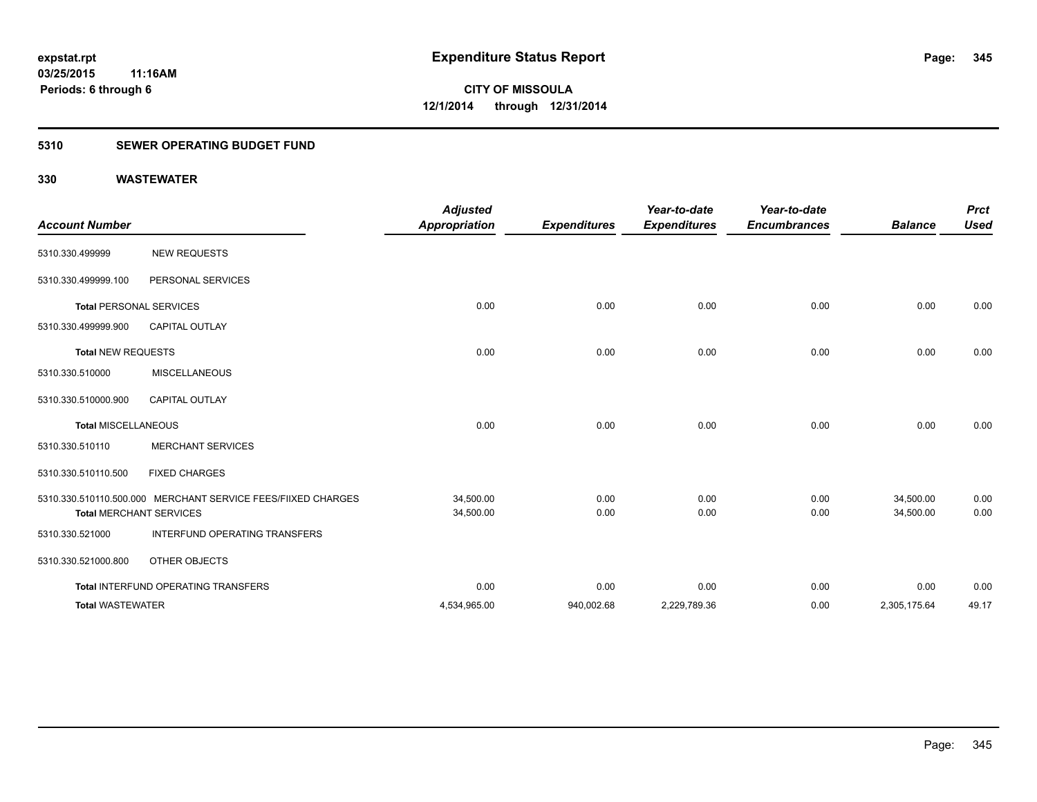# **5310 SEWER OPERATING BUDGET FUND**

| <b>Account Number</b>      |                                                                                                | <b>Adjusted</b><br><b>Appropriation</b> | <b>Expenditures</b> | Year-to-date<br><b>Expenditures</b> | Year-to-date<br><b>Encumbrances</b> | <b>Balance</b>         | <b>Prct</b><br><b>Used</b> |
|----------------------------|------------------------------------------------------------------------------------------------|-----------------------------------------|---------------------|-------------------------------------|-------------------------------------|------------------------|----------------------------|
| 5310.330.499999            | <b>NEW REQUESTS</b>                                                                            |                                         |                     |                                     |                                     |                        |                            |
| 5310.330.499999.100        | PERSONAL SERVICES                                                                              |                                         |                     |                                     |                                     |                        |                            |
|                            | <b>Total PERSONAL SERVICES</b>                                                                 | 0.00                                    | 0.00                | 0.00                                | 0.00                                | 0.00                   | 0.00                       |
| 5310.330.499999.900        | <b>CAPITAL OUTLAY</b>                                                                          |                                         |                     |                                     |                                     |                        |                            |
| <b>Total NEW REQUESTS</b>  |                                                                                                | 0.00                                    | 0.00                | 0.00                                | 0.00                                | 0.00                   | 0.00                       |
| 5310.330.510000            | <b>MISCELLANEOUS</b>                                                                           |                                         |                     |                                     |                                     |                        |                            |
| 5310.330.510000.900        | <b>CAPITAL OUTLAY</b>                                                                          |                                         |                     |                                     |                                     |                        |                            |
| <b>Total MISCELLANEOUS</b> |                                                                                                | 0.00                                    | 0.00                | 0.00                                | 0.00                                | 0.00                   | 0.00                       |
| 5310.330.510110            | <b>MERCHANT SERVICES</b>                                                                       |                                         |                     |                                     |                                     |                        |                            |
| 5310.330.510110.500        | <b>FIXED CHARGES</b>                                                                           |                                         |                     |                                     |                                     |                        |                            |
|                            | 5310.330.510110.500.000 MERCHANT SERVICE FEES/FIIXED CHARGES<br><b>Total MERCHANT SERVICES</b> | 34,500.00<br>34,500.00                  | 0.00<br>0.00        | 0.00<br>0.00                        | 0.00<br>0.00                        | 34,500.00<br>34,500.00 | 0.00<br>0.00               |
| 5310.330.521000            | <b>INTERFUND OPERATING TRANSFERS</b>                                                           |                                         |                     |                                     |                                     |                        |                            |
| 5310.330.521000.800        | OTHER OBJECTS                                                                                  |                                         |                     |                                     |                                     |                        |                            |
|                            | Total INTERFUND OPERATING TRANSFERS                                                            | 0.00                                    | 0.00                | 0.00                                | 0.00                                | 0.00                   | 0.00                       |
| <b>Total WASTEWATER</b>    |                                                                                                | 4,534,965.00                            | 940,002.68          | 2,229,789.36                        | 0.00                                | 2,305,175.64           | 49.17                      |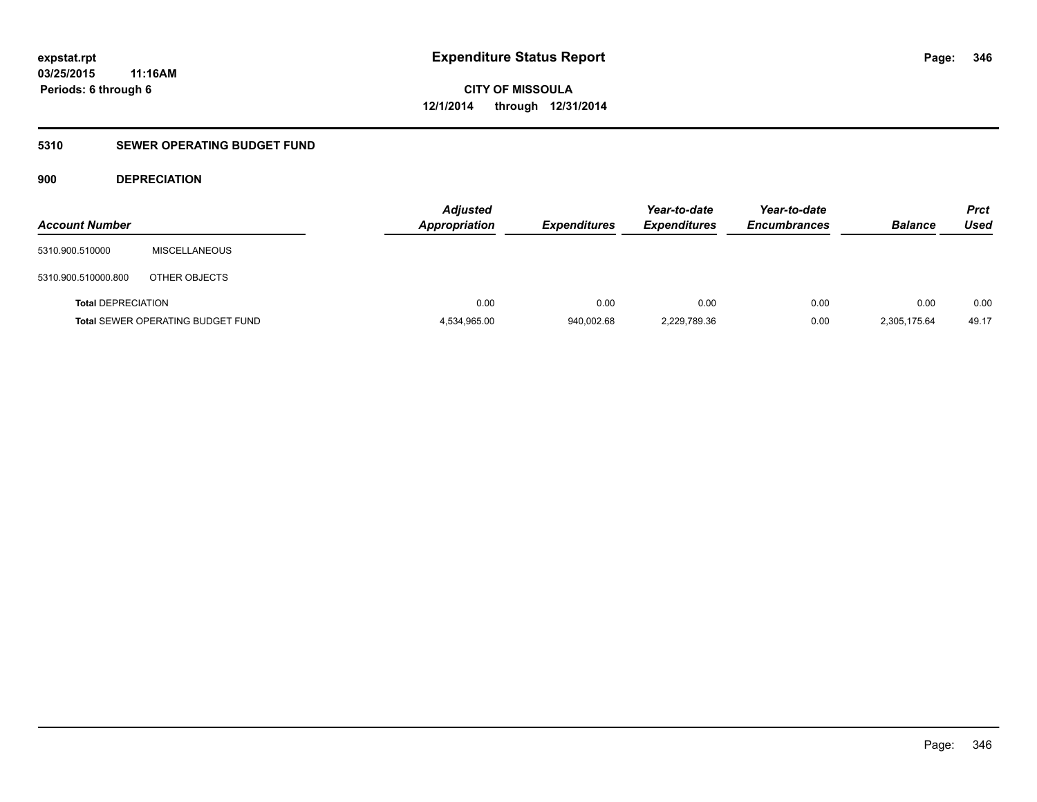# **5310 SEWER OPERATING BUDGET FUND**

# **900 DEPRECIATION**

| <b>Account Number</b>     |                                          | <b>Adjusted</b><br><b>Appropriation</b> | <b>Expenditures</b> | Year-to-date<br><b>Expenditures</b> | Year-to-date<br><b>Encumbrances</b> | <b>Balance</b> | <b>Prct</b><br>Used |
|---------------------------|------------------------------------------|-----------------------------------------|---------------------|-------------------------------------|-------------------------------------|----------------|---------------------|
| 5310.900.510000           | <b>MISCELLANEOUS</b>                     |                                         |                     |                                     |                                     |                |                     |
| 5310.900.510000.800       | OTHER OBJECTS                            |                                         |                     |                                     |                                     |                |                     |
| <b>Total DEPRECIATION</b> |                                          | 0.00                                    | 0.00                | 0.00                                | 0.00                                | 0.00           | 0.00                |
|                           | <b>Total SEWER OPERATING BUDGET FUND</b> | 4,534,965.00                            | 940,002.68          | 2,229,789.36                        | 0.00                                | 2,305,175.64   | 49.17               |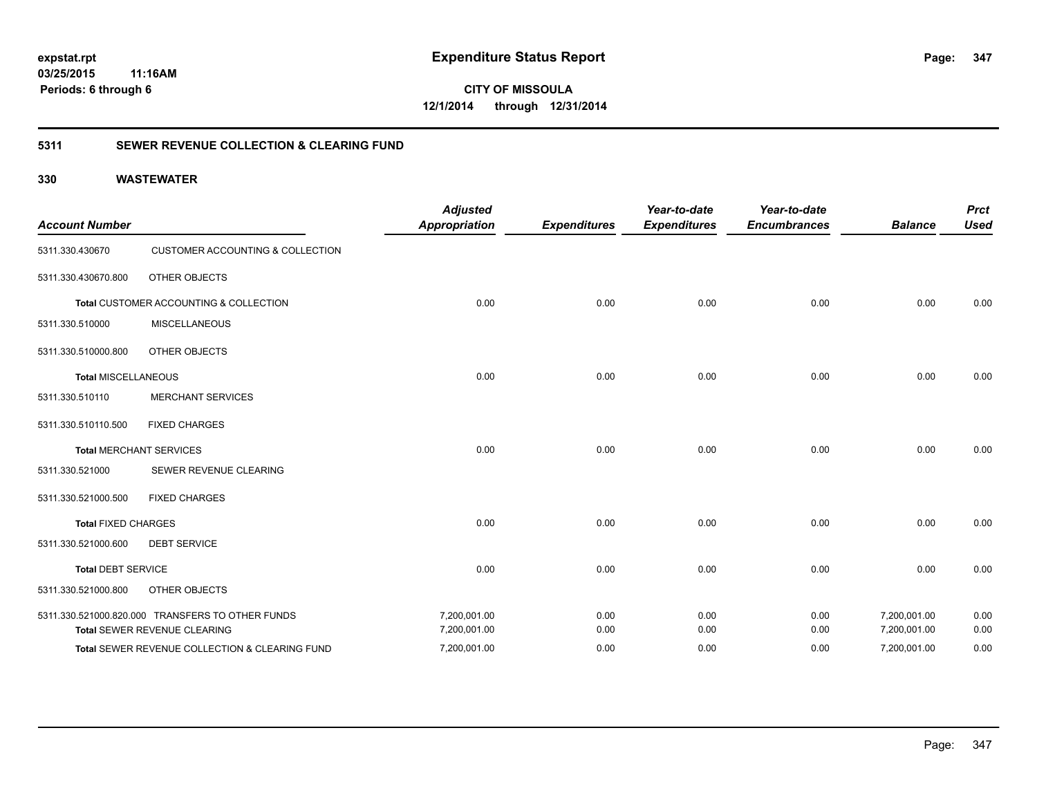**CITY OF MISSOULA 12/1/2014 through 12/31/2014**

# **5311 SEWER REVENUE COLLECTION & CLEARING FUND**

| <b>Account Number</b>      |                                                  | <b>Adjusted</b><br><b>Appropriation</b> | <b>Expenditures</b> | Year-to-date<br><b>Expenditures</b> | Year-to-date<br><b>Encumbrances</b> | <b>Balance</b> | <b>Prct</b><br><b>Used</b> |
|----------------------------|--------------------------------------------------|-----------------------------------------|---------------------|-------------------------------------|-------------------------------------|----------------|----------------------------|
| 5311.330.430670            | <b>CUSTOMER ACCOUNTING &amp; COLLECTION</b>      |                                         |                     |                                     |                                     |                |                            |
| 5311.330.430670.800        | <b>OTHER OBJECTS</b>                             |                                         |                     |                                     |                                     |                |                            |
|                            | Total CUSTOMER ACCOUNTING & COLLECTION           | 0.00                                    | 0.00                | 0.00                                | 0.00                                | 0.00           | 0.00                       |
| 5311.330.510000            | <b>MISCELLANEOUS</b>                             |                                         |                     |                                     |                                     |                |                            |
| 5311.330.510000.800        | <b>OTHER OBJECTS</b>                             |                                         |                     |                                     |                                     |                |                            |
| <b>Total MISCELLANEOUS</b> |                                                  | 0.00                                    | 0.00                | 0.00                                | 0.00                                | 0.00           | 0.00                       |
| 5311.330.510110            | <b>MERCHANT SERVICES</b>                         |                                         |                     |                                     |                                     |                |                            |
| 5311.330.510110.500        | <b>FIXED CHARGES</b>                             |                                         |                     |                                     |                                     |                |                            |
|                            | <b>Total MERCHANT SERVICES</b>                   | 0.00                                    | 0.00                | 0.00                                | 0.00                                | 0.00           | 0.00                       |
| 5311.330.521000            | SEWER REVENUE CLEARING                           |                                         |                     |                                     |                                     |                |                            |
| 5311.330.521000.500        | <b>FIXED CHARGES</b>                             |                                         |                     |                                     |                                     |                |                            |
| <b>Total FIXED CHARGES</b> |                                                  | 0.00                                    | 0.00                | 0.00                                | 0.00                                | 0.00           | 0.00                       |
| 5311.330.521000.600        | <b>DEBT SERVICE</b>                              |                                         |                     |                                     |                                     |                |                            |
| <b>Total DEBT SERVICE</b>  |                                                  | 0.00                                    | 0.00                | 0.00                                | 0.00                                | 0.00           | 0.00                       |
| 5311.330.521000.800        | <b>OTHER OBJECTS</b>                             |                                         |                     |                                     |                                     |                |                            |
|                            | 5311.330.521000.820.000 TRANSFERS TO OTHER FUNDS | 7,200,001.00                            | 0.00                | 0.00                                | 0.00                                | 7,200,001.00   | 0.00                       |
|                            | Total SEWER REVENUE CLEARING                     | 7,200,001.00                            | 0.00                | 0.00                                | 0.00                                | 7,200,001.00   | 0.00                       |
|                            | Total SEWER REVENUE COLLECTION & CLEARING FUND   | 7,200,001.00                            | 0.00                | 0.00                                | 0.00                                | 7,200,001.00   | 0.00                       |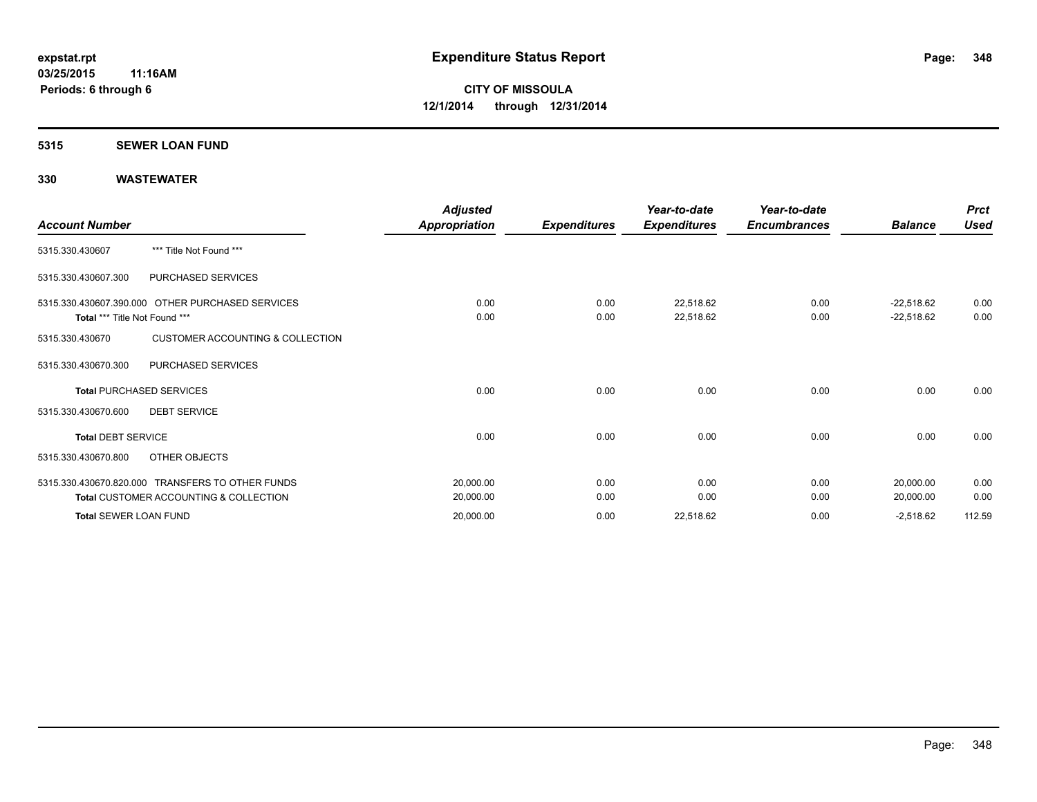### **5315 SEWER LOAN FUND**

| <b>Account Number</b>         |                                                                                                       | Adjusted<br>Appropriation | <b>Expenditures</b> | Year-to-date<br><b>Expenditures</b> | Year-to-date<br><b>Encumbrances</b> | <b>Balance</b>               | <b>Prct</b><br><b>Used</b> |
|-------------------------------|-------------------------------------------------------------------------------------------------------|---------------------------|---------------------|-------------------------------------|-------------------------------------|------------------------------|----------------------------|
| 5315.330.430607               | *** Title Not Found ***                                                                               |                           |                     |                                     |                                     |                              |                            |
| 5315.330.430607.300           | PURCHASED SERVICES                                                                                    |                           |                     |                                     |                                     |                              |                            |
| Total *** Title Not Found *** | 5315.330.430607.390.000 OTHER PURCHASED SERVICES                                                      | 0.00<br>0.00              | 0.00<br>0.00        | 22,518.62<br>22,518.62              | 0.00<br>0.00                        | $-22,518.62$<br>$-22,518.62$ | 0.00<br>0.00               |
| 5315.330.430670               | <b>CUSTOMER ACCOUNTING &amp; COLLECTION</b>                                                           |                           |                     |                                     |                                     |                              |                            |
| 5315.330.430670.300           | PURCHASED SERVICES                                                                                    |                           |                     |                                     |                                     |                              |                            |
|                               | <b>Total PURCHASED SERVICES</b>                                                                       | 0.00                      | 0.00                | 0.00                                | 0.00                                | 0.00                         | 0.00                       |
| 5315.330.430670.600           | <b>DEBT SERVICE</b>                                                                                   |                           |                     |                                     |                                     |                              |                            |
| <b>Total DEBT SERVICE</b>     |                                                                                                       | 0.00                      | 0.00                | 0.00                                | 0.00                                | 0.00                         | 0.00                       |
| 5315.330.430670.800           | OTHER OBJECTS                                                                                         |                           |                     |                                     |                                     |                              |                            |
|                               | 5315.330.430670.820.000 TRANSFERS TO OTHER FUNDS<br><b>Total CUSTOMER ACCOUNTING &amp; COLLECTION</b> | 20,000.00<br>20,000.00    | 0.00<br>0.00        | 0.00<br>0.00                        | 0.00<br>0.00                        | 20,000.00<br>20,000.00       | 0.00<br>0.00               |
| <b>Total SEWER LOAN FUND</b>  |                                                                                                       | 20,000.00                 | 0.00                | 22,518.62                           | 0.00                                | $-2,518.62$                  | 112.59                     |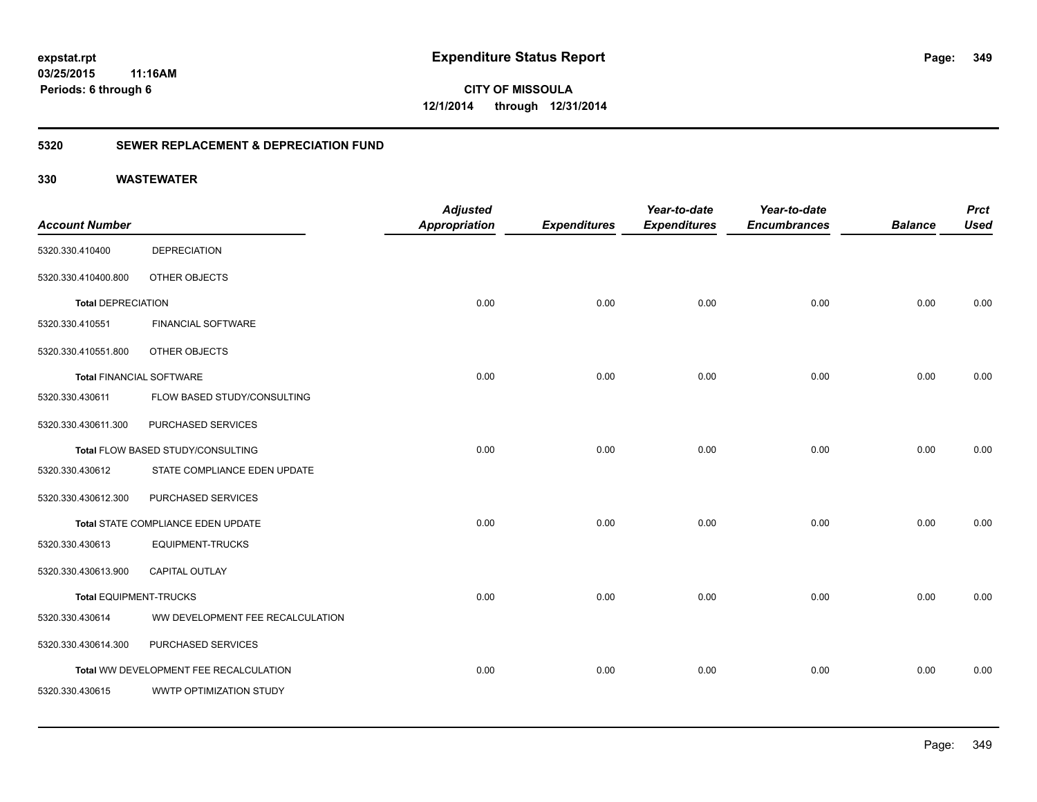**349**

**CITY OF MISSOULA 12/1/2014 through 12/31/2014**

# **5320 SEWER REPLACEMENT & DEPRECIATION FUND**

|                                 |                                        | <b>Adjusted</b>      |                     | Year-to-date        | Year-to-date        |                | <b>Prct</b> |
|---------------------------------|----------------------------------------|----------------------|---------------------|---------------------|---------------------|----------------|-------------|
| <b>Account Number</b>           |                                        | <b>Appropriation</b> | <b>Expenditures</b> | <b>Expenditures</b> | <b>Encumbrances</b> | <b>Balance</b> | <b>Used</b> |
| 5320.330.410400                 | <b>DEPRECIATION</b>                    |                      |                     |                     |                     |                |             |
| 5320.330.410400.800             | OTHER OBJECTS                          |                      |                     |                     |                     |                |             |
| <b>Total DEPRECIATION</b>       |                                        | 0.00                 | 0.00                | 0.00                | 0.00                | 0.00           | 0.00        |
| 5320.330.410551                 | <b>FINANCIAL SOFTWARE</b>              |                      |                     |                     |                     |                |             |
| 5320.330.410551.800             | OTHER OBJECTS                          |                      |                     |                     |                     |                |             |
| <b>Total FINANCIAL SOFTWARE</b> |                                        | 0.00                 | 0.00                | 0.00                | 0.00                | 0.00           | 0.00        |
| 5320.330.430611                 | FLOW BASED STUDY/CONSULTING            |                      |                     |                     |                     |                |             |
| 5320.330.430611.300             | PURCHASED SERVICES                     |                      |                     |                     |                     |                |             |
|                                 | Total FLOW BASED STUDY/CONSULTING      | 0.00                 | 0.00                | 0.00                | 0.00                | 0.00           | 0.00        |
| 5320.330.430612                 | STATE COMPLIANCE EDEN UPDATE           |                      |                     |                     |                     |                |             |
| 5320.330.430612.300             | PURCHASED SERVICES                     |                      |                     |                     |                     |                |             |
|                                 | Total STATE COMPLIANCE EDEN UPDATE     | 0.00                 | 0.00                | 0.00                | 0.00                | 0.00           | 0.00        |
| 5320.330.430613                 | <b>EQUIPMENT-TRUCKS</b>                |                      |                     |                     |                     |                |             |
| 5320.330.430613.900             | CAPITAL OUTLAY                         |                      |                     |                     |                     |                |             |
| <b>Total EQUIPMENT-TRUCKS</b>   |                                        | 0.00                 | 0.00                | 0.00                | 0.00                | 0.00           | 0.00        |
| 5320.330.430614                 | WW DEVELOPMENT FEE RECALCULATION       |                      |                     |                     |                     |                |             |
| 5320.330.430614.300             | PURCHASED SERVICES                     |                      |                     |                     |                     |                |             |
|                                 | Total WW DEVELOPMENT FEE RECALCULATION | 0.00                 | 0.00                | 0.00                | 0.00                | 0.00           | 0.00        |
| 5320.330.430615                 | WWTP OPTIMIZATION STUDY                |                      |                     |                     |                     |                |             |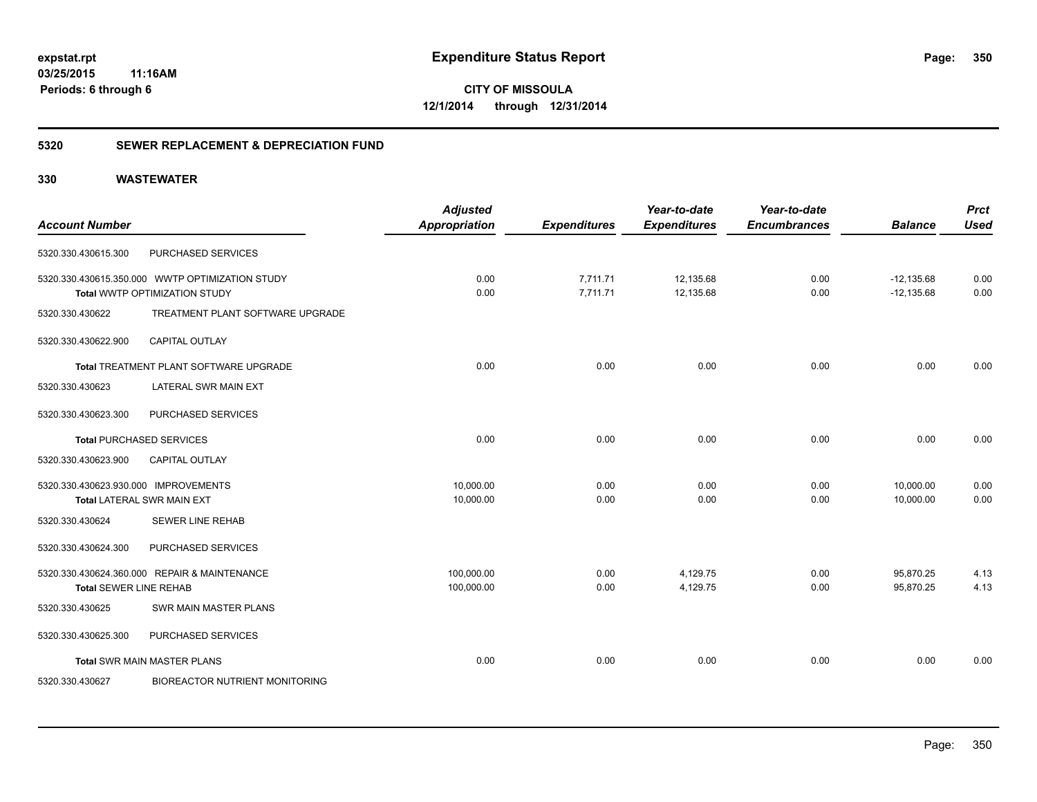**CITY OF MISSOULA 12/1/2014 through 12/31/2014**

# **5320 SEWER REPLACEMENT & DEPRECIATION FUND**

|                                      |                                                 | <b>Adjusted</b>      |                     | Year-to-date        | Year-to-date        |                | <b>Prct</b> |
|--------------------------------------|-------------------------------------------------|----------------------|---------------------|---------------------|---------------------|----------------|-------------|
| <b>Account Number</b>                |                                                 | <b>Appropriation</b> | <b>Expenditures</b> | <b>Expenditures</b> | <b>Encumbrances</b> | <b>Balance</b> | <b>Used</b> |
| 5320.330.430615.300                  | PURCHASED SERVICES                              |                      |                     |                     |                     |                |             |
|                                      | 5320.330.430615.350.000 WWTP OPTIMIZATION STUDY | 0.00                 | 7,711.71            | 12,135.68           | 0.00                | $-12,135.68$   | 0.00        |
|                                      | Total WWTP OPTIMIZATION STUDY                   | 0.00                 | 7,711.71            | 12,135.68           | 0.00                | $-12,135.68$   | 0.00        |
| 5320.330.430622                      | TREATMENT PLANT SOFTWARE UPGRADE                |                      |                     |                     |                     |                |             |
| 5320.330.430622.900                  | <b>CAPITAL OUTLAY</b>                           |                      |                     |                     |                     |                |             |
|                                      | Total TREATMENT PLANT SOFTWARE UPGRADE          | 0.00                 | 0.00                | 0.00                | 0.00                | 0.00           | 0.00        |
| 5320.330.430623                      | <b>LATERAL SWR MAIN EXT</b>                     |                      |                     |                     |                     |                |             |
| 5320.330.430623.300                  | PURCHASED SERVICES                              |                      |                     |                     |                     |                |             |
|                                      | <b>Total PURCHASED SERVICES</b>                 | 0.00                 | 0.00                | 0.00                | 0.00                | 0.00           | 0.00        |
| 5320.330.430623.900                  | <b>CAPITAL OUTLAY</b>                           |                      |                     |                     |                     |                |             |
| 5320.330.430623.930.000 IMPROVEMENTS |                                                 | 10,000.00            | 0.00                | 0.00                | 0.00                | 10,000.00      | 0.00        |
|                                      | <b>Total LATERAL SWR MAIN EXT</b>               | 10,000.00            | 0.00                | 0.00                | 0.00                | 10,000.00      | 0.00        |
| 5320.330.430624                      | <b>SEWER LINE REHAB</b>                         |                      |                     |                     |                     |                |             |
| 5320.330.430624.300                  | PURCHASED SERVICES                              |                      |                     |                     |                     |                |             |
|                                      | 5320.330.430624.360.000 REPAIR & MAINTENANCE    | 100,000.00           | 0.00                | 4,129.75            | 0.00                | 95,870.25      | 4.13        |
| <b>Total SEWER LINE REHAB</b>        |                                                 | 100,000.00           | 0.00                | 4,129.75            | 0.00                | 95,870.25      | 4.13        |
| 5320.330.430625                      | SWR MAIN MASTER PLANS                           |                      |                     |                     |                     |                |             |
| 5320.330.430625.300                  | PURCHASED SERVICES                              |                      |                     |                     |                     |                |             |
|                                      | <b>Total SWR MAIN MASTER PLANS</b>              | 0.00                 | 0.00                | 0.00                | 0.00                | 0.00           | 0.00        |
| 5320.330.430627                      | <b>BIOREACTOR NUTRIENT MONITORING</b>           |                      |                     |                     |                     |                |             |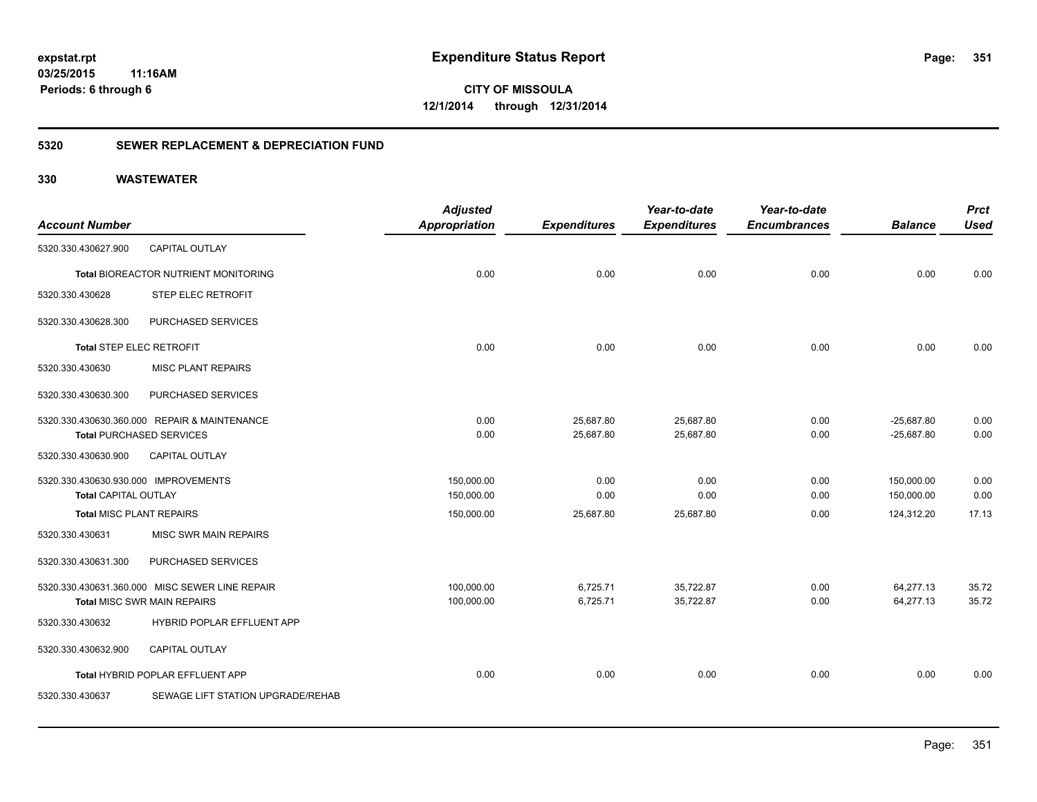**351**

**CITY OF MISSOULA 12/1/2014 through 12/31/2014**

# **5320 SEWER REPLACEMENT & DEPRECIATION FUND**

|                                      |                                                | <b>Adjusted</b>      |                     | Year-to-date        | Year-to-date        |                | <b>Prct</b> |
|--------------------------------------|------------------------------------------------|----------------------|---------------------|---------------------|---------------------|----------------|-------------|
| <b>Account Number</b>                |                                                | <b>Appropriation</b> | <b>Expenditures</b> | <b>Expenditures</b> | <b>Encumbrances</b> | <b>Balance</b> | <b>Used</b> |
| 5320.330.430627.900                  | <b>CAPITAL OUTLAY</b>                          |                      |                     |                     |                     |                |             |
|                                      | <b>Total BIOREACTOR NUTRIENT MONITORING</b>    | 0.00                 | 0.00                | 0.00                | 0.00                | 0.00           | 0.00        |
| 5320.330.430628                      | STEP ELEC RETROFIT                             |                      |                     |                     |                     |                |             |
| 5320.330.430628.300                  | PURCHASED SERVICES                             |                      |                     |                     |                     |                |             |
| Total STEP ELEC RETROFIT             |                                                | 0.00                 | 0.00                | 0.00                | 0.00                | 0.00           | 0.00        |
| 5320.330.430630                      | <b>MISC PLANT REPAIRS</b>                      |                      |                     |                     |                     |                |             |
| 5320.330.430630.300                  | PURCHASED SERVICES                             |                      |                     |                     |                     |                |             |
|                                      | 5320.330.430630.360.000 REPAIR & MAINTENANCE   | 0.00                 | 25,687.80           | 25,687.80           | 0.00                | $-25,687.80$   | 0.00        |
|                                      | <b>Total PURCHASED SERVICES</b>                | 0.00                 | 25,687.80           | 25,687.80           | 0.00                | $-25,687.80$   | 0.00        |
| 5320.330.430630.900                  | <b>CAPITAL OUTLAY</b>                          |                      |                     |                     |                     |                |             |
| 5320.330.430630.930.000 IMPROVEMENTS |                                                | 150,000.00           | 0.00                | 0.00                | 0.00                | 150,000.00     | 0.00        |
| <b>Total CAPITAL OUTLAY</b>          |                                                | 150,000.00           | 0.00                | 0.00                | 0.00                | 150,000.00     | 0.00        |
| <b>Total MISC PLANT REPAIRS</b>      |                                                | 150,000.00           | 25,687.80           | 25,687.80           | 0.00                | 124,312.20     | 17.13       |
| 5320.330.430631                      | MISC SWR MAIN REPAIRS                          |                      |                     |                     |                     |                |             |
| 5320.330.430631.300                  | PURCHASED SERVICES                             |                      |                     |                     |                     |                |             |
|                                      | 5320.330.430631.360.000 MISC SEWER LINE REPAIR | 100,000.00           | 6,725.71            | 35,722.87           | 0.00                | 64,277.13      | 35.72       |
|                                      | <b>Total MISC SWR MAIN REPAIRS</b>             | 100,000.00           | 6,725.71            | 35,722.87           | 0.00                | 64,277.13      | 35.72       |
| 5320.330.430632                      | HYBRID POPLAR EFFLUENT APP                     |                      |                     |                     |                     |                |             |
| 5320.330.430632.900                  | CAPITAL OUTLAY                                 |                      |                     |                     |                     |                |             |
|                                      | Total HYBRID POPLAR EFFLUENT APP               | 0.00                 | 0.00                | 0.00                | 0.00                | 0.00           | 0.00        |
| 5320.330.430637                      | SEWAGE LIFT STATION UPGRADE/REHAB              |                      |                     |                     |                     |                |             |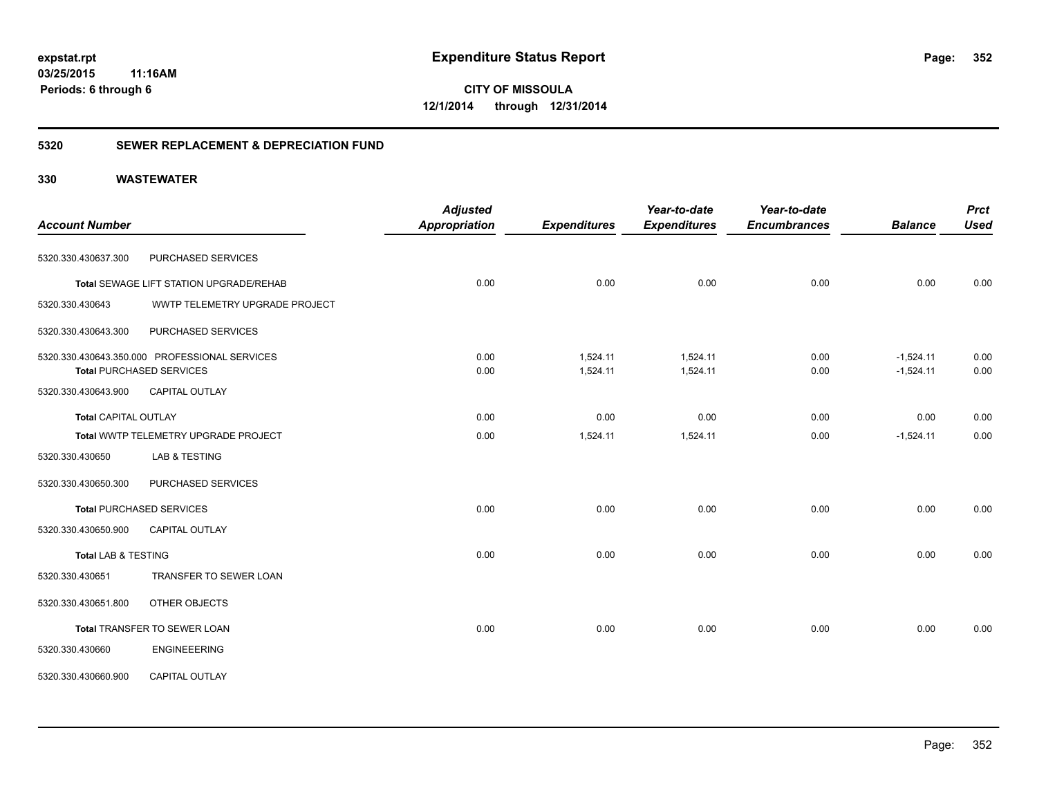**352**

**03/25/2015 11:16AM Periods: 6 through 6**

**CITY OF MISSOULA 12/1/2014 through 12/31/2014**

# **5320 SEWER REPLACEMENT & DEPRECIATION FUND**

|                                |                                               | <b>Adjusted</b>      |                     | Year-to-date        | Year-to-date        |                | <b>Prct</b> |
|--------------------------------|-----------------------------------------------|----------------------|---------------------|---------------------|---------------------|----------------|-------------|
| <b>Account Number</b>          |                                               | <b>Appropriation</b> | <b>Expenditures</b> | <b>Expenditures</b> | <b>Encumbrances</b> | <b>Balance</b> | <b>Used</b> |
| 5320.330.430637.300            | PURCHASED SERVICES                            |                      |                     |                     |                     |                |             |
|                                | Total SEWAGE LIFT STATION UPGRADE/REHAB       | 0.00                 | 0.00                | 0.00                | 0.00                | 0.00           | 0.00        |
| 5320.330.430643                | WWTP TELEMETRY UPGRADE PROJECT                |                      |                     |                     |                     |                |             |
| 5320.330.430643.300            | PURCHASED SERVICES                            |                      |                     |                     |                     |                |             |
|                                | 5320.330.430643.350.000 PROFESSIONAL SERVICES | 0.00                 | 1,524.11            | 1,524.11            | 0.00                | $-1,524.11$    | 0.00        |
|                                | <b>Total PURCHASED SERVICES</b>               | 0.00                 | 1,524.11            | 1,524.11            | 0.00                | $-1,524.11$    | 0.00        |
| 5320.330.430643.900            | <b>CAPITAL OUTLAY</b>                         |                      |                     |                     |                     |                |             |
| <b>Total CAPITAL OUTLAY</b>    |                                               | 0.00                 | 0.00                | 0.00                | 0.00                | 0.00           | 0.00        |
|                                | Total WWTP TELEMETRY UPGRADE PROJECT          | 0.00                 | 1,524.11            | 1,524.11            | 0.00                | $-1,524.11$    | 0.00        |
| 5320.330.430650                | LAB & TESTING                                 |                      |                     |                     |                     |                |             |
| 5320.330.430650.300            | PURCHASED SERVICES                            |                      |                     |                     |                     |                |             |
|                                | <b>Total PURCHASED SERVICES</b>               | 0.00                 | 0.00                | 0.00                | 0.00                | 0.00           | 0.00        |
| 5320.330.430650.900            | CAPITAL OUTLAY                                |                      |                     |                     |                     |                |             |
| <b>Total LAB &amp; TESTING</b> |                                               | 0.00                 | 0.00                | 0.00                | 0.00                | 0.00           | 0.00        |
| 5320.330.430651                | TRANSFER TO SEWER LOAN                        |                      |                     |                     |                     |                |             |
| 5320.330.430651.800            | OTHER OBJECTS                                 |                      |                     |                     |                     |                |             |
|                                | Total TRANSFER TO SEWER LOAN                  | 0.00                 | 0.00                | 0.00                | 0.00                | 0.00           | 0.00        |
| 5320.330.430660                | <b>ENGINEEERING</b>                           |                      |                     |                     |                     |                |             |
| 5320.330.430660.900            | CAPITAL OUTLAY                                |                      |                     |                     |                     |                |             |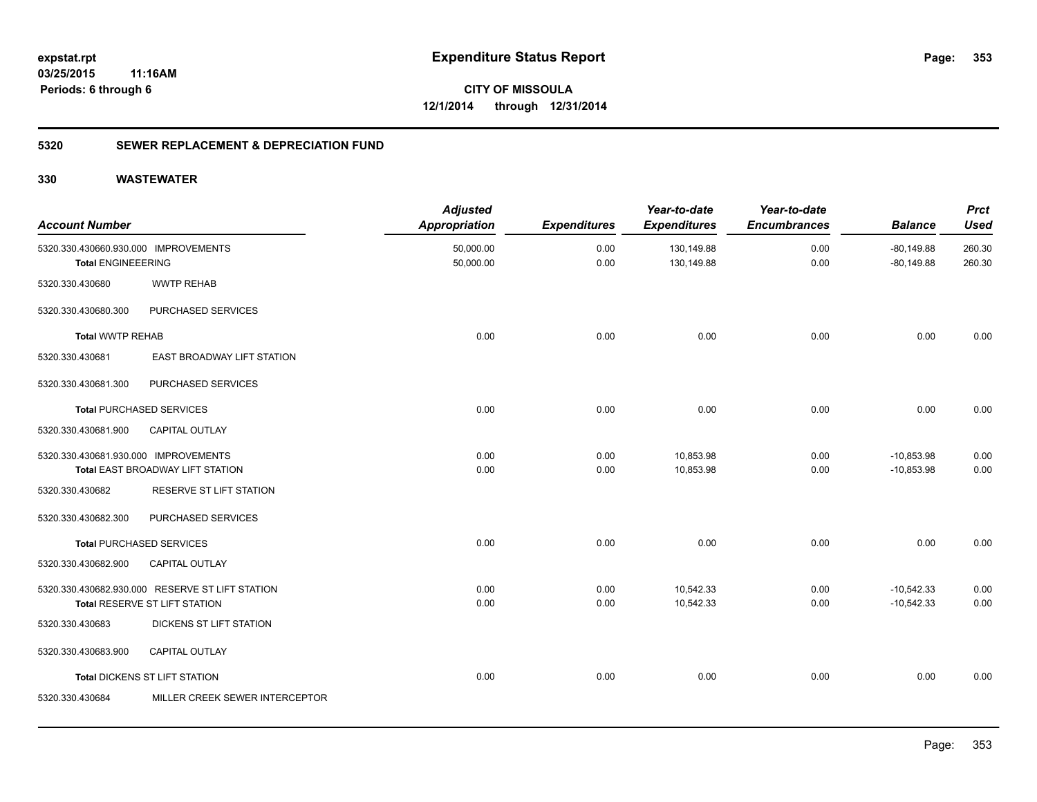**353**

**CITY OF MISSOULA 12/1/2014 through 12/31/2014**

# **5320 SEWER REPLACEMENT & DEPRECIATION FUND**

| <b>Account Number</b>                                             |                                                                                  | <b>Adjusted</b><br><b>Appropriation</b> | <b>Expenditures</b> | Year-to-date<br><b>Expenditures</b> | Year-to-date<br><b>Encumbrances</b> | <b>Balance</b>               | <b>Prct</b><br><b>Used</b> |
|-------------------------------------------------------------------|----------------------------------------------------------------------------------|-----------------------------------------|---------------------|-------------------------------------|-------------------------------------|------------------------------|----------------------------|
| 5320.330.430660.930.000 IMPROVEMENTS<br><b>Total ENGINEEERING</b> |                                                                                  | 50,000.00<br>50,000.00                  | 0.00<br>0.00        | 130,149.88<br>130,149.88            | 0.00<br>0.00                        | $-80,149.88$<br>$-80,149.88$ | 260.30<br>260.30           |
| 5320.330.430680                                                   | <b>WWTP REHAB</b>                                                                |                                         |                     |                                     |                                     |                              |                            |
| 5320.330.430680.300                                               | PURCHASED SERVICES                                                               |                                         |                     |                                     |                                     |                              |                            |
| <b>Total WWTP REHAB</b>                                           |                                                                                  | 0.00                                    | 0.00                | 0.00                                | 0.00                                | 0.00                         | 0.00                       |
| 5320.330.430681                                                   | <b>EAST BROADWAY LIFT STATION</b>                                                |                                         |                     |                                     |                                     |                              |                            |
| 5320.330.430681.300                                               | PURCHASED SERVICES                                                               |                                         |                     |                                     |                                     |                              |                            |
|                                                                   | <b>Total PURCHASED SERVICES</b>                                                  | 0.00                                    | 0.00                | 0.00                                | 0.00                                | 0.00                         | 0.00                       |
| 5320.330.430681.900                                               | <b>CAPITAL OUTLAY</b>                                                            |                                         |                     |                                     |                                     |                              |                            |
| 5320.330.430681.930.000 IMPROVEMENTS                              | Total EAST BROADWAY LIFT STATION                                                 | 0.00<br>0.00                            | 0.00<br>0.00        | 10,853.98<br>10,853.98              | 0.00<br>0.00                        | $-10,853.98$<br>$-10,853.98$ | 0.00<br>0.00               |
| 5320.330.430682                                                   | RESERVE ST LIFT STATION                                                          |                                         |                     |                                     |                                     |                              |                            |
| 5320.330.430682.300                                               | PURCHASED SERVICES                                                               |                                         |                     |                                     |                                     |                              |                            |
|                                                                   | <b>Total PURCHASED SERVICES</b>                                                  | 0.00                                    | 0.00                | 0.00                                | 0.00                                | 0.00                         | 0.00                       |
| 5320.330.430682.900                                               | <b>CAPITAL OUTLAY</b>                                                            |                                         |                     |                                     |                                     |                              |                            |
|                                                                   | 5320.330.430682.930.000 RESERVE ST LIFT STATION<br>Total RESERVE ST LIFT STATION | 0.00<br>0.00                            | 0.00<br>0.00        | 10,542.33<br>10,542.33              | 0.00<br>0.00                        | $-10,542.33$<br>$-10,542.33$ | 0.00<br>0.00               |
| 5320.330.430683                                                   | DICKENS ST LIFT STATION                                                          |                                         |                     |                                     |                                     |                              |                            |
| 5320.330.430683.900                                               | <b>CAPITAL OUTLAY</b>                                                            |                                         |                     |                                     |                                     |                              |                            |
|                                                                   | <b>Total DICKENS ST LIFT STATION</b>                                             | 0.00                                    | 0.00                | 0.00                                | 0.00                                | 0.00                         | 0.00                       |
| 5320.330.430684                                                   | MILLER CREEK SEWER INTERCEPTOR                                                   |                                         |                     |                                     |                                     |                              |                            |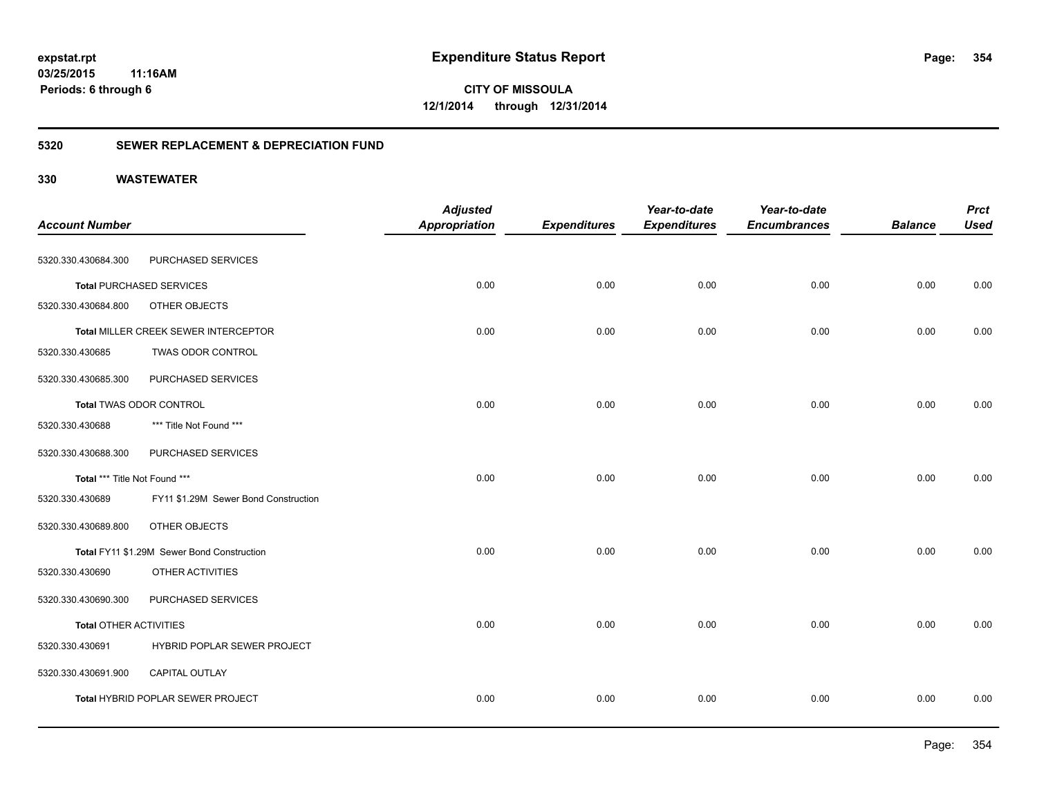**354**

**CITY OF MISSOULA 12/1/2014 through 12/31/2014**

# **5320 SEWER REPLACEMENT & DEPRECIATION FUND**

| <b>Account Number</b>         |                                            | <b>Adjusted</b><br><b>Appropriation</b> | <b>Expenditures</b> | Year-to-date<br><b>Expenditures</b> | Year-to-date<br><b>Encumbrances</b> | <b>Balance</b> | <b>Prct</b><br><b>Used</b> |
|-------------------------------|--------------------------------------------|-----------------------------------------|---------------------|-------------------------------------|-------------------------------------|----------------|----------------------------|
| 5320.330.430684.300           | PURCHASED SERVICES                         |                                         |                     |                                     |                                     |                |                            |
|                               | <b>Total PURCHASED SERVICES</b>            | 0.00                                    | 0.00                | 0.00                                | 0.00                                | 0.00           | 0.00                       |
| 5320.330.430684.800           | OTHER OBJECTS                              |                                         |                     |                                     |                                     |                |                            |
|                               | Total MILLER CREEK SEWER INTERCEPTOR       | 0.00                                    | 0.00                | 0.00                                | 0.00                                | 0.00           | 0.00                       |
| 5320.330.430685               | TWAS ODOR CONTROL                          |                                         |                     |                                     |                                     |                |                            |
| 5320.330.430685.300           | PURCHASED SERVICES                         |                                         |                     |                                     |                                     |                |                            |
|                               | Total TWAS ODOR CONTROL                    | 0.00                                    | 0.00                | 0.00                                | 0.00                                | 0.00           | 0.00                       |
| 5320.330.430688               | *** Title Not Found ***                    |                                         |                     |                                     |                                     |                |                            |
| 5320.330.430688.300           | PURCHASED SERVICES                         |                                         |                     |                                     |                                     |                |                            |
| Total *** Title Not Found *** |                                            | 0.00                                    | 0.00                | 0.00                                | 0.00                                | 0.00           | 0.00                       |
| 5320.330.430689               | FY11 \$1.29M Sewer Bond Construction       |                                         |                     |                                     |                                     |                |                            |
| 5320.330.430689.800           | OTHER OBJECTS                              |                                         |                     |                                     |                                     |                |                            |
|                               | Total FY11 \$1.29M Sewer Bond Construction | 0.00                                    | 0.00                | 0.00                                | 0.00                                | 0.00           | 0.00                       |
| 5320.330.430690               | OTHER ACTIVITIES                           |                                         |                     |                                     |                                     |                |                            |
| 5320.330.430690.300           | PURCHASED SERVICES                         |                                         |                     |                                     |                                     |                |                            |
| <b>Total OTHER ACTIVITIES</b> |                                            | 0.00                                    | 0.00                | 0.00                                | 0.00                                | 0.00           | 0.00                       |
| 5320.330.430691               | HYBRID POPLAR SEWER PROJECT                |                                         |                     |                                     |                                     |                |                            |
| 5320.330.430691.900           | CAPITAL OUTLAY                             |                                         |                     |                                     |                                     |                |                            |
|                               | Total HYBRID POPLAR SEWER PROJECT          | 0.00                                    | 0.00                | 0.00                                | 0.00                                | 0.00           | 0.00                       |
|                               |                                            |                                         |                     |                                     |                                     |                |                            |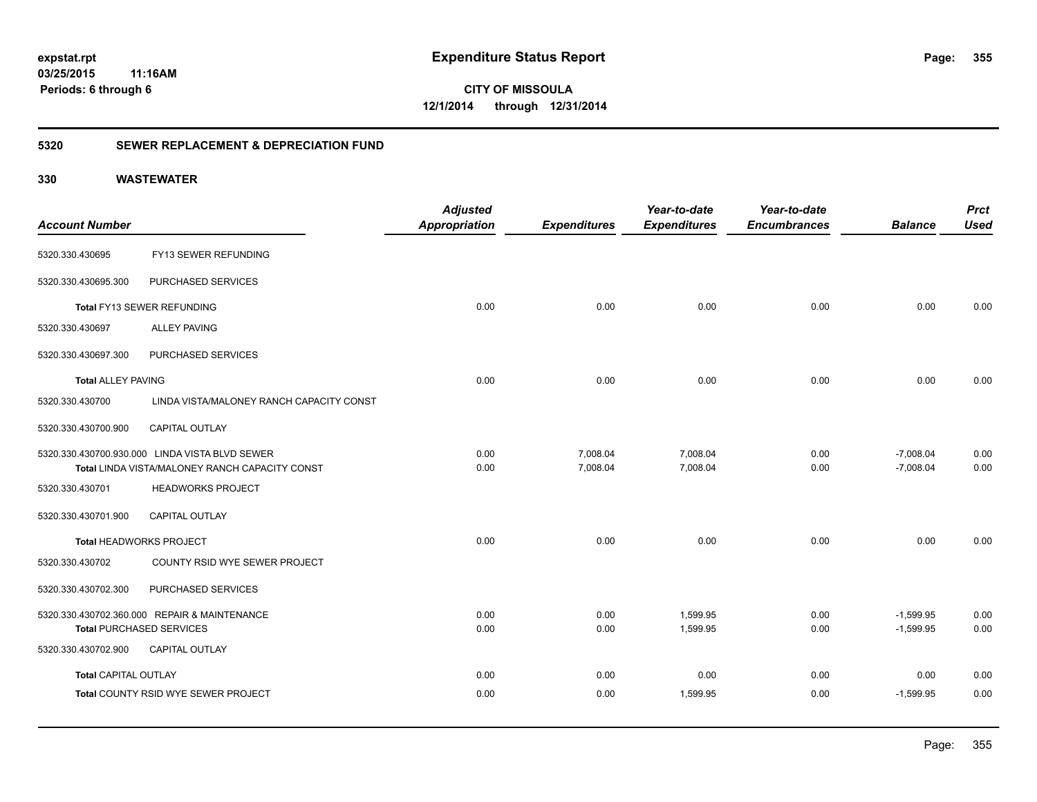# **5320 SEWER REPLACEMENT & DEPRECIATION FUND**

|                             |                                                | <b>Adjusted</b> |                     | Year-to-date        | Year-to-date        |                | <b>Prct</b> |
|-----------------------------|------------------------------------------------|-----------------|---------------------|---------------------|---------------------|----------------|-------------|
| <b>Account Number</b>       |                                                | Appropriation   | <b>Expenditures</b> | <b>Expenditures</b> | <b>Encumbrances</b> | <b>Balance</b> | <b>Used</b> |
| 5320.330.430695             | FY13 SEWER REFUNDING                           |                 |                     |                     |                     |                |             |
| 5320.330.430695.300         | PURCHASED SERVICES                             |                 |                     |                     |                     |                |             |
|                             | Total FY13 SEWER REFUNDING                     | 0.00            | 0.00                | 0.00                | 0.00                | 0.00           | 0.00        |
| 5320.330.430697             | <b>ALLEY PAVING</b>                            |                 |                     |                     |                     |                |             |
| 5320.330.430697.300         | PURCHASED SERVICES                             |                 |                     |                     |                     |                |             |
| <b>Total ALLEY PAVING</b>   |                                                | 0.00            | 0.00                | 0.00                | 0.00                | 0.00           | 0.00        |
| 5320.330.430700             | LINDA VISTA/MALONEY RANCH CAPACITY CONST       |                 |                     |                     |                     |                |             |
| 5320.330.430700.900         | CAPITAL OUTLAY                                 |                 |                     |                     |                     |                |             |
|                             | 5320.330.430700.930.000 LINDA VISTA BLVD SEWER | 0.00            | 7,008.04            | 7,008.04            | 0.00                | $-7,008.04$    | 0.00        |
|                             | Total LINDA VISTA/MALONEY RANCH CAPACITY CONST | 0.00            | 7,008.04            | 7,008.04            | 0.00                | $-7,008.04$    | 0.00        |
| 5320.330.430701             | <b>HEADWORKS PROJECT</b>                       |                 |                     |                     |                     |                |             |
| 5320.330.430701.900         | CAPITAL OUTLAY                                 |                 |                     |                     |                     |                |             |
|                             | Total HEADWORKS PROJECT                        | 0.00            | 0.00                | 0.00                | 0.00                | 0.00           | 0.00        |
| 5320.330.430702             | COUNTY RSID WYE SEWER PROJECT                  |                 |                     |                     |                     |                |             |
| 5320.330.430702.300         | PURCHASED SERVICES                             |                 |                     |                     |                     |                |             |
|                             | 5320.330.430702.360.000 REPAIR & MAINTENANCE   | 0.00            | 0.00                | 1,599.95            | 0.00                | $-1,599.95$    | 0.00        |
|                             | <b>Total PURCHASED SERVICES</b>                | 0.00            | 0.00                | 1,599.95            | 0.00                | $-1,599.95$    | 0.00        |
| 5320.330.430702.900         | <b>CAPITAL OUTLAY</b>                          |                 |                     |                     |                     |                |             |
| <b>Total CAPITAL OUTLAY</b> |                                                | 0.00            | 0.00                | 0.00                | 0.00                | 0.00           | 0.00        |
|                             | Total COUNTY RSID WYE SEWER PROJECT            | 0.00            | 0.00                | 1,599.95            | 0.00                | $-1,599.95$    | 0.00        |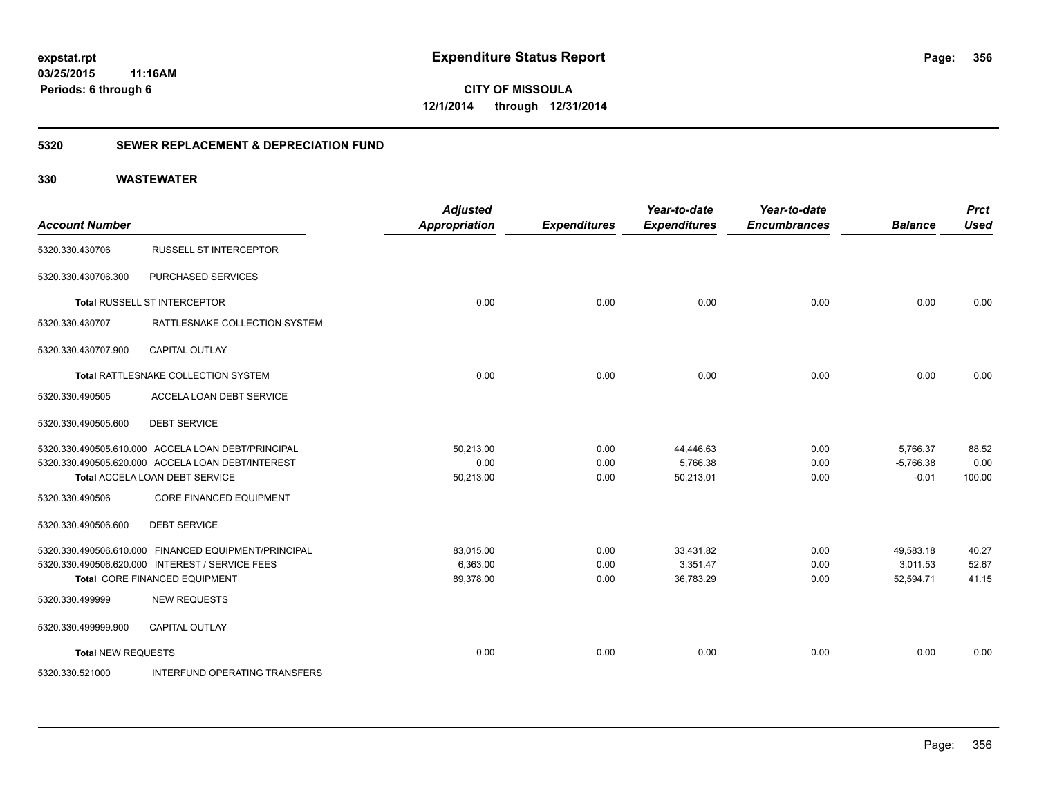**CITY OF MISSOULA 12/1/2014 through 12/31/2014**

# **5320 SEWER REPLACEMENT & DEPRECIATION FUND**

| <b>Account Number</b>     |                                                                                     | <b>Adjusted</b><br><b>Appropriation</b> | <b>Expenditures</b> | Year-to-date<br><b>Expenditures</b> | Year-to-date<br><b>Encumbrances</b> | <b>Balance</b>         | <b>Prct</b><br><b>Used</b> |
|---------------------------|-------------------------------------------------------------------------------------|-----------------------------------------|---------------------|-------------------------------------|-------------------------------------|------------------------|----------------------------|
| 5320.330.430706           | <b>RUSSELL ST INTERCEPTOR</b>                                                       |                                         |                     |                                     |                                     |                        |                            |
| 5320.330.430706.300       | PURCHASED SERVICES                                                                  |                                         |                     |                                     |                                     |                        |                            |
|                           | Total RUSSELL ST INTERCEPTOR                                                        | 0.00                                    | 0.00                | 0.00                                | 0.00                                | 0.00                   | 0.00                       |
| 5320.330.430707           | RATTLESNAKE COLLECTION SYSTEM                                                       |                                         |                     |                                     |                                     |                        |                            |
| 5320.330.430707.900       | <b>CAPITAL OUTLAY</b>                                                               |                                         |                     |                                     |                                     |                        |                            |
|                           | Total RATTLESNAKE COLLECTION SYSTEM                                                 | 0.00                                    | 0.00                | 0.00                                | 0.00                                | 0.00                   | 0.00                       |
| 5320.330.490505           | ACCELA LOAN DEBT SERVICE                                                            |                                         |                     |                                     |                                     |                        |                            |
| 5320.330.490505.600       | <b>DEBT SERVICE</b>                                                                 |                                         |                     |                                     |                                     |                        |                            |
|                           | 5320.330.490505.610.000 ACCELA LOAN DEBT/PRINCIPAL                                  | 50,213.00                               | 0.00                | 44,446.63                           | 0.00                                | 5,766.37               | 88.52                      |
|                           | 5320.330.490505.620.000 ACCELA LOAN DEBT/INTEREST<br>Total ACCELA LOAN DEBT SERVICE | 0.00<br>50,213.00                       | 0.00<br>0.00        | 5,766.38<br>50,213.01               | 0.00<br>0.00                        | $-5,766.38$<br>$-0.01$ | 0.00<br>100.00             |
| 5320.330.490506           | <b>CORE FINANCED EQUIPMENT</b>                                                      |                                         |                     |                                     |                                     |                        |                            |
| 5320.330.490506.600       | <b>DEBT SERVICE</b>                                                                 |                                         |                     |                                     |                                     |                        |                            |
|                           | 5320.330.490506.610.000 FINANCED EQUIPMENT/PRINCIPAL                                | 83,015.00                               | 0.00                | 33,431.82                           | 0.00                                | 49,583.18              | 40.27                      |
|                           | 5320.330.490506.620.000 INTEREST / SERVICE FEES                                     | 6,363.00                                | 0.00                | 3,351.47                            | 0.00                                | 3,011.53               | 52.67                      |
|                           | Total CORE FINANCED EQUIPMENT                                                       | 89,378.00                               | 0.00                | 36,783.29                           | 0.00                                | 52,594.71              | 41.15                      |
| 5320.330.499999           | <b>NEW REQUESTS</b>                                                                 |                                         |                     |                                     |                                     |                        |                            |
| 5320.330.499999.900       | <b>CAPITAL OUTLAY</b>                                                               |                                         |                     |                                     |                                     |                        |                            |
| <b>Total NEW REQUESTS</b> |                                                                                     | 0.00                                    | 0.00                | 0.00                                | 0.00                                | 0.00                   | 0.00                       |
| 5320.330.521000           | <b>INTERFUND OPERATING TRANSFERS</b>                                                |                                         |                     |                                     |                                     |                        |                            |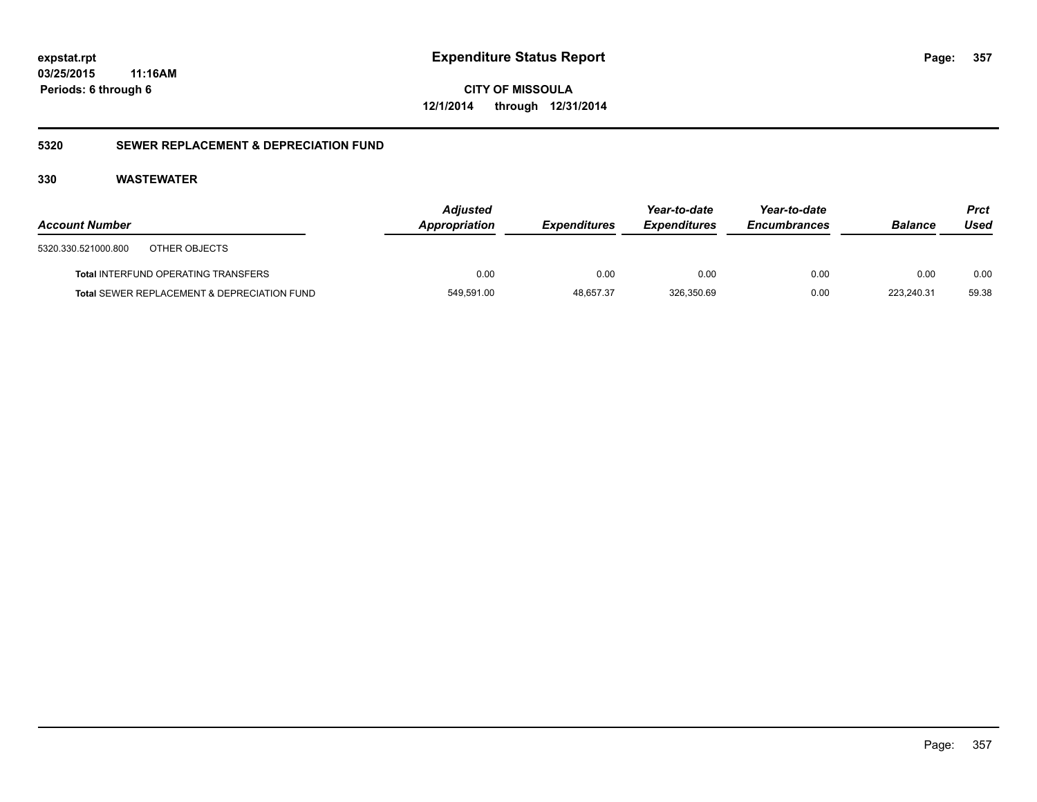**CITY OF MISSOULA 12/1/2014 through 12/31/2014**

# **5320 SEWER REPLACEMENT & DEPRECIATION FUND**

| <b>Account Number</b> |                                             | <b>Adjusted</b><br>Appropriation | <b>Expenditures</b> | Year-to-date<br><b>Expenditures</b> | Year-to-date<br><b>Encumbrances</b> | <b>Balance</b> | <b>Prct</b><br>Used |
|-----------------------|---------------------------------------------|----------------------------------|---------------------|-------------------------------------|-------------------------------------|----------------|---------------------|
| 5320.330.521000.800   | OTHER OBJECTS                               |                                  |                     |                                     |                                     |                |                     |
|                       | <b>Total INTERFUND OPERATING TRANSFERS</b>  | 0.00                             | 0.00                | 0.00                                | 0.00                                | 0.00           | 0.00                |
|                       | Total SEWER REPLACEMENT & DEPRECIATION FUND | 549,591.00                       | 48.657.37           | 326,350.69                          | 0.00                                | 223.240.31     | 59.38               |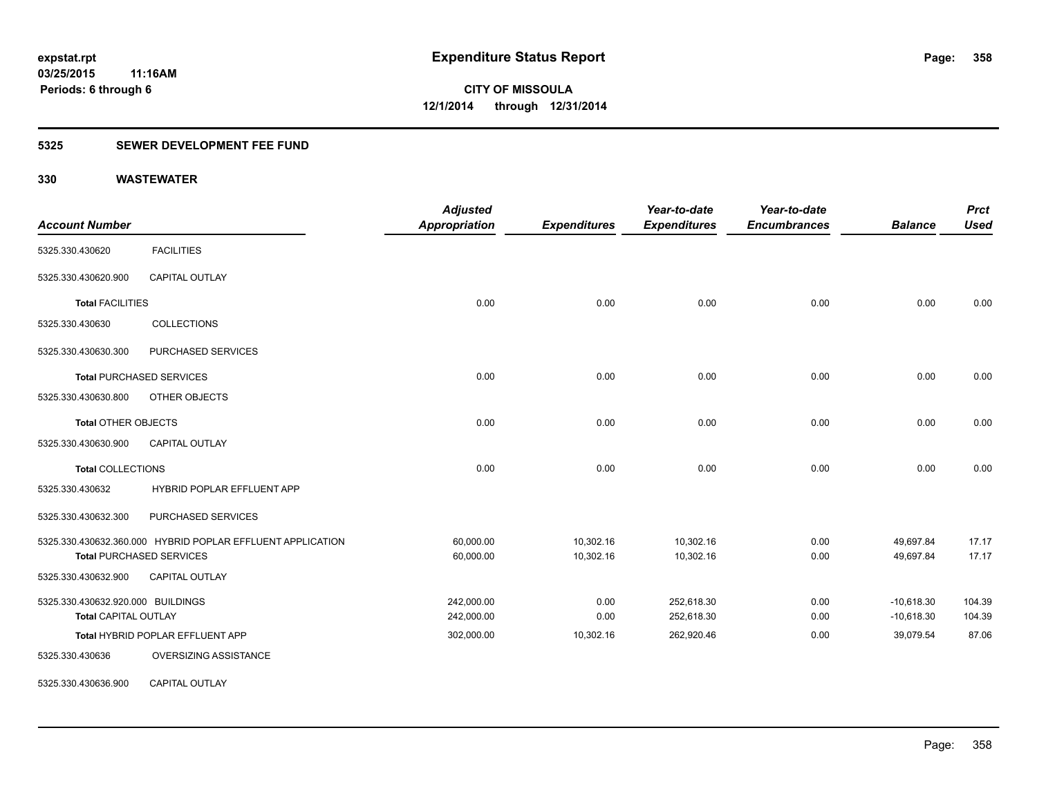# **5325 SEWER DEVELOPMENT FEE FUND**

| <b>Account Number</b>             |                                                            | <b>Adjusted</b><br><b>Appropriation</b> | <b>Expenditures</b> | Year-to-date<br><b>Expenditures</b> | Year-to-date<br><b>Encumbrances</b> | <b>Balance</b> | <b>Prct</b><br><b>Used</b> |
|-----------------------------------|------------------------------------------------------------|-----------------------------------------|---------------------|-------------------------------------|-------------------------------------|----------------|----------------------------|
| 5325.330.430620                   | <b>FACILITIES</b>                                          |                                         |                     |                                     |                                     |                |                            |
| 5325.330.430620.900               | <b>CAPITAL OUTLAY</b>                                      |                                         |                     |                                     |                                     |                |                            |
| <b>Total FACILITIES</b>           |                                                            | 0.00                                    | 0.00                | 0.00                                | 0.00                                | 0.00           | 0.00                       |
| 5325.330.430630                   | <b>COLLECTIONS</b>                                         |                                         |                     |                                     |                                     |                |                            |
| 5325.330.430630.300               | PURCHASED SERVICES                                         |                                         |                     |                                     |                                     |                |                            |
|                                   | <b>Total PURCHASED SERVICES</b>                            | 0.00                                    | 0.00                | 0.00                                | 0.00                                | 0.00           | 0.00                       |
| 5325.330.430630.800               | OTHER OBJECTS                                              |                                         |                     |                                     |                                     |                |                            |
| <b>Total OTHER OBJECTS</b>        |                                                            | 0.00                                    | 0.00                | 0.00                                | 0.00                                | 0.00           | 0.00                       |
| 5325.330.430630.900               | <b>CAPITAL OUTLAY</b>                                      |                                         |                     |                                     |                                     |                |                            |
| <b>Total COLLECTIONS</b>          |                                                            | 0.00                                    | 0.00                | 0.00                                | 0.00                                | 0.00           | 0.00                       |
| 5325.330.430632                   | HYBRID POPLAR EFFLUENT APP                                 |                                         |                     |                                     |                                     |                |                            |
| 5325.330.430632.300               | PURCHASED SERVICES                                         |                                         |                     |                                     |                                     |                |                            |
|                                   | 5325.330.430632.360.000 HYBRID POPLAR EFFLUENT APPLICATION | 60,000.00                               | 10,302.16           | 10,302.16                           | 0.00                                | 49,697.84      | 17.17                      |
|                                   | <b>Total PURCHASED SERVICES</b>                            | 60,000.00                               | 10,302.16           | 10,302.16                           | 0.00                                | 49,697.84      | 17.17                      |
| 5325.330.430632.900               | CAPITAL OUTLAY                                             |                                         |                     |                                     |                                     |                |                            |
| 5325.330.430632.920.000 BUILDINGS |                                                            | 242.000.00                              | 0.00                | 252,618.30                          | 0.00                                | $-10,618.30$   | 104.39                     |
| <b>Total CAPITAL OUTLAY</b>       |                                                            | 242,000.00                              | 0.00                | 252,618.30                          | 0.00                                | $-10,618.30$   | 104.39                     |
|                                   | Total HYBRID POPLAR EFFLUENT APP                           | 302,000.00                              | 10,302.16           | 262,920.46                          | 0.00                                | 39,079.54      | 87.06                      |
| 5325.330.430636                   | OVERSIZING ASSISTANCE                                      |                                         |                     |                                     |                                     |                |                            |
| 5325.330.430636.900               | <b>CAPITAL OUTLAY</b>                                      |                                         |                     |                                     |                                     |                |                            |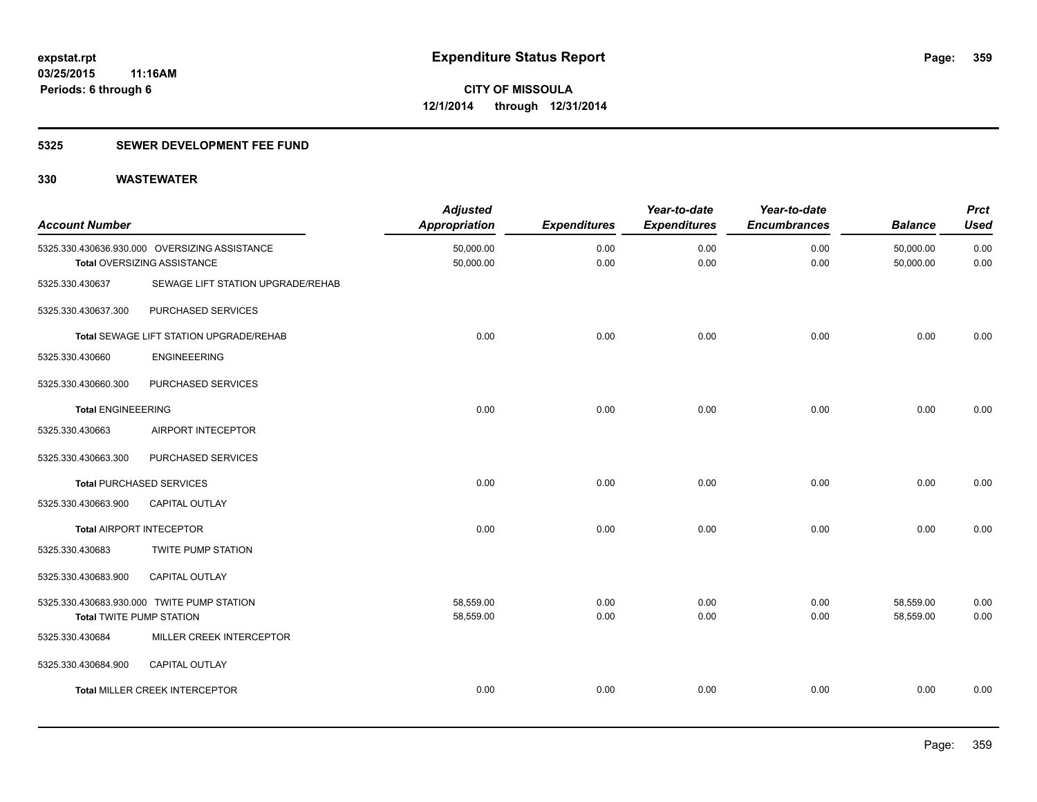# **5325 SEWER DEVELOPMENT FEE FUND**

| <b>Account Number</b>           |                                                                              | <b>Adjusted</b><br><b>Appropriation</b> | <b>Expenditures</b> | Year-to-date<br><b>Expenditures</b> | Year-to-date<br><b>Encumbrances</b> | <b>Balance</b>         | <b>Prct</b><br><b>Used</b> |
|---------------------------------|------------------------------------------------------------------------------|-----------------------------------------|---------------------|-------------------------------------|-------------------------------------|------------------------|----------------------------|
|                                 | 5325.330.430636.930.000 OVERSIZING ASSISTANCE<br>Total OVERSIZING ASSISTANCE | 50,000.00<br>50,000.00                  | 0.00<br>0.00        | 0.00<br>0.00                        | 0.00<br>0.00                        | 50,000.00<br>50,000.00 | 0.00<br>0.00               |
| 5325.330.430637                 | SEWAGE LIFT STATION UPGRADE/REHAB                                            |                                         |                     |                                     |                                     |                        |                            |
| 5325.330.430637.300             | PURCHASED SERVICES                                                           |                                         |                     |                                     |                                     |                        |                            |
|                                 | <b>Total SEWAGE LIFT STATION UPGRADE/REHAB</b>                               | 0.00                                    | 0.00                | 0.00                                | 0.00                                | 0.00                   | 0.00                       |
| 5325.330.430660                 | <b>ENGINEEERING</b>                                                          |                                         |                     |                                     |                                     |                        |                            |
| 5325.330.430660.300             | PURCHASED SERVICES                                                           |                                         |                     |                                     |                                     |                        |                            |
| <b>Total ENGINEEERING</b>       |                                                                              | 0.00                                    | 0.00                | 0.00                                | 0.00                                | 0.00                   | 0.00                       |
| 5325.330.430663                 | AIRPORT INTECEPTOR                                                           |                                         |                     |                                     |                                     |                        |                            |
| 5325.330.430663.300             | PURCHASED SERVICES                                                           |                                         |                     |                                     |                                     |                        |                            |
|                                 | <b>Total PURCHASED SERVICES</b>                                              | 0.00                                    | 0.00                | 0.00                                | 0.00                                | 0.00                   | 0.00                       |
| 5325.330.430663.900             | CAPITAL OUTLAY                                                               |                                         |                     |                                     |                                     |                        |                            |
| <b>Total AIRPORT INTECEPTOR</b> |                                                                              | 0.00                                    | 0.00                | 0.00                                | 0.00                                | 0.00                   | 0.00                       |
| 5325.330.430683                 | <b>TWITE PUMP STATION</b>                                                    |                                         |                     |                                     |                                     |                        |                            |
| 5325.330.430683.900             | CAPITAL OUTLAY                                                               |                                         |                     |                                     |                                     |                        |                            |
| <b>Total TWITE PUMP STATION</b> | 5325.330.430683.930.000 TWITE PUMP STATION                                   | 58,559.00<br>58,559.00                  | 0.00<br>0.00        | 0.00<br>0.00                        | 0.00<br>0.00                        | 58,559.00<br>58,559.00 | 0.00<br>0.00               |
| 5325.330.430684                 | MILLER CREEK INTERCEPTOR                                                     |                                         |                     |                                     |                                     |                        |                            |
| 5325.330.430684.900             | CAPITAL OUTLAY                                                               |                                         |                     |                                     |                                     |                        |                            |
|                                 | <b>Total MILLER CREEK INTERCEPTOR</b>                                        | 0.00                                    | 0.00                | 0.00                                | 0.00                                | 0.00                   | 0.00                       |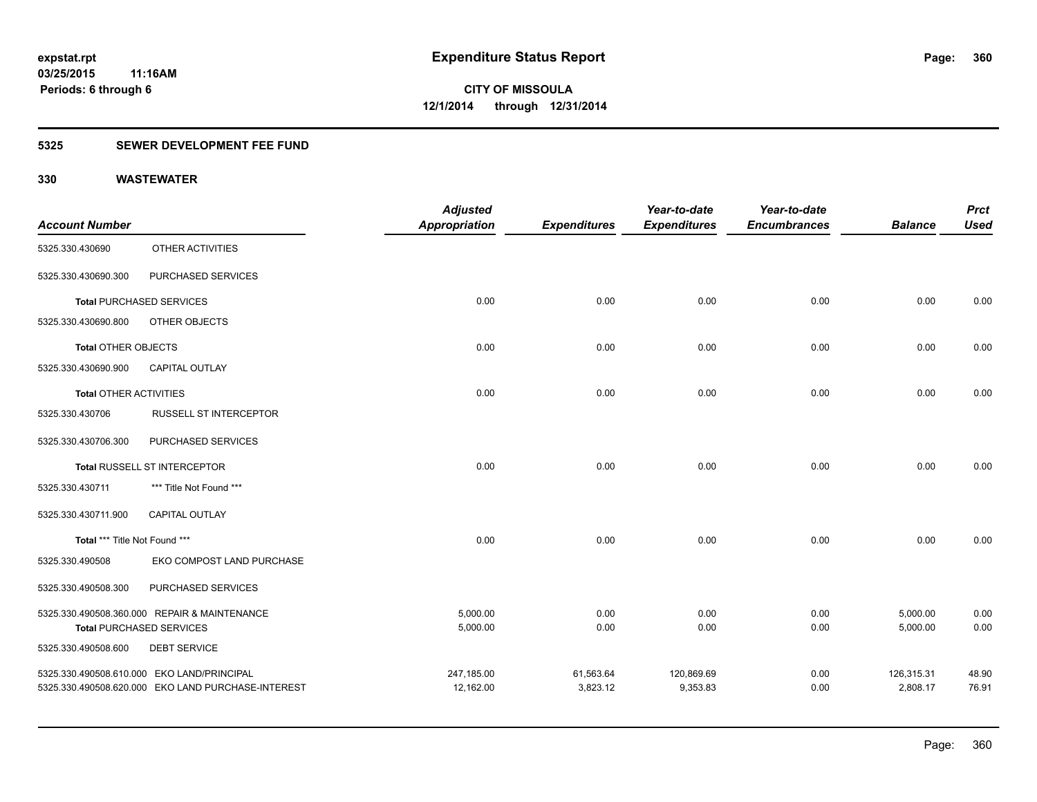# **5325 SEWER DEVELOPMENT FEE FUND**

|                               |                                                    | <b>Adjusted</b>      |                     | Year-to-date        | Year-to-date        |                | <b>Prct</b> |
|-------------------------------|----------------------------------------------------|----------------------|---------------------|---------------------|---------------------|----------------|-------------|
| <b>Account Number</b>         |                                                    | <b>Appropriation</b> | <b>Expenditures</b> | <b>Expenditures</b> | <b>Encumbrances</b> | <b>Balance</b> | <b>Used</b> |
| 5325.330.430690               | OTHER ACTIVITIES                                   |                      |                     |                     |                     |                |             |
| 5325.330.430690.300           | PURCHASED SERVICES                                 |                      |                     |                     |                     |                |             |
|                               | <b>Total PURCHASED SERVICES</b>                    | 0.00                 | 0.00                | 0.00                | 0.00                | 0.00           | 0.00        |
| 5325.330.430690.800           | OTHER OBJECTS                                      |                      |                     |                     |                     |                |             |
| <b>Total OTHER OBJECTS</b>    |                                                    | 0.00                 | 0.00                | 0.00                | 0.00                | 0.00           | 0.00        |
| 5325.330.430690.900           | CAPITAL OUTLAY                                     |                      |                     |                     |                     |                |             |
| <b>Total OTHER ACTIVITIES</b> |                                                    | 0.00                 | 0.00                | 0.00                | 0.00                | 0.00           | 0.00        |
| 5325.330.430706               | <b>RUSSELL ST INTERCEPTOR</b>                      |                      |                     |                     |                     |                |             |
| 5325.330.430706.300           | PURCHASED SERVICES                                 |                      |                     |                     |                     |                |             |
|                               | Total RUSSELL ST INTERCEPTOR                       | 0.00                 | 0.00                | 0.00                | 0.00                | 0.00           | 0.00        |
| 5325.330.430711               | *** Title Not Found ***                            |                      |                     |                     |                     |                |             |
| 5325.330.430711.900           | <b>CAPITAL OUTLAY</b>                              |                      |                     |                     |                     |                |             |
| Total *** Title Not Found *** |                                                    | 0.00                 | 0.00                | 0.00                | 0.00                | 0.00           | 0.00        |
| 5325.330.490508               | EKO COMPOST LAND PURCHASE                          |                      |                     |                     |                     |                |             |
| 5325.330.490508.300           | PURCHASED SERVICES                                 |                      |                     |                     |                     |                |             |
|                               | 5325.330.490508.360.000 REPAIR & MAINTENANCE       | 5,000.00             | 0.00                | 0.00                | 0.00                | 5,000.00       | 0.00        |
|                               | <b>Total PURCHASED SERVICES</b>                    | 5,000.00             | 0.00                | 0.00                | 0.00                | 5,000.00       | 0.00        |
| 5325.330.490508.600           | <b>DEBT SERVICE</b>                                |                      |                     |                     |                     |                |             |
|                               | 5325.330.490508.610.000 EKO LAND/PRINCIPAL         | 247,185.00           | 61,563.64           | 120,869.69          | 0.00                | 126,315.31     | 48.90       |
|                               | 5325.330.490508.620.000 EKO LAND PURCHASE-INTEREST | 12,162.00            | 3,823.12            | 9,353.83            | 0.00                | 2,808.17       | 76.91       |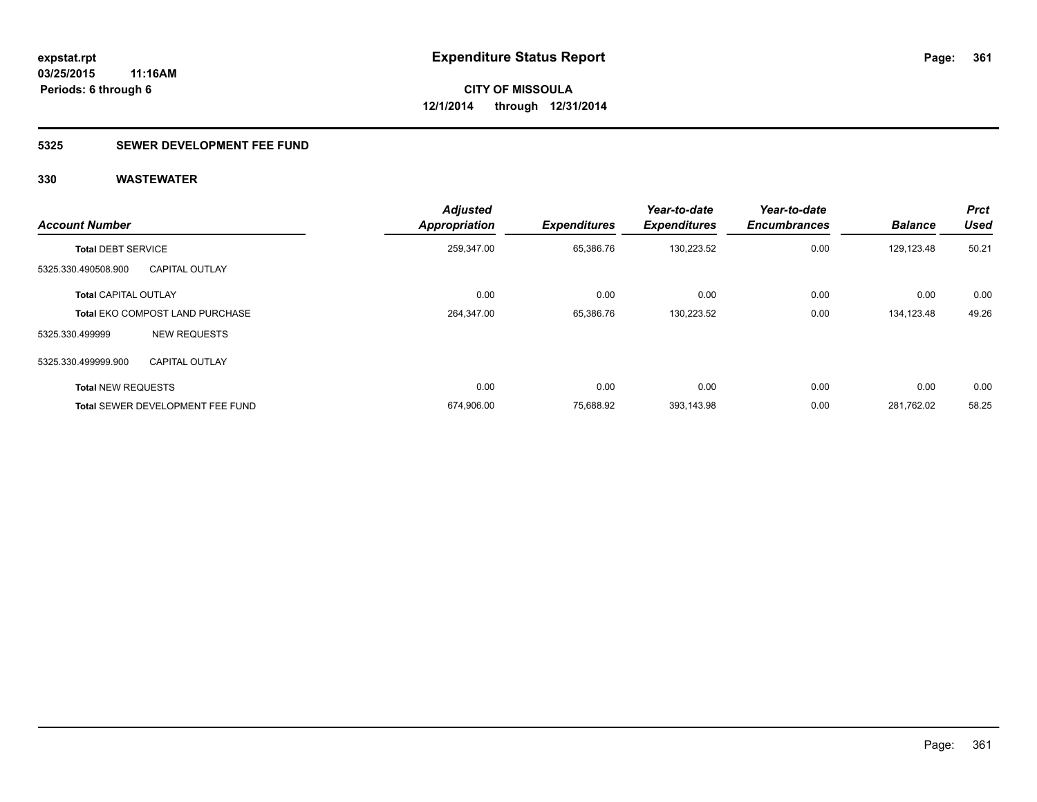### **5325 SEWER DEVELOPMENT FEE FUND**

| <b>Account Number</b>       |                                         | <b>Adjusted</b><br><b>Appropriation</b> | <b>Expenditures</b> | Year-to-date<br><b>Expenditures</b> | Year-to-date<br><b>Encumbrances</b> | <b>Balance</b> | <b>Prct</b><br><b>Used</b> |
|-----------------------------|-----------------------------------------|-----------------------------------------|---------------------|-------------------------------------|-------------------------------------|----------------|----------------------------|
| <b>Total DEBT SERVICE</b>   |                                         | 259,347.00                              | 65,386.76           | 130,223.52                          | 0.00                                | 129,123.48     | 50.21                      |
| 5325.330.490508.900         | <b>CAPITAL OUTLAY</b>                   |                                         |                     |                                     |                                     |                |                            |
| <b>Total CAPITAL OUTLAY</b> |                                         | 0.00                                    | 0.00                | 0.00                                | 0.00                                | 0.00           | 0.00                       |
|                             | <b>Total EKO COMPOST LAND PURCHASE</b>  | 264,347.00                              | 65,386.76           | 130.223.52                          | 0.00                                | 134,123.48     | 49.26                      |
| 5325.330.499999             | <b>NEW REQUESTS</b>                     |                                         |                     |                                     |                                     |                |                            |
| 5325.330.499999.900         | <b>CAPITAL OUTLAY</b>                   |                                         |                     |                                     |                                     |                |                            |
| <b>Total NEW REQUESTS</b>   |                                         | 0.00                                    | 0.00                | 0.00                                | 0.00                                | 0.00           | 0.00                       |
|                             | <b>Total SEWER DEVELOPMENT FEE FUND</b> | 674,906.00                              | 75.688.92           | 393,143.98                          | 0.00                                | 281.762.02     | 58.25                      |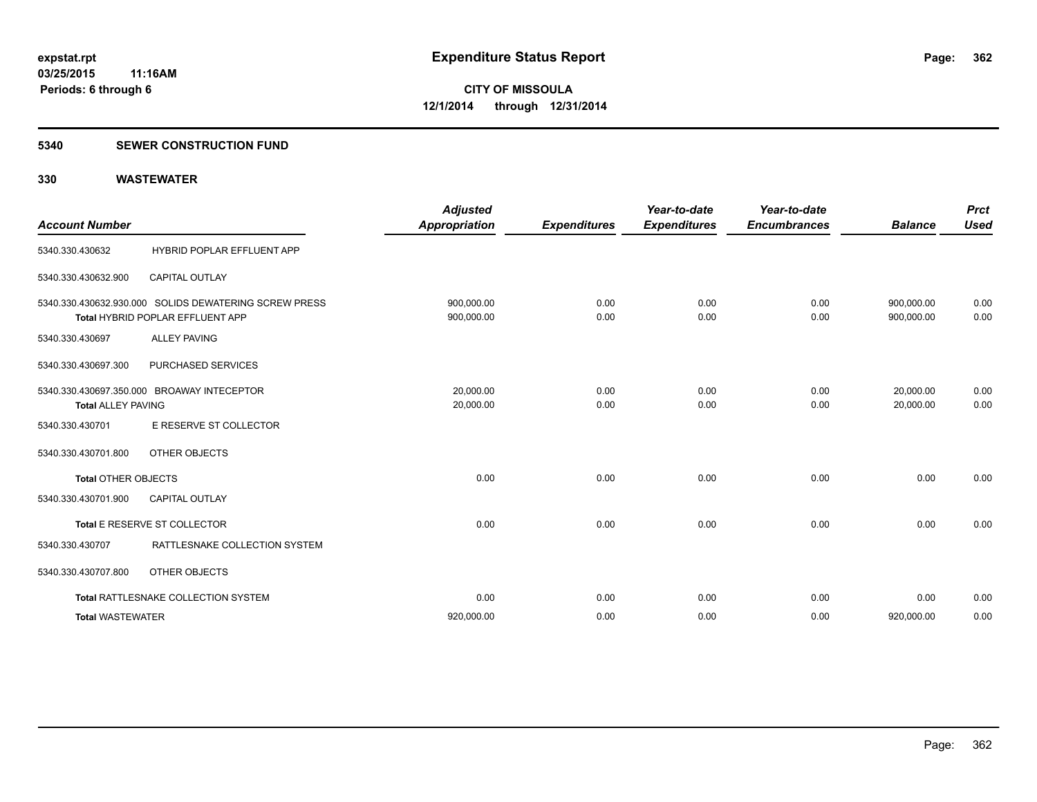#### **5340 SEWER CONSTRUCTION FUND**

| <b>Account Number</b>      |                                                                                           | <b>Adjusted</b><br><b>Appropriation</b> | <b>Expenditures</b> | Year-to-date<br><b>Expenditures</b> | Year-to-date<br><b>Encumbrances</b> | <b>Balance</b>           | <b>Prct</b><br><b>Used</b> |
|----------------------------|-------------------------------------------------------------------------------------------|-----------------------------------------|---------------------|-------------------------------------|-------------------------------------|--------------------------|----------------------------|
| 5340.330.430632            | HYBRID POPLAR EFFLUENT APP                                                                |                                         |                     |                                     |                                     |                          |                            |
| 5340.330.430632.900        | <b>CAPITAL OUTLAY</b>                                                                     |                                         |                     |                                     |                                     |                          |                            |
|                            | 5340.330.430632.930.000 SOLIDS DEWATERING SCREW PRESS<br>Total HYBRID POPLAR EFFLUENT APP | 900,000.00<br>900,000.00                | 0.00<br>0.00        | 0.00<br>0.00                        | 0.00<br>0.00                        | 900,000.00<br>900,000.00 | 0.00<br>0.00               |
| 5340.330.430697            | <b>ALLEY PAVING</b>                                                                       |                                         |                     |                                     |                                     |                          |                            |
| 5340.330.430697.300        | PURCHASED SERVICES                                                                        |                                         |                     |                                     |                                     |                          |                            |
| <b>Total ALLEY PAVING</b>  | 5340.330.430697.350.000 BROAWAY INTECEPTOR                                                | 20.000.00<br>20,000.00                  | 0.00<br>0.00        | 0.00<br>0.00                        | 0.00<br>0.00                        | 20,000.00<br>20.000.00   | 0.00<br>0.00               |
| 5340.330.430701            | E RESERVE ST COLLECTOR                                                                    |                                         |                     |                                     |                                     |                          |                            |
| 5340.330.430701.800        | OTHER OBJECTS                                                                             |                                         |                     |                                     |                                     |                          |                            |
| <b>Total OTHER OBJECTS</b> |                                                                                           | 0.00                                    | 0.00                | 0.00                                | 0.00                                | 0.00                     | 0.00                       |
| 5340.330.430701.900        | <b>CAPITAL OUTLAY</b>                                                                     |                                         |                     |                                     |                                     |                          |                            |
|                            | Total E RESERVE ST COLLECTOR                                                              | 0.00                                    | 0.00                | 0.00                                | 0.00                                | 0.00                     | 0.00                       |
| 5340.330.430707            | RATTLESNAKE COLLECTION SYSTEM                                                             |                                         |                     |                                     |                                     |                          |                            |
| 5340.330.430707.800        | OTHER OBJECTS                                                                             |                                         |                     |                                     |                                     |                          |                            |
|                            | Total RATTLESNAKE COLLECTION SYSTEM                                                       | 0.00                                    | 0.00                | 0.00                                | 0.00                                | 0.00                     | 0.00                       |
| <b>Total WASTEWATER</b>    |                                                                                           | 920,000.00                              | 0.00                | 0.00                                | 0.00                                | 920,000.00               | 0.00                       |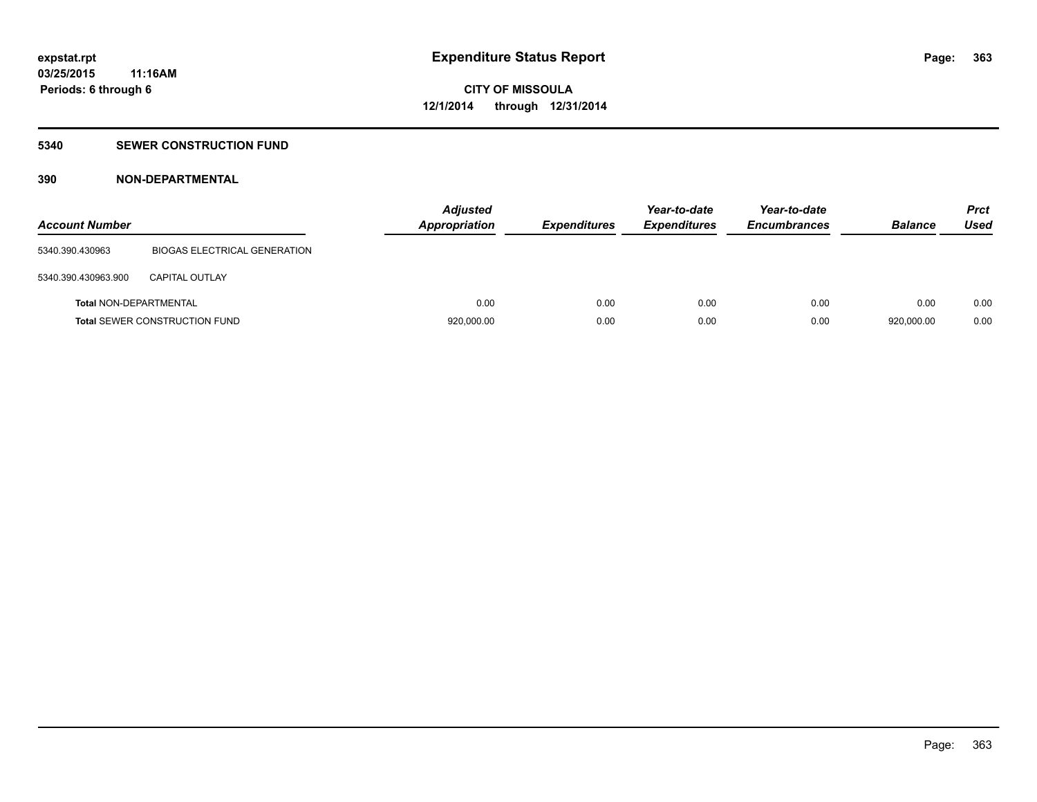### **5340 SEWER CONSTRUCTION FUND**

### **390 NON-DEPARTMENTAL**

| <b>Account Number</b>         |                                      | <b>Adjusted</b><br>Appropriation | <b>Expenditures</b> | Year-to-date<br><b>Expenditures</b> | Year-to-date<br><b>Encumbrances</b> | <b>Balance</b> | <b>Prct</b><br><b>Used</b> |
|-------------------------------|--------------------------------------|----------------------------------|---------------------|-------------------------------------|-------------------------------------|----------------|----------------------------|
| 5340.390.430963               | BIOGAS ELECTRICAL GENERATION         |                                  |                     |                                     |                                     |                |                            |
| 5340.390.430963.900           | <b>CAPITAL OUTLAY</b>                |                                  |                     |                                     |                                     |                |                            |
| <b>Total NON-DEPARTMENTAL</b> |                                      | 0.00                             | 0.00                | 0.00                                | 0.00                                | 0.00           | 0.00                       |
|                               | <b>Total SEWER CONSTRUCTION FUND</b> | 920,000.00                       | 0.00                | 0.00                                | 0.00                                | 920,000.00     | 0.00                       |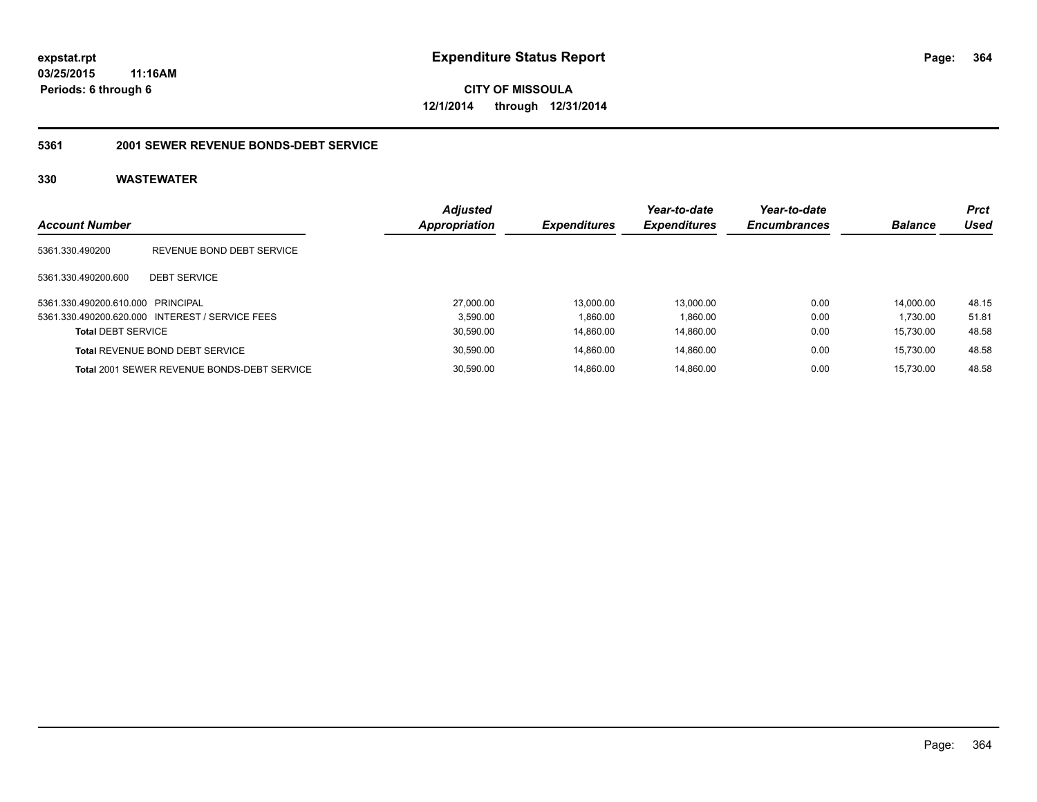**CITY OF MISSOULA 12/1/2014 through 12/31/2014**

### **5361 2001 SEWER REVENUE BONDS-DEBT SERVICE**

| <b>Account Number</b>             |                                                    | <b>Adjusted</b><br>Appropriation | <b>Expenditures</b> | Year-to-date<br><b>Expenditures</b> | Year-to-date<br><b>Encumbrances</b> | <b>Balance</b> | <b>Prct</b><br>Used |
|-----------------------------------|----------------------------------------------------|----------------------------------|---------------------|-------------------------------------|-------------------------------------|----------------|---------------------|
| 5361.330.490200                   | REVENUE BOND DEBT SERVICE                          |                                  |                     |                                     |                                     |                |                     |
| 5361.330.490200.600               | <b>DEBT SERVICE</b>                                |                                  |                     |                                     |                                     |                |                     |
| 5361.330.490200.610.000 PRINCIPAL |                                                    | 27.000.00                        | 13.000.00           | 13.000.00                           | 0.00                                | 14.000.00      | 48.15               |
|                                   | 5361.330.490200.620.000 INTEREST / SERVICE FEES    | 3.590.00                         | 1.860.00            | 1.860.00                            | 0.00                                | 1.730.00       | 51.81               |
| <b>Total DEBT SERVICE</b>         |                                                    | 30,590.00                        | 14.860.00           | 14,860.00                           | 0.00                                | 15.730.00      | 48.58               |
|                                   | <b>Total REVENUE BOND DEBT SERVICE</b>             | 30,590.00                        | 14.860.00           | 14.860.00                           | 0.00                                | 15.730.00      | 48.58               |
|                                   | <b>Total 2001 SEWER REVENUE BONDS-DEBT SERVICE</b> | 30.590.00                        | 14.860.00           | 14.860.00                           | 0.00                                | 15.730.00      | 48.58               |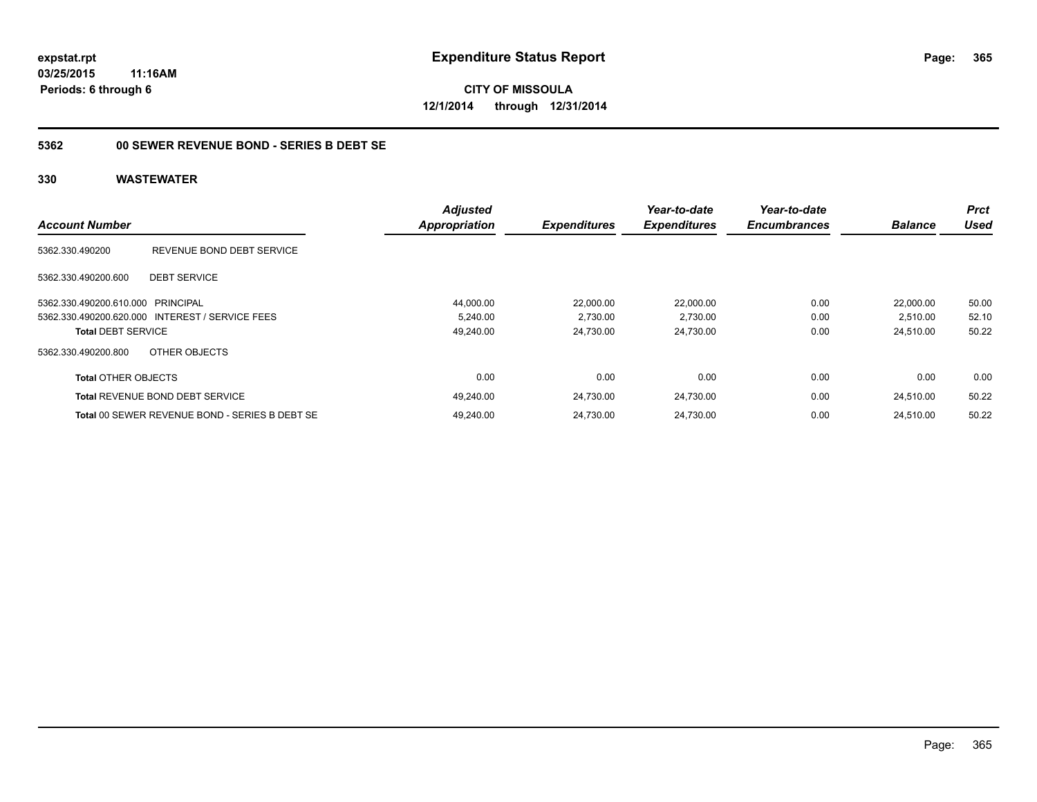**CITY OF MISSOULA 12/1/2014 through 12/31/2014**

### **5362 00 SEWER REVENUE BOND - SERIES B DEBT SE**

|                                   |                                                 | <b>Adjusted</b>      |                     | Year-to-date        | Year-to-date        |                | <b>Prct</b> |
|-----------------------------------|-------------------------------------------------|----------------------|---------------------|---------------------|---------------------|----------------|-------------|
| <b>Account Number</b>             |                                                 | <b>Appropriation</b> | <b>Expenditures</b> | <b>Expenditures</b> | <b>Encumbrances</b> | <b>Balance</b> | Used        |
| 5362.330.490200                   | REVENUE BOND DEBT SERVICE                       |                      |                     |                     |                     |                |             |
| 5362.330.490200.600               | <b>DEBT SERVICE</b>                             |                      |                     |                     |                     |                |             |
| 5362.330.490200.610.000 PRINCIPAL |                                                 | 44,000.00            | 22,000.00           | 22,000.00           | 0.00                | 22.000.00      | 50.00       |
|                                   | 5362.330.490200.620.000 INTEREST / SERVICE FEES | 5.240.00             | 2,730.00            | 2,730.00            | 0.00                | 2,510.00       | 52.10       |
| <b>Total DEBT SERVICE</b>         |                                                 | 49,240.00            | 24.730.00           | 24,730.00           | 0.00                | 24,510.00      | 50.22       |
| 5362.330.490200.800               | OTHER OBJECTS                                   |                      |                     |                     |                     |                |             |
| <b>Total OTHER OBJECTS</b>        |                                                 | 0.00                 | 0.00                | 0.00                | 0.00                | 0.00           | 0.00        |
|                                   | <b>Total REVENUE BOND DEBT SERVICE</b>          | 49.240.00            | 24.730.00           | 24.730.00           | 0.00                | 24.510.00      | 50.22       |
|                                   | Total 00 SEWER REVENUE BOND - SERIES B DEBT SE  | 49.240.00            | 24.730.00           | 24.730.00           | 0.00                | 24.510.00      | 50.22       |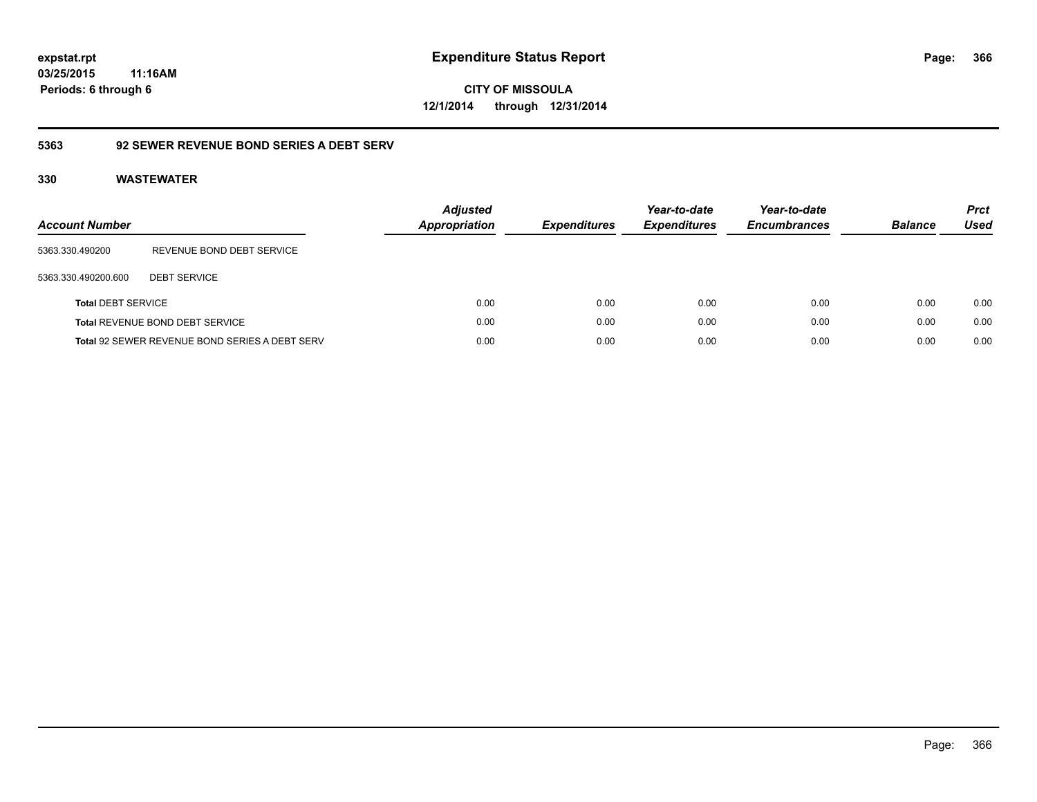**CITY OF MISSOULA 12/1/2014 through 12/31/2014**

### **5363 92 SEWER REVENUE BOND SERIES A DEBT SERV**

| <b>Account Number</b>     |                                                       | <b>Adjusted</b><br>Appropriation | <b>Expenditures</b> | Year-to-date<br><b>Expenditures</b> | Year-to-date<br><b>Encumbrances</b> | <b>Balance</b> | <b>Prct</b><br><b>Used</b> |
|---------------------------|-------------------------------------------------------|----------------------------------|---------------------|-------------------------------------|-------------------------------------|----------------|----------------------------|
| 5363.330.490200           | REVENUE BOND DEBT SERVICE                             |                                  |                     |                                     |                                     |                |                            |
| 5363.330.490200.600       | <b>DEBT SERVICE</b>                                   |                                  |                     |                                     |                                     |                |                            |
| <b>Total DEBT SERVICE</b> |                                                       | 0.00                             | 0.00                | 0.00                                | 0.00                                | 0.00           | 0.00                       |
|                           | Total REVENUE BOND DEBT SERVICE                       | 0.00                             | 0.00                | 0.00                                | 0.00                                | 0.00           | 0.00                       |
|                           | <b>Total 92 SEWER REVENUE BOND SERIES A DEBT SERV</b> | 0.00                             | 0.00                | 0.00                                | 0.00                                | 0.00           | 0.00                       |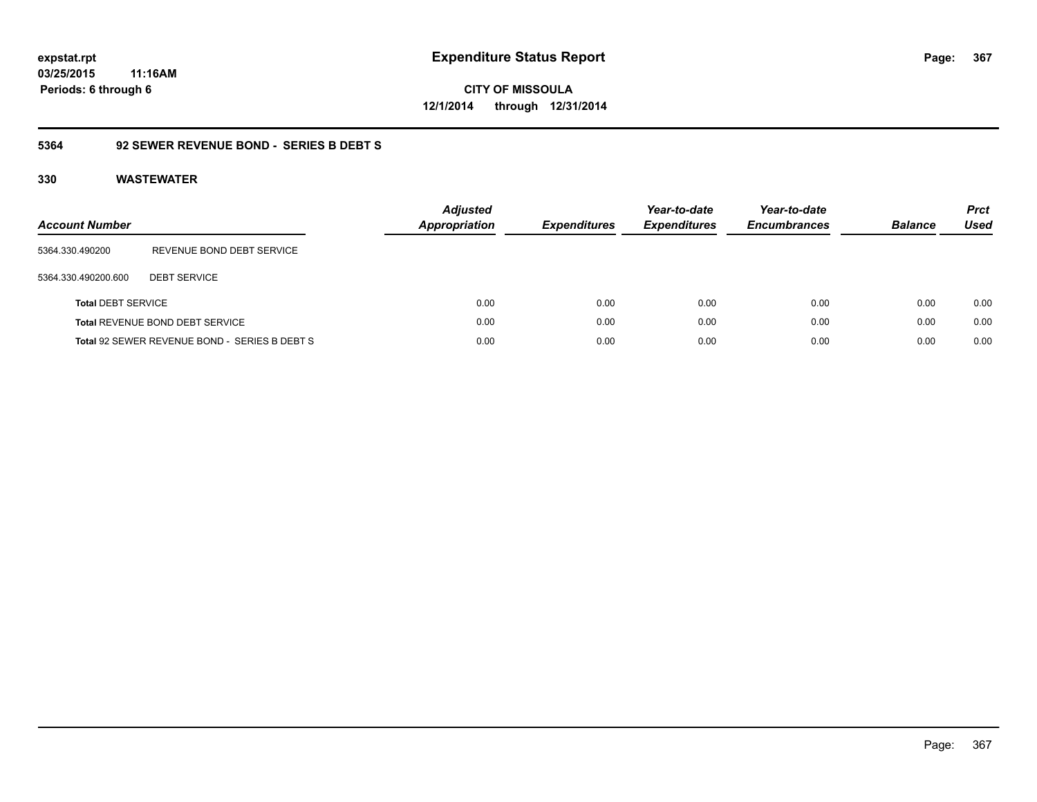**CITY OF MISSOULA 12/1/2014 through 12/31/2014**

### **5364 92 SEWER REVENUE BOND - SERIES B DEBT S**

| <b>Account Number</b>     |                                               | <b>Adjusted</b><br><b>Appropriation</b> | <b>Expenditures</b> | Year-to-date<br><b>Expenditures</b> | Year-to-date<br><b>Encumbrances</b> | <b>Balance</b> | <b>Prct</b><br>Used |
|---------------------------|-----------------------------------------------|-----------------------------------------|---------------------|-------------------------------------|-------------------------------------|----------------|---------------------|
| 5364.330.490200           | REVENUE BOND DEBT SERVICE                     |                                         |                     |                                     |                                     |                |                     |
| 5364.330.490200.600       | <b>DEBT SERVICE</b>                           |                                         |                     |                                     |                                     |                |                     |
| <b>Total DEBT SERVICE</b> |                                               | 0.00                                    | 0.00                | 0.00                                | 0.00                                | 0.00           | 0.00                |
|                           | Total REVENUE BOND DEBT SERVICE               | 0.00                                    | 0.00                | 0.00                                | 0.00                                | 0.00           | 0.00                |
|                           | Total 92 SEWER REVENUE BOND - SERIES B DEBT S | 0.00                                    | 0.00                | 0.00                                | 0.00                                | 0.00           | 0.00                |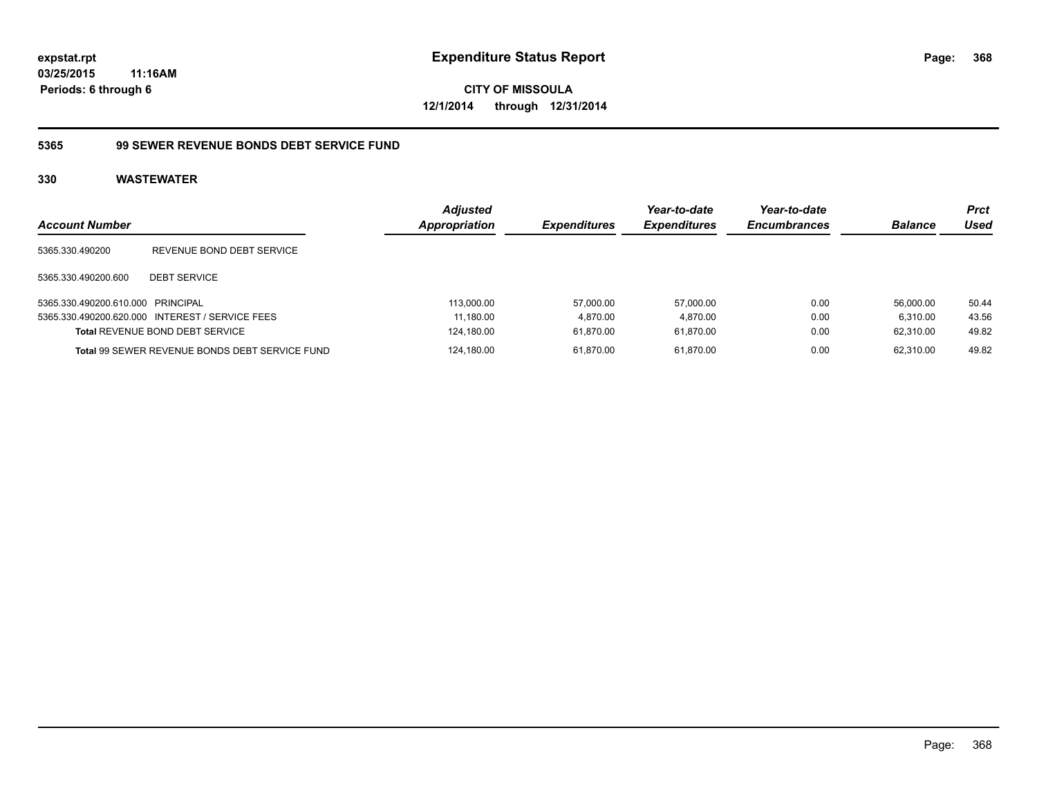**CITY OF MISSOULA 12/1/2014 through 12/31/2014**

### **5365 99 SEWER REVENUE BONDS DEBT SERVICE FUND**

| <b>Account Number</b>             |                                                       | <b>Adjusted</b><br><b>Appropriation</b> | <b>Expenditures</b> | Year-to-date<br><b>Expenditures</b> | Year-to-date<br><b>Encumbrances</b> | <b>Balance</b> | <b>Prct</b><br>Used |
|-----------------------------------|-------------------------------------------------------|-----------------------------------------|---------------------|-------------------------------------|-------------------------------------|----------------|---------------------|
| 5365.330.490200                   | REVENUE BOND DEBT SERVICE                             |                                         |                     |                                     |                                     |                |                     |
| 5365.330.490200.600               | <b>DEBT SERVICE</b>                                   |                                         |                     |                                     |                                     |                |                     |
| 5365.330.490200.610.000 PRINCIPAL |                                                       | 113,000.00                              | 57,000.00           | 57.000.00                           | 0.00                                | 56.000.00      | 50.44               |
|                                   | 5365.330.490200.620.000 INTEREST / SERVICE FEES       | 11,180.00                               | 4.870.00            | 4.870.00                            | 0.00                                | 6.310.00       | 43.56               |
|                                   | <b>Total REVENUE BOND DEBT SERVICE</b>                | 124,180.00                              | 61.870.00           | 61.870.00                           | 0.00                                | 62.310.00      | 49.82               |
|                                   | <b>Total 99 SEWER REVENUE BONDS DEBT SERVICE FUND</b> | 124.180.00                              | 61.870.00           | 61.870.00                           | 0.00                                | 62.310.00      | 49.82               |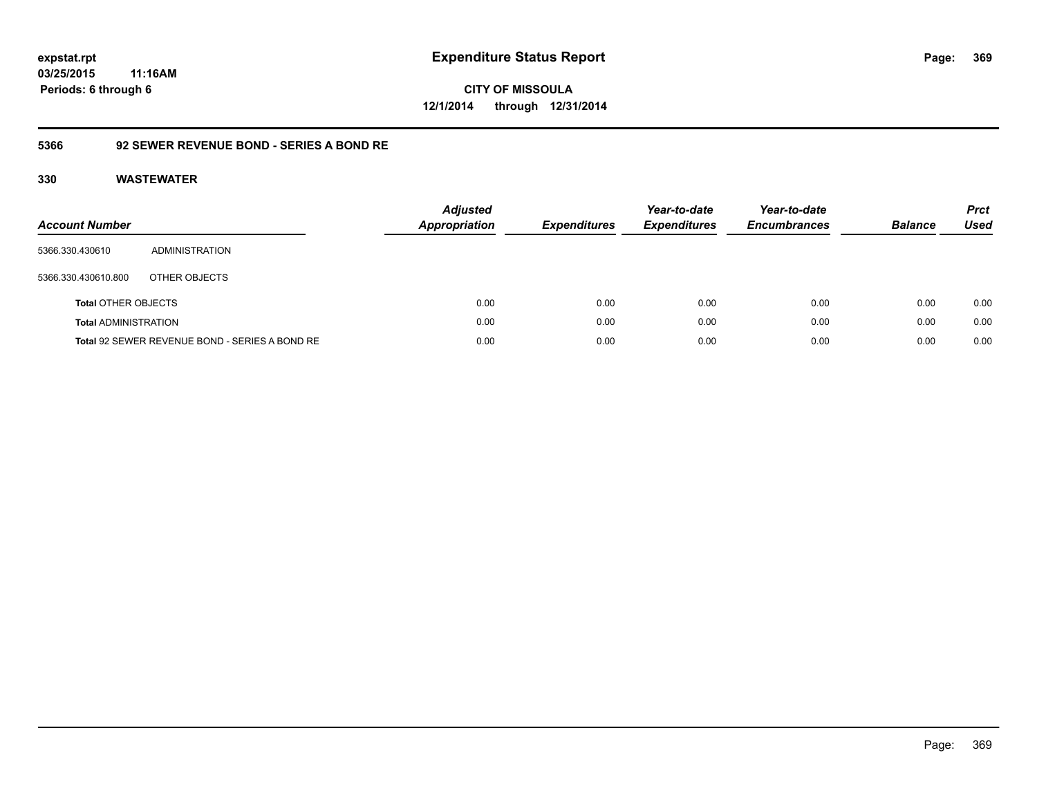**CITY OF MISSOULA 12/1/2014 through 12/31/2014**

## **5366 92 SEWER REVENUE BOND - SERIES A BOND RE**

| <b>Account Number</b>       |                                                | <b>Adjusted</b><br>Appropriation | <b>Expenditures</b> | Year-to-date<br><b>Expenditures</b> | Year-to-date<br><b>Encumbrances</b> | <b>Balance</b> | <b>Prct</b><br><b>Used</b> |
|-----------------------------|------------------------------------------------|----------------------------------|---------------------|-------------------------------------|-------------------------------------|----------------|----------------------------|
| 5366.330.430610             | ADMINISTRATION                                 |                                  |                     |                                     |                                     |                |                            |
| 5366.330.430610.800         | OTHER OBJECTS                                  |                                  |                     |                                     |                                     |                |                            |
| <b>Total OTHER OBJECTS</b>  |                                                | 0.00                             | 0.00                | 0.00                                | 0.00                                | 0.00           | 0.00                       |
| <b>Total ADMINISTRATION</b> |                                                | 0.00                             | 0.00                | 0.00                                | 0.00                                | 0.00           | 0.00                       |
|                             | Total 92 SEWER REVENUE BOND - SERIES A BOND RE | 0.00                             | 0.00                | 0.00                                | 0.00                                | 0.00           | 0.00                       |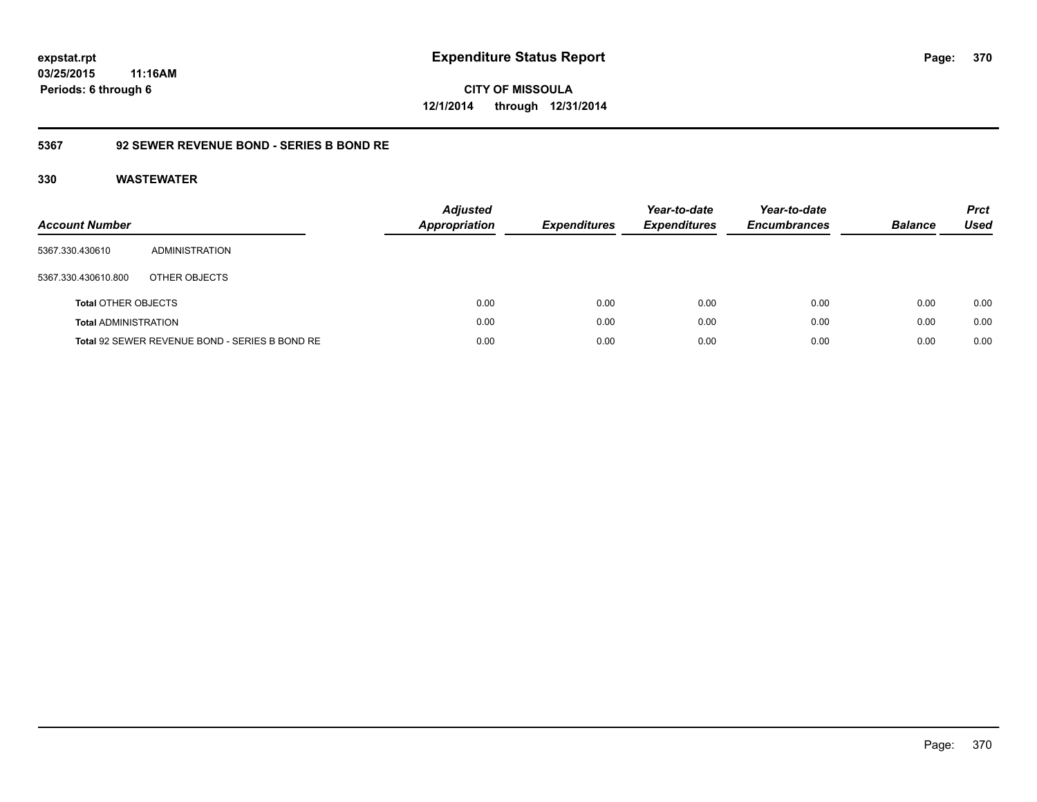**CITY OF MISSOULA 12/1/2014 through 12/31/2014**

### **5367 92 SEWER REVENUE BOND - SERIES B BOND RE**

| <b>Account Number</b>       |                                                | <b>Adjusted</b><br>Appropriation | <b>Expenditures</b> | Year-to-date<br><b>Expenditures</b> | Year-to-date<br><b>Encumbrances</b> | <b>Balance</b> | <b>Prct</b><br><b>Used</b> |
|-----------------------------|------------------------------------------------|----------------------------------|---------------------|-------------------------------------|-------------------------------------|----------------|----------------------------|
| 5367.330.430610             | ADMINISTRATION                                 |                                  |                     |                                     |                                     |                |                            |
| 5367.330.430610.800         | OTHER OBJECTS                                  |                                  |                     |                                     |                                     |                |                            |
| <b>Total OTHER OBJECTS</b>  |                                                | 0.00                             | 0.00                | 0.00                                | 0.00                                | 0.00           | 0.00                       |
| <b>Total ADMINISTRATION</b> |                                                | 0.00                             | 0.00                | 0.00                                | 0.00                                | 0.00           | 0.00                       |
|                             | Total 92 SEWER REVENUE BOND - SERIES B BOND RE | 0.00                             | 0.00                | 0.00                                | 0.00                                | 0.00           | 0.00                       |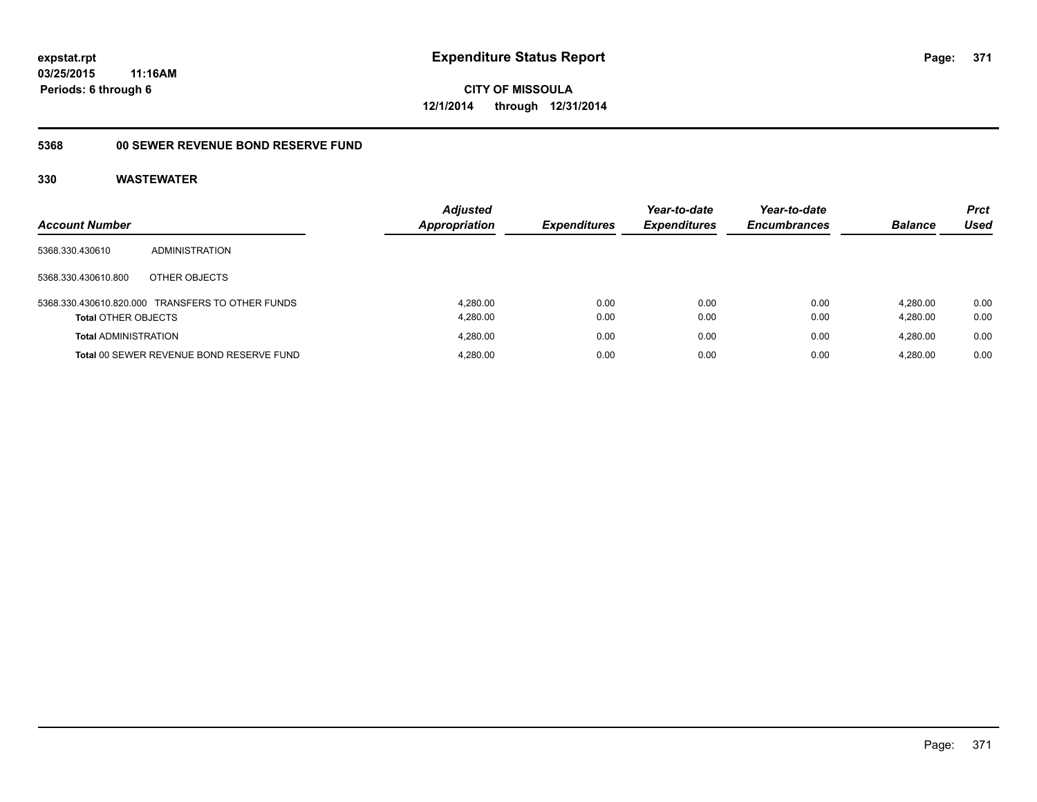**CITY OF MISSOULA 12/1/2014 through 12/31/2014**

# **5368 00 SEWER REVENUE BOND RESERVE FUND**

| <b>Account Number</b>       |                                                  | <b>Adjusted</b><br><b>Appropriation</b> | <b>Expenditures</b> | Year-to-date<br><b>Expenditures</b> | Year-to-date<br><b>Encumbrances</b> | <b>Balance</b>       | <b>Prct</b><br>Used |
|-----------------------------|--------------------------------------------------|-----------------------------------------|---------------------|-------------------------------------|-------------------------------------|----------------------|---------------------|
| 5368.330.430610             | ADMINISTRATION                                   |                                         |                     |                                     |                                     |                      |                     |
| 5368.330.430610.800         | OTHER OBJECTS                                    |                                         |                     |                                     |                                     |                      |                     |
| <b>Total OTHER OBJECTS</b>  | 5368.330.430610.820.000 TRANSFERS TO OTHER FUNDS | 4.280.00<br>4.280.00                    | 0.00<br>0.00        | 0.00<br>0.00                        | 0.00<br>0.00                        | 4.280.00<br>4,280.00 | 0.00<br>0.00        |
| <b>Total ADMINISTRATION</b> |                                                  | 4.280.00                                | 0.00                | 0.00                                | 0.00                                | 4.280.00             | 0.00                |
|                             | Total 00 SEWER REVENUE BOND RESERVE FUND         | 4.280.00                                | 0.00                | 0.00                                | 0.00                                | 4.280.00             | 0.00                |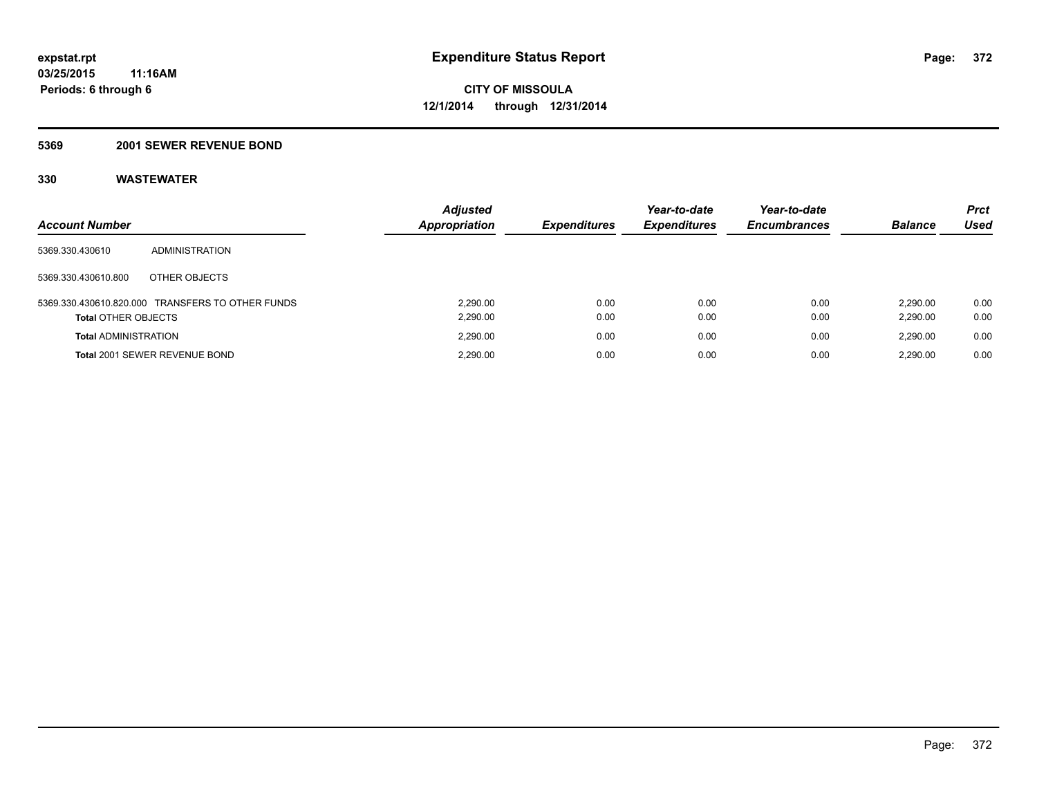### **5369 2001 SEWER REVENUE BOND**

| <b>Account Number</b>       |                                                  | <b>Adjusted</b><br>Appropriation | <b>Expenditures</b> | Year-to-date<br><b>Expenditures</b> | Year-to-date<br><b>Encumbrances</b> | <b>Balance</b>       | <b>Prct</b><br>Used |
|-----------------------------|--------------------------------------------------|----------------------------------|---------------------|-------------------------------------|-------------------------------------|----------------------|---------------------|
| 5369.330.430610             | ADMINISTRATION                                   |                                  |                     |                                     |                                     |                      |                     |
| 5369.330.430610.800         | OTHER OBJECTS                                    |                                  |                     |                                     |                                     |                      |                     |
| <b>Total OTHER OBJECTS</b>  | 5369.330.430610.820.000 TRANSFERS TO OTHER FUNDS | 2.290.00<br>2,290.00             | 0.00<br>0.00        | 0.00<br>0.00                        | 0.00<br>0.00                        | 2.290.00<br>2,290.00 | 0.00<br>0.00        |
| <b>Total ADMINISTRATION</b> |                                                  | 2.290.00                         | 0.00                | 0.00                                | 0.00                                | 2.290.00             | 0.00                |
|                             | Total 2001 SEWER REVENUE BOND                    | 2.290.00                         | 0.00                | 0.00                                | 0.00                                | 2.290.00             | 0.00                |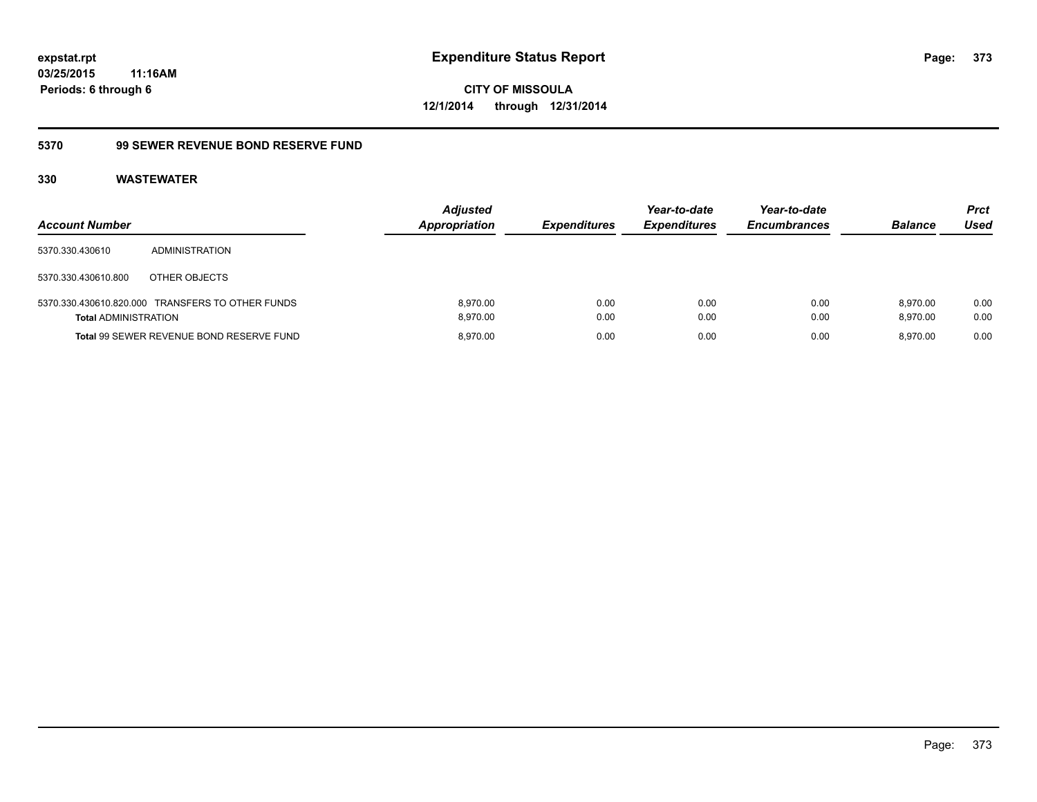**CITY OF MISSOULA 12/1/2014 through 12/31/2014**

### **5370 99 SEWER REVENUE BOND RESERVE FUND**

| <b>Account Number</b>       |                                                  | <b>Adjusted</b><br><b>Appropriation</b> | <b>Expenditures</b> | Year-to-date<br><b>Expenditures</b> | Year-to-date<br><b>Encumbrances</b> | <b>Balance</b>       | <b>Prct</b><br>Used |
|-----------------------------|--------------------------------------------------|-----------------------------------------|---------------------|-------------------------------------|-------------------------------------|----------------------|---------------------|
| 5370.330.430610             | <b>ADMINISTRATION</b>                            |                                         |                     |                                     |                                     |                      |                     |
| 5370.330.430610.800         | OTHER OBJECTS                                    |                                         |                     |                                     |                                     |                      |                     |
| <b>Total ADMINISTRATION</b> | 5370.330.430610.820.000 TRANSFERS TO OTHER FUNDS | 8.970.00<br>8.970.00                    | 0.00<br>0.00        | 0.00<br>0.00                        | 0.00<br>0.00                        | 8.970.00<br>8.970.00 | 0.00<br>0.00        |
|                             | Total 99 SEWER REVENUE BOND RESERVE FUND         | 8.970.00                                | 0.00                | 0.00                                | 0.00                                | 8.970.00             | 0.00                |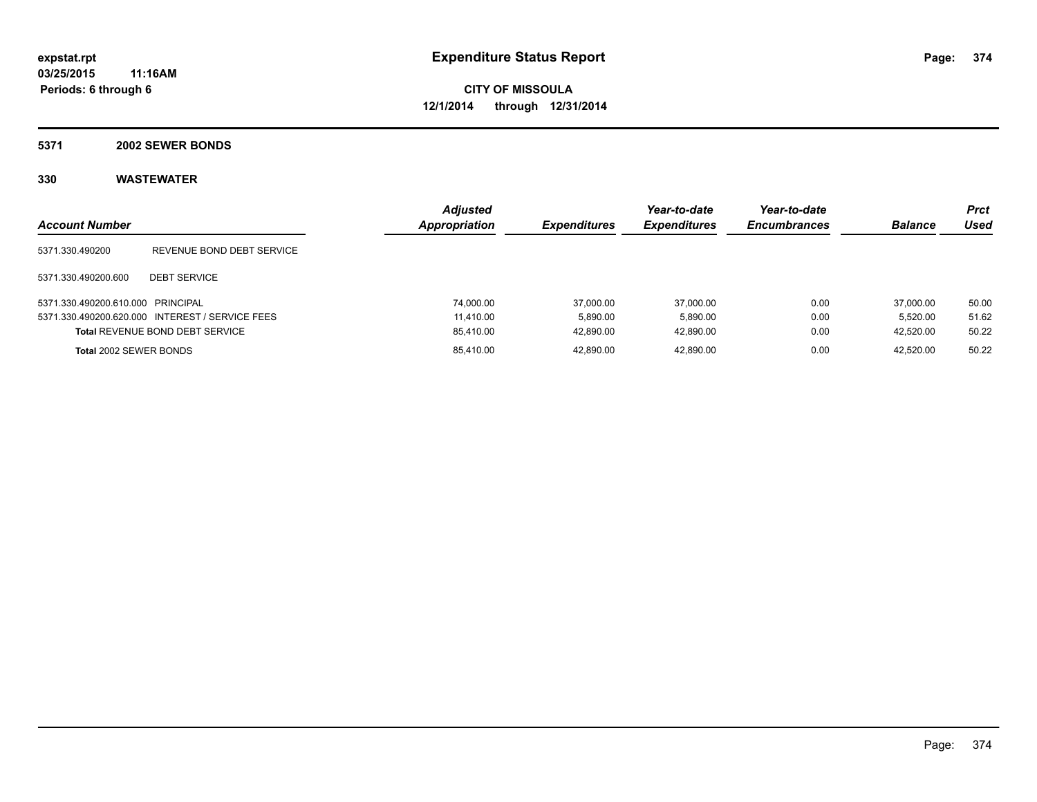**5371 2002 SEWER BONDS**

| <b>Account Number</b>             |                                                 | <b>Adjusted</b><br>Appropriation | <b>Expenditures</b> | Year-to-date<br><b>Expenditures</b> | Year-to-date<br><b>Encumbrances</b> | <b>Balance</b> | <b>Prct</b><br>Used |
|-----------------------------------|-------------------------------------------------|----------------------------------|---------------------|-------------------------------------|-------------------------------------|----------------|---------------------|
| 5371.330.490200                   | REVENUE BOND DEBT SERVICE                       |                                  |                     |                                     |                                     |                |                     |
| 5371.330.490200.600               | <b>DEBT SERVICE</b>                             |                                  |                     |                                     |                                     |                |                     |
| 5371.330.490200.610.000 PRINCIPAL |                                                 | 74.000.00                        | 37,000.00           | 37.000.00                           | 0.00                                | 37.000.00      | 50.00               |
|                                   | 5371.330.490200.620.000 INTEREST / SERVICE FEES | 11.410.00                        | 5.890.00            | 5.890.00                            | 0.00                                | 5.520.00       | 51.62               |
|                                   | <b>Total REVENUE BOND DEBT SERVICE</b>          | 85.410.00                        | 42.890.00           | 42.890.00                           | 0.00                                | 42.520.00      | 50.22               |
| Total 2002 SEWER BONDS            |                                                 | 85.410.00                        | 42.890.00           | 42.890.00                           | 0.00                                | 42.520.00      | 50.22               |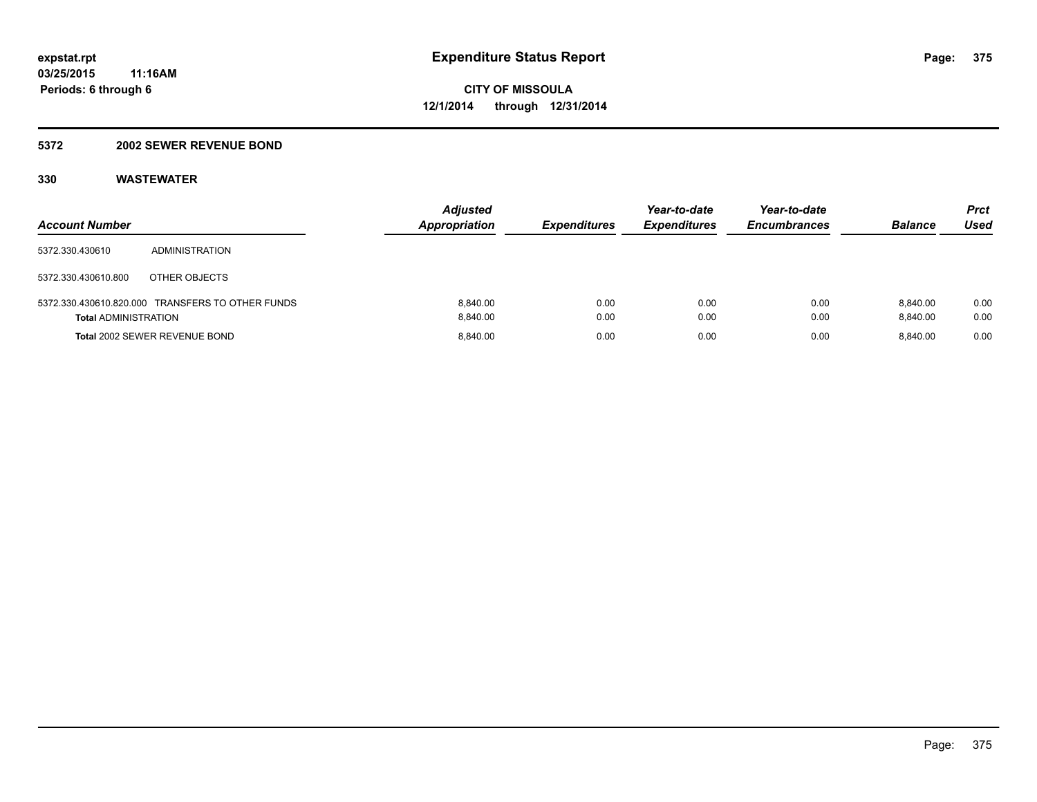### **5372 2002 SEWER REVENUE BOND**

| <b>Account Number</b>       |                                                  | <b>Adjusted</b><br><b>Appropriation</b> | <b>Expenditures</b> | Year-to-date<br><b>Expenditures</b> | Year-to-date<br><b>Encumbrances</b> | <b>Balance</b>       | Prct<br>Used |
|-----------------------------|--------------------------------------------------|-----------------------------------------|---------------------|-------------------------------------|-------------------------------------|----------------------|--------------|
| 5372.330.430610             | ADMINISTRATION                                   |                                         |                     |                                     |                                     |                      |              |
| 5372.330.430610.800         | OTHER OBJECTS                                    |                                         |                     |                                     |                                     |                      |              |
| <b>Total ADMINISTRATION</b> | 5372.330.430610.820.000 TRANSFERS TO OTHER FUNDS | 8.840.00<br>8.840.00                    | 0.00<br>0.00        | 0.00<br>0.00                        | 0.00<br>0.00                        | 8.840.00<br>8.840.00 | 0.00<br>0.00 |
|                             | Total 2002 SEWER REVENUE BOND                    | 8.840.00                                | 0.00                | 0.00                                | 0.00                                | 8.840.00             | 0.00         |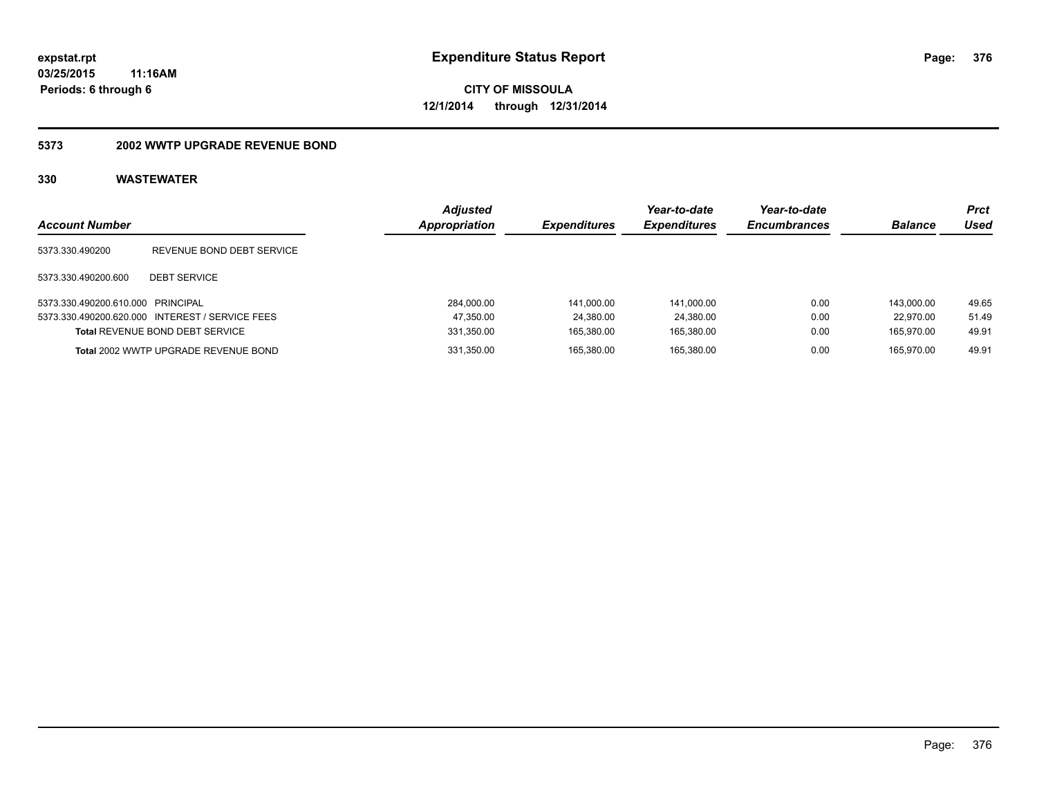### **5373 2002 WWTP UPGRADE REVENUE BOND**

| <b>Account Number</b>             |                                                 | Adjusted<br>Appropriation | <b>Expenditures</b> | Year-to-date<br><b>Expenditures</b> | Year-to-date<br><b>Encumbrances</b> | <b>Balance</b> | Prct<br>Used |
|-----------------------------------|-------------------------------------------------|---------------------------|---------------------|-------------------------------------|-------------------------------------|----------------|--------------|
| 5373.330.490200                   | REVENUE BOND DEBT SERVICE                       |                           |                     |                                     |                                     |                |              |
| 5373.330.490200.600               | <b>DEBT SERVICE</b>                             |                           |                     |                                     |                                     |                |              |
| 5373.330.490200.610.000 PRINCIPAL |                                                 | 284.000.00                | 141.000.00          | 141.000.00                          | 0.00                                | 143.000.00     | 49.65        |
|                                   | 5373.330.490200.620.000 INTEREST / SERVICE FEES | 47,350.00                 | 24.380.00           | 24.380.00                           | 0.00                                | 22.970.00      | 51.49        |
|                                   | <b>Total REVENUE BOND DEBT SERVICE</b>          | 331,350.00                | 165.380.00          | 165.380.00                          | 0.00                                | 165.970.00     | 49.91        |
|                                   | Total 2002 WWTP UPGRADE REVENUE BOND            | 331,350.00                | 165.380.00          | 165.380.00                          | 0.00                                | 165.970.00     | 49.91        |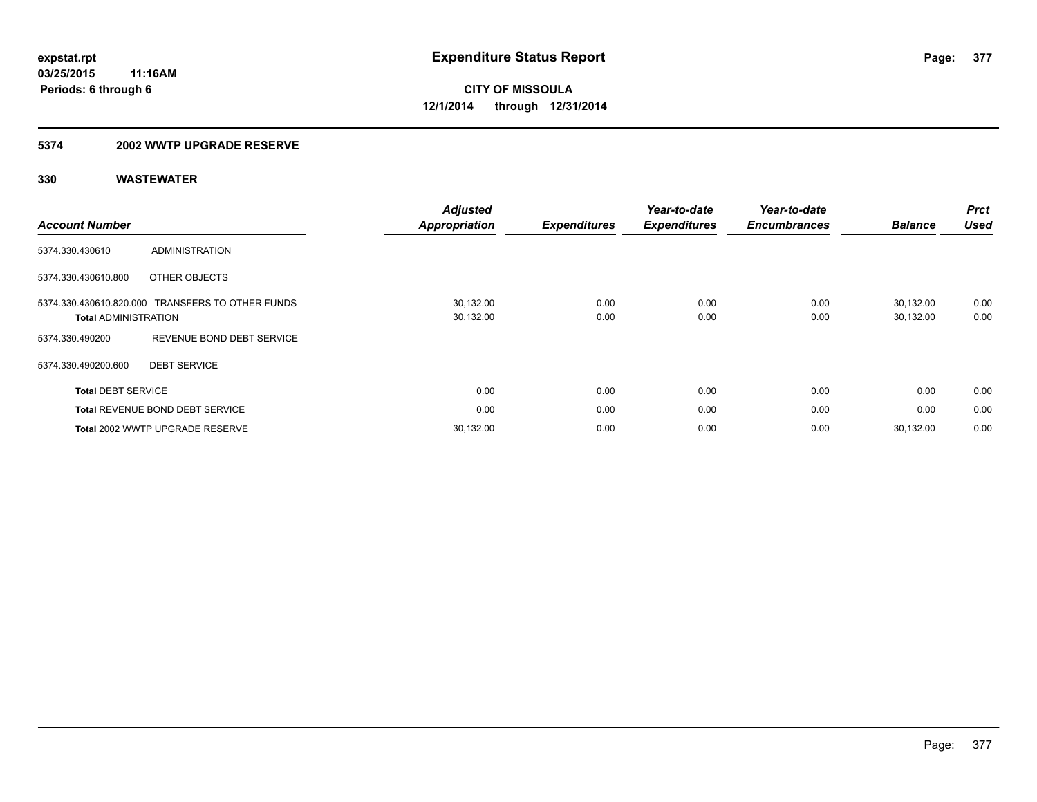### **5374 2002 WWTP UPGRADE RESERVE**

| <b>Account Number</b>                                  |                                        | <b>Adjusted</b><br><b>Appropriation</b> | <b>Expenditures</b> | Year-to-date<br><b>Expenditures</b> | Year-to-date<br><b>Encumbrances</b> | <b>Balance</b>         | <b>Prct</b><br><b>Used</b> |
|--------------------------------------------------------|----------------------------------------|-----------------------------------------|---------------------|-------------------------------------|-------------------------------------|------------------------|----------------------------|
| 5374.330.430610                                        | <b>ADMINISTRATION</b>                  |                                         |                     |                                     |                                     |                        |                            |
| 5374.330.430610.800                                    | OTHER OBJECTS                          |                                         |                     |                                     |                                     |                        |                            |
| 5374.330.430610.820.000<br><b>Total ADMINISTRATION</b> | TRANSFERS TO OTHER FUNDS               | 30,132.00<br>30,132.00                  | 0.00<br>0.00        | 0.00<br>0.00                        | 0.00<br>0.00                        | 30.132.00<br>30,132.00 | 0.00<br>0.00               |
| 5374.330.490200                                        | REVENUE BOND DEBT SERVICE              |                                         |                     |                                     |                                     |                        |                            |
| 5374.330.490200.600                                    | <b>DEBT SERVICE</b>                    |                                         |                     |                                     |                                     |                        |                            |
| <b>Total DEBT SERVICE</b>                              |                                        | 0.00                                    | 0.00                | 0.00                                | 0.00                                | 0.00                   | 0.00                       |
|                                                        | <b>Total REVENUE BOND DEBT SERVICE</b> | 0.00                                    | 0.00                | 0.00                                | 0.00                                | 0.00                   | 0.00                       |
|                                                        | Total 2002 WWTP UPGRADE RESERVE        | 30,132.00                               | 0.00                | 0.00                                | 0.00                                | 30.132.00              | 0.00                       |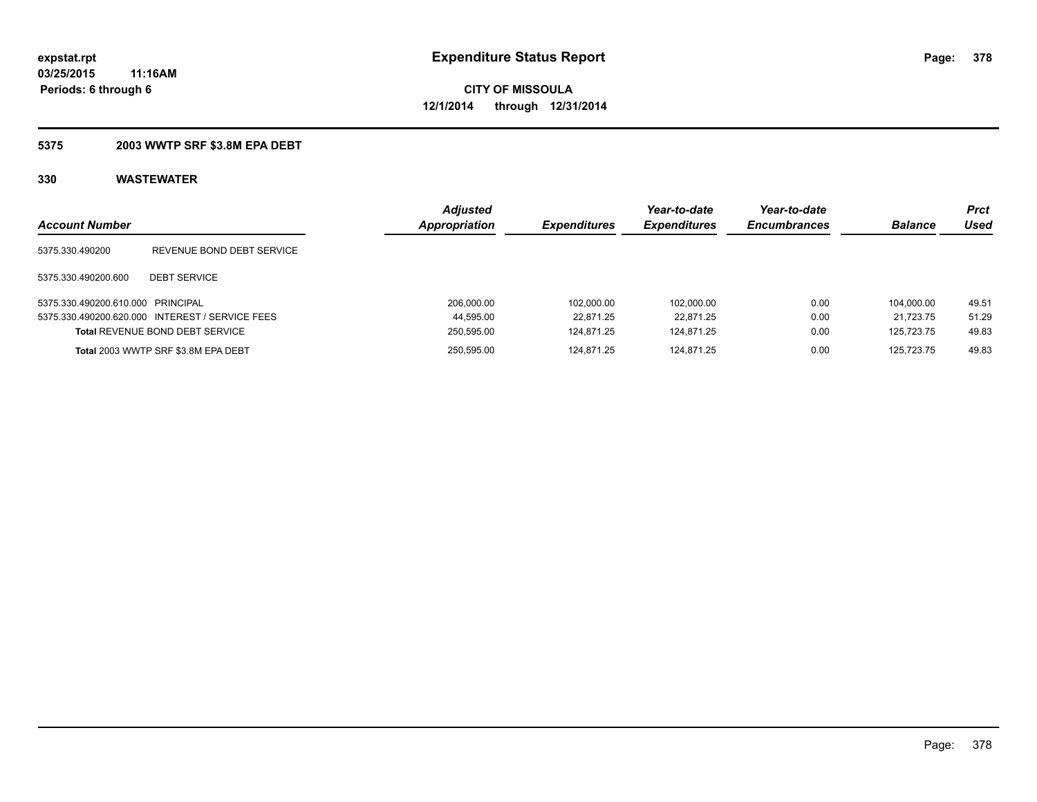### **5375 2003 WWTP SRF \$3.8M EPA DEBT**

| <b>Account Number</b>             |                                                 | <b>Adjusted</b><br><b>Appropriation</b> | <b>Expenditures</b> | Year-to-date<br><b>Expenditures</b> | Year-to-date<br><b>Encumbrances</b> | <b>Balance</b> | Prct<br>Used |
|-----------------------------------|-------------------------------------------------|-----------------------------------------|---------------------|-------------------------------------|-------------------------------------|----------------|--------------|
| 5375.330.490200                   | REVENUE BOND DEBT SERVICE                       |                                         |                     |                                     |                                     |                |              |
| 5375.330.490200.600               | <b>DEBT SERVICE</b>                             |                                         |                     |                                     |                                     |                |              |
| 5375.330.490200.610.000 PRINCIPAL |                                                 | 206.000.00                              | 102.000.00          | 102.000.00                          | 0.00                                | 104.000.00     | 49.51        |
|                                   | 5375.330.490200.620.000 INTEREST / SERVICE FEES | 44,595.00                               | 22.871.25           | 22.871.25                           | 0.00                                | 21.723.75      | 51.29        |
|                                   | <b>Total REVENUE BOND DEBT SERVICE</b>          | 250,595.00                              | 124.871.25          | 124.871.25                          | 0.00                                | 125.723.75     | 49.83        |
|                                   | Total 2003 WWTP SRF \$3.8M EPA DEBT             | 250.595.00                              | 124.871.25          | 124.871.25                          | 0.00                                | 125.723.75     | 49.83        |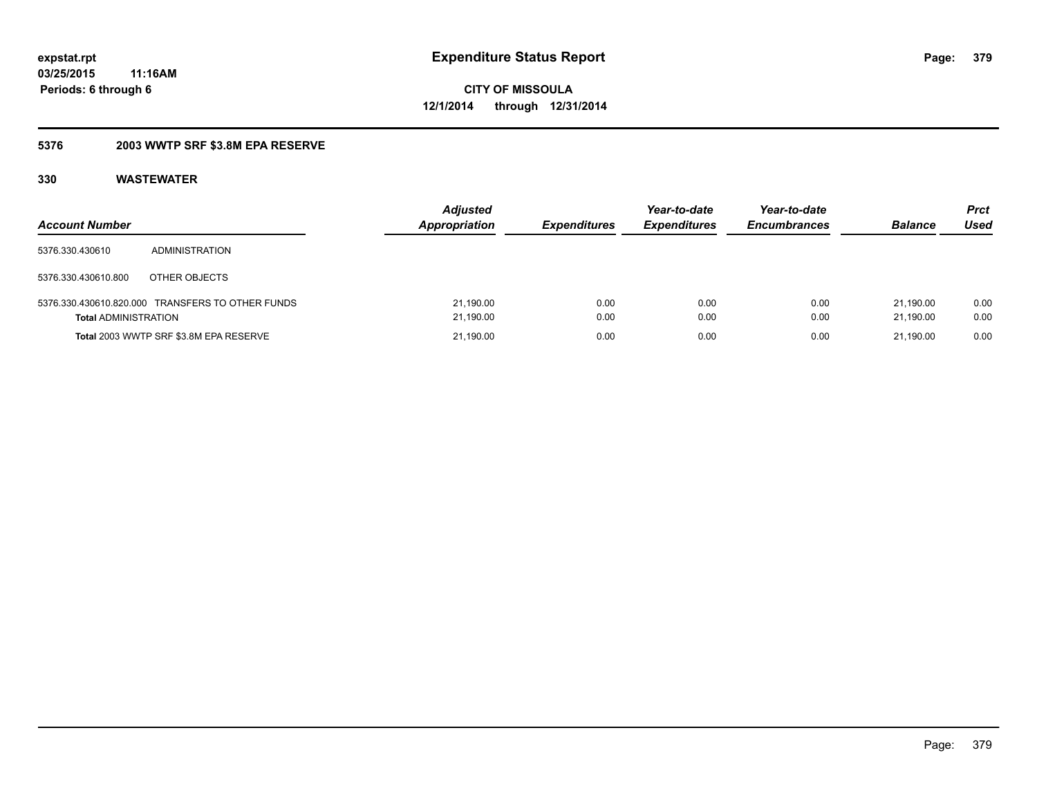## **5376 2003 WWTP SRF \$3.8M EPA RESERVE**

| <b>Account Number</b>       |                                                  | <b>Adjusted</b><br><b>Appropriation</b> | <b>Expenditures</b> | Year-to-date<br><b>Expenditures</b> | Year-to-date<br><b>Encumbrances</b> | <b>Balance</b>         | Prct<br>Used |
|-----------------------------|--------------------------------------------------|-----------------------------------------|---------------------|-------------------------------------|-------------------------------------|------------------------|--------------|
| 5376.330.430610             | ADMINISTRATION                                   |                                         |                     |                                     |                                     |                        |              |
| 5376.330.430610.800         | OTHER OBJECTS                                    |                                         |                     |                                     |                                     |                        |              |
| <b>Total ADMINISTRATION</b> | 5376.330.430610.820.000 TRANSFERS TO OTHER FUNDS | 21,190.00<br>21,190.00                  | 0.00<br>0.00        | 0.00<br>0.00                        | 0.00<br>0.00                        | 21.190.00<br>21.190.00 | 0.00<br>0.00 |
|                             | Total 2003 WWTP SRF \$3.8M EPA RESERVE           | 21,190.00                               | 0.00                | 0.00                                | 0.00                                | 21.190.00              | 0.00         |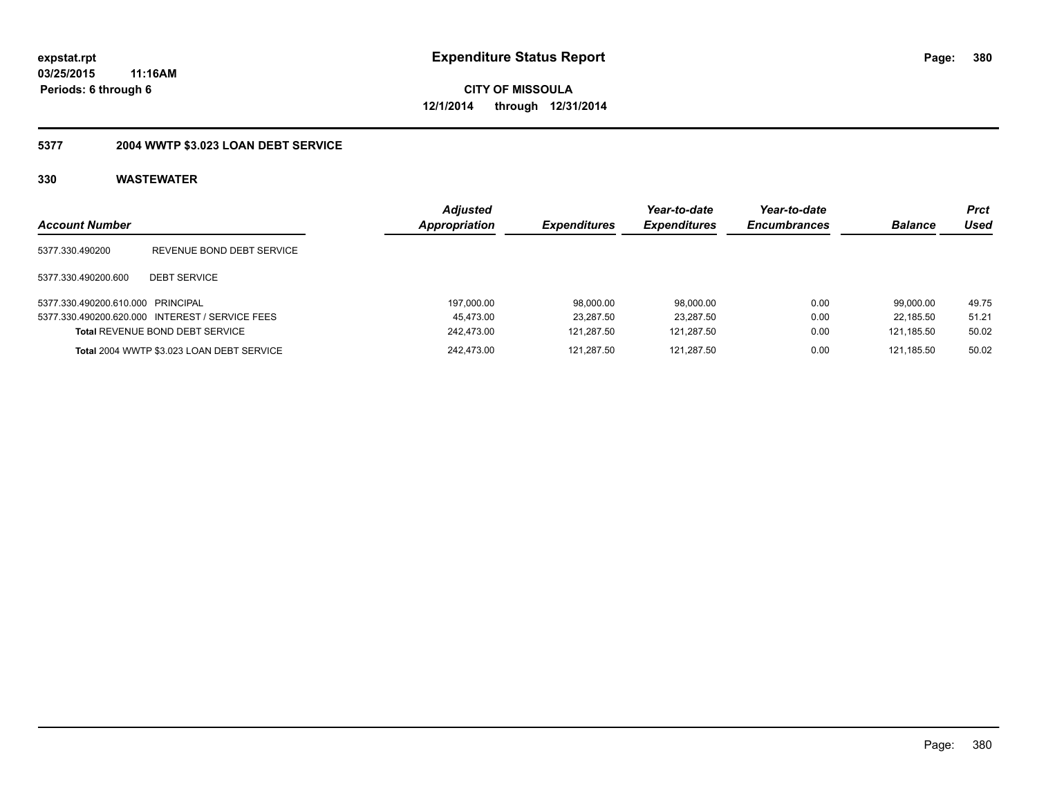# **CITY OF MISSOULA 12/1/2014 through 12/31/2014**

# **5377 2004 WWTP \$3.023 LOAN DEBT SERVICE**

| <b>Account Number</b>             |                                                 | Adjusted<br>Appropriation | <b>Expenditures</b> | Year-to-date<br><b>Expenditures</b> | Year-to-date<br><b>Encumbrances</b> | <b>Balance</b> | Prct<br>Used |
|-----------------------------------|-------------------------------------------------|---------------------------|---------------------|-------------------------------------|-------------------------------------|----------------|--------------|
| 5377.330.490200                   | REVENUE BOND DEBT SERVICE                       |                           |                     |                                     |                                     |                |              |
| 5377.330.490200.600               | <b>DEBT SERVICE</b>                             |                           |                     |                                     |                                     |                |              |
| 5377.330.490200.610.000 PRINCIPAL |                                                 | 197,000.00                | 98.000.00           | 98.000.00                           | 0.00                                | 99.000.00      | 49.75        |
|                                   | 5377.330.490200.620.000 INTEREST / SERVICE FEES | 45.473.00                 | 23.287.50           | 23.287.50                           | 0.00                                | 22.185.50      | 51.21        |
|                                   | <b>Total REVENUE BOND DEBT SERVICE</b>          | 242.473.00                | 121.287.50          | 121.287.50                          | 0.00                                | 121.185.50     | 50.02        |
|                                   | Total 2004 WWTP \$3.023 LOAN DEBT SERVICE       | 242.473.00                | 121.287.50          | 121.287.50                          | 0.00                                | 121.185.50     | 50.02        |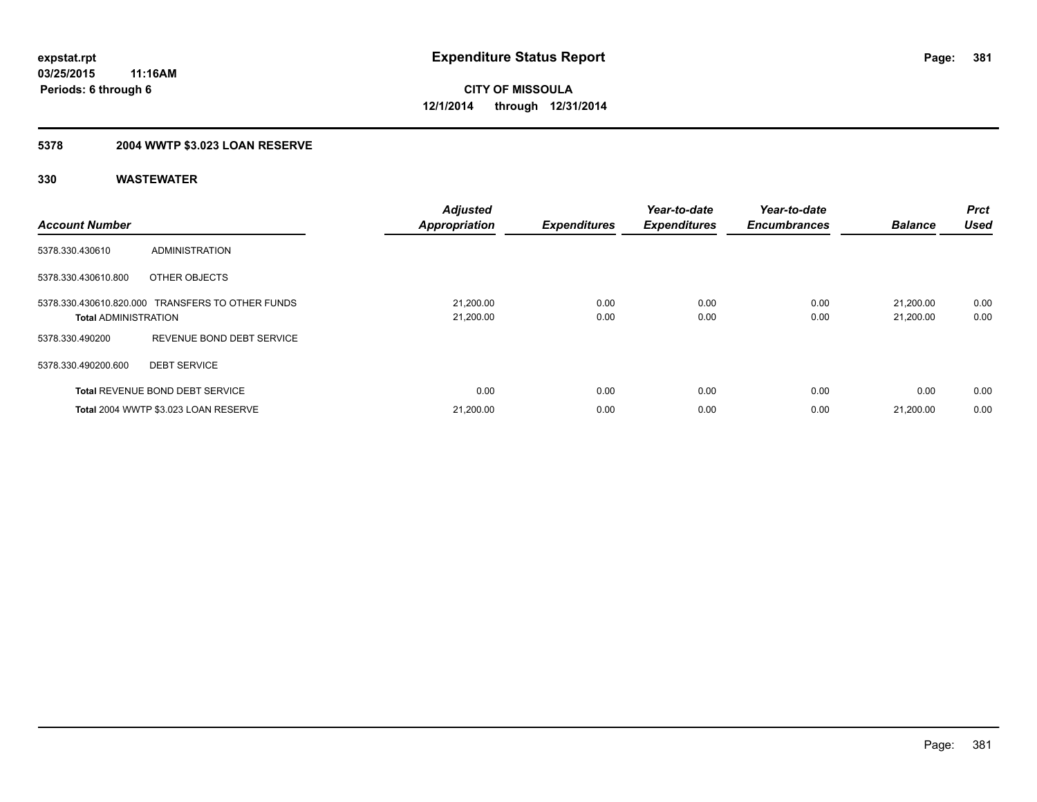# **5378 2004 WWTP \$3.023 LOAN RESERVE**

| <b>Account Number</b>       |                                                  | <b>Adjusted</b><br><b>Appropriation</b> | <b>Expenditures</b> | Year-to-date<br><b>Expenditures</b> | Year-to-date<br><b>Encumbrances</b> | <b>Balance</b>         | Prct<br><b>Used</b> |
|-----------------------------|--------------------------------------------------|-----------------------------------------|---------------------|-------------------------------------|-------------------------------------|------------------------|---------------------|
| 5378.330.430610             | ADMINISTRATION                                   |                                         |                     |                                     |                                     |                        |                     |
| 5378.330.430610.800         | OTHER OBJECTS                                    |                                         |                     |                                     |                                     |                        |                     |
| <b>Total ADMINISTRATION</b> | 5378.330.430610.820.000 TRANSFERS TO OTHER FUNDS | 21,200.00<br>21,200.00                  | 0.00<br>0.00        | 0.00<br>0.00                        | 0.00<br>0.00                        | 21,200.00<br>21,200.00 | 0.00<br>0.00        |
| 5378.330.490200             | REVENUE BOND DEBT SERVICE                        |                                         |                     |                                     |                                     |                        |                     |
| 5378.330.490200.600         | <b>DEBT SERVICE</b>                              |                                         |                     |                                     |                                     |                        |                     |
|                             | <b>Total REVENUE BOND DEBT SERVICE</b>           | 0.00                                    | 0.00                | 0.00                                | 0.00                                | 0.00                   | 0.00                |
|                             | Total 2004 WWTP \$3.023 LOAN RESERVE             | 21,200.00                               | 0.00                | 0.00                                | 0.00                                | 21.200.00              | 0.00                |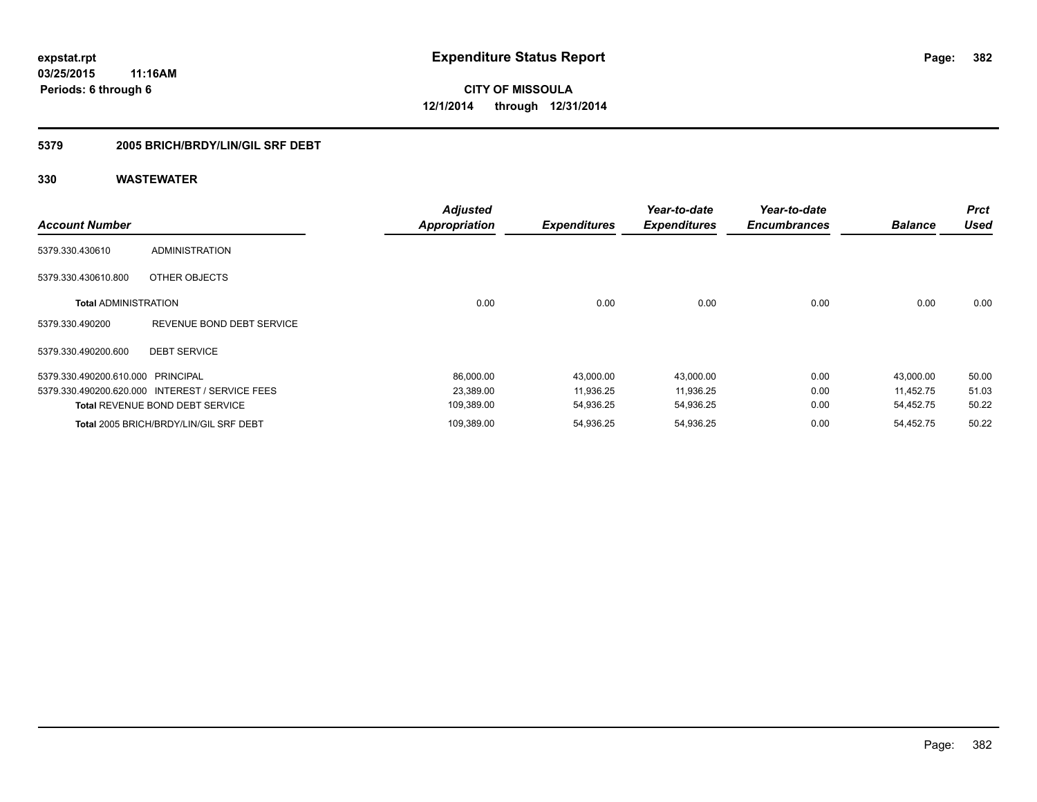## **5379 2005 BRICH/BRDY/LIN/GIL SRF DEBT**

| <b>Account Number</b>             |                                                 | <b>Adjusted</b><br><b>Appropriation</b> | <b>Expenditures</b> | Year-to-date<br><b>Expenditures</b> | Year-to-date<br><b>Encumbrances</b> | <b>Balance</b> | <b>Prct</b><br><b>Used</b> |
|-----------------------------------|-------------------------------------------------|-----------------------------------------|---------------------|-------------------------------------|-------------------------------------|----------------|----------------------------|
| 5379.330.430610                   | <b>ADMINISTRATION</b>                           |                                         |                     |                                     |                                     |                |                            |
| 5379.330.430610.800               | OTHER OBJECTS                                   |                                         |                     |                                     |                                     |                |                            |
| <b>Total ADMINISTRATION</b>       |                                                 | 0.00                                    | 0.00                | 0.00                                | 0.00                                | 0.00           | 0.00                       |
| 5379.330.490200                   | REVENUE BOND DEBT SERVICE                       |                                         |                     |                                     |                                     |                |                            |
| 5379.330.490200.600               | <b>DEBT SERVICE</b>                             |                                         |                     |                                     |                                     |                |                            |
| 5379.330.490200.610.000 PRINCIPAL |                                                 | 86,000.00                               | 43,000.00           | 43,000.00                           | 0.00                                | 43,000.00      | 50.00                      |
|                                   | 5379.330.490200.620.000 INTEREST / SERVICE FEES | 23,389.00                               | 11,936.25           | 11,936.25                           | 0.00                                | 11.452.75      | 51.03                      |
|                                   | <b>Total REVENUE BOND DEBT SERVICE</b>          | 109,389.00                              | 54,936.25           | 54,936.25                           | 0.00                                | 54,452.75      | 50.22                      |
|                                   | Total 2005 BRICH/BRDY/LIN/GIL SRF DEBT          | 109,389.00                              | 54,936.25           | 54,936.25                           | 0.00                                | 54,452.75      | 50.22                      |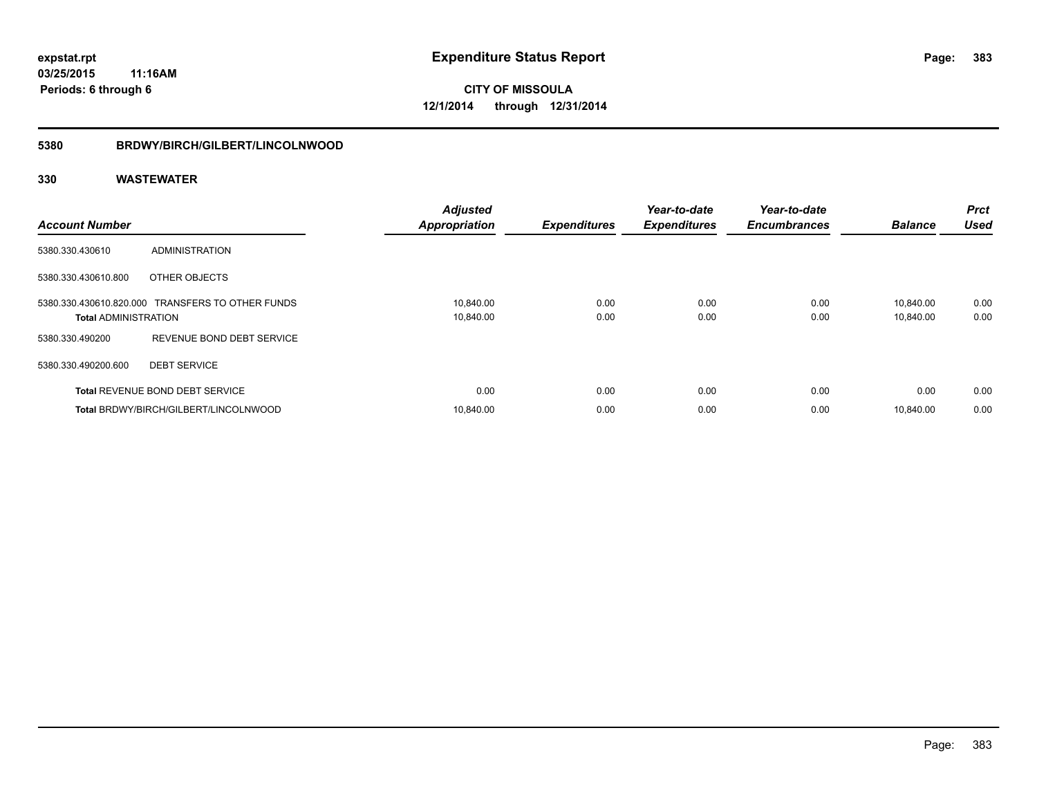### **5380 BRDWY/BIRCH/GILBERT/LINCOLNWOOD**

| <b>Account Number</b>       |                                                  | <b>Adjusted</b><br><b>Appropriation</b> | <b>Expenditures</b> | Year-to-date<br><b>Expenditures</b> | Year-to-date<br><b>Encumbrances</b> | <b>Balance</b>         | <b>Prct</b><br><b>Used</b> |
|-----------------------------|--------------------------------------------------|-----------------------------------------|---------------------|-------------------------------------|-------------------------------------|------------------------|----------------------------|
| 5380.330.430610             | ADMINISTRATION                                   |                                         |                     |                                     |                                     |                        |                            |
| 5380.330.430610.800         | OTHER OBJECTS                                    |                                         |                     |                                     |                                     |                        |                            |
| <b>Total ADMINISTRATION</b> | 5380.330.430610.820.000 TRANSFERS TO OTHER FUNDS | 10,840.00<br>10,840.00                  | 0.00<br>0.00        | 0.00<br>0.00                        | 0.00<br>0.00                        | 10.840.00<br>10,840.00 | 0.00<br>0.00               |
| 5380.330.490200             | REVENUE BOND DEBT SERVICE                        |                                         |                     |                                     |                                     |                        |                            |
| 5380.330.490200.600         | <b>DEBT SERVICE</b>                              |                                         |                     |                                     |                                     |                        |                            |
|                             | <b>Total REVENUE BOND DEBT SERVICE</b>           | 0.00                                    | 0.00                | 0.00                                | 0.00                                | 0.00                   | 0.00                       |
|                             | Total BRDWY/BIRCH/GILBERT/LINCOLNWOOD            | 10.840.00                               | 0.00                | 0.00                                | 0.00                                | 10.840.00              | 0.00                       |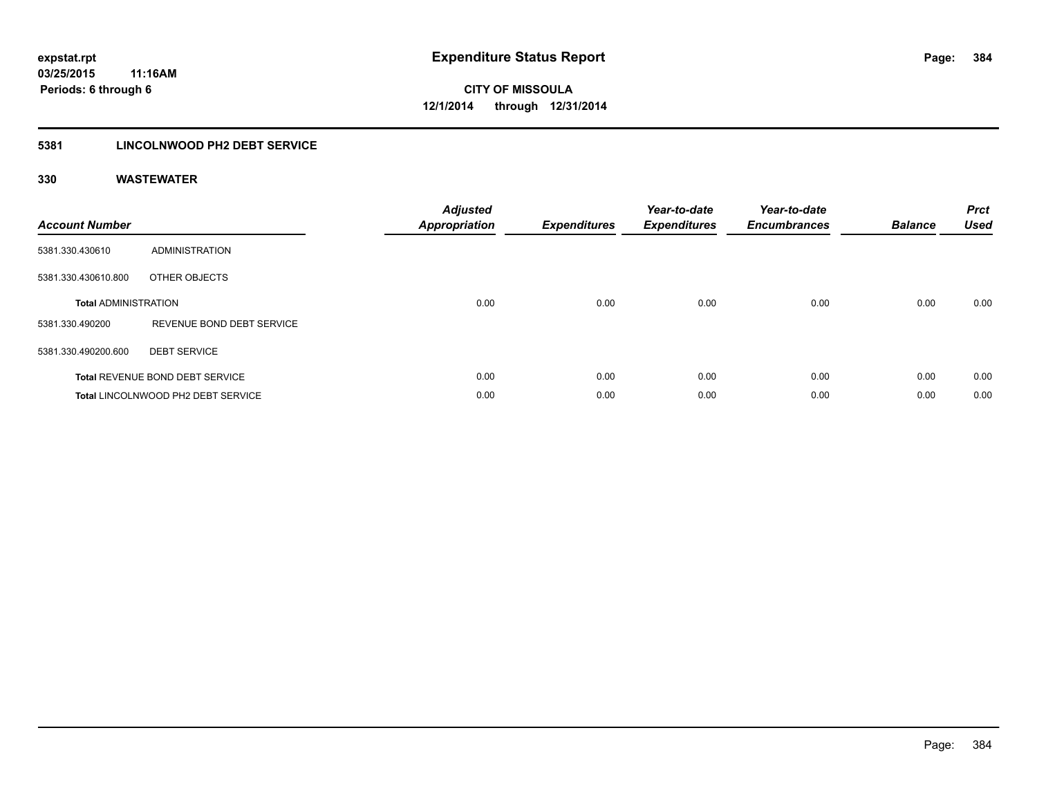## **5381 LINCOLNWOOD PH2 DEBT SERVICE**

| <b>Account Number</b>       |                                    | <b>Adjusted</b><br>Appropriation | <b>Expenditures</b> | Year-to-date<br><b>Expenditures</b> | Year-to-date<br><b>Encumbrances</b> | <b>Balance</b> | <b>Prct</b><br><b>Used</b> |
|-----------------------------|------------------------------------|----------------------------------|---------------------|-------------------------------------|-------------------------------------|----------------|----------------------------|
| 5381.330.430610             | <b>ADMINISTRATION</b>              |                                  |                     |                                     |                                     |                |                            |
| 5381.330.430610.800         | OTHER OBJECTS                      |                                  |                     |                                     |                                     |                |                            |
| <b>Total ADMINISTRATION</b> |                                    | 0.00                             | 0.00                | 0.00                                | 0.00                                | 0.00           | 0.00                       |
| 5381.330.490200             | REVENUE BOND DEBT SERVICE          |                                  |                     |                                     |                                     |                |                            |
| 5381.330.490200.600         | <b>DEBT SERVICE</b>                |                                  |                     |                                     |                                     |                |                            |
|                             | Total REVENUE BOND DEBT SERVICE    | 0.00                             | 0.00                | 0.00                                | 0.00                                | 0.00           | 0.00                       |
|                             | Total LINCOLNWOOD PH2 DEBT SERVICE | 0.00                             | 0.00                | 0.00                                | 0.00                                | 0.00           | 0.00                       |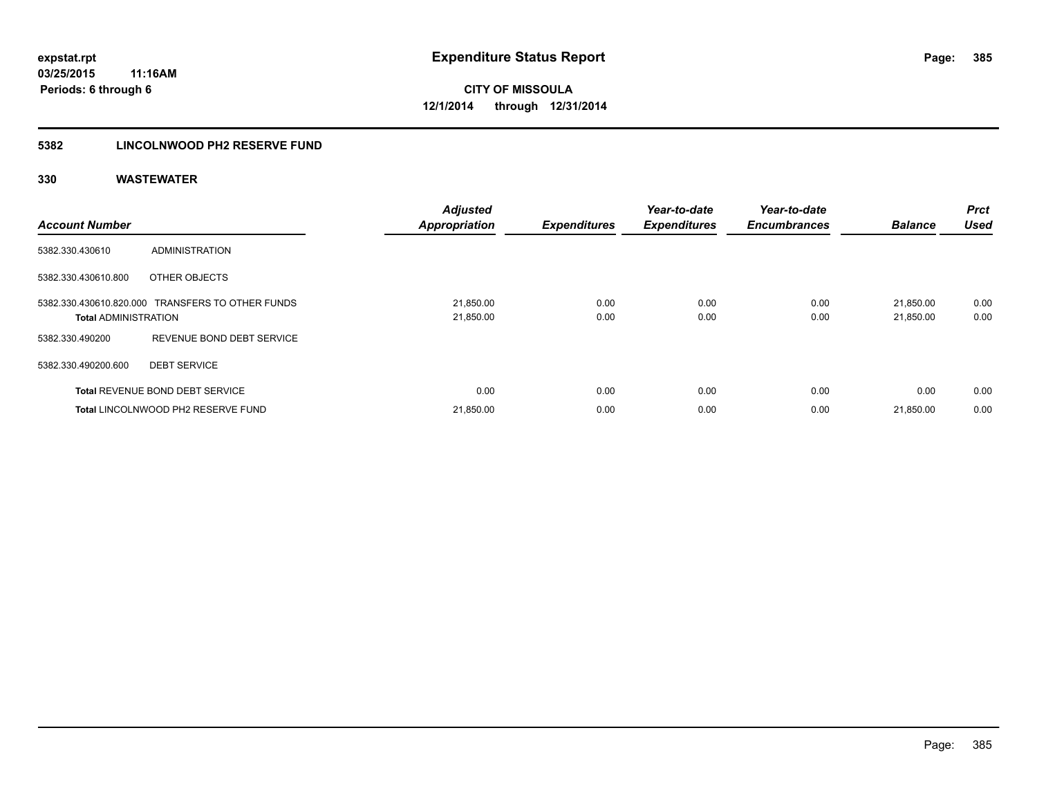## **5382 LINCOLNWOOD PH2 RESERVE FUND**

| <b>Account Number</b>       |                                                  | <b>Adjusted</b><br><b>Appropriation</b> | <b>Expenditures</b> | Year-to-date<br><b>Expenditures</b> | Year-to-date<br><b>Encumbrances</b> | <b>Balance</b>         | Prct<br><b>Used</b> |
|-----------------------------|--------------------------------------------------|-----------------------------------------|---------------------|-------------------------------------|-------------------------------------|------------------------|---------------------|
| 5382.330.430610             | <b>ADMINISTRATION</b>                            |                                         |                     |                                     |                                     |                        |                     |
| 5382.330.430610.800         | OTHER OBJECTS                                    |                                         |                     |                                     |                                     |                        |                     |
| <b>Total ADMINISTRATION</b> | 5382.330.430610.820.000 TRANSFERS TO OTHER FUNDS | 21,850.00<br>21,850.00                  | 0.00<br>0.00        | 0.00<br>0.00                        | 0.00<br>0.00                        | 21,850.00<br>21,850.00 | 0.00<br>0.00        |
| 5382.330.490200             | REVENUE BOND DEBT SERVICE                        |                                         |                     |                                     |                                     |                        |                     |
| 5382.330.490200.600         | <b>DEBT SERVICE</b>                              |                                         |                     |                                     |                                     |                        |                     |
|                             | <b>Total REVENUE BOND DEBT SERVICE</b>           | 0.00                                    | 0.00                | 0.00                                | 0.00                                | 0.00                   | 0.00                |
|                             | Total LINCOLNWOOD PH2 RESERVE FUND               | 21,850.00                               | 0.00                | 0.00                                | 0.00                                | 21,850.00              | 0.00                |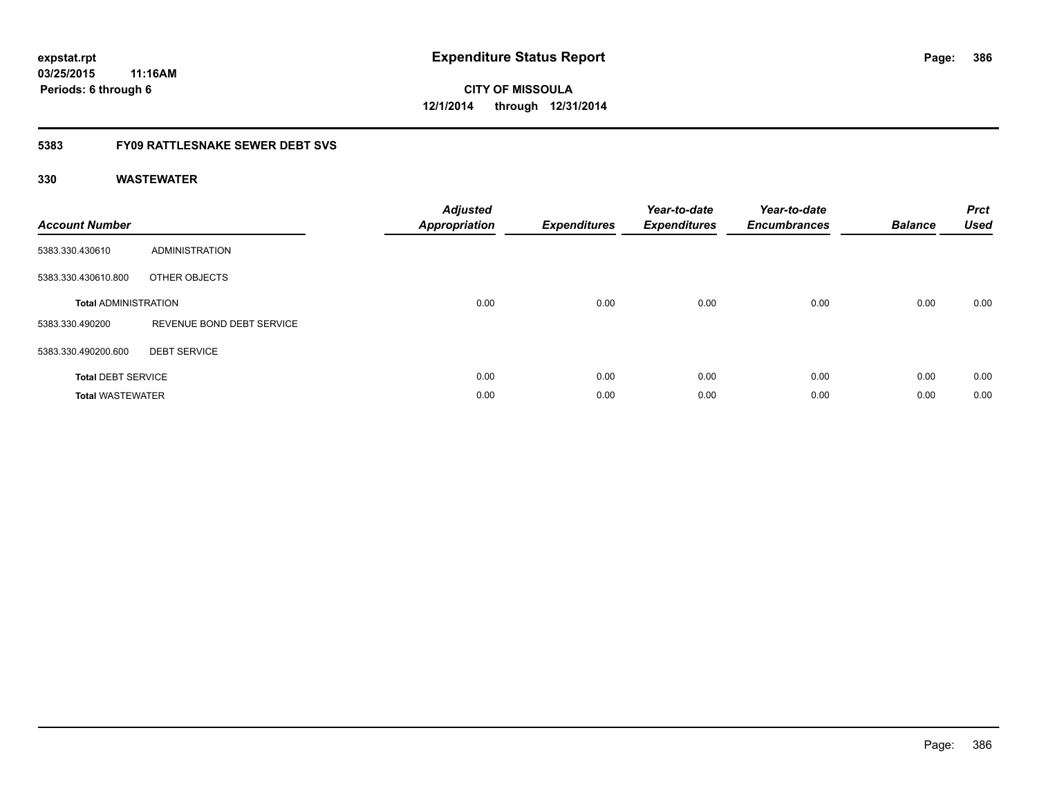**CITY OF MISSOULA 12/1/2014 through 12/31/2014**

## **5383 FY09 RATTLESNAKE SEWER DEBT SVS**

| <b>Account Number</b>       |                           | <b>Adjusted</b><br>Appropriation | <b>Expenditures</b> | Year-to-date<br><b>Expenditures</b> | Year-to-date<br><b>Encumbrances</b> | <b>Balance</b> | <b>Prct</b><br><b>Used</b> |
|-----------------------------|---------------------------|----------------------------------|---------------------|-------------------------------------|-------------------------------------|----------------|----------------------------|
| 5383.330.430610             | ADMINISTRATION            |                                  |                     |                                     |                                     |                |                            |
| 5383.330.430610.800         | OTHER OBJECTS             |                                  |                     |                                     |                                     |                |                            |
| <b>Total ADMINISTRATION</b> |                           | 0.00                             | 0.00                | 0.00                                | 0.00                                | 0.00           | 0.00                       |
| 5383.330.490200             | REVENUE BOND DEBT SERVICE |                                  |                     |                                     |                                     |                |                            |
| 5383.330.490200.600         | <b>DEBT SERVICE</b>       |                                  |                     |                                     |                                     |                |                            |
| <b>Total DEBT SERVICE</b>   |                           | 0.00                             | 0.00                | 0.00                                | 0.00                                | 0.00           | 0.00                       |
| <b>Total WASTEWATER</b>     |                           | 0.00                             | 0.00                | 0.00                                | 0.00                                | 0.00           | 0.00                       |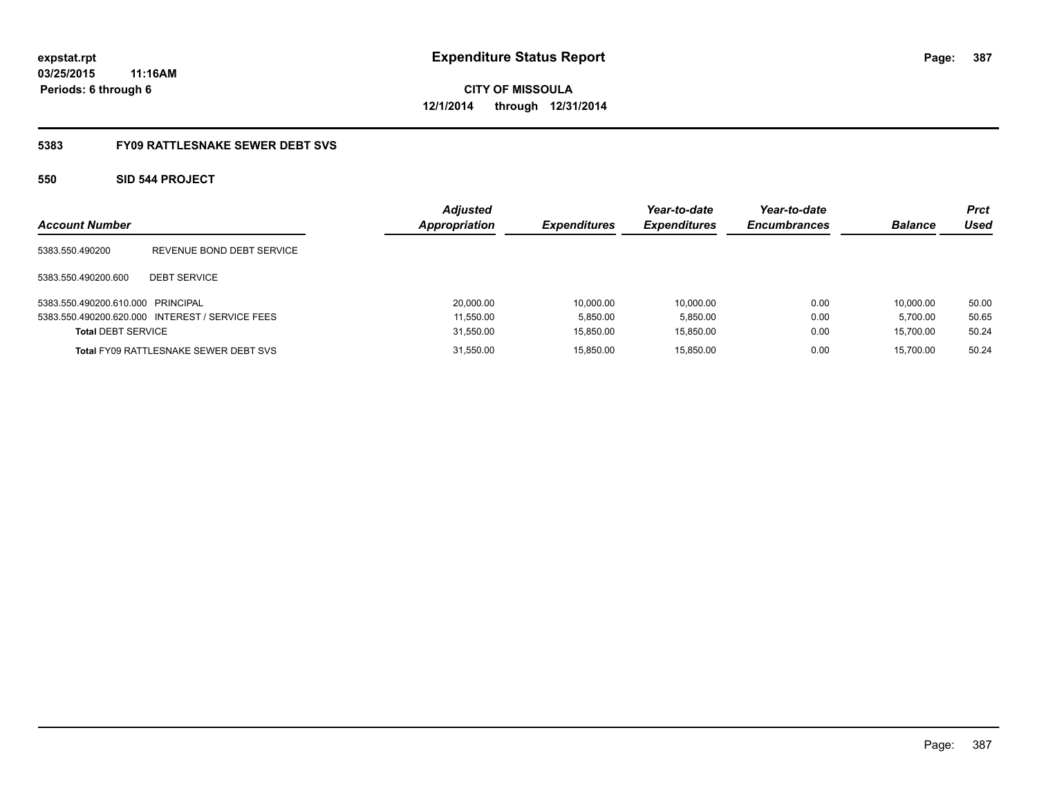# **CITY OF MISSOULA 12/1/2014 through 12/31/2014**

### **5383 FY09 RATTLESNAKE SEWER DEBT SVS**

### **550 SID 544 PROJECT**

| <b>Account Number</b>             |                                                 | <b>Adjusted</b><br><b>Appropriation</b> | <b>Expenditures</b> | Year-to-date<br><b>Expenditures</b> | Year-to-date<br><b>Encumbrances</b> | <b>Balance</b> | Prct<br>Used |
|-----------------------------------|-------------------------------------------------|-----------------------------------------|---------------------|-------------------------------------|-------------------------------------|----------------|--------------|
| 5383.550.490200                   | REVENUE BOND DEBT SERVICE                       |                                         |                     |                                     |                                     |                |              |
| 5383.550.490200.600               | <b>DEBT SERVICE</b>                             |                                         |                     |                                     |                                     |                |              |
| 5383.550.490200.610.000 PRINCIPAL |                                                 | 20,000.00                               | 10.000.00           | 10.000.00                           | 0.00                                | 10.000.00      | 50.00        |
|                                   | 5383.550.490200.620.000 INTEREST / SERVICE FEES | 11.550.00                               | 5.850.00            | 5.850.00                            | 0.00                                | 5.700.00       | 50.65        |
| <b>Total DEBT SERVICE</b>         |                                                 | 31,550.00                               | 15.850.00           | 15.850.00                           | 0.00                                | 15,700.00      | 50.24        |
|                                   | <b>Total FY09 RATTLESNAKE SEWER DEBT SVS</b>    | 31,550.00                               | 15.850.00           | 15.850.00                           | 0.00                                | 15.700.00      | 50.24        |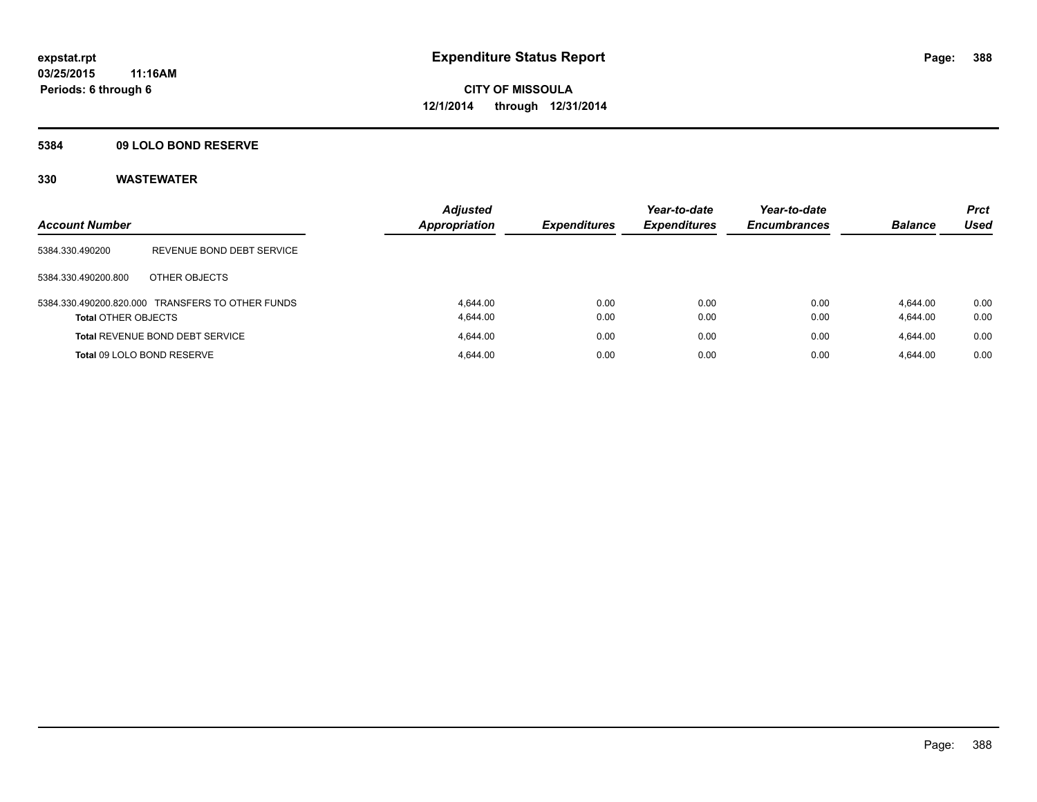### **5384 09 LOLO BOND RESERVE**

| <b>Account Number</b>      |                                                  | <b>Adjusted</b><br><b>Appropriation</b> | <b>Expenditures</b> | Year-to-date<br><b>Expenditures</b> | Year-to-date<br><b>Encumbrances</b> | <b>Balance</b>       | <b>Prct</b><br><b>Used</b> |
|----------------------------|--------------------------------------------------|-----------------------------------------|---------------------|-------------------------------------|-------------------------------------|----------------------|----------------------------|
| 5384.330.490200            | REVENUE BOND DEBT SERVICE                        |                                         |                     |                                     |                                     |                      |                            |
| 5384.330.490200.800        | OTHER OBJECTS                                    |                                         |                     |                                     |                                     |                      |                            |
| <b>Total OTHER OBJECTS</b> | 5384.330.490200.820.000 TRANSFERS TO OTHER FUNDS | 4.644.00<br>4.644.00                    | 0.00<br>0.00        | 0.00<br>0.00                        | 0.00<br>0.00                        | 4.644.00<br>4,644.00 | 0.00<br>0.00               |
|                            | <b>Total REVENUE BOND DEBT SERVICE</b>           | 4.644.00                                | 0.00                | 0.00                                | 0.00                                | 4.644.00             | 0.00                       |
|                            | Total 09 LOLO BOND RESERVE                       | 4.644.00                                | 0.00                | 0.00                                | 0.00                                | 4.644.00             | 0.00                       |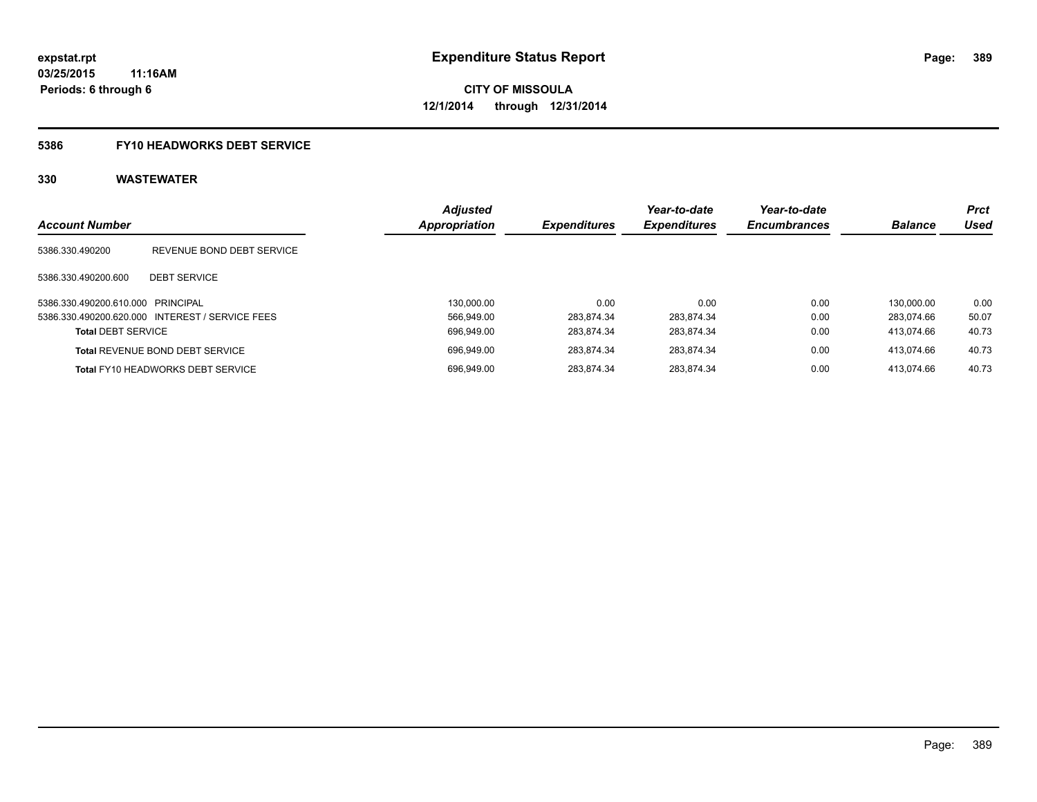# **5386 FY10 HEADWORKS DEBT SERVICE**

| <b>Account Number</b>             |                                                 | <b>Adjusted</b><br>Appropriation | <b>Expenditures</b> | Year-to-date<br><b>Expenditures</b> | Year-to-date<br><b>Encumbrances</b> | <b>Balance</b> | <b>Prct</b><br><b>Used</b> |
|-----------------------------------|-------------------------------------------------|----------------------------------|---------------------|-------------------------------------|-------------------------------------|----------------|----------------------------|
|                                   |                                                 |                                  |                     |                                     |                                     |                |                            |
| 5386.330.490200                   | REVENUE BOND DEBT SERVICE                       |                                  |                     |                                     |                                     |                |                            |
| 5386.330.490200.600               | <b>DEBT SERVICE</b>                             |                                  |                     |                                     |                                     |                |                            |
| 5386.330.490200.610.000 PRINCIPAL |                                                 | 130.000.00                       | 0.00                | 0.00                                | 0.00                                | 130.000.00     | 0.00                       |
|                                   | 5386.330.490200.620.000 INTEREST / SERVICE FEES | 566.949.00                       | 283.874.34          | 283.874.34                          | 0.00                                | 283.074.66     | 50.07                      |
| <b>Total DEBT SERVICE</b>         |                                                 | 696,949.00                       | 283.874.34          | 283.874.34                          | 0.00                                | 413.074.66     | 40.73                      |
|                                   | <b>Total REVENUE BOND DEBT SERVICE</b>          | 696.949.00                       | 283.874.34          | 283.874.34                          | 0.00                                | 413.074.66     | 40.73                      |
|                                   | <b>Total FY10 HEADWORKS DEBT SERVICE</b>        | 696.949.00                       | 283.874.34          | 283.874.34                          | 0.00                                | 413.074.66     | 40.73                      |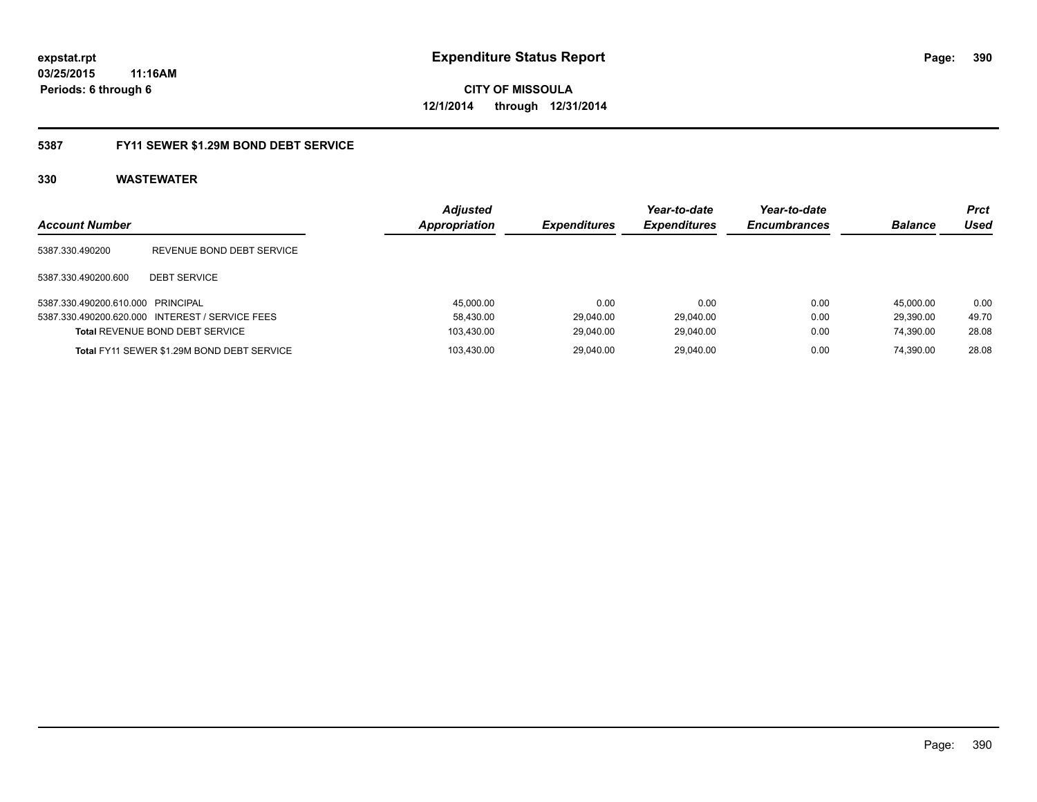**CITY OF MISSOULA 12/1/2014 through 12/31/2014**

### **5387 FY11 SEWER \$1.29M BOND DEBT SERVICE**

| <b>Account Number</b>             |                                                 | <b>Adjusted</b><br>Appropriation | <b>Expenditures</b> | Year-to-date<br><b>Expenditures</b> | Year-to-date<br><b>Encumbrances</b> | <b>Balance</b> | Prct<br>Used |
|-----------------------------------|-------------------------------------------------|----------------------------------|---------------------|-------------------------------------|-------------------------------------|----------------|--------------|
| 5387.330.490200                   | REVENUE BOND DEBT SERVICE                       |                                  |                     |                                     |                                     |                |              |
| 5387.330.490200.600               | <b>DEBT SERVICE</b>                             |                                  |                     |                                     |                                     |                |              |
| 5387.330.490200.610.000 PRINCIPAL |                                                 | 45,000.00                        | 0.00                | 0.00                                | 0.00                                | 45.000.00      | 0.00         |
|                                   | 5387.330.490200.620.000 INTEREST / SERVICE FEES | 58,430.00                        | 29.040.00           | 29.040.00                           | 0.00                                | 29.390.00      | 49.70        |
|                                   | <b>Total REVENUE BOND DEBT SERVICE</b>          | 103.430.00                       | 29.040.00           | 29.040.00                           | 0.00                                | 74.390.00      | 28.08        |
|                                   | Total FY11 SEWER \$1.29M BOND DEBT SERVICE      | 103.430.00                       | 29.040.00           | 29.040.00                           | 0.00                                | 74.390.00      | 28.08        |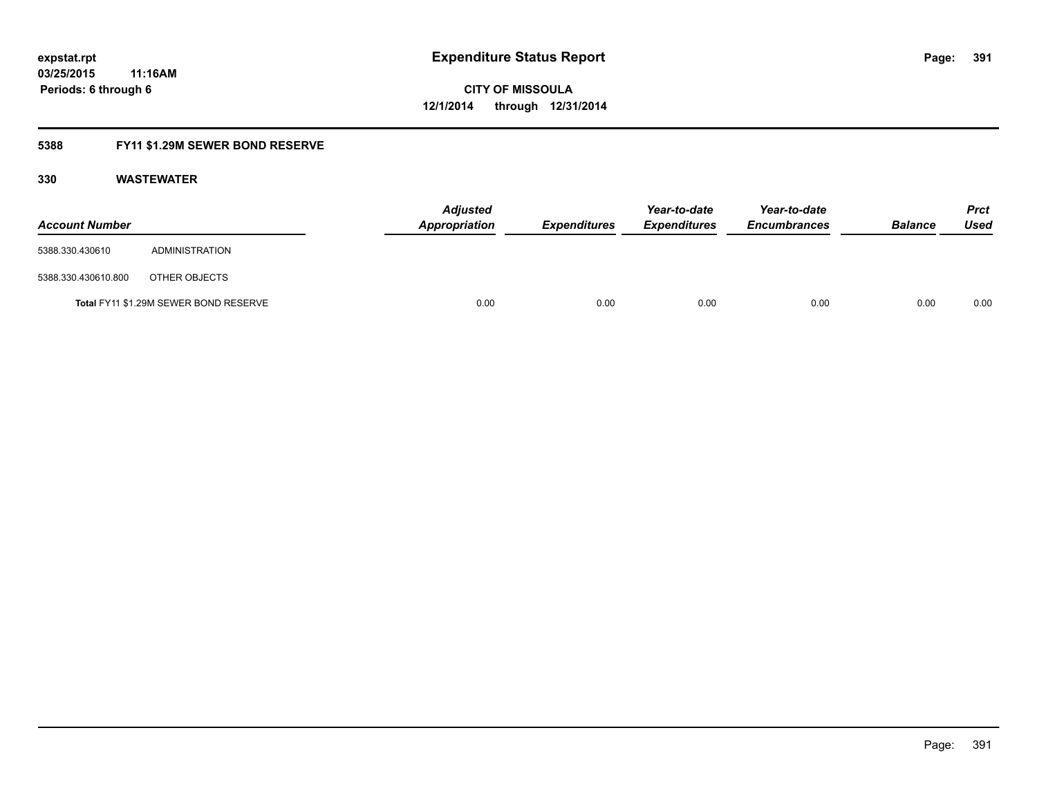# **5388 FY11 \$1.29M SEWER BOND RESERVE**

| <b>Account Number</b> |                                       | <b>Adjusted</b><br>Appropriation | <b>Expenditures</b> | Year-to-date<br><b>Expenditures</b> | Year-to-date<br><b>Encumbrances</b> | <b>Balance</b> | <b>Prct</b><br>Used |
|-----------------------|---------------------------------------|----------------------------------|---------------------|-------------------------------------|-------------------------------------|----------------|---------------------|
| 5388.330.430610       | ADMINISTRATION                        |                                  |                     |                                     |                                     |                |                     |
| 5388.330.430610.800   | OTHER OBJECTS                         |                                  |                     |                                     |                                     |                |                     |
|                       | Total FY11 \$1.29M SEWER BOND RESERVE | 0.00                             | 0.00                | 0.00                                | 0.00                                | 0.00           | 0.00                |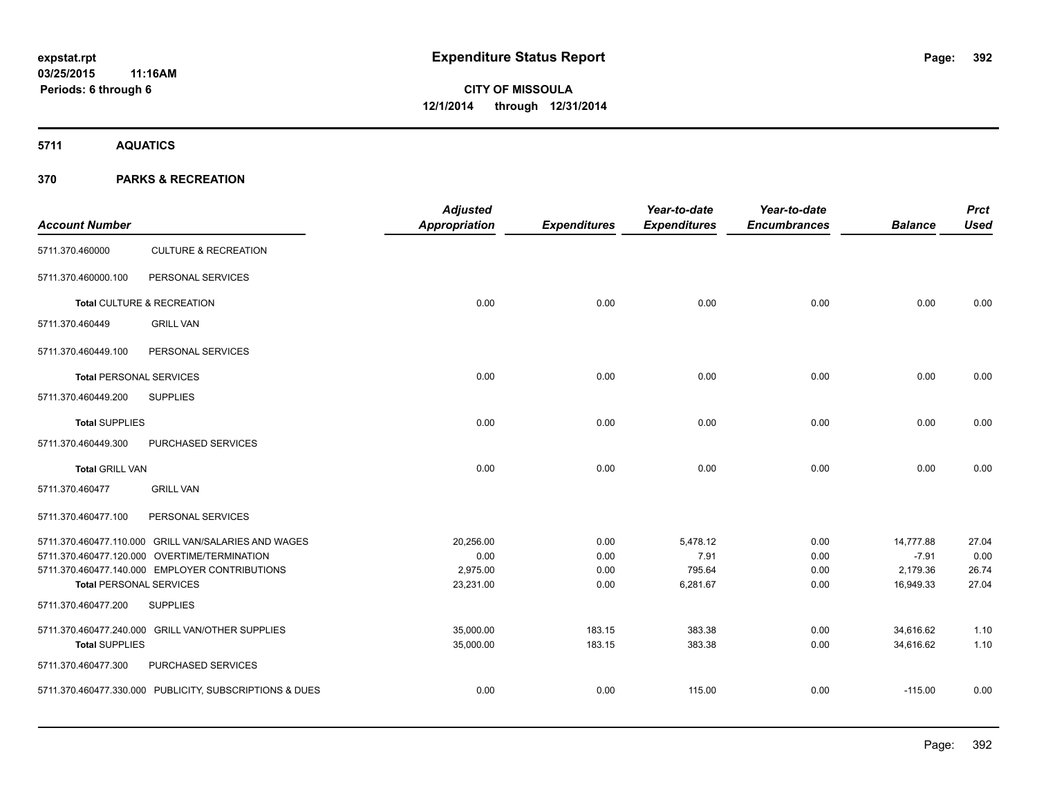**5711 AQUATICS**

### **370 PARKS & RECREATION**

| <b>Account Number</b>          |                                                         | <b>Adjusted</b><br>Appropriation | <b>Expenditures</b> | Year-to-date<br><b>Expenditures</b> | Year-to-date<br><b>Encumbrances</b> | <b>Balance</b> | <b>Prct</b><br><b>Used</b> |
|--------------------------------|---------------------------------------------------------|----------------------------------|---------------------|-------------------------------------|-------------------------------------|----------------|----------------------------|
| 5711.370.460000                | <b>CULTURE &amp; RECREATION</b>                         |                                  |                     |                                     |                                     |                |                            |
| 5711.370.460000.100            | PERSONAL SERVICES                                       |                                  |                     |                                     |                                     |                |                            |
|                                | Total CULTURE & RECREATION                              | 0.00                             | 0.00                | 0.00                                | 0.00                                | 0.00           | 0.00                       |
| 5711.370.460449                | <b>GRILL VAN</b>                                        |                                  |                     |                                     |                                     |                |                            |
| 5711.370.460449.100            | PERSONAL SERVICES                                       |                                  |                     |                                     |                                     |                |                            |
| <b>Total PERSONAL SERVICES</b> |                                                         | 0.00                             | 0.00                | 0.00                                | 0.00                                | 0.00           | 0.00                       |
| 5711.370.460449.200            | <b>SUPPLIES</b>                                         |                                  |                     |                                     |                                     |                |                            |
| <b>Total SUPPLIES</b>          |                                                         | 0.00                             | 0.00                | 0.00                                | 0.00                                | 0.00           | 0.00                       |
| 5711.370.460449.300            | PURCHASED SERVICES                                      |                                  |                     |                                     |                                     |                |                            |
| <b>Total GRILL VAN</b>         |                                                         | 0.00                             | 0.00                | 0.00                                | 0.00                                | 0.00           | 0.00                       |
| 5711.370.460477                | <b>GRILL VAN</b>                                        |                                  |                     |                                     |                                     |                |                            |
| 5711.370.460477.100            | PERSONAL SERVICES                                       |                                  |                     |                                     |                                     |                |                            |
|                                | 5711.370.460477.110.000 GRILL VAN/SALARIES AND WAGES    | 20,256.00                        | 0.00                | 5,478.12                            | 0.00                                | 14,777.88      | 27.04                      |
|                                | 5711.370.460477.120.000 OVERTIME/TERMINATION            | 0.00                             | 0.00                | 7.91                                | 0.00                                | $-7.91$        | 0.00                       |
|                                | 5711.370.460477.140.000 EMPLOYER CONTRIBUTIONS          | 2,975.00                         | 0.00                | 795.64                              | 0.00                                | 2,179.36       | 26.74                      |
| <b>Total PERSONAL SERVICES</b> |                                                         | 23,231.00                        | 0.00                | 6,281.67                            | 0.00                                | 16,949.33      | 27.04                      |
| 5711.370.460477.200            | <b>SUPPLIES</b>                                         |                                  |                     |                                     |                                     |                |                            |
|                                | 5711.370.460477.240.000 GRILL VAN/OTHER SUPPLIES        | 35,000.00                        | 183.15              | 383.38                              | 0.00                                | 34,616.62      | 1.10                       |
| <b>Total SUPPLIES</b>          |                                                         | 35,000.00                        | 183.15              | 383.38                              | 0.00                                | 34,616.62      | 1.10                       |
| 5711.370.460477.300            | PURCHASED SERVICES                                      |                                  |                     |                                     |                                     |                |                            |
|                                | 5711.370.460477.330.000 PUBLICITY, SUBSCRIPTIONS & DUES | 0.00                             | 0.00                | 115.00                              | 0.00                                | $-115.00$      | 0.00                       |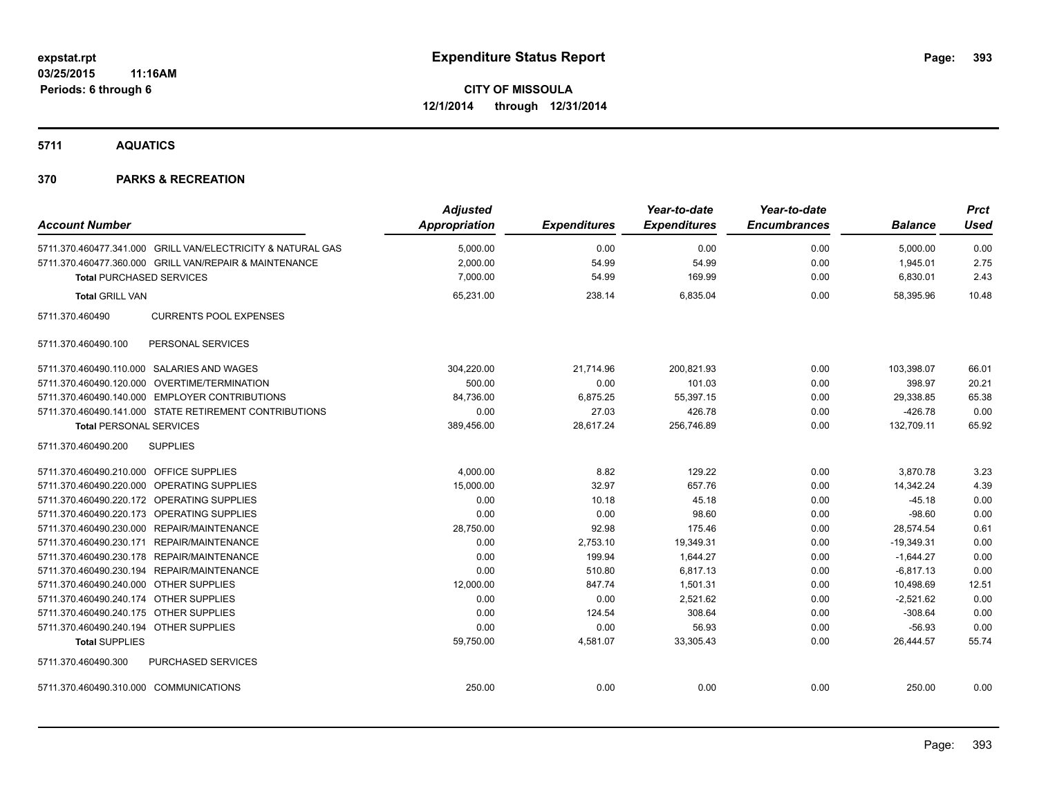**5711 AQUATICS**

### **370 PARKS & RECREATION**

|                                                             | <b>Adjusted</b>      |                     | Year-to-date        | Year-to-date        |                | <b>Prct</b> |
|-------------------------------------------------------------|----------------------|---------------------|---------------------|---------------------|----------------|-------------|
| <b>Account Number</b>                                       | <b>Appropriation</b> | <b>Expenditures</b> | <b>Expenditures</b> | <b>Encumbrances</b> | <b>Balance</b> | <b>Used</b> |
| 5711.370.460477.341.000 GRILL VAN/ELECTRICITY & NATURAL GAS | 5,000.00             | 0.00                | 0.00                | 0.00                | 5,000.00       | 0.00        |
| 5711.370.460477.360.000 GRILL VAN/REPAIR & MAINTENANCE      | 2,000.00             | 54.99               | 54.99               | 0.00                | 1,945.01       | 2.75        |
| <b>Total PURCHASED SERVICES</b>                             | 7,000.00             | 54.99               | 169.99              | 0.00                | 6,830.01       | 2.43        |
| <b>Total GRILL VAN</b>                                      | 65,231.00            | 238.14              | 6,835.04            | 0.00                | 58.395.96      | 10.48       |
| 5711.370.460490<br><b>CURRENTS POOL EXPENSES</b>            |                      |                     |                     |                     |                |             |
| PERSONAL SERVICES<br>5711.370.460490.100                    |                      |                     |                     |                     |                |             |
| 5711.370.460490.110.000 SALARIES AND WAGES                  | 304,220.00           | 21,714.96           | 200,821.93          | 0.00                | 103,398.07     | 66.01       |
| 5711.370.460490.120.000 OVERTIME/TERMINATION                | 500.00               | 0.00                | 101.03              | 0.00                | 398.97         | 20.21       |
| 5711.370.460490.140.000 EMPLOYER CONTRIBUTIONS              | 84,736.00            | 6,875.25            | 55,397.15           | 0.00                | 29,338.85      | 65.38       |
| 5711.370.460490.141.000 STATE RETIREMENT CONTRIBUTIONS      | 0.00                 | 27.03               | 426.78              | 0.00                | $-426.78$      | 0.00        |
| <b>Total PERSONAL SERVICES</b>                              | 389,456.00           | 28,617.24           | 256,746.89          | 0.00                | 132,709.11     | 65.92       |
| 5711.370.460490.200<br><b>SUPPLIES</b>                      |                      |                     |                     |                     |                |             |
| 5711.370.460490.210.000 OFFICE SUPPLIES                     | 4,000.00             | 8.82                | 129.22              | 0.00                | 3,870.78       | 3.23        |
| 5711.370.460490.220.000 OPERATING SUPPLIES                  | 15,000.00            | 32.97               | 657.76              | 0.00                | 14,342.24      | 4.39        |
| 5711.370.460490.220.172 OPERATING SUPPLIES                  | 0.00                 | 10.18               | 45.18               | 0.00                | $-45.18$       | 0.00        |
| 5711.370.460490.220.173 OPERATING SUPPLIES                  | 0.00                 | 0.00                | 98.60               | 0.00                | $-98.60$       | 0.00        |
| 5711.370.460490.230.000 REPAIR/MAINTENANCE                  | 28,750.00            | 92.98               | 175.46              | 0.00                | 28,574.54      | 0.61        |
| 5711.370.460490.230.171 REPAIR/MAINTENANCE                  | 0.00                 | 2,753.10            | 19,349.31           | 0.00                | $-19,349.31$   | 0.00        |
| 5711.370.460490.230.178 REPAIR/MAINTENANCE                  | 0.00                 | 199.94              | 1,644.27            | 0.00                | $-1,644.27$    | 0.00        |
| 5711.370.460490.230.194 REPAIR/MAINTENANCE                  | 0.00                 | 510.80              | 6,817.13            | 0.00                | $-6,817.13$    | 0.00        |
| 5711.370.460490.240.000 OTHER SUPPLIES                      | 12,000.00            | 847.74              | 1,501.31            | 0.00                | 10,498.69      | 12.51       |
| 5711.370.460490.240.174 OTHER SUPPLIES                      | 0.00                 | 0.00                | 2,521.62            | 0.00                | $-2,521.62$    | 0.00        |
| 5711.370.460490.240.175 OTHER SUPPLIES                      | 0.00                 | 124.54              | 308.64              | 0.00                | $-308.64$      | 0.00        |
| 5711.370.460490.240.194 OTHER SUPPLIES                      | 0.00                 | 0.00                | 56.93               | 0.00                | $-56.93$       | 0.00        |
| <b>Total SUPPLIES</b>                                       | 59,750.00            | 4,581.07            | 33,305.43           | 0.00                | 26,444.57      | 55.74       |
| PURCHASED SERVICES<br>5711.370.460490.300                   |                      |                     |                     |                     |                |             |
| 5711.370.460490.310.000 COMMUNICATIONS                      | 250.00               | 0.00                | 0.00                | 0.00                | 250.00         | 0.00        |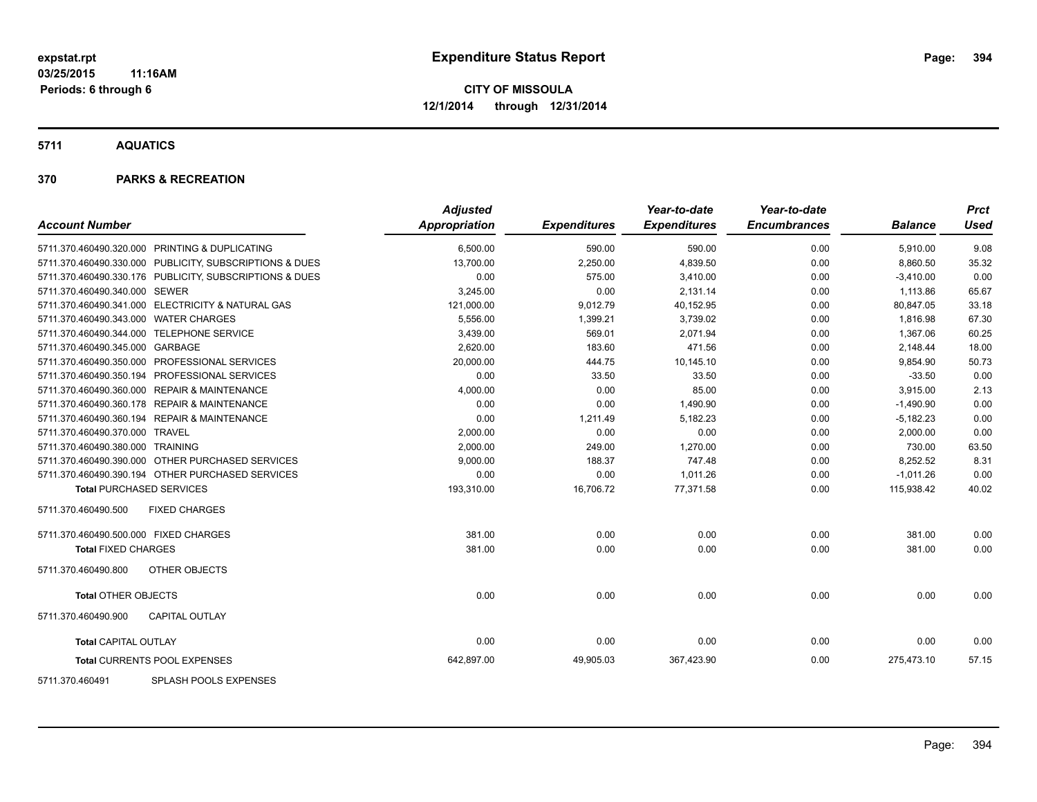**5711 AQUATICS**

### **370 PARKS & RECREATION**

| <b>Account Number</b>                                   | <b>Adjusted</b><br>Appropriation | <b>Expenditures</b> | Year-to-date<br><b>Expenditures</b> | Year-to-date<br><b>Encumbrances</b> | <b>Balance</b> | <b>Prct</b><br><b>Used</b> |
|---------------------------------------------------------|----------------------------------|---------------------|-------------------------------------|-------------------------------------|----------------|----------------------------|
|                                                         |                                  |                     |                                     |                                     |                |                            |
| 5711.370.460490.320.000 PRINTING & DUPLICATING          | 6,500.00                         | 590.00              | 590.00                              | 0.00                                | 5,910.00       | 9.08                       |
| 5711.370.460490.330.000 PUBLICITY, SUBSCRIPTIONS & DUES | 13,700.00                        | 2,250.00            | 4,839.50                            | 0.00                                | 8,860.50       | 35.32                      |
| 5711.370.460490.330.176 PUBLICITY, SUBSCRIPTIONS & DUES | 0.00                             | 575.00              | 3,410.00                            | 0.00                                | $-3,410.00$    | 0.00                       |
| 5711.370.460490.340.000 SEWER                           | 3,245.00                         | 0.00                | 2,131.14                            | 0.00                                | 1,113.86       | 65.67                      |
| 5711.370.460490.341.000 ELECTRICITY & NATURAL GAS       | 121,000.00                       | 9,012.79            | 40,152.95                           | 0.00                                | 80,847.05      | 33.18                      |
| 5711.370.460490.343.000 WATER CHARGES                   | 5,556.00                         | 1,399.21            | 3,739.02                            | 0.00                                | 1,816.98       | 67.30                      |
| 5711.370.460490.344.000 TELEPHONE SERVICE               | 3,439.00                         | 569.01              | 2,071.94                            | 0.00                                | 1,367.06       | 60.25                      |
| 5711.370.460490.345.000 GARBAGE                         | 2,620.00                         | 183.60              | 471.56                              | 0.00                                | 2,148.44       | 18.00                      |
| 5711.370.460490.350.000 PROFESSIONAL SERVICES           | 20,000.00                        | 444.75              | 10,145.10                           | 0.00                                | 9,854.90       | 50.73                      |
| 5711.370.460490.350.194 PROFESSIONAL SERVICES           | 0.00                             | 33.50               | 33.50                               | 0.00                                | $-33.50$       | 0.00                       |
| 5711.370.460490.360.000 REPAIR & MAINTENANCE            | 4,000.00                         | 0.00                | 85.00                               | 0.00                                | 3,915.00       | 2.13                       |
| 5711.370.460490.360.178 REPAIR & MAINTENANCE            | 0.00                             | 0.00                | 1,490.90                            | 0.00                                | $-1,490.90$    | 0.00                       |
| 5711.370.460490.360.194 REPAIR & MAINTENANCE            | 0.00                             | 1,211.49            | 5,182.23                            | 0.00                                | $-5,182.23$    | 0.00                       |
| 5711.370.460490.370.000 TRAVEL                          | 2,000.00                         | 0.00                | 0.00                                | 0.00                                | 2,000.00       | 0.00                       |
| 5711.370.460490.380.000 TRAINING                        | 2,000.00                         | 249.00              | 1,270.00                            | 0.00                                | 730.00         | 63.50                      |
| 5711.370.460490.390.000 OTHER PURCHASED SERVICES        | 9,000.00                         | 188.37              | 747.48                              | 0.00                                | 8,252.52       | 8.31                       |
| 5711.370.460490.390.194 OTHER PURCHASED SERVICES        | 0.00                             | 0.00                | 1,011.26                            | 0.00                                | $-1,011.26$    | 0.00                       |
| <b>Total PURCHASED SERVICES</b>                         | 193,310.00                       | 16,706.72           | 77,371.58                           | 0.00                                | 115,938.42     | 40.02                      |
| <b>FIXED CHARGES</b><br>5711.370.460490.500             |                                  |                     |                                     |                                     |                |                            |
| 5711.370.460490.500.000 FIXED CHARGES                   | 381.00                           | 0.00                | 0.00                                | 0.00                                | 381.00         | 0.00                       |
| <b>Total FIXED CHARGES</b>                              | 381.00                           | 0.00                | 0.00                                | 0.00                                | 381.00         | 0.00                       |
| OTHER OBJECTS<br>5711.370.460490.800                    |                                  |                     |                                     |                                     |                |                            |
| <b>Total OTHER OBJECTS</b>                              | 0.00                             | 0.00                | 0.00                                | 0.00                                | 0.00           | 0.00                       |
| 5711.370.460490.900<br><b>CAPITAL OUTLAY</b>            |                                  |                     |                                     |                                     |                |                            |
| <b>Total CAPITAL OUTLAY</b>                             | 0.00                             | 0.00                | 0.00                                | 0.00                                | 0.00           | 0.00                       |
| Total CURRENTS POOL EXPENSES                            | 642,897.00                       | 49,905.03           | 367,423.90                          | 0.00                                | 275,473.10     | 57.15                      |
| $-0.011$ $-0.011$ $-0.011$ $-0.011$                     |                                  |                     |                                     |                                     |                |                            |

5711.370.460491 SPLASH POOLS EXPENSES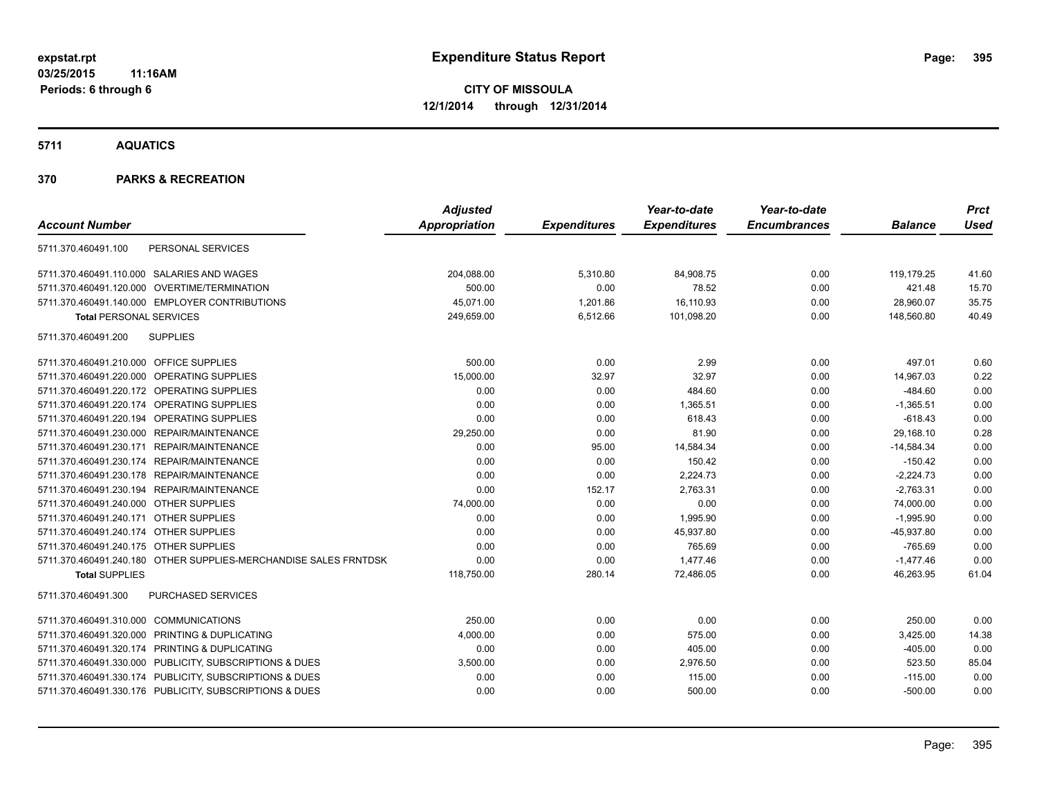**5711 AQUATICS**

### **370 PARKS & RECREATION**

|                                                                  | <b>Adjusted</b> |                     | Year-to-date        | Year-to-date        |                | <b>Prct</b> |
|------------------------------------------------------------------|-----------------|---------------------|---------------------|---------------------|----------------|-------------|
| <b>Account Number</b>                                            | Appropriation   | <b>Expenditures</b> | <b>Expenditures</b> | <b>Encumbrances</b> | <b>Balance</b> | <b>Used</b> |
| PERSONAL SERVICES<br>5711.370.460491.100                         |                 |                     |                     |                     |                |             |
| 5711.370.460491.110.000 SALARIES AND WAGES                       | 204,088.00      | 5,310.80            | 84,908.75           | 0.00                | 119,179.25     | 41.60       |
| 5711.370.460491.120.000 OVERTIME/TERMINATION                     | 500.00          | 0.00                | 78.52               | 0.00                | 421.48         | 15.70       |
| 5711.370.460491.140.000 EMPLOYER CONTRIBUTIONS                   | 45,071.00       | 1,201.86            | 16,110.93           | 0.00                | 28,960.07      | 35.75       |
| <b>Total PERSONAL SERVICES</b>                                   | 249,659.00      | 6,512.66            | 101,098.20          | 0.00                | 148,560.80     | 40.49       |
| <b>SUPPLIES</b><br>5711.370.460491.200                           |                 |                     |                     |                     |                |             |
| 5711.370.460491.210.000 OFFICE SUPPLIES                          | 500.00          | 0.00                | 2.99                | 0.00                | 497.01         | 0.60        |
| 5711.370.460491.220.000 OPERATING SUPPLIES                       | 15,000.00       | 32.97               | 32.97               | 0.00                | 14,967.03      | 0.22        |
| 5711.370.460491.220.172 OPERATING SUPPLIES                       | 0.00            | 0.00                | 484.60              | 0.00                | $-484.60$      | 0.00        |
| 5711.370.460491.220.174 OPERATING SUPPLIES                       | 0.00            | 0.00                | 1,365.51            | 0.00                | $-1,365.51$    | 0.00        |
| 5711.370.460491.220.194 OPERATING SUPPLIES                       | 0.00            | 0.00                | 618.43              | 0.00                | $-618.43$      | 0.00        |
| 5711.370.460491.230.000 REPAIR/MAINTENANCE                       | 29,250.00       | 0.00                | 81.90               | 0.00                | 29,168.10      | 0.28        |
| 5711.370.460491.230.171 REPAIR/MAINTENANCE                       | 0.00            | 95.00               | 14,584.34           | 0.00                | $-14,584.34$   | 0.00        |
| 5711.370.460491.230.174 REPAIR/MAINTENANCE                       | 0.00            | 0.00                | 150.42              | 0.00                | $-150.42$      | 0.00        |
| 5711.370.460491.230.178 REPAIR/MAINTENANCE                       | 0.00            | 0.00                | 2,224.73            | 0.00                | $-2,224.73$    | 0.00        |
| 5711.370.460491.230.194 REPAIR/MAINTENANCE                       | 0.00            | 152.17              | 2,763.31            | 0.00                | $-2,763.31$    | 0.00        |
| 5711.370.460491.240.000 OTHER SUPPLIES                           | 74,000.00       | 0.00                | 0.00                | 0.00                | 74,000.00      | 0.00        |
| 5711.370.460491.240.171 OTHER SUPPLIES                           | 0.00            | 0.00                | 1,995.90            | 0.00                | $-1,995.90$    | 0.00        |
| 5711.370.460491.240.174 OTHER SUPPLIES                           | 0.00            | 0.00                | 45.937.80           | 0.00                | $-45,937.80$   | 0.00        |
| 5711.370.460491.240.175 OTHER SUPPLIES                           | 0.00            | 0.00                | 765.69              | 0.00                | $-765.69$      | 0.00        |
| 5711.370.460491.240.180 OTHER SUPPLIES-MERCHANDISE SALES FRNTDSK | 0.00            | 0.00                | 1,477.46            | 0.00                | $-1,477.46$    | 0.00        |
| <b>Total SUPPLIES</b>                                            | 118,750.00      | 280.14              | 72,486.05           | 0.00                | 46,263.95      | 61.04       |
| <b>PURCHASED SERVICES</b><br>5711.370.460491.300                 |                 |                     |                     |                     |                |             |
| 5711.370.460491.310.000 COMMUNICATIONS                           | 250.00          | 0.00                | 0.00                | 0.00                | 250.00         | 0.00        |
| 5711.370.460491.320.000 PRINTING & DUPLICATING                   | 4,000.00        | 0.00                | 575.00              | 0.00                | 3,425.00       | 14.38       |
| 5711.370.460491.320.174 PRINTING & DUPLICATING                   | 0.00            | 0.00                | 405.00              | 0.00                | $-405.00$      | 0.00        |
| 5711.370.460491.330.000 PUBLICITY, SUBSCRIPTIONS & DUES          | 3,500.00        | 0.00                | 2,976.50            | 0.00                | 523.50         | 85.04       |
| 5711.370.460491.330.174 PUBLICITY, SUBSCRIPTIONS & DUES          | 0.00            | 0.00                | 115.00              | 0.00                | $-115.00$      | 0.00        |
| 5711.370.460491.330.176 PUBLICITY, SUBSCRIPTIONS & DUES          | 0.00            | 0.00                | 500.00              | 0.00                | $-500.00$      | 0.00        |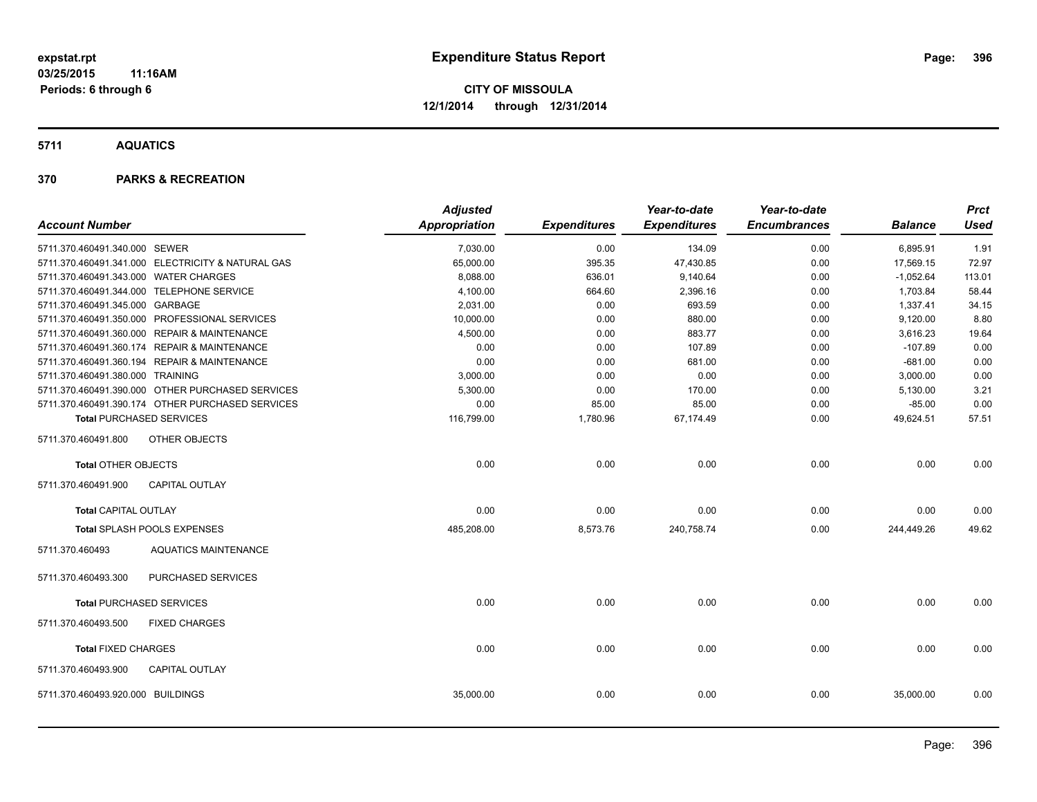**5711 AQUATICS**

### **370 PARKS & RECREATION**

|                                       |                                                   | <b>Adjusted</b> |                     | Year-to-date        | Year-to-date        |                | <b>Prct</b> |
|---------------------------------------|---------------------------------------------------|-----------------|---------------------|---------------------|---------------------|----------------|-------------|
| <b>Account Number</b>                 |                                                   | Appropriation   | <b>Expenditures</b> | <b>Expenditures</b> | <b>Encumbrances</b> | <b>Balance</b> | <b>Used</b> |
| 5711.370.460491.340.000 SEWER         |                                                   | 7,030.00        | 0.00                | 134.09              | 0.00                | 6,895.91       | 1.91        |
|                                       | 5711.370.460491.341.000 ELECTRICITY & NATURAL GAS | 65,000.00       | 395.35              | 47,430.85           | 0.00                | 17,569.15      | 72.97       |
| 5711.370.460491.343.000 WATER CHARGES |                                                   | 8,088.00        | 636.01              | 9,140.64            | 0.00                | $-1,052.64$    | 113.01      |
|                                       | 5711.370.460491.344.000 TELEPHONE SERVICE         | 4,100.00        | 664.60              | 2,396.16            | 0.00                | 1,703.84       | 58.44       |
| 5711.370.460491.345.000 GARBAGE       |                                                   | 2,031.00        | 0.00                | 693.59              | 0.00                | 1,337.41       | 34.15       |
|                                       | 5711.370.460491.350.000 PROFESSIONAL SERVICES     | 10,000.00       | 0.00                | 880.00              | 0.00                | 9,120.00       | 8.80        |
|                                       | 5711.370.460491.360.000 REPAIR & MAINTENANCE      | 4,500.00        | 0.00                | 883.77              | 0.00                | 3,616.23       | 19.64       |
|                                       | 5711.370.460491.360.174 REPAIR & MAINTENANCE      | 0.00            | 0.00                | 107.89              | 0.00                | $-107.89$      | 0.00        |
|                                       | 5711.370.460491.360.194 REPAIR & MAINTENANCE      | 0.00            | 0.00                | 681.00              | 0.00                | $-681.00$      | 0.00        |
| 5711.370.460491.380.000 TRAINING      |                                                   | 3,000.00        | 0.00                | 0.00                | 0.00                | 3,000.00       | 0.00        |
|                                       | 5711.370.460491.390.000 OTHER PURCHASED SERVICES  | 5,300.00        | 0.00                | 170.00              | 0.00                | 5,130.00       | 3.21        |
|                                       | 5711.370.460491.390.174 OTHER PURCHASED SERVICES  | 0.00            | 85.00               | 85.00               | 0.00                | $-85.00$       | 0.00        |
|                                       | <b>Total PURCHASED SERVICES</b>                   | 116,799.00      | 1,780.96            | 67,174.49           | 0.00                | 49,624.51      | 57.51       |
| 5711.370.460491.800                   | <b>OTHER OBJECTS</b>                              |                 |                     |                     |                     |                |             |
| <b>Total OTHER OBJECTS</b>            |                                                   | 0.00            | 0.00                | 0.00                | 0.00                | 0.00           | 0.00        |
| 5711.370.460491.900                   | <b>CAPITAL OUTLAY</b>                             |                 |                     |                     |                     |                |             |
| <b>Total CAPITAL OUTLAY</b>           |                                                   | 0.00            | 0.00                | 0.00                | 0.00                | 0.00           | 0.00        |
|                                       | Total SPLASH POOLS EXPENSES                       | 485,208.00      | 8,573.76            | 240,758.74          | 0.00                | 244,449.26     | 49.62       |
| 5711.370.460493                       | <b>AQUATICS MAINTENANCE</b>                       |                 |                     |                     |                     |                |             |
| 5711.370.460493.300                   | <b>PURCHASED SERVICES</b>                         |                 |                     |                     |                     |                |             |
|                                       | <b>Total PURCHASED SERVICES</b>                   | 0.00            | 0.00                | 0.00                | 0.00                | 0.00           | 0.00        |
| 5711.370.460493.500                   | <b>FIXED CHARGES</b>                              |                 |                     |                     |                     |                |             |
| <b>Total FIXED CHARGES</b>            |                                                   | 0.00            | 0.00                | 0.00                | 0.00                | 0.00           | 0.00        |
| 5711.370.460493.900                   | <b>CAPITAL OUTLAY</b>                             |                 |                     |                     |                     |                |             |
| 5711.370.460493.920.000 BUILDINGS     |                                                   | 35,000.00       | 0.00                | 0.00                | 0.00                | 35,000.00      | 0.00        |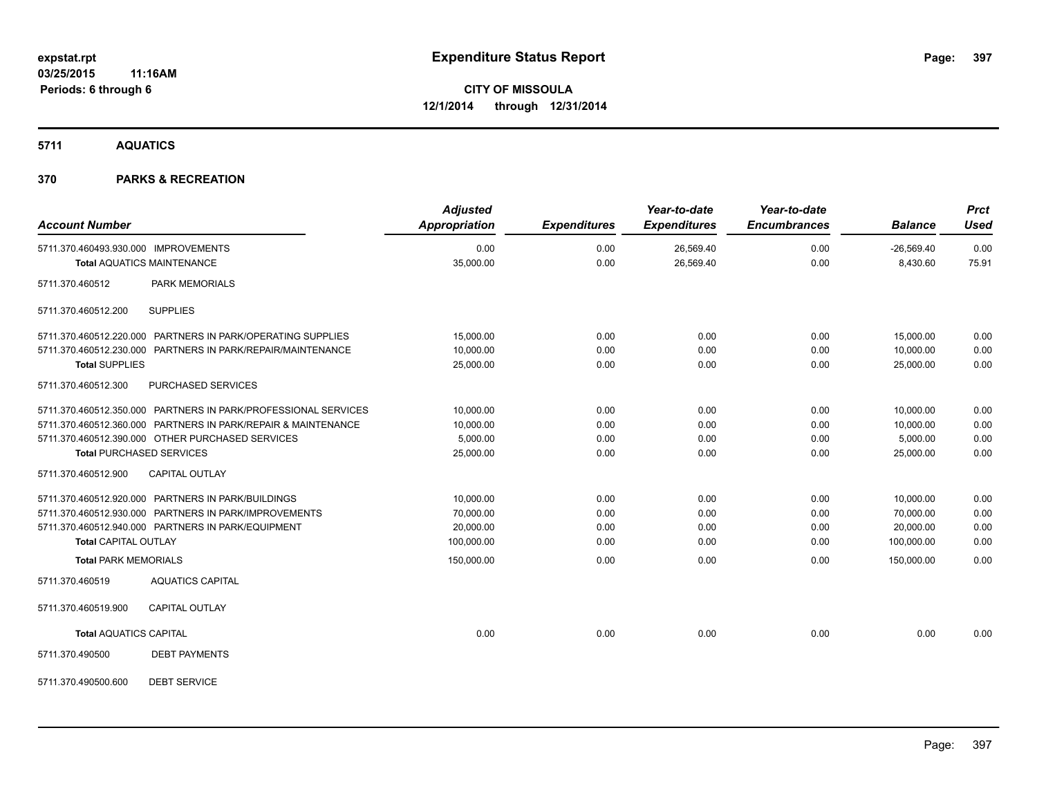**5711 AQUATICS**

### **370 PARKS & RECREATION**

| <b>Account Number</b>                                                                                                                                                                                                  | <b>Adjusted</b><br>Appropriation                  | <b>Expenditures</b>          | Year-to-date<br><b>Expenditures</b> | Year-to-date<br><b>Encumbrances</b> | <b>Balance</b>                                    | <b>Prct</b><br><b>Used</b>   |
|------------------------------------------------------------------------------------------------------------------------------------------------------------------------------------------------------------------------|---------------------------------------------------|------------------------------|-------------------------------------|-------------------------------------|---------------------------------------------------|------------------------------|
| 5711.370.460493.930.000 IMPROVEMENTS<br><b>Total AQUATICS MAINTENANCE</b>                                                                                                                                              | 0.00<br>35,000.00                                 | 0.00<br>0.00                 | 26,569.40<br>26,569.40              | 0.00<br>0.00                        | $-26,569.40$<br>8,430.60                          | 0.00<br>75.91                |
| 5711.370.460512<br>PARK MEMORIALS                                                                                                                                                                                      |                                                   |                              |                                     |                                     |                                                   |                              |
| <b>SUPPLIES</b><br>5711.370.460512.200                                                                                                                                                                                 |                                                   |                              |                                     |                                     |                                                   |                              |
| 5711.370.460512.220.000 PARTNERS IN PARK/OPERATING SUPPLIES<br>5711.370.460512.230.000 PARTNERS IN PARK/REPAIR/MAINTENANCE<br><b>Total SUPPLIES</b>                                                                    | 15,000.00<br>10,000.00<br>25,000.00               | 0.00<br>0.00<br>0.00         | 0.00<br>0.00<br>0.00                | 0.00<br>0.00<br>0.00                | 15,000.00<br>10,000.00<br>25,000.00               | 0.00<br>0.00<br>0.00         |
| 5711.370.460512.300<br><b>PURCHASED SERVICES</b>                                                                                                                                                                       |                                                   |                              |                                     |                                     |                                                   |                              |
| 5711.370.460512.350.000 PARTNERS IN PARK/PROFESSIONAL SERVICES<br>5711.370.460512.360.000 PARTNERS IN PARK/REPAIR & MAINTENANCE<br>5711.370.460512.390.000 OTHER PURCHASED SERVICES<br><b>Total PURCHASED SERVICES</b> | 10,000.00<br>10,000.00<br>5,000.00<br>25,000.00   | 0.00<br>0.00<br>0.00<br>0.00 | 0.00<br>0.00<br>0.00<br>0.00        | 0.00<br>0.00<br>0.00<br>0.00        | 10,000.00<br>10,000.00<br>5,000.00<br>25,000.00   | 0.00<br>0.00<br>0.00<br>0.00 |
| 5711.370.460512.900<br><b>CAPITAL OUTLAY</b>                                                                                                                                                                           |                                                   |                              |                                     |                                     |                                                   |                              |
| 5711.370.460512.920.000 PARTNERS IN PARK/BUILDINGS<br>5711.370.460512.930.000 PARTNERS IN PARK/IMPROVEMENTS<br>5711.370.460512.940.000 PARTNERS IN PARK/EQUIPMENT<br><b>Total CAPITAL OUTLAY</b>                       | 10,000.00<br>70,000.00<br>20,000.00<br>100,000.00 | 0.00<br>0.00<br>0.00<br>0.00 | 0.00<br>0.00<br>0.00<br>0.00        | 0.00<br>0.00<br>0.00<br>0.00        | 10,000.00<br>70,000.00<br>20,000.00<br>100,000.00 | 0.00<br>0.00<br>0.00<br>0.00 |
| <b>Total PARK MEMORIALS</b>                                                                                                                                                                                            | 150,000.00                                        | 0.00                         | 0.00                                | 0.00                                | 150,000.00                                        | 0.00                         |
| 5711.370.460519<br><b>AQUATICS CAPITAL</b>                                                                                                                                                                             |                                                   |                              |                                     |                                     |                                                   |                              |
| 5711.370.460519.900<br><b>CAPITAL OUTLAY</b>                                                                                                                                                                           |                                                   |                              |                                     |                                     |                                                   |                              |
| <b>Total AQUATICS CAPITAL</b>                                                                                                                                                                                          | 0.00                                              | 0.00                         | 0.00                                | 0.00                                | 0.00                                              | 0.00                         |
| 5711.370.490500<br><b>DEBT PAYMENTS</b>                                                                                                                                                                                |                                                   |                              |                                     |                                     |                                                   |                              |
| <b>DEBT SERVICE</b><br>5711.370.490500.600                                                                                                                                                                             |                                                   |                              |                                     |                                     |                                                   |                              |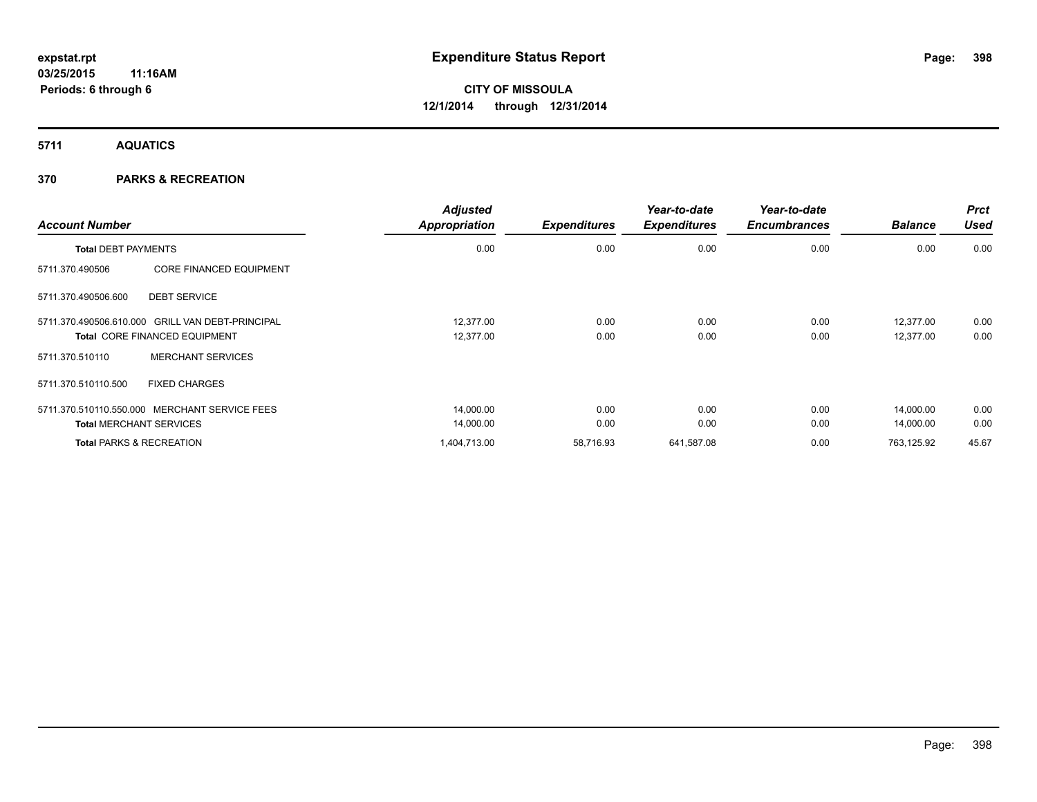**5711 AQUATICS**

### **370 PARKS & RECREATION**

| <b>Account Number</b>                                                                    | <b>Adjusted</b><br><b>Appropriation</b> | <b>Expenditures</b> | Year-to-date<br><b>Expenditures</b> | Year-to-date<br><b>Encumbrances</b> | <b>Balance</b>         | <b>Prct</b><br>Used |
|------------------------------------------------------------------------------------------|-----------------------------------------|---------------------|-------------------------------------|-------------------------------------|------------------------|---------------------|
| <b>Total DEBT PAYMENTS</b>                                                               | 0.00                                    | 0.00                | 0.00                                | 0.00                                | 0.00                   | 0.00                |
| <b>CORE FINANCED EQUIPMENT</b><br>5711.370.490506                                        |                                         |                     |                                     |                                     |                        |                     |
| <b>DEBT SERVICE</b><br>5711.370.490506.600                                               |                                         |                     |                                     |                                     |                        |                     |
| 5711.370.490506.610.000 GRILL VAN DEBT-PRINCIPAL<br><b>Total CORE FINANCED EQUIPMENT</b> | 12.377.00<br>12,377.00                  | 0.00<br>0.00        | 0.00<br>0.00                        | 0.00<br>0.00                        | 12,377.00<br>12,377.00 | 0.00<br>0.00        |
| <b>MERCHANT SERVICES</b><br>5711.370.510110                                              |                                         |                     |                                     |                                     |                        |                     |
| <b>FIXED CHARGES</b><br>5711.370.510110.500                                              |                                         |                     |                                     |                                     |                        |                     |
| 5711.370.510110.550.000<br>MERCHANT SERVICE FEES                                         | 14,000.00                               | 0.00                | 0.00                                | 0.00                                | 14,000.00              | 0.00                |
| <b>Total MERCHANT SERVICES</b>                                                           | 14,000.00                               | 0.00                | 0.00                                | 0.00                                | 14,000.00              | 0.00                |
| <b>Total PARKS &amp; RECREATION</b>                                                      | 1,404,713.00                            | 58,716.93           | 641,587.08                          | 0.00                                | 763,125.92             | 45.67               |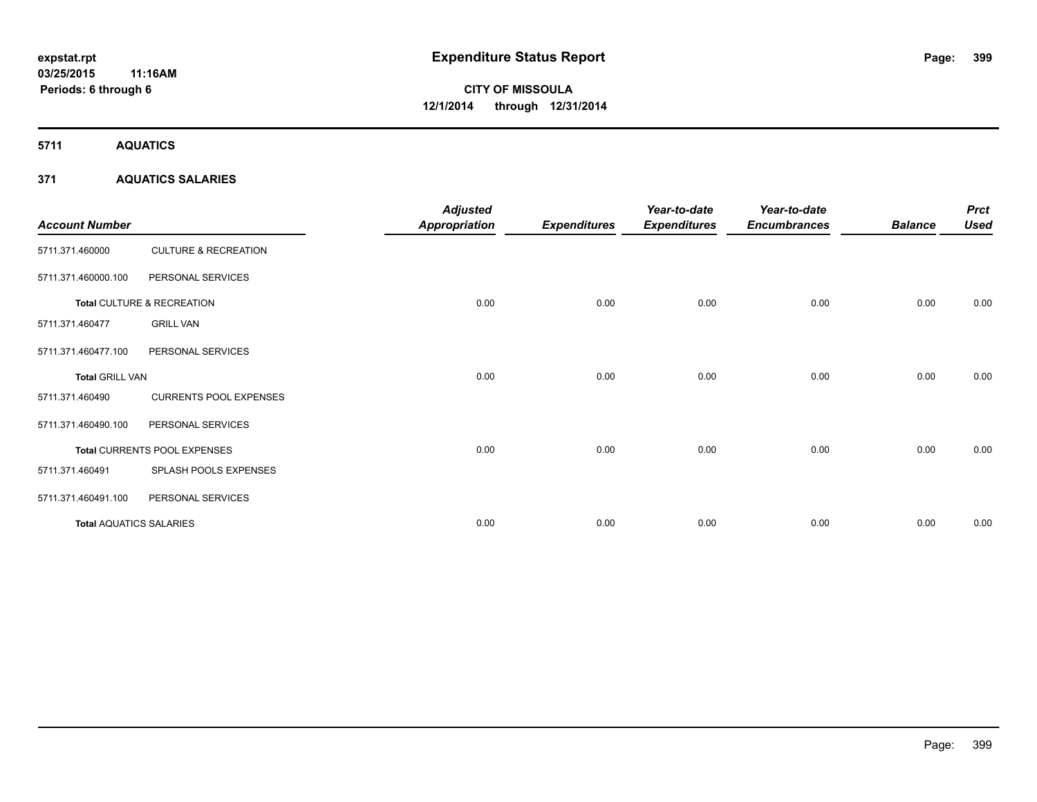**5711 AQUATICS**

### **371 AQUATICS SALARIES**

| <b>Account Number</b>          |                                 | <b>Adjusted</b><br><b>Appropriation</b> | <b>Expenditures</b> | Year-to-date<br><b>Expenditures</b> | Year-to-date<br><b>Encumbrances</b> | <b>Balance</b> | <b>Prct</b><br><b>Used</b> |
|--------------------------------|---------------------------------|-----------------------------------------|---------------------|-------------------------------------|-------------------------------------|----------------|----------------------------|
| 5711.371.460000                | <b>CULTURE &amp; RECREATION</b> |                                         |                     |                                     |                                     |                |                            |
| 5711.371.460000.100            | PERSONAL SERVICES               |                                         |                     |                                     |                                     |                |                            |
|                                | Total CULTURE & RECREATION      | 0.00                                    | 0.00                | 0.00                                | 0.00                                | 0.00           | 0.00                       |
| 5711.371.460477                | <b>GRILL VAN</b>                |                                         |                     |                                     |                                     |                |                            |
| 5711.371.460477.100            | PERSONAL SERVICES               |                                         |                     |                                     |                                     |                |                            |
| <b>Total GRILL VAN</b>         |                                 | 0.00                                    | 0.00                | 0.00                                | 0.00                                | 0.00           | 0.00                       |
| 5711.371.460490                | <b>CURRENTS POOL EXPENSES</b>   |                                         |                     |                                     |                                     |                |                            |
| 5711.371.460490.100            | PERSONAL SERVICES               |                                         |                     |                                     |                                     |                |                            |
|                                | Total CURRENTS POOL EXPENSES    | 0.00                                    | 0.00                | 0.00                                | 0.00                                | 0.00           | 0.00                       |
| 5711.371.460491                | SPLASH POOLS EXPENSES           |                                         |                     |                                     |                                     |                |                            |
| 5711.371.460491.100            | PERSONAL SERVICES               |                                         |                     |                                     |                                     |                |                            |
| <b>Total AQUATICS SALARIES</b> |                                 | 0.00                                    | 0.00                | 0.00                                | 0.00                                | 0.00           | 0.00                       |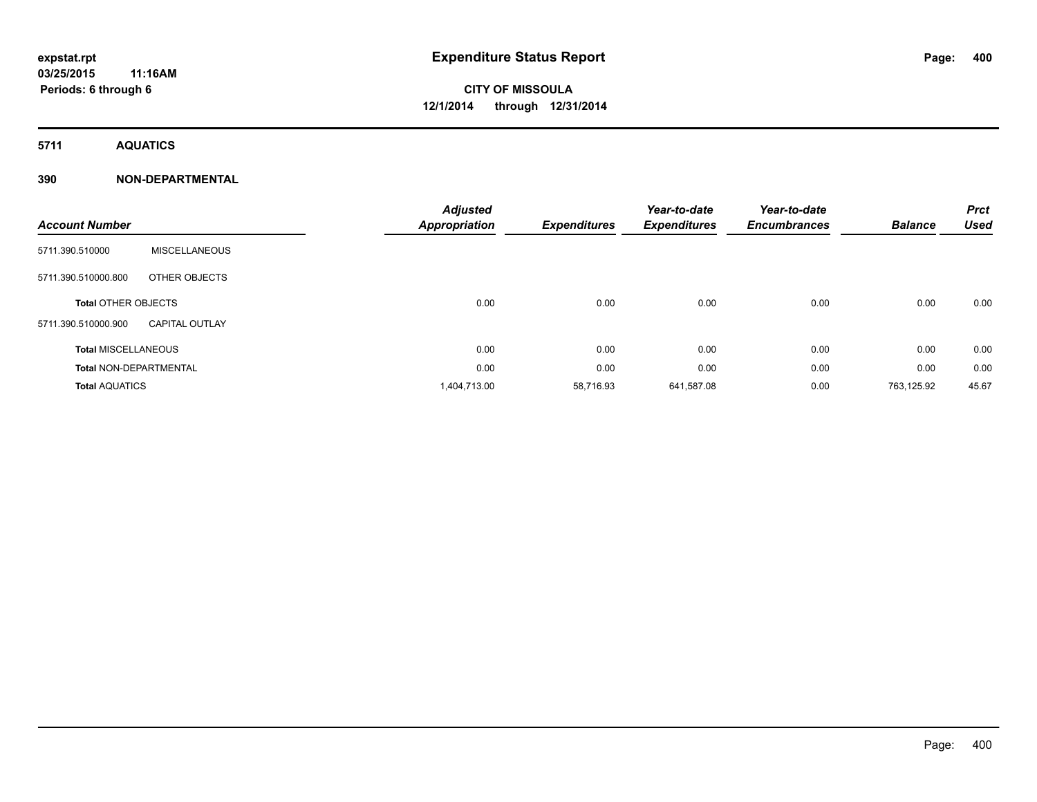**5711 AQUATICS**

| <b>Account Number</b>      |                               | <b>Adjusted</b><br><b>Appropriation</b> | <b>Expenditures</b> | Year-to-date<br><b>Expenditures</b> | Year-to-date<br><b>Encumbrances</b> | <b>Balance</b> | <b>Prct</b><br><b>Used</b> |
|----------------------------|-------------------------------|-----------------------------------------|---------------------|-------------------------------------|-------------------------------------|----------------|----------------------------|
| 5711.390.510000            | <b>MISCELLANEOUS</b>          |                                         |                     |                                     |                                     |                |                            |
| 5711.390.510000.800        | OTHER OBJECTS                 |                                         |                     |                                     |                                     |                |                            |
| <b>Total OTHER OBJECTS</b> |                               | 0.00                                    | 0.00                | 0.00                                | 0.00                                | 0.00           | 0.00                       |
| 5711.390.510000.900        | <b>CAPITAL OUTLAY</b>         |                                         |                     |                                     |                                     |                |                            |
| <b>Total MISCELLANEOUS</b> |                               | 0.00                                    | 0.00                | 0.00                                | 0.00                                | 0.00           | 0.00                       |
|                            | <b>Total NON-DEPARTMENTAL</b> | 0.00                                    | 0.00                | 0.00                                | 0.00                                | 0.00           | 0.00                       |
| <b>Total AQUATICS</b>      |                               | 1,404,713.00                            | 58,716.93           | 641,587.08                          | 0.00                                | 763,125.92     | 45.67                      |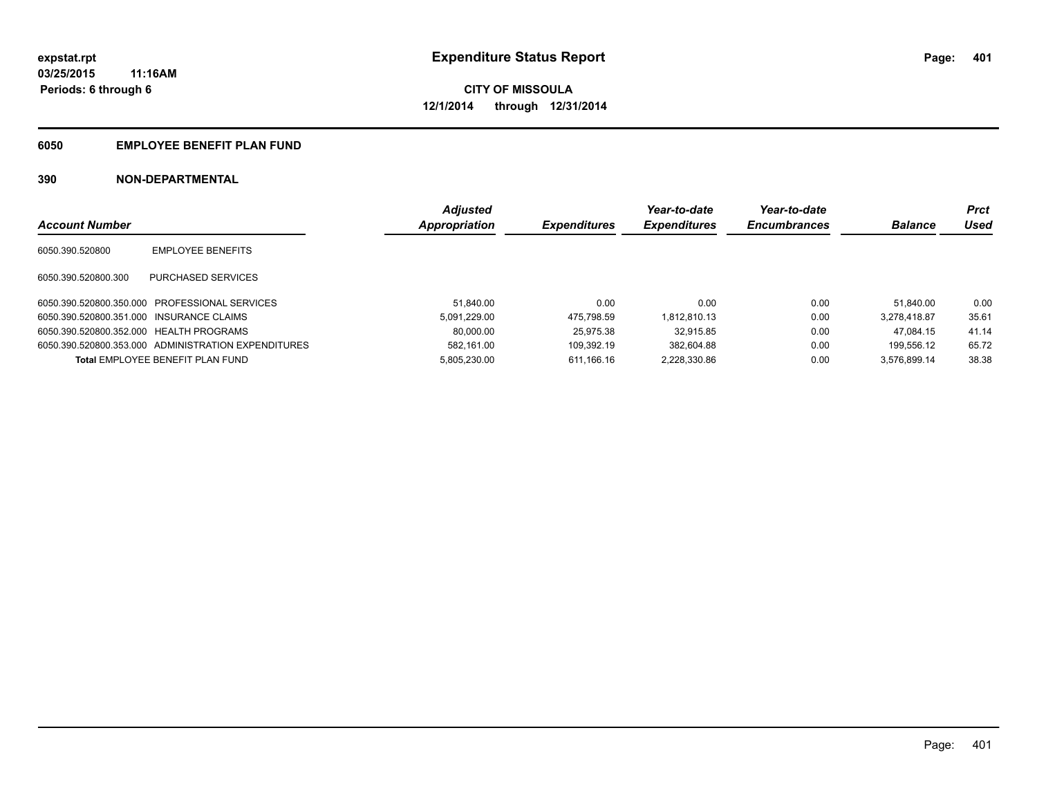### **6050 EMPLOYEE BENEFIT PLAN FUND**

|                                          |                                                     | <b>Adjusted</b> |                     | Year-to-date        | Year-to-date        |                | Prct  |
|------------------------------------------|-----------------------------------------------------|-----------------|---------------------|---------------------|---------------------|----------------|-------|
| <b>Account Number</b>                    |                                                     | Appropriation   | <b>Expenditures</b> | <b>Expenditures</b> | <b>Encumbrances</b> | <b>Balance</b> | Used  |
| 6050.390.520800                          | <b>EMPLOYEE BENEFITS</b>                            |                 |                     |                     |                     |                |       |
| 6050.390.520800.300                      | PURCHASED SERVICES                                  |                 |                     |                     |                     |                |       |
|                                          | 6050.390.520800.350.000 PROFESSIONAL SERVICES       | 51.840.00       | 0.00                | 0.00                | 0.00                | 51.840.00      | 0.00  |
| 6050.390.520800.351.000 INSURANCE CLAIMS |                                                     | 5.091.229.00    | 475.798.59          | 1.812.810.13        | 0.00                | 3.278.418.87   | 35.61 |
| 6050.390.520800.352.000 HEALTH PROGRAMS  |                                                     | 80,000.00       | 25.975.38           | 32.915.85           | 0.00                | 47.084.15      | 41.14 |
|                                          | 6050.390.520800.353.000 ADMINISTRATION EXPENDITURES | 582.161.00      | 109.392.19          | 382.604.88          | 0.00                | 199.556.12     | 65.72 |
|                                          | Total EMPLOYEE BENEFIT PLAN FUND                    | 5.805.230.00    | 611.166.16          | 2.228.330.86        | 0.00                | 3.576.899.14   | 38.38 |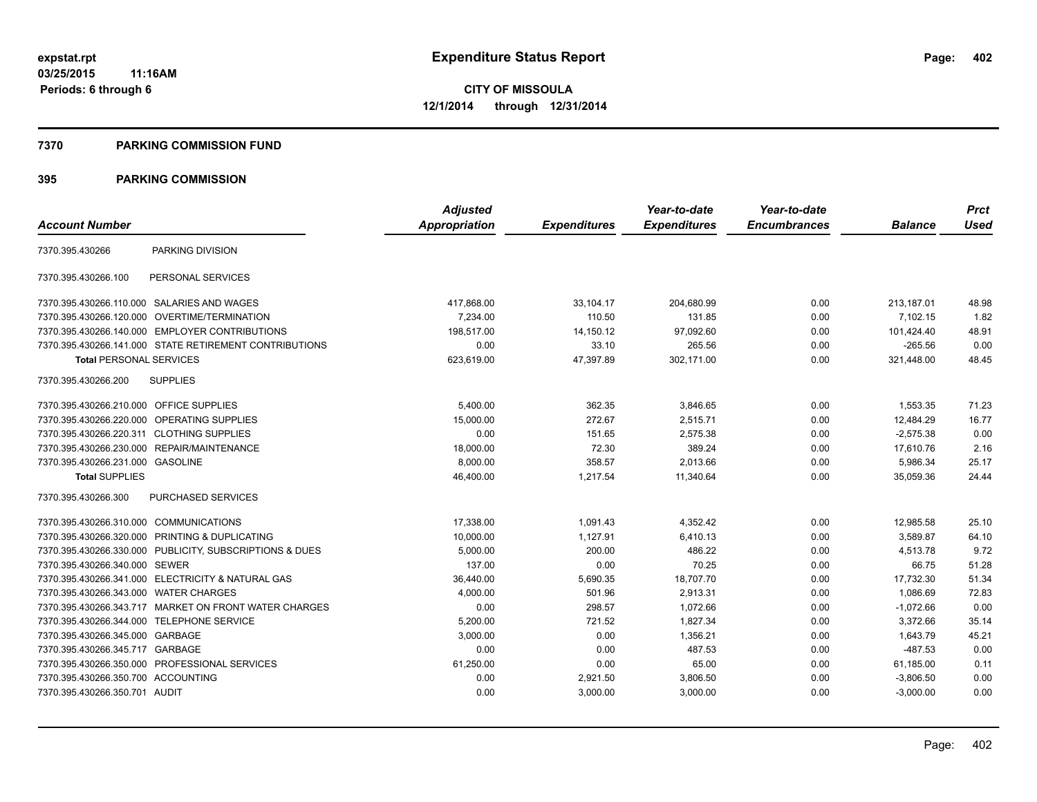#### **7370 PARKING COMMISSION FUND**

|                                            |                                                         | <b>Adjusted</b> |                     | Year-to-date        | Year-to-date        |                | <b>Prct</b> |
|--------------------------------------------|---------------------------------------------------------|-----------------|---------------------|---------------------|---------------------|----------------|-------------|
| <b>Account Number</b>                      |                                                         | Appropriation   | <b>Expenditures</b> | <b>Expenditures</b> | <b>Encumbrances</b> | <b>Balance</b> | <b>Used</b> |
| 7370.395.430266                            | PARKING DIVISION                                        |                 |                     |                     |                     |                |             |
| 7370.395.430266.100                        | PERSONAL SERVICES                                       |                 |                     |                     |                     |                |             |
| 7370.395.430266.110.000 SALARIES AND WAGES |                                                         | 417.868.00      | 33,104.17           | 204,680.99          | 0.00                | 213.187.01     | 48.98       |
| 7370.395.430266.120.000                    | OVERTIME/TERMINATION                                    | 7,234.00        | 110.50              | 131.85              | 0.00                | 7,102.15       | 1.82        |
|                                            | 7370.395.430266.140.000 EMPLOYER CONTRIBUTIONS          | 198,517.00      | 14,150.12           | 97,092.60           | 0.00                | 101,424.40     | 48.91       |
|                                            | 7370.395.430266.141.000 STATE RETIREMENT CONTRIBUTIONS  | 0.00            | 33.10               | 265.56              | 0.00                | $-265.56$      | 0.00        |
| <b>Total PERSONAL SERVICES</b>             |                                                         | 623,619.00      | 47,397.89           | 302,171.00          | 0.00                | 321,448.00     | 48.45       |
| 7370.395.430266.200                        | <b>SUPPLIES</b>                                         |                 |                     |                     |                     |                |             |
| 7370.395.430266.210.000 OFFICE SUPPLIES    |                                                         | 5,400.00        | 362.35              | 3,846.65            | 0.00                | 1,553.35       | 71.23       |
| 7370.395.430266.220.000 OPERATING SUPPLIES |                                                         | 15,000.00       | 272.67              | 2,515.71            | 0.00                | 12,484.29      | 16.77       |
| 7370.395.430266.220.311 CLOTHING SUPPLIES  |                                                         | 0.00            | 151.65              | 2,575.38            | 0.00                | $-2,575.38$    | 0.00        |
|                                            | 7370.395.430266.230.000 REPAIR/MAINTENANCE              | 18,000.00       | 72.30               | 389.24              | 0.00                | 17,610.76      | 2.16        |
| 7370.395.430266.231.000 GASOLINE           |                                                         | 8,000.00        | 358.57              | 2,013.66            | 0.00                | 5,986.34       | 25.17       |
| <b>Total SUPPLIES</b>                      |                                                         | 46,400.00       | 1,217.54            | 11,340.64           | 0.00                | 35,059.36      | 24.44       |
| 7370.395.430266.300                        | PURCHASED SERVICES                                      |                 |                     |                     |                     |                |             |
| 7370.395.430266.310.000 COMMUNICATIONS     |                                                         | 17,338.00       | 1,091.43            | 4,352.42            | 0.00                | 12,985.58      | 25.10       |
|                                            | 7370.395.430266.320.000 PRINTING & DUPLICATING          | 10,000.00       | 1,127.91            | 6,410.13            | 0.00                | 3.589.87       | 64.10       |
|                                            | 7370.395.430266.330.000 PUBLICITY, SUBSCRIPTIONS & DUES | 5,000.00        | 200.00              | 486.22              | 0.00                | 4,513.78       | 9.72        |
| 7370.395.430266.340.000 SEWER              |                                                         | 137.00          | 0.00                | 70.25               | 0.00                | 66.75          | 51.28       |
|                                            | 7370.395.430266.341.000 ELECTRICITY & NATURAL GAS       | 36,440.00       | 5,690.35            | 18,707.70           | 0.00                | 17,732.30      | 51.34       |
| 7370.395.430266.343.000                    | <b>WATER CHARGES</b>                                    | 4,000.00        | 501.96              | 2,913.31            | 0.00                | 1,086.69       | 72.83       |
|                                            | 7370.395.430266.343.717 MARKET ON FRONT WATER CHARGES   | 0.00            | 298.57              | 1,072.66            | 0.00                | $-1,072.66$    | 0.00        |
| 7370.395.430266.344.000                    | <b>TELEPHONE SERVICE</b>                                | 5.200.00        | 721.52              | 1,827.34            | 0.00                | 3,372.66       | 35.14       |
| 7370.395.430266.345.000                    | GARBAGE                                                 | 3,000.00        | 0.00                | 1,356.21            | 0.00                | 1,643.79       | 45.21       |
| 7370.395.430266.345.717                    | GARBAGE                                                 | 0.00            | 0.00                | 487.53              | 0.00                | $-487.53$      | 0.00        |
|                                            | 7370.395.430266.350.000 PROFESSIONAL SERVICES           | 61,250.00       | 0.00                | 65.00               | 0.00                | 61,185.00      | 0.11        |
| 7370.395.430266.350.700 ACCOUNTING         |                                                         | 0.00            | 2,921.50            | 3,806.50            | 0.00                | $-3,806.50$    | 0.00        |
| 7370.395.430266.350.701 AUDIT              |                                                         | 0.00            | 3,000.00            | 3,000.00            | 0.00                | $-3,000.00$    | 0.00        |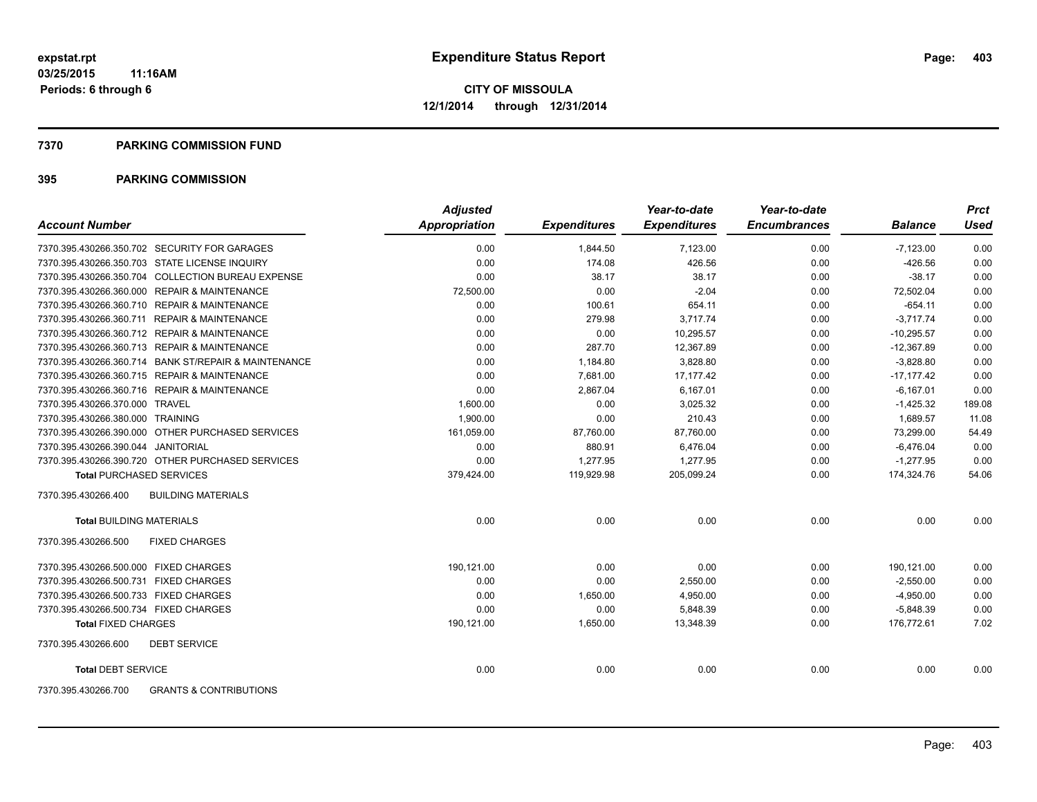#### **7370 PARKING COMMISSION FUND**

| <b>Account Number</b>                                    | <b>Adjusted</b><br>Appropriation | <b>Expenditures</b> | Year-to-date<br><b>Expenditures</b> | Year-to-date<br><b>Encumbrances</b> | <b>Balance</b> | <b>Prct</b><br><b>Used</b> |
|----------------------------------------------------------|----------------------------------|---------------------|-------------------------------------|-------------------------------------|----------------|----------------------------|
|                                                          |                                  |                     |                                     |                                     |                |                            |
| 7370.395.430266.350.702 SECURITY FOR GARAGES             | 0.00                             | 1,844.50            | 7,123.00                            | 0.00                                | $-7,123.00$    | 0.00                       |
| 7370.395.430266.350.703 STATE LICENSE INQUIRY            | 0.00                             | 174.08              | 426.56                              | 0.00                                | $-426.56$      | 0.00                       |
| 7370.395.430266.350.704 COLLECTION BUREAU EXPENSE        | 0.00                             | 38.17               | 38.17                               | 0.00                                | $-38.17$       | 0.00                       |
| 7370.395.430266.360.000 REPAIR & MAINTENANCE             | 72,500.00                        | 0.00                | $-2.04$                             | 0.00                                | 72,502.04      | 0.00                       |
| 7370.395.430266.360.710 REPAIR & MAINTENANCE             | 0.00                             | 100.61              | 654.11                              | 0.00                                | $-654.11$      | 0.00                       |
| 7370.395.430266.360.711 REPAIR & MAINTENANCE             | 0.00                             | 279.98              | 3,717.74                            | 0.00                                | $-3.717.74$    | 0.00                       |
| 7370.395.430266.360.712 REPAIR & MAINTENANCE             | 0.00                             | 0.00                | 10,295.57                           | 0.00                                | $-10,295.57$   | 0.00                       |
| 7370.395.430266.360.713 REPAIR & MAINTENANCE             | 0.00                             | 287.70              | 12,367.89                           | 0.00                                | $-12,367.89$   | 0.00                       |
| 7370.395.430266.360.714 BANK ST/REPAIR & MAINTENANCE     | 0.00                             | 1,184.80            | 3,828.80                            | 0.00                                | $-3,828.80$    | 0.00                       |
| 7370.395.430266.360.715 REPAIR & MAINTENANCE             | 0.00                             | 7,681.00            | 17.177.42                           | 0.00                                | $-17,177.42$   | 0.00                       |
| 7370.395.430266.360.716 REPAIR & MAINTENANCE             | 0.00                             | 2,867.04            | 6,167.01                            | 0.00                                | $-6,167.01$    | 0.00                       |
| 7370.395.430266.370.000 TRAVEL                           | 1,600.00                         | 0.00                | 3,025.32                            | 0.00                                | $-1,425.32$    | 189.08                     |
| 7370.395.430266.380.000 TRAINING                         | 1.900.00                         | 0.00                | 210.43                              | 0.00                                | 1.689.57       | 11.08                      |
| 7370.395.430266.390.000 OTHER PURCHASED SERVICES         | 161,059.00                       | 87,760.00           | 87,760.00                           | 0.00                                | 73,299.00      | 54.49                      |
| 7370.395.430266.390.044 JANITORIAL                       | 0.00                             | 880.91              | 6,476.04                            | 0.00                                | $-6,476.04$    | 0.00                       |
| 7370.395.430266.390.720 OTHER PURCHASED SERVICES         | 0.00                             | 1,277.95            | 1,277.95                            | 0.00                                | $-1,277.95$    | 0.00                       |
| <b>Total PURCHASED SERVICES</b>                          | 379,424.00                       | 119,929.98          | 205,099.24                          | 0.00                                | 174,324.76     | 54.06                      |
| <b>BUILDING MATERIALS</b><br>7370.395.430266.400         |                                  |                     |                                     |                                     |                |                            |
| <b>Total BUILDING MATERIALS</b>                          | 0.00                             | 0.00                | 0.00                                | 0.00                                | 0.00           | 0.00                       |
| 7370.395.430266.500<br><b>FIXED CHARGES</b>              |                                  |                     |                                     |                                     |                |                            |
| 7370.395.430266.500.000 FIXED CHARGES                    | 190,121.00                       | 0.00                | 0.00                                | 0.00                                | 190,121.00     | 0.00                       |
| 7370.395.430266.500.731 FIXED CHARGES                    | 0.00                             | 0.00                | 2,550.00                            | 0.00                                | $-2,550.00$    | 0.00                       |
| 7370.395.430266.500.733 FIXED CHARGES                    | 0.00                             | 1,650.00            | 4,950.00                            | 0.00                                | $-4,950.00$    | 0.00                       |
| 7370.395.430266.500.734 FIXED CHARGES                    | 0.00                             | 0.00                | 5,848.39                            | 0.00                                | $-5,848.39$    | 0.00                       |
| <b>Total FIXED CHARGES</b>                               | 190,121.00                       | 1,650.00            | 13.348.39                           | 0.00                                | 176.772.61     | 7.02                       |
| 7370.395.430266.600<br><b>DEBT SERVICE</b>               |                                  |                     |                                     |                                     |                |                            |
| <b>Total DEBT SERVICE</b>                                | 0.00                             | 0.00                | 0.00                                | 0.00                                | 0.00           | 0.00                       |
| 7370.395.430266.700<br><b>GRANTS &amp; CONTRIBUTIONS</b> |                                  |                     |                                     |                                     |                |                            |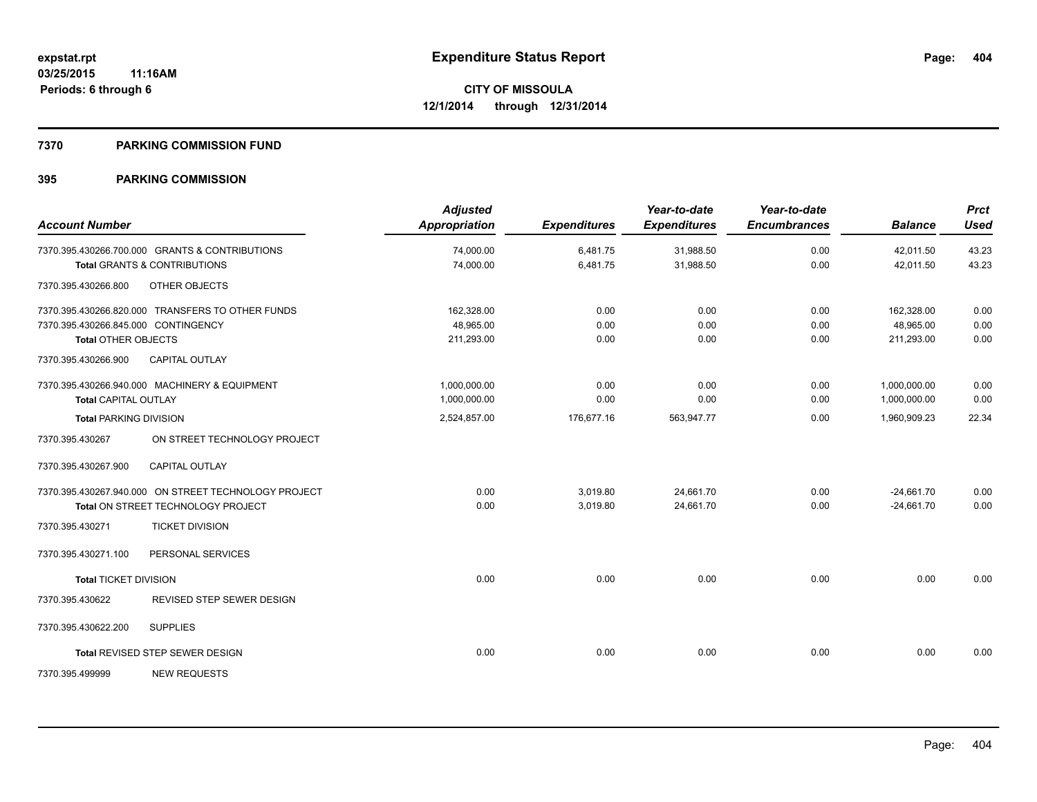### **7370 PARKING COMMISSION FUND**

| <b>Account Number</b>                                             |                                                                                            | <b>Adjusted</b><br><b>Appropriation</b> | <b>Expenditures</b>  | Year-to-date<br><b>Expenditures</b> | Year-to-date<br><b>Encumbrances</b> | <b>Balance</b>                        | <b>Prct</b><br><b>Used</b> |
|-------------------------------------------------------------------|--------------------------------------------------------------------------------------------|-----------------------------------------|----------------------|-------------------------------------|-------------------------------------|---------------------------------------|----------------------------|
|                                                                   | 7370.395.430266.700.000 GRANTS & CONTRIBUTIONS<br><b>Total GRANTS &amp; CONTRIBUTIONS</b>  | 74.000.00<br>74,000.00                  | 6,481.75<br>6,481.75 | 31,988.50<br>31,988.50              | 0.00<br>0.00                        | 42,011.50<br>42,011.50                | 43.23<br>43.23             |
| 7370.395.430266.800                                               | OTHER OBJECTS                                                                              |                                         |                      |                                     |                                     |                                       |                            |
| 7370.395.430266.845.000 CONTINGENCY<br><b>Total OTHER OBJECTS</b> | 7370.395.430266.820.000 TRANSFERS TO OTHER FUNDS                                           | 162,328.00<br>48,965.00<br>211,293.00   | 0.00<br>0.00<br>0.00 | 0.00<br>0.00<br>0.00                | 0.00<br>0.00<br>0.00                | 162,328.00<br>48,965.00<br>211,293.00 | 0.00<br>0.00<br>0.00       |
| 7370.395.430266.900                                               | <b>CAPITAL OUTLAY</b>                                                                      |                                         |                      |                                     |                                     |                                       |                            |
| <b>Total CAPITAL OUTLAY</b>                                       | 7370.395.430266.940.000 MACHINERY & EQUIPMENT                                              | 1,000,000.00<br>1,000,000.00            | 0.00<br>0.00         | 0.00<br>0.00                        | 0.00<br>0.00                        | 1,000,000.00<br>1,000,000.00          | 0.00<br>0.00               |
| <b>Total PARKING DIVISION</b>                                     |                                                                                            | 2,524,857.00                            | 176.677.16           | 563,947.77                          | 0.00                                | 1,960,909.23                          | 22.34                      |
| 7370.395.430267                                                   | ON STREET TECHNOLOGY PROJECT                                                               |                                         |                      |                                     |                                     |                                       |                            |
| 7370.395.430267.900                                               | <b>CAPITAL OUTLAY</b>                                                                      |                                         |                      |                                     |                                     |                                       |                            |
|                                                                   | 7370.395.430267.940.000 ON STREET TECHNOLOGY PROJECT<br>Total ON STREET TECHNOLOGY PROJECT | 0.00<br>0.00                            | 3.019.80<br>3,019.80 | 24.661.70<br>24,661.70              | 0.00<br>0.00                        | $-24.661.70$<br>$-24,661.70$          | 0.00<br>0.00               |
| 7370.395.430271                                                   | <b>TICKET DIVISION</b>                                                                     |                                         |                      |                                     |                                     |                                       |                            |
| 7370.395.430271.100                                               | PERSONAL SERVICES                                                                          |                                         |                      |                                     |                                     |                                       |                            |
| <b>Total TICKET DIVISION</b>                                      |                                                                                            | 0.00                                    | 0.00                 | 0.00                                | 0.00                                | 0.00                                  | 0.00                       |
| 7370.395.430622                                                   | REVISED STEP SEWER DESIGN                                                                  |                                         |                      |                                     |                                     |                                       |                            |
| 7370.395.430622.200                                               | <b>SUPPLIES</b>                                                                            |                                         |                      |                                     |                                     |                                       |                            |
|                                                                   | <b>Total REVISED STEP SEWER DESIGN</b>                                                     | 0.00                                    | 0.00                 | 0.00                                | 0.00                                | 0.00                                  | 0.00                       |
| 7370.395.499999                                                   | <b>NEW REQUESTS</b>                                                                        |                                         |                      |                                     |                                     |                                       |                            |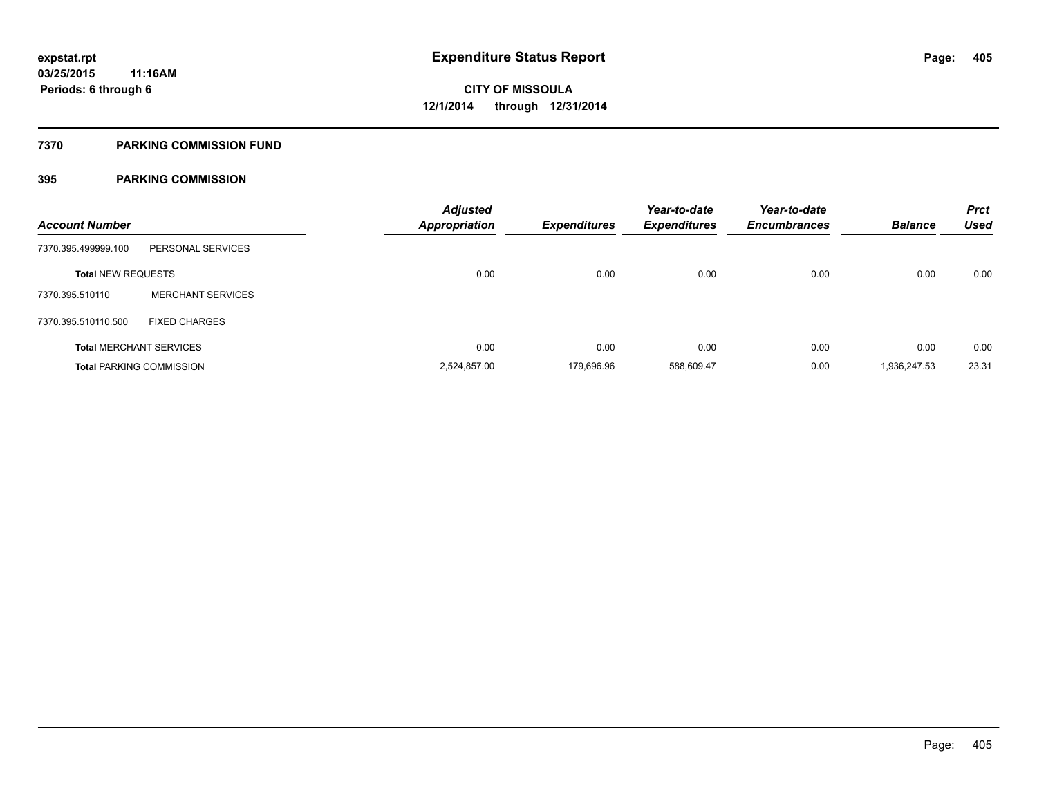### **7370 PARKING COMMISSION FUND**

| <b>Account Number</b>     |                                 | <b>Adjusted</b><br>Appropriation | <b>Expenditures</b> | Year-to-date<br><b>Expenditures</b> | Year-to-date<br><b>Encumbrances</b> | <b>Balance</b> | <b>Prct</b><br><b>Used</b> |
|---------------------------|---------------------------------|----------------------------------|---------------------|-------------------------------------|-------------------------------------|----------------|----------------------------|
| 7370.395.499999.100       | PERSONAL SERVICES               |                                  |                     |                                     |                                     |                |                            |
| <b>Total NEW REQUESTS</b> |                                 | 0.00                             | 0.00                | 0.00                                | 0.00                                | 0.00           | 0.00                       |
| 7370.395.510110           | <b>MERCHANT SERVICES</b>        |                                  |                     |                                     |                                     |                |                            |
| 7370.395.510110.500       | <b>FIXED CHARGES</b>            |                                  |                     |                                     |                                     |                |                            |
|                           | <b>Total MERCHANT SERVICES</b>  | 0.00                             | 0.00                | 0.00                                | 0.00                                | 0.00           | 0.00                       |
|                           | <b>Total PARKING COMMISSION</b> | 2,524,857.00                     | 179.696.96          | 588,609.47                          | 0.00                                | 1,936,247.53   | 23.31                      |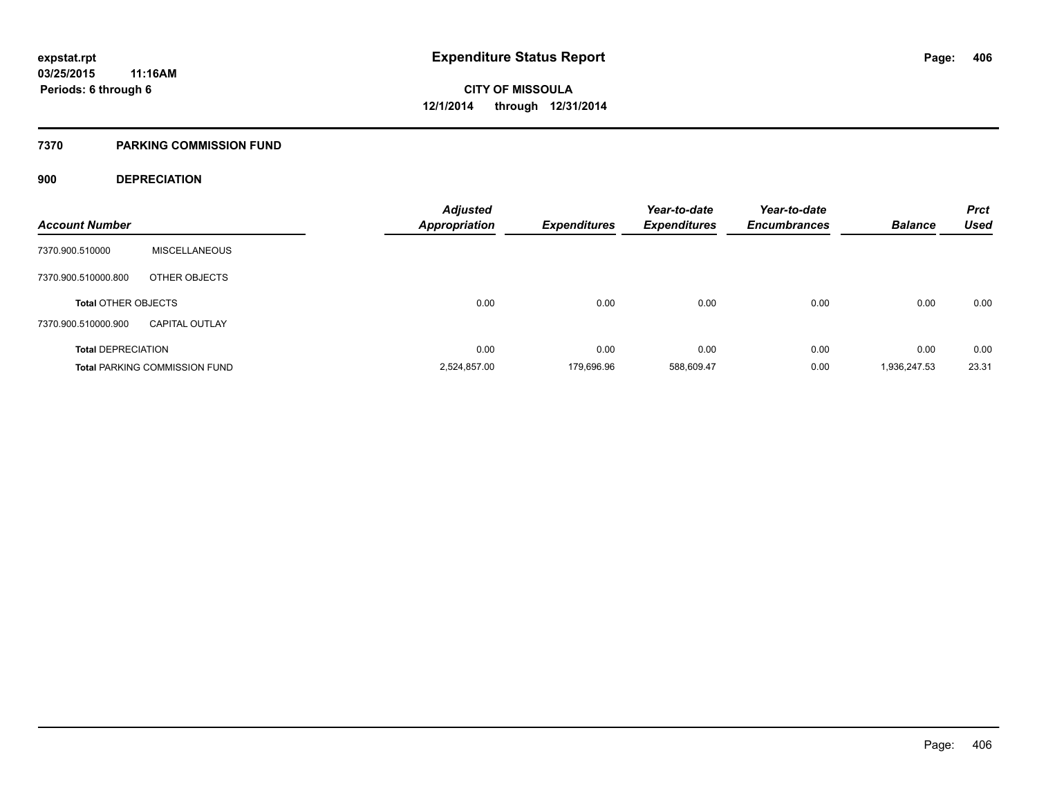### **7370 PARKING COMMISSION FUND**

### **900 DEPRECIATION**

| <b>Account Number</b>      |                                      | <b>Adjusted</b><br><b>Appropriation</b> | <b>Expenditures</b> | Year-to-date<br><b>Expenditures</b> | Year-to-date<br><b>Encumbrances</b> | <b>Balance</b> | <b>Prct</b><br><b>Used</b> |
|----------------------------|--------------------------------------|-----------------------------------------|---------------------|-------------------------------------|-------------------------------------|----------------|----------------------------|
|                            |                                      |                                         |                     |                                     |                                     |                |                            |
| 7370.900.510000            | <b>MISCELLANEOUS</b>                 |                                         |                     |                                     |                                     |                |                            |
| 7370.900.510000.800        | OTHER OBJECTS                        |                                         |                     |                                     |                                     |                |                            |
| <b>Total OTHER OBJECTS</b> |                                      | 0.00                                    | 0.00                | 0.00                                | 0.00                                | 0.00           | 0.00                       |
| 7370.900.510000.900        | <b>CAPITAL OUTLAY</b>                |                                         |                     |                                     |                                     |                |                            |
| <b>Total DEPRECIATION</b>  |                                      | 0.00                                    | 0.00                | 0.00                                | 0.00                                | 0.00           | 0.00                       |
|                            | <b>Total PARKING COMMISSION FUND</b> | 2,524,857.00                            | 179.696.96          | 588.609.47                          | 0.00                                | 1,936,247.53   | 23.31                      |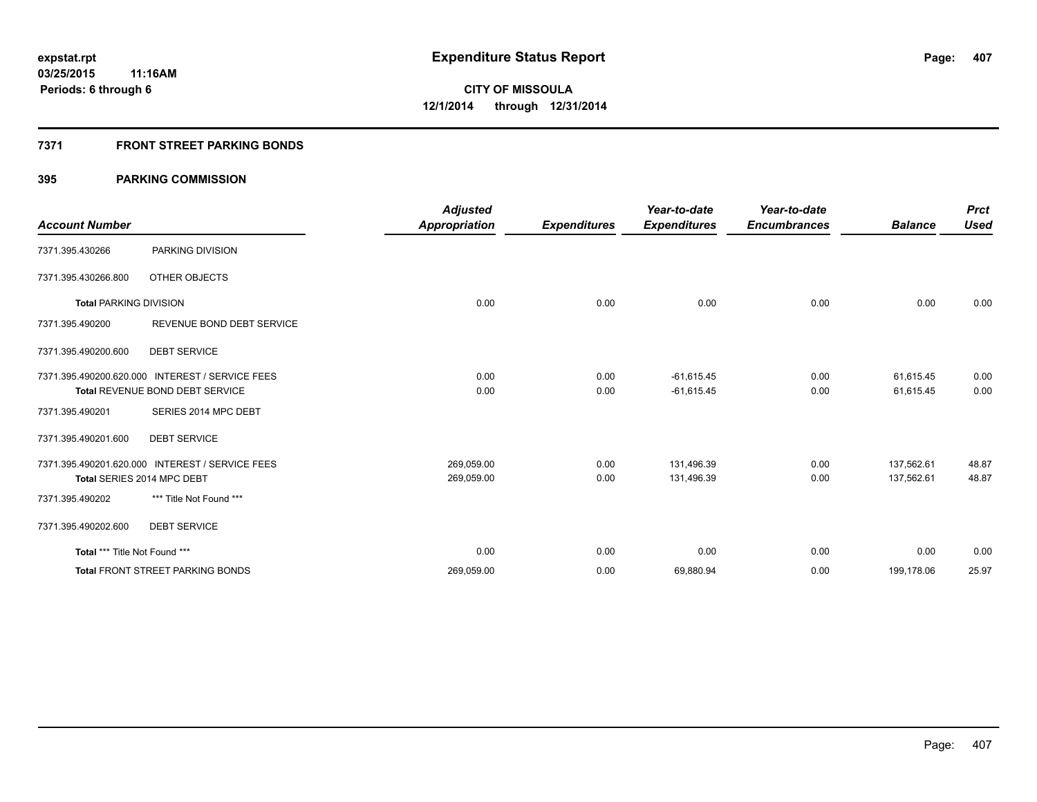### **7371 FRONT STREET PARKING BONDS**

|                               |                                                 | <b>Adjusted</b>      |                     | Year-to-date        | Year-to-date        |                | <b>Prct</b> |
|-------------------------------|-------------------------------------------------|----------------------|---------------------|---------------------|---------------------|----------------|-------------|
| <b>Account Number</b>         |                                                 | <b>Appropriation</b> | <b>Expenditures</b> | <b>Expenditures</b> | <b>Encumbrances</b> | <b>Balance</b> | <b>Used</b> |
| 7371.395.430266               | PARKING DIVISION                                |                      |                     |                     |                     |                |             |
| 7371.395.430266.800           | OTHER OBJECTS                                   |                      |                     |                     |                     |                |             |
| <b>Total PARKING DIVISION</b> |                                                 | 0.00                 | 0.00                | 0.00                | 0.00                | 0.00           | 0.00        |
| 7371.395.490200               | REVENUE BOND DEBT SERVICE                       |                      |                     |                     |                     |                |             |
| 7371.395.490200.600           | <b>DEBT SERVICE</b>                             |                      |                     |                     |                     |                |             |
|                               | 7371.395.490200.620.000 INTEREST / SERVICE FEES | 0.00                 | 0.00                | $-61,615.45$        | 0.00                | 61,615.45      | 0.00        |
|                               | Total REVENUE BOND DEBT SERVICE                 | 0.00                 | 0.00                | $-61,615.45$        | 0.00                | 61,615.45      | 0.00        |
| 7371.395.490201               | SERIES 2014 MPC DEBT                            |                      |                     |                     |                     |                |             |
| 7371.395.490201.600           | <b>DEBT SERVICE</b>                             |                      |                     |                     |                     |                |             |
|                               | 7371.395.490201.620.000 INTEREST / SERVICE FEES | 269,059.00           | 0.00                | 131,496.39          | 0.00                | 137,562.61     | 48.87       |
|                               | Total SERIES 2014 MPC DEBT                      | 269,059.00           | 0.00                | 131,496.39          | 0.00                | 137,562.61     | 48.87       |
| 7371.395.490202               | *** Title Not Found ***                         |                      |                     |                     |                     |                |             |
| 7371.395.490202.600           | <b>DEBT SERVICE</b>                             |                      |                     |                     |                     |                |             |
| Total *** Title Not Found *** |                                                 | 0.00                 | 0.00                | 0.00                | 0.00                | 0.00           | 0.00        |
|                               | <b>Total FRONT STREET PARKING BONDS</b>         | 269,059.00           | 0.00                | 69,880.94           | 0.00                | 199,178.06     | 25.97       |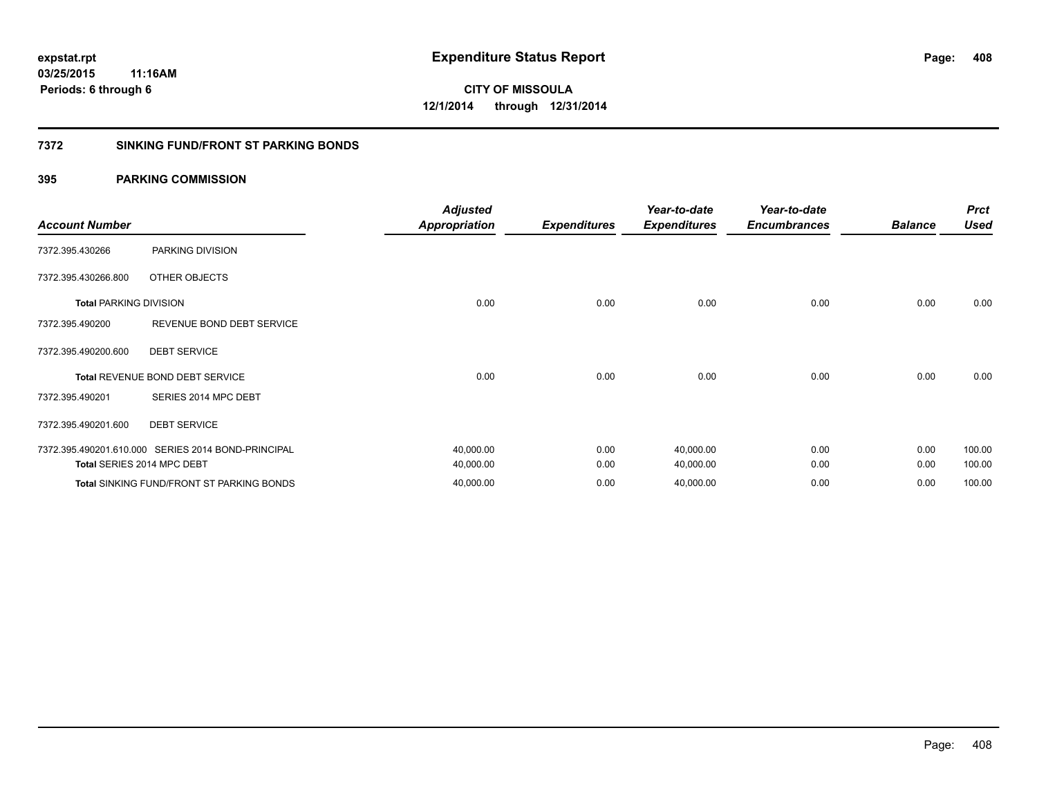### **7372 SINKING FUND/FRONT ST PARKING BONDS**

| <b>Account Number</b>         |                                                    | <b>Adjusted</b><br><b>Appropriation</b> | <b>Expenditures</b> | Year-to-date<br><b>Expenditures</b> | Year-to-date<br><b>Encumbrances</b> | <b>Balance</b> | <b>Prct</b><br><b>Used</b> |
|-------------------------------|----------------------------------------------------|-----------------------------------------|---------------------|-------------------------------------|-------------------------------------|----------------|----------------------------|
| 7372.395.430266               | PARKING DIVISION                                   |                                         |                     |                                     |                                     |                |                            |
| 7372.395.430266.800           | OTHER OBJECTS                                      |                                         |                     |                                     |                                     |                |                            |
| <b>Total PARKING DIVISION</b> |                                                    | 0.00                                    | 0.00                | 0.00                                | 0.00                                | 0.00           | 0.00                       |
| 7372.395.490200               | REVENUE BOND DEBT SERVICE                          |                                         |                     |                                     |                                     |                |                            |
| 7372.395.490200.600           | <b>DEBT SERVICE</b>                                |                                         |                     |                                     |                                     |                |                            |
|                               | <b>Total REVENUE BOND DEBT SERVICE</b>             | 0.00                                    | 0.00                | 0.00                                | 0.00                                | 0.00           | 0.00                       |
| 7372.395.490201               | SERIES 2014 MPC DEBT                               |                                         |                     |                                     |                                     |                |                            |
| 7372.395.490201.600           | <b>DEBT SERVICE</b>                                |                                         |                     |                                     |                                     |                |                            |
|                               | 7372.395.490201.610.000 SERIES 2014 BOND-PRINCIPAL | 40,000.00                               | 0.00                | 40,000.00                           | 0.00                                | 0.00           | 100.00                     |
|                               | Total SERIES 2014 MPC DEBT                         | 40,000.00                               | 0.00                | 40,000.00                           | 0.00                                | 0.00           | 100.00                     |
|                               | <b>Total SINKING FUND/FRONT ST PARKING BONDS</b>   | 40,000.00                               | 0.00                | 40,000.00                           | 0.00                                | 0.00           | 100.00                     |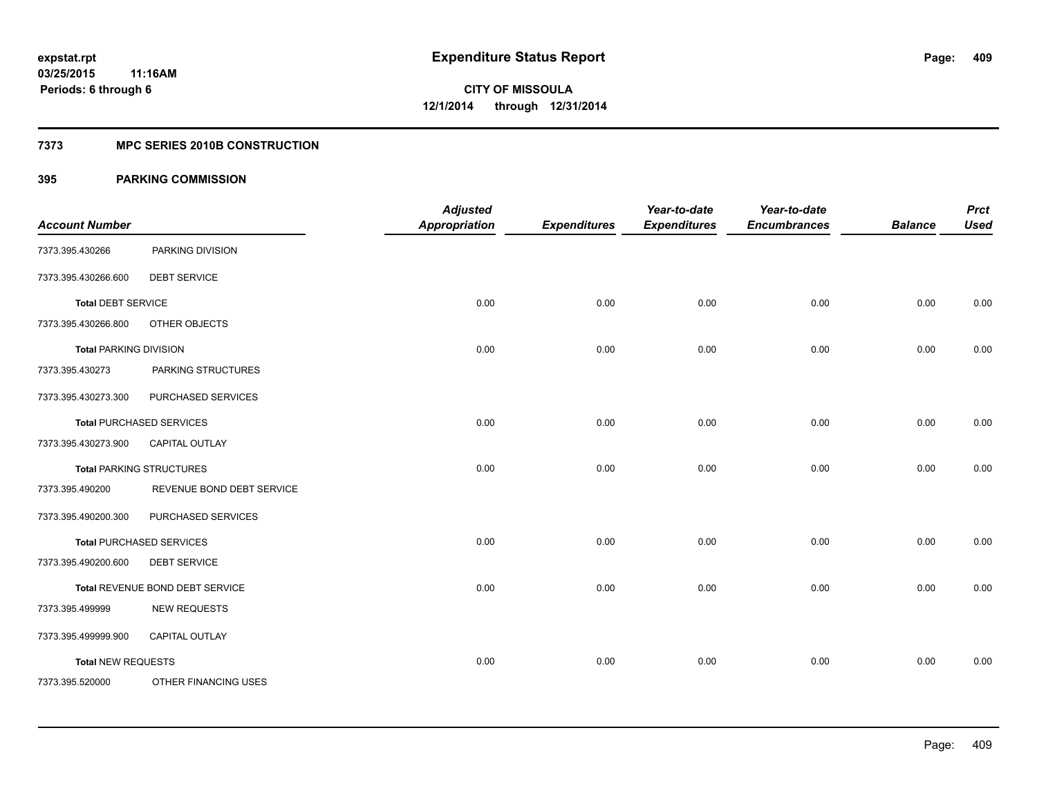### **7373 MPC SERIES 2010B CONSTRUCTION**

| <b>Account Number</b>         |                                 | <b>Adjusted</b><br><b>Appropriation</b> | <b>Expenditures</b> | Year-to-date<br><b>Expenditures</b> | Year-to-date<br><b>Encumbrances</b> | <b>Balance</b> | <b>Prct</b><br><b>Used</b> |
|-------------------------------|---------------------------------|-----------------------------------------|---------------------|-------------------------------------|-------------------------------------|----------------|----------------------------|
| 7373.395.430266               | PARKING DIVISION                |                                         |                     |                                     |                                     |                |                            |
| 7373.395.430266.600           | <b>DEBT SERVICE</b>             |                                         |                     |                                     |                                     |                |                            |
| <b>Total DEBT SERVICE</b>     |                                 | 0.00                                    | 0.00                | 0.00                                | 0.00                                | 0.00           | 0.00                       |
| 7373.395.430266.800           | OTHER OBJECTS                   |                                         |                     |                                     |                                     |                |                            |
| <b>Total PARKING DIVISION</b> |                                 | 0.00                                    | 0.00                | 0.00                                | 0.00                                | 0.00           | 0.00                       |
| 7373.395.430273               | PARKING STRUCTURES              |                                         |                     |                                     |                                     |                |                            |
| 7373.395.430273.300           | PURCHASED SERVICES              |                                         |                     |                                     |                                     |                |                            |
|                               | <b>Total PURCHASED SERVICES</b> | 0.00                                    | 0.00                | 0.00                                | 0.00                                | 0.00           | 0.00                       |
| 7373.395.430273.900           | <b>CAPITAL OUTLAY</b>           |                                         |                     |                                     |                                     |                |                            |
|                               | <b>Total PARKING STRUCTURES</b> | 0.00                                    | 0.00                | 0.00                                | 0.00                                | 0.00           | 0.00                       |
| 7373.395.490200               | REVENUE BOND DEBT SERVICE       |                                         |                     |                                     |                                     |                |                            |
| 7373.395.490200.300           | PURCHASED SERVICES              |                                         |                     |                                     |                                     |                |                            |
|                               | <b>Total PURCHASED SERVICES</b> | 0.00                                    | 0.00                | 0.00                                | 0.00                                | 0.00           | 0.00                       |
| 7373.395.490200.600           | <b>DEBT SERVICE</b>             |                                         |                     |                                     |                                     |                |                            |
|                               | Total REVENUE BOND DEBT SERVICE | 0.00                                    | 0.00                | 0.00                                | 0.00                                | 0.00           | 0.00                       |
| 7373.395.499999               | <b>NEW REQUESTS</b>             |                                         |                     |                                     |                                     |                |                            |
| 7373.395.499999.900           | CAPITAL OUTLAY                  |                                         |                     |                                     |                                     |                |                            |
| <b>Total NEW REQUESTS</b>     |                                 | 0.00                                    | 0.00                | 0.00                                | 0.00                                | 0.00           | 0.00                       |
| 7373.395.520000               | OTHER FINANCING USES            |                                         |                     |                                     |                                     |                |                            |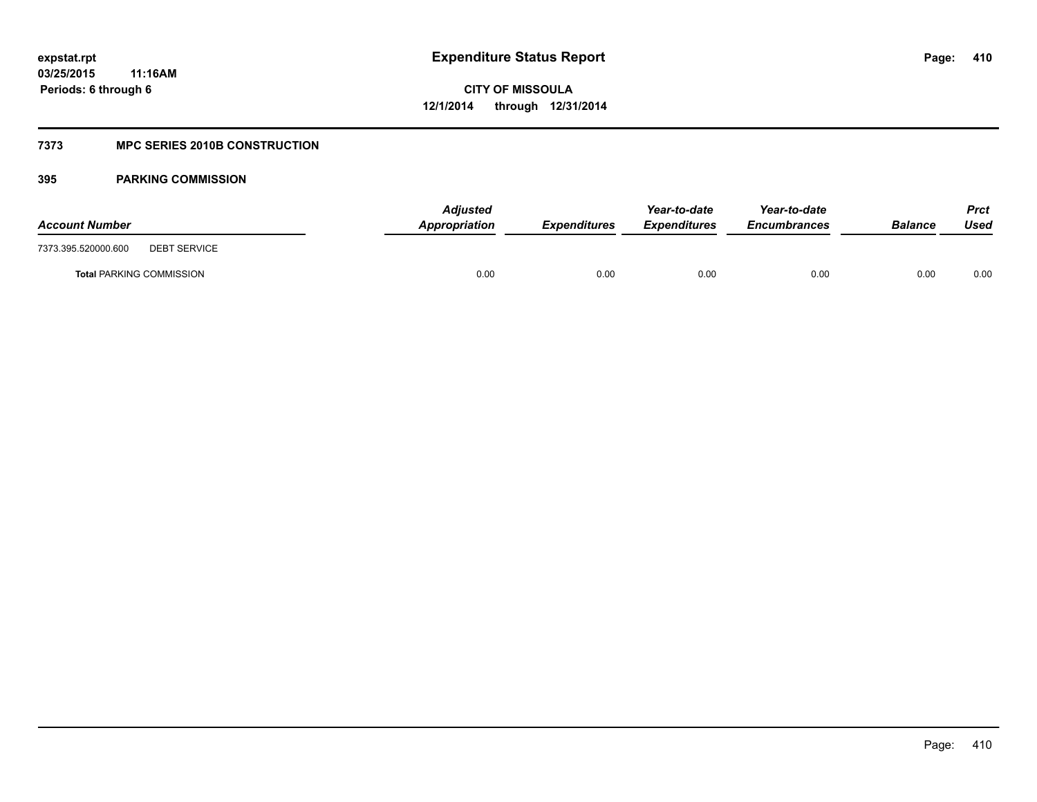### **7373 MPC SERIES 2010B CONSTRUCTION**

| <b>Account Number</b>                      | <b>Adjusted</b><br>Appropriation | <b>Expenditures</b> | Year-to-date<br><b>Expenditures</b> | Year-to-date<br><b>Encumbrances</b> | Balance | <b>Prct</b><br>Used |
|--------------------------------------------|----------------------------------|---------------------|-------------------------------------|-------------------------------------|---------|---------------------|
| 7373.395.520000.600<br><b>DEBT SERVICE</b> |                                  |                     |                                     |                                     |         |                     |
| <b>Total PARKING COMMISSION</b>            | 0.00                             | 0.00                | 0.00                                | 0.00                                | 0.00    | 0.00                |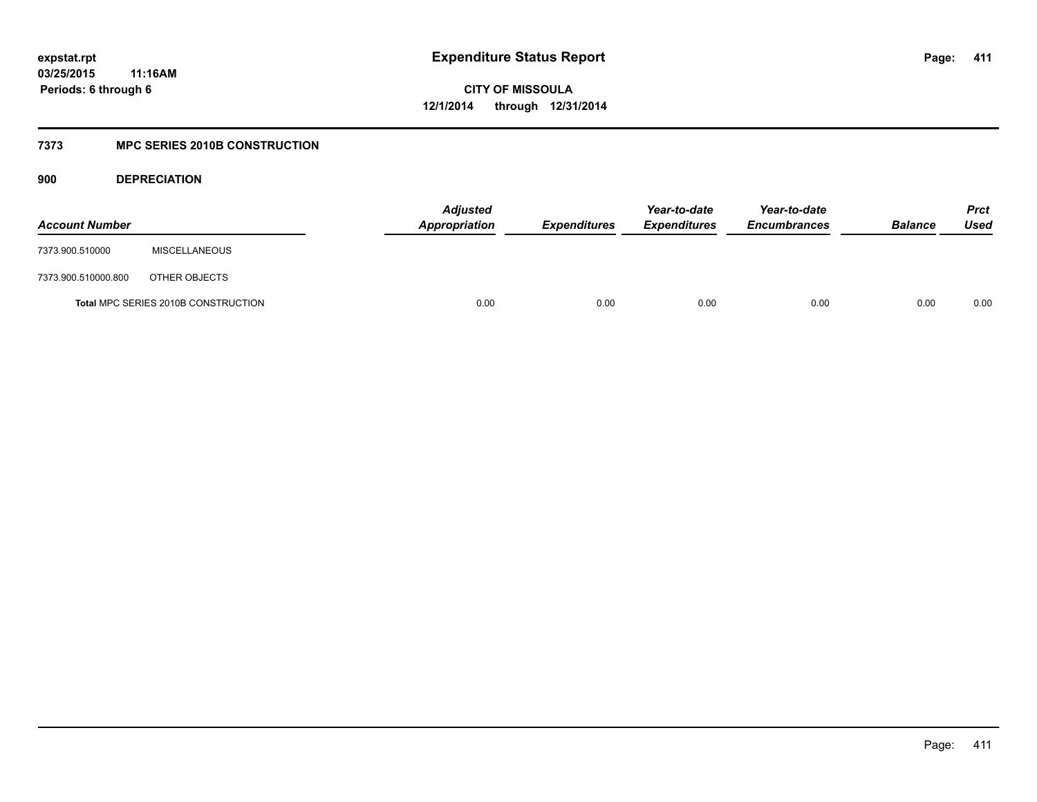**CITY OF MISSOULA 12/1/2014 through 12/31/2014**

## **7373 MPC SERIES 2010B CONSTRUCTION**

**900 DEPRECIATION**

| <b>Account Number</b> |                                     | <b>Adjusted</b><br>Appropriation | <b>Expenditures</b> | Year-to-date<br><b>Expenditures</b> | Year-to-date<br><b>Encumbrances</b> | <b>Balance</b> | <b>Prct</b><br>Used |
|-----------------------|-------------------------------------|----------------------------------|---------------------|-------------------------------------|-------------------------------------|----------------|---------------------|
| 7373.900.510000       | <b>MISCELLANEOUS</b>                |                                  |                     |                                     |                                     |                |                     |
| 7373.900.510000.800   | OTHER OBJECTS                       |                                  |                     |                                     |                                     |                |                     |
|                       | Total MPC SERIES 2010B CONSTRUCTION | 0.00                             | 0.00                | 0.00                                | 0.00                                | 0.00           | 0.00                |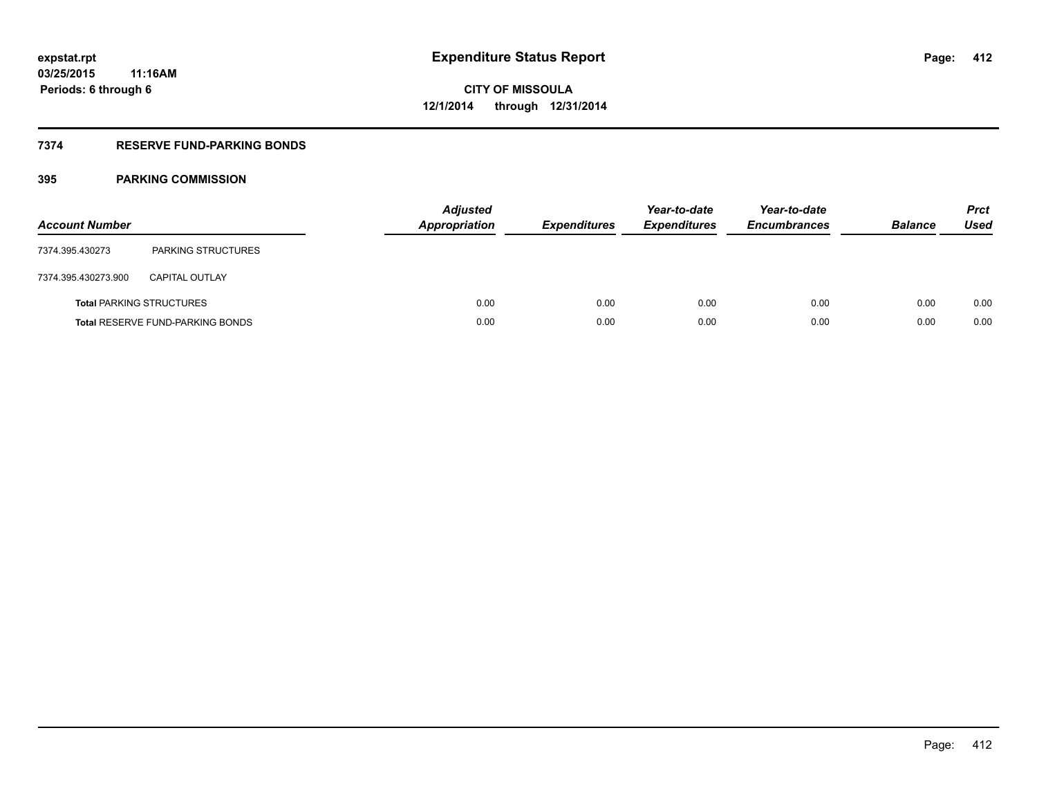## **7374 RESERVE FUND-PARKING BONDS**

| <b>Account Number</b> |                                         | <b>Adjusted</b><br><b>Appropriation</b> | <b>Expenditures</b> | Year-to-date<br><b>Expenditures</b> | Year-to-date<br><b>Encumbrances</b> | <b>Balance</b> | <b>Prct</b><br>Used |
|-----------------------|-----------------------------------------|-----------------------------------------|---------------------|-------------------------------------|-------------------------------------|----------------|---------------------|
| 7374.395.430273       | <b>PARKING STRUCTURES</b>               |                                         |                     |                                     |                                     |                |                     |
| 7374.395.430273.900   | <b>CAPITAL OUTLAY</b>                   |                                         |                     |                                     |                                     |                |                     |
|                       | <b>Total PARKING STRUCTURES</b>         | 0.00                                    | 0.00                | 0.00                                | 0.00                                | 0.00           | 0.00                |
|                       | <b>Total RESERVE FUND-PARKING BONDS</b> | 0.00                                    | 0.00                | 0.00                                | 0.00                                | 0.00           | 0.00                |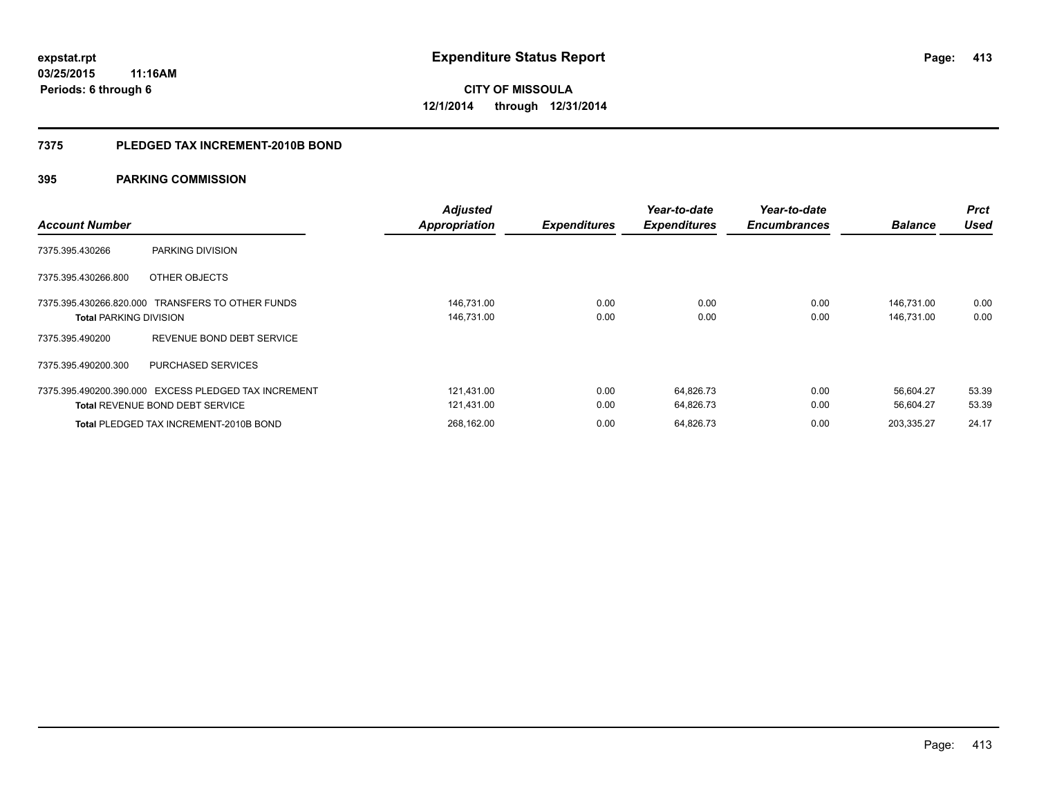### **7375 PLEDGED TAX INCREMENT-2010B BOND**

| <b>Account Number</b>         |                                                                                                | <b>Adjusted</b><br><b>Appropriation</b> | <b>Expenditures</b> | Year-to-date<br><b>Expenditures</b> | Year-to-date<br><b>Encumbrances</b> | <b>Balance</b>           | <b>Prct</b><br><b>Used</b> |
|-------------------------------|------------------------------------------------------------------------------------------------|-----------------------------------------|---------------------|-------------------------------------|-------------------------------------|--------------------------|----------------------------|
| 7375.395.430266               | PARKING DIVISION                                                                               |                                         |                     |                                     |                                     |                          |                            |
| 7375.395.430266.800           | OTHER OBJECTS                                                                                  |                                         |                     |                                     |                                     |                          |                            |
| <b>Total PARKING DIVISION</b> | 7375.395.430266.820.000 TRANSFERS TO OTHER FUNDS                                               | 146,731.00<br>146,731.00                | 0.00<br>0.00        | 0.00<br>0.00                        | 0.00<br>0.00                        | 146,731.00<br>146,731.00 | 0.00<br>0.00               |
| 7375.395.490200               | REVENUE BOND DEBT SERVICE                                                                      |                                         |                     |                                     |                                     |                          |                            |
| 7375.395.490200.300           | PURCHASED SERVICES                                                                             |                                         |                     |                                     |                                     |                          |                            |
|                               | 7375.395.490200.390.000 EXCESS PLEDGED TAX INCREMENT<br><b>Total REVENUE BOND DEBT SERVICE</b> | 121,431.00<br>121,431.00                | 0.00<br>0.00        | 64,826.73<br>64,826.73              | 0.00<br>0.00                        | 56.604.27<br>56.604.27   | 53.39<br>53.39             |
|                               | <b>Total PLEDGED TAX INCREMENT-2010B BOND</b>                                                  | 268,162.00                              | 0.00                | 64,826.73                           | 0.00                                | 203,335.27               | 24.17                      |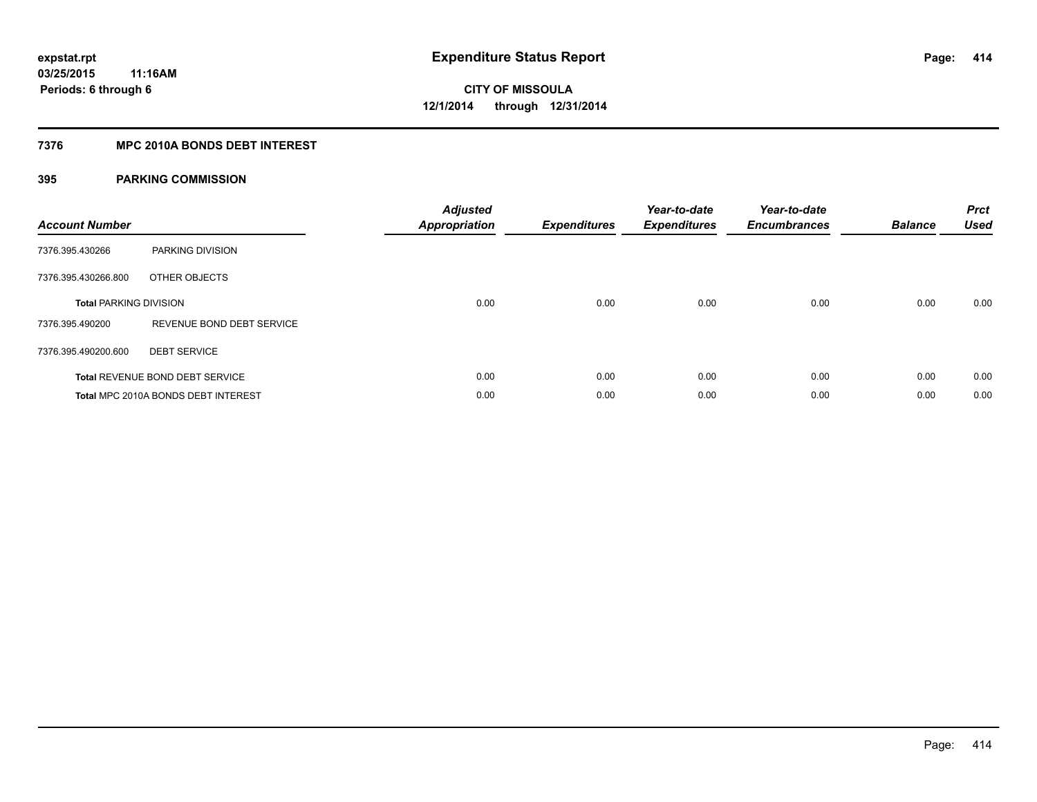### **7376 MPC 2010A BONDS DEBT INTEREST**

| <b>Account Number</b>         |                                        | <b>Adjusted</b><br>Appropriation | <b>Expenditures</b> | Year-to-date<br><b>Expenditures</b> | Year-to-date<br><b>Encumbrances</b> | <b>Balance</b> | <b>Prct</b><br><b>Used</b> |
|-------------------------------|----------------------------------------|----------------------------------|---------------------|-------------------------------------|-------------------------------------|----------------|----------------------------|
| 7376.395.430266               | PARKING DIVISION                       |                                  |                     |                                     |                                     |                |                            |
| 7376.395.430266.800           | OTHER OBJECTS                          |                                  |                     |                                     |                                     |                |                            |
| <b>Total PARKING DIVISION</b> |                                        | 0.00                             | 0.00                | 0.00                                | 0.00                                | 0.00           | 0.00                       |
| 7376.395.490200               | REVENUE BOND DEBT SERVICE              |                                  |                     |                                     |                                     |                |                            |
| 7376.395.490200.600           | <b>DEBT SERVICE</b>                    |                                  |                     |                                     |                                     |                |                            |
|                               | <b>Total REVENUE BOND DEBT SERVICE</b> | 0.00                             | 0.00                | 0.00                                | 0.00                                | 0.00           | 0.00                       |
|                               | Total MPC 2010A BONDS DEBT INTEREST    | 0.00                             | 0.00                | 0.00                                | 0.00                                | 0.00           | 0.00                       |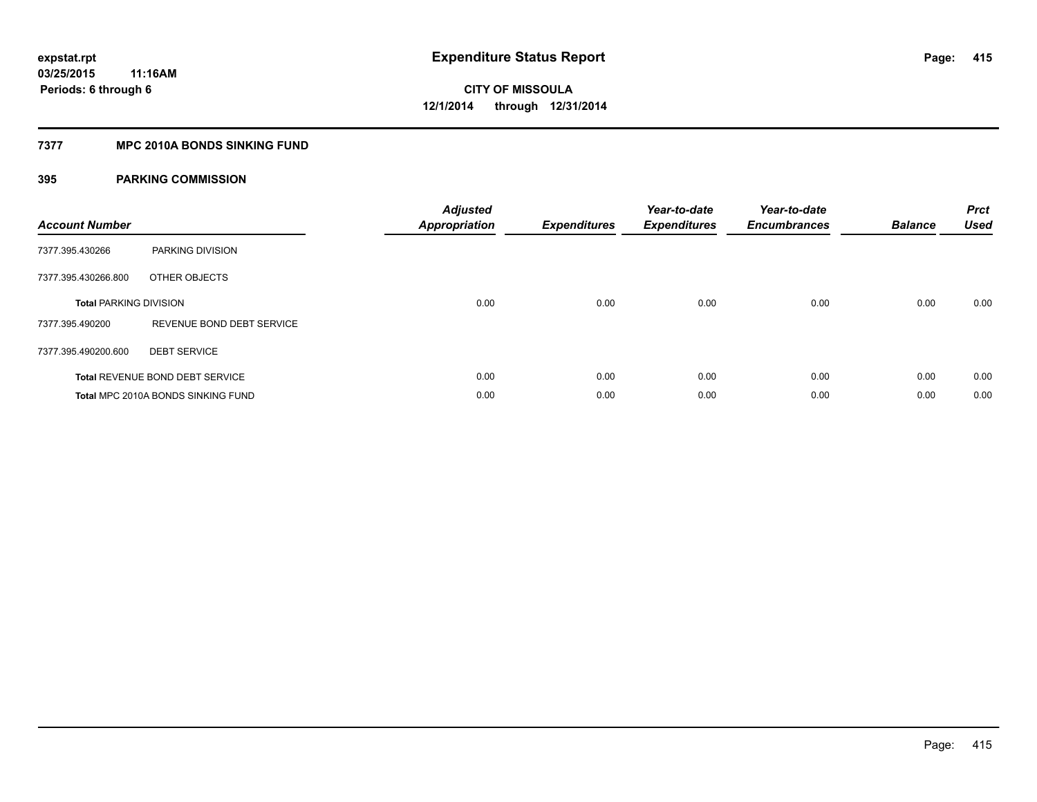### **7377 MPC 2010A BONDS SINKING FUND**

| <b>Account Number</b>         |                                        | <b>Adjusted</b><br><b>Appropriation</b> | <b>Expenditures</b> | Year-to-date<br><b>Expenditures</b> | Year-to-date<br><b>Encumbrances</b> | <b>Balance</b> | <b>Prct</b><br><b>Used</b> |
|-------------------------------|----------------------------------------|-----------------------------------------|---------------------|-------------------------------------|-------------------------------------|----------------|----------------------------|
| 7377.395.430266               | PARKING DIVISION                       |                                         |                     |                                     |                                     |                |                            |
| 7377.395.430266.800           | OTHER OBJECTS                          |                                         |                     |                                     |                                     |                |                            |
| <b>Total PARKING DIVISION</b> |                                        | 0.00                                    | 0.00                | 0.00                                | 0.00                                | 0.00           | 0.00                       |
| 7377.395.490200               | REVENUE BOND DEBT SERVICE              |                                         |                     |                                     |                                     |                |                            |
| 7377.395.490200.600           | <b>DEBT SERVICE</b>                    |                                         |                     |                                     |                                     |                |                            |
|                               | <b>Total REVENUE BOND DEBT SERVICE</b> | 0.00                                    | 0.00                | 0.00                                | 0.00                                | 0.00           | 0.00                       |
|                               | Total MPC 2010A BONDS SINKING FUND     | 0.00                                    | 0.00                | 0.00                                | 0.00                                | 0.00           | 0.00                       |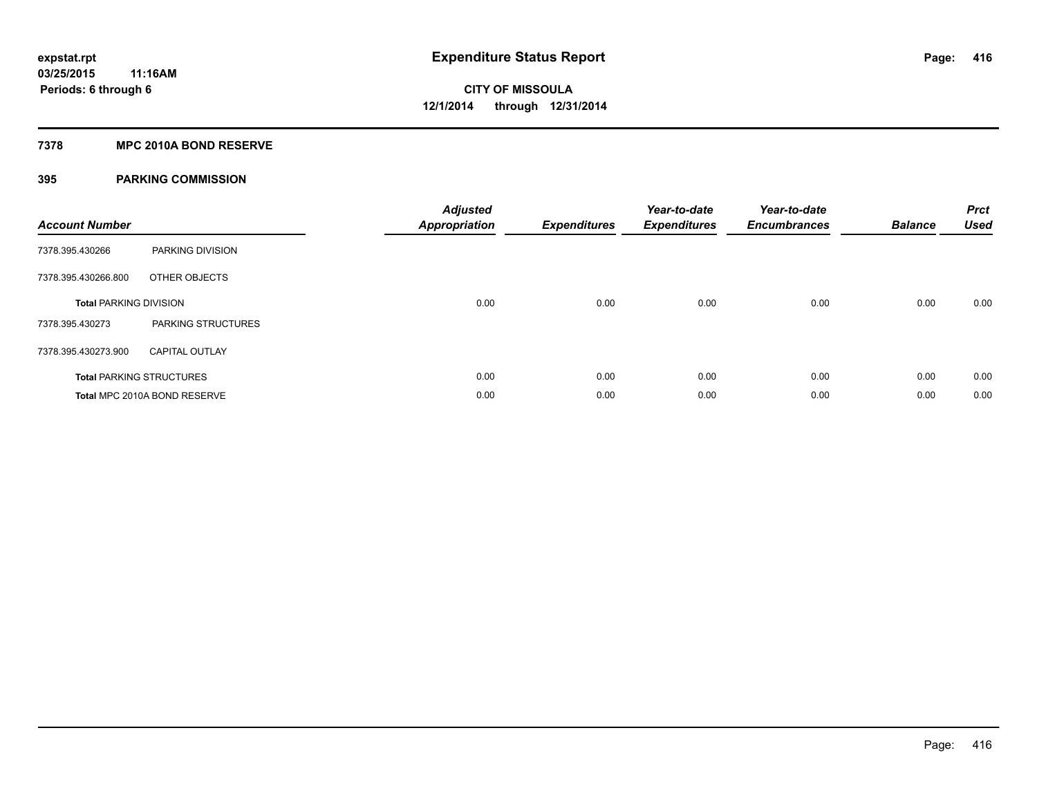### **7378 MPC 2010A BOND RESERVE**

| <b>Account Number</b>         |                                 | <b>Adjusted</b><br><b>Appropriation</b> | <b>Expenditures</b> | Year-to-date<br><b>Expenditures</b> | Year-to-date<br><b>Encumbrances</b> | <b>Balance</b> | <b>Prct</b><br><b>Used</b> |
|-------------------------------|---------------------------------|-----------------------------------------|---------------------|-------------------------------------|-------------------------------------|----------------|----------------------------|
| 7378.395.430266               | PARKING DIVISION                |                                         |                     |                                     |                                     |                |                            |
| 7378.395.430266.800           | OTHER OBJECTS                   |                                         |                     |                                     |                                     |                |                            |
| <b>Total PARKING DIVISION</b> |                                 | 0.00                                    | 0.00                | 0.00                                | 0.00                                | 0.00           | 0.00                       |
| 7378.395.430273               | <b>PARKING STRUCTURES</b>       |                                         |                     |                                     |                                     |                |                            |
| 7378.395.430273.900           | <b>CAPITAL OUTLAY</b>           |                                         |                     |                                     |                                     |                |                            |
|                               | <b>Total PARKING STRUCTURES</b> | 0.00                                    | 0.00                | 0.00                                | 0.00                                | 0.00           | 0.00                       |
|                               | Total MPC 2010A BOND RESERVE    | 0.00                                    | 0.00                | 0.00                                | 0.00                                | 0.00           | 0.00                       |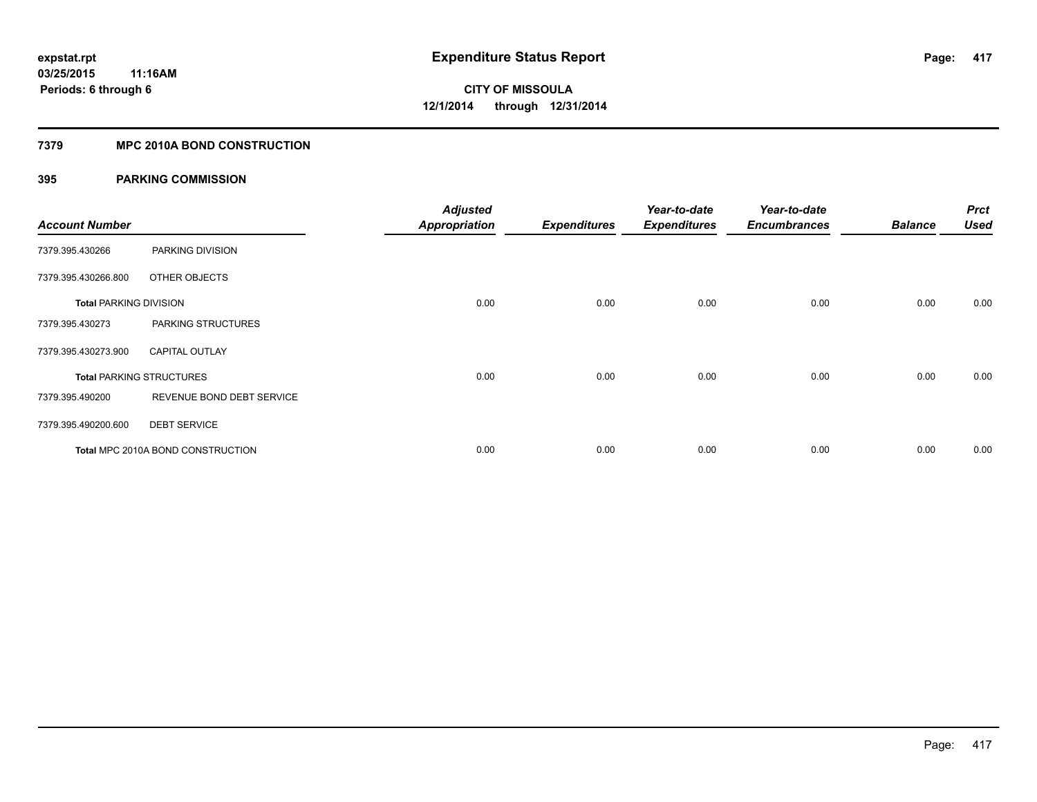### **7379 MPC 2010A BOND CONSTRUCTION**

| <b>Account Number</b>         |                                   | <b>Adjusted</b><br><b>Appropriation</b> | <b>Expenditures</b> | Year-to-date<br><b>Expenditures</b> | Year-to-date<br><b>Encumbrances</b> | <b>Balance</b> | <b>Prct</b><br><b>Used</b> |
|-------------------------------|-----------------------------------|-----------------------------------------|---------------------|-------------------------------------|-------------------------------------|----------------|----------------------------|
| 7379.395.430266               | PARKING DIVISION                  |                                         |                     |                                     |                                     |                |                            |
| 7379.395.430266.800           | OTHER OBJECTS                     |                                         |                     |                                     |                                     |                |                            |
| <b>Total PARKING DIVISION</b> |                                   | 0.00                                    | 0.00                | 0.00                                | 0.00                                | 0.00           | 0.00                       |
| 7379.395.430273               | PARKING STRUCTURES                |                                         |                     |                                     |                                     |                |                            |
| 7379.395.430273.900           | <b>CAPITAL OUTLAY</b>             |                                         |                     |                                     |                                     |                |                            |
|                               | <b>Total PARKING STRUCTURES</b>   | 0.00                                    | 0.00                | 0.00                                | 0.00                                | 0.00           | 0.00                       |
| 7379.395.490200               | REVENUE BOND DEBT SERVICE         |                                         |                     |                                     |                                     |                |                            |
| 7379.395.490200.600           | <b>DEBT SERVICE</b>               |                                         |                     |                                     |                                     |                |                            |
|                               | Total MPC 2010A BOND CONSTRUCTION | 0.00                                    | 0.00                | 0.00                                | 0.00                                | 0.00           | 0.00                       |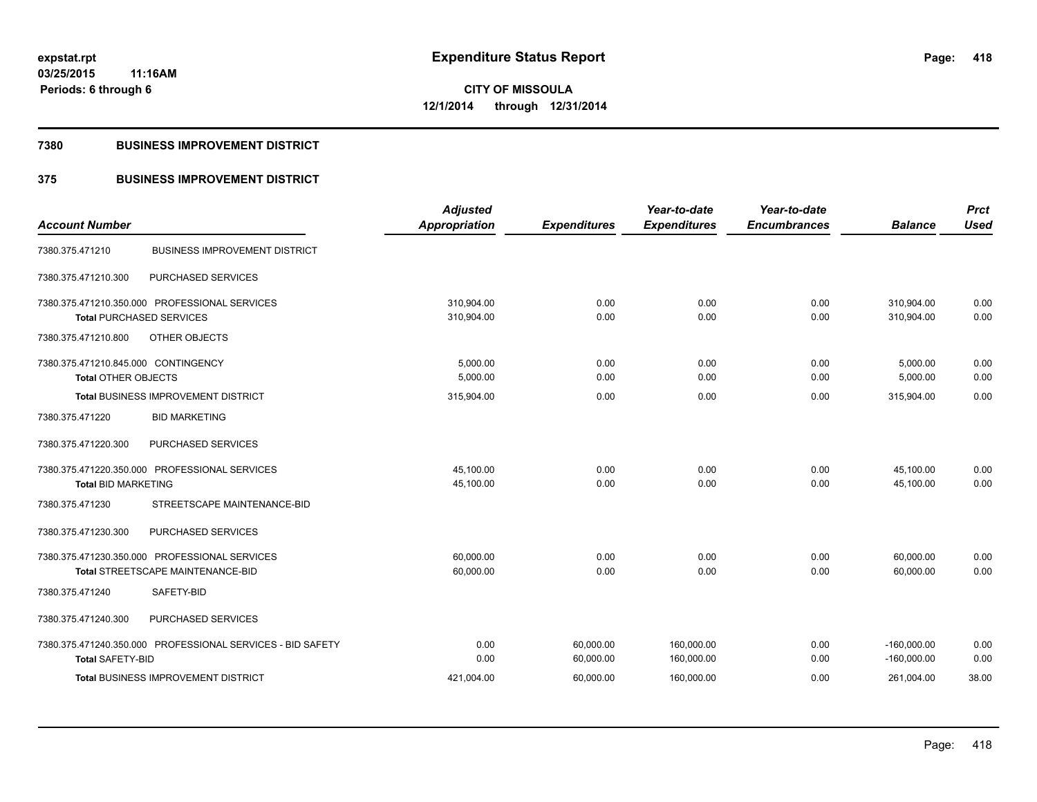### **7380 BUSINESS IMPROVEMENT DISTRICT**

## **375 BUSINESS IMPROVEMENT DISTRICT**

| <b>Account Number</b>               |                                                            | <b>Adjusted</b><br><b>Appropriation</b> | <b>Expenditures</b> | Year-to-date<br><b>Expenditures</b> | Year-to-date<br><b>Encumbrances</b> | <b>Balance</b> | <b>Prct</b><br><b>Used</b> |
|-------------------------------------|------------------------------------------------------------|-----------------------------------------|---------------------|-------------------------------------|-------------------------------------|----------------|----------------------------|
|                                     |                                                            |                                         |                     |                                     |                                     |                |                            |
| 7380.375.471210                     | <b>BUSINESS IMPROVEMENT DISTRICT</b>                       |                                         |                     |                                     |                                     |                |                            |
| 7380.375.471210.300                 | PURCHASED SERVICES                                         |                                         |                     |                                     |                                     |                |                            |
|                                     | 7380.375.471210.350.000 PROFESSIONAL SERVICES              | 310,904.00                              | 0.00                | 0.00                                | 0.00                                | 310,904.00     | 0.00                       |
| <b>Total PURCHASED SERVICES</b>     |                                                            | 310,904.00                              | 0.00                | 0.00                                | 0.00                                | 310.904.00     | 0.00                       |
| 7380.375.471210.800                 | OTHER OBJECTS                                              |                                         |                     |                                     |                                     |                |                            |
| 7380.375.471210.845.000 CONTINGENCY |                                                            | 5,000.00                                | 0.00                | 0.00                                | 0.00                                | 5,000.00       | 0.00                       |
| <b>Total OTHER OBJECTS</b>          |                                                            | 5,000.00                                | 0.00                | 0.00                                | 0.00                                | 5,000.00       | 0.00                       |
|                                     | <b>Total BUSINESS IMPROVEMENT DISTRICT</b>                 | 315,904.00                              | 0.00                | 0.00                                | 0.00                                | 315,904.00     | 0.00                       |
| 7380.375.471220                     | <b>BID MARKETING</b>                                       |                                         |                     |                                     |                                     |                |                            |
| 7380.375.471220.300                 | PURCHASED SERVICES                                         |                                         |                     |                                     |                                     |                |                            |
|                                     | 7380.375.471220.350.000 PROFESSIONAL SERVICES              | 45,100.00                               | 0.00                | 0.00                                | 0.00                                | 45,100.00      | 0.00                       |
| <b>Total BID MARKETING</b>          |                                                            | 45,100.00                               | 0.00                | 0.00                                | 0.00                                | 45,100.00      | 0.00                       |
| 7380.375.471230                     | STREETSCAPE MAINTENANCE-BID                                |                                         |                     |                                     |                                     |                |                            |
| 7380.375.471230.300                 | PURCHASED SERVICES                                         |                                         |                     |                                     |                                     |                |                            |
|                                     | 7380.375.471230.350.000 PROFESSIONAL SERVICES              | 60,000.00                               | 0.00                | 0.00                                | 0.00                                | 60,000.00      | 0.00                       |
|                                     | Total STREETSCAPE MAINTENANCE-BID                          | 60,000.00                               | 0.00                | 0.00                                | 0.00                                | 60,000.00      | 0.00                       |
| 7380.375.471240                     | SAFETY-BID                                                 |                                         |                     |                                     |                                     |                |                            |
| 7380.375.471240.300                 | PURCHASED SERVICES                                         |                                         |                     |                                     |                                     |                |                            |
|                                     | 7380.375.471240.350.000 PROFESSIONAL SERVICES - BID SAFETY | 0.00                                    | 60,000.00           | 160,000.00                          | 0.00                                | $-160,000.00$  | 0.00                       |
| <b>Total SAFETY-BID</b>             |                                                            | 0.00                                    | 60,000.00           | 160,000.00                          | 0.00                                | $-160,000.00$  | 0.00                       |
|                                     | <b>Total BUSINESS IMPROVEMENT DISTRICT</b>                 | 421,004.00                              | 60,000.00           | 160,000.00                          | 0.00                                | 261,004.00     | 38.00                      |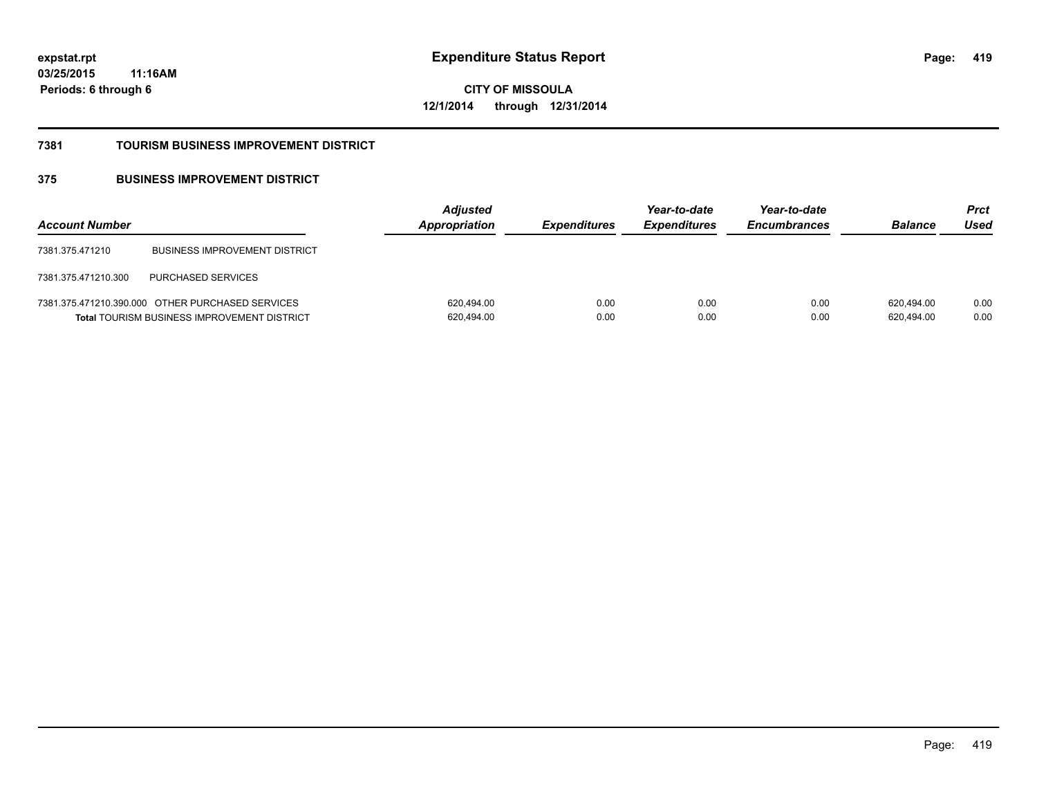**CITY OF MISSOULA 12/1/2014 through 12/31/2014**

#### **7381 TOURISM BUSINESS IMPROVEMENT DISTRICT**

## **375 BUSINESS IMPROVEMENT DISTRICT**

| <b>Account Number</b> |                                                                                                        | <b>Adjusted</b><br>Appropriation | <b>Expenditures</b> | Year-to-date<br><b>Expenditures</b> | Year-to-date<br><b>Encumbrances</b> | <b>Balance</b>           | <b>Prct</b><br>Used |
|-----------------------|--------------------------------------------------------------------------------------------------------|----------------------------------|---------------------|-------------------------------------|-------------------------------------|--------------------------|---------------------|
| 7381.375.471210       | <b>BUSINESS IMPROVEMENT DISTRICT</b>                                                                   |                                  |                     |                                     |                                     |                          |                     |
| 7381.375.471210.300   | <b>PURCHASED SERVICES</b>                                                                              |                                  |                     |                                     |                                     |                          |                     |
|                       | 7381.375.471210.390.000 OTHER PURCHASED SERVICES<br><b>Total TOURISM BUSINESS IMPROVEMENT DISTRICT</b> | 620,494.00<br>620,494.00         | 0.00<br>0.00        | 0.00<br>0.00                        | 0.00<br>0.00                        | 620.494.00<br>620,494.00 | 0.00<br>0.00        |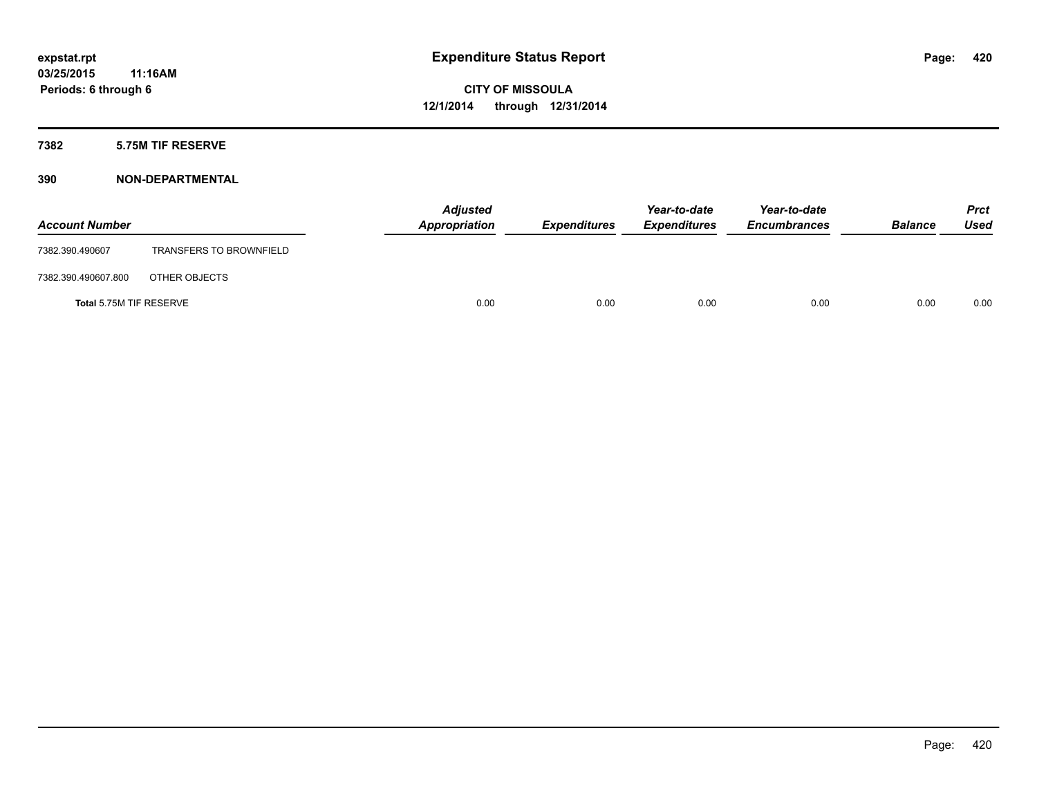### **7382 5.75M TIF RESERVE**

| <b>Account Number</b>   |                                | <b>Adjusted</b><br>Appropriation | <b>Expenditures</b> | Year-to-date<br><b>Expenditures</b> | Year-to-date<br><b>Encumbrances</b> | <b>Balance</b> | <b>Prct</b><br><b>Used</b> |
|-------------------------|--------------------------------|----------------------------------|---------------------|-------------------------------------|-------------------------------------|----------------|----------------------------|
| 7382.390.490607         | <b>TRANSFERS TO BROWNFIELD</b> |                                  |                     |                                     |                                     |                |                            |
| 7382.390.490607.800     | OTHER OBJECTS                  |                                  |                     |                                     |                                     |                |                            |
| Total 5.75M TIF RESERVE |                                | 0.00                             | 0.00                | 0.00                                | 0.00                                | 0.00           | 0.00                       |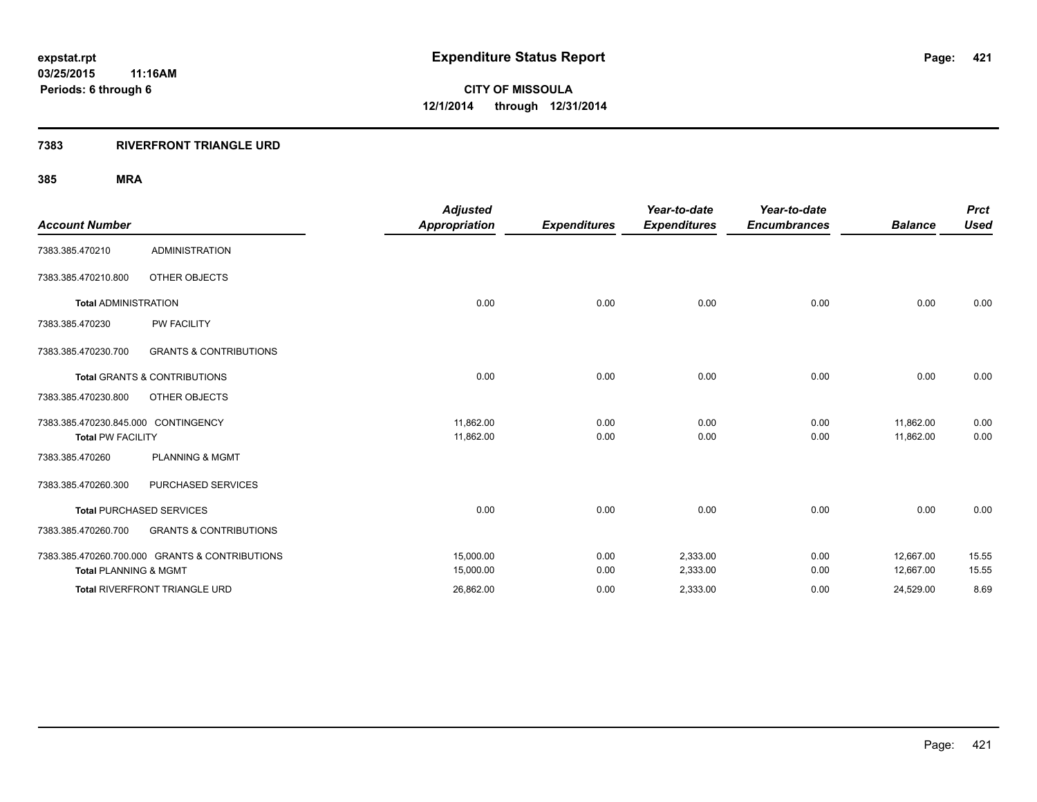### **7383 RIVERFRONT TRIANGLE URD**

|                                     |                                                | <b>Adjusted</b>      |                     | Year-to-date        | Year-to-date        |                | <b>Prct</b> |
|-------------------------------------|------------------------------------------------|----------------------|---------------------|---------------------|---------------------|----------------|-------------|
| <b>Account Number</b>               |                                                | <b>Appropriation</b> | <b>Expenditures</b> | <b>Expenditures</b> | <b>Encumbrances</b> | <b>Balance</b> | <b>Used</b> |
| 7383.385.470210                     | <b>ADMINISTRATION</b>                          |                      |                     |                     |                     |                |             |
| 7383.385.470210.800                 | OTHER OBJECTS                                  |                      |                     |                     |                     |                |             |
| <b>Total ADMINISTRATION</b>         |                                                | 0.00                 | 0.00                | 0.00                | 0.00                | 0.00           | 0.00        |
| 7383.385.470230                     | <b>PW FACILITY</b>                             |                      |                     |                     |                     |                |             |
| 7383.385.470230.700                 | <b>GRANTS &amp; CONTRIBUTIONS</b>              |                      |                     |                     |                     |                |             |
|                                     | <b>Total GRANTS &amp; CONTRIBUTIONS</b>        | 0.00                 | 0.00                | 0.00                | 0.00                | 0.00           | 0.00        |
| 7383.385.470230.800                 | OTHER OBJECTS                                  |                      |                     |                     |                     |                |             |
| 7383.385.470230.845.000 CONTINGENCY |                                                | 11,862.00            | 0.00                | 0.00                | 0.00                | 11,862.00      | 0.00        |
| <b>Total PW FACILITY</b>            |                                                | 11,862.00            | 0.00                | 0.00                | 0.00                | 11,862.00      | 0.00        |
| 7383.385.470260                     | <b>PLANNING &amp; MGMT</b>                     |                      |                     |                     |                     |                |             |
| 7383.385.470260.300                 | PURCHASED SERVICES                             |                      |                     |                     |                     |                |             |
|                                     | <b>Total PURCHASED SERVICES</b>                | 0.00                 | 0.00                | 0.00                | 0.00                | 0.00           | 0.00        |
| 7383.385.470260.700                 | <b>GRANTS &amp; CONTRIBUTIONS</b>              |                      |                     |                     |                     |                |             |
|                                     | 7383.385.470260.700.000 GRANTS & CONTRIBUTIONS | 15,000.00            | 0.00                | 2,333.00            | 0.00                | 12,667.00      | 15.55       |
| <b>Total PLANNING &amp; MGMT</b>    |                                                | 15,000.00            | 0.00                | 2,333.00            | 0.00                | 12,667.00      | 15.55       |
|                                     | Total RIVERFRONT TRIANGLE URD                  | 26,862.00            | 0.00                | 2,333.00            | 0.00                | 24,529.00      | 8.69        |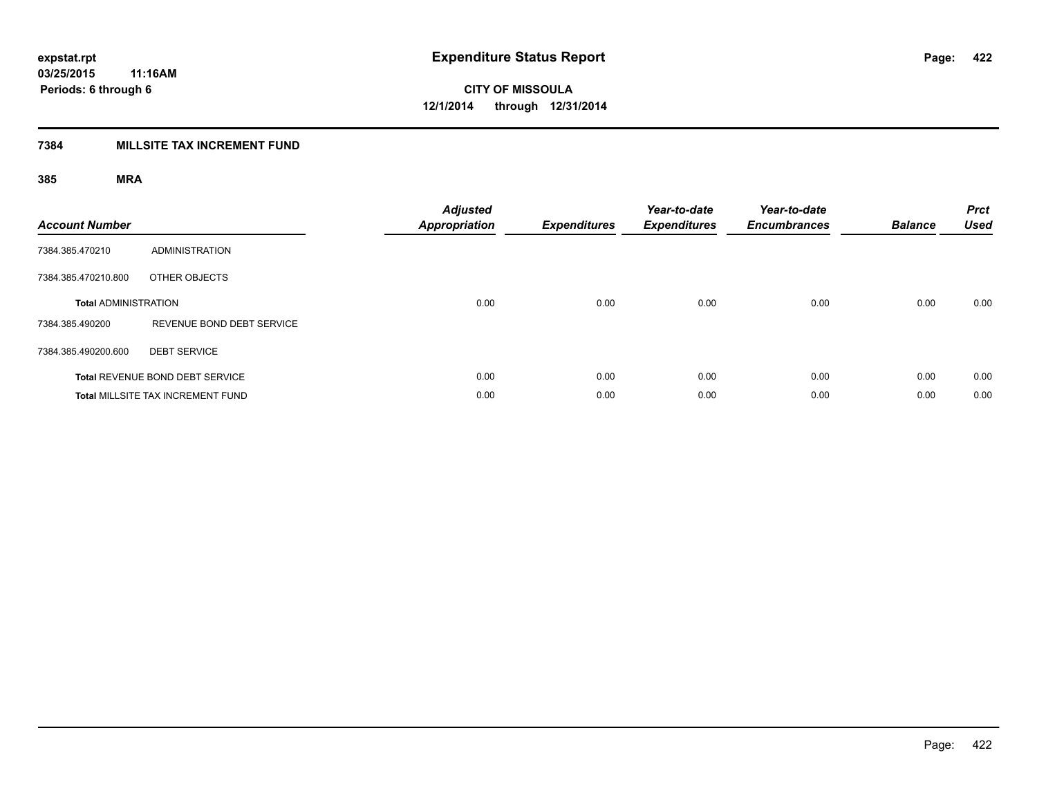## **7384 MILLSITE TAX INCREMENT FUND**

| <b>Account Number</b>       |                                          | <b>Adjusted</b><br><b>Appropriation</b> | <b>Expenditures</b> | Year-to-date<br><b>Expenditures</b> | Year-to-date<br><b>Encumbrances</b> | <b>Balance</b> | <b>Prct</b><br><b>Used</b> |
|-----------------------------|------------------------------------------|-----------------------------------------|---------------------|-------------------------------------|-------------------------------------|----------------|----------------------------|
| 7384.385.470210             | <b>ADMINISTRATION</b>                    |                                         |                     |                                     |                                     |                |                            |
| 7384.385.470210.800         | OTHER OBJECTS                            |                                         |                     |                                     |                                     |                |                            |
| <b>Total ADMINISTRATION</b> |                                          | 0.00                                    | 0.00                | 0.00                                | 0.00                                | 0.00           | 0.00                       |
| 7384.385.490200             | REVENUE BOND DEBT SERVICE                |                                         |                     |                                     |                                     |                |                            |
| 7384.385.490200.600         | <b>DEBT SERVICE</b>                      |                                         |                     |                                     |                                     |                |                            |
|                             | Total REVENUE BOND DEBT SERVICE          | 0.00                                    | 0.00                | 0.00                                | 0.00                                | 0.00           | 0.00                       |
|                             | <b>Total MILLSITE TAX INCREMENT FUND</b> | 0.00                                    | 0.00                | 0.00                                | 0.00                                | 0.00           | 0.00                       |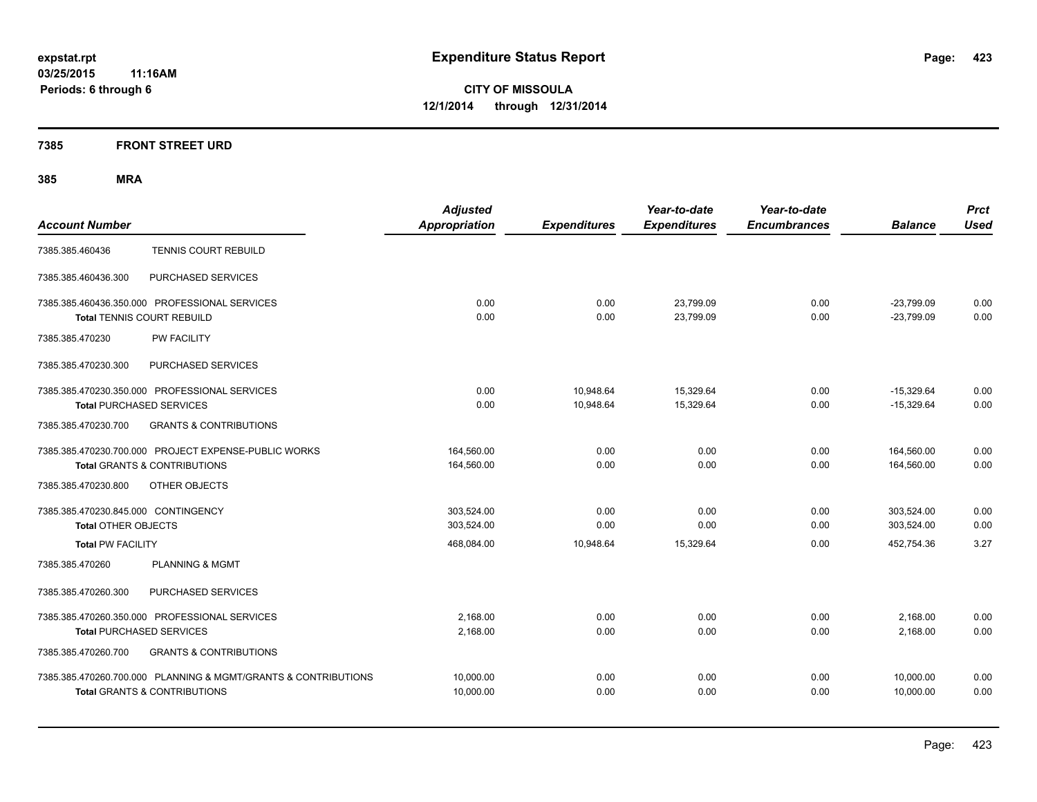### **7385 FRONT STREET URD**

|                                                                | <b>Adjusted</b>      |                     | Year-to-date        | Year-to-date        |                | <b>Prct</b> |
|----------------------------------------------------------------|----------------------|---------------------|---------------------|---------------------|----------------|-------------|
| <b>Account Number</b>                                          | <b>Appropriation</b> | <b>Expenditures</b> | <b>Expenditures</b> | <b>Encumbrances</b> | <b>Balance</b> | <b>Used</b> |
| <b>TENNIS COURT REBUILD</b><br>7385.385.460436                 |                      |                     |                     |                     |                |             |
| PURCHASED SERVICES<br>7385.385.460436.300                      |                      |                     |                     |                     |                |             |
| 7385.385.460436.350.000 PROFESSIONAL SERVICES                  | 0.00                 | 0.00                | 23,799.09           | 0.00                | $-23,799.09$   | 0.00        |
| <b>Total TENNIS COURT REBUILD</b>                              | 0.00                 | 0.00                | 23,799.09           | 0.00                | $-23,799.09$   | 0.00        |
| <b>PW FACILITY</b><br>7385.385.470230                          |                      |                     |                     |                     |                |             |
| 7385.385.470230.300<br>PURCHASED SERVICES                      |                      |                     |                     |                     |                |             |
| 7385.385.470230.350.000 PROFESSIONAL SERVICES                  | 0.00                 | 10,948.64           | 15,329.64           | 0.00                | $-15,329.64$   | 0.00        |
| <b>Total PURCHASED SERVICES</b>                                | 0.00                 | 10,948.64           | 15,329.64           | 0.00                | $-15,329.64$   | 0.00        |
| 7385.385.470230.700<br><b>GRANTS &amp; CONTRIBUTIONS</b>       |                      |                     |                     |                     |                |             |
| 7385.385.470230.700.000 PROJECT EXPENSE-PUBLIC WORKS           | 164,560.00           | 0.00                | 0.00                | 0.00                | 164,560.00     | 0.00        |
| <b>Total GRANTS &amp; CONTRIBUTIONS</b>                        | 164,560.00           | 0.00                | 0.00                | 0.00                | 164,560.00     | 0.00        |
| 7385.385.470230.800<br>OTHER OBJECTS                           |                      |                     |                     |                     |                |             |
| 7385.385.470230.845.000 CONTINGENCY                            | 303,524.00           | 0.00                | 0.00                | 0.00                | 303,524.00     | 0.00        |
| <b>Total OTHER OBJECTS</b>                                     | 303.524.00           | 0.00                | 0.00                | 0.00                | 303.524.00     | 0.00        |
| <b>Total PW FACILITY</b>                                       | 468,084.00           | 10.948.64           | 15,329.64           | 0.00                | 452.754.36     | 3.27        |
| <b>PLANNING &amp; MGMT</b><br>7385.385.470260                  |                      |                     |                     |                     |                |             |
| 7385.385.470260.300<br>PURCHASED SERVICES                      |                      |                     |                     |                     |                |             |
| 7385.385.470260.350.000 PROFESSIONAL SERVICES                  | 2.168.00             | 0.00                | 0.00                | 0.00                | 2,168.00       | 0.00        |
| <b>Total PURCHASED SERVICES</b>                                | 2,168.00             | 0.00                | 0.00                | 0.00                | 2,168.00       | 0.00        |
| 7385.385.470260.700<br><b>GRANTS &amp; CONTRIBUTIONS</b>       |                      |                     |                     |                     |                |             |
| 7385.385.470260.700.000 PLANNING & MGMT/GRANTS & CONTRIBUTIONS | 10,000.00            | 0.00                | 0.00                | 0.00                | 10,000.00      | 0.00        |
| <b>Total GRANTS &amp; CONTRIBUTIONS</b>                        | 10.000.00            | 0.00                | 0.00                | 0.00                | 10.000.00      | 0.00        |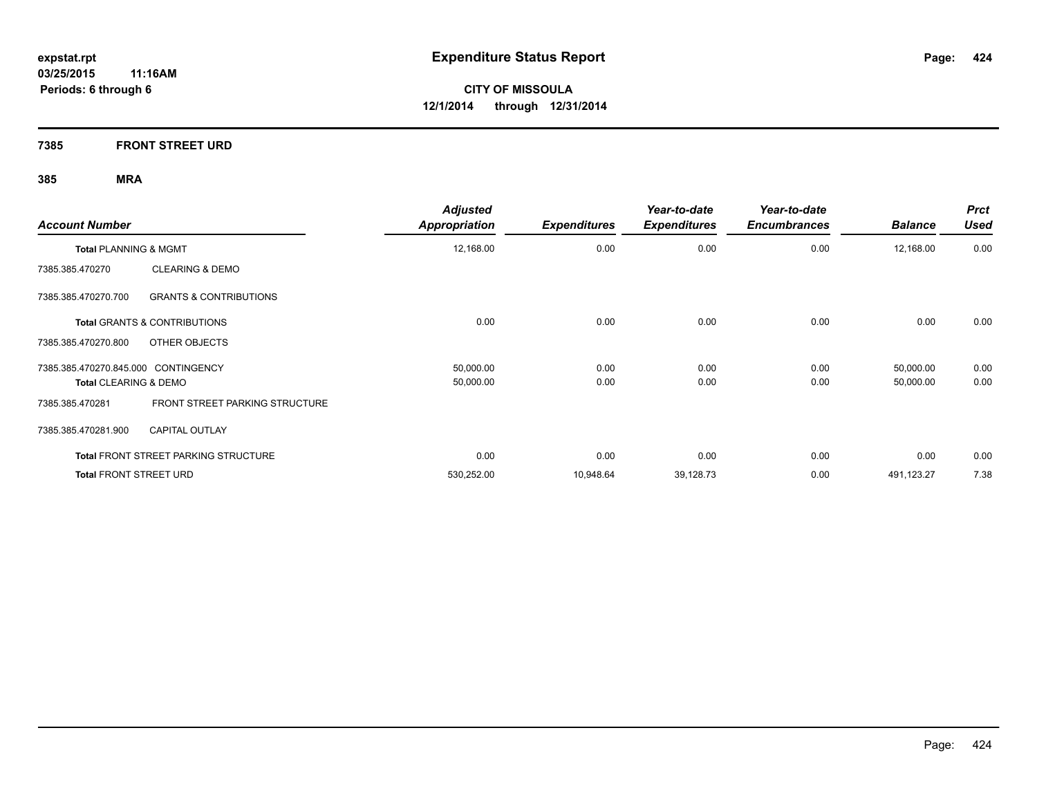**7385 FRONT STREET URD**

| <b>Account Number</b>                                    | <b>Adjusted</b><br><b>Appropriation</b> | <b>Expenditures</b> | Year-to-date<br><b>Expenditures</b> | Year-to-date<br><b>Encumbrances</b> | <b>Balance</b> | <b>Prct</b><br><b>Used</b> |
|----------------------------------------------------------|-----------------------------------------|---------------------|-------------------------------------|-------------------------------------|----------------|----------------------------|
| <b>Total PLANNING &amp; MGMT</b>                         | 12,168.00                               | 0.00                | 0.00                                | 0.00                                | 12,168.00      | 0.00                       |
| <b>CLEARING &amp; DEMO</b><br>7385.385.470270            |                                         |                     |                                     |                                     |                |                            |
| 7385.385.470270.700<br><b>GRANTS &amp; CONTRIBUTIONS</b> |                                         |                     |                                     |                                     |                |                            |
| <b>Total GRANTS &amp; CONTRIBUTIONS</b>                  | 0.00                                    | 0.00                | 0.00                                | 0.00                                | 0.00           | 0.00                       |
| OTHER OBJECTS<br>7385.385.470270.800                     |                                         |                     |                                     |                                     |                |                            |
| 7385.385.470270.845.000 CONTINGENCY                      | 50,000.00                               | 0.00                | 0.00                                | 0.00                                | 50,000.00      | 0.00                       |
| <b>Total CLEARING &amp; DEMO</b>                         | 50,000.00                               | 0.00                | 0.00                                | 0.00                                | 50,000.00      | 0.00                       |
| FRONT STREET PARKING STRUCTURE<br>7385.385.470281        |                                         |                     |                                     |                                     |                |                            |
| <b>CAPITAL OUTLAY</b><br>7385.385.470281.900             |                                         |                     |                                     |                                     |                |                            |
| <b>Total FRONT STREET PARKING STRUCTURE</b>              | 0.00                                    | 0.00                | 0.00                                | 0.00                                | 0.00           | 0.00                       |
| <b>Total FRONT STREET URD</b>                            | 530,252.00                              | 10,948.64           | 39,128.73                           | 0.00                                | 491,123.27     | 7.38                       |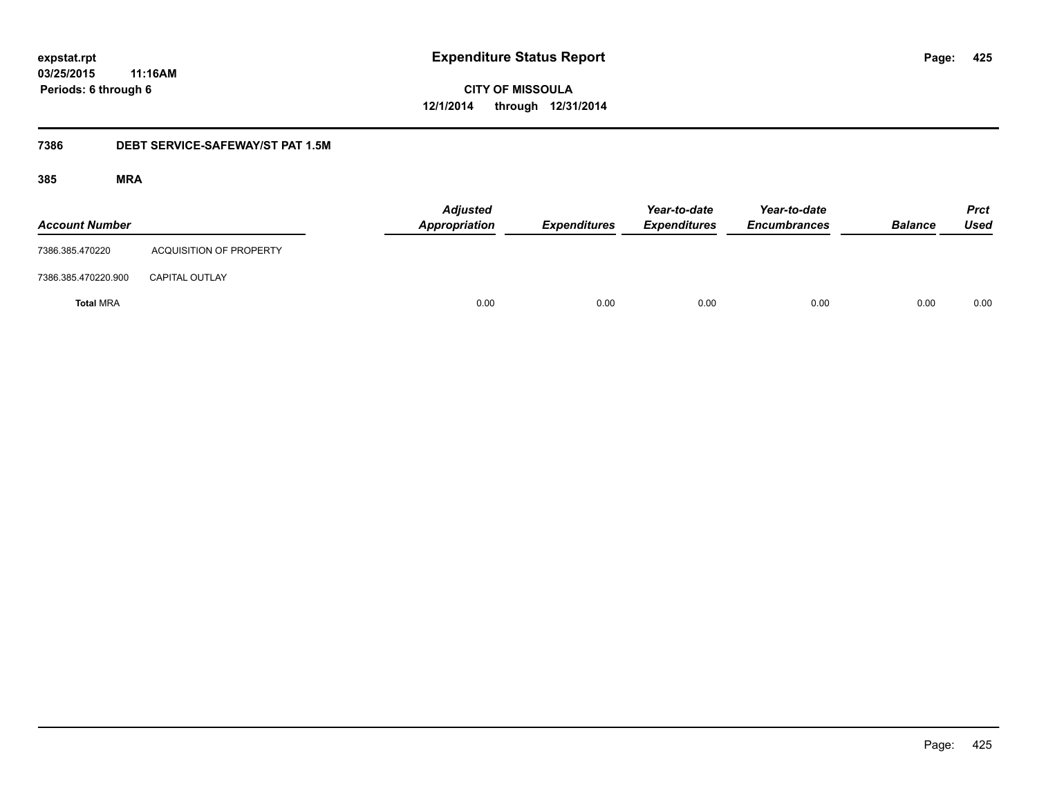**CITY OF MISSOULA 12/1/2014 through 12/31/2014**

### **7386 DEBT SERVICE-SAFEWAY/ST PAT 1.5M**

| <b>Account Number</b> |                                | <b>Adjusted</b><br>Appropriation | <b>Expenditures</b> | Year-to-date<br><b>Expenditures</b> | Year-to-date<br><b>Encumbrances</b> | <b>Balance</b> | <b>Prct</b><br><b>Used</b> |
|-----------------------|--------------------------------|----------------------------------|---------------------|-------------------------------------|-------------------------------------|----------------|----------------------------|
| 7386.385.470220       | <b>ACQUISITION OF PROPERTY</b> |                                  |                     |                                     |                                     |                |                            |
| 7386.385.470220.900   | <b>CAPITAL OUTLAY</b>          |                                  |                     |                                     |                                     |                |                            |
| <b>Total MRA</b>      |                                | 0.00                             | 0.00                | 0.00                                | 0.00                                | 0.00           | 0.00                       |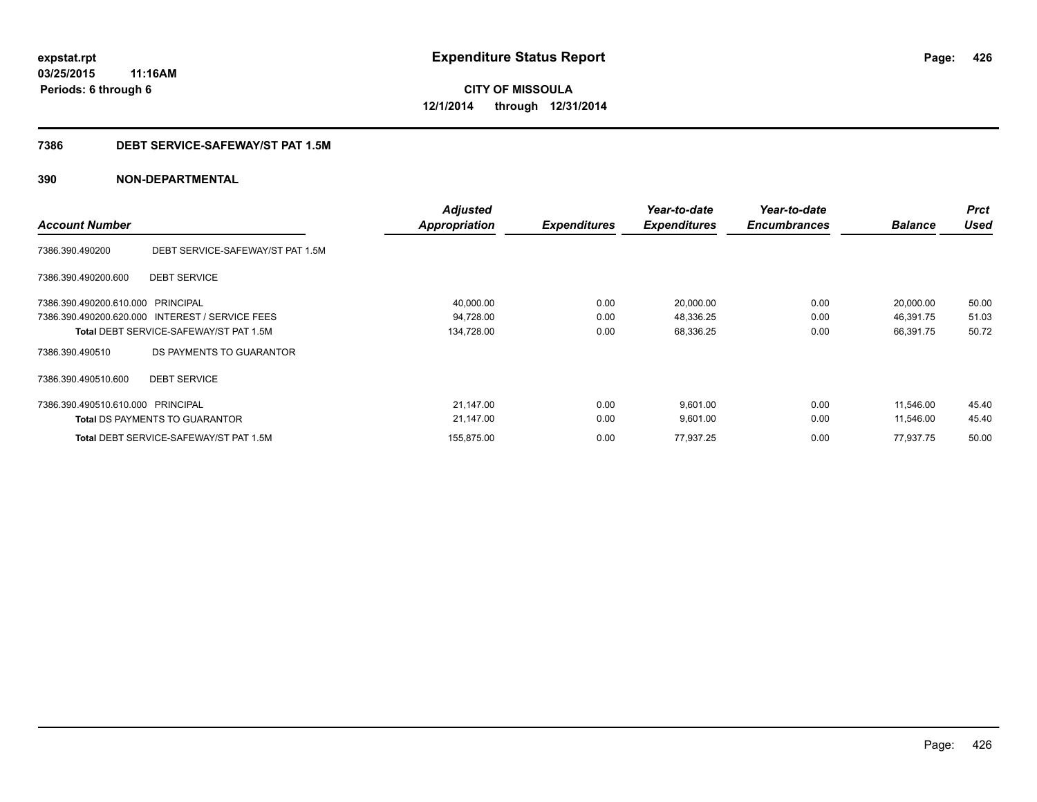**CITY OF MISSOULA 12/1/2014 through 12/31/2014**

### **7386 DEBT SERVICE-SAFEWAY/ST PAT 1.5M**

| <b>Account Number</b>             |                                                 | <b>Adjusted</b><br>Appropriation | <b>Expenditures</b> | Year-to-date<br><b>Expenditures</b> | Year-to-date<br><b>Encumbrances</b> | <b>Balance</b> | <b>Prct</b><br><b>Used</b> |
|-----------------------------------|-------------------------------------------------|----------------------------------|---------------------|-------------------------------------|-------------------------------------|----------------|----------------------------|
| 7386.390.490200                   | DEBT SERVICE-SAFEWAY/ST PAT 1.5M                |                                  |                     |                                     |                                     |                |                            |
| 7386.390.490200.600               | <b>DEBT SERVICE</b>                             |                                  |                     |                                     |                                     |                |                            |
| 7386.390.490200.610.000           | PRINCIPAL                                       | 40,000.00                        | 0.00                | 20,000.00                           | 0.00                                | 20,000.00      | 50.00                      |
|                                   | 7386.390.490200.620.000 INTEREST / SERVICE FEES | 94,728.00                        | 0.00                | 48,336.25                           | 0.00                                | 46,391.75      | 51.03                      |
|                                   | <b>Total DEBT SERVICE-SAFEWAY/ST PAT 1.5M</b>   | 134,728.00                       | 0.00                | 68,336.25                           | 0.00                                | 66,391.75      | 50.72                      |
| 7386.390.490510                   | DS PAYMENTS TO GUARANTOR                        |                                  |                     |                                     |                                     |                |                            |
| 7386.390.490510.600               | <b>DEBT SERVICE</b>                             |                                  |                     |                                     |                                     |                |                            |
| 7386.390.490510.610.000 PRINCIPAL |                                                 | 21,147.00                        | 0.00                | 9,601.00                            | 0.00                                | 11,546.00      | 45.40                      |
|                                   | <b>Total DS PAYMENTS TO GUARANTOR</b>           | 21,147.00                        | 0.00                | 9,601.00                            | 0.00                                | 11,546.00      | 45.40                      |
|                                   | <b>Total DEBT SERVICE-SAFEWAY/ST PAT 1.5M</b>   | 155,875.00                       | 0.00                | 77,937.25                           | 0.00                                | 77,937.75      | 50.00                      |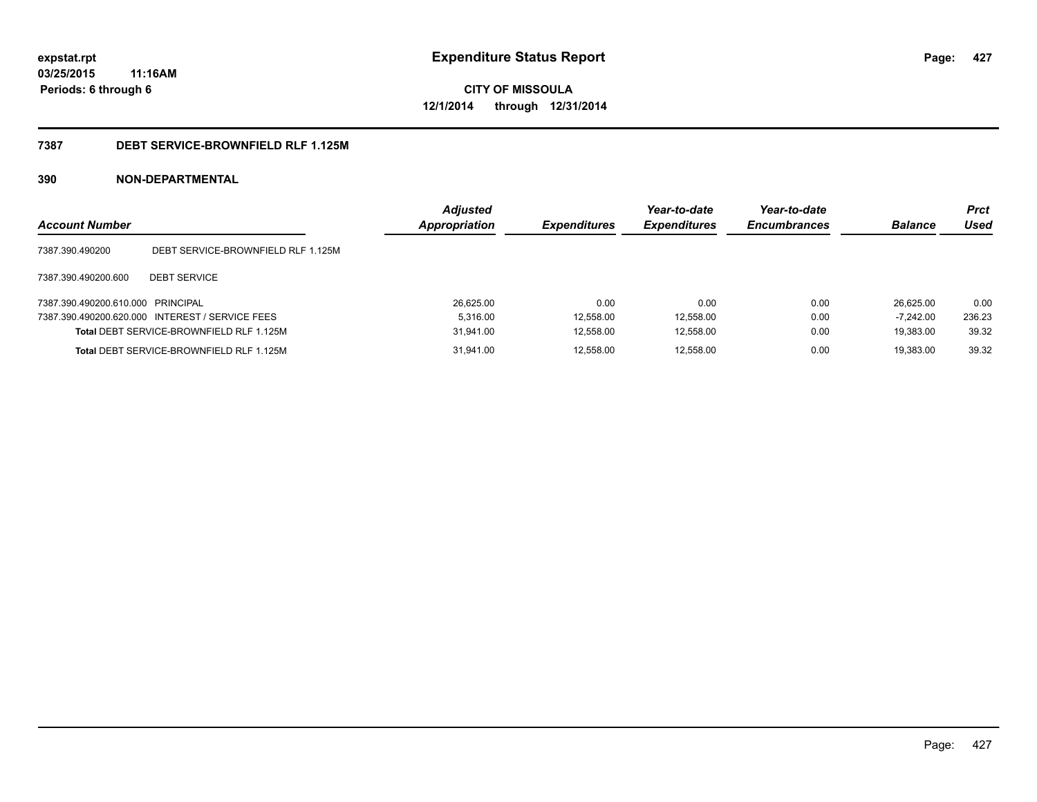**CITY OF MISSOULA 12/1/2014 through 12/31/2014**

### **7387 DEBT SERVICE-BROWNFIELD RLF 1.125M**

| <b>Account Number</b>             |                                                 | <b>Adjusted</b><br>Appropriation | <b>Expenditures</b> | Year-to-date<br><b>Expenditures</b> | Year-to-date<br><b>Encumbrances</b> | <b>Balance</b> | Prct<br>Used |
|-----------------------------------|-------------------------------------------------|----------------------------------|---------------------|-------------------------------------|-------------------------------------|----------------|--------------|
| 7387.390.490200                   | DEBT SERVICE-BROWNFIELD RLF 1.125M              |                                  |                     |                                     |                                     |                |              |
| 7387.390.490200.600               | <b>DEBT SERVICE</b>                             |                                  |                     |                                     |                                     |                |              |
| 7387.390.490200.610.000 PRINCIPAL |                                                 | 26.625.00                        | 0.00                | 0.00                                | 0.00                                | 26.625.00      | 0.00         |
|                                   | 7387.390.490200.620.000 INTEREST / SERVICE FEES | 5.316.00                         | 12,558.00           | 12.558.00                           | 0.00                                | $-7.242.00$    | 236.23       |
|                                   | <b>Total DEBT SERVICE-BROWNFIELD RLF 1.125M</b> | 31,941.00                        | 12,558.00           | 12,558.00                           | 0.00                                | 19.383.00      | 39.32        |
|                                   | <b>Total DEBT SERVICE-BROWNFIELD RLF 1.125M</b> | 31.941.00                        | 12.558.00           | 12,558.00                           | 0.00                                | 19.383.00      | 39.32        |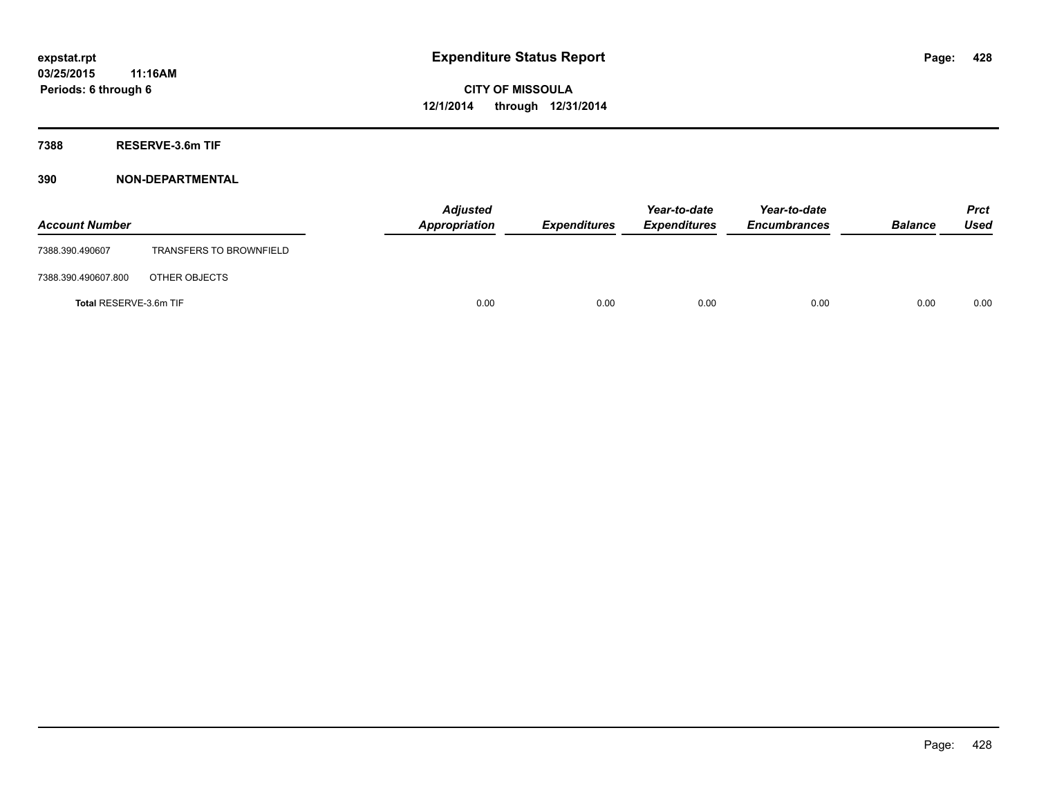**7388 RESERVE-3.6m TIF**

| <b>Account Number</b>  |                                | Appropriation | <b>Adjusted</b> | <b>Expenditures</b> | Year-to-date<br><b>Expenditures</b> | Year-to-date<br><b>Encumbrances</b> | <b>Balance</b> | <b>Prct</b><br><b>Used</b> |
|------------------------|--------------------------------|---------------|-----------------|---------------------|-------------------------------------|-------------------------------------|----------------|----------------------------|
| 7388.390.490607        | <b>TRANSFERS TO BROWNFIELD</b> |               |                 |                     |                                     |                                     |                |                            |
| 7388.390.490607.800    | OTHER OBJECTS                  |               |                 |                     |                                     |                                     |                |                            |
| Total RESERVE-3.6m TIF |                                |               | 0.00            | 0.00                | 0.00                                | 0.00                                | 0.00           | 0.00                       |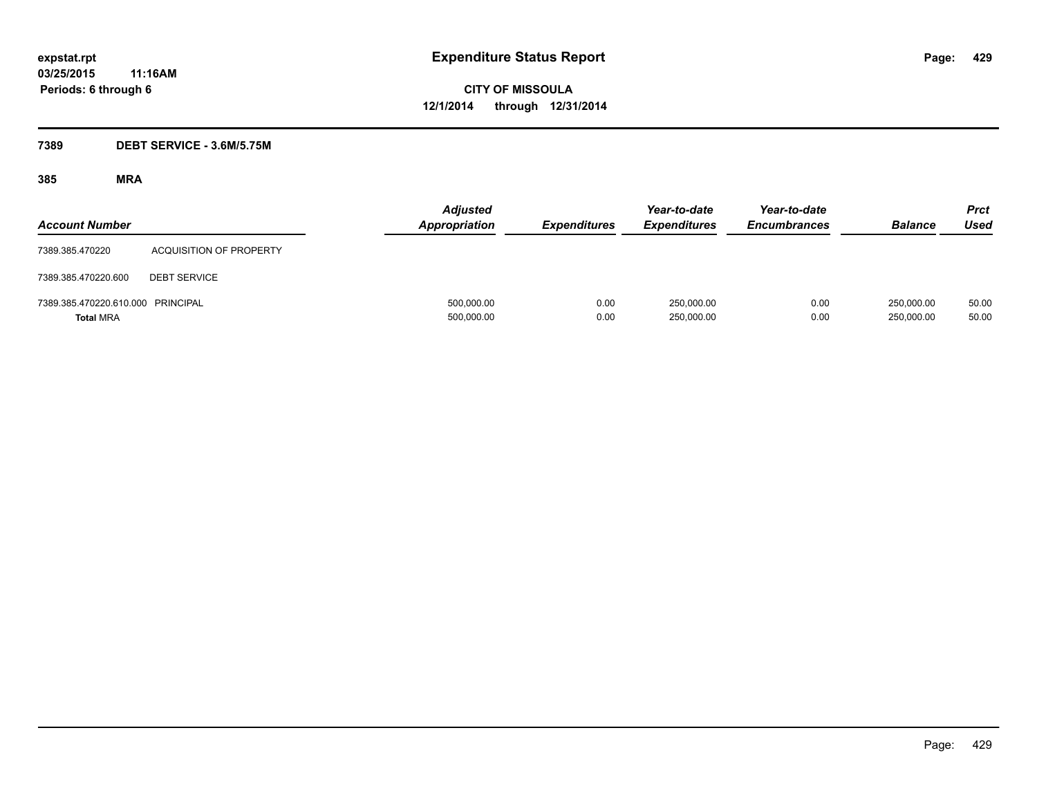### **7389 DEBT SERVICE - 3.6M/5.75M**

| <b>Account Number</b>                                 |                                | <b>Adjusted</b><br><b>Appropriation</b> | <b>Expenditures</b> | Year-to-date<br><b>Expenditures</b> | Year-to-date<br><b>Encumbrances</b> | <b>Balance</b>           | <b>Prct</b><br><b>Used</b> |
|-------------------------------------------------------|--------------------------------|-----------------------------------------|---------------------|-------------------------------------|-------------------------------------|--------------------------|----------------------------|
| 7389.385.470220                                       | <b>ACQUISITION OF PROPERTY</b> |                                         |                     |                                     |                                     |                          |                            |
| 7389.385.470220.600                                   | <b>DEBT SERVICE</b>            |                                         |                     |                                     |                                     |                          |                            |
| 7389.385.470220.610.000 PRINCIPAL<br><b>Total MRA</b> |                                | 500,000.00<br>500,000.00                | 0.00<br>0.00        | 250.000.00<br>250,000.00            | 0.00<br>0.00                        | 250,000.00<br>250,000.00 | 50.00<br>50.00             |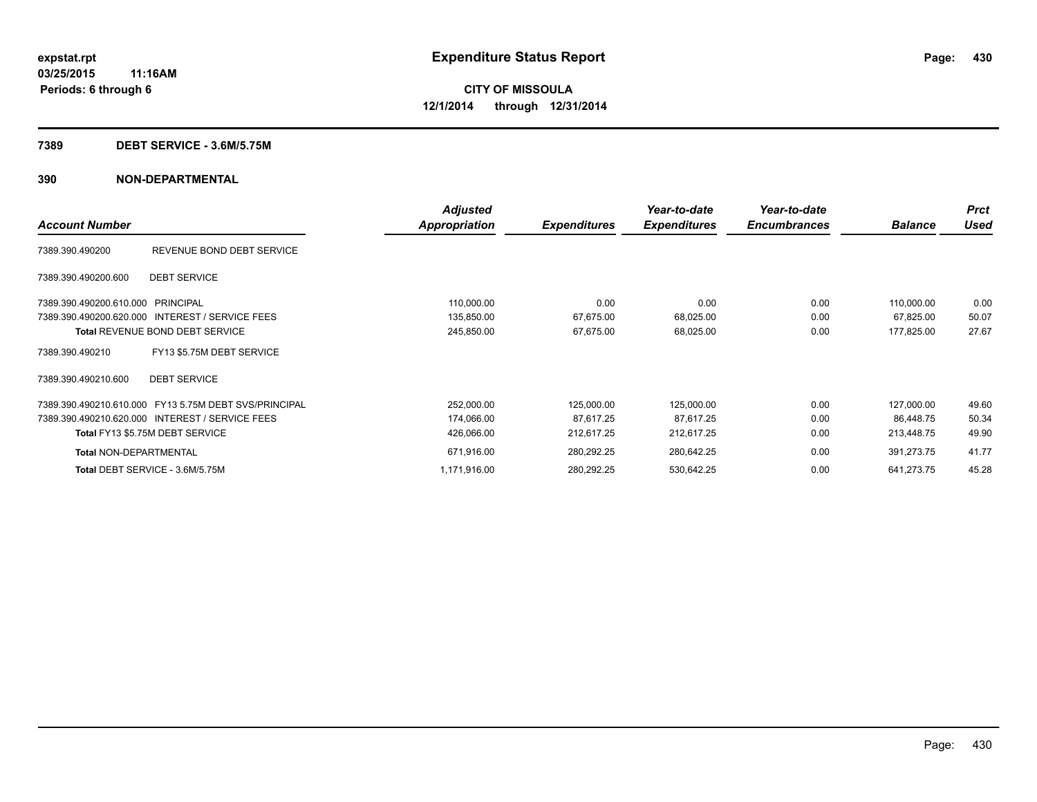#### **7389 DEBT SERVICE - 3.6M/5.75M**

|                                                       | <b>Adjusted</b> |                     | Year-to-date        | Year-to-date        |                | <b>Prct</b> |
|-------------------------------------------------------|-----------------|---------------------|---------------------|---------------------|----------------|-------------|
| <b>Account Number</b>                                 | Appropriation   | <b>Expenditures</b> | <b>Expenditures</b> | <b>Encumbrances</b> | <b>Balance</b> | Used        |
| 7389.390.490200<br>REVENUE BOND DEBT SERVICE          |                 |                     |                     |                     |                |             |
| <b>DEBT SERVICE</b><br>7389.390.490200.600            |                 |                     |                     |                     |                |             |
| 7389.390.490200.610.000 PRINCIPAL                     | 110,000.00      | 0.00                | 0.00                | 0.00                | 110,000.00     | 0.00        |
| 7389.390.490200.620.000 INTEREST / SERVICE FEES       | 135,850.00      | 67,675.00           | 68,025.00           | 0.00                | 67,825.00      | 50.07       |
| <b>Total REVENUE BOND DEBT SERVICE</b>                | 245,850.00      | 67,675.00           | 68,025.00           | 0.00                | 177,825.00     | 27.67       |
| FY13 \$5.75M DEBT SERVICE<br>7389.390.490210          |                 |                     |                     |                     |                |             |
| <b>DEBT SERVICE</b><br>7389.390.490210.600            |                 |                     |                     |                     |                |             |
| 7389.390.490210.610.000 FY13 5.75M DEBT SVS/PRINCIPAL | 252,000.00      | 125,000.00          | 125,000.00          | 0.00                | 127,000.00     | 49.60       |
| 7389.390.490210.620.000 INTEREST / SERVICE FEES       | 174,066.00      | 87,617.25           | 87,617.25           | 0.00                | 86.448.75      | 50.34       |
| Total FY13 \$5.75M DEBT SERVICE                       | 426,066.00      | 212,617.25          | 212,617.25          | 0.00                | 213.448.75     | 49.90       |
| <b>Total NON-DEPARTMENTAL</b>                         | 671,916.00      | 280,292.25          | 280,642.25          | 0.00                | 391,273.75     | 41.77       |
| Total DEBT SERVICE - 3.6M/5.75M                       | 1,171,916.00    | 280,292.25          | 530,642.25          | 0.00                | 641,273.75     | 45.28       |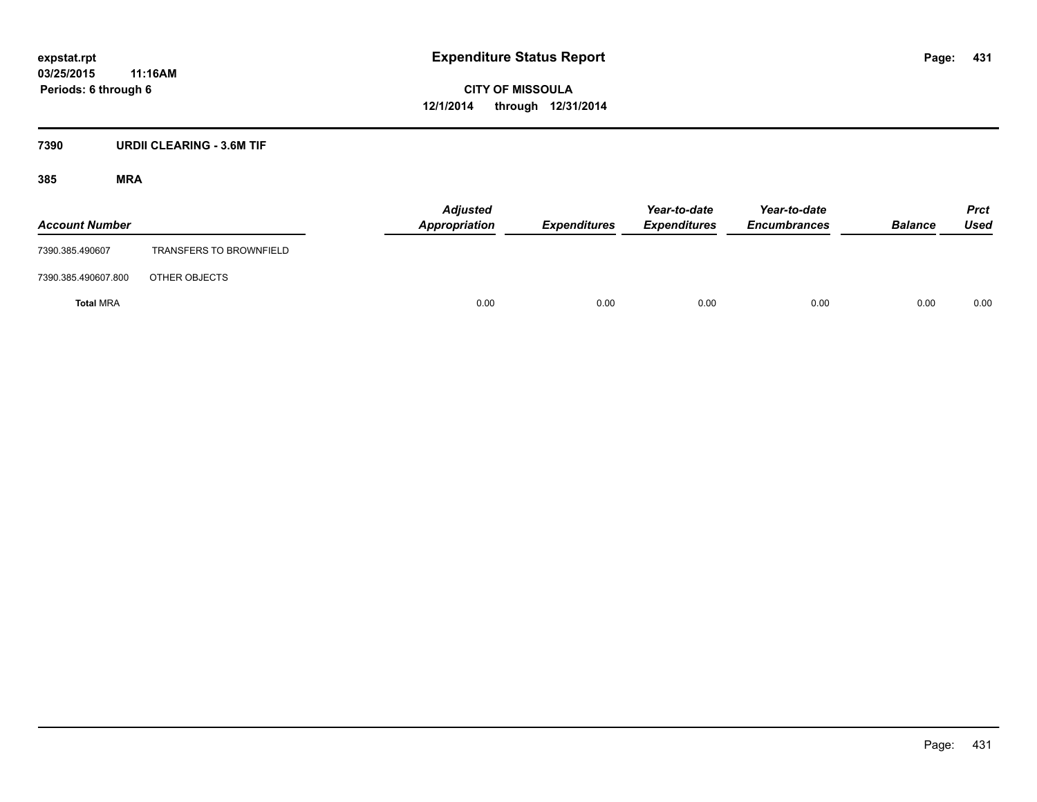### **7390 URDII CLEARING - 3.6M TIF**

| <b>Account Number</b> |                                | <b>Adjusted</b><br>Appropriation | Expenditures | Year-to-date<br><b>Expenditures</b> | Year-to-date<br><b>Encumbrances</b> | <b>Balance</b> | <b>Prct</b><br>Used |
|-----------------------|--------------------------------|----------------------------------|--------------|-------------------------------------|-------------------------------------|----------------|---------------------|
| 7390.385.490607       | <b>TRANSFERS TO BROWNFIELD</b> |                                  |              |                                     |                                     |                |                     |
| 7390.385.490607.800   | OTHER OBJECTS                  |                                  |              |                                     |                                     |                |                     |
| <b>Total MRA</b>      |                                | 0.00                             | 0.00         | 0.00                                | 0.00                                | 0.00           | 0.00                |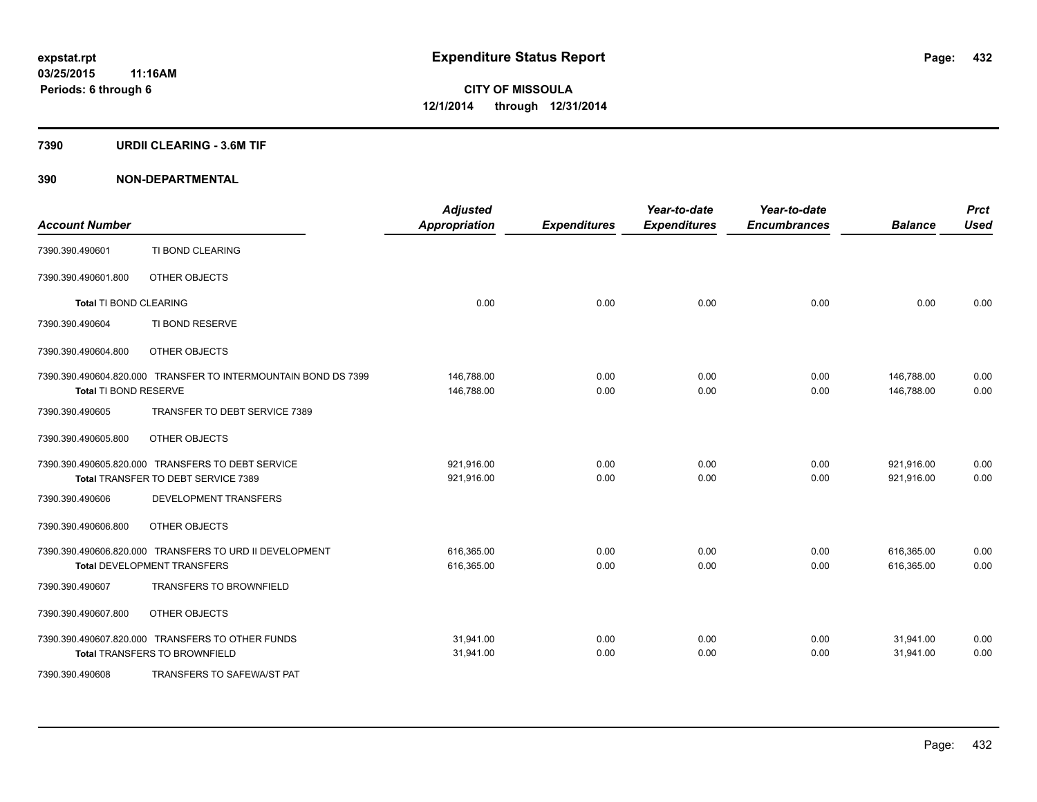#### **7390 URDII CLEARING - 3.6M TIF**

| <b>Account Number</b>  |                                                                                               | <b>Adjusted</b><br><b>Appropriation</b> | <b>Expenditures</b> | Year-to-date<br><b>Expenditures</b> | Year-to-date<br><b>Encumbrances</b> | <b>Balance</b>           | <b>Prct</b><br><b>Used</b> |
|------------------------|-----------------------------------------------------------------------------------------------|-----------------------------------------|---------------------|-------------------------------------|-------------------------------------|--------------------------|----------------------------|
| 7390.390.490601        | TI BOND CLEARING                                                                              |                                         |                     |                                     |                                     |                          |                            |
| 7390.390.490601.800    | OTHER OBJECTS                                                                                 |                                         |                     |                                     |                                     |                          |                            |
| Total TI BOND CLEARING |                                                                                               | 0.00                                    | 0.00                | 0.00                                | 0.00                                | 0.00                     | 0.00                       |
| 7390.390.490604        | TI BOND RESERVE                                                                               |                                         |                     |                                     |                                     |                          |                            |
| 7390.390.490604.800    | OTHER OBJECTS                                                                                 |                                         |                     |                                     |                                     |                          |                            |
|                        | 7390.390.490604.820.000 TRANSFER TO INTERMOUNTAIN BOND DS 7399                                | 146,788.00                              | 0.00                | 0.00                                | 0.00                                | 146,788.00               | 0.00                       |
| Total TI BOND RESERVE  |                                                                                               | 146,788.00                              | 0.00                | 0.00                                | 0.00                                | 146.788.00               | 0.00                       |
| 7390.390.490605        | TRANSFER TO DEBT SERVICE 7389                                                                 |                                         |                     |                                     |                                     |                          |                            |
| 7390.390.490605.800    | OTHER OBJECTS                                                                                 |                                         |                     |                                     |                                     |                          |                            |
|                        | 7390.390.490605.820.000 TRANSFERS TO DEBT SERVICE<br>Total TRANSFER TO DEBT SERVICE 7389      | 921,916.00<br>921,916.00                | 0.00<br>0.00        | 0.00<br>0.00                        | 0.00<br>0.00                        | 921,916.00<br>921,916.00 | 0.00<br>0.00               |
| 7390.390.490606        | <b>DEVELOPMENT TRANSFERS</b>                                                                  |                                         |                     |                                     |                                     |                          |                            |
|                        |                                                                                               |                                         |                     |                                     |                                     |                          |                            |
| 7390.390.490606.800    | OTHER OBJECTS                                                                                 |                                         |                     |                                     |                                     |                          |                            |
|                        | 7390.390.490606.820.000 TRANSFERS TO URD II DEVELOPMENT<br><b>Total DEVELOPMENT TRANSFERS</b> | 616,365.00<br>616,365.00                | 0.00<br>0.00        | 0.00<br>0.00                        | 0.00<br>0.00                        | 616,365.00<br>616,365.00 | 0.00<br>0.00               |
| 7390.390.490607        | <b>TRANSFERS TO BROWNFIELD</b>                                                                |                                         |                     |                                     |                                     |                          |                            |
| 7390.390.490607.800    | OTHER OBJECTS                                                                                 |                                         |                     |                                     |                                     |                          |                            |
|                        | 7390.390.490607.820.000 TRANSFERS TO OTHER FUNDS<br><b>Total TRANSFERS TO BROWNFIELD</b>      | 31,941.00<br>31,941.00                  | 0.00<br>0.00        | 0.00<br>0.00                        | 0.00<br>0.00                        | 31,941.00<br>31,941.00   | 0.00<br>0.00               |
| 7390.390.490608        | TRANSFERS TO SAFEWA/ST PAT                                                                    |                                         |                     |                                     |                                     |                          |                            |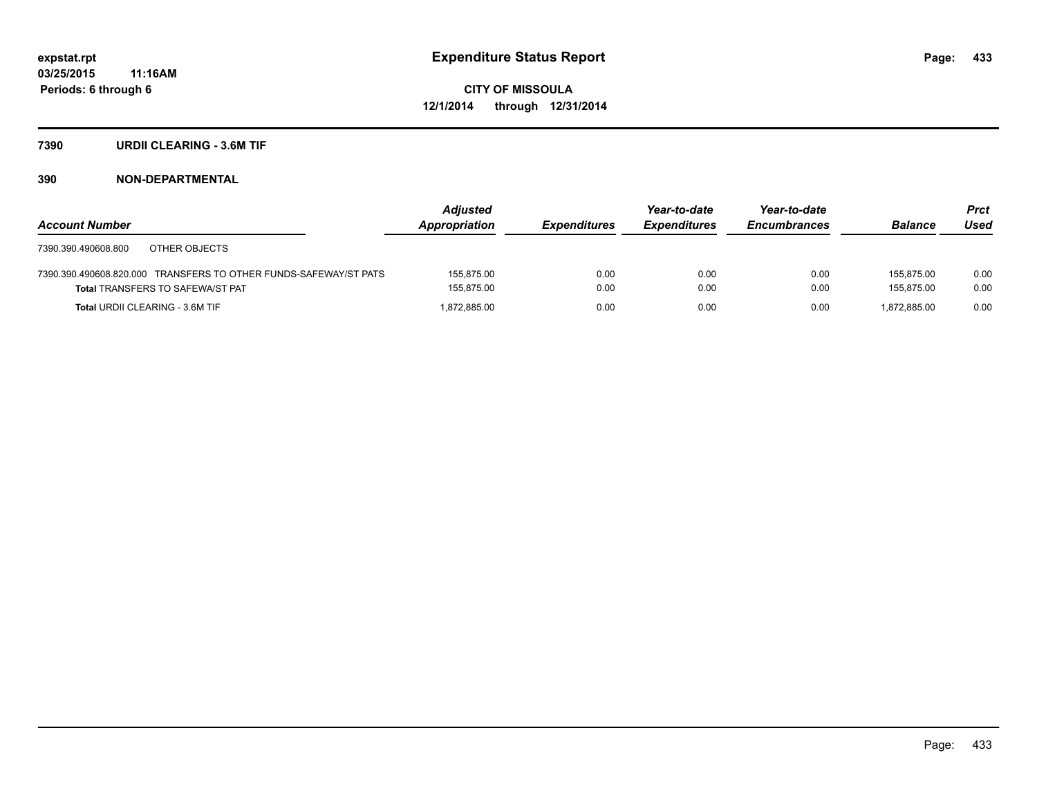#### **7390 URDII CLEARING - 3.6M TIF**

|                                                                  | <b>Adjusted</b> |                     | Year-to-date        | Year-to-date        |                | <b>Prct</b> |
|------------------------------------------------------------------|-----------------|---------------------|---------------------|---------------------|----------------|-------------|
| <b>Account Number</b>                                            | Appropriation   | <b>Expenditures</b> | <b>Expenditures</b> | <b>Encumbrances</b> | <b>Balance</b> | Used        |
| OTHER OBJECTS<br>7390.390.490608.800                             |                 |                     |                     |                     |                |             |
| 7390.390.490608.820.000 TRANSFERS TO OTHER FUNDS-SAFEWAY/ST PATS | 155.875.00      | 0.00                | 0.00                | 0.00                | 155.875.00     | 0.00        |
| <b>Total TRANSFERS TO SAFEWA/ST PAT</b>                          | 155,875.00      | 0.00                | 0.00                | 0.00                | 155.875.00     | 0.00        |
| <b>Total URDII CLEARING - 3.6M TIF</b>                           | 1.872.885.00    | 0.00                | 0.00                | 0.00                | 1.872.885.00   | 0.00        |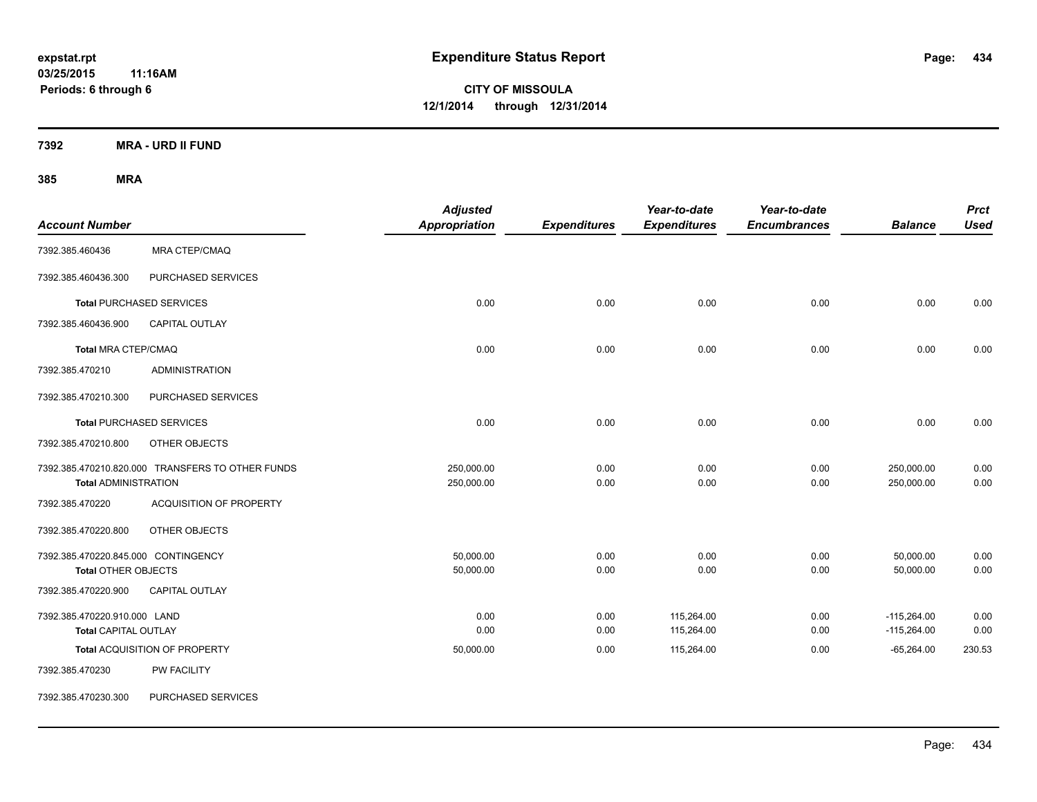**7392 MRA - URD II FUND**

| <b>Account Number</b>                                                                    |                                                  | <b>Adjusted</b><br>Appropriation | <b>Expenditures</b> | Year-to-date<br><b>Expenditures</b> | Year-to-date<br><b>Encumbrances</b> | <b>Balance</b>           | <b>Prct</b><br><b>Used</b> |
|------------------------------------------------------------------------------------------|--------------------------------------------------|----------------------------------|---------------------|-------------------------------------|-------------------------------------|--------------------------|----------------------------|
| 7392.385.460436                                                                          | <b>MRA CTEP/CMAQ</b>                             |                                  |                     |                                     |                                     |                          |                            |
| 7392.385.460436.300                                                                      | PURCHASED SERVICES                               |                                  |                     |                                     |                                     |                          |                            |
|                                                                                          | <b>Total PURCHASED SERVICES</b>                  | 0.00                             | 0.00                | 0.00                                | 0.00                                | 0.00                     | 0.00                       |
| 7392.385.460436.900                                                                      | CAPITAL OUTLAY                                   |                                  |                     |                                     |                                     |                          |                            |
| <b>Total MRA CTEP/CMAQ</b>                                                               |                                                  | 0.00                             | 0.00                | 0.00                                | 0.00                                | 0.00                     | 0.00                       |
| 7392.385.470210                                                                          | <b>ADMINISTRATION</b>                            |                                  |                     |                                     |                                     |                          |                            |
| 7392.385.470210.300                                                                      | PURCHASED SERVICES                               |                                  |                     |                                     |                                     |                          |                            |
|                                                                                          | <b>Total PURCHASED SERVICES</b>                  | 0.00                             | 0.00                | 0.00                                | 0.00                                | 0.00                     | 0.00                       |
| 7392.385.470210.800                                                                      | OTHER OBJECTS                                    |                                  |                     |                                     |                                     |                          |                            |
| <b>Total ADMINISTRATION</b>                                                              | 7392.385.470210.820.000 TRANSFERS TO OTHER FUNDS | 250,000.00<br>250,000.00         | 0.00<br>0.00        | 0.00<br>0.00                        | 0.00<br>0.00                        | 250,000.00<br>250,000.00 | 0.00<br>0.00               |
| 7392.385.470220                                                                          | <b>ACQUISITION OF PROPERTY</b>                   |                                  |                     |                                     |                                     |                          |                            |
| 7392.385.470220.800                                                                      | OTHER OBJECTS                                    |                                  |                     |                                     |                                     |                          |                            |
| 7392.385.470220.845.000 CONTINGENCY<br><b>Total OTHER OBJECTS</b><br>7392.385.470220.900 | CAPITAL OUTLAY                                   | 50,000.00<br>50,000.00           | 0.00<br>0.00        | 0.00<br>0.00                        | 0.00<br>0.00                        | 50,000.00<br>50,000.00   | 0.00<br>0.00               |
| 7392.385.470220.910.000 LAND                                                             |                                                  | 0.00                             | 0.00                | 115,264.00                          | 0.00                                | $-115,264.00$            | 0.00                       |
| <b>Total CAPITAL OUTLAY</b>                                                              |                                                  | 0.00                             | 0.00                | 115,264.00                          | 0.00                                | $-115,264.00$            | 0.00                       |
|                                                                                          | Total ACQUISITION OF PROPERTY                    | 50,000.00                        | 0.00                | 115,264.00                          | 0.00                                | $-65,264.00$             | 230.53                     |
| 7392.385.470230                                                                          | PW FACILITY                                      |                                  |                     |                                     |                                     |                          |                            |
| 7392.385.470230.300                                                                      | PURCHASED SERVICES                               |                                  |                     |                                     |                                     |                          |                            |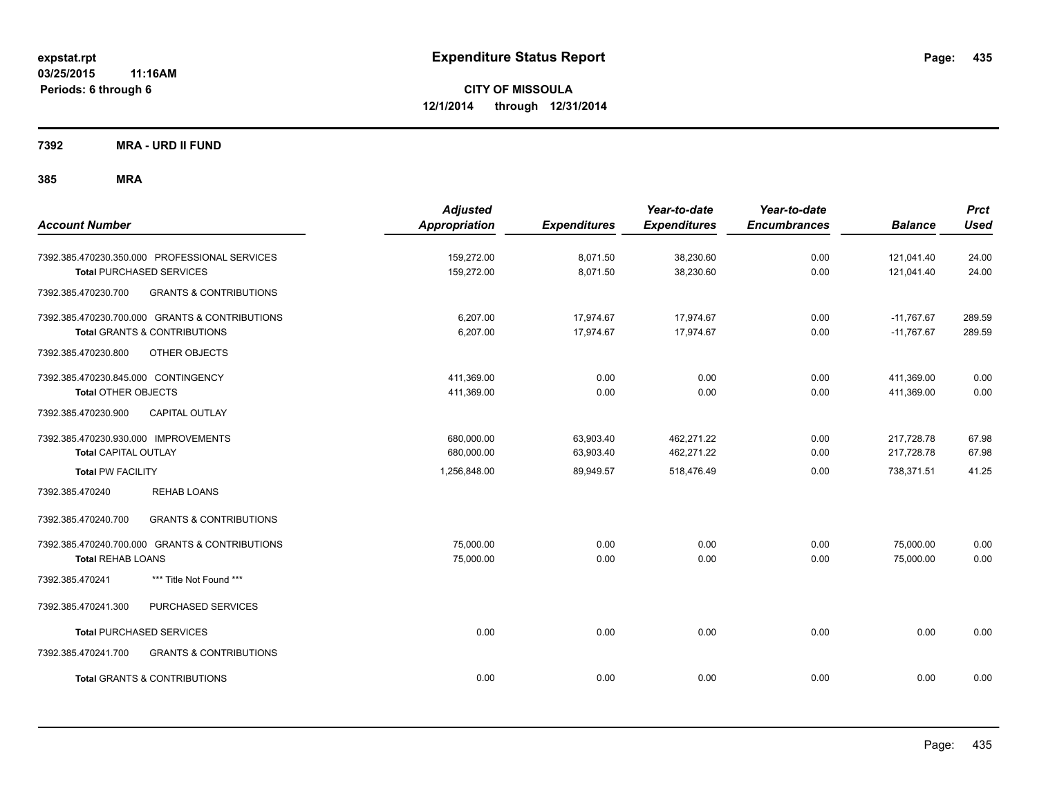**7392 MRA - URD II FUND**

| <b>Account Number</b>                                                                                             | <b>Adjusted</b><br><b>Appropriation</b> | <b>Expenditures</b>    | Year-to-date<br><b>Expenditures</b> | Year-to-date<br><b>Encumbrances</b> | <b>Balance</b>               | <b>Prct</b><br><b>Used</b> |
|-------------------------------------------------------------------------------------------------------------------|-----------------------------------------|------------------------|-------------------------------------|-------------------------------------|------------------------------|----------------------------|
| 7392.385.470230.350.000 PROFESSIONAL SERVICES<br><b>Total PURCHASED SERVICES</b>                                  | 159,272.00<br>159,272.00                | 8,071.50<br>8,071.50   | 38,230.60<br>38,230.60              | 0.00<br>0.00                        | 121,041.40<br>121,041.40     | 24.00<br>24.00             |
| 7392.385.470230.700<br><b>GRANTS &amp; CONTRIBUTIONS</b>                                                          |                                         |                        |                                     |                                     |                              |                            |
| 7392.385.470230.700.000 GRANTS & CONTRIBUTIONS<br><b>Total GRANTS &amp; CONTRIBUTIONS</b>                         | 6,207.00<br>6,207.00                    | 17,974.67<br>17,974.67 | 17,974.67<br>17,974.67              | 0.00<br>0.00                        | $-11,767.67$<br>$-11,767.67$ | 289.59<br>289.59           |
| 7392.385.470230.800<br>OTHER OBJECTS                                                                              |                                         |                        |                                     |                                     |                              |                            |
| 7392.385.470230.845.000 CONTINGENCY<br><b>Total OTHER OBJECTS</b><br>7392.385.470230.900<br><b>CAPITAL OUTLAY</b> | 411,369.00<br>411,369.00                | 0.00<br>0.00           | 0.00<br>0.00                        | 0.00<br>0.00                        | 411,369.00<br>411,369.00     | 0.00<br>0.00               |
| 7392.385.470230.930.000 IMPROVEMENTS<br><b>Total CAPITAL OUTLAY</b>                                               | 680,000.00<br>680,000.00                | 63,903.40<br>63,903.40 | 462.271.22<br>462,271.22            | 0.00<br>0.00                        | 217,728.78<br>217,728.78     | 67.98<br>67.98             |
| <b>Total PW FACILITY</b>                                                                                          | 1,256,848.00                            | 89,949.57              | 518,476.49                          | 0.00                                | 738,371.51                   | 41.25                      |
| <b>REHAB LOANS</b><br>7392.385.470240                                                                             |                                         |                        |                                     |                                     |                              |                            |
| <b>GRANTS &amp; CONTRIBUTIONS</b><br>7392.385.470240.700                                                          |                                         |                        |                                     |                                     |                              |                            |
| 7392.385.470240.700.000 GRANTS & CONTRIBUTIONS<br><b>Total REHAB LOANS</b>                                        | 75,000.00<br>75,000.00                  | 0.00<br>0.00           | 0.00<br>0.00                        | 0.00<br>0.00                        | 75,000.00<br>75,000.00       | 0.00<br>0.00               |
| *** Title Not Found ***<br>7392.385.470241                                                                        |                                         |                        |                                     |                                     |                              |                            |
| PURCHASED SERVICES<br>7392.385.470241.300                                                                         |                                         |                        |                                     |                                     |                              |                            |
| <b>Total PURCHASED SERVICES</b>                                                                                   | 0.00                                    | 0.00                   | 0.00                                | 0.00                                | 0.00                         | 0.00                       |
| 7392.385.470241.700<br><b>GRANTS &amp; CONTRIBUTIONS</b>                                                          |                                         |                        |                                     |                                     |                              |                            |
| <b>Total GRANTS &amp; CONTRIBUTIONS</b>                                                                           | 0.00                                    | 0.00                   | 0.00                                | 0.00                                | 0.00                         | 0.00                       |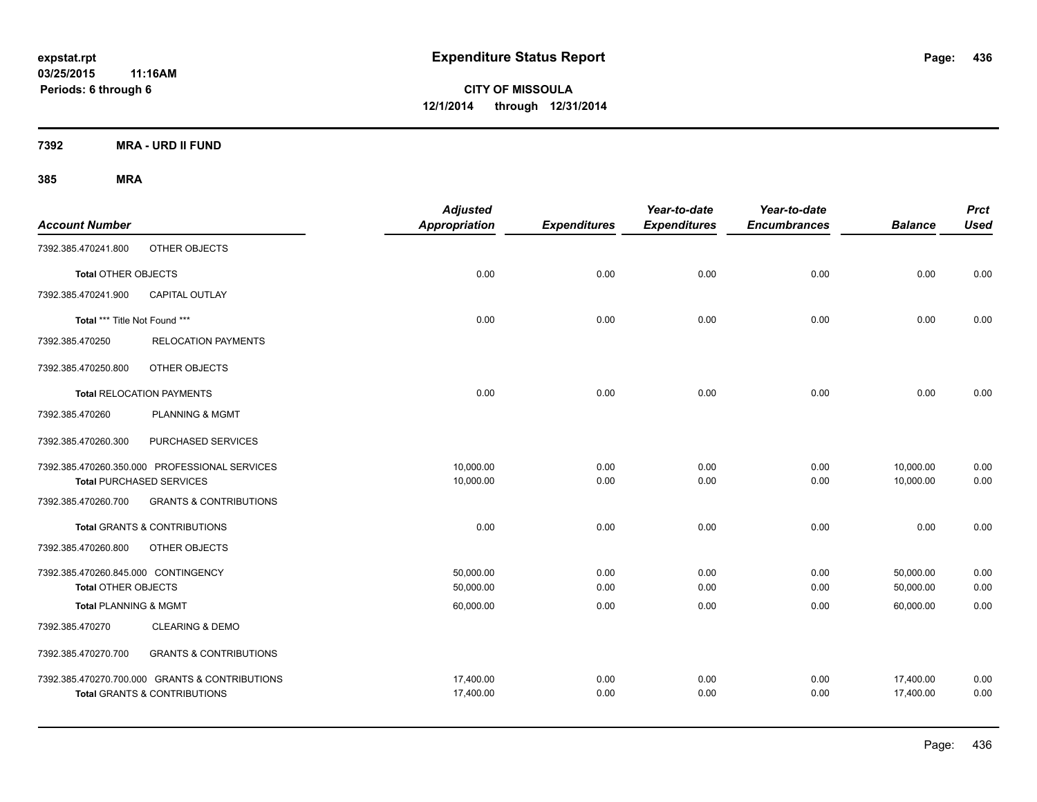**7392 MRA - URD II FUND**

| <b>Account Number</b>               |                                                | <b>Adjusted</b><br><b>Appropriation</b> | <b>Expenditures</b> | Year-to-date<br><b>Expenditures</b> | Year-to-date<br><b>Encumbrances</b> | <b>Balance</b> | <b>Prct</b><br><b>Used</b> |
|-------------------------------------|------------------------------------------------|-----------------------------------------|---------------------|-------------------------------------|-------------------------------------|----------------|----------------------------|
| 7392.385.470241.800                 | OTHER OBJECTS                                  |                                         |                     |                                     |                                     |                |                            |
| <b>Total OTHER OBJECTS</b>          |                                                | 0.00                                    | 0.00                | 0.00                                | 0.00                                | 0.00           | 0.00                       |
| 7392.385.470241.900                 | <b>CAPITAL OUTLAY</b>                          |                                         |                     |                                     |                                     |                |                            |
| Total *** Title Not Found ***       |                                                | 0.00                                    | 0.00                | 0.00                                | 0.00                                | 0.00           | 0.00                       |
| 7392.385.470250                     | <b>RELOCATION PAYMENTS</b>                     |                                         |                     |                                     |                                     |                |                            |
| 7392.385.470250.800                 | OTHER OBJECTS                                  |                                         |                     |                                     |                                     |                |                            |
|                                     | <b>Total RELOCATION PAYMENTS</b>               | 0.00                                    | 0.00                | 0.00                                | 0.00                                | 0.00           | 0.00                       |
| 7392.385.470260                     | PLANNING & MGMT                                |                                         |                     |                                     |                                     |                |                            |
| 7392.385.470260.300                 | PURCHASED SERVICES                             |                                         |                     |                                     |                                     |                |                            |
|                                     | 7392.385.470260.350.000 PROFESSIONAL SERVICES  | 10,000.00                               | 0.00                | 0.00                                | 0.00                                | 10,000.00      | 0.00                       |
|                                     | <b>Total PURCHASED SERVICES</b>                | 10,000.00                               | 0.00                | 0.00                                | 0.00                                | 10,000.00      | 0.00                       |
| 7392.385.470260.700                 | <b>GRANTS &amp; CONTRIBUTIONS</b>              |                                         |                     |                                     |                                     |                |                            |
|                                     | <b>Total GRANTS &amp; CONTRIBUTIONS</b>        | 0.00                                    | 0.00                | 0.00                                | 0.00                                | 0.00           | 0.00                       |
| 7392.385.470260.800                 | OTHER OBJECTS                                  |                                         |                     |                                     |                                     |                |                            |
| 7392.385.470260.845.000 CONTINGENCY |                                                | 50,000.00                               | 0.00                | 0.00                                | 0.00                                | 50,000.00      | 0.00                       |
| <b>Total OTHER OBJECTS</b>          |                                                | 50,000.00                               | 0.00                | 0.00                                | 0.00                                | 50,000.00      | 0.00                       |
| <b>Total PLANNING &amp; MGMT</b>    |                                                | 60,000.00                               | 0.00                | 0.00                                | 0.00                                | 60,000.00      | 0.00                       |
| 7392.385.470270                     | <b>CLEARING &amp; DEMO</b>                     |                                         |                     |                                     |                                     |                |                            |
| 7392.385.470270.700                 | <b>GRANTS &amp; CONTRIBUTIONS</b>              |                                         |                     |                                     |                                     |                |                            |
|                                     | 7392.385.470270.700.000 GRANTS & CONTRIBUTIONS | 17,400.00                               | 0.00                | 0.00                                | 0.00                                | 17,400.00      | 0.00                       |
|                                     | <b>Total GRANTS &amp; CONTRIBUTIONS</b>        | 17,400.00                               | 0.00                | 0.00                                | 0.00                                | 17,400.00      | 0.00                       |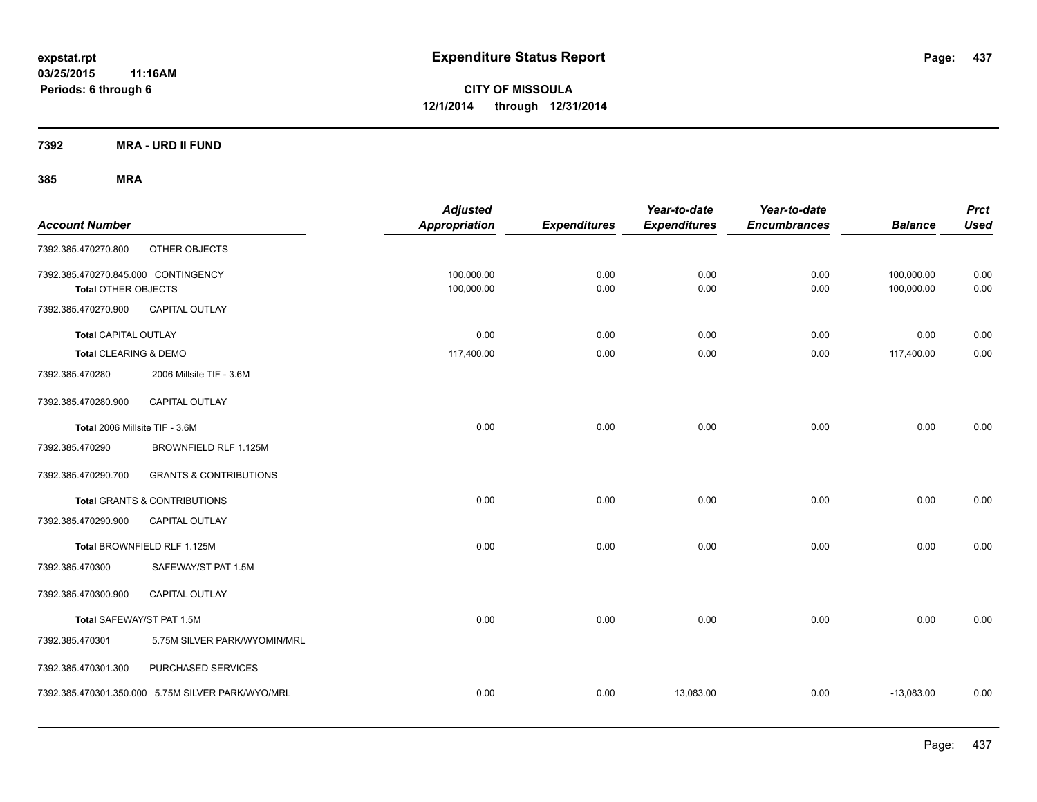**7392 MRA - URD II FUND**

| <b>Account Number</b>                                             |                                                   | <b>Adjusted</b><br><b>Appropriation</b> | <b>Expenditures</b> | Year-to-date<br><b>Expenditures</b> | Year-to-date<br><b>Encumbrances</b> | <b>Balance</b>           | <b>Prct</b><br><b>Used</b> |
|-------------------------------------------------------------------|---------------------------------------------------|-----------------------------------------|---------------------|-------------------------------------|-------------------------------------|--------------------------|----------------------------|
| 7392.385.470270.800                                               | OTHER OBJECTS                                     |                                         |                     |                                     |                                     |                          |                            |
| 7392.385.470270.845.000 CONTINGENCY<br><b>Total OTHER OBJECTS</b> |                                                   | 100,000.00<br>100,000.00                | 0.00<br>0.00        | 0.00<br>0.00                        | 0.00<br>0.00                        | 100,000.00<br>100,000.00 | 0.00<br>0.00               |
| 7392.385.470270.900                                               | <b>CAPITAL OUTLAY</b>                             |                                         |                     |                                     |                                     |                          |                            |
| Total CAPITAL OUTLAY                                              |                                                   | 0.00                                    | 0.00                | 0.00                                | 0.00                                | 0.00                     | 0.00                       |
| <b>Total CLEARING &amp; DEMO</b>                                  |                                                   | 117,400.00                              | 0.00                | 0.00                                | 0.00                                | 117,400.00               | 0.00                       |
| 7392.385.470280                                                   | 2006 Millsite TIF - 3.6M                          |                                         |                     |                                     |                                     |                          |                            |
| 7392.385.470280.900                                               | <b>CAPITAL OUTLAY</b>                             |                                         |                     |                                     |                                     |                          |                            |
| Total 2006 Millsite TIF - 3.6M                                    |                                                   | 0.00                                    | 0.00                | 0.00                                | 0.00                                | 0.00                     | 0.00                       |
| 7392.385.470290                                                   | BROWNFIELD RLF 1.125M                             |                                         |                     |                                     |                                     |                          |                            |
| 7392.385.470290.700                                               | <b>GRANTS &amp; CONTRIBUTIONS</b>                 |                                         |                     |                                     |                                     |                          |                            |
|                                                                   | <b>Total GRANTS &amp; CONTRIBUTIONS</b>           | 0.00                                    | 0.00                | 0.00                                | 0.00                                | 0.00                     | 0.00                       |
| 7392.385.470290.900                                               | <b>CAPITAL OUTLAY</b>                             |                                         |                     |                                     |                                     |                          |                            |
|                                                                   | Total BROWNFIELD RLF 1.125M                       | 0.00                                    | 0.00                | 0.00                                | 0.00                                | 0.00                     | 0.00                       |
| 7392.385.470300                                                   | SAFEWAY/ST PAT 1.5M                               |                                         |                     |                                     |                                     |                          |                            |
| 7392.385.470300.900                                               | <b>CAPITAL OUTLAY</b>                             |                                         |                     |                                     |                                     |                          |                            |
| Total SAFEWAY/ST PAT 1.5M                                         |                                                   | 0.00                                    | 0.00                | 0.00                                | 0.00                                | 0.00                     | 0.00                       |
| 7392.385.470301                                                   | 5.75M SILVER PARK/WYOMIN/MRL                      |                                         |                     |                                     |                                     |                          |                            |
| 7392.385.470301.300                                               | PURCHASED SERVICES                                |                                         |                     |                                     |                                     |                          |                            |
|                                                                   | 7392.385.470301.350.000 5.75M SILVER PARK/WYO/MRL | 0.00                                    | 0.00                | 13,083.00                           | 0.00                                | $-13,083.00$             | 0.00                       |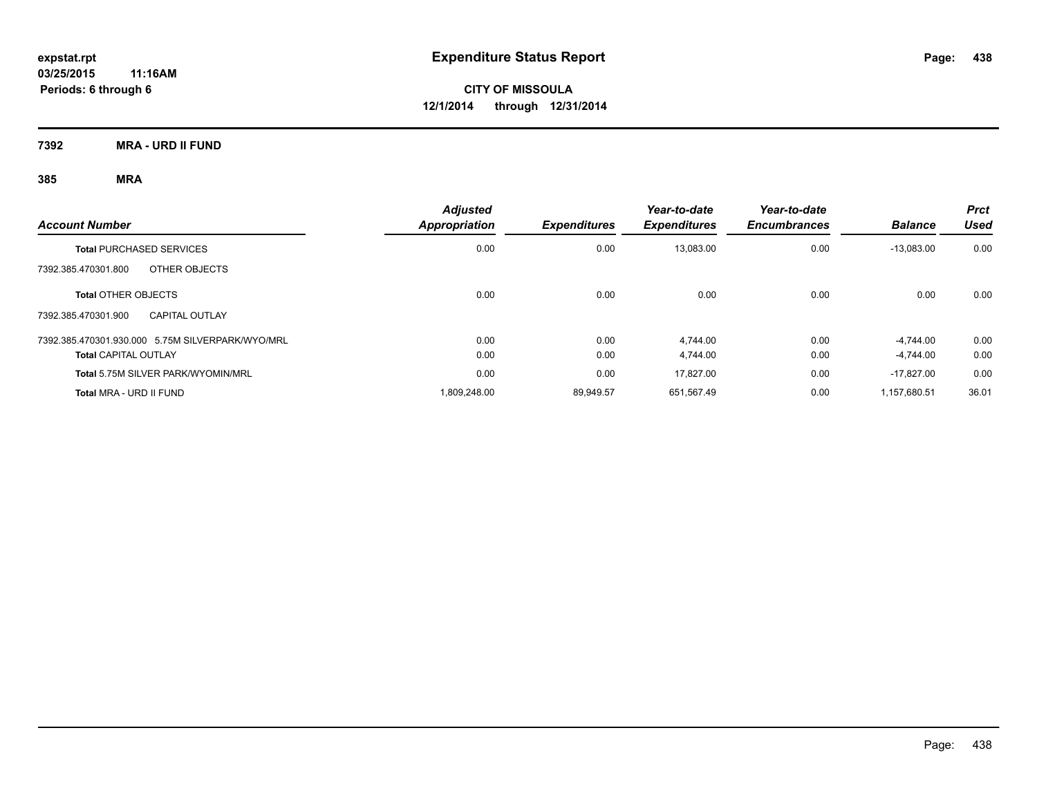**7392 MRA - URD II FUND**

| <b>Account Number</b>                            | <b>Adjusted</b>      | <b>Expenditures</b> | Year-to-date        | Year-to-date<br><b>Encumbrances</b> | <b>Balance</b> | <b>Prct</b><br>Used |
|--------------------------------------------------|----------------------|---------------------|---------------------|-------------------------------------|----------------|---------------------|
|                                                  | <b>Appropriation</b> |                     | <b>Expenditures</b> |                                     |                |                     |
| <b>Total PURCHASED SERVICES</b>                  | 0.00                 | 0.00                | 13,083.00           | 0.00                                | $-13,083.00$   | 0.00                |
| OTHER OBJECTS<br>7392.385.470301.800             |                      |                     |                     |                                     |                |                     |
| <b>Total OTHER OBJECTS</b>                       | 0.00                 | 0.00                | 0.00                | 0.00                                | 0.00           | 0.00                |
| 7392.385.470301.900<br><b>CAPITAL OUTLAY</b>     |                      |                     |                     |                                     |                |                     |
| 7392.385.470301.930.000 5.75M SILVERPARK/WYO/MRL | 0.00                 | 0.00                | 4.744.00            | 0.00                                | $-4.744.00$    | 0.00                |
| <b>Total CAPITAL OUTLAY</b>                      | 0.00                 | 0.00                | 4,744.00            | 0.00                                | $-4.744.00$    | 0.00                |
| Total 5.75M SILVER PARK/WYOMIN/MRL               | 0.00                 | 0.00                | 17.827.00           | 0.00                                | $-17.827.00$   | 0.00                |
| Total MRA - URD II FUND                          | 1.809.248.00         | 89.949.57           | 651.567.49          | 0.00                                | 1.157.680.51   | 36.01               |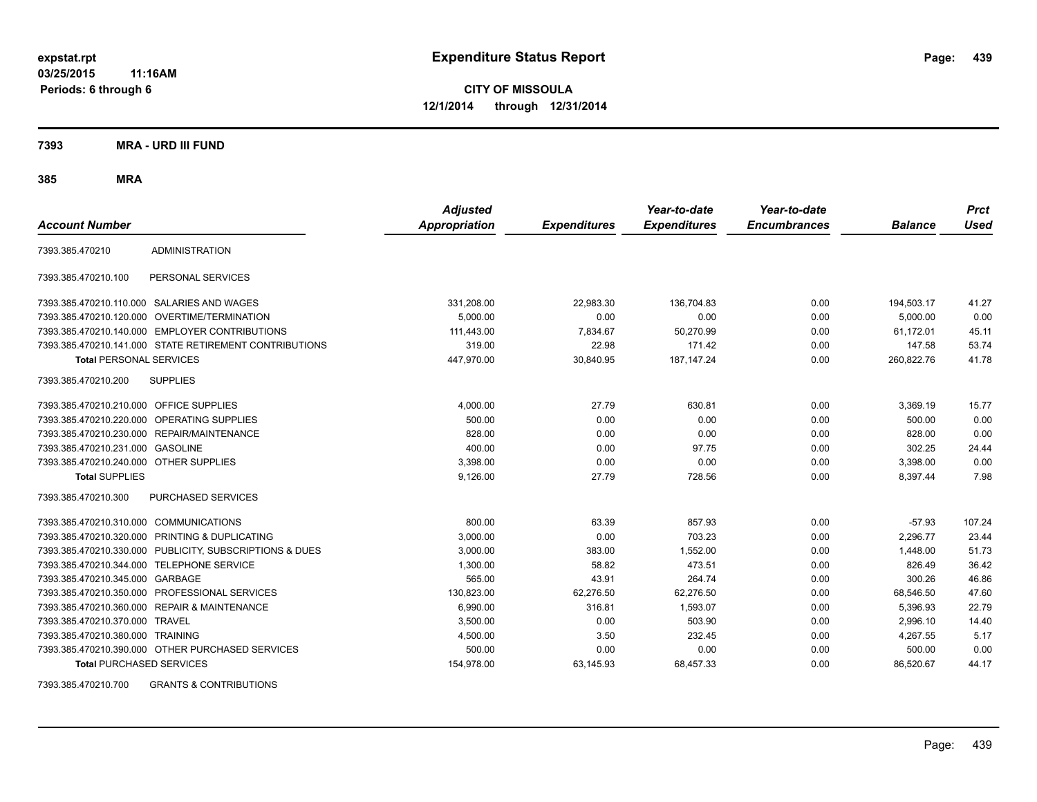**CITY OF MISSOULA 12/1/2014 through 12/31/2014**

**7393 MRA - URD III FUND**

**385 MRA**

| <b>Account Number</b>                   |                                                         | <b>Adjusted</b><br><b>Appropriation</b> | <b>Expenditures</b> | Year-to-date<br><b>Expenditures</b> | Year-to-date<br><b>Encumbrances</b> | <b>Balance</b> | <b>Prct</b><br><b>Used</b> |
|-----------------------------------------|---------------------------------------------------------|-----------------------------------------|---------------------|-------------------------------------|-------------------------------------|----------------|----------------------------|
| 7393.385.470210                         | <b>ADMINISTRATION</b>                                   |                                         |                     |                                     |                                     |                |                            |
| 7393.385.470210.100                     | PERSONAL SERVICES                                       |                                         |                     |                                     |                                     |                |                            |
|                                         | 7393.385.470210.110.000 SALARIES AND WAGES              | 331,208.00                              | 22,983.30           | 136,704.83                          | 0.00                                | 194,503.17     | 41.27                      |
|                                         | 7393.385.470210.120.000 OVERTIME/TERMINATION            | 5.000.00                                | 0.00                | 0.00                                | 0.00                                | 5.000.00       | 0.00                       |
|                                         | 7393.385.470210.140.000 EMPLOYER CONTRIBUTIONS          | 111,443.00                              | 7,834.67            | 50,270.99                           | 0.00                                | 61,172.01      | 45.11                      |
|                                         | 7393.385.470210.141.000 STATE RETIREMENT CONTRIBUTIONS  | 319.00                                  | 22.98               | 171.42                              | 0.00                                | 147.58         | 53.74                      |
| <b>Total PERSONAL SERVICES</b>          |                                                         | 447,970.00                              | 30,840.95           | 187, 147. 24                        | 0.00                                | 260,822.76     | 41.78                      |
| 7393.385.470210.200                     | <b>SUPPLIES</b>                                         |                                         |                     |                                     |                                     |                |                            |
| 7393.385.470210.210.000 OFFICE SUPPLIES |                                                         | 4,000.00                                | 27.79               | 630.81                              | 0.00                                | 3,369.19       | 15.77                      |
|                                         | 7393.385.470210.220.000 OPERATING SUPPLIES              | 500.00                                  | 0.00                | 0.00                                | 0.00                                | 500.00         | 0.00                       |
| 7393.385.470210.230.000                 | REPAIR/MAINTENANCE                                      | 828.00                                  | 0.00                | 0.00                                | 0.00                                | 828.00         | 0.00                       |
| 7393.385.470210.231.000                 | <b>GASOLINE</b>                                         | 400.00                                  | 0.00                | 97.75                               | 0.00                                | 302.25         | 24.44                      |
| 7393.385.470210.240.000 OTHER SUPPLIES  |                                                         | 3,398.00                                | 0.00                | 0.00                                | 0.00                                | 3,398.00       | 0.00                       |
| <b>Total SUPPLIES</b>                   |                                                         | 9,126.00                                | 27.79               | 728.56                              | 0.00                                | 8,397.44       | 7.98                       |
| 7393.385.470210.300                     | <b>PURCHASED SERVICES</b>                               |                                         |                     |                                     |                                     |                |                            |
| 7393.385.470210.310.000 COMMUNICATIONS  |                                                         | 800.00                                  | 63.39               | 857.93                              | 0.00                                | $-57.93$       | 107.24                     |
| 7393.385.470210.320.000                 | PRINTING & DUPLICATING                                  | 3,000.00                                | 0.00                | 703.23                              | 0.00                                | 2,296.77       | 23.44                      |
|                                         | 7393.385.470210.330.000 PUBLICITY, SUBSCRIPTIONS & DUES | 3,000.00                                | 383.00              | 1,552.00                            | 0.00                                | 1,448.00       | 51.73                      |
| 7393.385.470210.344.000                 | <b>TELEPHONE SERVICE</b>                                | 1,300.00                                | 58.82               | 473.51                              | 0.00                                | 826.49         | 36.42                      |
| 7393.385.470210.345.000 GARBAGE         |                                                         | 565.00                                  | 43.91               | 264.74                              | 0.00                                | 300.26         | 46.86                      |
|                                         | 7393.385.470210.350.000 PROFESSIONAL SERVICES           | 130.823.00                              | 62,276.50           | 62.276.50                           | 0.00                                | 68,546.50      | 47.60                      |
|                                         | 7393.385.470210.360.000 REPAIR & MAINTENANCE            | 6,990.00                                | 316.81              | 1,593.07                            | 0.00                                | 5,396.93       | 22.79                      |
| 7393.385.470210.370.000 TRAVEL          |                                                         | 3,500.00                                | 0.00                | 503.90                              | 0.00                                | 2,996.10       | 14.40                      |
| 7393.385.470210.380.000 TRAINING        |                                                         | 4,500.00                                | 3.50                | 232.45                              | 0.00                                | 4,267.55       | 5.17                       |
|                                         | 7393.385.470210.390.000 OTHER PURCHASED SERVICES        | 500.00                                  | 0.00                | 0.00                                | 0.00                                | 500.00         | 0.00                       |
| <b>Total PURCHASED SERVICES</b>         |                                                         | 154,978.00                              | 63,145.93           | 68,457.33                           | 0.00                                | 86,520.67      | 44.17                      |

7393.385.470210.700 GRANTS & CONTRIBUTIONS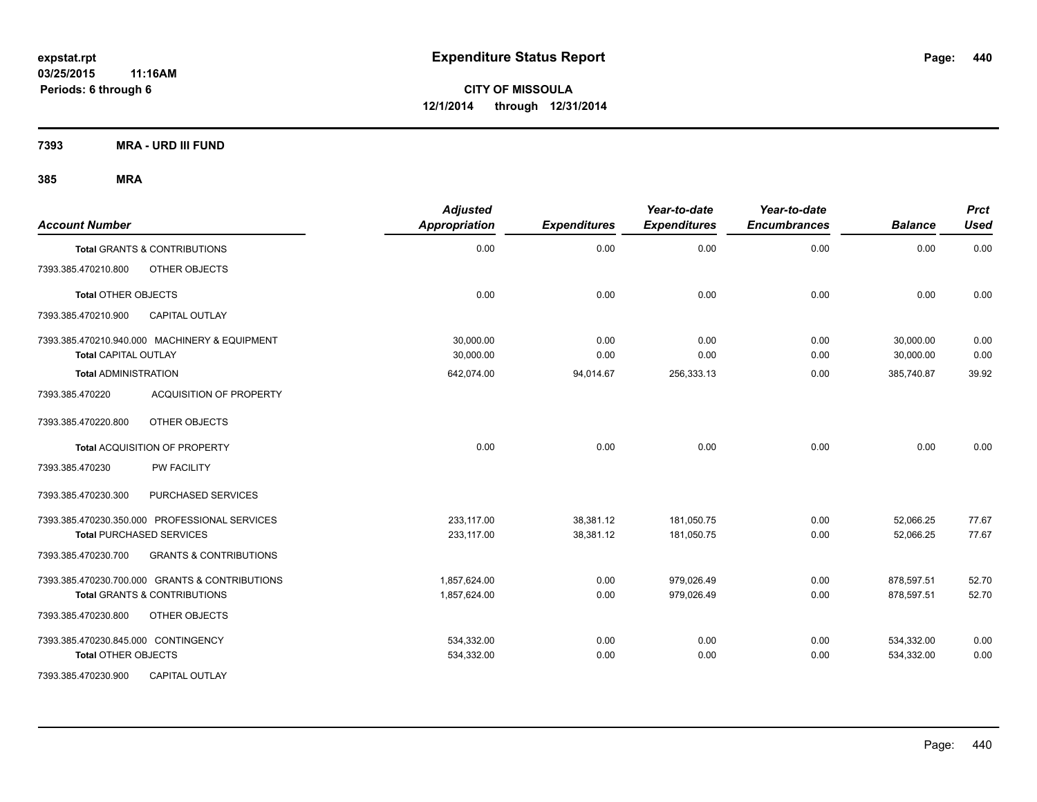**7393 MRA - URD III FUND**

| <b>Account Number</b>                                    | <b>Adjusted</b><br>Appropriation | <b>Expenditures</b> | Year-to-date<br><b>Expenditures</b> | Year-to-date<br><b>Encumbrances</b> | <b>Balance</b> | <b>Prct</b><br><b>Used</b> |
|----------------------------------------------------------|----------------------------------|---------------------|-------------------------------------|-------------------------------------|----------------|----------------------------|
| <b>Total GRANTS &amp; CONTRIBUTIONS</b>                  | 0.00                             | 0.00                | 0.00                                | 0.00                                | 0.00           | 0.00                       |
| OTHER OBJECTS<br>7393.385.470210.800                     |                                  |                     |                                     |                                     |                |                            |
| <b>Total OTHER OBJECTS</b>                               | 0.00                             | 0.00                | 0.00                                | 0.00                                | 0.00           | 0.00                       |
| 7393.385.470210.900<br><b>CAPITAL OUTLAY</b>             |                                  |                     |                                     |                                     |                |                            |
| 7393.385.470210.940.000 MACHINERY & EQUIPMENT            | 30,000.00                        | 0.00                | 0.00                                | 0.00                                | 30,000.00      | 0.00                       |
| <b>Total CAPITAL OUTLAY</b>                              | 30,000.00                        | 0.00                | 0.00                                | 0.00                                | 30,000.00      | 0.00                       |
| <b>Total ADMINISTRATION</b>                              | 642,074.00                       | 94,014.67           | 256,333.13                          | 0.00                                | 385,740.87     | 39.92                      |
| <b>ACQUISITION OF PROPERTY</b><br>7393.385.470220        |                                  |                     |                                     |                                     |                |                            |
| OTHER OBJECTS<br>7393.385.470220.800                     |                                  |                     |                                     |                                     |                |                            |
| Total ACQUISITION OF PROPERTY                            | 0.00                             | 0.00                | 0.00                                | 0.00                                | 0.00           | 0.00                       |
| 7393.385.470230<br><b>PW FACILITY</b>                    |                                  |                     |                                     |                                     |                |                            |
| PURCHASED SERVICES<br>7393.385.470230.300                |                                  |                     |                                     |                                     |                |                            |
| 7393.385.470230.350.000 PROFESSIONAL SERVICES            | 233.117.00                       | 38,381.12           | 181.050.75                          | 0.00                                | 52,066.25      | 77.67                      |
| <b>Total PURCHASED SERVICES</b>                          | 233,117.00                       | 38,381.12           | 181,050.75                          | 0.00                                | 52,066.25      | 77.67                      |
| <b>GRANTS &amp; CONTRIBUTIONS</b><br>7393.385.470230.700 |                                  |                     |                                     |                                     |                |                            |
| 7393.385.470230.700.000 GRANTS & CONTRIBUTIONS           | 1,857,624.00                     | 0.00                | 979,026.49                          | 0.00                                | 878,597.51     | 52.70                      |
| <b>Total GRANTS &amp; CONTRIBUTIONS</b>                  | 1,857,624.00                     | 0.00                | 979,026.49                          | 0.00                                | 878,597.51     | 52.70                      |
| OTHER OBJECTS<br>7393.385.470230.800                     |                                  |                     |                                     |                                     |                |                            |
| 7393.385.470230.845.000 CONTINGENCY                      | 534,332.00                       | 0.00                | 0.00                                | 0.00                                | 534,332.00     | 0.00                       |
| <b>Total OTHER OBJECTS</b>                               | 534,332.00                       | 0.00                | 0.00                                | 0.00                                | 534,332.00     | 0.00                       |
| 7393.385.470230.900<br><b>CAPITAL OUTLAY</b>             |                                  |                     |                                     |                                     |                |                            |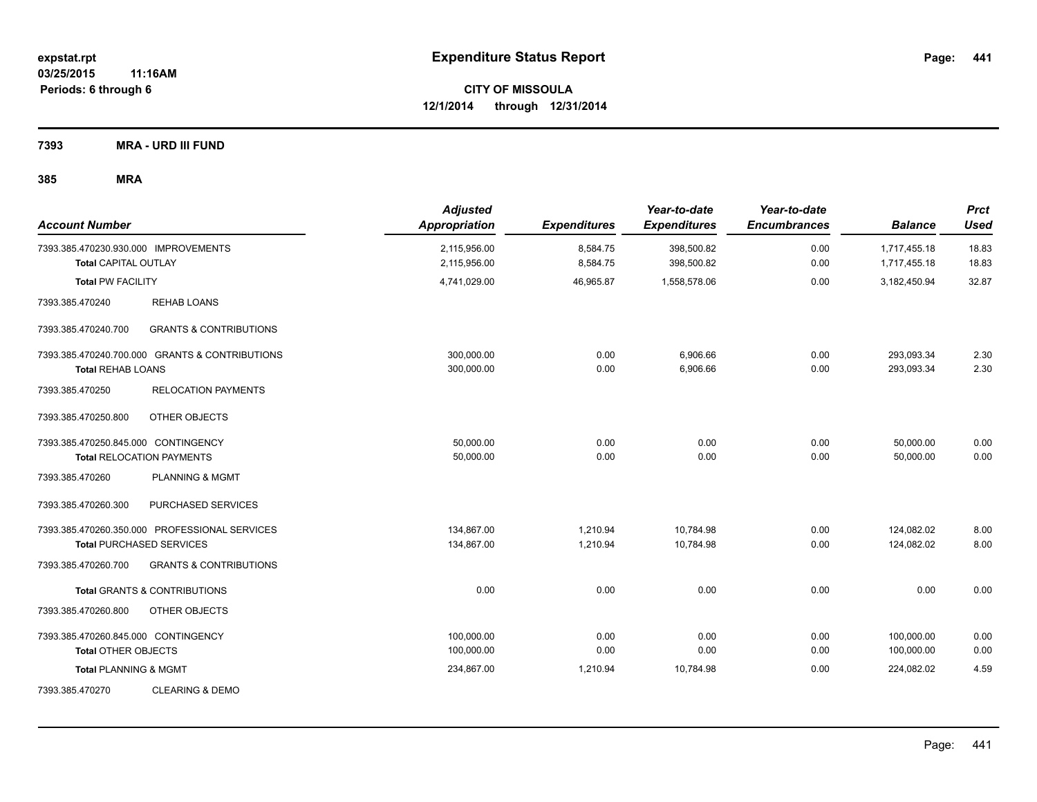**7393 MRA - URD III FUND**

| <b>Account Number</b>                                               |                                                                                  | <b>Adjusted</b><br><b>Appropriation</b> | <b>Expenditures</b>  | Year-to-date<br><b>Expenditures</b> | Year-to-date<br><b>Encumbrances</b> | <b>Balance</b>               | <b>Prct</b><br><b>Used</b> |
|---------------------------------------------------------------------|----------------------------------------------------------------------------------|-----------------------------------------|----------------------|-------------------------------------|-------------------------------------|------------------------------|----------------------------|
| 7393.385.470230.930.000 IMPROVEMENTS<br><b>Total CAPITAL OUTLAY</b> |                                                                                  | 2,115,956.00<br>2,115,956.00            | 8,584.75<br>8,584.75 | 398,500.82<br>398,500.82            | 0.00<br>0.00                        | 1,717,455.18<br>1,717,455.18 | 18.83<br>18.83             |
| <b>Total PW FACILITY</b>                                            |                                                                                  | 4,741,029.00                            | 46,965.87            | 1,558,578.06                        | 0.00                                | 3,182,450.94                 | 32.87                      |
| 7393.385.470240                                                     | <b>REHAB LOANS</b>                                                               |                                         |                      |                                     |                                     |                              |                            |
| 7393.385.470240.700                                                 | <b>GRANTS &amp; CONTRIBUTIONS</b>                                                |                                         |                      |                                     |                                     |                              |                            |
| <b>Total REHAB LOANS</b>                                            | 7393.385.470240.700.000 GRANTS & CONTRIBUTIONS                                   | 300,000.00<br>300,000.00                | 0.00<br>0.00         | 6,906.66<br>6,906.66                | 0.00<br>0.00                        | 293,093.34<br>293,093.34     | 2.30<br>2.30               |
| 7393.385.470250                                                     | <b>RELOCATION PAYMENTS</b>                                                       |                                         |                      |                                     |                                     |                              |                            |
| 7393.385.470250.800                                                 | OTHER OBJECTS                                                                    |                                         |                      |                                     |                                     |                              |                            |
| 7393.385.470250.845.000 CONTINGENCY                                 | <b>Total RELOCATION PAYMENTS</b>                                                 | 50,000.00<br>50,000.00                  | 0.00<br>0.00         | 0.00<br>0.00                        | 0.00<br>0.00                        | 50,000.00<br>50,000.00       | 0.00<br>0.00               |
| 7393.385.470260                                                     | PLANNING & MGMT                                                                  |                                         |                      |                                     |                                     |                              |                            |
| 7393.385.470260.300                                                 | PURCHASED SERVICES                                                               |                                         |                      |                                     |                                     |                              |                            |
|                                                                     | 7393.385.470260.350.000 PROFESSIONAL SERVICES<br><b>Total PURCHASED SERVICES</b> | 134,867.00<br>134,867.00                | 1,210.94<br>1,210.94 | 10,784.98<br>10,784.98              | 0.00<br>0.00                        | 124,082.02<br>124,082.02     | 8.00<br>8.00               |
| 7393.385.470260.700                                                 | <b>GRANTS &amp; CONTRIBUTIONS</b>                                                |                                         |                      |                                     |                                     |                              |                            |
|                                                                     | <b>Total GRANTS &amp; CONTRIBUTIONS</b>                                          | 0.00                                    | 0.00                 | 0.00                                | 0.00                                | 0.00                         | 0.00                       |
| 7393.385.470260.800                                                 | OTHER OBJECTS                                                                    |                                         |                      |                                     |                                     |                              |                            |
| 7393.385.470260.845.000 CONTINGENCY<br><b>Total OTHER OBJECTS</b>   |                                                                                  | 100,000.00<br>100,000.00                | 0.00<br>0.00         | 0.00<br>0.00                        | 0.00<br>0.00                        | 100,000.00<br>100,000.00     | 0.00<br>0.00               |
| <b>Total PLANNING &amp; MGMT</b>                                    |                                                                                  | 234,867.00                              | 1,210.94             | 10,784.98                           | 0.00                                | 224,082.02                   | 4.59                       |
| 7393.385.470270                                                     | <b>CLEARING &amp; DEMO</b>                                                       |                                         |                      |                                     |                                     |                              |                            |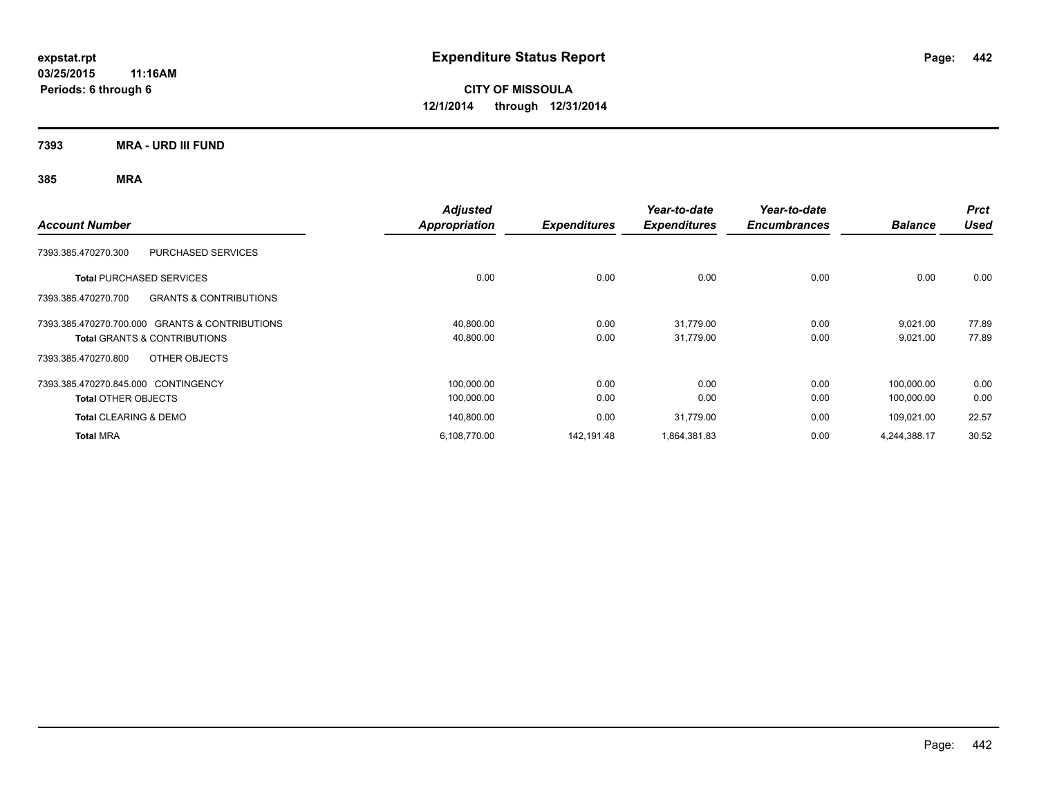**7393 MRA - URD III FUND**

| <b>Account Number</b>                                    | <b>Adjusted</b><br><b>Appropriation</b> | <b>Expenditures</b> | Year-to-date<br><b>Expenditures</b> | Year-to-date<br><b>Encumbrances</b> | <b>Balance</b> | <b>Prct</b><br><b>Used</b> |
|----------------------------------------------------------|-----------------------------------------|---------------------|-------------------------------------|-------------------------------------|----------------|----------------------------|
| 7393.385.470270.300<br>PURCHASED SERVICES                |                                         |                     |                                     |                                     |                |                            |
| <b>Total PURCHASED SERVICES</b>                          | 0.00                                    | 0.00                | 0.00                                | 0.00                                | 0.00           | 0.00                       |
| <b>GRANTS &amp; CONTRIBUTIONS</b><br>7393.385.470270.700 |                                         |                     |                                     |                                     |                |                            |
| 7393.385.470270.700.000 GRANTS & CONTRIBUTIONS           | 40,800.00                               | 0.00                | 31,779.00                           | 0.00                                | 9,021.00       | 77.89                      |
| <b>Total GRANTS &amp; CONTRIBUTIONS</b>                  | 40,800.00                               | 0.00                | 31,779.00                           | 0.00                                | 9,021.00       | 77.89                      |
| OTHER OBJECTS<br>7393.385.470270.800                     |                                         |                     |                                     |                                     |                |                            |
| 7393.385.470270.845.000 CONTINGENCY                      | 100,000.00                              | 0.00                | 0.00                                | 0.00                                | 100,000.00     | 0.00                       |
| <b>Total OTHER OBJECTS</b>                               | 100,000.00                              | 0.00                | 0.00                                | 0.00                                | 100,000.00     | 0.00                       |
| <b>Total CLEARING &amp; DEMO</b>                         | 140,800.00                              | 0.00                | 31,779.00                           | 0.00                                | 109,021.00     | 22.57                      |
| <b>Total MRA</b>                                         | 6,108,770.00                            | 142.191.48          | 1,864,381.83                        | 0.00                                | 4,244,388.17   | 30.52                      |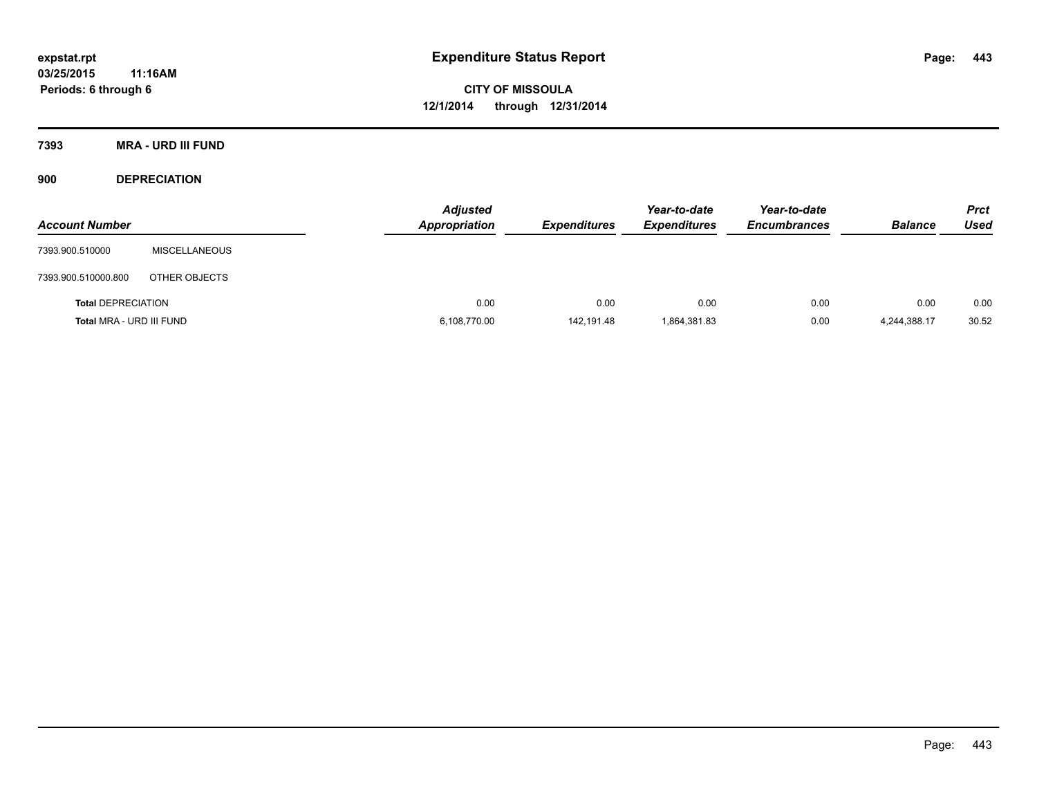**7393 MRA - URD III FUND**

**900 DEPRECIATION**

| <b>Account Number</b>     |                      | <b>Adjusted</b><br>Appropriation | <b>Expenditures</b> | Year-to-date<br><b>Expenditures</b> | Year-to-date<br><b>Encumbrances</b> | <b>Balance</b> | <b>Prct</b><br><b>Used</b> |
|---------------------------|----------------------|----------------------------------|---------------------|-------------------------------------|-------------------------------------|----------------|----------------------------|
| 7393.900.510000           | <b>MISCELLANEOUS</b> |                                  |                     |                                     |                                     |                |                            |
| 7393.900.510000.800       | OTHER OBJECTS        |                                  |                     |                                     |                                     |                |                            |
| <b>Total DEPRECIATION</b> |                      | 0.00                             | 0.00                | 0.00                                | 0.00                                | 0.00           | 0.00                       |
| Total MRA - URD III FUND  |                      | 6,108,770.00                     | 142,191.48          | 1,864,381.83                        | 0.00                                | 4,244,388.17   | 30.52                      |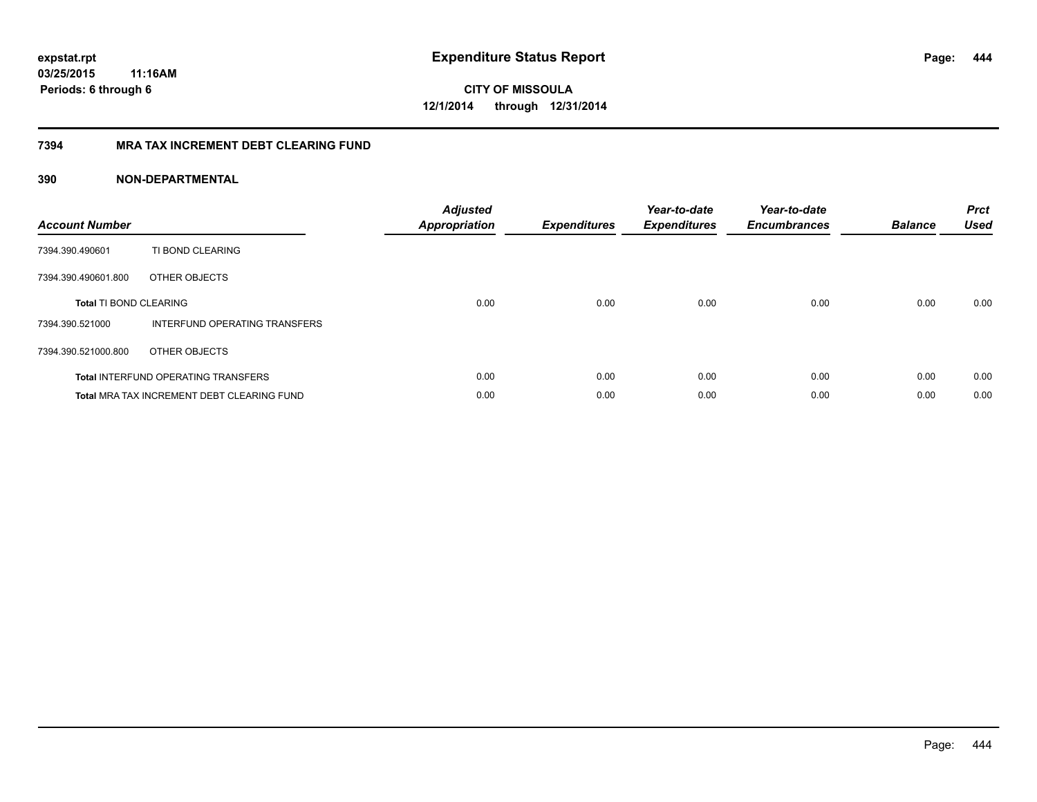**444**

**CITY OF MISSOULA 12/1/2014 through 12/31/2014**

### **7394 MRA TAX INCREMENT DEBT CLEARING FUND**

| <b>Account Number</b>         |                                            | <b>Adjusted</b><br><b>Appropriation</b> | <b>Expenditures</b> | Year-to-date<br><b>Expenditures</b> | Year-to-date<br><b>Encumbrances</b> | <b>Balance</b> | <b>Prct</b><br><b>Used</b> |
|-------------------------------|--------------------------------------------|-----------------------------------------|---------------------|-------------------------------------|-------------------------------------|----------------|----------------------------|
| 7394.390.490601               | TI BOND CLEARING                           |                                         |                     |                                     |                                     |                |                            |
| 7394.390.490601.800           | OTHER OBJECTS                              |                                         |                     |                                     |                                     |                |                            |
| <b>Total TI BOND CLEARING</b> |                                            | 0.00                                    | 0.00                | 0.00                                | 0.00                                | 0.00           | 0.00                       |
| 7394.390.521000               | INTERFUND OPERATING TRANSFERS              |                                         |                     |                                     |                                     |                |                            |
| 7394.390.521000.800           | OTHER OBJECTS                              |                                         |                     |                                     |                                     |                |                            |
|                               | <b>Total INTERFUND OPERATING TRANSFERS</b> | 0.00                                    | 0.00                | 0.00                                | 0.00                                | 0.00           | 0.00                       |
|                               | Total MRA TAX INCREMENT DEBT CLEARING FUND | 0.00                                    | 0.00                | 0.00                                | 0.00                                | 0.00           | 0.00                       |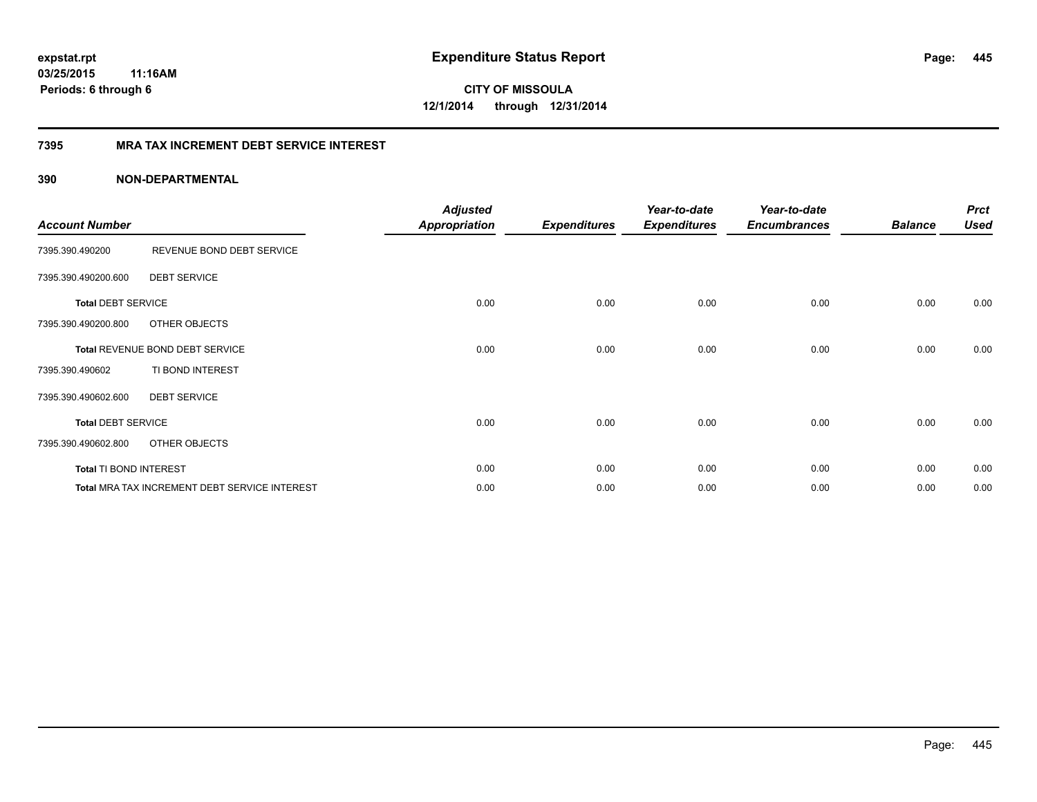**CITY OF MISSOULA 12/1/2014 through 12/31/2014**

### **7395 MRA TAX INCREMENT DEBT SERVICE INTEREST**

| <b>Account Number</b>     |                                                      | <b>Adjusted</b><br><b>Appropriation</b> | <b>Expenditures</b> | Year-to-date<br><b>Expenditures</b> | Year-to-date<br><b>Encumbrances</b> | <b>Balance</b> | <b>Prct</b><br><b>Used</b> |
|---------------------------|------------------------------------------------------|-----------------------------------------|---------------------|-------------------------------------|-------------------------------------|----------------|----------------------------|
| 7395.390.490200           | REVENUE BOND DEBT SERVICE                            |                                         |                     |                                     |                                     |                |                            |
| 7395.390.490200.600       | <b>DEBT SERVICE</b>                                  |                                         |                     |                                     |                                     |                |                            |
| <b>Total DEBT SERVICE</b> |                                                      | 0.00                                    | 0.00                | 0.00                                | 0.00                                | 0.00           | 0.00                       |
| 7395.390.490200.800       | OTHER OBJECTS                                        |                                         |                     |                                     |                                     |                |                            |
|                           | Total REVENUE BOND DEBT SERVICE                      | 0.00                                    | 0.00                | 0.00                                | 0.00                                | 0.00           | 0.00                       |
| 7395.390.490602           | TI BOND INTEREST                                     |                                         |                     |                                     |                                     |                |                            |
| 7395.390.490602.600       | <b>DEBT SERVICE</b>                                  |                                         |                     |                                     |                                     |                |                            |
| <b>Total DEBT SERVICE</b> |                                                      | 0.00                                    | 0.00                | 0.00                                | 0.00                                | 0.00           | 0.00                       |
| 7395.390.490602.800       | OTHER OBJECTS                                        |                                         |                     |                                     |                                     |                |                            |
| Total TI BOND INTEREST    |                                                      | 0.00                                    | 0.00                | 0.00                                | 0.00                                | 0.00           | 0.00                       |
|                           | <b>Total MRA TAX INCREMENT DEBT SERVICE INTEREST</b> | 0.00                                    | 0.00                | 0.00                                | 0.00                                | 0.00           | 0.00                       |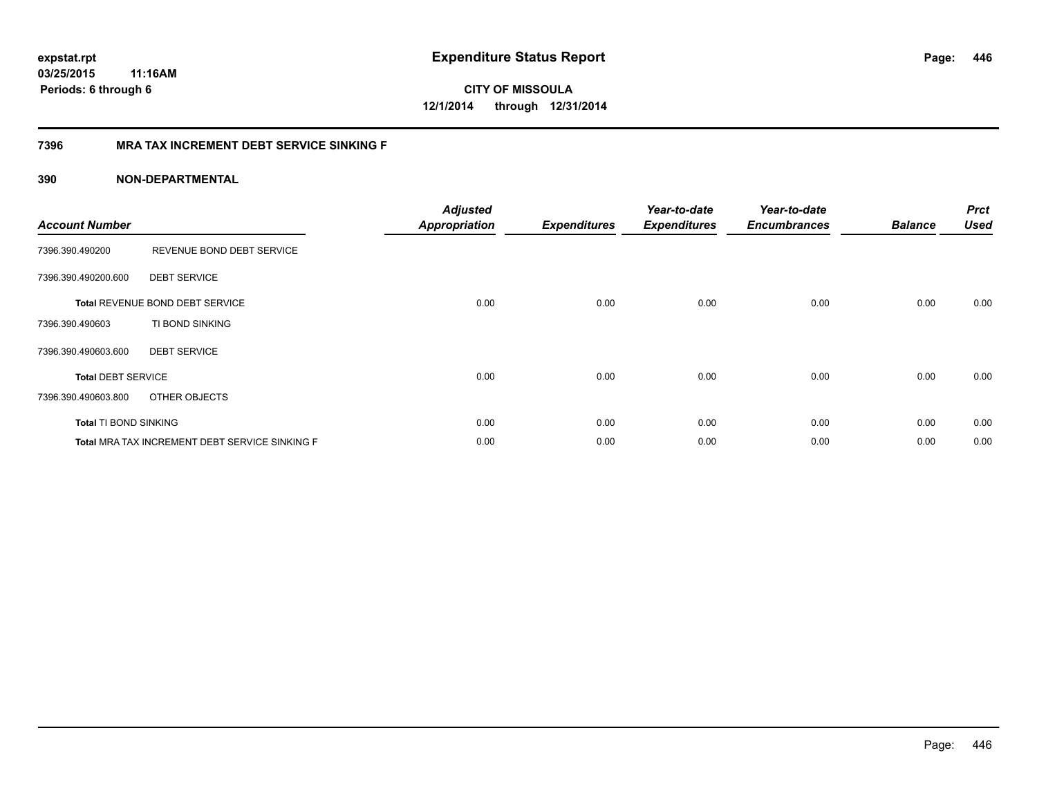**CITY OF MISSOULA 12/1/2014 through 12/31/2014**

### **7396 MRA TAX INCREMENT DEBT SERVICE SINKING F**

| <b>Account Number</b>        |                                                | <b>Adjusted</b><br><b>Appropriation</b> | <b>Expenditures</b> | Year-to-date<br><b>Expenditures</b> | Year-to-date<br><b>Encumbrances</b> | <b>Balance</b> | <b>Prct</b><br><b>Used</b> |
|------------------------------|------------------------------------------------|-----------------------------------------|---------------------|-------------------------------------|-------------------------------------|----------------|----------------------------|
| 7396.390.490200              | REVENUE BOND DEBT SERVICE                      |                                         |                     |                                     |                                     |                |                            |
| 7396.390.490200.600          | <b>DEBT SERVICE</b>                            |                                         |                     |                                     |                                     |                |                            |
|                              | <b>Total REVENUE BOND DEBT SERVICE</b>         | 0.00                                    | 0.00                | 0.00                                | 0.00                                | 0.00           | 0.00                       |
| 7396.390.490603              | TI BOND SINKING                                |                                         |                     |                                     |                                     |                |                            |
| 7396.390.490603.600          | <b>DEBT SERVICE</b>                            |                                         |                     |                                     |                                     |                |                            |
| <b>Total DEBT SERVICE</b>    |                                                | 0.00                                    | 0.00                | 0.00                                | 0.00                                | 0.00           | 0.00                       |
| 7396.390.490603.800          | OTHER OBJECTS                                  |                                         |                     |                                     |                                     |                |                            |
| <b>Total TI BOND SINKING</b> |                                                | 0.00                                    | 0.00                | 0.00                                | 0.00                                | 0.00           | 0.00                       |
|                              | Total MRA TAX INCREMENT DEBT SERVICE SINKING F | 0.00                                    | 0.00                | 0.00                                | 0.00                                | 0.00           | 0.00                       |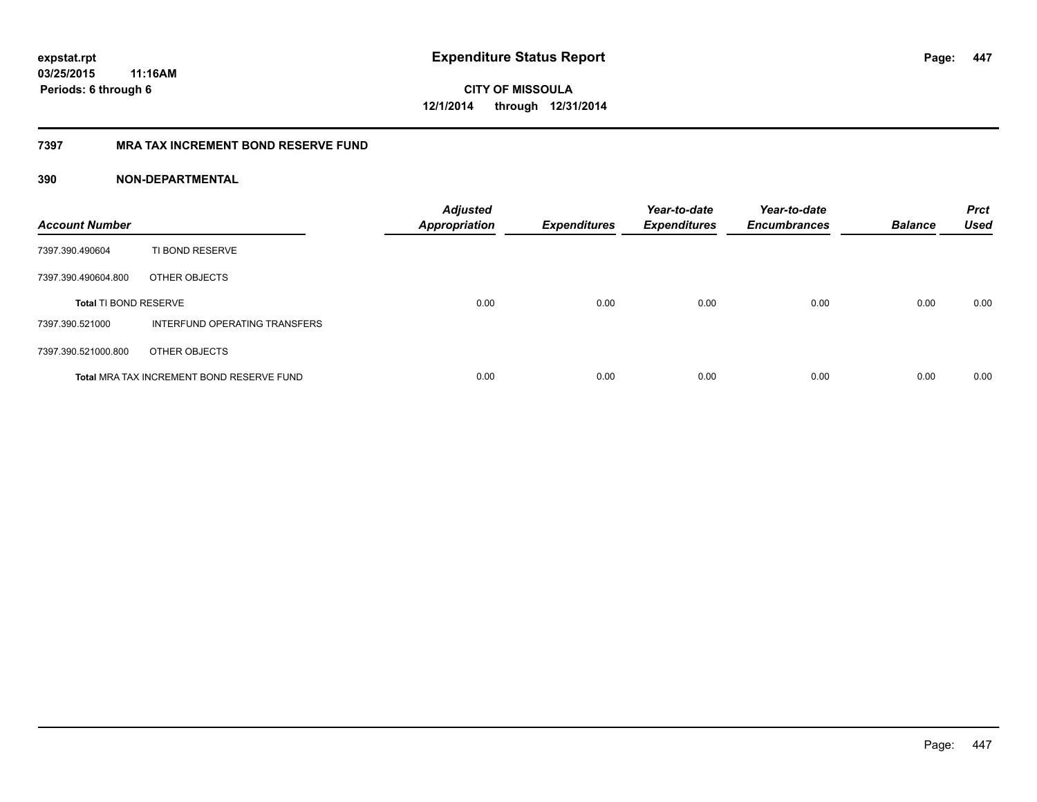**447**

**CITY OF MISSOULA 12/1/2014 through 12/31/2014**

### **7397 MRA TAX INCREMENT BOND RESERVE FUND**

| <b>Account Number</b>        |                                           | <b>Adjusted</b><br><b>Appropriation</b> | <b>Expenditures</b> | Year-to-date<br><b>Expenditures</b> | Year-to-date<br><b>Encumbrances</b> | <b>Balance</b> | <b>Prct</b><br><b>Used</b> |
|------------------------------|-------------------------------------------|-----------------------------------------|---------------------|-------------------------------------|-------------------------------------|----------------|----------------------------|
| 7397.390.490604              | TI BOND RESERVE                           |                                         |                     |                                     |                                     |                |                            |
| 7397.390.490604.800          | OTHER OBJECTS                             |                                         |                     |                                     |                                     |                |                            |
| <b>Total TI BOND RESERVE</b> |                                           | 0.00                                    | 0.00                | 0.00                                | 0.00                                | 0.00           | 0.00                       |
| 7397.390.521000              | INTERFUND OPERATING TRANSFERS             |                                         |                     |                                     |                                     |                |                            |
| 7397.390.521000.800          | OTHER OBJECTS                             |                                         |                     |                                     |                                     |                |                            |
|                              | Total MRA TAX INCREMENT BOND RESERVE FUND | 0.00                                    | 0.00                | 0.00                                | 0.00                                | 0.00           | 0.00                       |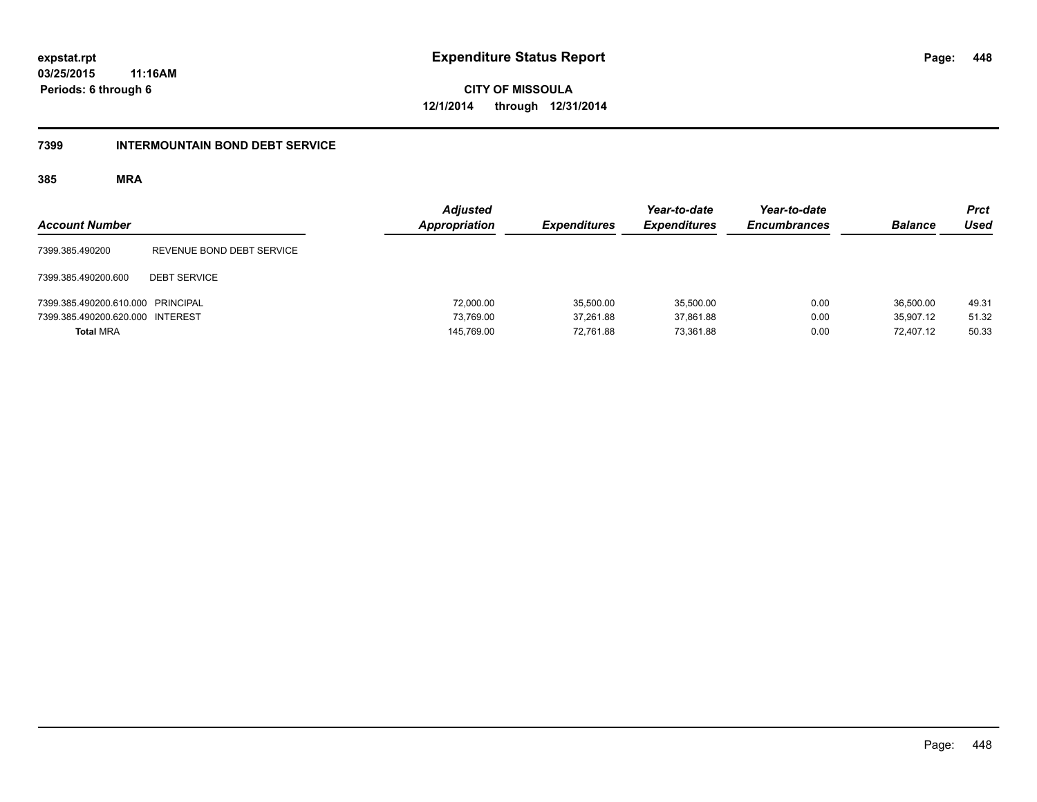**CITY OF MISSOULA 12/1/2014 through 12/31/2014**

#### **7399 INTERMOUNTAIN BOND DEBT SERVICE**

| <b>Account Number</b>             |                           | <b>Adjusted</b><br>Appropriation | <b>Expenditures</b> | Year-to-date<br><b>Expenditures</b> | Year-to-date<br><b>Encumbrances</b> | <b>Balance</b> | <b>Prct</b><br><b>Used</b> |
|-----------------------------------|---------------------------|----------------------------------|---------------------|-------------------------------------|-------------------------------------|----------------|----------------------------|
| 7399.385.490200                   | REVENUE BOND DEBT SERVICE |                                  |                     |                                     |                                     |                |                            |
| 7399.385.490200.600               | <b>DEBT SERVICE</b>       |                                  |                     |                                     |                                     |                |                            |
| 7399.385.490200.610.000 PRINCIPAL |                           | 72,000.00                        | 35,500.00           | 35,500.00                           | 0.00                                | 36.500.00      | 49.31                      |
| 7399.385.490200.620.000 INTEREST  |                           | 73.769.00                        | 37.261.88           | 37.861.88                           | 0.00                                | 35.907.12      | 51.32                      |
| <b>Total MRA</b>                  |                           | 145,769.00                       | 72,761.88           | 73.361.88                           | 0.00                                | 72.407.12      | 50.33                      |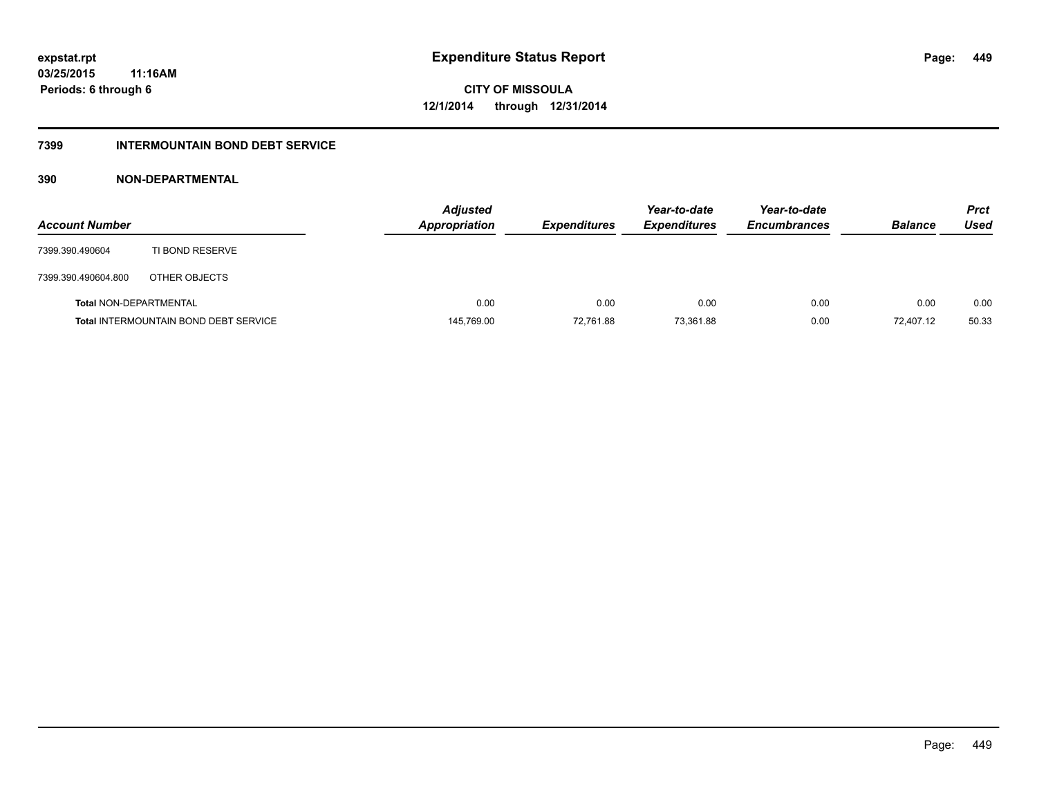### **7399 INTERMOUNTAIN BOND DEBT SERVICE**

| <b>Account Number</b>         |                                              | Adjusted<br><b>Appropriation</b> | <b>Expenditures</b> | Year-to-date<br><b>Expenditures</b> | Year-to-date<br><b>Encumbrances</b> | <b>Balance</b> | <b>Prct</b><br>Used |
|-------------------------------|----------------------------------------------|----------------------------------|---------------------|-------------------------------------|-------------------------------------|----------------|---------------------|
| 7399.390.490604               | TI BOND RESERVE                              |                                  |                     |                                     |                                     |                |                     |
| 7399.390.490604.800           | OTHER OBJECTS                                |                                  |                     |                                     |                                     |                |                     |
| <b>Total NON-DEPARTMENTAL</b> |                                              | 0.00                             | 0.00                | 0.00                                | 0.00                                | 0.00           | 0.00                |
|                               | <b>Total INTERMOUNTAIN BOND DEBT SERVICE</b> | 145,769.00                       | 72,761.88           | 73.361.88                           | 0.00                                | 72.407.12      | 50.33               |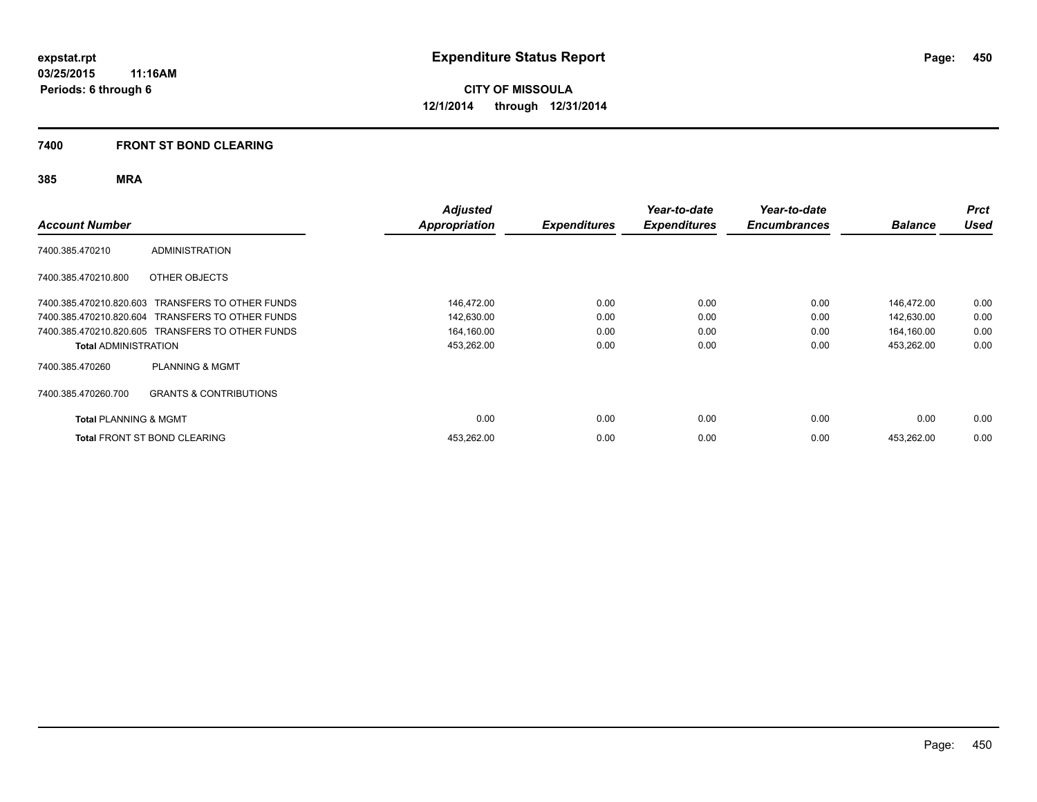#### **7400 FRONT ST BOND CLEARING**

| <b>Account Number</b>            |                                                  | <b>Adjusted</b><br><b>Appropriation</b> | <b>Expenditures</b> | Year-to-date<br><b>Expenditures</b> | Year-to-date<br><b>Encumbrances</b> | <b>Balance</b> | <b>Prct</b><br><b>Used</b> |
|----------------------------------|--------------------------------------------------|-----------------------------------------|---------------------|-------------------------------------|-------------------------------------|----------------|----------------------------|
| 7400.385.470210                  | <b>ADMINISTRATION</b>                            |                                         |                     |                                     |                                     |                |                            |
| 7400.385.470210.800              | OTHER OBJECTS                                    |                                         |                     |                                     |                                     |                |                            |
|                                  | 7400.385.470210.820.603 TRANSFERS TO OTHER FUNDS | 146,472.00                              | 0.00                | 0.00                                | 0.00                                | 146,472.00     | 0.00                       |
|                                  | 7400.385.470210.820.604 TRANSFERS TO OTHER FUNDS | 142,630.00                              | 0.00                | 0.00                                | 0.00                                | 142,630.00     | 0.00                       |
|                                  | 7400.385.470210.820.605 TRANSFERS TO OTHER FUNDS | 164,160.00                              | 0.00                | 0.00                                | 0.00                                | 164,160.00     | 0.00                       |
| <b>Total ADMINISTRATION</b>      |                                                  | 453,262.00                              | 0.00                | 0.00                                | 0.00                                | 453,262.00     | 0.00                       |
| 7400.385.470260                  | <b>PLANNING &amp; MGMT</b>                       |                                         |                     |                                     |                                     |                |                            |
| 7400.385.470260.700              | <b>GRANTS &amp; CONTRIBUTIONS</b>                |                                         |                     |                                     |                                     |                |                            |
| <b>Total PLANNING &amp; MGMT</b> |                                                  | 0.00                                    | 0.00                | 0.00                                | 0.00                                | 0.00           | 0.00                       |
|                                  | <b>Total FRONT ST BOND CLEARING</b>              | 453,262.00                              | 0.00                | 0.00                                | 0.00                                | 453,262.00     | 0.00                       |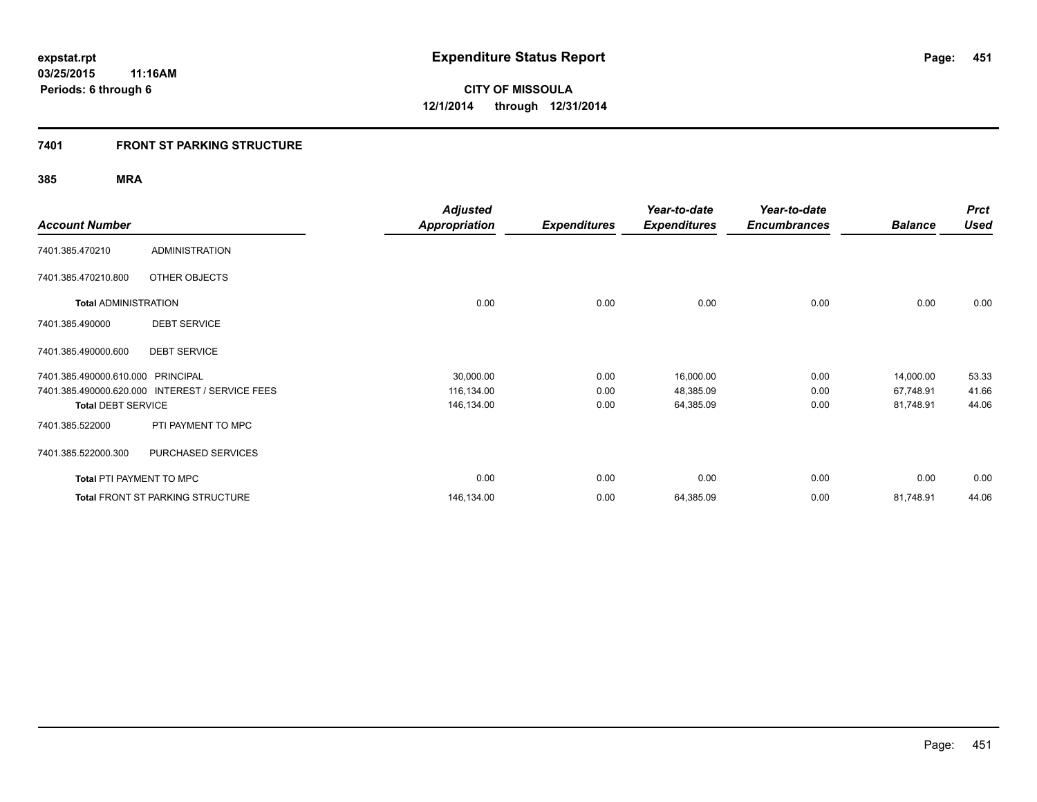### **7401 FRONT ST PARKING STRUCTURE**

|                                   |                                                 | <b>Adjusted</b>      |                     | Year-to-date        | Year-to-date        |                | <b>Prct</b> |
|-----------------------------------|-------------------------------------------------|----------------------|---------------------|---------------------|---------------------|----------------|-------------|
| <b>Account Number</b>             |                                                 | <b>Appropriation</b> | <b>Expenditures</b> | <b>Expenditures</b> | <b>Encumbrances</b> | <b>Balance</b> | <b>Used</b> |
| 7401.385.470210                   | <b>ADMINISTRATION</b>                           |                      |                     |                     |                     |                |             |
| 7401.385.470210.800               | OTHER OBJECTS                                   |                      |                     |                     |                     |                |             |
| <b>Total ADMINISTRATION</b>       |                                                 | 0.00                 | 0.00                | 0.00                | 0.00                | 0.00           | 0.00        |
| 7401.385.490000                   | <b>DEBT SERVICE</b>                             |                      |                     |                     |                     |                |             |
| 7401.385.490000.600               | <b>DEBT SERVICE</b>                             |                      |                     |                     |                     |                |             |
| 7401.385.490000.610.000 PRINCIPAL |                                                 | 30,000.00            | 0.00                | 16,000.00           | 0.00                | 14,000.00      | 53.33       |
|                                   | 7401.385.490000.620.000 INTEREST / SERVICE FEES | 116,134.00           | 0.00                | 48,385.09           | 0.00                | 67,748.91      | 41.66       |
| <b>Total DEBT SERVICE</b>         |                                                 | 146,134.00           | 0.00                | 64,385.09           | 0.00                | 81,748.91      | 44.06       |
| 7401.385.522000                   | PTI PAYMENT TO MPC                              |                      |                     |                     |                     |                |             |
| 7401.385.522000.300               | PURCHASED SERVICES                              |                      |                     |                     |                     |                |             |
| <b>Total PTI PAYMENT TO MPC</b>   |                                                 | 0.00                 | 0.00                | 0.00                | 0.00                | 0.00           | 0.00        |
|                                   | <b>Total FRONT ST PARKING STRUCTURE</b>         | 146,134.00           | 0.00                | 64,385.09           | 0.00                | 81,748.91      | 44.06       |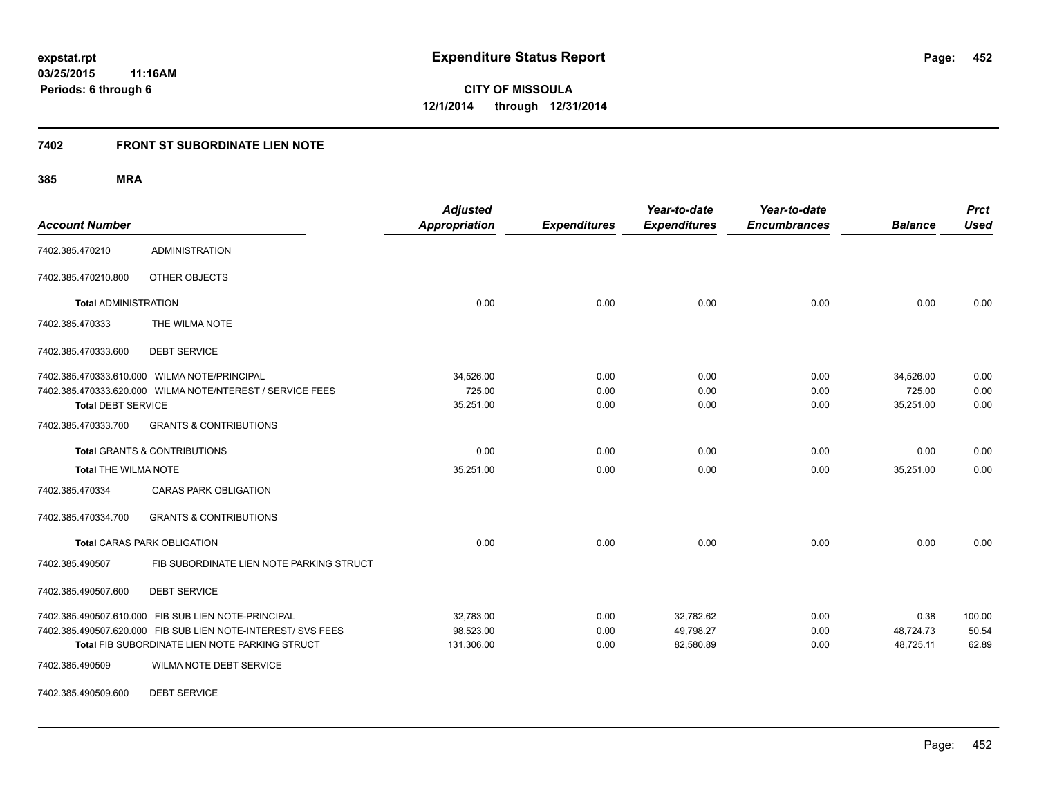### **7402 FRONT ST SUBORDINATE LIEN NOTE**

**385 MRA**

| <b>Account Number</b>       |                                                              | <b>Adjusted</b><br><b>Appropriation</b> | <b>Expenditures</b> | Year-to-date<br><b>Expenditures</b> | Year-to-date<br><b>Encumbrances</b> | <b>Balance</b> | <b>Prct</b><br><b>Used</b> |
|-----------------------------|--------------------------------------------------------------|-----------------------------------------|---------------------|-------------------------------------|-------------------------------------|----------------|----------------------------|
| 7402.385.470210             | <b>ADMINISTRATION</b>                                        |                                         |                     |                                     |                                     |                |                            |
| 7402.385.470210.800         | OTHER OBJECTS                                                |                                         |                     |                                     |                                     |                |                            |
| <b>Total ADMINISTRATION</b> |                                                              | 0.00                                    | 0.00                | 0.00                                | 0.00                                | 0.00           | 0.00                       |
| 7402.385.470333             | THE WILMA NOTE                                               |                                         |                     |                                     |                                     |                |                            |
| 7402.385.470333.600         | <b>DEBT SERVICE</b>                                          |                                         |                     |                                     |                                     |                |                            |
|                             | 7402.385.470333.610.000 WILMA NOTE/PRINCIPAL                 | 34,526.00                               | 0.00                | 0.00                                | 0.00                                | 34,526.00      | 0.00                       |
|                             | 7402.385.470333.620.000 WILMA NOTE/NTEREST / SERVICE FEES    | 725.00                                  | 0.00                | 0.00                                | 0.00                                | 725.00         | 0.00                       |
| <b>Total DEBT SERVICE</b>   |                                                              | 35,251.00                               | 0.00                | 0.00                                | 0.00                                | 35,251.00      | 0.00                       |
| 7402.385.470333.700         | <b>GRANTS &amp; CONTRIBUTIONS</b>                            |                                         |                     |                                     |                                     |                |                            |
|                             | <b>Total GRANTS &amp; CONTRIBUTIONS</b>                      | 0.00                                    | 0.00                | 0.00                                | 0.00                                | 0.00           | 0.00                       |
| <b>Total THE WILMA NOTE</b> |                                                              | 35,251.00                               | 0.00                | 0.00                                | 0.00                                | 35,251.00      | 0.00                       |
| 7402.385.470334             | <b>CARAS PARK OBLIGATION</b>                                 |                                         |                     |                                     |                                     |                |                            |
| 7402.385.470334.700         | <b>GRANTS &amp; CONTRIBUTIONS</b>                            |                                         |                     |                                     |                                     |                |                            |
|                             | <b>Total CARAS PARK OBLIGATION</b>                           | 0.00                                    | 0.00                | 0.00                                | 0.00                                | 0.00           | 0.00                       |
| 7402.385.490507             | FIB SUBORDINATE LIEN NOTE PARKING STRUCT                     |                                         |                     |                                     |                                     |                |                            |
| 7402.385.490507.600         | <b>DEBT SERVICE</b>                                          |                                         |                     |                                     |                                     |                |                            |
|                             | 7402.385.490507.610.000 FIB SUB LIEN NOTE-PRINCIPAL          | 32,783.00                               | 0.00                | 32,782.62                           | 0.00                                | 0.38           | 100.00                     |
|                             | 7402.385.490507.620.000 FIB SUB LIEN NOTE-INTEREST/ SVS FEES | 98,523.00                               | 0.00                | 49,798.27                           | 0.00                                | 48,724.73      | 50.54                      |
|                             | Total FIB SUBORDINATE LIEN NOTE PARKING STRUCT               | 131,306.00                              | 0.00                | 82,580.89                           | 0.00                                | 48,725.11      | 62.89                      |
| 7402.385.490509             | WILMA NOTE DEBT SERVICE                                      |                                         |                     |                                     |                                     |                |                            |

7402.385.490509.600 DEBT SERVICE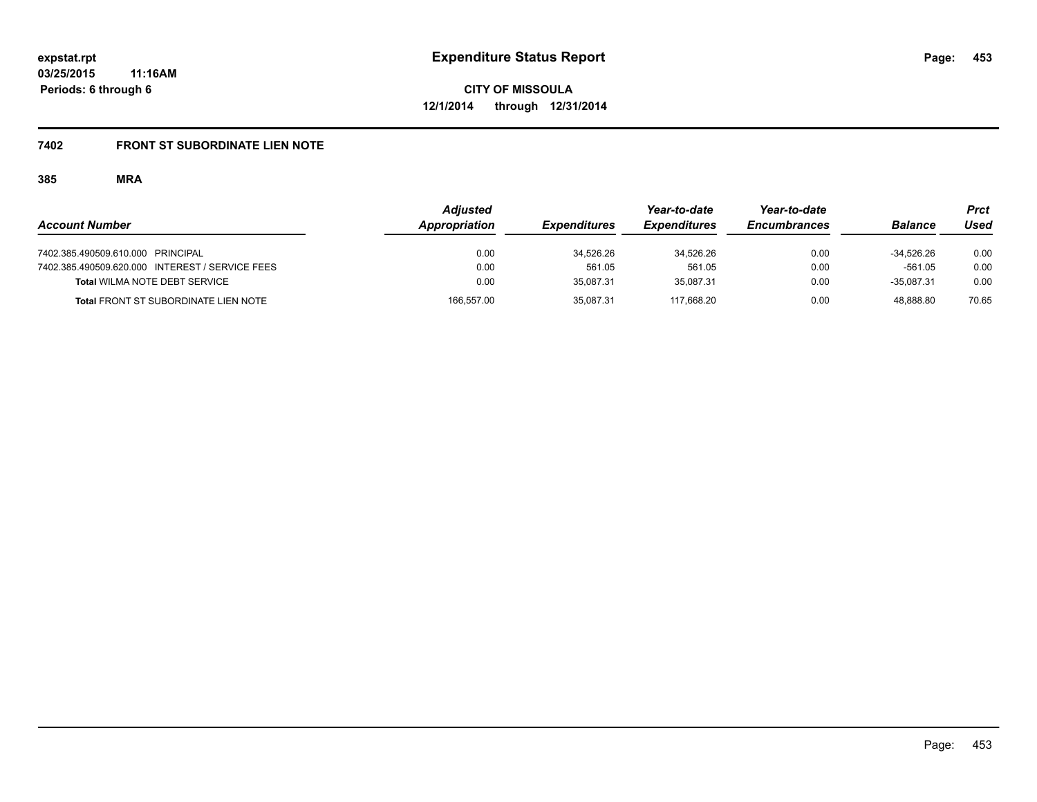## **7402 FRONT ST SUBORDINATE LIEN NOTE**

|                                                 | <b>Adjusted</b> |                     | Year-to-date        | Year-to-date        |                | Prct  |
|-------------------------------------------------|-----------------|---------------------|---------------------|---------------------|----------------|-------|
| <b>Account Number</b>                           | Appropriation   | <b>Expenditures</b> | <b>Expenditures</b> | <b>Encumbrances</b> | <b>Balance</b> | Used  |
| 7402.385.490509.610.000 PRINCIPAL               | 0.00            | 34.526.26           | 34.526.26           | 0.00                | $-34.526.26$   | 0.00  |
| 7402.385.490509.620.000 INTEREST / SERVICE FEES | 0.00            | 561.05              | 561.05              | 0.00                | $-561.05$      | 0.00  |
| <b>Total WILMA NOTE DEBT SERVICE</b>            | 0.00            | 35.087.31           | 35.087.31           | 0.00                | $-35.087.31$   | 0.00  |
| <b>Total FRONT ST SUBORDINATE LIEN NOTE</b>     | 166.557.00      | 35.087.31           | 117.668.20          | 0.00                | 48.888.80      | 70.65 |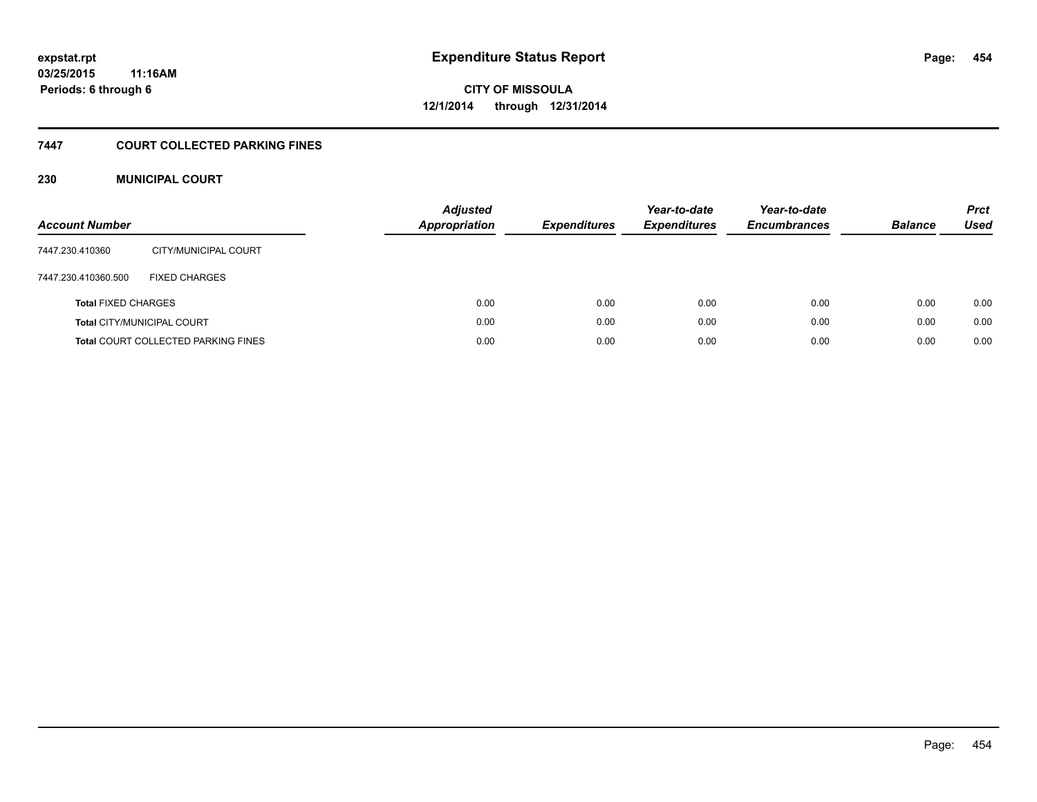### **7447 COURT COLLECTED PARKING FINES**

### **230 MUNICIPAL COURT**

| <b>Account Number</b>      |                                            | <b>Adjusted</b><br><b>Appropriation</b> | <b>Expenditures</b> | Year-to-date<br><b>Expenditures</b> | Year-to-date<br><b>Encumbrances</b> | <b>Balance</b> | <b>Prct</b><br>Used |
|----------------------------|--------------------------------------------|-----------------------------------------|---------------------|-------------------------------------|-------------------------------------|----------------|---------------------|
| 7447.230.410360            | CITY/MUNICIPAL COURT                       |                                         |                     |                                     |                                     |                |                     |
| 7447.230.410360.500        | <b>FIXED CHARGES</b>                       |                                         |                     |                                     |                                     |                |                     |
| <b>Total FIXED CHARGES</b> |                                            | 0.00                                    | 0.00                | 0.00                                | 0.00                                | 0.00           | 0.00                |
|                            | <b>Total CITY/MUNICIPAL COURT</b>          | 0.00                                    | 0.00                | 0.00                                | 0.00                                | 0.00           | 0.00                |
|                            | <b>Total COURT COLLECTED PARKING FINES</b> | 0.00                                    | 0.00                | 0.00                                | 0.00                                | 0.00           | 0.00                |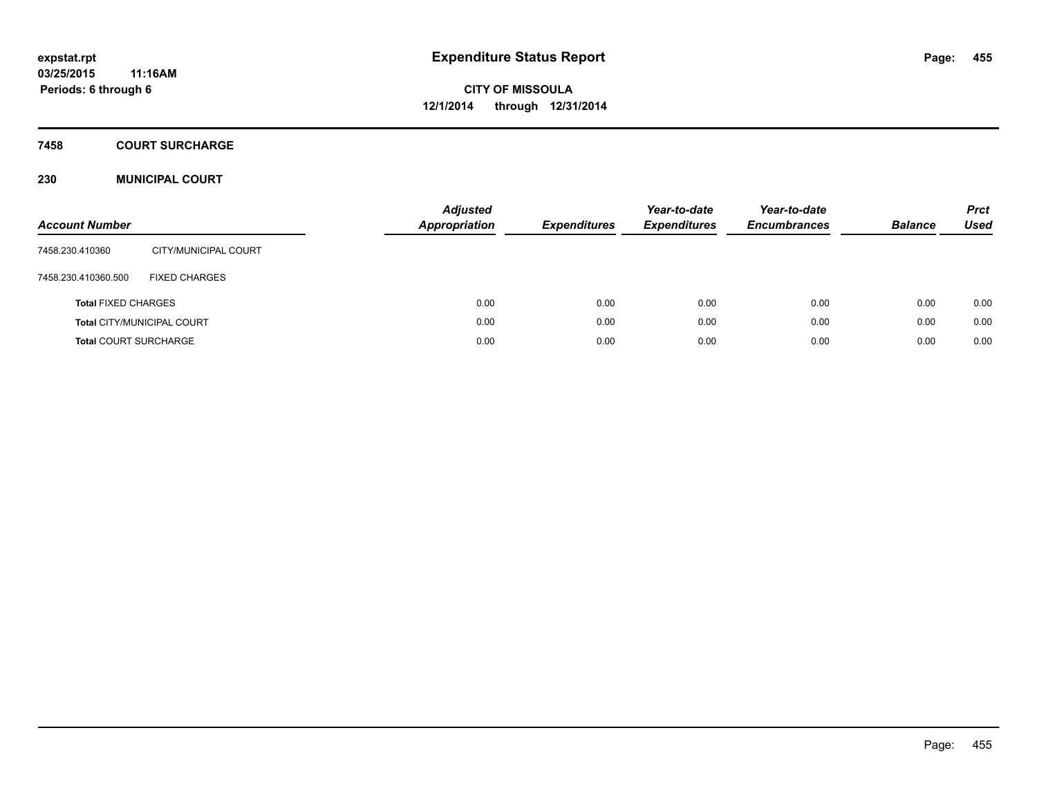#### **7458 COURT SURCHARGE**

### **230 MUNICIPAL COURT**

| <b>Account Number</b>        |                            | <b>Adjusted</b><br><b>Appropriation</b> | <b>Expenditures</b> | Year-to-date<br><b>Expenditures</b> | Year-to-date<br><b>Encumbrances</b> | <b>Balance</b> | <b>Prct</b><br>Used |
|------------------------------|----------------------------|-----------------------------------------|---------------------|-------------------------------------|-------------------------------------|----------------|---------------------|
| 7458.230.410360              | CITY/MUNICIPAL COURT       |                                         |                     |                                     |                                     |                |                     |
| 7458.230.410360.500          | <b>FIXED CHARGES</b>       |                                         |                     |                                     |                                     |                |                     |
| <b>Total FIXED CHARGES</b>   |                            | 0.00                                    | 0.00                | 0.00                                | 0.00                                | 0.00           | 0.00                |
|                              | Total CITY/MUNICIPAL COURT | 0.00                                    | 0.00                | 0.00                                | 0.00                                | 0.00           | 0.00                |
| <b>Total COURT SURCHARGE</b> |                            | 0.00                                    | 0.00                | 0.00                                | 0.00                                | 0.00           | 0.00                |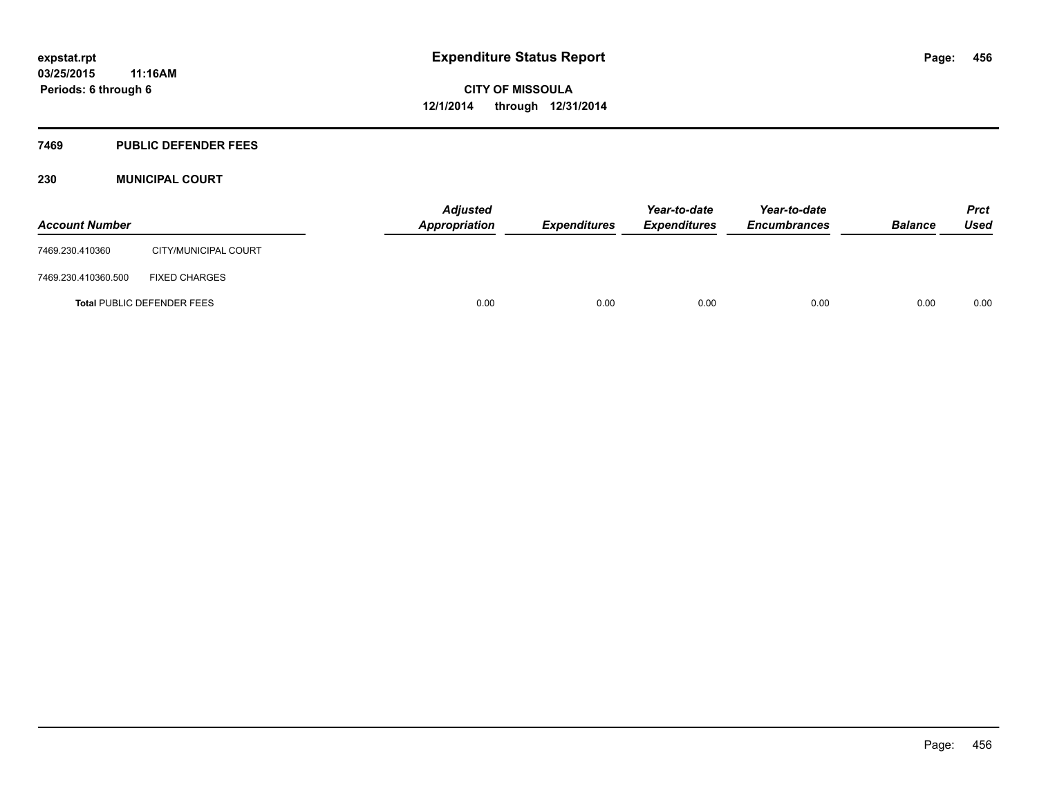#### **7469 PUBLIC DEFENDER FEES**

### **230 MUNICIPAL COURT**

| <b>Account Number</b> |                                   | <b>Adjusted</b><br>Appropriation | <b>Expenditures</b> | Year-to-date<br><b>Expenditures</b> | Year-to-date<br><b>Encumbrances</b> | <b>Balance</b> | <b>Prct</b><br><b>Used</b> |
|-----------------------|-----------------------------------|----------------------------------|---------------------|-------------------------------------|-------------------------------------|----------------|----------------------------|
| 7469.230.410360       | CITY/MUNICIPAL COURT              |                                  |                     |                                     |                                     |                |                            |
| 7469.230.410360.500   | <b>FIXED CHARGES</b>              |                                  |                     |                                     |                                     |                |                            |
|                       | <b>Total PUBLIC DEFENDER FEES</b> | 0.00                             | 0.00                | 0.00                                | 0.00                                | 0.00           | 0.00                       |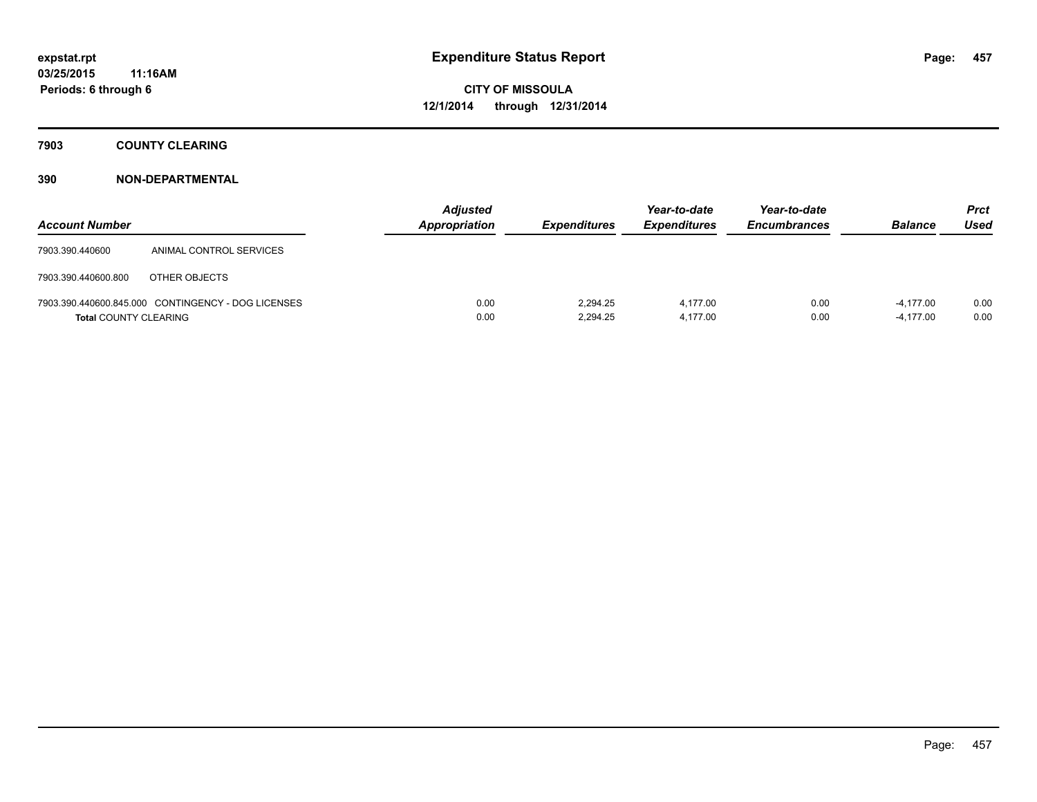### **7903 COUNTY CLEARING**

| <b>Account Number</b>        |                                                    | <b>Adjusted</b><br>Appropriation | <b>Expenditures</b>  | Year-to-date<br><b>Expenditures</b> | Year-to-date<br><b>Encumbrances</b> | <b>Balance</b>             | <b>Prct</b><br>Used |
|------------------------------|----------------------------------------------------|----------------------------------|----------------------|-------------------------------------|-------------------------------------|----------------------------|---------------------|
| 7903.390.440600              | ANIMAL CONTROL SERVICES                            |                                  |                      |                                     |                                     |                            |                     |
| 7903.390.440600.800          | OTHER OBJECTS                                      |                                  |                      |                                     |                                     |                            |                     |
| <b>Total COUNTY CLEARING</b> | 7903.390.440600.845.000 CONTINGENCY - DOG LICENSES | 0.00<br>0.00                     | 2.294.25<br>2.294.25 | 4.177.00<br>4,177.00                | 0.00<br>0.00                        | $-4.177.00$<br>$-4.177.00$ | 0.00<br>0.00        |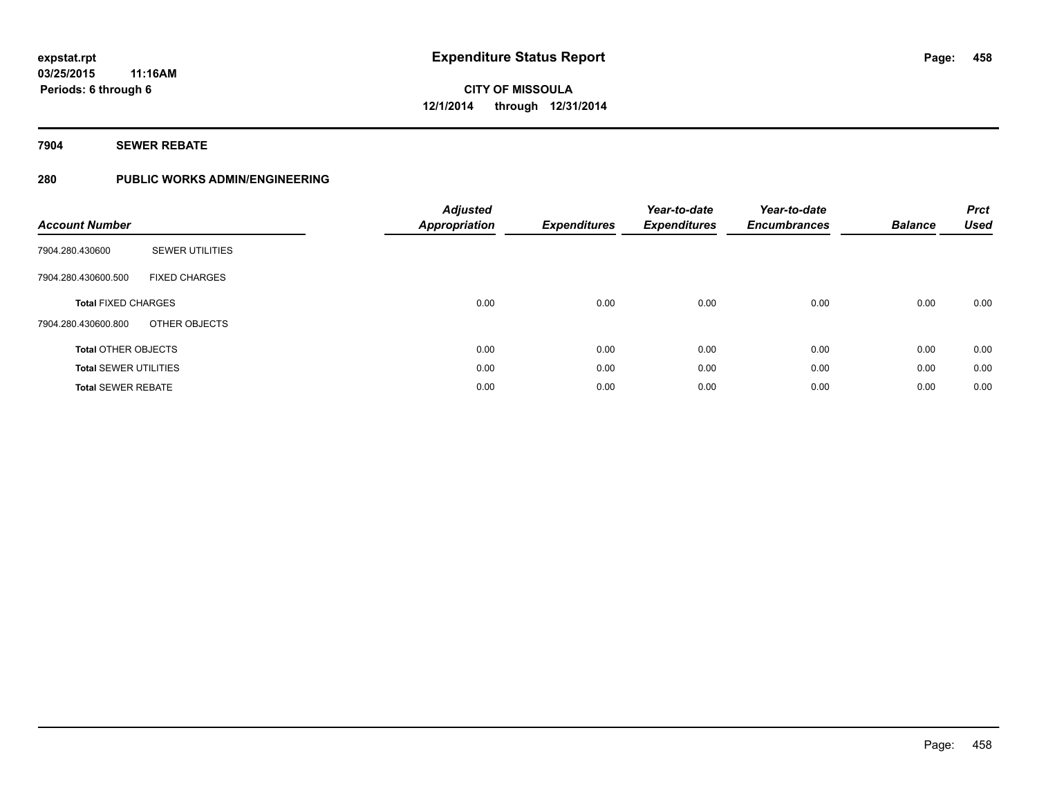### **7904 SEWER REBATE**

### **280 PUBLIC WORKS ADMIN/ENGINEERING**

| <b>Account Number</b>        |                        | <b>Adjusted</b><br><b>Appropriation</b> | <b>Expenditures</b> | Year-to-date<br><b>Expenditures</b> | Year-to-date<br><b>Encumbrances</b> | <b>Balance</b> | <b>Prct</b><br><b>Used</b> |
|------------------------------|------------------------|-----------------------------------------|---------------------|-------------------------------------|-------------------------------------|----------------|----------------------------|
| 7904.280.430600              | <b>SEWER UTILITIES</b> |                                         |                     |                                     |                                     |                |                            |
| 7904.280.430600.500          | <b>FIXED CHARGES</b>   |                                         |                     |                                     |                                     |                |                            |
| <b>Total FIXED CHARGES</b>   |                        | 0.00                                    | 0.00                | 0.00                                | 0.00                                | 0.00           | 0.00                       |
| 7904.280.430600.800          | OTHER OBJECTS          |                                         |                     |                                     |                                     |                |                            |
| <b>Total OTHER OBJECTS</b>   |                        | 0.00                                    | 0.00                | 0.00                                | 0.00                                | 0.00           | 0.00                       |
| <b>Total SEWER UTILITIES</b> |                        | 0.00                                    | 0.00                | 0.00                                | 0.00                                | 0.00           | 0.00                       |
| <b>Total SEWER REBATE</b>    |                        | 0.00                                    | 0.00                | 0.00                                | 0.00                                | 0.00           | 0.00                       |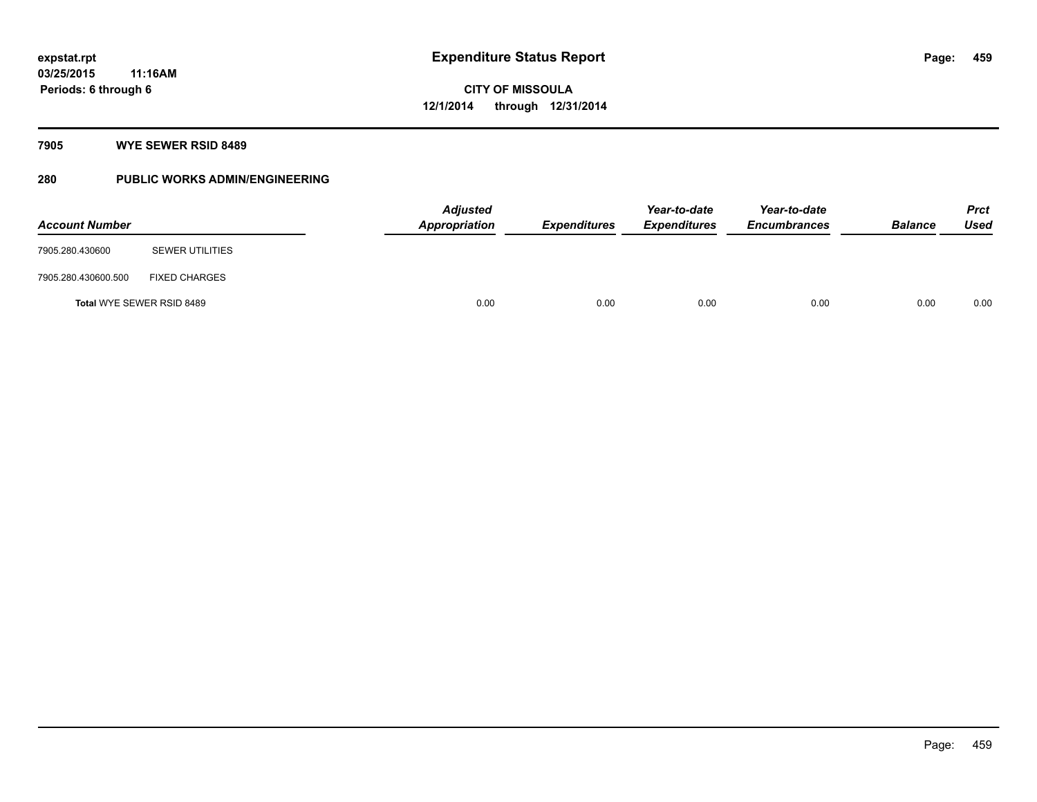### **7905 WYE SEWER RSID 8489**

### **280 PUBLIC WORKS ADMIN/ENGINEERING**

| <b>Account Number</b>     |                        | <b>Adjusted</b><br>Appropriation | <b>Expenditures</b> | Year-to-date<br><b>Expenditures</b> | Year-to-date<br><b>Encumbrances</b> | <b>Balance</b> | <b>Prct</b><br><b>Used</b> |
|---------------------------|------------------------|----------------------------------|---------------------|-------------------------------------|-------------------------------------|----------------|----------------------------|
| 7905.280.430600           | <b>SEWER UTILITIES</b> |                                  |                     |                                     |                                     |                |                            |
| 7905.280.430600.500       | <b>FIXED CHARGES</b>   |                                  |                     |                                     |                                     |                |                            |
| Total WYE SEWER RSID 8489 |                        | 0.00                             | 0.00                | 0.00                                | 0.00                                | 0.00           | 0.00                       |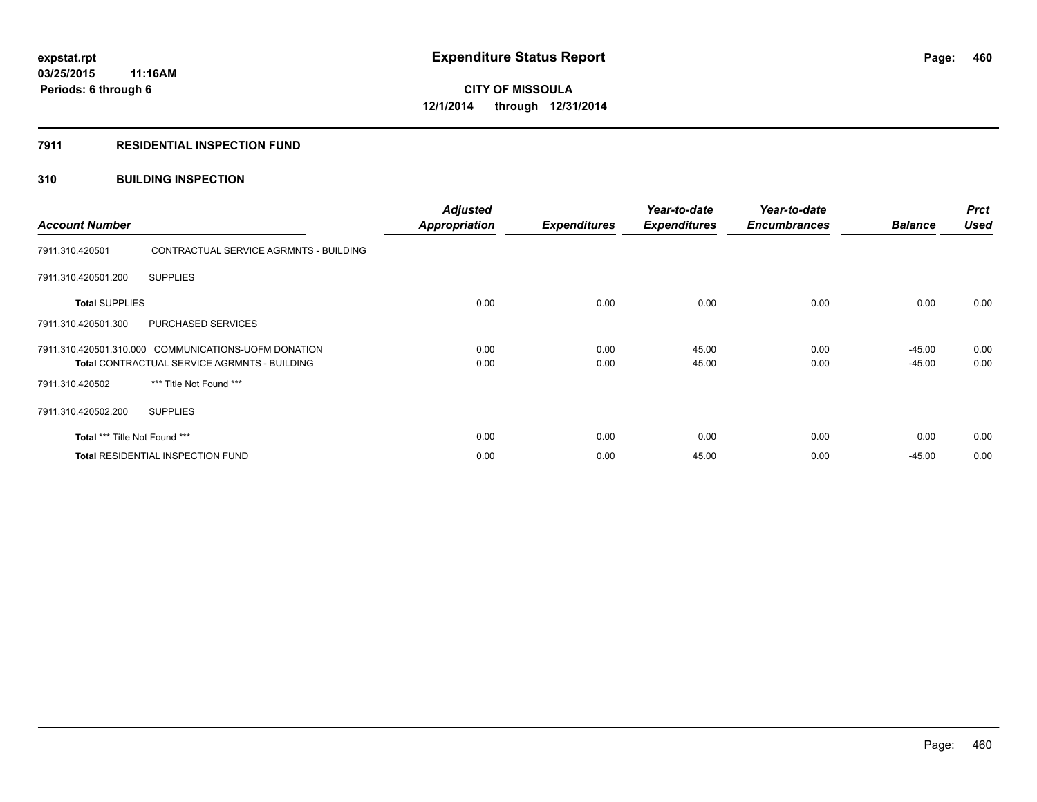### **7911 RESIDENTIAL INSPECTION FUND**

### **310 BUILDING INSPECTION**

| <b>Account Number</b>                                                                                       |                                        | <b>Adjusted</b><br><b>Appropriation</b> | <b>Expenditures</b> | Year-to-date<br><b>Expenditures</b> | Year-to-date<br><b>Encumbrances</b> | <b>Balance</b>       | <b>Prct</b><br><b>Used</b> |
|-------------------------------------------------------------------------------------------------------------|----------------------------------------|-----------------------------------------|---------------------|-------------------------------------|-------------------------------------|----------------------|----------------------------|
| 7911.310.420501                                                                                             | CONTRACTUAL SERVICE AGRMNTS - BUILDING |                                         |                     |                                     |                                     |                      |                            |
| 7911.310.420501.200                                                                                         | <b>SUPPLIES</b>                        |                                         |                     |                                     |                                     |                      |                            |
| <b>Total SUPPLIES</b>                                                                                       |                                        | 0.00                                    | 0.00                | 0.00                                | 0.00                                | 0.00                 | 0.00                       |
| 7911.310.420501.300                                                                                         | PURCHASED SERVICES                     |                                         |                     |                                     |                                     |                      |                            |
| 7911.310.420501.310.000 COMMUNICATIONS-UOFM DONATION<br><b>Total CONTRACTUAL SERVICE AGRMNTS - BUILDING</b> |                                        | 0.00<br>0.00                            | 0.00<br>0.00        | 45.00<br>45.00                      | 0.00<br>0.00                        | $-45.00$<br>$-45.00$ | 0.00<br>0.00               |
| 7911.310.420502                                                                                             | *** Title Not Found ***                |                                         |                     |                                     |                                     |                      |                            |
| 7911.310.420502.200                                                                                         | <b>SUPPLIES</b>                        |                                         |                     |                                     |                                     |                      |                            |
| Total *** Title Not Found ***                                                                               |                                        | 0.00                                    | 0.00                | 0.00                                | 0.00                                | 0.00                 | 0.00                       |
| <b>Total RESIDENTIAL INSPECTION FUND</b>                                                                    |                                        | 0.00                                    | 0.00                | 45.00                               | 0.00                                | $-45.00$             | 0.00                       |